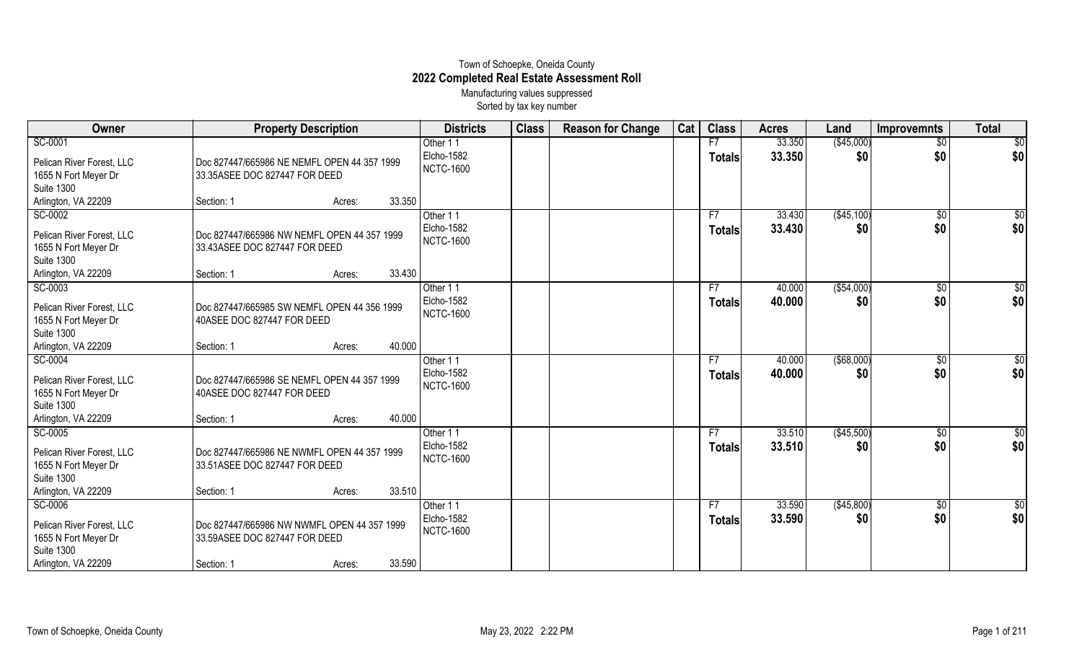## Town of Schoepke, Oneida County **2022 Completed Real Estate Assessment Roll** Manufacturing values suppressed

Sorted by tax key number

| Owner                                     | <b>Property Description</b>                                                  |        | <b>Districts</b> | <b>Class</b> | <b>Reason for Change</b> | Cat | <b>Class</b>  | <b>Acres</b> | Land        | <b>Improvemnts</b> | <b>Total</b>    |
|-------------------------------------------|------------------------------------------------------------------------------|--------|------------------|--------------|--------------------------|-----|---------------|--------------|-------------|--------------------|-----------------|
| SC-0001                                   |                                                                              |        | Other 11         |              |                          |     | F7            | 33.350       | (\$45,000)  | $\overline{60}$    | $\overline{50}$ |
| Pelican River Forest, LLC                 | Doc 827447/665986 NE NEMFL OPEN 44 357 1999                                  |        | Elcho-1582       |              |                          |     | <b>Totals</b> | 33.350       | \$0         | \$0                | \$0             |
| 1655 N Fort Meyer Dr                      | 33.35ASEE DOC 827447 FOR DEED                                                |        | <b>NCTC-1600</b> |              |                          |     |               |              |             |                    |                 |
| <b>Suite 1300</b>                         |                                                                              |        |                  |              |                          |     |               |              |             |                    |                 |
| Arlington, VA 22209                       | Section: 1                                                                   | Acres: | 33.350           |              |                          |     |               |              |             |                    |                 |
| SC-0002                                   |                                                                              |        | Other 11         |              |                          |     | F7            | 33.430       | (\$45,100)  | $\overline{60}$    | $\overline{50}$ |
| Pelican River Forest, LLC                 | Doc 827447/665986 NW NEMFL OPEN 44 357 1999                                  |        | Elcho-1582       |              |                          |     | <b>Totals</b> | 33.430       | \$0         | \$0                | \$0             |
| 1655 N Fort Meyer Dr                      | 33.43ASEE DOC 827447 FOR DEED                                                |        | <b>NCTC-1600</b> |              |                          |     |               |              |             |                    |                 |
| <b>Suite 1300</b>                         |                                                                              |        |                  |              |                          |     |               |              |             |                    |                 |
| Arlington, VA 22209                       | Section: 1                                                                   | Acres: | 33.430           |              |                          |     |               |              |             |                    |                 |
| SC-0003                                   |                                                                              |        | Other 11         |              |                          |     | F7            | 40.000       | ( \$54,000) | $\overline{50}$    | $\overline{50}$ |
| Pelican River Forest, LLC                 | Doc 827447/665985 SW NEMFL OPEN 44 356 1999                                  |        | Elcho-1582       |              |                          |     | <b>Totals</b> | 40.000       | \$0         | \$0                | \$0             |
| 1655 N Fort Meyer Dr                      | 40ASEE DOC 827447 FOR DEED                                                   |        | <b>NCTC-1600</b> |              |                          |     |               |              |             |                    |                 |
| <b>Suite 1300</b>                         |                                                                              |        |                  |              |                          |     |               |              |             |                    |                 |
| Arlington, VA 22209                       | Section: 1                                                                   | Acres: | 40.000           |              |                          |     |               |              |             |                    |                 |
| SC-0004                                   |                                                                              |        | Other 11         |              |                          |     | F7            | 40.000       | ( \$68,000) | \$0                | $\overline{50}$ |
| Pelican River Forest, LLC                 | Doc 827447/665986 SE NEMFL OPEN 44 357 1999                                  |        | Elcho-1582       |              |                          |     | <b>Totals</b> | 40.000       | \$0         | \$0                | \$0             |
| 1655 N Fort Meyer Dr                      | 40ASEE DOC 827447 FOR DEED                                                   |        | <b>NCTC-1600</b> |              |                          |     |               |              |             |                    |                 |
| <b>Suite 1300</b>                         |                                                                              |        |                  |              |                          |     |               |              |             |                    |                 |
| Arlington, VA 22209                       | Section: 1                                                                   | Acres: | 40.000           |              |                          |     |               |              |             |                    |                 |
| SC-0005                                   |                                                                              |        | Other 11         |              |                          |     | F7            | 33.510       | (\$45,500)  | \$0                | \$0             |
| Pelican River Forest, LLC                 | Doc 827447/665986 NE NWMFL OPEN 44 357 1999                                  |        | Elcho-1582       |              |                          |     | <b>Totals</b> | 33.510       | \$0         | \$0                | \$0             |
| 1655 N Fort Meyer Dr                      | 33.51ASEE DOC 827447 FOR DEED                                                |        | <b>NCTC-1600</b> |              |                          |     |               |              |             |                    |                 |
| <b>Suite 1300</b>                         |                                                                              |        |                  |              |                          |     |               |              |             |                    |                 |
| Arlington, VA 22209                       | Section: 1                                                                   | Acres: | 33.510           |              |                          |     |               |              |             |                    |                 |
| SC-0006                                   |                                                                              |        | Other 11         |              |                          |     | F7            | 33.590       | (\$45,800)  | $\sqrt[6]{}$       | \$0             |
|                                           |                                                                              |        | Elcho-1582       |              |                          |     | <b>Totals</b> | 33.590       | \$0         | \$0                | \$0             |
| Pelican River Forest, LLC                 | Doc 827447/665986 NW NWMFL OPEN 44 357 1999<br>33.59ASEE DOC 827447 FOR DEED |        | <b>NCTC-1600</b> |              |                          |     |               |              |             |                    |                 |
| 1655 N Fort Meyer Dr<br><b>Suite 1300</b> |                                                                              |        |                  |              |                          |     |               |              |             |                    |                 |
| Arlington, VA 22209                       | Section: 1                                                                   | Acres: | 33.590           |              |                          |     |               |              |             |                    |                 |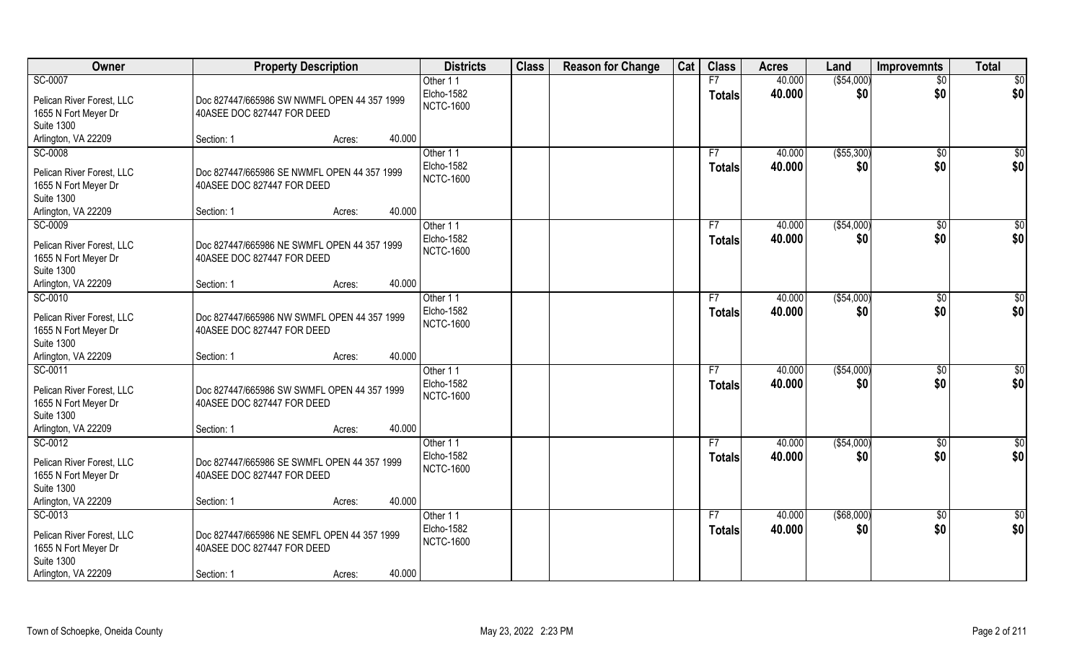| Owner                                     | <b>Property Description</b>                 |        |        | <b>Districts</b>               | <b>Class</b> | <b>Reason for Change</b> | Cat | <b>Class</b>  | <b>Acres</b> | Land        | <b>Improvemnts</b> | <b>Total</b>    |
|-------------------------------------------|---------------------------------------------|--------|--------|--------------------------------|--------------|--------------------------|-----|---------------|--------------|-------------|--------------------|-----------------|
| SC-0007                                   |                                             |        |        | Other 11                       |              |                          |     | F7            | 40.000       | ( \$54,000) | $\overline{50}$    | \$0             |
| Pelican River Forest, LLC                 | Doc 827447/665986 SW NWMFL OPEN 44 357 1999 |        |        | Elcho-1582<br><b>NCTC-1600</b> |              |                          |     | <b>Totals</b> | 40.000       | \$0         | \$0                | \$0             |
| 1655 N Fort Meyer Dr<br><b>Suite 1300</b> | 40ASEE DOC 827447 FOR DEED                  |        |        |                                |              |                          |     |               |              |             |                    |                 |
| Arlington, VA 22209                       | Section: 1                                  | Acres: | 40.000 |                                |              |                          |     |               |              |             |                    |                 |
| SC-0008                                   |                                             |        |        | Other 11                       |              |                          |     | F7            | 40.000       | ( \$55,300) | \$0                | \$0             |
|                                           |                                             |        |        | Elcho-1582                     |              |                          |     |               | 40.000       | \$0         | \$0                | \$0             |
| Pelican River Forest, LLC                 | Doc 827447/665986 SE NWMFL OPEN 44 357 1999 |        |        | <b>NCTC-1600</b>               |              |                          |     | <b>Totals</b> |              |             |                    |                 |
| 1655 N Fort Meyer Dr                      | 40ASEE DOC 827447 FOR DEED                  |        |        |                                |              |                          |     |               |              |             |                    |                 |
| <b>Suite 1300</b>                         |                                             |        |        |                                |              |                          |     |               |              |             |                    |                 |
| Arlington, VA 22209                       | Section: 1                                  | Acres: | 40.000 |                                |              |                          |     |               |              |             |                    |                 |
| SC-0009                                   |                                             |        |        | Other 11                       |              |                          |     | F7            | 40.000       | ( \$54,000) | $\sqrt{6}$         | \$0             |
| Pelican River Forest, LLC                 | Doc 827447/665986 NE SWMFL OPEN 44 357 1999 |        |        | Elcho-1582                     |              |                          |     | <b>Totals</b> | 40.000       | \$0         | \$0                | \$0             |
| 1655 N Fort Meyer Dr                      | 40ASEE DOC 827447 FOR DEED                  |        |        | <b>NCTC-1600</b>               |              |                          |     |               |              |             |                    |                 |
| <b>Suite 1300</b>                         |                                             |        |        |                                |              |                          |     |               |              |             |                    |                 |
| Arlington, VA 22209                       | Section: 1                                  | Acres: | 40.000 |                                |              |                          |     |               |              |             |                    |                 |
| SC-0010                                   |                                             |        |        | Other 11                       |              |                          |     | F7            | 40.000       | ( \$54,000) | \$0                | \$              |
| Pelican River Forest, LLC                 | Doc 827447/665986 NW SWMFL OPEN 44 357 1999 |        |        | Elcho-1582                     |              |                          |     | <b>Totals</b> | 40.000       | \$0         | \$0                | \$0             |
| 1655 N Fort Meyer Dr                      | 40ASEE DOC 827447 FOR DEED                  |        |        | <b>NCTC-1600</b>               |              |                          |     |               |              |             |                    |                 |
| <b>Suite 1300</b>                         |                                             |        |        |                                |              |                          |     |               |              |             |                    |                 |
| Arlington, VA 22209                       | Section: 1                                  | Acres: | 40.000 |                                |              |                          |     |               |              |             |                    |                 |
| SC-0011                                   |                                             |        |        | Other 11                       |              |                          |     | F7            | 40.000       | ( \$54,000) | \$0                | \$0             |
|                                           |                                             |        |        | Elcho-1582                     |              |                          |     | <b>Totals</b> | 40.000       | \$0         | \$0                | \$0             |
| Pelican River Forest, LLC                 | Doc 827447/665986 SW SWMFL OPEN 44 357 1999 |        |        | <b>NCTC-1600</b>               |              |                          |     |               |              |             |                    |                 |
| 1655 N Fort Meyer Dr                      | 40ASEE DOC 827447 FOR DEED                  |        |        |                                |              |                          |     |               |              |             |                    |                 |
| <b>Suite 1300</b>                         |                                             |        |        |                                |              |                          |     |               |              |             |                    |                 |
| Arlington, VA 22209                       | Section: 1                                  | Acres: | 40.000 |                                |              |                          |     |               |              |             |                    |                 |
| SC-0012                                   |                                             |        |        | Other 11                       |              |                          |     | F7            | 40.000       | ( \$54,000) | \$0                | \$0             |
| Pelican River Forest, LLC                 | Doc 827447/665986 SE SWMFL OPEN 44 357 1999 |        |        | Elcho-1582                     |              |                          |     | <b>Totals</b> | 40.000       | \$0         | \$0                | \$0             |
| 1655 N Fort Meyer Dr                      | 40ASEE DOC 827447 FOR DEED                  |        |        | <b>NCTC-1600</b>               |              |                          |     |               |              |             |                    |                 |
| <b>Suite 1300</b>                         |                                             |        |        |                                |              |                          |     |               |              |             |                    |                 |
| Arlington, VA 22209                       | Section: 1                                  | Acres: | 40.000 |                                |              |                          |     |               |              |             |                    |                 |
| SC-0013                                   |                                             |        |        | Other 11                       |              |                          |     | F7            | 40.000       | ( \$68,000) | $\sqrt{$0}$        | $\overline{50}$ |
| Pelican River Forest, LLC                 | Doc 827447/665986 NE SEMFL OPEN 44 357 1999 |        |        | Elcho-1582                     |              |                          |     | <b>Totals</b> | 40.000       | \$0         | \$0                | \$0             |
| 1655 N Fort Meyer Dr                      | 40ASEE DOC 827447 FOR DEED                  |        |        | <b>NCTC-1600</b>               |              |                          |     |               |              |             |                    |                 |
| <b>Suite 1300</b>                         |                                             |        |        |                                |              |                          |     |               |              |             |                    |                 |
| Arlington, VA 22209                       | Section: 1                                  | Acres: | 40.000 |                                |              |                          |     |               |              |             |                    |                 |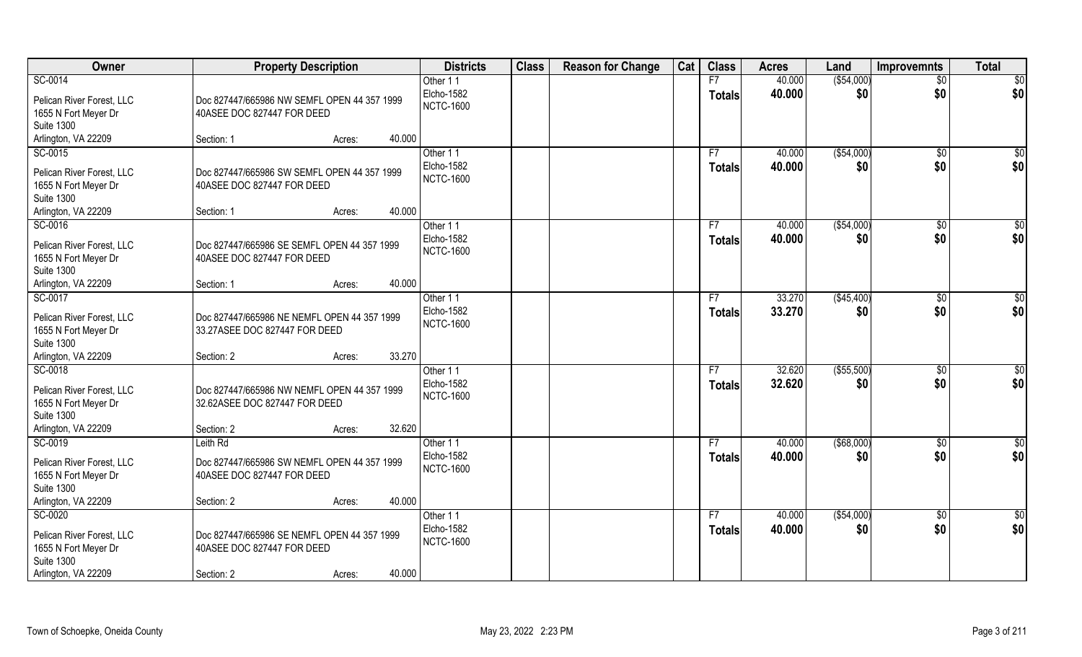| Owner                                                                                                    | <b>Property Description</b>                                                                                             | <b>Districts</b>                           | <b>Class</b> | <b>Reason for Change</b> | Cat | <b>Class</b>        | <b>Acres</b>     | Land                 | <b>Improvemnts</b>     | <b>Total</b> |
|----------------------------------------------------------------------------------------------------------|-------------------------------------------------------------------------------------------------------------------------|--------------------------------------------|--------------|--------------------------|-----|---------------------|------------------|----------------------|------------------------|--------------|
| SC-0014                                                                                                  |                                                                                                                         | Other 11                                   |              |                          |     | F7                  | 40.000           | ( \$54,000)          | $\overline{50}$        | \$0          |
| Pelican River Forest, LLC<br>1655 N Fort Meyer Dr<br><b>Suite 1300</b>                                   | Doc 827447/665986 NW SEMFL OPEN 44 357 1999<br>40ASEE DOC 827447 FOR DEED                                               | Elcho-1582<br><b>NCTC-1600</b>             |              |                          |     | <b>Totals</b>       | 40.000           | \$0                  | \$0                    | \$0          |
| Arlington, VA 22209                                                                                      | 40.000<br>Section: 1<br>Acres:                                                                                          |                                            |              |                          |     |                     |                  |                      |                        |              |
| SC-0015                                                                                                  |                                                                                                                         | Other 11                                   |              |                          |     | F7                  | 40.000           | ( \$54,000)          | \$0                    | $\sqrt{50}$  |
| Pelican River Forest, LLC<br>1655 N Fort Meyer Dr<br><b>Suite 1300</b>                                   | Doc 827447/665986 SW SEMFL OPEN 44 357 1999<br>40ASEE DOC 827447 FOR DEED                                               | Elcho-1582<br><b>NCTC-1600</b>             |              |                          |     | Totals              | 40.000           | \$0                  | \$0                    | \$0          |
| Arlington, VA 22209                                                                                      | 40.000<br>Section: 1<br>Acres:                                                                                          |                                            |              |                          |     |                     |                  |                      |                        |              |
| SC-0016<br>Pelican River Forest, LLC<br>1655 N Fort Meyer Dr<br><b>Suite 1300</b>                        | Doc 827447/665986 SE SEMFL OPEN 44 357 1999<br>40ASEE DOC 827447 FOR DEED                                               | Other 11<br>Elcho-1582<br><b>NCTC-1600</b> |              |                          |     | F7<br><b>Totals</b> | 40.000<br>40.000 | (\$54,000)<br>\$0    | $\sqrt[6]{3}$<br>\$0   | \$0<br>\$0   |
| Arlington, VA 22209                                                                                      | 40.000<br>Section: 1<br>Acres:                                                                                          |                                            |              |                          |     |                     |                  |                      |                        |              |
| SC-0017<br>Pelican River Forest, LLC<br>1655 N Fort Meyer Dr<br><b>Suite 1300</b>                        | Doc 827447/665986 NE NEMFL OPEN 44 357 1999<br>33.27ASEE DOC 827447 FOR DEED                                            | Other 11<br>Elcho-1582<br><b>NCTC-1600</b> |              |                          |     | F7<br><b>Totals</b> | 33.270<br>33.270 | ( \$45,400)<br>\$0   | $\sqrt[6]{3}$<br>\$0   | \$0<br>\$0   |
| Arlington, VA 22209                                                                                      | 33.270<br>Section: 2<br>Acres:                                                                                          |                                            |              |                          |     |                     |                  |                      |                        |              |
| SC-0018<br>Pelican River Forest, LLC<br>1655 N Fort Meyer Dr<br><b>Suite 1300</b>                        | Doc 827447/665986 NW NEMFL OPEN 44 357 1999<br>32.62ASEE DOC 827447 FOR DEED                                            | Other 11<br>Elcho-1582<br><b>NCTC-1600</b> |              |                          |     | F7<br><b>Totals</b> | 32.620<br>32.620 | (\$55,500)<br>\$0    | $\overline{60}$<br>\$0 | \$0<br>\$0   |
| Arlington, VA 22209                                                                                      | 32.620<br>Section: 2<br>Acres:                                                                                          |                                            |              |                          |     |                     |                  |                      |                        |              |
| SC-0019<br>Pelican River Forest, LLC<br>1655 N Fort Meyer Dr<br><b>Suite 1300</b><br>Arlington, VA 22209 | Leith Rd<br>Doc 827447/665986 SW NEMFL OPEN 44 357 1999<br>40ASEE DOC 827447 FOR DEED<br>40.000<br>Section: 2<br>Acres: | Other 11<br>Elcho-1582<br><b>NCTC-1600</b> |              |                          |     | F7<br><b>Totals</b> | 40.000<br>40.000 | $($ \$68,000)<br>\$0 | $\overline{50}$<br>\$0 | \$0<br>\$0   |
| SC-0020                                                                                                  |                                                                                                                         |                                            |              |                          |     |                     | 40.000           |                      |                        |              |
| Pelican River Forest, LLC<br>1655 N Fort Meyer Dr<br><b>Suite 1300</b><br>Arlington, VA 22209            | Doc 827447/665986 SE NEMFL OPEN 44 357 1999<br>40ASEE DOC 827447 FOR DEED<br>40.000<br>Section: 2<br>Acres:             | Other 11<br>Elcho-1582<br><b>NCTC-1600</b> |              |                          |     | F7<br><b>Totals</b> | 40.000           | ( \$54,000)<br>\$0   | $\overline{50}$<br>\$0 | \$0<br>\$0   |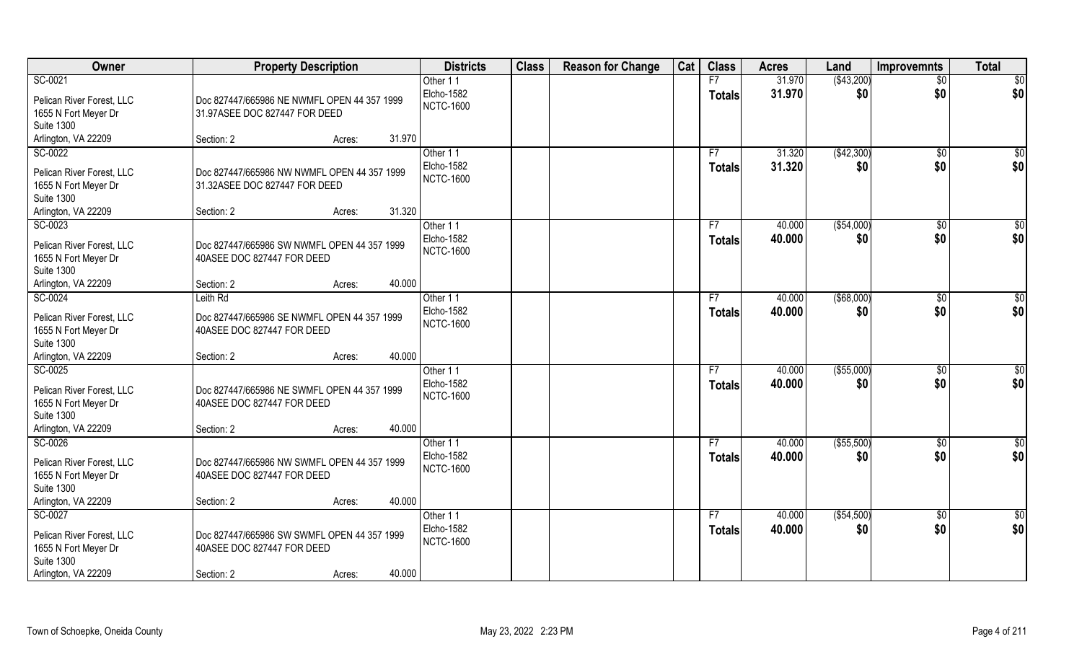| Owner                                                                                                    | <b>Property Description</b>                                                                       | <b>Districts</b>                           | <b>Class</b> | <b>Reason for Change</b> | Cat | <b>Class</b>        | <b>Acres</b>     | Land               | <b>Improvemnts</b>    | <b>Total</b>  |
|----------------------------------------------------------------------------------------------------------|---------------------------------------------------------------------------------------------------|--------------------------------------------|--------------|--------------------------|-----|---------------------|------------------|--------------------|-----------------------|---------------|
| SC-0021                                                                                                  |                                                                                                   | Other 11                                   |              |                          |     | F7                  | 31.970           | ( \$43,200)        | $\overline{50}$       | \$0           |
| Pelican River Forest, LLC<br>1655 N Fort Meyer Dr                                                        | Doc 827447/665986 NE NWMFL OPEN 44 357 1999<br>31.97ASEE DOC 827447 FOR DEED                      | Elcho-1582<br><b>NCTC-1600</b>             |              |                          |     | <b>Totals</b>       | 31.970           | \$0                | \$0                   | \$0           |
| <b>Suite 1300</b>                                                                                        |                                                                                                   |                                            |              |                          |     |                     |                  |                    |                       |               |
| Arlington, VA 22209                                                                                      | 31.970<br>Section: 2<br>Acres:                                                                    |                                            |              |                          |     |                     |                  |                    |                       |               |
| SC-0022                                                                                                  |                                                                                                   | Other 11                                   |              |                          |     | F7                  | 31.320           | (\$42,300)         | \$0                   | \$0           |
| Pelican River Forest, LLC<br>1655 N Fort Meyer Dr                                                        | Doc 827447/665986 NW NWMFL OPEN 44 357 1999<br>31.32ASEE DOC 827447 FOR DEED                      | Elcho-1582<br><b>NCTC-1600</b>             |              |                          |     | <b>Totals</b>       | 31.320           | \$0                | \$0                   | \$0           |
| <b>Suite 1300</b>                                                                                        |                                                                                                   |                                            |              |                          |     |                     |                  |                    |                       |               |
| Arlington, VA 22209                                                                                      | 31.320<br>Section: 2<br>Acres:                                                                    |                                            |              |                          |     |                     |                  |                    |                       |               |
| SC-0023                                                                                                  |                                                                                                   | Other 11                                   |              |                          |     | F7                  | 40.000           | ( \$54,000)        | \$0                   | \$0           |
| Pelican River Forest, LLC<br>1655 N Fort Meyer Dr<br><b>Suite 1300</b>                                   | Doc 827447/665986 SW NWMFL OPEN 44 357 1999<br>40ASEE DOC 827447 FOR DEED                         | Elcho-1582<br><b>NCTC-1600</b>             |              |                          |     | <b>Totals</b>       | 40.000           | \$0                | \$0                   | \$0           |
| Arlington, VA 22209                                                                                      | 40.000<br>Section: 2<br>Acres:                                                                    |                                            |              |                          |     |                     |                  |                    |                       |               |
| SC-0024                                                                                                  | Leith Rd                                                                                          | Other 11                                   |              |                          |     | F7                  | 40.000           | $($ \$68,000)      | $\sqrt[6]{3}$         | \$0           |
| Pelican River Forest, LLC<br>1655 N Fort Meyer Dr<br><b>Suite 1300</b>                                   | Doc 827447/665986 SE NWMFL OPEN 44 357 1999<br>40ASEE DOC 827447 FOR DEED                         | Elcho-1582<br><b>NCTC-1600</b>             |              |                          |     | <b>Totals</b>       | 40.000           | \$0                | \$0                   | \$0           |
| Arlington, VA 22209                                                                                      | 40.000<br>Section: 2<br>Acres:                                                                    |                                            |              |                          |     |                     |                  |                    |                       |               |
| SC-0025<br>Pelican River Forest, LLC<br>1655 N Fort Meyer Dr<br><b>Suite 1300</b>                        | Doc 827447/665986 NE SWMFL OPEN 44 357 1999<br>40ASEE DOC 827447 FOR DEED                         | Other 11<br>Elcho-1582<br><b>NCTC-1600</b> |              |                          |     | F7<br><b>Totals</b> | 40.000<br>40.000 | ( \$55,000)<br>\$0 | $\sqrt[6]{30}$<br>\$0 | \$0<br>\$0    |
| Arlington, VA 22209                                                                                      | 40.000<br>Section: 2<br>Acres:                                                                    |                                            |              |                          |     |                     |                  |                    |                       |               |
| SC-0026                                                                                                  |                                                                                                   | Other 11                                   |              |                          |     | F7                  | 40.000           | ( \$55,500)        | \$0                   | $\frac{6}{3}$ |
| Pelican River Forest, LLC<br>1655 N Fort Meyer Dr<br><b>Suite 1300</b>                                   | Doc 827447/665986 NW SWMFL OPEN 44 357 1999<br>40ASEE DOC 827447 FOR DEED                         | Elcho-1582<br><b>NCTC-1600</b>             |              |                          |     | <b>Totals</b>       | 40.000           | \$0                | \$0                   | \$0           |
| Arlington, VA 22209                                                                                      | 40.000<br>Section: 2<br>Acres:                                                                    |                                            |              |                          |     |                     |                  |                    |                       |               |
| SC-0027<br>Pelican River Forest, LLC<br>1655 N Fort Meyer Dr<br><b>Suite 1300</b><br>Arlington, VA 22209 | Doc 827447/665986 SW SWMFL OPEN 44 357 1999<br>40ASEE DOC 827447 FOR DEED<br>40.000<br>Section: 2 | Other 11<br>Elcho-1582<br><b>NCTC-1600</b> |              |                          |     | F7<br><b>Totals</b> | 40.000<br>40.000 | ( \$54,500)<br>\$0 | $\sqrt{6}$<br>\$0     | \$0<br>\$0    |
|                                                                                                          | Acres:                                                                                            |                                            |              |                          |     |                     |                  |                    |                       |               |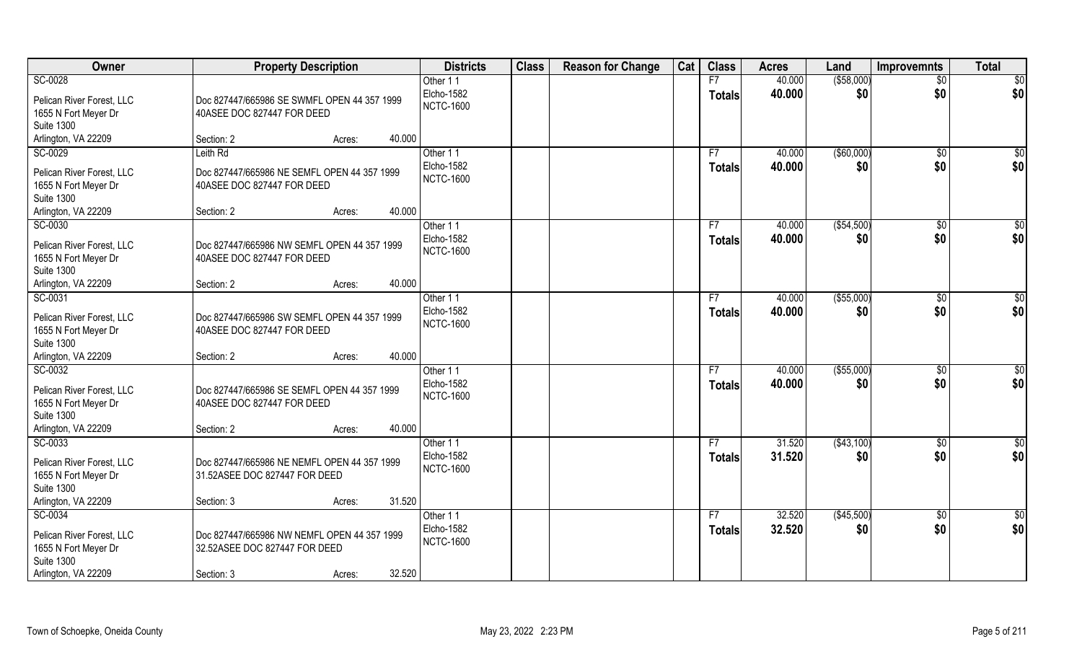| Owner                                                                                                    | <b>Property Description</b>                                                                                    | <b>Districts</b>                           | <b>Class</b> | <b>Reason for Change</b> | Cat | <b>Class</b>        | <b>Acres</b>     | Land               | <b>Improvemnts</b>     | <b>Total</b>           |
|----------------------------------------------------------------------------------------------------------|----------------------------------------------------------------------------------------------------------------|--------------------------------------------|--------------|--------------------------|-----|---------------------|------------------|--------------------|------------------------|------------------------|
| SC-0028                                                                                                  |                                                                                                                | Other 11                                   |              |                          |     | F7                  | 40.000           | ( \$58,000)        | $\overline{50}$        | $\overline{50}$        |
| Pelican River Forest, LLC<br>1655 N Fort Meyer Dr<br><b>Suite 1300</b>                                   | Doc 827447/665986 SE SWMFL OPEN 44 357 1999<br>40ASEE DOC 827447 FOR DEED                                      | Elcho-1582<br><b>NCTC-1600</b>             |              |                          |     | <b>Totals</b>       | 40.000           | \$0                | \$0                    | \$0                    |
| Arlington, VA 22209                                                                                      | 40.000<br>Section: 2<br>Acres:                                                                                 |                                            |              |                          |     |                     |                  |                    |                        |                        |
| SC-0029                                                                                                  | Leith Rd                                                                                                       | Other 11                                   |              |                          |     | F7                  | 40.000           | (\$60,000)         | $\overline{50}$        | $\sqrt{50}$            |
| Pelican River Forest, LLC<br>1655 N Fort Meyer Dr<br><b>Suite 1300</b>                                   | Doc 827447/665986 NE SEMFL OPEN 44 357 1999<br>40ASEE DOC 827447 FOR DEED                                      | Elcho-1582<br><b>NCTC-1600</b>             |              |                          |     | <b>Totals</b>       | 40.000           | \$0                | \$0                    | \$0                    |
| Arlington, VA 22209                                                                                      | 40.000<br>Section: 2<br>Acres:                                                                                 |                                            |              |                          |     |                     |                  |                    |                        |                        |
| SC-0030<br>Pelican River Forest, LLC<br>1655 N Fort Meyer Dr<br><b>Suite 1300</b>                        | Doc 827447/665986 NW SEMFL OPEN 44 357 1999<br>40ASEE DOC 827447 FOR DEED                                      | Other 11<br>Elcho-1582<br><b>NCTC-1600</b> |              |                          |     | F7<br><b>Totals</b> | 40.000<br>40.000 | ( \$54,500)<br>\$0 | $\sqrt[6]{30}$<br>\$0  | \$0<br>\$0             |
| Arlington, VA 22209                                                                                      | 40.000<br>Section: 2<br>Acres:                                                                                 |                                            |              |                          |     |                     |                  |                    |                        |                        |
| SC-0031<br>Pelican River Forest, LLC<br>1655 N Fort Meyer Dr<br><b>Suite 1300</b>                        | Doc 827447/665986 SW SEMFL OPEN 44 357 1999<br>40ASEE DOC 827447 FOR DEED                                      | Other 11<br>Elcho-1582<br><b>NCTC-1600</b> |              |                          |     | F7<br><b>Totals</b> | 40.000<br>40.000 | ( \$55,000)<br>\$0 | $\sqrt[6]{3}$<br>\$0   | \$0<br>\$0             |
| Arlington, VA 22209<br>SC-0032                                                                           | 40.000<br>Section: 2<br>Acres:                                                                                 |                                            |              |                          |     | F7                  |                  |                    |                        |                        |
| Pelican River Forest, LLC<br>1655 N Fort Meyer Dr<br><b>Suite 1300</b>                                   | Doc 827447/665986 SE SEMFL OPEN 44 357 1999<br>40ASEE DOC 827447 FOR DEED                                      | Other 11<br>Elcho-1582<br><b>NCTC-1600</b> |              |                          |     | <b>Totals</b>       | 40.000<br>40.000 | (\$55,000)<br>\$0  | $\overline{50}$<br>\$0 | \$0<br>\$0             |
| Arlington, VA 22209                                                                                      | 40.000<br>Section: 2<br>Acres:                                                                                 |                                            |              |                          |     |                     |                  |                    |                        |                        |
| SC-0033<br>Pelican River Forest, LLC<br>1655 N Fort Meyer Dr<br><b>Suite 1300</b>                        | Doc 827447/665986 NE NEMFL OPEN 44 357 1999<br>31.52ASEE DOC 827447 FOR DEED                                   | Other 11<br>Elcho-1582<br><b>NCTC-1600</b> |              |                          |     | F7<br><b>Totals</b> | 31.520<br>31.520 | (\$43,100)<br>\$0  | \$0<br>\$0             | $\frac{6}{3}$<br>\$0   |
| Arlington, VA 22209                                                                                      | 31.520<br>Section: 3<br>Acres:                                                                                 |                                            |              |                          |     |                     |                  |                    |                        |                        |
| SC-0034<br>Pelican River Forest, LLC<br>1655 N Fort Meyer Dr<br><b>Suite 1300</b><br>Arlington, VA 22209 | Doc 827447/665986 NW NEMFL OPEN 44 357 1999<br>32.52ASEE DOC 827447 FOR DEED<br>32.520<br>Section: 3<br>Acres: | Other 11<br>Elcho-1582<br><b>NCTC-1600</b> |              |                          |     | F7<br><b>Totals</b> | 32.520<br>32.520 | (\$45,500)<br>\$0  | $\sqrt{$0}$<br>\$0     | $\overline{50}$<br>\$0 |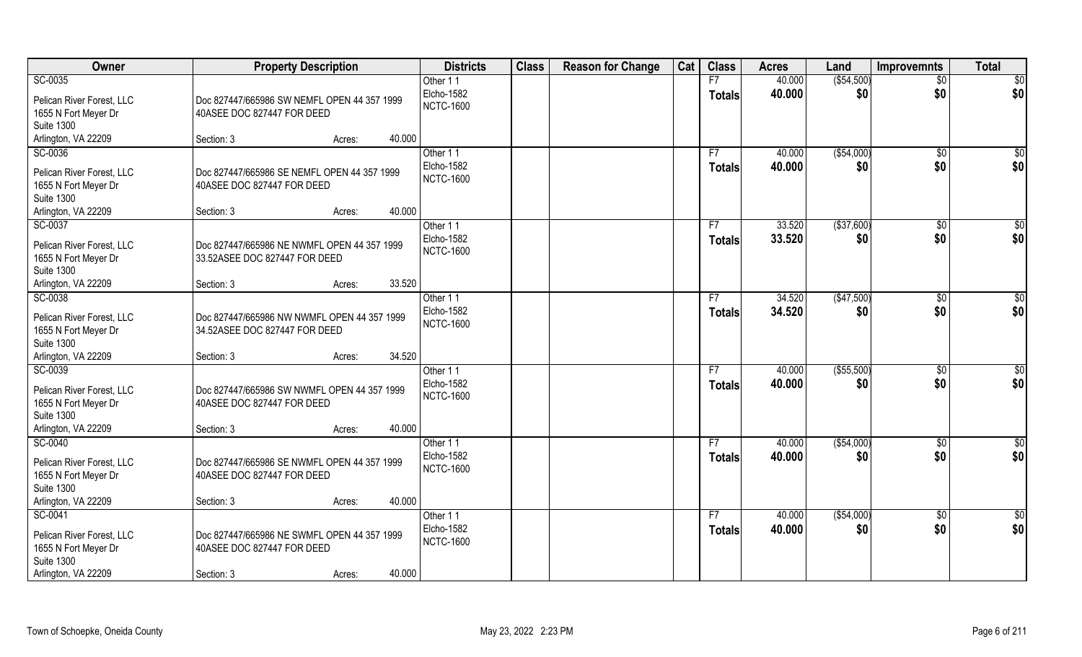| Owner                                                                                                    | <b>Property Description</b>                                                             |                  | <b>Districts</b>                           | <b>Class</b> | <b>Reason for Change</b> | Cat | <b>Class</b>        | <b>Acres</b>     | Land               | <b>Improvemnts</b>    | <b>Total</b>    |
|----------------------------------------------------------------------------------------------------------|-----------------------------------------------------------------------------------------|------------------|--------------------------------------------|--------------|--------------------------|-----|---------------------|------------------|--------------------|-----------------------|-----------------|
| SC-0035                                                                                                  |                                                                                         |                  | Other 11                                   |              |                          |     | F7                  | 40.000           | ( \$54,500)        | $\overline{50}$       | \$0             |
| Pelican River Forest, LLC<br>1655 N Fort Meyer Dr                                                        | Doc 827447/665986 SW NEMFL OPEN 44 357 1999<br>40ASEE DOC 827447 FOR DEED               |                  | Elcho-1582<br><b>NCTC-1600</b>             |              |                          |     | <b>Totals</b>       | 40.000           | \$0                | \$0                   | \$0             |
| <b>Suite 1300</b>                                                                                        |                                                                                         |                  |                                            |              |                          |     |                     |                  |                    |                       |                 |
| Arlington, VA 22209                                                                                      | Section: 3                                                                              | 40.000<br>Acres: |                                            |              |                          |     |                     |                  |                    |                       |                 |
| SC-0036                                                                                                  |                                                                                         |                  | Other 11                                   |              |                          |     | F7                  | 40.000           | ( \$54,000)        | \$0                   | \$0             |
| Pelican River Forest, LLC<br>1655 N Fort Meyer Dr<br><b>Suite 1300</b>                                   | Doc 827447/665986 SE NEMFL OPEN 44 357 1999<br>40ASEE DOC 827447 FOR DEED               |                  | Elcho-1582<br><b>NCTC-1600</b>             |              |                          |     | <b>Totals</b>       | 40.000           | \$0                | \$0                   | \$0             |
| Arlington, VA 22209                                                                                      | Section: 3                                                                              | 40.000<br>Acres: |                                            |              |                          |     |                     |                  |                    |                       |                 |
| SC-0037                                                                                                  |                                                                                         |                  | Other 11                                   |              |                          |     | F7                  | 33.520           | ( \$37,600)        | \$0                   | $\overline{50}$ |
| Pelican River Forest, LLC<br>1655 N Fort Meyer Dr<br><b>Suite 1300</b>                                   | Doc 827447/665986 NE NWMFL OPEN 44 357 1999<br>33.52ASEE DOC 827447 FOR DEED            |                  | Elcho-1582<br><b>NCTC-1600</b>             |              |                          |     | <b>Totals</b>       | 33.520           | \$0                | \$0                   | \$0             |
| Arlington, VA 22209                                                                                      | Section: 3                                                                              | 33.520<br>Acres: |                                            |              |                          |     |                     |                  |                    |                       |                 |
| SC-0038                                                                                                  |                                                                                         |                  | Other 11                                   |              |                          |     | F7                  | 34.520           | (\$47,500)         | $\sqrt[6]{3}$         | \$0             |
| Pelican River Forest, LLC<br>1655 N Fort Meyer Dr<br><b>Suite 1300</b>                                   | Doc 827447/665986 NW NWMFL OPEN 44 357 1999<br>34.52ASEE DOC 827447 FOR DEED            |                  | Elcho-1582<br><b>NCTC-1600</b>             |              |                          |     | <b>Totals</b>       | 34.520           | \$0                | \$0                   | \$0             |
| Arlington, VA 22209                                                                                      | Section: 3                                                                              | 34.520<br>Acres: |                                            |              |                          |     |                     |                  |                    |                       |                 |
| SC-0039<br>Pelican River Forest, LLC<br>1655 N Fort Meyer Dr<br><b>Suite 1300</b>                        | Doc 827447/665986 SW NWMFL OPEN 44 357 1999<br>40ASEE DOC 827447 FOR DEED               |                  | Other 11<br>Elcho-1582<br><b>NCTC-1600</b> |              |                          |     | F7<br><b>Totals</b> | 40.000<br>40.000 | ( \$55,500)<br>\$0 | $\sqrt[6]{30}$<br>\$0 | \$0<br>\$0      |
| Arlington, VA 22209                                                                                      | Section: 3                                                                              | 40.000<br>Acres: |                                            |              |                          |     |                     |                  |                    |                       |                 |
| SC-0040                                                                                                  |                                                                                         |                  | Other 11                                   |              |                          |     | F7                  | 40.000           | ( \$54,000)        | \$0                   | $\frac{6}{3}$   |
| Pelican River Forest, LLC<br>1655 N Fort Meyer Dr<br><b>Suite 1300</b>                                   | Doc 827447/665986 SE NWMFL OPEN 44 357 1999<br>40ASEE DOC 827447 FOR DEED               |                  | Elcho-1582<br><b>NCTC-1600</b>             |              |                          |     | <b>Totals</b>       | 40.000           | \$0                | \$0                   | \$0             |
| Arlington, VA 22209                                                                                      | Section: 3                                                                              | 40.000<br>Acres: |                                            |              |                          |     |                     |                  |                    |                       |                 |
| SC-0041<br>Pelican River Forest, LLC<br>1655 N Fort Meyer Dr<br><b>Suite 1300</b><br>Arlington, VA 22209 | Doc 827447/665986 NE SWMFL OPEN 44 357 1999<br>40ASEE DOC 827447 FOR DEED<br>Section: 3 | 40.000<br>Acres: | Other 11<br>Elcho-1582<br><b>NCTC-1600</b> |              |                          |     | F7<br><b>Totals</b> | 40.000<br>40.000 | ( \$54,000)<br>\$0 | $\sqrt{$0}$<br>\$0    | \$0<br>\$0      |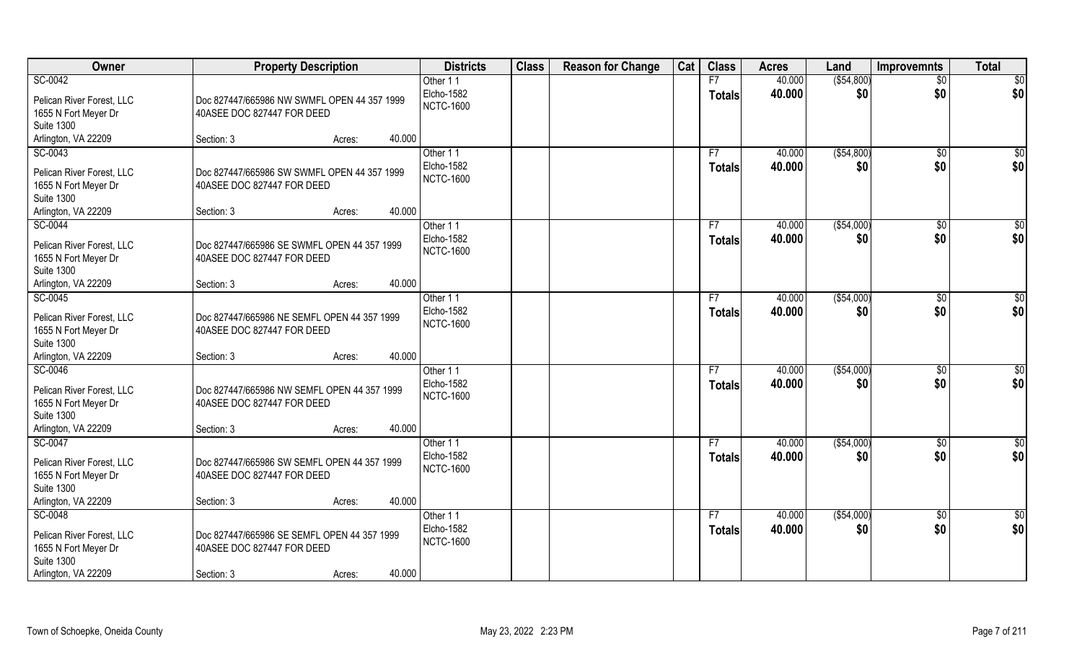| Owner                                                                                                    | <b>Property Description</b>                                                                                 | <b>Districts</b>                           | <b>Class</b> | <b>Reason for Change</b> | Cat | <b>Class</b>        | <b>Acres</b>     | Land               | <b>Improvemnts</b>    | <b>Total</b>           |
|----------------------------------------------------------------------------------------------------------|-------------------------------------------------------------------------------------------------------------|--------------------------------------------|--------------|--------------------------|-----|---------------------|------------------|--------------------|-----------------------|------------------------|
| SC-0042                                                                                                  |                                                                                                             | Other 11                                   |              |                          |     | F7                  | 40.000           | ( \$54, 800)       | $\overline{50}$       | \$0                    |
| Pelican River Forest, LLC<br>1655 N Fort Meyer Dr<br><b>Suite 1300</b>                                   | Doc 827447/665986 NW SWMFL OPEN 44 357 1999<br>40ASEE DOC 827447 FOR DEED                                   | Elcho-1582<br><b>NCTC-1600</b>             |              |                          |     | <b>Totals</b>       | 40.000           | \$0                | \$0                   | \$0                    |
| Arlington, VA 22209                                                                                      | 40.000<br>Section: 3<br>Acres:                                                                              |                                            |              |                          |     |                     |                  |                    |                       |                        |
| SC-0043                                                                                                  |                                                                                                             | Other 11                                   |              |                          |     | F7                  | 40.000           | ( \$54, 800)       | $\overline{50}$       | $\sqrt{50}$            |
| Pelican River Forest, LLC<br>1655 N Fort Meyer Dr<br><b>Suite 1300</b>                                   | Doc 827447/665986 SW SWMFL OPEN 44 357 1999<br>40ASEE DOC 827447 FOR DEED                                   | Elcho-1582<br><b>NCTC-1600</b>             |              |                          |     | <b>Totals</b>       | 40.000           | \$0                | \$0                   | \$0                    |
| Arlington, VA 22209                                                                                      | 40.000<br>Section: 3<br>Acres:                                                                              |                                            |              |                          |     |                     |                  |                    |                       |                        |
| SC-0044<br>Pelican River Forest, LLC<br>1655 N Fort Meyer Dr<br><b>Suite 1300</b>                        | Doc 827447/665986 SE SWMFL OPEN 44 357 1999<br>40ASEE DOC 827447 FOR DEED                                   | Other 11<br>Elcho-1582<br><b>NCTC-1600</b> |              |                          |     | F7<br><b>Totals</b> | 40.000<br>40.000 | ( \$54,000)<br>\$0 | $\sqrt[6]{30}$<br>\$0 | \$0<br>\$0             |
| Arlington, VA 22209                                                                                      | 40.000<br>Section: 3<br>Acres:                                                                              |                                            |              |                          |     |                     |                  |                    |                       |                        |
| SC-0045<br>Pelican River Forest, LLC<br>1655 N Fort Meyer Dr<br><b>Suite 1300</b>                        | Doc 827447/665986 NE SEMFL OPEN 44 357 1999<br>40ASEE DOC 827447 FOR DEED                                   | Other 11<br>Elcho-1582<br><b>NCTC-1600</b> |              |                          |     | F7<br><b>Totals</b> | 40.000<br>40.000 | ( \$54,000)<br>\$0 | \$0<br>\$0            | $\overline{50}$<br>\$0 |
| Arlington, VA 22209                                                                                      | 40.000<br>Section: 3<br>Acres:                                                                              |                                            |              |                          |     |                     |                  |                    |                       |                        |
| SC-0046<br>Pelican River Forest, LLC<br>1655 N Fort Meyer Dr<br><b>Suite 1300</b>                        | Doc 827447/665986 NW SEMFL OPEN 44 357 1999<br>40ASEE DOC 827447 FOR DEED                                   | Other 11<br>Elcho-1582<br><b>NCTC-1600</b> |              |                          |     | F7<br><b>Totals</b> | 40.000<br>40.000 | ( \$54,000)<br>\$0 | \$0<br>\$0            | \$0<br>\$0             |
| Arlington, VA 22209                                                                                      | 40.000<br>Section: 3<br>Acres:                                                                              |                                            |              |                          |     |                     |                  |                    |                       |                        |
| SC-0047<br>Pelican River Forest, LLC<br>1655 N Fort Meyer Dr<br><b>Suite 1300</b>                        | Doc 827447/665986 SW SEMFL OPEN 44 357 1999<br>40ASEE DOC 827447 FOR DEED                                   | Other 11<br>Elcho-1582<br><b>NCTC-1600</b> |              |                          |     | F7<br><b>Totals</b> | 40.000<br>40.000 | ( \$54,000)<br>\$0 | \$0<br>\$0            | $\frac{6}{3}$<br>\$0   |
| Arlington, VA 22209                                                                                      | 40.000<br>Section: 3<br>Acres:                                                                              |                                            |              |                          |     |                     |                  |                    |                       |                        |
| SC-0048<br>Pelican River Forest, LLC<br>1655 N Fort Meyer Dr<br><b>Suite 1300</b><br>Arlington, VA 22209 | Doc 827447/665986 SE SEMFL OPEN 44 357 1999<br>40ASEE DOC 827447 FOR DEED<br>40.000<br>Section: 3<br>Acres: | Other 11<br>Elcho-1582<br><b>NCTC-1600</b> |              |                          |     | F7<br><b>Totals</b> | 40.000<br>40.000 | ( \$54,000)<br>\$0 | $\sqrt{$0}$<br>\$0    | \$0<br>\$0             |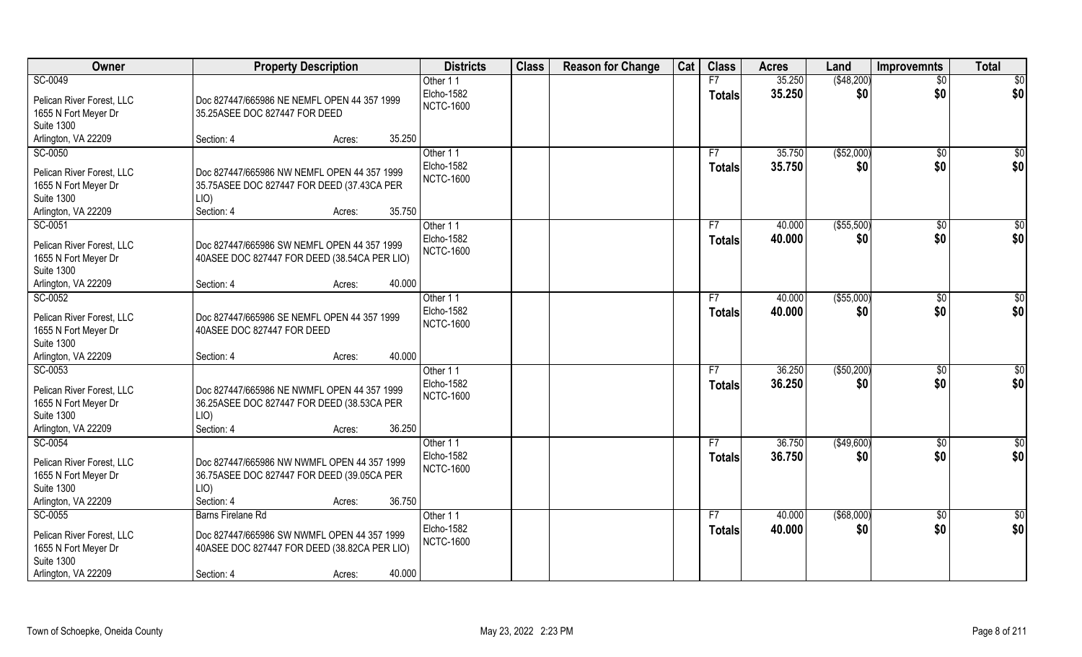| Owner                                     | <b>Property Description</b>                  | <b>Districts</b> | <b>Class</b> | <b>Reason for Change</b> | Cat | <b>Class</b>  | <b>Acres</b> | Land        | <b>Improvemnts</b> | <b>Total</b> |
|-------------------------------------------|----------------------------------------------|------------------|--------------|--------------------------|-----|---------------|--------------|-------------|--------------------|--------------|
| SC-0049                                   |                                              | Other 11         |              |                          |     | F7            | 35.250       | (\$48,200)  | $\overline{50}$    | \$0          |
| Pelican River Forest, LLC                 | Doc 827447/665986 NE NEMFL OPEN 44 357 1999  | Elcho-1582       |              |                          |     | <b>Totals</b> | 35.250       | \$0         | \$0                | \$0          |
| 1655 N Fort Meyer Dr                      | 35.25ASEE DOC 827447 FOR DEED                | <b>NCTC-1600</b> |              |                          |     |               |              |             |                    |              |
| <b>Suite 1300</b>                         |                                              |                  |              |                          |     |               |              |             |                    |              |
| Arlington, VA 22209                       | 35.250<br>Section: 4<br>Acres:               |                  |              |                          |     |               |              |             |                    |              |
| SC-0050                                   |                                              | Other 11         |              |                          |     | F7            | 35.750       | (\$52,000)  | \$0                | $\sqrt{50}$  |
| Pelican River Forest, LLC                 | Doc 827447/665986 NW NEMFL OPEN 44 357 1999  | Elcho-1582       |              |                          |     | Totals        | 35.750       | \$0         | \$0                | \$0          |
| 1655 N Fort Meyer Dr                      | 35.75ASEE DOC 827447 FOR DEED (37.43CA PER   | <b>NCTC-1600</b> |              |                          |     |               |              |             |                    |              |
| <b>Suite 1300</b>                         | LIO)                                         |                  |              |                          |     |               |              |             |                    |              |
| Arlington, VA 22209                       | 35.750<br>Section: 4<br>Acres:               |                  |              |                          |     |               |              |             |                    |              |
| SC-0051                                   |                                              | Other 11         |              |                          |     | F7            | 40.000       | ( \$55,500) | \$0                | \$0          |
| Pelican River Forest, LLC                 | Doc 827447/665986 SW NEMFL OPEN 44 357 1999  | Elcho-1582       |              |                          |     | <b>Totals</b> | 40.000       | \$0         | \$0                | \$0          |
| 1655 N Fort Meyer Dr                      | 40ASEE DOC 827447 FOR DEED (38.54CA PER LIO) | <b>NCTC-1600</b> |              |                          |     |               |              |             |                    |              |
| <b>Suite 1300</b>                         |                                              |                  |              |                          |     |               |              |             |                    |              |
| Arlington, VA 22209                       | 40.000<br>Section: 4<br>Acres:               |                  |              |                          |     |               |              |             |                    |              |
| SC-0052                                   |                                              | Other 11         |              |                          |     | F7            | 40.000       | ( \$55,000) | \$0                | \$0          |
| Pelican River Forest, LLC                 | Doc 827447/665986 SE NEMFL OPEN 44 357 1999  | Elcho-1582       |              |                          |     | <b>Totals</b> | 40.000       | \$0         | \$0                | \$0          |
| 1655 N Fort Meyer Dr                      | 40ASEE DOC 827447 FOR DEED                   | <b>NCTC-1600</b> |              |                          |     |               |              |             |                    |              |
| <b>Suite 1300</b>                         |                                              |                  |              |                          |     |               |              |             |                    |              |
| Arlington, VA 22209                       | 40.000<br>Section: 4<br>Acres:               |                  |              |                          |     |               |              |             |                    |              |
| SC-0053                                   |                                              | Other 11         |              |                          |     | F7            | 36.250       | (\$50,200)  | $\overline{60}$    | \$0          |
|                                           |                                              | Elcho-1582       |              |                          |     | <b>Totals</b> | 36.250       | \$0         | \$0                | \$0          |
| Pelican River Forest, LLC                 | Doc 827447/665986 NE NWMFL OPEN 44 357 1999  | <b>NCTC-1600</b> |              |                          |     |               |              |             |                    |              |
| 1655 N Fort Meyer Dr<br><b>Suite 1300</b> | 36.25ASEE DOC 827447 FOR DEED (38.53CA PER   |                  |              |                          |     |               |              |             |                    |              |
| Arlington, VA 22209                       | LIO)<br>36.250<br>Section: 4<br>Acres:       |                  |              |                          |     |               |              |             |                    |              |
| SC-0054                                   |                                              | Other 11         |              |                          |     | F7            | 36.750       | (\$49,600)  | $\overline{50}$    | \$0          |
|                                           |                                              | Elcho-1582       |              |                          |     | <b>Totals</b> | 36.750       | \$0         | \$0                | \$0          |
| Pelican River Forest, LLC                 | Doc 827447/665986 NW NWMFL OPEN 44 357 1999  | <b>NCTC-1600</b> |              |                          |     |               |              |             |                    |              |
| 1655 N Fort Meyer Dr                      | 36.75ASEE DOC 827447 FOR DEED (39.05CA PER   |                  |              |                          |     |               |              |             |                    |              |
| <b>Suite 1300</b>                         | $LIO$ )                                      |                  |              |                          |     |               |              |             |                    |              |
| Arlington, VA 22209                       | 36.750<br>Section: 4<br>Acres:               |                  |              |                          |     |               |              |             |                    |              |
| SC-0055                                   | Barns Firelane Rd                            | Other 11         |              |                          |     | F7            | 40.000       | ( \$68,000) | $\overline{50}$    | \$0          |
| Pelican River Forest, LLC                 | Doc 827447/665986 SW NWMFL OPEN 44 357 1999  | Elcho-1582       |              |                          |     | <b>Totals</b> | 40.000       | \$0         | \$0                | \$0          |
| 1655 N Fort Meyer Dr                      | 40ASEE DOC 827447 FOR DEED (38.82CA PER LIO) | <b>NCTC-1600</b> |              |                          |     |               |              |             |                    |              |
| <b>Suite 1300</b>                         |                                              |                  |              |                          |     |               |              |             |                    |              |
| Arlington, VA 22209                       | 40.000<br>Section: 4<br>Acres:               |                  |              |                          |     |               |              |             |                    |              |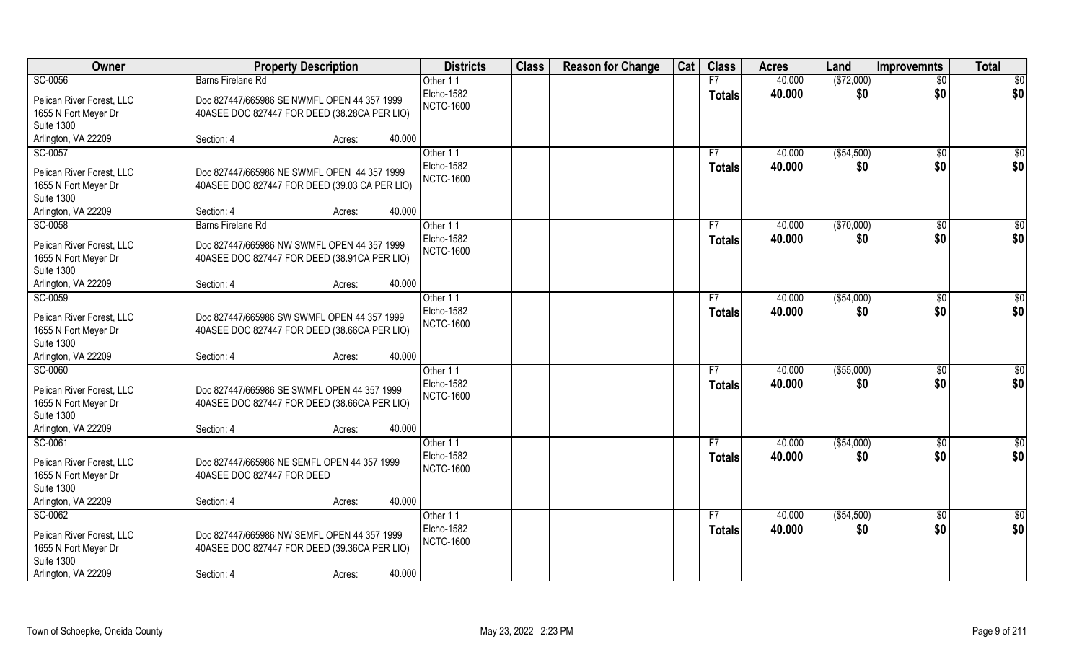| Owner                                                                                                    | <b>Property Description</b>                                                                                                   | <b>Districts</b>                                  | <b>Class</b> | <b>Reason for Change</b> | Cat | <b>Class</b>        | <b>Acres</b>     | Land               | <b>Improvemnts</b>     | <b>Total</b> |
|----------------------------------------------------------------------------------------------------------|-------------------------------------------------------------------------------------------------------------------------------|---------------------------------------------------|--------------|--------------------------|-----|---------------------|------------------|--------------------|------------------------|--------------|
| SC-0056                                                                                                  | Barns Firelane Rd                                                                                                             | Other 11                                          |              |                          |     | F7                  | 40.000           | (\$72,000)         | $\overline{50}$        | \$0          |
| Pelican River Forest, LLC<br>1655 N Fort Meyer Dr                                                        | Doc 827447/665986 SE NWMFL OPEN 44 357 1999<br>40ASEE DOC 827447 FOR DEED (38.28CA PER LIO)                                   | Elcho-1582<br><b>NCTC-1600</b>                    |              |                          |     | <b>Totals</b>       | 40.000           | \$0                | \$0                    | \$0          |
| <b>Suite 1300</b><br>Arlington, VA 22209                                                                 | Section: 4<br>40.000<br>Acres:                                                                                                |                                                   |              |                          |     |                     |                  |                    |                        |              |
| SC-0057                                                                                                  |                                                                                                                               | Other 11                                          |              |                          |     | F7                  | 40.000           | ( \$54,500)        | \$0                    | \$0          |
| Pelican River Forest, LLC<br>1655 N Fort Meyer Dr<br><b>Suite 1300</b>                                   | Doc 827447/665986 NE SWMFL OPEN 44 357 1999<br>40ASEE DOC 827447 FOR DEED (39.03 CA PER LIO)                                  | Elcho-1582<br><b>NCTC-1600</b>                    |              |                          |     | Totals              | 40.000           | \$0                | \$0                    | \$0          |
| Arlington, VA 22209                                                                                      | 40.000<br>Section: 4<br>Acres:                                                                                                |                                                   |              |                          |     |                     |                  |                    |                        |              |
| SC-0058                                                                                                  | Barns Firelane Rd                                                                                                             | Other 11                                          |              |                          |     | F7                  | 40.000           | ( \$70,000)        | $\sqrt{6}$             | \$0          |
| Pelican River Forest, LLC<br>1655 N Fort Meyer Dr<br><b>Suite 1300</b>                                   | Doc 827447/665986 NW SWMFL OPEN 44 357 1999<br>40ASEE DOC 827447 FOR DEED (38.91CA PER LIO)                                   | Elcho-1582<br><b>NCTC-1600</b>                    |              |                          |     | <b>Totals</b>       | 40.000           | \$0                | \$0                    | \$0          |
| Arlington, VA 22209                                                                                      | 40.000<br>Section: 4<br>Acres:                                                                                                |                                                   |              |                          |     |                     |                  |                    |                        |              |
| SC-0059<br>Pelican River Forest, LLC<br>1655 N Fort Meyer Dr<br><b>Suite 1300</b>                        | Doc 827447/665986 SW SWMFL OPEN 44 357 1999<br>40ASEE DOC 827447 FOR DEED (38.66CA PER LIO)                                   | Other 11<br>Elcho-1582<br><b>NCTC-1600</b>        |              |                          |     | F7<br><b>Totals</b> | 40.000<br>40.000 | ( \$54,000)<br>\$0 | \$0<br>\$0             | \$0<br>\$0   |
| Arlington, VA 22209                                                                                      | 40.000<br>Section: 4<br>Acres:                                                                                                |                                                   |              |                          |     |                     |                  |                    |                        |              |
| SC-0060<br>Pelican River Forest, LLC<br>1655 N Fort Meyer Dr<br><b>Suite 1300</b><br>Arlington, VA 22209 | Doc 827447/665986 SE SWMFL OPEN 44 357 1999<br>40ASEE DOC 827447 FOR DEED (38.66CA PER LIO)<br>40.000<br>Section: 4<br>Acres: | Other 11<br><b>Elcho-1582</b><br><b>NCTC-1600</b> |              |                          |     | F7<br><b>Totals</b> | 40.000<br>40.000 | (\$55,000)<br>\$0  | \$0<br>\$0             | \$0<br>\$0   |
| SC-0061                                                                                                  |                                                                                                                               | Other 11                                          |              |                          |     | F7                  | 40.000           | ( \$54,000)        | \$0                    | \$0          |
| Pelican River Forest, LLC<br>1655 N Fort Meyer Dr<br><b>Suite 1300</b>                                   | Doc 827447/665986 NE SEMFL OPEN 44 357 1999<br>40ASEE DOC 827447 FOR DEED                                                     | Elcho-1582<br><b>NCTC-1600</b>                    |              |                          |     | <b>Totals</b>       | 40.000           | \$0                | \$0                    | \$0          |
| Arlington, VA 22209                                                                                      | 40.000<br>Section: 4<br>Acres:                                                                                                |                                                   |              |                          |     |                     |                  |                    |                        |              |
| SC-0062<br>Pelican River Forest, LLC<br>1655 N Fort Meyer Dr<br><b>Suite 1300</b><br>Arlington, VA 22209 | Doc 827447/665986 NW SEMFL OPEN 44 357 1999<br>40ASEE DOC 827447 FOR DEED (39.36CA PER LIO)<br>40.000<br>Section: 4<br>Acres: | Other 11<br>Elcho-1582<br><b>NCTC-1600</b>        |              |                          |     | F7<br><b>Totals</b> | 40.000<br>40.000 | ( \$54,500)<br>\$0 | $\overline{50}$<br>\$0 | \$0<br>\$0   |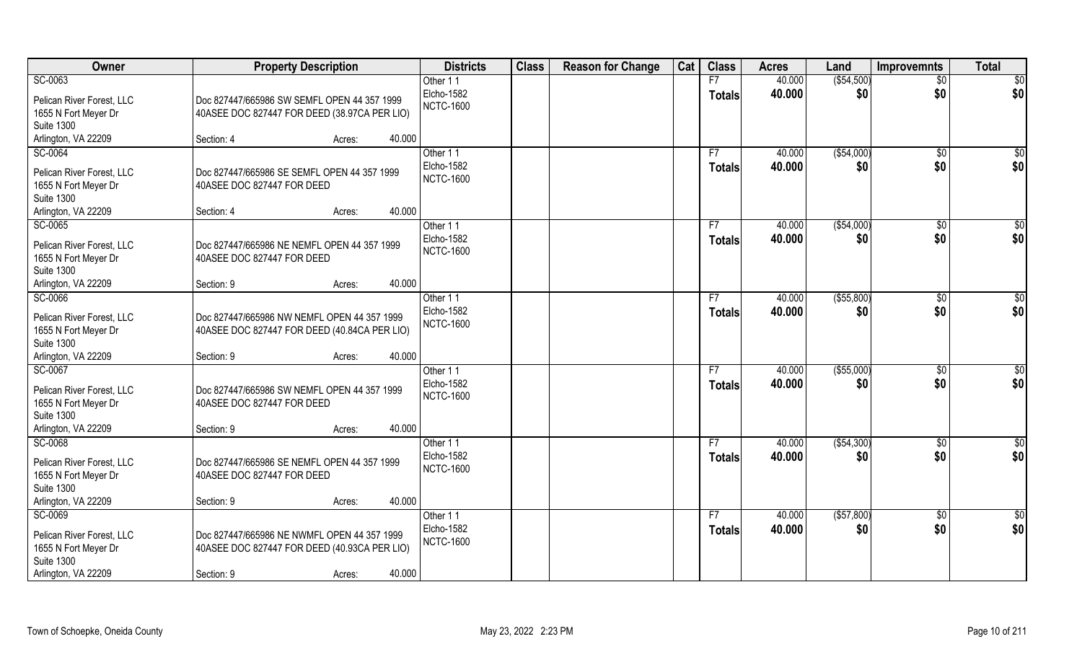| Owner                                                                             | <b>Property Description</b>                                                                 | <b>Districts</b>                           | <b>Class</b> | <b>Reason for Change</b> | Cat | <b>Class</b>        | <b>Acres</b>     | Land                | <b>Improvemnts</b>  | <b>Total</b> |
|-----------------------------------------------------------------------------------|---------------------------------------------------------------------------------------------|--------------------------------------------|--------------|--------------------------|-----|---------------------|------------------|---------------------|---------------------|--------------|
| SC-0063                                                                           |                                                                                             | Other 11                                   |              |                          |     | F7                  | 40.000           | ( \$54,500)         | $\overline{50}$     | \$0          |
| Pelican River Forest, LLC<br>1655 N Fort Meyer Dr<br><b>Suite 1300</b>            | Doc 827447/665986 SW SEMFL OPEN 44 357 1999<br>40ASEE DOC 827447 FOR DEED (38.97CA PER LIO) | Elcho-1582<br><b>NCTC-1600</b>             |              |                          |     | <b>Totals</b>       | 40.000           | \$0                 | \$0                 | \$0          |
| Arlington, VA 22209                                                               | Section: 4<br>40.000<br>Acres:                                                              |                                            |              |                          |     |                     |                  |                     |                     |              |
| SC-0064<br>Pelican River Forest, LLC                                              | Doc 827447/665986 SE SEMFL OPEN 44 357 1999                                                 | Other 11<br>Elcho-1582                     |              |                          |     | F7<br><b>Totals</b> | 40.000<br>40.000 | ( \$54,000)<br>\$0  | $\sqrt{6}$<br>\$0   | \$0<br>\$0   |
| 1655 N Fort Meyer Dr<br><b>Suite 1300</b>                                         | 40ASEE DOC 827447 FOR DEED                                                                  | <b>NCTC-1600</b>                           |              |                          |     |                     |                  |                     |                     |              |
| Arlington, VA 22209                                                               | 40.000<br>Section: 4<br>Acres:                                                              |                                            |              |                          |     |                     |                  |                     |                     |              |
| SC-0065                                                                           |                                                                                             | Other 11                                   |              |                          |     | F7                  | 40.000           | ( \$54,000)         | $\sqrt[6]{}$        | \$0          |
| Pelican River Forest, LLC<br>1655 N Fort Meyer Dr<br><b>Suite 1300</b>            | Doc 827447/665986 NE NEMFL OPEN 44 357 1999<br>40ASEE DOC 827447 FOR DEED                   | Elcho-1582<br><b>NCTC-1600</b>             |              |                          |     | <b>Totals</b>       | 40.000           | \$0                 | \$0                 | \$0          |
| Arlington, VA 22209                                                               | 40.000<br>Section: 9<br>Acres:                                                              |                                            |              |                          |     |                     |                  |                     |                     |              |
| SC-0066                                                                           |                                                                                             | Other 11<br>Elcho-1582                     |              |                          |     | F7<br><b>Totals</b> | 40.000<br>40.000 | ( \$55, 800)<br>\$0 | \$0<br>\$0          | \$0<br>\$0   |
| Pelican River Forest, LLC<br>1655 N Fort Meyer Dr<br><b>Suite 1300</b>            | Doc 827447/665986 NW NEMFL OPEN 44 357 1999<br>40ASEE DOC 827447 FOR DEED (40.84CA PER LIO) | <b>NCTC-1600</b>                           |              |                          |     |                     |                  |                     |                     |              |
| Arlington, VA 22209                                                               | 40.000<br>Section: 9<br>Acres:                                                              |                                            |              |                          |     |                     |                  |                     |                     |              |
| SC-0067<br>Pelican River Forest, LLC<br>1655 N Fort Meyer Dr<br><b>Suite 1300</b> | Doc 827447/665986 SW NEMFL OPEN 44 357 1999<br>40ASEE DOC 827447 FOR DEED                   | Other 11<br>Elcho-1582<br><b>NCTC-1600</b> |              |                          |     | F7<br><b>Totals</b> | 40.000<br>40.000 | ( \$55,000)<br>\$0  | \$0<br>\$0          | \$0<br>\$0   |
| Arlington, VA 22209                                                               | 40.000<br>Section: 9<br>Acres:                                                              |                                            |              |                          |     |                     |                  |                     |                     |              |
| SC-0068                                                                           |                                                                                             | Other 11                                   |              |                          |     | F7                  | 40.000           | (\$54,300)          | \$0                 | \$0          |
| Pelican River Forest, LLC<br>1655 N Fort Meyer Dr<br><b>Suite 1300</b>            | Doc 827447/665986 SE NEMFL OPEN 44 357 1999<br>40ASEE DOC 827447 FOR DEED                   | Elcho-1582<br><b>NCTC-1600</b>             |              |                          |     | <b>Totals</b>       | 40.000           | \$0                 | \$0                 | \$0          |
| Arlington, VA 22209                                                               | 40.000<br>Section: 9<br>Acres:                                                              |                                            |              |                          |     |                     |                  |                     |                     |              |
| SC-0069                                                                           |                                                                                             | Other 11<br>Elcho-1582                     |              |                          |     | F7<br><b>Totals</b> | 40.000<br>40.000 | ( \$57, 800)<br>\$0 | $\sqrt[6]{}$<br>\$0 | \$0<br>\$0   |
| Pelican River Forest, LLC<br>1655 N Fort Meyer Dr<br><b>Suite 1300</b>            | Doc 827447/665986 NE NWMFL OPEN 44 357 1999<br>40ASEE DOC 827447 FOR DEED (40.93CA PER LIO) | <b>NCTC-1600</b>                           |              |                          |     |                     |                  |                     |                     |              |
| Arlington, VA 22209                                                               | 40.000<br>Section: 9<br>Acres:                                                              |                                            |              |                          |     |                     |                  |                     |                     |              |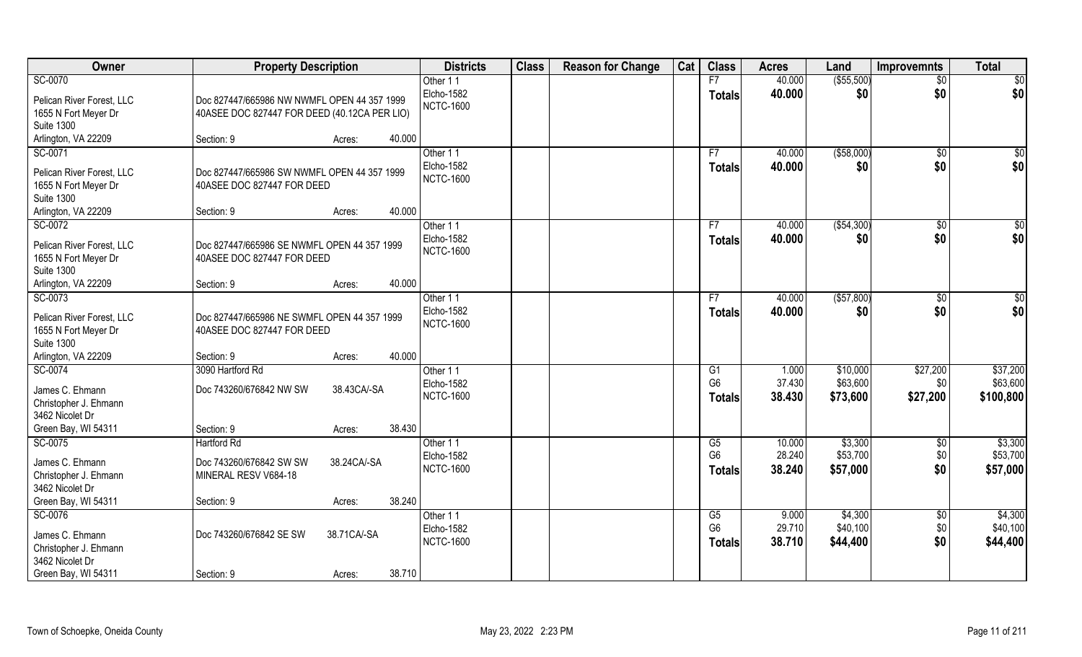| Owner                                                                             | <b>Property Description</b>                                                                 |             |        | <b>Districts</b>                           | <b>Class</b> | <b>Reason for Change</b> | Cat | <b>Class</b>                          | <b>Acres</b>              | Land                             | <b>Improvemnts</b>            | <b>Total</b>                      |
|-----------------------------------------------------------------------------------|---------------------------------------------------------------------------------------------|-------------|--------|--------------------------------------------|--------------|--------------------------|-----|---------------------------------------|---------------------------|----------------------------------|-------------------------------|-----------------------------------|
| SC-0070                                                                           |                                                                                             |             |        | Other 11                                   |              |                          |     | F7                                    | 40.000                    | ( \$55,500)                      | $\overline{50}$               | \$0                               |
| Pelican River Forest, LLC<br>1655 N Fort Meyer Dr<br><b>Suite 1300</b>            | Doc 827447/665986 NW NWMFL OPEN 44 357 1999<br>40ASEE DOC 827447 FOR DEED (40.12CA PER LIO) |             |        | Elcho-1582<br><b>NCTC-1600</b>             |              |                          |     | <b>Totals</b>                         | 40.000                    | \$0                              | \$0                           | \$0                               |
| Arlington, VA 22209                                                               | Section: 9                                                                                  | Acres:      | 40.000 |                                            |              |                          |     |                                       |                           |                                  |                               |                                   |
| SC-0071<br>Pelican River Forest, LLC                                              | Doc 827447/665986 SW NWMFL OPEN 44 357 1999                                                 |             |        | Other 11<br>Elcho-1582                     |              |                          |     | F7<br>Totals                          | 40.000<br>40.000          | ( \$58,000)<br>\$0               | \$0<br>\$0                    | $\sqrt{50}$<br>\$0                |
| 1655 N Fort Meyer Dr<br><b>Suite 1300</b>                                         | 40ASEE DOC 827447 FOR DEED                                                                  |             |        | <b>NCTC-1600</b>                           |              |                          |     |                                       |                           |                                  |                               |                                   |
| Arlington, VA 22209                                                               | Section: 9                                                                                  | Acres:      | 40.000 |                                            |              |                          |     |                                       |                           |                                  |                               |                                   |
| SC-0072<br>Pelican River Forest, LLC<br>1655 N Fort Meyer Dr<br><b>Suite 1300</b> | Doc 827447/665986 SE NWMFL OPEN 44 357 1999<br>40ASEE DOC 827447 FOR DEED                   |             |        | Other 11<br>Elcho-1582<br><b>NCTC-1600</b> |              |                          |     | F7<br><b>Totals</b>                   | 40.000<br>40.000          | ( \$54,300)<br>\$0               | $\sqrt[6]{3}$<br>\$0          | \$0<br>\$0                        |
| Arlington, VA 22209                                                               | Section: 9                                                                                  | Acres:      | 40.000 |                                            |              |                          |     |                                       |                           |                                  |                               |                                   |
| SC-0073<br>Pelican River Forest, LLC<br>1655 N Fort Meyer Dr<br><b>Suite 1300</b> | Doc 827447/665986 NE SWMFL OPEN 44 357 1999<br>40ASEE DOC 827447 FOR DEED                   |             |        | Other 11<br>Elcho-1582<br><b>NCTC-1600</b> |              |                          |     | F7<br><b>Totals</b>                   | 40.000<br>40.000          | ( \$57, 800)<br>\$0              | \$0<br>\$0                    | \$0<br>\$0                        |
| Arlington, VA 22209                                                               | Section: 9                                                                                  | Acres:      | 40.000 |                                            |              |                          |     |                                       |                           |                                  |                               |                                   |
| SC-0074<br>James C. Ehmann<br>Christopher J. Ehmann                               | 3090 Hartford Rd<br>Doc 743260/676842 NW SW                                                 | 38.43CA/-SA |        | Other 11<br>Elcho-1582<br><b>NCTC-1600</b> |              |                          |     | G1<br>G <sub>6</sub><br><b>Totals</b> | 1.000<br>37.430<br>38.430 | \$10,000<br>\$63,600<br>\$73,600 | \$27,200<br>\$0<br>\$27,200   | \$37,200<br>\$63,600<br>\$100,800 |
| 3462 Nicolet Dr<br>Green Bay, WI 54311                                            | Section: 9                                                                                  | Acres:      | 38.430 |                                            |              |                          |     |                                       |                           |                                  |                               |                                   |
| SC-0075                                                                           | <b>Hartford Rd</b>                                                                          |             |        | Other 11<br>Elcho-1582                     |              |                          |     | G5<br>G <sub>6</sub>                  | 10.000<br>28.240          | \$3,300<br>\$53,700              | \$0<br>\$0                    | \$3,300<br>\$53,700               |
| James C. Ehmann<br>Christopher J. Ehmann<br>3462 Nicolet Dr                       | Doc 743260/676842 SW SW<br>MINERAL RESV V684-18                                             | 38.24CA/-SA |        | <b>NCTC-1600</b>                           |              |                          |     | <b>Totals</b>                         | 38.240                    | \$57,000                         | \$0                           | \$57,000                          |
| Green Bay, WI 54311                                                               | Section: 9                                                                                  | Acres:      | 38.240 |                                            |              |                          |     |                                       |                           |                                  |                               |                                   |
| SC-0076<br>James C. Ehmann<br>Christopher J. Ehmann<br>3462 Nicolet Dr            | Doc 743260/676842 SE SW                                                                     | 38.71CA/-SA |        | Other 11<br>Elcho-1582<br><b>NCTC-1600</b> |              |                          |     | G5<br>G <sub>6</sub><br><b>Totals</b> | 9.000<br>29.710<br>38.710 | \$4,300<br>\$40,100<br>\$44,400  | $\overline{50}$<br>\$0<br>\$0 | \$4,300<br>\$40,100<br>\$44,400   |
| Green Bay, WI 54311                                                               | Section: 9                                                                                  | Acres:      | 38.710 |                                            |              |                          |     |                                       |                           |                                  |                               |                                   |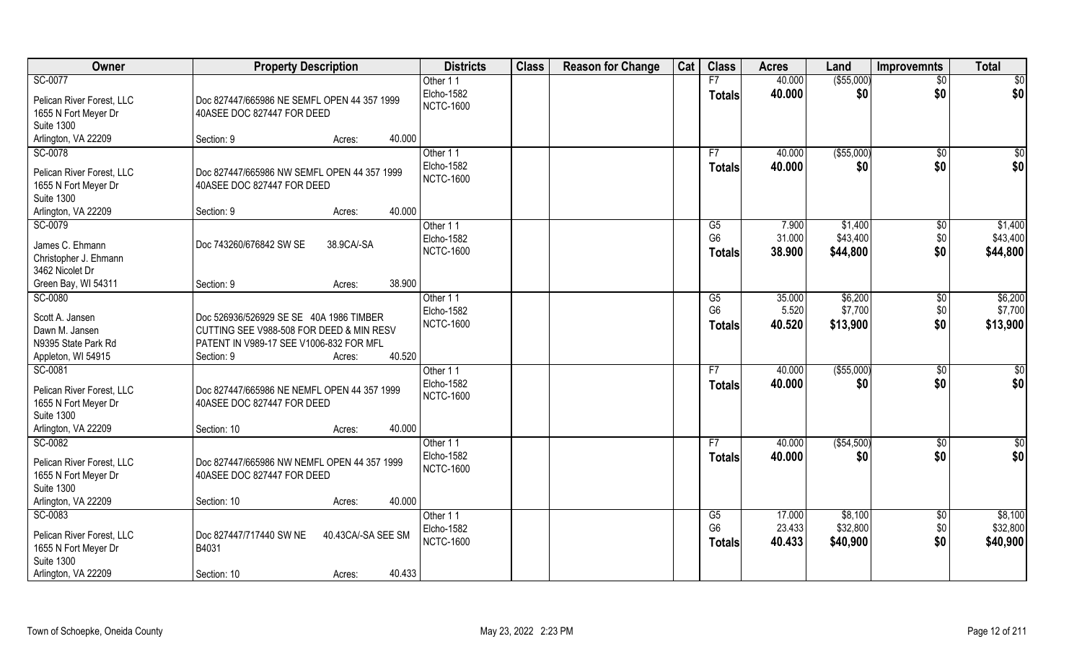| Owner                                                                             | <b>Property Description</b>                                                                                                                                      | <b>Districts</b>                           | <b>Class</b> | <b>Reason for Change</b> | Cat | <b>Class</b>                          | <b>Acres</b>               | Land                            | <b>Improvemnts</b>         | <b>Total</b>                    |
|-----------------------------------------------------------------------------------|------------------------------------------------------------------------------------------------------------------------------------------------------------------|--------------------------------------------|--------------|--------------------------|-----|---------------------------------------|----------------------------|---------------------------------|----------------------------|---------------------------------|
| SC-0077                                                                           |                                                                                                                                                                  | Other 11                                   |              |                          |     | F7                                    | 40.000                     | ( \$55,000)                     | $\overline{50}$            | \$0                             |
| Pelican River Forest, LLC<br>1655 N Fort Meyer Dr                                 | Doc 827447/665986 NE SEMFL OPEN 44 357 1999<br>40ASEE DOC 827447 FOR DEED                                                                                        | Elcho-1582<br><b>NCTC-1600</b>             |              |                          |     | <b>Totals</b>                         | 40.000                     | \$0                             | \$0                        | \$0                             |
| <b>Suite 1300</b>                                                                 |                                                                                                                                                                  |                                            |              |                          |     |                                       |                            |                                 |                            |                                 |
| Arlington, VA 22209                                                               | 40.000<br>Section: 9<br>Acres:                                                                                                                                   |                                            |              |                          |     |                                       |                            |                                 |                            |                                 |
| SC-0078                                                                           |                                                                                                                                                                  | Other 11                                   |              |                          |     | F7                                    | 40.000                     | ( \$55,000)                     | $\frac{1}{6}$              | \$0                             |
| Pelican River Forest, LLC<br>1655 N Fort Meyer Dr                                 | Doc 827447/665986 NW SEMFL OPEN 44 357 1999<br>40ASEE DOC 827447 FOR DEED                                                                                        | <b>Elcho-1582</b><br><b>NCTC-1600</b>      |              |                          |     | <b>Totals</b>                         | 40.000                     | \$0                             | \$0                        | \$0                             |
| <b>Suite 1300</b>                                                                 |                                                                                                                                                                  |                                            |              |                          |     |                                       |                            |                                 |                            |                                 |
| Arlington, VA 22209                                                               | 40.000<br>Section: 9<br>Acres:                                                                                                                                   |                                            |              |                          |     |                                       |                            |                                 |                            |                                 |
| SC-0079<br>James C. Ehmann<br>Christopher J. Ehmann<br>3462 Nicolet Dr            | Doc 743260/676842 SW SE<br>38.9CA/-SA                                                                                                                            | Other 11<br>Elcho-1582<br><b>NCTC-1600</b> |              |                          |     | G5<br>G <sub>6</sub><br><b>Totals</b> | 7.900<br>31.000<br>38.900  | \$1,400<br>\$43,400<br>\$44,800 | \$0<br>\$0<br>\$0          | \$1,400<br>\$43,400<br>\$44,800 |
| Green Bay, WI 54311                                                               | 38.900<br>Section: 9<br>Acres:                                                                                                                                   |                                            |              |                          |     |                                       |                            |                                 |                            |                                 |
| SC-0080                                                                           |                                                                                                                                                                  | Other 11                                   |              |                          |     | G5                                    | 35.000                     | \$6,200                         | \$0                        | \$6,200                         |
| Scott A. Jansen<br>Dawn M. Jansen<br>N9395 State Park Rd<br>Appleton, WI 54915    | Doc 526936/526929 SE SE 40A 1986 TIMBER<br>CUTTING SEE V988-508 FOR DEED & MIN RESV<br>PATENT IN V989-17 SEE V1006-832 FOR MFL<br>40.520<br>Section: 9<br>Acres: | Elcho-1582<br><b>NCTC-1600</b>             |              |                          |     | G <sub>6</sub><br><b>Totals</b>       | 5.520<br>40.520            | \$7,700<br>\$13,900             | \$0<br>\$0                 | \$7,700<br>\$13,900             |
| SC-0081                                                                           |                                                                                                                                                                  | Other 11                                   |              |                          |     | F7                                    | 40.000                     | ( \$55,000)                     | $\overline{50}$            | $\overline{50}$                 |
| Pelican River Forest, LLC<br>1655 N Fort Meyer Dr<br><b>Suite 1300</b>            | Doc 827447/665986 NE NEMFL OPEN 44 357 1999<br>40ASEE DOC 827447 FOR DEED                                                                                        | Elcho-1582<br><b>NCTC-1600</b>             |              |                          |     | <b>Totals</b>                         | 40.000                     | \$0                             | \$0                        | \$0                             |
| Arlington, VA 22209                                                               | 40.000<br>Section: 10<br>Acres:                                                                                                                                  |                                            |              |                          |     |                                       |                            |                                 |                            |                                 |
| SC-0082                                                                           |                                                                                                                                                                  | Other 11                                   |              |                          |     | F7                                    | 40.000                     | ( \$54,500)                     | \$0                        | \$0                             |
| Pelican River Forest, LLC<br>1655 N Fort Meyer Dr<br><b>Suite 1300</b>            | Doc 827447/665986 NW NEMFL OPEN 44 357 1999<br>40ASEE DOC 827447 FOR DEED                                                                                        | Elcho-1582<br><b>NCTC-1600</b>             |              |                          |     | <b>Totals</b>                         | 40.000                     | \$0                             | \$0                        | \$0                             |
| Arlington, VA 22209                                                               | 40.000<br>Section: 10<br>Acres:                                                                                                                                  |                                            |              |                          |     |                                       |                            |                                 |                            |                                 |
| SC-0083<br>Pelican River Forest, LLC<br>1655 N Fort Meyer Dr<br><b>Suite 1300</b> | Doc 827447/717440 SW NE<br>40.43CA/-SA SEE SM<br>B4031                                                                                                           | Other 11<br>Elcho-1582<br><b>NCTC-1600</b> |              |                          |     | G5<br>G <sub>6</sub><br><b>Totals</b> | 17.000<br>23.433<br>40.433 | \$8,100<br>\$32,800<br>\$40,900 | $\sqrt[6]{}$<br>\$0<br>\$0 | \$8,100<br>\$32,800<br>\$40,900 |
| Arlington, VA 22209                                                               | 40.433<br>Section: 10<br>Acres:                                                                                                                                  |                                            |              |                          |     |                                       |                            |                                 |                            |                                 |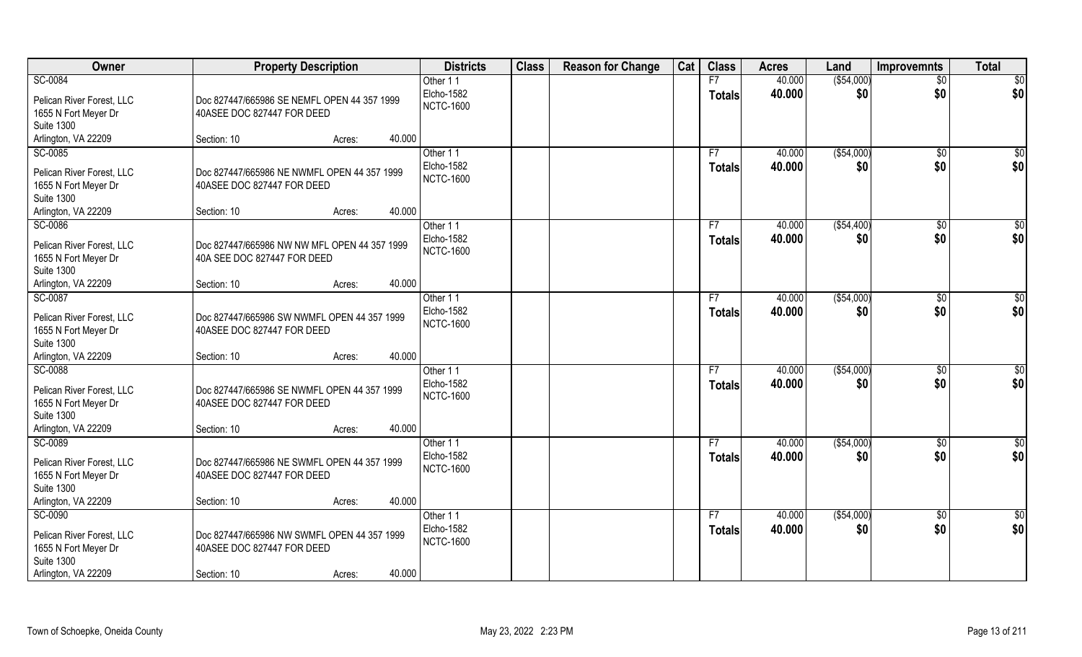| Owner                                                                                                    | <b>Property Description</b>                                                              |                  | <b>Districts</b>                           | <b>Class</b> | <b>Reason for Change</b> | Cat | <b>Class</b>        | <b>Acres</b>     | Land               | Improvemnts           | <b>Total</b>         |
|----------------------------------------------------------------------------------------------------------|------------------------------------------------------------------------------------------|------------------|--------------------------------------------|--------------|--------------------------|-----|---------------------|------------------|--------------------|-----------------------|----------------------|
| SC-0084                                                                                                  |                                                                                          |                  | Other 11                                   |              |                          |     | F7                  | 40.000           | ( \$54,000)        | $\overline{50}$       | \$0                  |
| Pelican River Forest, LLC<br>1655 N Fort Meyer Dr                                                        | Doc 827447/665986 SE NEMFL OPEN 44 357 1999<br>40ASEE DOC 827447 FOR DEED                |                  | Elcho-1582<br><b>NCTC-1600</b>             |              |                          |     | <b>Totals</b>       | 40.000           | \$0                | \$0                   | \$0                  |
| <b>Suite 1300</b>                                                                                        |                                                                                          |                  |                                            |              |                          |     |                     |                  |                    |                       |                      |
| Arlington, VA 22209                                                                                      | Section: 10                                                                              | 40.000<br>Acres: |                                            |              |                          |     |                     |                  |                    |                       |                      |
| SC-0085                                                                                                  |                                                                                          |                  | Other 11                                   |              |                          |     | F7                  | 40.000           | ( \$54,000)        | \$0                   | \$0                  |
| Pelican River Forest, LLC<br>1655 N Fort Meyer Dr<br><b>Suite 1300</b>                                   | Doc 827447/665986 NE NWMFL OPEN 44 357 1999<br>40ASEE DOC 827447 FOR DEED                |                  | Elcho-1582<br><b>NCTC-1600</b>             |              |                          |     | <b>Totals</b>       | 40.000           | \$0                | \$0                   | \$0                  |
| Arlington, VA 22209                                                                                      | Section: 10                                                                              | 40.000<br>Acres: |                                            |              |                          |     |                     |                  |                    |                       |                      |
| SC-0086                                                                                                  |                                                                                          |                  | Other 11                                   |              |                          |     | F7                  | 40.000           | ( \$54,400)        | \$0                   | \$0                  |
| Pelican River Forest, LLC<br>1655 N Fort Meyer Dr<br><b>Suite 1300</b>                                   | Doc 827447/665986 NW NW MFL OPEN 44 357 1999<br>40A SEE DOC 827447 FOR DEED              |                  | Elcho-1582<br><b>NCTC-1600</b>             |              |                          |     | <b>Totals</b>       | 40.000           | \$0                | \$0                   | \$0                  |
| Arlington, VA 22209                                                                                      | Section: 10                                                                              | 40.000<br>Acres: |                                            |              |                          |     |                     |                  |                    |                       |                      |
| SC-0087                                                                                                  |                                                                                          |                  | Other 11                                   |              |                          |     | F7                  | 40.000           | ( \$54,000)        | $\sqrt[6]{3}$         | \$0                  |
| Pelican River Forest, LLC<br>1655 N Fort Meyer Dr<br><b>Suite 1300</b>                                   | Doc 827447/665986 SW NWMFL OPEN 44 357 1999<br>40ASEE DOC 827447 FOR DEED                |                  | Elcho-1582<br><b>NCTC-1600</b>             |              |                          |     | <b>Totals</b>       | 40.000           | \$0                | \$0                   | \$0                  |
| Arlington, VA 22209                                                                                      | Section: 10                                                                              | 40.000<br>Acres: |                                            |              |                          |     |                     |                  |                    |                       |                      |
| SC-0088<br>Pelican River Forest, LLC<br>1655 N Fort Meyer Dr<br><b>Suite 1300</b>                        | Doc 827447/665986 SE NWMFL OPEN 44 357 1999<br>40ASEE DOC 827447 FOR DEED                |                  | Other 11<br>Elcho-1582<br><b>NCTC-1600</b> |              |                          |     | F7<br><b>Totals</b> | 40.000<br>40.000 | ( \$54,000)<br>\$0 | $\sqrt[6]{30}$<br>\$0 | \$0<br>\$0           |
| Arlington, VA 22209                                                                                      | Section: 10                                                                              | 40.000<br>Acres: |                                            |              |                          |     |                     |                  |                    |                       |                      |
| SC-0089<br>Pelican River Forest, LLC<br>1655 N Fort Meyer Dr<br><b>Suite 1300</b>                        | Doc 827447/665986 NE SWMFL OPEN 44 357 1999<br>40ASEE DOC 827447 FOR DEED                |                  | Other 11<br>Elcho-1582<br><b>NCTC-1600</b> |              |                          |     | F7<br><b>Totals</b> | 40.000<br>40.000 | ( \$54,000)<br>\$0 | \$0<br>\$0            | $\frac{6}{3}$<br>\$0 |
| Arlington, VA 22209                                                                                      | Section: 10                                                                              | 40.000<br>Acres: |                                            |              |                          |     |                     |                  |                    |                       |                      |
| SC-0090<br>Pelican River Forest, LLC<br>1655 N Fort Meyer Dr<br><b>Suite 1300</b><br>Arlington, VA 22209 | Doc 827447/665986 NW SWMFL OPEN 44 357 1999<br>40ASEE DOC 827447 FOR DEED<br>Section: 10 | 40.000<br>Acres: | Other 11<br>Elcho-1582<br><b>NCTC-1600</b> |              |                          |     | F7<br><b>Totals</b> | 40.000<br>40.000 | ( \$54,000)<br>\$0 | $\sqrt{6}$<br>\$0     | \$0<br>\$0           |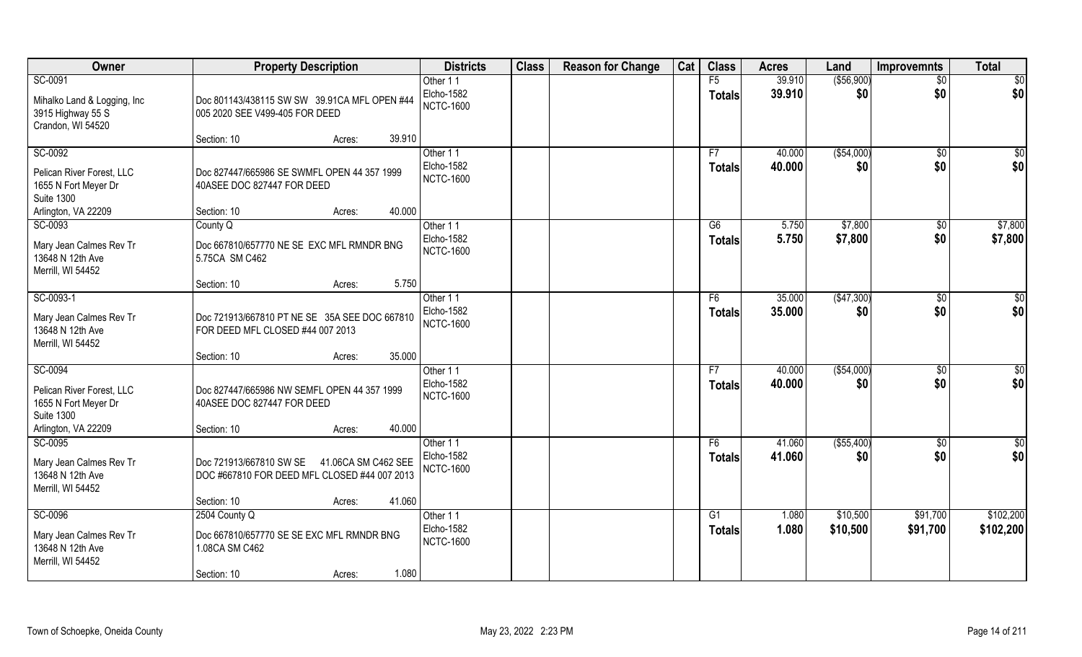| Owner                                                                  | <b>Property Description</b>                                                                    | <b>Districts</b>                      | <b>Class</b> | <b>Reason for Change</b> | Cat | <b>Class</b>        | <b>Acres</b>     | Land                | Improvemnts            | <b>Total</b>    |
|------------------------------------------------------------------------|------------------------------------------------------------------------------------------------|---------------------------------------|--------------|--------------------------|-----|---------------------|------------------|---------------------|------------------------|-----------------|
| SC-0091<br>Mihalko Land & Logging, Inc                                 | Doc 801143/438115 SW SW 39.91CA MFL OPEN #44                                                   | Other 11<br>Elcho-1582                |              |                          |     | F5<br><b>Totals</b> | 39.910<br>39.910 | ( \$56, 900)<br>\$0 | $\overline{50}$<br>\$0 | \$0<br>\$0      |
| 3915 Highway 55 S<br>Crandon, WI 54520                                 | 005 2020 SEE V499-405 FOR DEED                                                                 | <b>NCTC-1600</b>                      |              |                          |     |                     |                  |                     |                        |                 |
|                                                                        | 39.910<br>Section: 10<br>Acres:                                                                |                                       |              |                          |     |                     |                  |                     |                        |                 |
| SC-0092                                                                |                                                                                                | Other 11                              |              |                          |     | F7                  | 40.000           | ( \$54,000)         | \$0                    | \$0             |
| Pelican River Forest, LLC<br>1655 N Fort Meyer Dr<br><b>Suite 1300</b> | Doc 827447/665986 SE SWMFL OPEN 44 357 1999<br>40ASEE DOC 827447 FOR DEED                      | Elcho-1582<br><b>NCTC-1600</b>        |              |                          |     | <b>Totals</b>       | 40.000           | \$0                 | \$0                    | \$0             |
| Arlington, VA 22209                                                    | 40.000<br>Section: 10<br>Acres:                                                                |                                       |              |                          |     |                     |                  |                     |                        |                 |
| SC-0093                                                                | County Q                                                                                       | Other 11                              |              |                          |     | G6                  | 5.750            | \$7,800             | \$0                    | \$7,800         |
| Mary Jean Calmes Rev Tr<br>13648 N 12th Ave<br>Merrill, WI 54452       | Doc 667810/657770 NE SE EXC MFL RMNDR BNG<br>5.75CA SM C462                                    | Elcho-1582<br><b>NCTC-1600</b>        |              |                          |     | <b>Totals</b>       | 5.750            | \$7,800             | \$0                    | \$7,800         |
|                                                                        | 5.750<br>Section: 10<br>Acres:                                                                 |                                       |              |                          |     |                     |                  |                     |                        |                 |
| SC-0093-1                                                              |                                                                                                | Other 11                              |              |                          |     | F6                  | 35.000           | (\$47,300)          | $\sqrt[6]{3}$          | \$0             |
| Mary Jean Calmes Rev Tr<br>13648 N 12th Ave<br>Merrill, WI 54452       | Doc 721913/667810 PT NE SE 35A SEE DOC 667810<br>FOR DEED MFL CLOSED #44 007 2013              | <b>Elcho-1582</b><br><b>NCTC-1600</b> |              |                          |     | <b>Totals</b>       | 35.000           | \$0                 | \$0                    | \$0             |
|                                                                        | 35.000<br>Section: 10<br>Acres:                                                                |                                       |              |                          |     |                     |                  |                     |                        |                 |
| SC-0094                                                                |                                                                                                | Other 11<br><b>Elcho-1582</b>         |              |                          |     | F7<br><b>Totals</b> | 40.000<br>40.000 | ( \$54,000)<br>\$0  | \$0<br>\$0             | \$0<br>\$0      |
| Pelican River Forest, LLC<br>1655 N Fort Meyer Dr<br><b>Suite 1300</b> | Doc 827447/665986 NW SEMFL OPEN 44 357 1999<br>40ASEE DOC 827447 FOR DEED                      | <b>NCTC-1600</b>                      |              |                          |     |                     |                  |                     |                        |                 |
| Arlington, VA 22209                                                    | 40.000<br>Section: 10<br>Acres:                                                                |                                       |              |                          |     |                     |                  |                     |                        |                 |
| SC-0095                                                                |                                                                                                | Other 11                              |              |                          |     | F6                  | 41.060           | ( \$55,400)         | \$0                    | $\overline{30}$ |
| Mary Jean Calmes Rev Tr<br>13648 N 12th Ave<br>Merrill, WI 54452       | Doc 721913/667810 SW SE<br>41.06CA SM C462 SEE<br>DOC #667810 FOR DEED MFL CLOSED #44 007 2013 | <b>Elcho-1582</b><br><b>NCTC-1600</b> |              |                          |     | <b>Totals</b>       | 41.060           | \$0                 | \$0                    | \$0             |
|                                                                        | 41.060<br>Section: 10<br>Acres:                                                                |                                       |              |                          |     |                     |                  |                     |                        |                 |
| SC-0096                                                                | 2504 County Q                                                                                  | Other 11                              |              |                          |     | G <sub>1</sub>      | 1.080            | \$10,500            | \$91,700               | \$102,200       |
| Mary Jean Calmes Rev Tr<br>13648 N 12th Ave<br>Merrill, WI 54452       | Doc 667810/657770 SE SE EXC MFL RMNDR BNG<br>1.08CA SM C462                                    | Elcho-1582<br><b>NCTC-1600</b>        |              |                          |     | <b>Totals</b>       | 1.080            | \$10,500            | \$91,700               | \$102,200       |
|                                                                        | 1.080<br>Section: 10<br>Acres:                                                                 |                                       |              |                          |     |                     |                  |                     |                        |                 |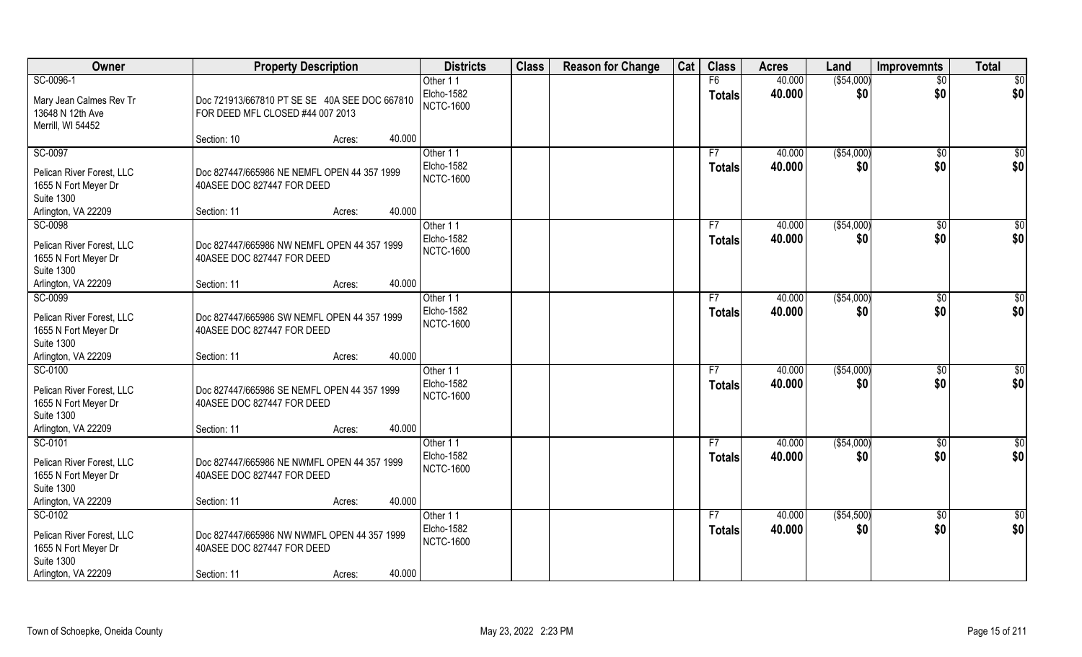| Owner                                                                                                    | <b>Property Description</b>                                                              |                  | <b>Districts</b>                           | <b>Class</b> | <b>Reason for Change</b> | Cat | <b>Class</b>        | <b>Acres</b>     | Land               | Improvemnts        | <b>Total</b>           |
|----------------------------------------------------------------------------------------------------------|------------------------------------------------------------------------------------------|------------------|--------------------------------------------|--------------|--------------------------|-----|---------------------|------------------|--------------------|--------------------|------------------------|
| SC-0096-1                                                                                                |                                                                                          |                  | Other 11                                   |              |                          |     | F6                  | 40.000           | ( \$54,000)        | $\overline{50}$    | \$0                    |
| Mary Jean Calmes Rev Tr<br>13648 N 12th Ave<br>Merrill, WI 54452                                         | Doc 721913/667810 PT SE SE 40A SEE DOC 667810<br>FOR DEED MFL CLOSED #44 007 2013        |                  | Elcho-1582<br><b>NCTC-1600</b>             |              |                          |     | <b>Totals</b>       | 40.000           | \$0                | \$0                | \$0                    |
|                                                                                                          | Section: 10                                                                              | 40.000<br>Acres: |                                            |              |                          |     |                     |                  |                    |                    |                        |
| SC-0097<br>Pelican River Forest, LLC                                                                     | Doc 827447/665986 NE NEMFL OPEN 44 357 1999                                              |                  | Other 11<br>Elcho-1582<br><b>NCTC-1600</b> |              |                          |     | F7<br><b>Totals</b> | 40.000<br>40.000 | ( \$54,000)<br>\$0 | \$0<br>\$0         | \$0<br>\$0             |
| 1655 N Fort Meyer Dr<br><b>Suite 1300</b><br>Arlington, VA 22209                                         | 40ASEE DOC 827447 FOR DEED<br>Section: 11                                                | 40.000<br>Acres: |                                            |              |                          |     |                     |                  |                    |                    |                        |
| SC-0098                                                                                                  |                                                                                          |                  | Other 11                                   |              |                          |     | F7                  | 40.000           | ( \$54,000)        | $\sqrt{6}$         | \$0                    |
| Pelican River Forest, LLC<br>1655 N Fort Meyer Dr<br><b>Suite 1300</b>                                   | Doc 827447/665986 NW NEMFL OPEN 44 357 1999<br>40ASEE DOC 827447 FOR DEED                |                  | Elcho-1582<br><b>NCTC-1600</b>             |              |                          |     | <b>Totals</b>       | 40.000           | \$0                | \$0                | \$0                    |
| Arlington, VA 22209                                                                                      | Section: 11                                                                              | 40.000<br>Acres: |                                            |              |                          |     |                     |                  |                    |                    |                        |
| SC-0099<br>Pelican River Forest, LLC<br>1655 N Fort Meyer Dr<br><b>Suite 1300</b>                        | Doc 827447/665986 SW NEMFL OPEN 44 357 1999<br>40ASEE DOC 827447 FOR DEED                |                  | Other 11<br>Elcho-1582<br><b>NCTC-1600</b> |              |                          |     | F7<br><b>Totals</b> | 40.000<br>40.000 | ( \$54,000)<br>\$0 | \$0<br>\$0         | \$<br>\$0              |
| Arlington, VA 22209                                                                                      | Section: 11                                                                              | 40.000<br>Acres: |                                            |              |                          |     |                     |                  |                    |                    |                        |
| SC-0100<br>Pelican River Forest, LLC<br>1655 N Fort Meyer Dr<br><b>Suite 1300</b>                        | Doc 827447/665986 SE NEMFL OPEN 44 357 1999<br>40ASEE DOC 827447 FOR DEED                |                  | Other 11<br>Elcho-1582<br><b>NCTC-1600</b> |              |                          |     | F7<br><b>Totals</b> | 40.000<br>40.000 | ( \$54,000)<br>\$0 | \$0<br>\$0         | \$0<br>\$0             |
| Arlington, VA 22209                                                                                      | Section: 11                                                                              | 40.000<br>Acres: |                                            |              |                          |     |                     |                  |                    |                    |                        |
| SC-0101<br>Pelican River Forest, LLC<br>1655 N Fort Meyer Dr<br><b>Suite 1300</b>                        | Doc 827447/665986 NE NWMFL OPEN 44 357 1999<br>40ASEE DOC 827447 FOR DEED                |                  | Other 11<br>Elcho-1582<br><b>NCTC-1600</b> |              |                          |     | F7<br><b>Totals</b> | 40.000<br>40.000 | ( \$54,000)<br>\$0 | \$0<br>\$0         | \$0<br>\$0             |
| Arlington, VA 22209                                                                                      | Section: 11                                                                              | 40.000<br>Acres: |                                            |              |                          |     |                     |                  |                    |                    |                        |
| SC-0102<br>Pelican River Forest, LLC<br>1655 N Fort Meyer Dr<br><b>Suite 1300</b><br>Arlington, VA 22209 | Doc 827447/665986 NW NWMFL OPEN 44 357 1999<br>40ASEE DOC 827447 FOR DEED<br>Section: 11 | 40.000<br>Acres: | Other 11<br>Elcho-1582<br><b>NCTC-1600</b> |              |                          |     | F7<br><b>Totals</b> | 40.000<br>40.000 | (\$54,500)<br>\$0  | $\sqrt{$0}$<br>\$0 | $\overline{50}$<br>\$0 |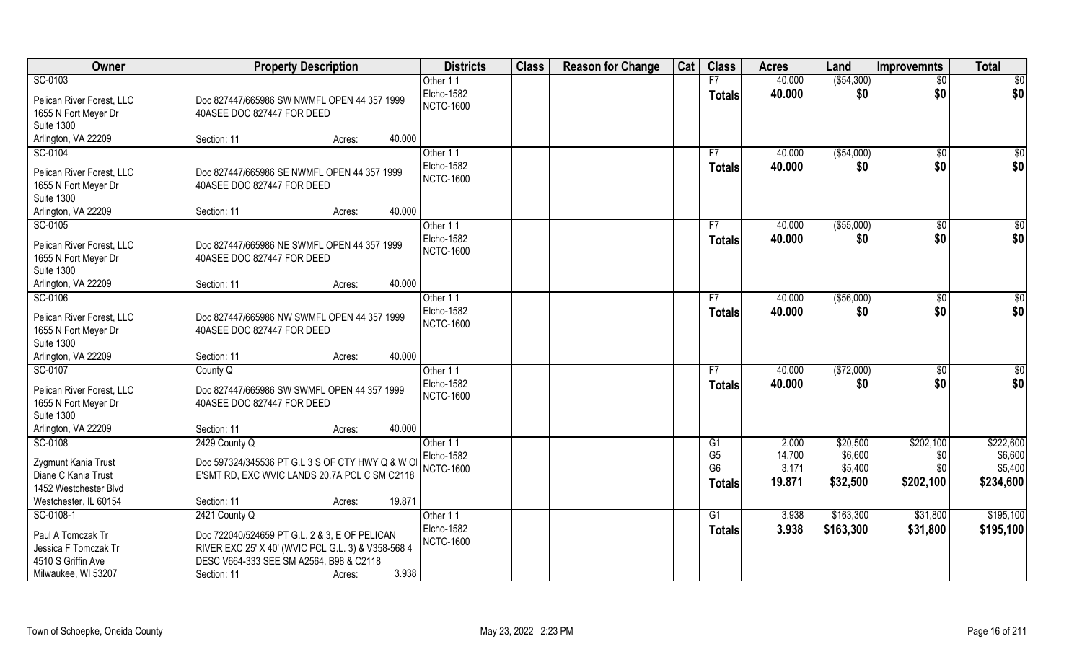| Owner                                             | <b>Property Description</b>                                                                   |        | <b>Districts</b>       | <b>Class</b> | <b>Reason for Change</b> | Cat | <b>Class</b>   | <b>Acres</b> | Land         | <b>Improvemnts</b> | <b>Total</b>    |
|---------------------------------------------------|-----------------------------------------------------------------------------------------------|--------|------------------------|--------------|--------------------------|-----|----------------|--------------|--------------|--------------------|-----------------|
| SC-0103                                           |                                                                                               |        | Other 11               |              |                          |     | F7             | 40.000       | ( \$54, 300) | $\overline{50}$    | \$0             |
| Pelican River Forest, LLC                         | Doc 827447/665986 SW NWMFL OPEN 44 357 1999                                                   |        | Elcho-1582             |              |                          |     | <b>Totals</b>  | 40.000       | \$0          | \$0                | \$0             |
| 1655 N Fort Meyer Dr                              | 40ASEE DOC 827447 FOR DEED                                                                    |        | <b>NCTC-1600</b>       |              |                          |     |                |              |              |                    |                 |
| <b>Suite 1300</b>                                 |                                                                                               |        |                        |              |                          |     |                |              |              |                    |                 |
| Arlington, VA 22209                               | Section: 11<br>Acres:                                                                         | 40.000 |                        |              |                          |     |                |              |              |                    |                 |
| SC-0104                                           |                                                                                               |        | Other 11               |              |                          |     | F7             | 40.000       | ( \$54,000)  | \$0                | \$0             |
|                                                   |                                                                                               |        | Elcho-1582             |              |                          |     | <b>Totals</b>  | 40.000       | \$0          | \$0                | \$0             |
| Pelican River Forest, LLC<br>1655 N Fort Meyer Dr | Doc 827447/665986 SE NWMFL OPEN 44 357 1999<br>40ASEE DOC 827447 FOR DEED                     |        | <b>NCTC-1600</b>       |              |                          |     |                |              |              |                    |                 |
| <b>Suite 1300</b>                                 |                                                                                               |        |                        |              |                          |     |                |              |              |                    |                 |
| Arlington, VA 22209                               | Section: 11<br>Acres:                                                                         | 40.000 |                        |              |                          |     |                |              |              |                    |                 |
| SC-0105                                           |                                                                                               |        | Other 11               |              |                          |     | F7             | 40.000       | ( \$55,000)  | $\sqrt{6}$         | \$0             |
|                                                   |                                                                                               |        | Elcho-1582             |              |                          |     | <b>Totals</b>  | 40.000       | \$0          | \$0                | \$0             |
| Pelican River Forest, LLC                         | Doc 827447/665986 NE SWMFL OPEN 44 357 1999                                                   |        | <b>NCTC-1600</b>       |              |                          |     |                |              |              |                    |                 |
| 1655 N Fort Meyer Dr                              | 40ASEE DOC 827447 FOR DEED                                                                    |        |                        |              |                          |     |                |              |              |                    |                 |
| <b>Suite 1300</b>                                 |                                                                                               | 40.000 |                        |              |                          |     |                |              |              |                    |                 |
| Arlington, VA 22209                               | Section: 11<br>Acres:                                                                         |        |                        |              |                          |     |                |              |              |                    |                 |
| SC-0106                                           |                                                                                               |        | Other 11<br>Elcho-1582 |              |                          |     | F7             | 40.000       | ( \$56,000)  | $\sqrt[6]{3}$      | \$              |
| Pelican River Forest, LLC                         | Doc 827447/665986 NW SWMFL OPEN 44 357 1999                                                   |        | <b>NCTC-1600</b>       |              |                          |     | <b>Totals</b>  | 40.000       | \$0          | \$0                | \$0             |
| 1655 N Fort Meyer Dr                              | 40ASEE DOC 827447 FOR DEED                                                                    |        |                        |              |                          |     |                |              |              |                    |                 |
| <b>Suite 1300</b>                                 |                                                                                               |        |                        |              |                          |     |                |              |              |                    |                 |
| Arlington, VA 22209                               | Section: 11<br>Acres:                                                                         | 40.000 |                        |              |                          |     |                |              |              |                    |                 |
| SC-0107                                           | County Q                                                                                      |        | Other 11               |              |                          |     | F7             | 40.000       | (\$72,000)   | $\sqrt[6]{30}$     | $\overline{50}$ |
| Pelican River Forest, LLC                         | Doc 827447/665986 SW SWMFL OPEN 44 357 1999                                                   |        | Elcho-1582             |              |                          |     | <b>Totals</b>  | 40.000       | \$0          | \$0                | \$0             |
| 1655 N Fort Meyer Dr                              | 40ASEE DOC 827447 FOR DEED                                                                    |        | <b>NCTC-1600</b>       |              |                          |     |                |              |              |                    |                 |
| <b>Suite 1300</b>                                 |                                                                                               |        |                        |              |                          |     |                |              |              |                    |                 |
| Arlington, VA 22209                               | Section: 11<br>Acres:                                                                         | 40.000 |                        |              |                          |     |                |              |              |                    |                 |
| SC-0108                                           | 2429 County Q                                                                                 |        | Other 11               |              |                          |     | G1             | 2.000        | \$20,500     | \$202,100          | \$222,600       |
| Zygmunt Kania Trust                               | Doc 597324/345536 PT G.L 3 S OF CTY HWY Q & W O                                               |        | Elcho-1582             |              |                          |     | G <sub>5</sub> | 14.700       | \$6,600      | \$0                | \$6,600         |
| Diane C Kania Trust                               | E'SMT RD, EXC WVIC LANDS 20.7A PCL C SM C2118                                                 |        | <b>NCTC-1600</b>       |              |                          |     | G <sub>6</sub> | 3.171        | \$5,400      | \$0                | \$5,400         |
| 1452 Westchester Blvd                             |                                                                                               |        |                        |              |                          |     | <b>Totals</b>  | 19.871       | \$32,500     | \$202,100          | \$234,600       |
| Westchester, IL 60154                             | Section: 11<br>Acres:                                                                         | 19.871 |                        |              |                          |     |                |              |              |                    |                 |
| SC-0108-1                                         | 2421 County Q                                                                                 |        | Other 11               |              |                          |     | G1             | 3.938        | \$163,300    | \$31,800           | \$195,100       |
|                                                   |                                                                                               |        | Elcho-1582             |              |                          |     | <b>Totals</b>  | 3.938        | \$163,300    | \$31,800           | \$195,100       |
| Paul A Tomczak Tr                                 | Doc 722040/524659 PT G.L. 2 & 3, E OF PELICAN                                                 |        | <b>NCTC-1600</b>       |              |                          |     |                |              |              |                    |                 |
| Jessica F Tomczak Tr<br>4510 S Griffin Ave        | RIVER EXC 25' X 40' (WVIC PCL G.L. 3) & V358-568 4<br>DESC V664-333 SEE SM A2564, B98 & C2118 |        |                        |              |                          |     |                |              |              |                    |                 |
| Milwaukee, WI 53207                               | Section: 11<br>Acres:                                                                         | 3.938  |                        |              |                          |     |                |              |              |                    |                 |
|                                                   |                                                                                               |        |                        |              |                          |     |                |              |              |                    |                 |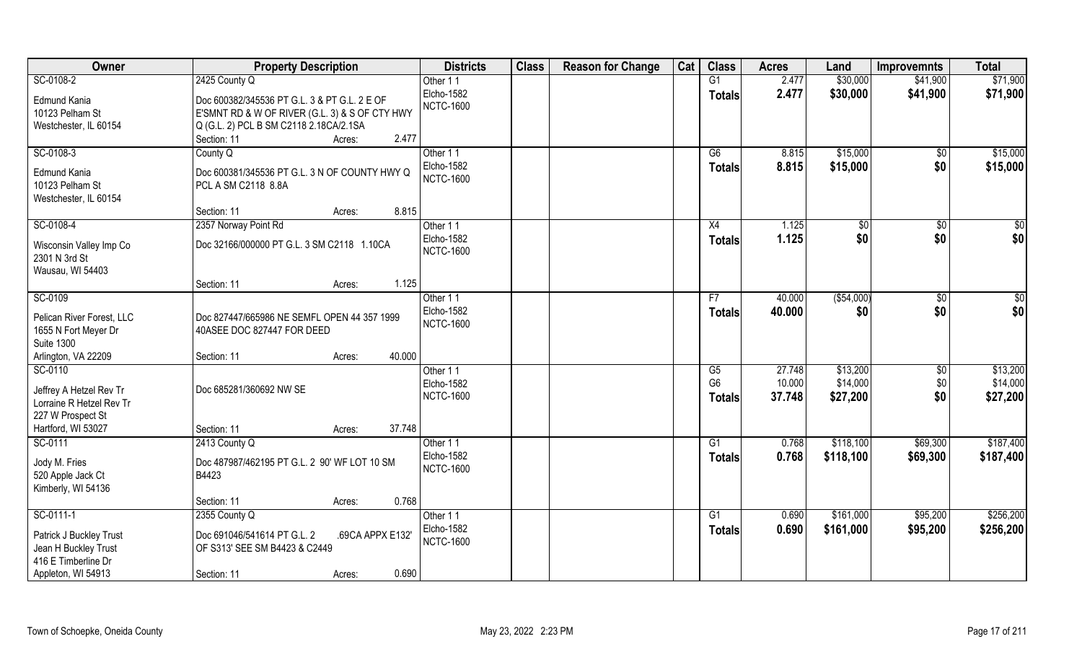| Owner                                                                               | <b>Property Description</b>                                                                                                                                                | <b>Districts</b>                           | <b>Class</b> | <b>Reason for Change</b> | Cat | <b>Class</b>                          | <b>Acres</b>               | Land                             | <b>Improvemnts</b>           | <b>Total</b>                     |
|-------------------------------------------------------------------------------------|----------------------------------------------------------------------------------------------------------------------------------------------------------------------------|--------------------------------------------|--------------|--------------------------|-----|---------------------------------------|----------------------------|----------------------------------|------------------------------|----------------------------------|
| SC-0108-2                                                                           | 2425 County Q                                                                                                                                                              | Other 11                                   |              |                          |     | G1                                    | 2.477                      | \$30,000                         | \$41,900                     | \$71,900                         |
| Edmund Kania<br>10123 Pelham St<br>Westchester, IL 60154                            | Doc 600382/345536 PT G.L. 3 & PT G.L. 2 E OF<br>E'SMNT RD & W OF RIVER (G.L. 3) & S OF CTY HWY<br>Q (G.L. 2) PCL B SM C2118 2.18CA/2.1SA<br>2.477<br>Section: 11<br>Acres: | Elcho-1582<br><b>NCTC-1600</b>             |              |                          |     | <b>Totals</b>                         | 2.477                      | \$30,000                         | \$41,900                     | \$71,900                         |
| SC-0108-3                                                                           | County Q                                                                                                                                                                   | Other 11                                   |              |                          |     | G6                                    | 8.815                      | \$15,000                         | \$0                          | \$15,000                         |
| Edmund Kania<br>10123 Pelham St<br>Westchester, IL 60154                            | Doc 600381/345536 PT G.L. 3 N OF COUNTY HWY Q<br>PCL A SM C2118 8.8A                                                                                                       | Elcho-1582<br><b>NCTC-1600</b>             |              |                          |     | <b>Totals</b>                         | 8.815                      | \$15,000                         | \$0                          | \$15,000                         |
|                                                                                     | 8.815<br>Section: 11<br>Acres:                                                                                                                                             |                                            |              |                          |     |                                       |                            |                                  |                              |                                  |
| SC-0108-4                                                                           | 2357 Norway Point Rd                                                                                                                                                       | Other 11                                   |              |                          |     | X4                                    | 1.125                      | $\sqrt{6}$                       | $\sqrt{6}$                   | \$0                              |
| Wisconsin Valley Imp Co<br>2301 N 3rd St<br>Wausau, WI 54403                        | Doc 32166/000000 PT G.L. 3 SM C2118 1.10CA                                                                                                                                 | Elcho-1582<br><b>NCTC-1600</b>             |              |                          |     | <b>Totals</b>                         | 1.125                      | \$0                              | \$0                          | \$0                              |
|                                                                                     | 1.125<br>Section: 11<br>Acres:                                                                                                                                             |                                            |              |                          |     |                                       |                            |                                  |                              |                                  |
| SC-0109                                                                             |                                                                                                                                                                            | Other 11                                   |              |                          |     | F7                                    | 40.000                     | ( \$54,000)                      | $\sqrt[6]{3}$                | \$0                              |
| Pelican River Forest, LLC<br>1655 N Fort Meyer Dr<br><b>Suite 1300</b>              | Doc 827447/665986 NE SEMFL OPEN 44 357 1999<br>40ASEE DOC 827447 FOR DEED                                                                                                  | Elcho-1582<br><b>NCTC-1600</b>             |              |                          |     | <b>Totals</b>                         | 40.000                     | \$0                              | \$0                          | \$0                              |
| Arlington, VA 22209                                                                 | 40.000<br>Section: 11<br>Acres:                                                                                                                                            |                                            |              |                          |     |                                       |                            |                                  |                              |                                  |
| SC-0110<br>Jeffrey A Hetzel Rev Tr<br>Lorraine R Hetzel Rev Tr<br>227 W Prospect St | Doc 685281/360692 NW SE                                                                                                                                                    | Other 11<br>Elcho-1582<br><b>NCTC-1600</b> |              |                          |     | G5<br>G <sub>6</sub><br><b>Totals</b> | 27.748<br>10.000<br>37.748 | \$13,200<br>\$14,000<br>\$27,200 | $\sqrt[6]{30}$<br>\$0<br>\$0 | \$13,200<br>\$14,000<br>\$27,200 |
| Hartford, WI 53027                                                                  | 37.748<br>Section: 11<br>Acres:                                                                                                                                            |                                            |              |                          |     |                                       |                            |                                  |                              |                                  |
| SC-0111                                                                             | 2413 County Q                                                                                                                                                              | Other 11                                   |              |                          |     | G1                                    | 0.768                      | \$118,100                        | \$69,300                     | \$187,400                        |
| Jody M. Fries<br>520 Apple Jack Ct<br>Kimberly, WI 54136                            | Doc 487987/462195 PT G.L. 2 90' WF LOT 10 SM<br>B4423                                                                                                                      | Elcho-1582<br><b>NCTC-1600</b>             |              |                          |     | <b>Totals</b>                         | 0.768                      | \$118,100                        | \$69,300                     | \$187,400                        |
|                                                                                     | 0.768<br>Section: 11<br>Acres:                                                                                                                                             |                                            |              |                          |     |                                       |                            |                                  |                              |                                  |
| SC-0111-1                                                                           | 2355 County Q                                                                                                                                                              | Other 11                                   |              |                          |     | G1                                    | 0.690                      | \$161,000                        | \$95,200                     | \$256,200                        |
| Patrick J Buckley Trust<br>Jean H Buckley Trust<br>416 E Timberline Dr              | Doc 691046/541614 PT G.L. 2<br>.69CA APPX E132'<br>OF S313' SEE SM B4423 & C2449                                                                                           | <b>Elcho-1582</b><br><b>NCTC-1600</b>      |              |                          |     | <b>Totals</b>                         | 0.690                      | \$161,000                        | \$95,200                     | \$256,200                        |
| Appleton, WI 54913                                                                  | 0.690<br>Section: 11<br>Acres:                                                                                                                                             |                                            |              |                          |     |                                       |                            |                                  |                              |                                  |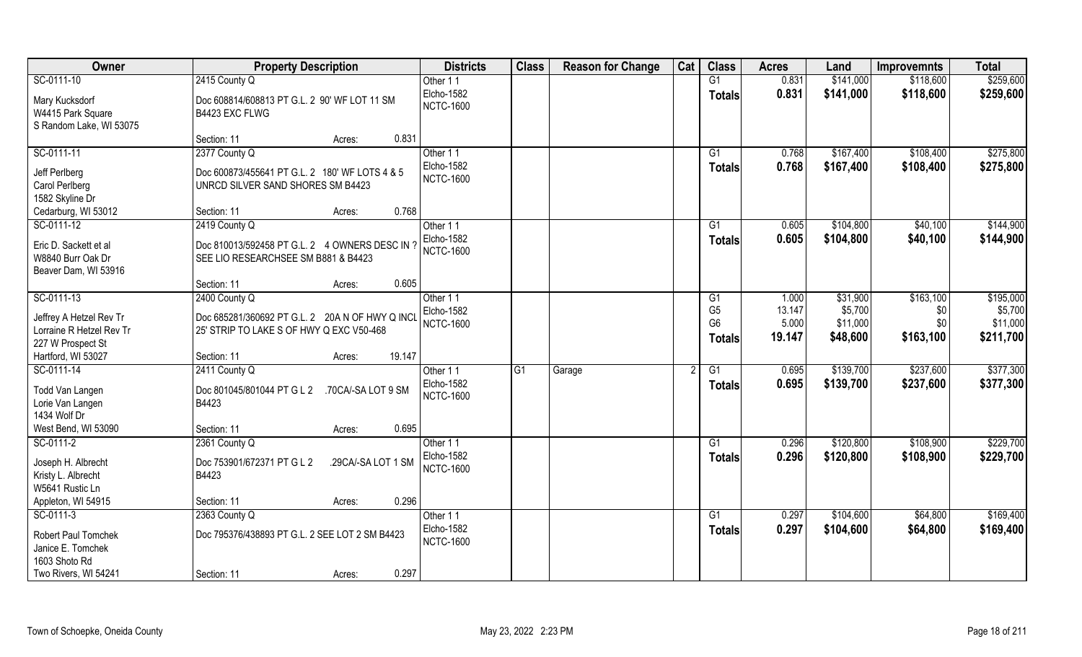| Owner                               | <b>Property Description</b>                                    | <b>Districts</b>               | <b>Class</b> | <b>Reason for Change</b> | Cat | <b>Class</b>    | <b>Acres</b> | Land      | <b>Improvemnts</b> | <b>Total</b> |
|-------------------------------------|----------------------------------------------------------------|--------------------------------|--------------|--------------------------|-----|-----------------|--------------|-----------|--------------------|--------------|
| SC-0111-10                          | 2415 County Q                                                  | Other 11                       |              |                          |     | G1              | 0.831        | \$141,000 | \$118,600          | \$259,600    |
| Mary Kucksdorf<br>W4415 Park Square | Doc 608814/608813 PT G.L. 2 90' WF LOT 11 SM<br>B4423 EXC FLWG | Elcho-1582<br><b>NCTC-1600</b> |              |                          |     | <b>Totals</b>   | 0.831        | \$141,000 | \$118,600          | \$259,600    |
| S Random Lake, WI 53075             |                                                                |                                |              |                          |     |                 |              |           |                    |              |
|                                     | 0.831<br>Section: 11<br>Acres:                                 |                                |              |                          |     |                 |              |           |                    |              |
| SC-0111-11                          | 2377 County Q                                                  | Other 11                       |              |                          |     | $\overline{G1}$ | 0.768        | \$167,400 | \$108,400          | \$275,800    |
| Jeff Perlberg                       | Doc 600873/455641 PT G.L. 2 180' WF LOTS 4 & 5                 | Elcho-1582                     |              |                          |     | Totals          | 0.768        | \$167,400 | \$108,400          | \$275,800    |
| Carol Perlberg                      | UNRCD SILVER SAND SHORES SM B4423                              | <b>NCTC-1600</b>               |              |                          |     |                 |              |           |                    |              |
| 1582 Skyline Dr                     |                                                                |                                |              |                          |     |                 |              |           |                    |              |
| Cedarburg, WI 53012                 | 0.768<br>Section: 11<br>Acres:                                 |                                |              |                          |     |                 |              |           |                    |              |
| SC-0111-12                          | 2419 County Q                                                  | Other 11                       |              |                          |     | G1              | 0.605        | \$104,800 | \$40,100           | \$144,900    |
| Eric D. Sackett et al               | Doc 810013/592458 PT G.L. 2 4 OWNERS DESC IN 1                 | Elcho-1582                     |              |                          |     | <b>Totals</b>   | 0.605        | \$104,800 | \$40,100           | \$144,900    |
| W8840 Burr Oak Dr                   | SEE LIO RESEARCHSEE SM B881 & B4423                            | <b>NCTC-1600</b>               |              |                          |     |                 |              |           |                    |              |
| Beaver Dam, WI 53916                |                                                                |                                |              |                          |     |                 |              |           |                    |              |
|                                     | 0.605<br>Section: 11<br>Acres:                                 |                                |              |                          |     |                 |              |           |                    |              |
| SC-0111-13                          | 2400 County Q                                                  | Other 11                       |              |                          |     | G1              | 1.000        | \$31,900  | \$163,100          | \$195,000    |
| Jeffrey A Hetzel Rev Tr             | Doc 685281/360692 PT G.L. 2 20A N OF HWY Q INCL                | <b>Elcho-1582</b>              |              |                          |     | G <sub>5</sub>  | 13.147       | \$5,700   | \$0                | \$5,700      |
| Lorraine R Hetzel Rev Tr            | 25' STRIP TO LAKE S OF HWY Q EXC V50-468                       | <b>NCTC-1600</b>               |              |                          |     | G <sub>6</sub>  | 5.000        | \$11,000  | \$0                | \$11,000     |
| 227 W Prospect St                   |                                                                |                                |              |                          |     | <b>Totals</b>   | 19.147       | \$48,600  | \$163,100          | \$211,700    |
| Hartford, WI 53027                  | 19.147<br>Section: 11<br>Acres:                                |                                |              |                          |     |                 |              |           |                    |              |
| SC-0111-14                          | 2411 County Q                                                  | Other 11                       | G1           | Garage                   | 2   | $\overline{G1}$ | 0.695        | \$139,700 | \$237,600          | \$377,300    |
| Todd Van Langen                     | Doc 801045/801044 PT G L 2<br>.70CA/-SA LOT 9 SM               | <b>Elcho-1582</b>              |              |                          |     | <b>Totals</b>   | 0.695        | \$139,700 | \$237,600          | \$377,300    |
| Lorie Van Langen                    | B4423                                                          | <b>NCTC-1600</b>               |              |                          |     |                 |              |           |                    |              |
| 1434 Wolf Dr                        |                                                                |                                |              |                          |     |                 |              |           |                    |              |
| West Bend, WI 53090                 | 0.695<br>Section: 11<br>Acres:                                 |                                |              |                          |     |                 |              |           |                    |              |
| SC-0111-2                           | 2361 County Q                                                  | Other 11                       |              |                          |     | G1              | 0.296        | \$120,800 | \$108,900          | \$229,700    |
| Joseph H. Albrecht                  | Doc 753901/672371 PT G L 2<br>.29CA/-SA LOT 1 SM               | Elcho-1582                     |              |                          |     | <b>Totals</b>   | 0.296        | \$120,800 | \$108,900          | \$229,700    |
| Kristy L. Albrecht                  | B4423                                                          | <b>NCTC-1600</b>               |              |                          |     |                 |              |           |                    |              |
| W5641 Rustic Ln                     |                                                                |                                |              |                          |     |                 |              |           |                    |              |
| Appleton, WI 54915                  | 0.296<br>Section: 11<br>Acres:                                 |                                |              |                          |     |                 |              |           |                    |              |
| SC-0111-3                           | 2363 County Q                                                  | Other 11                       |              |                          |     | G1              | 0.297        | \$104,600 | \$64,800           | \$169,400    |
| Robert Paul Tomchek                 | Doc 795376/438893 PT G.L. 2 SEE LOT 2 SM B4423                 | Elcho-1582                     |              |                          |     | <b>Totals</b>   | 0.297        | \$104,600 | \$64,800           | \$169,400    |
| Janice E. Tomchek                   |                                                                | <b>NCTC-1600</b>               |              |                          |     |                 |              |           |                    |              |
| 1603 Shoto Rd                       |                                                                |                                |              |                          |     |                 |              |           |                    |              |
| Two Rivers, WI 54241                | 0.297<br>Section: 11<br>Acres:                                 |                                |              |                          |     |                 |              |           |                    |              |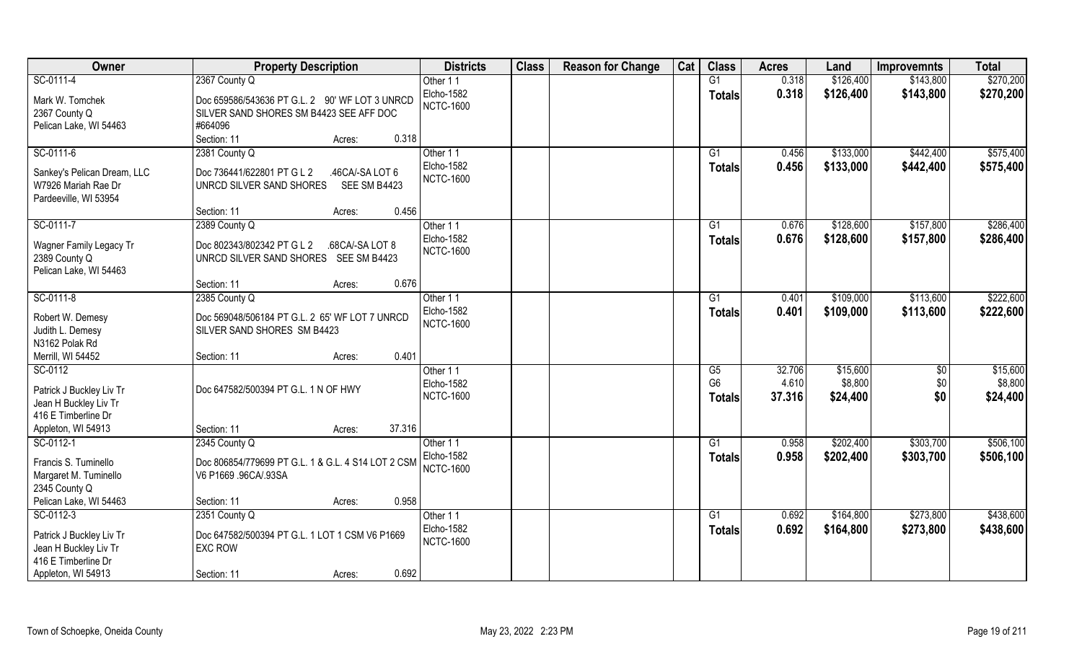| Owner                       | <b>Property Description</b>                        | <b>Districts</b>  | <b>Class</b> | <b>Reason for Change</b> | Cat | <b>Class</b>   | <b>Acres</b> | Land      | <b>Improvemnts</b> | <b>Total</b> |
|-----------------------------|----------------------------------------------------|-------------------|--------------|--------------------------|-----|----------------|--------------|-----------|--------------------|--------------|
| SC-0111-4                   | 2367 County Q                                      | Other 11          |              |                          |     | G1             | 0.318        | \$126,400 | \$143,800          | \$270,200    |
| Mark W. Tomchek             | Doc 659586/543636 PT G.L. 2 90' WF LOT 3 UNRCD     | <b>Elcho-1582</b> |              |                          |     | <b>Totals</b>  | 0.318        | \$126,400 | \$143,800          | \$270,200    |
| 2367 County Q               | SILVER SAND SHORES SM B4423 SEE AFF DOC            | <b>NCTC-1600</b>  |              |                          |     |                |              |           |                    |              |
| Pelican Lake, WI 54463      | #664096                                            |                   |              |                          |     |                |              |           |                    |              |
|                             | 0.318<br>Section: 11<br>Acres:                     |                   |              |                          |     |                |              |           |                    |              |
| SC-0111-6                   | 2381 County Q                                      | Other 11          |              |                          |     | G <sub>1</sub> | 0.456        | \$133,000 | \$442,400          | \$575,400    |
| Sankey's Pelican Dream, LLC | Doc 736441/622801 PT G L 2<br>.46CA/-SA LOT 6      | <b>Elcho-1582</b> |              |                          |     | <b>Totals</b>  | 0.456        | \$133,000 | \$442,400          | \$575,400    |
| W7926 Mariah Rae Dr         | UNRCD SILVER SAND SHORES<br>SEE SM B4423           | <b>NCTC-1600</b>  |              |                          |     |                |              |           |                    |              |
| Pardeeville, WI 53954       |                                                    |                   |              |                          |     |                |              |           |                    |              |
|                             | Section: 11<br>0.456<br>Acres:                     |                   |              |                          |     |                |              |           |                    |              |
| SC-0111-7                   | 2389 County Q                                      | Other 11          |              |                          |     | G1             | 0.676        | \$128,600 | \$157,800          | \$286,400    |
| Wagner Family Legacy Tr     | Doc 802343/802342 PT G L 2<br>.68CA/-SA LOT 8      | Elcho-1582        |              |                          |     | <b>Totals</b>  | 0.676        | \$128,600 | \$157,800          | \$286,400    |
| 2389 County Q               | UNRCD SILVER SAND SHORES SEE SM B4423              | <b>NCTC-1600</b>  |              |                          |     |                |              |           |                    |              |
| Pelican Lake, WI 54463      |                                                    |                   |              |                          |     |                |              |           |                    |              |
|                             | 0.676<br>Section: 11<br>Acres:                     |                   |              |                          |     |                |              |           |                    |              |
| SC-0111-8                   | 2385 County Q                                      | Other 11          |              |                          |     | G1             | 0.401        | \$109,000 | \$113,600          | \$222,600    |
| Robert W. Demesy            | Doc 569048/506184 PT G.L. 2 65' WF LOT 7 UNRCD     | <b>Elcho-1582</b> |              |                          |     | <b>Totals</b>  | 0.401        | \$109,000 | \$113,600          | \$222,600    |
| Judith L. Demesy            | SILVER SAND SHORES SM B4423                        | <b>NCTC-1600</b>  |              |                          |     |                |              |           |                    |              |
| N3162 Polak Rd              |                                                    |                   |              |                          |     |                |              |           |                    |              |
| Merrill, WI 54452           | 0.401<br>Section: 11<br>Acres:                     |                   |              |                          |     |                |              |           |                    |              |
| SC-0112                     |                                                    | Other 11          |              |                          |     | G5             | 32.706       | \$15,600  | \$0                | \$15,600     |
| Patrick J Buckley Liv Tr    | Doc 647582/500394 PT G.L. 1 N OF HWY               | Elcho-1582        |              |                          |     | G <sub>6</sub> | 4.610        | \$8,800   | \$0                | \$8,800      |
| Jean H Buckley Liv Tr       |                                                    | <b>NCTC-1600</b>  |              |                          |     | <b>Totals</b>  | 37.316       | \$24,400  | \$0                | \$24,400     |
| 416 E Timberline Dr         |                                                    |                   |              |                          |     |                |              |           |                    |              |
| Appleton, WI 54913          | 37.316<br>Section: 11<br>Acres:                    |                   |              |                          |     |                |              |           |                    |              |
| SC-0112-1                   | 2345 County Q                                      | Other 11          |              |                          |     | G1             | 0.958        | \$202,400 | \$303,700          | \$506,100    |
| Francis S. Tuminello        | Doc 806854/779699 PT G.L. 1 & G.L. 4 S14 LOT 2 CSM | <b>Elcho-1582</b> |              |                          |     | <b>Totals</b>  | 0.958        | \$202,400 | \$303,700          | \$506,100    |
| Margaret M. Tuminello       | V6 P1669 .96CA/.93SA                               | <b>NCTC-1600</b>  |              |                          |     |                |              |           |                    |              |
| 2345 County Q               |                                                    |                   |              |                          |     |                |              |           |                    |              |
| Pelican Lake, WI 54463      | 0.958<br>Section: 11<br>Acres:                     |                   |              |                          |     |                |              |           |                    |              |
| SC-0112-3                   | 2351 County Q                                      | Other 11          |              |                          |     | G1             | 0.692        | \$164,800 | \$273,800          | \$438,600    |
| Patrick J Buckley Liv Tr    | Doc 647582/500394 PT G.L. 1 LOT 1 CSM V6 P1669     | <b>Elcho-1582</b> |              |                          |     | <b>Totals</b>  | 0.692        | \$164,800 | \$273,800          | \$438,600    |
| Jean H Buckley Liv Tr       | <b>EXC ROW</b>                                     | <b>NCTC-1600</b>  |              |                          |     |                |              |           |                    |              |
| 416 E Timberline Dr         |                                                    |                   |              |                          |     |                |              |           |                    |              |
| Appleton, WI 54913          | 0.692<br>Section: 11<br>Acres:                     |                   |              |                          |     |                |              |           |                    |              |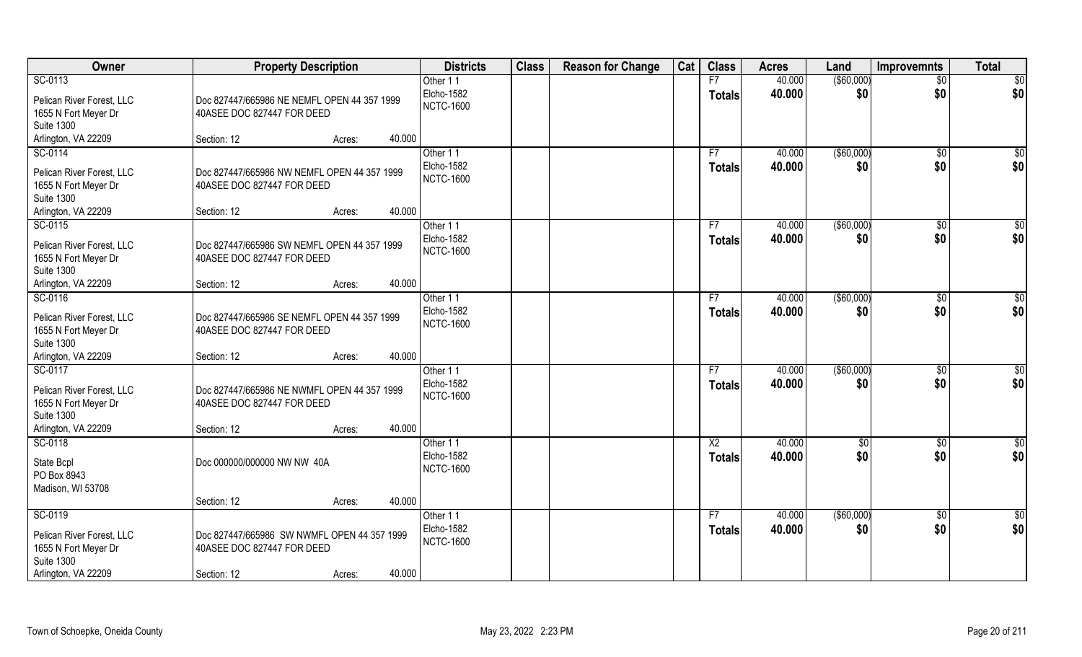| Owner                                                                                                    | <b>Property Description</b>                                                                        |        | <b>Districts</b>                           | <b>Class</b> | <b>Reason for Change</b> | Cat | <b>Class</b>        | <b>Acres</b>     | Land               | <b>Improvemnts</b>   | <b>Total</b>    |
|----------------------------------------------------------------------------------------------------------|----------------------------------------------------------------------------------------------------|--------|--------------------------------------------|--------------|--------------------------|-----|---------------------|------------------|--------------------|----------------------|-----------------|
| SC-0113                                                                                                  |                                                                                                    |        | Other 11                                   |              |                          |     | F7                  | 40.000           | ( \$60,000)        | $\overline{50}$      | \$0             |
| Pelican River Forest, LLC<br>1655 N Fort Meyer Dr                                                        | Doc 827447/665986 NE NEMFL OPEN 44 357 1999<br>40ASEE DOC 827447 FOR DEED                          |        | Elcho-1582<br><b>NCTC-1600</b>             |              |                          |     | <b>Totals</b>       | 40.000           | \$0                | \$0                  | \$0             |
| <b>Suite 1300</b>                                                                                        |                                                                                                    | 40.000 |                                            |              |                          |     |                     |                  |                    |                      |                 |
| Arlington, VA 22209<br>SC-0114                                                                           | Section: 12<br>Acres:                                                                              |        | Other 11                                   |              |                          |     |                     | 40.000           | ( \$60,000)        |                      | $\sqrt{50}$     |
| Pelican River Forest, LLC<br>1655 N Fort Meyer Dr<br><b>Suite 1300</b>                                   | Doc 827447/665986 NW NEMFL OPEN 44 357 1999<br>40ASEE DOC 827447 FOR DEED                          |        | Elcho-1582<br><b>NCTC-1600</b>             |              |                          |     | F7<br>Totals        | 40.000           | \$0                | \$0<br>\$0           | \$0             |
| Arlington, VA 22209                                                                                      | Section: 12<br>Acres:                                                                              | 40.000 |                                            |              |                          |     |                     |                  |                    |                      |                 |
| SC-0115<br>Pelican River Forest, LLC<br>1655 N Fort Meyer Dr<br><b>Suite 1300</b>                        | Doc 827447/665986 SW NEMFL OPEN 44 357 1999<br>40ASEE DOC 827447 FOR DEED                          |        | Other 11<br>Elcho-1582<br><b>NCTC-1600</b> |              |                          |     | F7<br><b>Totals</b> | 40.000<br>40.000 | ( \$60,000)<br>\$0 | $\sqrt[6]{3}$<br>\$0 | \$0<br>\$0      |
| Arlington, VA 22209                                                                                      | Section: 12<br>Acres:                                                                              | 40.000 |                                            |              |                          |     |                     |                  |                    |                      |                 |
| SC-0116<br>Pelican River Forest, LLC<br>1655 N Fort Meyer Dr<br><b>Suite 1300</b><br>Arlington, VA 22209 | Doc 827447/665986 SE NEMFL OPEN 44 357 1999<br>40ASEE DOC 827447 FOR DEED<br>Section: 12           | 40.000 | Other 11<br>Elcho-1582<br><b>NCTC-1600</b> |              |                          |     | F7<br><b>Totals</b> | 40.000<br>40.000 | ( \$60,000)<br>\$0 | $\sqrt[6]{3}$<br>\$0 | \$0<br>\$0      |
| SC-0117                                                                                                  | Acres:                                                                                             |        | Other 11                                   |              |                          |     | F7                  | 40.000           | (\$60,000)         | $\overline{60}$      | $\overline{50}$ |
| Pelican River Forest, LLC<br>1655 N Fort Meyer Dr<br><b>Suite 1300</b><br>Arlington, VA 22209            | Doc 827447/665986 NE NWMFL OPEN 44 357 1999<br>40ASEE DOC 827447 FOR DEED<br>Section: 12<br>Acres: | 40.000 | Elcho-1582<br><b>NCTC-1600</b>             |              |                          |     | <b>Totals</b>       | 40.000           | \$0                | \$0                  | \$0             |
| SC-0118                                                                                                  |                                                                                                    |        | Other 11                                   |              |                          |     | $\overline{X2}$     | 40.000           | $\sqrt{6}$         | $\overline{50}$      | \$0             |
| State Bcpl<br>PO Box 8943<br>Madison, WI 53708                                                           | Doc 000000/000000 NW NW 40A                                                                        |        | Elcho-1582<br><b>NCTC-1600</b>             |              |                          |     | <b>Totals</b>       | 40.000           | \$0                | \$0                  | \$0             |
|                                                                                                          | Section: 12<br>Acres:                                                                              | 40.000 |                                            |              |                          |     |                     |                  |                    |                      |                 |
| SC-0119<br>Pelican River Forest, LLC<br>1655 N Fort Meyer Dr<br><b>Suite 1300</b><br>Arlington, VA 22209 | Doc 827447/665986 SW NWMFL OPEN 44 357 1999<br>40ASEE DOC 827447 FOR DEED<br>Section: 12<br>Acres: | 40.000 | Other 11<br>Elcho-1582<br><b>NCTC-1600</b> |              |                          |     | F7<br><b>Totals</b> | 40.000<br>40.000 | ( \$60,000)<br>\$0 | \$0<br>\$0           | \$0<br>\$0      |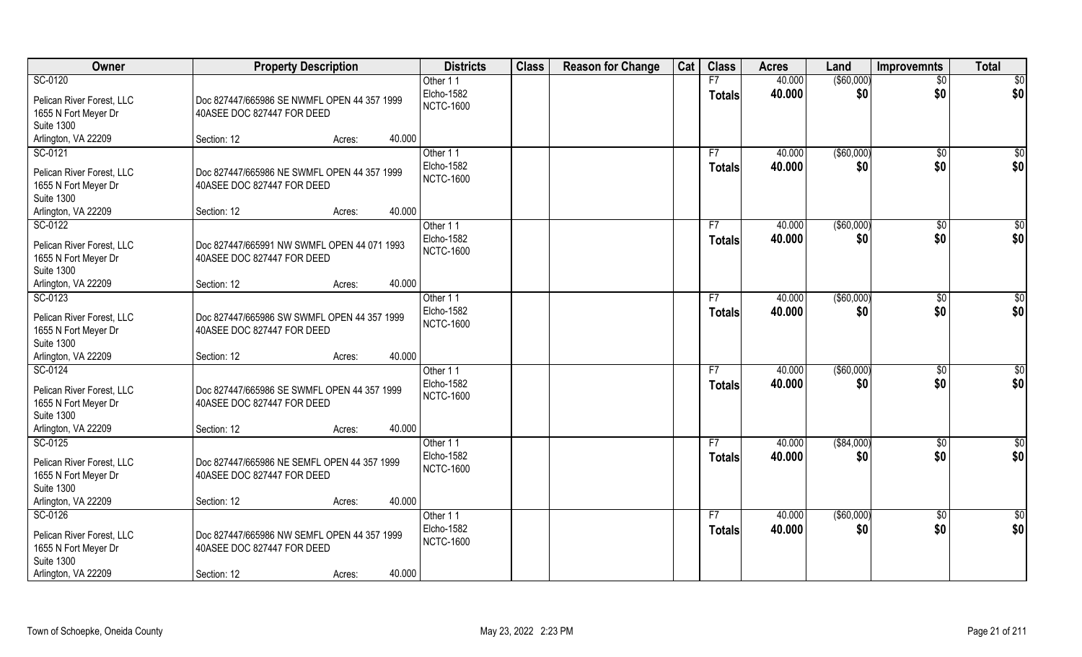| Owner                                                                                                    | <b>Property Description</b>                                                                        |        | <b>Districts</b>                                  | <b>Class</b> | <b>Reason for Change</b> | Cat | <b>Class</b>                    | <b>Acres</b>     | Land               | <b>Improvemnts</b>     | <b>Total</b>         |
|----------------------------------------------------------------------------------------------------------|----------------------------------------------------------------------------------------------------|--------|---------------------------------------------------|--------------|--------------------------|-----|---------------------------------|------------------|--------------------|------------------------|----------------------|
| SC-0120<br>Pelican River Forest, LLC<br>1655 N Fort Meyer Dr<br><b>Suite 1300</b>                        | Doc 827447/665986 SE NWMFL OPEN 44 357 1999<br>40ASEE DOC 827447 FOR DEED                          |        | Other 11<br>Elcho-1582<br><b>NCTC-1600</b>        |              |                          |     | F7<br><b>Totals</b>             | 40.000<br>40.000 | ( \$60,000)<br>\$0 | $\overline{50}$<br>\$0 | \$0<br>\$0           |
| Arlington, VA 22209                                                                                      | Section: 12<br>Acres:                                                                              | 40.000 |                                                   |              |                          |     |                                 |                  |                    |                        |                      |
| SC-0121<br>Pelican River Forest, LLC<br>1655 N Fort Meyer Dr<br><b>Suite 1300</b><br>Arlington, VA 22209 | Doc 827447/665986 NE SWMFL OPEN 44 357 1999<br>40ASEE DOC 827447 FOR DEED<br>Section: 12<br>Acres: | 40.000 | Other 11<br><b>Elcho-1582</b><br><b>NCTC-1600</b> |              |                          |     | F7<br><b>Totals</b>             | 40.000<br>40.000 | ( \$60,000)<br>\$0 | \$0<br>\$0             | \$0<br>\$0           |
| SC-0122                                                                                                  |                                                                                                    |        | Other 11                                          |              |                          |     | F7                              | 40.000           | ( \$60,000)        | \$0                    | $\overline{50}$      |
| Pelican River Forest, LLC<br>1655 N Fort Meyer Dr<br><b>Suite 1300</b>                                   | Doc 827447/665991 NW SWMFL OPEN 44 071 1993<br>40ASEE DOC 827447 FOR DEED                          |        | Elcho-1582<br><b>NCTC-1600</b>                    |              |                          |     | <b>Totals</b>                   | 40.000           | \$0                | \$0                    | \$0                  |
| Arlington, VA 22209                                                                                      | Section: 12<br>Acres:                                                                              | 40.000 |                                                   |              |                          |     |                                 |                  |                    |                        |                      |
| SC-0123<br>Pelican River Forest, LLC<br>1655 N Fort Meyer Dr<br><b>Suite 1300</b>                        | Doc 827447/665986 SW SWMFL OPEN 44 357 1999<br>40ASEE DOC 827447 FOR DEED                          |        | Other 11<br>Elcho-1582<br><b>NCTC-1600</b>        |              |                          |     | F7<br><b>Totals</b>             | 40.000<br>40.000 | ( \$60,000)<br>\$0 | $\sqrt[6]{3}$<br>\$0   | \$0<br>\$0           |
| Arlington, VA 22209                                                                                      | Section: 12<br>Acres:                                                                              | 40.000 |                                                   |              |                          |     |                                 |                  |                    |                        |                      |
| SC-0124<br>Pelican River Forest, LLC<br>1655 N Fort Meyer Dr<br><b>Suite 1300</b>                        | Doc 827447/665986 SE SWMFL OPEN 44 357 1999<br>40ASEE DOC 827447 FOR DEED                          |        | Other 11<br>Elcho-1582<br><b>NCTC-1600</b>        |              |                          |     | F <sub>7</sub><br><b>Totals</b> | 40.000<br>40.000 | ( \$60,000)<br>\$0 | \$0<br>\$0             | \$0<br>\$0           |
| Arlington, VA 22209                                                                                      | Section: 12<br>Acres:                                                                              | 40.000 |                                                   |              |                          |     |                                 |                  |                    |                        |                      |
| SC-0125<br>Pelican River Forest, LLC<br>1655 N Fort Meyer Dr<br><b>Suite 1300</b>                        | Doc 827447/665986 NE SEMFL OPEN 44 357 1999<br>40ASEE DOC 827447 FOR DEED                          |        | Other 11<br>Elcho-1582<br><b>NCTC-1600</b>        |              |                          |     | F7<br><b>Totals</b>             | 40.000<br>40.000 | ( \$84,000)<br>\$0 | \$0<br>\$0             | \$0<br>\$0           |
| Arlington, VA 22209                                                                                      | Section: 12<br>Acres:                                                                              | 40.000 |                                                   |              |                          |     |                                 |                  |                    |                        |                      |
| SC-0126<br>Pelican River Forest, LLC<br>1655 N Fort Meyer Dr<br><b>Suite 1300</b><br>Arlington, VA 22209 | Doc 827447/665986 NW SEMFL OPEN 44 357 1999<br>40ASEE DOC 827447 FOR DEED<br>Section: 12<br>Acres: | 40.000 | Other 11<br>Elcho-1582<br><b>NCTC-1600</b>        |              |                          |     | F7<br><b>Totals</b>             | 40.000<br>40.000 | ( \$60,000)<br>\$0 | $\sqrt{6}$<br>\$0      | $\frac{6}{3}$<br>\$0 |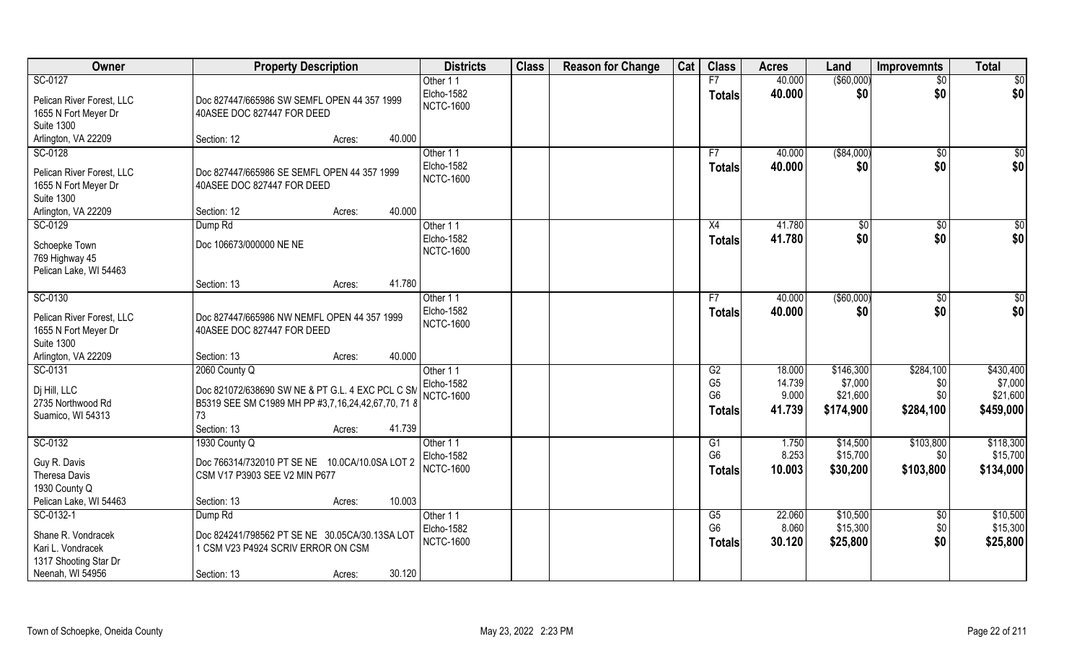| Owner                     | <b>Property Description</b>                        |        |        | <b>Districts</b>  | <b>Class</b> | <b>Reason for Change</b> | Cat | <b>Class</b>   | <b>Acres</b> | Land        | <b>Improvemnts</b> | <b>Total</b>    |
|---------------------------|----------------------------------------------------|--------|--------|-------------------|--------------|--------------------------|-----|----------------|--------------|-------------|--------------------|-----------------|
| SC-0127                   |                                                    |        |        | Other 11          |              |                          |     | F7             | 40.000       | ( \$60,000) | $\overline{50}$    | \$0             |
| Pelican River Forest, LLC | Doc 827447/665986 SW SEMFL OPEN 44 357 1999        |        |        | Elcho-1582        |              |                          |     | <b>Totals</b>  | 40.000       | \$0         | \$0                | \$0             |
| 1655 N Fort Meyer Dr      | 40ASEE DOC 827447 FOR DEED                         |        |        | <b>NCTC-1600</b>  |              |                          |     |                |              |             |                    |                 |
| <b>Suite 1300</b>         |                                                    |        |        |                   |              |                          |     |                |              |             |                    |                 |
| Arlington, VA 22209       | Section: 12                                        | Acres: | 40.000 |                   |              |                          |     |                |              |             |                    |                 |
| SC-0128                   |                                                    |        |        | Other 11          |              |                          |     | F7             | 40.000       | ( \$84,000) | $\sqrt{$0}$        | \$0             |
| Pelican River Forest, LLC | Doc 827447/665986 SE SEMFL OPEN 44 357 1999        |        |        | <b>Elcho-1582</b> |              |                          |     | <b>Totals</b>  | 40.000       | \$0         | \$0                | \$0             |
| 1655 N Fort Meyer Dr      | 40ASEE DOC 827447 FOR DEED                         |        |        | <b>NCTC-1600</b>  |              |                          |     |                |              |             |                    |                 |
| <b>Suite 1300</b>         |                                                    |        |        |                   |              |                          |     |                |              |             |                    |                 |
| Arlington, VA 22209       | Section: 12                                        | Acres: | 40.000 |                   |              |                          |     |                |              |             |                    |                 |
| SC-0129                   | Dump Rd                                            |        |        | Other 11          |              |                          |     | X4             | 41.780       | \$0         | \$0                | $\overline{50}$ |
| Schoepke Town             | Doc 106673/000000 NE NE                            |        |        | Elcho-1582        |              |                          |     | <b>Totals</b>  | 41.780       | \$0         | \$0                | \$0             |
| 769 Highway 45            |                                                    |        |        | <b>NCTC-1600</b>  |              |                          |     |                |              |             |                    |                 |
| Pelican Lake, WI 54463    |                                                    |        |        |                   |              |                          |     |                |              |             |                    |                 |
|                           | Section: 13                                        | Acres: | 41.780 |                   |              |                          |     |                |              |             |                    |                 |
| SC-0130                   |                                                    |        |        | Other 11          |              |                          |     | F7             | 40.000       | ( \$60,000) | $\sqrt[6]{3}$      | \$0             |
| Pelican River Forest, LLC | Doc 827447/665986 NW NEMFL OPEN 44 357 1999        |        |        | Elcho-1582        |              |                          |     | <b>Totals</b>  | 40.000       | \$0         | \$0                | \$0             |
| 1655 N Fort Meyer Dr      | 40ASEE DOC 827447 FOR DEED                         |        |        | <b>NCTC-1600</b>  |              |                          |     |                |              |             |                    |                 |
| <b>Suite 1300</b>         |                                                    |        |        |                   |              |                          |     |                |              |             |                    |                 |
| Arlington, VA 22209       | Section: 13                                        | Acres: | 40.000 |                   |              |                          |     |                |              |             |                    |                 |
| SC-0131                   | 2060 County Q                                      |        |        | Other 11          |              |                          |     | G2             | 18.000       | \$146,300   | \$284,100          | \$430,400       |
| Dj Hill, LLC              | Doc 821072/638690 SW NE & PT G.L. 4 EXC PCL C SM   |        |        | Elcho-1582        |              |                          |     | G <sub>5</sub> | 14.739       | \$7,000     | \$0                | \$7,000         |
| 2735 Northwood Rd         | B5319 SEE SM C1989 MH PP #3,7,16,24,42,67,70, 71 8 |        |        | <b>NCTC-1600</b>  |              |                          |     | G <sub>6</sub> | 9.000        | \$21,600    | \$0                | \$21,600        |
| Suamico, WI 54313         | 73                                                 |        |        |                   |              |                          |     | <b>Totals</b>  | 41.739       | \$174,900   | \$284,100          | \$459,000       |
|                           | Section: 13                                        | Acres: | 41.739 |                   |              |                          |     |                |              |             |                    |                 |
| SC-0132                   | 1930 County Q                                      |        |        | Other 11          |              |                          |     | G1             | 1.750        | \$14,500    | \$103,800          | \$118,300       |
| Guy R. Davis              | Doc 766314/732010 PT SE NE 10.0CA/10.0SA LOT 2     |        |        | <b>Elcho-1582</b> |              |                          |     | G <sub>6</sub> | 8.253        | \$15,700    | \$0                | \$15,700        |
| Theresa Davis             | CSM V17 P3903 SEE V2 MIN P677                      |        |        | <b>NCTC-1600</b>  |              |                          |     | <b>Totals</b>  | 10.003       | \$30,200    | \$103,800          | \$134,000       |
| 1930 County Q             |                                                    |        |        |                   |              |                          |     |                |              |             |                    |                 |
| Pelican Lake, WI 54463    | Section: 13                                        | Acres: | 10.003 |                   |              |                          |     |                |              |             |                    |                 |
| SC-0132-1                 | Dump <sub>Rd</sub>                                 |        |        | Other 11          |              |                          |     | G5             | 22.060       | \$10,500    | \$0                | \$10,500        |
| Shane R. Vondracek        | Doc 824241/798562 PT SE NE 30.05CA/30.13SA LOT     |        |        | <b>Elcho-1582</b> |              |                          |     | G <sub>6</sub> | 8.060        | \$15,300    | \$0                | \$15,300        |
| Kari L. Vondracek         | 1 CSM V23 P4924 SCRIV ERROR ON CSM                 |        |        | <b>NCTC-1600</b>  |              |                          |     | <b>Totals</b>  | 30.120       | \$25,800    | \$0                | \$25,800        |
| 1317 Shooting Star Dr     |                                                    |        |        |                   |              |                          |     |                |              |             |                    |                 |
| Neenah, WI 54956          | Section: 13                                        | Acres: | 30.120 |                   |              |                          |     |                |              |             |                    |                 |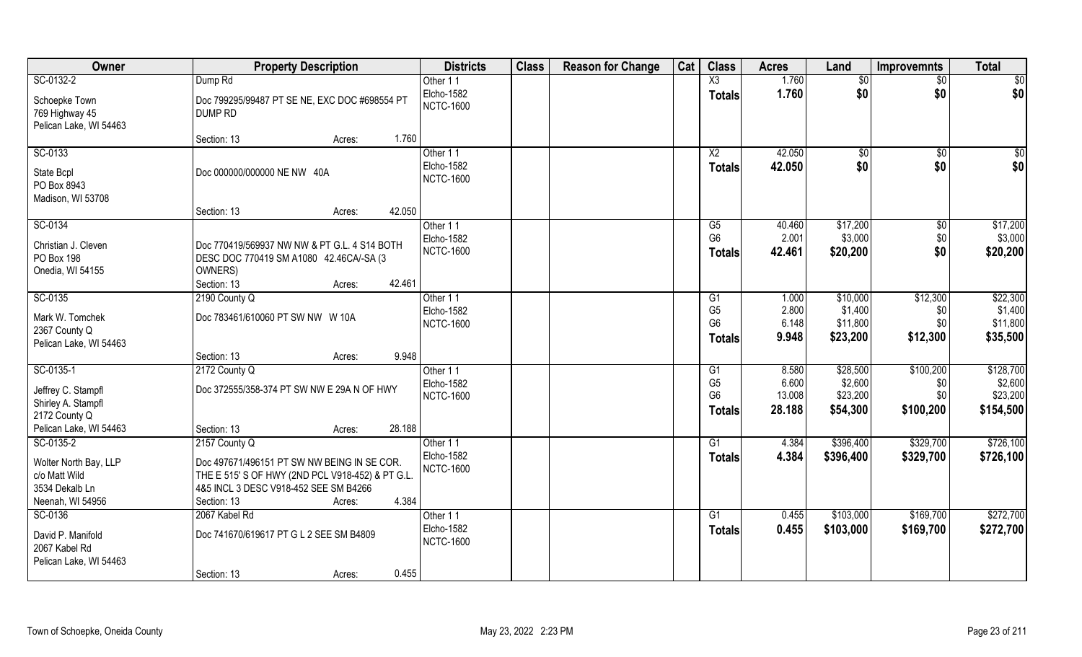| Owner                                                                                     | <b>Property Description</b>                                                                                                                                                                 | <b>Districts</b>                           | <b>Class</b> | <b>Reason for Change</b> | Cat | <b>Class</b>                                            | <b>Acres</b>                       | Land                                        | <b>Improvemnts</b>                   | <b>Total</b>                                  |
|-------------------------------------------------------------------------------------------|---------------------------------------------------------------------------------------------------------------------------------------------------------------------------------------------|--------------------------------------------|--------------|--------------------------|-----|---------------------------------------------------------|------------------------------------|---------------------------------------------|--------------------------------------|-----------------------------------------------|
| SC-0132-2                                                                                 | Dump Rd                                                                                                                                                                                     | Other 11                                   |              |                          |     | $\overline{\text{X3}}$                                  | 1.760                              | $\sqrt{$0}$                                 | \$0                                  | $\sqrt{50}$                                   |
| Schoepke Town<br>769 Highway 45<br>Pelican Lake, WI 54463                                 | Doc 799295/99487 PT SE NE, EXC DOC #698554 PT<br><b>DUMP RD</b>                                                                                                                             | Elcho-1582<br><b>NCTC-1600</b>             |              |                          |     | <b>Totals</b>                                           | 1.760                              | \$0                                         | \$0                                  | \$0                                           |
|                                                                                           | 1.760<br>Section: 13<br>Acres:                                                                                                                                                              |                                            |              |                          |     |                                                         |                                    |                                             |                                      |                                               |
| SC-0133<br>State Bcpl<br>PO Box 8943<br>Madison, WI 53708                                 | Doc 000000/000000 NE NW 40A                                                                                                                                                                 | Other 11<br>Elcho-1582<br><b>NCTC-1600</b> |              |                          |     | X2<br><b>Totals</b>                                     | 42.050<br>42.050                   | $\sqrt[6]{}$<br>\$0                         | $\overline{50}$<br>\$0               | \$0<br>\$0                                    |
|                                                                                           | 42.050<br>Section: 13<br>Acres:                                                                                                                                                             |                                            |              |                          |     |                                                         |                                    |                                             |                                      |                                               |
| SC-0134<br>Christian J. Cleven<br>PO Box 198<br>Onedia, WI 54155                          | Doc 770419/569937 NW NW & PT G.L. 4 S14 BOTH<br>DESC DOC 770419 SM A1080 42.46CA/-SA (3<br>OWNERS)<br>42.461<br>Section: 13<br>Acres:                                                       | Other 11<br>Elcho-1582<br><b>NCTC-1600</b> |              |                          |     | G5<br>G <sub>6</sub><br><b>Totals</b>                   | 40.460<br>2.001<br>42.461          | \$17,200<br>\$3,000<br>\$20,200             | \$0<br>\$0<br>\$0                    | \$17,200<br>\$3,000<br>\$20,200               |
| SC-0135                                                                                   | 2190 County Q                                                                                                                                                                               | Other 11                                   |              |                          |     | G <sub>1</sub>                                          | 1.000                              | \$10,000                                    | \$12,300                             | \$22,300                                      |
| Mark W. Tomchek<br>2367 County Q<br>Pelican Lake, WI 54463                                | Doc 783461/610060 PT SW NW W 10A                                                                                                                                                            | Elcho-1582<br><b>NCTC-1600</b>             |              |                          |     | G <sub>5</sub><br>G <sub>6</sub><br><b>Totals</b>       | 2.800<br>6.148<br>9.948            | \$1,400<br>\$11,800<br>\$23,200             | \$0<br>\$0<br>\$12,300               | \$1,400<br>\$11,800<br>\$35,500               |
|                                                                                           | 9.948<br>Section: 13<br>Acres:                                                                                                                                                              |                                            |              |                          |     |                                                         |                                    |                                             |                                      |                                               |
| SC-0135-1<br>Jeffrey C. Stampfl<br>Shirley A. Stampfl<br>2172 County Q                    | 2172 County Q<br>Doc 372555/358-374 PT SW NW E 29A N OF HWY                                                                                                                                 | Other 11<br>Elcho-1582<br><b>NCTC-1600</b> |              |                          |     | G1<br>G <sub>5</sub><br>G <sub>6</sub><br><b>Totals</b> | 8.580<br>6.600<br>13.008<br>28.188 | \$28,500<br>\$2,600<br>\$23,200<br>\$54,300 | \$100,200<br>\$0<br>\$0<br>\$100,200 | \$128,700<br>\$2,600<br>\$23,200<br>\$154,500 |
| Pelican Lake, WI 54463                                                                    | 28.188<br>Section: 13<br>Acres:                                                                                                                                                             |                                            |              |                          |     |                                                         |                                    |                                             |                                      |                                               |
| SC-0135-2<br>Wolter North Bay, LLP<br>c/o Matt Wild<br>3534 Dekalb Ln<br>Neenah, WI 54956 | 2157 County Q<br>Doc 497671/496151 PT SW NW BEING IN SE COR.<br>THE E 515' S OF HWY (2ND PCL V918-452) & PT G.L.<br>4&5 INCL 3 DESC V918-452 SEE SM B4266<br>4.384<br>Section: 13<br>Acres: | Other 11<br>Elcho-1582<br><b>NCTC-1600</b> |              |                          |     | G1<br><b>Totals</b>                                     | 4.384<br>4.384                     | \$396,400<br>\$396,400                      | \$329,700<br>\$329,700               | \$726,100<br>\$726,100                        |
| SC-0136<br>David P. Manifold<br>2067 Kabel Rd<br>Pelican Lake, WI 54463                   | 2067 Kabel Rd<br>Doc 741670/619617 PT G L 2 SEE SM B4809<br>0.455<br>Section: 13<br>Acres:                                                                                                  | Other 11<br>Elcho-1582<br><b>NCTC-1600</b> |              |                          |     | G1<br><b>Totals</b>                                     | 0.455<br>0.455                     | \$103,000<br>\$103,000                      | \$169,700<br>\$169,700               | \$272,700<br>\$272,700                        |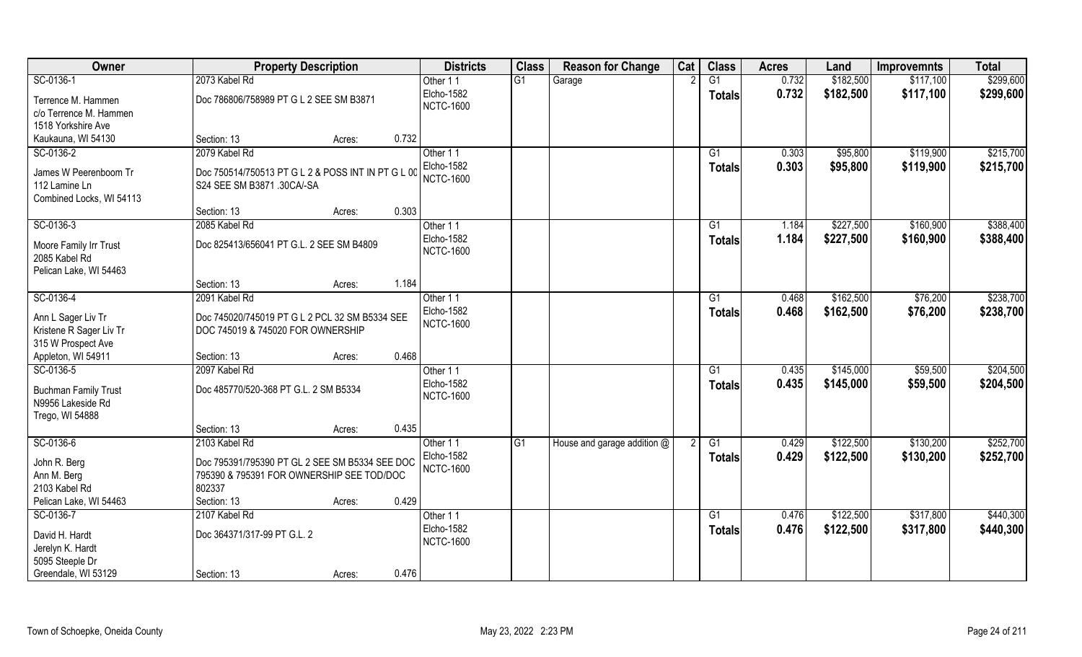| Owner                                            | <b>Property Description</b>                        |        |       | <b>Districts</b> | <b>Class</b> | <b>Reason for Change</b>    | Cat | <b>Class</b>    | <b>Acres</b> | Land      | <b>Improvemnts</b> | <b>Total</b> |
|--------------------------------------------------|----------------------------------------------------|--------|-------|------------------|--------------|-----------------------------|-----|-----------------|--------------|-----------|--------------------|--------------|
| SC-0136-1                                        | 2073 Kabel Rd                                      |        |       | Other 11         | G1           | Garage                      |     | $\overline{G1}$ | 0.732        | \$182,500 | \$117,100          | \$299,600    |
| Terrence M. Hammen                               | Doc 786806/758989 PT G L 2 SEE SM B3871            |        |       | Elcho-1582       |              |                             |     | Totals          | 0.732        | \$182,500 | \$117,100          | \$299,600    |
| c/o Terrence M. Hammen                           |                                                    |        |       | <b>NCTC-1600</b> |              |                             |     |                 |              |           |                    |              |
| 1518 Yorkshire Ave                               |                                                    |        |       |                  |              |                             |     |                 |              |           |                    |              |
| Kaukauna, WI 54130                               | Section: 13                                        | Acres: | 0.732 |                  |              |                             |     |                 |              |           |                    |              |
| SC-0136-2                                        | 2079 Kabel Rd                                      |        |       | Other 11         |              |                             |     | G1              | 0.303        | \$95,800  | \$119,900          | \$215,700    |
|                                                  |                                                    |        |       | Elcho-1582       |              |                             |     | <b>Totals</b>   | 0.303        | \$95,800  | \$119,900          | \$215,700    |
| James W Peerenboom Tr                            | Doc 750514/750513 PT G L 2 & POSS INT IN PT G L 00 |        |       | <b>NCTC-1600</b> |              |                             |     |                 |              |           |                    |              |
| 112 Lamine Ln                                    | S24 SEE SM B3871 .30CA/-SA                         |        |       |                  |              |                             |     |                 |              |           |                    |              |
| Combined Locks, WI 54113                         | Section: 13                                        | Acres: | 0.303 |                  |              |                             |     |                 |              |           |                    |              |
| SC-0136-3                                        | 2085 Kabel Rd                                      |        |       | Other 11         |              |                             |     | G1              | 1.184        | \$227,500 | \$160,900          | \$388,400    |
|                                                  |                                                    |        |       | Elcho-1582       |              |                             |     |                 |              |           |                    |              |
| Moore Family Irr Trust                           | Doc 825413/656041 PT G.L. 2 SEE SM B4809           |        |       | <b>NCTC-1600</b> |              |                             |     | <b>Totals</b>   | 1.184        | \$227,500 | \$160,900          | \$388,400    |
| 2085 Kabel Rd                                    |                                                    |        |       |                  |              |                             |     |                 |              |           |                    |              |
| Pelican Lake, WI 54463                           |                                                    |        |       |                  |              |                             |     |                 |              |           |                    |              |
|                                                  | Section: 13                                        | Acres: | 1.184 |                  |              |                             |     |                 |              |           |                    |              |
| SC-0136-4                                        | 2091 Kabel Rd                                      |        |       | Other 11         |              |                             |     | G1              | 0.468        | \$162,500 | \$76,200           | \$238,700    |
| Ann L Sager Liv Tr                               | Doc 745020/745019 PT G L 2 PCL 32 SM B5334 SEE     |        |       | Elcho-1582       |              |                             |     | <b>Totals</b>   | 0.468        | \$162,500 | \$76,200           | \$238,700    |
| Kristene R Sager Liv Tr                          | DOC 745019 & 745020 FOR OWNERSHIP                  |        |       | <b>NCTC-1600</b> |              |                             |     |                 |              |           |                    |              |
| 315 W Prospect Ave                               |                                                    |        |       |                  |              |                             |     |                 |              |           |                    |              |
| Appleton, WI 54911                               | Section: 13                                        | Acres: | 0.468 |                  |              |                             |     |                 |              |           |                    |              |
| SC-0136-5                                        | 2097 Kabel Rd                                      |        |       | Other 11         |              |                             |     | G1              | 0.435        | \$145,000 | \$59,500           | \$204,500    |
|                                                  |                                                    |        |       | Elcho-1582       |              |                             |     | <b>Totals</b>   | 0.435        | \$145,000 | \$59,500           | \$204,500    |
| <b>Buchman Family Trust</b><br>N9956 Lakeside Rd | Doc 485770/520-368 PT G.L. 2 SM B5334              |        |       | <b>NCTC-1600</b> |              |                             |     |                 |              |           |                    |              |
| Trego, WI 54888                                  |                                                    |        |       |                  |              |                             |     |                 |              |           |                    |              |
|                                                  | Section: 13                                        | Acres: | 0.435 |                  |              |                             |     |                 |              |           |                    |              |
| SC-0136-6                                        | 2103 Kabel Rd                                      |        |       | Other 11         | G1           | House and garage addition @ |     | G1              | 0.429        | \$122,500 | \$130,200          | \$252,700    |
|                                                  |                                                    |        |       | Elcho-1582       |              |                             |     |                 | 0.429        | \$122,500 | \$130,200          | \$252,700    |
| John R. Berg                                     | Doc 795391/795390 PT GL 2 SEE SM B5334 SEE DOC     |        |       | <b>NCTC-1600</b> |              |                             |     | <b>Totals</b>   |              |           |                    |              |
| Ann M. Berg                                      | 795390 & 795391 FOR OWNERSHIP SEE TOD/DOC          |        |       |                  |              |                             |     |                 |              |           |                    |              |
| 2103 Kabel Rd                                    | 802337                                             |        |       |                  |              |                             |     |                 |              |           |                    |              |
| Pelican Lake, WI 54463                           | Section: 13                                        | Acres: | 0.429 |                  |              |                             |     |                 |              |           |                    |              |
| SC-0136-7                                        | 2107 Kabel Rd                                      |        |       | Other 11         |              |                             |     | $\overline{G1}$ | 0.476        | \$122,500 | \$317,800          | \$440,300    |
| David H. Hardt                                   | Doc 364371/317-99 PT G.L. 2                        |        |       | Elcho-1582       |              |                             |     | Totals          | 0.476        | \$122,500 | \$317,800          | \$440,300    |
| Jerelyn K. Hardt                                 |                                                    |        |       | <b>NCTC-1600</b> |              |                             |     |                 |              |           |                    |              |
| 5095 Steeple Dr                                  |                                                    |        |       |                  |              |                             |     |                 |              |           |                    |              |
| Greendale, WI 53129                              | Section: 13                                        | Acres: | 0.476 |                  |              |                             |     |                 |              |           |                    |              |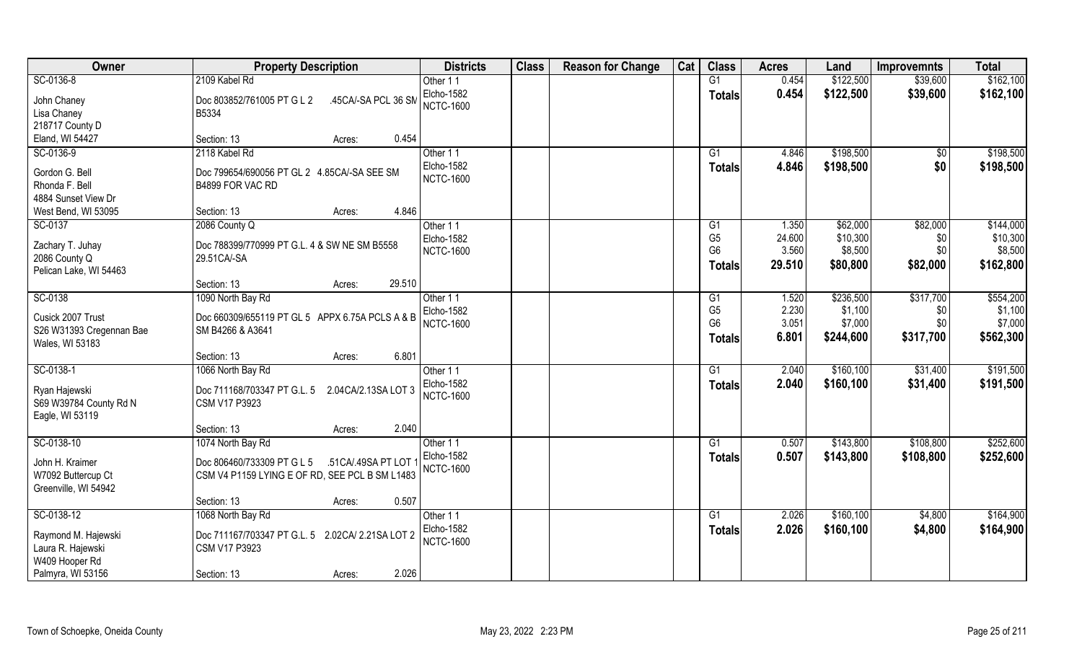| Owner                    | <b>Property Description</b>                        | <b>Districts</b> | <b>Class</b> | <b>Reason for Change</b> | Cat | <b>Class</b>    | <b>Acres</b> | Land       | <b>Improvemnts</b> | <b>Total</b> |
|--------------------------|----------------------------------------------------|------------------|--------------|--------------------------|-----|-----------------|--------------|------------|--------------------|--------------|
| SC-0136-8                | 2109 Kabel Rd                                      | Other 11         |              |                          |     | G1              | 0.454        | \$122,500  | \$39,600           | \$162,100    |
| John Chaney              | Doc 803852/761005 PT G L 2<br>.45CA/-SA PCL 36 SM  | Elcho-1582       |              |                          |     | Totals          | 0.454        | \$122,500  | \$39,600           | \$162,100    |
| Lisa Chaney              | B5334                                              | <b>NCTC-1600</b> |              |                          |     |                 |              |            |                    |              |
| 218717 County D          |                                                    |                  |              |                          |     |                 |              |            |                    |              |
| Eland, WI 54427          | 0.454<br>Section: 13<br>Acres:                     |                  |              |                          |     |                 |              |            |                    |              |
| SC-0136-9                | 2118 Kabel Rd                                      | Other 11         |              |                          |     | G1              | 4.846        | \$198,500  | $\sqrt{$0}$        | \$198,500    |
|                          |                                                    | Elcho-1582       |              |                          |     |                 | 4.846        | \$198,500  | \$0                | \$198,500    |
| Gordon G. Bell           | Doc 799654/690056 PT GL 2 4.85CA/-SA SEE SM        | <b>NCTC-1600</b> |              |                          |     | <b>Totals</b>   |              |            |                    |              |
| Rhonda F. Bell           | B4899 FOR VAC RD                                   |                  |              |                          |     |                 |              |            |                    |              |
| 4884 Sunset View Dr      |                                                    |                  |              |                          |     |                 |              |            |                    |              |
| West Bend, WI 53095      | 4.846<br>Section: 13<br>Acres:                     |                  |              |                          |     |                 |              |            |                    |              |
| SC-0137                  | 2086 County Q                                      | Other 11         |              |                          |     | G1              | 1.350        | \$62,000   | \$82,000           | \$144,000    |
|                          |                                                    | Elcho-1582       |              |                          |     | G <sub>5</sub>  | 24.600       | \$10,300   | \$0                | \$10,300     |
| Zachary T. Juhay         | Doc 788399/770999 PT G.L. 4 & SW NE SM B5558       | <b>NCTC-1600</b> |              |                          |     | G <sub>6</sub>  | 3.560        | \$8,500    | \$0                | \$8,500      |
| 2086 County Q            | 29.51CA/-SA                                        |                  |              |                          |     | <b>Totals</b>   | 29.510       | \$80,800   | \$82,000           | \$162,800    |
| Pelican Lake, WI 54463   | 29.510                                             |                  |              |                          |     |                 |              |            |                    |              |
|                          | Section: 13<br>Acres:                              |                  |              |                          |     |                 |              |            |                    |              |
| SC-0138                  | 1090 North Bay Rd                                  | Other 11         |              |                          |     | G1              | 1.520        | \$236,500  | \$317,700          | \$554,200    |
| Cusick 2007 Trust        | Doc 660309/655119 PT GL 5 APPX 6.75A PCLS A & B    | Elcho-1582       |              |                          |     | G <sub>5</sub>  | 2.230        | \$1,100    | \$0                | \$1,100      |
| S26 W31393 Cregennan Bae | SM B4266 & A3641                                   | <b>NCTC-1600</b> |              |                          |     | G <sub>6</sub>  | 3.051        | \$7,000    | \$0                | \$7,000      |
| Wales, WI 53183          |                                                    |                  |              |                          |     | Totals          | 6.801        | \$244,600  | \$317,700          | \$562,300    |
|                          | 6.801<br>Section: 13<br>Acres:                     |                  |              |                          |     |                 |              |            |                    |              |
| SC-0138-1                | 1066 North Bay Rd                                  | Other 11         |              |                          |     | $\overline{G1}$ | 2.040        | \$160, 100 | \$31,400           | \$191,500    |
|                          |                                                    | Elcho-1582       |              |                          |     | Totals          | 2.040        | \$160,100  | \$31,400           | \$191,500    |
| Ryan Hajewski            | Doc 711168/703347 PT G.L. 5<br>2.04CA/2.13SA LOT 3 | <b>NCTC-1600</b> |              |                          |     |                 |              |            |                    |              |
| S69 W39784 County Rd N   | <b>CSM V17 P3923</b>                               |                  |              |                          |     |                 |              |            |                    |              |
| Eagle, WI 53119          |                                                    |                  |              |                          |     |                 |              |            |                    |              |
|                          | 2.040<br>Section: 13<br>Acres:                     |                  |              |                          |     |                 |              |            |                    |              |
| SC-0138-10               | 1074 North Bay Rd                                  | Other 11         |              |                          |     | G1              | 0.507        | \$143,800  | \$108,800          | \$252,600    |
| John H. Kraimer          | Doc 806460/733309 PT G L 5<br>.51CA/.49SA PT LOT   | Elcho-1582       |              |                          |     | <b>Totals</b>   | 0.507        | \$143,800  | \$108,800          | \$252,600    |
| W7092 Buttercup Ct       | CSM V4 P1159 LYING E OF RD, SEE PCL B SM L1483     | <b>NCTC-1600</b> |              |                          |     |                 |              |            |                    |              |
| Greenville, WI 54942     |                                                    |                  |              |                          |     |                 |              |            |                    |              |
|                          | 0.507<br>Section: 13<br>Acres:                     |                  |              |                          |     |                 |              |            |                    |              |
| SC-0138-12               | 1068 North Bay Rd                                  | Other 11         |              |                          |     | G1              | 2.026        | \$160, 100 | \$4,800            | \$164,900    |
|                          |                                                    | Elcho-1582       |              |                          |     | <b>Totals</b>   | 2.026        | \$160,100  | \$4,800            | \$164,900    |
| Raymond M. Hajewski      | Doc 711167/703347 PT G.L. 5 2.02CA/ 2.21SA LOT 2   | <b>NCTC-1600</b> |              |                          |     |                 |              |            |                    |              |
| Laura R. Hajewski        | <b>CSM V17 P3923</b>                               |                  |              |                          |     |                 |              |            |                    |              |
| W409 Hooper Rd           |                                                    |                  |              |                          |     |                 |              |            |                    |              |
| Palmyra, WI 53156        | 2.026<br>Section: 13<br>Acres:                     |                  |              |                          |     |                 |              |            |                    |              |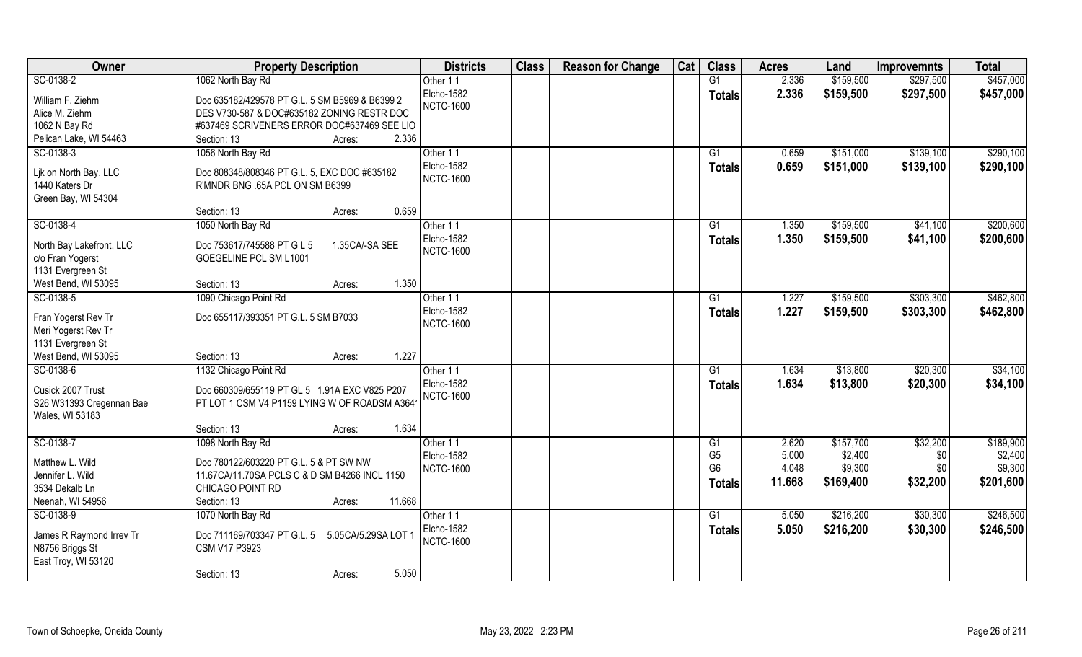| Owner                                      | <b>Property Description</b>                        | <b>Districts</b> | <b>Class</b> | <b>Reason for Change</b> | Cat | <b>Class</b>    | <b>Acres</b> | Land      | <b>Improvemnts</b> | <b>Total</b> |
|--------------------------------------------|----------------------------------------------------|------------------|--------------|--------------------------|-----|-----------------|--------------|-----------|--------------------|--------------|
| SC-0138-2                                  | 1062 North Bay Rd                                  | Other 11         |              |                          |     | G1              | 2.336        | \$159,500 | \$297,500          | \$457,000    |
| William F. Ziehm                           | Doc 635182/429578 PT G.L. 5 SM B5969 & B6399 2     | Elcho-1582       |              |                          |     | <b>Totals</b>   | 2.336        | \$159,500 | \$297,500          | \$457,000    |
| Alice M. Ziehm                             | DES V730-587 & DOC#635182 ZONING RESTR DOC         | <b>NCTC-1600</b> |              |                          |     |                 |              |           |                    |              |
| 1062 N Bay Rd                              | #637469 SCRIVENERS ERROR DOC#637469 SEE LIO        |                  |              |                          |     |                 |              |           |                    |              |
| Pelican Lake, WI 54463                     | 2.336<br>Section: 13<br>Acres:                     |                  |              |                          |     |                 |              |           |                    |              |
| SC-0138-3                                  | 1056 North Bay Rd                                  | Other 11         |              |                          |     | $\overline{G1}$ | 0.659        | \$151,000 | \$139,100          | \$290,100    |
|                                            |                                                    | Elcho-1582       |              |                          |     | <b>Totals</b>   | 0.659        | \$151,000 | \$139,100          | \$290,100    |
| Lik on North Bay, LLC                      | Doc 808348/808346 PT G.L. 5, EXC DOC #635182       | <b>NCTC-1600</b> |              |                          |     |                 |              |           |                    |              |
| 1440 Katers Dr                             | R'MNDR BNG .65A PCL ON SM B6399                    |                  |              |                          |     |                 |              |           |                    |              |
| Green Bay, WI 54304                        |                                                    |                  |              |                          |     |                 |              |           |                    |              |
|                                            | 0.659<br>Section: 13<br>Acres:                     |                  |              |                          |     |                 |              |           |                    |              |
| SC-0138-4                                  | 1050 North Bay Rd                                  | Other 11         |              |                          |     | G1              | 1.350        | \$159,500 | \$41,100           | \$200,600    |
| North Bay Lakefront, LLC                   | Doc 753617/745588 PT G L 5<br>1.35CA/-SA SEE       | Elcho-1582       |              |                          |     | <b>Totals</b>   | 1.350        | \$159,500 | \$41,100           | \$200,600    |
| c/o Fran Yogerst                           | GOEGELINE PCL SM L1001                             | <b>NCTC-1600</b> |              |                          |     |                 |              |           |                    |              |
| 1131 Evergreen St                          |                                                    |                  |              |                          |     |                 |              |           |                    |              |
| West Bend, WI 53095                        | 1.350<br>Section: 13<br>Acres:                     |                  |              |                          |     |                 |              |           |                    |              |
| SC-0138-5                                  | 1090 Chicago Point Rd                              | Other 11         |              |                          |     | G1              | 1.227        | \$159,500 | \$303,300          | \$462,800    |
|                                            | Doc 655117/393351 PT G.L. 5 SM B7033               | Elcho-1582       |              |                          |     | <b>Totals</b>   | 1.227        | \$159,500 | \$303,300          | \$462,800    |
| Fran Yogerst Rev Tr<br>Meri Yogerst Rev Tr |                                                    | <b>NCTC-1600</b> |              |                          |     |                 |              |           |                    |              |
| 1131 Evergreen St                          |                                                    |                  |              |                          |     |                 |              |           |                    |              |
| West Bend, WI 53095                        | 1.227<br>Section: 13<br>Acres:                     |                  |              |                          |     |                 |              |           |                    |              |
| SC-0138-6                                  | 1132 Chicago Point Rd                              | Other 11         |              |                          |     | G1              | 1.634        | \$13,800  | \$20,300           | \$34,100     |
|                                            |                                                    | Elcho-1582       |              |                          |     | <b>Totals</b>   | 1.634        | \$13,800  | \$20,300           | \$34,100     |
| Cusick 2007 Trust                          | Doc 660309/655119 PT GL 5 1.91A EXC V825 P207      | <b>NCTC-1600</b> |              |                          |     |                 |              |           |                    |              |
| S26 W31393 Cregennan Bae                   | PT LOT 1 CSM V4 P1159 LYING W OF ROADSM A364       |                  |              |                          |     |                 |              |           |                    |              |
| Wales, WI 53183                            |                                                    |                  |              |                          |     |                 |              |           |                    |              |
|                                            | 1.634<br>Section: 13<br>Acres:                     |                  |              |                          |     |                 |              |           |                    |              |
| SC-0138-7                                  | 1098 North Bay Rd                                  | Other 11         |              |                          |     | G1              | 2.620        | \$157,700 | \$32,200           | \$189,900    |
| Matthew L. Wild                            | Doc 780122/603220 PT G.L. 5 & PT SW NW             | Elcho-1582       |              |                          |     | G <sub>5</sub>  | 5.000        | \$2,400   | \$0                | \$2,400      |
| Jennifer L. Wild                           | 11.67CA/11.70SA PCLS C & D SM B4266 INCL 1150      | <b>NCTC-1600</b> |              |                          |     | G <sub>6</sub>  | 4.048        | \$9,300   | \$0                | \$9,300      |
| 3534 Dekalb Ln                             | CHICAGO POINT RD                                   |                  |              |                          |     | Totals          | 11.668       | \$169,400 | \$32,200           | \$201,600    |
| Neenah, WI 54956                           | 11.668<br>Section: 13<br>Acres:                    |                  |              |                          |     |                 |              |           |                    |              |
| SC-0138-9                                  | 1070 North Bay Rd                                  | Other 11         |              |                          |     | G1              | 5.050        | \$216,200 | \$30,300           | \$246,500    |
| James R Raymond Irrev Tr                   | Doc 711169/703347 PT G.L. 5<br>5.05CA/5.29SA LOT 1 | Elcho-1582       |              |                          |     | <b>Totals</b>   | 5.050        | \$216,200 | \$30,300           | \$246,500    |
| N8756 Briggs St                            | <b>CSM V17 P3923</b>                               | <b>NCTC-1600</b> |              |                          |     |                 |              |           |                    |              |
| East Troy, WI 53120                        |                                                    |                  |              |                          |     |                 |              |           |                    |              |
|                                            | 5.050<br>Section: 13<br>Acres:                     |                  |              |                          |     |                 |              |           |                    |              |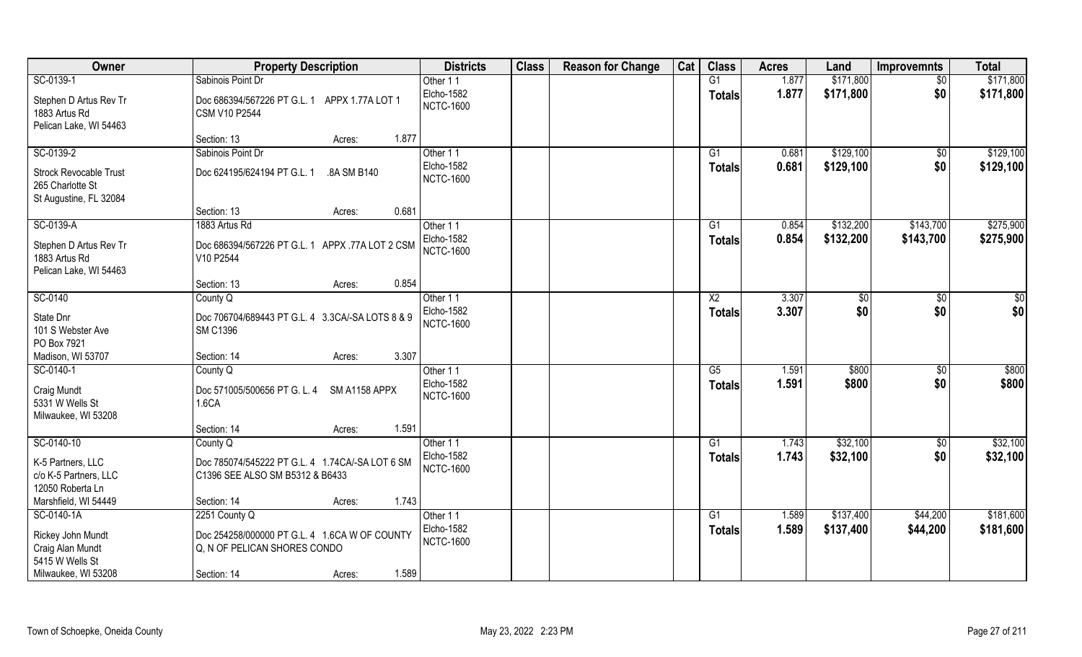| Owner                                                                | <b>Property Description</b>                                                        | <b>Districts</b>               | <b>Class</b> | <b>Reason for Change</b> | Cat | <b>Class</b>           | <b>Acres</b> | Land      | <b>Improvemnts</b> | <b>Total</b> |
|----------------------------------------------------------------------|------------------------------------------------------------------------------------|--------------------------------|--------------|--------------------------|-----|------------------------|--------------|-----------|--------------------|--------------|
| SC-0139-1                                                            | Sabinois Point Dr                                                                  | Other 11                       |              |                          |     | G1                     | 1.877        | \$171,800 | $\sqrt{$0}$        | \$171,800    |
| Stephen D Artus Rev Tr<br>1883 Artus Rd<br>Pelican Lake, WI 54463    | Doc 686394/567226 PT G.L. 1 APPX 1.77A LOT 1<br>CSM V10 P2544                      | Elcho-1582<br><b>NCTC-1600</b> |              |                          |     | <b>Totals</b>          | 1.877        | \$171,800 | \$0                | \$171,800    |
|                                                                      | 1.877<br>Section: 13<br>Acres:                                                     |                                |              |                          |     |                        |              |           |                    |              |
| SC-0139-2                                                            | Sabinois Point Dr                                                                  | Other 11                       |              |                          |     | $\overline{G1}$        | 0.681        | \$129,100 | \$0                | \$129,100    |
| Strock Revocable Trust<br>265 Charlotte St<br>St Augustine, FL 32084 | Doc 624195/624194 PT G.L. 1<br>.8A SM B140                                         | Elcho-1582<br><b>NCTC-1600</b> |              |                          |     | Totals                 | 0.681        | \$129,100 | \$0                | \$129,100    |
|                                                                      | 0.681<br>Section: 13<br>Acres:                                                     |                                |              |                          |     |                        |              |           |                    |              |
| SC-0139-A                                                            | 1883 Artus Rd                                                                      | Other 11                       |              |                          |     | G1                     | 0.854        | \$132,200 | \$143,700          | \$275,900    |
| Stephen D Artus Rev Tr<br>1883 Artus Rd<br>Pelican Lake, WI 54463    | Doc 686394/567226 PT G.L. 1 APPX .77A LOT 2 CSM<br>V10 P2544                       | Elcho-1582<br><b>NCTC-1600</b> |              |                          |     | Totals                 | 0.854        | \$132,200 | \$143,700          | \$275,900    |
|                                                                      | 0.854<br>Section: 13<br>Acres:                                                     |                                |              |                          |     |                        |              |           |                    |              |
| SC-0140                                                              | County Q                                                                           | Other 11                       |              |                          |     | X <sub>2</sub>         | 3.307        | $ $ \$0   | $\sqrt[6]{3}$      | $\sqrt{50}$  |
| State Dnr<br>101 S Webster Ave<br>PO Box 7921                        | Doc 706704/689443 PT G.L. 4 3.3CA/-SA LOTS 8 & 9<br><b>SM C1396</b>                | Elcho-1582<br><b>NCTC-1600</b> |              |                          |     | <b>Totals</b>          | 3.307        | \$0       | \$0                | \$0          |
| Madison, WI 53707                                                    | 3.307<br>Section: 14<br>Acres:                                                     |                                |              |                          |     |                        |              |           |                    |              |
| SC-0140-1                                                            | County Q                                                                           | Other 11                       |              |                          |     | $\overline{\text{G5}}$ | 1.591        | \$800     | \$0                | \$800        |
| Craig Mundt<br>5331 W Wells St<br>Milwaukee, WI 53208                | Doc 571005/500656 PT G. L. 4<br>SM A1158 APPX<br>1.6CA                             | Elcho-1582<br><b>NCTC-1600</b> |              |                          |     | <b>Totals</b>          | 1.591        | \$800     | \$0                | \$800        |
|                                                                      | 1.591<br>Section: 14<br>Acres:                                                     |                                |              |                          |     |                        |              |           |                    |              |
| SC-0140-10                                                           | County Q                                                                           | Other 11                       |              |                          |     | G1                     | 1.743        | \$32,100  | $\overline{60}$    | \$32,100     |
| K-5 Partners, LLC<br>c/o K-5 Partners, LLC<br>12050 Roberta Ln       | Doc 785074/545222 PT G.L. 4 1.74CA/-SA LOT 6 SM<br>C1396 SEE ALSO SM B5312 & B6433 | Elcho-1582<br><b>NCTC-1600</b> |              |                          |     | <b>Totals</b>          | 1.743        | \$32,100  | \$0                | \$32,100     |
| Marshfield, WI 54449                                                 | 1.743<br>Section: 14<br>Acres:                                                     |                                |              |                          |     |                        |              |           |                    |              |
| SC-0140-1A                                                           | 2251 County Q                                                                      | Other 11                       |              |                          |     | G1                     | 1.589        | \$137,400 | \$44,200           | \$181,600    |
| Rickey John Mundt<br>Craig Alan Mundt<br>5415 W Wells St             | Doc 254258/000000 PT G.L. 4 1.6CA W OF COUNTY<br>Q, N OF PELICAN SHORES CONDO      | Elcho-1582<br><b>NCTC-1600</b> |              |                          |     | <b>Totals</b>          | 1.589        | \$137,400 | \$44,200           | \$181,600    |
| Milwaukee, WI 53208                                                  | 1.589<br>Section: 14<br>Acres:                                                     |                                |              |                          |     |                        |              |           |                    |              |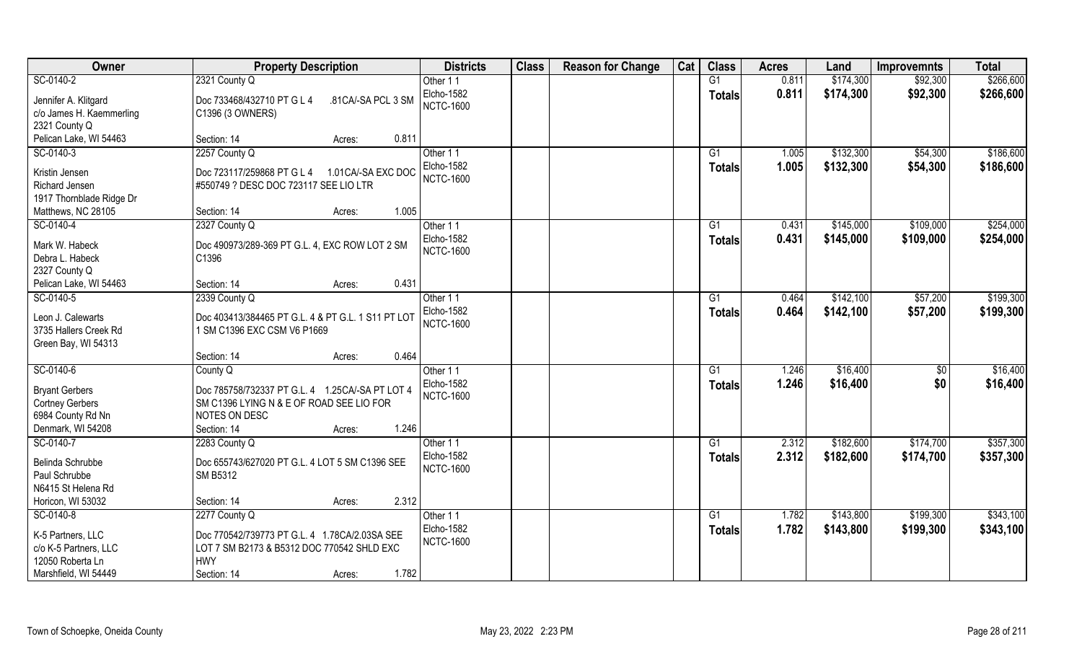| Owner                    | <b>Property Description</b>                        | <b>Districts</b>  | <b>Class</b> | <b>Reason for Change</b> | Cat | <b>Class</b>    | <b>Acres</b> | Land      | <b>Improvemnts</b> | <b>Total</b> |
|--------------------------|----------------------------------------------------|-------------------|--------------|--------------------------|-----|-----------------|--------------|-----------|--------------------|--------------|
| SC-0140-2                | 2321 County Q                                      | Other 11          |              |                          |     | G1              | 0.811        | \$174,300 | \$92,300           | \$266,600    |
| Jennifer A. Klitgard     | Doc 733468/432710 PT G L 4<br>.81CA/-SA PCL 3 SM   | Elcho-1582        |              |                          |     | <b>Totals</b>   | 0.811        | \$174,300 | \$92,300           | \$266,600    |
| c/o James H. Kaemmerling | C1396 (3 OWNERS)                                   | <b>NCTC-1600</b>  |              |                          |     |                 |              |           |                    |              |
| 2321 County Q            |                                                    |                   |              |                          |     |                 |              |           |                    |              |
| Pelican Lake, WI 54463   | 0.811<br>Section: 14<br>Acres:                     |                   |              |                          |     |                 |              |           |                    |              |
| SC-0140-3                | 2257 County Q                                      | Other 11          |              |                          |     | $\overline{G1}$ | 1.005        | \$132,300 | \$54,300           | \$186,600    |
|                          |                                                    | <b>Elcho-1582</b> |              |                          |     | <b>Totals</b>   | 1.005        | \$132,300 | \$54,300           | \$186,600    |
| Kristin Jensen           | Doc 723117/259868 PT G L 4<br>1.01 CA/-SA EXC DOC  | <b>NCTC-1600</b>  |              |                          |     |                 |              |           |                    |              |
| <b>Richard Jensen</b>    | #550749 ? DESC DOC 723117 SEE LIO LTR              |                   |              |                          |     |                 |              |           |                    |              |
| 1917 Thornblade Ridge Dr |                                                    |                   |              |                          |     |                 |              |           |                    |              |
| Matthews, NC 28105       | 1.005<br>Section: 14<br>Acres:                     |                   |              |                          |     |                 |              |           |                    |              |
| SC-0140-4                | 2327 County Q                                      | Other 11          |              |                          |     | G1              | 0.431        | \$145,000 | \$109,000          | \$254,000    |
| Mark W. Habeck           | Doc 490973/289-369 PT G.L. 4, EXC ROW LOT 2 SM     | <b>Elcho-1582</b> |              |                          |     | <b>Totals</b>   | 0.431        | \$145,000 | \$109,000          | \$254,000    |
| Debra L. Habeck          | C1396                                              | <b>NCTC-1600</b>  |              |                          |     |                 |              |           |                    |              |
| 2327 County Q            |                                                    |                   |              |                          |     |                 |              |           |                    |              |
| Pelican Lake, WI 54463   | 0.431<br>Section: 14<br>Acres:                     |                   |              |                          |     |                 |              |           |                    |              |
| SC-0140-5                | 2339 County Q                                      | Other 11          |              |                          |     | G1              | 0.464        | \$142,100 | \$57,200           | \$199,300    |
| Leon J. Calewarts        | Doc 403413/384465 PT G.L. 4 & PT G.L. 1 S11 PT LOT | Elcho-1582        |              |                          |     | <b>Totals</b>   | 0.464        | \$142,100 | \$57,200           | \$199,300    |
| 3735 Hallers Creek Rd    | 1 SM C1396 EXC CSM V6 P1669                        | <b>NCTC-1600</b>  |              |                          |     |                 |              |           |                    |              |
| Green Bay, WI 54313      |                                                    |                   |              |                          |     |                 |              |           |                    |              |
|                          | 0.464<br>Section: 14<br>Acres:                     |                   |              |                          |     |                 |              |           |                    |              |
| SC-0140-6                | County Q                                           | Other 11          |              |                          |     | G1              | 1.246        | \$16,400  | \$0                | \$16,400     |
|                          |                                                    | <b>Elcho-1582</b> |              |                          |     | <b>Totals</b>   | 1.246        | \$16,400  | \$0                | \$16,400     |
| <b>Bryant Gerbers</b>    | Doc 785758/732337 PT G.L. 4 1.25CA/-SA PT LOT 4    | <b>NCTC-1600</b>  |              |                          |     |                 |              |           |                    |              |
| <b>Cortney Gerbers</b>   | SM C1396 LYING N & E OF ROAD SEE LIO FOR           |                   |              |                          |     |                 |              |           |                    |              |
| 6984 County Rd Nn        | NOTES ON DESC                                      |                   |              |                          |     |                 |              |           |                    |              |
| Denmark, WI 54208        | 1.246<br>Section: 14<br>Acres:                     |                   |              |                          |     |                 |              |           |                    |              |
| SC-0140-7                | 2283 County Q                                      | Other 11          |              |                          |     | G1              | 2.312        | \$182,600 | \$174,700          | \$357,300    |
| Belinda Schrubbe         | Doc 655743/627020 PT G.L. 4 LOT 5 SM C1396 SEE     | <b>Elcho-1582</b> |              |                          |     | <b>Totals</b>   | 2.312        | \$182,600 | \$174,700          | \$357,300    |
| Paul Schrubbe            | SM B5312                                           | <b>NCTC-1600</b>  |              |                          |     |                 |              |           |                    |              |
| N6415 St Helena Rd       |                                                    |                   |              |                          |     |                 |              |           |                    |              |
| Horicon, WI 53032        | 2.312<br>Section: 14<br>Acres:                     |                   |              |                          |     |                 |              |           |                    |              |
| SC-0140-8                | 2277 County Q                                      | Other 11          |              |                          |     | G1              | 1.782        | \$143,800 | \$199,300          | \$343,100    |
| K-5 Partners, LLC        | Doc 770542/739773 PT G.L. 4 1.78CA/2.03SA SEE      | Elcho-1582        |              |                          |     | <b>Totals</b>   | 1.782        | \$143,800 | \$199,300          | \$343,100    |
| c/o K-5 Partners, LLC    | LOT 7 SM B2173 & B5312 DOC 770542 SHLD EXC         | <b>NCTC-1600</b>  |              |                          |     |                 |              |           |                    |              |
| 12050 Roberta Ln         | <b>HWY</b>                                         |                   |              |                          |     |                 |              |           |                    |              |
| Marshfield, WI 54449     | 1.782<br>Section: 14<br>Acres:                     |                   |              |                          |     |                 |              |           |                    |              |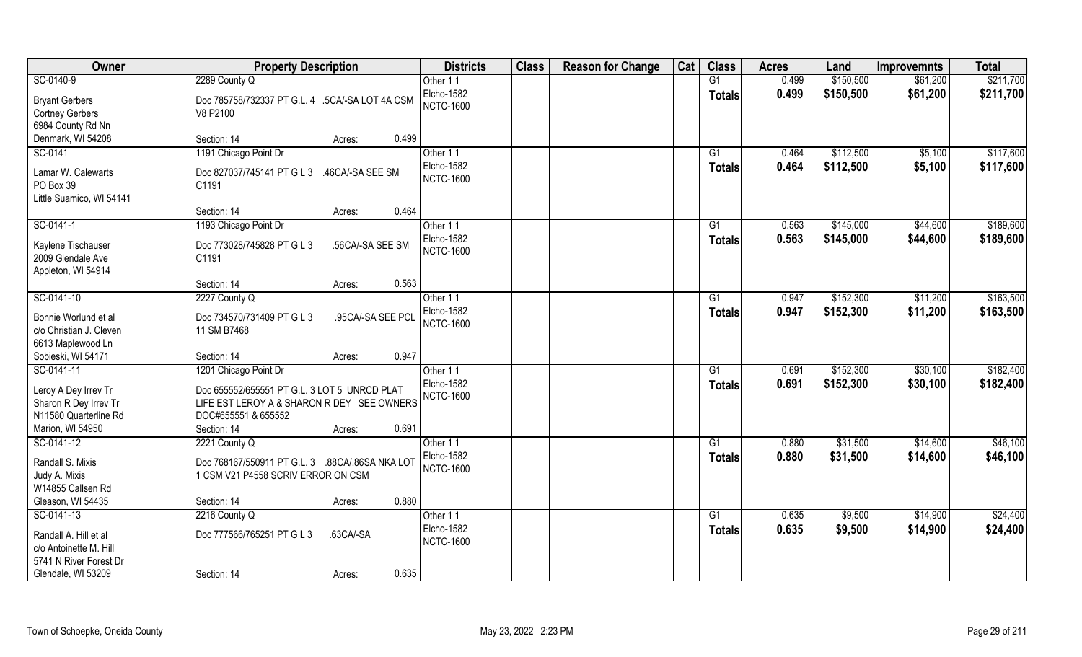| Owner                                                                     | <b>Property Description</b>                                                                                         |                   | <b>Districts</b>                                  | <b>Class</b> | <b>Reason for Change</b> | Cat | <b>Class</b>        | <b>Acres</b>   | Land                   | <b>Improvemnts</b>   | <b>Total</b>           |
|---------------------------------------------------------------------------|---------------------------------------------------------------------------------------------------------------------|-------------------|---------------------------------------------------|--------------|--------------------------|-----|---------------------|----------------|------------------------|----------------------|------------------------|
| SC-0140-9                                                                 | 2289 County Q                                                                                                       |                   | Other 11                                          |              |                          |     | G1                  | 0.499          | \$150,500              | \$61,200             | \$211,700              |
| <b>Bryant Gerbers</b><br><b>Cortney Gerbers</b><br>6984 County Rd Nn      | Doc 785758/732337 PT G.L. 4 .5CA/-SA LOT 4A CSM<br>V8 P2100                                                         |                   | Elcho-1582<br><b>NCTC-1600</b>                    |              |                          |     | <b>Totals</b>       | 0.499          | \$150,500              | \$61,200             | \$211,700              |
| Denmark, WI 54208                                                         | Section: 14                                                                                                         | 0.499<br>Acres:   |                                                   |              |                          |     |                     |                |                        |                      |                        |
| SC-0141                                                                   | 1191 Chicago Point Dr                                                                                               |                   | Other 11                                          |              |                          |     | $\overline{G1}$     | 0.464          | \$112,500              | \$5,100              | \$117,600              |
| Lamar W. Calewarts<br>PO Box 39<br>Little Suamico, WI 54141               | Doc 827037/745141 PT G L 3<br>C1191                                                                                 | .46CA/-SA SEE SM  | Elcho-1582<br><b>NCTC-1600</b>                    |              |                          |     | Totals              | 0.464          | \$112,500              | \$5,100              | \$117,600              |
|                                                                           | Section: 14                                                                                                         | 0.464<br>Acres:   |                                                   |              |                          |     |                     |                |                        |                      |                        |
| SC-0141-1                                                                 | 1193 Chicago Point Dr                                                                                               |                   | Other 11                                          |              |                          |     | G1                  | 0.563          | \$145,000              | \$44,600             | \$189,600              |
| Kaylene Tischauser<br>2009 Glendale Ave<br>Appleton, WI 54914             | Doc 773028/745828 PT G L 3<br>C1191                                                                                 | .56CA/-SA SEE SM  | Elcho-1582<br><b>NCTC-1600</b>                    |              |                          |     | <b>Totals</b>       | 0.563          | \$145,000              | \$44,600             | \$189,600              |
|                                                                           | Section: 14                                                                                                         | 0.563<br>Acres:   |                                                   |              |                          |     |                     |                |                        |                      |                        |
| SC-0141-10                                                                | 2227 County Q                                                                                                       |                   | Other 11                                          |              |                          |     | G1                  | 0.947          | \$152,300              | \$11,200             | \$163,500              |
| Bonnie Worlund et al<br>c/o Christian J. Cleven<br>6613 Maplewood Ln      | Doc 734570/731409 PT G L 3<br>11 SM B7468                                                                           | .95CA/-SA SEE PCL | Elcho-1582<br><b>NCTC-1600</b>                    |              |                          |     | <b>Totals</b>       | 0.947          | \$152,300              | \$11,200             | \$163,500              |
| Sobieski, WI 54171                                                        | Section: 14                                                                                                         | 0.947<br>Acres:   |                                                   |              |                          |     |                     |                |                        |                      |                        |
| SC-0141-11<br>Leroy A Dey Irrev Tr<br>Sharon R Dey Irrev Tr               | 1201 Chicago Point Dr<br>Doc 655552/655551 PT G.L. 3 LOT 5 UNRCD PLAT<br>LIFE EST LEROY A & SHARON R DEY SEE OWNERS |                   | Other 11<br><b>Elcho-1582</b><br><b>NCTC-1600</b> |              |                          |     | G1<br><b>Totals</b> | 0.691<br>0.691 | \$152,300<br>\$152,300 | \$30,100<br>\$30,100 | \$182,400<br>\$182,400 |
| N11580 Quarterline Rd                                                     | DOC#655551 & 655552                                                                                                 |                   |                                                   |              |                          |     |                     |                |                        |                      |                        |
| Marion, WI 54950                                                          | Section: 14                                                                                                         | 0.691<br>Acres:   |                                                   |              |                          |     |                     |                |                        |                      |                        |
| SC-0141-12                                                                | 2221 County Q                                                                                                       |                   | Other 11                                          |              |                          |     | G1                  | 0.880          | \$31,500               | \$14,600             | \$46,100               |
| Randall S. Mixis<br>Judy A. Mixis<br>W14855 Callsen Rd                    | Doc 768167/550911 PT G.L. 3 .88CA/.86SA NKA LOT<br>1 CSM V21 P4558 SCRIV ERROR ON CSM                               |                   | Elcho-1582<br><b>NCTC-1600</b>                    |              |                          |     | <b>Totals</b>       | 0.880          | \$31,500               | \$14,600             | \$46,100               |
| Gleason, WI 54435                                                         | Section: 14                                                                                                         | 0.880<br>Acres:   |                                                   |              |                          |     |                     |                |                        |                      |                        |
| SC-0141-13                                                                | 2216 County Q                                                                                                       |                   | Other 11                                          |              |                          |     | G1                  | 0.635          | \$9,500                | \$14,900             | \$24,400               |
| Randall A. Hill et al<br>c/o Antoinette M. Hill<br>5741 N River Forest Dr | Doc 777566/765251 PT G L 3                                                                                          | .63CA/-SA         | <b>Elcho-1582</b><br><b>NCTC-1600</b>             |              |                          |     | <b>Totals</b>       | 0.635          | \$9,500                | \$14,900             | \$24,400               |
| Glendale, WI 53209                                                        | Section: 14                                                                                                         | 0.635<br>Acres:   |                                                   |              |                          |     |                     |                |                        |                      |                        |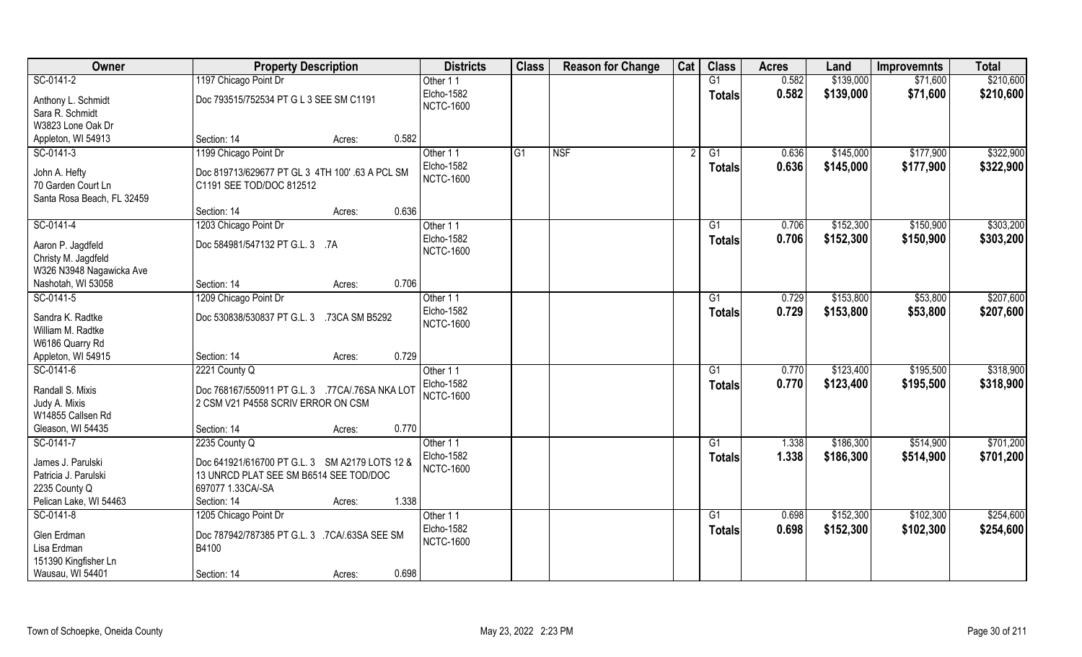| Owner                                                                                | <b>Property Description</b>                                                                                                                     | <b>Districts</b>                           | <b>Class</b>    | <b>Reason for Change</b> | Cat | <b>Class</b>    | <b>Acres</b> | Land      | <b>Improvemnts</b> | <b>Total</b> |
|--------------------------------------------------------------------------------------|-------------------------------------------------------------------------------------------------------------------------------------------------|--------------------------------------------|-----------------|--------------------------|-----|-----------------|--------------|-----------|--------------------|--------------|
| SC-0141-2                                                                            | 1197 Chicago Point Dr                                                                                                                           | Other 11                                   |                 |                          |     | G1              | 0.582        | \$139,000 | \$71,600           | \$210,600    |
| Anthony L. Schmidt<br>Sara R. Schmidt<br>W3823 Lone Oak Dr                           | Doc 793515/752534 PT G L 3 SEE SM C1191                                                                                                         | Elcho-1582<br><b>NCTC-1600</b>             |                 |                          |     | <b>Totals</b>   | 0.582        | \$139,000 | \$71,600           | \$210,600    |
| Appleton, WI 54913                                                                   | 0.582<br>Section: 14<br>Acres:                                                                                                                  |                                            |                 |                          |     |                 |              |           |                    |              |
| SC-0141-3                                                                            | 1199 Chicago Point Dr                                                                                                                           | Other 11                                   | $\overline{G1}$ | NSF                      |     | $\overline{G1}$ | 0.636        | \$145,000 | \$177,900          | \$322,900    |
| John A. Hefty<br>70 Garden Court Ln<br>Santa Rosa Beach, FL 32459                    | Doc 819713/629677 PT GL 3 4TH 100' .63 A PCL SM<br>C1191 SEE TOD/DOC 812512                                                                     | Elcho-1582<br><b>NCTC-1600</b>             |                 |                          |     | <b>Totals</b>   | 0.636        | \$145,000 | \$177,900          | \$322,900    |
|                                                                                      | 0.636<br>Section: 14<br>Acres:                                                                                                                  |                                            |                 |                          |     |                 |              |           |                    |              |
| SC-0141-4                                                                            | 1203 Chicago Point Dr                                                                                                                           | Other 11                                   |                 |                          |     | G1              | 0.706        | \$152,300 | \$150,900          | \$303,200    |
| Aaron P. Jagdfeld<br>Christy M. Jagdfeld                                             | Doc 584981/547132 PT G.L. 3 .7A                                                                                                                 | Elcho-1582<br><b>NCTC-1600</b>             |                 |                          |     | <b>Totals</b>   | 0.706        | \$152,300 | \$150,900          | \$303,200    |
| W326 N3948 Nagawicka Ave                                                             |                                                                                                                                                 |                                            |                 |                          |     |                 |              |           |                    |              |
| Nashotah, WI 53058<br>SC-0141-5                                                      | 0.706<br>Section: 14<br>Acres:                                                                                                                  |                                            |                 |                          |     |                 | 0.729        | \$153,800 | \$53,800           | \$207,600    |
| Sandra K. Radtke<br>William M. Radtke<br>W6186 Quarry Rd                             | 1209 Chicago Point Dr<br>Doc 530838/530837 PT G.L. 3 .73CA SM B5292                                                                             | Other 11<br>Elcho-1582<br><b>NCTC-1600</b> |                 |                          |     | G1<br>Totals    | 0.729        | \$153,800 | \$53,800           | \$207,600    |
| Appleton, WI 54915                                                                   | 0.729<br>Section: 14<br>Acres:                                                                                                                  |                                            |                 |                          |     |                 |              |           |                    |              |
| SC-0141-6                                                                            | 2221 County Q                                                                                                                                   | Other 11                                   |                 |                          |     | $\overline{G1}$ | 0.770        | \$123,400 | \$195,500          | \$318,900    |
| Randall S. Mixis<br>Judy A. Mixis<br>W14855 Callsen Rd                               | Doc 768167/550911 PT G.L. 3 .77CA/.76SA NKA LOT<br>2 CSM V21 P4558 SCRIV ERROR ON CSM                                                           | <b>Elcho-1582</b><br><b>NCTC-1600</b>      |                 |                          |     | Totals          | 0.770        | \$123,400 | \$195,500          | \$318,900    |
| Gleason, WI 54435                                                                    | 0.770<br>Section: 14<br>Acres:                                                                                                                  |                                            |                 |                          |     |                 |              |           |                    |              |
| SC-0141-7                                                                            | 2235 County Q                                                                                                                                   | Other 11                                   |                 |                          |     | G1              | 1.338        | \$186,300 | \$514,900          | \$701,200    |
| James J. Parulski<br>Patricia J. Parulski<br>2235 County Q<br>Pelican Lake, WI 54463 | Doc 641921/616700 PT G.L. 3 SM A2179 LOTS 12 &<br>13 UNRCD PLAT SEE SM B6514 SEE TOD/DOC<br>697077 1.33CA/-SA<br>1.338<br>Section: 14<br>Acres: | <b>Elcho-1582</b><br><b>NCTC-1600</b>      |                 |                          |     | <b>Totals</b>   | 1.338        | \$186,300 | \$514,900          | \$701,200    |
| SC-0141-8                                                                            | 1205 Chicago Point Dr                                                                                                                           | Other 11                                   |                 |                          |     | G1              | 0.698        | \$152,300 | \$102,300          | \$254,600    |
| Glen Erdman<br>Lisa Erdman<br>151390 Kingfisher Ln                                   | Doc 787942/787385 PT G.L. 3 .7CA/.63SA SEE SM<br>B4100                                                                                          | Elcho-1582<br><b>NCTC-1600</b>             |                 |                          |     | Totals          | 0.698        | \$152,300 | \$102,300          | \$254,600    |
| Wausau, WI 54401                                                                     | 0.698<br>Section: 14<br>Acres:                                                                                                                  |                                            |                 |                          |     |                 |              |           |                    |              |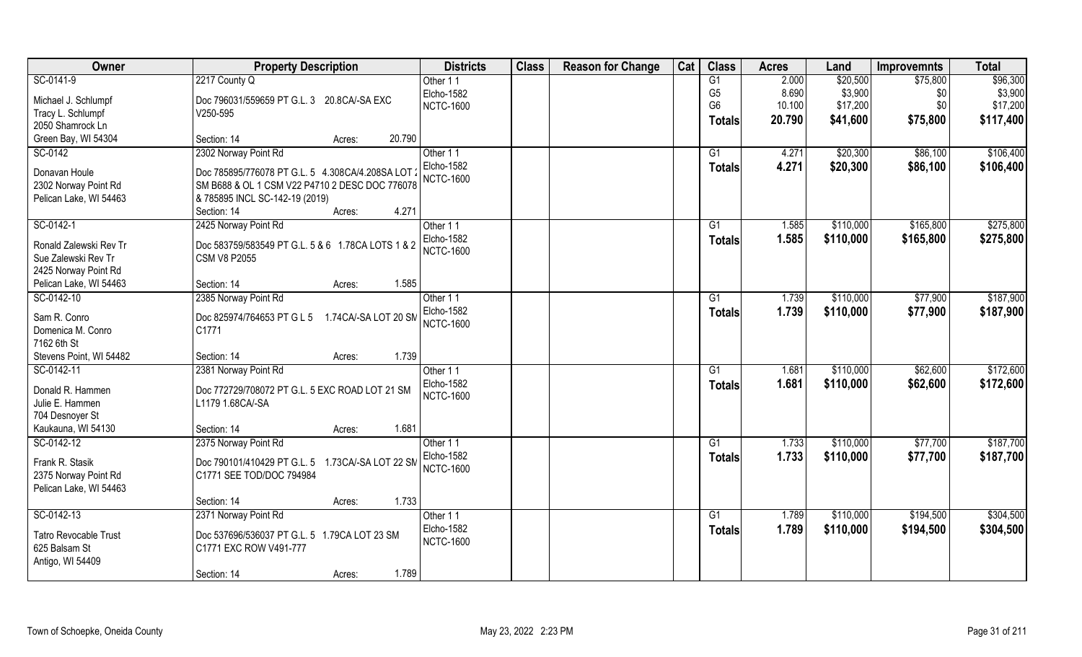| Owner                   | <b>Property Description</b>                        | <b>Districts</b> | <b>Class</b> | <b>Reason for Change</b> | Cat | <b>Class</b>    | <b>Acres</b> | Land      | <b>Improvemnts</b> | <b>Total</b> |
|-------------------------|----------------------------------------------------|------------------|--------------|--------------------------|-----|-----------------|--------------|-----------|--------------------|--------------|
| SC-0141-9               | 2217 County Q                                      | Other 11         |              |                          |     | G1              | 2.000        | \$20,500  | \$75,800           | \$96,300     |
| Michael J. Schlumpf     | Doc 796031/559659 PT G.L. 3 20.8CA/-SA EXC         | Elcho-1582       |              |                          |     | G <sub>5</sub>  | 8.690        | \$3,900   | \$0                | \$3,900      |
| Tracy L. Schlumpf       | V250-595                                           | <b>NCTC-1600</b> |              |                          |     | G <sub>6</sub>  | 10.100       | \$17,200  | \$0                | \$17,200     |
| 2050 Shamrock Ln        |                                                    |                  |              |                          |     | <b>Totals</b>   | 20.790       | \$41,600  | \$75,800           | \$117,400    |
| Green Bay, WI 54304     | 20.790<br>Section: 14<br>Acres:                    |                  |              |                          |     |                 |              |           |                    |              |
| SC-0142                 | 2302 Norway Point Rd                               | Other 11         |              |                          |     | G1              | 4.271        | \$20,300  | \$86,100           | \$106,400    |
|                         |                                                    | Elcho-1582       |              |                          |     |                 |              |           |                    |              |
| Donavan Houle           | Doc 785895/776078 PT G.L. 5 4.308CA/4.208SA LOT    | <b>NCTC-1600</b> |              |                          |     | Totals          | 4.271        | \$20,300  | \$86,100           | \$106,400    |
| 2302 Norway Point Rd    | SM B688 & OL 1 CSM V22 P4710 2 DESC DOC 776078     |                  |              |                          |     |                 |              |           |                    |              |
| Pelican Lake, WI 54463  | & 785895 INCL SC-142-19 (2019)                     |                  |              |                          |     |                 |              |           |                    |              |
|                         | 4.271<br>Section: 14<br>Acres:                     |                  |              |                          |     |                 |              |           |                    |              |
| SC-0142-1               | 2425 Norway Point Rd                               | Other 11         |              |                          |     | G1              | 1.585        | \$110,000 | \$165,800          | \$275,800    |
|                         |                                                    | Elcho-1582       |              |                          |     | <b>Totals</b>   | 1.585        | \$110,000 | \$165,800          | \$275,800    |
| Ronald Zalewski Rev Tr  | Doc 583759/583549 PT G.L. 5 & 6 1.78CA LOTS 1 & 2  | <b>NCTC-1600</b> |              |                          |     |                 |              |           |                    |              |
| Sue Zalewski Rev Tr     | <b>CSM V8 P2055</b>                                |                  |              |                          |     |                 |              |           |                    |              |
| 2425 Norway Point Rd    | 1.585                                              |                  |              |                          |     |                 |              |           |                    |              |
| Pelican Lake, WI 54463  | Section: 14<br>Acres:                              |                  |              |                          |     |                 |              |           |                    |              |
| SC-0142-10              | 2385 Norway Point Rd                               | Other 11         |              |                          |     | G1              | 1.739        | \$110,000 | \$77,900           | \$187,900    |
| Sam R. Conro            | Doc 825974/764653 PT G L 5<br>1.74CA/-SA LOT 20 SM | Elcho-1582       |              |                          |     | Totals          | 1.739        | \$110,000 | \$77,900           | \$187,900    |
| Domenica M. Conro       | C1771                                              | <b>NCTC-1600</b> |              |                          |     |                 |              |           |                    |              |
| 7162 6th St             |                                                    |                  |              |                          |     |                 |              |           |                    |              |
| Stevens Point, WI 54482 | 1.739<br>Section: 14<br>Acres:                     |                  |              |                          |     |                 |              |           |                    |              |
| SC-0142-11              | 2381 Norway Point Rd                               | Other 11         |              |                          |     | $\overline{G1}$ | 1.681        | \$110,000 | \$62,600           | \$172,600    |
|                         |                                                    | Elcho-1582       |              |                          |     | <b>Totals</b>   | 1.681        | \$110,000 | \$62,600           | \$172,600    |
| Donald R. Hammen        | Doc 772729/708072 PT G.L. 5 EXC ROAD LOT 21 SM     | <b>NCTC-1600</b> |              |                          |     |                 |              |           |                    |              |
| Julie E. Hammen         | L1179 1.68CA/-SA                                   |                  |              |                          |     |                 |              |           |                    |              |
| 704 Desnoyer St         |                                                    |                  |              |                          |     |                 |              |           |                    |              |
| Kaukauna, WI 54130      | 1.681<br>Section: 14<br>Acres:                     |                  |              |                          |     |                 |              |           |                    |              |
| SC-0142-12              | 2375 Norway Point Rd                               | Other 11         |              |                          |     | G1              | 1.733        | \$110,000 | \$77,700           | \$187,700    |
| Frank R. Stasik         | Doc 790101/410429 PT G.L. 5 1.73CA/-SA LOT 22 SM   | Elcho-1582       |              |                          |     | <b>Totals</b>   | 1.733        | \$110,000 | \$77,700           | \$187,700    |
| 2375 Norway Point Rd    | C1771 SEE TOD/DOC 794984                           | <b>NCTC-1600</b> |              |                          |     |                 |              |           |                    |              |
| Pelican Lake, WI 54463  |                                                    |                  |              |                          |     |                 |              |           |                    |              |
|                         | 1.733<br>Section: 14<br>Acres:                     |                  |              |                          |     |                 |              |           |                    |              |
| SC-0142-13              | 2371 Norway Point Rd                               | Other 11         |              |                          |     | G1              | 1.789        | \$110,000 | \$194,500          | \$304,500    |
|                         |                                                    | Elcho-1582       |              |                          |     | <b>Totals</b>   | 1.789        | \$110,000 | \$194,500          | \$304,500    |
| Tatro Revocable Trust   | Doc 537696/536037 PT G.L. 5 1.79CA LOT 23 SM       | <b>NCTC-1600</b> |              |                          |     |                 |              |           |                    |              |
| 625 Balsam St           | C1771 EXC ROW V491-777                             |                  |              |                          |     |                 |              |           |                    |              |
| Antigo, WI 54409        |                                                    |                  |              |                          |     |                 |              |           |                    |              |
|                         | 1.789<br>Section: 14<br>Acres:                     |                  |              |                          |     |                 |              |           |                    |              |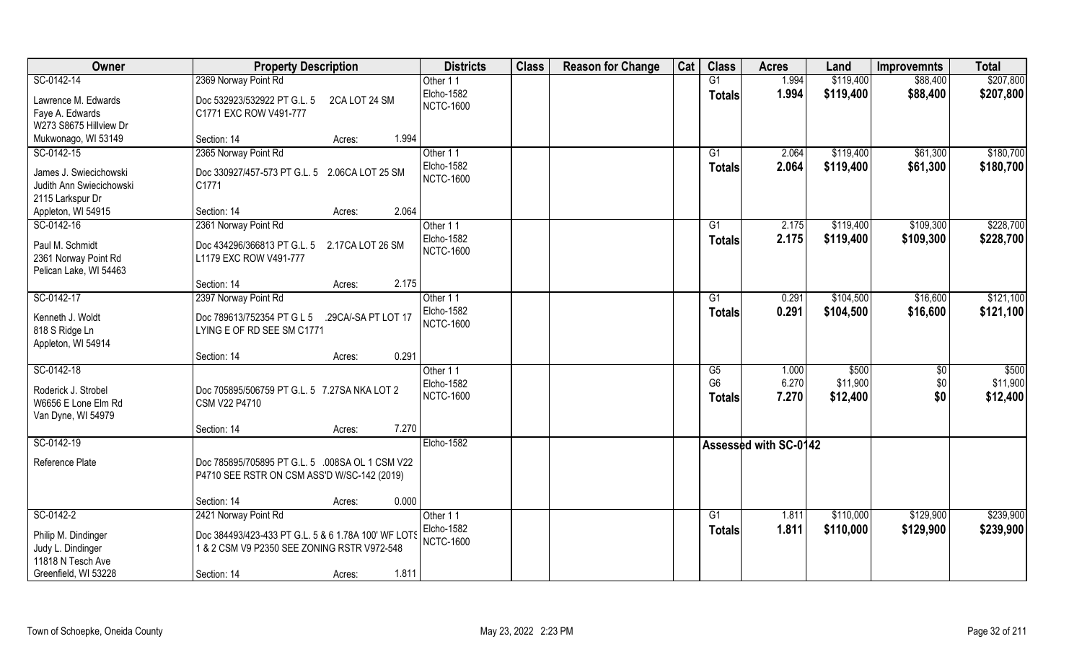| Owner                    | <b>Property Description</b>                         | <b>Districts</b>  | <b>Class</b> | <b>Reason for Change</b> | Cat | <b>Class</b>    | <b>Acres</b>                 | Land      | <b>Improvemnts</b> | <b>Total</b> |
|--------------------------|-----------------------------------------------------|-------------------|--------------|--------------------------|-----|-----------------|------------------------------|-----------|--------------------|--------------|
| SC-0142-14               | 2369 Norway Point Rd                                | Other 11          |              |                          |     | G1              | 1.994                        | \$119,400 | \$88,400           | \$207,800    |
| Lawrence M. Edwards      | Doc 532923/532922 PT G.L. 5<br>2CA LOT 24 SM        | Elcho-1582        |              |                          |     | <b>Totals</b>   | 1.994                        | \$119,400 | \$88,400           | \$207,800    |
| Faye A. Edwards          | C1771 EXC ROW V491-777                              | <b>NCTC-1600</b>  |              |                          |     |                 |                              |           |                    |              |
| W273 S8675 Hillview Dr   |                                                     |                   |              |                          |     |                 |                              |           |                    |              |
| Mukwonago, WI 53149      | 1.994<br>Section: 14<br>Acres:                      |                   |              |                          |     |                 |                              |           |                    |              |
| SC-0142-15               | 2365 Norway Point Rd                                | Other 11          |              |                          |     | G1              | 2.064                        | \$119,400 | \$61,300           | \$180,700    |
| James J. Swiecichowski   | Doc 330927/457-573 PT G.L. 5 2.06CA LOT 25 SM       | Elcho-1582        |              |                          |     | Totals          | 2.064                        | \$119,400 | \$61,300           | \$180,700    |
| Judith Ann Swiecichowski | C1771                                               | <b>NCTC-1600</b>  |              |                          |     |                 |                              |           |                    |              |
| 2115 Larkspur Dr         |                                                     |                   |              |                          |     |                 |                              |           |                    |              |
| Appleton, WI 54915       | 2.064<br>Section: 14<br>Acres:                      |                   |              |                          |     |                 |                              |           |                    |              |
| SC-0142-16               | 2361 Norway Point Rd                                | Other 11          |              |                          |     | G <sub>1</sub>  | 2.175                        | \$119,400 | \$109,300          | \$228,700    |
| Paul M. Schmidt          | Doc 434296/366813 PT G.L. 5 2.17CA LOT 26 SM        | Elcho-1582        |              |                          |     | <b>Totals</b>   | 2.175                        | \$119,400 | \$109,300          | \$228,700    |
| 2361 Norway Point Rd     | L1179 EXC ROW V491-777                              | <b>NCTC-1600</b>  |              |                          |     |                 |                              |           |                    |              |
| Pelican Lake, WI 54463   |                                                     |                   |              |                          |     |                 |                              |           |                    |              |
|                          | 2.175<br>Section: 14<br>Acres:                      |                   |              |                          |     |                 |                              |           |                    |              |
| SC-0142-17               | 2397 Norway Point Rd                                | Other 11          |              |                          |     | G <sub>1</sub>  | 0.291                        | \$104,500 | \$16,600           | \$121,100    |
| Kenneth J. Woldt         | Doc 789613/752354 PT G L 5<br>.29CA/-SA PT LOT 17   | <b>Elcho-1582</b> |              |                          |     | <b>Totals</b>   | 0.291                        | \$104,500 | \$16,600           | \$121,100    |
| 818 S Ridge Ln           | LYING E OF RD SEE SM C1771                          | <b>NCTC-1600</b>  |              |                          |     |                 |                              |           |                    |              |
| Appleton, WI 54914       |                                                     |                   |              |                          |     |                 |                              |           |                    |              |
|                          | 0.291<br>Section: 14<br>Acres:                      |                   |              |                          |     |                 |                              |           |                    |              |
| SC-0142-18               |                                                     | Other 11          |              |                          |     | $\overline{G5}$ | 1.000                        | \$500     | \$0                | \$500        |
| Roderick J. Strobel      | Doc 705895/506759 PT G.L. 5 7.27SA NKA LOT 2        | Elcho-1582        |              |                          |     | G <sub>6</sub>  | 6.270                        | \$11,900  | \$0                | \$11,900     |
| W6656 E Lone Elm Rd      | CSM V22 P4710                                       | <b>NCTC-1600</b>  |              |                          |     | Totals          | 7.270                        | \$12,400  | \$0                | \$12,400     |
| Van Dyne, WI 54979       |                                                     |                   |              |                          |     |                 |                              |           |                    |              |
|                          | 7.270<br>Section: 14<br>Acres:                      |                   |              |                          |     |                 |                              |           |                    |              |
| SC-0142-19               |                                                     | <b>Elcho-1582</b> |              |                          |     |                 | <b>Assessed with SC-0142</b> |           |                    |              |
| Reference Plate          | Doc 785895/705895 PT G.L. 5 .008SA OL 1 CSM V22     |                   |              |                          |     |                 |                              |           |                    |              |
|                          | P4710 SEE RSTR ON CSM ASS'D W/SC-142 (2019)         |                   |              |                          |     |                 |                              |           |                    |              |
|                          |                                                     |                   |              |                          |     |                 |                              |           |                    |              |
|                          | 0.000<br>Section: 14<br>Acres:                      |                   |              |                          |     |                 |                              |           |                    |              |
| SC-0142-2                | 2421 Norway Point Rd                                | Other 11          |              |                          |     | G1              | 1.811                        | \$110,000 | \$129,900          | \$239,900    |
| Philip M. Dindinger      | Doc 384493/423-433 PT G.L. 5 & 6 1.78A 100' WF LOTS | Elcho-1582        |              |                          |     | <b>Totals</b>   | 1.811                        | \$110,000 | \$129,900          | \$239,900    |
| Judy L. Dindinger        | 1 & 2 CSM V9 P2350 SEE ZONING RSTR V972-548         | <b>NCTC-1600</b>  |              |                          |     |                 |                              |           |                    |              |
| 11818 N Tesch Ave        |                                                     |                   |              |                          |     |                 |                              |           |                    |              |
| Greenfield, WI 53228     | 1.811<br>Section: 14<br>Acres:                      |                   |              |                          |     |                 |                              |           |                    |              |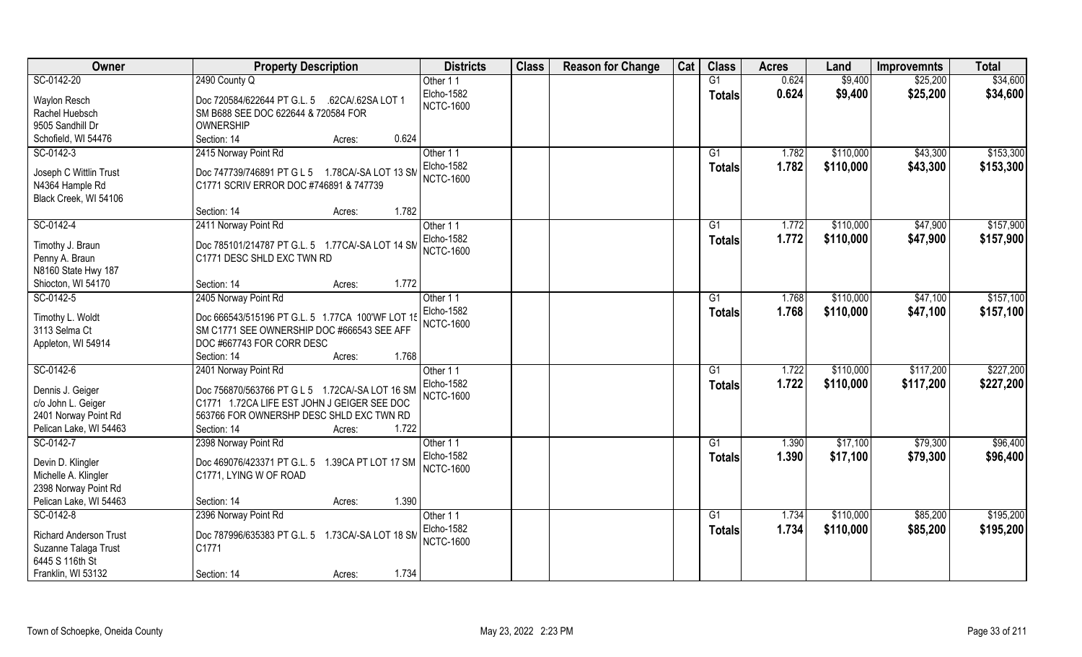| Owner                         | <b>Property Description</b>                      | <b>Districts</b> | <b>Class</b> | <b>Reason for Change</b> | Cat | <b>Class</b>    | <b>Acres</b> | Land      | <b>Improvemnts</b> | <b>Total</b> |
|-------------------------------|--------------------------------------------------|------------------|--------------|--------------------------|-----|-----------------|--------------|-----------|--------------------|--------------|
| SC-0142-20                    | 2490 County Q                                    | Other 11         |              |                          |     | G1              | 0.624        | \$9,400   | \$25,200           | \$34,600     |
| Waylon Resch                  | Doc 720584/622644 PT G.L. 5 .62CA/.62SA LOT 1    | Elcho-1582       |              |                          |     | <b>Totals</b>   | 0.624        | \$9,400   | \$25,200           | \$34,600     |
| Rachel Huebsch                | SM B688 SEE DOC 622644 & 720584 FOR              | <b>NCTC-1600</b> |              |                          |     |                 |              |           |                    |              |
| 9505 Sandhill Dr              | OWNERSHIP                                        |                  |              |                          |     |                 |              |           |                    |              |
| Schofield, WI 54476           | 0.624<br>Section: 14<br>Acres:                   |                  |              |                          |     |                 |              |           |                    |              |
| SC-0142-3                     | 2415 Norway Point Rd                             | Other 11         |              |                          |     | $\overline{G1}$ | 1.782        | \$110,000 | \$43,300           | \$153,300    |
|                               |                                                  | Elcho-1582       |              |                          |     |                 |              |           |                    |              |
| Joseph C Wittlin Trust        | Doc 747739/746891 PT G L 5 1.78CA/-SA LOT 13 SM  | <b>NCTC-1600</b> |              |                          |     | Totals          | 1.782        | \$110,000 | \$43,300           | \$153,300    |
| N4364 Hample Rd               | C1771 SCRIV ERROR DOC #746891 & 747739           |                  |              |                          |     |                 |              |           |                    |              |
| Black Creek, WI 54106         |                                                  |                  |              |                          |     |                 |              |           |                    |              |
|                               | 1.782<br>Section: 14<br>Acres:                   |                  |              |                          |     |                 |              |           |                    |              |
| SC-0142-4                     | 2411 Norway Point Rd                             | Other 11         |              |                          |     | G1              | 1.772        | \$110,000 | \$47,900           | \$157,900    |
|                               |                                                  | Elcho-1582       |              |                          |     | Totals          | 1.772        | \$110,000 | \$47,900           | \$157,900    |
| Timothy J. Braun              | Doc 785101/214787 PT G.L. 5 1.77CA/-SA LOT 14 SM | <b>NCTC-1600</b> |              |                          |     |                 |              |           |                    |              |
| Penny A. Braun                | C1771 DESC SHLD EXC TWN RD                       |                  |              |                          |     |                 |              |           |                    |              |
| N8160 State Hwy 187           |                                                  |                  |              |                          |     |                 |              |           |                    |              |
| Shiocton, WI 54170            | 1.772<br>Section: 14<br>Acres:                   |                  |              |                          |     |                 |              |           |                    |              |
| SC-0142-5                     | 2405 Norway Point Rd                             | Other 11         |              |                          |     | G1              | 1.768        | \$110,000 | \$47,100           | \$157,100    |
| Timothy L. Woldt              | Doc 666543/515196 PT G.L. 5 1.77CA 100'WF LOT 15 | Elcho-1582       |              |                          |     | <b>Totals</b>   | 1.768        | \$110,000 | \$47,100           | \$157,100    |
| 3113 Selma Ct                 | SM C1771 SEE OWNERSHIP DOC #666543 SEE AFF       | <b>NCTC-1600</b> |              |                          |     |                 |              |           |                    |              |
| Appleton, WI 54914            | DOC #667743 FOR CORR DESC                        |                  |              |                          |     |                 |              |           |                    |              |
|                               | 1.768<br>Section: 14<br>Acres:                   |                  |              |                          |     |                 |              |           |                    |              |
|                               |                                                  |                  |              |                          |     |                 | 1.722        |           | \$117,200          | \$227,200    |
| SC-0142-6                     | 2401 Norway Point Rd                             | Other 11         |              |                          |     | G1              |              | \$110,000 |                    |              |
| Dennis J. Geiger              | Doc 756870/563766 PT G L 5 1.72CA/-SA LOT 16 SM  | Elcho-1582       |              |                          |     | <b>Totals</b>   | 1.722        | \$110,000 | \$117,200          | \$227,200    |
| c/o John L. Geiger            | C1771 1.72CA LIFE EST JOHN J GEIGER SEE DOC      | <b>NCTC-1600</b> |              |                          |     |                 |              |           |                    |              |
| 2401 Norway Point Rd          | 563766 FOR OWNERSHP DESC SHLD EXC TWN RD         |                  |              |                          |     |                 |              |           |                    |              |
| Pelican Lake, WI 54463        | 1.722<br>Section: 14<br>Acres:                   |                  |              |                          |     |                 |              |           |                    |              |
| SC-0142-7                     | 2398 Norway Point Rd                             | Other 11         |              |                          |     | G1              | 1.390        | \$17,100  | \$79,300           | \$96,400     |
|                               |                                                  | Elcho-1582       |              |                          |     | <b>Totals</b>   | 1.390        | \$17,100  | \$79,300           | \$96,400     |
| Devin D. Klingler             | Doc 469076/423371 PT G.L. 5 1.39CA PT LOT 17 SM  | <b>NCTC-1600</b> |              |                          |     |                 |              |           |                    |              |
| Michelle A. Klingler          | C1771, LYING W OF ROAD                           |                  |              |                          |     |                 |              |           |                    |              |
| 2398 Norway Point Rd          |                                                  |                  |              |                          |     |                 |              |           |                    |              |
| Pelican Lake, WI 54463        | 1.390<br>Section: 14<br>Acres:                   |                  |              |                          |     |                 |              |           |                    |              |
| SC-0142-8                     | 2396 Norway Point Rd                             | Other 11         |              |                          |     | G1              | 1.734        | \$110,000 | \$85,200           | \$195,200    |
| <b>Richard Anderson Trust</b> | Doc 787996/635383 PT G.L. 5 1.73CA/-SA LOT 18 SM | Elcho-1582       |              |                          |     | Totals          | 1.734        | \$110,000 | \$85,200           | \$195,200    |
| Suzanne Talaga Trust          | C1771                                            | <b>NCTC-1600</b> |              |                          |     |                 |              |           |                    |              |
| 6445 S 116th St               |                                                  |                  |              |                          |     |                 |              |           |                    |              |
|                               |                                                  |                  |              |                          |     |                 |              |           |                    |              |
| Franklin, WI 53132            | 1.734<br>Section: 14<br>Acres:                   |                  |              |                          |     |                 |              |           |                    |              |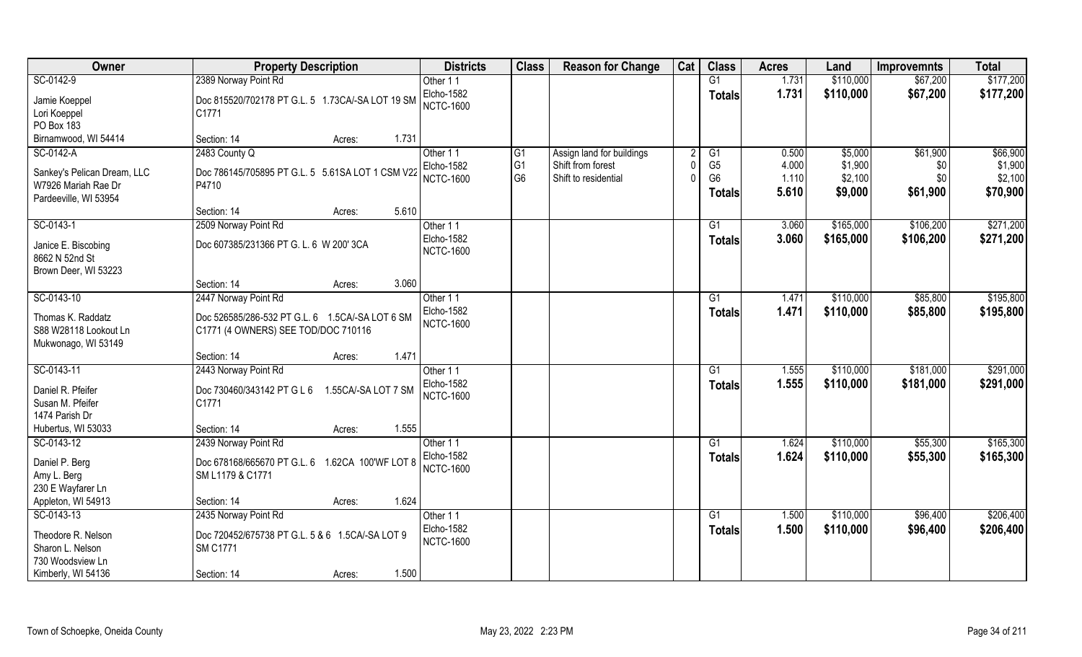| Owner                                              | <b>Property Description</b>                                | <b>Districts</b>               | <b>Class</b>   | <b>Reason for Change</b>  | Cat    | <b>Class</b>   | <b>Acres</b>   | Land                   | <b>Improvemnts</b>   | <b>Total</b> |
|----------------------------------------------------|------------------------------------------------------------|--------------------------------|----------------|---------------------------|--------|----------------|----------------|------------------------|----------------------|--------------|
| SC-0142-9                                          | 2389 Norway Point Rd                                       | Other 11                       |                |                           |        | G1             | 1.731          | \$110,000              | \$67,200             | \$177,200    |
| Jamie Koeppel<br>Lori Koeppel                      | Doc 815520/702178 PT G.L. 5 1.73CA/-SA LOT 19 SM<br> C1771 | Elcho-1582<br><b>NCTC-1600</b> |                |                           |        | <b>Totals</b>  | 1.731          | \$110,000              | \$67,200             | \$177,200    |
| PO Box 183                                         |                                                            |                                |                |                           |        |                |                |                        |                      |              |
| Birnamwood, WI 54414                               | 1.731<br>Section: 14<br>Acres:                             |                                |                |                           |        |                |                |                        |                      |              |
| SC-0142-A                                          | 2483 County Q                                              | Other 11                       | G1             | Assign land for buildings | 2      | G1             | 0.500          | \$5,000                | \$61,900             | \$66,900     |
|                                                    |                                                            | Elcho-1582                     | G <sub>1</sub> | Shift from forest         |        | G <sub>5</sub> | 4.000          | \$1,900                | \$0                  | \$1,900      |
| Sankey's Pelican Dream, LLC<br>W7926 Mariah Rae Dr | Doc 786145/705895 PT G.L. 5 5.61SA LOT 1 CSM V22           | <b>NCTC-1600</b>               | G <sub>6</sub> | Shift to residential      | $\cap$ | G <sub>6</sub> | 1.110          | \$2,100                | \$0                  | \$2,100      |
| Pardeeville, WI 53954                              | P4710                                                      |                                |                |                           |        | <b>Totals</b>  | 5.610          | \$9,000                | \$61,900             | \$70,900     |
|                                                    | Section: 14<br>5.610<br>Acres:                             |                                |                |                           |        |                |                |                        |                      |              |
| SC-0143-1                                          | 2509 Norway Point Rd                                       | Other 11                       |                |                           |        | G1             | 3.060          | \$165,000              | \$106,200            | \$271,200    |
|                                                    |                                                            | Elcho-1582                     |                |                           |        | <b>Totals</b>  | 3.060          | \$165,000              | \$106,200            | \$271,200    |
| Janice E. Biscobing                                | Doc 607385/231366 PT G. L. 6 W 200' 3CA                    | <b>NCTC-1600</b>               |                |                           |        |                |                |                        |                      |              |
| 8662 N 52nd St<br>Brown Deer, WI 53223             |                                                            |                                |                |                           |        |                |                |                        |                      |              |
|                                                    | 3.060<br>Section: 14<br>Acres:                             |                                |                |                           |        |                |                |                        |                      |              |
| SC-0143-10                                         | 2447 Norway Point Rd                                       | Other 11                       |                |                           |        | G1             | 1.471          | \$110,000              | \$85,800             | \$195,800    |
|                                                    |                                                            | Elcho-1582                     |                |                           |        | <b>Totals</b>  | 1.471          | \$110,000              | \$85,800             | \$195,800    |
| Thomas K. Raddatz                                  | Doc 526585/286-532 PT G.L. 6 1.5CA/-SA LOT 6 SM            | <b>NCTC-1600</b>               |                |                           |        |                |                |                        |                      |              |
| S88 W28118 Lookout Ln<br>Mukwonago, WI 53149       | C1771 (4 OWNERS) SEE TOD/DOC 710116                        |                                |                |                           |        |                |                |                        |                      |              |
|                                                    | 1.471<br>Section: 14<br>Acres:                             |                                |                |                           |        |                |                |                        |                      |              |
| SC-0143-11                                         | 2443 Norway Point Rd                                       | Other 11                       |                |                           |        | G1             | 1.555          | \$110,000              | \$181,000            | \$291,000    |
|                                                    |                                                            | <b>Elcho-1582</b>              |                |                           |        | <b>Totals</b>  | 1.555          | \$110,000              | \$181,000            | \$291,000    |
| Daniel R. Pfeifer                                  | Doc 730460/343142 PT G L 6<br>1.55CA/-SA LOT 7 SM          | <b>NCTC-1600</b>               |                |                           |        |                |                |                        |                      |              |
| Susan M. Pfeifer                                   | C1771                                                      |                                |                |                           |        |                |                |                        |                      |              |
| 1474 Parish Dr                                     |                                                            |                                |                |                           |        |                |                |                        |                      |              |
| Hubertus, WI 53033<br>SC-0143-12                   | 1.555<br>Section: 14<br>Acres:                             |                                |                |                           |        |                |                |                        |                      | \$165,300    |
|                                                    | 2439 Norway Point Rd                                       | Other 11<br>Elcho-1582         |                |                           |        | G1             | 1.624<br>1.624 | \$110,000<br>\$110,000 | \$55,300<br>\$55,300 | \$165,300    |
| Daniel P. Berg                                     | Doc 678168/665670 PT G.L. 6<br>1.62CA 100'WF LOT 8         | <b>NCTC-1600</b>               |                |                           |        | <b>Totals</b>  |                |                        |                      |              |
| Amy L. Berg                                        | SM L1179 & C1771                                           |                                |                |                           |        |                |                |                        |                      |              |
| 230 E Wayfarer Ln                                  |                                                            |                                |                |                           |        |                |                |                        |                      |              |
| Appleton, WI 54913                                 | 1.624<br>Section: 14<br>Acres:                             |                                |                |                           |        |                |                |                        |                      |              |
| SC-0143-13                                         | 2435 Norway Point Rd                                       | Other 11                       |                |                           |        | G1             | 1.500          | \$110,000              | \$96,400             | \$206,400    |
| Theodore R. Nelson                                 | Doc 720452/675738 PT G.L. 5 & 6 1.5CA/-SA LOT 9            | <b>Elcho-1582</b>              |                |                           |        | <b>Totals</b>  | 1.500          | \$110,000              | \$96,400             | \$206,400    |
| Sharon L. Nelson                                   | <b>SM C1771</b>                                            | <b>NCTC-1600</b>               |                |                           |        |                |                |                        |                      |              |
| 730 Woodsview Ln                                   |                                                            |                                |                |                           |        |                |                |                        |                      |              |
| Kimberly, WI 54136                                 | 1.500<br>Section: 14<br>Acres:                             |                                |                |                           |        |                |                |                        |                      |              |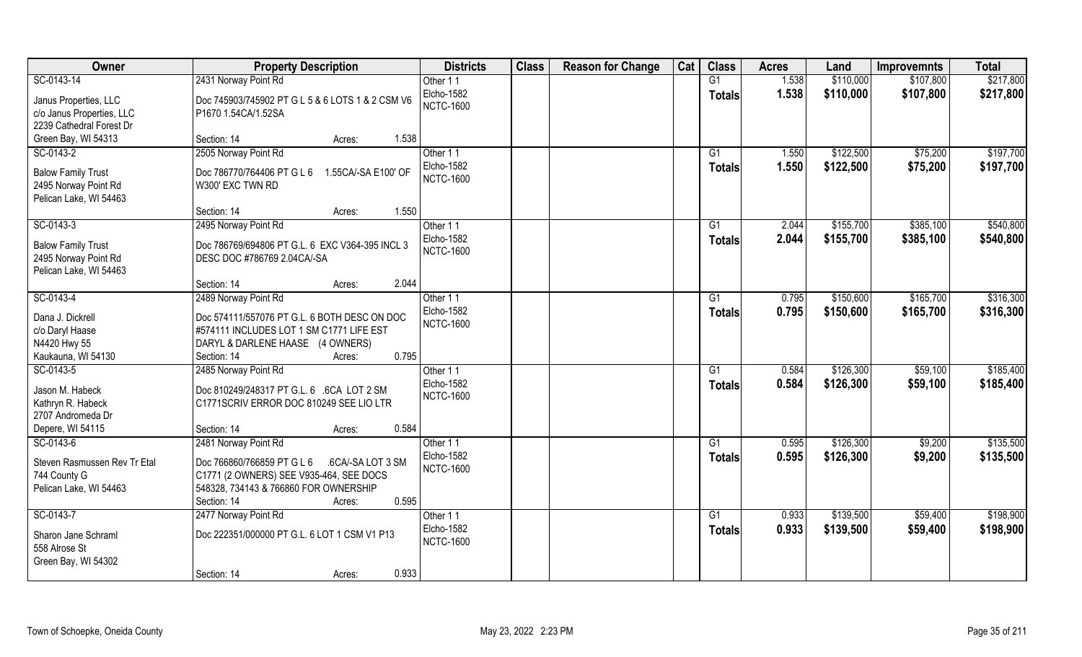| Owner                                                 | <b>Property Description</b>                       | <b>Districts</b>               | <b>Class</b> | <b>Reason for Change</b> | Cat | <b>Class</b>    | <b>Acres</b> | Land      | <b>Improvemnts</b> | <b>Total</b> |
|-------------------------------------------------------|---------------------------------------------------|--------------------------------|--------------|--------------------------|-----|-----------------|--------------|-----------|--------------------|--------------|
| SC-0143-14                                            | 2431 Norway Point Rd                              | Other 11                       |              |                          |     | G1              | 1.538        | \$110,000 | \$107,800          | \$217,800    |
| Janus Properties, LLC                                 | Doc 745903/745902 PT G L 5 & 6 LOTS 1 & 2 CSM V6  | Elcho-1582<br><b>NCTC-1600</b> |              |                          |     | <b>Totals</b>   | 1.538        | \$110,000 | \$107,800          | \$217,800    |
| c/o Janus Properties, LLC<br>2239 Cathedral Forest Dr | P1670 1.54CA/1.52SA                               |                                |              |                          |     |                 |              |           |                    |              |
| Green Bay, WI 54313                                   | 1.538<br>Section: 14<br>Acres:                    |                                |              |                          |     |                 |              |           |                    |              |
|                                                       | 2505 Norway Point Rd                              |                                |              |                          |     | $\overline{G1}$ |              | \$122,500 |                    | \$197,700    |
| SC-0143-2                                             |                                                   | Other 11                       |              |                          |     |                 | 1.550        |           | \$75,200           |              |
| <b>Balow Family Trust</b>                             | Doc 786770/764406 PT G L 6<br>1.55CA/-SA E100' OF | Elcho-1582<br><b>NCTC-1600</b> |              |                          |     | Totals          | 1.550        | \$122,500 | \$75,200           | \$197,700    |
| 2495 Norway Point Rd                                  | W300' EXC TWN RD                                  |                                |              |                          |     |                 |              |           |                    |              |
| Pelican Lake, WI 54463                                |                                                   |                                |              |                          |     |                 |              |           |                    |              |
|                                                       | Section: 14<br>1.550<br>Acres:                    |                                |              |                          |     |                 |              |           |                    |              |
| SC-0143-3                                             | 2495 Norway Point Rd                              | Other 11                       |              |                          |     | G1              | 2.044        | \$155,700 | \$385,100          | \$540,800    |
|                                                       |                                                   | Elcho-1582                     |              |                          |     | <b>Totals</b>   | 2.044        | \$155,700 | \$385,100          | \$540,800    |
| <b>Balow Family Trust</b>                             | Doc 786769/694806 PT G.L. 6 EXC V364-395 INCL 3   | <b>NCTC-1600</b>               |              |                          |     |                 |              |           |                    |              |
| 2495 Norway Point Rd                                  | DESC DOC #786769 2.04CA/-SA                       |                                |              |                          |     |                 |              |           |                    |              |
| Pelican Lake, WI 54463                                | 2.044<br>Section: 14<br>Acres:                    |                                |              |                          |     |                 |              |           |                    |              |
| SC-0143-4                                             |                                                   |                                |              |                          |     |                 | 0.795        | \$150,600 | \$165,700          | \$316,300    |
|                                                       | 2489 Norway Point Rd                              | Other 11<br><b>Elcho-1582</b>  |              |                          |     | G1              |              |           |                    |              |
| Dana J. Dickrell                                      | Doc 574111/557076 PT G.L. 6 BOTH DESC ON DOC      | <b>NCTC-1600</b>               |              |                          |     | <b>Totals</b>   | 0.795        | \$150,600 | \$165,700          | \$316,300    |
| c/o Daryl Haase                                       | #574111 INCLUDES LOT 1 SM C1771 LIFE EST          |                                |              |                          |     |                 |              |           |                    |              |
| N4420 Hwy 55                                          | DARYL & DARLENE HAASE (4 OWNERS)                  |                                |              |                          |     |                 |              |           |                    |              |
| Kaukauna, WI 54130                                    | 0.795<br>Section: 14<br>Acres:                    |                                |              |                          |     |                 |              |           |                    |              |
| SC-0143-5                                             | 2485 Norway Point Rd                              | Other 11                       |              |                          |     | G1              | 0.584        | \$126,300 | \$59,100           | \$185,400    |
|                                                       |                                                   | Elcho-1582                     |              |                          |     | <b>Totals</b>   | 0.584        | \$126,300 | \$59,100           | \$185,400    |
| Jason M. Habeck                                       | Doc 810249/248317 PT G.L. 6 .6CA LOT 2 SM         | <b>NCTC-1600</b>               |              |                          |     |                 |              |           |                    |              |
| Kathryn R. Habeck                                     | C1771SCRIV ERROR DOC 810249 SEE LIO LTR           |                                |              |                          |     |                 |              |           |                    |              |
| 2707 Andromeda Dr                                     |                                                   |                                |              |                          |     |                 |              |           |                    |              |
| Depere, WI 54115                                      | 0.584<br>Section: 14<br>Acres:                    |                                |              |                          |     |                 |              |           |                    |              |
| SC-0143-6                                             | 2481 Norway Point Rd                              | Other 11                       |              |                          |     | G1              | 0.595        | \$126,300 | \$9,200            | \$135,500    |
| Steven Rasmussen Rev Tr Etal                          | Doc 766860/766859 PT G L 6<br>.6CA/-SA LOT 3 SM   | Elcho-1582                     |              |                          |     | <b>Totals</b>   | 0.595        | \$126,300 | \$9,200            | \$135,500    |
| 744 County G                                          | C1771 (2 OWNERS) SEE V935-464, SEE DOCS           | <b>NCTC-1600</b>               |              |                          |     |                 |              |           |                    |              |
| Pelican Lake, WI 54463                                | 548328, 734143 & 766860 FOR OWNERSHIP             |                                |              |                          |     |                 |              |           |                    |              |
|                                                       | 0.595<br>Section: 14<br>Acres:                    |                                |              |                          |     |                 |              |           |                    |              |
| SC-0143-7                                             | 2477 Norway Point Rd                              | Other 11                       |              |                          |     | G1              | 0.933        | \$139,500 | \$59,400           | \$198,900    |
|                                                       |                                                   | <b>Elcho-1582</b>              |              |                          |     | <b>Totals</b>   | 0.933        | \$139,500 | \$59,400           | \$198,900    |
| Sharon Jane Schraml                                   | Doc 222351/000000 PT G.L. 6 LOT 1 CSM V1 P13      | <b>NCTC-1600</b>               |              |                          |     |                 |              |           |                    |              |
| 558 Alrose St                                         |                                                   |                                |              |                          |     |                 |              |           |                    |              |
| Green Bay, WI 54302                                   |                                                   |                                |              |                          |     |                 |              |           |                    |              |
|                                                       | 0.933<br>Section: 14<br>Acres:                    |                                |              |                          |     |                 |              |           |                    |              |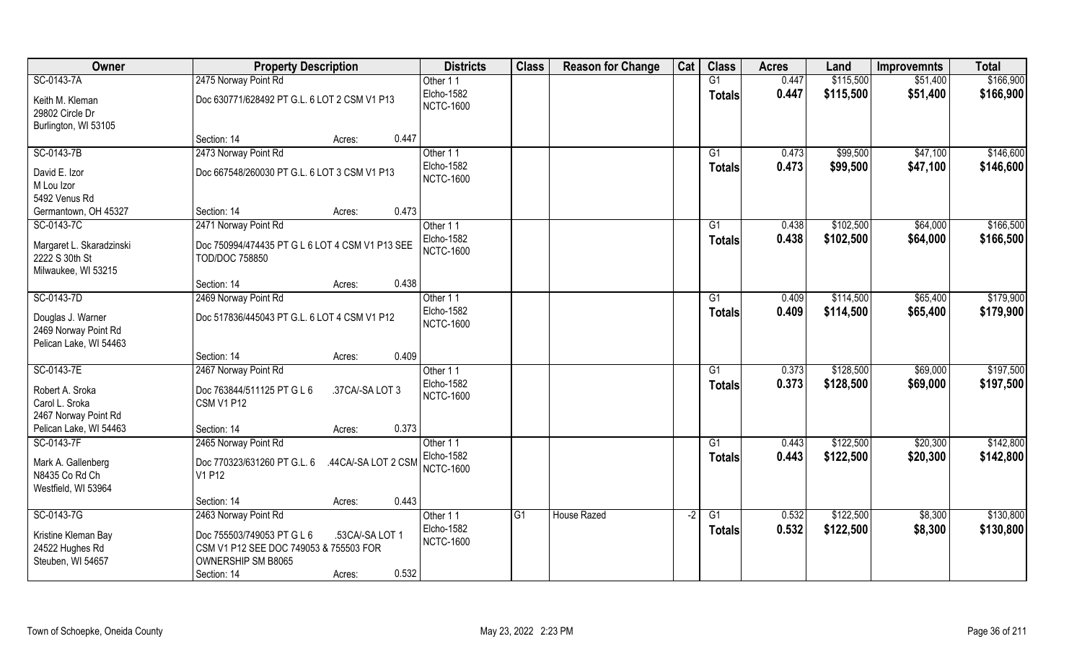| Owner                                                               | <b>Property Description</b>                                       | <b>Districts</b>               | <b>Class</b> | <b>Reason for Change</b> | Cat | <b>Class</b>    | <b>Acres</b> | Land      | <b>Improvemnts</b> | <b>Total</b> |
|---------------------------------------------------------------------|-------------------------------------------------------------------|--------------------------------|--------------|--------------------------|-----|-----------------|--------------|-----------|--------------------|--------------|
| SC-0143-7A                                                          | 2475 Norway Point Rd                                              | Other 11                       |              |                          |     | G1              | 0.447        | \$115,500 | \$51,400           | \$166,900    |
| Keith M. Kleman<br>29802 Circle Dr                                  | Doc 630771/628492 PT G.L. 6 LOT 2 CSM V1 P13                      | Elcho-1582<br><b>NCTC-1600</b> |              |                          |     | <b>Totals</b>   | 0.447        | \$115,500 | \$51,400           | \$166,900    |
| Burlington, WI 53105                                                |                                                                   |                                |              |                          |     |                 |              |           |                    |              |
|                                                                     | Section: 14<br>Acres:                                             | 0.447                          |              |                          |     |                 |              |           |                    |              |
| SC-0143-7B                                                          | 2473 Norway Point Rd                                              | Other 11                       |              |                          |     | $\overline{G1}$ | 0.473        | \$99,500  | \$47,100           | \$146,600    |
| David E. Izor                                                       | Doc 667548/260030 PT G.L. 6 LOT 3 CSM V1 P13                      | Elcho-1582<br><b>NCTC-1600</b> |              |                          |     | Totals          | 0.473        | \$99,500  | \$47,100           | \$146,600    |
| M Lou Izor                                                          |                                                                   |                                |              |                          |     |                 |              |           |                    |              |
| 5492 Venus Rd                                                       |                                                                   |                                |              |                          |     |                 |              |           |                    |              |
| Germantown, OH 45327                                                | Section: 14<br>Acres:                                             | 0.473                          |              |                          |     |                 |              |           |                    |              |
| SC-0143-7C                                                          | 2471 Norway Point Rd                                              | Other 11                       |              |                          |     | G1              | 0.438        | \$102,500 | \$64,000           | \$166,500    |
| Margaret L. Skaradzinski<br>2222 S 30th St<br>Milwaukee, WI 53215   | Doc 750994/474435 PT G L 6 LOT 4 CSM V1 P13 SEE<br>TOD/DOC 758850 | Elcho-1582<br><b>NCTC-1600</b> |              |                          |     | <b>Totals</b>   | 0.438        | \$102,500 | \$64,000           | \$166,500    |
|                                                                     | Section: 14<br>Acres:                                             | 0.438                          |              |                          |     |                 |              |           |                    |              |
| SC-0143-7D                                                          | 2469 Norway Point Rd                                              | Other 11                       |              |                          |     | G1              | 0.409        | \$114,500 | \$65,400           | \$179,900    |
|                                                                     |                                                                   | Elcho-1582                     |              |                          |     |                 | 0.409        | \$114,500 | \$65,400           | \$179,900    |
| Douglas J. Warner<br>2469 Norway Point Rd<br>Pelican Lake, WI 54463 | Doc 517836/445043 PT G.L. 6 LOT 4 CSM V1 P12                      | <b>NCTC-1600</b>               |              |                          |     | <b>Totals</b>   |              |           |                    |              |
|                                                                     | Section: 14<br>Acres:                                             | 0.409                          |              |                          |     |                 |              |           |                    |              |
| SC-0143-7E                                                          | 2467 Norway Point Rd                                              | Other 11                       |              |                          |     | G1              | 0.373        | \$128,500 | \$69,000           | \$197,500    |
|                                                                     |                                                                   | Elcho-1582                     |              |                          |     | Totals          | 0.373        | \$128,500 | \$69,000           | \$197,500    |
| Robert A. Sroka                                                     | Doc 763844/511125 PT G L 6<br>.37CA/-SA LOT 3                     | <b>NCTC-1600</b>               |              |                          |     |                 |              |           |                    |              |
| Carol L. Sroka                                                      | CSM V1 P12                                                        |                                |              |                          |     |                 |              |           |                    |              |
| 2467 Norway Point Rd<br>Pelican Lake, WI 54463                      | Section: 14<br>Acres:                                             | 0.373                          |              |                          |     |                 |              |           |                    |              |
| SC-0143-7F                                                          |                                                                   | Other 11                       |              |                          |     | G1              | 0.443        | \$122,500 | \$20,300           | \$142,800    |
|                                                                     | 2465 Norway Point Rd                                              | Elcho-1582                     |              |                          |     |                 |              |           |                    |              |
| Mark A. Gallenberg                                                  | Doc 770323/631260 PT G.L. 6<br>.44CA/-SA LOT 2 CSM                | <b>NCTC-1600</b>               |              |                          |     | <b>Totals</b>   | 0.443        | \$122,500 | \$20,300           | \$142,800    |
| N8435 Co Rd Ch                                                      | V1 P12                                                            |                                |              |                          |     |                 |              |           |                    |              |
| Westfield, WI 53964                                                 |                                                                   |                                |              |                          |     |                 |              |           |                    |              |
|                                                                     | Section: 14<br>Acres:                                             | 0.443                          |              |                          |     |                 |              |           |                    |              |
| SC-0143-7G                                                          | 2463 Norway Point Rd                                              | Other 11                       | G1           | <b>House Razed</b>       | -2  | G1              | 0.532        | \$122,500 | \$8,300            | \$130,800    |
| Kristine Kleman Bay                                                 | .53CA/-SA LOT 1<br>Doc 755503/749053 PT G L 6                     | Elcho-1582                     |              |                          |     | <b>Totals</b>   | 0.532        | \$122,500 | \$8,300            | \$130,800    |
| 24522 Hughes Rd                                                     | CSM V1 P12 SEE DOC 749053 & 755503 FOR                            | <b>NCTC-1600</b>               |              |                          |     |                 |              |           |                    |              |
| Steuben, WI 54657                                                   | OWNERSHIP SM B8065                                                |                                |              |                          |     |                 |              |           |                    |              |
|                                                                     | Section: 14<br>Acres:                                             | 0.532                          |              |                          |     |                 |              |           |                    |              |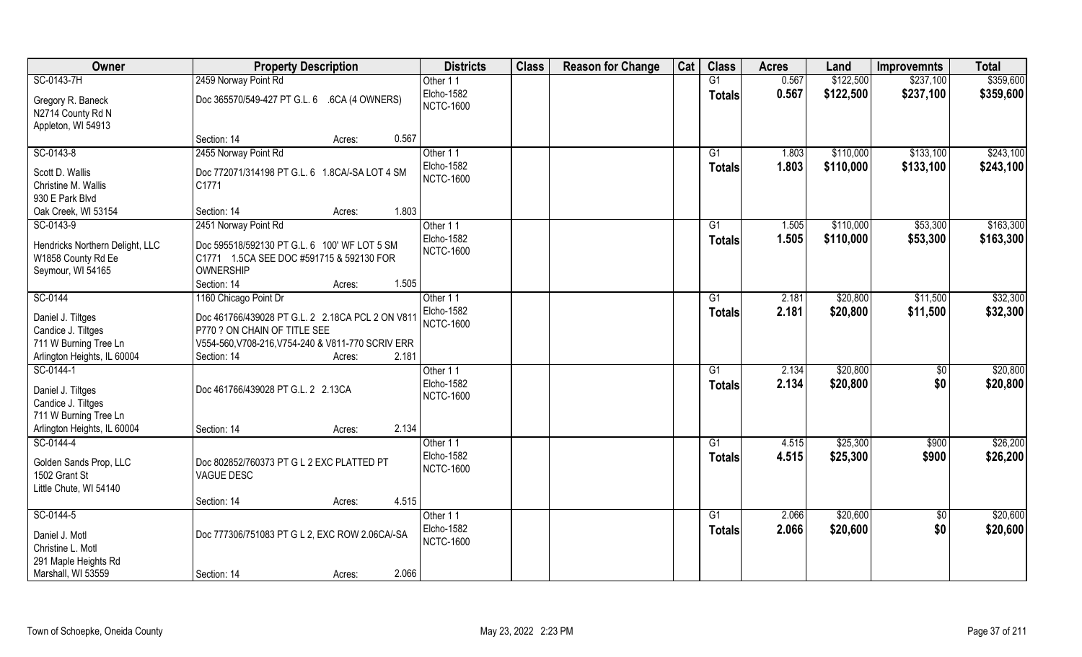| Owner                                                                                           | <b>Property Description</b>                                                                                                                                             | <b>Districts</b>               | <b>Class</b> | <b>Reason for Change</b> | Cat | <b>Class</b>        | <b>Acres</b>   | Land                   | <b>Improvemnts</b>     | <b>Total</b>           |
|-------------------------------------------------------------------------------------------------|-------------------------------------------------------------------------------------------------------------------------------------------------------------------------|--------------------------------|--------------|--------------------------|-----|---------------------|----------------|------------------------|------------------------|------------------------|
| SC-0143-7H                                                                                      | 2459 Norway Point Rd                                                                                                                                                    | Other 11                       |              |                          |     | G1                  | 0.567          | \$122,500              | \$237,100              | \$359,600              |
| Gregory R. Baneck<br>N2714 County Rd N<br>Appleton, WI 54913                                    | Doc 365570/549-427 PT G.L. 6 .6CA (4 OWNERS)                                                                                                                            | Elcho-1582<br><b>NCTC-1600</b> |              |                          |     | <b>Totals</b>       | 0.567          | \$122,500              | \$237,100              | \$359,600              |
|                                                                                                 | 0.567<br>Section: 14<br>Acres:                                                                                                                                          |                                |              |                          |     |                     |                |                        |                        |                        |
| SC-0143-8                                                                                       | 2455 Norway Point Rd                                                                                                                                                    | Other 11<br>Elcho-1582         |              |                          |     | G1<br><b>Totals</b> | 1.803<br>1.803 | \$110,000<br>\$110,000 | \$133,100<br>\$133,100 | \$243,100<br>\$243,100 |
| Scott D. Wallis<br>Christine M. Wallis<br>930 E Park Blvd                                       | Doc 772071/314198 PT G.L. 6 1.8CA/-SA LOT 4 SM<br>C1771                                                                                                                 | <b>NCTC-1600</b>               |              |                          |     |                     |                |                        |                        |                        |
| Oak Creek, WI 53154                                                                             | 1.803<br>Section: 14<br>Acres:                                                                                                                                          |                                |              |                          |     |                     |                |                        |                        |                        |
| SC-0143-9                                                                                       | 2451 Norway Point Rd                                                                                                                                                    | Other 11                       |              |                          |     | G1                  | 1.505          | \$110,000              | \$53,300               | \$163,300              |
| Hendricks Northern Delight, LLC<br>W1858 County Rd Ee<br>Seymour, WI 54165                      | Doc 595518/592130 PT G.L. 6 100' WF LOT 5 SM<br>C1771 1.5CA SEE DOC #591715 & 592130 FOR<br><b>OWNERSHIP</b>                                                            | Elcho-1582<br><b>NCTC-1600</b> |              |                          |     | <b>Totals</b>       | 1.505          | \$110,000              | \$53,300               | \$163,300              |
|                                                                                                 | 1.505<br>Section: 14<br>Acres:                                                                                                                                          |                                |              |                          |     |                     |                |                        |                        |                        |
| SC-0144                                                                                         | 1160 Chicago Point Dr                                                                                                                                                   | Other 11                       |              |                          |     | G1                  | 2.181          | \$20,800               | \$11,500               | \$32,300               |
| Daniel J. Tiltges<br>Candice J. Tiltges<br>711 W Burning Tree Ln<br>Arlington Heights, IL 60004 | Doc 461766/439028 PT G.L. 2 2.18CA PCL 2 ON V811<br>P770 ? ON CHAIN OF TITLE SEE<br>V554-560, V708-216, V754-240 & V811-770 SCRIV ERR<br>2.181<br>Section: 14<br>Acres: | Elcho-1582<br><b>NCTC-1600</b> |              |                          |     | <b>Totals</b>       | 2.181          | \$20,800               | \$11,500               | \$32,300               |
| SC-0144-1                                                                                       |                                                                                                                                                                         | Other 11                       |              |                          |     | $\overline{G1}$     | 2.134          | \$20,800               | \$0                    | \$20,800               |
| Daniel J. Tiltges<br>Candice J. Tiltges<br>711 W Burning Tree Ln<br>Arlington Heights, IL 60004 | Doc 461766/439028 PT G.L. 2 2.13CA<br>2.134                                                                                                                             | Elcho-1582<br><b>NCTC-1600</b> |              |                          |     | <b>Totals</b>       | 2.134          | \$20,800               | \$0                    | \$20,800               |
| SC-0144-4                                                                                       | Section: 14<br>Acres:                                                                                                                                                   | Other 11                       |              |                          |     | G1                  | 4.515          | \$25,300               | \$900                  | \$26,200               |
| Golden Sands Prop, LLC<br>1502 Grant St<br>Little Chute, WI 54140                               | Doc 802852/760373 PT G L 2 EXC PLATTED PT<br><b>VAGUE DESC</b>                                                                                                          | Elcho-1582<br><b>NCTC-1600</b> |              |                          |     | <b>Totals</b>       | 4.515          | \$25,300               | \$900                  | \$26,200               |
|                                                                                                 | 4.515<br>Section: 14<br>Acres:                                                                                                                                          |                                |              |                          |     |                     |                |                        |                        |                        |
| SC-0144-5                                                                                       |                                                                                                                                                                         | Other 11                       |              |                          |     | G1                  | 2.066          | \$20,600               | $\sqrt{$0}$            | \$20,600               |
| Daniel J. Motl<br>Christine L. Motl<br>291 Maple Heights Rd                                     | Doc 777306/751083 PT G L 2, EXC ROW 2.06CA/-SA                                                                                                                          | Elcho-1582<br><b>NCTC-1600</b> |              |                          |     | <b>Totals</b>       | 2.066          | \$20,600               | \$0                    | \$20,600               |
| Marshall, WI 53559                                                                              | 2.066<br>Section: 14<br>Acres:                                                                                                                                          |                                |              |                          |     |                     |                |                        |                        |                        |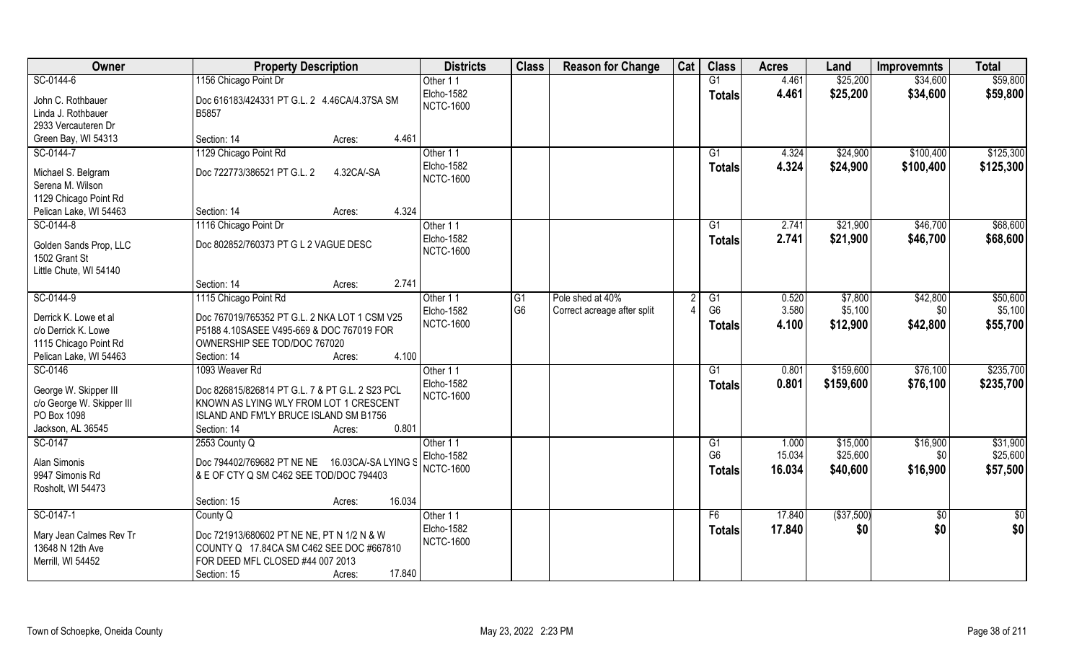| Owner                     | <b>Property Description</b>                     | <b>Districts</b> | <b>Class</b>   | <b>Reason for Change</b>    | Cat | <b>Class</b>    | <b>Acres</b> | Land        | <b>Improvemnts</b> | <b>Total</b> |
|---------------------------|-------------------------------------------------|------------------|----------------|-----------------------------|-----|-----------------|--------------|-------------|--------------------|--------------|
| SC-0144-6                 | 1156 Chicago Point Dr                           | Other 11         |                |                             |     | G1              | 4.461        | \$25,200    | \$34,600           | \$59,800     |
| John C. Rothbauer         | Doc 616183/424331 PT G.L. 2 4.46CA/4.37SA SM    | Elcho-1582       |                |                             |     | <b>Totals</b>   | 4.461        | \$25,200    | \$34,600           | \$59,800     |
| Linda J. Rothbauer        | B5857                                           | <b>NCTC-1600</b> |                |                             |     |                 |              |             |                    |              |
| 2933 Vercauteren Dr       |                                                 |                  |                |                             |     |                 |              |             |                    |              |
| Green Bay, WI 54313       | Section: 14<br>Acres:                           | 4.461            |                |                             |     |                 |              |             |                    |              |
| SC-0144-7                 | 1129 Chicago Point Rd                           | Other 11         |                |                             |     | $\overline{G1}$ | 4.324        | \$24,900    | \$100,400          | \$125,300    |
|                           |                                                 | Elcho-1582       |                |                             |     | Totals          | 4.324        | \$24,900    | \$100,400          | \$125,300    |
| Michael S. Belgram        | 4.32CA/-SA<br>Doc 722773/386521 PT G.L. 2       | <b>NCTC-1600</b> |                |                             |     |                 |              |             |                    |              |
| Serena M. Wilson          |                                                 |                  |                |                             |     |                 |              |             |                    |              |
| 1129 Chicago Point Rd     |                                                 |                  |                |                             |     |                 |              |             |                    |              |
| Pelican Lake, WI 54463    | Section: 14<br>Acres:                           | 4.324            |                |                             |     |                 |              |             |                    |              |
| SC-0144-8                 | 1116 Chicago Point Dr                           | Other 11         |                |                             |     | G1              | 2.741        | \$21,900    | \$46,700           | \$68,600     |
| Golden Sands Prop, LLC    | Doc 802852/760373 PT G L 2 VAGUE DESC           | Elcho-1582       |                |                             |     | <b>Totals</b>   | 2.741        | \$21,900    | \$46,700           | \$68,600     |
| 1502 Grant St             |                                                 | <b>NCTC-1600</b> |                |                             |     |                 |              |             |                    |              |
| Little Chute, WI 54140    |                                                 |                  |                |                             |     |                 |              |             |                    |              |
|                           | Section: 14<br>Acres:                           | 2.741            |                |                             |     |                 |              |             |                    |              |
| SC-0144-9                 | 1115 Chicago Point Rd                           | Other 11         | G <sub>1</sub> | Pole shed at 40%            |     | G1              | 0.520        | \$7,800     | \$42,800           | \$50,600     |
|                           |                                                 | Elcho-1582       | G <sub>6</sub> | Correct acreage after split |     | G <sub>6</sub>  | 3.580        | \$5,100     | \$0                | \$5,100      |
| Derrick K. Lowe et al     | Doc 767019/765352 PT G.L. 2 NKA LOT 1 CSM V25   | <b>NCTC-1600</b> |                |                             |     | Totals          | 4.100        | \$12,900    | \$42,800           | \$55,700     |
| c/o Derrick K. Lowe       | P5188 4.10SASEE V495-669 & DOC 767019 FOR       |                  |                |                             |     |                 |              |             |                    |              |
| 1115 Chicago Point Rd     | OWNERSHIP SEE TOD/DOC 767020                    |                  |                |                             |     |                 |              |             |                    |              |
| Pelican Lake, WI 54463    | Section: 14<br>Acres:                           | 4.100            |                |                             |     |                 |              |             |                    |              |
| SC-0146                   | 1093 Weaver Rd                                  | Other 11         |                |                             |     | $\overline{G1}$ | 0.801        | \$159,600   | \$76,100           | \$235,700    |
| George W. Skipper III     | Doc 826815/826814 PT G.L. 7 & PT G.L. 2 S23 PCL | Elcho-1582       |                |                             |     | Totals          | 0.801        | \$159,600   | \$76,100           | \$235,700    |
| c/o George W. Skipper III | KNOWN AS LYING WLY FROM LOT 1 CRESCENT          | <b>NCTC-1600</b> |                |                             |     |                 |              |             |                    |              |
| PO Box 1098               | ISLAND AND FM'LY BRUCE ISLAND SM B1756          |                  |                |                             |     |                 |              |             |                    |              |
| Jackson, AL 36545         | Section: 14<br>Acres:                           | 0.801            |                |                             |     |                 |              |             |                    |              |
| SC-0147                   | 2553 County Q                                   | Other 11         |                |                             |     | G1              | 1.000        | \$15,000    | \$16,900           | \$31,900     |
|                           |                                                 | Elcho-1582       |                |                             |     | G <sub>6</sub>  | 15.034       | \$25,600    | \$0                | \$25,600     |
| Alan Simonis              | Doc 794402/769682 PT NE NE 16.03CA/-SA LYING S  | <b>NCTC-1600</b> |                |                             |     | <b>Totals</b>   | 16.034       | \$40,600    | \$16,900           | \$57,500     |
| 9947 Simonis Rd           | & E OF CTY Q SM C462 SEE TOD/DOC 794403         |                  |                |                             |     |                 |              |             |                    |              |
| Rosholt, WI 54473         |                                                 |                  |                |                             |     |                 |              |             |                    |              |
|                           | Section: 15<br>Acres:                           | 16.034           |                |                             |     |                 |              |             |                    |              |
| SC-0147-1                 | County Q                                        | Other 11         |                |                             |     | F <sub>6</sub>  | 17.840       | ( \$37,500) | $\sqrt{$0}$        | \$0          |
| Mary Jean Calmes Rev Tr   | Doc 721913/680602 PT NE NE, PT N 1/2 N & W      | Elcho-1582       |                |                             |     | <b>Totals</b>   | 17.840       | \$0         | \$0                | \$0          |
| 13648 N 12th Ave          | COUNTY Q 17.84CA SM C462 SEE DOC #667810        | <b>NCTC-1600</b> |                |                             |     |                 |              |             |                    |              |
| Merrill, WI 54452         | FOR DEED MFL CLOSED #44 007 2013                |                  |                |                             |     |                 |              |             |                    |              |
|                           | Section: 15<br>Acres:                           | 17.840           |                |                             |     |                 |              |             |                    |              |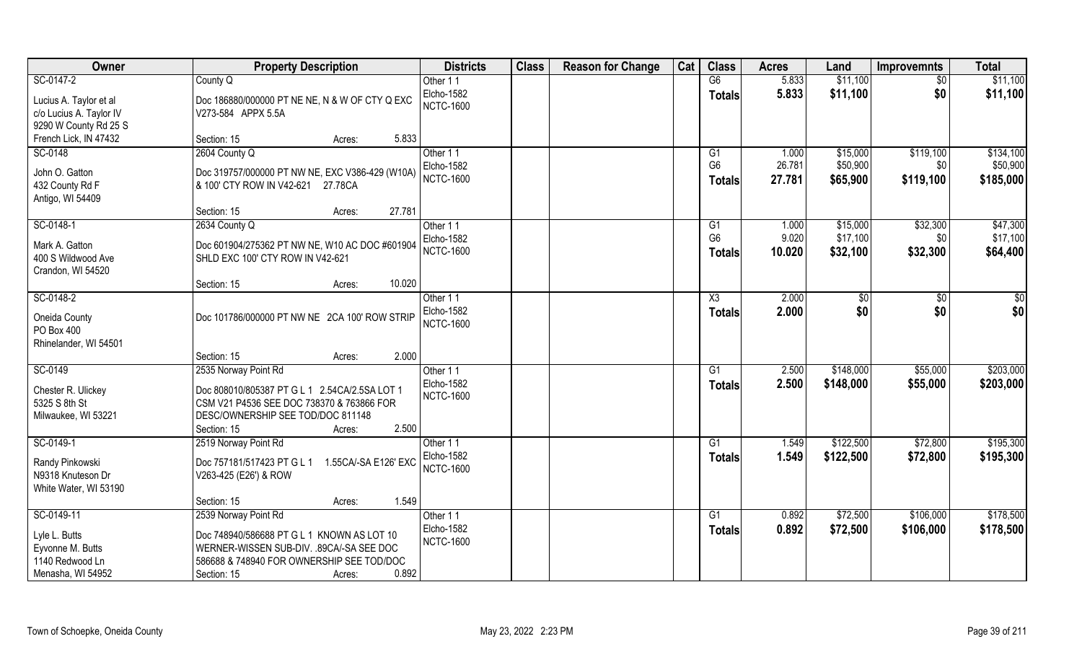| Owner                   | <b>Property Description</b>                        | <b>Districts</b> | <b>Class</b> | <b>Reason for Change</b> | Cat | <b>Class</b>    | <b>Acres</b> | Land      | <b>Improvemnts</b> | <b>Total</b> |
|-------------------------|----------------------------------------------------|------------------|--------------|--------------------------|-----|-----------------|--------------|-----------|--------------------|--------------|
| SC-0147-2               | County Q                                           | Other 11         |              |                          |     | G6              | 5.833        | \$11,100  | $\sqrt{6}$         | \$11,100     |
| Lucius A. Taylor et al  | Doc 186880/000000 PT NE NE, N & W OF CTY Q EXC     | Elcho-1582       |              |                          |     | <b>Totals</b>   | 5.833        | \$11,100  | \$0                | \$11,100     |
| c/o Lucius A. Taylor IV | V273-584 APPX 5.5A                                 | <b>NCTC-1600</b> |              |                          |     |                 |              |           |                    |              |
| 9290 W County Rd 25 S   |                                                    |                  |              |                          |     |                 |              |           |                    |              |
| French Lick, IN 47432   | 5.833<br>Section: 15<br>Acres:                     |                  |              |                          |     |                 |              |           |                    |              |
| SC-0148                 | 2604 County Q                                      | Other 11         |              |                          |     | G1              | 1.000        | \$15,000  | \$119,100          | \$134,100    |
|                         |                                                    | Elcho-1582       |              |                          |     | G <sub>6</sub>  | 26.781       | \$50,900  | \$0                | \$50,900     |
| John O. Gatton          | Doc 319757/000000 PT NW NE, EXC V386-429 (W10A)    | <b>NCTC-1600</b> |              |                          |     | <b>Totals</b>   | 27.781       | \$65,900  | \$119,100          | \$185,000    |
| 432 County Rd F         | & 100' CTY ROW IN V42-621<br>27.78CA               |                  |              |                          |     |                 |              |           |                    |              |
| Antigo, WI 54409        |                                                    |                  |              |                          |     |                 |              |           |                    |              |
|                         | 27.781<br>Section: 15<br>Acres:                    |                  |              |                          |     |                 |              |           |                    |              |
| SC-0148-1               | 2634 County Q                                      | Other 11         |              |                          |     | G1              | 1.000        | \$15,000  | \$32,300           | \$47,300     |
| Mark A. Gatton          | Doc 601904/275362 PT NW NE, W10 AC DOC #601904     | Elcho-1582       |              |                          |     | G <sub>6</sub>  | 9.020        | \$17,100  | \$0                | \$17,100     |
| 400 S Wildwood Ave      | SHLD EXC 100' CTY ROW IN V42-621                   | <b>NCTC-1600</b> |              |                          |     | <b>Totals</b>   | 10.020       | \$32,100  | \$32,300           | \$64,400     |
| Crandon, WI 54520       |                                                    |                  |              |                          |     |                 |              |           |                    |              |
|                         | 10.020<br>Section: 15<br>Acres:                    |                  |              |                          |     |                 |              |           |                    |              |
| SC-0148-2               |                                                    | Other 11         |              |                          |     | X3              | 2.000        | $ $ \$0   | \$0                | \$0          |
|                         |                                                    | Elcho-1582       |              |                          |     | <b>Totals</b>   | 2.000        | \$0       | \$0                | \$0          |
| Oneida County           | Doc 101786/000000 PT NW NE 2CA 100' ROW STRIP      | <b>NCTC-1600</b> |              |                          |     |                 |              |           |                    |              |
| PO Box 400              |                                                    |                  |              |                          |     |                 |              |           |                    |              |
| Rhinelander, WI 54501   |                                                    |                  |              |                          |     |                 |              |           |                    |              |
|                         | 2.000<br>Section: 15<br>Acres:                     |                  |              |                          |     |                 |              |           |                    |              |
| SC-0149                 | 2535 Norway Point Rd                               | Other 11         |              |                          |     | $\overline{G1}$ | 2.500        | \$148,000 | \$55,000           | \$203,000    |
| Chester R. Ulickey      | Doc 808010/805387 PT G L 1 2.54CA/2.5SA LOT 1      | Elcho-1582       |              |                          |     | Totals          | 2.500        | \$148,000 | \$55,000           | \$203,000    |
| 5325 S 8th St           | CSM V21 P4536 SEE DOC 738370 & 763866 FOR          | <b>NCTC-1600</b> |              |                          |     |                 |              |           |                    |              |
| Milwaukee, WI 53221     | DESC/OWNERSHIP SEE TOD/DOC 811148                  |                  |              |                          |     |                 |              |           |                    |              |
|                         | 2.500<br>Section: 15<br>Acres:                     |                  |              |                          |     |                 |              |           |                    |              |
| SC-0149-1               | 2519 Norway Point Rd                               | Other 11         |              |                          |     | G1              | 1.549        | \$122,500 | \$72,800           | \$195,300    |
|                         |                                                    | Elcho-1582       |              |                          |     | <b>Totals</b>   | 1.549        | \$122,500 | \$72,800           | \$195,300    |
| Randy Pinkowski         | Doc 757181/517423 PT G L 1<br>1.55CA/-SA E126' EXC | <b>NCTC-1600</b> |              |                          |     |                 |              |           |                    |              |
| N9318 Knuteson Dr       | V263-425 (E26') & ROW                              |                  |              |                          |     |                 |              |           |                    |              |
| White Water, WI 53190   |                                                    |                  |              |                          |     |                 |              |           |                    |              |
|                         | 1.549<br>Section: 15<br>Acres:                     |                  |              |                          |     |                 |              |           |                    |              |
| SC-0149-11              | 2539 Norway Point Rd                               | Other 11         |              |                          |     | G1              | 0.892        | \$72,500  | \$106,000          | \$178,500    |
| Lyle L. Butts           | Doc 748940/586688 PT G L 1 KNOWN AS LOT 10         | Elcho-1582       |              |                          |     | <b>Totals</b>   | 0.892        | \$72,500  | \$106,000          | \$178,500    |
| Eyvonne M. Butts        | WERNER-WISSEN SUB-DIV. .89CA/-SA SEE DOC           | <b>NCTC-1600</b> |              |                          |     |                 |              |           |                    |              |
| 1140 Redwood Ln         | 586688 & 748940 FOR OWNERSHIP SEE TOD/DOC          |                  |              |                          |     |                 |              |           |                    |              |
| Menasha, WI 54952       | 0.892<br>Section: 15<br>Acres:                     |                  |              |                          |     |                 |              |           |                    |              |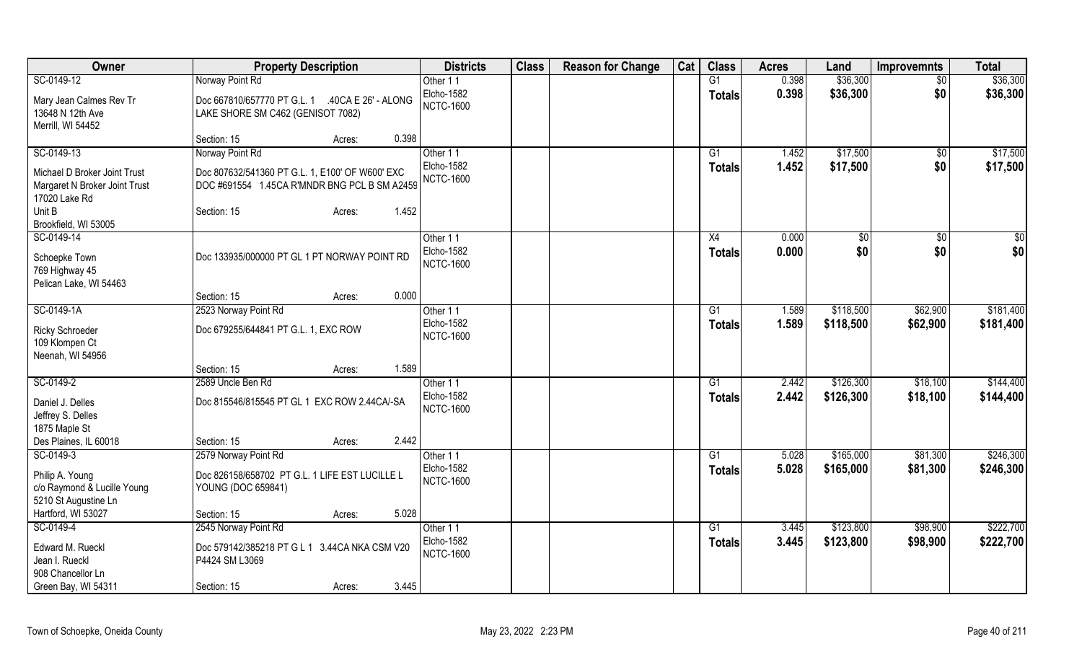| Owner                                                                          | <b>Property Description</b>                                                                     | <b>Districts</b>               | <b>Class</b> | <b>Reason for Change</b> | Cat | <b>Class</b>        | <b>Acres</b>   | Land                 | <b>Improvemnts</b> | <b>Total</b>         |
|--------------------------------------------------------------------------------|-------------------------------------------------------------------------------------------------|--------------------------------|--------------|--------------------------|-----|---------------------|----------------|----------------------|--------------------|----------------------|
| SC-0149-12                                                                     | Norway Point Rd                                                                                 | Other 11                       |              |                          |     | G1                  | 0.398          | \$36,300             | $\overline{30}$    | \$36,300             |
| Mary Jean Calmes Rev Tr<br>13648 N 12th Ave<br>Merrill, WI 54452               | Doc 667810/657770 PT G.L. 1 .40CA E 26' - ALONG<br>LAKE SHORE SM C462 (GENISOT 7082)            | Elcho-1582<br><b>NCTC-1600</b> |              |                          |     | <b>Totals</b>       | 0.398          | \$36,300             | \$0                | \$36,300             |
|                                                                                | 0.398<br>Section: 15<br>Acres:                                                                  |                                |              |                          |     |                     |                |                      |                    |                      |
| SC-0149-13                                                                     | Norway Point Rd                                                                                 | Other 11<br>Elcho-1582         |              |                          |     | G1<br><b>Totals</b> | 1.452<br>1.452 | \$17,500<br>\$17,500 | \$0<br>\$0         | \$17,500<br>\$17,500 |
| Michael D Broker Joint Trust<br>Margaret N Broker Joint Trust<br>17020 Lake Rd | Doc 807632/541360 PT G.L. 1, E100' OF W600' EXC<br>DOC #691554 1.45CA R'MNDR BNG PCL B SM A2459 | <b>NCTC-1600</b>               |              |                          |     |                     |                |                      |                    |                      |
| Unit B<br>Brookfield, WI 53005                                                 | 1.452<br>Section: 15<br>Acres:                                                                  |                                |              |                          |     |                     |                |                      |                    |                      |
| SC-0149-14                                                                     |                                                                                                 | Other 11                       |              |                          |     | X4                  | 0.000          | $\sqrt{6}$           | $\sqrt{50}$        | \$0                  |
| Schoepke Town<br>769 Highway 45<br>Pelican Lake, WI 54463                      | Doc 133935/000000 PT GL 1 PT NORWAY POINT RD                                                    | Elcho-1582<br><b>NCTC-1600</b> |              |                          |     | <b>Totals</b>       | 0.000          | \$0                  | \$0                | \$0                  |
|                                                                                | 0.000<br>Section: 15<br>Acres:                                                                  |                                |              |                          |     |                     |                |                      |                    |                      |
| SC-0149-1A                                                                     | 2523 Norway Point Rd                                                                            | Other 11                       |              |                          |     | G1                  | 1.589          | \$118,500            | \$62,900           | \$181,400            |
| <b>Ricky Schroeder</b><br>109 Klompen Ct<br>Neenah, WI 54956                   | Doc 679255/644841 PT G.L. 1, EXC ROW                                                            | Elcho-1582<br><b>NCTC-1600</b> |              |                          |     | <b>Totals</b>       | 1.589          | \$118,500            | \$62,900           | \$181,400            |
|                                                                                | 1.589<br>Section: 15<br>Acres:                                                                  |                                |              |                          |     |                     |                |                      |                    |                      |
| SC-0149-2                                                                      | 2589 Uncle Ben Rd                                                                               | Other 11                       |              |                          |     | G1                  | 2.442          | \$126,300            | \$18,100           | \$144,400            |
| Daniel J. Delles<br>Jeffrey S. Delles<br>1875 Maple St                         | Doc 815546/815545 PT GL 1 EXC ROW 2.44CA/-SA                                                    | Elcho-1582<br><b>NCTC-1600</b> |              |                          |     | <b>Totals</b>       | 2.442          | \$126,300            | \$18,100           | \$144,400            |
| Des Plaines, IL 60018                                                          | 2.442<br>Section: 15<br>Acres:                                                                  |                                |              |                          |     |                     |                |                      |                    |                      |
| SC-0149-3                                                                      | 2579 Norway Point Rd                                                                            | Other 11                       |              |                          |     | G1                  | 5.028          | \$165,000            | \$81,300           | \$246,300            |
| Philip A. Young<br>c/o Raymond & Lucille Young<br>5210 St Augustine Ln         | Doc 826158/658702 PT G.L. 1 LIFE EST LUCILLE L<br>YOUNG (DOC 659841)                            | Elcho-1582<br><b>NCTC-1600</b> |              |                          |     | <b>Totals</b>       | 5.028          | \$165,000            | \$81,300           | \$246,300            |
| Hartford, WI 53027                                                             | 5.028<br>Section: 15<br>Acres:                                                                  |                                |              |                          |     |                     |                |                      |                    |                      |
| SC-0149-4                                                                      | 2545 Norway Point Rd                                                                            | Other 11                       |              |                          |     | G1                  | 3.445          | \$123,800            | \$98,900           | \$222,700            |
| Edward M. Rueckl<br>Jean I. Rueckl<br>908 Chancellor Ln                        | Doc 579142/385218 PT G L 1 3.44CA NKA CSM V20<br>P4424 SM L3069                                 | Elcho-1582<br><b>NCTC-1600</b> |              |                          |     | <b>Totals</b>       | 3.445          | \$123,800            | \$98,900           | \$222,700            |
| Green Bay, WI 54311                                                            | 3.445<br>Section: 15<br>Acres:                                                                  |                                |              |                          |     |                     |                |                      |                    |                      |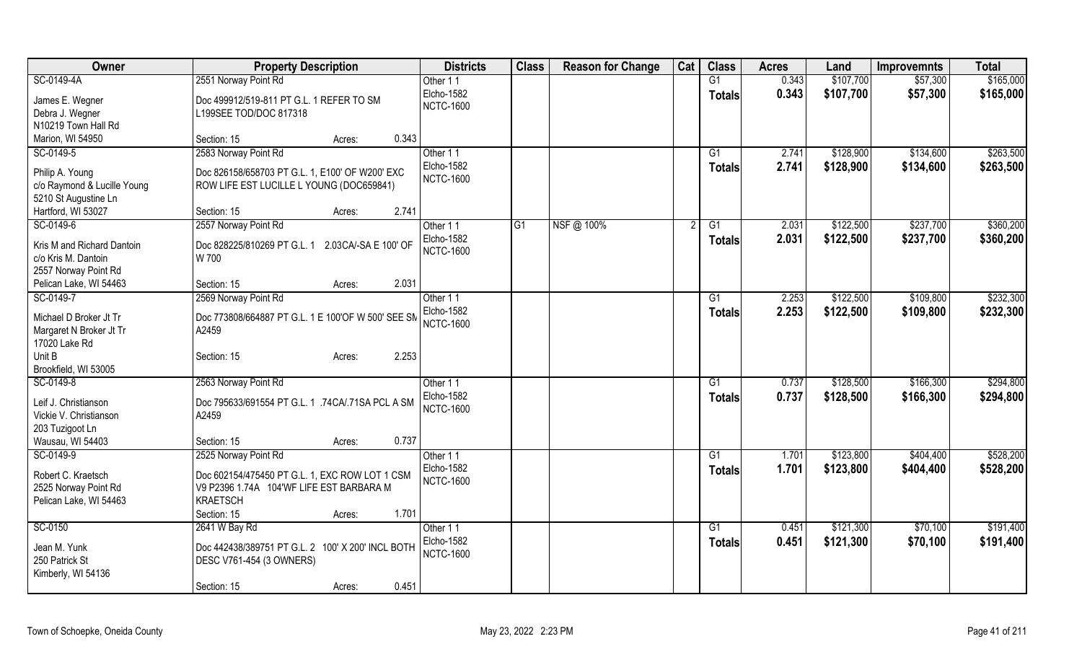| Owner                                          | <b>Property Description</b>                                                                 | <b>Districts</b>  | <b>Class</b> | <b>Reason for Change</b> | Cat | <b>Class</b>    | <b>Acres</b> | Land      | <b>Improvemnts</b> | <b>Total</b> |
|------------------------------------------------|---------------------------------------------------------------------------------------------|-------------------|--------------|--------------------------|-----|-----------------|--------------|-----------|--------------------|--------------|
| SC-0149-4A                                     | 2551 Norway Point Rd                                                                        | Other 11          |              |                          |     | G1              | 0.343        | \$107,700 | \$57,300           | \$165,000    |
| James E. Wegner                                | Doc 499912/519-811 PT G.L. 1 REFER TO SM                                                    | Elcho-1582        |              |                          |     | <b>Totals</b>   | 0.343        | \$107,700 | \$57,300           | \$165,000    |
| Debra J. Wegner                                | L199SEE TOD/DOC 817318                                                                      | <b>NCTC-1600</b>  |              |                          |     |                 |              |           |                    |              |
| N10219 Town Hall Rd                            |                                                                                             |                   |              |                          |     |                 |              |           |                    |              |
| Marion, WI 54950                               | 0.343<br>Section: 15<br>Acres:                                                              |                   |              |                          |     |                 |              |           |                    |              |
| SC-0149-5                                      | 2583 Norway Point Rd                                                                        | Other 11          |              |                          |     | G1              | 2.741        | \$128,900 | \$134,600          | \$263,500    |
|                                                |                                                                                             | Elcho-1582        |              |                          |     | <b>Totals</b>   | 2.741        | \$128,900 | \$134,600          | \$263,500    |
| Philip A. Young<br>c/o Raymond & Lucille Young | Doc 826158/658703 PT G.L. 1, E100' OF W200' EXC<br>ROW LIFE EST LUCILLE L YOUNG (DOC659841) | <b>NCTC-1600</b>  |              |                          |     |                 |              |           |                    |              |
| 5210 St Augustine Ln                           |                                                                                             |                   |              |                          |     |                 |              |           |                    |              |
| Hartford, WI 53027                             | 2.741<br>Section: 15<br>Acres:                                                              |                   |              |                          |     |                 |              |           |                    |              |
| SC-0149-6                                      | 2557 Norway Point Rd                                                                        | Other 11          | IG1          | NSF@ 100%                |     | G1              | 2.031        | \$122,500 | \$237,700          | \$360,200    |
|                                                |                                                                                             | <b>Elcho-1582</b> |              |                          |     | <b>Totals</b>   | 2.031        | \$122,500 | \$237,700          | \$360,200    |
| Kris M and Richard Dantoin                     | Doc 828225/810269 PT G.L. 1<br>2.03CA/-SA E 100' OF                                         | <b>NCTC-1600</b>  |              |                          |     |                 |              |           |                    |              |
| c/o Kris M. Dantoin                            | W 700                                                                                       |                   |              |                          |     |                 |              |           |                    |              |
| 2557 Norway Point Rd                           |                                                                                             |                   |              |                          |     |                 |              |           |                    |              |
| Pelican Lake, WI 54463                         | 2.031<br>Section: 15<br>Acres:                                                              |                   |              |                          |     |                 |              |           |                    |              |
| SC-0149-7                                      | 2569 Norway Point Rd                                                                        | Other 11          |              |                          |     | $\overline{G1}$ | 2.253        | \$122,500 | \$109,800          | \$232,300    |
| Michael D Broker Jt Tr                         | Doc 773808/664887 PT G.L. 1 E 100'OF W 500' SEE SM                                          | Elcho-1582        |              |                          |     | <b>Totals</b>   | 2.253        | \$122,500 | \$109,800          | \$232,300    |
| Margaret N Broker Jt Tr                        | A2459                                                                                       | <b>NCTC-1600</b>  |              |                          |     |                 |              |           |                    |              |
| 17020 Lake Rd                                  |                                                                                             |                   |              |                          |     |                 |              |           |                    |              |
| Unit B                                         | 2.253<br>Section: 15<br>Acres:                                                              |                   |              |                          |     |                 |              |           |                    |              |
| Brookfield, WI 53005                           |                                                                                             |                   |              |                          |     |                 |              |           |                    |              |
| SC-0149-8                                      | 2563 Norway Point Rd                                                                        | Other 11          |              |                          |     | G1              | 0.737        | \$128,500 | \$166,300          | \$294,800    |
| Leif J. Christianson                           | Doc 795633/691554 PT G.L. 1 .74CA/.71SA PCL A SM                                            | Elcho-1582        |              |                          |     | <b>Totals</b>   | 0.737        | \$128,500 | \$166,300          | \$294,800    |
| Vickie V. Christianson                         | A2459                                                                                       | <b>NCTC-1600</b>  |              |                          |     |                 |              |           |                    |              |
| 203 Tuzigoot Ln                                |                                                                                             |                   |              |                          |     |                 |              |           |                    |              |
| Wausau, WI 54403                               | 0.737<br>Section: 15<br>Acres:                                                              |                   |              |                          |     |                 |              |           |                    |              |
| SC-0149-9                                      | 2525 Norway Point Rd                                                                        | Other 11          |              |                          |     | G1              | 1.701        | \$123,800 | \$404,400          | \$528,200    |
| Robert C. Kraetsch                             |                                                                                             | Elcho-1582        |              |                          |     | <b>Totals</b>   | 1.701        | \$123,800 | \$404,400          | \$528,200    |
|                                                | Doc 602154/475450 PT G.L. 1, EXC ROW LOT 1 CSM<br>V9 P2396 1.74A 104'WF LIFE EST BARBARA M  | <b>NCTC-1600</b>  |              |                          |     |                 |              |           |                    |              |
| 2525 Norway Point Rd<br>Pelican Lake, WI 54463 | <b>KRAETSCH</b>                                                                             |                   |              |                          |     |                 |              |           |                    |              |
|                                                | 1.701<br>Section: 15<br>Acres:                                                              |                   |              |                          |     |                 |              |           |                    |              |
| SC-0150                                        | 2641 W Bay Rd                                                                               | Other 11          |              |                          |     | G1              | 0.451        | \$121,300 | \$70,100           | \$191,400    |
|                                                |                                                                                             | Elcho-1582        |              |                          |     | Totals          | 0.451        | \$121,300 | \$70,100           | \$191,400    |
| Jean M. Yunk                                   | Doc 442438/389751 PT G.L. 2 100' X 200' INCL BOTH                                           | <b>NCTC-1600</b>  |              |                          |     |                 |              |           |                    |              |
| 250 Patrick St                                 | DESC V761-454 (3 OWNERS)                                                                    |                   |              |                          |     |                 |              |           |                    |              |
| Kimberly, WI 54136                             |                                                                                             |                   |              |                          |     |                 |              |           |                    |              |
|                                                | 0.451<br>Section: 15<br>Acres:                                                              |                   |              |                          |     |                 |              |           |                    |              |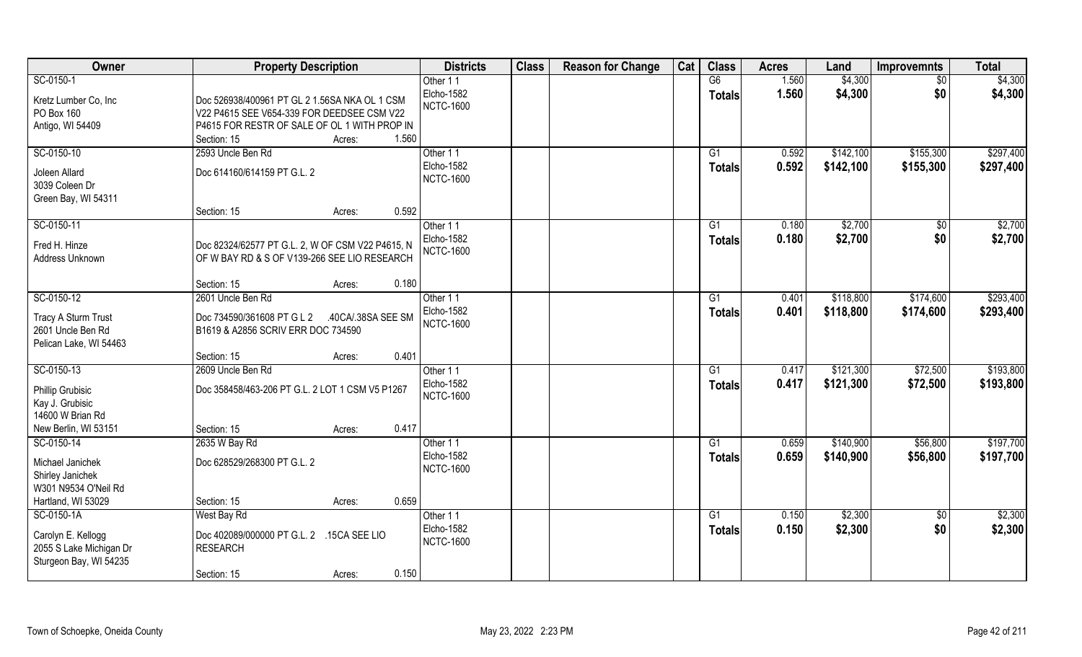| Owner                                                                                 | <b>Property Description</b>                                                                                                                                          | <b>Districts</b>                                    | <b>Class</b> | <b>Reason for Change</b> | Cat | <b>Class</b>        | <b>Acres</b>   | Land               | <b>Improvemnts</b>    | <b>Total</b>       |
|---------------------------------------------------------------------------------------|----------------------------------------------------------------------------------------------------------------------------------------------------------------------|-----------------------------------------------------|--------------|--------------------------|-----|---------------------|----------------|--------------------|-----------------------|--------------------|
| SC-0150-1                                                                             |                                                                                                                                                                      | Other 11                                            |              |                          |     | G6                  | 1.560          | \$4,300            | $\overline{50}$       | \$4,300            |
| Kretz Lumber Co, Inc<br>PO Box 160<br>Antigo, WI 54409                                | Doc 526938/400961 PT GL 2 1.56SA NKA OL 1 CSM<br>V22 P4615 SEE V654-339 FOR DEEDSEE CSM V22<br>P4615 FOR RESTR OF SALE OF OL 1 WITH PROP IN<br>Section: 15<br>Acres: | Elcho-1582<br><b>NCTC-1600</b><br>1.560             |              |                          |     | <b>Totals</b>       | 1.560          | \$4,300            | \$0                   | \$4,300            |
| SC-0150-10                                                                            | 2593 Uncle Ben Rd                                                                                                                                                    | Other 11                                            |              |                          |     | G <sub>1</sub>      | 0.592          | \$142,100          | \$155,300             | \$297,400          |
| Joleen Allard<br>3039 Coleen Dr<br>Green Bay, WI 54311                                | Doc 614160/614159 PT G.L. 2                                                                                                                                          | Elcho-1582<br><b>NCTC-1600</b>                      |              |                          |     | Totals              | 0.592          | \$142,100          | \$155,300             | \$297,400          |
|                                                                                       | Section: 15<br>Acres:                                                                                                                                                | 0.592                                               |              |                          |     |                     |                |                    |                       |                    |
| SC-0150-11<br>Fred H. Hinze<br>Address Unknown                                        | Doc 82324/62577 PT G.L. 2, W OF CSM V22 P4615, N<br>OF W BAY RD & S OF V139-266 SEE LIO RESEARCH                                                                     | Other 11<br><b>Elcho-1582</b><br><b>NCTC-1600</b>   |              |                          |     | G1<br><b>Totals</b> | 0.180<br>0.180 | \$2,700<br>\$2,700 | $\sqrt[6]{30}$<br>\$0 | \$2,700<br>\$2,700 |
|                                                                                       | Section: 15<br>Acres:                                                                                                                                                | 0.180                                               |              |                          |     |                     |                |                    |                       |                    |
| SC-0150-12                                                                            | 2601 Uncle Ben Rd                                                                                                                                                    | Other 11                                            |              |                          |     | G1                  | 0.401          | \$118,800          | \$174,600             | \$293,400          |
| Tracy A Sturm Trust<br>2601 Uncle Ben Rd<br>Pelican Lake, WI 54463                    | Doc 734590/361608 PT G L 2<br>.40CA/.38SA SEE SM<br>B1619 & A2856 SCRIV ERR DOC 734590                                                                               | <b>Elcho-1582</b><br><b>NCTC-1600</b>               |              |                          |     | <b>Totals</b>       | 0.401          | \$118,800          | \$174,600             | \$293,400          |
|                                                                                       | Section: 15<br>Acres:                                                                                                                                                | 0.401                                               |              |                          |     |                     |                |                    |                       |                    |
| SC-0150-13                                                                            | 2609 Uncle Ben Rd                                                                                                                                                    | Other 11                                            |              |                          |     | G1                  | 0.417          | \$121,300          | \$72,500              | \$193,800          |
| Phillip Grubisic<br>Kay J. Grubisic<br>14600 W Brian Rd                               | Doc 358458/463-206 PT G.L. 2 LOT 1 CSM V5 P1267                                                                                                                      | Elcho-1582<br><b>NCTC-1600</b>                      |              |                          |     | <b>Totals</b>       | 0.417          | \$121,300          | \$72,500              | \$193,800          |
| New Berlin, WI 53151                                                                  | Section: 15<br>Acres:                                                                                                                                                | 0.417                                               |              |                          |     |                     |                |                    |                       |                    |
| SC-0150-14                                                                            | 2635 W Bay Rd                                                                                                                                                        | Other 11                                            |              |                          |     | G1                  | 0.659          | \$140,900          | \$56,800              | \$197,700          |
| Michael Janichek<br>Shirley Janichek<br>W301 N9534 O'Neil Rd                          | Doc 628529/268300 PT G.L. 2                                                                                                                                          | Elcho-1582<br><b>NCTC-1600</b>                      |              |                          |     | <b>Totals</b>       | 0.659          | \$140,900          | \$56,800              | \$197,700          |
| Hartland, WI 53029                                                                    | Section: 15<br>Acres:                                                                                                                                                | 0.659                                               |              |                          |     |                     |                |                    |                       |                    |
| SC-0150-1A<br>Carolyn E. Kellogg<br>2055 S Lake Michigan Dr<br>Sturgeon Bay, WI 54235 | West Bay Rd<br>Doc 402089/000000 PT G.L. 2 .15CA SEE LIO<br><b>RESEARCH</b><br>Section: 15<br>Acres:                                                                 | Other 11<br>Elcho-1582<br><b>NCTC-1600</b><br>0.150 |              |                          |     | G1<br><b>Totals</b> | 0.150<br>0.150 | \$2,300<br>\$2,300 | $\sqrt{$0}$<br>\$0    | \$2,300<br>\$2,300 |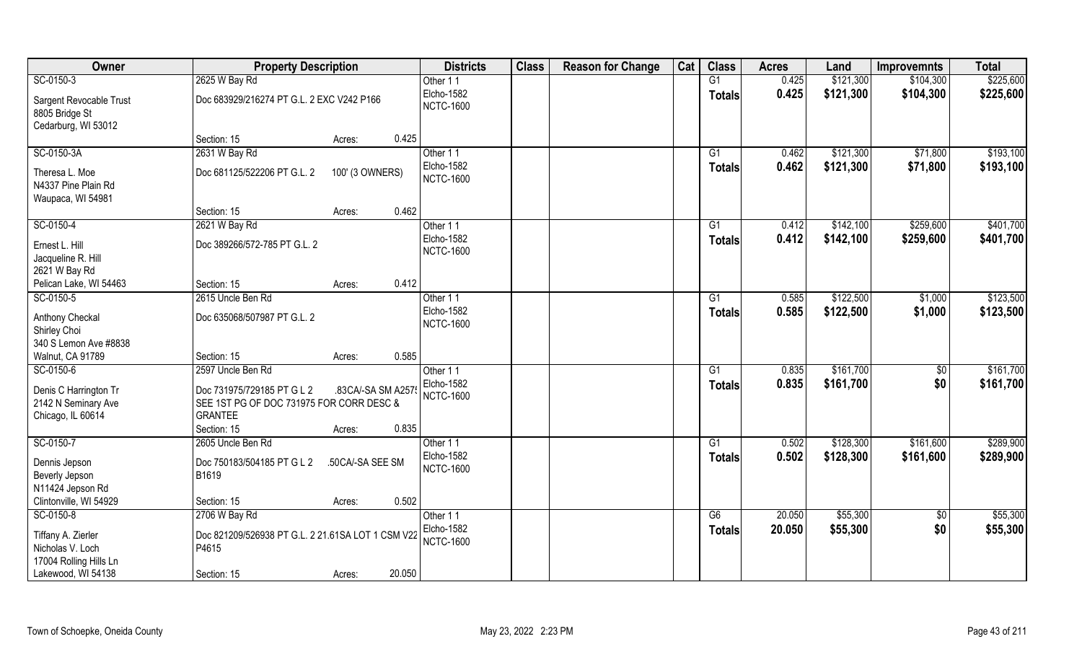| Owner                                                             | <b>Property Description</b>                                                                             |                                       | <b>Districts</b>               | <b>Class</b> | <b>Reason for Change</b> | Cat | <b>Class</b>    | <b>Acres</b> | Land      | <b>Improvemnts</b> | <b>Total</b> |
|-------------------------------------------------------------------|---------------------------------------------------------------------------------------------------------|---------------------------------------|--------------------------------|--------------|--------------------------|-----|-----------------|--------------|-----------|--------------------|--------------|
| SC-0150-3                                                         | 2625 W Bay Rd                                                                                           |                                       | Other 11                       |              |                          |     | G1              | 0.425        | \$121,300 | \$104,300          | \$225,600    |
| Sargent Revocable Trust<br>8805 Bridge St<br>Cedarburg, WI 53012  | Doc 683929/216274 PT G.L. 2 EXC V242 P166                                                               |                                       | Elcho-1582<br><b>NCTC-1600</b> |              |                          |     | <b>Totals</b>   | 0.425        | \$121,300 | \$104,300          | \$225,600    |
|                                                                   | Section: 15                                                                                             | 0.425<br>Acres:                       |                                |              |                          |     |                 |              |           |                    |              |
| SC-0150-3A                                                        | 2631 W Bay Rd                                                                                           |                                       | Other 11                       |              |                          |     | $\overline{G1}$ | 0.462        | \$121,300 | \$71,800           | \$193,100    |
| Theresa L. Moe<br>N4337 Pine Plain Rd<br>Waupaca, WI 54981        | Doc 681125/522206 PT G.L. 2                                                                             | 100' (3 OWNERS)                       | Elcho-1582<br><b>NCTC-1600</b> |              |                          |     | <b>Totals</b>   | 0.462        | \$121,300 | \$71,800           | \$193,100    |
|                                                                   | Section: 15                                                                                             | 0.462<br>Acres:                       |                                |              |                          |     |                 |              |           |                    |              |
| SC-0150-4                                                         | 2621 W Bay Rd                                                                                           |                                       | Other 11                       |              |                          |     | G1              | 0.412        | \$142,100 | \$259,600          | \$401,700    |
| Ernest L. Hill<br>Jacqueline R. Hill<br>2621 W Bay Rd             | Doc 389266/572-785 PT G.L. 2                                                                            |                                       | Elcho-1582<br><b>NCTC-1600</b> |              |                          |     | Totals          | 0.412        | \$142,100 | \$259,600          | \$401,700    |
| Pelican Lake, WI 54463                                            | Section: 15                                                                                             | 0.412<br>Acres:                       |                                |              |                          |     |                 |              |           |                    |              |
| SC-0150-5                                                         | 2615 Uncle Ben Rd                                                                                       |                                       | Other 11                       |              |                          |     | G1              | 0.585        | \$122,500 | \$1,000            | \$123,500    |
| Anthony Checkal<br>Shirley Choi<br>340 S Lemon Ave #8838          | Doc 635068/507987 PT G.L. 2                                                                             |                                       | Elcho-1582<br><b>NCTC-1600</b> |              |                          |     | <b>Totals</b>   | 0.585        | \$122,500 | \$1,000            | \$123,500    |
| Walnut, CA 91789                                                  | Section: 15                                                                                             | 0.585<br>Acres:                       |                                |              |                          |     |                 |              |           |                    |              |
| SC-0150-6                                                         | 2597 Uncle Ben Rd                                                                                       |                                       | Other 11                       |              |                          |     | G1              | 0.835        | \$161,700 | $\sqrt[6]{3}$      | \$161,700    |
| Denis C Harrington Tr<br>2142 N Seminary Ave<br>Chicago, IL 60614 | Doc 731975/729185 PT G L 2<br>SEE 1ST PG OF DOC 731975 FOR CORR DESC &<br><b>GRANTEE</b><br>Section: 15 | .83CA/-SA SM A2575<br>0.835<br>Acres: | Elcho-1582<br><b>NCTC-1600</b> |              |                          |     | Totals          | 0.835        | \$161,700 | \$0                | \$161,700    |
| SC-0150-7                                                         | 2605 Uncle Ben Rd                                                                                       |                                       | Other 11                       |              |                          |     | G1              | 0.502        | \$128,300 | \$161,600          | \$289,900    |
| Dennis Jepson<br>Beverly Jepson<br>N11424 Jepson Rd               | Doc 750183/504185 PT G L 2<br>B1619                                                                     | .50CA/-SA SEE SM                      | Elcho-1582<br><b>NCTC-1600</b> |              |                          |     | <b>Totals</b>   | 0.502        | \$128,300 | \$161,600          | \$289,900    |
| Clintonville, WI 54929                                            | Section: 15                                                                                             | 0.502<br>Acres:                       |                                |              |                          |     |                 |              |           |                    |              |
| SC-0150-8                                                         | 2706 W Bay Rd                                                                                           |                                       | Other 11                       |              |                          |     | G6              | 20.050       | \$55,300  | $\sqrt{$0}$        | \$55,300     |
| Tiffany A. Zierler<br>Nicholas V. Loch<br>17004 Rolling Hills Ln  | Doc 821209/526938 PT G.L. 2 21.61SA LOT 1 CSM V22<br>P4615                                              |                                       | Elcho-1582<br><b>NCTC-1600</b> |              |                          |     | Totals          | 20.050       | \$55,300  | \$0                | \$55,300     |
| Lakewood, WI 54138                                                | Section: 15                                                                                             | 20.050<br>Acres:                      |                                |              |                          |     |                 |              |           |                    |              |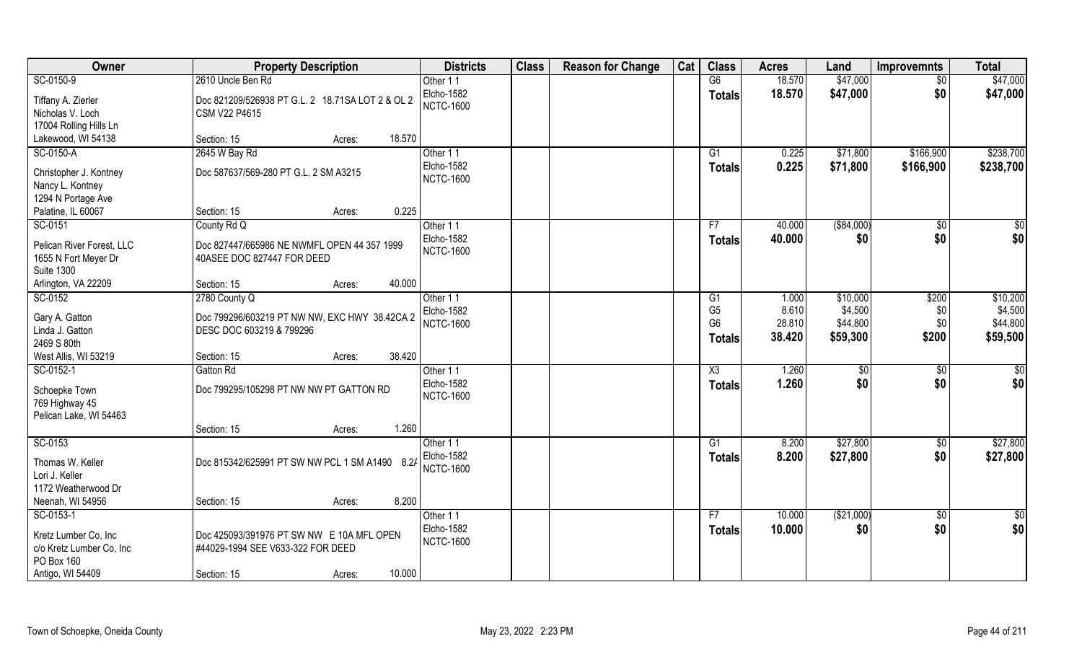| Owner                                      | <b>Property Description</b>                      | <b>Districts</b>  | <b>Class</b> | <b>Reason for Change</b> | Cat | <b>Class</b>   | <b>Acres</b> | Land        | <b>Improvemnts</b> | <b>Total</b> |
|--------------------------------------------|--------------------------------------------------|-------------------|--------------|--------------------------|-----|----------------|--------------|-------------|--------------------|--------------|
| SC-0150-9                                  | 2610 Uncle Ben Rd                                | Other 11          |              |                          |     | G6             | 18.570       | \$47,000    | $\overline{50}$    | \$47,000     |
| Tiffany A. Zierler                         | Doc 821209/526938 PT G.L. 2 18.71SA LOT 2 & OL 2 | Elcho-1582        |              |                          |     | <b>Totals</b>  | 18.570       | \$47,000    | \$0                | \$47,000     |
| Nicholas V. Loch                           | CSM V22 P4615                                    | <b>NCTC-1600</b>  |              |                          |     |                |              |             |                    |              |
| 17004 Rolling Hills Ln                     |                                                  |                   |              |                          |     |                |              |             |                    |              |
| Lakewood, WI 54138                         | 18.570<br>Section: 15<br>Acres:                  |                   |              |                          |     |                |              |             |                    |              |
| SC-0150-A                                  | 2645 W Bay Rd                                    | Other 11          |              |                          |     | G1             | 0.225        | \$71,800    | \$166,900          | \$238,700    |
|                                            | Doc 587637/569-280 PT G.L. 2 SM A3215            | <b>Elcho-1582</b> |              |                          |     | Totals         | 0.225        | \$71,800    | \$166,900          | \$238,700    |
| Christopher J. Kontney<br>Nancy L. Kontney |                                                  | <b>NCTC-1600</b>  |              |                          |     |                |              |             |                    |              |
| 1294 N Portage Ave                         |                                                  |                   |              |                          |     |                |              |             |                    |              |
| Palatine, IL 60067                         | 0.225<br>Section: 15<br>Acres:                   |                   |              |                          |     |                |              |             |                    |              |
| SC-0151                                    | County Rd Q                                      | Other 11          |              |                          |     | F7             | 40.000       | ( \$84,000) | $\sqrt[6]{30}$     | \$0          |
|                                            |                                                  | Elcho-1582        |              |                          |     | <b>Totals</b>  | 40.000       | \$0         | \$0                | \$0          |
| Pelican River Forest, LLC                  | Doc 827447/665986 NE NWMFL OPEN 44 357 1999      | <b>NCTC-1600</b>  |              |                          |     |                |              |             |                    |              |
| 1655 N Fort Meyer Dr                       | 40ASEE DOC 827447 FOR DEED                       |                   |              |                          |     |                |              |             |                    |              |
| <b>Suite 1300</b>                          |                                                  |                   |              |                          |     |                |              |             |                    |              |
| Arlington, VA 22209                        | 40.000<br>Section: 15<br>Acres:                  |                   |              |                          |     |                |              |             |                    |              |
| SC-0152                                    | 2780 County Q                                    | Other 11          |              |                          |     | G <sub>1</sub> | 1.000        | \$10,000    | \$200              | \$10,200     |
| Gary A. Gatton                             | Doc 799296/603219 PT NW NW, EXC HWY 38.42CA 2    | <b>Elcho-1582</b> |              |                          |     | G <sub>5</sub> | 8.610        | \$4,500     | \$0                | \$4,500      |
| Linda J. Gatton                            | DESC DOC 603219 & 799296                         | <b>NCTC-1600</b>  |              |                          |     | G <sub>6</sub> | 28.810       | \$44,800    | \$0                | \$44,800     |
| 2469 S 80th                                |                                                  |                   |              |                          |     | <b>Totals</b>  | 38.420       | \$59,300    | \$200              | \$59,500     |
| West Allis, WI 53219                       | 38.420<br>Section: 15<br>Acres:                  |                   |              |                          |     |                |              |             |                    |              |
| SC-0152-1                                  | Gatton Rd                                        | Other 11          |              |                          |     | X3             | 1.260        | \$0         | $\sqrt[6]{30}$     | \$0          |
| Schoepke Town                              | Doc 799295/105298 PT NW NW PT GATTON RD          | Elcho-1582        |              |                          |     | <b>Totals</b>  | 1.260        | \$0         | \$0                | \$0          |
| 769 Highway 45                             |                                                  | <b>NCTC-1600</b>  |              |                          |     |                |              |             |                    |              |
| Pelican Lake, WI 54463                     |                                                  |                   |              |                          |     |                |              |             |                    |              |
|                                            | 1.260<br>Section: 15<br>Acres:                   |                   |              |                          |     |                |              |             |                    |              |
| SC-0153                                    |                                                  | Other 11          |              |                          |     | G1             | 8.200        | \$27,800    | \$0                | \$27,800     |
|                                            |                                                  | Elcho-1582        |              |                          |     | <b>Totals</b>  | 8.200        | \$27,800    | \$0                | \$27,800     |
| Thomas W. Keller                           | Doc 815342/625991 PT SW NW PCL 1 SM A1490 8.2/   | <b>NCTC-1600</b>  |              |                          |     |                |              |             |                    |              |
| Lori J. Keller<br>1172 Weatherwood Dr      |                                                  |                   |              |                          |     |                |              |             |                    |              |
| Neenah, WI 54956                           | 8.200<br>Section: 15<br>Acres:                   |                   |              |                          |     |                |              |             |                    |              |
| SC-0153-1                                  |                                                  | Other 11          |              |                          |     | F7             | 10.000       | ( \$21,000) | $\sqrt{$0}$        | \$0          |
|                                            |                                                  | Elcho-1582        |              |                          |     | <b>Totals</b>  | 10.000       | \$0         | \$0                | \$0          |
| Kretz Lumber Co, Inc                       | Doc 425093/391976 PT SW NW E 10A MFL OPEN        | <b>NCTC-1600</b>  |              |                          |     |                |              |             |                    |              |
| c/o Kretz Lumber Co, Inc                   | #44029-1994 SEE V633-322 FOR DEED                |                   |              |                          |     |                |              |             |                    |              |
| PO Box 160                                 |                                                  |                   |              |                          |     |                |              |             |                    |              |
| Antigo, WI 54409                           | 10.000<br>Section: 15<br>Acres:                  |                   |              |                          |     |                |              |             |                    |              |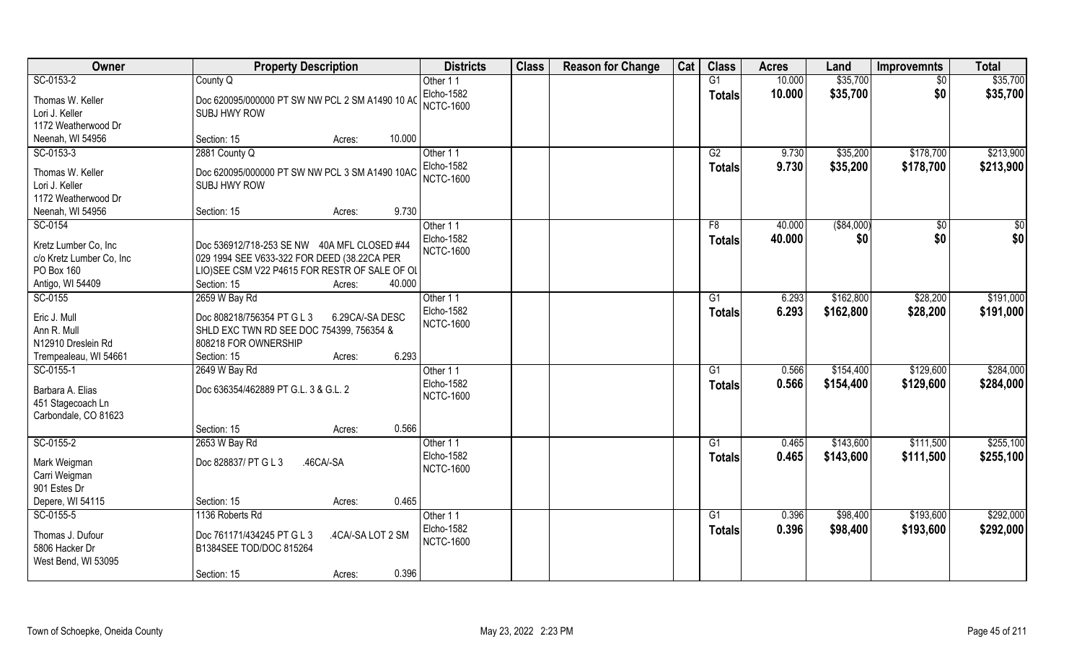| Owner                                 | <b>Property Description</b>                     | <b>Districts</b>  | <b>Class</b> | <b>Reason for Change</b> | Cat | <b>Class</b>    | <b>Acres</b> | Land        | <b>Improvemnts</b> | <b>Total</b> |
|---------------------------------------|-------------------------------------------------|-------------------|--------------|--------------------------|-----|-----------------|--------------|-------------|--------------------|--------------|
| SC-0153-2                             | County Q                                        | Other 11          |              |                          |     | G1              | 10.000       | \$35,700    | $\overline{50}$    | \$35,700     |
| Thomas W. Keller                      | Doc 620095/000000 PT SW NW PCL 2 SM A1490 10 AC | Elcho-1582        |              |                          |     | <b>Totals</b>   | 10.000       | \$35,700    | \$0                | \$35,700     |
| Lori J. Keller                        | <b>SUBJ HWY ROW</b>                             | <b>NCTC-1600</b>  |              |                          |     |                 |              |             |                    |              |
| 1172 Weatherwood Dr                   |                                                 |                   |              |                          |     |                 |              |             |                    |              |
| Neenah, WI 54956                      | 10.000<br>Section: 15<br>Acres:                 |                   |              |                          |     |                 |              |             |                    |              |
| SC-0153-3                             | 2881 County Q                                   | Other 11          |              |                          |     | G2              | 9.730        | \$35,200    | \$178,700          | \$213,900    |
|                                       |                                                 | Elcho-1582        |              |                          |     | <b>Totals</b>   | 9.730        | \$35,200    | \$178,700          | \$213,900    |
| Thomas W. Keller                      | Doc 620095/000000 PT SW NW PCL 3 SM A1490 10AC  | <b>NCTC-1600</b>  |              |                          |     |                 |              |             |                    |              |
| Lori J. Keller<br>1172 Weatherwood Dr | SUBJ HWY ROW                                    |                   |              |                          |     |                 |              |             |                    |              |
| Neenah, WI 54956                      | 9.730<br>Section: 15<br>Acres:                  |                   |              |                          |     |                 |              |             |                    |              |
| SC-0154                               |                                                 | Other 11          |              |                          |     | F8              | 40.000       | ( \$84,000) | $\sqrt[6]{30}$     | \$0          |
|                                       |                                                 | <b>Elcho-1582</b> |              |                          |     |                 | 40.000       | \$0         | \$0                | \$0          |
| Kretz Lumber Co, Inc                  | Doc 536912/718-253 SE NW 40A MFL CLOSED #44     | <b>NCTC-1600</b>  |              |                          |     | <b>Totals</b>   |              |             |                    |              |
| c/o Kretz Lumber Co, Inc              | 029 1994 SEE V633-322 FOR DEED (38.22CA PER     |                   |              |                          |     |                 |              |             |                    |              |
| PO Box 160                            | LIO) SEE CSM V22 P4615 FOR RESTR OF SALE OF OL  |                   |              |                          |     |                 |              |             |                    |              |
| Antigo, WI 54409                      | 40.000<br>Section: 15<br>Acres:                 |                   |              |                          |     |                 |              |             |                    |              |
| SC-0155                               | 2659 W Bay Rd                                   | Other 11          |              |                          |     | G1              | 6.293        | \$162,800   | \$28,200           | \$191,000    |
| Eric J. Mull                          | 6.29CA/-SA DESC<br>Doc 808218/756354 PT G L 3   | Elcho-1582        |              |                          |     | <b>Totals</b>   | 6.293        | \$162,800   | \$28,200           | \$191,000    |
| Ann R. Mull                           | SHLD EXC TWN RD SEE DOC 754399, 756354 &        | <b>NCTC-1600</b>  |              |                          |     |                 |              |             |                    |              |
| N12910 Dreslein Rd                    | 808218 FOR OWNERSHIP                            |                   |              |                          |     |                 |              |             |                    |              |
| Trempealeau, WI 54661                 | 6.293<br>Section: 15<br>Acres:                  |                   |              |                          |     |                 |              |             |                    |              |
| SC-0155-1                             | 2649 W Bay Rd                                   | Other 11          |              |                          |     | $\overline{G1}$ | 0.566        | \$154,400   | \$129,600          | \$284,000    |
| Barbara A. Elias                      | Doc 636354/462889 PT G.L. 3 & G.L. 2            | Elcho-1582        |              |                          |     | <b>Totals</b>   | 0.566        | \$154,400   | \$129,600          | \$284,000    |
| 451 Stagecoach Ln                     |                                                 | <b>NCTC-1600</b>  |              |                          |     |                 |              |             |                    |              |
| Carbondale, CO 81623                  |                                                 |                   |              |                          |     |                 |              |             |                    |              |
|                                       | 0.566<br>Section: 15<br>Acres:                  |                   |              |                          |     |                 |              |             |                    |              |
| SC-0155-2                             | 2653 W Bay Rd                                   | Other 11          |              |                          |     | G1              | 0.465        | \$143,600   | \$111,500          | \$255,100    |
|                                       |                                                 | Elcho-1582        |              |                          |     | <b>Totals</b>   | 0.465        | \$143,600   | \$111,500          | \$255,100    |
| Mark Weigman                          | .46CA/-SA<br>Doc 828837/ PT G L 3               | <b>NCTC-1600</b>  |              |                          |     |                 |              |             |                    |              |
| Carri Weigman                         |                                                 |                   |              |                          |     |                 |              |             |                    |              |
| 901 Estes Dr                          |                                                 |                   |              |                          |     |                 |              |             |                    |              |
| Depere, WI 54115                      | 0.465<br>Section: 15<br>Acres:                  |                   |              |                          |     |                 |              |             |                    |              |
| SC-0155-5                             | 1136 Roberts Rd                                 | Other 11          |              |                          |     | G <sub>1</sub>  | 0.396        | \$98,400    | \$193,600          | \$292,000    |
| Thomas J. Dufour                      | Doc 761171/434245 PT G L 3<br>.4CA/-SA LOT 2 SM | <b>Elcho-1582</b> |              |                          |     | <b>Totals</b>   | 0.396        | \$98,400    | \$193,600          | \$292,000    |
| 5806 Hacker Dr                        | <b>B1384SEE TOD/DOC 815264</b>                  | <b>NCTC-1600</b>  |              |                          |     |                 |              |             |                    |              |
| West Bend, WI 53095                   |                                                 |                   |              |                          |     |                 |              |             |                    |              |
|                                       | 0.396<br>Section: 15<br>Acres:                  |                   |              |                          |     |                 |              |             |                    |              |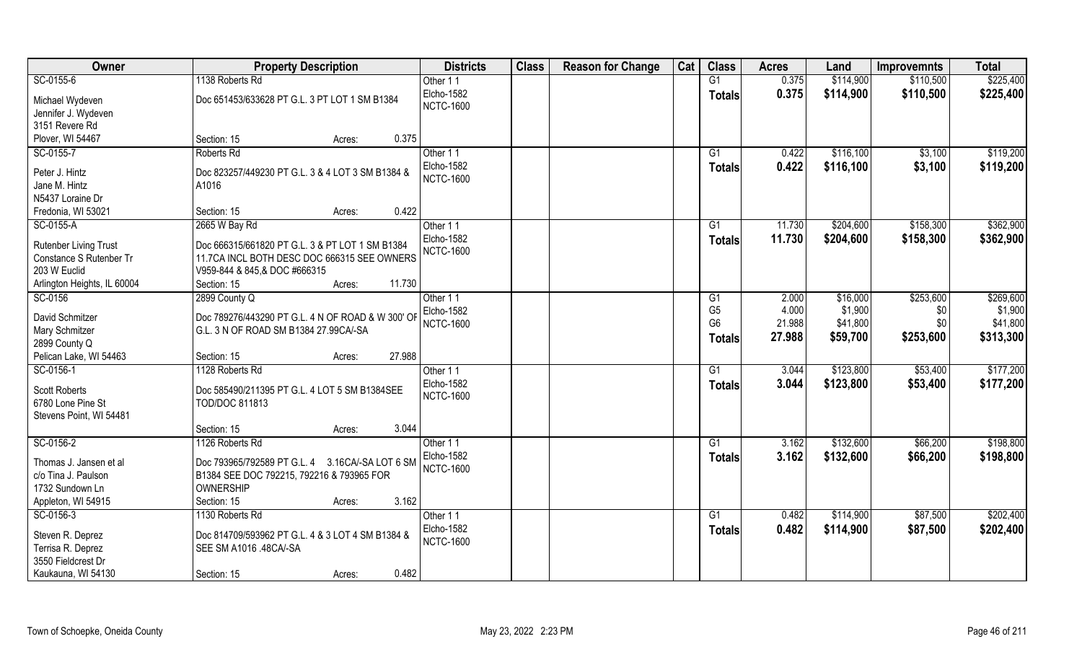| Owner                           | <b>Property Description</b>                       | <b>Districts</b>       | <b>Class</b> | <b>Reason for Change</b> | Cat | <b>Class</b>    | <b>Acres</b> | Land      | <b>Improvemnts</b> | <b>Total</b> |
|---------------------------------|---------------------------------------------------|------------------------|--------------|--------------------------|-----|-----------------|--------------|-----------|--------------------|--------------|
| SC-0155-6                       | 1138 Roberts Rd                                   | Other 11               |              |                          |     | G1              | 0.375        | \$114,900 | \$110,500          | \$225,400    |
| Michael Wydeven                 | Doc 651453/633628 PT G.L. 3 PT LOT 1 SM B1384     | Elcho-1582             |              |                          |     | <b>Totals</b>   | 0.375        | \$114,900 | \$110,500          | \$225,400    |
| Jennifer J. Wydeven             |                                                   | <b>NCTC-1600</b>       |              |                          |     |                 |              |           |                    |              |
| 3151 Revere Rd                  |                                                   |                        |              |                          |     |                 |              |           |                    |              |
| Plover, WI 54467                | 0.375<br>Section: 15<br>Acres:                    |                        |              |                          |     |                 |              |           |                    |              |
| SC-0155-7                       | Roberts Rd                                        | Other 11               |              |                          |     | G1              | 0.422        | \$116,100 | \$3,100            | \$119,200    |
| Peter J. Hintz                  | Doc 823257/449230 PT G.L. 3 & 4 LOT 3 SM B1384 &  | Elcho-1582             |              |                          |     | <b>Totals</b>   | 0.422        | \$116,100 | \$3,100            | \$119,200    |
| Jane M. Hintz                   | A1016                                             | <b>NCTC-1600</b>       |              |                          |     |                 |              |           |                    |              |
| N5437 Loraine Dr                |                                                   |                        |              |                          |     |                 |              |           |                    |              |
| Fredonia, WI 53021              | Section: 15<br>0.422<br>Acres:                    |                        |              |                          |     |                 |              |           |                    |              |
| SC-0155-A                       | 2665 W Bay Rd                                     | Other 11               |              |                          |     | G1              | 11.730       | \$204,600 | \$158,300          | \$362,900    |
| Rutenber Living Trust           | Doc 666315/661820 PT G.L. 3 & PT LOT 1 SM B1384   | Elcho-1582             |              |                          |     | <b>Totals</b>   | 11.730       | \$204,600 | \$158,300          | \$362,900    |
| Constance S Rutenber Tr         | 11.7CA INCL BOTH DESC DOC 666315 SEE OWNERS       | <b>NCTC-1600</b>       |              |                          |     |                 |              |           |                    |              |
| 203 W Euclid                    | V959-844 & 845, & DOC #666315                     |                        |              |                          |     |                 |              |           |                    |              |
| Arlington Heights, IL 60004     | 11.730<br>Section: 15<br>Acres:                   |                        |              |                          |     |                 |              |           |                    |              |
| SC-0156                         | 2899 County Q                                     | Other 11               |              |                          |     | G1              | 2.000        | \$16,000  | \$253,600          | \$269,600    |
|                                 |                                                   | Elcho-1582             |              |                          |     | G <sub>5</sub>  | 4.000        | \$1,900   | \$0                | \$1,900      |
| David Schmitzer                 | Doc 789276/443290 PT G.L. 4 N OF ROAD & W 300' OF | <b>NCTC-1600</b>       |              |                          |     | G <sub>6</sub>  | 21.988       | \$41,800  | \$0                | \$41,800     |
| Mary Schmitzer<br>2899 County Q | G.L. 3 N OF ROAD SM B1384 27.99CA/-SA             |                        |              |                          |     | <b>Totals</b>   | 27.988       | \$59,700  | \$253,600          | \$313,300    |
| Pelican Lake, WI 54463          | 27.988<br>Section: 15<br>Acres:                   |                        |              |                          |     |                 |              |           |                    |              |
| SC-0156-1                       | 1128 Roberts Rd                                   | Other 11               |              |                          |     | $\overline{G1}$ | 3.044        | \$123,800 | \$53,400           | \$177,200    |
|                                 |                                                   | Elcho-1582             |              |                          |     | <b>Totals</b>   | 3.044        | \$123,800 | \$53,400           | \$177,200    |
| <b>Scott Roberts</b>            | Doc 585490/211395 PT G.L. 4 LOT 5 SM B1384SEE     | <b>NCTC-1600</b>       |              |                          |     |                 |              |           |                    |              |
| 6780 Lone Pine St               | <b>TOD/DOC 811813</b>                             |                        |              |                          |     |                 |              |           |                    |              |
| Stevens Point, WI 54481         | 3.044                                             |                        |              |                          |     |                 |              |           |                    |              |
|                                 | Section: 15<br>Acres:<br>1126 Roberts Rd          |                        |              |                          |     |                 | 3.162        | \$132,600 |                    | \$198,800    |
| SC-0156-2                       |                                                   | Other 11<br>Elcho-1582 |              |                          |     | G1              | 3.162        | \$132,600 | \$66,200           | \$198,800    |
| Thomas J. Jansen et al          | Doc 793965/792589 PT G.L. 4 3.16CA/-SA LOT 6 SM   | <b>NCTC-1600</b>       |              |                          |     | <b>Totals</b>   |              |           | \$66,200           |              |
| c/o Tina J. Paulson             | B1384 SEE DOC 792215, 792216 & 793965 FOR         |                        |              |                          |     |                 |              |           |                    |              |
| 1732 Sundown Ln                 | <b>OWNERSHIP</b>                                  |                        |              |                          |     |                 |              |           |                    |              |
| Appleton, WI 54915              | 3.162<br>Section: 15<br>Acres:                    |                        |              |                          |     |                 |              |           |                    |              |
| SC-0156-3                       | 1130 Roberts Rd                                   | Other 11               |              |                          |     | G1              | 0.482        | \$114,900 | \$87,500           | \$202,400    |
| Steven R. Deprez                | Doc 814709/593962 PT G.L. 4 & 3 LOT 4 SM B1384 &  | Elcho-1582             |              |                          |     | <b>Totals</b>   | 0.482        | \$114,900 | \$87,500           | \$202,400    |
| Terrisa R. Deprez               | SEE SM A1016 .48CA/-SA                            | <b>NCTC-1600</b>       |              |                          |     |                 |              |           |                    |              |
| 3550 Fieldcrest Dr              |                                                   |                        |              |                          |     |                 |              |           |                    |              |
| Kaukauna, WI 54130              | 0.482<br>Section: 15<br>Acres:                    |                        |              |                          |     |                 |              |           |                    |              |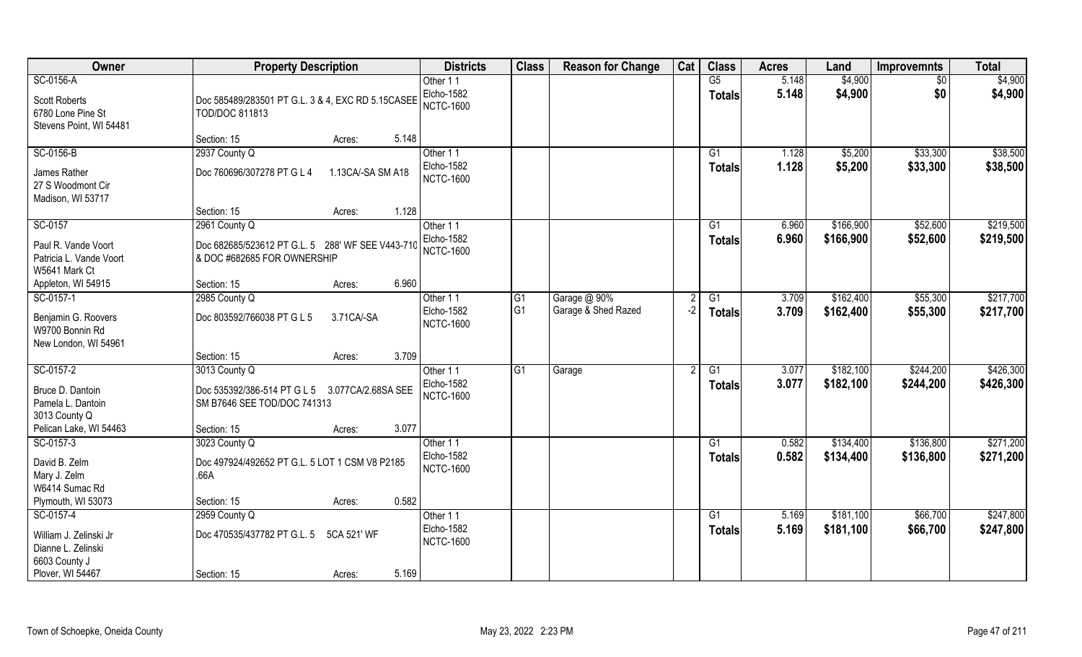| Owner                                                                                          | <b>Property Description</b>                                                         | <b>Districts</b>                           | <b>Class</b>   | <b>Reason for Change</b> | Cat  | <b>Class</b>        | <b>Acres</b>   | Land                   | <b>Improvemnts</b>   | <b>Total</b>           |
|------------------------------------------------------------------------------------------------|-------------------------------------------------------------------------------------|--------------------------------------------|----------------|--------------------------|------|---------------------|----------------|------------------------|----------------------|------------------------|
| SC-0156-A                                                                                      |                                                                                     | Other 11                                   |                |                          |      | G5                  | 5.148          | \$4,900                | $\overline{50}$      | \$4,900                |
| <b>Scott Roberts</b><br>6780 Lone Pine St<br>Stevens Point, WI 54481                           | Doc 585489/283501 PT G.L. 3 & 4, EXC RD 5.15CASEE<br><b>TOD/DOC 811813</b>          | Elcho-1582<br><b>NCTC-1600</b>             |                |                          |      | <b>Totals</b>       | 5.148          | \$4,900                | \$0                  | \$4,900                |
|                                                                                                | 5.148<br>Section: 15<br>Acres:                                                      |                                            |                |                          |      |                     |                |                        |                      |                        |
| SC-0156-B                                                                                      | 2937 County Q                                                                       | Other 11                                   |                |                          |      | $\overline{G1}$     | 1.128          | \$5,200                | \$33,300             | \$38,500               |
| James Rather<br>27 S Woodmont Cir<br>Madison, WI 53717                                         | Doc 760696/307278 PT G L 4<br>1.13CA/-SA SM A18                                     | <b>Elcho-1582</b><br><b>NCTC-1600</b>      |                |                          |      | Totals              | 1.128          | \$5,200                | \$33,300             | \$38,500               |
|                                                                                                | Section: 15<br>1.128<br>Acres:                                                      |                                            |                |                          |      |                     |                |                        |                      |                        |
| SC-0157                                                                                        | 2961 County Q                                                                       | Other 11                                   |                |                          |      | G1                  | 6.960          | \$166,900              | \$52,600             | \$219,500              |
| Paul R. Vande Voort<br>Patricia L. Vande Voort<br>W5641 Mark Ct                                | Doc 682685/523612 PT G.L. 5 288' WF SEE V443-710<br>& DOC #682685 FOR OWNERSHIP     | Elcho-1582<br><b>NCTC-1600</b>             |                |                          |      | <b>Totals</b>       | 6.960          | \$166,900              | \$52,600             | \$219,500              |
| Appleton, WI 54915                                                                             | 6.960<br>Section: 15<br>Acres:                                                      |                                            |                |                          |      |                     |                |                        |                      |                        |
| SC-0157-1                                                                                      | 2985 County Q                                                                       | Other 11                                   | G1             | Garage @ 90%             | 2    | $\overline{G1}$     | 3.709          | \$162,400              | \$55,300             | \$217,700              |
| Benjamin G. Roovers<br>W9700 Bonnin Rd<br>New London, WI 54961                                 | Doc 803592/766038 PT G L 5<br>3.71CA/-SA                                            | Elcho-1582<br><b>NCTC-1600</b>             | G <sub>1</sub> | Garage & Shed Razed      | $-2$ | <b>Totals</b>       | 3.709          | \$162,400              | \$55,300             | \$217,700              |
|                                                                                                | 3.709<br>Section: 15<br>Acres:                                                      |                                            |                |                          |      |                     |                |                        |                      |                        |
| SC-0157-2                                                                                      | 3013 County Q                                                                       | Other 11                                   | G1             | Garage                   | 2    | G1                  | 3.077          | \$182,100              | \$244,200            | \$426,300              |
| Bruce D. Dantoin<br>Pamela L. Dantoin<br>3013 County Q                                         | Doc 535392/386-514 PT G L 5 3.077 CA/2.68SA SEE<br>SM B7646 SEE TOD/DOC 741313      | <b>Elcho-1582</b><br><b>NCTC-1600</b>      |                |                          |      | <b>Totals</b>       | 3.077          | \$182,100              | \$244,200            | \$426,300              |
| Pelican Lake, WI 54463                                                                         | 3.077<br>Section: 15<br>Acres:                                                      |                                            |                |                          |      |                     |                |                        |                      |                        |
| SC-0157-3                                                                                      | 3023 County Q                                                                       | Other 11                                   |                |                          |      | G1                  | 0.582          | \$134,400              | \$136,800            | \$271,200              |
| David B. Zelm<br>Mary J. Zelm<br>W6414 Sumac Rd                                                | Doc 497924/492652 PT G.L. 5 LOT 1 CSM V8 P2185<br>.66A                              | Elcho-1582<br><b>NCTC-1600</b>             |                |                          |      | <b>Totals</b>       | 0.582          | \$134,400              | \$136,800            | \$271,200              |
| Plymouth, WI 53073                                                                             | 0.582<br>Section: 15<br>Acres:                                                      |                                            |                |                          |      |                     |                |                        |                      |                        |
| SC-0157-4<br>William J. Zelinski Jr<br>Dianne L. Zelinski<br>6603 County J<br>Plover, WI 54467 | 2959 County Q<br>Doc 470535/437782 PT G.L. 5<br>5CA 521' WF<br>5.169<br>Section: 15 | Other 11<br>Elcho-1582<br><b>NCTC-1600</b> |                |                          |      | G1<br><b>Totals</b> | 5.169<br>5.169 | \$181,100<br>\$181,100 | \$66,700<br>\$66,700 | \$247,800<br>\$247,800 |
|                                                                                                | Acres:                                                                              |                                            |                |                          |      |                     |                |                        |                      |                        |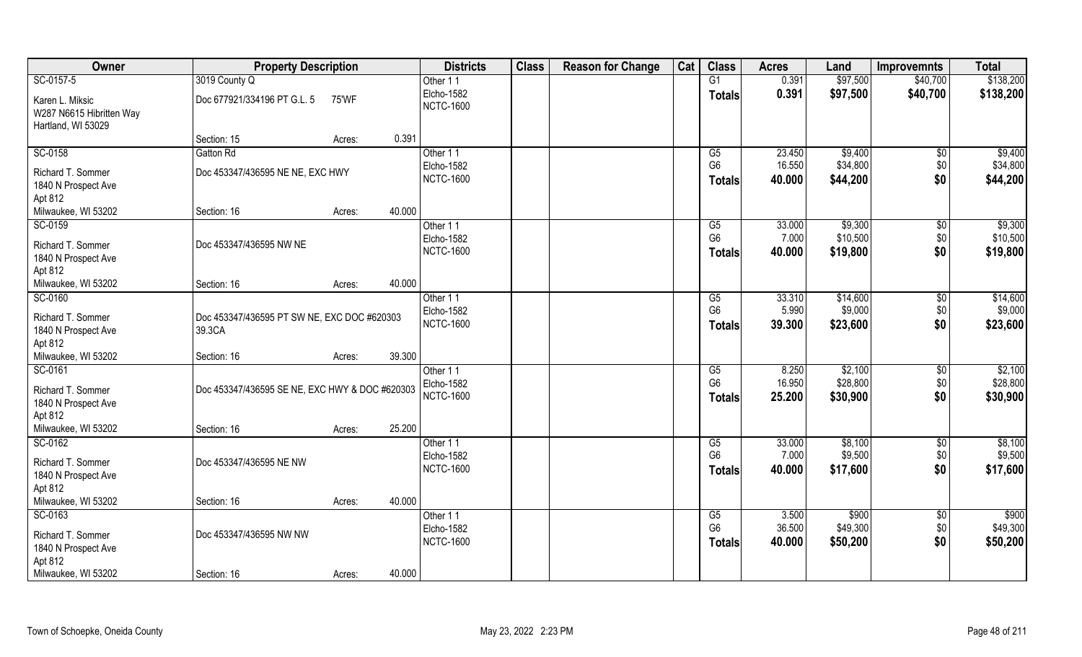| Owner                                                                                 | <b>Property Description</b>                           |                  | <b>Districts</b>                                  | <b>Class</b> | <b>Reason for Change</b> | Cat | <b>Class</b>                          | <b>Acres</b>              | Land                            | <b>Improvemnts</b>            | <b>Total</b>                    |
|---------------------------------------------------------------------------------------|-------------------------------------------------------|------------------|---------------------------------------------------|--------------|--------------------------|-----|---------------------------------------|---------------------------|---------------------------------|-------------------------------|---------------------------------|
| SC-0157-5                                                                             | 3019 County Q                                         |                  | Other 11                                          |              |                          |     | G1                                    | 0.391                     | \$97,500                        | \$40,700                      | \$138,200                       |
| Karen L. Miksic<br>W287 N6615 Hibritten Way<br>Hartland, WI 53029                     | Doc 677921/334196 PT G.L. 5                           | 75'WF            | Elcho-1582<br><b>NCTC-1600</b>                    |              |                          |     | Totals                                | 0.391                     | \$97,500                        | \$40,700                      | \$138,200                       |
|                                                                                       | Section: 15                                           | Acres:           | 0.391                                             |              |                          |     |                                       |                           |                                 |                               |                                 |
| SC-0158                                                                               | Gatton Rd                                             |                  | Other 11                                          |              |                          |     | G5                                    | 23.450                    | \$9,400                         | \$0                           | \$9,400                         |
| Richard T. Sommer<br>1840 N Prospect Ave<br>Apt 812                                   | Doc 453347/436595 NE NE, EXC HWY                      |                  | Elcho-1582<br><b>NCTC-1600</b>                    |              |                          |     | G <sub>6</sub><br><b>Totals</b>       | 16.550<br>40.000          | \$34,800<br>\$44,200            | \$0<br>\$0                    | \$34,800<br>\$44,200            |
| Milwaukee, WI 53202                                                                   | Section: 16                                           | 40.000<br>Acres: |                                                   |              |                          |     |                                       |                           |                                 |                               |                                 |
| SC-0159<br>Richard T. Sommer<br>1840 N Prospect Ave<br>Apt 812                        | Doc 453347/436595 NW NE                               |                  | Other 11<br>Elcho-1582<br><b>NCTC-1600</b>        |              |                          |     | G5<br>G <sub>6</sub><br><b>Totals</b> | 33.000<br>7.000<br>40.000 | \$9,300<br>\$10,500<br>\$19,800 | $\sqrt[6]{3}$<br>\$0<br>\$0   | \$9,300<br>\$10,500<br>\$19,800 |
| Milwaukee, WI 53202                                                                   | Section: 16                                           | 40.000<br>Acres: |                                                   |              |                          |     |                                       |                           |                                 |                               |                                 |
| SC-0160<br>Richard T. Sommer<br>1840 N Prospect Ave<br>Apt 812                        | Doc 453347/436595 PT SW NE, EXC DOC #620303<br>39.3CA |                  | Other 11<br>Elcho-1582<br><b>NCTC-1600</b>        |              |                          |     | G5<br>G <sub>6</sub><br><b>Totals</b> | 33.310<br>5.990<br>39.300 | \$14,600<br>\$9,000<br>\$23,600 | $\sqrt[6]{3}$<br>\$0<br>\$0   | \$14,600<br>\$9,000<br>\$23,600 |
| Milwaukee, WI 53202                                                                   | Section: 16                                           | 39.300<br>Acres: |                                                   |              |                          |     |                                       |                           |                                 |                               |                                 |
| SC-0161<br>Richard T. Sommer<br>1840 N Prospect Ave<br>Apt 812                        | Doc 453347/436595 SE NE, EXC HWY & DOC #620303        |                  | Other 11<br><b>Elcho-1582</b><br><b>NCTC-1600</b> |              |                          |     | G5<br>G <sub>6</sub><br><b>Totals</b> | 8.250<br>16.950<br>25.200 | \$2,100<br>\$28,800<br>\$30,900 | \$0<br>\$0<br>\$0             | \$2,100<br>\$28,800<br>\$30,900 |
| Milwaukee, WI 53202                                                                   | Section: 16                                           | 25.200<br>Acres: |                                                   |              |                          |     |                                       |                           |                                 |                               |                                 |
| SC-0162<br>Richard T. Sommer<br>1840 N Prospect Ave<br>Apt 812                        | Doc 453347/436595 NE NW                               |                  | Other 11<br><b>Elcho-1582</b><br><b>NCTC-1600</b> |              |                          |     | G5<br>G <sub>6</sub><br><b>Totals</b> | 33.000<br>7.000<br>40.000 | \$8,100<br>\$9,500<br>\$17,600  | $\overline{60}$<br>\$0<br>\$0 | \$8,100<br>\$9,500<br>\$17,600  |
| Milwaukee, WI 53202                                                                   | Section: 16                                           | 40.000<br>Acres: |                                                   |              |                          |     |                                       |                           |                                 |                               |                                 |
| SC-0163<br>Richard T. Sommer<br>1840 N Prospect Ave<br>Apt 812<br>Milwaukee, WI 53202 | Doc 453347/436595 NW NW<br>Section: 16                | 40.000<br>Acres: | Other 11<br>Elcho-1582<br><b>NCTC-1600</b>        |              |                          |     | G5<br>G <sub>6</sub><br><b>Totals</b> | 3.500<br>36.500<br>40.000 | \$900<br>\$49,300<br>\$50,200   | $\sqrt{$0}$<br>\$0<br>\$0     | \$900<br>\$49,300<br>\$50,200   |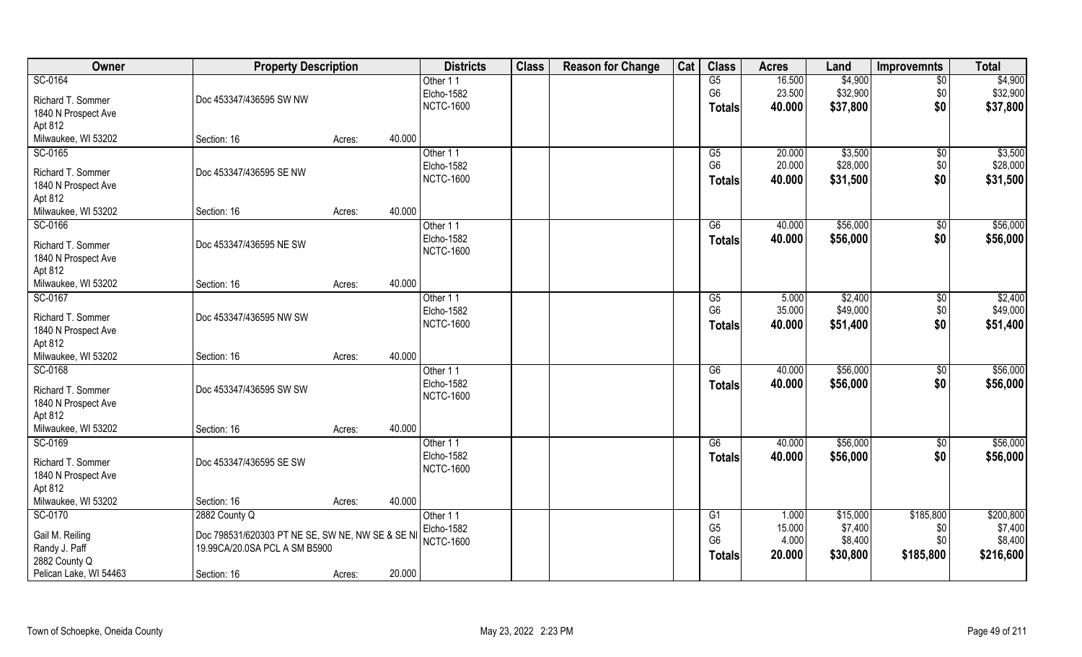| Owner                          | <b>Property Description</b>                      |        |        | <b>Districts</b>               | <b>Class</b> | <b>Reason for Change</b> | Cat | <b>Class</b>         | <b>Acres</b>    | Land                | <b>Improvemnts</b> | <b>Total</b>        |
|--------------------------------|--------------------------------------------------|--------|--------|--------------------------------|--------------|--------------------------|-----|----------------------|-----------------|---------------------|--------------------|---------------------|
| SC-0164                        |                                                  |        |        | Other 11                       |              |                          |     | G5                   | 16.500          | \$4,900             | $\overline{50}$    | \$4,900             |
| Richard T. Sommer              | Doc 453347/436595 SW NW                          |        |        | Elcho-1582                     |              |                          |     | G <sub>6</sub>       | 23.500          | \$32,900            | \$0                | \$32,900            |
| 1840 N Prospect Ave            |                                                  |        |        | <b>NCTC-1600</b>               |              |                          |     | <b>Totals</b>        | 40.000          | \$37,800            | \$0                | \$37,800            |
| Apt 812                        |                                                  |        |        |                                |              |                          |     |                      |                 |                     |                    |                     |
| Milwaukee, WI 53202            | Section: 16                                      | Acres: | 40.000 |                                |              |                          |     |                      |                 |                     |                    |                     |
| SC-0165                        |                                                  |        |        | Other 11                       |              |                          |     | G5                   | 20.000          | \$3,500             | $\sqrt{$0}$        | \$3,500             |
|                                | Doc 453347/436595 SE NW                          |        |        | Elcho-1582                     |              |                          |     | G <sub>6</sub>       | 20.000          | \$28,000            | \$0                | \$28,000            |
| Richard T. Sommer              |                                                  |        |        | <b>NCTC-1600</b>               |              |                          |     | Totals               | 40.000          | \$31,500            | \$0                | \$31,500            |
| 1840 N Prospect Ave<br>Apt 812 |                                                  |        |        |                                |              |                          |     |                      |                 |                     |                    |                     |
| Milwaukee, WI 53202            | Section: 16                                      | Acres: | 40.000 |                                |              |                          |     |                      |                 |                     |                    |                     |
| SC-0166                        |                                                  |        |        | Other 11                       |              |                          |     | G6                   | 40.000          | \$56,000            | \$0                | \$56,000            |
|                                |                                                  |        |        | Elcho-1582                     |              |                          |     | <b>Totals</b>        | 40.000          | \$56,000            | \$0                | \$56,000            |
| Richard T. Sommer              | Doc 453347/436595 NE SW                          |        |        | <b>NCTC-1600</b>               |              |                          |     |                      |                 |                     |                    |                     |
| 1840 N Prospect Ave            |                                                  |        |        |                                |              |                          |     |                      |                 |                     |                    |                     |
| Apt 812                        |                                                  |        |        |                                |              |                          |     |                      |                 |                     |                    |                     |
| Milwaukee, WI 53202            | Section: 16                                      | Acres: | 40.000 |                                |              |                          |     |                      |                 |                     |                    |                     |
| SC-0167                        |                                                  |        |        | Other 11                       |              |                          |     | G5<br>G <sub>6</sub> | 5.000<br>35.000 | \$2,400<br>\$49,000 | \$0                | \$2,400<br>\$49,000 |
| Richard T. Sommer              | Doc 453347/436595 NW SW                          |        |        | Elcho-1582<br><b>NCTC-1600</b> |              |                          |     |                      | 40.000          |                     | \$0<br>\$0         |                     |
| 1840 N Prospect Ave            |                                                  |        |        |                                |              |                          |     | <b>Totals</b>        |                 | \$51,400            |                    | \$51,400            |
| Apt 812                        |                                                  |        |        |                                |              |                          |     |                      |                 |                     |                    |                     |
| Milwaukee, WI 53202            | Section: 16                                      | Acres: | 40.000 |                                |              |                          |     |                      |                 |                     |                    |                     |
| SC-0168                        |                                                  |        |        | Other 11                       |              |                          |     | $\overline{G6}$      | 40.000          | \$56,000            | \$0                | \$56,000            |
| Richard T. Sommer              | Doc 453347/436595 SW SW                          |        |        | Elcho-1582                     |              |                          |     | <b>Totals</b>        | 40.000          | \$56,000            | \$0                | \$56,000            |
| 1840 N Prospect Ave            |                                                  |        |        | <b>NCTC-1600</b>               |              |                          |     |                      |                 |                     |                    |                     |
| Apt 812                        |                                                  |        |        |                                |              |                          |     |                      |                 |                     |                    |                     |
| Milwaukee, WI 53202            | Section: 16                                      | Acres: | 40.000 |                                |              |                          |     |                      |                 |                     |                    |                     |
| SC-0169                        |                                                  |        |        | Other 11                       |              |                          |     | G6                   | 40.000          | \$56,000            | $\overline{50}$    | \$56,000            |
| Richard T. Sommer              | Doc 453347/436595 SE SW                          |        |        | Elcho-1582                     |              |                          |     | <b>Totals</b>        | 40.000          | \$56,000            | \$0                | \$56,000            |
| 1840 N Prospect Ave            |                                                  |        |        | <b>NCTC-1600</b>               |              |                          |     |                      |                 |                     |                    |                     |
| Apt 812                        |                                                  |        |        |                                |              |                          |     |                      |                 |                     |                    |                     |
| Milwaukee, WI 53202            | Section: 16                                      | Acres: | 40.000 |                                |              |                          |     |                      |                 |                     |                    |                     |
| SC-0170                        | 2882 County Q                                    |        |        | Other 11                       |              |                          |     | G <sub>1</sub>       | 1.000           | \$15,000            | \$185,800          | \$200,800           |
| Gail M. Reiling                | Doc 798531/620303 PT NE SE, SW NE, NW SE & SE NI |        |        | Elcho-1582                     |              |                          |     | G <sub>5</sub>       | 15.000          | \$7,400             | \$0                | \$7,400             |
| Randy J. Paff                  | 19.99CA/20.0SA PCL A SM B5900                    |        |        | <b>NCTC-1600</b>               |              |                          |     | G <sub>6</sub>       | 4.000           | \$8,400             | \$0                | \$8,400             |
| 2882 County Q                  |                                                  |        |        |                                |              |                          |     | <b>Totals</b>        | 20.000          | \$30,800            | \$185,800          | \$216,600           |
| Pelican Lake, WI 54463         | Section: 16                                      | Acres: | 20.000 |                                |              |                          |     |                      |                 |                     |                    |                     |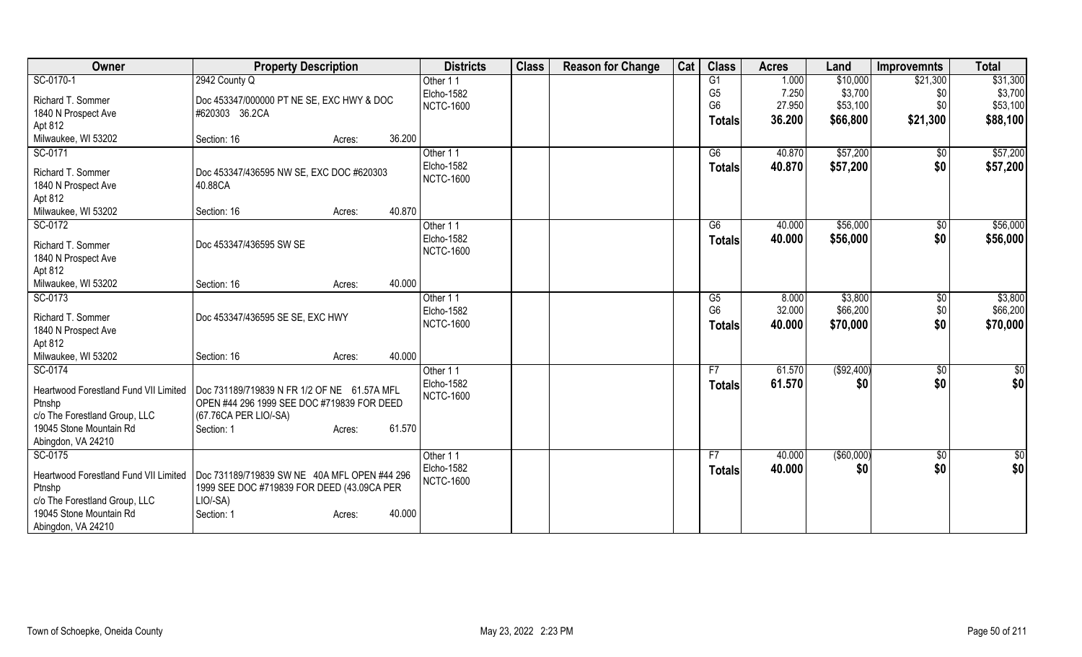| Owner                         | <b>Property Description</b>                                                                                                       | <b>Districts</b> | <b>Class</b> | <b>Reason for Change</b> | Cat | <b>Class</b>   | <b>Acres</b> | Land        | Improvemnts   | <b>Total</b>    |
|-------------------------------|-----------------------------------------------------------------------------------------------------------------------------------|------------------|--------------|--------------------------|-----|----------------|--------------|-------------|---------------|-----------------|
| SC-0170-1                     | 2942 County Q                                                                                                                     | Other 11         |              |                          |     | G1             | 1.000        | \$10,000    | \$21,300      | \$31,300        |
| Richard T. Sommer             | Doc 453347/000000 PT NE SE, EXC HWY & DOC                                                                                         | Elcho-1582       |              |                          |     | G <sub>5</sub> | 7.250        | \$3,700     | \$0           | \$3,700         |
| 1840 N Prospect Ave           | #620303 36.2CA                                                                                                                    | <b>NCTC-1600</b> |              |                          |     | G <sub>6</sub> | 27.950       | \$53,100    | \$0           | \$53,100        |
| Apt 812                       |                                                                                                                                   |                  |              |                          |     | <b>Totals</b>  | 36.200       | \$66,800    | \$21,300      | \$88,100        |
| Milwaukee, WI 53202           | 36.200<br>Section: 16<br>Acres:                                                                                                   |                  |              |                          |     |                |              |             |               |                 |
| SC-0171                       |                                                                                                                                   | Other 11         |              |                          |     | G6             | 40.870       | \$57,200    | $\sqrt{$0}$   | \$57,200        |
| Richard T. Sommer             | Doc 453347/436595 NW SE, EXC DOC #620303                                                                                          | Elcho-1582       |              |                          |     | <b>Totals</b>  | 40.870       | \$57,200    | \$0           | \$57,200        |
| 1840 N Prospect Ave           | 40.88CA                                                                                                                           | <b>NCTC-1600</b> |              |                          |     |                |              |             |               |                 |
| Apt 812                       |                                                                                                                                   |                  |              |                          |     |                |              |             |               |                 |
| Milwaukee, WI 53202           | 40.870<br>Section: 16<br>Acres:                                                                                                   |                  |              |                          |     |                |              |             |               |                 |
| SC-0172                       |                                                                                                                                   | Other 11         |              |                          |     | G6             | 40.000       | \$56,000    | \$0           | \$56,000        |
| Richard T. Sommer             | Doc 453347/436595 SW SE                                                                                                           | Elcho-1582       |              |                          |     | <b>Totals</b>  | 40.000       | \$56,000    | \$0           | \$56,000        |
| 1840 N Prospect Ave           |                                                                                                                                   | <b>NCTC-1600</b> |              |                          |     |                |              |             |               |                 |
| Apt 812                       |                                                                                                                                   |                  |              |                          |     |                |              |             |               |                 |
| Milwaukee, WI 53202           | 40.000<br>Section: 16<br>Acres:                                                                                                   |                  |              |                          |     |                |              |             |               |                 |
| SC-0173                       |                                                                                                                                   | Other 11         |              |                          |     | G5             | 8.000        | \$3,800     | $\sqrt[6]{3}$ | \$3,800         |
| Richard T. Sommer             | Doc 453347/436595 SE SE, EXC HWY                                                                                                  | Elcho-1582       |              |                          |     | G <sub>6</sub> | 32.000       | \$66,200    | \$0           | \$66,200        |
| 1840 N Prospect Ave           |                                                                                                                                   | <b>NCTC-1600</b> |              |                          |     | <b>Totals</b>  | 40.000       | \$70,000    | \$0           | \$70,000        |
| Apt 812                       |                                                                                                                                   |                  |              |                          |     |                |              |             |               |                 |
| Milwaukee, WI 53202           | 40.000<br>Section: 16<br>Acres:                                                                                                   |                  |              |                          |     |                |              |             |               |                 |
| SC-0174                       |                                                                                                                                   | Other 11         |              |                          |     | F7             | 61.570       | ( \$92,400) | \$0           | $\overline{50}$ |
|                               |                                                                                                                                   | Elcho-1582       |              |                          |     | <b>Totals</b>  | 61.570       | \$0         | \$0           | \$0             |
| Ptnshp                        | Heartwood Forestland Fund VII Limited   Doc 731189/719839 N FR 1/2 OF NE 61.57A MFL<br>OPEN #44 296 1999 SEE DOC #719839 FOR DEED | <b>NCTC-1600</b> |              |                          |     |                |              |             |               |                 |
| c/o The Forestland Group, LLC | (67.76CA PER LIO/-SA)                                                                                                             |                  |              |                          |     |                |              |             |               |                 |
| 19045 Stone Mountain Rd       | 61.570<br>Section: 1<br>Acres:                                                                                                    |                  |              |                          |     |                |              |             |               |                 |
| Abingdon, VA 24210            |                                                                                                                                   |                  |              |                          |     |                |              |             |               |                 |
| SC-0175                       |                                                                                                                                   | Other 11         |              |                          |     | F7             | 40.000       | (\$60,000)  | $\sqrt{$0}$   | $\overline{50}$ |
|                               | Heartwood Forestland Fund VII Limited   Doc 731189/719839 SW NE 40A MFL OPEN #44 296                                              | Elcho-1582       |              |                          |     | <b>Totals</b>  | 40.000       | \$0         | \$0           | \$0             |
| Ptnshp                        | 1999 SEE DOC #719839 FOR DEED (43.09CA PER                                                                                        | <b>NCTC-1600</b> |              |                          |     |                |              |             |               |                 |
| c/o The Forestland Group, LLC | $LIO/-SA$ )                                                                                                                       |                  |              |                          |     |                |              |             |               |                 |
| 19045 Stone Mountain Rd       | 40.000<br>Section: 1<br>Acres:                                                                                                    |                  |              |                          |     |                |              |             |               |                 |
| Abingdon, VA 24210            |                                                                                                                                   |                  |              |                          |     |                |              |             |               |                 |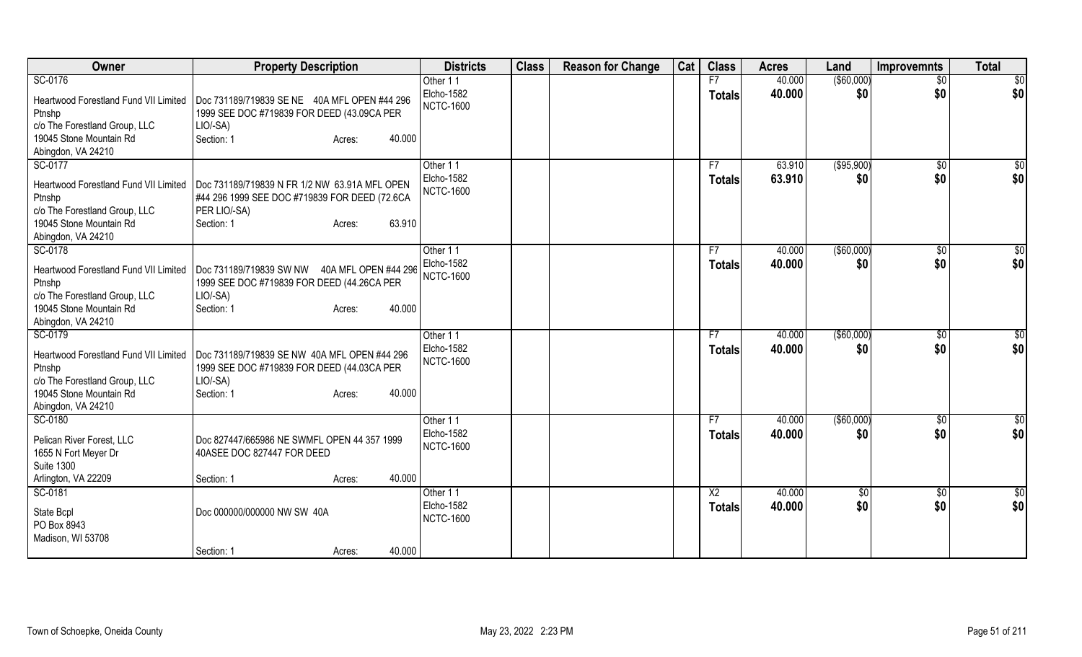| Owner                                 | <b>Property Description</b>                   | <b>Districts</b>  | <b>Class</b> | <b>Reason for Change</b> | Cat | <b>Class</b>   | <b>Acres</b> | Land           | <b>Improvemnts</b> | <b>Total</b> |
|---------------------------------------|-----------------------------------------------|-------------------|--------------|--------------------------|-----|----------------|--------------|----------------|--------------------|--------------|
| SC-0176                               |                                               | Other 11          |              |                          |     | F7             | 40.000       | $($ \$60,000)  | $\overline{50}$    | \$0          |
| Heartwood Forestland Fund VII Limited | Doc 731189/719839 SE NE 40A MFL OPEN #44 296  | Elcho-1582        |              |                          |     | <b>Totals</b>  | 40.000       | \$0            | \$0                | \$0          |
| Ptnshp                                | 1999 SEE DOC #719839 FOR DEED (43.09CA PER    | <b>NCTC-1600</b>  |              |                          |     |                |              |                |                    |              |
| c/o The Forestland Group, LLC         | $LIO/-SA$ )                                   |                   |              |                          |     |                |              |                |                    |              |
| 19045 Stone Mountain Rd               | Section: 1<br>40.000<br>Acres:                |                   |              |                          |     |                |              |                |                    |              |
| Abingdon, VA 24210                    |                                               |                   |              |                          |     |                |              |                |                    |              |
| SC-0177                               |                                               | Other 11          |              |                          |     | F7             | 63.910       | (\$95,900)     | $\sqrt{50}$        | \$0          |
| Heartwood Forestland Fund VII Limited | Doc 731189/719839 N FR 1/2 NW 63.91A MFL OPEN | Elcho-1582        |              |                          |     | <b>Totals</b>  | 63.910       | \$0            | \$0                | \$0          |
| Ptnshp                                | #44 296 1999 SEE DOC #719839 FOR DEED (72.6CA | <b>NCTC-1600</b>  |              |                          |     |                |              |                |                    |              |
| c/o The Forestland Group, LLC         | PER LIO/-SA)                                  |                   |              |                          |     |                |              |                |                    |              |
| 19045 Stone Mountain Rd               | 63.910<br>Section: 1<br>Acres:                |                   |              |                          |     |                |              |                |                    |              |
| Abingdon, VA 24210                    |                                               |                   |              |                          |     |                |              |                |                    |              |
| SC-0178                               |                                               | Other 11          |              |                          |     | F7             | 40.000       | (\$60,000)     | $\sqrt{6}$         | \$0          |
| Heartwood Forestland Fund VII Limited | Doc 731189/719839 SW NW 40A MFL OPEN #44 296  | Elcho-1582        |              |                          |     | Totals         | 40.000       | \$0            | \$0                | \$0          |
| Ptnshp                                | 1999 SEE DOC #719839 FOR DEED (44.26CA PER    | <b>NCTC-1600</b>  |              |                          |     |                |              |                |                    |              |
| c/o The Forestland Group, LLC         | LIO/-SA)                                      |                   |              |                          |     |                |              |                |                    |              |
| 19045 Stone Mountain Rd               | 40.000<br>Section: 1<br>Acres:                |                   |              |                          |     |                |              |                |                    |              |
| Abingdon, VA 24210                    |                                               |                   |              |                          |     |                |              |                |                    |              |
| SC-0179                               |                                               | Other 11          |              |                          |     | F7             | 40.000       | ( \$60,000)    | $\sqrt{6}$         | \$0          |
| Heartwood Forestland Fund VII Limited | Doc 731189/719839 SE NW 40A MFL OPEN #44 296  | <b>Elcho-1582</b> |              |                          |     | <b>Totals</b>  | 40.000       | \$0            | \$0                | \$0          |
| Ptnshp                                | 1999 SEE DOC #719839 FOR DEED (44.03CA PER    | <b>NCTC-1600</b>  |              |                          |     |                |              |                |                    |              |
| c/o The Forestland Group, LLC         | LIO/-SA)                                      |                   |              |                          |     |                |              |                |                    |              |
| 19045 Stone Mountain Rd               | 40.000<br>Section: 1<br>Acres:                |                   |              |                          |     |                |              |                |                    |              |
| Abingdon, VA 24210                    |                                               |                   |              |                          |     |                |              |                |                    |              |
| SC-0180                               |                                               | Other 11          |              |                          |     | F7             | 40.000       | $($ \$60,000)  | $\overline{50}$    | \$0          |
| Pelican River Forest, LLC             | Doc 827447/665986 NE SWMFL OPEN 44 357 1999   | Elcho-1582        |              |                          |     | Totals         | 40.000       | \$0            | \$0                | \$0          |
| 1655 N Fort Meyer Dr                  | 40ASEE DOC 827447 FOR DEED                    | <b>NCTC-1600</b>  |              |                          |     |                |              |                |                    |              |
| <b>Suite 1300</b>                     |                                               |                   |              |                          |     |                |              |                |                    |              |
| Arlington, VA 22209                   | 40.000<br>Section: 1<br>Acres:                |                   |              |                          |     |                |              |                |                    |              |
| SC-0181                               |                                               | Other 11          |              |                          |     | X <sub>2</sub> | 40.000       | $\frac{1}{20}$ | $\frac{1}{20}$     | \$           |
|                                       |                                               | Elcho-1582        |              |                          |     | <b>Totals</b>  | 40.000       | \$0            | \$0                | \$0          |
| State Bcpl                            | Doc 000000/000000 NW SW 40A                   | <b>NCTC-1600</b>  |              |                          |     |                |              |                |                    |              |
| PO Box 8943                           |                                               |                   |              |                          |     |                |              |                |                    |              |
| Madison, WI 53708                     | 40.000                                        |                   |              |                          |     |                |              |                |                    |              |
|                                       | Section: 1<br>Acres:                          |                   |              |                          |     |                |              |                |                    |              |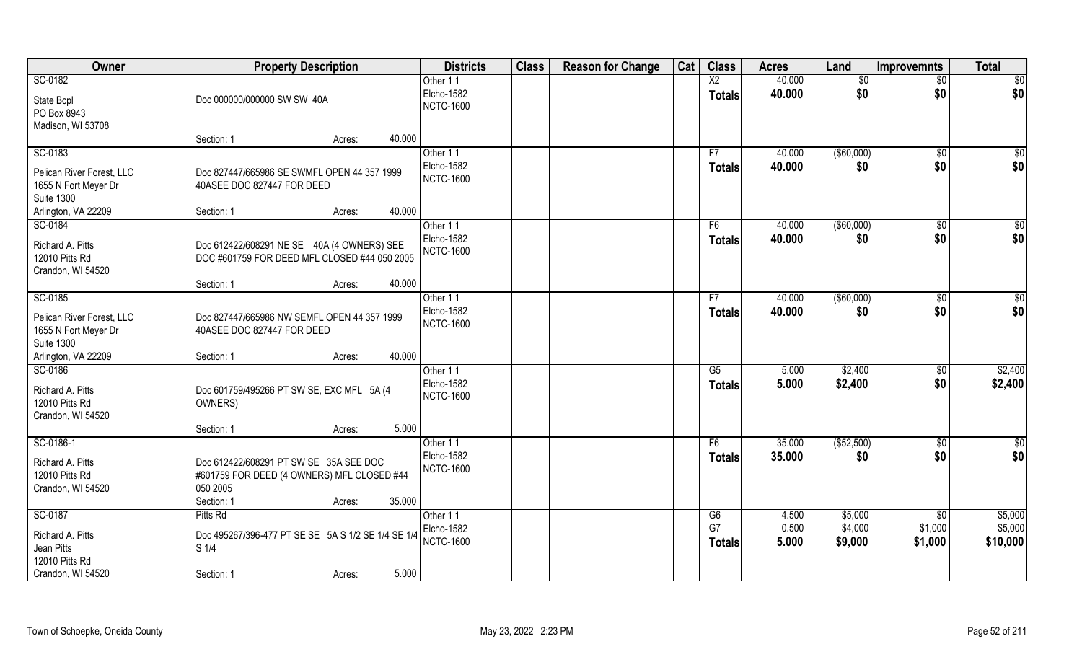| Owner                                                                             | <b>Property Description</b>                                                                                                        | <b>Districts</b>                           | <b>Class</b> | <b>Reason for Change</b> | Cat | <b>Class</b>                     | <b>Acres</b>     | Land               | Improvemnts            | <b>Total</b>        |
|-----------------------------------------------------------------------------------|------------------------------------------------------------------------------------------------------------------------------------|--------------------------------------------|--------------|--------------------------|-----|----------------------------------|------------------|--------------------|------------------------|---------------------|
| SC-0182<br>State Bcpl<br>PO Box 8943                                              | Doc 000000/000000 SW SW 40A                                                                                                        | Other 11<br>Elcho-1582<br><b>NCTC-1600</b> |              |                          |     | $\overline{X2}$<br><b>Totals</b> | 40.000<br>40.000 | \$0<br>\$0         | $\overline{50}$<br>\$0 | \$0<br>\$0          |
| Madison, WI 53708                                                                 | 40.000<br>Section: 1<br>Acres:                                                                                                     |                                            |              |                          |     |                                  |                  |                    |                        |                     |
| SC-0183<br>Pelican River Forest, LLC<br>1655 N Fort Meyer Dr<br><b>Suite 1300</b> | Doc 827447/665986 SE SWMFL OPEN 44 357 1999<br>40ASEE DOC 827447 FOR DEED                                                          | Other 11<br>Elcho-1582<br><b>NCTC-1600</b> |              |                          |     | F7<br><b>Totals</b>              | 40.000<br>40.000 | ( \$60,000)<br>\$0 | $\overline{50}$<br>\$0 | $\sqrt{50}$<br>\$0  |
| Arlington, VA 22209<br>SC-0184                                                    | 40.000<br>Section: 1<br>Acres:                                                                                                     | Other 11                                   |              |                          |     | F6                               | 40.000           | ( \$60,000)        | $\sqrt[6]{30}$         | \$0                 |
| Richard A. Pitts<br>12010 Pitts Rd<br>Crandon, WI 54520                           | Doc 612422/608291 NE SE 40A (4 OWNERS) SEE<br>DOC #601759 FOR DEED MFL CLOSED #44 050 2005                                         | Elcho-1582<br><b>NCTC-1600</b>             |              |                          |     | <b>Totals</b>                    | 40.000           | \$0                | \$0                    | \$0                 |
|                                                                                   | 40.000<br>Section: 1<br>Acres:                                                                                                     |                                            |              |                          |     |                                  |                  |                    |                        |                     |
| SC-0185<br>Pelican River Forest, LLC<br>1655 N Fort Meyer Dr<br><b>Suite 1300</b> | Doc 827447/665986 NW SEMFL OPEN 44 357 1999<br>40ASEE DOC 827447 FOR DEED                                                          | Other 11<br>Elcho-1582<br><b>NCTC-1600</b> |              |                          |     | F7<br><b>Totals</b>              | 40.000<br>40.000 | ( \$60,000)<br>\$0 | $\sqrt[6]{3}$<br>\$0   | \$0<br>\$0          |
| Arlington, VA 22209                                                               | 40.000<br>Section: 1<br>Acres:                                                                                                     |                                            |              |                          |     |                                  |                  |                    |                        |                     |
| SC-0186<br>Richard A. Pitts<br>12010 Pitts Rd<br>Crandon, WI 54520                | Doc 601759/495266 PT SW SE, EXC MFL 5A (4<br>OWNERS)                                                                               | Other 11<br>Elcho-1582<br><b>NCTC-1600</b> |              |                          |     | G5<br><b>Totals</b>              | 5.000<br>5.000   | \$2,400<br>\$2,400 | \$0<br>\$0             | \$2,400<br>\$2,400  |
|                                                                                   | 5.000<br>Section: 1<br>Acres:                                                                                                      |                                            |              |                          |     | F6                               |                  |                    |                        |                     |
| SC-0186-1<br>Richard A. Pitts<br>12010 Pitts Rd<br>Crandon, WI 54520              | Doc 612422/608291 PT SW SE 35A SEE DOC<br>#601759 FOR DEED (4 OWNERS) MFL CLOSED #44<br>050 2005<br>35.000<br>Section: 1<br>Acres: | Other 11<br>Elcho-1582<br><b>NCTC-1600</b> |              |                          |     | <b>Totals</b>                    | 35.000<br>35.000 | ( \$52,500)<br>\$0 | \$0<br>\$0             | \$0<br>\$0          |
| SC-0187                                                                           | Pitts Rd                                                                                                                           | Other 11                                   |              |                          |     | G6                               | 4.500            | \$5,000            | $\overline{50}$        | \$5,000             |
| Richard A. Pitts<br>Jean Pitts<br>12010 Pitts Rd<br>Crandon, WI 54520             | Doc 495267/396-477 PT SE SE 5A S 1/2 SE 1/4 SE 1/4<br>$\vert$ S 1/4<br>5.000<br>Section: 1                                         | Elcho-1582<br><b>NCTC-1600</b>             |              |                          |     | G7<br><b>Totals</b>              | 0.500<br>5.000   | \$4,000<br>\$9,000 | \$1,000<br>\$1,000     | \$5,000<br>\$10,000 |
|                                                                                   | Acres:                                                                                                                             |                                            |              |                          |     |                                  |                  |                    |                        |                     |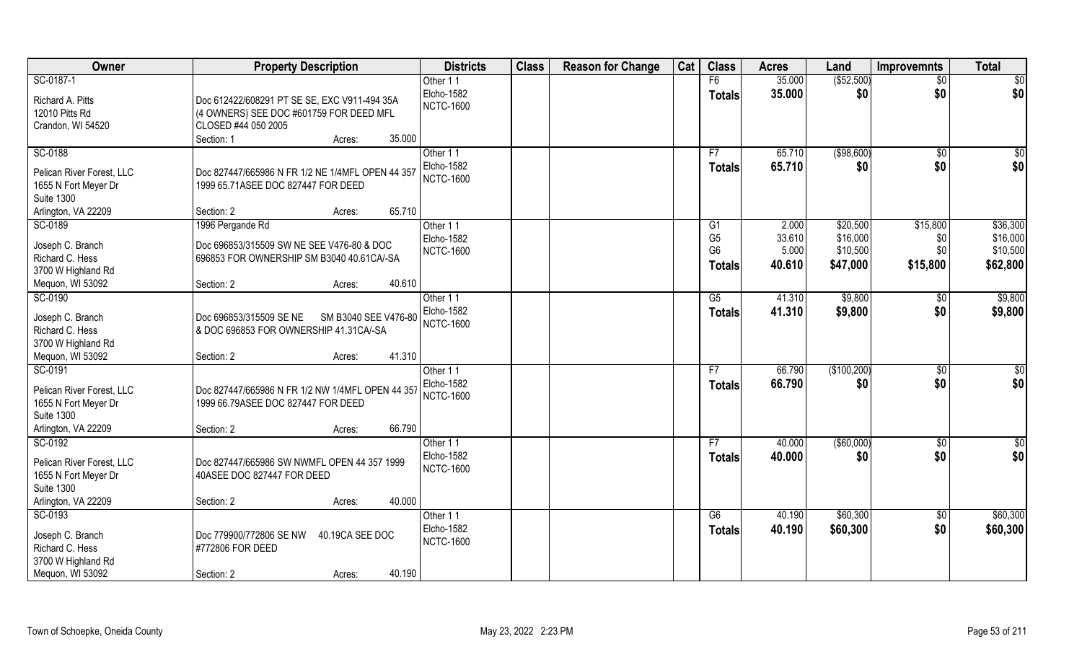| Owner                                 | <b>Property Description</b>                      | <b>Districts</b>              | <b>Class</b> | <b>Reason for Change</b> | Cat | <b>Class</b>                     | <b>Acres</b>    | Land                 | <b>Improvemnts</b> | <b>Total</b>         |
|---------------------------------------|--------------------------------------------------|-------------------------------|--------------|--------------------------|-----|----------------------------------|-----------------|----------------------|--------------------|----------------------|
| SC-0187-1                             |                                                  | Other 11                      |              |                          |     | F6                               | 35.000          | ( \$52,500)          | $\overline{50}$    | \$0                  |
| Richard A. Pitts                      | Doc 612422/608291 PT SE SE, EXC V911-494 35A     | Elcho-1582                    |              |                          |     | <b>Totals</b>                    | 35.000          | \$0                  | \$0                | \$0                  |
| 12010 Pitts Rd                        | (4 OWNERS) SEE DOC #601759 FOR DEED MFL          | <b>NCTC-1600</b>              |              |                          |     |                                  |                 |                      |                    |                      |
| Crandon, WI 54520                     | CLOSED #44 050 2005                              |                               |              |                          |     |                                  |                 |                      |                    |                      |
|                                       | Section: 1<br>35.000<br>Acres:                   |                               |              |                          |     |                                  |                 |                      |                    |                      |
| SC-0188                               |                                                  | Other 11                      |              |                          |     | F7                               | 65.710          | ( \$98,600)          | \$0                | \$0                  |
|                                       |                                                  | Elcho-1582                    |              |                          |     | Totals                           | 65.710          | \$0                  | \$0                | \$0                  |
| Pelican River Forest, LLC             | Doc 827447/665986 N FR 1/2 NE 1/4MFL OPEN 44 357 | <b>NCTC-1600</b>              |              |                          |     |                                  |                 |                      |                    |                      |
| 1655 N Fort Meyer Dr                  | 1999 65.71ASEE DOC 827447 FOR DEED               |                               |              |                          |     |                                  |                 |                      |                    |                      |
| <b>Suite 1300</b>                     | 65.710                                           |                               |              |                          |     |                                  |                 |                      |                    |                      |
| Arlington, VA 22209                   | Section: 2<br>Acres:                             |                               |              |                          |     |                                  |                 |                      |                    |                      |
| SC-0189                               | 1996 Pergande Rd                                 | Other 11                      |              |                          |     | G1                               | 2.000           | \$20,500             | \$15,800           | \$36,300             |
| Joseph C. Branch                      | Doc 696853/315509 SW NE SEE V476-80 & DOC        | Elcho-1582                    |              |                          |     | G <sub>5</sub><br>G <sub>6</sub> | 33.610<br>5.000 | \$16,000<br>\$10,500 | \$0<br>\$0         | \$16,000<br>\$10,500 |
| Richard C. Hess                       | 696853 FOR OWNERSHIP SM B3040 40.61CA/-SA        | <b>NCTC-1600</b>              |              |                          |     |                                  |                 |                      |                    |                      |
| 3700 W Highland Rd                    |                                                  |                               |              |                          |     | Totals                           | 40.610          | \$47,000             | \$15,800           | \$62,800             |
| Mequon, WI 53092                      | 40.610<br>Section: 2<br>Acres:                   |                               |              |                          |     |                                  |                 |                      |                    |                      |
| SC-0190                               |                                                  | Other 11                      |              |                          |     | G5                               | 41.310          | \$9,800              | $\sqrt[6]{3}$      | \$9,800              |
|                                       |                                                  | <b>Elcho-1582</b>             |              |                          |     | <b>Totals</b>                    | 41.310          | \$9,800              | \$0                | \$9,800              |
| Joseph C. Branch                      | Doc 696853/315509 SE NE<br>SM B3040 SEE V476-80  | <b>NCTC-1600</b>              |              |                          |     |                                  |                 |                      |                    |                      |
| Richard C. Hess<br>3700 W Highland Rd | & DOC 696853 FOR OWNERSHIP 41.31CA/-SA           |                               |              |                          |     |                                  |                 |                      |                    |                      |
| Mequon, WI 53092                      | 41.310<br>Section: 2                             |                               |              |                          |     |                                  |                 |                      |                    |                      |
| SC-0191                               | Acres:                                           |                               |              |                          |     | F7                               | 66.790          | (\$100,200)          | \$0                | $\overline{50}$      |
|                                       |                                                  | Other 11<br><b>Elcho-1582</b> |              |                          |     |                                  |                 |                      |                    |                      |
| Pelican River Forest, LLC             | Doc 827447/665986 N FR 1/2 NW 1/4MFL OPEN 44 357 | <b>NCTC-1600</b>              |              |                          |     | <b>Totals</b>                    | 66.790          | \$0                  | \$0                | \$0                  |
| 1655 N Fort Meyer Dr                  | 1999 66.79ASEE DOC 827447 FOR DEED               |                               |              |                          |     |                                  |                 |                      |                    |                      |
| <b>Suite 1300</b>                     |                                                  |                               |              |                          |     |                                  |                 |                      |                    |                      |
| Arlington, VA 22209                   | 66.790<br>Section: 2<br>Acres:                   |                               |              |                          |     |                                  |                 |                      |                    |                      |
| SC-0192                               |                                                  | Other 11                      |              |                          |     | F7                               | 40.000          | ( \$60,000)          | \$0                | $\frac{6}{3}$        |
| Pelican River Forest, LLC             | Doc 827447/665986 SW NWMFL OPEN 44 357 1999      | Elcho-1582                    |              |                          |     | <b>Totals</b>                    | 40.000          | \$0                  | \$0                | \$0                  |
| 1655 N Fort Meyer Dr                  | 40ASEE DOC 827447 FOR DEED                       | <b>NCTC-1600</b>              |              |                          |     |                                  |                 |                      |                    |                      |
| <b>Suite 1300</b>                     |                                                  |                               |              |                          |     |                                  |                 |                      |                    |                      |
| Arlington, VA 22209                   | 40.000<br>Section: 2<br>Acres:                   |                               |              |                          |     |                                  |                 |                      |                    |                      |
| SC-0193                               |                                                  | Other 11                      |              |                          |     | G6                               | 40.190          | \$60,300             | $\sqrt{$0}$        | \$60,300             |
|                                       |                                                  | Elcho-1582                    |              |                          |     | <b>Totals</b>                    | 40.190          | \$60,300             | \$0                | \$60,300             |
| Joseph C. Branch                      | Doc 779900/772806 SE NW<br>40.19CA SEE DOC       | <b>NCTC-1600</b>              |              |                          |     |                                  |                 |                      |                    |                      |
| Richard C. Hess                       | #772806 FOR DEED                                 |                               |              |                          |     |                                  |                 |                      |                    |                      |
| 3700 W Highland Rd                    |                                                  |                               |              |                          |     |                                  |                 |                      |                    |                      |
| Mequon, WI 53092                      | 40.190<br>Section: 2<br>Acres:                   |                               |              |                          |     |                                  |                 |                      |                    |                      |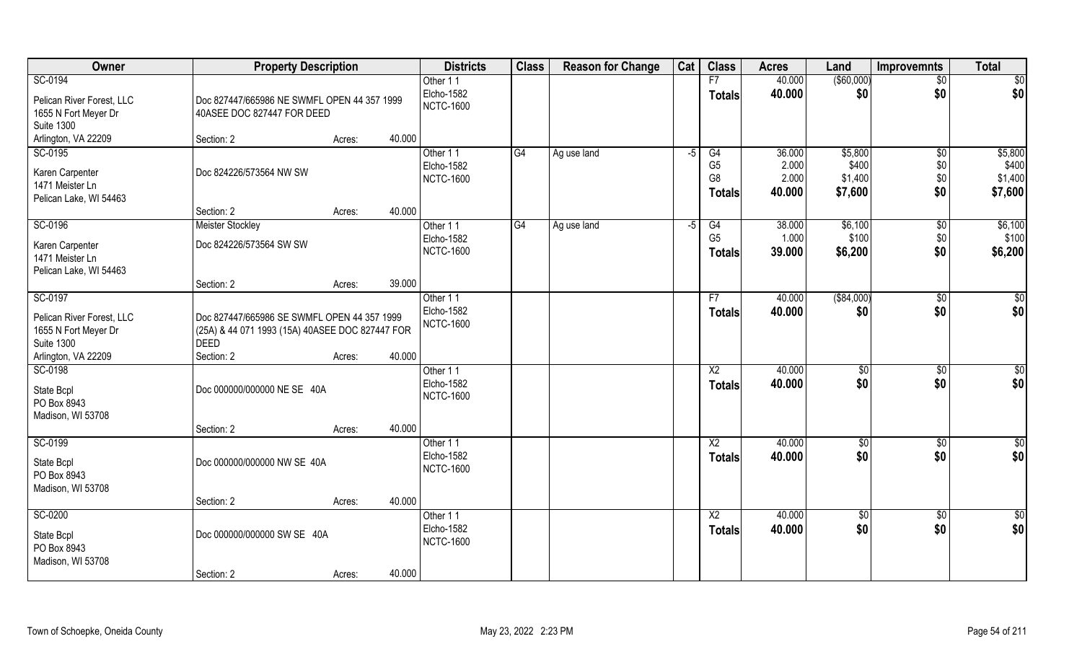| Owner                                                                                                    | <b>Property Description</b>                                                                                                    |        | <b>Districts</b>                                  | <b>Class</b> | <b>Reason for Change</b> | Cat  | <b>Class</b>                                            | <b>Acres</b>                       | Land                                   | Improvemnts                 | <b>Total</b>                           |
|----------------------------------------------------------------------------------------------------------|--------------------------------------------------------------------------------------------------------------------------------|--------|---------------------------------------------------|--------------|--------------------------|------|---------------------------------------------------------|------------------------------------|----------------------------------------|-----------------------------|----------------------------------------|
| SC-0194                                                                                                  |                                                                                                                                |        | Other 11                                          |              |                          |      | F7                                                      | 40.000                             | ( \$60,000)                            | $\overline{50}$             | \$0                                    |
| Pelican River Forest, LLC<br>1655 N Fort Meyer Dr<br><b>Suite 1300</b>                                   | Doc 827447/665986 NE SWMFL OPEN 44 357 1999<br>40ASEE DOC 827447 FOR DEED                                                      |        | Elcho-1582<br><b>NCTC-1600</b>                    |              |                          |      | <b>Totals</b>                                           | 40.000                             | \$0                                    | \$0                         | \$0                                    |
| Arlington, VA 22209                                                                                      | Section: 2<br>Acres:                                                                                                           | 40.000 |                                                   |              |                          |      |                                                         |                                    |                                        |                             |                                        |
| SC-0195<br>Karen Carpenter<br>1471 Meister Ln<br>Pelican Lake, WI 54463                                  | Doc 824226/573564 NW SW                                                                                                        |        | Other 11<br><b>Elcho-1582</b><br><b>NCTC-1600</b> | G4           | Ag use land              | $-5$ | G4<br>G <sub>5</sub><br>G <sub>8</sub><br><b>Totals</b> | 36.000<br>2.000<br>2.000<br>40.000 | \$5,800<br>\$400<br>\$1,400<br>\$7,600 | \$0<br>\$0\$<br>\$0<br>\$0  | \$5,800<br>\$400<br>\$1,400<br>\$7,600 |
|                                                                                                          | Section: 2<br>Acres:                                                                                                           | 40.000 |                                                   |              |                          |      |                                                         |                                    |                                        |                             |                                        |
| SC-0196<br>Karen Carpenter<br>1471 Meister Ln<br>Pelican Lake, WI 54463                                  | <b>Meister Stockley</b><br>Doc 824226/573564 SW SW                                                                             |        | Other 11<br>Elcho-1582<br><b>NCTC-1600</b>        | G4           | Ag use land              | -5   | G4<br>G <sub>5</sub><br><b>Totals</b>                   | 38.000<br>1.000<br>39.000          | \$6,100<br>\$100<br>\$6,200            | $\sqrt[6]{3}$<br>\$0<br>\$0 | \$6,100<br>\$100<br>\$6,200            |
|                                                                                                          | Section: 2<br>Acres:                                                                                                           | 39.000 |                                                   |              |                          |      |                                                         |                                    |                                        |                             |                                        |
| SC-0197<br>Pelican River Forest, LLC<br>1655 N Fort Meyer Dr<br><b>Suite 1300</b><br>Arlington, VA 22209 | Doc 827447/665986 SE SWMFL OPEN 44 357 1999<br>(25A) & 44 071 1993 (15A) 40ASEE DOC 827447 FOR<br>DEED<br>Section: 2<br>Acres: | 40.000 | Other 11<br>Elcho-1582<br><b>NCTC-1600</b>        |              |                          |      | F7<br><b>Totals</b>                                     | 40.000<br>40.000                   | ( \$84,000)<br>\$0                     | \$0<br>\$0                  | \$0<br>\$0                             |
| SC-0198<br>State Bcpl<br>PO Box 8943<br>Madison, WI 53708                                                | Doc 000000/000000 NE SE 40A<br>Section: 2<br>Acres:                                                                            | 40.000 | Other 11<br>Elcho-1582<br><b>NCTC-1600</b>        |              |                          |      | $\overline{X2}$<br><b>Totals</b>                        | 40.000<br>40.000                   | \$0<br>\$0                             | $\overline{50}$<br>\$0      | \$0<br>\$0                             |
| SC-0199<br>State Bcpl<br>PO Box 8943<br>Madison, WI 53708                                                | Doc 000000/000000 NW SE 40A<br>Section: 2<br>Acres:                                                                            | 40.000 | Other 11<br>Elcho-1582<br><b>NCTC-1600</b>        |              |                          |      | $\overline{X2}$<br><b>Totals</b>                        | 40.000<br>40.000                   | \$0<br>\$0                             | \$0<br>\$0                  | $\frac{6}{3}$<br>\$0                   |
| SC-0200<br>State Bcpl<br>PO Box 8943<br>Madison, WI 53708                                                | Doc 000000/000000 SW SE 40A<br>Section: 2<br>Acres:                                                                            | 40.000 | Other 11<br><b>Elcho-1582</b><br><b>NCTC-1600</b> |              |                          |      | $\overline{X2}$<br><b>Totals</b>                        | 40.000<br>40.000                   | $\sqrt{$0}$<br>\$0                     | $\overline{50}$<br>\$0      | \$0<br>\$0                             |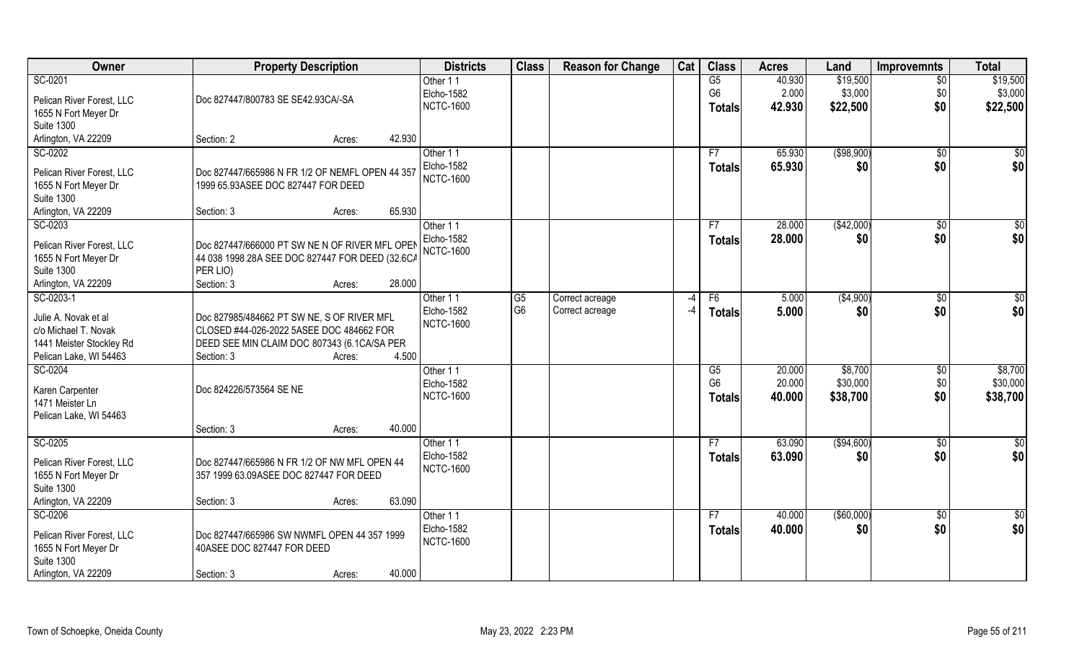| Owner                                     | <b>Property Description</b>                                               | <b>Districts</b>       | <b>Class</b>         | <b>Reason for Change</b> | Cat | <b>Class</b>           | <b>Acres</b> | Land        | <b>Improvemnts</b> | <b>Total</b>    |
|-------------------------------------------|---------------------------------------------------------------------------|------------------------|----------------------|--------------------------|-----|------------------------|--------------|-------------|--------------------|-----------------|
| SC-0201                                   |                                                                           | Other 11               |                      |                          |     | G5                     | 40.930       | \$19,500    | $\overline{50}$    | \$19,500        |
| Pelican River Forest, LLC                 | Doc 827447/800783 SE SE42.93CA/-SA                                        | Elcho-1582             |                      |                          |     | G <sub>6</sub>         | 2.000        | \$3,000     | \$0                | \$3,000         |
| 1655 N Fort Meyer Dr                      |                                                                           | <b>NCTC-1600</b>       |                      |                          |     | <b>Totals</b>          | 42.930       | \$22,500    | \$0                | \$22,500        |
| <b>Suite 1300</b>                         |                                                                           |                        |                      |                          |     |                        |              |             |                    |                 |
| Arlington, VA 22209                       | 42.930<br>Section: 2<br>Acres:                                            |                        |                      |                          |     |                        |              |             |                    |                 |
| SC-0202                                   |                                                                           | Other 11               |                      |                          |     | F7                     | 65.930       | ( \$98,900) | \$0                | \$0             |
|                                           |                                                                           | Elcho-1582             |                      |                          |     |                        |              |             |                    |                 |
| Pelican River Forest, LLC                 | Doc 827447/665986 N FR 1/2 OF NEMFL OPEN 44 357                           | <b>NCTC-1600</b>       |                      |                          |     | Totals                 | 65.930       | \$0         | \$0                | \$0             |
| 1655 N Fort Meyer Dr                      | 1999 65.93ASEE DOC 827447 FOR DEED                                        |                        |                      |                          |     |                        |              |             |                    |                 |
| <b>Suite 1300</b>                         |                                                                           |                        |                      |                          |     |                        |              |             |                    |                 |
| Arlington, VA 22209                       | 65.930<br>Section: 3<br>Acres:                                            |                        |                      |                          |     |                        |              |             |                    |                 |
| SC-0203                                   |                                                                           | Other 11               |                      |                          |     | F7                     | 28.000       | (\$42,000)  | \$0                | $\overline{50}$ |
|                                           |                                                                           | <b>Elcho-1582</b>      |                      |                          |     | <b>Totals</b>          | 28.000       | \$0         | \$0                | \$0             |
| Pelican River Forest, LLC                 | Doc 827447/666000 PT SW NE N OF RIVER MFL OPEN                            | <b>NCTC-1600</b>       |                      |                          |     |                        |              |             |                    |                 |
| 1655 N Fort Meyer Dr<br><b>Suite 1300</b> | 44 038 1998 28A SEE DOC 827447 FOR DEED (32.6CA                           |                        |                      |                          |     |                        |              |             |                    |                 |
|                                           | PER LIO)<br>28.000<br>Section: 3                                          |                        |                      |                          |     |                        |              |             |                    |                 |
| Arlington, VA 22209<br>SC-0203-1          | Acres:                                                                    |                        |                      |                          |     |                        |              |             |                    |                 |
|                                           |                                                                           | Other 11<br>Elcho-1582 | G5<br>G <sub>6</sub> | Correct acreage          | -4  | F6                     | 5.000        | ( \$4,900)  | $\sqrt[6]{3}$      | \$0             |
| Julie A. Novak et al                      | Doc 827985/484662 PT SW NE, S OF RIVER MFL                                |                        |                      | Correct acreage          | -4  | <b>Totals</b>          | 5.000        | \$0         | \$0                | \$0             |
| c/o Michael T. Novak                      | CLOSED #44-026-2022 5ASEE DOC 484662 FOR                                  | <b>NCTC-1600</b>       |                      |                          |     |                        |              |             |                    |                 |
| 1441 Meister Stockley Rd                  | DEED SEE MIN CLAIM DOC 807343 (6.1 CA/SA PER                              |                        |                      |                          |     |                        |              |             |                    |                 |
| Pelican Lake, WI 54463                    | 4.500<br>Section: 3<br>Acres:                                             |                        |                      |                          |     |                        |              |             |                    |                 |
| SC-0204                                   |                                                                           | Other 11               |                      |                          |     | $\overline{\text{G5}}$ | 20.000       | \$8,700     | $\sqrt[6]{30}$     | \$8,700         |
|                                           |                                                                           | Elcho-1582             |                      |                          |     | G <sub>6</sub>         | 20.000       | \$30,000    | \$0                | \$30,000        |
| Karen Carpenter                           | Doc 824226/573564 SE NE                                                   | <b>NCTC-1600</b>       |                      |                          |     | <b>Totals</b>          | 40.000       | \$38,700    | \$0                | \$38,700        |
| 1471 Meister Ln                           |                                                                           |                        |                      |                          |     |                        |              |             |                    |                 |
| Pelican Lake, WI 54463                    |                                                                           |                        |                      |                          |     |                        |              |             |                    |                 |
|                                           | 40.000<br>Section: 3<br>Acres:                                            |                        |                      |                          |     |                        |              |             |                    |                 |
| SC-0205                                   |                                                                           | Other 11               |                      |                          |     | F7                     | 63.090       | (\$94,600)  | \$0                | $\frac{6}{3}$   |
| Pelican River Forest, LLC                 | Doc 827447/665986 N FR 1/2 OF NW MFL OPEN 44                              | Elcho-1582             |                      |                          |     | <b>Totals</b>          | 63.090       | \$0         | \$0                | \$0             |
| 1655 N Fort Meyer Dr                      | 357 1999 63.09ASEE DOC 827447 FOR DEED                                    | <b>NCTC-1600</b>       |                      |                          |     |                        |              |             |                    |                 |
| <b>Suite 1300</b>                         |                                                                           |                        |                      |                          |     |                        |              |             |                    |                 |
| Arlington, VA 22209                       | 63.090<br>Section: 3<br>Acres:                                            |                        |                      |                          |     |                        |              |             |                    |                 |
| SC-0206                                   |                                                                           | Other 11               |                      |                          |     | F7                     | 40.000       | ( \$60,000) | $\sqrt{$0}$        | \$0             |
|                                           |                                                                           | Elcho-1582             |                      |                          |     | <b>Totals</b>          | 40.000       | \$0         | \$0                | \$0             |
| Pelican River Forest, LLC                 | Doc 827447/665986 SW NWMFL OPEN 44 357 1999<br>40ASEE DOC 827447 FOR DEED | <b>NCTC-1600</b>       |                      |                          |     |                        |              |             |                    |                 |
| 1655 N Fort Meyer Dr<br><b>Suite 1300</b> |                                                                           |                        |                      |                          |     |                        |              |             |                    |                 |
| Arlington, VA 22209                       | 40.000                                                                    |                        |                      |                          |     |                        |              |             |                    |                 |
|                                           | Section: 3<br>Acres:                                                      |                        |                      |                          |     |                        |              |             |                    |                 |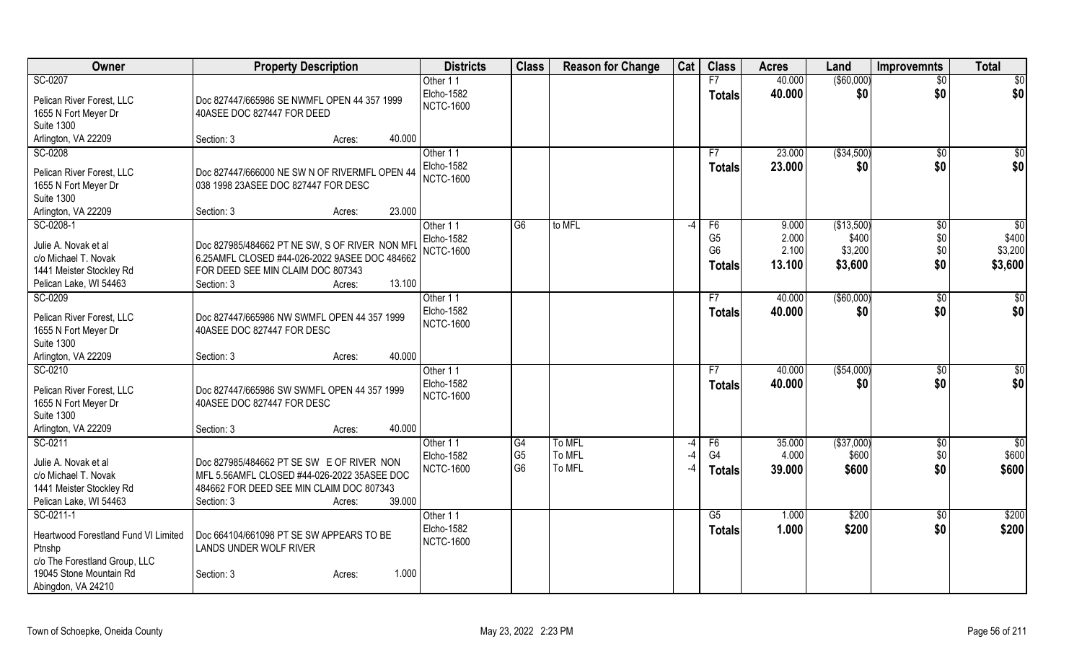| Owner                                        | <b>Property Description</b>                                                                     |                  | <b>Districts</b>              | <b>Class</b>                      | <b>Reason for Change</b> | Cat  | <b>Class</b>   | <b>Acres</b>    | Land                 | <b>Improvemnts</b>  | <b>Total</b>             |
|----------------------------------------------|-------------------------------------------------------------------------------------------------|------------------|-------------------------------|-----------------------------------|--------------------------|------|----------------|-----------------|----------------------|---------------------|--------------------------|
| SC-0207                                      |                                                                                                 |                  | Other 11                      |                                   |                          |      | F7             | 40.000          | (\$60,000)           | \$0                 | \$0                      |
| Pelican River Forest, LLC                    | Doc 827447/665986 SE NWMFL OPEN 44 357 1999                                                     |                  | Elcho-1582                    |                                   |                          |      | <b>Totals</b>  | 40.000          | \$0                  | \$0                 | \$0                      |
| 1655 N Fort Meyer Dr                         | 40ASEE DOC 827447 FOR DEED                                                                      |                  | <b>NCTC-1600</b>              |                                   |                          |      |                |                 |                      |                     |                          |
| <b>Suite 1300</b>                            |                                                                                                 |                  |                               |                                   |                          |      |                |                 |                      |                     |                          |
| Arlington, VA 22209                          | Section: 3                                                                                      | 40.000<br>Acres: |                               |                                   |                          |      |                |                 |                      |                     |                          |
| SC-0208                                      |                                                                                                 |                  | Other 11                      |                                   |                          |      | F7             | 23.000          | ( \$34,500)          | $\sqrt{6}$          | \$0                      |
| Pelican River Forest, LLC                    | Doc 827447/666000 NE SW N OF RIVERMFL OPEN 44                                                   |                  | Elcho-1582                    |                                   |                          |      | <b>Totals</b>  | 23.000          | \$0                  | \$0                 | \$0                      |
| 1655 N Fort Meyer Dr                         | 038 1998 23ASEE DOC 827447 FOR DESC                                                             |                  | <b>NCTC-1600</b>              |                                   |                          |      |                |                 |                      |                     |                          |
| <b>Suite 1300</b>                            |                                                                                                 |                  |                               |                                   |                          |      |                |                 |                      |                     |                          |
| Arlington, VA 22209                          | Section: 3                                                                                      | 23.000<br>Acres: |                               |                                   |                          |      |                |                 |                      |                     |                          |
| SC-0208-1                                    |                                                                                                 |                  | Other 11                      | G <sub>6</sub>                    | to MFL                   | $-4$ | F <sub>6</sub> | 9.000           | (\$13,500)           | $\sqrt[6]{}$        | $\sqrt{50}$              |
|                                              |                                                                                                 |                  | Elcho-1582                    |                                   |                          |      | G <sub>5</sub> | 2.000           | \$400                | \$0\$               | \$400                    |
| Julie A. Novak et al<br>c/o Michael T. Novak | Doc 827985/484662 PT NE SW, S OF RIVER NON MFI<br>6.25AMFL CLOSED #44-026-2022 9ASEE DOC 484662 |                  | <b>NCTC-1600</b>              |                                   |                          |      | G <sub>6</sub> | 2.100           | \$3,200              | \$0\$               | \$3,200                  |
| 1441 Meister Stockley Rd                     | FOR DEED SEE MIN CLAIM DOC 807343                                                               |                  |                               |                                   |                          |      | <b>Totals</b>  | 13.100          | \$3,600              | \$0                 | \$3,600                  |
| Pelican Lake, WI 54463                       | Section: 3                                                                                      | 13.100<br>Acres: |                               |                                   |                          |      |                |                 |                      |                     |                          |
| SC-0209                                      |                                                                                                 |                  | Other 11                      |                                   |                          |      | F7             | 40.000          | ( \$60,000)          | \$0                 | $\sqrt[6]{}$             |
|                                              |                                                                                                 |                  | Elcho-1582                    |                                   |                          |      | <b>Totals</b>  | 40.000          | \$0                  | \$0                 | \$0                      |
| Pelican River Forest, LLC                    | Doc 827447/665986 NW SWMFL OPEN 44 357 1999                                                     |                  | <b>NCTC-1600</b>              |                                   |                          |      |                |                 |                      |                     |                          |
| 1655 N Fort Meyer Dr                         | 40ASEE DOC 827447 FOR DESC                                                                      |                  |                               |                                   |                          |      |                |                 |                      |                     |                          |
| <b>Suite 1300</b><br>Arlington, VA 22209     | Section: 3                                                                                      | 40.000<br>Acres: |                               |                                   |                          |      |                |                 |                      |                     |                          |
| SC-0210                                      |                                                                                                 |                  | Other 11                      |                                   |                          |      | F7             | 40.000          | (\$54,000)           | \$0                 | \$0                      |
|                                              |                                                                                                 |                  | <b>Elcho-1582</b>             |                                   |                          |      | <b>Totals</b>  | 40.000          | \$0                  | \$0                 | \$0                      |
| Pelican River Forest, LLC                    | Doc 827447/665986 SW SWMFL OPEN 44 357 1999                                                     |                  | <b>NCTC-1600</b>              |                                   |                          |      |                |                 |                      |                     |                          |
| 1655 N Fort Meyer Dr                         | 40ASEE DOC 827447 FOR DESC                                                                      |                  |                               |                                   |                          |      |                |                 |                      |                     |                          |
| <b>Suite 1300</b>                            |                                                                                                 |                  |                               |                                   |                          |      |                |                 |                      |                     |                          |
| Arlington, VA 22209                          | Section: 3                                                                                      | 40.000<br>Acres: |                               |                                   |                          |      |                |                 |                      |                     |                          |
| SC-0211                                      |                                                                                                 |                  | Other 11<br><b>Elcho-1582</b> | $\overline{G4}$<br>G <sub>5</sub> | To MFL<br>To MFL         | $-4$ | F6<br>G4       | 35.000<br>4.000 | ( \$37,000)<br>\$600 | $\sqrt{6}$<br>\$0\$ | $\overline{50}$<br>\$600 |
| Julie A. Novak et al                         | Doc 827985/484662 PT SE SW E OF RIVER NON                                                       |                  | <b>NCTC-1600</b>              | G <sub>6</sub>                    | To MFL                   |      | <b>Totals</b>  | 39.000          | \$600                | \$0                 | \$600                    |
| c/o Michael T. Novak                         | MFL 5.56AMFL CLOSED #44-026-2022 35ASEE DOC                                                     |                  |                               |                                   |                          |      |                |                 |                      |                     |                          |
| 1441 Meister Stockley Rd                     | 484662 FOR DEED SEE MIN CLAIM DOC 807343                                                        |                  |                               |                                   |                          |      |                |                 |                      |                     |                          |
| Pelican Lake, WI 54463                       | Section: 3                                                                                      | 39.000<br>Acres: |                               |                                   |                          |      |                |                 |                      |                     |                          |
| SC-0211-1                                    |                                                                                                 |                  | Other 11                      |                                   |                          |      | G5             | 1.000           | \$200                | $\sqrt{6}$          | \$200                    |
| Heartwood Forestland Fund VI Limited         | Doc 664104/661098 PT SE SW APPEARS TO BE                                                        |                  | Elcho-1582                    |                                   |                          |      | <b>Totals</b>  | 1.000           | \$200                | \$0                 | \$200                    |
| Ptnshp                                       | <b>LANDS UNDER WOLF RIVER</b>                                                                   |                  | <b>NCTC-1600</b>              |                                   |                          |      |                |                 |                      |                     |                          |
| c/o The Forestland Group, LLC                |                                                                                                 |                  |                               |                                   |                          |      |                |                 |                      |                     |                          |
| 19045 Stone Mountain Rd                      | Section: 3                                                                                      | 1.000<br>Acres:  |                               |                                   |                          |      |                |                 |                      |                     |                          |
| Abingdon, VA 24210                           |                                                                                                 |                  |                               |                                   |                          |      |                |                 |                      |                     |                          |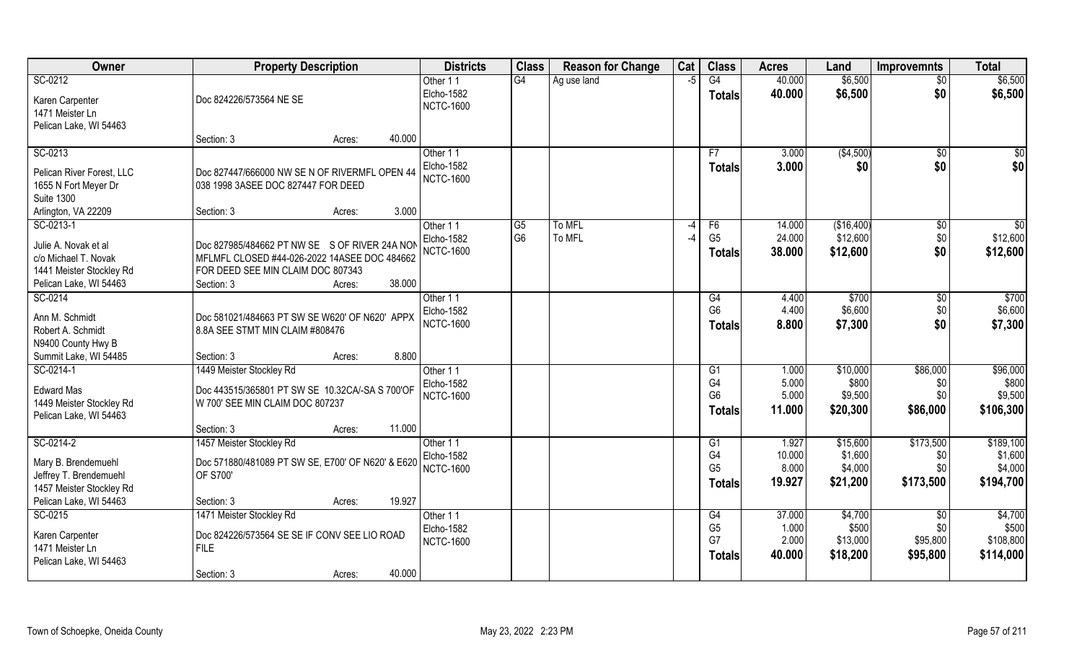| Owner                     | <b>Property Description</b>                       | <b>Districts</b> | <b>Class</b>   | <b>Reason for Change</b> | Cat  | <b>Class</b>   | <b>Acres</b> | Land       | <b>Improvemnts</b> | <b>Total</b>    |
|---------------------------|---------------------------------------------------|------------------|----------------|--------------------------|------|----------------|--------------|------------|--------------------|-----------------|
| SC-0212                   |                                                   | Other 11         | G4             | Ag use land              | $-5$ | G4             | 40.000       | \$6,500    | \$0                | \$6,500         |
| Karen Carpenter           | Doc 824226/573564 NE SE                           | Elcho-1582       |                |                          |      | <b>Totals</b>  | 40.000       | \$6,500    | \$0                | \$6,500         |
| 1471 Meister Ln           |                                                   | <b>NCTC-1600</b> |                |                          |      |                |              |            |                    |                 |
| Pelican Lake, WI 54463    |                                                   |                  |                |                          |      |                |              |            |                    |                 |
|                           | 40.000<br>Section: 3<br>Acres:                    |                  |                |                          |      |                |              |            |                    |                 |
| SC-0213                   |                                                   | Other 11         |                |                          |      | F7             | 3.000        | ( \$4,500) | $\sqrt{$0}$        | \$0             |
| Pelican River Forest, LLC | Doc 827447/666000 NW SE N OF RIVERMFL OPEN 44     | Elcho-1582       |                |                          |      | <b>Totals</b>  | 3.000        | \$0        | \$0                | \$0             |
| 1655 N Fort Meyer Dr      | 038 1998 3ASEE DOC 827447 FOR DEED                | <b>NCTC-1600</b> |                |                          |      |                |              |            |                    |                 |
| <b>Suite 1300</b>         |                                                   |                  |                |                          |      |                |              |            |                    |                 |
| Arlington, VA 22209       | 3.000<br>Section: 3<br>Acres:                     |                  |                |                          |      |                |              |            |                    |                 |
| SC-0213-1                 |                                                   | Other 11         | G <sub>5</sub> | To MFL                   | $-4$ | F6             | 14.000       | (\$16,400) | \$0                | $\overline{30}$ |
| Julie A. Novak et al      | Doc 827985/484662 PT NW SE S OF RIVER 24A NON     | Elcho-1582       | G <sub>6</sub> | To MFL                   | $-4$ | G <sub>5</sub> | 24.000       | \$12,600   | \$0                | \$12,600        |
| c/o Michael T. Novak      | MFLMFL CLOSED #44-026-2022 14ASEE DOC 484662      | <b>NCTC-1600</b> |                |                          |      | <b>Totals</b>  | 38.000       | \$12,600   | \$0                | \$12,600        |
| 1441 Meister Stockley Rd  | FOR DEED SEE MIN CLAIM DOC 807343                 |                  |                |                          |      |                |              |            |                    |                 |
| Pelican Lake, WI 54463    | 38.000<br>Section: 3<br>Acres:                    |                  |                |                          |      |                |              |            |                    |                 |
| SC-0214                   |                                                   | Other 11         |                |                          |      | G4             | 4.400        | \$700      | \$0                | \$700           |
| Ann M. Schmidt            | Doc 581021/484663 PT SW SE W620' OF N620' APPX    | Elcho-1582       |                |                          |      | G <sub>6</sub> | 4.400        | \$6,600    | \$0                | \$6,600         |
| Robert A. Schmidt         | 8.8A SEE STMT MIN CLAIM #808476                   | <b>NCTC-1600</b> |                |                          |      | <b>Totals</b>  | 8.800        | \$7,300    | \$0                | \$7,300         |
| N9400 County Hwy B        |                                                   |                  |                |                          |      |                |              |            |                    |                 |
| Summit Lake, WI 54485     | 8.800<br>Section: 3<br>Acres:                     |                  |                |                          |      |                |              |            |                    |                 |
| SC-0214-1                 | 1449 Meister Stockley Rd                          | Other 11         |                |                          |      | G1             | 1.000        | \$10,000   | \$86,000           | \$96,000        |
| <b>Edward Mas</b>         | Doc 443515/365801 PT SW SE 10.32CA/-SA S 700'OF   | Elcho-1582       |                |                          |      | G4             | 5.000        | \$800      | \$0                | \$800           |
| 1449 Meister Stockley Rd  | W 700' SEE MIN CLAIM DOC 807237                   | <b>NCTC-1600</b> |                |                          |      | G <sub>6</sub> | 5.000        | \$9,500    | \$0                | \$9,500         |
| Pelican Lake, WI 54463    |                                                   |                  |                |                          |      | <b>Totals</b>  | 11.000       | \$20,300   | \$86,000           | \$106,300       |
|                           | 11.000<br>Section: 3<br>Acres:                    |                  |                |                          |      |                |              |            |                    |                 |
| SC-0214-2                 | 1457 Meister Stockley Rd                          | Other 11         |                |                          |      | G1             | 1.927        | \$15,600   | \$173,500          | \$189,100       |
| Mary B. Brendemuehl       | Doc 571880/481089 PT SW SE, E700' OF N620' & E620 | Elcho-1582       |                |                          |      | G4             | 10.000       | \$1,600    | \$0                | \$1,600         |
| Jeffrey T. Brendemuehl    | OF S700'                                          | <b>NCTC-1600</b> |                |                          |      | G <sub>5</sub> | 8.000        | \$4,000    | \$0                | \$4,000         |
| 1457 Meister Stockley Rd  |                                                   |                  |                |                          |      | <b>Totals</b>  | 19.927       | \$21,200   | \$173,500          | \$194,700       |
| Pelican Lake, WI 54463    | 19.927<br>Section: 3<br>Acres:                    |                  |                |                          |      |                |              |            |                    |                 |
| SC-0215                   | 1471 Meister Stockley Rd                          | Other 11         |                |                          |      | G4             | 37.000       | \$4,700    | $\overline{50}$    | \$4,700         |
| Karen Carpenter           | Doc 824226/573564 SE SE IF CONV SEE LIO ROAD      | Elcho-1582       |                |                          |      | G <sub>5</sub> | 1.000        | \$500      | \$0                | \$500           |
| 1471 Meister Ln           | <b>FILE</b>                                       | <b>NCTC-1600</b> |                |                          |      | G7             | 2.000        | \$13,000   | \$95,800           | \$108,800       |
| Pelican Lake, WI 54463    |                                                   |                  |                |                          |      | <b>Totals</b>  | 40.000       | \$18,200   | \$95,800           | \$114,000       |
|                           | 40.000<br>Section: 3<br>Acres:                    |                  |                |                          |      |                |              |            |                    |                 |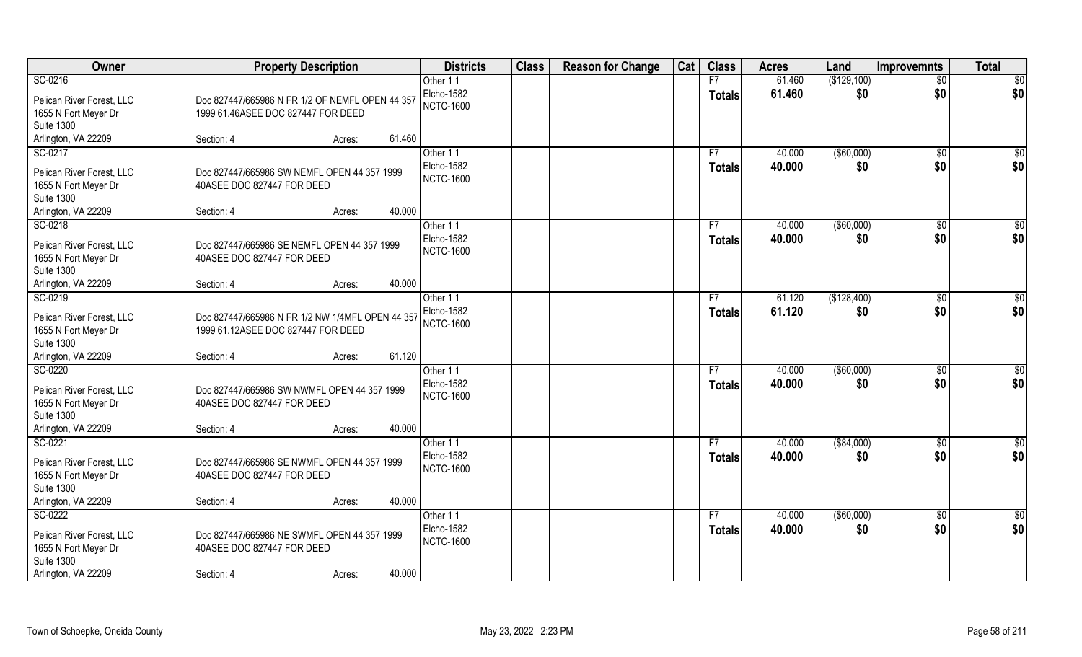| Owner                                                                                                    | <b>Property Description</b>                                                                                 | <b>Districts</b>                           | <b>Class</b> | <b>Reason for Change</b> | Cat | <b>Class</b>        | <b>Acres</b>     | Land               | <b>Improvemnts</b>     | <b>Total</b>           |
|----------------------------------------------------------------------------------------------------------|-------------------------------------------------------------------------------------------------------------|--------------------------------------------|--------------|--------------------------|-----|---------------------|------------------|--------------------|------------------------|------------------------|
| SC-0216                                                                                                  |                                                                                                             | Other 11                                   |              |                          |     | F7                  | 61.460           | (\$129,100)        | $\overline{50}$        | $\overline{50}$        |
| Pelican River Forest, LLC<br>1655 N Fort Meyer Dr<br><b>Suite 1300</b>                                   | Doc 827447/665986 N FR 1/2 OF NEMFL OPEN 44 357<br>1999 61.46ASEE DOC 827447 FOR DEED                       | Elcho-1582<br><b>NCTC-1600</b>             |              |                          |     | <b>Totals</b>       | 61.460           | \$0                | \$0                    | \$0                    |
| Arlington, VA 22209                                                                                      | 61.460<br>Section: 4<br>Acres:                                                                              |                                            |              |                          |     |                     |                  |                    |                        |                        |
| SC-0217<br>Pelican River Forest, LLC                                                                     | Doc 827447/665986 SW NEMFL OPEN 44 357 1999                                                                 | Other 11<br>Elcho-1582                     |              |                          |     | F7<br><b>Totals</b> | 40.000<br>40.000 | (\$60,000)<br>\$0  | $\overline{50}$<br>\$0 | $\sqrt{50}$<br>\$0     |
| 1655 N Fort Meyer Dr<br><b>Suite 1300</b>                                                                | 40ASEE DOC 827447 FOR DEED                                                                                  | <b>NCTC-1600</b>                           |              |                          |     |                     |                  |                    |                        |                        |
| Arlington, VA 22209                                                                                      | 40.000<br>Section: 4<br>Acres:                                                                              |                                            |              |                          |     |                     |                  |                    |                        |                        |
| SC-0218<br>Pelican River Forest, LLC<br>1655 N Fort Meyer Dr<br><b>Suite 1300</b>                        | Doc 827447/665986 SE NEMFL OPEN 44 357 1999<br>40ASEE DOC 827447 FOR DEED                                   | Other 11<br>Elcho-1582<br><b>NCTC-1600</b> |              |                          |     | F7<br><b>Totals</b> | 40.000<br>40.000 | ( \$60,000)<br>\$0 | $\sqrt[6]{30}$<br>\$0  | \$0<br>\$0             |
| Arlington, VA 22209                                                                                      | 40.000<br>Section: 4<br>Acres:                                                                              |                                            |              |                          |     |                     |                  |                    |                        |                        |
| SC-0219<br>Pelican River Forest, LLC<br>1655 N Fort Meyer Dr<br><b>Suite 1300</b>                        | Doc 827447/665986 N FR 1/2 NW 1/4MFL OPEN 44 357<br>1999 61.12ASEE DOC 827447 FOR DEED                      | Other 11<br>Elcho-1582<br><b>NCTC-1600</b> |              |                          |     | F7<br><b>Totals</b> | 61.120<br>61.120 | (\$128,400)<br>\$0 | \$0<br>\$0             | $\overline{50}$<br>\$0 |
| Arlington, VA 22209                                                                                      | 61.120<br>Section: 4<br>Acres:                                                                              |                                            |              |                          |     |                     |                  |                    |                        |                        |
| SC-0220<br>Pelican River Forest, LLC<br>1655 N Fort Meyer Dr<br><b>Suite 1300</b>                        | Doc 827447/665986 SW NWMFL OPEN 44 357 1999<br>40ASEE DOC 827447 FOR DEED                                   | Other 11<br>Elcho-1582<br><b>NCTC-1600</b> |              |                          |     | F7<br><b>Totals</b> | 40.000<br>40.000 | (\$60,000)<br>\$0  | \$0<br>\$0             | \$0<br>\$0             |
| Arlington, VA 22209                                                                                      | 40.000<br>Section: 4<br>Acres:                                                                              |                                            |              |                          |     |                     |                  |                    |                        |                        |
| SC-0221<br>Pelican River Forest, LLC<br>1655 N Fort Meyer Dr<br><b>Suite 1300</b>                        | Doc 827447/665986 SE NWMFL OPEN 44 357 1999<br>40ASEE DOC 827447 FOR DEED                                   | Other 11<br>Elcho-1582<br><b>NCTC-1600</b> |              |                          |     | F7<br><b>Totals</b> | 40.000<br>40.000 | ( \$84,000)<br>\$0 | \$0<br>\$0             | $\frac{6}{3}$<br>\$0   |
| Arlington, VA 22209                                                                                      | 40.000<br>Section: 4<br>Acres:                                                                              |                                            |              |                          |     |                     |                  |                    |                        |                        |
| SC-0222<br>Pelican River Forest, LLC<br>1655 N Fort Meyer Dr<br><b>Suite 1300</b><br>Arlington, VA 22209 | Doc 827447/665986 NE SWMFL OPEN 44 357 1999<br>40ASEE DOC 827447 FOR DEED<br>40.000<br>Section: 4<br>Acres: | Other 11<br>Elcho-1582<br><b>NCTC-1600</b> |              |                          |     | F7<br><b>Totals</b> | 40.000<br>40.000 | ( \$60,000)<br>\$0 | $\sqrt{$0}$<br>\$0     | \$0<br>\$0             |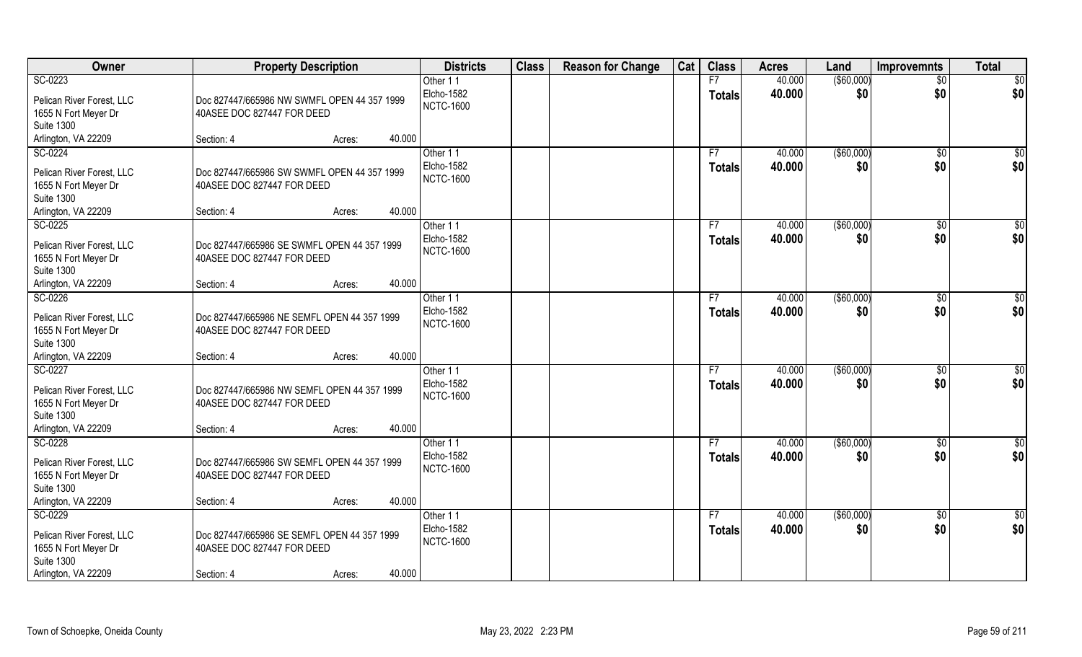| Owner                                                                                                    | <b>Property Description</b>                                                                                 | <b>Districts</b>                           | <b>Class</b> | <b>Reason for Change</b> | Cat | <b>Class</b>        | <b>Acres</b>     | Land                 | <b>Improvemnts</b>     | <b>Total</b>    |
|----------------------------------------------------------------------------------------------------------|-------------------------------------------------------------------------------------------------------------|--------------------------------------------|--------------|--------------------------|-----|---------------------|------------------|----------------------|------------------------|-----------------|
| SC-0223                                                                                                  |                                                                                                             | Other 11                                   |              |                          |     | F7                  | 40.000           | ( \$60,000)          | $\overline{50}$        | \$0             |
| Pelican River Forest, LLC<br>1655 N Fort Meyer Dr<br><b>Suite 1300</b>                                   | Doc 827447/665986 NW SWMFL OPEN 44 357 1999<br>40ASEE DOC 827447 FOR DEED                                   | Elcho-1582<br><b>NCTC-1600</b>             |              |                          |     | <b>Totals</b>       | 40.000           | \$0                  | \$0                    | \$0             |
| Arlington, VA 22209                                                                                      | 40.000<br>Section: 4<br>Acres:                                                                              |                                            |              |                          |     |                     |                  |                      |                        |                 |
| SC-0224                                                                                                  |                                                                                                             | Other 11                                   |              |                          |     | F7                  | 40.000           | ( \$60,000)          | \$0                    | \$0             |
| Pelican River Forest, LLC<br>1655 N Fort Meyer Dr<br><b>Suite 1300</b>                                   | Doc 827447/665986 SW SWMFL OPEN 44 357 1999<br>40ASEE DOC 827447 FOR DEED                                   | Elcho-1582<br><b>NCTC-1600</b>             |              |                          |     | <b>Totals</b>       | 40.000           | \$0                  | \$0                    | \$0             |
| Arlington, VA 22209                                                                                      | 40.000<br>Section: 4<br>Acres:                                                                              |                                            |              |                          |     |                     |                  |                      |                        |                 |
| SC-0225<br>Pelican River Forest, LLC<br>1655 N Fort Meyer Dr<br><b>Suite 1300</b>                        | Doc 827447/665986 SE SWMFL OPEN 44 357 1999<br>40ASEE DOC 827447 FOR DEED                                   | Other 11<br>Elcho-1582<br><b>NCTC-1600</b> |              |                          |     | F7<br><b>Totals</b> | 40.000<br>40.000 | ( \$60,000)<br>\$0   | $\sqrt{6}$<br>\$0      | \$0<br>\$0      |
| Arlington, VA 22209                                                                                      | 40.000<br>Section: 4<br>Acres:                                                                              |                                            |              |                          |     |                     |                  |                      |                        |                 |
| SC-0226<br>Pelican River Forest, LLC<br>1655 N Fort Meyer Dr<br><b>Suite 1300</b>                        | Doc 827447/665986 NE SEMFL OPEN 44 357 1999<br>40ASEE DOC 827447 FOR DEED                                   | Other 11<br>Elcho-1582<br><b>NCTC-1600</b> |              |                          |     | F7<br><b>Totals</b> | 40.000<br>40.000 | ( \$60,000)<br>\$0   | $\sqrt[6]{3}$<br>\$0   | \$0<br>\$0      |
| Arlington, VA 22209                                                                                      | 40.000<br>Section: 4<br>Acres:                                                                              |                                            |              |                          |     |                     |                  |                      |                        |                 |
| SC-0227<br>Pelican River Forest, LLC<br>1655 N Fort Meyer Dr<br><b>Suite 1300</b><br>Arlington, VA 22209 | Doc 827447/665986 NW SEMFL OPEN 44 357 1999<br>40ASEE DOC 827447 FOR DEED<br>40.000<br>Section: 4           | Other 11<br>Elcho-1582<br><b>NCTC-1600</b> |              |                          |     | F7<br><b>Totals</b> | 40.000<br>40.000 | $($ \$60,000)<br>\$0 | $\overline{50}$<br>\$0 | \$0<br>\$0      |
| SC-0228                                                                                                  | Acres:                                                                                                      | Other 11                                   |              |                          |     | F7                  | 40.000           | $($ \$60,000)        | $\sqrt{6}$             | $\overline{60}$ |
| Pelican River Forest, LLC<br>1655 N Fort Meyer Dr<br><b>Suite 1300</b>                                   | Doc 827447/665986 SW SEMFL OPEN 44 357 1999<br>40ASEE DOC 827447 FOR DEED                                   | Elcho-1582<br><b>NCTC-1600</b>             |              |                          |     | <b>Totals</b>       | 40.000           | \$0                  | \$0                    | \$0             |
| Arlington, VA 22209                                                                                      | 40.000<br>Section: 4<br>Acres:                                                                              |                                            |              |                          |     |                     |                  |                      |                        |                 |
| SC-0229<br>Pelican River Forest, LLC<br>1655 N Fort Meyer Dr<br><b>Suite 1300</b><br>Arlington, VA 22209 | Doc 827447/665986 SE SEMFL OPEN 44 357 1999<br>40ASEE DOC 827447 FOR DEED<br>40.000<br>Section: 4<br>Acres: | Other 11<br>Elcho-1582<br><b>NCTC-1600</b> |              |                          |     | F7<br><b>Totals</b> | 40.000<br>40.000 | ( \$60,000)<br>\$0   | \$0<br>\$0             | \$0<br>\$0      |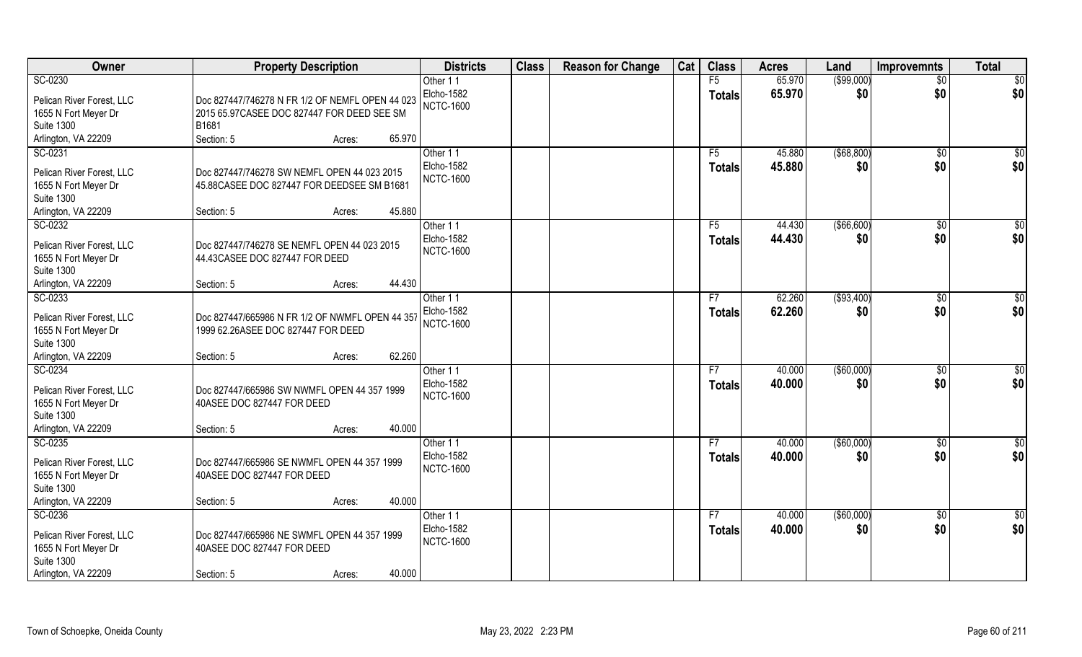| Owner                                                                                                    | <b>Property Description</b>                                                                                                 | <b>Districts</b>                           | <b>Class</b> | <b>Reason for Change</b> | Cat | <b>Class</b>        | <b>Acres</b>     | Land                | <b>Improvemnts</b>     | <b>Total</b>           |
|----------------------------------------------------------------------------------------------------------|-----------------------------------------------------------------------------------------------------------------------------|--------------------------------------------|--------------|--------------------------|-----|---------------------|------------------|---------------------|------------------------|------------------------|
| SC-0230                                                                                                  |                                                                                                                             | Other 11                                   |              |                          |     | F5                  | 65.970           | ( \$99,000)         | $\overline{50}$        | $\overline{50}$        |
| Pelican River Forest, LLC<br>1655 N Fort Meyer Dr<br><b>Suite 1300</b>                                   | Doc 827447/746278 N FR 1/2 OF NEMFL OPEN 44 023<br>2015 65.97 CASEE DOC 827447 FOR DEED SEE SM<br>B1681                     | Elcho-1582<br><b>NCTC-1600</b>             |              |                          |     | <b>Totals</b>       | 65.970           | \$0                 | \$0                    | \$0                    |
| Arlington, VA 22209                                                                                      | Section: 5<br>65.970<br>Acres:                                                                                              |                                            |              |                          |     |                     |                  |                     |                        |                        |
| SC-0231<br>Pelican River Forest, LLC<br>1655 N Fort Meyer Dr<br><b>Suite 1300</b><br>Arlington, VA 22209 | Doc 827447/746278 SW NEMFL OPEN 44 023 2015<br>45.88CASEE DOC 827447 FOR DEEDSEE SM B1681<br>45.880<br>Section: 5<br>Acres: | Other 11<br>Elcho-1582<br><b>NCTC-1600</b> |              |                          |     | F5<br><b>Totals</b> | 45.880<br>45.880 | ( \$68, 800)<br>\$0 | $\overline{50}$<br>\$0 | $\sqrt{50}$<br>\$0     |
| SC-0232                                                                                                  |                                                                                                                             | Other 11                                   |              |                          |     | F5                  | 44.430           | ( \$66, 600)        | $\sqrt[6]{30}$         | \$0                    |
| Pelican River Forest, LLC<br>1655 N Fort Meyer Dr<br><b>Suite 1300</b>                                   | Doc 827447/746278 SE NEMFL OPEN 44 023 2015<br>44.43 CASEE DOC 827447 FOR DEED                                              | Elcho-1582<br><b>NCTC-1600</b>             |              |                          |     | <b>Totals</b>       | 44.430           | \$0                 | \$0                    | \$0                    |
| Arlington, VA 22209                                                                                      | 44.430<br>Section: 5<br>Acres:                                                                                              |                                            |              |                          |     |                     |                  |                     |                        |                        |
| SC-0233<br>Pelican River Forest, LLC<br>1655 N Fort Meyer Dr<br><b>Suite 1300</b><br>Arlington, VA 22209 | Doc 827447/665986 N FR 1/2 OF NWMFL OPEN 44 357<br>1999 62.26ASEE DOC 827447 FOR DEED<br>62.260<br>Section: 5<br>Acres:     | Other 11<br>Elcho-1582<br><b>NCTC-1600</b> |              |                          |     | F7<br><b>Totals</b> | 62.260<br>62.260 | (\$93,400)<br>\$0   | \$0<br>\$0             | $\overline{50}$<br>\$0 |
| SC-0234                                                                                                  |                                                                                                                             | Other 11                                   |              |                          |     | F7                  | 40.000           | (\$60,000)          | \$0                    | \$0                    |
| Pelican River Forest, LLC<br>1655 N Fort Meyer Dr<br><b>Suite 1300</b>                                   | Doc 827447/665986 SW NWMFL OPEN 44 357 1999<br>40ASEE DOC 827447 FOR DEED                                                   | Elcho-1582<br><b>NCTC-1600</b>             |              |                          |     | <b>Totals</b>       | 40.000           | \$0                 | \$0                    | \$0                    |
| Arlington, VA 22209                                                                                      | 40.000<br>Section: 5<br>Acres:                                                                                              |                                            |              |                          |     |                     |                  |                     |                        |                        |
| SC-0235<br>Pelican River Forest, LLC<br>1655 N Fort Meyer Dr<br><b>Suite 1300</b>                        | Doc 827447/665986 SE NWMFL OPEN 44 357 1999<br>40ASEE DOC 827447 FOR DEED                                                   | Other 11<br>Elcho-1582<br><b>NCTC-1600</b> |              |                          |     | F7<br><b>Totals</b> | 40.000<br>40.000 | ( \$60,000)<br>\$0  | \$0<br>\$0             | $\frac{6}{3}$<br>\$0   |
| Arlington, VA 22209                                                                                      | 40.000<br>Section: 5<br>Acres:                                                                                              |                                            |              |                          |     |                     |                  |                     |                        |                        |
| SC-0236<br>Pelican River Forest, LLC<br>1655 N Fort Meyer Dr<br><b>Suite 1300</b><br>Arlington, VA 22209 | Doc 827447/665986 NE SWMFL OPEN 44 357 1999<br>40ASEE DOC 827447 FOR DEED<br>40.000<br>Section: 5<br>Acres:                 | Other 11<br>Elcho-1582<br><b>NCTC-1600</b> |              |                          |     | F7<br><b>Totals</b> | 40.000<br>40.000 | ( \$60,000)<br>\$0  | $\sqrt{$0}$<br>\$0     | \$0<br>\$0             |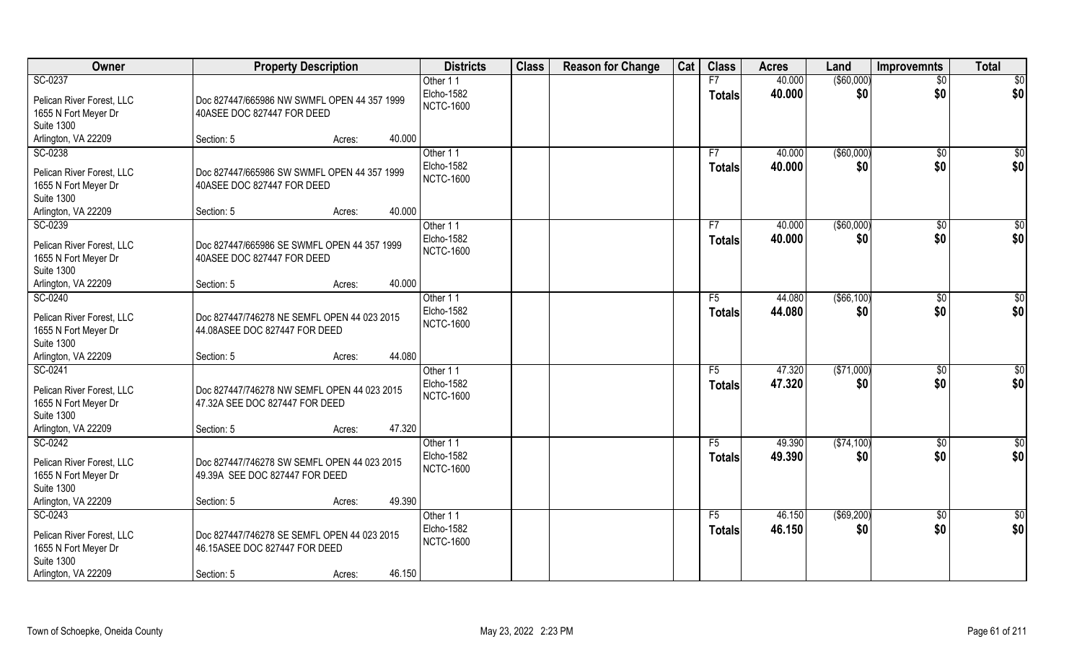| Owner                                                                                                    | <b>Property Description</b>                                                                                    | <b>Districts</b>                           | <b>Class</b> | <b>Reason for Change</b> | Cat | <b>Class</b>                    | <b>Acres</b>     | Land                | Improvemnts           | <b>Total</b>  |
|----------------------------------------------------------------------------------------------------------|----------------------------------------------------------------------------------------------------------------|--------------------------------------------|--------------|--------------------------|-----|---------------------------------|------------------|---------------------|-----------------------|---------------|
| SC-0237                                                                                                  |                                                                                                                | Other 11                                   |              |                          |     | F7                              | 40.000           | ( \$60,000)         | $\overline{50}$       | \$0           |
| Pelican River Forest, LLC<br>1655 N Fort Meyer Dr                                                        | Doc 827447/665986 NW SWMFL OPEN 44 357 1999<br>40ASEE DOC 827447 FOR DEED                                      | Elcho-1582<br><b>NCTC-1600</b>             |              |                          |     | <b>Totals</b>                   | 40.000           | \$0                 | \$0                   | \$0           |
| <b>Suite 1300</b>                                                                                        |                                                                                                                |                                            |              |                          |     |                                 |                  |                     |                       |               |
| Arlington, VA 22209                                                                                      | 40.000<br>Section: 5<br>Acres:                                                                                 |                                            |              |                          |     |                                 |                  |                     |                       |               |
| SC-0238                                                                                                  |                                                                                                                | Other 11                                   |              |                          |     | F7                              | 40.000           | ( \$60,000)         | \$0                   | \$0           |
| Pelican River Forest, LLC<br>1655 N Fort Meyer Dr                                                        | Doc 827447/665986 SW SWMFL OPEN 44 357 1999<br>40ASEE DOC 827447 FOR DEED                                      | Elcho-1582<br><b>NCTC-1600</b>             |              |                          |     | <b>Totals</b>                   | 40.000           | \$0                 | \$0                   | \$0           |
| <b>Suite 1300</b>                                                                                        | 40.000                                                                                                         |                                            |              |                          |     |                                 |                  |                     |                       |               |
| Arlington, VA 22209<br>SC-0239                                                                           | Section: 5<br>Acres:                                                                                           |                                            |              |                          |     |                                 | 40.000           |                     |                       |               |
| Pelican River Forest, LLC<br>1655 N Fort Meyer Dr<br><b>Suite 1300</b>                                   | Doc 827447/665986 SE SWMFL OPEN 44 357 1999<br>40ASEE DOC 827447 FOR DEED                                      | Other 11<br>Elcho-1582<br><b>NCTC-1600</b> |              |                          |     | F7<br><b>Totals</b>             | 40.000           | ( \$60,000)<br>\$0  | \$0<br>\$0            | \$0<br>\$0    |
| Arlington, VA 22209                                                                                      | 40.000<br>Section: 5<br>Acres:                                                                                 |                                            |              |                          |     |                                 |                  |                     |                       |               |
| SC-0240<br>Pelican River Forest, LLC<br>1655 N Fort Meyer Dr                                             | Doc 827447/746278 NE SEMFL OPEN 44 023 2015<br>44.08ASEE DOC 827447 FOR DEED                                   | Other 11<br>Elcho-1582<br><b>NCTC-1600</b> |              |                          |     | F <sub>5</sub><br><b>Totals</b> | 44.080<br>44.080 | ( \$66, 100)<br>\$0 | $\sqrt[6]{3}$<br>\$0  | \$0<br>\$0    |
| <b>Suite 1300</b><br>Arlington, VA 22209                                                                 | 44.080<br>Section: 5<br>Acres:                                                                                 |                                            |              |                          |     |                                 |                  |                     |                       |               |
| SC-0241<br>Pelican River Forest, LLC                                                                     | Doc 827447/746278 NW SEMFL OPEN 44 023 2015<br>47.32A SEE DOC 827447 FOR DEED                                  | Other 11<br>Elcho-1582<br><b>NCTC-1600</b> |              |                          |     | F5<br><b>Totals</b>             | 47.320<br>47.320 | (\$71,000)<br>\$0   | $\sqrt[6]{30}$<br>\$0 | \$0<br>\$0    |
| 1655 N Fort Meyer Dr<br><b>Suite 1300</b><br>Arlington, VA 22209                                         | 47.320<br>Section: 5<br>Acres:                                                                                 |                                            |              |                          |     |                                 |                  |                     |                       |               |
| SC-0242                                                                                                  |                                                                                                                | Other 11                                   |              |                          |     | F5                              | 49.390           | ( \$74, 100)        | \$0                   | $\frac{6}{3}$ |
| Pelican River Forest, LLC<br>1655 N Fort Meyer Dr<br><b>Suite 1300</b>                                   | Doc 827447/746278 SW SEMFL OPEN 44 023 2015<br>49.39A SEE DOC 827447 FOR DEED                                  | Elcho-1582<br><b>NCTC-1600</b>             |              |                          |     | <b>Totals</b>                   | 49.390           | \$0                 | \$0                   | \$0           |
| Arlington, VA 22209                                                                                      | 49.390<br>Section: 5<br>Acres:                                                                                 |                                            |              |                          |     |                                 |                  |                     |                       |               |
| SC-0243<br>Pelican River Forest, LLC<br>1655 N Fort Meyer Dr<br><b>Suite 1300</b><br>Arlington, VA 22209 | Doc 827447/746278 SE SEMFL OPEN 44 023 2015<br>46.15ASEE DOC 827447 FOR DEED<br>46.150<br>Section: 5<br>Acres: | Other 11<br>Elcho-1582<br><b>NCTC-1600</b> |              |                          |     | F5<br><b>Totals</b>             | 46.150<br>46.150 | ( \$69,200)<br>\$0  | $\sqrt{$0}$<br>\$0    | \$0<br>\$0    |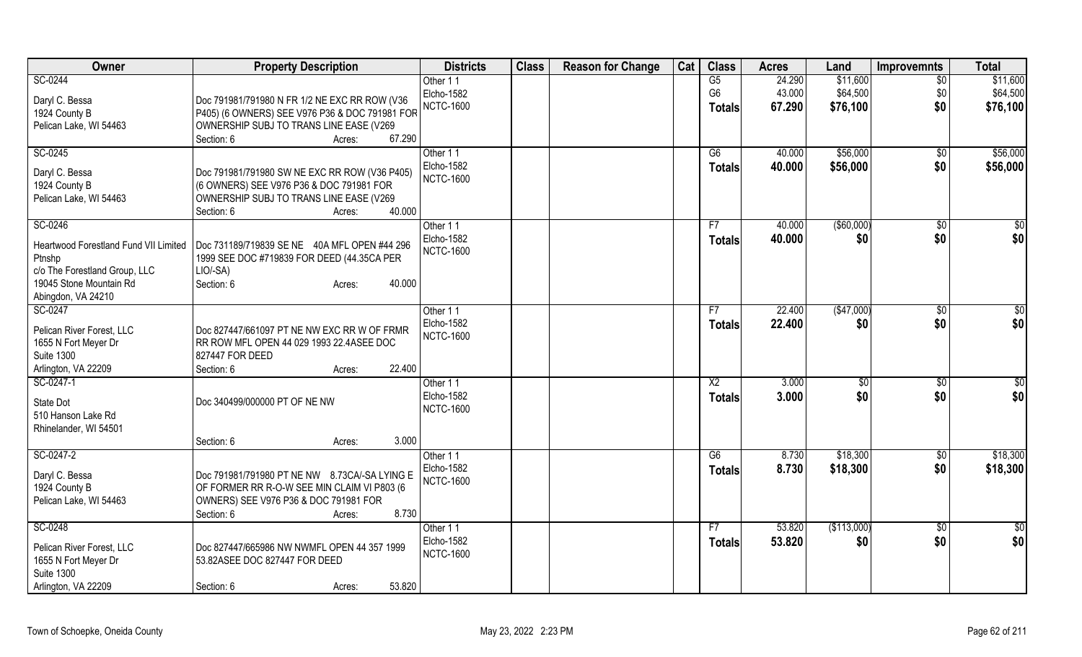| Owner                                 | <b>Property Description</b>                    | <b>Districts</b>       | <b>Class</b> | <b>Reason for Change</b> | Cat | <b>Class</b>   | <b>Acres</b> | Land          | <b>Improvemnts</b> | <b>Total</b>    |
|---------------------------------------|------------------------------------------------|------------------------|--------------|--------------------------|-----|----------------|--------------|---------------|--------------------|-----------------|
| SC-0244                               |                                                | Other 11               |              |                          |     | G5             | 24.290       | \$11,600      | $\overline{30}$    | \$11,600        |
| Daryl C. Bessa                        | Doc 791981/791980 N FR 1/2 NE EXC RR ROW (V36  | Elcho-1582             |              |                          |     | G <sub>6</sub> | 43.000       | \$64,500      | \$0                | \$64,500        |
| 1924 County B                         | P405) (6 OWNERS) SEE V976 P36 & DOC 791981 FOR | <b>NCTC-1600</b>       |              |                          |     | <b>Totals</b>  | 67.290       | \$76,100      | \$0                | \$76,100        |
| Pelican Lake, WI 54463                | OWNERSHIP SUBJ TO TRANS LINE EASE (V269        |                        |              |                          |     |                |              |               |                    |                 |
|                                       | 67.290<br>Section: 6<br>Acres:                 |                        |              |                          |     |                |              |               |                    |                 |
| SC-0245                               |                                                | Other 11               |              |                          |     | G6             | 40.000       | \$56,000      | \$0                | \$56,000        |
|                                       |                                                | <b>Elcho-1582</b>      |              |                          |     | <b>Totals</b>  | 40.000       | \$56,000      | \$0                | \$56,000        |
| Daryl C. Bessa                        | Doc 791981/791980 SW NE EXC RR ROW (V36 P405)  | <b>NCTC-1600</b>       |              |                          |     |                |              |               |                    |                 |
| 1924 County B                         | (6 OWNERS) SEE V976 P36 & DOC 791981 FOR       |                        |              |                          |     |                |              |               |                    |                 |
| Pelican Lake, WI 54463                | OWNERSHIP SUBJ TO TRANS LINE EASE (V269        |                        |              |                          |     |                |              |               |                    |                 |
|                                       | 40.000<br>Section: 6<br>Acres:                 |                        |              |                          |     |                |              |               |                    |                 |
| SC-0246                               |                                                | Other 11               |              |                          |     | F7             | 40.000       | $($ \$60,000) | \$0                | \$0             |
| Heartwood Forestland Fund VII Limited | Doc 731189/719839 SE NE 40A MFL OPEN #44 296   | Elcho-1582             |              |                          |     | <b>Totals</b>  | 40.000       | \$0           | \$0                | \$0             |
| Ptnshp                                | 1999 SEE DOC #719839 FOR DEED (44.35CA PER     | <b>NCTC-1600</b>       |              |                          |     |                |              |               |                    |                 |
| c/o The Forestland Group, LLC         | LIO/-SA)                                       |                        |              |                          |     |                |              |               |                    |                 |
| 19045 Stone Mountain Rd               | Section: 6<br>40.000<br>Acres:                 |                        |              |                          |     |                |              |               |                    |                 |
| Abingdon, VA 24210                    |                                                |                        |              |                          |     |                |              |               |                    |                 |
| SC-0247                               |                                                | Other 11               |              |                          |     | F7             | 22.400       | (\$47,000)    | \$0                | \$0             |
|                                       |                                                | <b>Elcho-1582</b>      |              |                          |     | <b>Totals</b>  | 22.400       | \$0           | \$0                | \$0             |
| Pelican River Forest, LLC             | Doc 827447/661097 PT NE NW EXC RR W OF FRMR    | <b>NCTC-1600</b>       |              |                          |     |                |              |               |                    |                 |
| 1655 N Fort Meyer Dr                  | RR ROW MFL OPEN 44 029 1993 22.4ASEE DOC       |                        |              |                          |     |                |              |               |                    |                 |
| <b>Suite 1300</b>                     | 827447 FOR DEED<br>22.400                      |                        |              |                          |     |                |              |               |                    |                 |
| Arlington, VA 22209                   | Section: 6<br>Acres:                           |                        |              |                          |     |                |              |               |                    |                 |
| SC-0247-1                             |                                                | Other 11<br>Elcho-1582 |              |                          |     | X2             | 3.000        | $\sqrt[6]{3}$ | $\sqrt[6]{3}$      | \$0             |
| State Dot                             | Doc 340499/000000 PT OF NE NW                  | <b>NCTC-1600</b>       |              |                          |     | <b>Totals</b>  | 3.000        | \$0           | \$0                | \$0             |
| 510 Hanson Lake Rd                    |                                                |                        |              |                          |     |                |              |               |                    |                 |
| Rhinelander, WI 54501                 |                                                |                        |              |                          |     |                |              |               |                    |                 |
|                                       | 3.000<br>Section: 6<br>Acres:                  |                        |              |                          |     |                |              |               |                    |                 |
| SC-0247-2                             |                                                | Other 11               |              |                          |     | G6             | 8.730        | \$18,300      | \$0                | \$18,300        |
| Daryl C. Bessa                        | Doc 791981/791980 PT NE NW 8.73CA/-SA LYING E  | <b>Elcho-1582</b>      |              |                          |     | <b>Totals</b>  | 8.730        | \$18,300      | \$0                | \$18,300        |
| 1924 County B                         | OF FORMER RR R-O-W SEE MIN CLAIM VI P803 (6    | <b>NCTC-1600</b>       |              |                          |     |                |              |               |                    |                 |
| Pelican Lake, WI 54463                | OWNERS) SEE V976 P36 & DOC 791981 FOR          |                        |              |                          |     |                |              |               |                    |                 |
|                                       | Section: 6<br>8.730<br>Acres:                  |                        |              |                          |     |                |              |               |                    |                 |
| SC-0248                               |                                                | Other 11               |              |                          |     | F7             | 53.820       | (\$113,000)   | $\overline{50}$    | $\overline{50}$ |
|                                       |                                                | Elcho-1582             |              |                          |     | <b>Totals</b>  | 53.820       | \$0           | \$0                | \$0             |
| Pelican River Forest, LLC             | Doc 827447/665986 NW NWMFL OPEN 44 357 1999    | <b>NCTC-1600</b>       |              |                          |     |                |              |               |                    |                 |
| 1655 N Fort Meyer Dr                  | 53.82ASEE DOC 827447 FOR DEED                  |                        |              |                          |     |                |              |               |                    |                 |
| <b>Suite 1300</b>                     |                                                |                        |              |                          |     |                |              |               |                    |                 |
| Arlington, VA 22209                   | 53.820<br>Section: 6<br>Acres:                 |                        |              |                          |     |                |              |               |                    |                 |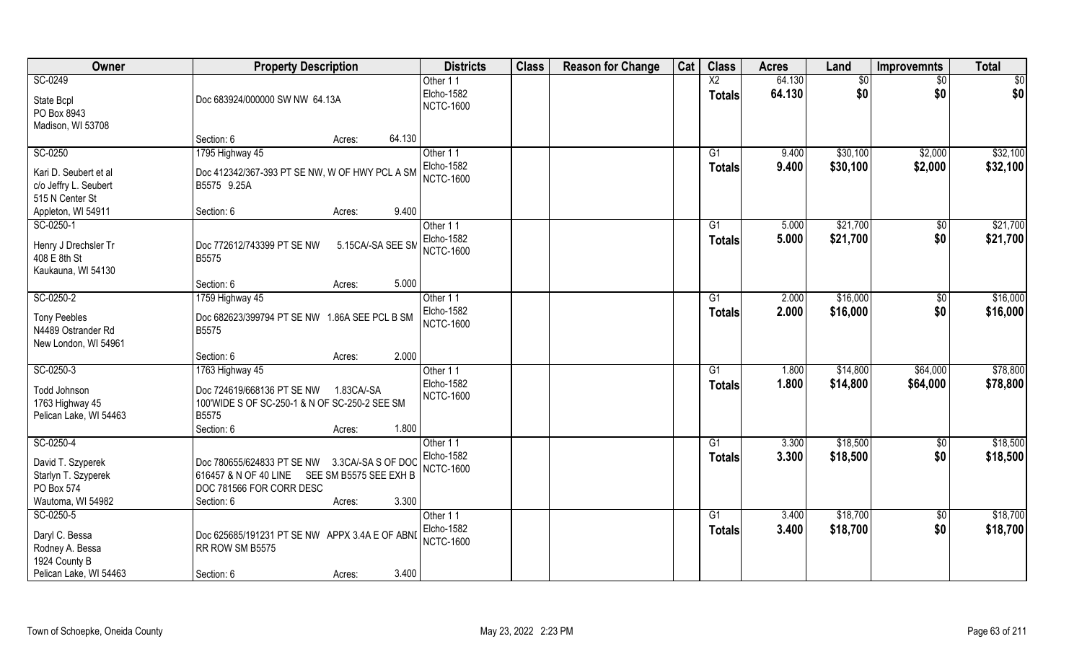| Owner                             | <b>Property Description</b>                                       | <b>Districts</b>  | <b>Class</b> | <b>Reason for Change</b> | Cat | <b>Class</b>    | <b>Acres</b> | Land     | <b>Improvemnts</b> | <b>Total</b> |
|-----------------------------------|-------------------------------------------------------------------|-------------------|--------------|--------------------------|-----|-----------------|--------------|----------|--------------------|--------------|
| SC-0249                           |                                                                   | Other 11          |              |                          |     | $\overline{X2}$ | 64.130       | \$0      | $\frac{1}{30}$     | \$0          |
| State Bcpl                        | Doc 683924/000000 SW NW 64.13A                                    | Elcho-1582        |              |                          |     | <b>Totals</b>   | 64.130       | \$0      | \$0                | \$0          |
| PO Box 8943                       |                                                                   | <b>NCTC-1600</b>  |              |                          |     |                 |              |          |                    |              |
| Madison, WI 53708                 |                                                                   |                   |              |                          |     |                 |              |          |                    |              |
|                                   | 64.130<br>Section: 6<br>Acres:                                    |                   |              |                          |     |                 |              |          |                    |              |
| SC-0250                           | 1795 Highway 45                                                   | Other 11          |              |                          |     | G1              | 9.400        | \$30,100 | \$2,000            | \$32,100     |
| Kari D. Seubert et al             | Doc 412342/367-393 PT SE NW, W OF HWY PCL A SM                    | <b>Elcho-1582</b> |              |                          |     | Totals          | 9.400        | \$30,100 | \$2,000            | \$32,100     |
| c/o Jeffry L. Seubert             | B5575 9.25A                                                       | <b>NCTC-1600</b>  |              |                          |     |                 |              |          |                    |              |
| 515 N Center St                   |                                                                   |                   |              |                          |     |                 |              |          |                    |              |
| Appleton, WI 54911                | 9.400<br>Section: 6<br>Acres:                                     |                   |              |                          |     |                 |              |          |                    |              |
| SC-0250-1                         |                                                                   | Other 11          |              |                          |     | G1              | 5.000        | \$21,700 | $\frac{6}{3}$      | \$21,700     |
| Henry J Drechsler Tr              | Doc 772612/743399 PT SE NW<br>5.15CA/-SA SEE SM                   | <b>Elcho-1582</b> |              |                          |     | Totals          | 5.000        | \$21,700 | \$0                | \$21,700     |
| 408 E 8th St                      | <b>B5575</b>                                                      | <b>NCTC-1600</b>  |              |                          |     |                 |              |          |                    |              |
| Kaukauna, WI 54130                |                                                                   |                   |              |                          |     |                 |              |          |                    |              |
|                                   | 5.000<br>Section: 6<br>Acres:                                     |                   |              |                          |     |                 |              |          |                    |              |
| SC-0250-2                         | 1759 Highway 45                                                   | Other 11          |              |                          |     | G1              | 2.000        | \$16,000 | \$0                | \$16,000     |
| <b>Tony Peebles</b>               | Doc 682623/399794 PT SE NW 1.86A SEE PCL B SM                     | Elcho-1582        |              |                          |     | <b>Totals</b>   | 2.000        | \$16,000 | \$0                | \$16,000     |
| N4489 Ostrander Rd                | B5575                                                             | <b>NCTC-1600</b>  |              |                          |     |                 |              |          |                    |              |
| New London, WI 54961              |                                                                   |                   |              |                          |     |                 |              |          |                    |              |
|                                   | 2.000<br>Section: 6<br>Acres:                                     |                   |              |                          |     |                 |              |          |                    |              |
| SC-0250-3                         | 1763 Highway 45                                                   | Other 11          |              |                          |     | $\overline{G1}$ | 1.800        | \$14,800 | \$64,000           | \$78,800     |
|                                   | Doc 724619/668136 PT SE NW<br>1.83CA/-SA                          | Elcho-1582        |              |                          |     | <b>Totals</b>   | 1.800        | \$14,800 | \$64,000           | \$78,800     |
| Todd Johnson<br>1763 Highway 45   | 100'WIDE S OF SC-250-1 & N OF SC-250-2 SEE SM                     | <b>NCTC-1600</b>  |              |                          |     |                 |              |          |                    |              |
| Pelican Lake, WI 54463            | B5575                                                             |                   |              |                          |     |                 |              |          |                    |              |
|                                   | 1.800<br>Section: 6<br>Acres:                                     |                   |              |                          |     |                 |              |          |                    |              |
| SC-0250-4                         |                                                                   | Other 11          |              |                          |     | G1              | 3.300        | \$18,500 | \$0                | \$18,500     |
| David T. Szyperek                 | Doc 780655/624833 PT SE NW<br>3.3CA/-SA S OF DOC                  | Elcho-1582        |              |                          |     | <b>Totals</b>   | 3.300        | \$18,500 | \$0                | \$18,500     |
| Starlyn T. Szyperek               | 616457 & N OF 40 LINE<br>SEE SM B5575 SEE EXH B                   | <b>NCTC-1600</b>  |              |                          |     |                 |              |          |                    |              |
| PO Box 574                        | DOC 781566 FOR CORR DESC                                          |                   |              |                          |     |                 |              |          |                    |              |
| Wautoma, WI 54982                 | 3.300<br>Section: 6<br>Acres:                                     |                   |              |                          |     |                 |              |          |                    |              |
| SC-0250-5                         |                                                                   | Other 11          |              |                          |     | G1              | 3.400        | \$18,700 | \$0                | \$18,700     |
|                                   |                                                                   | Elcho-1582        |              |                          |     | <b>Totals</b>   | 3.400        | \$18,700 | \$0                | \$18,700     |
| Daryl C. Bessa<br>Rodney A. Bessa | Doc 625685/191231 PT SE NW APPX 3.4A E OF ABNI<br>RR ROW SM B5575 | <b>NCTC-1600</b>  |              |                          |     |                 |              |          |                    |              |
| 1924 County B                     |                                                                   |                   |              |                          |     |                 |              |          |                    |              |
| Pelican Lake, WI 54463            | 3.400<br>Section: 6<br>Acres:                                     |                   |              |                          |     |                 |              |          |                    |              |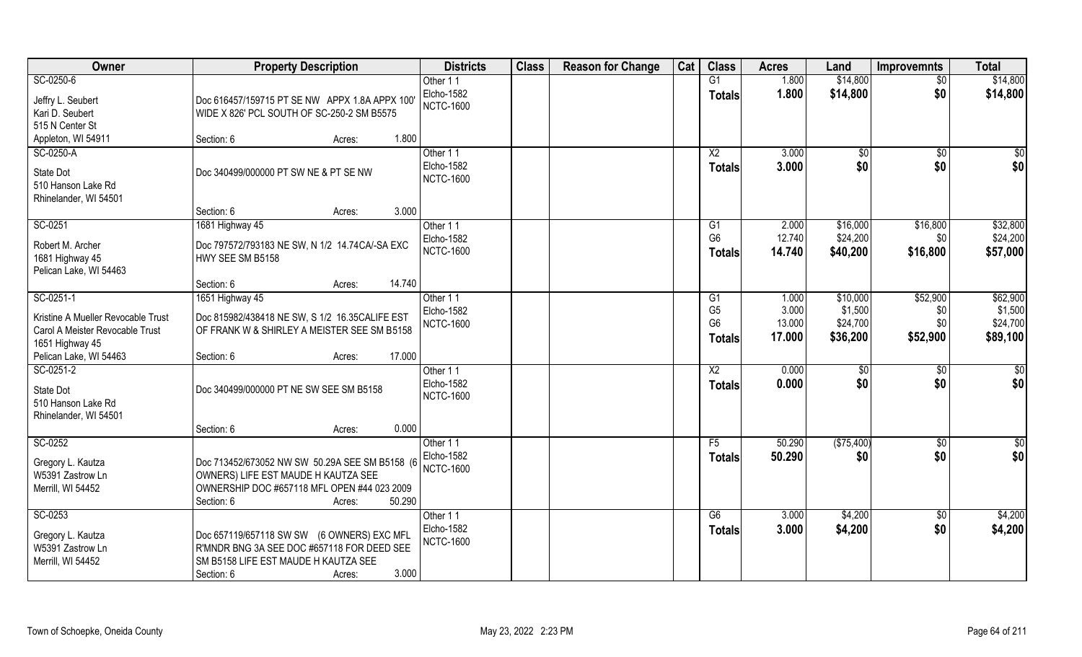| Owner                                                                 | <b>Property Description</b>                                                                   | <b>Districts</b>  | <b>Class</b> | <b>Reason for Change</b> | Cat | <b>Class</b>           | <b>Acres</b> | Land          | <b>Improvemnts</b> | <b>Total</b>    |
|-----------------------------------------------------------------------|-----------------------------------------------------------------------------------------------|-------------------|--------------|--------------------------|-----|------------------------|--------------|---------------|--------------------|-----------------|
| SC-0250-6                                                             |                                                                                               | Other 11          |              |                          |     | G1                     | 1.800        | \$14,800      | $\overline{50}$    | \$14,800        |
| Jeffry L. Seubert                                                     | Doc 616457/159715 PT SE NW APPX 1.8A APPX 100                                                 | Elcho-1582        |              |                          |     | <b>Totals</b>          | 1.800        | \$14,800      | \$0                | \$14,800        |
| Kari D. Seubert                                                       | WIDE X 826' PCL SOUTH OF SC-250-2 SM B5575                                                    | <b>NCTC-1600</b>  |              |                          |     |                        |              |               |                    |                 |
| 515 N Center St                                                       |                                                                                               |                   |              |                          |     |                        |              |               |                    |                 |
| Appleton, WI 54911                                                    | 1.800<br>Section: 6<br>Acres:                                                                 |                   |              |                          |     |                        |              |               |                    |                 |
| SC-0250-A                                                             |                                                                                               | Other 11          |              |                          |     | $\overline{X2}$        | 3.000        | \$0           | \$0                | \$0             |
| State Dot                                                             | Doc 340499/000000 PT SW NE & PT SE NW                                                         | Elcho-1582        |              |                          |     | <b>Totals</b>          | 3.000        | \$0           | \$0                | \$0             |
| 510 Hanson Lake Rd                                                    |                                                                                               | <b>NCTC-1600</b>  |              |                          |     |                        |              |               |                    |                 |
| Rhinelander, WI 54501                                                 |                                                                                               |                   |              |                          |     |                        |              |               |                    |                 |
|                                                                       | 3.000<br>Section: 6<br>Acres:                                                                 |                   |              |                          |     |                        |              |               |                    |                 |
| SC-0251                                                               | 1681 Highway 45                                                                               | Other 11          |              |                          |     | G <sub>1</sub>         | 2.000        | \$16,000      | \$16,800           | \$32,800        |
| Robert M. Archer                                                      | Doc 797572/793183 NE SW, N 1/2 14.74CA/-SA EXC                                                | <b>Elcho-1582</b> |              |                          |     | G <sub>6</sub>         | 12.740       | \$24,200      | \$0                | \$24,200        |
| 1681 Highway 45                                                       | HWY SEE SM B5158                                                                              | <b>NCTC-1600</b>  |              |                          |     | <b>Totals</b>          | 14.740       | \$40,200      | \$16,800           | \$57,000        |
| Pelican Lake, WI 54463                                                |                                                                                               |                   |              |                          |     |                        |              |               |                    |                 |
|                                                                       | 14.740<br>Section: 6<br>Acres:                                                                |                   |              |                          |     |                        |              |               |                    |                 |
| SC-0251-1                                                             | 1651 Highway 45                                                                               | Other 11          |              |                          |     | G <sub>1</sub>         | 1.000        | \$10,000      | \$52,900           | \$62,900        |
|                                                                       |                                                                                               | <b>Elcho-1582</b> |              |                          |     | G <sub>5</sub>         | 3.000        | \$1,500       | \$0                | \$1,500         |
| Kristine A Mueller Revocable Trust<br>Carol A Meister Revocable Trust | Doc 815982/438418 NE SW, S 1/2 16.35CALIFE EST<br>OF FRANK W & SHIRLEY A MEISTER SEE SM B5158 | <b>NCTC-1600</b>  |              |                          |     | G <sub>6</sub>         | 13.000       | \$24,700      | \$0                | \$24,700        |
| 1651 Highway 45                                                       |                                                                                               |                   |              |                          |     | <b>Totals</b>          | 17.000       | \$36,200      | \$52,900           | \$89,100        |
| Pelican Lake, WI 54463                                                | 17.000<br>Section: 6<br>Acres:                                                                |                   |              |                          |     |                        |              |               |                    |                 |
| SC-0251-2                                                             |                                                                                               | Other 11          |              |                          |     | $\overline{\text{X2}}$ | 0.000        | $\sqrt[6]{3}$ | \$0                | $\overline{50}$ |
|                                                                       |                                                                                               | Elcho-1582        |              |                          |     | <b>Totals</b>          | 0.000        | \$0           | \$0                | \$0             |
| State Dot<br>510 Hanson Lake Rd                                       | Doc 340499/000000 PT NE SW SEE SM B5158                                                       | <b>NCTC-1600</b>  |              |                          |     |                        |              |               |                    |                 |
| Rhinelander, WI 54501                                                 |                                                                                               |                   |              |                          |     |                        |              |               |                    |                 |
|                                                                       | 0.000<br>Section: 6<br>Acres:                                                                 |                   |              |                          |     |                        |              |               |                    |                 |
| SC-0252                                                               |                                                                                               | Other 11          |              |                          |     | F5                     | 50.290       | (\$75,400)    | \$0                | $\overline{30}$ |
|                                                                       |                                                                                               | Elcho-1582        |              |                          |     | <b>Totals</b>          | 50.290       | \$0           | \$0                | \$0             |
| Gregory L. Kautza                                                     | Doc 713452/673052 NW SW 50.29A SEE SM B5158 (6                                                | <b>NCTC-1600</b>  |              |                          |     |                        |              |               |                    |                 |
| W5391 Zastrow Ln<br>Merrill, WI 54452                                 | OWNERS) LIFE EST MAUDE H KAUTZA SEE<br>OWNERSHIP DOC #657118 MFL OPEN #44 023 2009            |                   |              |                          |     |                        |              |               |                    |                 |
|                                                                       | 50.290<br>Section: 6<br>Acres:                                                                |                   |              |                          |     |                        |              |               |                    |                 |
| SC-0253                                                               |                                                                                               | Other 11          |              |                          |     | G6                     | 3.000        | \$4,200       | \$0                | \$4,200         |
|                                                                       |                                                                                               | <b>Elcho-1582</b> |              |                          |     | <b>Totals</b>          | 3.000        | \$4,200       | \$0                | \$4,200         |
| Gregory L. Kautza                                                     | Doc 657119/657118 SW SW (6 OWNERS) EXC MFL                                                    | <b>NCTC-1600</b>  |              |                          |     |                        |              |               |                    |                 |
| W5391 Zastrow Ln                                                      | R'MNDR BNG 3A SEE DOC #657118 FOR DEED SEE                                                    |                   |              |                          |     |                        |              |               |                    |                 |
| Merrill, WI 54452                                                     | SM B5158 LIFE EST MAUDE H KAUTZA SEE                                                          |                   |              |                          |     |                        |              |               |                    |                 |
|                                                                       | 3.000<br>Section: 6<br>Acres:                                                                 |                   |              |                          |     |                        |              |               |                    |                 |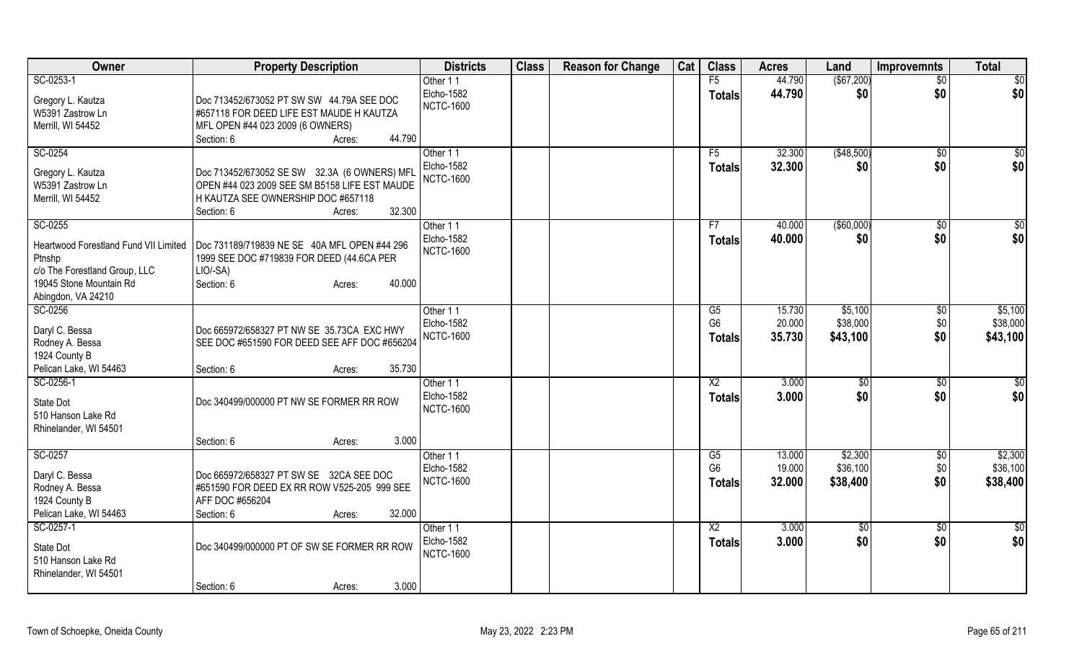| Owner                                        | <b>Property Description</b>                           | <b>Districts</b>              | <b>Class</b> | <b>Reason for Change</b> | Cat | <b>Class</b>         | <b>Acres</b>     | Land                | Improvemnts     | <b>Total</b>        |
|----------------------------------------------|-------------------------------------------------------|-------------------------------|--------------|--------------------------|-----|----------------------|------------------|---------------------|-----------------|---------------------|
| SC-0253-1                                    |                                                       | Other 11                      |              |                          |     | F5                   | 44.790           | $($ \$67,200)       | $\overline{50}$ | \$0                 |
| Gregory L. Kautza                            | Doc 713452/673052 PT SW SW 44.79A SEE DOC             | <b>Elcho-1582</b>             |              |                          |     | <b>Totals</b>        | 44.790           | \$0                 | \$0             | \$0                 |
| W5391 Zastrow Ln                             | #657118 FOR DEED LIFE EST MAUDE H KAUTZA              | <b>NCTC-1600</b>              |              |                          |     |                      |                  |                     |                 |                     |
| Merrill, WI 54452                            | MFL OPEN #44 023 2009 (6 OWNERS)                      |                               |              |                          |     |                      |                  |                     |                 |                     |
|                                              | 44.790<br>Section: 6<br>Acres:                        |                               |              |                          |     |                      |                  |                     |                 |                     |
| SC-0254                                      |                                                       | Other 11                      |              |                          |     | F5                   | 32.300           | (\$48,500)          | $\sqrt{$0}$     | \$0                 |
| Gregory L. Kautza                            | Doc 713452/673052 SE SW 32.3A (6 OWNERS) MFL          | Elcho-1582                    |              |                          |     | <b>Totals</b>        | 32.300           | \$0                 | \$0             | \$0                 |
| W5391 Zastrow Ln                             | OPEN #44 023 2009 SEE SM B5158 LIFE EST MAUDE         | <b>NCTC-1600</b>              |              |                          |     |                      |                  |                     |                 |                     |
| Merrill, WI 54452                            | H KAUTZA SEE OWNERSHIP DOC #657118                    |                               |              |                          |     |                      |                  |                     |                 |                     |
|                                              | 32.300<br>Section: 6<br>Acres:                        |                               |              |                          |     |                      |                  |                     |                 |                     |
| SC-0255                                      |                                                       | Other 11                      |              |                          |     | F7                   | 40.000           | ( \$60,000)         | \$0             | $\overline{50}$     |
|                                              |                                                       | Elcho-1582                    |              |                          |     | <b>Totals</b>        | 40.000           | \$0                 | \$0             | \$0                 |
| <b>Heartwood Forestland Fund VII Limited</b> | Doc 731189/719839 NE SE 40A MFL OPEN #44 296          | <b>NCTC-1600</b>              |              |                          |     |                      |                  |                     |                 |                     |
| Ptnshp<br>c/o The Forestland Group, LLC      | 1999 SEE DOC #719839 FOR DEED (44.6CA PER<br>LIO/-SA) |                               |              |                          |     |                      |                  |                     |                 |                     |
| 19045 Stone Mountain Rd                      | Section: 6<br>40.000<br>Acres:                        |                               |              |                          |     |                      |                  |                     |                 |                     |
| Abingdon, VA 24210                           |                                                       |                               |              |                          |     |                      |                  |                     |                 |                     |
| SC-0256                                      |                                                       | Other 11                      |              |                          |     | G5                   | 15.730           | \$5,100             | \$0             | \$5,100             |
|                                              |                                                       | Elcho-1582                    |              |                          |     | G <sub>6</sub>       | 20.000           | \$38,000            | \$0             | \$38,000            |
| Daryl C. Bessa                               | Doc 665972/658327 PT NW SE 35.73CA EXC HWY            | <b>NCTC-1600</b>              |              |                          |     | <b>Totals</b>        | 35.730           | \$43,100            | \$0             | \$43,100            |
| Rodney A. Bessa<br>1924 County B             | SEE DOC #651590 FOR DEED SEE AFF DOC #656204          |                               |              |                          |     |                      |                  |                     |                 |                     |
| Pelican Lake, WI 54463                       | 35.730<br>Section: 6<br>Acres:                        |                               |              |                          |     |                      |                  |                     |                 |                     |
| SC-0256-1                                    |                                                       | Other 11                      |              |                          |     | X2                   | 3.000            | $\sqrt[6]{3}$       | $\sqrt{6}$      | \$0                 |
|                                              |                                                       | Elcho-1582                    |              |                          |     | <b>Totals</b>        | 3.000            | \$0                 | \$0             | \$0                 |
| State Dot                                    | Doc 340499/000000 PT NW SE FORMER RR ROW              | <b>NCTC-1600</b>              |              |                          |     |                      |                  |                     |                 |                     |
| 510 Hanson Lake Rd                           |                                                       |                               |              |                          |     |                      |                  |                     |                 |                     |
| Rhinelander, WI 54501                        |                                                       |                               |              |                          |     |                      |                  |                     |                 |                     |
|                                              | Section: 6<br>3.000<br>Acres:                         |                               |              |                          |     |                      |                  |                     |                 |                     |
| SC-0257                                      |                                                       | Other 11<br><b>Elcho-1582</b> |              |                          |     | G5<br>G <sub>6</sub> | 13.000<br>19.000 | \$2,300<br>\$36,100 | \$0<br>\$0      | \$2,300<br>\$36,100 |
| Daryl C. Bessa                               | Doc 665972/658327 PT SW SE 32CA SEE DOC               | <b>NCTC-1600</b>              |              |                          |     |                      | 32.000           |                     |                 |                     |
| Rodney A. Bessa                              | #651590 FOR DEED EX RR ROW V525-205 999 SEE           |                               |              |                          |     | <b>Totals</b>        |                  | \$38,400            | \$0             | \$38,400            |
| 1924 County B                                | AFF DOC #656204                                       |                               |              |                          |     |                      |                  |                     |                 |                     |
| Pelican Lake, WI 54463                       | 32.000<br>Section: 6<br>Acres:                        |                               |              |                          |     |                      |                  |                     |                 |                     |
| SC-0257-1                                    |                                                       | Other 11                      |              |                          |     | $\overline{X2}$      | 3.000            | $\sqrt{6}$          | $\sqrt{$0}$     | $\frac{6}{3}$       |
| State Dot                                    | Doc 340499/000000 PT OF SW SE FORMER RR ROW           | Elcho-1582                    |              |                          |     | <b>Totals</b>        | 3.000            | \$0                 | \$0             | \$0                 |
| 510 Hanson Lake Rd                           |                                                       | <b>NCTC-1600</b>              |              |                          |     |                      |                  |                     |                 |                     |
| Rhinelander, WI 54501                        |                                                       |                               |              |                          |     |                      |                  |                     |                 |                     |
|                                              | 3.000<br>Section: 6<br>Acres:                         |                               |              |                          |     |                      |                  |                     |                 |                     |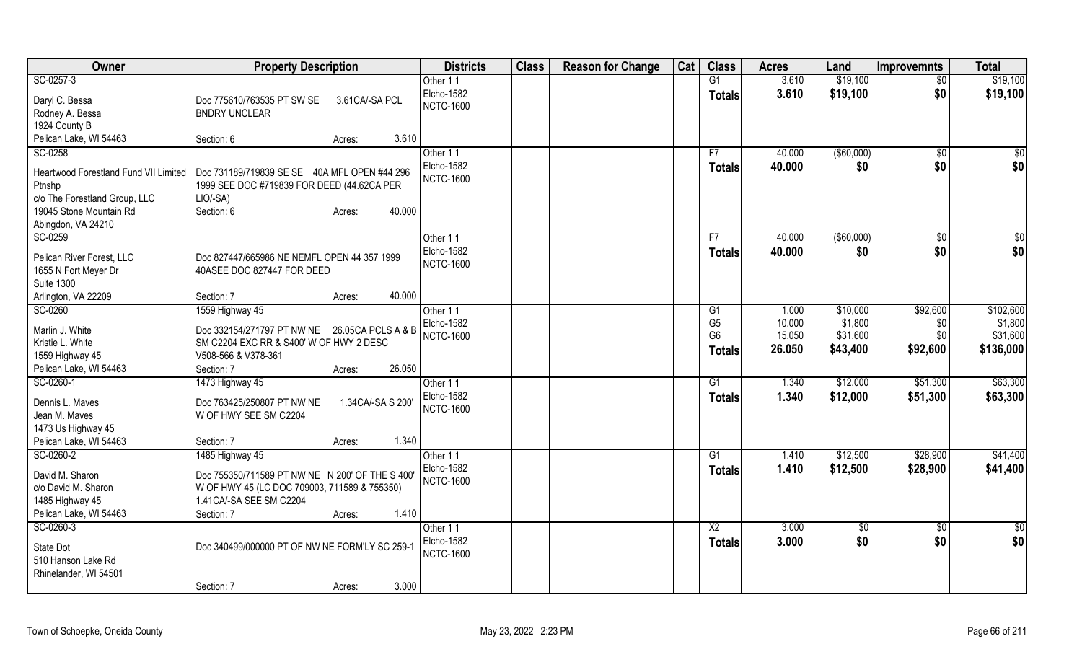| Owner                                   | <b>Property Description</b>                                              |                    | <b>Districts</b>  | <b>Class</b> | <b>Reason for Change</b> | Cat | <b>Class</b>                     | <b>Acres</b>     | Land                | <b>Improvemnts</b> | <b>Total</b>        |
|-----------------------------------------|--------------------------------------------------------------------------|--------------------|-------------------|--------------|--------------------------|-----|----------------------------------|------------------|---------------------|--------------------|---------------------|
| SC-0257-3                               |                                                                          |                    | Other 11          |              |                          |     | G1                               | 3.610            | \$19,100            | \$0                | \$19,100            |
| Daryl C. Bessa                          | Doc 775610/763535 PT SW SE                                               | 3.61CA/-SA PCL     | Elcho-1582        |              |                          |     | <b>Totals</b>                    | 3.610            | \$19,100            | \$0                | \$19,100            |
| Rodney A. Bessa                         | <b>BNDRY UNCLEAR</b>                                                     |                    | <b>NCTC-1600</b>  |              |                          |     |                                  |                  |                     |                    |                     |
| 1924 County B                           |                                                                          |                    |                   |              |                          |     |                                  |                  |                     |                    |                     |
| Pelican Lake, WI 54463                  | Section: 6                                                               | 3.610<br>Acres:    |                   |              |                          |     |                                  |                  |                     |                    |                     |
| SC-0258                                 |                                                                          |                    | Other 11          |              |                          |     | F7                               | 40.000           | ( \$60,000)         | $\frac{1}{2}$      | \$0                 |
|                                         |                                                                          |                    | Elcho-1582        |              |                          |     | <b>Totals</b>                    | 40.000           | \$0                 | \$0                | \$0                 |
| Heartwood Forestland Fund VII Limited   | Doc 731189/719839 SE SE 40A MFL OPEN #44 296                             |                    | <b>NCTC-1600</b>  |              |                          |     |                                  |                  |                     |                    |                     |
| Ptnshp<br>c/o The Forestland Group, LLC | 1999 SEE DOC #719839 FOR DEED (44.62CA PER<br>LIO/-SA)                   |                    |                   |              |                          |     |                                  |                  |                     |                    |                     |
| 19045 Stone Mountain Rd                 | Section: 6                                                               | 40.000<br>Acres:   |                   |              |                          |     |                                  |                  |                     |                    |                     |
| Abingdon, VA 24210                      |                                                                          |                    |                   |              |                          |     |                                  |                  |                     |                    |                     |
| SC-0259                                 |                                                                          |                    | Other 11          |              |                          |     | F7                               | 40.000           | ( \$60,000)         | \$0                | \$0                 |
|                                         |                                                                          |                    | Elcho-1582        |              |                          |     | <b>Totals</b>                    | 40.000           | \$0                 | \$0                | \$0                 |
| Pelican River Forest, LLC               | Doc 827447/665986 NE NEMFL OPEN 44 357 1999                              |                    | <b>NCTC-1600</b>  |              |                          |     |                                  |                  |                     |                    |                     |
| 1655 N Fort Meyer Dr                    | 40ASEE DOC 827447 FOR DEED                                               |                    |                   |              |                          |     |                                  |                  |                     |                    |                     |
| <b>Suite 1300</b>                       |                                                                          |                    |                   |              |                          |     |                                  |                  |                     |                    |                     |
| Arlington, VA 22209                     | Section: 7                                                               | 40.000<br>Acres:   |                   |              |                          |     |                                  |                  |                     |                    |                     |
| SC-0260                                 | 1559 Highway 45                                                          |                    | Other 11          |              |                          |     | G1                               | 1.000            | \$10,000            | \$92,600           | \$102,600           |
| Marlin J. White                         | Doc 332154/271797 PT NW NE                                               | 26.05CA PCLS A & B | Elcho-1582        |              |                          |     | G <sub>5</sub><br>G <sub>6</sub> | 10.000<br>15.050 | \$1,800<br>\$31,600 | \$0<br>\$0         | \$1,800<br>\$31,600 |
| Kristie L. White                        | SM C2204 EXC RR & S400' W OF HWY 2 DESC                                  |                    | <b>NCTC-1600</b>  |              |                          |     |                                  |                  |                     |                    |                     |
| 1559 Highway 45                         | V508-566 & V378-361                                                      |                    |                   |              |                          |     | Totals                           | 26.050           | \$43,400            | \$92,600           | \$136,000           |
| Pelican Lake, WI 54463                  | Section: 7                                                               | 26.050<br>Acres:   |                   |              |                          |     |                                  |                  |                     |                    |                     |
| SC-0260-1                               | 1473 Highway 45                                                          |                    | Other 11          |              |                          |     | G1                               | 1.340            | \$12,000            | \$51,300           | \$63,300            |
| Dennis L. Maves                         | Doc 763425/250807 PT NW NE                                               | 1.34CA/-SA S 200'  | Elcho-1582        |              |                          |     | <b>Totals</b>                    | 1.340            | \$12,000            | \$51,300           | \$63,300            |
| Jean M. Maves                           | W OF HWY SEE SM C2204                                                    |                    | <b>NCTC-1600</b>  |              |                          |     |                                  |                  |                     |                    |                     |
| 1473 Us Highway 45                      |                                                                          |                    |                   |              |                          |     |                                  |                  |                     |                    |                     |
| Pelican Lake, WI 54463                  | Section: 7                                                               | 1.340<br>Acres:    |                   |              |                          |     |                                  |                  |                     |                    |                     |
| SC-0260-2                               | 1485 Highway 45                                                          |                    | Other 11          |              |                          |     | G1                               | 1.410            | \$12,500            | \$28,900           | \$41,400            |
|                                         |                                                                          |                    | <b>Elcho-1582</b> |              |                          |     | <b>Totals</b>                    | 1.410            | \$12,500            | \$28,900           | \$41,400            |
| David M. Sharon                         | Doc 755350/711589 PT NW NE N 200' OF THE S 400'                          |                    | <b>NCTC-1600</b>  |              |                          |     |                                  |                  |                     |                    |                     |
| c/o David M. Sharon<br>1485 Highway 45  | W OF HWY 45 (LC DOC 709003, 711589 & 755350)<br>1.41 CA/-SA SEE SM C2204 |                    |                   |              |                          |     |                                  |                  |                     |                    |                     |
| Pelican Lake, WI 54463                  | Section: 7                                                               | 1.410<br>Acres:    |                   |              |                          |     |                                  |                  |                     |                    |                     |
| SC-0260-3                               |                                                                          |                    | Other 11          |              |                          |     | $\overline{X2}$                  | 3.000            |                     |                    | $\overline{50}$     |
|                                         |                                                                          |                    | Elcho-1582        |              |                          |     |                                  | 3.000            | $\sqrt{6}$<br>\$0   | $\sqrt{$0}$<br>\$0 | \$0                 |
| State Dot                               | Doc 340499/000000 PT OF NW NE FORM'LY SC 259-1                           |                    | <b>NCTC-1600</b>  |              |                          |     | <b>Totals</b>                    |                  |                     |                    |                     |
| 510 Hanson Lake Rd                      |                                                                          |                    |                   |              |                          |     |                                  |                  |                     |                    |                     |
| Rhinelander, WI 54501                   |                                                                          |                    |                   |              |                          |     |                                  |                  |                     |                    |                     |
|                                         | Section: 7                                                               | 3.000<br>Acres:    |                   |              |                          |     |                                  |                  |                     |                    |                     |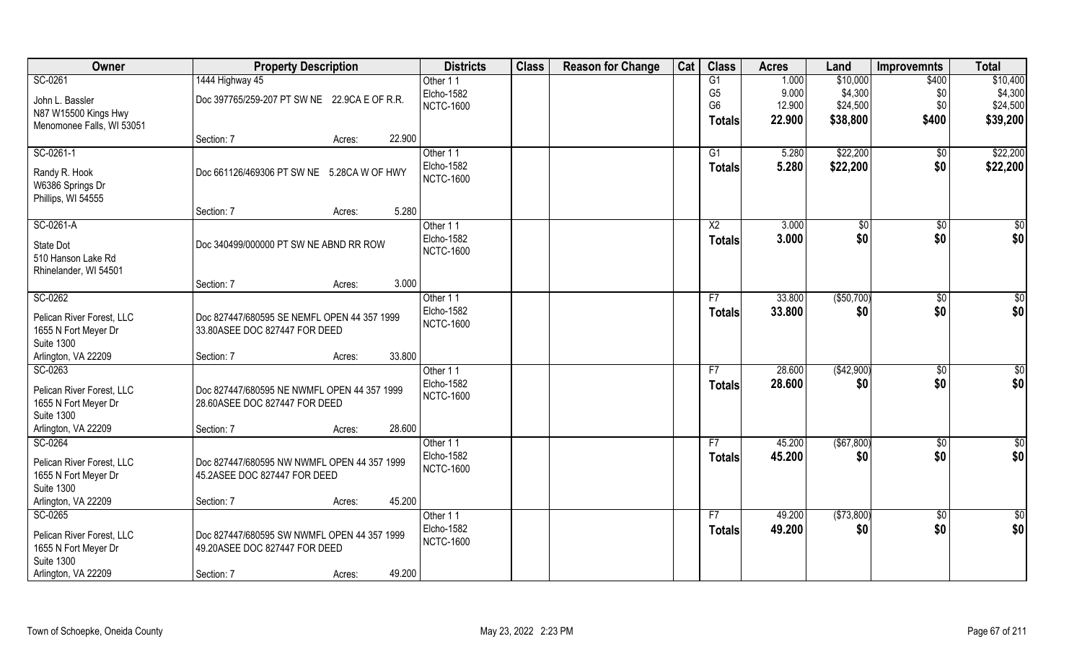| Owner                     | <b>Property Description</b>                  | <b>Districts</b> | <b>Class</b> | <b>Reason for Change</b> | Cat | <b>Class</b>   | <b>Acres</b> | Land        | <b>Improvemnts</b> | <b>Total</b>    |
|---------------------------|----------------------------------------------|------------------|--------------|--------------------------|-----|----------------|--------------|-------------|--------------------|-----------------|
| SC-0261                   | 1444 Highway 45                              | Other 11         |              |                          |     | G1             | 1.000        | \$10,000    | \$400              | \$10,400        |
| John L. Bassler           | Doc 397765/259-207 PT SW NE 22.9CA E OF R.R. | Elcho-1582       |              |                          |     | G <sub>5</sub> | 9.000        | \$4,300     | \$0                | \$4,300         |
| N87 W15500 Kings Hwy      |                                              | <b>NCTC-1600</b> |              |                          |     | G <sub>6</sub> | 12.900       | \$24,500    | \$0                | \$24,500        |
| Menomonee Falls, WI 53051 |                                              |                  |              |                          |     | Totals         | 22.900       | \$38,800    | \$400              | \$39,200        |
|                           | 22.900<br>Section: 7<br>Acres:               |                  |              |                          |     |                |              |             |                    |                 |
| SC-0261-1                 |                                              | Other 11         |              |                          |     | G1             | 5.280        | \$22,200    | \$0                | \$22,200        |
| Randy R. Hook             | Doc 661126/469306 PT SW NE 5.28CA W OF HWY   | Elcho-1582       |              |                          |     | Totals         | 5.280        | \$22,200    | \$0                | \$22,200        |
| W6386 Springs Dr          |                                              | <b>NCTC-1600</b> |              |                          |     |                |              |             |                    |                 |
| Phillips, WI 54555        |                                              |                  |              |                          |     |                |              |             |                    |                 |
|                           | 5.280<br>Section: 7<br>Acres:                |                  |              |                          |     |                |              |             |                    |                 |
| SC-0261-A                 |                                              | Other 11         |              |                          |     | X2             | 3.000        | \$0         | \$0                | $\overline{50}$ |
| State Dot                 | Doc 340499/000000 PT SW NE ABND RR ROW       | Elcho-1582       |              |                          |     | <b>Totals</b>  | 3.000        | \$0         | \$0                | \$0             |
| 510 Hanson Lake Rd        |                                              | <b>NCTC-1600</b> |              |                          |     |                |              |             |                    |                 |
| Rhinelander, WI 54501     |                                              |                  |              |                          |     |                |              |             |                    |                 |
|                           | 3.000<br>Section: 7<br>Acres:                |                  |              |                          |     |                |              |             |                    |                 |
| SC-0262                   |                                              | Other 11         |              |                          |     | F7             | 33.800       | ( \$50,700) | $\sqrt[6]{3}$      | \$0             |
| Pelican River Forest, LLC | Doc 827447/680595 SE NEMFL OPEN 44 357 1999  | Elcho-1582       |              |                          |     | <b>Totals</b>  | 33.800       | \$0         | \$0                | \$0             |
| 1655 N Fort Meyer Dr      | 33.80ASEE DOC 827447 FOR DEED                | <b>NCTC-1600</b> |              |                          |     |                |              |             |                    |                 |
| <b>Suite 1300</b>         |                                              |                  |              |                          |     |                |              |             |                    |                 |
| Arlington, VA 22209       | 33.800<br>Section: 7<br>Acres:               |                  |              |                          |     |                |              |             |                    |                 |
| SC-0263                   |                                              | Other 11         |              |                          |     | F <sub>7</sub> | 28.600       | (\$42,900)  | \$0                | $\overline{50}$ |
| Pelican River Forest, LLC | Doc 827447/680595 NE NWMFL OPEN 44 357 1999  | Elcho-1582       |              |                          |     | <b>Totals</b>  | 28.600       | \$0         | \$0                | \$0             |
| 1655 N Fort Meyer Dr      | 28.60ASEE DOC 827447 FOR DEED                | <b>NCTC-1600</b> |              |                          |     |                |              |             |                    |                 |
| <b>Suite 1300</b>         |                                              |                  |              |                          |     |                |              |             |                    |                 |
| Arlington, VA 22209       | 28.600<br>Section: 7<br>Acres:               |                  |              |                          |     |                |              |             |                    |                 |
| SC-0264                   |                                              | Other 11         |              |                          |     | F7             | 45.200       | (\$67,800)  | $\overline{50}$    | $\overline{50}$ |
| Pelican River Forest, LLC | Doc 827447/680595 NW NWMFL OPEN 44 357 1999  | Elcho-1582       |              |                          |     | <b>Totals</b>  | 45.200       | \$0         | \$0                | \$0             |
| 1655 N Fort Meyer Dr      | 45.2ASEE DOC 827447 FOR DEED                 | <b>NCTC-1600</b> |              |                          |     |                |              |             |                    |                 |
| <b>Suite 1300</b>         |                                              |                  |              |                          |     |                |              |             |                    |                 |
| Arlington, VA 22209       | 45.200<br>Section: 7<br>Acres:               |                  |              |                          |     |                |              |             |                    |                 |
| SC-0265                   |                                              | Other 11         |              |                          |     | F7             | 49.200       | ( \$73,800) | $\sqrt{6}$         | \$0             |
| Pelican River Forest, LLC | Doc 827447/680595 SW NWMFL OPEN 44 357 1999  | Elcho-1582       |              |                          |     | <b>Totals</b>  | 49.200       | \$0         | \$0                | \$0             |
| 1655 N Fort Meyer Dr      | 49.20ASEE DOC 827447 FOR DEED                | <b>NCTC-1600</b> |              |                          |     |                |              |             |                    |                 |
| <b>Suite 1300</b>         |                                              |                  |              |                          |     |                |              |             |                    |                 |
| Arlington, VA 22209       | 49.200<br>Section: 7<br>Acres:               |                  |              |                          |     |                |              |             |                    |                 |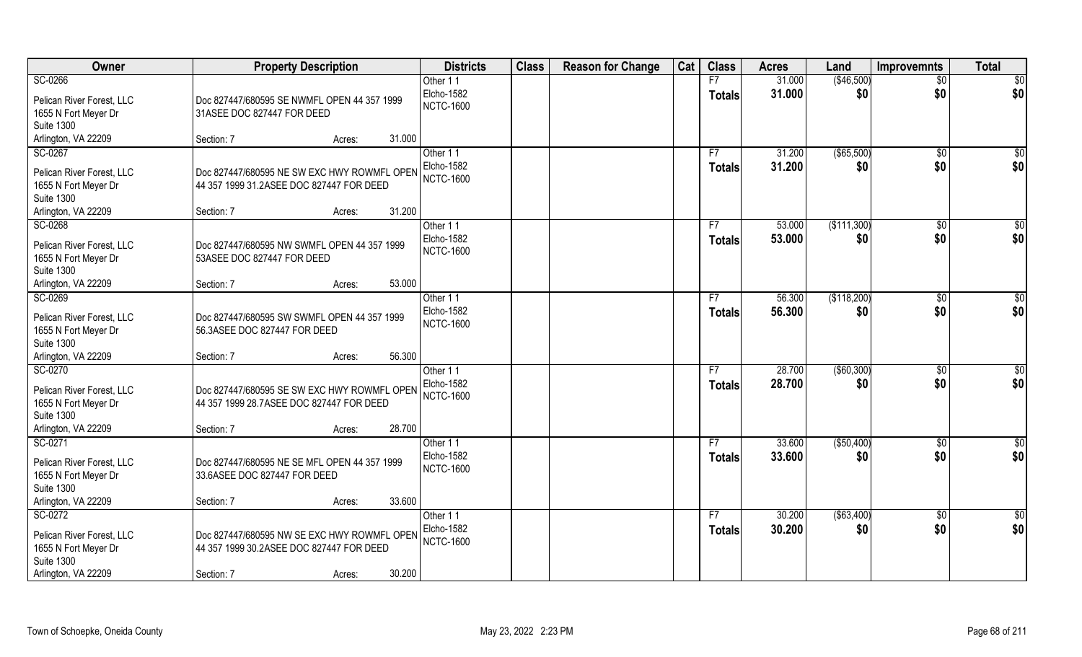| Owner                     | <b>Property Description</b>                  | <b>Districts</b>  | <b>Class</b> | <b>Reason for Change</b> | Cat | <b>Class</b>  | <b>Acres</b> | Land         | <b>Improvemnts</b> | <b>Total</b>  |
|---------------------------|----------------------------------------------|-------------------|--------------|--------------------------|-----|---------------|--------------|--------------|--------------------|---------------|
| SC-0266                   |                                              | Other 11          |              |                          |     | F7            | 31.000       | (\$46,500)   | $\overline{50}$    | \$0           |
| Pelican River Forest, LLC | Doc 827447/680595 SE NWMFL OPEN 44 357 1999  | Elcho-1582        |              |                          |     | <b>Totals</b> | 31.000       | \$0          | \$0                | \$0           |
| 1655 N Fort Meyer Dr      | 31ASEE DOC 827447 FOR DEED                   | <b>NCTC-1600</b>  |              |                          |     |               |              |              |                    |               |
| <b>Suite 1300</b>         |                                              |                   |              |                          |     |               |              |              |                    |               |
| Arlington, VA 22209       | 31.000<br>Section: 7<br>Acres:               |                   |              |                          |     |               |              |              |                    |               |
| SC-0267                   |                                              | Other 11          |              |                          |     | F7            | 31.200       | ( \$65,500)  | \$0                | \$0           |
| Pelican River Forest, LLC | Doc 827447/680595 NE SW EXC HWY ROWMFL OPEN  | <b>Elcho-1582</b> |              |                          |     | <b>Totals</b> | 31.200       | \$0          | \$0                | \$0           |
| 1655 N Fort Meyer Dr      | 44 357 1999 31.2ASEE DOC 827447 FOR DEED     | <b>NCTC-1600</b>  |              |                          |     |               |              |              |                    |               |
| <b>Suite 1300</b>         |                                              |                   |              |                          |     |               |              |              |                    |               |
| Arlington, VA 22209       | 31.200<br>Section: 7<br>Acres:               |                   |              |                          |     |               |              |              |                    |               |
| SC-0268                   |                                              | Other 11          |              |                          |     | F7            | 53.000       | (\$111,300)  | $\sqrt[6]{30}$     | \$0           |
| Pelican River Forest, LLC | Doc 827447/680595 NW SWMFL OPEN 44 357 1999  | Elcho-1582        |              |                          |     | <b>Totals</b> | 53.000       | \$0          | \$0                | \$0           |
| 1655 N Fort Meyer Dr      | 53ASEE DOC 827447 FOR DEED                   | <b>NCTC-1600</b>  |              |                          |     |               |              |              |                    |               |
| <b>Suite 1300</b>         |                                              |                   |              |                          |     |               |              |              |                    |               |
| Arlington, VA 22209       | 53.000<br>Section: 7<br>Acres:               |                   |              |                          |     |               |              |              |                    |               |
| SC-0269                   |                                              | Other 11          |              |                          |     | F7            | 56.300       | (\$118,200)  | $\sqrt[6]{3}$      | \$0           |
| Pelican River Forest, LLC | Doc 827447/680595 SW SWMFL OPEN 44 357 1999  | Elcho-1582        |              |                          |     | <b>Totals</b> | 56.300       | \$0          | \$0                | \$0           |
| 1655 N Fort Meyer Dr      | 56.3ASEE DOC 827447 FOR DEED                 | <b>NCTC-1600</b>  |              |                          |     |               |              |              |                    |               |
| <b>Suite 1300</b>         |                                              |                   |              |                          |     |               |              |              |                    |               |
| Arlington, VA 22209       | 56.300<br>Section: 7<br>Acres:               |                   |              |                          |     |               |              |              |                    |               |
| SC-0270                   |                                              | Other 11          |              |                          |     | F7            | 28.700       | ( \$60, 300) | $\sqrt[6]{30}$     | \$0           |
| Pelican River Forest, LLC | Doc 827447/680595 SE SW EXC HWY ROWMFL OPEN  | <b>Elcho-1582</b> |              |                          |     | <b>Totals</b> | 28.700       | \$0          | \$0                | \$0           |
| 1655 N Fort Meyer Dr      | 44 357 1999 28.7 ASEE DOC 827447 FOR DEED    | <b>NCTC-1600</b>  |              |                          |     |               |              |              |                    |               |
| <b>Suite 1300</b>         |                                              |                   |              |                          |     |               |              |              |                    |               |
| Arlington, VA 22209       | 28.700<br>Section: 7<br>Acres:               |                   |              |                          |     |               |              |              |                    |               |
| SC-0271                   |                                              | Other 11          |              |                          |     | F7            | 33.600       | ( \$50,400)  | \$0                | $\frac{6}{3}$ |
| Pelican River Forest, LLC | Doc 827447/680595 NE SE MFL OPEN 44 357 1999 | Elcho-1582        |              |                          |     | <b>Totals</b> | 33.600       | \$0          | \$0                | \$0           |
| 1655 N Fort Meyer Dr      | 33.6ASEE DOC 827447 FOR DEED                 | <b>NCTC-1600</b>  |              |                          |     |               |              |              |                    |               |
| <b>Suite 1300</b>         |                                              |                   |              |                          |     |               |              |              |                    |               |
| Arlington, VA 22209       | 33.600<br>Section: 7<br>Acres:               |                   |              |                          |     |               |              |              |                    |               |
| SC-0272                   |                                              | Other 11          |              |                          |     | F7            | 30.200       | ( \$63,400)  | $\sqrt{6}$         | \$0           |
| Pelican River Forest, LLC | Doc 827447/680595 NW SE EXC HWY ROWMFL OPEN  | <b>Elcho-1582</b> |              |                          |     | <b>Totals</b> | 30.200       | \$0          | \$0                | \$0           |
| 1655 N Fort Meyer Dr      | 44 357 1999 30.2ASEE DOC 827447 FOR DEED     | <b>NCTC-1600</b>  |              |                          |     |               |              |              |                    |               |
| <b>Suite 1300</b>         |                                              |                   |              |                          |     |               |              |              |                    |               |
| Arlington, VA 22209       | 30.200<br>Section: 7<br>Acres:               |                   |              |                          |     |               |              |              |                    |               |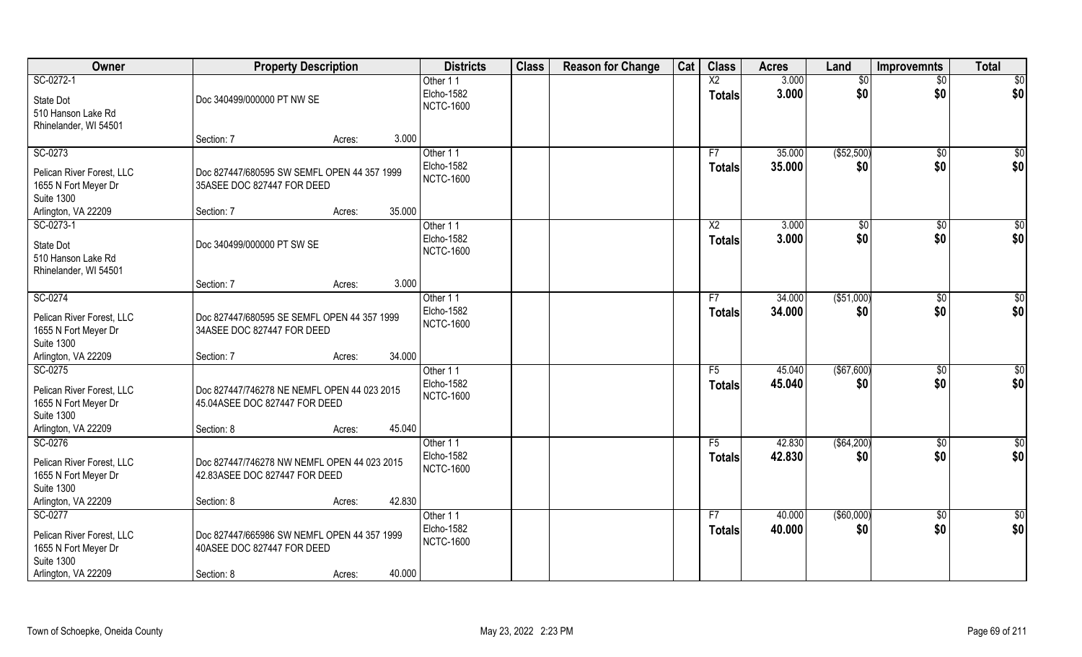| Owner                                                                                                    | <b>Property Description</b>                                                                                 | <b>Districts</b>                           | <b>Class</b> | <b>Reason for Change</b> | Cat | <b>Class</b>                     | <b>Acres</b>     | Land                   | Improvemnts            | <b>Total</b>    |
|----------------------------------------------------------------------------------------------------------|-------------------------------------------------------------------------------------------------------------|--------------------------------------------|--------------|--------------------------|-----|----------------------------------|------------------|------------------------|------------------------|-----------------|
| SC-0272-1<br>State Dot<br>510 Hanson Lake Rd<br>Rhinelander, WI 54501                                    | Doc 340499/000000 PT NW SE                                                                                  | Other 11<br>Elcho-1582<br><b>NCTC-1600</b> |              |                          |     | $\overline{X2}$<br><b>Totals</b> | 3.000<br>3.000   | $\overline{50}$<br>\$0 | $\overline{50}$<br>\$0 | \$0<br>\$0      |
|                                                                                                          | Section: 7<br>Acres:                                                                                        | 3.000                                      |              |                          |     |                                  |                  |                        |                        |                 |
| SC-0273<br>Pelican River Forest, LLC<br>1655 N Fort Meyer Dr<br><b>Suite 1300</b>                        | Doc 827447/680595 SW SEMFL OPEN 44 357 1999<br>35ASEE DOC 827447 FOR DEED<br>35.000                         | Other 11<br>Elcho-1582<br><b>NCTC-1600</b> |              |                          |     | F7<br><b>Totals</b>              | 35.000<br>35.000 | (\$52,500)<br>\$0      | \$0<br>\$0             | \$0<br>\$0      |
| Arlington, VA 22209<br>SC-0273-1                                                                         | Section: 7<br>Acres:                                                                                        | Other 11                                   |              |                          |     | $\overline{X2}$                  | 3.000            | \$0                    | \$0                    | $\overline{50}$ |
| State Dot<br>510 Hanson Lake Rd<br>Rhinelander, WI 54501                                                 | Doc 340499/000000 PT SW SE                                                                                  | Elcho-1582<br><b>NCTC-1600</b>             |              |                          |     | <b>Totals</b>                    | 3.000            | \$0                    | \$0                    | \$0             |
|                                                                                                          | Section: 7<br>Acres:                                                                                        | 3.000                                      |              |                          |     |                                  |                  |                        |                        |                 |
| SC-0274<br>Pelican River Forest, LLC<br>1655 N Fort Meyer Dr<br><b>Suite 1300</b>                        | Doc 827447/680595 SE SEMFL OPEN 44 357 1999<br>34ASEE DOC 827447 FOR DEED                                   | Other 11<br>Elcho-1582<br><b>NCTC-1600</b> |              |                          |     | F7<br><b>Totals</b>              | 34.000<br>34.000 | ( \$51,000)<br>\$0     | $\sqrt[6]{3}$<br>\$0   | \$0<br>\$0      |
| Arlington, VA 22209<br>SC-0275                                                                           | 34.000<br>Section: 7<br>Acres:                                                                              | Other 11                                   |              |                          |     | F5                               | 45.040           | (\$67,600)             | $\sqrt[6]{30}$         | \$0             |
| Pelican River Forest, LLC<br>1655 N Fort Meyer Dr<br><b>Suite 1300</b><br>Arlington, VA 22209            | Doc 827447/746278 NE NEMFL OPEN 44 023 2015<br>45.04ASEE DOC 827447 FOR DEED<br>45.040<br>Section: 8        | Elcho-1582<br><b>NCTC-1600</b>             |              |                          |     | <b>Totals</b>                    | 45.040           | \$0                    | \$0                    | \$0             |
| SC-0276                                                                                                  | Acres:                                                                                                      | Other 11                                   |              |                          |     | F5                               | 42.830           | ( \$64,200)            | \$0                    | $\frac{6}{3}$   |
| Pelican River Forest, LLC<br>1655 N Fort Meyer Dr<br><b>Suite 1300</b>                                   | Doc 827447/746278 NW NEMFL OPEN 44 023 2015<br>42.83ASEE DOC 827447 FOR DEED                                | Elcho-1582<br><b>NCTC-1600</b>             |              |                          |     | <b>Totals</b>                    | 42.830           | \$0                    | \$0                    | \$0             |
| Arlington, VA 22209                                                                                      | 42.830<br>Section: 8<br>Acres:                                                                              |                                            |              |                          |     |                                  |                  |                        |                        |                 |
| SC-0277<br>Pelican River Forest, LLC<br>1655 N Fort Meyer Dr<br><b>Suite 1300</b><br>Arlington, VA 22209 | Doc 827447/665986 SW NEMFL OPEN 44 357 1999<br>40ASEE DOC 827447 FOR DEED<br>40.000<br>Section: 8<br>Acres: | Other 11<br>Elcho-1582<br><b>NCTC-1600</b> |              |                          |     | F7<br><b>Totals</b>              | 40.000<br>40.000 | ( \$60,000)<br>\$0     | $\sqrt{$0}$<br>\$0     | \$0<br>\$0      |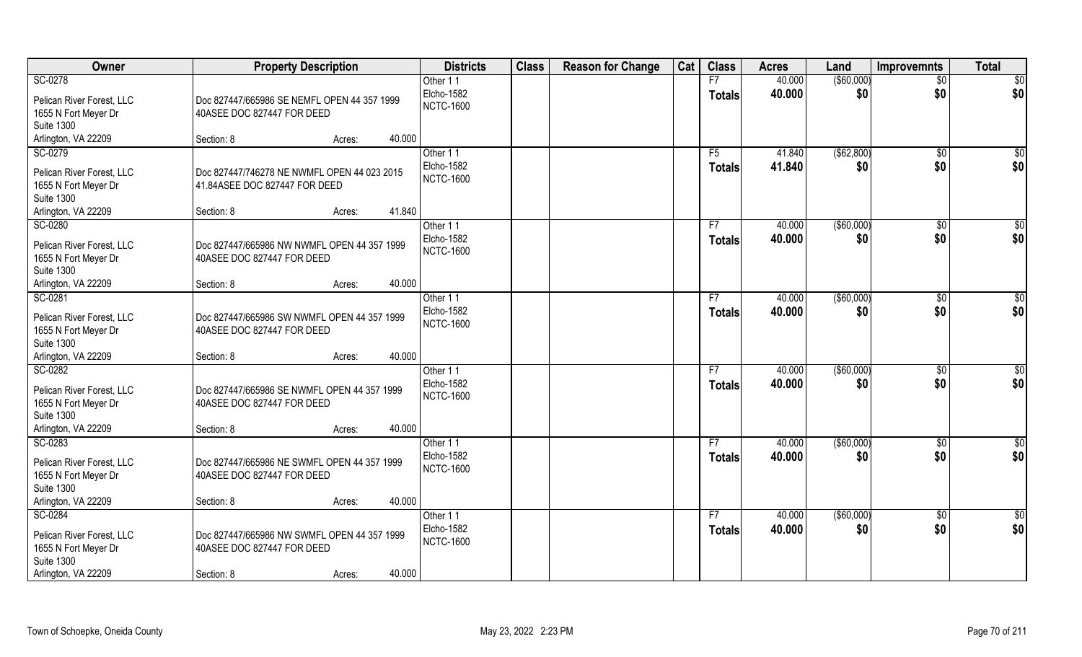| Owner                                                                                                    | <b>Property Description</b>                                                                       |        | <b>Districts</b>                           | <b>Class</b> | <b>Reason for Change</b> | Cat | <b>Class</b>        | <b>Acres</b>     | Land               | Improvemnts           | <b>Total</b>  |
|----------------------------------------------------------------------------------------------------------|---------------------------------------------------------------------------------------------------|--------|--------------------------------------------|--------------|--------------------------|-----|---------------------|------------------|--------------------|-----------------------|---------------|
| SC-0278                                                                                                  |                                                                                                   |        | Other 11                                   |              |                          |     | F7                  | 40.000           | ( \$60,000)        | $\overline{50}$       | \$0           |
| Pelican River Forest, LLC<br>1655 N Fort Meyer Dr                                                        | Doc 827447/665986 SE NEMFL OPEN 44 357 1999<br>40ASEE DOC 827447 FOR DEED                         |        | Elcho-1582<br><b>NCTC-1600</b>             |              |                          |     | <b>Totals</b>       | 40.000           | \$0                | \$0                   | \$0           |
| <b>Suite 1300</b>                                                                                        |                                                                                                   |        |                                            |              |                          |     |                     |                  |                    |                       |               |
| Arlington, VA 22209                                                                                      | Section: 8<br>Acres:                                                                              | 40.000 |                                            |              |                          |     |                     |                  |                    |                       |               |
| SC-0279                                                                                                  |                                                                                                   |        | Other 11                                   |              |                          |     | F5                  | 41.840           | ( \$62, 800)       | \$0                   | \$0           |
| Pelican River Forest, LLC<br>1655 N Fort Meyer Dr                                                        | Doc 827447/746278 NE NWMFL OPEN 44 023 2015<br>41.84ASEE DOC 827447 FOR DEED                      |        | Elcho-1582<br><b>NCTC-1600</b>             |              |                          |     | <b>Totals</b>       | 41.840           | \$0                | \$0                   | \$0           |
| <b>Suite 1300</b>                                                                                        |                                                                                                   |        |                                            |              |                          |     |                     |                  |                    |                       |               |
| Arlington, VA 22209                                                                                      | Section: 8<br>Acres:                                                                              | 41.840 |                                            |              |                          |     |                     |                  |                    |                       |               |
| SC-0280                                                                                                  |                                                                                                   |        | Other 11                                   |              |                          |     | F7                  | 40.000           | ( \$60,000)        | \$0                   | \$0           |
| Pelican River Forest, LLC<br>1655 N Fort Meyer Dr<br><b>Suite 1300</b>                                   | Doc 827447/665986 NW NWMFL OPEN 44 357 1999<br>40ASEE DOC 827447 FOR DEED                         |        | Elcho-1582<br><b>NCTC-1600</b>             |              |                          |     | <b>Totals</b>       | 40.000           | \$0                | \$0                   | \$0           |
| Arlington, VA 22209                                                                                      | Section: 8<br>Acres:                                                                              | 40.000 |                                            |              |                          |     |                     |                  |                    |                       |               |
| SC-0281                                                                                                  |                                                                                                   |        | Other 11                                   |              |                          |     | F7                  | 40.000           | ( \$60,000)        | $\sqrt[6]{3}$         | \$0           |
| Pelican River Forest, LLC<br>1655 N Fort Meyer Dr<br><b>Suite 1300</b>                                   | Doc 827447/665986 SW NWMFL OPEN 44 357 1999<br>40ASEE DOC 827447 FOR DEED                         |        | Elcho-1582<br><b>NCTC-1600</b>             |              |                          |     | <b>Totals</b>       | 40.000           | \$0                | \$0                   | \$0           |
| Arlington, VA 22209                                                                                      | Section: 8<br>Acres:                                                                              | 40.000 |                                            |              |                          |     |                     |                  |                    |                       |               |
| SC-0282<br>Pelican River Forest, LLC<br>1655 N Fort Meyer Dr<br><b>Suite 1300</b>                        | Doc 827447/665986 SE NWMFL OPEN 44 357 1999<br>40ASEE DOC 827447 FOR DEED                         |        | Other 11<br>Elcho-1582<br><b>NCTC-1600</b> |              |                          |     | F7<br><b>Totals</b> | 40.000<br>40.000 | ( \$60,000)<br>\$0 | $\sqrt[6]{30}$<br>\$0 | \$0<br>\$0    |
| Arlington, VA 22209                                                                                      | Section: 8<br>Acres:                                                                              | 40.000 |                                            |              |                          |     |                     |                  |                    |                       |               |
| SC-0283                                                                                                  |                                                                                                   |        | Other 11                                   |              |                          |     | F7                  | 40.000           | ( \$60,000)        | \$0                   | $\frac{6}{3}$ |
| Pelican River Forest, LLC<br>1655 N Fort Meyer Dr<br><b>Suite 1300</b>                                   | Doc 827447/665986 NE SWMFL OPEN 44 357 1999<br>40ASEE DOC 827447 FOR DEED                         |        | Elcho-1582<br><b>NCTC-1600</b>             |              |                          |     | <b>Totals</b>       | 40.000           | \$0                | \$0                   | \$0           |
| Arlington, VA 22209                                                                                      | Section: 8<br>Acres:                                                                              | 40.000 |                                            |              |                          |     |                     |                  |                    |                       |               |
| SC-0284<br>Pelican River Forest, LLC<br>1655 N Fort Meyer Dr<br><b>Suite 1300</b><br>Arlington, VA 22209 | Doc 827447/665986 NW SWMFL OPEN 44 357 1999<br>40ASEE DOC 827447 FOR DEED<br>Section: 8<br>Acres: | 40.000 | Other 11<br>Elcho-1582<br><b>NCTC-1600</b> |              |                          |     | F7<br><b>Totals</b> | 40.000<br>40.000 | ( \$60,000)<br>\$0 | $\sqrt{$0}$<br>\$0    | \$0<br>\$0    |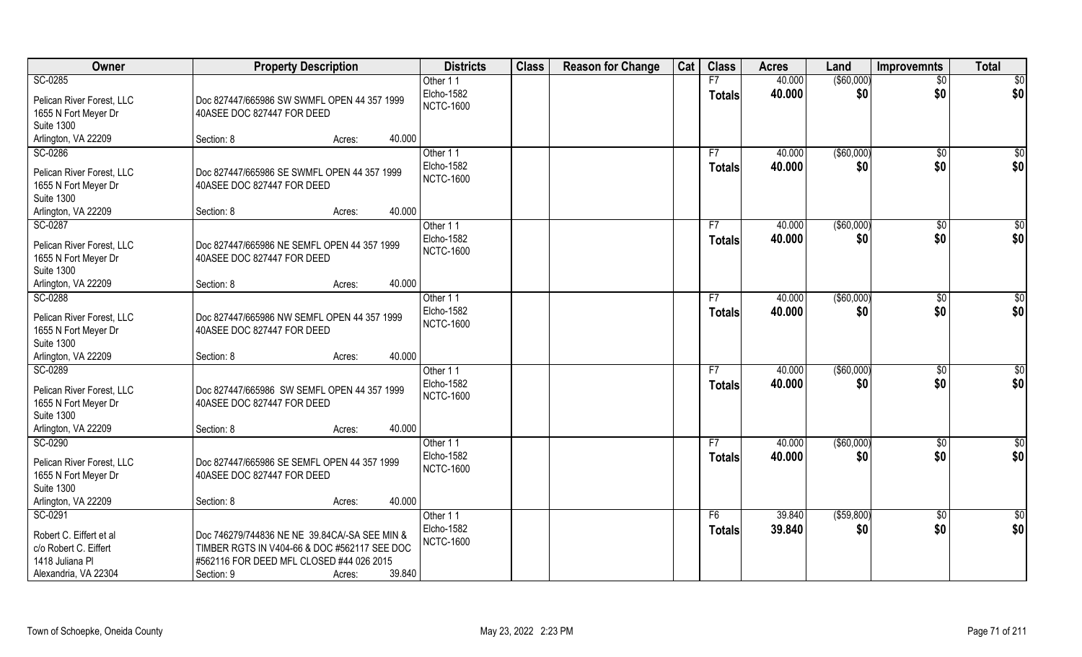| Owner                                                                                                  | <b>Property Description</b>                                                                                                                                                 | <b>Districts</b>                           | <b>Class</b> | <b>Reason for Change</b> | Cat | <b>Class</b>        | <b>Acres</b>     | Land                 | <b>Improvemnts</b>   | <b>Total</b>           |
|--------------------------------------------------------------------------------------------------------|-----------------------------------------------------------------------------------------------------------------------------------------------------------------------------|--------------------------------------------|--------------|--------------------------|-----|---------------------|------------------|----------------------|----------------------|------------------------|
| SC-0285                                                                                                |                                                                                                                                                                             | Other 11                                   |              |                          |     | F7                  | 40.000           | ( \$60,000)          | $\overline{50}$      | $\sqrt{6}$             |
| Pelican River Forest, LLC<br>1655 N Fort Meyer Dr<br><b>Suite 1300</b>                                 | Doc 827447/665986 SW SWMFL OPEN 44 357 1999<br>40ASEE DOC 827447 FOR DEED                                                                                                   | Elcho-1582<br><b>NCTC-1600</b>             |              |                          |     | <b>Totals</b>       | 40.000           | \$0                  | \$0                  | \$0                    |
| Arlington, VA 22209                                                                                    | 40.000<br>Section: 8<br>Acres:                                                                                                                                              |                                            |              |                          |     |                     |                  |                      |                      |                        |
| SC-0286                                                                                                |                                                                                                                                                                             | Other 11                                   |              |                          |     | F7                  | 40.000           | (\$60,000)           | \$0                  | \$0                    |
| Pelican River Forest, LLC<br>1655 N Fort Meyer Dr<br><b>Suite 1300</b>                                 | Doc 827447/665986 SE SWMFL OPEN 44 357 1999<br>40ASEE DOC 827447 FOR DEED                                                                                                   | Elcho-1582<br><b>NCTC-1600</b>             |              |                          |     | <b>Totals</b>       | 40.000           | \$0                  | \$0                  | \$0                    |
| Arlington, VA 22209                                                                                    | 40.000<br>Section: 8<br>Acres:                                                                                                                                              |                                            |              |                          |     |                     |                  |                      |                      |                        |
| SC-0287<br>Pelican River Forest, LLC<br>1655 N Fort Meyer Dr<br><b>Suite 1300</b>                      | Doc 827447/665986 NE SEMFL OPEN 44 357 1999<br>40ASEE DOC 827447 FOR DEED                                                                                                   | Other 11<br>Elcho-1582<br><b>NCTC-1600</b> |              |                          |     | F7<br><b>Totals</b> | 40.000<br>40.000 | ( \$60,000)<br>\$0   | $\sqrt{6}$<br>\$0    | \$0<br>\$0             |
| Arlington, VA 22209                                                                                    | 40.000<br>Section: 8<br>Acres:                                                                                                                                              |                                            |              |                          |     |                     |                  |                      |                      |                        |
| SC-0288<br>Pelican River Forest, LLC<br>1655 N Fort Meyer Dr<br><b>Suite 1300</b>                      | Doc 827447/665986 NW SEMFL OPEN 44 357 1999<br>40ASEE DOC 827447 FOR DEED                                                                                                   | Other 11<br>Elcho-1582<br><b>NCTC-1600</b> |              |                          |     | F7<br><b>Totals</b> | 40.000<br>40.000 | ( \$60,000)<br>\$0   | $\sqrt[6]{3}$<br>\$0 | \$0<br>\$0             |
| Arlington, VA 22209                                                                                    | 40.000<br>Section: 8<br>Acres:                                                                                                                                              |                                            |              |                          |     |                     |                  |                      |                      |                        |
| SC-0289<br>Pelican River Forest, LLC<br>1655 N Fort Meyer Dr<br><b>Suite 1300</b>                      | Doc 827447/665986 SW SEMFL OPEN 44 357 1999<br>40ASEE DOC 827447 FOR DEED                                                                                                   | Other 11<br>Elcho-1582<br><b>NCTC-1600</b> |              |                          |     | F7<br><b>Totals</b> | 40.000<br>40.000 | $($ \$60,000)<br>\$0 | \$0<br>\$0           | \$0<br>\$0             |
| Arlington, VA 22209                                                                                    | 40.000<br>Section: 8<br>Acres:                                                                                                                                              |                                            |              |                          |     |                     |                  |                      |                      |                        |
| SC-0290<br>Pelican River Forest, LLC<br>1655 N Fort Meyer Dr<br><b>Suite 1300</b>                      | Doc 827447/665986 SE SEMFL OPEN 44 357 1999<br>40ASEE DOC 827447 FOR DEED                                                                                                   | Other 11<br>Elcho-1582<br><b>NCTC-1600</b> |              |                          |     | F7<br><b>Totals</b> | 40.000<br>40.000 | $($ \$60,000)<br>\$0 | $\sqrt{6}$<br>\$0    | $\overline{60}$<br>\$0 |
| Arlington, VA 22209                                                                                    | 40.000<br>Section: 8<br>Acres:                                                                                                                                              |                                            |              |                          |     |                     |                  |                      |                      |                        |
| SC-0291<br>Robert C. Eiffert et al<br>c/o Robert C. Eiffert<br>1418 Juliana Pl<br>Alexandria, VA 22304 | Doc 746279/744836 NE NE 39.84CA/-SA SEE MIN &<br>TIMBER RGTS IN V404-66 & DOC #562117 SEE DOC<br>#562116 FOR DEED MFL CLOSED #44 026 2015<br>39.840<br>Section: 9<br>Acres: | Other 11<br>Elcho-1582<br><b>NCTC-1600</b> |              |                          |     | F6<br><b>Totals</b> | 39.840<br>39.840 | ( \$59, 800)<br>\$0  | \$0<br>\$0           | \$0<br>\$0             |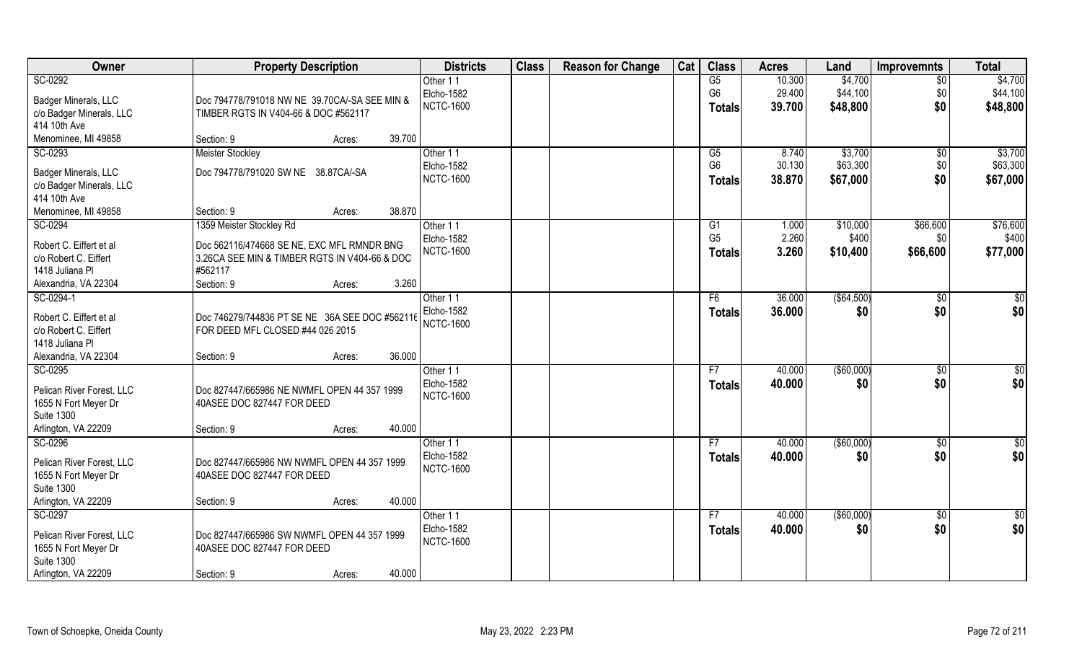| Owner                                    | <b>Property Description</b>                              | <b>Districts</b> | <b>Class</b> | <b>Reason for Change</b> | Cat | <b>Class</b>    | <b>Acres</b> | Land        | <b>Improvemnts</b> | <b>Total</b>    |
|------------------------------------------|----------------------------------------------------------|------------------|--------------|--------------------------|-----|-----------------|--------------|-------------|--------------------|-----------------|
| SC-0292                                  |                                                          | Other 11         |              |                          |     | G5              | 10.300       | \$4,700     | $\overline{50}$    | \$4,700         |
| Badger Minerals, LLC                     | Doc 794778/791018 NW NE 39.70CA/-SA SEE MIN &            | Elcho-1582       |              |                          |     | G <sub>6</sub>  | 29.400       | \$44,100    | \$0                | \$44,100        |
| c/o Badger Minerals, LLC                 | TIMBER RGTS IN V404-66 & DOC #562117                     | <b>NCTC-1600</b> |              |                          |     | <b>Totals</b>   | 39.700       | \$48,800    | \$0                | \$48,800        |
| 414 10th Ave                             |                                                          |                  |              |                          |     |                 |              |             |                    |                 |
| Menominee, MI 49858                      | 39.700<br>Section: 9<br>Acres:                           |                  |              |                          |     |                 |              |             |                    |                 |
| SC-0293                                  | <b>Meister Stockley</b>                                  | Other 11         |              |                          |     | $\overline{G5}$ | 8.740        | \$3,700     | $\overline{50}$    | \$3,700         |
| Badger Minerals, LLC                     | Doc 794778/791020 SW NE 38.87CA/-SA                      | Elcho-1582       |              |                          |     | G <sub>6</sub>  | 30.130       | \$63,300    | \$0                | \$63,300        |
| c/o Badger Minerals, LLC                 |                                                          | <b>NCTC-1600</b> |              |                          |     | <b>Totals</b>   | 38.870       | \$67,000    | \$0                | \$67,000        |
| 414 10th Ave                             |                                                          |                  |              |                          |     |                 |              |             |                    |                 |
| Menominee, MI 49858                      | 38.870<br>Section: 9<br>Acres:                           |                  |              |                          |     |                 |              |             |                    |                 |
| SC-0294                                  | 1359 Meister Stockley Rd                                 | Other 11         |              |                          |     | G1              | 1.000        | \$10,000    | \$66,600           | \$76,600        |
|                                          |                                                          | Elcho-1582       |              |                          |     | G <sub>5</sub>  | 2.260        | \$400       | \$0                | \$400           |
| Robert C. Eiffert et al                  | Doc 562116/474668 SE NE, EXC MFL RMNDR BNG               | <b>NCTC-1600</b> |              |                          |     | <b>Totals</b>   | 3.260        | \$10,400    | \$66,600           | \$77,000        |
| c/o Robert C. Eiffert<br>1418 Juliana Pl | 3.26CA SEE MIN & TIMBER RGTS IN V404-66 & DOC<br>#562117 |                  |              |                          |     |                 |              |             |                    |                 |
| Alexandria, VA 22304                     | 3.260<br>Section: 9<br>Acres:                            |                  |              |                          |     |                 |              |             |                    |                 |
| SC-0294-1                                |                                                          | Other 11         |              |                          |     | F6              | 36.000       | ( \$64,500) | \$0                | \$0             |
|                                          |                                                          | Elcho-1582       |              |                          |     | <b>Totals</b>   | 36,000       | \$0         | \$0                | \$0             |
| Robert C. Eiffert et al                  | Doc 746279/744836 PT SE NE 36A SEE DOC #562116           | <b>NCTC-1600</b> |              |                          |     |                 |              |             |                    |                 |
| c/o Robert C. Eiffert                    | FOR DEED MFL CLOSED #44 026 2015                         |                  |              |                          |     |                 |              |             |                    |                 |
| 1418 Juliana Pl                          |                                                          |                  |              |                          |     |                 |              |             |                    |                 |
| Alexandria, VA 22304                     | 36.000<br>Section: 9<br>Acres:                           |                  |              |                          |     |                 |              |             |                    |                 |
| SC-0295                                  |                                                          | Other 11         |              |                          |     | F7              | 40.000       | (\$60,000)  | \$0                | $\overline{50}$ |
| Pelican River Forest, LLC                | Doc 827447/665986 NE NWMFL OPEN 44 357 1999              | Elcho-1582       |              |                          |     | <b>Totals</b>   | 40.000       | \$0         | \$0                | \$0             |
| 1655 N Fort Meyer Dr                     | 40ASEE DOC 827447 FOR DEED                               | <b>NCTC-1600</b> |              |                          |     |                 |              |             |                    |                 |
| <b>Suite 1300</b>                        |                                                          |                  |              |                          |     |                 |              |             |                    |                 |
| Arlington, VA 22209                      | 40.000<br>Section: 9<br>Acres:                           |                  |              |                          |     |                 |              |             |                    |                 |
| SC-0296                                  |                                                          | Other 11         |              |                          |     | F7              | 40.000       | ( \$60,000) | \$0                | $\frac{6}{3}$   |
| Pelican River Forest, LLC                | Doc 827447/665986 NW NWMFL OPEN 44 357 1999              | Elcho-1582       |              |                          |     | <b>Totals</b>   | 40.000       | \$0         | \$0                | \$0             |
| 1655 N Fort Meyer Dr                     | 40ASEE DOC 827447 FOR DEED                               | <b>NCTC-1600</b> |              |                          |     |                 |              |             |                    |                 |
| <b>Suite 1300</b>                        |                                                          |                  |              |                          |     |                 |              |             |                    |                 |
| Arlington, VA 22209                      | 40.000<br>Section: 9<br>Acres:                           |                  |              |                          |     |                 |              |             |                    |                 |
| SC-0297                                  |                                                          | Other 11         |              |                          |     | F7              | 40.000       | ( \$60,000) | $\sqrt{$0}$        | \$0             |
| Pelican River Forest, LLC                | Doc 827447/665986 SW NWMFL OPEN 44 357 1999              | Elcho-1582       |              |                          |     | <b>Totals</b>   | 40.000       | \$0         | \$0                | \$0             |
| 1655 N Fort Meyer Dr                     | 40ASEE DOC 827447 FOR DEED                               | <b>NCTC-1600</b> |              |                          |     |                 |              |             |                    |                 |
| <b>Suite 1300</b>                        |                                                          |                  |              |                          |     |                 |              |             |                    |                 |
| Arlington, VA 22209                      | 40.000<br>Section: 9<br>Acres:                           |                  |              |                          |     |                 |              |             |                    |                 |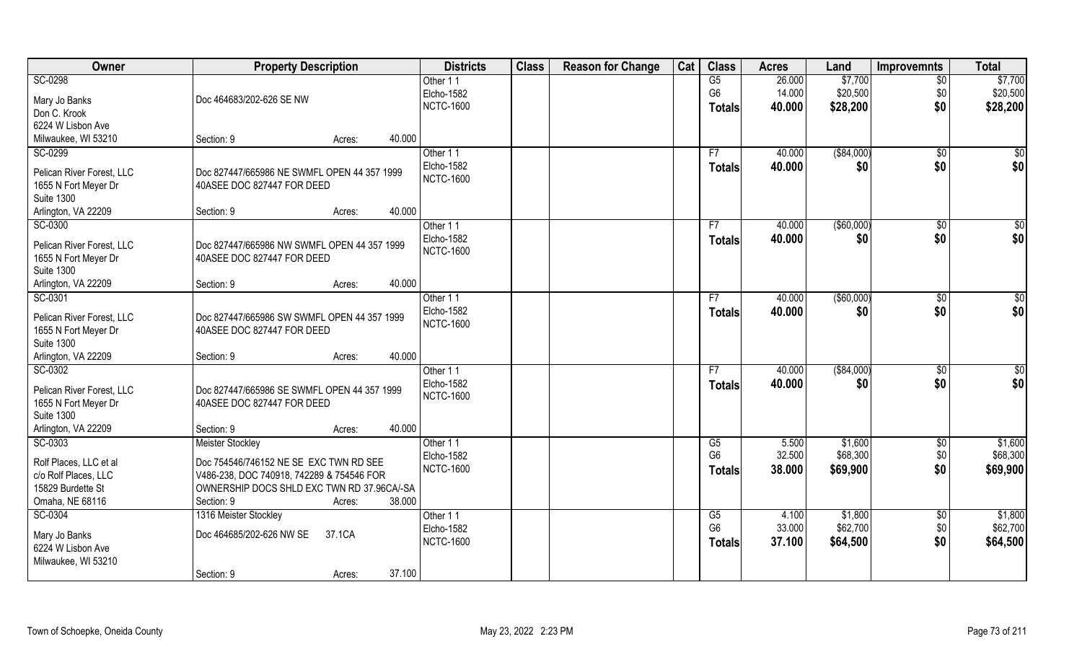| Owner                     | <b>Property Description</b>                 |        |        | <b>Districts</b> | <b>Class</b> | <b>Reason for Change</b> | Cat | <b>Class</b>   | <b>Acres</b> | Land          | <b>Improvemnts</b> | <b>Total</b>    |
|---------------------------|---------------------------------------------|--------|--------|------------------|--------------|--------------------------|-----|----------------|--------------|---------------|--------------------|-----------------|
| SC-0298                   |                                             |        |        | Other 11         |              |                          |     | G5             | 26.000       | \$7,700       | $\overline{50}$    | \$7,700         |
| Mary Jo Banks             | Doc 464683/202-626 SE NW                    |        |        | Elcho-1582       |              |                          |     | G <sub>6</sub> | 14.000       | \$20,500      | \$0                | \$20,500        |
| Don C. Krook              |                                             |        |        | <b>NCTC-1600</b> |              |                          |     | <b>Totals</b>  | 40.000       | \$28,200      | \$0                | \$28,200        |
| 6224 W Lisbon Ave         |                                             |        |        |                  |              |                          |     |                |              |               |                    |                 |
| Milwaukee, WI 53210       | Section: 9                                  | Acres: | 40.000 |                  |              |                          |     |                |              |               |                    |                 |
| SC-0299                   |                                             |        |        | Other 11         |              |                          |     | F7             | 40.000       | ( \$84,000)   | \$0                | \$0             |
| Pelican River Forest, LLC | Doc 827447/665986 NE SWMFL OPEN 44 357 1999 |        |        | Elcho-1582       |              |                          |     | <b>Totals</b>  | 40.000       | \$0           | \$0                | \$0             |
| 1655 N Fort Meyer Dr      | 40ASEE DOC 827447 FOR DEED                  |        |        | <b>NCTC-1600</b> |              |                          |     |                |              |               |                    |                 |
| <b>Suite 1300</b>         |                                             |        |        |                  |              |                          |     |                |              |               |                    |                 |
| Arlington, VA 22209       | Section: 9                                  | Acres: | 40.000 |                  |              |                          |     |                |              |               |                    |                 |
| SC-0300                   |                                             |        |        | Other 11         |              |                          |     | F7             | 40.000       | ( \$60,000)   | \$0                | $\overline{50}$ |
| Pelican River Forest, LLC | Doc 827447/665986 NW SWMFL OPEN 44 357 1999 |        |        | Elcho-1582       |              |                          |     | <b>Totals</b>  | 40.000       | \$0           | \$0                | \$0             |
| 1655 N Fort Meyer Dr      | 40ASEE DOC 827447 FOR DEED                  |        |        | <b>NCTC-1600</b> |              |                          |     |                |              |               |                    |                 |
| <b>Suite 1300</b>         |                                             |        |        |                  |              |                          |     |                |              |               |                    |                 |
| Arlington, VA 22209       | Section: 9                                  | Acres: | 40.000 |                  |              |                          |     |                |              |               |                    |                 |
| SC-0301                   |                                             |        |        | Other 11         |              |                          |     | F7             | 40.000       | $($ \$60,000) | $\sqrt[6]{3}$      | \$0             |
| Pelican River Forest, LLC | Doc 827447/665986 SW SWMFL OPEN 44 357 1999 |        |        | Elcho-1582       |              |                          |     | <b>Totals</b>  | 40.000       | \$0           | \$0                | \$0             |
| 1655 N Fort Meyer Dr      | 40ASEE DOC 827447 FOR DEED                  |        |        | <b>NCTC-1600</b> |              |                          |     |                |              |               |                    |                 |
| <b>Suite 1300</b>         |                                             |        |        |                  |              |                          |     |                |              |               |                    |                 |
| Arlington, VA 22209       | Section: 9                                  | Acres: | 40.000 |                  |              |                          |     |                |              |               |                    |                 |
| SC-0302                   |                                             |        |        | Other 11         |              |                          |     | F7             | 40.000       | ( \$84,000)   | \$0                | $\overline{50}$ |
| Pelican River Forest, LLC | Doc 827447/665986 SE SWMFL OPEN 44 357 1999 |        |        | Elcho-1582       |              |                          |     | <b>Totals</b>  | 40.000       | \$0           | \$0                | \$0             |
| 1655 N Fort Meyer Dr      | 40ASEE DOC 827447 FOR DEED                  |        |        | <b>NCTC-1600</b> |              |                          |     |                |              |               |                    |                 |
| <b>Suite 1300</b>         |                                             |        |        |                  |              |                          |     |                |              |               |                    |                 |
| Arlington, VA 22209       | Section: 9                                  | Acres: | 40.000 |                  |              |                          |     |                |              |               |                    |                 |
| SC-0303                   | <b>Meister Stockley</b>                     |        |        | Other 11         |              |                          |     | G5             | 5.500        | \$1,600       | $\overline{50}$    | \$1,600         |
| Rolf Places, LLC et al    | Doc 754546/746152 NE SE EXC TWN RD SEE      |        |        | Elcho-1582       |              |                          |     | G <sub>6</sub> | 32.500       | \$68,300      | \$0                | \$68,300        |
| c/o Rolf Places, LLC      | V486-238, DOC 740918, 742289 & 754546 FOR   |        |        | <b>NCTC-1600</b> |              |                          |     | <b>Totals</b>  | 38.000       | \$69,900      | \$0                | \$69,900        |
| 15829 Burdette St         | OWNERSHIP DOCS SHLD EXC TWN RD 37.96CA/-SA  |        |        |                  |              |                          |     |                |              |               |                    |                 |
| Omaha, NE 68116           | Section: 9                                  | Acres: | 38.000 |                  |              |                          |     |                |              |               |                    |                 |
| SC-0304                   | 1316 Meister Stockley                       |        |        | Other 11         |              |                          |     | G5             | 4.100        | \$1,800       | $\sqrt{$0}$        | \$1,800         |
| Mary Jo Banks             | Doc 464685/202-626 NW SE                    | 37.1CA |        | Elcho-1582       |              |                          |     | G <sub>6</sub> | 33.000       | \$62,700      | \$0                | \$62,700        |
| 6224 W Lisbon Ave         |                                             |        |        | <b>NCTC-1600</b> |              |                          |     | <b>Totals</b>  | 37.100       | \$64,500      | \$0                | \$64,500        |
| Milwaukee, WI 53210       |                                             |        |        |                  |              |                          |     |                |              |               |                    |                 |
|                           | Section: 9                                  | Acres: | 37.100 |                  |              |                          |     |                |              |               |                    |                 |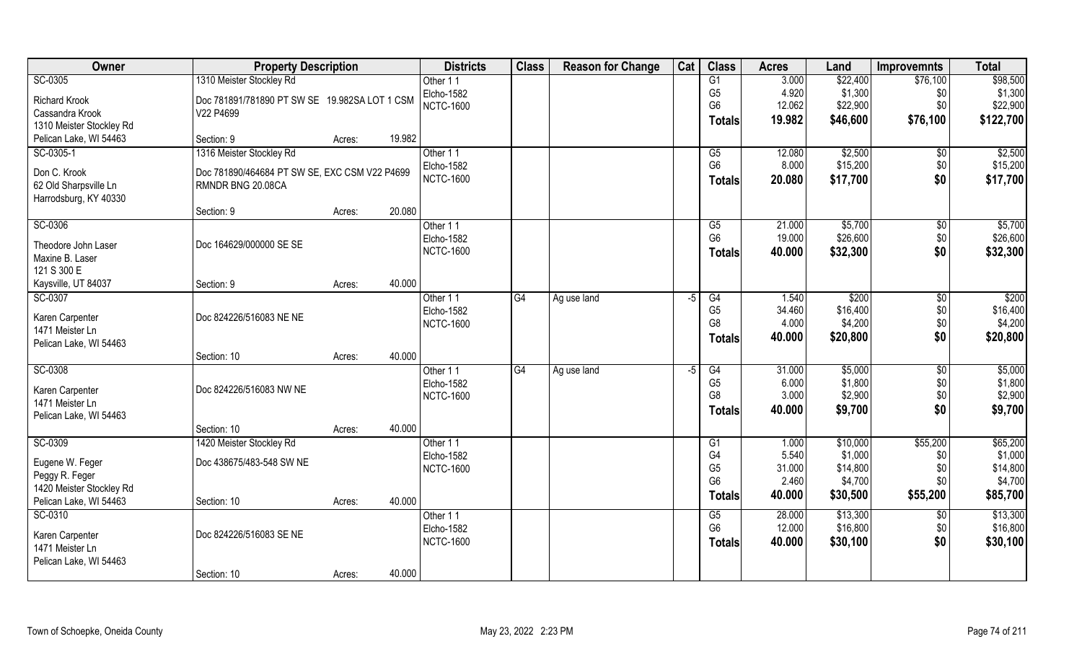| Owner                    | <b>Property Description</b>                   |        |        | <b>Districts</b> | <b>Class</b> | <b>Reason for Change</b> | Cat | <b>Class</b>   | <b>Acres</b> | Land     | <b>Improvemnts</b> | <b>Total</b> |
|--------------------------|-----------------------------------------------|--------|--------|------------------|--------------|--------------------------|-----|----------------|--------------|----------|--------------------|--------------|
| SC-0305                  | 1310 Meister Stockley Rd                      |        |        | Other 11         |              |                          |     | G1             | 3.000        | \$22,400 | \$76,100           | \$98,500     |
| <b>Richard Krook</b>     | Doc 781891/781890 PT SW SE 19.982SA LOT 1 CSM |        |        | Elcho-1582       |              |                          |     | G <sub>5</sub> | 4.920        | \$1,300  | \$0                | \$1,300      |
| Cassandra Krook          | V22 P4699                                     |        |        | <b>NCTC-1600</b> |              |                          |     | G <sub>6</sub> | 12.062       | \$22,900 | \$0                | \$22,900     |
| 1310 Meister Stockley Rd |                                               |        |        |                  |              |                          |     | <b>Totals</b>  | 19.982       | \$46,600 | \$76,100           | \$122,700    |
| Pelican Lake, WI 54463   | Section: 9                                    | Acres: | 19.982 |                  |              |                          |     |                |              |          |                    |              |
| SC-0305-1                | 1316 Meister Stockley Rd                      |        |        | Other 11         |              |                          |     | G5             | 12.080       | \$2,500  | $\sqrt{$0}$        | \$2,500      |
| Don C. Krook             | Doc 781890/464684 PT SW SE, EXC CSM V22 P4699 |        |        | Elcho-1582       |              |                          |     | G <sub>6</sub> | 8.000        | \$15,200 | \$0                | \$15,200     |
| 62 Old Sharpsville Ln    | RMNDR BNG 20.08CA                             |        |        | <b>NCTC-1600</b> |              |                          |     | <b>Totals</b>  | 20.080       | \$17,700 | \$0                | \$17,700     |
| Harrodsburg, KY 40330    |                                               |        |        |                  |              |                          |     |                |              |          |                    |              |
|                          | Section: 9                                    | Acres: | 20.080 |                  |              |                          |     |                |              |          |                    |              |
| SC-0306                  |                                               |        |        | Other 11         |              |                          |     | G5             | 21.000       | \$5,700  | $\sqrt[6]{30}$     | \$5,700      |
| Theodore John Laser      | Doc 164629/000000 SE SE                       |        |        | Elcho-1582       |              |                          |     | G <sub>6</sub> | 19.000       | \$26,600 | \$0                | \$26,600     |
| Maxine B. Laser          |                                               |        |        | <b>NCTC-1600</b> |              |                          |     | Totals         | 40.000       | \$32,300 | \$0                | \$32,300     |
| 121 S 300 E              |                                               |        |        |                  |              |                          |     |                |              |          |                    |              |
| Kaysville, UT 84037      | Section: 9                                    | Acres: | 40.000 |                  |              |                          |     |                |              |          |                    |              |
| SC-0307                  |                                               |        |        | Other 11         | G4           | Ag use land              | -5  | G4             | 1.540        | \$200    | $\sqrt[6]{3}$      | \$200        |
| Karen Carpenter          | Doc 824226/516083 NE NE                       |        |        | Elcho-1582       |              |                          |     | G <sub>5</sub> | 34.460       | \$16,400 | \$0                | \$16,400     |
| 1471 Meister Ln          |                                               |        |        | <b>NCTC-1600</b> |              |                          |     | G <sub>8</sub> | 4.000        | \$4,200  | \$0                | \$4,200      |
| Pelican Lake, WI 54463   |                                               |        |        |                  |              |                          |     | <b>Totals</b>  | 40.000       | \$20,800 | \$0                | \$20,800     |
|                          | Section: 10                                   | Acres: | 40.000 |                  |              |                          |     |                |              |          |                    |              |
| SC-0308                  |                                               |        |        | Other 11         | G4           | Ag use land              | -5  | G4             | 31.000       | \$5,000  | \$0                | \$5,000      |
| Karen Carpenter          | Doc 824226/516083 NW NE                       |        |        | Elcho-1582       |              |                          |     | G <sub>5</sub> | 6.000        | \$1,800  | \$0                | \$1,800      |
| 1471 Meister Ln          |                                               |        |        | <b>NCTC-1600</b> |              |                          |     | G <sub>8</sub> | 3.000        | \$2,900  | \$0                | \$2,900      |
| Pelican Lake, WI 54463   |                                               |        |        |                  |              |                          |     | <b>Totals</b>  | 40.000       | \$9,700  | \$0                | \$9,700      |
|                          | Section: 10                                   | Acres: | 40.000 |                  |              |                          |     |                |              |          |                    |              |
| SC-0309                  | 1420 Meister Stockley Rd                      |        |        | Other 11         |              |                          |     | G1             | 1.000        | \$10,000 | \$55,200           | \$65,200     |
| Eugene W. Feger          | Doc 438675/483-548 SW NE                      |        |        | Elcho-1582       |              |                          |     | G4             | 5.540        | \$1,000  | \$0                | \$1,000      |
| Peggy R. Feger           |                                               |        |        | <b>NCTC-1600</b> |              |                          |     | G <sub>5</sub> | 31.000       | \$14,800 | \$0                | \$14,800     |
| 1420 Meister Stockley Rd |                                               |        |        |                  |              |                          |     | G <sub>6</sub> | 2.460        | \$4,700  | \$0\$              | \$4,700      |
| Pelican Lake, WI 54463   | Section: 10                                   | Acres: | 40.000 |                  |              |                          |     | <b>Totals</b>  | 40.000       | \$30,500 | \$55,200           | \$85,700     |
| SC-0310                  |                                               |        |        | Other 11         |              |                          |     | G5             | 28.000       | \$13,300 | \$0                | \$13,300     |
| Karen Carpenter          | Doc 824226/516083 SE NE                       |        |        | Elcho-1582       |              |                          |     | G <sub>6</sub> | 12.000       | \$16,800 | \$0                | \$16,800     |
| 1471 Meister Ln          |                                               |        |        | <b>NCTC-1600</b> |              |                          |     | <b>Totals</b>  | 40.000       | \$30,100 | \$0                | \$30,100     |
| Pelican Lake, WI 54463   |                                               |        |        |                  |              |                          |     |                |              |          |                    |              |
|                          | Section: 10                                   | Acres: | 40.000 |                  |              |                          |     |                |              |          |                    |              |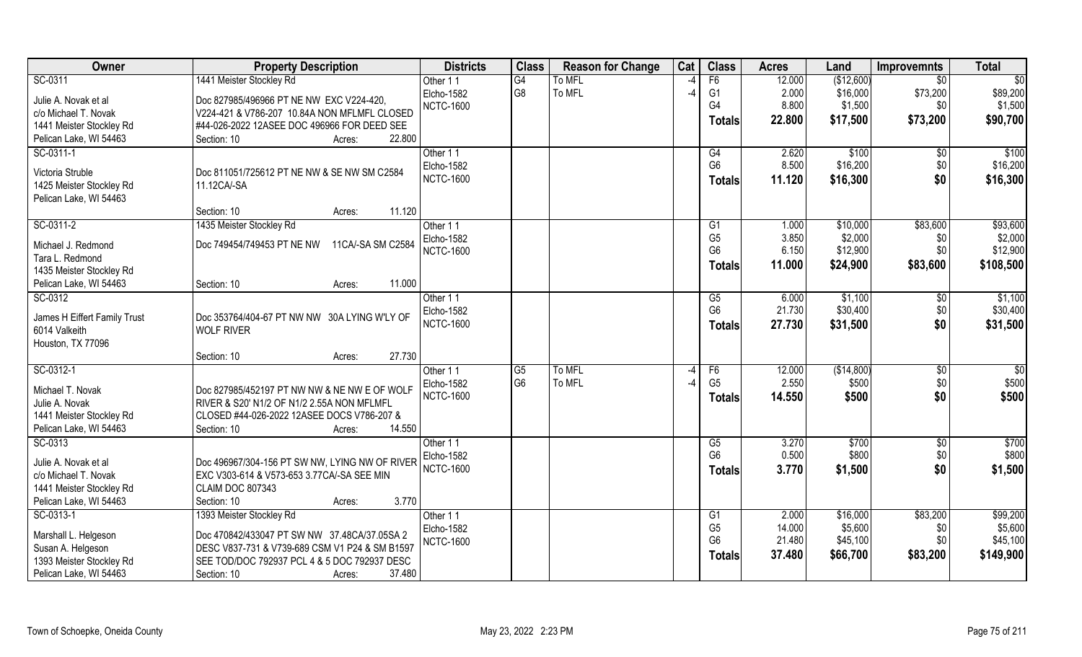| Owner                                        | <b>Property Description</b>                                           | <b>Districts</b> | <b>Class</b>   | <b>Reason for Change</b> | Cat           | <b>Class</b>   | <b>Acres</b> | Land       | <b>Improvemnts</b> | <b>Total</b>    |
|----------------------------------------------|-----------------------------------------------------------------------|------------------|----------------|--------------------------|---------------|----------------|--------------|------------|--------------------|-----------------|
| SC-0311                                      | 1441 Meister Stockley Rd                                              | Other 11         | G4             | To MFL                   |               | F6             | 12.000       | (\$12,600) | $\overline{50}$    | $\overline{50}$ |
| Julie A. Novak et al                         | Doc 827985/496966 PT NE NW EXC V224-420,                              | Elcho-1582       | G <sub>8</sub> | To MFL                   | $\mathcal{A}$ | G <sub>1</sub> | 2.000        | \$16,000   | \$73,200           | \$89,200        |
| c/o Michael T. Novak                         | V224-421 & V786-207 10.84A NON MFLMFL CLOSED                          | <b>NCTC-1600</b> |                |                          |               | G4             | 8.800        | \$1,500    | \$0                | \$1,500         |
| 1441 Meister Stockley Rd                     | #44-026-2022 12ASEE DOC 496966 FOR DEED SEE                           |                  |                |                          |               | <b>Totals</b>  | 22.800       | \$17,500   | \$73,200           | \$90,700        |
| Pelican Lake, WI 54463                       | 22.800<br>Section: 10<br>Acres:                                       |                  |                |                          |               |                |              |            |                    |                 |
| SC-0311-1                                    |                                                                       | Other 11         |                |                          |               | G4             | 2.620        | \$100      | $\sqrt{$0}$        | \$100           |
|                                              |                                                                       | Elcho-1582       |                |                          |               | G <sub>6</sub> | 8.500        | \$16,200   | \$0                | \$16,200        |
| Victoria Struble                             | Doc 811051/725612 PT NE NW & SE NW SM C2584                           | <b>NCTC-1600</b> |                |                          |               | <b>Totals</b>  | 11.120       | \$16,300   | \$0                | \$16,300        |
| 1425 Meister Stockley Rd                     | 11.12CA/-SA                                                           |                  |                |                          |               |                |              |            |                    |                 |
| Pelican Lake, WI 54463                       | 11.120<br>Section: 10<br>Acres:                                       |                  |                |                          |               |                |              |            |                    |                 |
| SC-0311-2                                    | 1435 Meister Stockley Rd                                              | Other 11         |                |                          |               | G1             | 1.000        | \$10,000   | \$83,600           | \$93,600        |
|                                              |                                                                       | Elcho-1582       |                |                          |               | G <sub>5</sub> | 3.850        | \$2,000    | \$0                | \$2,000         |
| Michael J. Redmond                           | Doc 749454/749453 PT NE NW<br>11CA/-SA SM C2584                       | <b>NCTC-1600</b> |                |                          |               | G <sub>6</sub> | 6.150        | \$12,900   | \$0                | \$12,900        |
| Tara L. Redmond                              |                                                                       |                  |                |                          |               | Totals         | 11.000       | \$24,900   | \$83,600           | \$108,500       |
| 1435 Meister Stockley Rd                     |                                                                       |                  |                |                          |               |                |              |            |                    |                 |
| Pelican Lake, WI 54463                       | 11.000<br>Section: 10<br>Acres:                                       |                  |                |                          |               |                |              |            |                    |                 |
| SC-0312                                      |                                                                       | Other 11         |                |                          |               | G5             | 6.000        | \$1,100    | \$0                | \$1,100         |
| James H Eiffert Family Trust                 | Doc 353764/404-67 PT NW NW 30A LYING W'LY OF                          | Elcho-1582       |                |                          |               | G <sub>6</sub> | 21.730       | \$30,400   | \$0                | \$30,400        |
| 6014 Valkeith                                | <b>WOLF RIVER</b>                                                     | <b>NCTC-1600</b> |                |                          |               | Totals         | 27.730       | \$31,500   | \$0                | \$31,500        |
| Houston, TX 77096                            |                                                                       |                  |                |                          |               |                |              |            |                    |                 |
|                                              | 27.730<br>Section: 10<br>Acres:                                       |                  |                |                          |               |                |              |            |                    |                 |
| SC-0312-1                                    |                                                                       | Other 11         | G <sub>5</sub> | To MFL                   | $-4$          | F6             | 12.000       | (\$14,800) | \$0                | $\sqrt{50}$     |
| Michael T. Novak                             | Doc 827985/452197 PT NW NW & NE NW E OF WOLF                          | Elcho-1582       | G <sub>6</sub> | To MFL                   |               | G <sub>5</sub> | 2.550        | \$500      | \$0                | \$500           |
| Julie A. Novak                               | RIVER & S20' N1/2 OF N1/2 2.55A NON MFLMFL                            | <b>NCTC-1600</b> |                |                          |               | Totals         | 14.550       | \$500      | \$0                | \$500           |
| 1441 Meister Stockley Rd                     | CLOSED #44-026-2022 12ASEE DOCS V786-207 &                            |                  |                |                          |               |                |              |            |                    |                 |
| Pelican Lake, WI 54463                       | 14.550<br>Section: 10<br>Acres:                                       |                  |                |                          |               |                |              |            |                    |                 |
| SC-0313                                      |                                                                       | Other 11         |                |                          |               | G5             | 3.270        | \$700      | \$0                | \$700           |
|                                              |                                                                       | Elcho-1582       |                |                          |               | G <sub>6</sub> | 0.500        | \$800      | \$0                | \$800           |
| Julie A. Novak et al<br>c/o Michael T. Novak | Doc 496967/304-156 PT SW NW, LYING NW OF RIVER                        | <b>NCTC-1600</b> |                |                          |               | <b>Totals</b>  | 3.770        | \$1,500    | \$0                | \$1,500         |
| 1441 Meister Stockley Rd                     | EXC V303-614 & V573-653 3.77CA/-SA SEE MIN<br><b>CLAIM DOC 807343</b> |                  |                |                          |               |                |              |            |                    |                 |
| Pelican Lake, WI 54463                       | 3.770<br>Section: 10<br>Acres:                                        |                  |                |                          |               |                |              |            |                    |                 |
| SC-0313-1                                    | 1393 Meister Stockley Rd                                              | Other 11         |                |                          |               | G1             | 2.000        | \$16,000   | \$83,200           | \$99,200        |
|                                              |                                                                       | Elcho-1582       |                |                          |               | G <sub>5</sub> | 14.000       | \$5,600    | \$0                | \$5,600         |
| Marshall L. Helgeson                         | Doc 470842/433047 PT SW NW 37.48CA/37.05SA 2                          | <b>NCTC-1600</b> |                |                          |               | G <sub>6</sub> | 21.480       | \$45,100   | \$0                | \$45,100        |
| Susan A. Helgeson                            | DESC V837-731 & V739-689 CSM V1 P24 & SM B1597                        |                  |                |                          |               | <b>Totals</b>  | 37.480       | \$66,700   | \$83,200           | \$149,900       |
| 1393 Meister Stockley Rd                     | SEE TOD/DOC 792937 PCL 4 & 5 DOC 792937 DESC                          |                  |                |                          |               |                |              |            |                    |                 |
| Pelican Lake, WI 54463                       | 37.480<br>Section: 10<br>Acres:                                       |                  |                |                          |               |                |              |            |                    |                 |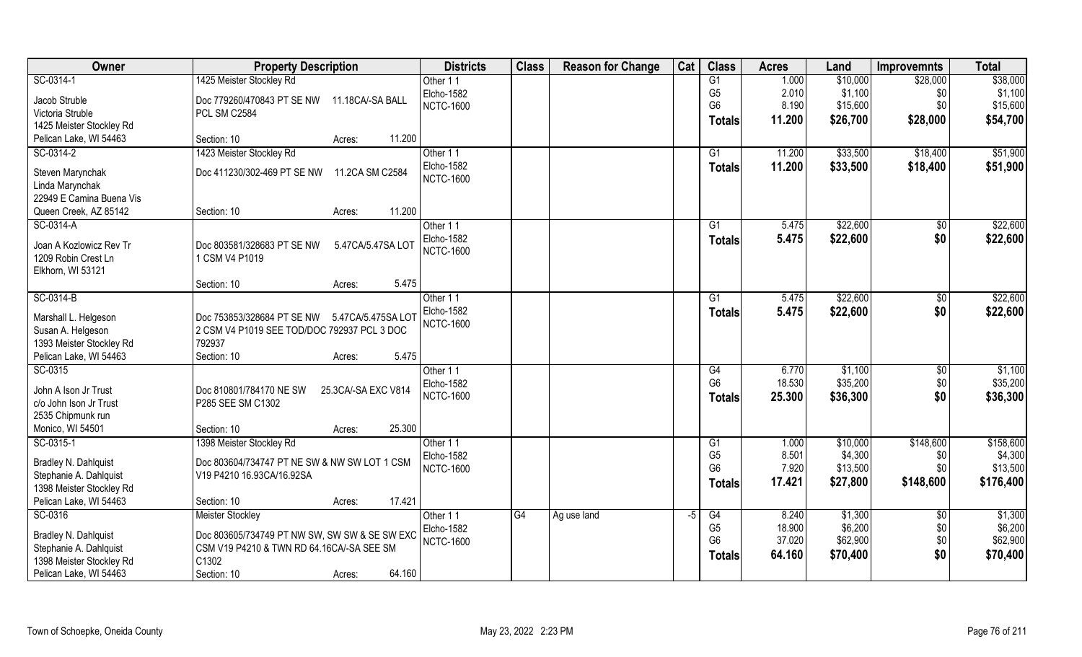| Owner                                       | <b>Property Description</b>                     | <b>Districts</b>  | <b>Class</b>    | <b>Reason for Change</b> | Cat | <b>Class</b>    | <b>Acres</b> | Land     | <b>Improvemnts</b> | <b>Total</b> |
|---------------------------------------------|-------------------------------------------------|-------------------|-----------------|--------------------------|-----|-----------------|--------------|----------|--------------------|--------------|
| SC-0314-1                                   | 1425 Meister Stockley Rd                        | Other 11          |                 |                          |     | G1              | 1.000        | \$10,000 | \$28,000           | \$38,000     |
| Jacob Struble                               | Doc 779260/470843 PT SE NW<br>11.18CA/-SA BALL  | <b>Elcho-1582</b> |                 |                          |     | G <sub>5</sub>  | 2.010        | \$1,100  | \$0                | \$1,100      |
| Victoria Struble                            | PCL SM C2584                                    | <b>NCTC-1600</b>  |                 |                          |     | G <sub>6</sub>  | 8.190        | \$15,600 | \$0                | \$15,600     |
| 1425 Meister Stockley Rd                    |                                                 |                   |                 |                          |     | <b>Totals</b>   | 11.200       | \$26,700 | \$28,000           | \$54,700     |
| Pelican Lake, WI 54463                      | 11.200<br>Section: 10<br>Acres:                 |                   |                 |                          |     |                 |              |          |                    |              |
| SC-0314-2                                   | 1423 Meister Stockley Rd                        | Other 11          |                 |                          |     | $\overline{G1}$ | 11.200       | \$33,500 | \$18,400           | \$51,900     |
|                                             |                                                 | Elcho-1582        |                 |                          |     | <b>Totals</b>   | 11.200       | \$33,500 | \$18,400           | \$51,900     |
| Steven Marynchak                            | Doc 411230/302-469 PT SE NW<br>11.2CA SM C2584  | <b>NCTC-1600</b>  |                 |                          |     |                 |              |          |                    |              |
| Linda Marynchak<br>22949 E Camina Buena Vis |                                                 |                   |                 |                          |     |                 |              |          |                    |              |
| Queen Creek, AZ 85142                       | 11.200<br>Section: 10<br>Acres:                 |                   |                 |                          |     |                 |              |          |                    |              |
| SC-0314-A                                   |                                                 | Other 11          |                 |                          |     | G1              | 5.475        | \$22,600 | $\sqrt[6]{3}$      | \$22,600     |
|                                             |                                                 | Elcho-1582        |                 |                          |     |                 | 5.475        | \$22,600 | \$0                |              |
| Joan A Kozlowicz Rev Tr                     | Doc 803581/328683 PT SE NW<br>5.47CA/5.47SA LOT | <b>NCTC-1600</b>  |                 |                          |     | <b>Totals</b>   |              |          |                    | \$22,600     |
| 1209 Robin Crest Ln                         | 1 CSM V4 P1019                                  |                   |                 |                          |     |                 |              |          |                    |              |
| Elkhorn, WI 53121                           |                                                 |                   |                 |                          |     |                 |              |          |                    |              |
|                                             | 5.475<br>Section: 10<br>Acres:                  |                   |                 |                          |     |                 |              |          |                    |              |
| SC-0314-B                                   |                                                 | Other 11          |                 |                          |     | G1              | 5.475        | \$22,600 | $\sqrt[6]{3}$      | \$22,600     |
| Marshall L. Helgeson                        | Doc 753853/328684 PT SE NW 5.47CA/5.475SA LOT   | Elcho-1582        |                 |                          |     | <b>Totals</b>   | 5.475        | \$22,600 | \$0                | \$22,600     |
| Susan A. Helgeson                           | 2 CSM V4 P1019 SEE TOD/DOC 792937 PCL 3 DOC     | <b>NCTC-1600</b>  |                 |                          |     |                 |              |          |                    |              |
| 1393 Meister Stockley Rd                    | 792937                                          |                   |                 |                          |     |                 |              |          |                    |              |
| Pelican Lake, WI 54463                      | Section: 10<br>5.475<br>Acres:                  |                   |                 |                          |     |                 |              |          |                    |              |
| SC-0315                                     |                                                 | Other 11          |                 |                          |     | G4              | 6.770        | \$1,100  | \$0                | \$1,100      |
|                                             |                                                 | <b>Elcho-1582</b> |                 |                          |     | G <sub>6</sub>  | 18.530       | \$35,200 | \$0                | \$35,200     |
| John A Ison Jr Trust                        | Doc 810801/784170 NE SW<br>25.3CA/-SA EXC V814  | <b>NCTC-1600</b>  |                 |                          |     | <b>Totals</b>   | 25.300       | \$36,300 | \$0                | \$36,300     |
| c/o John Ison Jr Trust                      | P285 SEE SM C1302                               |                   |                 |                          |     |                 |              |          |                    |              |
| 2535 Chipmunk run<br>Monico, WI 54501       | 25.300<br>Section: 10<br>Acres:                 |                   |                 |                          |     |                 |              |          |                    |              |
| SC-0315-1                                   | 1398 Meister Stockley Rd                        | Other 11          |                 |                          |     | G1              | 1.000        | \$10,000 | \$148,600          | \$158,600    |
|                                             |                                                 | <b>Elcho-1582</b> |                 |                          |     | G <sub>5</sub>  | 8.501        | \$4,300  | \$0                | \$4,300      |
| Bradley N. Dahlquist                        | Doc 803604/734747 PT NE SW & NW SW LOT 1 CSM    | <b>NCTC-1600</b>  |                 |                          |     | G <sub>6</sub>  | 7.920        | \$13,500 | \$0                | \$13,500     |
| Stephanie A. Dahlquist                      | V19 P4210 16.93CA/16.92SA                       |                   |                 |                          |     | <b>Totals</b>   | 17.421       | \$27,800 | \$148,600          | \$176,400    |
| 1398 Meister Stockley Rd                    |                                                 |                   |                 |                          |     |                 |              |          |                    |              |
| Pelican Lake, WI 54463                      | 17.421<br>Section: 10<br>Acres:                 |                   |                 |                          |     |                 |              |          |                    |              |
| SC-0316                                     | <b>Meister Stockley</b>                         | Other 11          | $\overline{G4}$ | Ag use land              | -5  | G4              | 8.240        | \$1,300  | $\overline{50}$    | \$1,300      |
| Bradley N. Dahlquist                        | Doc 803605/734749 PT NW SW, SW SW & SE SW EXC   | <b>Elcho-1582</b> |                 |                          |     | G <sub>5</sub>  | 18.900       | \$6,200  | \$0                | \$6,200      |
| Stephanie A. Dahlquist                      | CSM V19 P4210 & TWN RD 64.16CA/-SA SEE SM       | <b>NCTC-1600</b>  |                 |                          |     | G <sub>6</sub>  | 37.020       | \$62,900 | \$0                | \$62,900     |
| 1398 Meister Stockley Rd                    | $ C1302\rangle$                                 |                   |                 |                          |     | <b>Totals</b>   | 64.160       | \$70,400 | \$0                | \$70,400     |
| Pelican Lake, WI 54463                      | 64.160<br>Section: 10<br>Acres:                 |                   |                 |                          |     |                 |              |          |                    |              |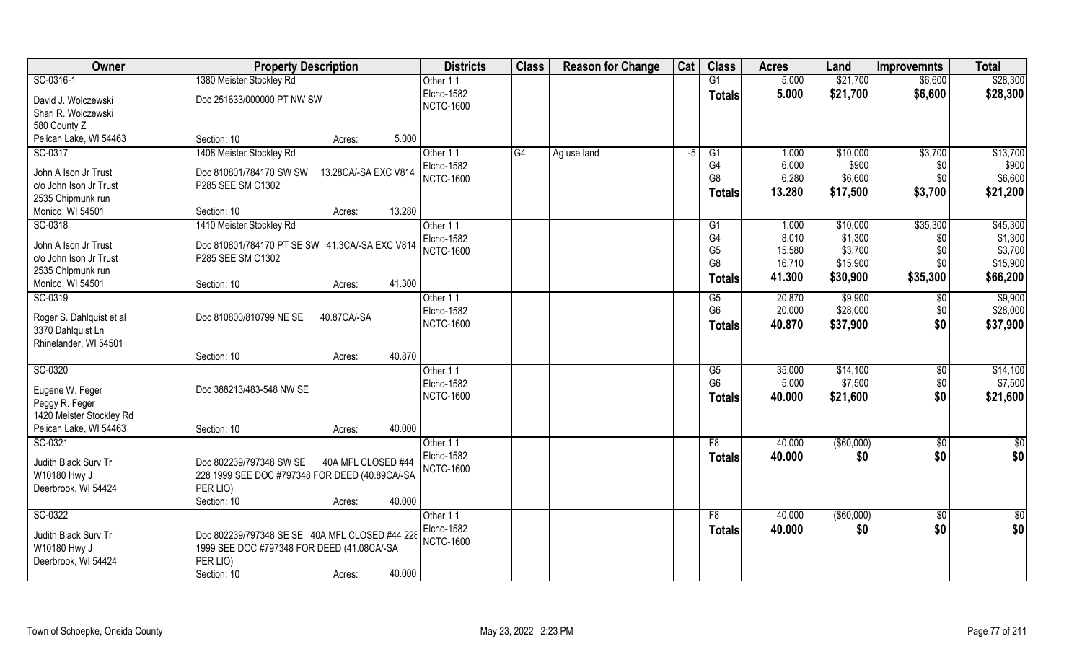| Owner                                 | <b>Property Description</b>                     | <b>Districts</b>       | <b>Class</b> | <b>Reason for Change</b> | Cat  | <b>Class</b>         | <b>Acres</b>    | Land                | <b>Improvemnts</b> | <b>Total</b>        |
|---------------------------------------|-------------------------------------------------|------------------------|--------------|--------------------------|------|----------------------|-----------------|---------------------|--------------------|---------------------|
| SC-0316-1                             | 1380 Meister Stockley Rd                        | Other 11               |              |                          |      | G1                   | 5.000           | \$21,700            | \$6,600            | \$28,300            |
| David J. Wolczewski                   | Doc 251633/000000 PT NW SW                      | <b>Elcho-1582</b>      |              |                          |      | <b>Totals</b>        | 5.000           | \$21,700            | \$6,600            | \$28,300            |
| Shari R. Wolczewski                   |                                                 | <b>NCTC-1600</b>       |              |                          |      |                      |                 |                     |                    |                     |
| 580 County Z                          |                                                 |                        |              |                          |      |                      |                 |                     |                    |                     |
| Pelican Lake, WI 54463                | 5.000<br>Section: 10<br>Acres:                  |                        |              |                          |      |                      |                 |                     |                    |                     |
| SC-0317                               | 1408 Meister Stockley Rd                        | Other 11               | G4           | Ag use land              | $-5$ | $\overline{G1}$      | 1.000           | \$10,000            | \$3,700            | \$13,700            |
| John A Ison Jr Trust                  | Doc 810801/784170 SW SW<br>13.28CA/-SA EXC V814 | <b>Elcho-1582</b>      |              |                          |      | G4                   | 6.000           | \$900               | \$0                | \$900               |
| c/o John Ison Jr Trust                | P285 SEE SM C1302                               | <b>NCTC-1600</b>       |              |                          |      | G8                   | 6.280           | \$6,600             | \$0                | \$6,600             |
| 2535 Chipmunk run                     |                                                 |                        |              |                          |      | <b>Totals</b>        | 13.280          | \$17,500            | \$3,700            | \$21,200            |
| Monico, WI 54501                      | 13.280<br>Section: 10<br>Acres:                 |                        |              |                          |      |                      |                 |                     |                    |                     |
| SC-0318                               | 1410 Meister Stockley Rd                        | Other 11               |              |                          |      | G <sub>1</sub>       | 1.000           | \$10,000            | \$35,300           | \$45,300            |
|                                       |                                                 | <b>Elcho-1582</b>      |              |                          |      | G <sub>4</sub>       | 8.010           | \$1,300             | \$0                | \$1,300             |
| John A Ison Jr Trust                  | Doc 810801/784170 PT SE SW 41.3CA/-SA EXC V814  | <b>NCTC-1600</b>       |              |                          |      | G <sub>5</sub>       | 15.580          | \$3,700             | \$0                | \$3,700             |
| c/o John Ison Jr Trust                | P285 SEE SM C1302                               |                        |              |                          |      | G <sub>8</sub>       | 16.710          | \$15,900            | \$0                | \$15,900            |
| 2535 Chipmunk run<br>Monico, WI 54501 | 41.300<br>Section: 10<br>Acres:                 |                        |              |                          |      | <b>Totals</b>        | 41.300          | \$30,900            | \$35,300           | \$66,200            |
| SC-0319                               |                                                 | Other 11               |              |                          |      | G5                   | 20.870          | \$9,900             | \$0                | \$9,900             |
|                                       |                                                 | Elcho-1582             |              |                          |      | G <sub>6</sub>       | 20.000          | \$28,000            | \$0                | \$28,000            |
| Roger S. Dahlquist et al              | Doc 810800/810799 NE SE<br>40.87CA/-SA          | <b>NCTC-1600</b>       |              |                          |      | <b>Totals</b>        | 40.870          | \$37,900            | \$0                | \$37,900            |
| 3370 Dahlquist Ln                     |                                                 |                        |              |                          |      |                      |                 |                     |                    |                     |
| Rhinelander, WI 54501                 |                                                 |                        |              |                          |      |                      |                 |                     |                    |                     |
|                                       | 40.870<br>Section: 10<br>Acres:                 |                        |              |                          |      |                      |                 |                     |                    |                     |
| SC-0320                               |                                                 | Other 11<br>Elcho-1582 |              |                          |      | G5<br>G <sub>6</sub> | 35.000<br>5.000 | \$14,100<br>\$7,500 | \$0<br>\$0         | \$14,100<br>\$7,500 |
| Eugene W. Feger                       | Doc 388213/483-548 NW SE                        | <b>NCTC-1600</b>       |              |                          |      |                      | 40.000          | \$21,600            | \$0                | \$21,600            |
| Peggy R. Feger                        |                                                 |                        |              |                          |      | <b>Totals</b>        |                 |                     |                    |                     |
| 1420 Meister Stockley Rd              |                                                 |                        |              |                          |      |                      |                 |                     |                    |                     |
| Pelican Lake, WI 54463                | 40.000<br>Section: 10<br>Acres:                 |                        |              |                          |      |                      |                 |                     |                    |                     |
| SC-0321                               |                                                 | Other 11               |              |                          |      | F <sub>8</sub>       | 40.000          | ( \$60,000)         | \$0                | $\frac{6}{3}$       |
| Judith Black Surv Tr                  | 40A MFL CLOSED #44<br>Doc 802239/797348 SW SE   | <b>Elcho-1582</b>      |              |                          |      | <b>Totals</b>        | 40.000          | \$0                 | \$0                | \$0                 |
| W10180 Hwy J                          | 228 1999 SEE DOC #797348 FOR DEED (40.89CA/-SA  | <b>NCTC-1600</b>       |              |                          |      |                      |                 |                     |                    |                     |
| Deerbrook, WI 54424                   | PER LIO)                                        |                        |              |                          |      |                      |                 |                     |                    |                     |
|                                       | 40.000<br>Section: 10<br>Acres:                 |                        |              |                          |      |                      |                 |                     |                    |                     |
| SC-0322                               |                                                 | Other 11               |              |                          |      | F8                   | 40.000          | ( \$60,000)         | \$0                | $\frac{6}{3}$       |
| Judith Black Surv Tr                  | Doc 802239/797348 SE SE 40A MFL CLOSED #44 228  | <b>Elcho-1582</b>      |              |                          |      | <b>Totals</b>        | 40.000          | \$0                 | \$0                | \$0                 |
| W10180 Hwy J                          | 1999 SEE DOC #797348 FOR DEED (41.08CA/-SA      | <b>NCTC-1600</b>       |              |                          |      |                      |                 |                     |                    |                     |
| Deerbrook, WI 54424                   | PER LIO)                                        |                        |              |                          |      |                      |                 |                     |                    |                     |
|                                       | 40.000<br>Section: 10<br>Acres:                 |                        |              |                          |      |                      |                 |                     |                    |                     |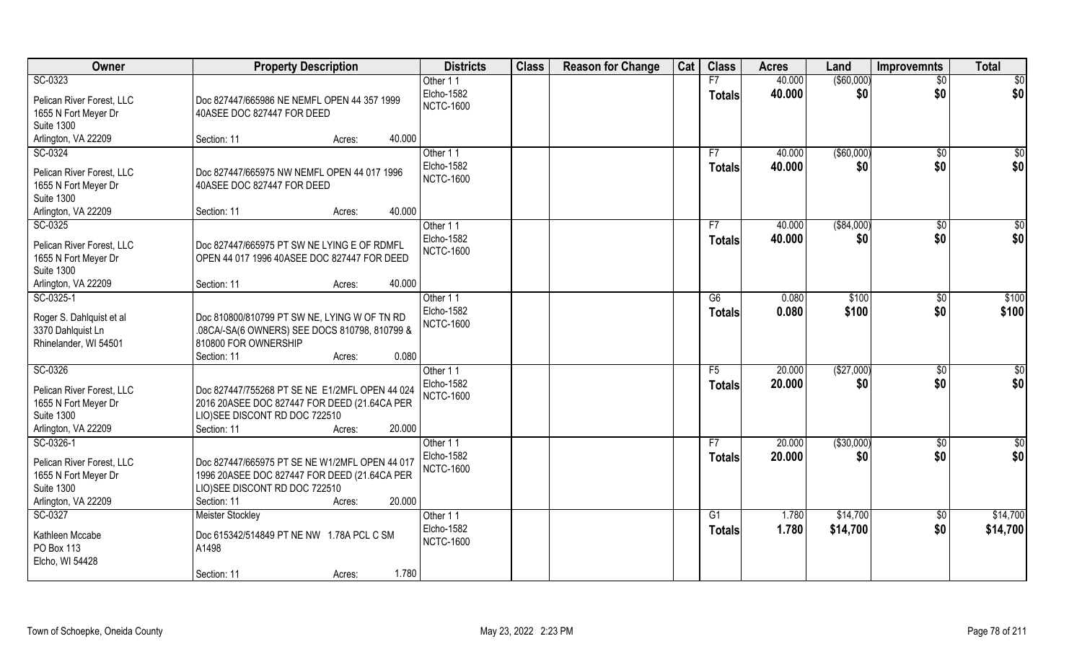| Owner                                             | <b>Property Description</b>                                                                    | <b>Districts</b>  | <b>Class</b> | <b>Reason for Change</b> | Cat | <b>Class</b>    | <b>Acres</b> | Land          | <b>Improvemnts</b> | <b>Total</b>    |
|---------------------------------------------------|------------------------------------------------------------------------------------------------|-------------------|--------------|--------------------------|-----|-----------------|--------------|---------------|--------------------|-----------------|
| SC-0323                                           |                                                                                                | Other 11          |              |                          |     | F7              | 40.000       | $($ \$60,000) | $\overline{50}$    | \$0             |
| Pelican River Forest, LLC                         | Doc 827447/665986 NE NEMFL OPEN 44 357 1999                                                    | Elcho-1582        |              |                          |     | <b>Totals</b>   | 40.000       | \$0           | \$0                | \$0             |
| 1655 N Fort Meyer Dr                              | 40ASEE DOC 827447 FOR DEED                                                                     | <b>NCTC-1600</b>  |              |                          |     |                 |              |               |                    |                 |
| <b>Suite 1300</b>                                 |                                                                                                |                   |              |                          |     |                 |              |               |                    |                 |
| Arlington, VA 22209                               | 40.000<br>Section: 11<br>Acres:                                                                |                   |              |                          |     |                 |              |               |                    |                 |
| SC-0324                                           |                                                                                                | Other 11          |              |                          |     | F7              | 40.000       | (\$60,000)    | \$0                | \$0             |
| Pelican River Forest, LLC                         | Doc 827447/665975 NW NEMFL OPEN 44 017 1996                                                    | <b>Elcho-1582</b> |              |                          |     | Totals          | 40.000       | \$0           | \$0                | \$0             |
| 1655 N Fort Meyer Dr                              | 40ASEE DOC 827447 FOR DEED                                                                     | <b>NCTC-1600</b>  |              |                          |     |                 |              |               |                    |                 |
| <b>Suite 1300</b>                                 |                                                                                                |                   |              |                          |     |                 |              |               |                    |                 |
| Arlington, VA 22209                               | 40.000<br>Section: 11<br>Acres:                                                                |                   |              |                          |     |                 |              |               |                    |                 |
| SC-0325                                           |                                                                                                | Other 11          |              |                          |     | F7              | 40.000       | ( \$84,000)   | \$0                | $\overline{50}$ |
| Pelican River Forest, LLC                         | Doc 827447/665975 PT SW NE LYING E OF RDMFL                                                    | Elcho-1582        |              |                          |     | <b>Totals</b>   | 40.000       | \$0           | \$0                | \$0             |
| 1655 N Fort Meyer Dr                              | OPEN 44 017 1996 40ASEE DOC 827447 FOR DEED                                                    | <b>NCTC-1600</b>  |              |                          |     |                 |              |               |                    |                 |
| <b>Suite 1300</b>                                 |                                                                                                |                   |              |                          |     |                 |              |               |                    |                 |
| Arlington, VA 22209                               | 40.000<br>Section: 11<br>Acres:                                                                |                   |              |                          |     |                 |              |               |                    |                 |
| SC-0325-1                                         |                                                                                                | Other 11          |              |                          |     | G6              | 0.080        | \$100         | $\sqrt[6]{3}$      | \$100           |
|                                                   |                                                                                                | Elcho-1582        |              |                          |     | <b>Totals</b>   | 0.080        | \$100         | \$0                | \$100           |
| Roger S. Dahlquist et al<br>3370 Dahlquist Ln     | Doc 810800/810799 PT SW NE, LYING W OF TN RD<br>.08CA/-SA(6 OWNERS) SEE DOCS 810798, 810799 &  | <b>NCTC-1600</b>  |              |                          |     |                 |              |               |                    |                 |
| Rhinelander, WI 54501                             | 810800 FOR OWNERSHIP                                                                           |                   |              |                          |     |                 |              |               |                    |                 |
|                                                   | 0.080<br>Section: 11<br>Acres:                                                                 |                   |              |                          |     |                 |              |               |                    |                 |
| SC-0326                                           |                                                                                                | Other 11          |              |                          |     | $\overline{F5}$ | 20.000       | (\$27,000)    | \$0                | $\overline{50}$ |
|                                                   |                                                                                                | <b>Elcho-1582</b> |              |                          |     | <b>Totals</b>   | 20.000       | \$0           | \$0                | \$0             |
| Pelican River Forest, LLC<br>1655 N Fort Meyer Dr | Doc 827447/755268 PT SE NE E1/2MFL OPEN 44 024<br>2016 20ASEE DOC 827447 FOR DEED (21.64CA PER | <b>NCTC-1600</b>  |              |                          |     |                 |              |               |                    |                 |
| <b>Suite 1300</b>                                 | LIO)SEE DISCONT RD DOC 722510                                                                  |                   |              |                          |     |                 |              |               |                    |                 |
| Arlington, VA 22209                               | Section: 11<br>20.000<br>Acres:                                                                |                   |              |                          |     |                 |              |               |                    |                 |
| SC-0326-1                                         |                                                                                                | Other 11          |              |                          |     | F7              | 20.000       | (\$30,000)    | \$0                | $rac{1}{6}$     |
|                                                   |                                                                                                | <b>Elcho-1582</b> |              |                          |     | <b>Totals</b>   | 20.000       | \$0           | \$0                | \$0             |
| Pelican River Forest, LLC                         | Doc 827447/665975 PT SE NE W1/2MFL OPEN 44 017                                                 | <b>NCTC-1600</b>  |              |                          |     |                 |              |               |                    |                 |
| 1655 N Fort Meyer Dr<br><b>Suite 1300</b>         | 1996 20ASEE DOC 827447 FOR DEED (21.64CA PER<br>LIO)SEE DISCONT RD DOC 722510                  |                   |              |                          |     |                 |              |               |                    |                 |
| Arlington, VA 22209                               | 20.000<br>Section: 11<br>Acres:                                                                |                   |              |                          |     |                 |              |               |                    |                 |
| SC-0327                                           | <b>Meister Stockley</b>                                                                        | Other 11          |              |                          |     | G <sub>1</sub>  | 1.780        | \$14,700      | $\sqrt{$0}$        | \$14,700        |
|                                                   |                                                                                                | Elcho-1582        |              |                          |     | <b>Totals</b>   | 1.780        | \$14,700      | \$0                | \$14,700        |
| Kathleen Mccabe                                   | Doc 615342/514849 PT NE NW 1.78A PCL C SM                                                      | <b>NCTC-1600</b>  |              |                          |     |                 |              |               |                    |                 |
| PO Box 113                                        | A1498                                                                                          |                   |              |                          |     |                 |              |               |                    |                 |
| Elcho, WI 54428                                   | 1.780<br>Section: 11<br>Acres:                                                                 |                   |              |                          |     |                 |              |               |                    |                 |
|                                                   |                                                                                                |                   |              |                          |     |                 |              |               |                    |                 |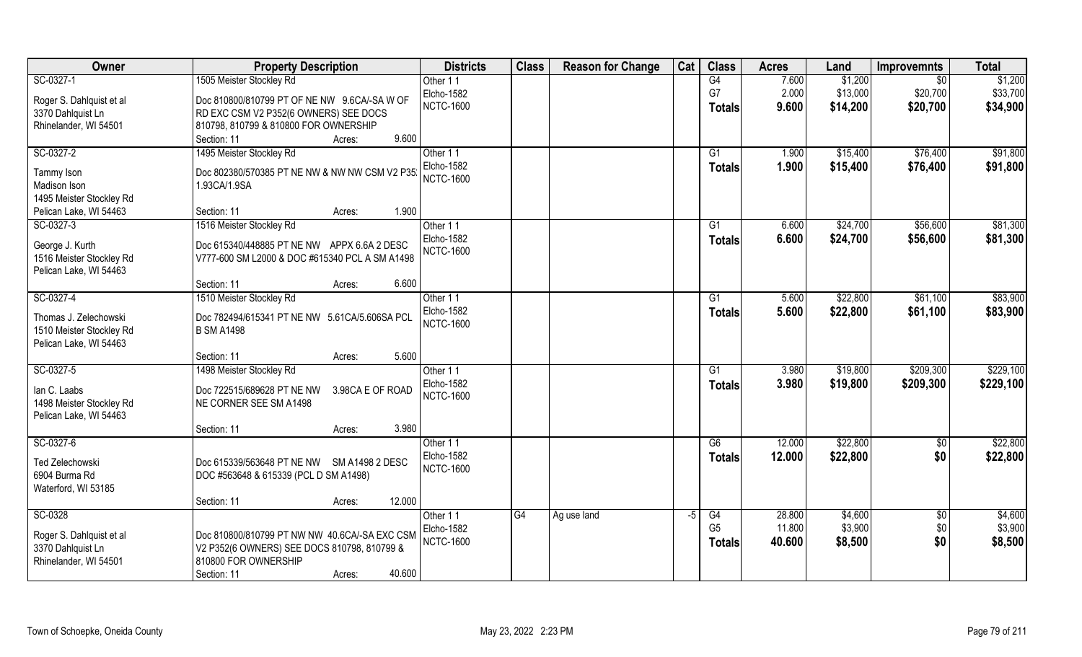| Owner                    | <b>Property Description</b>                          | <b>Districts</b>  | <b>Class</b> | <b>Reason for Change</b> | Cat | <b>Class</b>    | <b>Acres</b> | Land     | <b>Improvemnts</b> | <b>Total</b> |
|--------------------------|------------------------------------------------------|-------------------|--------------|--------------------------|-----|-----------------|--------------|----------|--------------------|--------------|
| SC-0327-1                | 1505 Meister Stockley Rd                             | Other 11          |              |                          |     | G4              | 7.600        | \$1,200  | $\overline{50}$    | \$1,200      |
| Roger S. Dahlquist et al | Doc 810800/810799 PT OF NE NW 9.6CA/-SA W OF         | Elcho-1582        |              |                          |     | G7              | 2.000        | \$13,000 | \$20,700           | \$33,700     |
| 3370 Dahlquist Ln        | RD EXC CSM V2 P352(6 OWNERS) SEE DOCS                | <b>NCTC-1600</b>  |              |                          |     | <b>Totals</b>   | 9.600        | \$14,200 | \$20,700           | \$34,900     |
| Rhinelander, WI 54501    | 810798, 810799 & 810800 FOR OWNERSHIP                |                   |              |                          |     |                 |              |          |                    |              |
|                          | 9.600<br>Section: 11<br>Acres:                       |                   |              |                          |     |                 |              |          |                    |              |
| SC-0327-2                | 1495 Meister Stockley Rd                             | Other 11          |              |                          |     | G1              | 1.900        | \$15,400 | \$76,400           | \$91,800     |
|                          |                                                      | <b>Elcho-1582</b> |              |                          |     | Totals          | 1.900        | \$15,400 | \$76,400           | \$91,800     |
| Tammy Ison               | Doc 802380/570385 PT NE NW & NW NW CSM V2 P35        | <b>NCTC-1600</b>  |              |                          |     |                 |              |          |                    |              |
| Madison Ison             | 1.93CA/1.9SA                                         |                   |              |                          |     |                 |              |          |                    |              |
| 1495 Meister Stockley Rd |                                                      |                   |              |                          |     |                 |              |          |                    |              |
| Pelican Lake, WI 54463   | 1.900<br>Section: 11<br>Acres:                       |                   |              |                          |     |                 |              |          |                    |              |
| SC-0327-3                | 1516 Meister Stockley Rd                             | Other 11          |              |                          |     | G1              | 6.600        | \$24,700 | \$56,600           | \$81,300     |
| George J. Kurth          | Doc 615340/448885 PT NE NW APPX 6.6A 2 DESC          | Elcho-1582        |              |                          |     | Totals          | 6.600        | \$24,700 | \$56,600           | \$81,300     |
| 1516 Meister Stockley Rd | V777-600 SM L2000 & DOC #615340 PCL A SM A1498       | <b>NCTC-1600</b>  |              |                          |     |                 |              |          |                    |              |
| Pelican Lake, WI 54463   |                                                      |                   |              |                          |     |                 |              |          |                    |              |
|                          | 6.600<br>Section: 11<br>Acres:                       |                   |              |                          |     |                 |              |          |                    |              |
| SC-0327-4                | 1510 Meister Stockley Rd                             | Other 11          |              |                          |     | G1              | 5.600        | \$22,800 | \$61,100           | \$83,900     |
| Thomas J. Zelechowski    | Doc 782494/615341 PT NE NW 5.61CA/5.606SA PCL        | Elcho-1582        |              |                          |     | <b>Totals</b>   | 5.600        | \$22,800 | \$61,100           | \$83,900     |
| 1510 Meister Stockley Rd | <b>B SM A1498</b>                                    | <b>NCTC-1600</b>  |              |                          |     |                 |              |          |                    |              |
| Pelican Lake, WI 54463   |                                                      |                   |              |                          |     |                 |              |          |                    |              |
|                          | 5.600<br>Section: 11<br>Acres:                       |                   |              |                          |     |                 |              |          |                    |              |
| SC-0327-5                | 1498 Meister Stockley Rd                             | Other 11          |              |                          |     | $\overline{G1}$ | 3.980        | \$19,800 | \$209,300          | \$229,100    |
|                          |                                                      | Elcho-1582        |              |                          |     | Totals          | 3.980        | \$19,800 | \$209,300          | \$229,100    |
| lan C. Laabs             | Doc 722515/689628 PT NE NW<br>3.98CA E OF ROAD       | <b>NCTC-1600</b>  |              |                          |     |                 |              |          |                    |              |
| 1498 Meister Stockley Rd | NE CORNER SEE SM A1498                               |                   |              |                          |     |                 |              |          |                    |              |
| Pelican Lake, WI 54463   |                                                      |                   |              |                          |     |                 |              |          |                    |              |
|                          | 3.980<br>Section: 11<br>Acres:                       |                   |              |                          |     |                 |              |          |                    |              |
| SC-0327-6                |                                                      | Other 11          |              |                          |     | G6              | 12.000       | \$22,800 | $\sqrt{6}$         | \$22,800     |
| <b>Ted Zelechowski</b>   | Doc 615339/563648 PT NE NW<br><b>SM A1498 2 DESC</b> | Elcho-1582        |              |                          |     | <b>Totals</b>   | 12.000       | \$22,800 | \$0                | \$22,800     |
| 6904 Burma Rd            | DOC #563648 & 615339 (PCL D SM A1498)                | <b>NCTC-1600</b>  |              |                          |     |                 |              |          |                    |              |
| Waterford, WI 53185      |                                                      |                   |              |                          |     |                 |              |          |                    |              |
|                          | 12.000<br>Section: 11<br>Acres:                      |                   |              |                          |     |                 |              |          |                    |              |
| SC-0328                  |                                                      | Other 11          | G4           | Ag use land              | -5  | G4              | 28.800       | \$4,600  | $\overline{50}$    | \$4,600      |
|                          |                                                      | Elcho-1582        |              |                          |     | G <sub>5</sub>  | 11.800       | \$3,900  | \$0                | \$3,900      |
| Roger S. Dahlquist et al | Doc 810800/810799 PT NW NW 40.6CA/-SA EXC CSM        | <b>NCTC-1600</b>  |              |                          |     | Totals          | 40.600       | \$8,500  | \$0                | \$8,500      |
| 3370 Dahlquist Ln        | V2 P352(6 OWNERS) SEE DOCS 810798, 810799 &          |                   |              |                          |     |                 |              |          |                    |              |
| Rhinelander, WI 54501    | 810800 FOR OWNERSHIP                                 |                   |              |                          |     |                 |              |          |                    |              |
|                          | 40.600<br>Section: 11<br>Acres:                      |                   |              |                          |     |                 |              |          |                    |              |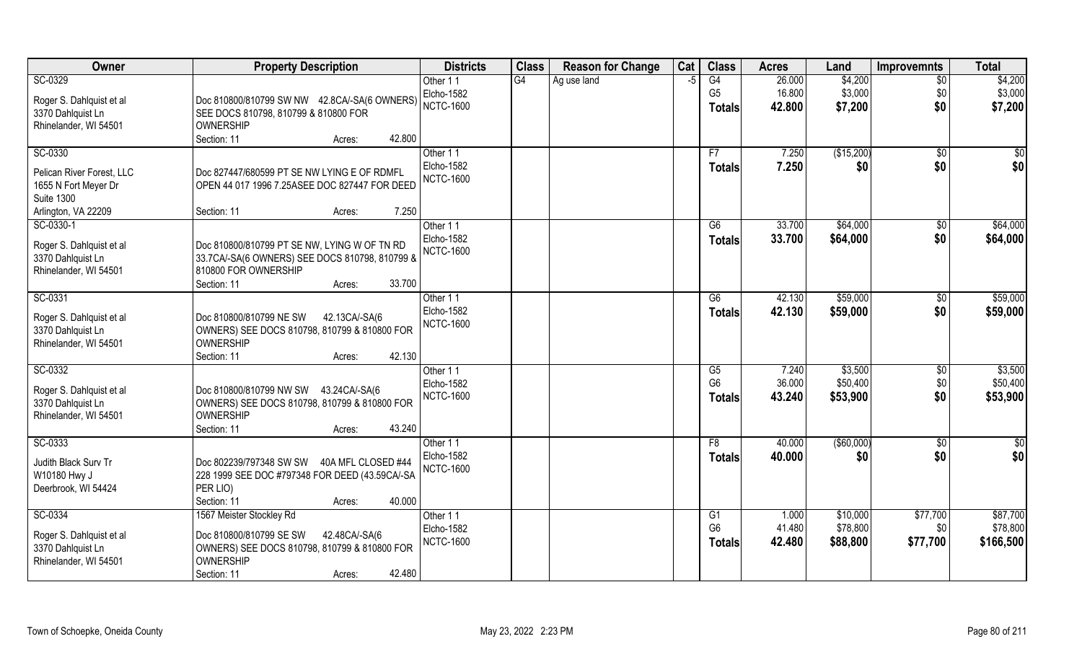| Owner                     | <b>Property Description</b>                    | <b>Districts</b>  | <b>Class</b> | <b>Reason for Change</b> | Cat  | <b>Class</b>   | <b>Acres</b> | Land              | <b>Improvemnts</b> | <b>Total</b> |
|---------------------------|------------------------------------------------|-------------------|--------------|--------------------------|------|----------------|--------------|-------------------|--------------------|--------------|
| SC-0329                   |                                                | Other 11          | G4           | Ag use land              | $-5$ | G4             | 26.000       | \$4,200           | $\overline{50}$    | \$4,200      |
| Roger S. Dahlquist et al  | Doc 810800/810799 SW NW 42.8CA/-SA(6 OWNERS)   | Elcho-1582        |              |                          |      | G <sub>5</sub> | 16.800       | \$3,000           | \$0                | \$3,000      |
| 3370 Dahlquist Ln         | SEE DOCS 810798, 810799 & 810800 FOR           | <b>NCTC-1600</b>  |              |                          |      | <b>Totals</b>  | 42.800       | \$7,200           | \$0                | \$7,200      |
| Rhinelander, WI 54501     | <b>OWNERSHIP</b>                               |                   |              |                          |      |                |              |                   |                    |              |
|                           | 42.800<br>Section: 11<br>Acres:                |                   |              |                          |      |                |              |                   |                    |              |
| SC-0330                   |                                                | Other 11          |              |                          |      | F7             | 7.250        | (\$15,200)        | \$0                | $\sqrt[6]{}$ |
| Pelican River Forest, LLC | Doc 827447/680599 PT SE NW LYING E OF RDMFL    | Elcho-1582        |              |                          |      | Totals         | 7.250        | \$0               | \$0                | \$0          |
| 1655 N Fort Meyer Dr      | OPEN 44 017 1996 7.25ASEE DOC 827447 FOR DEED  | <b>NCTC-1600</b>  |              |                          |      |                |              |                   |                    |              |
| <b>Suite 1300</b>         |                                                |                   |              |                          |      |                |              |                   |                    |              |
| Arlington, VA 22209       | 7.250<br>Section: 11<br>Acres:                 |                   |              |                          |      |                |              |                   |                    |              |
| SC-0330-1                 |                                                | Other 11          |              |                          |      | G6             | 33.700       | \$64,000          | \$0                | \$64,000     |
| Roger S. Dahlquist et al  | Doc 810800/810799 PT SE NW, LYING W OF TN RD   | <b>Elcho-1582</b> |              |                          |      | <b>Totals</b>  | 33.700       | \$64,000          | \$0                | \$64,000     |
| 3370 Dahlquist Ln         | 33.7CA/-SA(6 OWNERS) SEE DOCS 810798, 810799 & | <b>NCTC-1600</b>  |              |                          |      |                |              |                   |                    |              |
| Rhinelander, WI 54501     | 810800 FOR OWNERSHIP                           |                   |              |                          |      |                |              |                   |                    |              |
|                           | 33.700<br>Section: 11<br>Acres:                |                   |              |                          |      |                |              |                   |                    |              |
| SC-0331                   |                                                | Other 11          |              |                          |      | G6             | 42.130       | \$59,000          | \$0                | \$59,000     |
| Roger S. Dahlquist et al  | Doc 810800/810799 NE SW<br>42.13CA/-SA(6       | Elcho-1582        |              |                          |      | <b>Totals</b>  | 42.130       | \$59,000          | \$0                | \$59,000     |
| 3370 Dahlquist Ln         | OWNERS) SEE DOCS 810798, 810799 & 810800 FOR   | <b>NCTC-1600</b>  |              |                          |      |                |              |                   |                    |              |
| Rhinelander, WI 54501     | <b>OWNERSHIP</b>                               |                   |              |                          |      |                |              |                   |                    |              |
|                           | 42.130<br>Section: 11<br>Acres:                |                   |              |                          |      |                |              |                   |                    |              |
| SC-0332                   |                                                | Other 11          |              |                          |      | G5             | 7.240        | \$3,500           | \$0                | \$3,500      |
| Roger S. Dahlquist et al  | Doc 810800/810799 NW SW 43.24CA/-SA(6          | Elcho-1582        |              |                          |      | G <sub>6</sub> | 36.000       | \$50,400          | \$0                | \$50,400     |
| 3370 Dahlquist Ln         | OWNERS) SEE DOCS 810798, 810799 & 810800 FOR   | <b>NCTC-1600</b>  |              |                          |      | <b>Totals</b>  | 43.240       | \$53,900          | \$0                | \$53,900     |
| Rhinelander, WI 54501     | <b>OWNERSHIP</b>                               |                   |              |                          |      |                |              |                   |                    |              |
|                           | 43.240<br>Section: 11<br>Acres:                |                   |              |                          |      |                |              |                   |                    |              |
| SC-0333                   |                                                | Other 11          |              |                          |      | F8             | 40.000       | $($ \$60,000) $ $ | \$0                | $\sqrt{6}$   |
| Judith Black Surv Tr      | Doc 802239/797348 SW SW 40A MFL CLOSED #44     | <b>Elcho-1582</b> |              |                          |      | <b>Totals</b>  | 40.000       | \$0               | \$0                | \$0          |
| W10180 Hwy J              | 228 1999 SEE DOC #797348 FOR DEED (43.59CA/-SA | <b>NCTC-1600</b>  |              |                          |      |                |              |                   |                    |              |
| Deerbrook, WI 54424       | PER LIO)                                       |                   |              |                          |      |                |              |                   |                    |              |
|                           | 40.000<br>Section: 11<br>Acres:                |                   |              |                          |      |                |              |                   |                    |              |
| SC-0334                   | 1567 Meister Stockley Rd                       | Other 11          |              |                          |      | G <sub>1</sub> | 1.000        | \$10,000          | \$77,700           | \$87,700     |
| Roger S. Dahlquist et al  | Doc 810800/810799 SE SW<br>42.48CA/-SA(6       | Elcho-1582        |              |                          |      | G <sub>6</sub> | 41.480       | \$78,800          | \$0                | \$78,800     |
| 3370 Dahlquist Ln         | OWNERS) SEE DOCS 810798, 810799 & 810800 FOR   | <b>NCTC-1600</b>  |              |                          |      | <b>Totals</b>  | 42.480       | \$88,800          | \$77,700           | \$166,500    |
| Rhinelander, WI 54501     | <b>OWNERSHIP</b>                               |                   |              |                          |      |                |              |                   |                    |              |
|                           | 42.480<br>Section: 11<br>Acres:                |                   |              |                          |      |                |              |                   |                    |              |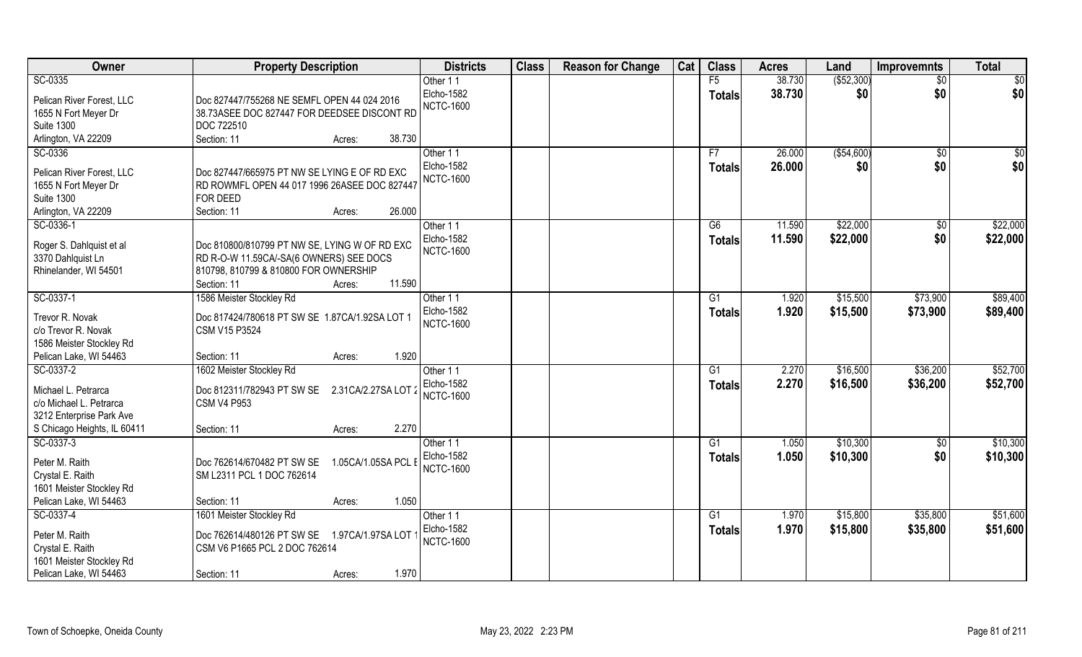| Owner                            | <b>Property Description</b>                       | <b>Districts</b>              | <b>Class</b> | <b>Reason for Change</b> | Cat | <b>Class</b>   | <b>Acres</b> | Land         | <b>Improvemnts</b> | <b>Total</b>    |
|----------------------------------|---------------------------------------------------|-------------------------------|--------------|--------------------------|-----|----------------|--------------|--------------|--------------------|-----------------|
| SC-0335                          |                                                   | Other 11                      |              |                          |     | F5             | 38.730       | ( \$52, 300) | $\overline{50}$    | $\overline{50}$ |
| Pelican River Forest, LLC        | Doc 827447/755268 NE SEMFL OPEN 44 024 2016       | Elcho-1582                    |              |                          |     | <b>Totals</b>  | 38.730       | \$0          | \$0                | \$0             |
| 1655 N Fort Meyer Dr             | 38.73ASEE DOC 827447 FOR DEEDSEE DISCONT RD       | <b>NCTC-1600</b>              |              |                          |     |                |              |              |                    |                 |
| <b>Suite 1300</b>                | DOC 722510                                        |                               |              |                          |     |                |              |              |                    |                 |
| Arlington, VA 22209              | Section: 11<br>38.730<br>Acres:                   |                               |              |                          |     |                |              |              |                    |                 |
| SC-0336                          |                                                   | Other 11                      |              |                          |     | F7             | 26.000       | ( \$54,600)  | \$0                | $\sqrt{50}$     |
|                                  |                                                   | Elcho-1582                    |              |                          |     | Totals         | 26.000       | \$0          | \$0                | \$0             |
| Pelican River Forest, LLC        | Doc 827447/665975 PT NW SE LYING E OF RD EXC      | <b>NCTC-1600</b>              |              |                          |     |                |              |              |                    |                 |
| 1655 N Fort Meyer Dr             | RD ROWMFL OPEN 44 017 1996 26ASEE DOC 827447      |                               |              |                          |     |                |              |              |                    |                 |
| <b>Suite 1300</b>                | FOR DEED<br>26.000<br>Section: 11<br>Acres:       |                               |              |                          |     |                |              |              |                    |                 |
| Arlington, VA 22209<br>SC-0336-1 |                                                   |                               |              |                          |     | G6             | 11.590       | \$22,000     |                    | \$22,000        |
|                                  |                                                   | Other 11<br><b>Elcho-1582</b> |              |                          |     |                |              |              | $\sqrt[6]{3}$      |                 |
| Roger S. Dahlquist et al         | Doc 810800/810799 PT NW SE, LYING W OF RD EXC     | <b>NCTC-1600</b>              |              |                          |     | <b>Totals</b>  | 11.590       | \$22,000     | \$0                | \$22,000        |
| 3370 Dahlquist Ln                | RD R-O-W 11.59CA/-SA(6 OWNERS) SEE DOCS           |                               |              |                          |     |                |              |              |                    |                 |
| Rhinelander, WI 54501            | 810798, 810799 & 810800 FOR OWNERSHIP             |                               |              |                          |     |                |              |              |                    |                 |
|                                  | 11.590<br>Section: 11<br>Acres:                   |                               |              |                          |     |                |              |              |                    |                 |
| SC-0337-1                        | 1586 Meister Stockley Rd                          | Other 11                      |              |                          |     | G <sub>1</sub> | 1.920        | \$15,500     | \$73,900           | \$89,400        |
| Trevor R. Novak                  | Doc 817424/780618 PT SW SE 1.87CA/1.92SA LOT 1    | <b>Elcho-1582</b>             |              |                          |     | <b>Totals</b>  | 1.920        | \$15,500     | \$73,900           | \$89,400        |
| c/o Trevor R. Novak              | <b>CSM V15 P3524</b>                              | <b>NCTC-1600</b>              |              |                          |     |                |              |              |                    |                 |
| 1586 Meister Stockley Rd         |                                                   |                               |              |                          |     |                |              |              |                    |                 |
| Pelican Lake, WI 54463           | 1.920<br>Section: 11<br>Acres:                    |                               |              |                          |     |                |              |              |                    |                 |
| SC-0337-2                        | 1602 Meister Stockley Rd                          | Other 11                      |              |                          |     | G1             | 2.270        | \$16,500     | \$36,200           | \$52,700        |
|                                  |                                                   | Elcho-1582                    |              |                          |     | <b>Totals</b>  | 2.270        | \$16,500     | \$36,200           | \$52,700        |
| Michael L. Petrarca              | Doc 812311/782943 PT SW SE<br>2.31CA/2.27SA LOT 2 | <b>NCTC-1600</b>              |              |                          |     |                |              |              |                    |                 |
| c/o Michael L. Petrarca          | <b>CSM V4 P953</b>                                |                               |              |                          |     |                |              |              |                    |                 |
| 3212 Enterprise Park Ave         |                                                   |                               |              |                          |     |                |              |              |                    |                 |
| S Chicago Heights, IL 60411      | 2.270<br>Section: 11<br>Acres:                    |                               |              |                          |     |                |              |              |                    |                 |
| SC-0337-3                        |                                                   | Other 11                      |              |                          |     | G1             | 1.050        | \$10,300     | \$0                | \$10,300        |
| Peter M. Raith                   | Doc 762614/670482 PT SW SE<br>1.05CA/1.05SA PCL E | Elcho-1582                    |              |                          |     | <b>Totals</b>  | 1.050        | \$10,300     | \$0                | \$10,300        |
| Crystal E. Raith                 | SM L2311 PCL 1 DOC 762614                         | <b>NCTC-1600</b>              |              |                          |     |                |              |              |                    |                 |
| 1601 Meister Stockley Rd         |                                                   |                               |              |                          |     |                |              |              |                    |                 |
| Pelican Lake, WI 54463           | 1.050<br>Section: 11<br>Acres:                    |                               |              |                          |     |                |              |              |                    |                 |
| SC-0337-4                        | 1601 Meister Stockley Rd                          | Other 11                      |              |                          |     | G1             | 1.970        | \$15,800     | \$35,800           | \$51,600        |
| Peter M. Raith                   | Doc 762614/480126 PT SW SE<br>1.97CA/1.97SA LOT   | <b>Elcho-1582</b>             |              |                          |     | <b>Totals</b>  | 1.970        | \$15,800     | \$35,800           | \$51,600        |
| Crystal E. Raith                 | CSM V6 P1665 PCL 2 DOC 762614                     | <b>NCTC-1600</b>              |              |                          |     |                |              |              |                    |                 |
| 1601 Meister Stockley Rd         |                                                   |                               |              |                          |     |                |              |              |                    |                 |
| Pelican Lake, WI 54463           | 1.970<br>Section: 11<br>Acres:                    |                               |              |                          |     |                |              |              |                    |                 |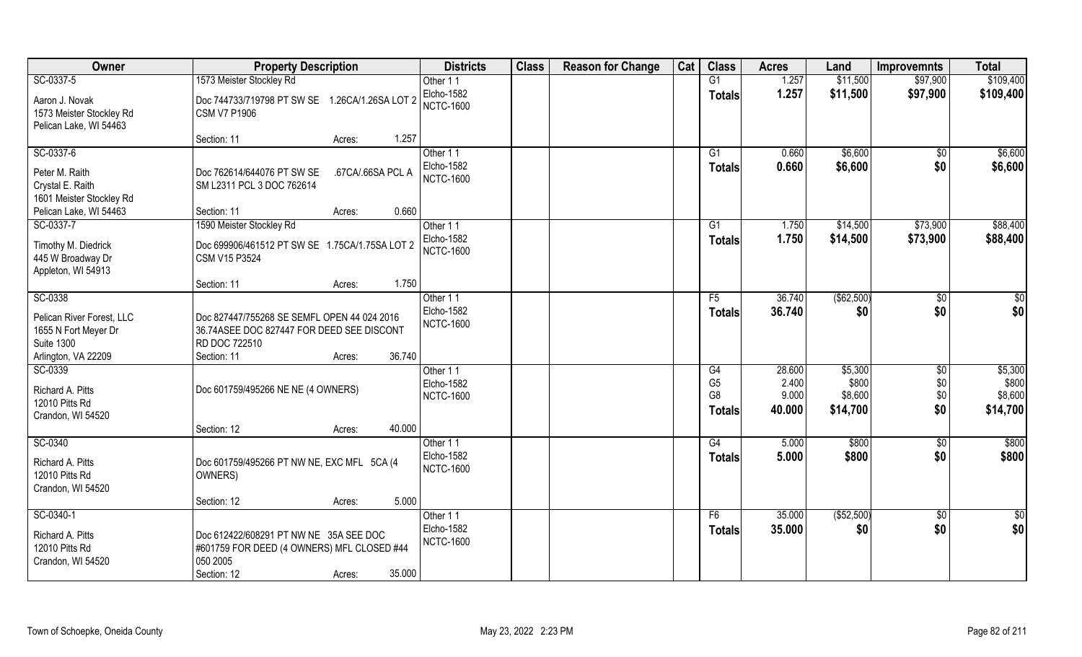| Owner                                                                                         | <b>Property Description</b>                                                                                                                  | <b>Districts</b>                           | <b>Class</b> | <b>Reason for Change</b> | Cat | <b>Class</b>                                      | <b>Acres</b>             | Land                         | <b>Improvemnts</b>     | <b>Total</b>                 |
|-----------------------------------------------------------------------------------------------|----------------------------------------------------------------------------------------------------------------------------------------------|--------------------------------------------|--------------|--------------------------|-----|---------------------------------------------------|--------------------------|------------------------------|------------------------|------------------------------|
| SC-0337-5                                                                                     | 1573 Meister Stockley Rd                                                                                                                     | Other 11                                   |              |                          |     | G1                                                | 1.257                    | \$11,500                     | \$97,900               | \$109,400                    |
| Aaron J. Novak<br>1573 Meister Stockley Rd<br>Pelican Lake, WI 54463                          | Doc 744733/719798 PT SW SE 1.26CA/1.26SA LOT 2<br><b>CSM V7 P1906</b>                                                                        | Elcho-1582<br><b>NCTC-1600</b>             |              |                          |     | <b>Totals</b>                                     | 1.257                    | \$11,500                     | \$97,900               | \$109,400                    |
|                                                                                               | 1.257<br>Section: 11<br>Acres:                                                                                                               |                                            |              |                          |     |                                                   |                          |                              |                        |                              |
| SC-0337-6<br>Peter M. Raith<br>Crystal E. Raith<br>1601 Meister Stockley Rd                   | Doc 762614/644076 PT SW SE<br>.67CA/.66SA PCL A<br>SM L2311 PCL 3 DOC 762614                                                                 | Other 11<br>Elcho-1582<br><b>NCTC-1600</b> |              |                          |     | $\overline{G1}$<br>Totals                         | 0.660<br>0.660           | \$6,600<br>\$6,600           | $\overline{50}$<br>\$0 | \$6,600<br>\$6,600           |
| Pelican Lake, WI 54463                                                                        | 0.660<br>Section: 11<br>Acres:                                                                                                               |                                            |              |                          |     |                                                   |                          |                              |                        |                              |
| SC-0337-7                                                                                     | 1590 Meister Stockley Rd                                                                                                                     | Other 11                                   |              |                          |     | G1                                                | 1.750                    | \$14,500                     | \$73,900               | \$88,400                     |
| Timothy M. Diedrick<br>445 W Broadway Dr<br>Appleton, WI 54913                                | Doc 699906/461512 PT SW SE 1.75CA/1.75SA LOT 2<br>CSM V15 P3524                                                                              | Elcho-1582<br><b>NCTC-1600</b>             |              |                          |     | <b>Totals</b>                                     | 1.750                    | \$14,500                     | \$73,900               | \$88,400                     |
|                                                                                               | 1.750<br>Section: 11<br>Acres:                                                                                                               |                                            |              |                          |     |                                                   |                          |                              |                        |                              |
| SC-0338                                                                                       |                                                                                                                                              | Other 11                                   |              |                          |     | F5                                                | 36.740                   | ( \$62,500)                  | $\sqrt[6]{3}$          | $\sqrt{50}$                  |
| Pelican River Forest, LLC<br>1655 N Fort Meyer Dr<br><b>Suite 1300</b><br>Arlington, VA 22209 | Doc 827447/755268 SE SEMFL OPEN 44 024 2016<br>36.74ASEE DOC 827447 FOR DEED SEE DISCONT<br>RD DOC 722510<br>36.740<br>Section: 11<br>Acres: | Elcho-1582<br><b>NCTC-1600</b>             |              |                          |     | <b>Totals</b>                                     | 36.740                   | \$0                          | \$0                    | \$0                          |
| SC-0339                                                                                       |                                                                                                                                              | Other 11                                   |              |                          |     | G4                                                | 28.600                   | \$5,300                      | $\sqrt[6]{3}$          | \$5,300                      |
| Richard A. Pitts<br>12010 Pitts Rd<br>Crandon, WI 54520                                       | Doc 601759/495266 NE NE (4 OWNERS)                                                                                                           | Elcho-1582<br><b>NCTC-1600</b>             |              |                          |     | G <sub>5</sub><br>G <sub>8</sub><br><b>Totals</b> | 2.400<br>9.000<br>40.000 | \$800<br>\$8,600<br>\$14,700 | \$0<br>\$0<br>\$0      | \$800<br>\$8,600<br>\$14,700 |
|                                                                                               | 40.000<br>Section: 12<br>Acres:                                                                                                              |                                            |              |                          |     |                                                   |                          |                              |                        |                              |
| SC-0340<br>Richard A. Pitts<br>12010 Pitts Rd<br>Crandon, WI 54520                            | Doc 601759/495266 PT NW NE, EXC MFL 5CA (4<br>OWNERS)                                                                                        | Other 11<br>Elcho-1582<br><b>NCTC-1600</b> |              |                          |     | G4<br><b>Totals</b>                               | 5.000<br>5.000           | \$800<br>\$800               | $\overline{30}$<br>\$0 | \$800<br>\$800               |
|                                                                                               | 5.000<br>Section: 12<br>Acres:                                                                                                               |                                            |              |                          |     |                                                   |                          |                              |                        |                              |
| SC-0340-1<br>Richard A. Pitts<br>12010 Pitts Rd<br>Crandon, WI 54520                          | Doc 612422/608291 PT NW NE 35A SEE DOC<br>#601759 FOR DEED (4 OWNERS) MFL CLOSED #44<br>050 2005<br>35.000<br>Section: 12<br>Acres:          | Other 11<br>Elcho-1582<br><b>NCTC-1600</b> |              |                          |     | F6<br><b>Totals</b>                               | 35.000<br>35.000         | (\$52,500)<br>\$0            | $\sqrt{$0}$<br>\$0     | \$0<br>\$0                   |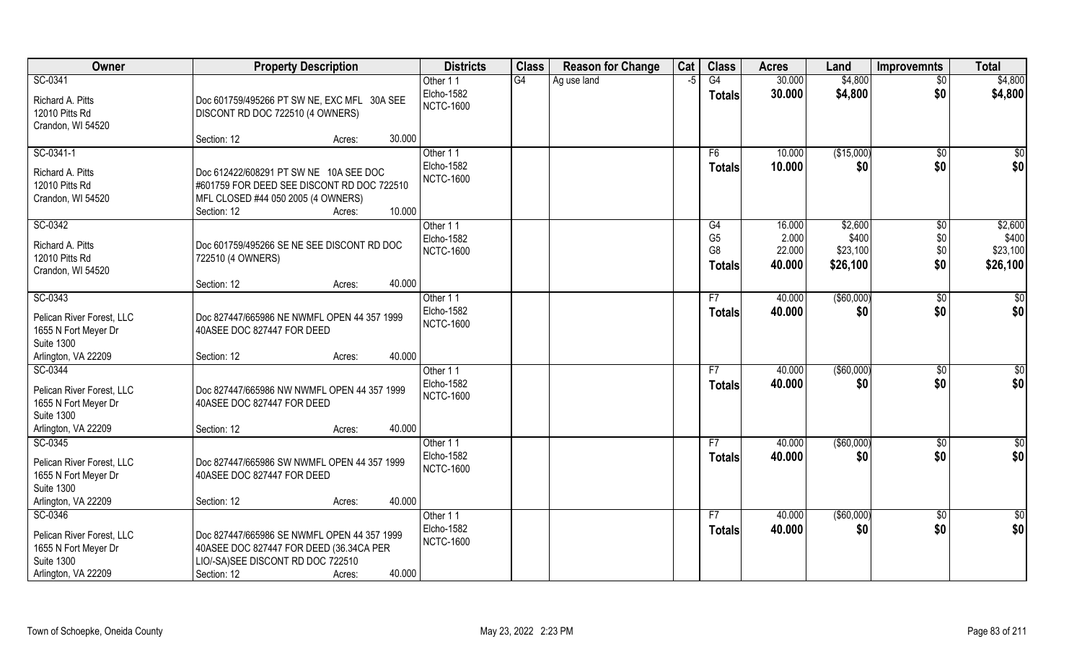| Owner                                                                  | <b>Property Description</b>                                                                                         | <b>Districts</b>               | <b>Class</b>    | <b>Reason for Change</b> | Cat  | <b>Class</b>        | <b>Acres</b>     | Land              | <b>Improvemnts</b> | <b>Total</b>           |
|------------------------------------------------------------------------|---------------------------------------------------------------------------------------------------------------------|--------------------------------|-----------------|--------------------------|------|---------------------|------------------|-------------------|--------------------|------------------------|
| SC-0341                                                                |                                                                                                                     | Other 11                       | $\overline{G4}$ | Ag use land              | $-5$ | G4                  | 30.000           | \$4,800           | $\overline{50}$    | \$4,800                |
| Richard A. Pitts<br>12010 Pitts Rd<br>Crandon, WI 54520                | Doc 601759/495266 PT SW NE, EXC MFL 30A SEE<br>DISCONT RD DOC 722510 (4 OWNERS)                                     | Elcho-1582<br><b>NCTC-1600</b> |                 |                          |      | <b>Totals</b>       | 30.000           | \$4,800           | \$0                | \$4,800                |
|                                                                        | 30.000<br>Section: 12<br>Acres:                                                                                     |                                |                 |                          |      |                     |                  |                   |                    |                        |
| SC-0341-1<br>Richard A. Pitts                                          | Doc 612422/608291 PT SW NE 10A SEE DOC                                                                              | Other 11<br>Elcho-1582         |                 |                          |      | F6<br><b>Totals</b> | 10.000<br>10.000 | (\$15,000)<br>\$0 | \$0<br>\$0         | $\sqrt{50}$<br>\$0     |
| 12010 Pitts Rd<br>Crandon, WI 54520                                    | #601759 FOR DEED SEE DISCONT RD DOC 722510<br>MFL CLOSED #44 050 2005 (4 OWNERS)<br>10.000<br>Section: 12<br>Acres: | <b>NCTC-1600</b>               |                 |                          |      |                     |                  |                   |                    |                        |
| SC-0342                                                                |                                                                                                                     | Other 11                       |                 |                          |      | G4                  | 16.000           | \$2,600           | \$0                | \$2,600                |
| Richard A. Pitts                                                       | Doc 601759/495266 SE NE SEE DISCONT RD DOC                                                                          | Elcho-1582                     |                 |                          |      | G <sub>5</sub>      | 2.000            | \$400             | \$0                | \$400                  |
| 12010 Pitts Rd                                                         | 722510 (4 OWNERS)                                                                                                   | <b>NCTC-1600</b>               |                 |                          |      | G <sub>8</sub>      | 22.000           | \$23,100          | \$0                | \$23,100               |
| Crandon, WI 54520                                                      |                                                                                                                     |                                |                 |                          |      | <b>Totals</b>       | 40.000           | \$26,100          | \$0                | \$26,100               |
|                                                                        | 40.000<br>Section: 12<br>Acres:                                                                                     |                                |                 |                          |      |                     |                  |                   |                    |                        |
| SC-0343                                                                |                                                                                                                     | Other 11                       |                 |                          |      | F7                  | 40.000           | $($ \$60,000)     | $\sqrt[6]{3}$      | $\overline{30}$        |
| Pelican River Forest, LLC<br>1655 N Fort Meyer Dr<br><b>Suite 1300</b> | Doc 827447/665986 NE NWMFL OPEN 44 357 1999<br>40ASEE DOC 827447 FOR DEED                                           | Elcho-1582<br><b>NCTC-1600</b> |                 |                          |      | <b>Totals</b>       | 40.000           | \$0               | \$0                | \$0                    |
| Arlington, VA 22209                                                    | 40.000<br>Section: 12<br>Acres:                                                                                     |                                |                 |                          |      |                     |                  |                   |                    |                        |
| SC-0344<br>Pelican River Forest, LLC                                   | Doc 827447/665986 NW NWMFL OPEN 44 357 1999                                                                         | Other 11<br>Elcho-1582         |                 |                          |      | F7<br><b>Totals</b> | 40.000<br>40.000 | (\$60,000)<br>\$0 | \$0<br>\$0         | $\overline{50}$<br>\$0 |
| 1655 N Fort Meyer Dr<br><b>Suite 1300</b>                              | 40ASEE DOC 827447 FOR DEED                                                                                          | <b>NCTC-1600</b>               |                 |                          |      |                     |                  |                   |                    |                        |
| Arlington, VA 22209                                                    | 40.000<br>Section: 12<br>Acres:                                                                                     |                                |                 |                          |      |                     |                  |                   |                    |                        |
| SC-0345                                                                |                                                                                                                     | Other 11                       |                 |                          |      | F7                  | 40.000           | $($ \$60,000)     | $\overline{50}$    | \$0                    |
| Pelican River Forest, LLC<br>1655 N Fort Meyer Dr<br><b>Suite 1300</b> | Doc 827447/665986 SW NWMFL OPEN 44 357 1999<br>40ASEE DOC 827447 FOR DEED                                           | Elcho-1582<br><b>NCTC-1600</b> |                 |                          |      | <b>Totals</b>       | 40.000           | \$0               | \$0                | \$0                    |
| Arlington, VA 22209                                                    | 40.000<br>Section: 12<br>Acres:                                                                                     |                                |                 |                          |      |                     |                  |                   |                    |                        |
| SC-0346                                                                |                                                                                                                     | Other 11                       |                 |                          |      | F7                  | 40.000           | ( \$60,000)       | $\overline{50}$    | \$0                    |
| Pelican River Forest, LLC                                              | Doc 827447/665986 SE NWMFL OPEN 44 357 1999                                                                         | Elcho-1582                     |                 |                          |      | <b>Totals</b>       | 40.000           | \$0               | \$0                | \$0                    |
| 1655 N Fort Meyer Dr                                                   | 40ASEE DOC 827447 FOR DEED (36.34CA PER                                                                             | <b>NCTC-1600</b>               |                 |                          |      |                     |                  |                   |                    |                        |
| <b>Suite 1300</b>                                                      | LIO/-SA)SEE DISCONT RD DOC 722510                                                                                   |                                |                 |                          |      |                     |                  |                   |                    |                        |
| Arlington, VA 22209                                                    | 40.000<br>Section: 12<br>Acres:                                                                                     |                                |                 |                          |      |                     |                  |                   |                    |                        |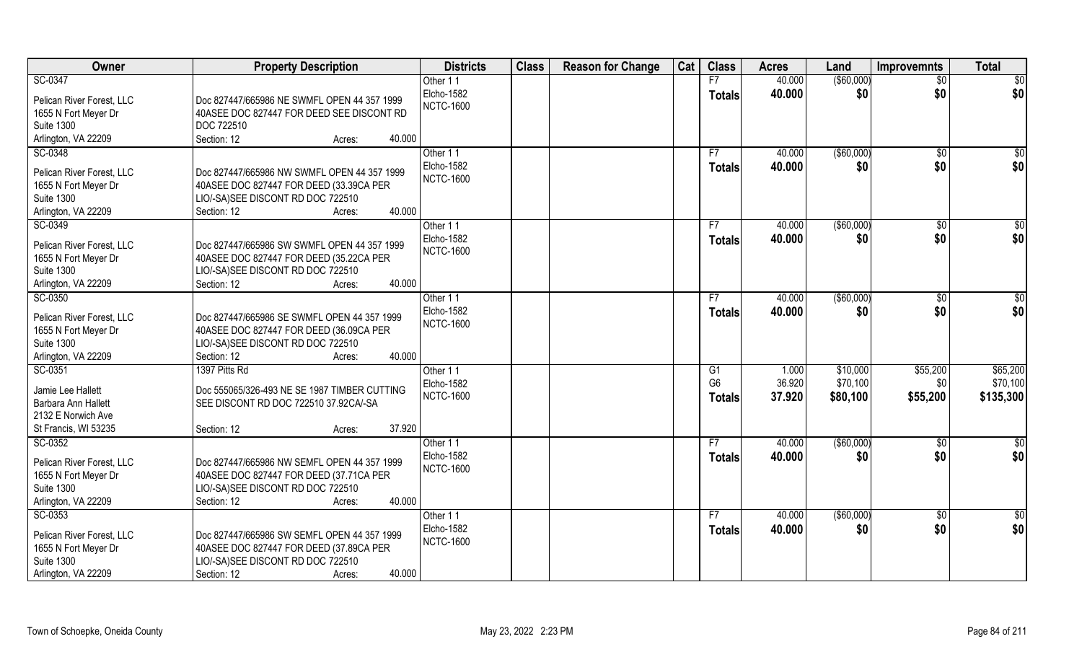| Owner                               | <b>Property Description</b>                  | <b>Districts</b> | <b>Class</b> | <b>Reason for Change</b> | Cat | <b>Class</b>   | <b>Acres</b> | Land              | <b>Improvemnts</b> | <b>Total</b>    |
|-------------------------------------|----------------------------------------------|------------------|--------------|--------------------------|-----|----------------|--------------|-------------------|--------------------|-----------------|
| SC-0347                             |                                              | Other 11         |              |                          |     | F7             | 40.000       | $($ \$60,000)     | $\overline{50}$    | $\overline{50}$ |
| Pelican River Forest, LLC           | Doc 827447/665986 NE SWMFL OPEN 44 357 1999  | Elcho-1582       |              |                          |     | <b>Totals</b>  | 40.000       | \$0               | \$0                | \$0             |
| 1655 N Fort Meyer Dr                | 40ASEE DOC 827447 FOR DEED SEE DISCONT RD    | <b>NCTC-1600</b> |              |                          |     |                |              |                   |                    |                 |
| <b>Suite 1300</b><br>DOC 722510     |                                              |                  |              |                          |     |                |              |                   |                    |                 |
| Arlington, VA 22209<br>Section: 12  | 40.000<br>Acres:                             |                  |              |                          |     |                |              |                   |                    |                 |
| SC-0348                             |                                              | Other 11         |              |                          |     | F7             | 40.000       | (\$60,000)        | \$0                | $\sqrt{50}$     |
|                                     |                                              | Elcho-1582       |              |                          |     | Totals         | 40.000       | \$0               | \$0                | \$0             |
| Pelican River Forest, LLC           | Doc 827447/665986 NW SWMFL OPEN 44 357 1999  | <b>NCTC-1600</b> |              |                          |     |                |              |                   |                    |                 |
| 1655 N Fort Meyer Dr                | 40ASEE DOC 827447 FOR DEED (33.39CA PER      |                  |              |                          |     |                |              |                   |                    |                 |
| <b>Suite 1300</b>                   | LIO/-SA)SEE DISCONT RD DOC 722510            |                  |              |                          |     |                |              |                   |                    |                 |
| Arlington, VA 22209<br>Section: 12  | 40.000<br>Acres:                             |                  |              |                          |     |                |              |                   |                    |                 |
| SC-0349                             |                                              | Other 11         |              |                          |     | F7             | 40.000       | $($ \$60,000)     | $\sqrt{6}$         | \$0             |
| Pelican River Forest, LLC           | Doc 827447/665986 SW SWMFL OPEN 44 357 1999  | Elcho-1582       |              |                          |     | <b>Totals</b>  | 40.000       | \$0               | \$0                | \$0             |
| 1655 N Fort Meyer Dr                | 40ASEE DOC 827447 FOR DEED (35.22CA PER      | <b>NCTC-1600</b> |              |                          |     |                |              |                   |                    |                 |
| <b>Suite 1300</b>                   | LIO/-SA)SEE DISCONT RD DOC 722510            |                  |              |                          |     |                |              |                   |                    |                 |
| Arlington, VA 22209<br>Section: 12  | 40.000<br>Acres:                             |                  |              |                          |     |                |              |                   |                    |                 |
| SC-0350                             |                                              | Other 11         |              |                          |     | F7             | 40.000       | ( \$60,000)       | \$0                | \$0             |
|                                     |                                              | Elcho-1582       |              |                          |     | <b>Totals</b>  | 40.000       | \$0               | \$0                | \$0             |
| Pelican River Forest, LLC           | Doc 827447/665986 SE SWMFL OPEN 44 357 1999  | <b>NCTC-1600</b> |              |                          |     |                |              |                   |                    |                 |
| 1655 N Fort Meyer Dr                | 40ASEE DOC 827447 FOR DEED (36.09CA PER      |                  |              |                          |     |                |              |                   |                    |                 |
| <b>Suite 1300</b>                   | LIO/-SA)SEE DISCONT RD DOC 722510            |                  |              |                          |     |                |              |                   |                    |                 |
| Arlington, VA 22209<br>Section: 12  | 40.000<br>Acres:                             |                  |              |                          |     |                |              |                   |                    |                 |
| SC-0351<br>1397 Pitts Rd            |                                              | Other 11         |              |                          |     | G1             | 1.000        | \$10,000          | \$55,200           | \$65,200        |
| Jamie Lee Hallett                   | Doc 555065/326-493 NE SE 1987 TIMBER CUTTING | Elcho-1582       |              |                          |     | G <sub>6</sub> | 36.920       | \$70,100          | \$0                | \$70,100        |
| Barbara Ann Hallett                 | SEE DISCONT RD DOC 722510 37.92CA/-SA        | <b>NCTC-1600</b> |              |                          |     | <b>Totals</b>  | 37.920       | \$80,100          | \$55,200           | \$135,300       |
| 2132 E Norwich Ave                  |                                              |                  |              |                          |     |                |              |                   |                    |                 |
| St Francis, WI 53235<br>Section: 12 | 37.920<br>Acres:                             |                  |              |                          |     |                |              |                   |                    |                 |
| SC-0352                             |                                              | Other 11         |              |                          |     | F7             | 40.000       | (\$60,000)        | \$0                | $\overline{50}$ |
|                                     |                                              | Elcho-1582       |              |                          |     | <b>Totals</b>  | 40.000       | \$0               | \$0                | \$0             |
| Pelican River Forest, LLC           | Doc 827447/665986 NW SEMFL OPEN 44 357 1999  | <b>NCTC-1600</b> |              |                          |     |                |              |                   |                    |                 |
| 1655 N Fort Meyer Dr                | 40ASEE DOC 827447 FOR DEED (37.71CA PER      |                  |              |                          |     |                |              |                   |                    |                 |
| <b>Suite 1300</b>                   | LIO/-SA)SEE DISCONT RD DOC 722510            |                  |              |                          |     |                |              |                   |                    |                 |
| Arlington, VA 22209<br>Section: 12  | 40.000<br>Acres:                             |                  |              |                          |     |                |              |                   |                    |                 |
| SC-0353                             |                                              | Other 11         |              |                          |     | F7             | 40.000       | $($ \$60,000) $ $ | $\overline{50}$    | \$0             |
| Pelican River Forest, LLC           | Doc 827447/665986 SW SEMFL OPEN 44 357 1999  | Elcho-1582       |              |                          |     | <b>Totals</b>  | 40.000       | \$0               | \$0                | \$0             |
| 1655 N Fort Meyer Dr                | 40ASEE DOC 827447 FOR DEED (37.89CA PER      | <b>NCTC-1600</b> |              |                          |     |                |              |                   |                    |                 |
| <b>Suite 1300</b>                   | LIO/-SA)SEE DISCONT RD DOC 722510            |                  |              |                          |     |                |              |                   |                    |                 |
| Arlington, VA 22209<br>Section: 12  | 40.000<br>Acres:                             |                  |              |                          |     |                |              |                   |                    |                 |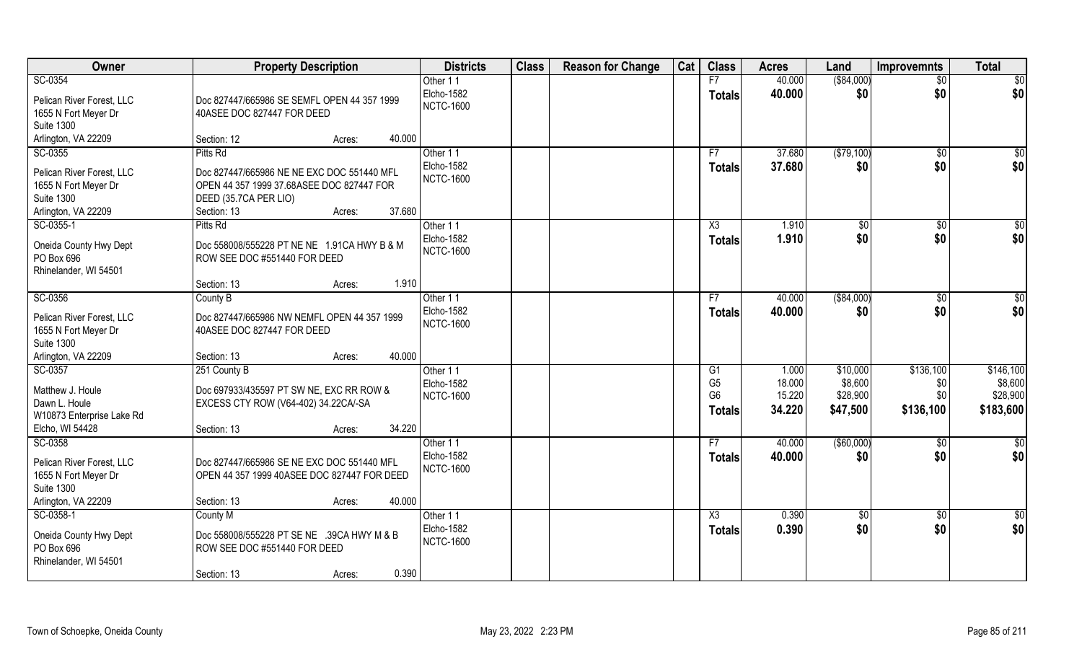| Owner                               | <b>Property Description</b>                                                             | <b>Districts</b>       | <b>Class</b> | <b>Reason for Change</b> | Cat | <b>Class</b>         | <b>Acres</b>    | Land            | <b>Improvemnts</b> | <b>Total</b>         |
|-------------------------------------|-----------------------------------------------------------------------------------------|------------------------|--------------|--------------------------|-----|----------------------|-----------------|-----------------|--------------------|----------------------|
| SC-0354                             |                                                                                         | Other 11               |              |                          |     | F7                   | 40.000          | ( \$84,000)     | $\overline{50}$    | \$0                  |
| Pelican River Forest, LLC           | Doc 827447/665986 SE SEMFL OPEN 44 357 1999                                             | Elcho-1582             |              |                          |     | <b>Totals</b>        | 40.000          | \$0             | \$0                | \$0                  |
| 1655 N Fort Meyer Dr                | 40ASEE DOC 827447 FOR DEED                                                              | <b>NCTC-1600</b>       |              |                          |     |                      |                 |                 |                    |                      |
| <b>Suite 1300</b>                   |                                                                                         |                        |              |                          |     |                      |                 |                 |                    |                      |
| Arlington, VA 22209                 | 40.000<br>Section: 12<br>Acres:                                                         |                        |              |                          |     |                      |                 |                 |                    |                      |
| SC-0355                             | Pitts Rd                                                                                | Other 11               |              |                          |     | F7                   | 37.680          | (\$79,100)      | \$0                | $\sqrt{50}$          |
| Pelican River Forest, LLC           |                                                                                         | <b>Elcho-1582</b>      |              |                          |     | Totals               | 37.680          | \$0             | \$0                | \$0                  |
| 1655 N Fort Meyer Dr                | Doc 827447/665986 NE NE EXC DOC 551440 MFL<br>OPEN 44 357 1999 37.68ASEE DOC 827447 FOR | <b>NCTC-1600</b>       |              |                          |     |                      |                 |                 |                    |                      |
| <b>Suite 1300</b>                   | DEED (35.7CA PER LIO)                                                                   |                        |              |                          |     |                      |                 |                 |                    |                      |
| Arlington, VA 22209                 | 37.680<br>Section: 13<br>Acres:                                                         |                        |              |                          |     |                      |                 |                 |                    |                      |
| SC-0355-1                           | Pitts Rd                                                                                | Other 11               |              |                          |     | X3                   | 1.910           | $\sqrt{6}$      | $\sqrt{6}$         | \$0                  |
|                                     |                                                                                         | Elcho-1582             |              |                          |     | <b>Totals</b>        | 1.910           | \$0             | \$0                | \$0                  |
| Oneida County Hwy Dept              | Doc 558008/555228 PT NE NE 1.91CA HWY B & M                                             | <b>NCTC-1600</b>       |              |                          |     |                      |                 |                 |                    |                      |
| PO Box 696<br>Rhinelander, WI 54501 | ROW SEE DOC #551440 FOR DEED                                                            |                        |              |                          |     |                      |                 |                 |                    |                      |
|                                     | 1.910<br>Section: 13<br>Acres:                                                          |                        |              |                          |     |                      |                 |                 |                    |                      |
| SC-0356                             | County B                                                                                | Other 11               |              |                          |     | F7                   | 40.000          | ( \$84,000)     | \$0                | \$0                  |
|                                     |                                                                                         | Elcho-1582             |              |                          |     | <b>Totals</b>        | 40.000          | \$0             | \$0                | \$0                  |
| Pelican River Forest, LLC           | Doc 827447/665986 NW NEMFL OPEN 44 357 1999                                             | <b>NCTC-1600</b>       |              |                          |     |                      |                 |                 |                    |                      |
| 1655 N Fort Meyer Dr                | 40ASEE DOC 827447 FOR DEED                                                              |                        |              |                          |     |                      |                 |                 |                    |                      |
| <b>Suite 1300</b>                   | 40.000                                                                                  |                        |              |                          |     |                      |                 |                 |                    |                      |
| Arlington, VA 22209<br>SC-0357      | Section: 13<br>Acres:                                                                   |                        |              |                          |     |                      |                 | \$10,000        |                    |                      |
|                                     | 251 County B                                                                            | Other 11<br>Elcho-1582 |              |                          |     | G1<br>G <sub>5</sub> | 1.000<br>18.000 | \$8,600         | \$136,100<br>\$0   | \$146,100<br>\$8,600 |
| Matthew J. Houle                    | Doc 697933/435597 PT SW NE, EXC RR ROW &                                                | <b>NCTC-1600</b>       |              |                          |     | G <sub>6</sub>       | 15.220          | \$28,900        | \$0                | \$28,900             |
| Dawn L. Houle                       | EXCESS CTY ROW (V64-402) 34.22CA/-SA                                                    |                        |              |                          |     | <b>Totals</b>        | 34.220          | \$47,500        | \$136,100          | \$183,600            |
| W10873 Enterprise Lake Rd           |                                                                                         |                        |              |                          |     |                      |                 |                 |                    |                      |
| Elcho, WI 54428                     | 34.220<br>Section: 13<br>Acres:                                                         |                        |              |                          |     |                      |                 |                 |                    |                      |
| SC-0358                             |                                                                                         | Other 11               |              |                          |     | F7                   | 40.000          | (\$60,000)      | \$0                | $\overline{50}$      |
| Pelican River Forest, LLC           | Doc 827447/665986 SE NE EXC DOC 551440 MFL                                              | Elcho-1582             |              |                          |     | <b>Totals</b>        | 40.000          | \$0             | \$0                | \$0                  |
| 1655 N Fort Meyer Dr                | OPEN 44 357 1999 40ASEE DOC 827447 FOR DEED                                             | <b>NCTC-1600</b>       |              |                          |     |                      |                 |                 |                    |                      |
| <b>Suite 1300</b>                   |                                                                                         |                        |              |                          |     |                      |                 |                 |                    |                      |
| Arlington, VA 22209                 | 40.000<br>Section: 13<br>Acres:                                                         |                        |              |                          |     |                      |                 |                 |                    |                      |
| SC-0358-1                           | County M                                                                                | Other 11               |              |                          |     | X3                   | 0.390           | $\overline{50}$ | $\overline{50}$    | $\frac{6}{3}$        |
| Oneida County Hwy Dept              | Doc 558008/555228 PT SE NE .39CA HWY M & B                                              | Elcho-1582             |              |                          |     | <b>Totals</b>        | 0.390           | \$0             | \$0                | \$0                  |
| PO Box 696                          | ROW SEE DOC #551440 FOR DEED                                                            | <b>NCTC-1600</b>       |              |                          |     |                      |                 |                 |                    |                      |
| Rhinelander, WI 54501               |                                                                                         |                        |              |                          |     |                      |                 |                 |                    |                      |
|                                     | 0.390<br>Section: 13<br>Acres:                                                          |                        |              |                          |     |                      |                 |                 |                    |                      |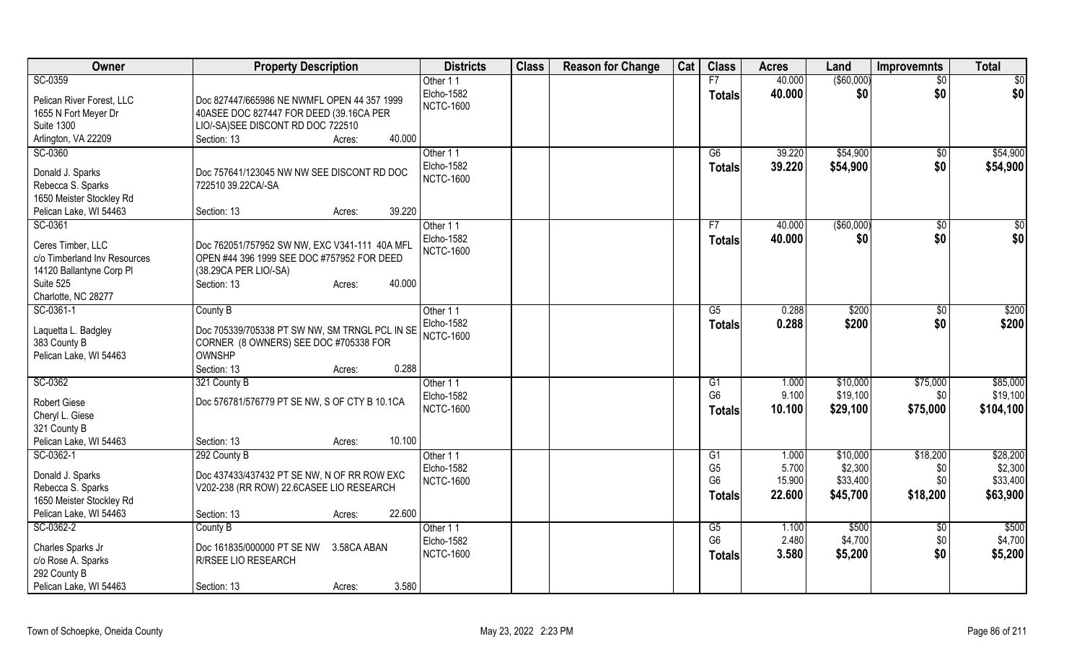| Owner                                   | <b>Property Description</b>                                      | <b>Districts</b>  | <b>Class</b> | <b>Reason for Change</b> | Cat | <b>Class</b>   | <b>Acres</b> | Land        | <b>Improvemnts</b> | <b>Total</b> |
|-----------------------------------------|------------------------------------------------------------------|-------------------|--------------|--------------------------|-----|----------------|--------------|-------------|--------------------|--------------|
| SC-0359                                 |                                                                  | Other 11          |              |                          |     | F7             | 40.000       | (\$60,000)  | $\overline{50}$    | \$0          |
| Pelican River Forest, LLC               | Doc 827447/665986 NE NWMFL OPEN 44 357 1999                      | Elcho-1582        |              |                          |     | <b>Totals</b>  | 40.000       | \$0         | \$0                | \$0          |
| 1655 N Fort Meyer Dr                    | 40ASEE DOC 827447 FOR DEED (39.16CA PER                          | <b>NCTC-1600</b>  |              |                          |     |                |              |             |                    |              |
| <b>Suite 1300</b>                       | LIO/-SA)SEE DISCONT RD DOC 722510                                |                   |              |                          |     |                |              |             |                    |              |
| Arlington, VA 22209                     | 40.000<br>Section: 13<br>Acres:                                  |                   |              |                          |     |                |              |             |                    |              |
| SC-0360                                 |                                                                  | Other 11          |              |                          |     | G6             | 39.220       | \$54,900    | \$0                | \$54,900     |
|                                         |                                                                  | <b>Elcho-1582</b> |              |                          |     | <b>Totals</b>  | 39.220       | \$54,900    | \$0                | \$54,900     |
| Donald J. Sparks<br>Rebecca S. Sparks   | Doc 757641/123045 NW NW SEE DISCONT RD DOC<br>722510 39.22CA/-SA | <b>NCTC-1600</b>  |              |                          |     |                |              |             |                    |              |
| 1650 Meister Stockley Rd                |                                                                  |                   |              |                          |     |                |              |             |                    |              |
| Pelican Lake, WI 54463                  | 39.220<br>Section: 13<br>Acres:                                  |                   |              |                          |     |                |              |             |                    |              |
| SC-0361                                 |                                                                  | Other 11          |              |                          |     | F7             | 40.000       | ( \$60,000) | $\sqrt[6]{30}$     | \$0          |
|                                         |                                                                  | <b>Elcho-1582</b> |              |                          |     | <b>Totals</b>  | 40.000       | \$0         | \$0                | \$0          |
| Ceres Timber, LLC                       | Doc 762051/757952 SW NW, EXC V341-111 40A MFL                    | <b>NCTC-1600</b>  |              |                          |     |                |              |             |                    |              |
| c/o Timberland Inv Resources            | OPEN #44 396 1999 SEE DOC #757952 FOR DEED                       |                   |              |                          |     |                |              |             |                    |              |
| 14120 Ballantyne Corp Pl                | (38.29CA PER LIO/-SA)<br>40.000                                  |                   |              |                          |     |                |              |             |                    |              |
| Suite 525<br>Charlotte, NC 28277        | Section: 13<br>Acres:                                            |                   |              |                          |     |                |              |             |                    |              |
| SC-0361-1                               | County B                                                         | Other 11          |              |                          |     | G5             | 0.288        | \$200       | \$0                | \$200        |
|                                         |                                                                  | Elcho-1582        |              |                          |     |                | 0.288        | \$200       | \$0                | \$200        |
| Laquetta L. Badgley                     | Doc 705339/705338 PT SW NW, SM TRNGL PCL IN SE                   | <b>NCTC-1600</b>  |              |                          |     | <b>Totals</b>  |              |             |                    |              |
| 383 County B                            | CORNER (8 OWNERS) SEE DOC #705338 FOR                            |                   |              |                          |     |                |              |             |                    |              |
| Pelican Lake, WI 54463                  | OWNSHP                                                           |                   |              |                          |     |                |              |             |                    |              |
|                                         | 0.288<br>Section: 13<br>Acres:                                   |                   |              |                          |     |                |              |             |                    |              |
| SC-0362                                 | 321 County B                                                     | Other 11          |              |                          |     | G1             | 1.000        | \$10,000    | \$75,000           | \$85,000     |
| <b>Robert Giese</b>                     | Doc 576781/576779 PT SE NW, S OF CTY B 10.1CA                    | Elcho-1582        |              |                          |     | G <sub>6</sub> | 9.100        | \$19,100    | \$0                | \$19,100     |
| Cheryl L. Giese                         |                                                                  | <b>NCTC-1600</b>  |              |                          |     | <b>Totals</b>  | 10.100       | \$29,100    | \$75,000           | \$104,100    |
| 321 County B                            |                                                                  |                   |              |                          |     |                |              |             |                    |              |
| Pelican Lake, WI 54463                  | 10.100<br>Section: 13<br>Acres:                                  |                   |              |                          |     |                |              |             |                    |              |
| SC-0362-1                               | 292 County B                                                     | Other 11          |              |                          |     | G1             | 1.000        | \$10,000    | \$18,200           | \$28,200     |
| Donald J. Sparks                        | Doc 437433/437432 PT SE NW, N OF RR ROW EXC                      | Elcho-1582        |              |                          |     | G <sub>5</sub> | 5.700        | \$2,300     | \$0                | \$2,300      |
| Rebecca S. Sparks                       | V202-238 (RR ROW) 22.6CASEE LIO RESEARCH                         | <b>NCTC-1600</b>  |              |                          |     | G <sub>6</sub> | 15.900       | \$33,400    | \$0                | \$33,400     |
| 1650 Meister Stockley Rd                |                                                                  |                   |              |                          |     | <b>Totals</b>  | 22.600       | \$45,700    | \$18,200           | \$63,900     |
| Pelican Lake, WI 54463                  | 22.600<br>Section: 13<br>Acres:                                  |                   |              |                          |     |                |              |             |                    |              |
| SC-0362-2                               | County B                                                         | Other 11          |              |                          |     | G5             | 1.100        | \$500       | \$0                | \$500        |
|                                         | Doc 161835/000000 PT SE NW<br>3.58CA ABAN                        | <b>Elcho-1582</b> |              |                          |     | G <sub>6</sub> | 2.480        | \$4,700     | \$0                | \$4,700      |
| Charles Sparks Jr<br>c/o Rose A. Sparks | R/RSEE LIO RESEARCH                                              | <b>NCTC-1600</b>  |              |                          |     | <b>Totals</b>  | 3.580        | \$5,200     | \$0                | \$5,200      |
| 292 County B                            |                                                                  |                   |              |                          |     |                |              |             |                    |              |
| Pelican Lake, WI 54463                  | 3.580<br>Section: 13<br>Acres:                                   |                   |              |                          |     |                |              |             |                    |              |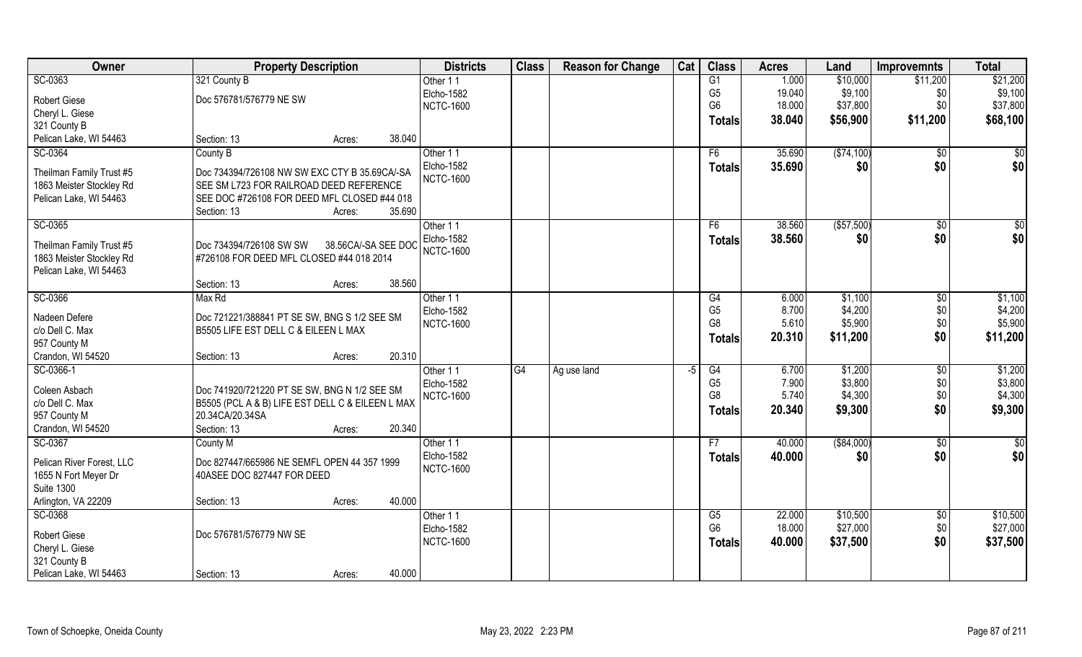| Owner                     | <b>Property Description</b>                                                          |                     | <b>Districts</b> | <b>Class</b> | <b>Reason for Change</b> | Cat  | <b>Class</b>   | <b>Acres</b> | Land        | <b>Improvemnts</b> | <b>Total</b>    |
|---------------------------|--------------------------------------------------------------------------------------|---------------------|------------------|--------------|--------------------------|------|----------------|--------------|-------------|--------------------|-----------------|
| SC-0363                   | 321 County B                                                                         |                     | Other 11         |              |                          |      | G1             | 1.000        | \$10,000    | \$11,200           | \$21,200        |
| <b>Robert Giese</b>       | Doc 576781/576779 NE SW                                                              |                     | Elcho-1582       |              |                          |      | G <sub>5</sub> | 19.040       | \$9,100     | \$0                | \$9,100         |
| Cheryl L. Giese           |                                                                                      |                     | <b>NCTC-1600</b> |              |                          |      | G <sub>6</sub> | 18.000       | \$37,800    | \$0                | \$37,800        |
| 321 County B              |                                                                                      |                     |                  |              |                          |      | <b>Totals</b>  | 38.040       | \$56,900    | \$11,200           | \$68,100        |
| Pelican Lake, WI 54463    | Section: 13                                                                          | 38.040<br>Acres:    |                  |              |                          |      |                |              |             |                    |                 |
| SC-0364                   | County B                                                                             |                     | Other 11         |              |                          |      | F6             | 35.690       | (\$74,100)  | $\overline{50}$    | \$0             |
|                           |                                                                                      |                     | Elcho-1582       |              |                          |      | Totals         | 35.690       | \$0         | \$0                | \$0             |
| Theilman Family Trust #5  | Doc 734394/726108 NW SW EXC CTY B 35.69CA/-SA                                        |                     | <b>NCTC-1600</b> |              |                          |      |                |              |             |                    |                 |
| 1863 Meister Stockley Rd  | SEE SM L723 FOR RAILROAD DEED REFERENCE                                              |                     |                  |              |                          |      |                |              |             |                    |                 |
| Pelican Lake, WI 54463    | SEE DOC #726108 FOR DEED MFL CLOSED #44 018                                          |                     |                  |              |                          |      |                |              |             |                    |                 |
|                           | Section: 13                                                                          | 35.690<br>Acres:    |                  |              |                          |      |                |              |             |                    |                 |
| SC-0365                   |                                                                                      |                     | Other 11         |              |                          |      | F6             | 38.560       | ( \$57,500) | $\overline{50}$    | $\sqrt{50}$     |
| Theilman Family Trust #5  | Doc 734394/726108 SW SW                                                              | 38.56CA/-SA SEE DOC | Elcho-1582       |              |                          |      | <b>Totals</b>  | 38.560       | \$0         | \$0                | \$0             |
| 1863 Meister Stockley Rd  | #726108 FOR DEED MFL CLOSED #44 018 2014                                             |                     | <b>NCTC-1600</b> |              |                          |      |                |              |             |                    |                 |
| Pelican Lake, WI 54463    |                                                                                      |                     |                  |              |                          |      |                |              |             |                    |                 |
|                           | Section: 13                                                                          | 38.560<br>Acres:    |                  |              |                          |      |                |              |             |                    |                 |
| SC-0366                   | Max Rd                                                                               |                     | Other 11         |              |                          |      | G4             | 6.000        | \$1,100     | $\sqrt[6]{3}$      | \$1,100         |
| Nadeen Defere             |                                                                                      |                     | Elcho-1582       |              |                          |      | G <sub>5</sub> | 8.700        | \$4,200     | \$0                | \$4,200         |
| c/o Dell C. Max           | Doc 721221/388841 PT SE SW, BNG S 1/2 SEE SM<br>B5505 LIFE EST DELL C & EILEEN L MAX |                     | <b>NCTC-1600</b> |              |                          |      | G8             | 5.610        | \$5,900     | \$0                | \$5,900         |
| 957 County M              |                                                                                      |                     |                  |              |                          |      | <b>Totals</b>  | 20.310       | \$11,200    | \$0                | \$11,200        |
| Crandon, WI 54520         | Section: 13                                                                          | 20.310<br>Acres:    |                  |              |                          |      |                |              |             |                    |                 |
| SC-0366-1                 |                                                                                      |                     | Other 11         | G4           | Ag use land              | $-5$ | G4             | 6.700        | \$1,200     | \$0                | \$1,200         |
|                           |                                                                                      |                     | Elcho-1582       |              |                          |      | G <sub>5</sub> | 7.900        | \$3,800     | \$0                | \$3,800         |
| Coleen Asbach             | Doc 741920/721220 PT SE SW, BNG N 1/2 SEE SM                                         |                     | <b>NCTC-1600</b> |              |                          |      | G <sub>8</sub> | 5.740        | \$4,300     | \$0                | \$4,300         |
| c/o Dell C. Max           | B5505 (PCL A & B) LIFE EST DELL C & EILEEN L MAX                                     |                     |                  |              |                          |      | <b>Totals</b>  | 20.340       | \$9,300     | \$0                | \$9,300         |
| 957 County M              | 20.34CA/20.34SA                                                                      |                     |                  |              |                          |      |                |              |             |                    |                 |
| Crandon, WI 54520         | Section: 13                                                                          | 20.340<br>Acres:    |                  |              |                          |      |                |              |             |                    |                 |
| SC-0367                   | <b>County M</b>                                                                      |                     | Other 11         |              |                          |      | F7             | 40.000       | ( \$84,000) | \$0                | $\overline{30}$ |
| Pelican River Forest, LLC | Doc 827447/665986 NE SEMFL OPEN 44 357 1999                                          |                     | Elcho-1582       |              |                          |      | Totals         | 40.000       | \$0         | \$0                | \$0             |
| 1655 N Fort Meyer Dr      | 40ASEE DOC 827447 FOR DEED                                                           |                     | <b>NCTC-1600</b> |              |                          |      |                |              |             |                    |                 |
| <b>Suite 1300</b>         |                                                                                      |                     |                  |              |                          |      |                |              |             |                    |                 |
| Arlington, VA 22209       | Section: 13                                                                          | 40.000<br>Acres:    |                  |              |                          |      |                |              |             |                    |                 |
| SC-0368                   |                                                                                      |                     | Other 11         |              |                          |      | G5             | 22.000       | \$10,500    | $\sqrt{$0}$        | \$10,500        |
|                           |                                                                                      |                     | Elcho-1582       |              |                          |      | G <sub>6</sub> | 18.000       | \$27,000    | \$0                | \$27,000        |
| <b>Robert Giese</b>       | Doc 576781/576779 NW SE                                                              |                     | <b>NCTC-1600</b> |              |                          |      | <b>Totals</b>  | 40.000       | \$37,500    | \$0                | \$37,500        |
| Cheryl L. Giese           |                                                                                      |                     |                  |              |                          |      |                |              |             |                    |                 |
| 321 County B              |                                                                                      |                     |                  |              |                          |      |                |              |             |                    |                 |
| Pelican Lake, WI 54463    | Section: 13                                                                          | 40.000<br>Acres:    |                  |              |                          |      |                |              |             |                    |                 |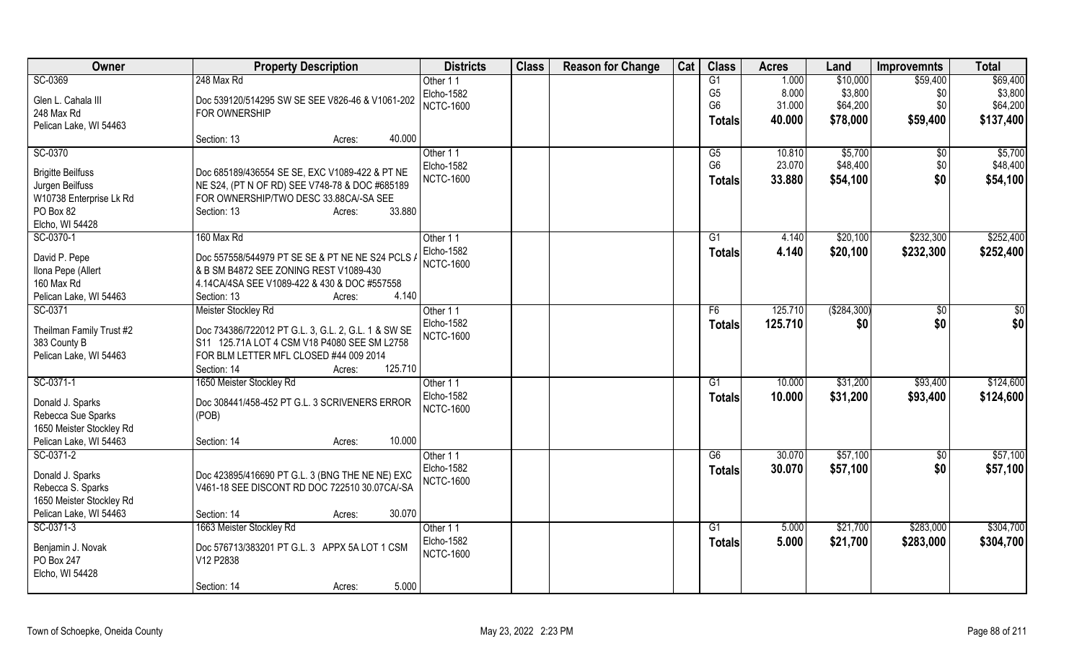| Owner                                              | <b>Property Description</b>                         | <b>Districts</b>       | <b>Class</b> | <b>Reason for Change</b> | Cat | <b>Class</b>    | <b>Acres</b> | Land          | <b>Improvemnts</b> | <b>Total</b> |
|----------------------------------------------------|-----------------------------------------------------|------------------------|--------------|--------------------------|-----|-----------------|--------------|---------------|--------------------|--------------|
| SC-0369                                            | 248 Max Rd                                          | Other 11               |              |                          |     | G1              | 1.000        | \$10,000      | \$59,400           | \$69,400     |
| Glen L. Cahala III                                 | Doc 539120/514295 SW SE SEE V826-46 & V1061-202     | <b>Elcho-1582</b>      |              |                          |     | G <sub>5</sub>  | 8.000        | \$3,800       | \$0                | \$3,800      |
| 248 Max Rd                                         | FOR OWNERSHIP                                       | <b>NCTC-1600</b>       |              |                          |     | G <sub>6</sub>  | 31.000       | \$64,200      | \$0                | \$64,200     |
| Pelican Lake, WI 54463                             |                                                     |                        |              |                          |     | <b>Totals</b>   | 40.000       | \$78,000      | \$59,400           | \$137,400    |
|                                                    | 40.000<br>Section: 13<br>Acres:                     |                        |              |                          |     |                 |              |               |                    |              |
| SC-0370                                            |                                                     | Other 11               |              |                          |     | G5              | 10.810       | \$5,700       | \$0                | \$5,700      |
| <b>Brigitte Beilfuss</b>                           | Doc 685189/436554 SE SE, EXC V1089-422 & PT NE      | Elcho-1582             |              |                          |     | G <sub>6</sub>  | 23.070       | \$48,400      | \$0                | \$48,400     |
| Jurgen Beilfuss                                    | NE S24, (PT N OF RD) SEE V748-78 & DOC #685189      | <b>NCTC-1600</b>       |              |                          |     | <b>Totals</b>   | 33.880       | \$54,100      | \$0                | \$54,100     |
| W10738 Enterprise Lk Rd                            | FOR OWNERSHIP/TWO DESC 33.88CA/-SA SEE              |                        |              |                          |     |                 |              |               |                    |              |
| PO Box 82                                          | 33.880<br>Section: 13<br>Acres:                     |                        |              |                          |     |                 |              |               |                    |              |
| Elcho, WI 54428                                    |                                                     |                        |              |                          |     |                 |              |               |                    |              |
| SC-0370-1                                          | 160 Max Rd                                          | Other 11               |              |                          |     | G1              | 4.140        | \$20,100      | \$232,300          | \$252,400    |
|                                                    |                                                     | Elcho-1582             |              |                          |     | <b>Totals</b>   | 4.140        | \$20,100      | \$232,300          | \$252,400    |
| David P. Pepe                                      | Doc 557558/544979 PT SE SE & PT NE NE S24 PCLS /    | <b>NCTC-1600</b>       |              |                          |     |                 |              |               |                    |              |
| Ilona Pepe (Allert                                 | & B SM B4872 SEE ZONING REST V1089-430              |                        |              |                          |     |                 |              |               |                    |              |
| 160 Max Rd                                         | 4.14CA/4SA SEE V1089-422 & 430 & DOC #557558        |                        |              |                          |     |                 |              |               |                    |              |
| Pelican Lake, WI 54463                             | 4.140<br>Section: 13<br>Acres:                      |                        |              |                          |     |                 |              |               |                    |              |
| SC-0371                                            | Meister Stockley Rd                                 | Other 11               |              |                          |     | F <sub>6</sub>  | 125.710      | ( \$284, 300) | \$0                | $\sqrt{50}$  |
| Theilman Family Trust #2                           | Doc 734386/722012 PT G.L. 3, G.L. 2, G.L. 1 & SW SE | Elcho-1582             |              |                          |     | <b>Totals</b>   | 125.710      | \$0           | \$0                | \$0          |
| 383 County B                                       | S11 125.71A LOT 4 CSM V18 P4080 SEE SM L2758        | <b>NCTC-1600</b>       |              |                          |     |                 |              |               |                    |              |
| Pelican Lake, WI 54463                             | FOR BLM LETTER MFL CLOSED #44 009 2014              |                        |              |                          |     |                 |              |               |                    |              |
|                                                    | 125.710<br>Section: 14<br>Acres:                    |                        |              |                          |     |                 |              |               |                    |              |
| SC-0371-1                                          | 1650 Meister Stockley Rd                            | Other 11               |              |                          |     | G1              | 10.000       | \$31,200      | \$93,400           | \$124,600    |
| Donald J. Sparks                                   | Doc 308441/458-452 PT G.L. 3 SCRIVENERS ERROR       | <b>Elcho-1582</b>      |              |                          |     | Totals          | 10.000       | \$31,200      | \$93,400           | \$124,600    |
| Rebecca Sue Sparks                                 | (POB)                                               | <b>NCTC-1600</b>       |              |                          |     |                 |              |               |                    |              |
| 1650 Meister Stockley Rd                           |                                                     |                        |              |                          |     |                 |              |               |                    |              |
| Pelican Lake, WI 54463                             | 10.000<br>Section: 14<br>Acres:                     |                        |              |                          |     |                 |              |               |                    |              |
| SC-0371-2                                          |                                                     | Other 11               |              |                          |     | G6              | 30.070       | \$57,100      | \$0                | \$57,100     |
|                                                    |                                                     | <b>Elcho-1582</b>      |              |                          |     | <b>Totals</b>   | 30.070       | \$57,100      | \$0                | \$57,100     |
| Donald J. Sparks                                   | Doc 423895/416690 PT G.L. 3 (BNG THE NE NE) EXC     | <b>NCTC-1600</b>       |              |                          |     |                 |              |               |                    |              |
| Rebecca S. Sparks                                  | V461-18 SEE DISCONT RD DOC 722510 30.07CA/-SA       |                        |              |                          |     |                 |              |               |                    |              |
| 1650 Meister Stockley Rd<br>Pelican Lake, WI 54463 | 30.070                                              |                        |              |                          |     |                 |              |               |                    |              |
| SC-0371-3                                          | Section: 14<br>Acres:                               |                        |              |                          |     | $\overline{G1}$ |              | \$21,700      | \$283,000          | \$304,700    |
|                                                    | 1663 Meister Stockley Rd                            | Other 11<br>Elcho-1582 |              |                          |     |                 | 5.000        |               |                    |              |
| Benjamin J. Novak                                  | Doc 576713/383201 PT G.L. 3 APPX 5A LOT 1 CSM       | <b>NCTC-1600</b>       |              |                          |     | <b>Totals</b>   | 5.000        | \$21,700      | \$283,000          | \$304,700    |
| PO Box 247                                         | V12 P2838                                           |                        |              |                          |     |                 |              |               |                    |              |
| Elcho, WI 54428                                    |                                                     |                        |              |                          |     |                 |              |               |                    |              |
|                                                    | 5.000<br>Section: 14<br>Acres:                      |                        |              |                          |     |                 |              |               |                    |              |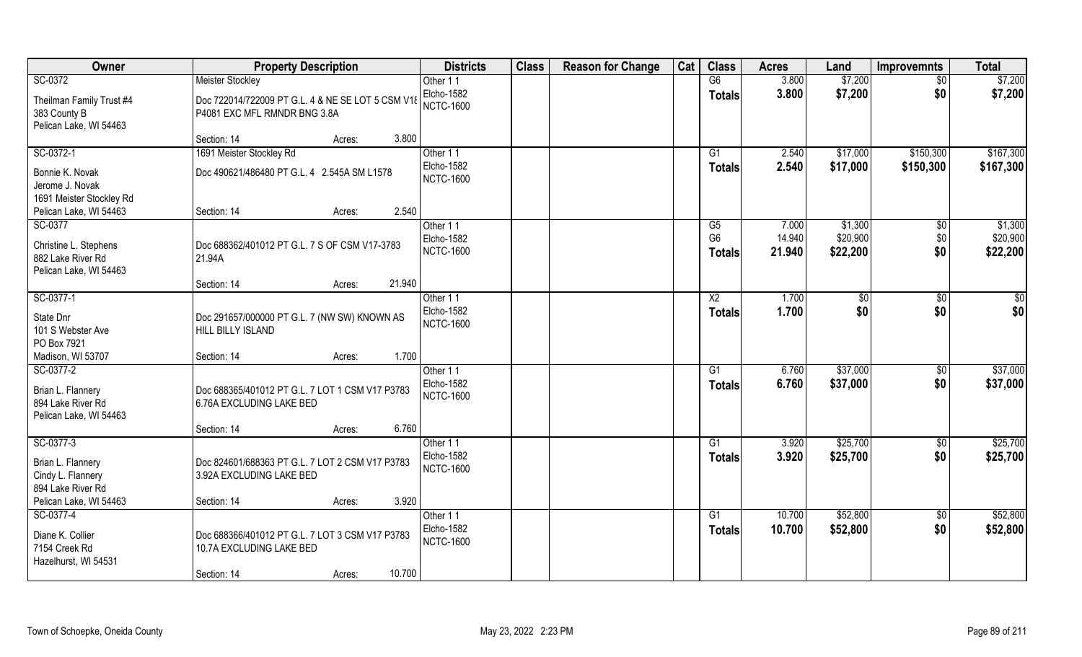| <b>Owner</b>                                                                  | <b>Property Description</b>                                                           | <b>Districts</b>                                  | <b>Class</b> | <b>Reason for Change</b> | Cat | <b>Class</b>                    | <b>Acres</b>     | Land                  | <b>Improvemnts</b>     | <b>Total</b>           |
|-------------------------------------------------------------------------------|---------------------------------------------------------------------------------------|---------------------------------------------------|--------------|--------------------------|-----|---------------------------------|------------------|-----------------------|------------------------|------------------------|
| SC-0372                                                                       | <b>Meister Stockley</b>                                                               | Other 11                                          |              |                          |     | G6                              | 3.800            | \$7,200               | $\overline{50}$        | \$7,200                |
| Theilman Family Trust #4<br>383 County B<br>Pelican Lake, WI 54463            | Doc 722014/722009 PT G.L. 4 & NE SE LOT 5 CSM V18<br>P4081 EXC MFL RMNDR BNG 3.8A     | Elcho-1582<br><b>NCTC-1600</b>                    |              |                          |     | <b>Totals</b>                   | 3.800            | \$7,200               | \$0                    | \$7,200                |
|                                                                               | 3.800<br>Section: 14<br>Acres:                                                        |                                                   |              |                          |     |                                 |                  |                       |                        |                        |
| SC-0372-1<br>Bonnie K. Novak                                                  | 1691 Meister Stockley Rd<br>Doc 490621/486480 PT G.L. 4 2.545A SM L1578               | Other 11<br>Elcho-1582<br><b>NCTC-1600</b>        |              |                          |     | G1<br>Totals                    | 2.540<br>2.540   | \$17,000<br>\$17,000  | \$150,300<br>\$150,300 | \$167,300<br>\$167,300 |
| Jerome J. Novak<br>1691 Meister Stockley Rd<br>Pelican Lake, WI 54463         | 2.540<br>Section: 14<br>Acres:                                                        |                                                   |              |                          |     |                                 |                  |                       |                        |                        |
| SC-0377                                                                       |                                                                                       | Other 11                                          |              |                          |     | G5                              | 7.000            | \$1,300               | $\sqrt[6]{3}$          | \$1,300                |
| Christine L. Stephens<br>882 Lake River Rd<br>Pelican Lake, WI 54463          | Doc 688362/401012 PT G.L. 7 S OF CSM V17-3783<br>21.94A                               | Elcho-1582<br><b>NCTC-1600</b>                    |              |                          |     | G <sub>6</sub><br><b>Totals</b> | 14.940<br>21.940 | \$20,900<br>\$22,200  | \$0<br>\$0             | \$20,900<br>\$22,200   |
|                                                                               | 21.940<br>Section: 14<br>Acres:                                                       |                                                   |              |                          |     |                                 |                  |                       |                        |                        |
| SC-0377-1<br>State Dnr<br>101 S Webster Ave                                   | Doc 291657/000000 PT G.L. 7 (NW SW) KNOWN AS<br><b>HILL BILLY ISLAND</b>              | Other 11<br>Elcho-1582<br><b>NCTC-1600</b>        |              |                          |     | X <sub>2</sub><br><b>Totals</b> | 1.700<br>1.700   | $\sqrt[6]{30}$<br>\$0 | \$0<br>\$0             | \$0<br>\$0             |
| PO Box 7921<br>Madison, WI 53707                                              | 1.700<br>Section: 14<br>Acres:                                                        |                                                   |              |                          |     |                                 |                  |                       |                        |                        |
| SC-0377-2<br>Brian L. Flannery<br>894 Lake River Rd<br>Pelican Lake, WI 54463 | Doc 688365/401012 PT G.L. 7 LOT 1 CSM V17 P3783<br>6.76A EXCLUDING LAKE BED           | Other 11<br><b>Elcho-1582</b><br><b>NCTC-1600</b> |              |                          |     | G1<br><b>Totals</b>             | 6.760<br>6.760   | \$37,000<br>\$37,000  | $\sqrt[6]{30}$<br>\$0  | \$37,000<br>\$37,000   |
|                                                                               | 6.760<br>Section: 14<br>Acres:                                                        |                                                   |              |                          |     |                                 |                  |                       |                        |                        |
| SC-0377-3<br>Brian L. Flannery<br>Cindy L. Flannery<br>894 Lake River Rd      | Doc 824601/688363 PT G.L. 7 LOT 2 CSM V17 P3783<br>3.92A EXCLUDING LAKE BED           | Other 11<br>Elcho-1582<br><b>NCTC-1600</b>        |              |                          |     | G1<br><b>Totals</b>             | 3.920<br>3.920   | \$25,700<br>\$25,700  | $\sqrt{$0}$<br>\$0     | \$25,700<br>\$25,700   |
| Pelican Lake, WI 54463                                                        | 3.920<br>Section: 14<br>Acres:                                                        |                                                   |              |                          |     |                                 |                  |                       |                        |                        |
| SC-0377-4<br>Diane K. Collier<br>7154 Creek Rd<br>Hazelhurst, WI 54531        | Doc 688366/401012 PT G.L. 7 LOT 3 CSM V17 P3783<br>10.7A EXCLUDING LAKE BED<br>10.700 | Other 11<br><b>Elcho-1582</b><br><b>NCTC-1600</b> |              |                          |     | G <sub>1</sub><br><b>Totals</b> | 10.700<br>10.700 | \$52,800<br>\$52,800  | $\overline{50}$<br>\$0 | \$52,800<br>\$52,800   |
|                                                                               | Section: 14<br>Acres:                                                                 |                                                   |              |                          |     |                                 |                  |                       |                        |                        |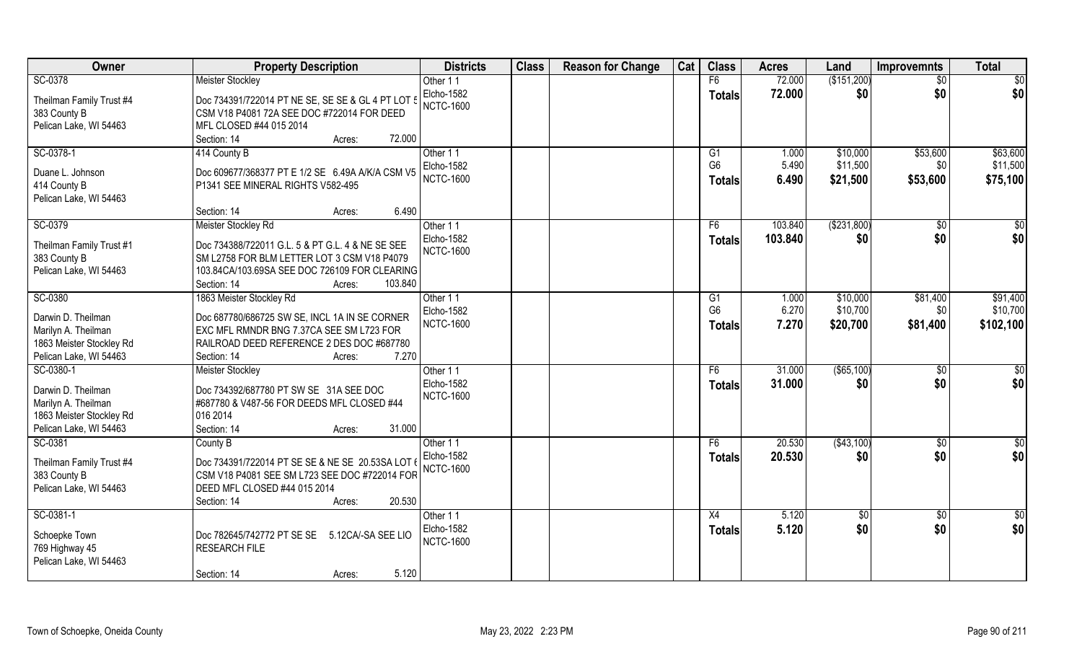| Owner                           | <b>Property Description</b>                       | <b>Districts</b> | <b>Class</b> | <b>Reason for Change</b> | Cat | <b>Class</b>   | <b>Acres</b> | Land          | <b>Improvemnts</b> | <b>Total</b>     |
|---------------------------------|---------------------------------------------------|------------------|--------------|--------------------------|-----|----------------|--------------|---------------|--------------------|------------------|
| SC-0378                         | <b>Meister Stockley</b>                           | Other 11         |              |                          |     | F6             | 72.000       | (\$151,200)   | $\overline{50}$    | $\overline{50}$  |
| Theilman Family Trust #4        | Doc 734391/722014 PT NE SE, SE SE & GL 4 PT LOT 5 | Elcho-1582       |              |                          |     | <b>Totals</b>  | 72.000       | \$0           | \$0                | \$0              |
| 383 County B                    | CSM V18 P4081 72A SEE DOC #722014 FOR DEED        | <b>NCTC-1600</b> |              |                          |     |                |              |               |                    |                  |
| Pelican Lake, WI 54463          | MFL CLOSED #44 015 2014                           |                  |              |                          |     |                |              |               |                    |                  |
|                                 | 72.000<br>Section: 14<br>Acres:                   |                  |              |                          |     |                |              |               |                    |                  |
| SC-0378-1                       | 414 County B                                      | Other 11         |              |                          |     | G1             | 1.000        | \$10,000      | \$53,600           | \$63,600         |
|                                 |                                                   | Elcho-1582       |              |                          |     | G <sub>6</sub> | 5.490        | \$11,500      | \$0                | \$11,500         |
| Duane L. Johnson                | Doc 609677/368377 PT E 1/2 SE 6.49A A/K/A CSM V5  | <b>NCTC-1600</b> |              |                          |     | Totals         | 6.490        | \$21,500      | \$53,600           | \$75,100         |
| 414 County B                    | P1341 SEE MINERAL RIGHTS V582-495                 |                  |              |                          |     |                |              |               |                    |                  |
| Pelican Lake, WI 54463          |                                                   |                  |              |                          |     |                |              |               |                    |                  |
|                                 | 6.490<br>Section: 14<br>Acres:                    |                  |              |                          |     |                |              |               |                    |                  |
| SC-0379                         | Meister Stockley Rd                               | Other 11         |              |                          |     | F6             | 103.840      | ( \$231, 800) | $\sqrt[6]{30}$     | \$0              |
| Theilman Family Trust #1        | Doc 734388/722011 G.L. 5 & PT G.L. 4 & NE SE SEE  | Elcho-1582       |              |                          |     | <b>Totals</b>  | 103.840      | \$0           | \$0                | \$0              |
| 383 County B                    | SM L2758 FOR BLM LETTER LOT 3 CSM V18 P4079       | <b>NCTC-1600</b> |              |                          |     |                |              |               |                    |                  |
| Pelican Lake, WI 54463          | 103.84CA/103.69SA SEE DOC 726109 FOR CLEARING     |                  |              |                          |     |                |              |               |                    |                  |
|                                 | Section: 14<br>103.840<br>Acres:                  |                  |              |                          |     |                |              |               |                    |                  |
| SC-0380                         | 1863 Meister Stockley Rd                          | Other 11         |              |                          |     | G1             | 1.000        | \$10,000      | \$81,400           | \$91,400         |
| Darwin D. Theilman              | Doc 687780/686725 SW SE, INCL 1A IN SE CORNER     | Elcho-1582       |              |                          |     | G <sub>6</sub> | 6.270        | \$10,700      | \$0                | \$10,700         |
| Marilyn A. Theilman             | EXC MFL RMNDR BNG 7.37CA SEE SM L723 FOR          | <b>NCTC-1600</b> |              |                          |     | <b>Totals</b>  | 7.270        | \$20,700      | \$81,400           | \$102,100        |
| 1863 Meister Stockley Rd        | RAILROAD DEED REFERENCE 2 DES DOC #687780         |                  |              |                          |     |                |              |               |                    |                  |
| Pelican Lake, WI 54463          | 7.270<br>Section: 14<br>Acres:                    |                  |              |                          |     |                |              |               |                    |                  |
| SC-0380-1                       | <b>Meister Stockley</b>                           | Other 11         |              |                          |     | F <sub>6</sub> | 31.000       | (\$65,100)    | \$0                | $\overline{50}$  |
|                                 |                                                   | Elcho-1582       |              |                          |     | Totals         | 31.000       | \$0           | \$0                | \$0              |
| Darwin D. Theilman              | Doc 734392/687780 PT SW SE 31A SEE DOC            | <b>NCTC-1600</b> |              |                          |     |                |              |               |                    |                  |
| Marilyn A. Theilman             | #687780 & V487-56 FOR DEEDS MFL CLOSED #44        |                  |              |                          |     |                |              |               |                    |                  |
| 1863 Meister Stockley Rd        | 016 2014                                          |                  |              |                          |     |                |              |               |                    |                  |
| Pelican Lake, WI 54463          | Section: 14<br>31.000<br>Acres:                   |                  |              |                          |     |                |              |               |                    |                  |
| SC-0381                         | County B                                          | Other 11         |              |                          |     | F <sub>6</sub> | 20.530       | (\$43,100)    | \$0                | $rac{1}{6}$      |
| Theilman Family Trust #4        | Doc 734391/722014 PT SE SE & NE SE 20.53SA LOT 6  | Elcho-1582       |              |                          |     | <b>Totals</b>  | 20.530       | \$0           | \$0                | \$0              |
| 383 County B                    | CSM V18 P4081 SEE SM L723 SEE DOC #722014 FOR     | <b>NCTC-1600</b> |              |                          |     |                |              |               |                    |                  |
| Pelican Lake, WI 54463          | DEED MFL CLOSED #44 015 2014                      |                  |              |                          |     |                |              |               |                    |                  |
|                                 | 20.530<br>Section: 14<br>Acres:                   |                  |              |                          |     |                |              |               |                    |                  |
| SC-0381-1                       |                                                   | Other 11         |              |                          |     | X4             | 5.120        | \$0           | $\sqrt[6]{}$       | $\overline{\$0}$ |
|                                 | Doc 782645/742772 PT SE SE                        | Elcho-1582       |              |                          |     | Totals         | 5.120        | \$0           | \$0                | \$0              |
| Schoepke Town<br>769 Highway 45 | 5.12CA/-SA SEE LIO<br><b>RESEARCH FILE</b>        | <b>NCTC-1600</b> |              |                          |     |                |              |               |                    |                  |
| Pelican Lake, WI 54463          |                                                   |                  |              |                          |     |                |              |               |                    |                  |
|                                 | 5.120<br>Section: 14<br>Acres:                    |                  |              |                          |     |                |              |               |                    |                  |
|                                 |                                                   |                  |              |                          |     |                |              |               |                    |                  |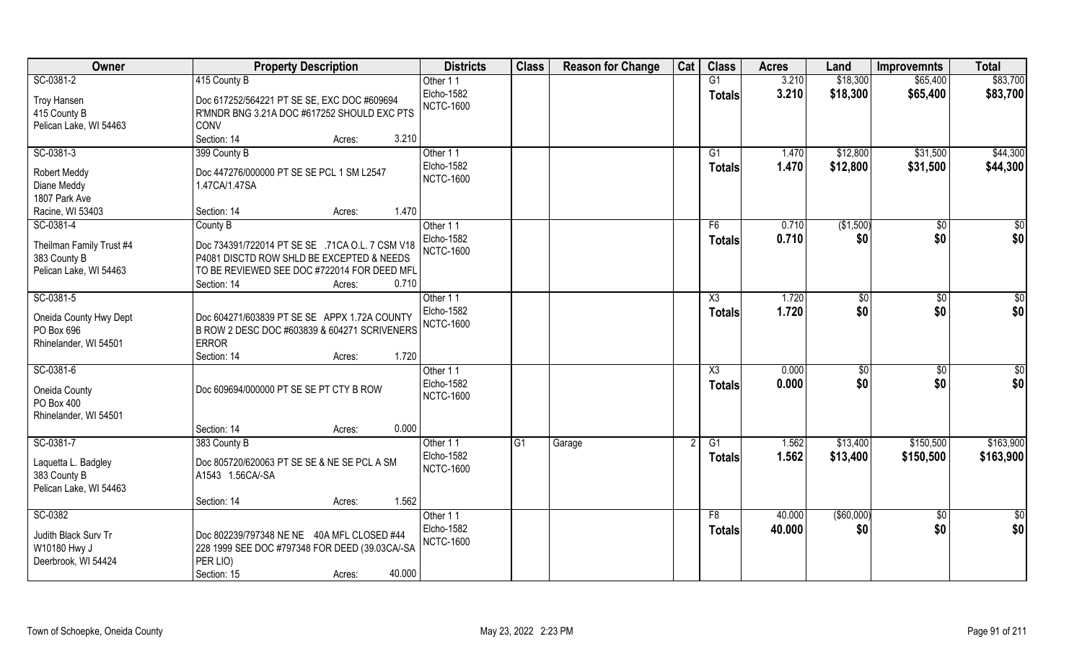| Owner                                                              | <b>Property Description</b>                                                                                                                                         | <b>Districts</b>                                  | <b>Class</b> | <b>Reason for Change</b> | Cat | <b>Class</b>        | <b>Acres</b>   | Land                  | <b>Improvemnts</b>     | <b>Total</b> |
|--------------------------------------------------------------------|---------------------------------------------------------------------------------------------------------------------------------------------------------------------|---------------------------------------------------|--------------|--------------------------|-----|---------------------|----------------|-----------------------|------------------------|--------------|
| SC-0381-2                                                          | 415 County B                                                                                                                                                        | Other 11                                          |              |                          |     | G1                  | 3.210          | \$18,300              | \$65,400               | \$83,700     |
| Troy Hansen<br>415 County B<br>Pelican Lake, WI 54463              | Doc 617252/564221 PT SE SE, EXC DOC #609694<br>R'MNDR BNG 3.21A DOC #617252 SHOULD EXC PTS<br>CONV                                                                  | Elcho-1582<br><b>NCTC-1600</b>                    |              |                          |     | <b>Totals</b>       | 3.210          | \$18,300              | \$65,400               | \$83,700     |
|                                                                    | 3.210<br>Section: 14<br>Acres:                                                                                                                                      |                                                   |              |                          |     |                     |                |                       |                        |              |
| SC-0381-3                                                          | 399 County B                                                                                                                                                        | Other 11                                          |              |                          |     | G1                  | 1.470          | \$12,800              | \$31,500               | \$44,300     |
| <b>Robert Meddy</b><br>Diane Meddy<br>1807 Park Ave                | Doc 447276/000000 PT SE SE PCL 1 SM L2547<br>1.47CA/1.47SA                                                                                                          | Elcho-1582<br><b>NCTC-1600</b>                    |              |                          |     | Totals              | 1.470          | \$12,800              | \$31,500               | \$44,300     |
| Racine, WI 53403                                                   | 1.470<br>Section: 14<br>Acres:                                                                                                                                      |                                                   |              |                          |     |                     |                |                       |                        |              |
| SC-0381-4                                                          | County B                                                                                                                                                            | Other 11                                          |              |                          |     | F6                  | 0.710          | (\$1,500)             | \$0                    | \$0          |
| Theilman Family Trust #4<br>383 County B<br>Pelican Lake, WI 54463 | Doc 734391/722014 PT SE SE .71CA O.L. 7 CSM V18<br>P4081 DISCTD ROW SHLD BE EXCEPTED & NEEDS<br>TO BE REVIEWED SEE DOC #722014 FOR DEED MFL<br>0.710<br>Section: 14 | Elcho-1582<br><b>NCTC-1600</b>                    |              |                          |     | <b>Totals</b>       | 0.710          | \$0                   | \$0                    | \$0          |
| SC-0381-5                                                          | Acres:                                                                                                                                                              |                                                   |              |                          |     | X3                  | 1.720          |                       | \$0                    | \$0          |
| Oneida County Hwy Dept<br>PO Box 696<br>Rhinelander, WI 54501      | Doc 604271/603839 PT SE SE APPX 1.72A COUNTY<br>B ROW 2 DESC DOC #603839 & 604271 SCRIVENERS<br><b>ERROR</b>                                                        | Other 11<br>Elcho-1582<br><b>NCTC-1600</b>        |              |                          |     | <b>Totals</b>       | 1.720          | \$0<br>\$0            | \$0                    | \$0          |
|                                                                    | 1.720<br>Section: 14<br>Acres:                                                                                                                                      |                                                   |              |                          |     |                     |                |                       |                        |              |
| SC-0381-6<br>Oneida County<br>PO Box 400<br>Rhinelander, WI 54501  | Doc 609694/000000 PT SE SE PT CTY B ROW                                                                                                                             | Other 11<br><b>Elcho-1582</b><br><b>NCTC-1600</b> |              |                          |     | X3<br><b>Totals</b> | 0.000<br>0.000 | $\sqrt[6]{30}$<br>\$0 | $\overline{50}$<br>\$0 | \$0<br>\$0   |
|                                                                    | 0.000<br>Section: 14<br>Acres:                                                                                                                                      |                                                   |              |                          |     |                     |                |                       |                        |              |
| SC-0381-7                                                          | 383 County B                                                                                                                                                        | Other 11                                          | G1           | Garage                   |     | G1                  | 1.562          | \$13,400              | \$150,500              | \$163,900    |
| Laquetta L. Badgley<br>383 County B<br>Pelican Lake, WI 54463      | Doc 805720/620063 PT SE SE & NE SE PCL A SM<br>A1543 1.56CA/-SA                                                                                                     | Elcho-1582<br><b>NCTC-1600</b>                    |              |                          |     | <b>Totals</b>       | 1.562          | \$13,400              | \$150,500              | \$163,900    |
|                                                                    | 1.562<br>Section: 14<br>Acres:                                                                                                                                      |                                                   |              |                          |     |                     |                |                       |                        |              |
| SC-0382                                                            |                                                                                                                                                                     | Other 11                                          |              |                          |     | F8                  | 40.000         | ( \$60,000)           | $\overline{50}$        | \$0          |
| Judith Black Surv Tr<br>W10180 Hwy J<br>Deerbrook, WI 54424        | Doc 802239/797348 NE NE 40A MFL CLOSED #44<br>228 1999 SEE DOC #797348 FOR DEED (39.03CA/-SA<br>PER LIO)<br>40.000<br>Section: 15<br>Acres:                         | Elcho-1582<br><b>NCTC-1600</b>                    |              |                          |     | <b>Totals</b>       | 40.000         | \$0                   | \$0                    | \$0          |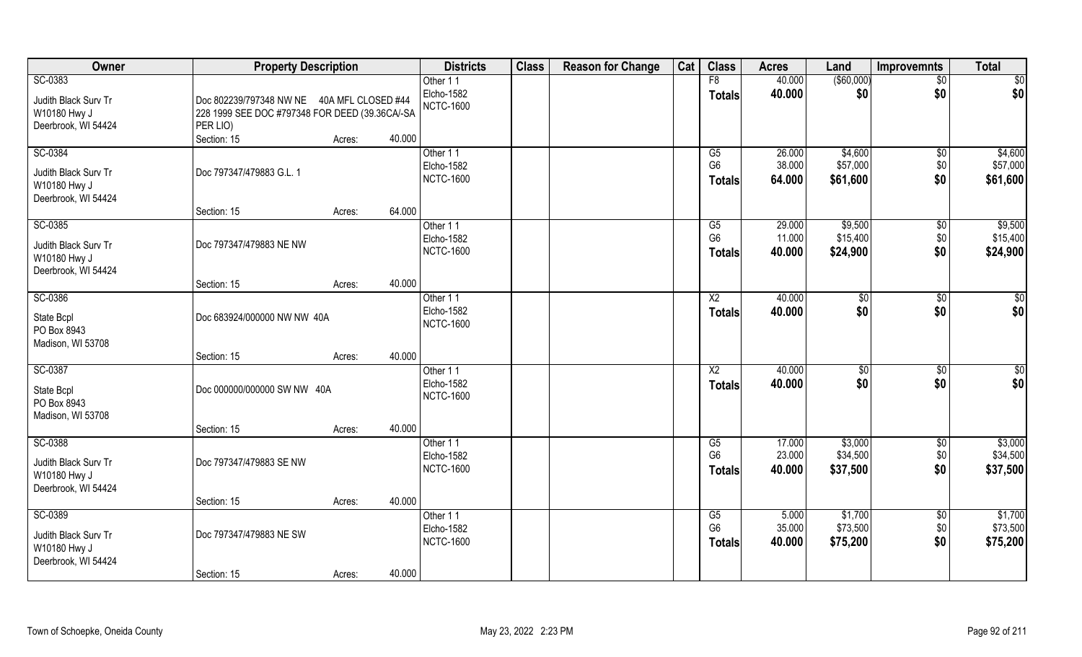| Owner                | <b>Property Description</b>                    |                  | <b>Districts</b>               | <b>Class</b> | <b>Reason for Change</b> | Cat | <b>Class</b>           | <b>Acres</b>     | Land                | Improvemnts     | <b>Total</b>    |
|----------------------|------------------------------------------------|------------------|--------------------------------|--------------|--------------------------|-----|------------------------|------------------|---------------------|-----------------|-----------------|
| SC-0383              |                                                |                  | Other 11                       |              |                          |     | F8                     | 40.000           | (\$60,000)          | $\overline{50}$ | \$0             |
| Judith Black Surv Tr | Doc 802239/797348 NW NE  40A MFL CLOSED #44    |                  | <b>Elcho-1582</b>              |              |                          |     | <b>Totals</b>          | 40.000           | \$0                 | \$0             | \$0             |
| W10180 Hwy J         | 228 1999 SEE DOC #797348 FOR DEED (39.36CA/-SA |                  | <b>NCTC-1600</b>               |              |                          |     |                        |                  |                     |                 |                 |
| Deerbrook, WI 54424  | PER LIO)                                       |                  |                                |              |                          |     |                        |                  |                     |                 |                 |
|                      | Section: 15                                    | 40.000<br>Acres: |                                |              |                          |     |                        |                  |                     |                 |                 |
| SC-0384              |                                                |                  | Other 11                       |              |                          |     | $\overline{G5}$        | 26.000           | \$4,600             | \$0             | \$4,600         |
| Judith Black Surv Tr | Doc 797347/479883 G.L. 1                       |                  | <b>Elcho-1582</b>              |              |                          |     | G <sub>6</sub>         | 38.000           | \$57,000            | \$0             | \$57,000        |
| W10180 Hwy J         |                                                |                  | <b>NCTC-1600</b>               |              |                          |     | <b>Totals</b>          | 64.000           | \$61,600            | \$0             | \$61,600        |
| Deerbrook, WI 54424  |                                                |                  |                                |              |                          |     |                        |                  |                     |                 |                 |
|                      | Section: 15                                    | 64.000<br>Acres: |                                |              |                          |     |                        |                  |                     |                 |                 |
| SC-0385              |                                                |                  | Other 11                       |              |                          |     | G5                     | 29.000           | \$9,500             | $\sqrt[6]{3}$   | \$9,500         |
| Judith Black Surv Tr | Doc 797347/479883 NE NW                        |                  | Elcho-1582                     |              |                          |     | G <sub>6</sub>         | 11.000           | \$15,400            | \$0             | \$15,400        |
| W10180 Hwy J         |                                                |                  | NCTC-1600                      |              |                          |     | <b>Totals</b>          | 40.000           | \$24,900            | \$0             | \$24,900        |
| Deerbrook, WI 54424  |                                                |                  |                                |              |                          |     |                        |                  |                     |                 |                 |
|                      | Section: 15                                    | 40.000<br>Acres: |                                |              |                          |     |                        |                  |                     |                 |                 |
| SC-0386              |                                                |                  | Other 11                       |              |                          |     | X <sub>2</sub>         | 40.000           | $\sqrt[6]{3}$       | $\sqrt[6]{3}$   | $\overline{50}$ |
| State Bcpl           | Doc 683924/000000 NW NW 40A                    |                  | Elcho-1582<br><b>NCTC-1600</b> |              |                          |     | <b>Totals</b>          | 40.000           | \$0                 | \$0             | \$0             |
| PO Box 8943          |                                                |                  |                                |              |                          |     |                        |                  |                     |                 |                 |
| Madison, WI 53708    |                                                |                  |                                |              |                          |     |                        |                  |                     |                 |                 |
|                      | Section: 15                                    | 40.000<br>Acres: |                                |              |                          |     |                        |                  |                     |                 |                 |
| SC-0387              |                                                |                  | Other 11                       |              |                          |     | $\overline{\text{X2}}$ | 40.000           | \$0                 | \$0             | $\overline{50}$ |
| State Bcpl           | Doc 000000/000000 SW NW 40A                    |                  | Elcho-1582<br><b>NCTC-1600</b> |              |                          |     | <b>Totals</b>          | 40.000           | \$0                 | \$0             | \$0             |
| PO Box 8943          |                                                |                  |                                |              |                          |     |                        |                  |                     |                 |                 |
| Madison, WI 53708    |                                                |                  |                                |              |                          |     |                        |                  |                     |                 |                 |
|                      | Section: 15                                    | 40.000<br>Acres: |                                |              |                          |     |                        |                  |                     |                 |                 |
| SC-0388              |                                                |                  | Other 11                       |              |                          |     | G5<br>G <sub>6</sub>   | 17.000<br>23.000 | \$3,000<br>\$34,500 | $\sqrt{$0}$     | \$3,000         |
| Judith Black Surv Tr | Doc 797347/479883 SE NW                        |                  | Elcho-1582<br><b>NCTC-1600</b> |              |                          |     |                        | 40.000           |                     | \$0<br>\$0      | \$34,500        |
| W10180 Hwy J         |                                                |                  |                                |              |                          |     | <b>Totals</b>          |                  | \$37,500            |                 | \$37,500        |
| Deerbrook, WI 54424  |                                                |                  |                                |              |                          |     |                        |                  |                     |                 |                 |
|                      | Section: 15                                    | 40.000<br>Acres: |                                |              |                          |     |                        |                  |                     |                 |                 |
| SC-0389              |                                                |                  | Other 11                       |              |                          |     | G5<br>G <sub>6</sub>   | 5.000<br>35.000  | \$1,700<br>\$73,500 | \$0             | \$1,700         |
| Judith Black Surv Tr | Doc 797347/479883 NE SW                        |                  | Elcho-1582<br><b>NCTC-1600</b> |              |                          |     |                        | 40.000           |                     | \$0<br>\$0      | \$73,500        |
| W10180 Hwy J         |                                                |                  |                                |              |                          |     | <b>Totals</b>          |                  | \$75,200            |                 | \$75,200        |
| Deerbrook, WI 54424  |                                                |                  |                                |              |                          |     |                        |                  |                     |                 |                 |
|                      | Section: 15                                    | 40.000<br>Acres: |                                |              |                          |     |                        |                  |                     |                 |                 |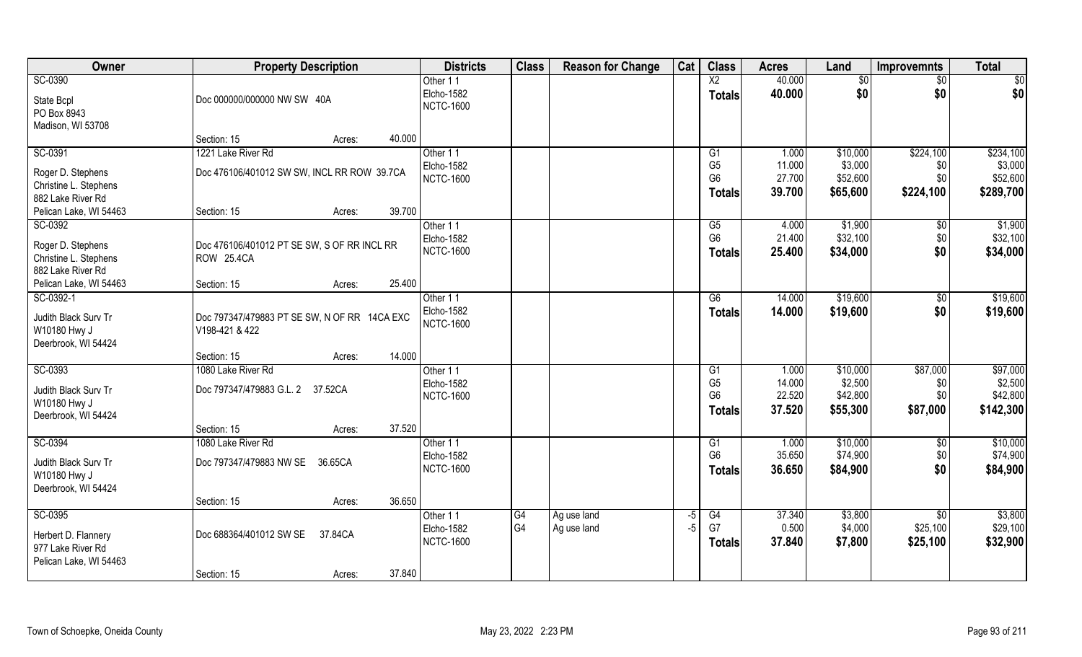| Owner<br><b>Class</b><br><b>Class</b><br><b>Reason for Change</b><br>Cat<br><b>Property Description</b><br><b>Districts</b><br><b>Acres</b><br>Land<br><b>Improvemnts</b> | <b>Total</b>                |
|---------------------------------------------------------------------------------------------------------------------------------------------------------------------------|-----------------------------|
| SC-0390<br>X2<br>40.000<br>Other 11<br>$\frac{1}{6}$                                                                                                                      | \$0<br>\$0                  |
| Elcho-1582<br>40.000<br>\$0<br><b>Totals</b><br>Doc 000000/000000 NW SW 40A<br>State Bcpl                                                                                 | \$0<br>\$0                  |
| <b>NCTC-1600</b><br>PO Box 8943                                                                                                                                           |                             |
| Madison, WI 53708                                                                                                                                                         |                             |
| 40.000<br>Section: 15<br>Acres:                                                                                                                                           |                             |
| SC-0391<br>1221 Lake River Rd<br>Other 11<br>\$10,000<br>\$224,100<br>1.000<br>G1                                                                                         | \$234,100                   |
| G <sub>5</sub><br>\$3,000<br>11.000<br>Elcho-1582<br>Doc 476106/401012 SW SW, INCL RR ROW 39.7CA                                                                          | \$3,000<br>\$0              |
| Roger D. Stephens<br>G <sub>6</sub><br>27.700<br>\$52,600<br><b>NCTC-1600</b><br>Christine L. Stephens                                                                    | \$52,600<br>\$0             |
| \$65,600<br>\$224,100<br>39.700<br><b>Totals</b><br>882 Lake River Rd                                                                                                     | \$289,700                   |
| Pelican Lake, WI 54463<br>39.700<br>Section: 15<br>Acres:                                                                                                                 |                             |
| SC-0392<br>\$1,900<br>4.000<br>Other 11<br>G5                                                                                                                             | \$1,900<br>$\sqrt[6]{30}$   |
| G <sub>6</sub><br>21.400<br>\$32,100<br>Elcho-1582                                                                                                                        | \$0<br>\$32,100             |
| Roger D. Stephens<br>Doc 476106/401012 PT SE SW, S OF RR INCL RR<br><b>NCTC-1600</b><br>\$34,000<br>25.400<br><b>Totals</b>                                               | \$0<br>\$34,000             |
| Christine L. Stephens<br>ROW 25.4CA                                                                                                                                       |                             |
| 882 Lake River Rd                                                                                                                                                         |                             |
| 25.400<br>Pelican Lake, WI 54463<br>Section: 15<br>Acres:                                                                                                                 |                             |
| SC-0392-1<br>\$19,600<br>Other 11<br>G6<br>14.000                                                                                                                         | \$19,600<br>$\sqrt[6]{3}$   |
| Elcho-1582<br>14.000<br>\$19,600<br><b>Totals</b><br>Judith Black Surv Tr<br>Doc 797347/479883 PT SE SW, N OF RR 14CA EXC                                                 | \$0<br>\$19,600             |
| <b>NCTC-1600</b><br>W10180 Hwy J<br>V198-421 & 422                                                                                                                        |                             |
| Deerbrook, WI 54424                                                                                                                                                       |                             |
| 14.000<br>Section: 15<br>Acres:                                                                                                                                           |                             |
| \$87,000<br>SC-0393<br>1080 Lake River Rd<br>1.000<br>\$10,000<br>Other 11<br>G1                                                                                          | \$97,000                    |
| G <sub>5</sub><br>14.000<br>\$2,500<br>Elcho-1582<br>Doc 797347/479883 G.L. 2 37.52CA<br>Judith Black Surv Tr                                                             | \$2,500<br>\$0              |
| G <sub>6</sub><br>22.520<br>\$42,800<br><b>NCTC-1600</b><br>W10180 Hwy J                                                                                                  | \$42,800<br>\$0             |
| 37.520<br>\$55,300<br>\$87,000<br><b>Totals</b><br>Deerbrook, WI 54424                                                                                                    | \$142,300                   |
| 37.520<br>Section: 15<br>Acres:                                                                                                                                           |                             |
| \$10,000<br>SC-0394<br>1080 Lake River Rd<br>G1<br>Other 11<br>1.000                                                                                                      | \$10,000<br>$\overline{30}$ |
| G <sub>6</sub><br>35.650<br>\$74,900<br>Elcho-1582<br>Doc 797347/479883 NW SE<br>36.65CA<br>Judith Black Surv Tr                                                          | \$74,900<br>\$0             |
| <b>NCTC-1600</b><br>36.650<br>\$84,900<br><b>Totals</b><br>W10180 Hwy J                                                                                                   | \$0<br>\$84,900             |
| Deerbrook, WI 54424                                                                                                                                                       |                             |
| 36.650<br>Section: 15<br>Acres:                                                                                                                                           |                             |
| SC-0395<br>\$3,800<br>$\overline{G4}$<br>37.340<br>Other 11<br>Ag use land<br>$-5$<br>G4                                                                                  | \$3,800<br>$\overline{50}$  |
| G4<br>G7<br>0.500<br>\$4,000<br>\$25,100<br>Ag use land<br>$-5$<br>Elcho-1582<br>Herbert D. Flannery<br>Doc 688364/401012 SW SE<br>37.84CA                                | \$29,100                    |
| <b>NCTC-1600</b><br>37.840<br>\$7,800<br>\$25,100<br><b>Totals</b><br>977 Lake River Rd                                                                                   | \$32,900                    |
| Pelican Lake, WI 54463                                                                                                                                                    |                             |
| 37.840<br>Section: 15<br>Acres:                                                                                                                                           |                             |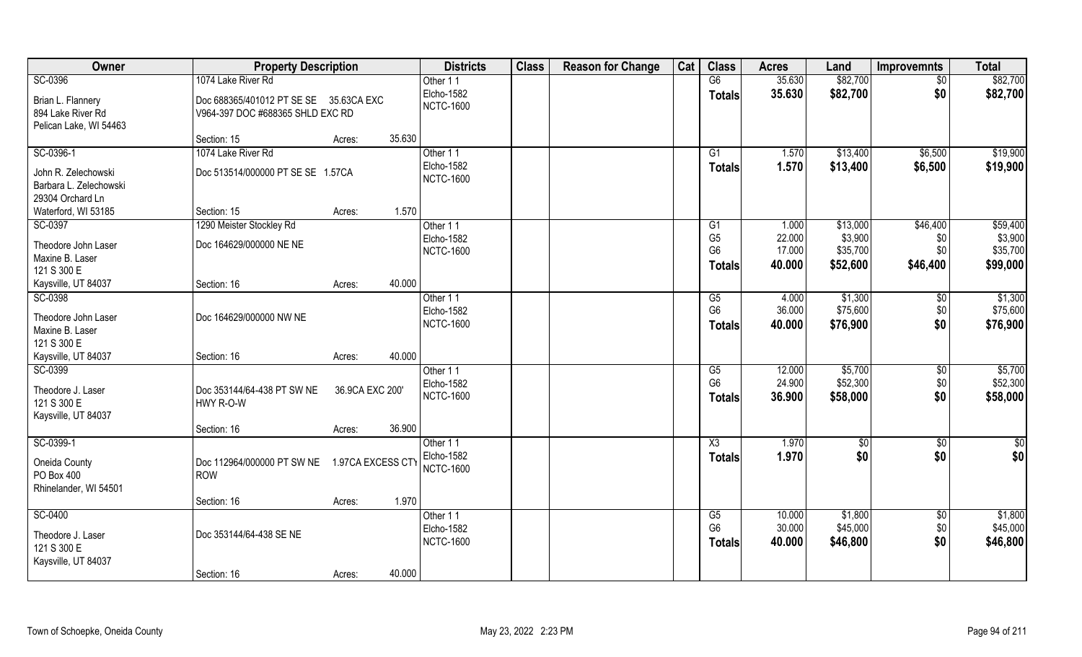| Owner                  | <b>Property Description</b>            |                   |        | <b>Districts</b>  | <b>Class</b> | <b>Reason for Change</b> | Cat | <b>Class</b>   | <b>Acres</b> | Land     | <b>Improvemnts</b> | <b>Total</b>    |
|------------------------|----------------------------------------|-------------------|--------|-------------------|--------------|--------------------------|-----|----------------|--------------|----------|--------------------|-----------------|
| SC-0396                | 1074 Lake River Rd                     |                   |        | Other 11          |              |                          |     | G6             | 35.630       | \$82,700 | \$0                | \$82,700        |
| Brian L. Flannery      | Doc 688365/401012 PT SE SE 35.63CA EXC |                   |        | Elcho-1582        |              |                          |     | <b>Totals</b>  | 35.630       | \$82,700 | \$0                | \$82,700        |
| 894 Lake River Rd      | V964-397 DOC #688365 SHLD EXC RD       |                   |        | <b>NCTC-1600</b>  |              |                          |     |                |              |          |                    |                 |
| Pelican Lake, WI 54463 |                                        |                   |        |                   |              |                          |     |                |              |          |                    |                 |
|                        | Section: 15                            | Acres:            | 35.630 |                   |              |                          |     |                |              |          |                    |                 |
| SC-0396-1              | 1074 Lake River Rd                     |                   |        | Other 11          |              |                          |     | G1             | 1.570        | \$13,400 | \$6,500            | \$19,900        |
| John R. Zelechowski    | Doc 513514/000000 PT SE SE 1.57CA      |                   |        | Elcho-1582        |              |                          |     | <b>Totals</b>  | 1.570        | \$13,400 | \$6,500            | \$19,900        |
| Barbara L. Zelechowski |                                        |                   |        | <b>NCTC-1600</b>  |              |                          |     |                |              |          |                    |                 |
| 29304 Orchard Ln       |                                        |                   |        |                   |              |                          |     |                |              |          |                    |                 |
| Waterford, WI 53185    | Section: 15                            | Acres:            | 1.570  |                   |              |                          |     |                |              |          |                    |                 |
| SC-0397                | 1290 Meister Stockley Rd               |                   |        | Other 11          |              |                          |     | G1             | 1.000        | \$13,000 | \$46,400           | \$59,400        |
| Theodore John Laser    | Doc 164629/000000 NE NE                |                   |        | Elcho-1582        |              |                          |     | G <sub>5</sub> | 22.000       | \$3,900  | \$0                | \$3,900         |
| Maxine B. Laser        |                                        |                   |        | <b>NCTC-1600</b>  |              |                          |     | G <sub>6</sub> | 17.000       | \$35,700 | \$0                | \$35,700        |
| 121 S 300 E            |                                        |                   |        |                   |              |                          |     | Totals         | 40.000       | \$52,600 | \$46,400           | \$99,000        |
| Kaysville, UT 84037    | Section: 16                            | Acres:            | 40.000 |                   |              |                          |     |                |              |          |                    |                 |
| SC-0398                |                                        |                   |        | Other 11          |              |                          |     | G5             | 4.000        | \$1,300  | \$0                | \$1,300         |
| Theodore John Laser    | Doc 164629/000000 NW NE                |                   |        | Elcho-1582        |              |                          |     | G <sub>6</sub> | 36.000       | \$75,600 | \$0                | \$75,600        |
| Maxine B. Laser        |                                        |                   |        | <b>NCTC-1600</b>  |              |                          |     | <b>Totals</b>  | 40.000       | \$76,900 | \$0                | \$76,900        |
| 121 S 300 E            |                                        |                   |        |                   |              |                          |     |                |              |          |                    |                 |
| Kaysville, UT 84037    | Section: 16                            | Acres:            | 40.000 |                   |              |                          |     |                |              |          |                    |                 |
| SC-0399                |                                        |                   |        | Other 11          |              |                          |     | G5             | 12.000       | \$5,700  | $\sqrt[6]{30}$     | \$5,700         |
| Theodore J. Laser      | Doc 353144/64-438 PT SW NE             | 36.9CA EXC 200'   |        | Elcho-1582        |              |                          |     | G <sub>6</sub> | 24.900       | \$52,300 | \$0                | \$52,300        |
| 121 S 300 E            | HWY R-O-W                              |                   |        | <b>NCTC-1600</b>  |              |                          |     | <b>Totals</b>  | 36.900       | \$58,000 | \$0                | \$58,000        |
| Kaysville, UT 84037    |                                        |                   |        |                   |              |                          |     |                |              |          |                    |                 |
|                        | Section: 16                            | Acres:            | 36.900 |                   |              |                          |     |                |              |          |                    |                 |
| SC-0399-1              |                                        |                   |        | Other 11          |              |                          |     | X3             | 1.970        | \$0      | \$0                | $\overline{50}$ |
| Oneida County          | Doc 112964/000000 PT SW NE             | 1.97CA EXCESS CTY |        | Elcho-1582        |              |                          |     | <b>Totals</b>  | 1.970        | \$0      | \$0                | \$0             |
| PO Box 400             | <b>ROW</b>                             |                   |        | <b>NCTC-1600</b>  |              |                          |     |                |              |          |                    |                 |
| Rhinelander, WI 54501  |                                        |                   |        |                   |              |                          |     |                |              |          |                    |                 |
|                        | Section: 16                            | Acres:            | 1.970  |                   |              |                          |     |                |              |          |                    |                 |
| SC-0400                |                                        |                   |        | Other 11          |              |                          |     | G5             | 10.000       | \$1,800  | $\sqrt{$0}$        | \$1,800         |
| Theodore J. Laser      | Doc 353144/64-438 SE NE                |                   |        | <b>Elcho-1582</b> |              |                          |     | G <sub>6</sub> | 30.000       | \$45,000 | \$0                | \$45,000        |
| 121 S 300 E            |                                        |                   |        | <b>NCTC-1600</b>  |              |                          |     | <b>Totals</b>  | 40.000       | \$46,800 | \$0                | \$46,800        |
| Kaysville, UT 84037    |                                        |                   |        |                   |              |                          |     |                |              |          |                    |                 |
|                        | Section: 16                            | Acres:            | 40.000 |                   |              |                          |     |                |              |          |                    |                 |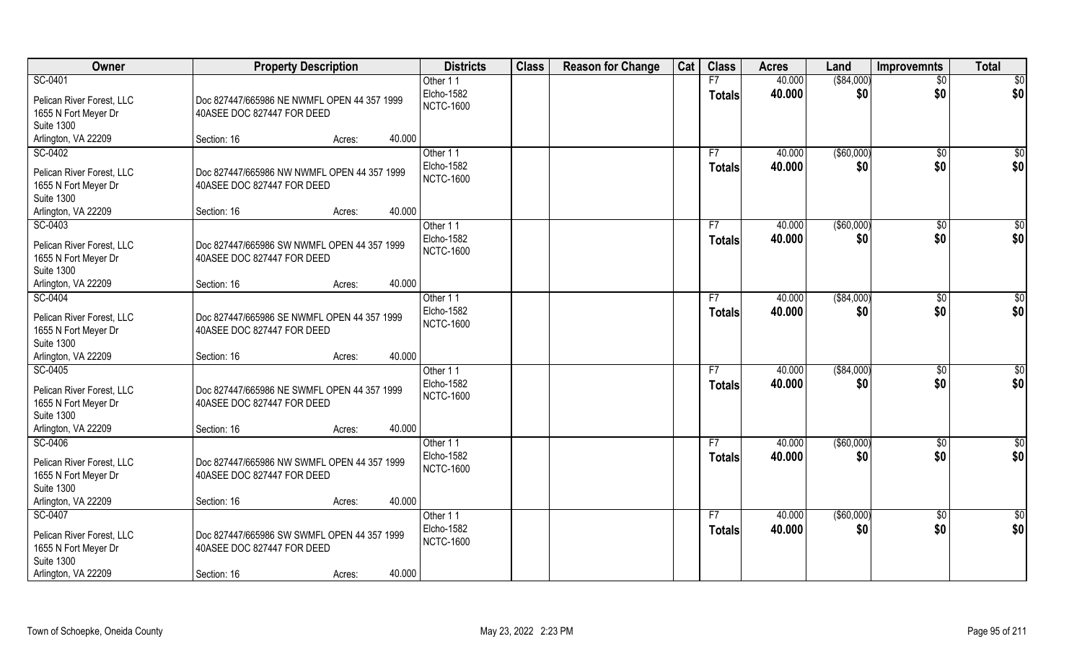| Owner                                                                                                    | <b>Property Description</b>                                                              |        |                    | <b>Districts</b>               | <b>Class</b> | <b>Reason for Change</b> | Cat | <b>Class</b>        | <b>Acres</b>     | Land               | Improvemnts           | <b>Total</b>         |
|----------------------------------------------------------------------------------------------------------|------------------------------------------------------------------------------------------|--------|--------------------|--------------------------------|--------------|--------------------------|-----|---------------------|------------------|--------------------|-----------------------|----------------------|
| SC-0401                                                                                                  |                                                                                          |        | Other 11           |                                |              |                          |     | F7                  | 40.000           | ( \$84,000)        | $\overline{50}$       | \$0                  |
| Pelican River Forest, LLC<br>1655 N Fort Meyer Dr                                                        | Doc 827447/665986 NE NWMFL OPEN 44 357 1999<br>40ASEE DOC 827447 FOR DEED                |        |                    | Elcho-1582<br><b>NCTC-1600</b> |              |                          |     | <b>Totals</b>       | 40.000           | \$0                | \$0                   | \$0                  |
| <b>Suite 1300</b>                                                                                        |                                                                                          |        |                    |                                |              |                          |     |                     |                  |                    |                       |                      |
| Arlington, VA 22209                                                                                      | Section: 16                                                                              | Acres: | 40.000             |                                |              |                          |     |                     |                  |                    |                       |                      |
| SC-0402<br>Pelican River Forest, LLC<br>1655 N Fort Meyer Dr<br><b>Suite 1300</b>                        | Doc 827447/665986 NW NWMFL OPEN 44 357 1999<br>40ASEE DOC 827447 FOR DEED                |        | Other 11           | Elcho-1582<br><b>NCTC-1600</b> |              |                          |     | F7<br><b>Totals</b> | 40.000<br>40.000 | ( \$60,000)<br>\$0 | \$0<br>\$0            | \$0<br>\$0           |
| Arlington, VA 22209                                                                                      | Section: 16                                                                              | Acres: | 40.000             |                                |              |                          |     |                     |                  |                    |                       |                      |
| SC-0403                                                                                                  |                                                                                          |        | Other 11           |                                |              |                          |     | F7                  | 40.000           | ( \$60,000)        | \$0                   | \$0                  |
| Pelican River Forest, LLC<br>1655 N Fort Meyer Dr<br><b>Suite 1300</b>                                   | Doc 827447/665986 SW NWMFL OPEN 44 357 1999<br>40ASEE DOC 827447 FOR DEED                |        |                    | Elcho-1582<br><b>NCTC-1600</b> |              |                          |     | <b>Totals</b>       | 40.000           | \$0                | \$0                   | \$0                  |
| Arlington, VA 22209                                                                                      | Section: 16                                                                              | Acres: | 40.000             |                                |              |                          |     |                     |                  |                    |                       |                      |
| SC-0404<br>Pelican River Forest, LLC<br>1655 N Fort Meyer Dr<br><b>Suite 1300</b>                        | Doc 827447/665986 SE NWMFL OPEN 44 357 1999<br>40ASEE DOC 827447 FOR DEED                |        | Other 11           | Elcho-1582<br><b>NCTC-1600</b> |              |                          |     | F7<br><b>Totals</b> | 40.000<br>40.000 | ( \$84,000)<br>\$0 | $\sqrt[6]{3}$<br>\$0  | \$0<br>\$0           |
| Arlington, VA 22209                                                                                      | Section: 16                                                                              | Acres: | 40.000             |                                |              |                          |     |                     |                  |                    |                       |                      |
| SC-0405<br>Pelican River Forest, LLC<br>1655 N Fort Meyer Dr<br><b>Suite 1300</b>                        | Doc 827447/665986 NE SWMFL OPEN 44 357 1999<br>40ASEE DOC 827447 FOR DEED                |        | Other 11           | Elcho-1582<br><b>NCTC-1600</b> |              |                          |     | F7<br><b>Totals</b> | 40.000<br>40.000 | ( \$84,000)<br>\$0 | $\sqrt[6]{30}$<br>\$0 | \$0<br>\$0           |
| Arlington, VA 22209                                                                                      | Section: 16                                                                              | Acres: | 40.000             |                                |              |                          |     |                     |                  |                    |                       |                      |
| SC-0406<br>Pelican River Forest, LLC<br>1655 N Fort Meyer Dr<br><b>Suite 1300</b>                        | Doc 827447/665986 NW SWMFL OPEN 44 357 1999<br>40ASEE DOC 827447 FOR DEED                |        | Other 11           | Elcho-1582<br><b>NCTC-1600</b> |              |                          |     | F7<br><b>Totals</b> | 40.000<br>40.000 | ( \$60,000)<br>\$0 | \$0<br>\$0            | $\frac{6}{3}$<br>\$0 |
| Arlington, VA 22209                                                                                      | Section: 16                                                                              | Acres: | 40.000             |                                |              |                          |     |                     |                  |                    |                       |                      |
| SC-0407<br>Pelican River Forest, LLC<br>1655 N Fort Meyer Dr<br><b>Suite 1300</b><br>Arlington, VA 22209 | Doc 827447/665986 SW SWMFL OPEN 44 357 1999<br>40ASEE DOC 827447 FOR DEED<br>Section: 16 | Acres: | Other 11<br>40.000 | Elcho-1582<br><b>NCTC-1600</b> |              |                          |     | F7<br><b>Totals</b> | 40.000<br>40.000 | ( \$60,000)<br>\$0 | $\sqrt{$0}$<br>\$0    | \$0<br>\$0           |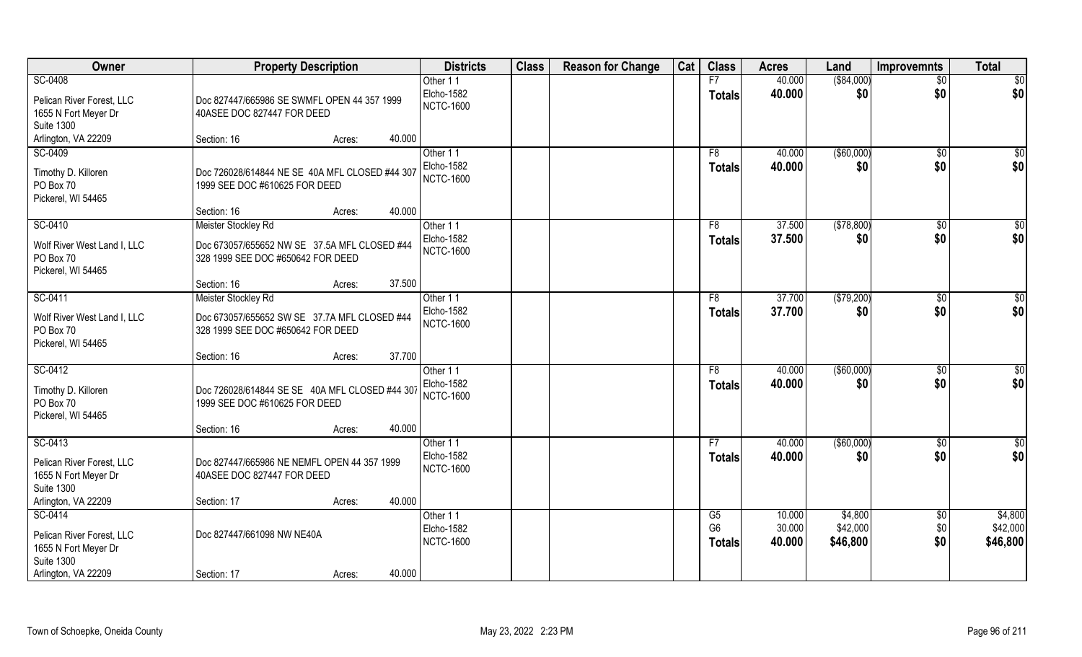| Owner                       | <b>Property Description</b>                    | <b>Districts</b>                      | <b>Class</b> | <b>Reason for Change</b> | Cat | <b>Class</b>         | <b>Acres</b>     | Land                | Improvemnts         | <b>Total</b>        |
|-----------------------------|------------------------------------------------|---------------------------------------|--------------|--------------------------|-----|----------------------|------------------|---------------------|---------------------|---------------------|
| SC-0408                     |                                                | Other 11                              |              |                          |     | F7                   | 40.000           | ( \$84,000)         | $\overline{50}$     | $\sqrt{6}$          |
| Pelican River Forest, LLC   | Doc 827447/665986 SE SWMFL OPEN 44 357 1999    | Elcho-1582                            |              |                          |     | <b>Totals</b>        | 40.000           | \$0                 | \$0                 | \$0                 |
| 1655 N Fort Meyer Dr        | 40ASEE DOC 827447 FOR DEED                     | <b>NCTC-1600</b>                      |              |                          |     |                      |                  |                     |                     |                     |
| <b>Suite 1300</b>           |                                                |                                       |              |                          |     |                      |                  |                     |                     |                     |
| Arlington, VA 22209         | 40.000<br>Section: 16<br>Acres:                |                                       |              |                          |     |                      |                  |                     |                     |                     |
| SC-0409                     |                                                | Other 11                              |              |                          |     | F8                   | 40.000           | ( \$60,000)         | $\sqrt{6}$          | \$0                 |
| Timothy D. Killoren         | Doc 726028/614844 NE SE 40A MFL CLOSED #44 307 | Elcho-1582                            |              |                          |     | <b>Totals</b>        | 40.000           | \$0                 | \$0                 | \$0                 |
| PO Box 70                   | 1999 SEE DOC #610625 FOR DEED                  | <b>NCTC-1600</b>                      |              |                          |     |                      |                  |                     |                     |                     |
| Pickerel, WI 54465          |                                                |                                       |              |                          |     |                      |                  |                     |                     |                     |
|                             | 40.000<br>Section: 16<br>Acres:                |                                       |              |                          |     |                      |                  |                     |                     |                     |
| SC-0410                     | Meister Stockley Rd                            | Other 11                              |              |                          |     | F8                   | 37.500           | (\$78,800)          | $\sqrt[6]{}$        | \$0                 |
| Wolf River West Land I, LLC | Doc 673057/655652 NW SE 37.5A MFL CLOSED #44   | <b>Elcho-1582</b>                     |              |                          |     | <b>Totals</b>        | 37.500           | \$0                 | \$0                 | \$0                 |
| PO Box 70                   | 328 1999 SEE DOC #650642 FOR DEED              | <b>NCTC-1600</b>                      |              |                          |     |                      |                  |                     |                     |                     |
| Pickerel, WI 54465          |                                                |                                       |              |                          |     |                      |                  |                     |                     |                     |
|                             | 37.500<br>Section: 16<br>Acres:                |                                       |              |                          |     |                      |                  |                     |                     |                     |
| SC-0411                     | Meister Stockley Rd                            | Other 11                              |              |                          |     | F8                   | 37.700           | (\$79,200)          | $\sqrt[6]{3}$       | \$0                 |
| Wolf River West Land I, LLC | Doc 673057/655652 SW SE 37.7A MFL CLOSED #44   | <b>Elcho-1582</b><br><b>NCTC-1600</b> |              |                          |     | <b>Totals</b>        | 37.700           | \$0                 | \$0                 | \$0                 |
| PO Box 70                   | 328 1999 SEE DOC #650642 FOR DEED              |                                       |              |                          |     |                      |                  |                     |                     |                     |
| Pickerel, WI 54465          |                                                |                                       |              |                          |     |                      |                  |                     |                     |                     |
|                             | 37.700<br>Section: 16<br>Acres:                |                                       |              |                          |     |                      |                  |                     |                     |                     |
| SC-0412                     |                                                | Other 11                              |              |                          |     | F <sub>8</sub>       | 40.000           | $($ \$60,000)       | \$0                 | \$0                 |
| Timothy D. Killoren         | Doc 726028/614844 SE SE 40A MFL CLOSED #44 307 | <b>Elcho-1582</b><br><b>NCTC-1600</b> |              |                          |     | <b>Totals</b>        | 40.000           | \$0                 | \$0                 | \$0                 |
| PO Box 70                   | 1999 SEE DOC #610625 FOR DEED                  |                                       |              |                          |     |                      |                  |                     |                     |                     |
| Pickerel, WI 54465          |                                                |                                       |              |                          |     |                      |                  |                     |                     |                     |
|                             | 40.000<br>Section: 16<br>Acres:                |                                       |              |                          |     |                      |                  |                     |                     |                     |
| SC-0413                     |                                                | Other 11<br>Elcho-1582                |              |                          |     | F7                   | 40.000           | ( \$60,000)         | \$0                 | $\sqrt{6}$          |
| Pelican River Forest, LLC   | Doc 827447/665986 NE NEMFL OPEN 44 357 1999    | <b>NCTC-1600</b>                      |              |                          |     | <b>Totals</b>        | 40.000           | \$0                 | \$0                 | \$0                 |
| 1655 N Fort Meyer Dr        | 40ASEE DOC 827447 FOR DEED                     |                                       |              |                          |     |                      |                  |                     |                     |                     |
| <b>Suite 1300</b>           |                                                |                                       |              |                          |     |                      |                  |                     |                     |                     |
| Arlington, VA 22209         | 40.000<br>Section: 17<br>Acres:                |                                       |              |                          |     |                      |                  |                     |                     |                     |
| SC-0414                     |                                                | Other 11<br><b>Elcho-1582</b>         |              |                          |     | G5<br>G <sub>6</sub> | 10.000<br>30.000 | \$4,800<br>\$42,000 | $\sqrt[6]{}$<br>\$0 | \$4,800<br>\$42,000 |
| Pelican River Forest, LLC   | Doc 827447/661098 NW NE40A                     | <b>NCTC-1600</b>                      |              |                          |     | <b>Totals</b>        | 40.000           | \$46,800            | \$0                 | \$46,800            |
| 1655 N Fort Meyer Dr        |                                                |                                       |              |                          |     |                      |                  |                     |                     |                     |
| <b>Suite 1300</b>           |                                                |                                       |              |                          |     |                      |                  |                     |                     |                     |
| Arlington, VA 22209         | 40.000<br>Section: 17<br>Acres:                |                                       |              |                          |     |                      |                  |                     |                     |                     |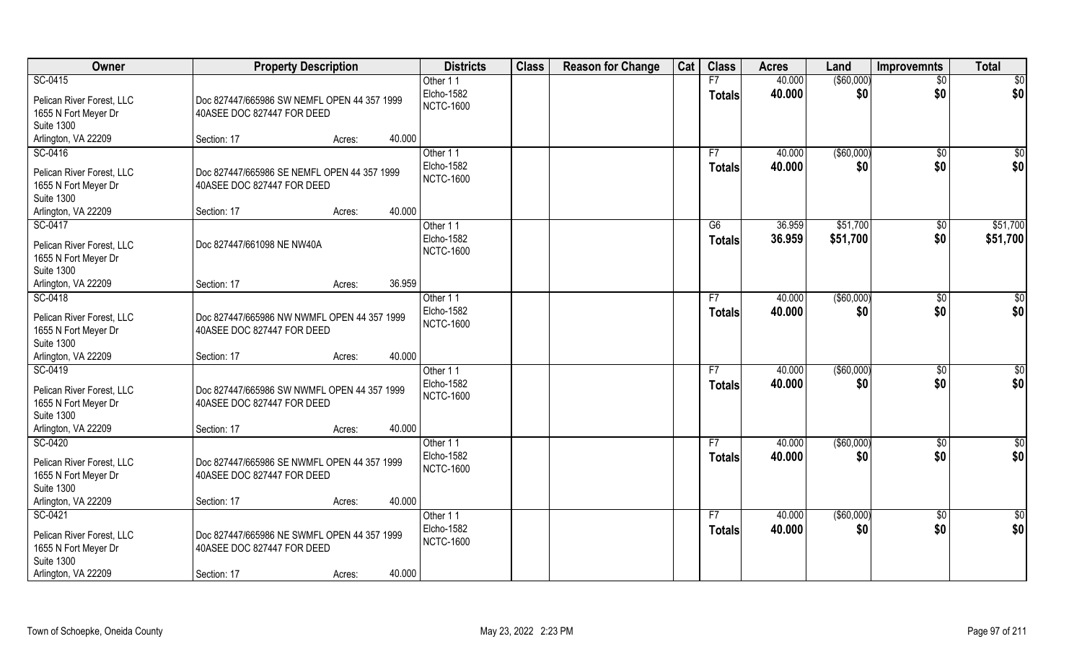| Owner                     | <b>Property Description</b>                 |        |        | <b>Districts</b> | <b>Class</b> | <b>Reason for Change</b> | Cat | <b>Class</b>  | <b>Acres</b> | Land          | Improvemnts     | <b>Total</b>  |
|---------------------------|---------------------------------------------|--------|--------|------------------|--------------|--------------------------|-----|---------------|--------------|---------------|-----------------|---------------|
| SC-0415                   |                                             |        |        | Other 11         |              |                          |     | F7            | 40.000       | ( \$60,000)   | $\overline{50}$ | \$0           |
| Pelican River Forest, LLC | Doc 827447/665986 SW NEMFL OPEN 44 357 1999 |        |        | Elcho-1582       |              |                          |     | <b>Totals</b> | 40.000       | \$0           | \$0             | \$0           |
| 1655 N Fort Meyer Dr      | 40ASEE DOC 827447 FOR DEED                  |        |        | <b>NCTC-1600</b> |              |                          |     |               |              |               |                 |               |
| <b>Suite 1300</b>         |                                             |        |        |                  |              |                          |     |               |              |               |                 |               |
| Arlington, VA 22209       | Section: 17                                 | Acres: | 40.000 |                  |              |                          |     |               |              |               |                 |               |
| SC-0416                   |                                             |        |        | Other 11         |              |                          |     | F7            | 40.000       | ( \$60,000)   | \$0             | \$0           |
| Pelican River Forest, LLC | Doc 827447/665986 SE NEMFL OPEN 44 357 1999 |        |        | Elcho-1582       |              |                          |     | <b>Totals</b> | 40.000       | \$0           | \$0             | \$0           |
| 1655 N Fort Meyer Dr      | 40ASEE DOC 827447 FOR DEED                  |        |        | <b>NCTC-1600</b> |              |                          |     |               |              |               |                 |               |
| <b>Suite 1300</b>         |                                             |        |        |                  |              |                          |     |               |              |               |                 |               |
| Arlington, VA 22209       | Section: 17                                 | Acres: | 40.000 |                  |              |                          |     |               |              |               |                 |               |
| SC-0417                   |                                             |        |        | Other 11         |              |                          |     | G6            | 36.959       | \$51,700      | $\sqrt[6]{30}$  | \$51,700      |
| Pelican River Forest, LLC | Doc 827447/661098 NE NW40A                  |        |        | Elcho-1582       |              |                          |     | <b>Totals</b> | 36.959       | \$51,700      | \$0             | \$51,700      |
| 1655 N Fort Meyer Dr      |                                             |        |        | <b>NCTC-1600</b> |              |                          |     |               |              |               |                 |               |
| <b>Suite 1300</b>         |                                             |        |        |                  |              |                          |     |               |              |               |                 |               |
| Arlington, VA 22209       | Section: 17                                 | Acres: | 36.959 |                  |              |                          |     |               |              |               |                 |               |
| SC-0418                   |                                             |        |        | Other 11         |              |                          |     | F7            | 40.000       | $($ \$60,000) | $\sqrt[6]{3}$   | \$0           |
| Pelican River Forest, LLC | Doc 827447/665986 NW NWMFL OPEN 44 357 1999 |        |        | Elcho-1582       |              |                          |     | <b>Totals</b> | 40.000       | \$0           | \$0             | \$0           |
| 1655 N Fort Meyer Dr      | 40ASEE DOC 827447 FOR DEED                  |        |        | <b>NCTC-1600</b> |              |                          |     |               |              |               |                 |               |
| <b>Suite 1300</b>         |                                             |        |        |                  |              |                          |     |               |              |               |                 |               |
| Arlington, VA 22209       | Section: 17                                 | Acres: | 40.000 |                  |              |                          |     |               |              |               |                 |               |
| SC-0419                   |                                             |        |        | Other 11         |              |                          |     | F7            | 40.000       | ( \$60,000)   | $\sqrt[6]{30}$  | \$0           |
| Pelican River Forest, LLC | Doc 827447/665986 SW NWMFL OPEN 44 357 1999 |        |        | Elcho-1582       |              |                          |     | <b>Totals</b> | 40.000       | \$0           | \$0             | \$0           |
| 1655 N Fort Meyer Dr      | 40ASEE DOC 827447 FOR DEED                  |        |        | <b>NCTC-1600</b> |              |                          |     |               |              |               |                 |               |
| <b>Suite 1300</b>         |                                             |        |        |                  |              |                          |     |               |              |               |                 |               |
| Arlington, VA 22209       | Section: 17                                 | Acres: | 40.000 |                  |              |                          |     |               |              |               |                 |               |
| SC-0420                   |                                             |        |        | Other 11         |              |                          |     | F7            | 40.000       | ( \$60,000)   | \$0             | $\frac{6}{3}$ |
| Pelican River Forest, LLC | Doc 827447/665986 SE NWMFL OPEN 44 357 1999 |        |        | Elcho-1582       |              |                          |     | <b>Totals</b> | 40.000       | \$0           | \$0             | \$0           |
| 1655 N Fort Meyer Dr      | 40ASEE DOC 827447 FOR DEED                  |        |        | <b>NCTC-1600</b> |              |                          |     |               |              |               |                 |               |
| <b>Suite 1300</b>         |                                             |        |        |                  |              |                          |     |               |              |               |                 |               |
| Arlington, VA 22209       | Section: 17                                 | Acres: | 40.000 |                  |              |                          |     |               |              |               |                 |               |
| SC-0421                   |                                             |        |        | Other 11         |              |                          |     | F7            | 40.000       | ( \$60,000)   | $\sqrt{$0}$     | \$0           |
| Pelican River Forest, LLC | Doc 827447/665986 NE SWMFL OPEN 44 357 1999 |        |        | Elcho-1582       |              |                          |     | <b>Totals</b> | 40.000       | \$0           | \$0             | \$0           |
| 1655 N Fort Meyer Dr      | 40ASEE DOC 827447 FOR DEED                  |        |        | <b>NCTC-1600</b> |              |                          |     |               |              |               |                 |               |
| <b>Suite 1300</b>         |                                             |        |        |                  |              |                          |     |               |              |               |                 |               |
| Arlington, VA 22209       | Section: 17                                 | Acres: | 40.000 |                  |              |                          |     |               |              |               |                 |               |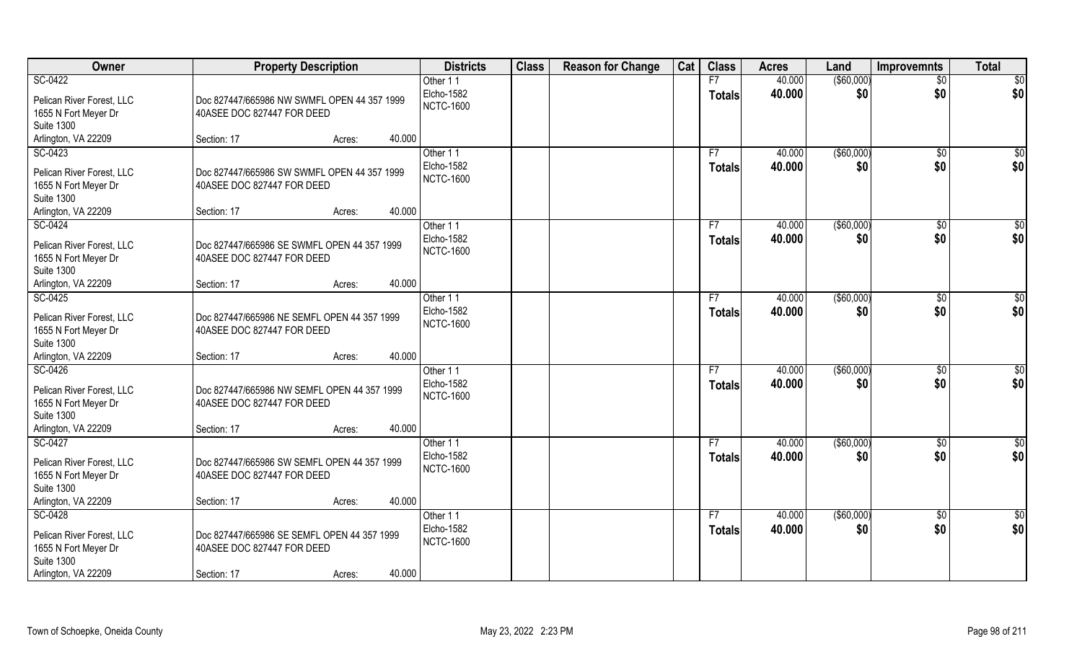| Owner                                                                             | <b>Property Description</b>                                               |                  | <b>Districts</b>                           | <b>Class</b> | <b>Reason for Change</b> | Cat | <b>Class</b>        | <b>Acres</b>     | Land               | Improvemnts          | <b>Total</b>  |
|-----------------------------------------------------------------------------------|---------------------------------------------------------------------------|------------------|--------------------------------------------|--------------|--------------------------|-----|---------------------|------------------|--------------------|----------------------|---------------|
| SC-0422                                                                           |                                                                           |                  | Other 11                                   |              |                          |     | F7                  | 40.000           | ( \$60,000)        | $\overline{50}$      | \$0           |
| Pelican River Forest, LLC<br>1655 N Fort Meyer Dr                                 | Doc 827447/665986 NW SWMFL OPEN 44 357 1999<br>40ASEE DOC 827447 FOR DEED |                  | Elcho-1582<br><b>NCTC-1600</b>             |              |                          |     | <b>Totals</b>       | 40.000           | \$0                | \$0                  | \$0           |
| <b>Suite 1300</b>                                                                 |                                                                           |                  |                                            |              |                          |     |                     |                  |                    |                      |               |
| Arlington, VA 22209                                                               | Section: 17                                                               | 40.000<br>Acres: |                                            |              |                          |     |                     |                  |                    |                      |               |
| SC-0423                                                                           |                                                                           |                  | Other 11                                   |              |                          |     | F7                  | 40.000           | ( \$60,000)        | \$0                  | \$0           |
| Pelican River Forest, LLC<br>1655 N Fort Meyer Dr<br><b>Suite 1300</b>            | Doc 827447/665986 SW SWMFL OPEN 44 357 1999<br>40ASEE DOC 827447 FOR DEED |                  | Elcho-1582<br><b>NCTC-1600</b>             |              |                          |     | <b>Totals</b>       | 40.000           | \$0                | \$0                  | \$0           |
| Arlington, VA 22209                                                               | Section: 17                                                               | 40.000<br>Acres: |                                            |              |                          |     |                     |                  |                    |                      |               |
| SC-0424                                                                           |                                                                           |                  | Other 11                                   |              |                          |     | F7                  | 40.000           | ( \$60,000)        | \$0                  | \$0           |
| Pelican River Forest, LLC<br>1655 N Fort Meyer Dr<br><b>Suite 1300</b>            | Doc 827447/665986 SE SWMFL OPEN 44 357 1999<br>40ASEE DOC 827447 FOR DEED |                  | Elcho-1582<br><b>NCTC-1600</b>             |              |                          |     | <b>Totals</b>       | 40.000           | \$0                | \$0                  | \$0           |
| Arlington, VA 22209                                                               | Section: 17                                                               | 40.000<br>Acres: |                                            |              |                          |     |                     |                  |                    |                      |               |
| SC-0425<br>Pelican River Forest, LLC                                              | Doc 827447/665986 NE SEMFL OPEN 44 357 1999                               |                  | Other 11<br>Elcho-1582<br><b>NCTC-1600</b> |              |                          |     | F7<br><b>Totals</b> | 40.000<br>40.000 | ( \$60,000)<br>\$0 | $\sqrt[6]{3}$<br>\$0 | \$0<br>\$0    |
| 1655 N Fort Meyer Dr<br><b>Suite 1300</b><br>Arlington, VA 22209                  | 40ASEE DOC 827447 FOR DEED<br>Section: 17                                 | 40.000<br>Acres: |                                            |              |                          |     |                     |                  |                    |                      |               |
| SC-0426                                                                           |                                                                           |                  | Other 11                                   |              |                          |     | F7                  | 40.000           | ( \$60,000)        | $\sqrt[6]{30}$       | \$0           |
| Pelican River Forest, LLC<br>1655 N Fort Meyer Dr<br><b>Suite 1300</b>            | Doc 827447/665986 NW SEMFL OPEN 44 357 1999<br>40ASEE DOC 827447 FOR DEED |                  | Elcho-1582<br><b>NCTC-1600</b>             |              |                          |     | <b>Totals</b>       | 40.000           | \$0                | \$0                  | \$0           |
| Arlington, VA 22209                                                               | Section: 17                                                               | 40.000<br>Acres: |                                            |              |                          |     |                     |                  |                    |                      |               |
| SC-0427                                                                           |                                                                           |                  | Other 11                                   |              |                          |     | F7                  | 40.000           | ( \$60,000)        | \$0                  | $\frac{6}{3}$ |
| Pelican River Forest, LLC<br>1655 N Fort Meyer Dr<br><b>Suite 1300</b>            | Doc 827447/665986 SW SEMFL OPEN 44 357 1999<br>40ASEE DOC 827447 FOR DEED |                  | Elcho-1582<br><b>NCTC-1600</b>             |              |                          |     | <b>Totals</b>       | 40.000           | \$0                | \$0                  | \$0           |
| Arlington, VA 22209                                                               | Section: 17                                                               | 40.000<br>Acres: |                                            |              |                          |     |                     |                  |                    |                      |               |
| SC-0428<br>Pelican River Forest, LLC<br>1655 N Fort Meyer Dr<br><b>Suite 1300</b> | Doc 827447/665986 SE SEMFL OPEN 44 357 1999<br>40ASEE DOC 827447 FOR DEED |                  | Other 11<br>Elcho-1582<br><b>NCTC-1600</b> |              |                          |     | F7<br><b>Totals</b> | 40.000<br>40.000 | ( \$60,000)<br>\$0 | $\sqrt{$0}$<br>\$0   | \$0<br>\$0    |
| Arlington, VA 22209                                                               | Section: 17                                                               | 40.000<br>Acres: |                                            |              |                          |     |                     |                  |                    |                      |               |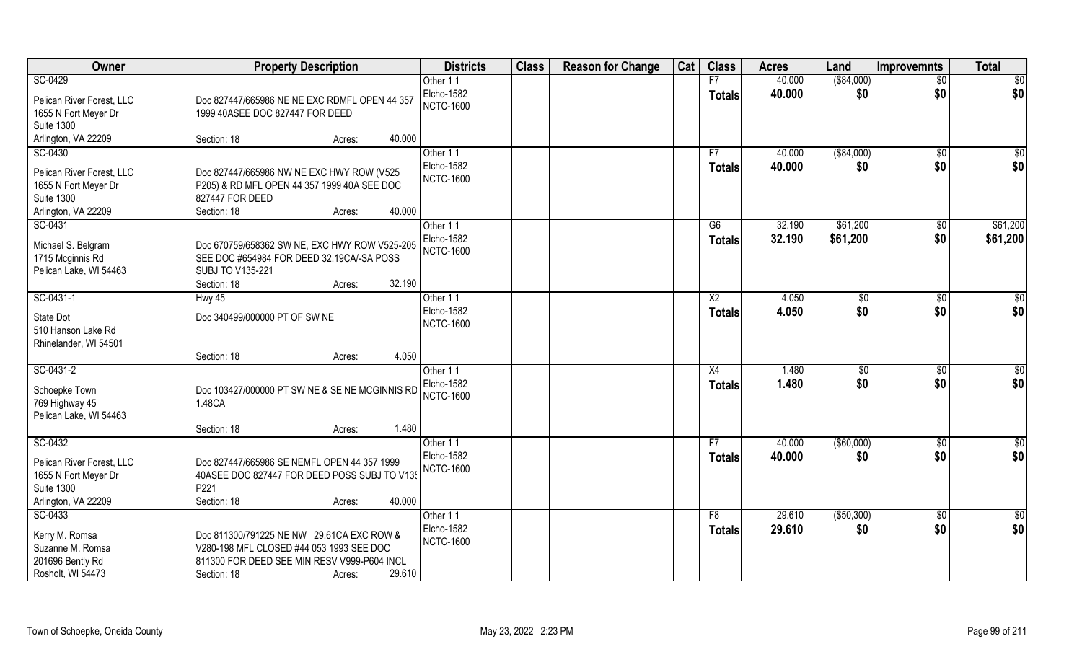| Owner                     | <b>Property Description</b>                    | <b>Districts</b>  | <b>Class</b> | <b>Reason for Change</b> | Cat | <b>Class</b>   | <b>Acres</b> | Land              | <b>Improvemnts</b> | <b>Total</b>    |
|---------------------------|------------------------------------------------|-------------------|--------------|--------------------------|-----|----------------|--------------|-------------------|--------------------|-----------------|
| SC-0429                   |                                                | Other 11          |              |                          |     | F7             | 40.000       | ( \$84,000)       | $\overline{50}$    | \$0             |
| Pelican River Forest, LLC | Doc 827447/665986 NE NE EXC RDMFL OPEN 44 357  | <b>Elcho-1582</b> |              |                          |     | <b>Totals</b>  | 40.000       | \$0               | \$0                | \$0             |
| 1655 N Fort Meyer Dr      | 1999 40ASEE DOC 827447 FOR DEED                | <b>NCTC-1600</b>  |              |                          |     |                |              |                   |                    |                 |
| <b>Suite 1300</b>         |                                                |                   |              |                          |     |                |              |                   |                    |                 |
| Arlington, VA 22209       | 40.000<br>Section: 18<br>Acres:                |                   |              |                          |     |                |              |                   |                    |                 |
| SC-0430                   |                                                | Other 11          |              |                          |     | F7             | 40.000       | ( \$84,000)       | $\sqrt{6}$         | \$0             |
| Pelican River Forest, LLC | Doc 827447/665986 NW NE EXC HWY ROW (V525      | Elcho-1582        |              |                          |     | <b>Totals</b>  | 40.000       | \$0               | \$0                | \$0             |
| 1655 N Fort Meyer Dr      | P205) & RD MFL OPEN 44 357 1999 40A SEE DOC    | <b>NCTC-1600</b>  |              |                          |     |                |              |                   |                    |                 |
| <b>Suite 1300</b>         | 827447 FOR DEED                                |                   |              |                          |     |                |              |                   |                    |                 |
| Arlington, VA 22209       | 40.000<br>Section: 18<br>Acres:                |                   |              |                          |     |                |              |                   |                    |                 |
| SC-0431                   |                                                | Other 11          |              |                          |     | G6             | 32.190       | \$61,200          | $\sqrt[6]{30}$     | \$61,200        |
| Michael S. Belgram        | Doc 670759/658362 SW NE, EXC HWY ROW V525-205  | Elcho-1582        |              |                          |     | <b>Totals</b>  | 32.190       | \$61,200          | \$0                | \$61,200        |
| 1715 Mcginnis Rd          | SEE DOC #654984 FOR DEED 32.19CA/-SA POSS      | <b>NCTC-1600</b>  |              |                          |     |                |              |                   |                    |                 |
| Pelican Lake, WI 54463    | SUBJ TO V135-221                               |                   |              |                          |     |                |              |                   |                    |                 |
|                           | 32.190<br>Section: 18<br>Acres:                |                   |              |                          |     |                |              |                   |                    |                 |
| SC-0431-1                 | Hwy 45                                         | Other 11          |              |                          |     | X <sub>2</sub> | 4.050        | $\sqrt[6]{3}$     | $\sqrt[6]{3}$      | \$              |
| State Dot                 | Doc 340499/000000 PT OF SW NE                  | Elcho-1582        |              |                          |     | <b>Totals</b>  | 4.050        | \$0               | \$0                | \$0             |
| 510 Hanson Lake Rd        |                                                | <b>NCTC-1600</b>  |              |                          |     |                |              |                   |                    |                 |
| Rhinelander, WI 54501     |                                                |                   |              |                          |     |                |              |                   |                    |                 |
|                           | 4.050<br>Section: 18<br>Acres:                 |                   |              |                          |     |                |              |                   |                    |                 |
| SC-0431-2                 |                                                | Other 11          |              |                          |     | X4             | 1.480        | \$0               | $\sqrt[6]{30}$     | $\overline{50}$ |
| Schoepke Town             | Doc 103427/000000 PT SW NE & SE NE MCGINNIS RD | Elcho-1582        |              |                          |     | <b>Totals</b>  | 1.480        | \$0               | \$0                | \$0             |
| 769 Highway 45            | 1.48CA                                         | <b>NCTC-1600</b>  |              |                          |     |                |              |                   |                    |                 |
| Pelican Lake, WI 54463    |                                                |                   |              |                          |     |                |              |                   |                    |                 |
|                           | 1.480<br>Section: 18<br>Acres:                 |                   |              |                          |     |                |              |                   |                    |                 |
| SC-0432                   |                                                | Other 11          |              |                          |     | F7             | 40.000       | $($ \$60,000) $ $ | \$0                | \$0             |
| Pelican River Forest, LLC | Doc 827447/665986 SE NEMFL OPEN 44 357 1999    | <b>Elcho-1582</b> |              |                          |     | <b>Totals</b>  | 40.000       | \$0               | \$0                | \$0             |
| 1655 N Fort Meyer Dr      | 40ASEE DOC 827447 FOR DEED POSS SUBJ TO V135   | <b>NCTC-1600</b>  |              |                          |     |                |              |                   |                    |                 |
| <b>Suite 1300</b>         | P221                                           |                   |              |                          |     |                |              |                   |                    |                 |
| Arlington, VA 22209       | 40.000<br>Section: 18<br>Acres:                |                   |              |                          |     |                |              |                   |                    |                 |
| SC-0433                   |                                                | Other 11          |              |                          |     | F8             | 29.610       | ( \$50, 300)      | $\sqrt{$0}$        | $\overline{50}$ |
| Kerry M. Romsa            | Doc 811300/791225 NE NW 29.61CA EXC ROW &      | Elcho-1582        |              |                          |     | <b>Totals</b>  | 29.610       | \$0               | \$0                | \$0             |
| Suzanne M. Romsa          | V280-198 MFL CLOSED #44 053 1993 SEE DOC       | <b>NCTC-1600</b>  |              |                          |     |                |              |                   |                    |                 |
| 201696 Bently Rd          | 811300 FOR DEED SEE MIN RESV V999-P604 INCL    |                   |              |                          |     |                |              |                   |                    |                 |
| Rosholt, WI 54473         | 29.610<br>Section: 18<br>Acres:                |                   |              |                          |     |                |              |                   |                    |                 |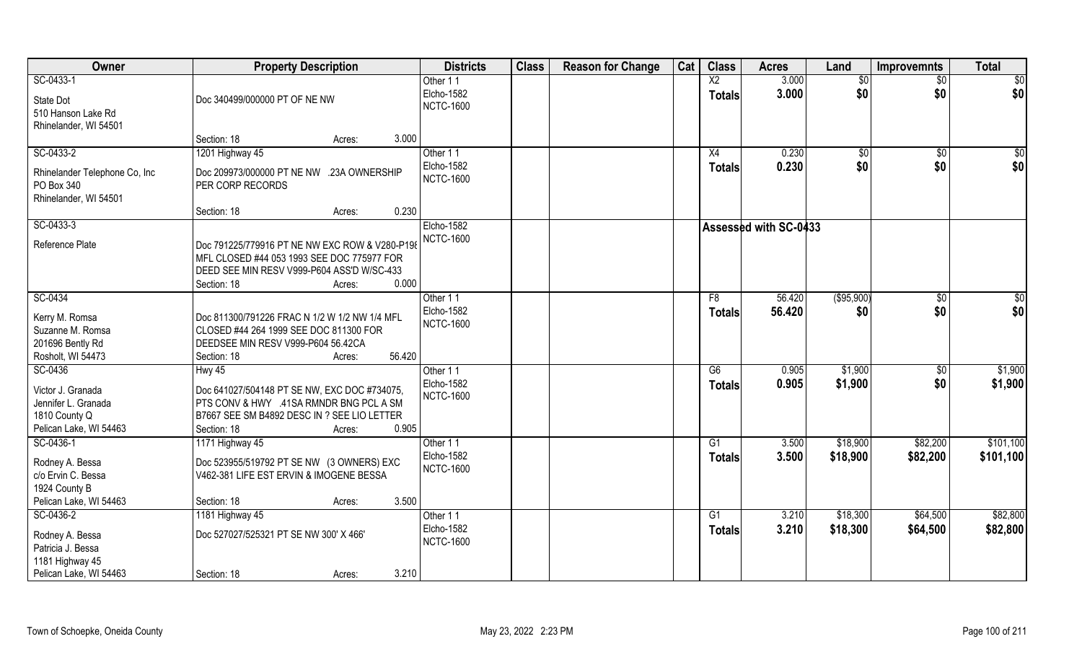| Owner                                                                               | <b>Property Description</b>                                                                                                                                         | <b>Districts</b>                         | <b>Class</b> | <b>Reason for Change</b> | Cat | <b>Class</b>    | <b>Acres</b>                 | Land        | <b>Improvemnts</b> | <b>Total</b> |
|-------------------------------------------------------------------------------------|---------------------------------------------------------------------------------------------------------------------------------------------------------------------|------------------------------------------|--------------|--------------------------|-----|-----------------|------------------------------|-------------|--------------------|--------------|
| SC-0433-1                                                                           |                                                                                                                                                                     | Other 11                                 |              |                          |     | X <sub>2</sub>  | 3.000                        | \$0         | $\sqrt{$0}$        | $\sqrt{50}$  |
| State Dot<br>510 Hanson Lake Rd<br>Rhinelander, WI 54501                            | Doc 340499/000000 PT OF NE NW                                                                                                                                       | Elcho-1582<br><b>NCTC-1600</b>           |              |                          |     | <b>Totals</b>   | 3.000                        | \$0         | \$0                | \$0          |
|                                                                                     | Section: 18<br>Acres:                                                                                                                                               | 3.000                                    |              |                          |     |                 |                              |             |                    |              |
| SC-0433-2                                                                           | 1201 Highway 45                                                                                                                                                     | Other 11                                 |              |                          |     | X4              | 0.230                        | $\sqrt{50}$ | \$0                | $\sqrt{50}$  |
| Rhinelander Telephone Co, Inc<br>PO Box 340<br>Rhinelander, WI 54501                | Doc 209973/000000 PT NE NW .23A OWNERSHIP<br>PER CORP RECORDS                                                                                                       | Elcho-1582<br><b>NCTC-1600</b>           |              |                          |     | Totals          | 0.230                        | \$0         | \$0                | \$0          |
|                                                                                     | Section: 18<br>Acres:                                                                                                                                               | 0.230                                    |              |                          |     |                 |                              |             |                    |              |
| SC-0433-3                                                                           |                                                                                                                                                                     | Elcho-1582                               |              |                          |     |                 | <b>Assessed with SC-0433</b> |             |                    |              |
| Reference Plate                                                                     | Doc 791225/779916 PT NE NW EXC ROW & V280-P198<br>MFL CLOSED #44 053 1993 SEE DOC 775977 FOR<br>DEED SEE MIN RESV V999-P604 ASS'D W/SC-433<br>Section: 18<br>Acres: | <b>NCTC-1600</b><br>0.000                |              |                          |     |                 |                              |             |                    |              |
| SC-0434                                                                             |                                                                                                                                                                     | Other 11                                 |              |                          |     | F8              | 56.420                       | (\$95,900)  | $\sqrt[6]{3}$      | \$0          |
| Kerry M. Romsa<br>Suzanne M. Romsa<br>201696 Bently Rd<br>Rosholt, WI 54473         | Doc 811300/791226 FRAC N 1/2 W 1/2 NW 1/4 MFL<br>CLOSED #44 264 1999 SEE DOC 811300 FOR<br>DEEDSEE MIN RESV V999-P604 56.42CA<br>Section: 18<br>Acres:              | Elcho-1582<br><b>NCTC-1600</b><br>56.420 |              |                          |     | <b>Totals</b>   | 56.420                       | \$0         | \$0                | \$0          |
| SC-0436                                                                             | <b>Hwy 45</b>                                                                                                                                                       | Other 11                                 |              |                          |     | $\overline{G6}$ | 0.905                        | \$1,900     | \$0                | \$1,900      |
| Victor J. Granada<br>Jennifer L. Granada<br>1810 County Q<br>Pelican Lake, WI 54463 | Doc 641027/504148 PT SE NW, EXC DOC #734075,<br>PTS CONV & HWY .41SA RMNDR BNG PCL A SM<br>B7667 SEE SM B4892 DESC IN ? SEE LIO LETTER<br>Section: 18<br>Acres:     | Elcho-1582<br><b>NCTC-1600</b><br>0.905  |              |                          |     | <b>Totals</b>   | 0.905                        | \$1,900     | \$0                | \$1,900      |
| SC-0436-1                                                                           | 1171 Highway 45                                                                                                                                                     | Other 11                                 |              |                          |     | G1              | 3.500                        | \$18,900    | \$82,200           | \$101,100    |
| Rodney A. Bessa<br>c/o Ervin C. Bessa<br>1924 County B                              | Doc 523955/519792 PT SE NW (3 OWNERS) EXC<br>V462-381 LIFE EST ERVIN & IMOGENE BESSA                                                                                | Elcho-1582<br><b>NCTC-1600</b>           |              |                          |     | <b>Totals</b>   | 3.500                        | \$18,900    | \$82,200           | \$101,100    |
| Pelican Lake, WI 54463                                                              | Section: 18<br>Acres:                                                                                                                                               | 3.500                                    |              |                          |     |                 |                              |             |                    |              |
| SC-0436-2                                                                           | 1181 Highway 45                                                                                                                                                     | Other 11                                 |              |                          |     | $\overline{G1}$ | 3.210                        | \$18,300    | \$64,500           | \$82,800     |
| Rodney A. Bessa<br>Patricia J. Bessa<br>1181 Highway 45                             | Doc 527027/525321 PT SE NW 300' X 466'                                                                                                                              | Elcho-1582<br><b>NCTC-1600</b>           |              |                          |     | <b>Totals</b>   | 3.210                        | \$18,300    | \$64,500           | \$82,800     |
| Pelican Lake, WI 54463                                                              | Section: 18<br>Acres:                                                                                                                                               | 3.210                                    |              |                          |     |                 |                              |             |                    |              |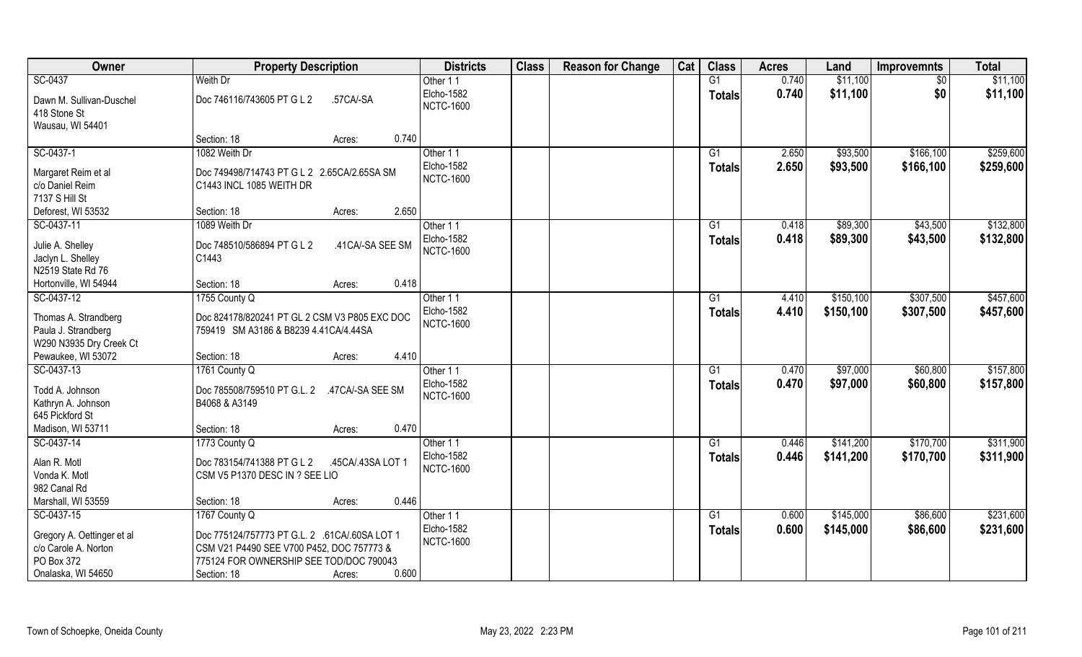| Owner                                         | <b>Property Description</b>                     | <b>Districts</b>               | <b>Class</b> | <b>Reason for Change</b> | Cat | <b>Class</b>    | <b>Acres</b> | Land      | <b>Improvemnts</b> | <b>Total</b> |
|-----------------------------------------------|-------------------------------------------------|--------------------------------|--------------|--------------------------|-----|-----------------|--------------|-----------|--------------------|--------------|
| SC-0437                                       | Weith Dr                                        | Other 11                       |              |                          |     | G1              | 0.740        | \$11,100  | $\sqrt{$0}$        | \$11,100     |
| Dawn M. Sullivan-Duschel<br>418 Stone St      | Doc 746116/743605 PT G L 2<br>.57CA/-SA         | Elcho-1582<br><b>NCTC-1600</b> |              |                          |     | Totals          | 0.740        | \$11,100  | \$0                | \$11,100     |
| Wausau, WI 54401                              |                                                 | 0.740                          |              |                          |     |                 |              |           |                    |              |
|                                               | Section: 18<br>Acres:                           |                                |              |                          |     |                 |              |           |                    |              |
| SC-0437-1                                     | 1082 Weith Dr                                   | Other 11                       |              |                          |     | G1              | 2.650        | \$93,500  | \$166, 100         | \$259,600    |
| Margaret Reim et al                           | Doc 749498/714743 PT G L 2 2.65CA/2.65SA SM     | Elcho-1582<br><b>NCTC-1600</b> |              |                          |     | <b>Totals</b>   | 2.650        | \$93,500  | \$166,100          | \$259,600    |
| c/o Daniel Reim                               | C1443 INCL 1085 WEITH DR                        |                                |              |                          |     |                 |              |           |                    |              |
| 7137 S Hill St                                |                                                 |                                |              |                          |     |                 |              |           |                    |              |
| Deforest, WI 53532                            | Section: 18<br>Acres:                           | 2.650                          |              |                          |     |                 |              |           |                    |              |
| SC-0437-11                                    | 1089 Weith Dr                                   | Other 11                       |              |                          |     | G1              | 0.418        | \$89,300  | \$43,500           | \$132,800    |
| Julie A. Shelley                              | Doc 748510/586894 PT G L 2<br>.41 CA/-SA SEE SM | Elcho-1582                     |              |                          |     | Totals          | 0.418        | \$89,300  | \$43,500           | \$132,800    |
| Jaclyn L. Shelley                             | C1443                                           | <b>NCTC-1600</b>               |              |                          |     |                 |              |           |                    |              |
| N2519 State Rd 76                             |                                                 |                                |              |                          |     |                 |              |           |                    |              |
| Hortonville, WI 54944                         | Section: 18<br>Acres:                           | 0.418                          |              |                          |     |                 |              |           |                    |              |
| SC-0437-12                                    | 1755 County Q                                   | Other 11                       |              |                          |     | G1              | 4.410        | \$150,100 | \$307,500          | \$457,600    |
|                                               |                                                 | Elcho-1582                     |              |                          |     | <b>Totals</b>   | 4.410        | \$150,100 | \$307,500          | \$457,600    |
| Thomas A. Strandberg                          | Doc 824178/820241 PT GL 2 CSM V3 P805 EXC DOC   | <b>NCTC-1600</b>               |              |                          |     |                 |              |           |                    |              |
| Paula J. Strandberg                           | 759419 SM A3186 & B8239 4.41 CA/4.44 SA         |                                |              |                          |     |                 |              |           |                    |              |
| W290 N3935 Dry Creek Ct<br>Pewaukee, WI 53072 | Section: 18<br>Acres:                           | 4.410                          |              |                          |     |                 |              |           |                    |              |
| SC-0437-13                                    | 1761 County Q                                   | Other 11                       |              |                          |     | $\overline{G1}$ | 0.470        | \$97,000  | \$60,800           | \$157,800    |
|                                               |                                                 | Elcho-1582                     |              |                          |     |                 | 0.470        | \$97,000  | \$60,800           | \$157,800    |
| Todd A. Johnson                               | Doc 785508/759510 PT G.L. 2 .47CA/-SA SEE SM    | <b>NCTC-1600</b>               |              |                          |     | Totals          |              |           |                    |              |
| Kathryn A. Johnson                            | B4068 & A3149                                   |                                |              |                          |     |                 |              |           |                    |              |
| 645 Pickford St                               |                                                 |                                |              |                          |     |                 |              |           |                    |              |
| Madison, WI 53711                             | Section: 18<br>Acres:                           | 0.470                          |              |                          |     |                 |              |           |                    |              |
| SC-0437-14                                    | 1773 County Q                                   | Other 11                       |              |                          |     | G1              | 0.446        | \$141,200 | \$170,700          | \$311,900    |
| Alan R. Motl                                  | Doc 783154/741388 PT G L 2<br>.45CA/.43SA LOT 1 | Elcho-1582                     |              |                          |     | <b>Totals</b>   | 0.446        | \$141,200 | \$170,700          | \$311,900    |
| Vonda K. Motl                                 | CSM V5 P1370 DESC IN ? SEE LIO                  | <b>NCTC-1600</b>               |              |                          |     |                 |              |           |                    |              |
| 982 Canal Rd                                  |                                                 |                                |              |                          |     |                 |              |           |                    |              |
| Marshall, WI 53559                            | Section: 18<br>Acres:                           | 0.446                          |              |                          |     |                 |              |           |                    |              |
| SC-0437-15                                    | 1767 County Q                                   | Other 11                       |              |                          |     | G1              | 0.600        | \$145,000 | \$86,600           | \$231,600    |
| Gregory A. Oettinger et al                    | Doc 775124/757773 PT G.L. 2 .61CA/.60SA LOT 1   | Elcho-1582                     |              |                          |     | Totals          | 0.600        | \$145,000 | \$86,600           | \$231,600    |
| c/o Carole A. Norton                          | CSM V21 P4490 SEE V700 P452, DOC 757773 &       | <b>NCTC-1600</b>               |              |                          |     |                 |              |           |                    |              |
| PO Box 372                                    | 775124 FOR OWNERSHIP SEE TOD/DOC 790043         |                                |              |                          |     |                 |              |           |                    |              |
| Onalaska, WI 54650                            | Section: 18<br>Acres:                           | 0.600                          |              |                          |     |                 |              |           |                    |              |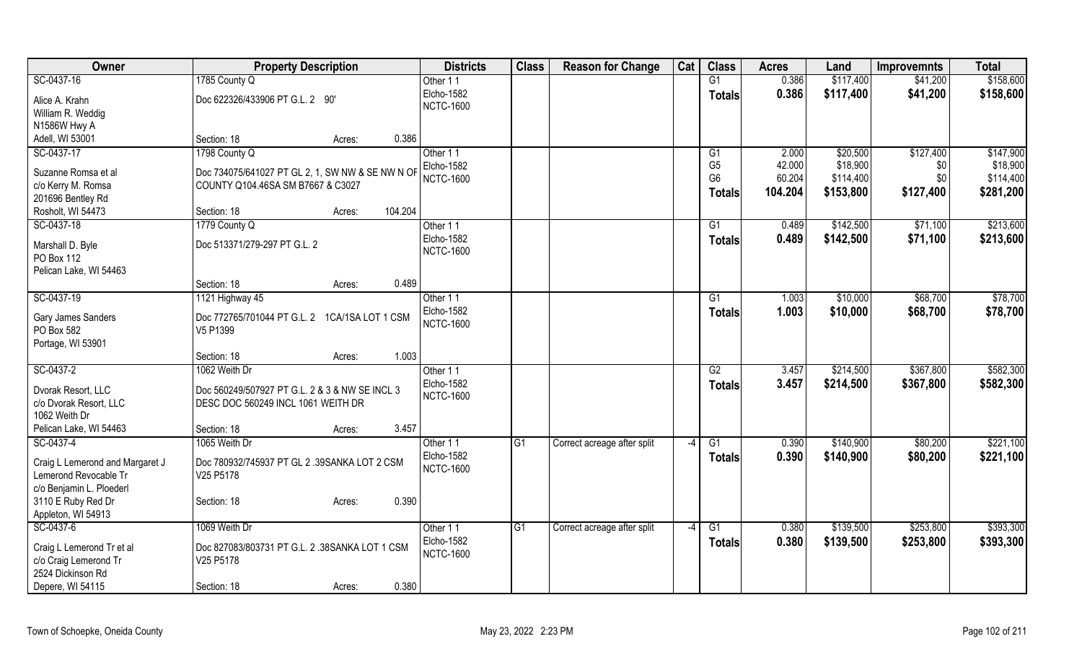| Owner                                                    | <b>Property Description</b>                                                           | <b>Districts</b>                      | <b>Class</b>    | <b>Reason for Change</b>    | Cat  | <b>Class</b>    | <b>Acres</b> | Land      | <b>Improvemnts</b> | <b>Total</b> |
|----------------------------------------------------------|---------------------------------------------------------------------------------------|---------------------------------------|-----------------|-----------------------------|------|-----------------|--------------|-----------|--------------------|--------------|
| SC-0437-16                                               | 1785 County Q                                                                         | Other 11                              |                 |                             |      | G1              | 0.386        | \$117,400 | \$41,200           | \$158,600    |
| Alice A. Krahn                                           | Doc 622326/433906 PT G.L. 2 90'                                                       | Elcho-1582                            |                 |                             |      | <b>Totals</b>   | 0.386        | \$117,400 | \$41,200           | \$158,600    |
| William R. Weddig                                        |                                                                                       | <b>NCTC-1600</b>                      |                 |                             |      |                 |              |           |                    |              |
| N1586W Hwy A                                             |                                                                                       |                                       |                 |                             |      |                 |              |           |                    |              |
| Adell, WI 53001                                          | 0.386<br>Section: 18<br>Acres:                                                        |                                       |                 |                             |      |                 |              |           |                    |              |
| SC-0437-17                                               | 1798 County Q                                                                         | Other 11                              |                 |                             |      | G <sub>1</sub>  | 2.000        | \$20,500  | \$127,400          | \$147,900    |
|                                                          |                                                                                       | Elcho-1582                            |                 |                             |      | G <sub>5</sub>  | 42.000       | \$18,900  | \$0                | \$18,900     |
| Suzanne Romsa et al<br>c/o Kerry M. Romsa                | Doc 734075/641027 PT GL 2, 1, SW NW & SE NW N OF<br>COUNTY Q104.46SA SM B7667 & C3027 | <b>NCTC-1600</b>                      |                 |                             |      | G <sub>6</sub>  | 60.204       | \$114,400 | \$0                | \$114,400    |
| 201696 Bentley Rd                                        |                                                                                       |                                       |                 |                             |      | <b>Totals</b>   | 104.204      | \$153,800 | \$127,400          | \$281,200    |
| Rosholt, WI 54473                                        | 104.204<br>Section: 18<br>Acres:                                                      |                                       |                 |                             |      |                 |              |           |                    |              |
| SC-0437-18                                               | 1779 County Q                                                                         | Other 11                              |                 |                             |      | G <sub>1</sub>  | 0.489        | \$142,500 | \$71,100           | \$213,600    |
|                                                          |                                                                                       | Elcho-1582                            |                 |                             |      | <b>Totals</b>   | 0.489        | \$142,500 | \$71,100           | \$213,600    |
| Marshall D. Byle                                         | Doc 513371/279-297 PT G.L. 2                                                          | <b>NCTC-1600</b>                      |                 |                             |      |                 |              |           |                    |              |
| PO Box 112                                               |                                                                                       |                                       |                 |                             |      |                 |              |           |                    |              |
| Pelican Lake, WI 54463                                   |                                                                                       |                                       |                 |                             |      |                 |              |           |                    |              |
|                                                          | Section: 18<br>0.489<br>Acres:                                                        |                                       |                 |                             |      |                 |              |           |                    |              |
| SC-0437-19                                               | 1121 Highway 45                                                                       | Other 11                              |                 |                             |      | G1              | 1.003        | \$10,000  | \$68,700           | \$78,700     |
| Gary James Sanders                                       | Doc 772765/701044 PT G.L. 2 1CA/1SA LOT 1 CSM                                         | <b>Elcho-1582</b><br><b>NCTC-1600</b> |                 |                             |      | <b>Totals</b>   | 1.003        | \$10,000  | \$68,700           | \$78,700     |
| PO Box 582                                               | V5 P1399                                                                              |                                       |                 |                             |      |                 |              |           |                    |              |
| Portage, WI 53901                                        |                                                                                       |                                       |                 |                             |      |                 |              |           |                    |              |
|                                                          | 1.003<br>Section: 18<br>Acres:                                                        |                                       |                 |                             |      |                 |              |           |                    |              |
| SC-0437-2                                                | 1062 Weith Dr                                                                         | Other 11                              |                 |                             |      | $\overline{G2}$ | 3.457        | \$214,500 | \$367,800          | \$582,300    |
| Dvorak Resort, LLC                                       | Doc 560249/507927 PT G.L. 2 & 3 & NW SE INCL 3                                        | Elcho-1582                            |                 |                             |      | <b>Totals</b>   | 3.457        | \$214,500 | \$367,800          | \$582,300    |
| c/o Dvorak Resort, LLC                                   | DESC DOC 560249 INCL 1061 WEITH DR                                                    | <b>NCTC-1600</b>                      |                 |                             |      |                 |              |           |                    |              |
| 1062 Weith Dr                                            |                                                                                       |                                       |                 |                             |      |                 |              |           |                    |              |
| Pelican Lake, WI 54463                                   | 3.457<br>Section: 18<br>Acres:                                                        |                                       |                 |                             |      |                 |              |           |                    |              |
| SC-0437-4                                                | 1065 Weith Dr                                                                         | Other 11                              | G1              | Correct acreage after split | $-4$ | G1              | 0.390        | \$140,900 | \$80,200           | \$221,100    |
|                                                          |                                                                                       | <b>Elcho-1582</b>                     |                 |                             |      | <b>Totals</b>   | 0.390        | \$140,900 | \$80,200           | \$221,100    |
| Craig L Lemerond and Margaret J<br>Lemerond Revocable Tr | Doc 780932/745937 PT GL 2 .39SANKA LOT 2 CSM<br>V25 P5178                             | <b>NCTC-1600</b>                      |                 |                             |      |                 |              |           |                    |              |
| c/o Benjamin L. Ploederl                                 |                                                                                       |                                       |                 |                             |      |                 |              |           |                    |              |
| 3110 E Ruby Red Dr                                       | 0.390<br>Section: 18<br>Acres:                                                        |                                       |                 |                             |      |                 |              |           |                    |              |
| Appleton, WI 54913                                       |                                                                                       |                                       |                 |                             |      |                 |              |           |                    |              |
| SC-0437-6                                                | 1069 Weith Dr                                                                         | Other 11                              | $\overline{G1}$ | Correct acreage after split | $-4$ | $\overline{G1}$ | 0.380        | \$139,500 | \$253,800          | \$393,300    |
|                                                          |                                                                                       | <b>Elcho-1582</b>                     |                 |                             |      | <b>Totals</b>   | 0.380        | \$139,500 | \$253,800          | \$393,300    |
| Craig L Lemerond Tr et al                                | Doc 827083/803731 PT G.L. 2 .38SANKA LOT 1 CSM                                        | <b>NCTC-1600</b>                      |                 |                             |      |                 |              |           |                    |              |
| c/o Craig Lemerond Tr                                    | V25 P5178                                                                             |                                       |                 |                             |      |                 |              |           |                    |              |
| 2524 Dickinson Rd                                        |                                                                                       |                                       |                 |                             |      |                 |              |           |                    |              |
| Depere, WI 54115                                         | 0.380<br>Section: 18<br>Acres:                                                        |                                       |                 |                             |      |                 |              |           |                    |              |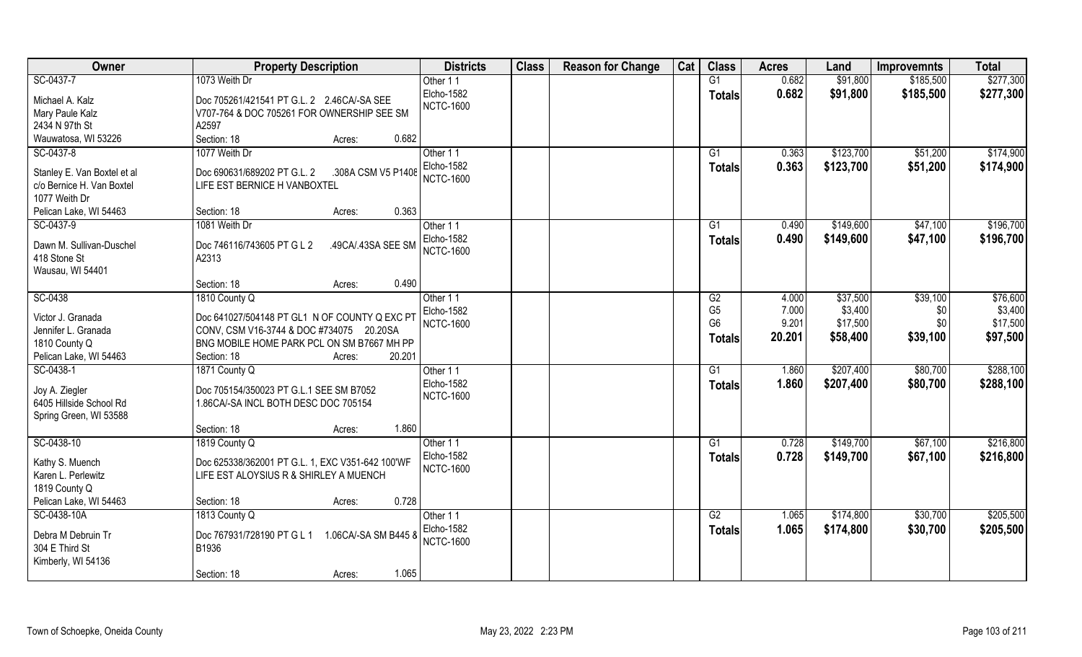| Owner                       | <b>Property Description</b>                        | <b>Districts</b> | <b>Class</b> | <b>Reason for Change</b> | Cat | <b>Class</b>    | <b>Acres</b> | Land      | <b>Improvemnts</b> | <b>Total</b> |
|-----------------------------|----------------------------------------------------|------------------|--------------|--------------------------|-----|-----------------|--------------|-----------|--------------------|--------------|
| SC-0437-7                   | 1073 Weith Dr                                      | Other 11         |              |                          |     | G1              | 0.682        | \$91,800  | \$185,500          | \$277,300    |
| Michael A. Kalz             | Doc 705261/421541 PT G.L. 2 2.46CA/-SA SEE         | Elcho-1582       |              |                          |     | <b>Totals</b>   | 0.682        | \$91,800  | \$185,500          | \$277,300    |
| Mary Paule Kalz             | V707-764 & DOC 705261 FOR OWNERSHIP SEE SM         | <b>NCTC-1600</b> |              |                          |     |                 |              |           |                    |              |
| 2434 N 97th St              | A2597                                              |                  |              |                          |     |                 |              |           |                    |              |
| Wauwatosa, WI 53226         | 0.682<br>Section: 18<br>Acres:                     |                  |              |                          |     |                 |              |           |                    |              |
| SC-0437-8                   | 1077 Weith Dr                                      | Other 11         |              |                          |     | $\overline{G1}$ | 0.363        | \$123,700 | \$51,200           | \$174,900    |
|                             |                                                    | Elcho-1582       |              |                          |     | <b>Totals</b>   | 0.363        | \$123,700 | \$51,200           | \$174,900    |
| Stanley E. Van Boxtel et al | Doc 690631/689202 PT G.L. 2<br>.308A CSM V5 P1408  | <b>NCTC-1600</b> |              |                          |     |                 |              |           |                    |              |
| c/o Bernice H. Van Boxtel   | LIFE EST BERNICE H VANBOXTEL                       |                  |              |                          |     |                 |              |           |                    |              |
| 1077 Weith Dr               |                                                    |                  |              |                          |     |                 |              |           |                    |              |
| Pelican Lake, WI 54463      | 0.363<br>Section: 18<br>Acres:                     |                  |              |                          |     |                 |              |           |                    |              |
| SC-0437-9                   | 1081 Weith Dr                                      | Other 11         |              |                          |     | G1              | 0.490        | \$149,600 | \$47,100           | \$196,700    |
| Dawn M. Sullivan-Duschel    | Doc 746116/743605 PT G L 2<br>.49CA/.43SA SEE SM   | Elcho-1582       |              |                          |     | <b>Totals</b>   | 0.490        | \$149,600 | \$47,100           | \$196,700    |
| 418 Stone St                | A2313                                              | <b>NCTC-1600</b> |              |                          |     |                 |              |           |                    |              |
| Wausau, WI 54401            |                                                    |                  |              |                          |     |                 |              |           |                    |              |
|                             | 0.490<br>Section: 18<br>Acres:                     |                  |              |                          |     |                 |              |           |                    |              |
| SC-0438                     | 1810 County Q                                      | Other 11         |              |                          |     | G2              | 4.000        | \$37,500  | \$39,100           | \$76,600     |
|                             |                                                    | Elcho-1582       |              |                          |     | G <sub>5</sub>  | 7.000        | \$3,400   | \$0                | \$3,400      |
| Victor J. Granada           | Doc 641027/504148 PT GL1 N OF COUNTY Q EXC PT      | <b>NCTC-1600</b> |              |                          |     | G <sub>6</sub>  | 9.201        | \$17,500  | \$0                | \$17,500     |
| Jennifer L. Granada         | CONV, CSM V16-3744 & DOC #734075 20.20SA           |                  |              |                          |     | <b>Totals</b>   | 20.201       | \$58,400  | \$39,100           | \$97,500     |
| 1810 County Q               | BNG MOBILE HOME PARK PCL ON SM B7667 MH PP         |                  |              |                          |     |                 |              |           |                    |              |
| Pelican Lake, WI 54463      | 20.201<br>Section: 18<br>Acres:                    |                  |              |                          |     |                 |              |           |                    |              |
| SC-0438-1                   | 1871 County Q                                      | Other 11         |              |                          |     | $\overline{G1}$ | 1.860        | \$207,400 | \$80,700           | \$288,100    |
| Joy A. Ziegler              | Doc 705154/350023 PT G.L.1 SEE SM B7052            | Elcho-1582       |              |                          |     | Totals          | 1.860        | \$207,400 | \$80,700           | \$288,100    |
| 6405 Hillside School Rd     | 1.86CA/-SA INCL BOTH DESC DOC 705154               | <b>NCTC-1600</b> |              |                          |     |                 |              |           |                    |              |
| Spring Green, WI 53588      |                                                    |                  |              |                          |     |                 |              |           |                    |              |
|                             | 1.860<br>Section: 18<br>Acres:                     |                  |              |                          |     |                 |              |           |                    |              |
| SC-0438-10                  | 1819 County Q                                      | Other 11         |              |                          |     | G1              | 0.728        | \$149,700 | \$67,100           | \$216,800    |
| Kathy S. Muench             | Doc 625338/362001 PT G.L. 1, EXC V351-642 100'WF   | Elcho-1582       |              |                          |     | <b>Totals</b>   | 0.728        | \$149,700 | \$67,100           | \$216,800    |
| Karen L. Perlewitz          | LIFE EST ALOYSIUS R & SHIRLEY A MUENCH             | <b>NCTC-1600</b> |              |                          |     |                 |              |           |                    |              |
| 1819 County Q               |                                                    |                  |              |                          |     |                 |              |           |                    |              |
| Pelican Lake, WI 54463      | 0.728<br>Section: 18<br>Acres:                     |                  |              |                          |     |                 |              |           |                    |              |
| SC-0438-10A                 | 1813 County Q                                      | Other 11         |              |                          |     | G2              | 1.065        | \$174,800 | \$30,700           | \$205,500    |
|                             |                                                    | Elcho-1582       |              |                          |     |                 | 1.065        |           |                    |              |
| Debra M Debruin Tr          | Doc 767931/728190 PT G L 1<br>1.06CA/-SA SM B445 & | <b>NCTC-1600</b> |              |                          |     | <b>Totals</b>   |              | \$174,800 | \$30,700           | \$205,500    |
| 304 E Third St              | B1936                                              |                  |              |                          |     |                 |              |           |                    |              |
| Kimberly, WI 54136          |                                                    |                  |              |                          |     |                 |              |           |                    |              |
|                             | 1.065<br>Section: 18<br>Acres:                     |                  |              |                          |     |                 |              |           |                    |              |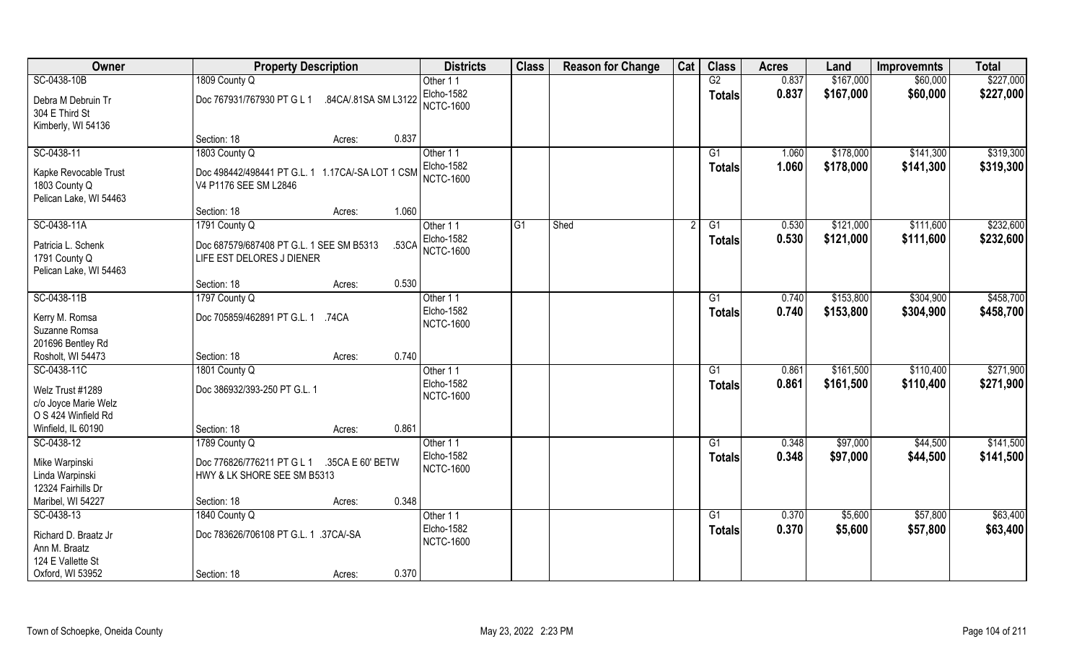| Owner                                | <b>Property Description</b>                        | <b>Districts</b>               | <b>Class</b> | <b>Reason for Change</b> | Cat | <b>Class</b>  | <b>Acres</b> | Land      | <b>Improvemnts</b> | <b>Total</b> |
|--------------------------------------|----------------------------------------------------|--------------------------------|--------------|--------------------------|-----|---------------|--------------|-----------|--------------------|--------------|
| SC-0438-10B                          | 1809 County Q                                      | Other 11                       |              |                          |     | G2            | 0.837        | \$167,000 | \$60,000           | \$227,000    |
| Debra M Debruin Tr<br>304 E Third St | Doc 767931/767930 PT G L 1<br>.84CA/.81SA SM L3122 | Elcho-1582<br><b>NCTC-1600</b> |              |                          |     | Totals        | 0.837        | \$167,000 | \$60,000           | \$227,000    |
| Kimberly, WI 54136                   |                                                    |                                |              |                          |     |               |              |           |                    |              |
|                                      | 0.837<br>Section: 18<br>Acres:                     |                                |              |                          |     |               |              |           |                    |              |
| SC-0438-11                           | 1803 County Q                                      | Other 11                       |              |                          |     | G1            | 1.060        | \$178,000 | \$141,300          | \$319,300    |
| Kapke Revocable Trust                | Doc 498442/498441 PT G.L. 1 1.17CA/-SA LOT 1 CSM   | Elcho-1582<br><b>NCTC-1600</b> |              |                          |     | <b>Totals</b> | 1.060        | \$178,000 | \$141,300          | \$319,300    |
| 1803 County Q                        | V4 P1176 SEE SM L2846                              |                                |              |                          |     |               |              |           |                    |              |
| Pelican Lake, WI 54463               |                                                    |                                |              |                          |     |               |              |           |                    |              |
|                                      | Section: 18<br>1.060<br>Acres:                     |                                |              |                          |     |               |              |           |                    |              |
| SC-0438-11A                          | 1791 County Q                                      | Other 11                       | G1           | Shed                     |     | G1            | 0.530        | \$121,000 | \$111,600          | \$232,600    |
| Patricia L. Schenk                   | Doc 687579/687408 PT G.L. 1 SEE SM B5313<br>.53CA  | Elcho-1582                     |              |                          |     | <b>Totals</b> | 0.530        | \$121,000 | \$111,600          | \$232,600    |
| 1791 County Q                        | LIFE EST DELORES J DIENER                          | <b>NCTC-1600</b>               |              |                          |     |               |              |           |                    |              |
| Pelican Lake, WI 54463               |                                                    |                                |              |                          |     |               |              |           |                    |              |
|                                      | 0.530<br>Section: 18<br>Acres:                     |                                |              |                          |     |               |              |           |                    |              |
| SC-0438-11B                          | 1797 County Q                                      | Other 11                       |              |                          |     | G1            | 0.740        | \$153,800 | \$304,900          | \$458,700    |
|                                      |                                                    | Elcho-1582                     |              |                          |     | <b>Totals</b> | 0.740        | \$153,800 | \$304,900          | \$458,700    |
| Kerry M. Romsa<br>Suzanne Romsa      | Doc 705859/462891 PT G.L. 1<br>.74CA               | <b>NCTC-1600</b>               |              |                          |     |               |              |           |                    |              |
| 201696 Bentley Rd                    |                                                    |                                |              |                          |     |               |              |           |                    |              |
| Rosholt, WI 54473                    | 0.740<br>Section: 18<br>Acres:                     |                                |              |                          |     |               |              |           |                    |              |
| SC-0438-11C                          | 1801 County Q                                      | Other 11                       |              |                          |     | G1            | 0.861        | \$161,500 | \$110,400          | \$271,900    |
|                                      |                                                    | Elcho-1582                     |              |                          |     |               | 0.861        | \$161,500 | \$110,400          | \$271,900    |
| Welz Trust #1289                     | Doc 386932/393-250 PT G.L. 1                       | <b>NCTC-1600</b>               |              |                          |     | Totals        |              |           |                    |              |
| c/o Joyce Marie Welz                 |                                                    |                                |              |                          |     |               |              |           |                    |              |
| O S 424 Winfield Rd                  |                                                    |                                |              |                          |     |               |              |           |                    |              |
| Winfield, IL 60190                   | 0.861<br>Section: 18<br>Acres:                     |                                |              |                          |     |               |              |           |                    |              |
| SC-0438-12                           | 1789 County Q                                      | Other 11                       |              |                          |     | G1            | 0.348        | \$97,000  | \$44,500           | \$141,500    |
| Mike Warpinski                       | Doc 776826/776211 PT G L 1<br>.35CA E 60' BETW     | Elcho-1582                     |              |                          |     | <b>Totals</b> | 0.348        | \$97,000  | \$44,500           | \$141,500    |
| Linda Warpinski                      | HWY & LK SHORE SEE SM B5313                        | <b>NCTC-1600</b>               |              |                          |     |               |              |           |                    |              |
| 12324 Fairhills Dr                   |                                                    |                                |              |                          |     |               |              |           |                    |              |
| Maribel, WI 54227                    | 0.348<br>Section: 18<br>Acres:                     |                                |              |                          |     |               |              |           |                    |              |
| SC-0438-13                           | 1840 County Q                                      | Other 11                       |              |                          |     | G1            | 0.370        | \$5,600   | \$57,800           | \$63,400     |
| Richard D. Braatz Jr                 | Doc 783626/706108 PT G.L. 1 .37CA/-SA              | Elcho-1582                     |              |                          |     | <b>Totals</b> | 0.370        | \$5,600   | \$57,800           | \$63,400     |
| Ann M. Braatz                        |                                                    | <b>NCTC-1600</b>               |              |                          |     |               |              |           |                    |              |
| 124 E Vallette St                    |                                                    |                                |              |                          |     |               |              |           |                    |              |
| Oxford, WI 53952                     | 0.370<br>Section: 18<br>Acres:                     |                                |              |                          |     |               |              |           |                    |              |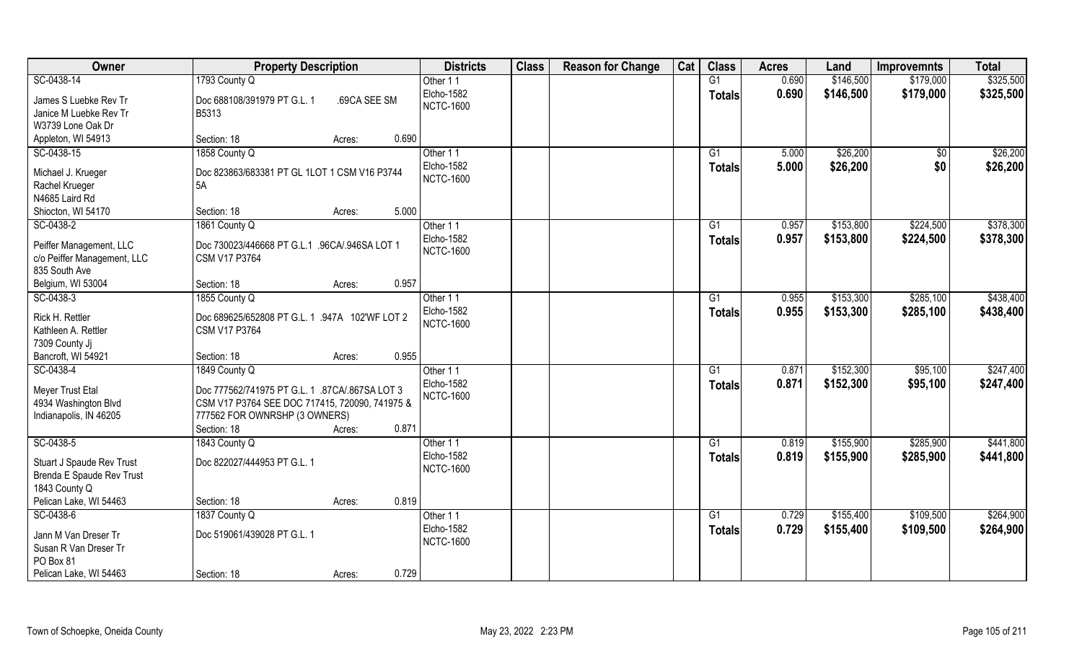| Owner                                                         | <b>Property Description</b>                                                                      | <b>Districts</b>  | <b>Class</b> | <b>Reason for Change</b> | Cat | <b>Class</b>    | <b>Acres</b> | Land      | <b>Improvemnts</b> | <b>Total</b> |
|---------------------------------------------------------------|--------------------------------------------------------------------------------------------------|-------------------|--------------|--------------------------|-----|-----------------|--------------|-----------|--------------------|--------------|
| SC-0438-14                                                    | 1793 County Q                                                                                    | Other 11          |              |                          |     | G1              | 0.690        | \$146,500 | \$179,000          | \$325,500    |
| James S Luebke Rev Tr                                         | Doc 688108/391979 PT G.L. 1<br>.69CA SEE SM                                                      | Elcho-1582        |              |                          |     | Totals          | 0.690        | \$146,500 | \$179,000          | \$325,500    |
| Janice M Luebke Rev Tr                                        | B5313                                                                                            | <b>NCTC-1600</b>  |              |                          |     |                 |              |           |                    |              |
| W3739 Lone Oak Dr                                             |                                                                                                  |                   |              |                          |     |                 |              |           |                    |              |
| Appleton, WI 54913                                            | 0.690<br>Section: 18<br>Acres:                                                                   |                   |              |                          |     |                 |              |           |                    |              |
| SC-0438-15                                                    | 1858 County Q                                                                                    | Other 11          |              |                          |     | G1              | 5.000        | \$26,200  | $\sqrt{$0}$        | \$26,200     |
| Michael J. Krueger                                            | Doc 823863/683381 PT GL 1LOT 1 CSM V16 P3744                                                     | Elcho-1582        |              |                          |     | <b>Totals</b>   | 5.000        | \$26,200  | \$0                | \$26,200     |
| Rachel Krueger                                                | 5A                                                                                               | <b>NCTC-1600</b>  |              |                          |     |                 |              |           |                    |              |
| N4685 Laird Rd                                                |                                                                                                  |                   |              |                          |     |                 |              |           |                    |              |
| Shiocton, WI 54170                                            | 5.000<br>Section: 18<br>Acres:                                                                   |                   |              |                          |     |                 |              |           |                    |              |
| SC-0438-2                                                     | 1861 County Q                                                                                    | Other 11          |              |                          |     | G1              | 0.957        | \$153,800 | \$224,500          | \$378,300    |
| Peiffer Management, LLC                                       | Doc 730023/446668 PT G.L.1 .96CA/.946SA LOT 1                                                    | Elcho-1582        |              |                          |     | <b>Totals</b>   | 0.957        | \$153,800 | \$224,500          | \$378,300    |
| c/o Peiffer Management, LLC                                   | <b>CSM V17 P3764</b>                                                                             | <b>NCTC-1600</b>  |              |                          |     |                 |              |           |                    |              |
| 835 South Ave                                                 |                                                                                                  |                   |              |                          |     |                 |              |           |                    |              |
| Belgium, WI 53004                                             | 0.957<br>Section: 18<br>Acres:                                                                   |                   |              |                          |     |                 |              |           |                    |              |
| SC-0438-3                                                     | 1855 County Q                                                                                    | Other 11          |              |                          |     | G1              | 0.955        | \$153,300 | \$285,100          | \$438,400    |
| Rick H. Rettler                                               | Doc 689625/652808 PT G.L. 1 .947A 102'WF LOT 2                                                   | Elcho-1582        |              |                          |     | <b>Totals</b>   | 0.955        | \$153,300 | \$285,100          | \$438,400    |
| Kathleen A. Rettler                                           | <b>CSM V17 P3764</b>                                                                             | <b>NCTC-1600</b>  |              |                          |     |                 |              |           |                    |              |
| 7309 County Jj                                                |                                                                                                  |                   |              |                          |     |                 |              |           |                    |              |
| Bancroft, WI 54921                                            | 0.955<br>Section: 18<br>Acres:                                                                   |                   |              |                          |     |                 |              |           |                    |              |
| SC-0438-4                                                     | 1849 County Q                                                                                    | Other 11          |              |                          |     | $\overline{G1}$ | 0.871        | \$152,300 | \$95,100           | \$247,400    |
|                                                               |                                                                                                  | Elcho-1582        |              |                          |     | <b>Totals</b>   | 0.871        | \$152,300 | \$95,100           | \$247,400    |
| Meyer Trust Etal<br>4934 Washington Blvd                      | Doc 777562/741975 PT G.L. 1 .87CA/.867SA LOT 3<br>CSM V17 P3764 SEE DOC 717415, 720090, 741975 & | <b>NCTC-1600</b>  |              |                          |     |                 |              |           |                    |              |
| Indianapolis, IN 46205                                        | 777562 FOR OWNRSHP (3 OWNERS)                                                                    |                   |              |                          |     |                 |              |           |                    |              |
|                                                               | 0.871<br>Section: 18<br>Acres:                                                                   |                   |              |                          |     |                 |              |           |                    |              |
| SC-0438-5                                                     | 1843 County Q                                                                                    | Other 11          |              |                          |     | G1              | 0.819        | \$155,900 | \$285,900          | \$441,800    |
|                                                               |                                                                                                  | Elcho-1582        |              |                          |     | <b>Totals</b>   | 0.819        | \$155,900 | \$285,900          | \$441,800    |
| Stuart J Spaude Rev Trust<br><b>Brenda E Spaude Rev Trust</b> | Doc 822027/444953 PT G.L. 1                                                                      | <b>NCTC-1600</b>  |              |                          |     |                 |              |           |                    |              |
| 1843 County Q                                                 |                                                                                                  |                   |              |                          |     |                 |              |           |                    |              |
| Pelican Lake, WI 54463                                        | 0.819<br>Section: 18<br>Acres:                                                                   |                   |              |                          |     |                 |              |           |                    |              |
| SC-0438-6                                                     | 1837 County Q                                                                                    | Other 11          |              |                          |     | G1              | 0.729        | \$155,400 | \$109,500          | \$264,900    |
|                                                               |                                                                                                  | <b>Elcho-1582</b> |              |                          |     | <b>Totals</b>   | 0.729        | \$155,400 | \$109,500          | \$264,900    |
| Jann M Van Dreser Tr<br>Susan R Van Dreser Tr                 | Doc 519061/439028 PT G.L. 1                                                                      | <b>NCTC-1600</b>  |              |                          |     |                 |              |           |                    |              |
| PO Box 81                                                     |                                                                                                  |                   |              |                          |     |                 |              |           |                    |              |
| Pelican Lake, WI 54463                                        | 0.729<br>Section: 18<br>Acres:                                                                   |                   |              |                          |     |                 |              |           |                    |              |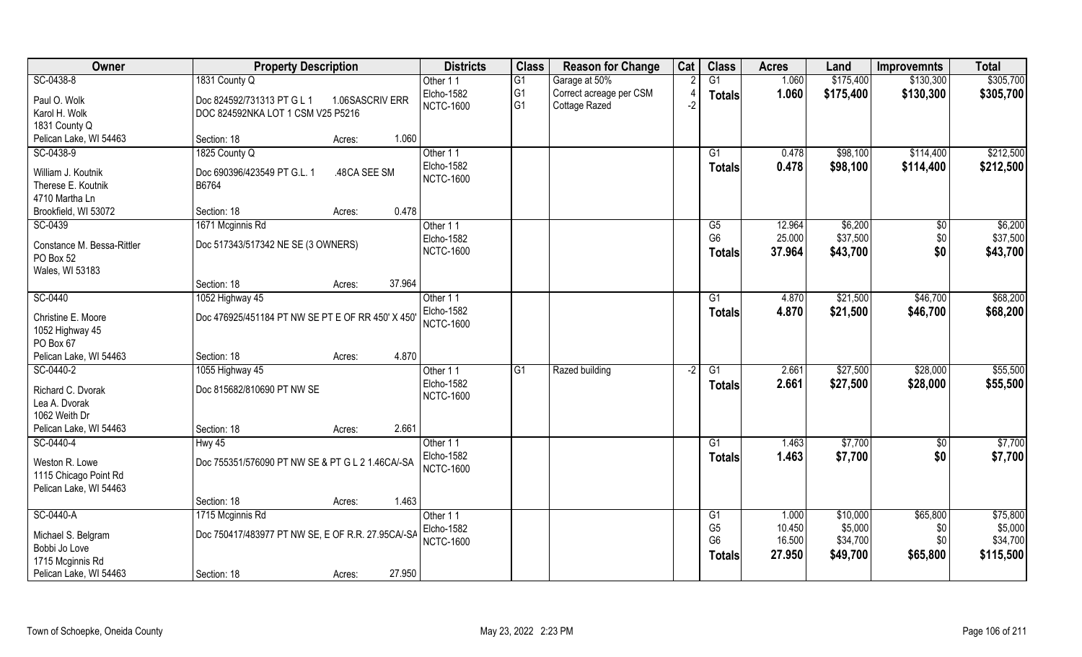| Owner                                    | <b>Property Description</b>                          | <b>Districts</b>                      | <b>Class</b>   | <b>Reason for Change</b> | Cat  | <b>Class</b>    | <b>Acres</b> | Land      | <b>Improvemnts</b> | <b>Total</b> |
|------------------------------------------|------------------------------------------------------|---------------------------------------|----------------|--------------------------|------|-----------------|--------------|-----------|--------------------|--------------|
| SC-0438-8                                | 1831 County Q                                        | Other 11                              | G <sub>1</sub> | Garage at 50%            |      | $\overline{G1}$ | 1.060        | \$175,400 | \$130,300          | \$305,700    |
| Paul O. Wolk                             | Doc 824592/731313 PT G L 1<br>1.06SASCRIV ERR        | Elcho-1582                            | G <sub>1</sub> | Correct acreage per CSM  |      | <b>Totals</b>   | 1.060        | \$175,400 | \$130,300          | \$305,700    |
| Karol H. Wolk                            | DOC 824592NKA LOT 1 CSM V25 P5216                    | <b>NCTC-1600</b>                      | G <sub>1</sub> | Cottage Razed            | ر۔   |                 |              |           |                    |              |
| 1831 County Q                            |                                                      |                                       |                |                          |      |                 |              |           |                    |              |
| Pelican Lake, WI 54463                   | 1.060<br>Section: 18<br>Acres:                       |                                       |                |                          |      |                 |              |           |                    |              |
| SC-0438-9                                | 1825 County Q                                        | Other 11                              |                |                          |      | $\overline{G1}$ | 0.478        | \$98,100  | \$114,400          | \$212,500    |
|                                          |                                                      | Elcho-1582                            |                |                          |      | Totals          | 0.478        | \$98,100  | \$114,400          | \$212,500    |
| William J. Koutnik<br>Therese E. Koutnik | Doc 690396/423549 PT G.L. 1<br>.48CA SEE SM<br>B6764 | <b>NCTC-1600</b>                      |                |                          |      |                 |              |           |                    |              |
| 4710 Martha Ln                           |                                                      |                                       |                |                          |      |                 |              |           |                    |              |
| Brookfield, WI 53072                     | 0.478<br>Section: 18<br>Acres:                       |                                       |                |                          |      |                 |              |           |                    |              |
| SC-0439                                  | 1671 Mcginnis Rd                                     | Other 11                              |                |                          |      | G5              | 12.964       | \$6,200   | \$0                | \$6,200      |
|                                          |                                                      | Elcho-1582                            |                |                          |      | G <sub>6</sub>  | 25.000       | \$37,500  | \$0                | \$37,500     |
| Constance M. Bessa-Rittler               | Doc 517343/517342 NE SE (3 OWNERS)                   | <b>NCTC-1600</b>                      |                |                          |      | <b>Totals</b>   | 37.964       | \$43,700  | \$0                | \$43,700     |
| PO Box 52                                |                                                      |                                       |                |                          |      |                 |              |           |                    |              |
| Wales, WI 53183                          |                                                      |                                       |                |                          |      |                 |              |           |                    |              |
|                                          | 37.964<br>Section: 18<br>Acres:                      |                                       |                |                          |      |                 |              |           |                    |              |
| SC-0440                                  | 1052 Highway 45                                      | Other 11                              |                |                          |      | G1              | 4.870        | \$21,500  | \$46,700           | \$68,200     |
| Christine E. Moore                       | Doc 476925/451184 PT NW SE PT E OF RR 450' X 450     | <b>Elcho-1582</b><br><b>NCTC-1600</b> |                |                          |      | <b>Totals</b>   | 4.870        | \$21,500  | \$46,700           | \$68,200     |
| 1052 Highway 45                          |                                                      |                                       |                |                          |      |                 |              |           |                    |              |
| PO Box 67                                |                                                      |                                       |                |                          |      |                 |              |           |                    |              |
| Pelican Lake, WI 54463                   | 4.870<br>Section: 18<br>Acres:                       |                                       |                |                          |      |                 |              |           |                    |              |
| SC-0440-2                                | 1055 Highway 45                                      | Other 11                              | G1             | Razed building           | $-2$ | G1              | 2.661        | \$27,500  | \$28,000           | \$55,500     |
| Richard C. Dvorak                        | Doc 815682/810690 PT NW SE                           | Elcho-1582                            |                |                          |      | <b>Totals</b>   | 2.661        | \$27,500  | \$28,000           | \$55,500     |
| Lea A. Dvorak                            |                                                      | <b>NCTC-1600</b>                      |                |                          |      |                 |              |           |                    |              |
| 1062 Weith Dr                            |                                                      |                                       |                |                          |      |                 |              |           |                    |              |
| Pelican Lake, WI 54463                   | 2.661<br>Section: 18<br>Acres:                       |                                       |                |                          |      |                 |              |           |                    |              |
| SC-0440-4                                | Hwy 45                                               | Other 11                              |                |                          |      | G1              | 1.463        | \$7,700   | \$0                | \$7,700      |
| Weston R. Lowe                           | Doc 755351/576090 PT NW SE & PT G L 2 1.46CA/-SA     | Elcho-1582                            |                |                          |      | <b>Totals</b>   | 1.463        | \$7,700   | \$0                | \$7,700      |
| 1115 Chicago Point Rd                    |                                                      | <b>NCTC-1600</b>                      |                |                          |      |                 |              |           |                    |              |
| Pelican Lake, WI 54463                   |                                                      |                                       |                |                          |      |                 |              |           |                    |              |
|                                          | 1.463<br>Section: 18<br>Acres:                       |                                       |                |                          |      |                 |              |           |                    |              |
| SC-0440-A                                | 1715 Mcginnis Rd                                     | Other 11                              |                |                          |      | G1              | 1.000        | \$10,000  | \$65,800           | \$75,800     |
|                                          |                                                      | Elcho-1582                            |                |                          |      | G <sub>5</sub>  | 10.450       | \$5,000   | \$0                | \$5,000      |
| Michael S. Belgram                       | Doc 750417/483977 PT NW SE, E OF R.R. 27.95CA/-SA    | <b>NCTC-1600</b>                      |                |                          |      | G <sub>6</sub>  | 16.500       | \$34,700  | \$0                | \$34,700     |
| Bobbi Jo Love                            |                                                      |                                       |                |                          |      | Totals          | 27.950       | \$49,700  | \$65,800           | \$115,500    |
| 1715 Mcginnis Rd                         |                                                      |                                       |                |                          |      |                 |              |           |                    |              |
| Pelican Lake, WI 54463                   | 27.950<br>Section: 18<br>Acres:                      |                                       |                |                          |      |                 |              |           |                    |              |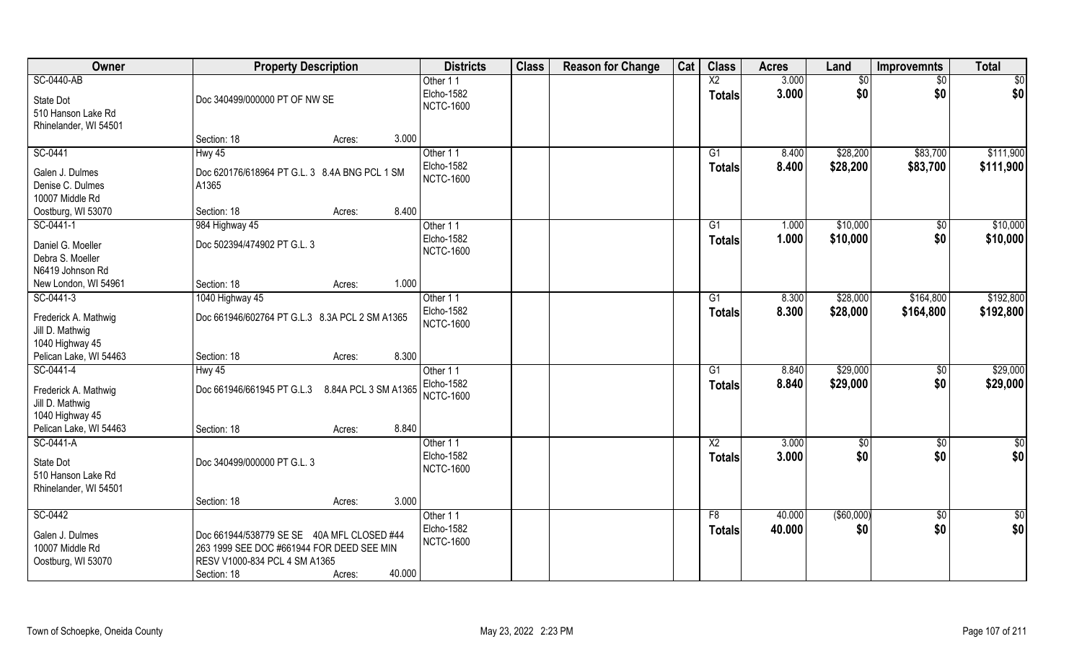| $\overline{X2}$<br><b>SC-0440-AB</b><br>3.000<br>\$0<br>Other 11<br>$\overline{50}$<br>$\frac{1}{30}$<br>\$0<br>Elcho-1582<br>3.000<br>\$0<br>\$0<br><b>Totals</b><br>Doc 340499/000000 PT OF NW SE<br>State Dot<br><b>NCTC-1600</b><br>510 Hanson Lake Rd<br>Rhinelander, WI 54501<br>3.000<br>Section: 18<br>Acres:<br>SC-0441<br>Other 11<br>\$28,200<br>\$83,700<br>Hwy 45<br>G1<br>8.400<br>Elcho-1582<br>8.400<br>\$28,200<br>\$83,700<br>Totals<br>Galen J. Dulmes<br>Doc 620176/618964 PT G.L. 3 8.4A BNG PCL 1 SM<br><b>NCTC-1600</b><br>Denise C. Dulmes<br>A1365<br>10007 Middle Rd<br>8.400<br>Oostburg, WI 53070<br>Section: 18<br>Acres:<br>984 Highway 45<br>\$10,000<br>SC-0441-1<br>G1<br>1.000<br>$\frac{6}{3}$<br>Other 11<br>Elcho-1582<br>\$0<br>1.000<br>\$10,000<br>Totals<br>Daniel G. Moeller<br>Doc 502394/474902 PT G.L. 3<br><b>NCTC-1600</b><br>Debra S. Moeller<br>N6419 Johnson Rd<br>1.000<br>New London, WI 54961<br>Section: 18<br>Acres:<br>SC-0441-3<br>\$28,000<br>\$164,800<br>G1<br>8.300<br>1040 Highway 45<br>Other 11<br>Elcho-1582<br>8.300<br>\$28,000<br>\$164,800<br><b>Totals</b> | Owner                | <b>Property Description</b>                    | <b>Districts</b> | <b>Class</b> | <b>Reason for Change</b> | Cat | <b>Class</b> | <b>Acres</b> | Land | <b>Improvemnts</b> | <b>Total</b> |
|----------------------------------------------------------------------------------------------------------------------------------------------------------------------------------------------------------------------------------------------------------------------------------------------------------------------------------------------------------------------------------------------------------------------------------------------------------------------------------------------------------------------------------------------------------------------------------------------------------------------------------------------------------------------------------------------------------------------------------------------------------------------------------------------------------------------------------------------------------------------------------------------------------------------------------------------------------------------------------------------------------------------------------------------------------------------------------------------------------------------------------|----------------------|------------------------------------------------|------------------|--------------|--------------------------|-----|--------------|--------------|------|--------------------|--------------|
|                                                                                                                                                                                                                                                                                                                                                                                                                                                                                                                                                                                                                                                                                                                                                                                                                                                                                                                                                                                                                                                                                                                                  |                      |                                                |                  |              |                          |     |              |              |      |                    |              |
|                                                                                                                                                                                                                                                                                                                                                                                                                                                                                                                                                                                                                                                                                                                                                                                                                                                                                                                                                                                                                                                                                                                                  |                      |                                                |                  |              |                          |     |              |              |      |                    |              |
|                                                                                                                                                                                                                                                                                                                                                                                                                                                                                                                                                                                                                                                                                                                                                                                                                                                                                                                                                                                                                                                                                                                                  |                      |                                                |                  |              |                          |     |              |              |      |                    |              |
| \$111,900<br>\$111,900<br>\$10,000<br>\$10,000<br>\$192,800<br>\$192,800                                                                                                                                                                                                                                                                                                                                                                                                                                                                                                                                                                                                                                                                                                                                                                                                                                                                                                                                                                                                                                                         |                      |                                                |                  |              |                          |     |              |              |      |                    |              |
|                                                                                                                                                                                                                                                                                                                                                                                                                                                                                                                                                                                                                                                                                                                                                                                                                                                                                                                                                                                                                                                                                                                                  |                      |                                                |                  |              |                          |     |              |              |      |                    |              |
|                                                                                                                                                                                                                                                                                                                                                                                                                                                                                                                                                                                                                                                                                                                                                                                                                                                                                                                                                                                                                                                                                                                                  |                      |                                                |                  |              |                          |     |              |              |      |                    |              |
|                                                                                                                                                                                                                                                                                                                                                                                                                                                                                                                                                                                                                                                                                                                                                                                                                                                                                                                                                                                                                                                                                                                                  |                      |                                                |                  |              |                          |     |              |              |      |                    |              |
|                                                                                                                                                                                                                                                                                                                                                                                                                                                                                                                                                                                                                                                                                                                                                                                                                                                                                                                                                                                                                                                                                                                                  |                      |                                                |                  |              |                          |     |              |              |      |                    |              |
|                                                                                                                                                                                                                                                                                                                                                                                                                                                                                                                                                                                                                                                                                                                                                                                                                                                                                                                                                                                                                                                                                                                                  |                      |                                                |                  |              |                          |     |              |              |      |                    |              |
|                                                                                                                                                                                                                                                                                                                                                                                                                                                                                                                                                                                                                                                                                                                                                                                                                                                                                                                                                                                                                                                                                                                                  |                      |                                                |                  |              |                          |     |              |              |      |                    |              |
|                                                                                                                                                                                                                                                                                                                                                                                                                                                                                                                                                                                                                                                                                                                                                                                                                                                                                                                                                                                                                                                                                                                                  |                      |                                                |                  |              |                          |     |              |              |      |                    |              |
|                                                                                                                                                                                                                                                                                                                                                                                                                                                                                                                                                                                                                                                                                                                                                                                                                                                                                                                                                                                                                                                                                                                                  |                      |                                                |                  |              |                          |     |              |              |      |                    |              |
|                                                                                                                                                                                                                                                                                                                                                                                                                                                                                                                                                                                                                                                                                                                                                                                                                                                                                                                                                                                                                                                                                                                                  |                      |                                                |                  |              |                          |     |              |              |      |                    |              |
|                                                                                                                                                                                                                                                                                                                                                                                                                                                                                                                                                                                                                                                                                                                                                                                                                                                                                                                                                                                                                                                                                                                                  |                      |                                                |                  |              |                          |     |              |              |      |                    |              |
|                                                                                                                                                                                                                                                                                                                                                                                                                                                                                                                                                                                                                                                                                                                                                                                                                                                                                                                                                                                                                                                                                                                                  |                      |                                                |                  |              |                          |     |              |              |      |                    |              |
|                                                                                                                                                                                                                                                                                                                                                                                                                                                                                                                                                                                                                                                                                                                                                                                                                                                                                                                                                                                                                                                                                                                                  |                      |                                                |                  |              |                          |     |              |              |      |                    |              |
|                                                                                                                                                                                                                                                                                                                                                                                                                                                                                                                                                                                                                                                                                                                                                                                                                                                                                                                                                                                                                                                                                                                                  | Frederick A. Mathwig | Doc 661946/602764 PT G.L.3 8.3A PCL 2 SM A1365 |                  |              |                          |     |              |              |      |                    |              |
| <b>NCTC-1600</b><br>Jill D. Mathwig                                                                                                                                                                                                                                                                                                                                                                                                                                                                                                                                                                                                                                                                                                                                                                                                                                                                                                                                                                                                                                                                                              |                      |                                                |                  |              |                          |     |              |              |      |                    |              |
| 1040 Highway 45                                                                                                                                                                                                                                                                                                                                                                                                                                                                                                                                                                                                                                                                                                                                                                                                                                                                                                                                                                                                                                                                                                                  |                      |                                                |                  |              |                          |     |              |              |      |                    |              |
| Pelican Lake, WI 54463<br>Section: 18<br>8.300<br>Acres:                                                                                                                                                                                                                                                                                                                                                                                                                                                                                                                                                                                                                                                                                                                                                                                                                                                                                                                                                                                                                                                                         |                      |                                                |                  |              |                          |     |              |              |      |                    |              |
| \$29,000<br>\$29,000<br>SC-0441-4<br>$\overline{G1}$<br>8.840<br>$\overline{50}$<br>Hwy 45<br>Other 11                                                                                                                                                                                                                                                                                                                                                                                                                                                                                                                                                                                                                                                                                                                                                                                                                                                                                                                                                                                                                           |                      |                                                |                  |              |                          |     |              |              |      |                    |              |
| 8.840<br>\$29,000<br>\$0<br>Elcho-1582<br>\$29,000<br><b>Totals</b><br>Doc 661946/661945 PT G.L.3 8.84A PCL 3 SM A1365<br>Frederick A. Mathwig                                                                                                                                                                                                                                                                                                                                                                                                                                                                                                                                                                                                                                                                                                                                                                                                                                                                                                                                                                                   |                      |                                                |                  |              |                          |     |              |              |      |                    |              |
| <b>NCTC-1600</b><br>Jill D. Mathwig                                                                                                                                                                                                                                                                                                                                                                                                                                                                                                                                                                                                                                                                                                                                                                                                                                                                                                                                                                                                                                                                                              |                      |                                                |                  |              |                          |     |              |              |      |                    |              |
| 1040 Highway 45                                                                                                                                                                                                                                                                                                                                                                                                                                                                                                                                                                                                                                                                                                                                                                                                                                                                                                                                                                                                                                                                                                                  |                      |                                                |                  |              |                          |     |              |              |      |                    |              |
| Pelican Lake, WI 54463<br>8.840<br>Section: 18<br>Acres:                                                                                                                                                                                                                                                                                                                                                                                                                                                                                                                                                                                                                                                                                                                                                                                                                                                                                                                                                                                                                                                                         |                      |                                                |                  |              |                          |     |              |              |      |                    |              |
| SC-0441-A<br>$\overline{X2}$<br>3.000<br>$\sqrt{50}$<br>\$0<br>Other 11<br>$\frac{6}{3}$                                                                                                                                                                                                                                                                                                                                                                                                                                                                                                                                                                                                                                                                                                                                                                                                                                                                                                                                                                                                                                         |                      |                                                |                  |              |                          |     |              |              |      |                    |              |
| \$0<br>\$0<br>\$0<br>Elcho-1582<br>3.000<br><b>Totals</b><br>Doc 340499/000000 PT G.L. 3<br>State Dot                                                                                                                                                                                                                                                                                                                                                                                                                                                                                                                                                                                                                                                                                                                                                                                                                                                                                                                                                                                                                            |                      |                                                |                  |              |                          |     |              |              |      |                    |              |
| <b>NCTC-1600</b><br>510 Hanson Lake Rd                                                                                                                                                                                                                                                                                                                                                                                                                                                                                                                                                                                                                                                                                                                                                                                                                                                                                                                                                                                                                                                                                           |                      |                                                |                  |              |                          |     |              |              |      |                    |              |
| Rhinelander, WI 54501                                                                                                                                                                                                                                                                                                                                                                                                                                                                                                                                                                                                                                                                                                                                                                                                                                                                                                                                                                                                                                                                                                            |                      |                                                |                  |              |                          |     |              |              |      |                    |              |
| 3.000<br>Section: 18<br>Acres:                                                                                                                                                                                                                                                                                                                                                                                                                                                                                                                                                                                                                                                                                                                                                                                                                                                                                                                                                                                                                                                                                                   |                      |                                                |                  |              |                          |     |              |              |      |                    |              |
| SC-0442<br>(\$60,000)<br>40.000<br>\$0<br>$\overline{50}$<br>Other 11<br>F8                                                                                                                                                                                                                                                                                                                                                                                                                                                                                                                                                                                                                                                                                                                                                                                                                                                                                                                                                                                                                                                      |                      |                                                |                  |              |                          |     |              |              |      |                    |              |
| \$0<br>\$0<br><b>Elcho-1582</b><br>40.000<br>\$0<br><b>Totals</b><br>Galen J. Dulmes<br>Doc 661944/538779 SE SE 40A MFL CLOSED #44                                                                                                                                                                                                                                                                                                                                                                                                                                                                                                                                                                                                                                                                                                                                                                                                                                                                                                                                                                                               |                      |                                                |                  |              |                          |     |              |              |      |                    |              |
| <b>NCTC-1600</b><br>10007 Middle Rd<br>263 1999 SEE DOC #661944 FOR DEED SEE MIN                                                                                                                                                                                                                                                                                                                                                                                                                                                                                                                                                                                                                                                                                                                                                                                                                                                                                                                                                                                                                                                 |                      |                                                |                  |              |                          |     |              |              |      |                    |              |
| RESV V1000-834 PCL 4 SM A1365<br>Oostburg, WI 53070                                                                                                                                                                                                                                                                                                                                                                                                                                                                                                                                                                                                                                                                                                                                                                                                                                                                                                                                                                                                                                                                              |                      |                                                |                  |              |                          |     |              |              |      |                    |              |
| 40.000<br>Section: 18<br>Acres:                                                                                                                                                                                                                                                                                                                                                                                                                                                                                                                                                                                                                                                                                                                                                                                                                                                                                                                                                                                                                                                                                                  |                      |                                                |                  |              |                          |     |              |              |      |                    |              |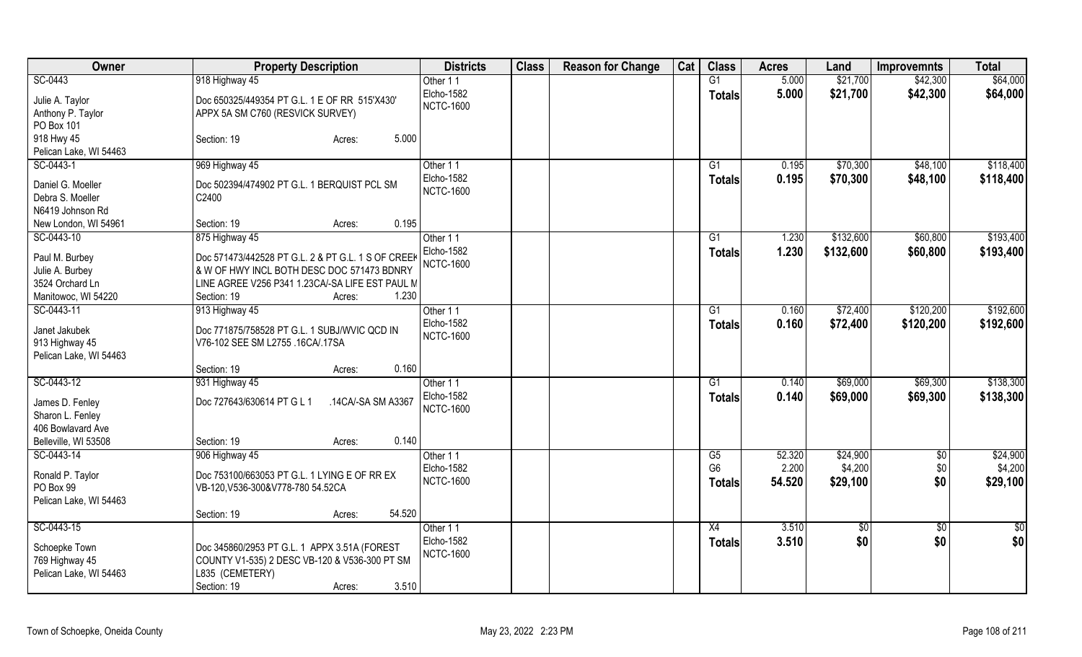| Owner                  | <b>Property Description</b>                        | <b>Districts</b>  | <b>Class</b> | <b>Reason for Change</b> | Cat | <b>Class</b>   | <b>Acres</b> | Land          | <b>Improvemnts</b> | <b>Total</b>    |
|------------------------|----------------------------------------------------|-------------------|--------------|--------------------------|-----|----------------|--------------|---------------|--------------------|-----------------|
| SC-0443                | 918 Highway 45                                     | Other 11          |              |                          |     | G1             | 5.000        | \$21,700      | \$42,300           | \$64,000        |
| Julie A. Taylor        | Doc 650325/449354 PT G.L. 1 E OF RR 515'X430'      | Elcho-1582        |              |                          |     | <b>Totals</b>  | 5.000        | \$21,700      | \$42,300           | \$64,000        |
| Anthony P. Taylor      | APPX 5A SM C760 (RESVICK SURVEY)                   | <b>NCTC-1600</b>  |              |                          |     |                |              |               |                    |                 |
| PO Box 101             |                                                    |                   |              |                          |     |                |              |               |                    |                 |
| 918 Hwy 45             | 5.000<br>Section: 19<br>Acres:                     |                   |              |                          |     |                |              |               |                    |                 |
| Pelican Lake, WI 54463 |                                                    |                   |              |                          |     |                |              |               |                    |                 |
| SC-0443-1              | 969 Highway 45                                     | Other 11          |              |                          |     | G1             | 0.195        | \$70,300      | \$48,100           | \$118,400       |
|                        |                                                    | Elcho-1582        |              |                          |     | <b>Totals</b>  | 0.195        | \$70,300      | \$48,100           | \$118,400       |
| Daniel G. Moeller      | Doc 502394/474902 PT G.L. 1 BERQUIST PCL SM        | <b>NCTC-1600</b>  |              |                          |     |                |              |               |                    |                 |
| Debra S. Moeller       | C2400                                              |                   |              |                          |     |                |              |               |                    |                 |
| N6419 Johnson Rd       |                                                    |                   |              |                          |     |                |              |               |                    |                 |
| New London, WI 54961   | 0.195<br>Section: 19<br>Acres:                     |                   |              |                          |     |                |              |               |                    |                 |
| SC-0443-10             | 875 Highway 45                                     | Other 11          |              |                          |     | G1             | 1.230        | \$132,600     | \$60,800           | \$193,400       |
| Paul M. Burbey         | Doc 571473/442528 PT G.L. 2 & PT G.L. 1 S OF CREEK | Elcho-1582        |              |                          |     | <b>Totals</b>  | 1.230        | \$132,600     | \$60,800           | \$193,400       |
| Julie A. Burbey        | & W OF HWY INCL BOTH DESC DOC 571473 BDNRY         | <b>NCTC-1600</b>  |              |                          |     |                |              |               |                    |                 |
| 3524 Orchard Ln        | LINE AGREE V256 P341 1.23CA/-SA LIFE EST PAUL M    |                   |              |                          |     |                |              |               |                    |                 |
| Manitowoc, WI 54220    | 1.230<br>Section: 19<br>Acres:                     |                   |              |                          |     |                |              |               |                    |                 |
| SC-0443-11             | 913 Highway 45                                     | Other 11          |              |                          |     | G1             | 0.160        | \$72,400      | \$120,200          | \$192,600       |
|                        |                                                    | Elcho-1582        |              |                          |     | <b>Totals</b>  | 0.160        | \$72,400      | \$120,200          | \$192,600       |
| Janet Jakubek          | Doc 771875/758528 PT G.L. 1 SUBJ/WVIC QCD IN       | <b>NCTC-1600</b>  |              |                          |     |                |              |               |                    |                 |
| 913 Highway 45         | V76-102 SEE SM L2755 .16CA/.17SA                   |                   |              |                          |     |                |              |               |                    |                 |
| Pelican Lake, WI 54463 |                                                    |                   |              |                          |     |                |              |               |                    |                 |
|                        | 0.160<br>Section: 19<br>Acres:                     |                   |              |                          |     |                |              |               |                    |                 |
| SC-0443-12             | 931 Highway 45                                     | Other 11          |              |                          |     | G1             | 0.140        | \$69,000      | \$69,300           | \$138,300       |
| James D. Fenley        | Doc 727643/630614 PT G L 1<br>.14CA/-SA SM A3367   | <b>Elcho-1582</b> |              |                          |     | <b>Totals</b>  | 0.140        | \$69,000      | \$69,300           | \$138,300       |
| Sharon L. Fenley       |                                                    | <b>NCTC-1600</b>  |              |                          |     |                |              |               |                    |                 |
| 406 Bowlavard Ave      |                                                    |                   |              |                          |     |                |              |               |                    |                 |
| Belleville, WI 53508   | 0.140<br>Section: 19<br>Acres:                     |                   |              |                          |     |                |              |               |                    |                 |
| SC-0443-14             | 906 Highway 45                                     | Other 11          |              |                          |     | G5             | 52.320       | \$24,900      | $\sqrt{$0}$        | \$24,900        |
|                        |                                                    | Elcho-1582        |              |                          |     | G <sub>6</sub> | 2.200        | \$4,200       | \$0                | \$4,200         |
| Ronald P. Taylor       | Doc 753100/663053 PT G.L. 1 LYING E OF RR EX       | <b>NCTC-1600</b>  |              |                          |     | <b>Totals</b>  | 54.520       | \$29,100      | \$0                | \$29,100        |
| PO Box 99              | VB-120, V536-300& V778-780 54.52CA                 |                   |              |                          |     |                |              |               |                    |                 |
| Pelican Lake, WI 54463 | 54.520                                             |                   |              |                          |     |                |              |               |                    |                 |
|                        | Section: 19<br>Acres:                              |                   |              |                          |     |                |              |               |                    |                 |
| SC-0443-15             |                                                    | Other 11          |              |                          |     | X4             | 3.510        | $\frac{1}{6}$ | $\overline{50}$    | $\overline{50}$ |
| Schoepke Town          | Doc 345860/2953 PT G.L. 1 APPX 3.51A (FOREST       | Elcho-1582        |              |                          |     | <b>Totals</b>  | 3.510        | \$0           | \$0                | \$0             |
| 769 Highway 45         | COUNTY V1-535) 2 DESC VB-120 & V536-300 PT SM      | <b>NCTC-1600</b>  |              |                          |     |                |              |               |                    |                 |
| Pelican Lake, WI 54463 | L835 (CEMETERY)                                    |                   |              |                          |     |                |              |               |                    |                 |
|                        | 3.510<br>Section: 19<br>Acres:                     |                   |              |                          |     |                |              |               |                    |                 |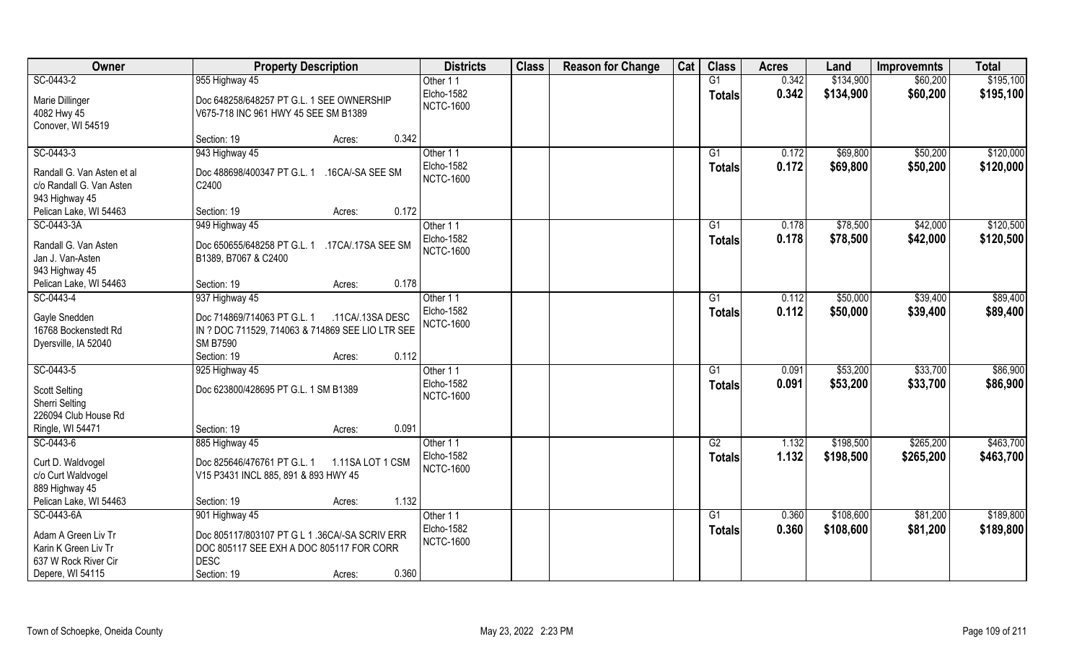| Owner                              | <b>Property Description</b>                       | <b>Districts</b>               | <b>Class</b> | <b>Reason for Change</b> | Cat | <b>Class</b>    | <b>Acres</b> | Land      | <b>Improvemnts</b> | <b>Total</b> |
|------------------------------------|---------------------------------------------------|--------------------------------|--------------|--------------------------|-----|-----------------|--------------|-----------|--------------------|--------------|
| SC-0443-2                          | 955 Highway 45                                    | Other 11                       |              |                          |     | G1              | 0.342        | \$134,900 | \$60,200           | \$195,100    |
| Marie Dillinger                    | Doc 648258/648257 PT G.L. 1 SEE OWNERSHIP         | Elcho-1582                     |              |                          |     | <b>Totals</b>   | 0.342        | \$134,900 | \$60,200           | \$195,100    |
| 4082 Hwy 45                        | V675-718 INC 961 HWY 45 SEE SM B1389              | <b>NCTC-1600</b>               |              |                          |     |                 |              |           |                    |              |
| Conover, WI 54519                  |                                                   |                                |              |                          |     |                 |              |           |                    |              |
|                                    | 0.342<br>Section: 19<br>Acres:                    |                                |              |                          |     |                 |              |           |                    |              |
| SC-0443-3                          | 943 Highway 45                                    | Other 11                       |              |                          |     | $\overline{G1}$ | 0.172        | \$69,800  | \$50,200           | \$120,000    |
| Randall G. Van Asten et al         | Doc 488698/400347 PT G.L. 1<br>.16CA/-SA SEE SM   | Elcho-1582                     |              |                          |     | <b>Totals</b>   | 0.172        | \$69,800  | \$50,200           | \$120,000    |
| c/o Randall G. Van Asten           | C2400                                             | <b>NCTC-1600</b>               |              |                          |     |                 |              |           |                    |              |
| 943 Highway 45                     |                                                   |                                |              |                          |     |                 |              |           |                    |              |
| Pelican Lake, WI 54463             | 0.172<br>Section: 19<br>Acres:                    |                                |              |                          |     |                 |              |           |                    |              |
| SC-0443-3A                         | 949 Highway 45                                    | Other 11                       |              |                          |     | G1              | 0.178        | \$78,500  | \$42,000           | \$120,500    |
|                                    |                                                   | Elcho-1582                     |              |                          |     | <b>Totals</b>   | 0.178        | \$78,500  | \$42,000           | \$120,500    |
| Randall G. Van Asten               | Doc 650655/648258 PT G.L. 1<br>.17CA/.17SA SEE SM | <b>NCTC-1600</b>               |              |                          |     |                 |              |           |                    |              |
| Jan J. Van-Asten<br>943 Highway 45 | B1389, B7067 & C2400                              |                                |              |                          |     |                 |              |           |                    |              |
| Pelican Lake, WI 54463             | 0.178<br>Section: 19<br>Acres:                    |                                |              |                          |     |                 |              |           |                    |              |
| SC-0443-4                          | 937 Highway 45                                    | Other 11                       |              |                          |     | G1              | 0.112        | \$50,000  | \$39,400           | \$89,400     |
|                                    |                                                   | Elcho-1582                     |              |                          |     | <b>Totals</b>   | 0.112        | \$50,000  | \$39,400           | \$89,400     |
| Gayle Snedden                      | Doc 714869/714063 PT G.L. 1<br>.11CA/.13SA DESC   | <b>NCTC-1600</b>               |              |                          |     |                 |              |           |                    |              |
| 16768 Bockenstedt Rd               | IN ? DOC 711529, 714063 & 714869 SEE LIO LTR SEE  |                                |              |                          |     |                 |              |           |                    |              |
| Dyersville, IA 52040               | <b>SM B7590</b>                                   |                                |              |                          |     |                 |              |           |                    |              |
|                                    | 0.112<br>Section: 19<br>Acres:                    |                                |              |                          |     |                 |              |           |                    |              |
| SC-0443-5                          | 925 Highway 45                                    | Other 11                       |              |                          |     | G1              | 0.091        | \$53,200  | \$33,700           | \$86,900     |
| <b>Scott Selting</b>               | Doc 623800/428695 PT G.L. 1 SM B1389              | Elcho-1582<br><b>NCTC-1600</b> |              |                          |     | Totals          | 0.091        | \$53,200  | \$33,700           | \$86,900     |
| <b>Sherri Selting</b>              |                                                   |                                |              |                          |     |                 |              |           |                    |              |
| 226094 Club House Rd               |                                                   |                                |              |                          |     |                 |              |           |                    |              |
| Ringle, WI 54471                   | 0.091<br>Section: 19<br>Acres:                    |                                |              |                          |     |                 |              |           |                    |              |
| SC-0443-6                          | 885 Highway 45                                    | Other 11                       |              |                          |     | G2              | 1.132        | \$198,500 | \$265,200          | \$463,700    |
| Curt D. Waldvogel                  | Doc 825646/476761 PT G.L. 1<br>1.11SA LOT 1 CSM   | Elcho-1582                     |              |                          |     | <b>Totals</b>   | 1.132        | \$198,500 | \$265,200          | \$463,700    |
| c/o Curt Waldvogel                 | V15 P3431 INCL 885, 891 & 893 HWY 45              | <b>NCTC-1600</b>               |              |                          |     |                 |              |           |                    |              |
| 889 Highway 45                     |                                                   |                                |              |                          |     |                 |              |           |                    |              |
| Pelican Lake, WI 54463             | 1.132<br>Section: 19<br>Acres:                    |                                |              |                          |     |                 |              |           |                    |              |
| SC-0443-6A                         | 901 Highway 45                                    | Other 11                       |              |                          |     | G1              | 0.360        | \$108,600 | \$81,200           | \$189,800    |
| Adam A Green Liv Tr                | Doc 805117/803107 PT G L 1 .36CA/-SA SCRIV ERR    | Elcho-1582                     |              |                          |     | Totals          | 0.360        | \$108,600 | \$81,200           | \$189,800    |
| Karin K Green Liv Tr               | DOC 805117 SEE EXH A DOC 805117 FOR CORR          | <b>NCTC-1600</b>               |              |                          |     |                 |              |           |                    |              |
| 637 W Rock River Cir               | <b>DESC</b>                                       |                                |              |                          |     |                 |              |           |                    |              |
| Depere, WI 54115                   | 0.360<br>Section: 19<br>Acres:                    |                                |              |                          |     |                 |              |           |                    |              |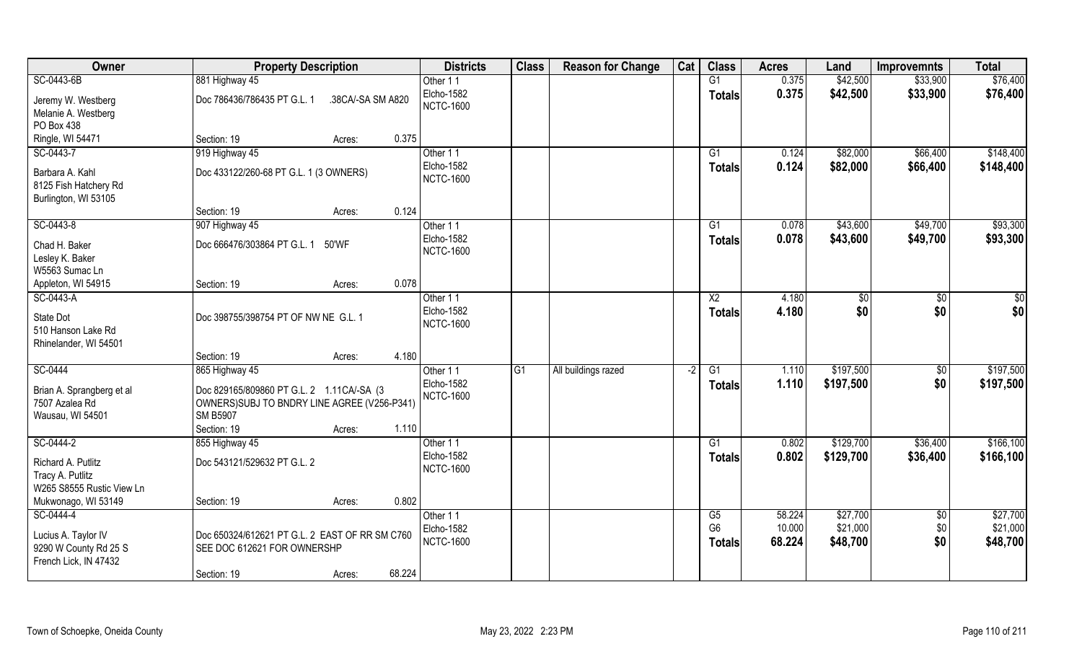| Owner                     | <b>Property Description</b>                    |                   | <b>Districts</b> | <b>Class</b>    | <b>Reason for Change</b> | Cat  | <b>Class</b>         | <b>Acres</b> | Land      | <b>Improvemnts</b> | <b>Total</b> |
|---------------------------|------------------------------------------------|-------------------|------------------|-----------------|--------------------------|------|----------------------|--------------|-----------|--------------------|--------------|
| SC-0443-6B                | 881 Highway 45                                 |                   | Other 11         |                 |                          |      | G1                   | 0.375        | \$42,500  | \$33,900           | \$76,400     |
| Jeremy W. Westberg        | Doc 786436/786435 PT G.L. 1                    | .38CA/-SA SM A820 | Elcho-1582       |                 |                          |      | <b>Totals</b>        | 0.375        | \$42,500  | \$33,900           | \$76,400     |
| Melanie A. Westberg       |                                                |                   | <b>NCTC-1600</b> |                 |                          |      |                      |              |           |                    |              |
| PO Box 438                |                                                |                   |                  |                 |                          |      |                      |              |           |                    |              |
| Ringle, WI 54471          | Section: 19                                    | Acres:            | 0.375            |                 |                          |      |                      |              |           |                    |              |
| SC-0443-7                 | 919 Highway 45                                 |                   | Other 11         |                 |                          |      | G1                   | 0.124        | \$82,000  | \$66,400           | \$148,400    |
|                           |                                                |                   | Elcho-1582       |                 |                          |      | Totals               | 0.124        | \$82,000  | \$66,400           | \$148,400    |
| Barbara A. Kahl           | Doc 433122/260-68 PT G.L. 1 (3 OWNERS)         |                   | <b>NCTC-1600</b> |                 |                          |      |                      |              |           |                    |              |
| 8125 Fish Hatchery Rd     |                                                |                   |                  |                 |                          |      |                      |              |           |                    |              |
| Burlington, WI 53105      |                                                |                   |                  |                 |                          |      |                      |              |           |                    |              |
|                           | Section: 19                                    | Acres:            | 0.124            |                 |                          |      |                      |              |           |                    |              |
| SC-0443-8                 | 907 Highway 45                                 |                   | Other 11         |                 |                          |      | G1                   | 0.078        | \$43,600  | \$49,700           | \$93,300     |
| Chad H. Baker             | Doc 666476/303864 PT G.L. 1                    | 50'WF             | Elcho-1582       |                 |                          |      | Totals               | 0.078        | \$43,600  | \$49,700           | \$93,300     |
| Lesley K. Baker           |                                                |                   | <b>NCTC-1600</b> |                 |                          |      |                      |              |           |                    |              |
| W5563 Sumac Ln            |                                                |                   |                  |                 |                          |      |                      |              |           |                    |              |
| Appleton, WI 54915        | Section: 19                                    | Acres:            | 0.078            |                 |                          |      |                      |              |           |                    |              |
| SC-0443-A                 |                                                |                   | Other 11         |                 |                          |      | X <sub>2</sub>       | 4.180        | $ $ \$0   | \$0                | \$0          |
|                           |                                                |                   | Elcho-1582       |                 |                          |      | <b>Totals</b>        | 4.180        | \$0       | \$0                | \$0          |
| State Dot                 | Doc 398755/398754 PT OF NW NE G.L. 1           |                   | <b>NCTC-1600</b> |                 |                          |      |                      |              |           |                    |              |
| 510 Hanson Lake Rd        |                                                |                   |                  |                 |                          |      |                      |              |           |                    |              |
| Rhinelander, WI 54501     |                                                |                   |                  |                 |                          |      |                      |              |           |                    |              |
|                           | Section: 19                                    | Acres:            | 4.180            |                 |                          |      |                      |              |           |                    |              |
| SC-0444                   | 865 Highway 45                                 |                   | Other 11         | $\overline{G1}$ | All buildings razed      | $-2$ | $\overline{G1}$      | 1.110        | \$197,500 | \$0                | \$197,500    |
| Brian A. Sprangberg et al | Doc 829165/809860 PT G.L. 2 1.11 CA/-SA (3     |                   | Elcho-1582       |                 |                          |      | Totals               | 1.110        | \$197,500 | \$0                | \$197,500    |
| 7507 Azalea Rd            | OWNERS) SUBJ TO BNDRY LINE AGREE (V256-P341)   |                   | <b>NCTC-1600</b> |                 |                          |      |                      |              |           |                    |              |
| Wausau, WI 54501          | <b>SM B5907</b>                                |                   |                  |                 |                          |      |                      |              |           |                    |              |
|                           | Section: 19                                    | Acres:            | 1.110            |                 |                          |      |                      |              |           |                    |              |
| SC-0444-2                 | 855 Highway 45                                 |                   | Other 11         |                 |                          |      | G1                   | 0.802        | \$129,700 | \$36,400           | \$166, 100   |
|                           |                                                |                   | Elcho-1582       |                 |                          |      | <b>Totals</b>        | 0.802        | \$129,700 | \$36,400           | \$166,100    |
| Richard A. Putlitz        | Doc 543121/529632 PT G.L. 2                    |                   | <b>NCTC-1600</b> |                 |                          |      |                      |              |           |                    |              |
| Tracy A. Putlitz          |                                                |                   |                  |                 |                          |      |                      |              |           |                    |              |
| W265 S8555 Rustic View Ln |                                                |                   |                  |                 |                          |      |                      |              |           |                    |              |
| Mukwonago, WI 53149       | Section: 19                                    | Acres:            | 0.802            |                 |                          |      |                      |              |           |                    |              |
| SC-0444-4                 |                                                |                   | Other 11         |                 |                          |      | G5<br>G <sub>6</sub> | 58.224       | \$27,700  | \$0                | \$27,700     |
| Lucius A. Taylor IV       | Doc 650324/612621 PT G.L. 2 EAST OF RR SM C760 |                   | Elcho-1582       |                 |                          |      |                      | 10.000       | \$21,000  | \$0                | \$21,000     |
| 9290 W County Rd 25 S     | SEE DOC 612621 FOR OWNERSHP                    |                   | <b>NCTC-1600</b> |                 |                          |      | <b>Totals</b>        | 68.224       | \$48,700  | \$0                | \$48,700     |
| French Lick, IN 47432     |                                                |                   |                  |                 |                          |      |                      |              |           |                    |              |
|                           | Section: 19                                    | Acres:            | 68.224           |                 |                          |      |                      |              |           |                    |              |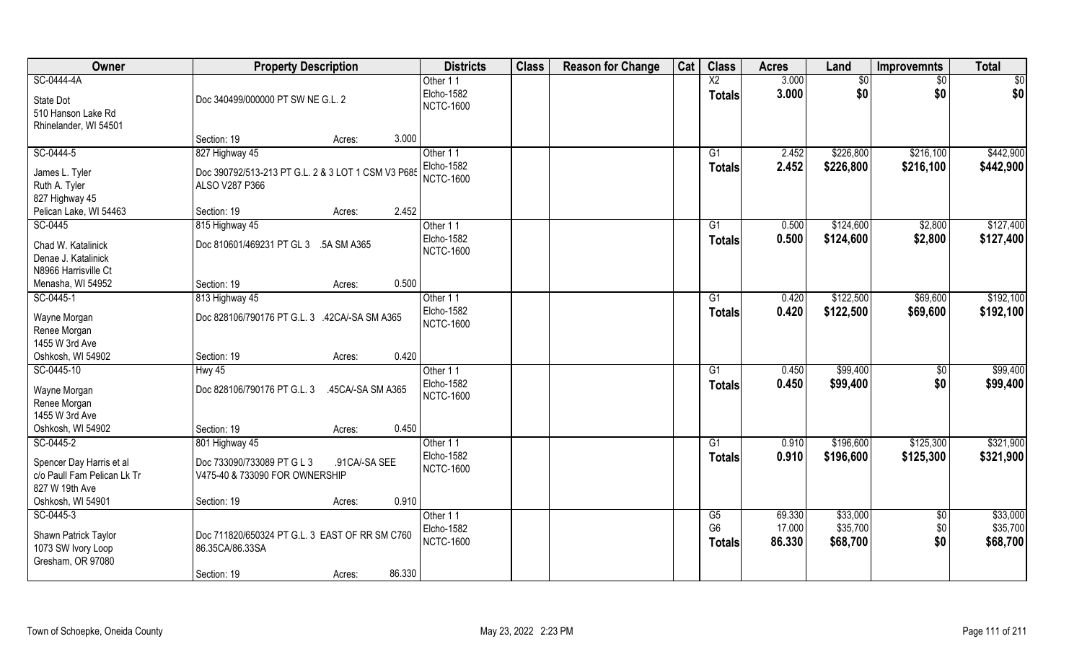| $\overline{X2}$<br>SC-0444-4A<br>3.000<br>\$0<br>Other 11<br>\$0<br>$\frac{1}{30}$<br>\$0<br>3.000<br>\$0<br>\$0<br>Elcho-1582<br><b>Totals</b><br>Doc 340499/000000 PT SW NE G.L. 2<br>State Dot<br><b>NCTC-1600</b><br>510 Hanson Lake Rd<br>Rhinelander, WI 54501<br>3.000<br>Section: 19<br>Acres:<br>SC-0444-5<br>827 Highway 45<br>Other 11<br>\$226,800<br>\$216,100<br>G1<br>2.452<br><b>Elcho-1582</b><br>2.452<br>\$226,800<br>\$216,100<br>Totals<br>James L. Tyler<br>Doc 390792/513-213 PT G.L. 2 & 3 LOT 1 CSM V3 P685<br><b>NCTC-1600</b><br>Ruth A. Tyler<br>ALSO V287 P366<br>827 Highway 45<br>2.452<br>Pelican Lake, WI 54463<br>Section: 19<br>Acres:<br>SC-0445<br>815 Highway 45<br>0.500<br>\$124,600<br>G1<br>\$2,800<br>Other 11<br><b>Elcho-1582</b><br>0.500<br>\$124,600<br>\$2,800<br>Totals<br>Doc 810601/469231 PT GL 3 .5A SM A365<br>Chad W. Katalinick<br><b>NCTC-1600</b><br>Denae J. Katalinick<br>N8966 Harrisville Ct<br>0.500<br>Menasha, WI 54952<br>Section: 19<br>Acres:<br>\$122,500<br>\$69,600<br>SC-0445-1<br>G1<br>0.420<br>813 Highway 45<br>Other 11<br>Elcho-1582<br>0.420<br>\$122,500<br>\$69,600<br><b>Totals</b><br>Doc 828106/790176 PT G.L. 3 .42CA/-SA SM A365<br>Wayne Morgan<br><b>NCTC-1600</b><br>Renee Morgan<br>1455 W 3rd Ave<br>Oshkosh, WI 54902<br>Section: 19<br>0.420<br>Acres:<br>\$99,400<br>SC-0445-10<br>$\overline{G1}$<br>0.450<br>$\overline{50}$<br>$HwV$ 45<br>Other 11<br>\$0<br>Elcho-1582<br>0.450<br>\$99,400<br><b>Totals</b><br>Doc 828106/790176 PT G.L. 3<br>Wayne Morgan<br>.45CA/-SA SM A365<br><b>NCTC-1600</b><br>Renee Morgan<br>1455 W 3rd Ave<br>0.450<br>Oshkosh, WI 54902<br>Section: 19<br>Acres:<br>SC-0445-2<br>G1<br>0.910<br>\$196,600<br>\$125,300<br>Other 11<br>801 Highway 45<br>Elcho-1582<br>0.910<br>\$196,600<br>\$125,300<br><b>Totals</b><br>Spencer Day Harris et al<br>Doc 733090/733089 PT G L 3<br>.91 CA/-SA SEE<br><b>NCTC-1600</b><br>c/o Paull Fam Pelican Lk Tr<br>V475-40 & 733090 FOR OWNERSHIP<br>827 W 19th Ave<br>Oshkosh, WI 54901<br>0.910<br>Section: 19<br>Acres:<br>\$33,000<br>SC-0445-3<br>Other 11<br>G5<br>69.330<br>\$0 | Owner | <b>Property Description</b> | <b>Districts</b> | <b>Class</b> | <b>Reason for Change</b> | Cat | <b>Class</b>   | <b>Acres</b> | Land     | <b>Improvemnts</b> | <b>Total</b> |
|---------------------------------------------------------------------------------------------------------------------------------------------------------------------------------------------------------------------------------------------------------------------------------------------------------------------------------------------------------------------------------------------------------------------------------------------------------------------------------------------------------------------------------------------------------------------------------------------------------------------------------------------------------------------------------------------------------------------------------------------------------------------------------------------------------------------------------------------------------------------------------------------------------------------------------------------------------------------------------------------------------------------------------------------------------------------------------------------------------------------------------------------------------------------------------------------------------------------------------------------------------------------------------------------------------------------------------------------------------------------------------------------------------------------------------------------------------------------------------------------------------------------------------------------------------------------------------------------------------------------------------------------------------------------------------------------------------------------------------------------------------------------------------------------------------------------------------------------------------------------------------------------------------------------------------------------------------------------------------------------------------------------------------------------------------------------------------------------------------------------------------------------------------------|-------|-----------------------------|------------------|--------------|--------------------------|-----|----------------|--------------|----------|--------------------|--------------|
|                                                                                                                                                                                                                                                                                                                                                                                                                                                                                                                                                                                                                                                                                                                                                                                                                                                                                                                                                                                                                                                                                                                                                                                                                                                                                                                                                                                                                                                                                                                                                                                                                                                                                                                                                                                                                                                                                                                                                                                                                                                                                                                                                               |       |                             |                  |              |                          |     |                |              |          |                    |              |
|                                                                                                                                                                                                                                                                                                                                                                                                                                                                                                                                                                                                                                                                                                                                                                                                                                                                                                                                                                                                                                                                                                                                                                                                                                                                                                                                                                                                                                                                                                                                                                                                                                                                                                                                                                                                                                                                                                                                                                                                                                                                                                                                                               |       |                             |                  |              |                          |     |                |              |          |                    |              |
|                                                                                                                                                                                                                                                                                                                                                                                                                                                                                                                                                                                                                                                                                                                                                                                                                                                                                                                                                                                                                                                                                                                                                                                                                                                                                                                                                                                                                                                                                                                                                                                                                                                                                                                                                                                                                                                                                                                                                                                                                                                                                                                                                               |       |                             |                  |              |                          |     |                |              |          |                    |              |
|                                                                                                                                                                                                                                                                                                                                                                                                                                                                                                                                                                                                                                                                                                                                                                                                                                                                                                                                                                                                                                                                                                                                                                                                                                                                                                                                                                                                                                                                                                                                                                                                                                                                                                                                                                                                                                                                                                                                                                                                                                                                                                                                                               |       |                             |                  |              |                          |     |                |              |          |                    |              |
|                                                                                                                                                                                                                                                                                                                                                                                                                                                                                                                                                                                                                                                                                                                                                                                                                                                                                                                                                                                                                                                                                                                                                                                                                                                                                                                                                                                                                                                                                                                                                                                                                                                                                                                                                                                                                                                                                                                                                                                                                                                                                                                                                               |       |                             |                  |              |                          |     |                |              |          |                    |              |
| \$442,900<br>\$127,400<br>\$127,400<br>\$192,100<br>\$192,100<br>\$99,400<br>\$99,400<br>\$321,900<br>\$321,900<br>\$33,000                                                                                                                                                                                                                                                                                                                                                                                                                                                                                                                                                                                                                                                                                                                                                                                                                                                                                                                                                                                                                                                                                                                                                                                                                                                                                                                                                                                                                                                                                                                                                                                                                                                                                                                                                                                                                                                                                                                                                                                                                                   |       |                             |                  |              |                          |     |                |              |          |                    | \$442,900    |
|                                                                                                                                                                                                                                                                                                                                                                                                                                                                                                                                                                                                                                                                                                                                                                                                                                                                                                                                                                                                                                                                                                                                                                                                                                                                                                                                                                                                                                                                                                                                                                                                                                                                                                                                                                                                                                                                                                                                                                                                                                                                                                                                                               |       |                             |                  |              |                          |     |                |              |          |                    |              |
|                                                                                                                                                                                                                                                                                                                                                                                                                                                                                                                                                                                                                                                                                                                                                                                                                                                                                                                                                                                                                                                                                                                                                                                                                                                                                                                                                                                                                                                                                                                                                                                                                                                                                                                                                                                                                                                                                                                                                                                                                                                                                                                                                               |       |                             |                  |              |                          |     |                |              |          |                    |              |
|                                                                                                                                                                                                                                                                                                                                                                                                                                                                                                                                                                                                                                                                                                                                                                                                                                                                                                                                                                                                                                                                                                                                                                                                                                                                                                                                                                                                                                                                                                                                                                                                                                                                                                                                                                                                                                                                                                                                                                                                                                                                                                                                                               |       |                             |                  |              |                          |     |                |              |          |                    |              |
|                                                                                                                                                                                                                                                                                                                                                                                                                                                                                                                                                                                                                                                                                                                                                                                                                                                                                                                                                                                                                                                                                                                                                                                                                                                                                                                                                                                                                                                                                                                                                                                                                                                                                                                                                                                                                                                                                                                                                                                                                                                                                                                                                               |       |                             |                  |              |                          |     |                |              |          |                    |              |
|                                                                                                                                                                                                                                                                                                                                                                                                                                                                                                                                                                                                                                                                                                                                                                                                                                                                                                                                                                                                                                                                                                                                                                                                                                                                                                                                                                                                                                                                                                                                                                                                                                                                                                                                                                                                                                                                                                                                                                                                                                                                                                                                                               |       |                             |                  |              |                          |     |                |              |          |                    |              |
|                                                                                                                                                                                                                                                                                                                                                                                                                                                                                                                                                                                                                                                                                                                                                                                                                                                                                                                                                                                                                                                                                                                                                                                                                                                                                                                                                                                                                                                                                                                                                                                                                                                                                                                                                                                                                                                                                                                                                                                                                                                                                                                                                               |       |                             |                  |              |                          |     |                |              |          |                    |              |
|                                                                                                                                                                                                                                                                                                                                                                                                                                                                                                                                                                                                                                                                                                                                                                                                                                                                                                                                                                                                                                                                                                                                                                                                                                                                                                                                                                                                                                                                                                                                                                                                                                                                                                                                                                                                                                                                                                                                                                                                                                                                                                                                                               |       |                             |                  |              |                          |     |                |              |          |                    |              |
|                                                                                                                                                                                                                                                                                                                                                                                                                                                                                                                                                                                                                                                                                                                                                                                                                                                                                                                                                                                                                                                                                                                                                                                                                                                                                                                                                                                                                                                                                                                                                                                                                                                                                                                                                                                                                                                                                                                                                                                                                                                                                                                                                               |       |                             |                  |              |                          |     |                |              |          |                    |              |
|                                                                                                                                                                                                                                                                                                                                                                                                                                                                                                                                                                                                                                                                                                                                                                                                                                                                                                                                                                                                                                                                                                                                                                                                                                                                                                                                                                                                                                                                                                                                                                                                                                                                                                                                                                                                                                                                                                                                                                                                                                                                                                                                                               |       |                             |                  |              |                          |     |                |              |          |                    |              |
|                                                                                                                                                                                                                                                                                                                                                                                                                                                                                                                                                                                                                                                                                                                                                                                                                                                                                                                                                                                                                                                                                                                                                                                                                                                                                                                                                                                                                                                                                                                                                                                                                                                                                                                                                                                                                                                                                                                                                                                                                                                                                                                                                               |       |                             |                  |              |                          |     |                |              |          |                    |              |
|                                                                                                                                                                                                                                                                                                                                                                                                                                                                                                                                                                                                                                                                                                                                                                                                                                                                                                                                                                                                                                                                                                                                                                                                                                                                                                                                                                                                                                                                                                                                                                                                                                                                                                                                                                                                                                                                                                                                                                                                                                                                                                                                                               |       |                             |                  |              |                          |     |                |              |          |                    |              |
|                                                                                                                                                                                                                                                                                                                                                                                                                                                                                                                                                                                                                                                                                                                                                                                                                                                                                                                                                                                                                                                                                                                                                                                                                                                                                                                                                                                                                                                                                                                                                                                                                                                                                                                                                                                                                                                                                                                                                                                                                                                                                                                                                               |       |                             |                  |              |                          |     |                |              |          |                    |              |
|                                                                                                                                                                                                                                                                                                                                                                                                                                                                                                                                                                                                                                                                                                                                                                                                                                                                                                                                                                                                                                                                                                                                                                                                                                                                                                                                                                                                                                                                                                                                                                                                                                                                                                                                                                                                                                                                                                                                                                                                                                                                                                                                                               |       |                             |                  |              |                          |     |                |              |          |                    |              |
|                                                                                                                                                                                                                                                                                                                                                                                                                                                                                                                                                                                                                                                                                                                                                                                                                                                                                                                                                                                                                                                                                                                                                                                                                                                                                                                                                                                                                                                                                                                                                                                                                                                                                                                                                                                                                                                                                                                                                                                                                                                                                                                                                               |       |                             |                  |              |                          |     |                |              |          |                    |              |
|                                                                                                                                                                                                                                                                                                                                                                                                                                                                                                                                                                                                                                                                                                                                                                                                                                                                                                                                                                                                                                                                                                                                                                                                                                                                                                                                                                                                                                                                                                                                                                                                                                                                                                                                                                                                                                                                                                                                                                                                                                                                                                                                                               |       |                             |                  |              |                          |     |                |              |          |                    |              |
|                                                                                                                                                                                                                                                                                                                                                                                                                                                                                                                                                                                                                                                                                                                                                                                                                                                                                                                                                                                                                                                                                                                                                                                                                                                                                                                                                                                                                                                                                                                                                                                                                                                                                                                                                                                                                                                                                                                                                                                                                                                                                                                                                               |       |                             |                  |              |                          |     |                |              |          |                    |              |
|                                                                                                                                                                                                                                                                                                                                                                                                                                                                                                                                                                                                                                                                                                                                                                                                                                                                                                                                                                                                                                                                                                                                                                                                                                                                                                                                                                                                                                                                                                                                                                                                                                                                                                                                                                                                                                                                                                                                                                                                                                                                                                                                                               |       |                             |                  |              |                          |     |                |              |          |                    |              |
|                                                                                                                                                                                                                                                                                                                                                                                                                                                                                                                                                                                                                                                                                                                                                                                                                                                                                                                                                                                                                                                                                                                                                                                                                                                                                                                                                                                                                                                                                                                                                                                                                                                                                                                                                                                                                                                                                                                                                                                                                                                                                                                                                               |       |                             |                  |              |                          |     |                |              |          |                    |              |
|                                                                                                                                                                                                                                                                                                                                                                                                                                                                                                                                                                                                                                                                                                                                                                                                                                                                                                                                                                                                                                                                                                                                                                                                                                                                                                                                                                                                                                                                                                                                                                                                                                                                                                                                                                                                                                                                                                                                                                                                                                                                                                                                                               |       |                             |                  |              |                          |     |                |              |          |                    |              |
|                                                                                                                                                                                                                                                                                                                                                                                                                                                                                                                                                                                                                                                                                                                                                                                                                                                                                                                                                                                                                                                                                                                                                                                                                                                                                                                                                                                                                                                                                                                                                                                                                                                                                                                                                                                                                                                                                                                                                                                                                                                                                                                                                               |       |                             |                  |              |                          |     |                |              |          |                    |              |
|                                                                                                                                                                                                                                                                                                                                                                                                                                                                                                                                                                                                                                                                                                                                                                                                                                                                                                                                                                                                                                                                                                                                                                                                                                                                                                                                                                                                                                                                                                                                                                                                                                                                                                                                                                                                                                                                                                                                                                                                                                                                                                                                                               |       |                             |                  |              |                          |     |                |              |          |                    |              |
|                                                                                                                                                                                                                                                                                                                                                                                                                                                                                                                                                                                                                                                                                                                                                                                                                                                                                                                                                                                                                                                                                                                                                                                                                                                                                                                                                                                                                                                                                                                                                                                                                                                                                                                                                                                                                                                                                                                                                                                                                                                                                                                                                               |       |                             |                  |              |                          |     |                |              |          |                    |              |
|                                                                                                                                                                                                                                                                                                                                                                                                                                                                                                                                                                                                                                                                                                                                                                                                                                                                                                                                                                                                                                                                                                                                                                                                                                                                                                                                                                                                                                                                                                                                                                                                                                                                                                                                                                                                                                                                                                                                                                                                                                                                                                                                                               |       |                             |                  |              |                          |     |                |              |          |                    |              |
|                                                                                                                                                                                                                                                                                                                                                                                                                                                                                                                                                                                                                                                                                                                                                                                                                                                                                                                                                                                                                                                                                                                                                                                                                                                                                                                                                                                                                                                                                                                                                                                                                                                                                                                                                                                                                                                                                                                                                                                                                                                                                                                                                               |       |                             |                  |              |                          |     |                |              |          |                    |              |
|                                                                                                                                                                                                                                                                                                                                                                                                                                                                                                                                                                                                                                                                                                                                                                                                                                                                                                                                                                                                                                                                                                                                                                                                                                                                                                                                                                                                                                                                                                                                                                                                                                                                                                                                                                                                                                                                                                                                                                                                                                                                                                                                                               |       |                             |                  |              |                          |     |                |              |          |                    |              |
|                                                                                                                                                                                                                                                                                                                                                                                                                                                                                                                                                                                                                                                                                                                                                                                                                                                                                                                                                                                                                                                                                                                                                                                                                                                                                                                                                                                                                                                                                                                                                                                                                                                                                                                                                                                                                                                                                                                                                                                                                                                                                                                                                               |       |                             |                  |              |                          |     |                |              |          |                    |              |
|                                                                                                                                                                                                                                                                                                                                                                                                                                                                                                                                                                                                                                                                                                                                                                                                                                                                                                                                                                                                                                                                                                                                                                                                                                                                                                                                                                                                                                                                                                                                                                                                                                                                                                                                                                                                                                                                                                                                                                                                                                                                                                                                                               |       |                             |                  |              |                          |     |                |              |          |                    |              |
| Doc 711820/650324 PT G.L. 3 EAST OF RR SM C760<br>Shawn Patrick Taylor                                                                                                                                                                                                                                                                                                                                                                                                                                                                                                                                                                                                                                                                                                                                                                                                                                                                                                                                                                                                                                                                                                                                                                                                                                                                                                                                                                                                                                                                                                                                                                                                                                                                                                                                                                                                                                                                                                                                                                                                                                                                                        |       |                             | Elcho-1582       |              |                          |     | G <sub>6</sub> | 17.000       | \$35,700 | \$0                | \$35,700     |
| \$0<br><b>NCTC-1600</b><br>\$68,700<br>\$68,700<br>86.330<br><b>Totals</b><br>1073 SW Ivory Loop<br>86.35CA/86.33SA                                                                                                                                                                                                                                                                                                                                                                                                                                                                                                                                                                                                                                                                                                                                                                                                                                                                                                                                                                                                                                                                                                                                                                                                                                                                                                                                                                                                                                                                                                                                                                                                                                                                                                                                                                                                                                                                                                                                                                                                                                           |       |                             |                  |              |                          |     |                |              |          |                    |              |
| Gresham, OR 97080                                                                                                                                                                                                                                                                                                                                                                                                                                                                                                                                                                                                                                                                                                                                                                                                                                                                                                                                                                                                                                                                                                                                                                                                                                                                                                                                                                                                                                                                                                                                                                                                                                                                                                                                                                                                                                                                                                                                                                                                                                                                                                                                             |       |                             |                  |              |                          |     |                |              |          |                    |              |
| 86.330<br>Section: 19<br>Acres:                                                                                                                                                                                                                                                                                                                                                                                                                                                                                                                                                                                                                                                                                                                                                                                                                                                                                                                                                                                                                                                                                                                                                                                                                                                                                                                                                                                                                                                                                                                                                                                                                                                                                                                                                                                                                                                                                                                                                                                                                                                                                                                               |       |                             |                  |              |                          |     |                |              |          |                    |              |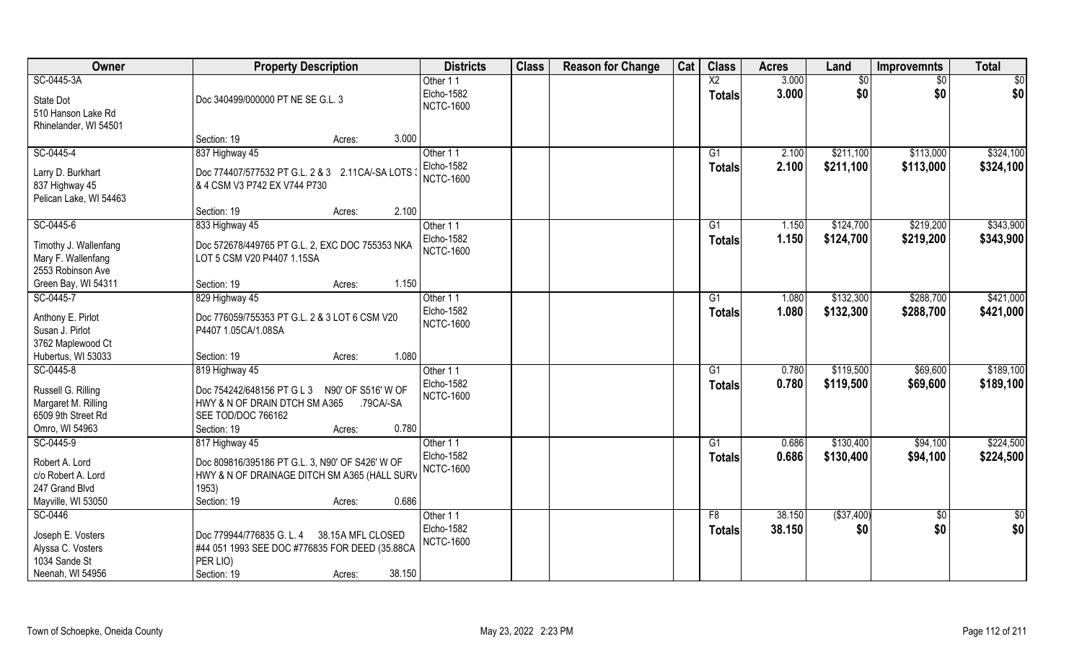| Owner                                                                             | <b>Property Description</b>                                                                                                                         | <b>Districts</b>               | <b>Class</b> | <b>Reason for Change</b> | Cat | <b>Class</b>    | <b>Acres</b> | Land        | <b>Improvemnts</b> | <b>Total</b>  |
|-----------------------------------------------------------------------------------|-----------------------------------------------------------------------------------------------------------------------------------------------------|--------------------------------|--------------|--------------------------|-----|-----------------|--------------|-------------|--------------------|---------------|
| SC-0445-3A                                                                        |                                                                                                                                                     | Other 11                       |              |                          |     | $\overline{X2}$ | 3.000        | \$0         | $\overline{50}$    | \$0           |
| State Dot<br>510 Hanson Lake Rd<br>Rhinelander, WI 54501                          | Doc 340499/000000 PT NE SE G.L. 3                                                                                                                   | Elcho-1582<br><b>NCTC-1600</b> |              |                          |     | <b>Totals</b>   | 3.000        | \$0         | \$0                | \$0           |
|                                                                                   | 3.000<br>Section: 19<br>Acres:                                                                                                                      |                                |              |                          |     |                 |              |             |                    |               |
| SC-0445-4                                                                         | 837 Highway 45                                                                                                                                      | Other 11                       |              |                          |     | G1              | 2.100        | \$211,100   | \$113,000          | \$324,100     |
| Larry D. Burkhart<br>837 Highway 45<br>Pelican Lake, WI 54463                     | Doc 774407/577532 PT G.L. 2 & 3 2.11CA/-SA LOTS :<br>& 4 CSM V3 P742 EX V744 P730                                                                   | Elcho-1582<br><b>NCTC-1600</b> |              |                          |     | Totals          | 2.100        | \$211,100   | \$113,000          | \$324,100     |
|                                                                                   | Section: 19<br>2.100<br>Acres:                                                                                                                      |                                |              |                          |     |                 |              |             |                    |               |
| SC-0445-6                                                                         | 833 Highway 45                                                                                                                                      | Other 11                       |              |                          |     | G1              | 1.150        | \$124,700   | \$219,200          | \$343,900     |
| Timothy J. Wallenfang<br>Mary F. Wallenfang<br>2553 Robinson Ave                  | Doc 572678/449765 PT G.L. 2, EXC DOC 755353 NKA<br>LOT 5 CSM V20 P4407 1.15SA                                                                       | Elcho-1582<br><b>NCTC-1600</b> |              |                          |     | <b>Totals</b>   | 1.150        | \$124,700   | \$219,200          | \$343,900     |
| Green Bay, WI 54311                                                               | 1.150<br>Section: 19<br>Acres:                                                                                                                      |                                |              |                          |     |                 |              |             |                    |               |
| SC-0445-7                                                                         | 829 Highway 45                                                                                                                                      | Other 11                       |              |                          |     | G1              | 1.080        | \$132,300   | \$288,700          | \$421,000     |
| Anthony E. Pirlot<br>Susan J. Pirlot<br>3762 Maplewood Ct                         | Doc 776059/755353 PT G.L. 2 & 3 LOT 6 CSM V20<br>P4407 1.05CA/1.08SA                                                                                | Elcho-1582<br><b>NCTC-1600</b> |              |                          |     | <b>Totals</b>   | 1.080        | \$132,300   | \$288,700          | \$421,000     |
| Hubertus, WI 53033                                                                | 1.080<br>Section: 19<br>Acres:                                                                                                                      |                                |              |                          |     |                 |              |             |                    |               |
| SC-0445-8                                                                         | 819 Highway 45                                                                                                                                      | Other 11                       |              |                          |     | G1              | 0.780        | \$119,500   | \$69,600           | \$189,100     |
| Russell G. Rilling<br>Margaret M. Rilling<br>6509 9th Street Rd<br>Omro, WI 54963 | Doc 754242/648156 PT G L 3 N90' OF S516' W OF<br>HWY & N OF DRAIN DTCH SM A365<br>.79CA/-SA<br>SEE TOD/DOC 766162<br>0.780<br>Section: 19<br>Acres: | Elcho-1582<br><b>NCTC-1600</b> |              |                          |     | Totals          | 0.780        | \$119,500   | \$69,600           | \$189,100     |
| SC-0445-9                                                                         | 817 Highway 45                                                                                                                                      | Other 11                       |              |                          |     | G1              | 0.686        | \$130,400   | \$94,100           | \$224,500     |
| Robert A. Lord<br>c/o Robert A. Lord<br>247 Grand Blvd<br>Mayville, WI 53050      | Doc 809816/395186 PT G.L. 3, N90' OF S426' W OF<br>HWY & N OF DRAINAGE DITCH SM A365 (HALL SURV<br>1953)<br>0.686<br>Section: 19<br>Acres:          | Elcho-1582<br><b>NCTC-1600</b> |              |                          |     | <b>Totals</b>   | 0.686        | \$130,400   | \$94,100           | \$224,500     |
| SC-0446                                                                           |                                                                                                                                                     | Other 11                       |              |                          |     | F8              | 38.150       | ( \$37,400) | $\sqrt{6}$         | $\frac{1}{6}$ |
| Joseph E. Vosters<br>Alyssa C. Vosters<br>1034 Sande St<br>Neenah, WI 54956       | Doc 779944/776835 G. L. 4<br>38.15A MFL CLOSED<br>#44 051 1993 SEE DOC #776835 FOR DEED (35.88CA<br>PER LIO)<br>38.150<br>Section: 19<br>Acres:     | Elcho-1582<br><b>NCTC-1600</b> |              |                          |     | <b>Totals</b>   | 38.150       | \$0         | \$0                | \$0           |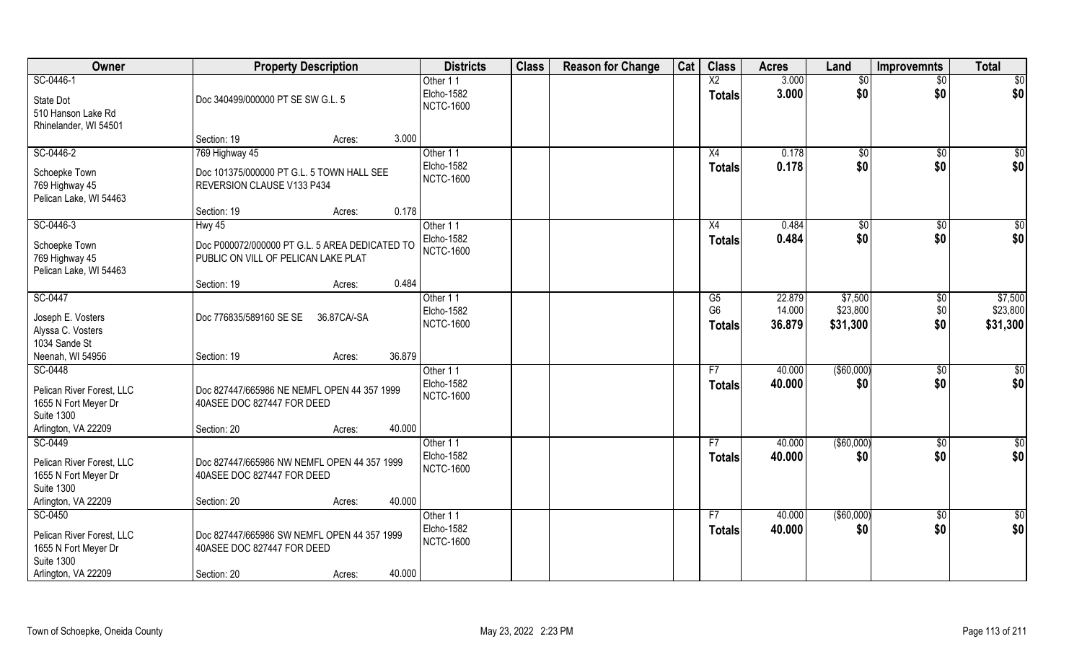| Owner                                                                             | <b>Property Description</b>                                                           | <b>Districts</b>                           | <b>Class</b> | <b>Reason for Change</b> | Cat | <b>Class</b>                    | <b>Acres</b>     | Land                 | <b>Improvemnts</b> | <b>Total</b>         |
|-----------------------------------------------------------------------------------|---------------------------------------------------------------------------------------|--------------------------------------------|--------------|--------------------------|-----|---------------------------------|------------------|----------------------|--------------------|----------------------|
| SC-0446-1                                                                         |                                                                                       | Other 11                                   |              |                          |     | $\overline{X2}$                 | 3.000            | $\overline{50}$      | \$0                | \$0                  |
| State Dot<br>510 Hanson Lake Rd                                                   | Doc 340499/000000 PT SE SW G.L. 5                                                     | Elcho-1582<br><b>NCTC-1600</b>             |              |                          |     | <b>Totals</b>                   | 3.000            | \$0                  | \$0                | \$0                  |
| Rhinelander, WI 54501                                                             | 3.000<br>Section: 19<br>Acres:                                                        |                                            |              |                          |     |                                 |                  |                      |                    |                      |
| SC-0446-2                                                                         | 769 Highway 45                                                                        | Other 11                                   |              |                          |     | X4                              | 0.178            | $\sqrt[6]{}$         | $\sqrt{$0}$        | \$0                  |
| Schoepke Town<br>769 Highway 45<br>Pelican Lake, WI 54463                         | Doc 101375/000000 PT G.L. 5 TOWN HALL SEE<br>REVERSION CLAUSE V133 P434               | Elcho-1582<br><b>NCTC-1600</b>             |              |                          |     | <b>Totals</b>                   | 0.178            | \$0                  | \$0                | \$0                  |
|                                                                                   | 0.178<br>Section: 19<br>Acres:                                                        |                                            |              |                          |     |                                 |                  |                      |                    |                      |
| SC-0446-3                                                                         | Hwy 45                                                                                | Other 11                                   |              |                          |     | X4                              | 0.484            | $\sqrt{6}$           | $\sqrt[6]{30}$     | \$0                  |
| Schoepke Town<br>769 Highway 45<br>Pelican Lake, WI 54463                         | Doc P000072/000000 PT G.L. 5 AREA DEDICATED TO<br>PUBLIC ON VILL OF PELICAN LAKE PLAT | Elcho-1582<br><b>NCTC-1600</b>             |              |                          |     | <b>Totals</b>                   | 0.484            | \$0                  | \$0                | \$0                  |
|                                                                                   | 0.484<br>Section: 19<br>Acres:                                                        |                                            |              |                          |     |                                 |                  |                      |                    |                      |
| SC-0447                                                                           |                                                                                       | Other 11                                   |              |                          |     | G5                              | 22.879           | \$7,500              | \$0                | \$7,500              |
| Joseph E. Vosters<br>Alyssa C. Vosters<br>1034 Sande St                           | Doc 776835/589160 SE SE<br>36.87CA/-SA                                                | Elcho-1582<br><b>NCTC-1600</b>             |              |                          |     | G <sub>6</sub><br><b>Totals</b> | 14.000<br>36.879 | \$23,800<br>\$31,300 | \$0<br>\$0         | \$23,800<br>\$31,300 |
| Neenah, WI 54956                                                                  | 36.879<br>Section: 19<br>Acres:                                                       |                                            |              |                          |     |                                 |                  |                      |                    |                      |
| SC-0448                                                                           |                                                                                       | Other 11                                   |              |                          |     | F7                              | 40.000           | $($ \$60,000)        | $\overline{60}$    | $\overline{50}$      |
| Pelican River Forest, LLC<br>1655 N Fort Meyer Dr<br><b>Suite 1300</b>            | Doc 827447/665986 NE NEMFL OPEN 44 357 1999<br>40ASEE DOC 827447 FOR DEED             | Elcho-1582<br><b>NCTC-1600</b>             |              |                          |     | <b>Totals</b>                   | 40.000           | \$0                  | \$0                | \$0                  |
| Arlington, VA 22209                                                               | 40.000<br>Section: 20<br>Acres:                                                       |                                            |              |                          |     |                                 |                  |                      |                    |                      |
| SC-0449                                                                           |                                                                                       | Other 11                                   |              |                          |     | F7                              | 40.000           | ( \$60,000)          | \$0                | \$0                  |
| Pelican River Forest, LLC<br>1655 N Fort Meyer Dr<br><b>Suite 1300</b>            | Doc 827447/665986 NW NEMFL OPEN 44 357 1999<br>40ASEE DOC 827447 FOR DEED             | Elcho-1582<br><b>NCTC-1600</b>             |              |                          |     | <b>Totals</b>                   | 40.000           | \$0                  | \$0                | \$0                  |
| Arlington, VA 22209                                                               | 40.000<br>Section: 20<br>Acres:                                                       |                                            |              |                          |     |                                 |                  |                      |                    |                      |
| SC-0450<br>Pelican River Forest, LLC<br>1655 N Fort Meyer Dr<br><b>Suite 1300</b> | Doc 827447/665986 SW NEMFL OPEN 44 357 1999<br>40ASEE DOC 827447 FOR DEED             | Other 11<br>Elcho-1582<br><b>NCTC-1600</b> |              |                          |     | F7<br><b>Totals</b>             | 40.000<br>40.000 | ( \$60,000)<br>\$0   | $\sqrt{$0}$<br>\$0 | \$0<br>\$0           |
| Arlington, VA 22209                                                               | 40.000<br>Section: 20<br>Acres:                                                       |                                            |              |                          |     |                                 |                  |                      |                    |                      |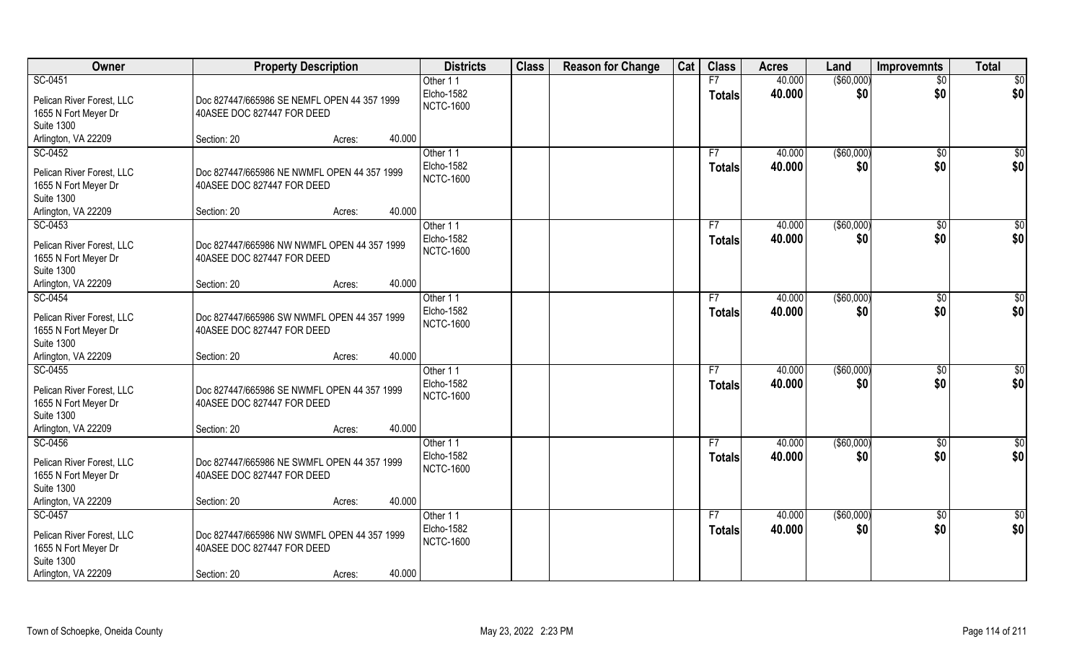| Owner                                     | <b>Property Description</b>                 |        |        | <b>Districts</b>               | <b>Class</b> | <b>Reason for Change</b> | Cat | <b>Class</b>  | <b>Acres</b> | Land        | Improvemnts     | <b>Total</b>         |
|-------------------------------------------|---------------------------------------------|--------|--------|--------------------------------|--------------|--------------------------|-----|---------------|--------------|-------------|-----------------|----------------------|
| SC-0451                                   |                                             |        |        | Other 11                       |              |                          |     | F7            | 40.000       | ( \$60,000) | $\overline{50}$ | \$0                  |
| Pelican River Forest, LLC                 | Doc 827447/665986 SE NEMFL OPEN 44 357 1999 |        |        | Elcho-1582<br><b>NCTC-1600</b> |              |                          |     | <b>Totals</b> | 40.000       | \$0         | \$0             | \$0                  |
| 1655 N Fort Meyer Dr<br><b>Suite 1300</b> | 40ASEE DOC 827447 FOR DEED                  |        |        |                                |              |                          |     |               |              |             |                 |                      |
| Arlington, VA 22209                       | Section: 20                                 | Acres: | 40.000 |                                |              |                          |     |               |              |             |                 |                      |
| SC-0452                                   |                                             |        |        | Other 11                       |              |                          |     | F7            | 40.000       | ( \$60,000) | \$0             | \$0                  |
|                                           |                                             |        |        | Elcho-1582                     |              |                          |     |               | 40.000       | \$0         | \$0             | \$0                  |
| Pelican River Forest, LLC                 | Doc 827447/665986 NE NWMFL OPEN 44 357 1999 |        |        | <b>NCTC-1600</b>               |              |                          |     | <b>Totals</b> |              |             |                 |                      |
| 1655 N Fort Meyer Dr                      | 40ASEE DOC 827447 FOR DEED                  |        |        |                                |              |                          |     |               |              |             |                 |                      |
| <b>Suite 1300</b>                         |                                             |        |        |                                |              |                          |     |               |              |             |                 |                      |
| Arlington, VA 22209                       | Section: 20                                 | Acres: | 40.000 |                                |              |                          |     |               |              |             |                 |                      |
| SC-0453                                   |                                             |        |        | Other 11                       |              |                          |     | F7            | 40.000       | ( \$60,000) | \$0             | \$0                  |
| Pelican River Forest, LLC                 | Doc 827447/665986 NW NWMFL OPEN 44 357 1999 |        |        | Elcho-1582                     |              |                          |     | <b>Totals</b> | 40.000       | \$0         | \$0             | \$0                  |
| 1655 N Fort Meyer Dr                      | 40ASEE DOC 827447 FOR DEED                  |        |        | <b>NCTC-1600</b>               |              |                          |     |               |              |             |                 |                      |
| <b>Suite 1300</b>                         |                                             |        |        |                                |              |                          |     |               |              |             |                 |                      |
| Arlington, VA 22209                       | Section: 20                                 | Acres: | 40.000 |                                |              |                          |     |               |              |             |                 |                      |
| SC-0454                                   |                                             |        |        | Other 11                       |              |                          |     | F7            | 40.000       | ( \$60,000) | $\sqrt[6]{3}$   | \$0                  |
| Pelican River Forest, LLC                 | Doc 827447/665986 SW NWMFL OPEN 44 357 1999 |        |        | Elcho-1582                     |              |                          |     | <b>Totals</b> | 40.000       | \$0         | \$0             | \$0                  |
| 1655 N Fort Meyer Dr                      | 40ASEE DOC 827447 FOR DEED                  |        |        | <b>NCTC-1600</b>               |              |                          |     |               |              |             |                 |                      |
| <b>Suite 1300</b>                         |                                             |        |        |                                |              |                          |     |               |              |             |                 |                      |
| Arlington, VA 22209                       | Section: 20                                 | Acres: | 40.000 |                                |              |                          |     |               |              |             |                 |                      |
| SC-0455                                   |                                             |        |        | Other 11                       |              |                          |     | F7            | 40.000       | ( \$60,000) | $\sqrt[6]{30}$  | \$0                  |
|                                           |                                             |        |        | Elcho-1582                     |              |                          |     | <b>Totals</b> | 40.000       | \$0         | \$0             | \$0                  |
| Pelican River Forest, LLC                 | Doc 827447/665986 SE NWMFL OPEN 44 357 1999 |        |        | <b>NCTC-1600</b>               |              |                          |     |               |              |             |                 |                      |
| 1655 N Fort Meyer Dr                      | 40ASEE DOC 827447 FOR DEED                  |        |        |                                |              |                          |     |               |              |             |                 |                      |
| <b>Suite 1300</b><br>Arlington, VA 22209  | Section: 20                                 |        | 40.000 |                                |              |                          |     |               |              |             |                 |                      |
| SC-0456                                   |                                             | Acres: |        | Other 11                       |              |                          |     | F7            | 40.000       | ( \$60,000) |                 |                      |
|                                           |                                             |        |        | Elcho-1582                     |              |                          |     |               | 40.000       | \$0         | \$0<br>\$0      | $\frac{6}{3}$<br>\$0 |
| Pelican River Forest, LLC                 | Doc 827447/665986 NE SWMFL OPEN 44 357 1999 |        |        | <b>NCTC-1600</b>               |              |                          |     | <b>Totals</b> |              |             |                 |                      |
| 1655 N Fort Meyer Dr                      | 40ASEE DOC 827447 FOR DEED                  |        |        |                                |              |                          |     |               |              |             |                 |                      |
| <b>Suite 1300</b>                         |                                             |        |        |                                |              |                          |     |               |              |             |                 |                      |
| Arlington, VA 22209                       | Section: 20                                 | Acres: | 40.000 |                                |              |                          |     |               |              |             |                 |                      |
| SC-0457                                   |                                             |        |        | Other 11                       |              |                          |     | F7            | 40.000       | ( \$60,000) | $\sqrt[6]{}$    | \$0                  |
| Pelican River Forest, LLC                 | Doc 827447/665986 NW SWMFL OPEN 44 357 1999 |        |        | Elcho-1582                     |              |                          |     | <b>Totals</b> | 40.000       | \$0         | \$0             | \$0                  |
| 1655 N Fort Meyer Dr                      | 40ASEE DOC 827447 FOR DEED                  |        |        | <b>NCTC-1600</b>               |              |                          |     |               |              |             |                 |                      |
| <b>Suite 1300</b>                         |                                             |        |        |                                |              |                          |     |               |              |             |                 |                      |
| Arlington, VA 22209                       | Section: 20                                 | Acres: | 40.000 |                                |              |                          |     |               |              |             |                 |                      |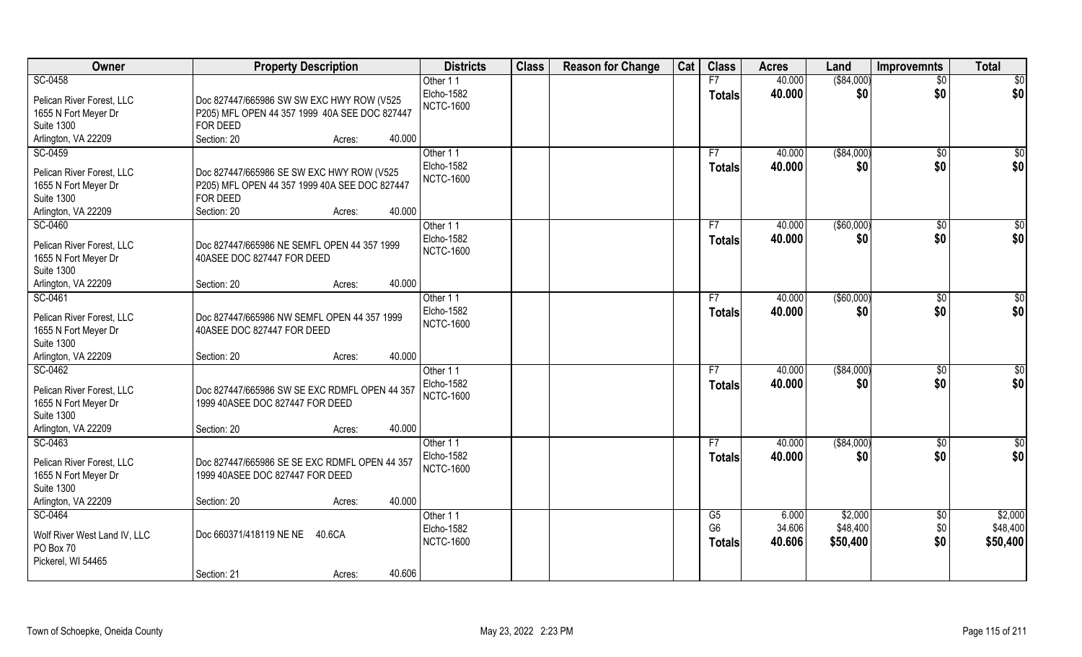| Owner                                             | <b>Property Description</b>                                                      | <b>Districts</b>  | <b>Class</b> | <b>Reason for Change</b> | Cat | <b>Class</b>    | <b>Acres</b> | Land          | <b>Improvemnts</b> | <b>Total</b>    |
|---------------------------------------------------|----------------------------------------------------------------------------------|-------------------|--------------|--------------------------|-----|-----------------|--------------|---------------|--------------------|-----------------|
| SC-0458                                           |                                                                                  | Other 11          |              |                          |     | F7              | 40.000       | ( \$84,000)   | $\overline{50}$    | $\overline{50}$ |
| Pelican River Forest, LLC                         | Doc 827447/665986 SW SW EXC HWY ROW (V525                                        | Elcho-1582        |              |                          |     | <b>Totals</b>   | 40.000       | \$0           | \$0                | \$0             |
| 1655 N Fort Meyer Dr                              | P205) MFL OPEN 44 357 1999 40A SEE DOC 827447                                    | <b>NCTC-1600</b>  |              |                          |     |                 |              |               |                    |                 |
| <b>Suite 1300</b>                                 | FOR DEED                                                                         |                   |              |                          |     |                 |              |               |                    |                 |
| Arlington, VA 22209                               | Section: 20<br>40.000<br>Acres:                                                  |                   |              |                          |     |                 |              |               |                    |                 |
| SC-0459                                           |                                                                                  | Other 11          |              |                          |     | F7              | 40.000       | ( \$84,000)   | $\overline{50}$    | $\sqrt{50}$     |
| Pelican River Forest, LLC                         | Doc 827447/665986 SE SW EXC HWY ROW (V525                                        | Elcho-1582        |              |                          |     | <b>Totals</b>   | 40.000       | \$0           | \$0                | \$0             |
| 1655 N Fort Meyer Dr                              | P205) MFL OPEN 44 357 1999 40A SEE DOC 827447                                    | <b>NCTC-1600</b>  |              |                          |     |                 |              |               |                    |                 |
| <b>Suite 1300</b>                                 | FOR DEED                                                                         |                   |              |                          |     |                 |              |               |                    |                 |
| Arlington, VA 22209                               | Section: 20<br>40.000<br>Acres:                                                  |                   |              |                          |     |                 |              |               |                    |                 |
| SC-0460                                           |                                                                                  | Other 11          |              |                          |     | F7              | 40.000       | $($ \$60,000) | $\sqrt[6]{30}$     | \$0             |
| Pelican River Forest, LLC                         | Doc 827447/665986 NE SEMFL OPEN 44 357 1999                                      | Elcho-1582        |              |                          |     | <b>Totals</b>   | 40.000       | \$0           | \$0                | \$0             |
| 1655 N Fort Meyer Dr                              | 40ASEE DOC 827447 FOR DEED                                                       | <b>NCTC-1600</b>  |              |                          |     |                 |              |               |                    |                 |
| <b>Suite 1300</b>                                 |                                                                                  |                   |              |                          |     |                 |              |               |                    |                 |
| Arlington, VA 22209                               | 40.000<br>Section: 20<br>Acres:                                                  |                   |              |                          |     |                 |              |               |                    |                 |
| SC-0461                                           |                                                                                  | Other 11          |              |                          |     | F7              | 40.000       | $($ \$60,000) | $\sqrt[6]{3}$      | \$0             |
|                                                   |                                                                                  | Elcho-1582        |              |                          |     | <b>Totals</b>   | 40.000       | \$0           | \$0                | \$0             |
| Pelican River Forest, LLC<br>1655 N Fort Meyer Dr | Doc 827447/665986 NW SEMFL OPEN 44 357 1999<br>40ASEE DOC 827447 FOR DEED        | <b>NCTC-1600</b>  |              |                          |     |                 |              |               |                    |                 |
| <b>Suite 1300</b>                                 |                                                                                  |                   |              |                          |     |                 |              |               |                    |                 |
| Arlington, VA 22209                               | 40.000<br>Section: 20<br>Acres:                                                  |                   |              |                          |     |                 |              |               |                    |                 |
| SC-0462                                           |                                                                                  | Other 11          |              |                          |     | F7              | 40.000       | ( \$84,000)   | $\sqrt[6]{30}$     | \$0             |
|                                                   |                                                                                  | <b>Elcho-1582</b> |              |                          |     | <b>Totals</b>   | 40.000       | \$0           | \$0                | \$0             |
| Pelican River Forest, LLC                         | Doc 827447/665986 SW SE EXC RDMFL OPEN 44 357<br>1999 40ASEE DOC 827447 FOR DEED | <b>NCTC-1600</b>  |              |                          |     |                 |              |               |                    |                 |
| 1655 N Fort Meyer Dr<br><b>Suite 1300</b>         |                                                                                  |                   |              |                          |     |                 |              |               |                    |                 |
| Arlington, VA 22209                               | 40.000<br>Section: 20<br>Acres:                                                  |                   |              |                          |     |                 |              |               |                    |                 |
| SC-0463                                           |                                                                                  | Other 11          |              |                          |     | F7              | 40.000       | ( \$84,000)   | \$0                | \$0             |
|                                                   |                                                                                  | <b>Elcho-1582</b> |              |                          |     | <b>Totals</b>   | 40.000       | \$0           | \$0                | \$0             |
| Pelican River Forest, LLC                         | Doc 827447/665986 SE SE EXC RDMFL OPEN 44 357                                    | <b>NCTC-1600</b>  |              |                          |     |                 |              |               |                    |                 |
| 1655 N Fort Meyer Dr<br><b>Suite 1300</b>         | 1999 40ASEE DOC 827447 FOR DEED                                                  |                   |              |                          |     |                 |              |               |                    |                 |
| Arlington, VA 22209                               | 40.000<br>Section: 20<br>Acres:                                                  |                   |              |                          |     |                 |              |               |                    |                 |
| SC-0464                                           |                                                                                  | Other 11          |              |                          |     | $\overline{G5}$ | 6.000        | \$2,000       | $\overline{50}$    | \$2,000         |
|                                                   |                                                                                  | Elcho-1582        |              |                          |     | G <sub>6</sub>  | 34.606       | \$48,400      | \$0                | \$48,400        |
| Wolf River West Land IV, LLC                      | Doc 660371/418119 NE NE<br>40.6CA                                                | <b>NCTC-1600</b>  |              |                          |     | <b>Totals</b>   | 40.606       | \$50,400      | \$0                | \$50,400        |
| PO Box 70                                         |                                                                                  |                   |              |                          |     |                 |              |               |                    |                 |
| Pickerel, WI 54465                                |                                                                                  |                   |              |                          |     |                 |              |               |                    |                 |
|                                                   | 40.606<br>Section: 21<br>Acres:                                                  |                   |              |                          |     |                 |              |               |                    |                 |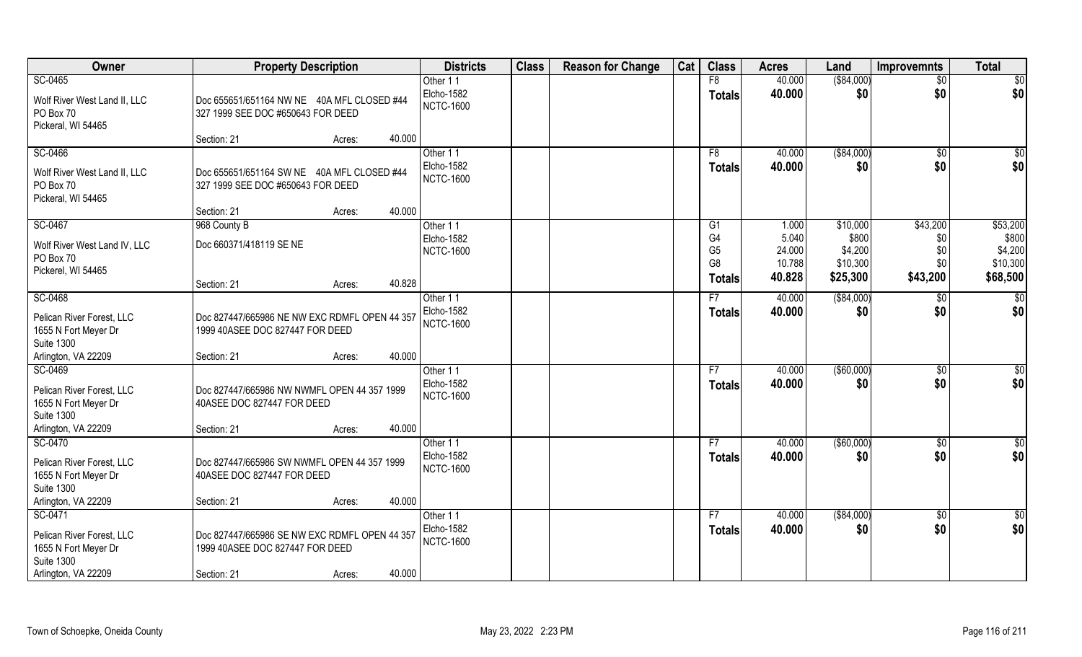| Owner                                                                                                    | <b>Property Description</b>                                                                                         | <b>Districts</b>                                  | <b>Class</b> | <b>Reason for Change</b> | Cat | <b>Class</b>                           | <b>Acres</b>              | Land                         | <b>Improvemnts</b> | <b>Total</b>                 |
|----------------------------------------------------------------------------------------------------------|---------------------------------------------------------------------------------------------------------------------|---------------------------------------------------|--------------|--------------------------|-----|----------------------------------------|---------------------------|------------------------------|--------------------|------------------------------|
| SC-0465                                                                                                  |                                                                                                                     | Other 11                                          |              |                          |     | F8                                     | 40.000                    | ( \$84,000)                  | $\overline{50}$    | \$0                          |
| Wolf River West Land II, LLC<br>PO Box 70<br>Pickeral, WI 54465                                          | Doc 655651/651164 NW NE 40A MFL CLOSED #44<br>327 1999 SEE DOC #650643 FOR DEED                                     | <b>Elcho-1582</b><br><b>NCTC-1600</b>             |              |                          |     | <b>Totals</b>                          | 40.000                    | \$0                          | \$0                | \$0                          |
|                                                                                                          | 40.000<br>Section: 21<br>Acres:                                                                                     |                                                   |              |                          |     |                                        |                           |                              |                    |                              |
| SC-0466<br>Wolf River West Land II, LLC<br>PO Box 70<br>Pickeral, WI 54465                               | Doc 655651/651164 SW NE 40A MFL CLOSED #44<br>327 1999 SEE DOC #650643 FOR DEED                                     | Other 11<br>Elcho-1582<br><b>NCTC-1600</b>        |              |                          |     | F8<br>Totals                           | 40.000<br>40.000          | ( \$84,000)<br>\$0           | \$0<br>\$0         | $\sqrt{50}$<br>\$0           |
|                                                                                                          | 40.000<br>Section: 21<br>Acres:                                                                                     |                                                   |              |                          |     |                                        |                           |                              |                    |                              |
| SC-0467                                                                                                  | 968 County B                                                                                                        | Other 11                                          |              |                          |     | G1                                     | 1.000                     | \$10,000                     | \$43,200           | \$53,200                     |
| Wolf River West Land IV, LLC<br>PO Box 70<br>Pickerel, WI 54465                                          | Doc 660371/418119 SE NE                                                                                             | Elcho-1582<br><b>NCTC-1600</b>                    |              |                          |     | G4<br>G <sub>5</sub><br>G <sub>8</sub> | 5.040<br>24.000<br>10.788 | \$800<br>\$4,200<br>\$10,300 | \$0<br>\$0<br>\$0  | \$800<br>\$4,200<br>\$10,300 |
|                                                                                                          | 40.828<br>Section: 21<br>Acres:                                                                                     |                                                   |              |                          |     | <b>Totals</b>                          | 40.828                    | \$25,300                     | \$43,200           | \$68,500                     |
| SC-0468<br>Pelican River Forest, LLC<br>1655 N Fort Meyer Dr<br><b>Suite 1300</b>                        | Doc 827447/665986 NE NW EXC RDMFL OPEN 44 357<br>1999 40ASEE DOC 827447 FOR DEED                                    | Other 11<br><b>Elcho-1582</b><br><b>NCTC-1600</b> |              |                          |     | F7<br><b>Totals</b>                    | 40.000<br>40.000          | ( \$84,000)<br>\$0           | \$0<br>\$0         | $\overline{50}$<br>\$0       |
| Arlington, VA 22209                                                                                      | 40.000<br>Section: 21<br>Acres:                                                                                     |                                                   |              |                          |     |                                        |                           |                              |                    |                              |
| SC-0469<br>Pelican River Forest, LLC<br>1655 N Fort Meyer Dr<br><b>Suite 1300</b>                        | Doc 827447/665986 NW NWMFL OPEN 44 357 1999<br>40ASEE DOC 827447 FOR DEED                                           | Other 11<br>Elcho-1582<br><b>NCTC-1600</b>        |              |                          |     | F7<br><b>Totals</b>                    | 40.000<br>40.000          | (\$60,000)<br>\$0            | \$0<br>\$0         | $\overline{50}$<br>\$0       |
| Arlington, VA 22209                                                                                      | 40.000<br>Section: 21<br>Acres:                                                                                     |                                                   |              |                          |     |                                        |                           |                              |                    |                              |
| SC-0470<br>Pelican River Forest, LLC<br>1655 N Fort Meyer Dr<br><b>Suite 1300</b>                        | Doc 827447/665986 SW NWMFL OPEN 44 357 1999<br>40ASEE DOC 827447 FOR DEED                                           | Other 11<br>Elcho-1582<br><b>NCTC-1600</b>        |              |                          |     | F7<br><b>Totals</b>                    | 40.000<br>40.000          | ( \$60,000)<br>\$0           | \$0<br>\$0         | \$0<br>\$0                   |
| Arlington, VA 22209                                                                                      | 40.000<br>Section: 21<br>Acres:                                                                                     |                                                   |              |                          |     |                                        |                           |                              |                    |                              |
| SC-0471<br>Pelican River Forest, LLC<br>1655 N Fort Meyer Dr<br><b>Suite 1300</b><br>Arlington, VA 22209 | Doc 827447/665986 SE NW EXC RDMFL OPEN 44 357<br>1999 40ASEE DOC 827447 FOR DEED<br>40.000<br>Section: 21<br>Acres: | Other 11<br><b>Elcho-1582</b><br><b>NCTC-1600</b> |              |                          |     | F7<br><b>Totals</b>                    | 40.000<br>40.000          | ( \$84,000)<br>\$0           | $\sqrt{$0}$<br>\$0 | \$0<br>\$0                   |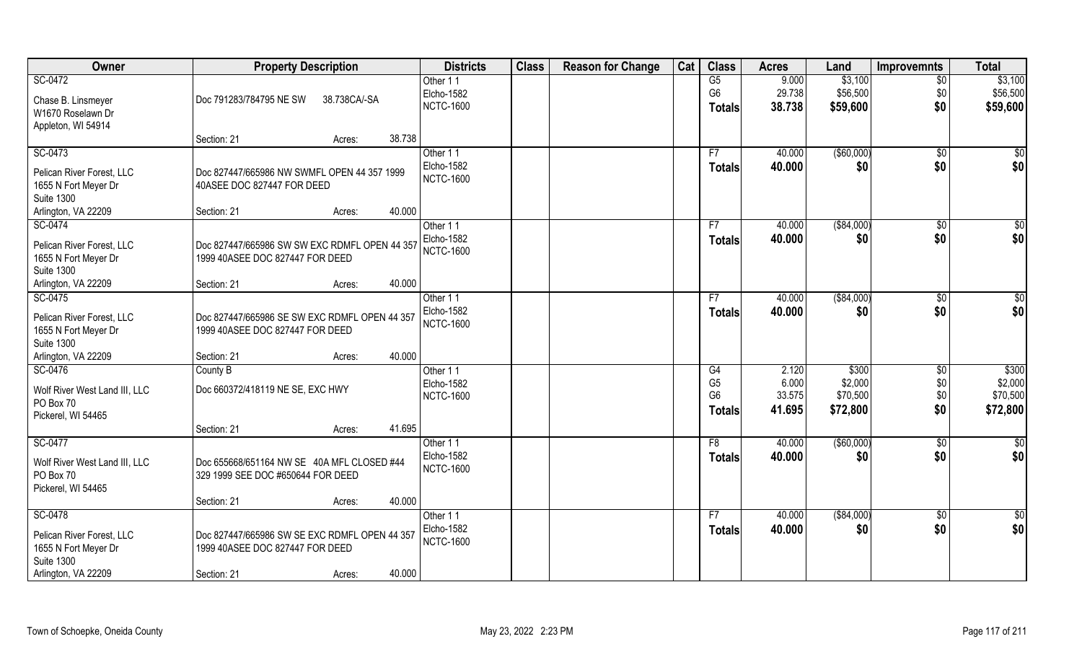| Owner                                      | <b>Property Description</b>                   |              |        | <b>Districts</b>              | <b>Class</b> | <b>Reason for Change</b> | Cat | <b>Class</b>   | <b>Acres</b> | Land        | <b>Improvemnts</b> | <b>Total</b>  |
|--------------------------------------------|-----------------------------------------------|--------------|--------|-------------------------------|--------------|--------------------------|-----|----------------|--------------|-------------|--------------------|---------------|
| SC-0472                                    |                                               |              |        | Other 11                      |              |                          |     | G5             | 9.000        | \$3,100     | \$0                | \$3,100       |
| Chase B. Linsmeyer                         | Doc 791283/784795 NE SW                       | 38.738CA/-SA |        | Elcho-1582                    |              |                          |     | G <sub>6</sub> | 29.738       | \$56,500    | \$0                | \$56,500      |
| W1670 Roselawn Dr                          |                                               |              |        | <b>NCTC-1600</b>              |              |                          |     | <b>Totals</b>  | 38.738       | \$59,600    | \$0                | \$59,600      |
| Appleton, WI 54914                         |                                               |              |        |                               |              |                          |     |                |              |             |                    |               |
|                                            | Section: 21                                   | Acres:       | 38.738 |                               |              |                          |     |                |              |             |                    |               |
| SC-0473                                    |                                               |              |        | Other 11                      |              |                          |     | F7             | 40.000       | ( \$60,000) | $\sqrt{$0}$        | \$0           |
| Pelican River Forest, LLC                  | Doc 827447/665986 NW SWMFL OPEN 44 357 1999   |              |        | Elcho-1582                    |              |                          |     | <b>Totals</b>  | 40.000       | \$0         | \$0                | \$0           |
| 1655 N Fort Meyer Dr                       | 40ASEE DOC 827447 FOR DEED                    |              |        | <b>NCTC-1600</b>              |              |                          |     |                |              |             |                    |               |
| <b>Suite 1300</b>                          |                                               |              |        |                               |              |                          |     |                |              |             |                    |               |
| Arlington, VA 22209                        | Section: 21                                   | Acres:       | 40.000 |                               |              |                          |     |                |              |             |                    |               |
| SC-0474                                    |                                               |              |        | Other 11                      |              |                          |     | F7             | 40.000       | ( \$84,000) | $\sqrt[6]{30}$     | \$0           |
|                                            |                                               |              |        | <b>Elcho-1582</b>             |              |                          |     | <b>Totals</b>  | 40.000       | \$0         | \$0                | \$0           |
| Pelican River Forest, LLC                  | Doc 827447/665986 SW SW EXC RDMFL OPEN 44 357 |              |        | <b>NCTC-1600</b>              |              |                          |     |                |              |             |                    |               |
| 1655 N Fort Meyer Dr                       | 1999 40ASEE DOC 827447 FOR DEED               |              |        |                               |              |                          |     |                |              |             |                    |               |
| <b>Suite 1300</b>                          |                                               |              |        |                               |              |                          |     |                |              |             |                    |               |
| Arlington, VA 22209                        | Section: 21                                   | Acres:       | 40.000 |                               |              |                          |     |                |              |             |                    |               |
| SC-0475                                    |                                               |              |        | Other 11<br><b>Elcho-1582</b> |              |                          |     | F7             | 40.000       | ( \$84,000) | $\sqrt[6]{3}$      | \$            |
| Pelican River Forest, LLC                  | Doc 827447/665986 SE SW EXC RDMFL OPEN 44 357 |              |        | <b>NCTC-1600</b>              |              |                          |     | <b>Totals</b>  | 40.000       | \$0         | \$0                | \$0           |
| 1655 N Fort Meyer Dr                       | 1999 40ASEE DOC 827447 FOR DEED               |              |        |                               |              |                          |     |                |              |             |                    |               |
| <b>Suite 1300</b>                          |                                               |              |        |                               |              |                          |     |                |              |             |                    |               |
| Arlington, VA 22209                        | Section: 21                                   | Acres:       | 40.000 |                               |              |                          |     |                |              |             |                    |               |
| SC-0476                                    | County B                                      |              |        | Other 11                      |              |                          |     | G4             | 2.120        | \$300       | $\overline{60}$    | \$300         |
| Wolf River West Land III, LLC              | Doc 660372/418119 NE SE, EXC HWY              |              |        | Elcho-1582                    |              |                          |     | G <sub>5</sub> | 6.000        | \$2,000     | \$0                | \$2,000       |
| PO Box 70                                  |                                               |              |        | <b>NCTC-1600</b>              |              |                          |     | G <sub>6</sub> | 33.575       | \$70,500    | \$0                | \$70,500      |
| Pickerel, WI 54465                         |                                               |              |        |                               |              |                          |     | <b>Totals</b>  | 41.695       | \$72,800    | \$0                | \$72,800      |
|                                            | Section: 21                                   | Acres:       | 41.695 |                               |              |                          |     |                |              |             |                    |               |
| SC-0477                                    |                                               |              |        | Other 11                      |              |                          |     | F8             | 40.000       | ( \$60,000) | \$0                | $\frac{6}{3}$ |
|                                            | Doc 655668/651164 NW SE 40A MFL CLOSED #44    |              |        | Elcho-1582                    |              |                          |     | <b>Totals</b>  | 40.000       | \$0         | \$0                | \$0           |
| Wolf River West Land III, LLC<br>PO Box 70 | 329 1999 SEE DOC #650644 FOR DEED             |              |        | <b>NCTC-1600</b>              |              |                          |     |                |              |             |                    |               |
| Pickerel, WI 54465                         |                                               |              |        |                               |              |                          |     |                |              |             |                    |               |
|                                            | Section: 21                                   | Acres:       | 40.000 |                               |              |                          |     |                |              |             |                    |               |
| SC-0478                                    |                                               |              |        | Other 11                      |              |                          |     | F7             | 40.000       | ( \$84,000) | $\sqrt{$0}$        | \$0           |
|                                            |                                               |              |        | <b>Elcho-1582</b>             |              |                          |     | <b>Totals</b>  | 40.000       | \$0         | \$0                | \$0           |
| Pelican River Forest, LLC                  | Doc 827447/665986 SW SE EXC RDMFL OPEN 44 357 |              |        | <b>NCTC-1600</b>              |              |                          |     |                |              |             |                    |               |
| 1655 N Fort Meyer Dr                       | 1999 40ASEE DOC 827447 FOR DEED               |              |        |                               |              |                          |     |                |              |             |                    |               |
| <b>Suite 1300</b><br>Arlington, VA 22209   | Section: 21                                   |              | 40.000 |                               |              |                          |     |                |              |             |                    |               |
|                                            |                                               | Acres:       |        |                               |              |                          |     |                |              |             |                    |               |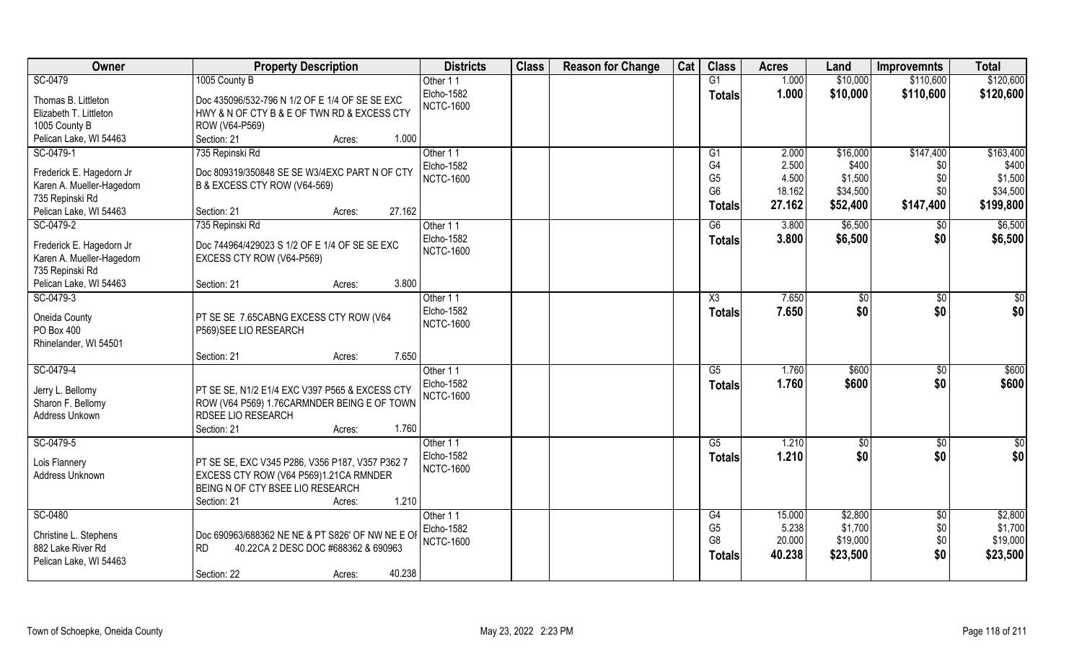| Owner                     | <b>Property Description</b>                      | <b>Districts</b>  | <b>Class</b> | <b>Reason for Change</b> | Cat | <b>Class</b>           | <b>Acres</b> | Land           | <b>Improvemnts</b> | <b>Total</b>    |
|---------------------------|--------------------------------------------------|-------------------|--------------|--------------------------|-----|------------------------|--------------|----------------|--------------------|-----------------|
| SC-0479                   | 1005 County B                                    | Other 11          |              |                          |     | G1                     | 1.000        | \$10,000       | \$110,600          | \$120,600       |
| Thomas B. Littleton       | Doc 435096/532-796 N 1/2 OF E 1/4 OF SE SE EXC   | Elcho-1582        |              |                          |     | <b>Totals</b>          | 1.000        | \$10,000       | \$110,600          | \$120,600       |
| Elizabeth T. Littleton    | HWY & N OF CTY B & E OF TWN RD & EXCESS CTY      | <b>NCTC-1600</b>  |              |                          |     |                        |              |                |                    |                 |
| 1005 County B             | ROW (V64-P569)                                   |                   |              |                          |     |                        |              |                |                    |                 |
| Pelican Lake, WI 54463    | 1.000<br>Section: 21<br>Acres:                   |                   |              |                          |     |                        |              |                |                    |                 |
| SC-0479-1                 | 735 Repinski Rd                                  | Other 11          |              |                          |     | G1                     | 2.000        | \$16,000       | \$147,400          | \$163,400       |
|                           |                                                  | <b>Elcho-1582</b> |              |                          |     | G4                     | 2.500        | \$400          | \$0                | \$400           |
| Frederick E. Hagedorn Jr  | Doc 809319/350848 SE SE W3/4EXC PART N OF CTY    | <b>NCTC-1600</b>  |              |                          |     | G <sub>5</sub>         | 4.500        | \$1,500        | \$0                | \$1,500         |
| Karen A. Mueller-Hagedorn | B & EXCESS CTY ROW (V64-569)                     |                   |              |                          |     | G <sub>6</sub>         | 18.162       | \$34,500       | \$0                | \$34,500        |
| 735 Repinski Rd           |                                                  |                   |              |                          |     | <b>Totals</b>          | 27.162       | \$52,400       | \$147,400          | \$199,800       |
| Pelican Lake, WI 54463    | 27.162<br>Section: 21<br>Acres:                  |                   |              |                          |     |                        |              |                |                    |                 |
| SC-0479-2                 | 735 Repinski Rd                                  | Other 11          |              |                          |     | G6                     | 3.800        | \$6,500        | \$0                | \$6,500         |
| Frederick E. Hagedorn Jr  | Doc 744964/429023 S 1/2 OF E 1/4 OF SE SE EXC    | Elcho-1582        |              |                          |     | <b>Totals</b>          | 3.800        | \$6,500        | \$0                | \$6,500         |
| Karen A. Mueller-Hagedorn | EXCESS CTY ROW (V64-P569)                        | <b>NCTC-1600</b>  |              |                          |     |                        |              |                |                    |                 |
| 735 Repinski Rd           |                                                  |                   |              |                          |     |                        |              |                |                    |                 |
| Pelican Lake, WI 54463    | 3.800<br>Section: 21<br>Acres:                   |                   |              |                          |     |                        |              |                |                    |                 |
| SC-0479-3                 |                                                  | Other 11          |              |                          |     | X3                     | 7.650        | $\frac{1}{20}$ | \$0                | \$              |
|                           |                                                  | Elcho-1582        |              |                          |     | <b>Totals</b>          | 7.650        | \$0            | \$0                | \$0             |
| Oneida County             | PT SE SE 7.65CABNG EXCESS CTY ROW (V64           | <b>NCTC-1600</b>  |              |                          |     |                        |              |                |                    |                 |
| PO Box 400                | P569) SEE LIO RESEARCH                           |                   |              |                          |     |                        |              |                |                    |                 |
| Rhinelander, WI 54501     |                                                  |                   |              |                          |     |                        |              |                |                    |                 |
|                           | 7.650<br>Section: 21<br>Acres:                   |                   |              |                          |     |                        |              |                |                    |                 |
| SC-0479-4                 |                                                  | Other 11          |              |                          |     | $\overline{\text{G5}}$ | 1.760        | \$600          | \$0                | \$600           |
| Jerry L. Bellomy          | PT SE SE, N1/2 E1/4 EXC V397 P565 & EXCESS CTY   | Elcho-1582        |              |                          |     | <b>Totals</b>          | 1.760        | \$600          | \$0                | \$600           |
| Sharon F. Bellomy         | ROW (V64 P569) 1.76CARMNDER BEING E OF TOWN      | <b>NCTC-1600</b>  |              |                          |     |                        |              |                |                    |                 |
| Address Unkown            | RDSEE LIO RESEARCH                               |                   |              |                          |     |                        |              |                |                    |                 |
|                           | 1.760<br>Section: 21<br>Acres:                   |                   |              |                          |     |                        |              |                |                    |                 |
| SC-0479-5                 |                                                  | Other 11          |              |                          |     | G5                     | 1.210        | $\sqrt{$0}$    | \$0                | $\overline{30}$ |
|                           |                                                  | Elcho-1582        |              |                          |     | <b>Totals</b>          | 1.210        | \$0            | \$0                | \$0             |
| Lois Flannery             | PT SE SE, EXC V345 P286, V356 P187, V357 P362 7  | <b>NCTC-1600</b>  |              |                          |     |                        |              |                |                    |                 |
| Address Unknown           | EXCESS CTY ROW (V64 P569)1.21CA RMNDER           |                   |              |                          |     |                        |              |                |                    |                 |
|                           | BEING N OF CTY BSEE LIO RESEARCH                 |                   |              |                          |     |                        |              |                |                    |                 |
|                           | 1.210<br>Section: 21<br>Acres:                   |                   |              |                          |     |                        |              |                |                    |                 |
| SC-0480                   |                                                  | Other 11          |              |                          |     | G4                     | 15.000       | \$2,800        | $\overline{50}$    | \$2,800         |
| Christine L. Stephens     | Doc 690963/688362 NE NE & PT S826' OF NW NE E OF | Elcho-1582        |              |                          |     | G <sub>5</sub>         | 5.238        | \$1,700        | \$0                | \$1,700         |
| 882 Lake River Rd         | <b>RD</b><br>40.22CA 2 DESC DOC #688362 & 690963 | <b>NCTC-1600</b>  |              |                          |     | G <sub>8</sub>         | 20.000       | \$19,000       | \$0                | \$19,000        |
| Pelican Lake, WI 54463    |                                                  |                   |              |                          |     | Totals                 | 40.238       | \$23,500       | \$0                | \$23,500        |
|                           | 40.238<br>Section: 22<br>Acres:                  |                   |              |                          |     |                        |              |                |                    |                 |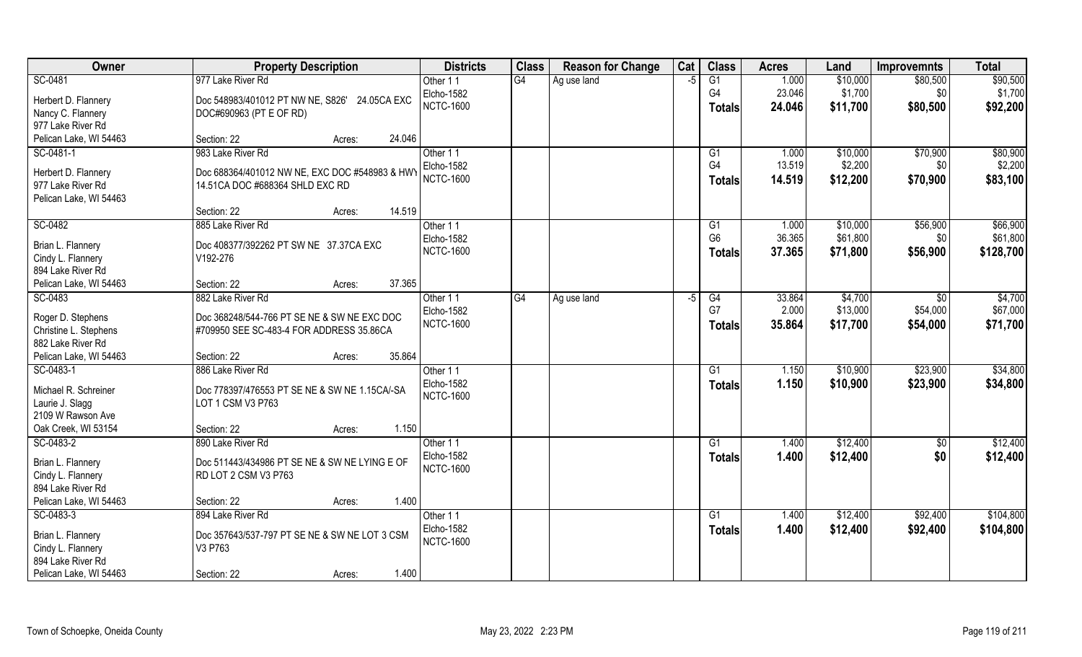| Owner                                    | <b>Property Description</b>                                                       | <b>Districts</b>  | <b>Class</b> | <b>Reason for Change</b> | Cat  | <b>Class</b>    | <b>Acres</b> | Land     | <b>Improvemnts</b> | <b>Total</b> |
|------------------------------------------|-----------------------------------------------------------------------------------|-------------------|--------------|--------------------------|------|-----------------|--------------|----------|--------------------|--------------|
| SC-0481                                  | 977 Lake River Rd                                                                 | Other 11          | G4           | Ag use land              | $-5$ | G1              | 1.000        | \$10,000 | \$80,500           | \$90,500     |
| Herbert D. Flannery                      | Doc 548983/401012 PT NW NE, S826' 24.05CA EXC                                     | <b>Elcho-1582</b> |              |                          |      | G <sub>4</sub>  | 23.046       | \$1,700  | \$0                | \$1,700      |
| Nancy C. Flannery                        | DOC#690963 (PT E OF RD)                                                           | <b>NCTC-1600</b>  |              |                          |      | <b>Totals</b>   | 24.046       | \$11,700 | \$80,500           | \$92,200     |
| 977 Lake River Rd                        |                                                                                   |                   |              |                          |      |                 |              |          |                    |              |
| Pelican Lake, WI 54463                   | 24.046<br>Section: 22<br>Acres:                                                   |                   |              |                          |      |                 |              |          |                    |              |
| SC-0481-1                                | 983 Lake River Rd                                                                 | Other 11          |              |                          |      | G1              | 1.000        | \$10,000 | \$70,900           | \$80,900     |
|                                          |                                                                                   | Elcho-1582        |              |                          |      | G4              | 13.519       | \$2,200  | \$0                | \$2,200      |
| Herbert D. Flannery<br>977 Lake River Rd | Doc 688364/401012 NW NE, EXC DOC #548983 & HWY<br>14.51CA DOC #688364 SHLD EXC RD | <b>NCTC-1600</b>  |              |                          |      | <b>Totals</b>   | 14.519       | \$12,200 | \$70,900           | \$83,100     |
| Pelican Lake, WI 54463                   |                                                                                   |                   |              |                          |      |                 |              |          |                    |              |
|                                          | 14.519<br>Section: 22<br>Acres:                                                   |                   |              |                          |      |                 |              |          |                    |              |
| SC-0482                                  | 885 Lake River Rd                                                                 | Other 11          |              |                          |      | G1              | 1.000        | \$10,000 | \$56,900           | \$66,900     |
|                                          |                                                                                   | Elcho-1582        |              |                          |      | G <sub>6</sub>  | 36.365       | \$61,800 | \$0                | \$61,800     |
| Brian L. Flannery                        | Doc 408377/392262 PT SW NE 37.37CA EXC                                            | <b>NCTC-1600</b>  |              |                          |      | <b>Totals</b>   | 37.365       | \$71,800 | \$56,900           | \$128,700    |
| Cindy L. Flannery                        | V192-276                                                                          |                   |              |                          |      |                 |              |          |                    |              |
| 894 Lake River Rd                        |                                                                                   |                   |              |                          |      |                 |              |          |                    |              |
| Pelican Lake, WI 54463                   | 37.365<br>Section: 22<br>Acres:                                                   |                   |              |                          |      |                 |              |          |                    |              |
| SC-0483                                  | 882 Lake River Rd                                                                 | Other 11          | G4           | Ag use land              | -5   | G4              | 33.864       | \$4,700  | \$0                | \$4,700      |
| Roger D. Stephens                        | Doc 368248/544-766 PT SE NE & SW NE EXC DOC                                       | Elcho-1582        |              |                          |      | G7              | 2.000        | \$13,000 | \$54,000           | \$67,000     |
| Christine L. Stephens                    | #709950 SEE SC-483-4 FOR ADDRESS 35.86CA                                          | <b>NCTC-1600</b>  |              |                          |      | <b>Totals</b>   | 35.864       | \$17,700 | \$54,000           | \$71,700     |
| 882 Lake River Rd                        |                                                                                   |                   |              |                          |      |                 |              |          |                    |              |
| Pelican Lake, WI 54463                   | 35.864<br>Section: 22<br>Acres:                                                   |                   |              |                          |      |                 |              |          |                    |              |
| SC-0483-1                                | 886 Lake River Rd                                                                 | Other 11          |              |                          |      | $\overline{G1}$ | 1.150        | \$10,900 | \$23,900           | \$34,800     |
| Michael R. Schreiner                     | Doc 778397/476553 PT SE NE & SW NE 1.15CA/-SA                                     | Elcho-1582        |              |                          |      | <b>Totals</b>   | 1.150        | \$10,900 | \$23,900           | \$34,800     |
| Laurie J. Slagg                          | LOT 1 CSM V3 P763                                                                 | <b>NCTC-1600</b>  |              |                          |      |                 |              |          |                    |              |
| 2109 W Rawson Ave                        |                                                                                   |                   |              |                          |      |                 |              |          |                    |              |
| Oak Creek, WI 53154                      | 1.150<br>Section: 22<br>Acres:                                                    |                   |              |                          |      |                 |              |          |                    |              |
| SC-0483-2                                | 890 Lake River Rd                                                                 | Other 11          |              |                          |      | G1              | 1.400        | \$12,400 | \$0                | \$12,400     |
|                                          |                                                                                   | Elcho-1582        |              |                          |      | <b>Totals</b>   | 1.400        | \$12,400 | \$0                | \$12,400     |
| Brian L. Flannery                        | Doc 511443/434986 PT SE NE & SW NE LYING E OF                                     | <b>NCTC-1600</b>  |              |                          |      |                 |              |          |                    |              |
| Cindy L. Flannery<br>894 Lake River Rd   | RD LOT 2 CSM V3 P763                                                              |                   |              |                          |      |                 |              |          |                    |              |
|                                          |                                                                                   |                   |              |                          |      |                 |              |          |                    |              |
| Pelican Lake, WI 54463<br>SC-0483-3      | 1.400<br>Section: 22<br>Acres:<br>894 Lake River Rd                               | Other 11          |              |                          |      | G1              | 1.400        |          | \$92,400           | \$104,800    |
|                                          |                                                                                   | Elcho-1582        |              |                          |      |                 | 1.400        | \$12,400 |                    |              |
| Brian L. Flannery                        | Doc 357643/537-797 PT SE NE & SW NE LOT 3 CSM                                     | <b>NCTC-1600</b>  |              |                          |      | <b>Totals</b>   |              | \$12,400 | \$92,400           | \$104,800    |
| Cindy L. Flannery                        | V3 P763                                                                           |                   |              |                          |      |                 |              |          |                    |              |
| 894 Lake River Rd                        |                                                                                   |                   |              |                          |      |                 |              |          |                    |              |
| Pelican Lake, WI 54463                   | 1.400<br>Section: 22<br>Acres:                                                    |                   |              |                          |      |                 |              |          |                    |              |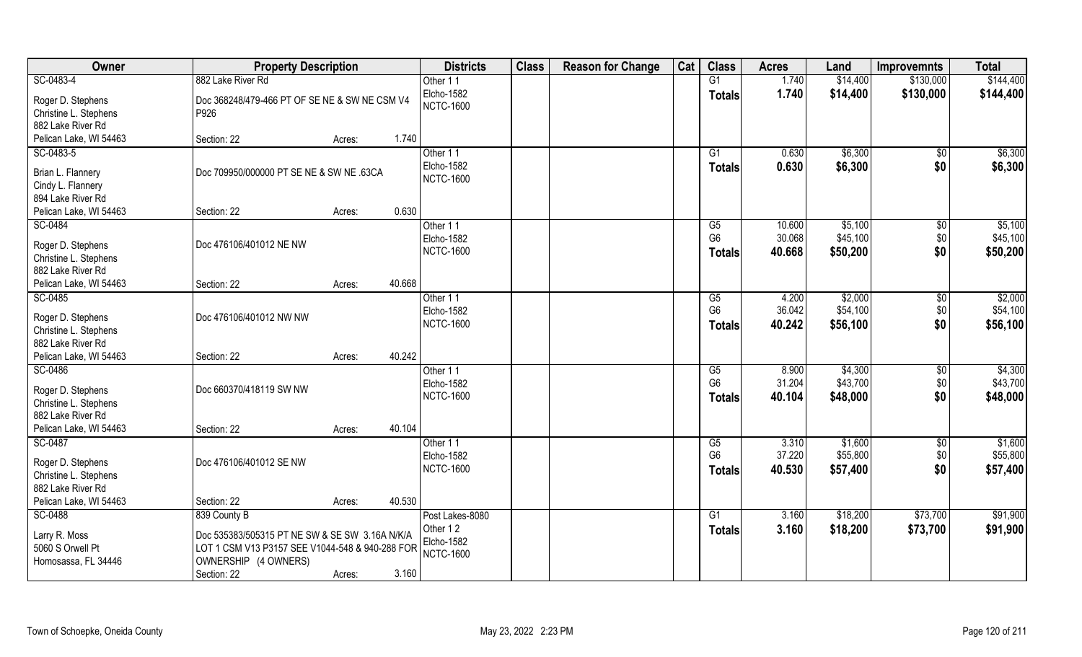| Owner                                                                      | <b>Property Description</b>                                                                                                                                                 | <b>Districts</b>                                              | <b>Class</b> | <b>Reason for Change</b> | Cat | <b>Class</b>                          | <b>Acres</b>               | Land                            | <b>Improvemnts</b>          | <b>Total</b>                    |
|----------------------------------------------------------------------------|-----------------------------------------------------------------------------------------------------------------------------------------------------------------------------|---------------------------------------------------------------|--------------|--------------------------|-----|---------------------------------------|----------------------------|---------------------------------|-----------------------------|---------------------------------|
| SC-0483-4                                                                  | 882 Lake River Rd                                                                                                                                                           | Other 11                                                      |              |                          |     | G1                                    | 1.740                      | \$14,400                        | \$130,000                   | \$144,400                       |
| Roger D. Stephens<br>Christine L. Stephens<br>882 Lake River Rd            | Doc 368248/479-466 PT OF SE NE & SW NE CSM V4<br>P926                                                                                                                       | <b>Elcho-1582</b><br><b>NCTC-1600</b>                         |              |                          |     | <b>Totals</b>                         | 1.740                      | \$14,400                        | \$130,000                   | \$144,400                       |
| Pelican Lake, WI 54463                                                     | 1.740<br>Section: 22<br>Acres:                                                                                                                                              |                                                               |              |                          |     |                                       |                            |                                 |                             |                                 |
| SC-0483-5                                                                  |                                                                                                                                                                             | Other 11                                                      |              |                          |     | $\overline{G1}$                       | 0.630                      | \$6,300                         | $\overline{50}$             | \$6,300                         |
| Brian L. Flannery<br>Cindy L. Flannery<br>894 Lake River Rd                | Doc 709950/000000 PT SE NE & SW NE .63CA                                                                                                                                    | Elcho-1582<br><b>NCTC-1600</b>                                |              |                          |     | <b>Totals</b>                         | 0.630                      | \$6,300                         | \$0                         | \$6,300                         |
| Pelican Lake, WI 54463                                                     | 0.630<br>Section: 22<br>Acres:                                                                                                                                              |                                                               |              |                          |     |                                       |                            |                                 |                             |                                 |
| SC-0484<br>Roger D. Stephens<br>Christine L. Stephens<br>882 Lake River Rd | Doc 476106/401012 NE NW                                                                                                                                                     | Other 11<br>Elcho-1582<br><b>NCTC-1600</b>                    |              |                          |     | G5<br>G <sub>6</sub><br><b>Totals</b> | 10.600<br>30.068<br>40.668 | \$5,100<br>\$45,100<br>\$50,200 | $\sqrt[6]{3}$<br>\$0<br>\$0 | \$5,100<br>\$45,100<br>\$50,200 |
| Pelican Lake, WI 54463                                                     | 40.668<br>Section: 22<br>Acres:                                                                                                                                             |                                                               |              |                          |     |                                       |                            |                                 |                             |                                 |
| SC-0485<br>Roger D. Stephens<br>Christine L. Stephens                      | Doc 476106/401012 NW NW                                                                                                                                                     | Other 11<br>Elcho-1582<br><b>NCTC-1600</b>                    |              |                          |     | G5<br>G <sub>6</sub><br><b>Totals</b> | 4.200<br>36.042<br>40.242  | \$2,000<br>\$54,100<br>\$56,100 | \$0<br>\$0<br>\$0           | \$2,000<br>\$54,100<br>\$56,100 |
| 882 Lake River Rd<br>Pelican Lake, WI 54463                                | 40.242<br>Section: 22<br>Acres:                                                                                                                                             |                                                               |              |                          |     |                                       |                            |                                 |                             |                                 |
| SC-0486<br>Roger D. Stephens<br>Christine L. Stephens<br>882 Lake River Rd | Doc 660370/418119 SW NW                                                                                                                                                     | Other 11<br>Elcho-1582<br><b>NCTC-1600</b>                    |              |                          |     | G5<br>G <sub>6</sub><br><b>Totals</b> | 8.900<br>31.204<br>40.104  | \$4,300<br>\$43,700<br>\$48,000 | \$0<br>\$0<br>\$0           | \$4,300<br>\$43,700<br>\$48,000 |
| Pelican Lake, WI 54463                                                     | 40.104<br>Section: 22<br>Acres:                                                                                                                                             |                                                               |              |                          |     |                                       |                            |                                 |                             |                                 |
| SC-0487<br>Roger D. Stephens<br>Christine L. Stephens<br>882 Lake River Rd | Doc 476106/401012 SE NW                                                                                                                                                     | Other 11<br>Elcho-1582<br><b>NCTC-1600</b>                    |              |                          |     | G5<br>G <sub>6</sub><br><b>Totals</b> | 3.310<br>37.220<br>40.530  | \$1,600<br>\$55,800<br>\$57,400 | \$0<br>\$0<br>\$0           | \$1,600<br>\$55,800<br>\$57,400 |
| Pelican Lake, WI 54463                                                     | 40.530<br>Section: 22<br>Acres:                                                                                                                                             |                                                               |              |                          |     |                                       |                            |                                 |                             |                                 |
| SC-0488<br>Larry R. Moss<br>5060 S Orwell Pt<br>Homosassa, FL 34446        | 839 County B<br>Doc 535383/505315 PT NE SW & SE SW 3.16A N/K/A<br>LOT 1 CSM V13 P3157 SEE V1044-548 & 940-288 FOR<br>OWNERSHIP (4 OWNERS)<br>3.160<br>Section: 22<br>Acres: | Post Lakes-8080<br>Other 12<br>Elcho-1582<br><b>NCTC-1600</b> |              |                          |     | G1<br><b>Totals</b>                   | 3.160<br>3.160             | \$18,200<br>\$18,200            | \$73,700<br>\$73,700        | \$91,900<br>\$91,900            |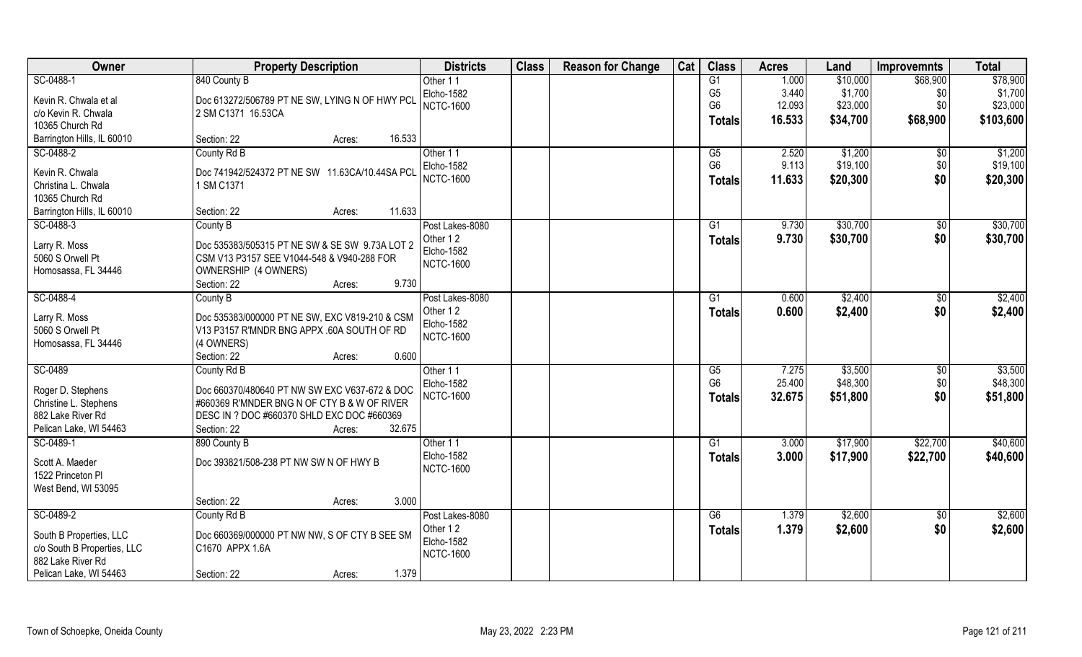| Owner                                       | <b>Property Description</b>                          | <b>Districts</b>               | <b>Class</b> | <b>Reason for Change</b> | Cat | <b>Class</b>           | <b>Acres</b> | Land     | <b>Improvemnts</b> | <b>Total</b> |
|---------------------------------------------|------------------------------------------------------|--------------------------------|--------------|--------------------------|-----|------------------------|--------------|----------|--------------------|--------------|
| SC-0488-1                                   | 840 County B                                         | Other 11                       |              |                          |     | G1                     | 1.000        | \$10,000 | \$68,900           | \$78,900     |
| Kevin R. Chwala et al                       | Doc 613272/506789 PT NE SW, LYING N OF HWY PCL       | Elcho-1582                     |              |                          |     | G <sub>5</sub>         | 3.440        | \$1,700  | \$0                | \$1,700      |
| c/o Kevin R. Chwala                         | 2 SM C1371 16.53CA                                   | <b>NCTC-1600</b>               |              |                          |     | G <sub>6</sub>         | 12.093       | \$23,000 | \$0                | \$23,000     |
| 10365 Church Rd                             |                                                      |                                |              |                          |     | <b>Totals</b>          | 16.533       | \$34,700 | \$68,900           | \$103,600    |
| Barrington Hills, IL 60010                  | 16.533<br>Section: 22<br>Acres:                      |                                |              |                          |     |                        |              |          |                    |              |
| SC-0488-2                                   | County Rd B                                          | Other 11                       |              |                          |     | $\overline{\text{G5}}$ | 2.520        | \$1,200  | $\overline{50}$    | \$1,200      |
|                                             |                                                      | Elcho-1582                     |              |                          |     | G <sub>6</sub>         | 9.113        | \$19,100 | \$0                | \$19,100     |
| Kevin R. Chwala                             | Doc 741942/524372 PT NE SW 11.63CA/10.44SA PCL       | <b>NCTC-1600</b>               |              |                          |     | <b>Totals</b>          | 11.633       | \$20,300 | \$0                | \$20,300     |
| Christina L. Chwala                         | 1 SM C1371                                           |                                |              |                          |     |                        |              |          |                    |              |
| 10365 Church Rd                             | 11.633<br>Section: 22                                |                                |              |                          |     |                        |              |          |                    |              |
| Barrington Hills, IL 60010                  | Acres:                                               | Post Lakes-8080                |              |                          |     | G1                     | 9.730        | \$30,700 |                    | \$30,700     |
| SC-0488-3                                   | County B                                             | Other 12                       |              |                          |     |                        |              |          | $\sqrt[6]{30}$     |              |
| Larry R. Moss                               | Doc 535383/505315 PT NE SW & SE SW 9.73A LOT 2       | Elcho-1582                     |              |                          |     | <b>Totals</b>          | 9.730        | \$30,700 | \$0                | \$30,700     |
| 5060 S Orwell Pt                            | CSM V13 P3157 SEE V1044-548 & V940-288 FOR           | <b>NCTC-1600</b>               |              |                          |     |                        |              |          |                    |              |
| Homosassa, FL 34446                         | OWNERSHIP (4 OWNERS)                                 |                                |              |                          |     |                        |              |          |                    |              |
|                                             | 9.730<br>Section: 22<br>Acres:                       |                                |              |                          |     |                        |              |          |                    |              |
| SC-0488-4                                   | County B                                             | Post Lakes-8080                |              |                          |     | G1                     | 0.600        | \$2,400  | $\sqrt[6]{3}$      | \$2,400      |
| Larry R. Moss                               | Doc 535383/000000 PT NE SW, EXC V819-210 & CSM       | Other 12                       |              |                          |     | <b>Totals</b>          | 0.600        | \$2,400  | \$0                | \$2,400      |
| 5060 S Orwell Pt                            | V13 P3157 R'MNDR BNG APPX .60A SOUTH OF RD           | Elcho-1582                     |              |                          |     |                        |              |          |                    |              |
| Homosassa, FL 34446                         | (4 OWNERS)                                           | <b>NCTC-1600</b>               |              |                          |     |                        |              |          |                    |              |
|                                             | 0.600<br>Section: 22<br>Acres:                       |                                |              |                          |     |                        |              |          |                    |              |
| SC-0489                                     | County Rd B                                          | Other 11                       |              |                          |     | G5                     | 7.275        | \$3,500  | $\sqrt[6]{3}$      | \$3,500      |
|                                             |                                                      | Elcho-1582                     |              |                          |     | G <sub>6</sub>         | 25.400       | \$48,300 | \$0                | \$48,300     |
| Roger D. Stephens                           | Doc 660370/480640 PT NW SW EXC V637-672 & DOC        | <b>NCTC-1600</b>               |              |                          |     | <b>Totals</b>          | 32.675       | \$51,800 | \$0                | \$51,800     |
| Christine L. Stephens                       | #660369 R'MNDER BNG N OF CTY B & W OF RIVER          |                                |              |                          |     |                        |              |          |                    |              |
| 882 Lake River Rd<br>Pelican Lake, WI 54463 | DESC IN ? DOC #660370 SHLD EXC DOC #660369<br>32.675 |                                |              |                          |     |                        |              |          |                    |              |
|                                             | Section: 22<br>Acres:                                |                                |              |                          |     |                        |              |          |                    |              |
| SC-0489-1                                   | 890 County B                                         | Other 11                       |              |                          |     | G1                     | 3.000        | \$17,900 | \$22,700           | \$40,600     |
| Scott A. Maeder                             | Doc 393821/508-238 PT NW SW N OF HWY B               | Elcho-1582<br><b>NCTC-1600</b> |              |                          |     | <b>Totals</b>          | 3.000        | \$17,900 | \$22,700           | \$40,600     |
| 1522 Princeton PI                           |                                                      |                                |              |                          |     |                        |              |          |                    |              |
| West Bend, WI 53095                         |                                                      |                                |              |                          |     |                        |              |          |                    |              |
|                                             | 3.000<br>Section: 22<br>Acres:                       |                                |              |                          |     |                        |              |          |                    |              |
| SC-0489-2                                   | County Rd B                                          | Post Lakes-8080                |              |                          |     | G6                     | 1.379        | \$2,600  | $\overline{50}$    | \$2,600      |
| South B Properties, LLC                     | Doc 660369/000000 PT NW NW, S OF CTY B SEE SM        | Other 12                       |              |                          |     | <b>Totals</b>          | 1.379        | \$2,600  | \$0                | \$2,600      |
| c/o South B Properties, LLC                 | C1670 APPX 1.6A                                      | Elcho-1582                     |              |                          |     |                        |              |          |                    |              |
| 882 Lake River Rd                           |                                                      | <b>NCTC-1600</b>               |              |                          |     |                        |              |          |                    |              |
| Pelican Lake, WI 54463                      | 1.379<br>Section: 22<br>Acres:                       |                                |              |                          |     |                        |              |          |                    |              |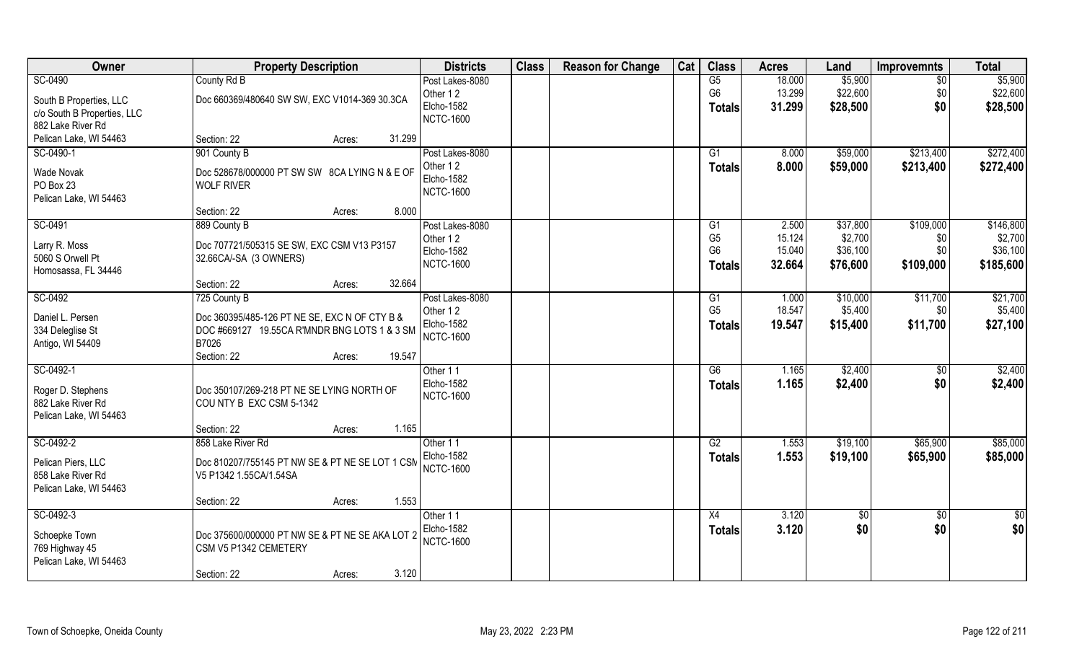| Owner                                    | <b>Property Description</b>                                        | <b>Districts</b>  | <b>Class</b> | <b>Reason for Change</b> | Cat | <b>Class</b>    | <b>Acres</b> | Land     | <b>Improvemnts</b> | <b>Total</b> |
|------------------------------------------|--------------------------------------------------------------------|-------------------|--------------|--------------------------|-----|-----------------|--------------|----------|--------------------|--------------|
| SC-0490                                  | County Rd B                                                        | Post Lakes-8080   |              |                          |     | G5              | 18.000       | \$5,900  | $\sqrt{$0}$        | \$5,900      |
| South B Properties, LLC                  | Doc 660369/480640 SW SW, EXC V1014-369 30.3CA                      | Other 12          |              |                          |     | G <sub>6</sub>  | 13.299       | \$22,600 | \$0                | \$22,600     |
| c/o South B Properties, LLC              |                                                                    | Elcho-1582        |              |                          |     | <b>Totals</b>   | 31.299       | \$28,500 | \$0                | \$28,500     |
| 882 Lake River Rd                        |                                                                    | <b>NCTC-1600</b>  |              |                          |     |                 |              |          |                    |              |
| Pelican Lake, WI 54463                   | 31.299<br>Section: 22<br>Acres:                                    |                   |              |                          |     |                 |              |          |                    |              |
| SC-0490-1                                | 901 County B                                                       | Post Lakes-8080   |              |                          |     | G1              | 8.000        | \$59,000 | \$213,400          | \$272,400    |
|                                          |                                                                    | Other 12          |              |                          |     | <b>Totals</b>   | 8.000        | \$59,000 | \$213,400          | \$272,400    |
| <b>Wade Novak</b><br>PO Box 23           | Doc 528678/000000 PT SW SW 8CA LYING N & E OF<br><b>WOLF RIVER</b> | <b>Elcho-1582</b> |              |                          |     |                 |              |          |                    |              |
| Pelican Lake, WI 54463                   |                                                                    | <b>NCTC-1600</b>  |              |                          |     |                 |              |          |                    |              |
|                                          | 8.000<br>Section: 22<br>Acres:                                     |                   |              |                          |     |                 |              |          |                    |              |
| SC-0491                                  | 889 County B                                                       | Post Lakes-8080   |              |                          |     | G1              | 2.500        | \$37,800 | \$109,000          | \$146,800    |
|                                          |                                                                    | Other 12          |              |                          |     | G <sub>5</sub>  | 15.124       | \$2,700  | \$0                | \$2,700      |
| Larry R. Moss                            | Doc 707721/505315 SE SW, EXC CSM V13 P3157                         | Elcho-1582        |              |                          |     | G <sub>6</sub>  | 15.040       | \$36,100 | \$0                | \$36,100     |
| 5060 S Orwell Pt                         | 32.66CA/-SA (3 OWNERS)                                             | <b>NCTC-1600</b>  |              |                          |     | <b>Totals</b>   | 32.664       | \$76,600 | \$109,000          | \$185,600    |
| Homosassa, FL 34446                      | 32.664<br>Section: 22<br>Acres:                                    |                   |              |                          |     |                 |              |          |                    |              |
| SC-0492                                  | 725 County B                                                       | Post Lakes-8080   |              |                          |     | G1              | 1.000        | \$10,000 | \$11,700           | \$21,700     |
|                                          |                                                                    | Other 12          |              |                          |     | G <sub>5</sub>  | 18.547       | \$5,400  | \$0                | \$5,400      |
| Daniel L. Persen                         | Doc 360395/485-126 PT NE SE, EXC N OF CTY B &                      | Elcho-1582        |              |                          |     |                 | 19.547       | \$15,400 | \$11,700           | \$27,100     |
| 334 Deleglise St                         | DOC #669127 19.55CA R'MNDR BNG LOTS 1 & 3 SM                       | <b>NCTC-1600</b>  |              |                          |     | <b>Totals</b>   |              |          |                    |              |
| Antigo, WI 54409                         | B7026                                                              |                   |              |                          |     |                 |              |          |                    |              |
|                                          | 19.547<br>Section: 22<br>Acres:                                    |                   |              |                          |     |                 |              |          |                    |              |
| SC-0492-1                                |                                                                    | Other 11          |              |                          |     | $\overline{G6}$ | 1.165        | \$2,400  | $\sqrt[6]{30}$     | \$2,400      |
| Roger D. Stephens                        | Doc 350107/269-218 PT NE SE LYING NORTH OF                         | Elcho-1582        |              |                          |     | <b>Totals</b>   | 1.165        | \$2,400  | \$0                | \$2,400      |
| 882 Lake River Rd                        | COU NTY B EXC CSM 5-1342                                           | <b>NCTC-1600</b>  |              |                          |     |                 |              |          |                    |              |
| Pelican Lake, WI 54463                   |                                                                    |                   |              |                          |     |                 |              |          |                    |              |
|                                          | 1.165<br>Section: 22<br>Acres:                                     |                   |              |                          |     |                 |              |          |                    |              |
| SC-0492-2                                | 858 Lake River Rd                                                  | Other 11          |              |                          |     | G2              | 1.553        | \$19,100 | \$65,900           | \$85,000     |
| Pelican Piers, LLC                       | Doc 810207/755145 PT NW SE & PT NE SE LOT 1 CSM                    | <b>Elcho-1582</b> |              |                          |     | <b>Totals</b>   | 1.553        | \$19,100 | \$65,900           | \$85,000     |
| 858 Lake River Rd                        | V5 P1342 1.55CA/1.54SA                                             | <b>NCTC-1600</b>  |              |                          |     |                 |              |          |                    |              |
| Pelican Lake, WI 54463                   |                                                                    |                   |              |                          |     |                 |              |          |                    |              |
|                                          | 1.553<br>Section: 22<br>Acres:                                     |                   |              |                          |     |                 |              |          |                    |              |
| SC-0492-3                                |                                                                    | Other 11          |              |                          |     | X4              | 3.120        | \$0      | $\sqrt{$0}$        | \$0          |
|                                          |                                                                    | Elcho-1582        |              |                          |     | Totals          | 3.120        | \$0      | \$0                | \$0          |
| Schoepke Town                            | Doc 375600/000000 PT NW SE & PT NE SE AKA LOT 2                    | <b>NCTC-1600</b>  |              |                          |     |                 |              |          |                    |              |
| 769 Highway 45<br>Pelican Lake, WI 54463 | CSM V5 P1342 CEMETERY                                              |                   |              |                          |     |                 |              |          |                    |              |
|                                          | 3.120<br>Section: 22                                               |                   |              |                          |     |                 |              |          |                    |              |
|                                          | Acres:                                                             |                   |              |                          |     |                 |              |          |                    |              |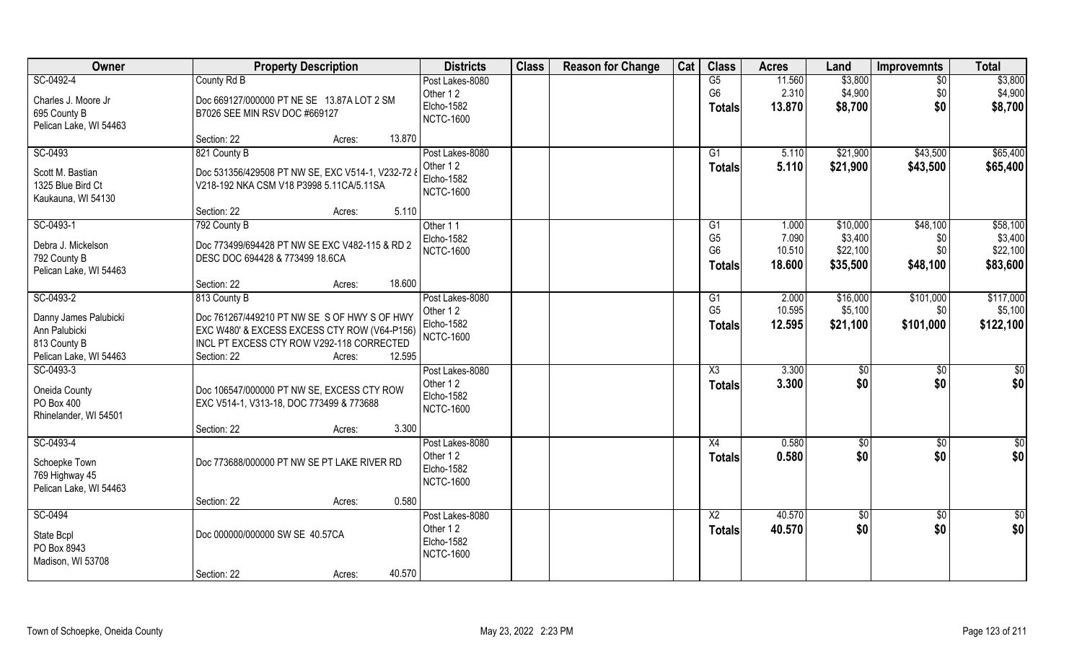| Owner                                                                            | <b>Property Description</b>                                                                                                                                                  | <b>Districts</b>                                                     | <b>Class</b> | <b>Reason for Change</b> | Cat | <b>Class</b>                                                        | <b>Acres</b>                       | Land                                        | <b>Improvemnts</b>                 | <b>Total</b>                                |
|----------------------------------------------------------------------------------|------------------------------------------------------------------------------------------------------------------------------------------------------------------------------|----------------------------------------------------------------------|--------------|--------------------------|-----|---------------------------------------------------------------------|------------------------------------|---------------------------------------------|------------------------------------|---------------------------------------------|
| SC-0492-4<br>Charles J. Moore Jr<br>695 County B                                 | County Rd B<br>Doc 669127/000000 PT NE SE 13.87A LOT 2 SM<br>B7026 SEE MIN RSV DOC #669127                                                                                   | Post Lakes-8080<br>Other 12<br>Elcho-1582<br><b>NCTC-1600</b>        |              |                          |     | G5<br>G <sub>6</sub><br><b>Totals</b>                               | 11.560<br>2.310<br>13.870          | \$3,800<br>\$4,900<br>\$8,700               | $\overline{50}$<br>\$0<br>\$0      | \$3,800<br>\$4,900<br>\$8,700               |
| Pelican Lake, WI 54463                                                           | Section: 22<br>13.870<br>Acres:                                                                                                                                              |                                                                      |              |                          |     |                                                                     |                                    |                                             |                                    |                                             |
| SC-0493<br>Scott M. Bastian<br>1325 Blue Bird Ct                                 | 821 County B<br>Doc 531356/429508 PT NW SE, EXC V514-1, V232-72 &<br>V218-192 NKA CSM V18 P3998 5.11CA/5.11SA                                                                | Post Lakes-8080<br>Other 12<br>Elcho-1582<br><b>NCTC-1600</b>        |              |                          |     | G1<br>Totals                                                        | 5.110<br>5.110                     | \$21,900<br>\$21,900                        | \$43,500<br>\$43,500               | \$65,400<br>\$65,400                        |
| Kaukauna, WI 54130                                                               | Section: 22<br>5.110<br>Acres:                                                                                                                                               |                                                                      |              |                          |     |                                                                     |                                    |                                             |                                    |                                             |
| SC-0493-1<br>Debra J. Mickelson<br>792 County B<br>Pelican Lake, WI 54463        | 792 County B<br>Doc 773499/694428 PT NW SE EXC V482-115 & RD 2<br>DESC DOC 694428 & 773499 18.6CA                                                                            | Other 11<br>Elcho-1582<br><b>NCTC-1600</b>                           |              |                          |     | G <sub>1</sub><br>G <sub>5</sub><br>G <sub>6</sub><br><b>Totals</b> | 1.000<br>7.090<br>10.510<br>18.600 | \$10,000<br>\$3,400<br>\$22,100<br>\$35,500 | \$48,100<br>\$0<br>\$0<br>\$48,100 | \$58,100<br>\$3,400<br>\$22,100<br>\$83,600 |
| SC-0493-2                                                                        | 18.600<br>Section: 22<br>Acres:<br>813 County B                                                                                                                              | Post Lakes-8080                                                      |              |                          |     | G <sub>1</sub>                                                      | 2.000                              | \$16,000                                    | \$101,000                          | \$117,000                                   |
| Danny James Palubicki<br>Ann Palubicki<br>813 County B<br>Pelican Lake, WI 54463 | Doc 761267/449210 PT NW SE S OF HWY S OF HWY<br>EXC W480' & EXCESS EXCESS CTY ROW (V64-P156)<br>INCL PT EXCESS CTY ROW V292-118 CORRECTED<br>12.595<br>Section: 22<br>Acres: | Other 12<br>Elcho-1582<br><b>NCTC-1600</b>                           |              |                          |     | G <sub>5</sub><br><b>Totals</b>                                     | 10.595<br>12.595                   | \$5,100<br>\$21,100                         | \$0<br>\$101,000                   | \$5,100<br>\$122,100                        |
| SC-0493-3<br>Oneida County<br>PO Box 400<br>Rhinelander, WI 54501                | Doc 106547/000000 PT NW SE, EXCESS CTY ROW<br>EXC V514-1, V313-18, DOC 773499 & 773688<br>3.300<br>Section: 22<br>Acres:                                                     | Post Lakes-8080<br>Other 12<br>Elcho-1582<br><b>NCTC-1600</b>        |              |                          |     | X3<br><b>Totals</b>                                                 | 3.300<br>3.300                     | $\sqrt[6]{3}$<br>\$0                        | $\sqrt[6]{30}$<br>\$0              | \$0<br>\$0                                  |
| SC-0493-4<br>Schoepke Town<br>769 Highway 45<br>Pelican Lake, WI 54463           | Doc 773688/000000 PT NW SE PT LAKE RIVER RD                                                                                                                                  | Post Lakes-8080<br>Other 12<br><b>Elcho-1582</b><br><b>NCTC-1600</b> |              |                          |     | X4<br><b>Totals</b>                                                 | 0.580<br>0.580                     | \$0<br>\$0                                  | \$0<br>\$0                         | \$0<br>\$0                                  |
|                                                                                  | Section: 22<br>0.580<br>Acres:                                                                                                                                               |                                                                      |              |                          |     |                                                                     |                                    |                                             |                                    |                                             |
| SC-0494<br>State Bcpl<br>PO Box 8943<br>Madison, WI 53708                        | Doc 000000/000000 SW SE 40.57CA<br>40.570<br>Section: 22<br>Acres:                                                                                                           | Post Lakes-8080<br>Other 12<br>Elcho-1582<br><b>NCTC-1600</b>        |              |                          |     | $\overline{X2}$<br>Totals                                           | 40.570<br>40.570                   | $\sqrt[6]{30}$<br>\$0                       | $\overline{50}$<br>\$0             | $\overline{50}$<br>\$0                      |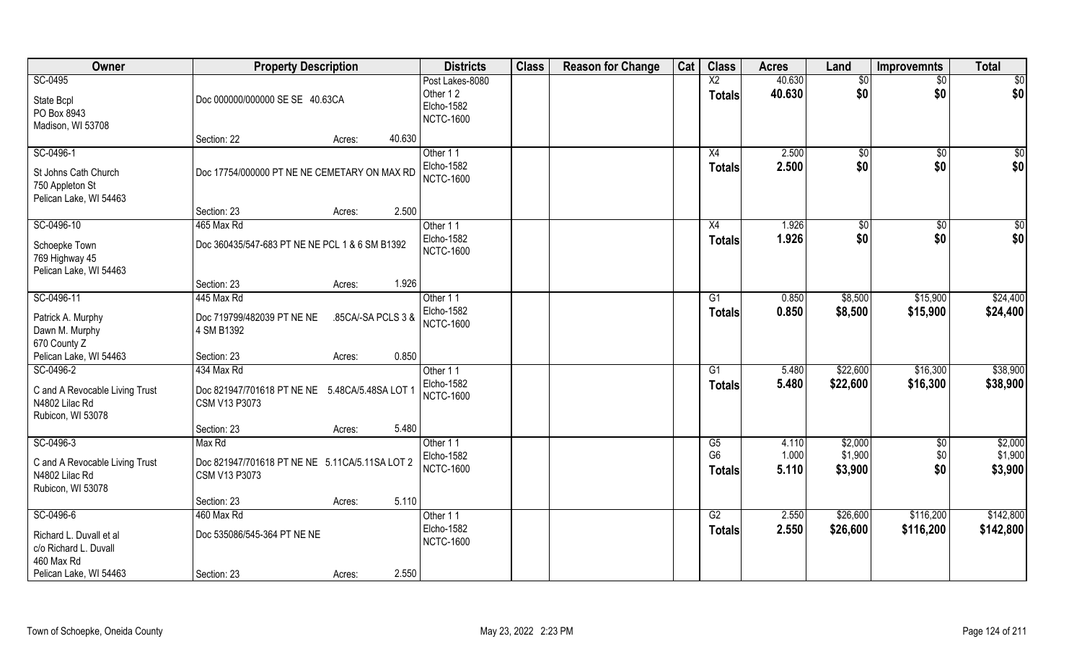| Owner                                                                                                 | <b>Property Description</b>                                                   | <b>Districts</b>                                              | <b>Class</b> | <b>Reason for Change</b> | Cat | <b>Class</b>                          | <b>Acres</b>            | Land                          | <b>Improvemnts</b>     | <b>Total</b>                  |
|-------------------------------------------------------------------------------------------------------|-------------------------------------------------------------------------------|---------------------------------------------------------------|--------------|--------------------------|-----|---------------------------------------|-------------------------|-------------------------------|------------------------|-------------------------------|
| SC-0495<br>State Bcpl<br>PO Box 8943<br>Madison, WI 53708                                             | Doc 000000/000000 SE SE 40.63CA                                               | Post Lakes-8080<br>Other 12<br>Elcho-1582<br><b>NCTC-1600</b> |              |                          |     | $\overline{\text{X2}}$<br>Totals      | 40.630<br>40.630        | \$0<br>\$0                    | $\sqrt{$0}$<br>\$0     | $\sqrt{50}$<br>\$0            |
|                                                                                                       | 40.630<br>Section: 22<br>Acres:                                               |                                                               |              |                          |     |                                       |                         |                               |                        |                               |
| SC-0496-1<br>St Johns Cath Church<br>750 Appleton St<br>Pelican Lake, WI 54463                        | Doc 17754/000000 PT NE NE CEMETARY ON MAX RD                                  | Other 11<br>Elcho-1582<br><b>NCTC-1600</b>                    |              |                          |     | X4<br><b>Totals</b>                   | 2.500<br>2.500          | $\sqrt[6]{30}$<br>\$0         | \$0<br>\$0             | \$0<br>\$0                    |
|                                                                                                       | 2.500<br>Section: 23<br>Acres:                                                |                                                               |              |                          |     |                                       |                         |                               |                        |                               |
| SC-0496-10<br>Schoepke Town<br>769 Highway 45<br>Pelican Lake, WI 54463                               | 465 Max Rd<br>Doc 360435/547-683 PT NE NE PCL 1 & 6 SM B1392                  | Other 11<br>Elcho-1582<br><b>NCTC-1600</b>                    |              |                          |     | X4<br>Totals                          | 1.926<br>1.926          | \$0<br>\$0                    | $\sqrt[6]{30}$<br>\$0  | \$0<br>\$0                    |
|                                                                                                       | 1.926<br>Section: 23<br>Acres:                                                |                                                               |              |                          |     |                                       |                         |                               |                        |                               |
| SC-0496-11<br>Patrick A. Murphy<br>Dawn M. Murphy<br>670 County Z                                     | 445 Max Rd<br>.85CA/-SA PCLS 3 &<br>Doc 719799/482039 PT NE NE<br>4 SM B1392  | Other 11<br>Elcho-1582<br><b>NCTC-1600</b>                    |              |                          |     | G1<br>Totals                          | 0.850<br>0.850          | \$8,500<br>\$8,500            | \$15,900<br>\$15,900   | \$24,400<br>\$24,400          |
| Pelican Lake, WI 54463                                                                                | 0.850<br>Section: 23<br>Acres:                                                |                                                               |              |                          |     |                                       |                         |                               |                        |                               |
| SC-0496-2<br>C and A Revocable Living Trust<br>N4802 Lilac Rd<br>Rubicon, WI 53078                    | 434 Max Rd<br>Doc 821947/701618 PT NE NE 5.48CA/5.48SA LOT 1<br>CSM V13 P3073 | Other 11<br>Elcho-1582<br><b>NCTC-1600</b>                    |              |                          |     | $\overline{G1}$<br><b>Totals</b>      | 5.480<br>5.480          | \$22,600<br>\$22,600          | \$16,300<br>\$16,300   | \$38,900<br>\$38,900          |
|                                                                                                       | 5.480<br>Section: 23<br>Acres:                                                |                                                               |              |                          |     |                                       |                         |                               |                        |                               |
| SC-0496-3<br>C and A Revocable Living Trust<br>N4802 Lilac Rd<br>Rubicon, WI 53078                    | Max Rd<br>Doc 821947/701618 PT NE NE 5.11CA/5.11SA LOT 2<br>CSM V13 P3073     | Other 11<br>Elcho-1582<br><b>NCTC-1600</b>                    |              |                          |     | G5<br>G <sub>6</sub><br><b>Totals</b> | 4.110<br>1.000<br>5.110 | \$2,000<br>\$1,900<br>\$3,900 | \$0<br>\$0<br>\$0      | \$2,000<br>\$1,900<br>\$3,900 |
|                                                                                                       | 5.110<br>Section: 23<br>Acres:                                                |                                                               |              |                          |     |                                       |                         |                               |                        |                               |
| SC-0496-6<br>Richard L. Duvall et al<br>c/o Richard L. Duvall<br>460 Max Rd<br>Pelican Lake, WI 54463 | 460 Max Rd<br>Doc 535086/545-364 PT NE NE<br>2.550<br>Section: 23<br>Acres:   | Other 11<br>Elcho-1582<br><b>NCTC-1600</b>                    |              |                          |     | G2<br><b>Totals</b>                   | 2.550<br>2.550          | \$26,600<br>\$26,600          | \$116,200<br>\$116,200 | \$142,800<br>\$142,800        |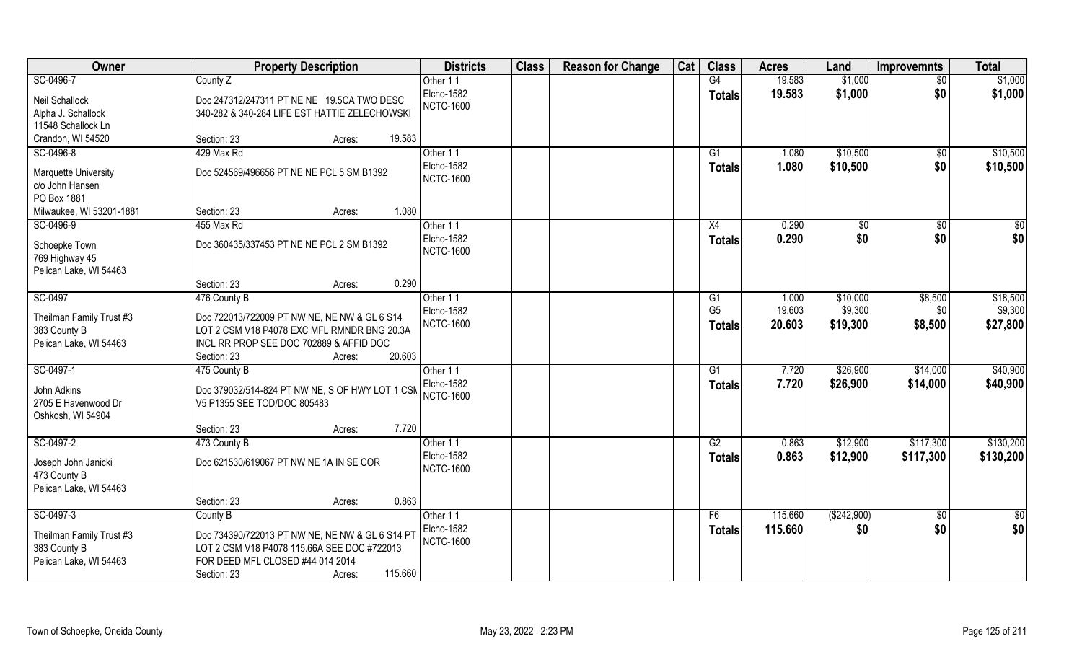| <b>Class</b><br>Owner<br>Cat<br><b>Class</b><br><b>Districts</b><br><b>Reason for Change</b><br><b>Property Description</b><br><b>Acres</b><br>Land | <b>Total</b><br><b>Improvemnts</b> |
|-----------------------------------------------------------------------------------------------------------------------------------------------------|------------------------------------|
| SC-0496-7<br>19.583<br>County Z<br>G4<br>\$1,000<br>Other 11                                                                                        | \$1,000<br>$\overline{50}$         |
| <b>Elcho-1582</b><br>19.583<br>\$1,000<br><b>Totals</b><br>Neil Schallock<br>Doc 247312/247311 PT NE NE 19.5CA TWO DESC                             | \$0<br>\$1,000                     |
| <b>NCTC-1600</b><br>340-282 & 340-284 LIFE EST HATTIE ZELECHOWSKI<br>Alpha J. Schallock                                                             |                                    |
| 11548 Schallock Ln                                                                                                                                  |                                    |
| Crandon, WI 54520<br>19.583<br>Section: 23<br>Acres:                                                                                                |                                    |
| SC-0496-8<br>\$10,500<br>429 Max Rd<br>Other 11<br>G <sub>1</sub><br>1.080                                                                          | \$10,500<br>\$0                    |
| <b>Elcho-1582</b><br>1.080<br>\$10,500<br><b>Totals</b>                                                                                             | \$0<br>\$10,500                    |
| Doc 524569/496656 PT NE NE PCL 5 SM B1392<br><b>Marquette University</b><br><b>NCTC-1600</b>                                                        |                                    |
| c/o John Hansen                                                                                                                                     |                                    |
| PO Box 1881<br>1.080<br>Milwaukee, WI 53201-1881<br>Section: 23                                                                                     |                                    |
| Acres:<br>SC-0496-9<br>455 Max Rd<br>0.290<br>\$0<br>Other 11<br>X4                                                                                 | $\overline{50}$                    |
| Elcho-1582                                                                                                                                          | $\sqrt[6]{30}$                     |
| 0.290<br>\$0<br><b>Totals</b><br>Doc 360435/337453 PT NE NE PCL 2 SM B1392<br>Schoepke Town<br><b>NCTC-1600</b>                                     | \$0<br>\$0                         |
| 769 Highway 45                                                                                                                                      |                                    |
| Pelican Lake, WI 54463                                                                                                                              |                                    |
| 0.290<br>Section: 23<br>Acres:                                                                                                                      |                                    |
| SC-0497<br>476 County B<br>Other 11<br>1.000<br>\$10,000<br>G1                                                                                      | \$8,500<br>\$18,500                |
| 19.603<br>\$9,300<br>G <sub>5</sub><br>Elcho-1582<br>Theilman Family Trust #3<br>Doc 722013/722009 PT NW NE, NE NW & GL 6 S14                       | \$9,300<br>\$0                     |
| <b>NCTC-1600</b><br>20.603<br>\$19,300<br><b>Totals</b><br>LOT 2 CSM V18 P4078 EXC MFL RMNDR BNG 20.3A<br>383 County B                              | \$8,500<br>\$27,800                |
| Pelican Lake, WI 54463<br>INCL RR PROP SEE DOC 702889 & AFFID DOC                                                                                   |                                    |
| 20.603<br>Section: 23<br>Acres:                                                                                                                     |                                    |
| 7.720<br>\$26,900<br>SC-0497-1<br>G1<br>475 County B<br>Other 11                                                                                    | \$40,900<br>\$14,000               |
| Elcho-1582<br>7.720<br>\$26,900<br><b>Totals</b>                                                                                                    | \$40,900<br>\$14,000               |
| John Adkins<br>Doc 379032/514-824 PT NW NE, S OF HWY LOT 1 CSN<br><b>NCTC-1600</b>                                                                  |                                    |
| 2705 E Havenwood Dr<br>V5 P1355 SEE TOD/DOC 805483                                                                                                  |                                    |
| Oshkosh, WI 54904                                                                                                                                   |                                    |
| 7.720<br>Section: 23<br>Acres:                                                                                                                      |                                    |
| SC-0497-2<br>G2<br>0.863<br>\$12,900<br>473 County B<br>Other 11                                                                                    | \$130,200<br>\$117,300             |
| Elcho-1582<br>0.863<br>\$12,900<br><b>Totals</b><br>Doc 621530/619067 PT NW NE 1A IN SE COR<br>Joseph John Janicki<br><b>NCTC-1600</b>              | \$117,300<br>\$130,200             |
| 473 County B                                                                                                                                        |                                    |
| Pelican Lake, WI 54463                                                                                                                              |                                    |
| 0.863<br>Section: 23<br>Acres:                                                                                                                      |                                    |
| SC-0497-3<br>115.660<br>( \$242,900)<br>County B<br>Other 11<br>F6                                                                                  | $\overline{\$0}$<br>$\sqrt{6}$     |
| <b>Elcho-1582</b><br>115.660<br>\$0<br><b>Totals</b><br>Theilman Family Trust #3<br>Doc 734390/722013 PT NW NE, NE NW & GL 6 S14 PT                 | \$0<br>\$0                         |
| <b>NCTC-1600</b><br>LOT 2 CSM V18 P4078 115.66A SEE DOC #722013<br>383 County B                                                                     |                                    |
| Pelican Lake, WI 54463<br>FOR DEED MFL CLOSED #44 014 2014                                                                                          |                                    |
| 115.660<br>Section: 23<br>Acres:                                                                                                                    |                                    |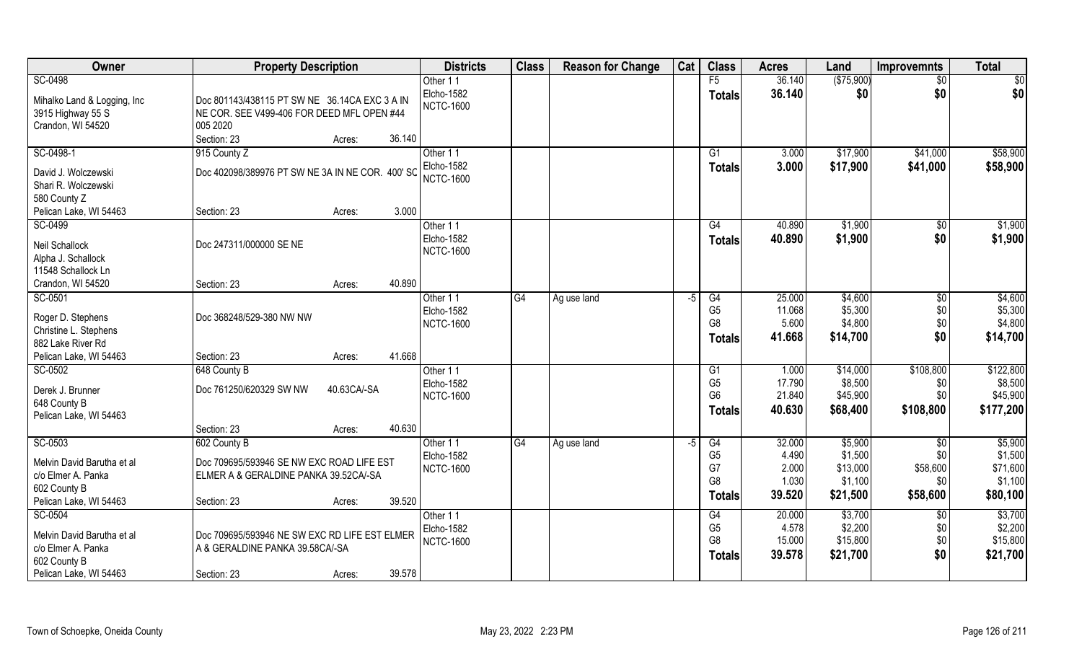| Owner                        | <b>Property Description</b>                      | <b>Districts</b>  | <b>Class</b> | <b>Reason for Change</b> | Cat  | <b>Class</b>   | <b>Acres</b> | Land       | <b>Improvemnts</b>     | <b>Total</b> |
|------------------------------|--------------------------------------------------|-------------------|--------------|--------------------------|------|----------------|--------------|------------|------------------------|--------------|
| SC-0498                      |                                                  | Other 11          |              |                          |      | F5             | 36.140       | (\$75,900) | $\frac{1}{30}$         | \$0          |
| Mihalko Land & Logging, Inc. | Doc 801143/438115 PT SW NE 36.14CA EXC 3 A IN    | <b>Elcho-1582</b> |              |                          |      | <b>Totals</b>  | 36.140       | \$0        | \$0                    | \$0          |
| 3915 Highway 55 S            | NE COR. SEE V499-406 FOR DEED MFL OPEN #44       | <b>NCTC-1600</b>  |              |                          |      |                |              |            |                        |              |
| Crandon, WI 54520            | 005 2020                                         |                   |              |                          |      |                |              |            |                        |              |
|                              | Section: 23<br>36.140<br>Acres:                  |                   |              |                          |      |                |              |            |                        |              |
| SC-0498-1                    | 915 County Z                                     | Other 11          |              |                          |      | G1             | 3.000        | \$17,900   | \$41,000               | \$58,900     |
|                              |                                                  | <b>Elcho-1582</b> |              |                          |      | Totals         | 3.000        | \$17,900   | \$41,000               | \$58,900     |
| David J. Wolczewski          | Doc 402098/389976 PT SW NE 3A IN NE COR. 400' SC | <b>NCTC-1600</b>  |              |                          |      |                |              |            |                        |              |
| Shari R. Wolczewski          |                                                  |                   |              |                          |      |                |              |            |                        |              |
| 580 County Z                 |                                                  |                   |              |                          |      |                |              |            |                        |              |
| Pelican Lake, WI 54463       | 3.000<br>Section: 23<br>Acres:                   |                   |              |                          |      |                |              |            |                        |              |
| SC-0499                      |                                                  | Other 11          |              |                          |      | G4             | 40.890       | \$1,900    | \$0                    | \$1,900      |
| Neil Schallock               | Doc 247311/000000 SE NE                          | <b>Elcho-1582</b> |              |                          |      | <b>Totals</b>  | 40.890       | \$1,900    | \$0                    | \$1,900      |
| Alpha J. Schallock           |                                                  | <b>NCTC-1600</b>  |              |                          |      |                |              |            |                        |              |
| 11548 Schallock Ln           |                                                  |                   |              |                          |      |                |              |            |                        |              |
| Crandon, WI 54520            | 40.890<br>Section: 23<br>Acres:                  |                   |              |                          |      |                |              |            |                        |              |
| SC-0501                      |                                                  | Other 11          | G4           | Ag use land              | -5   | G4             | 25.000       | \$4,600    | $\sqrt[6]{3}$          | \$4,600      |
|                              |                                                  | Elcho-1582        |              |                          |      | G <sub>5</sub> | 11.068       | \$5,300    | \$0                    | \$5,300      |
| Roger D. Stephens            | Doc 368248/529-380 NW NW                         | <b>NCTC-1600</b>  |              |                          |      | G8             | 5.600        | \$4,800    | \$0                    | \$4,800      |
| Christine L. Stephens        |                                                  |                   |              |                          |      | Totals         | 41.668       | \$14,700   | \$0                    | \$14,700     |
| 882 Lake River Rd            |                                                  |                   |              |                          |      |                |              |            |                        |              |
| Pelican Lake, WI 54463       | 41.668<br>Section: 23<br>Acres:                  |                   |              |                          |      |                |              |            |                        |              |
| SC-0502                      | 648 County B                                     | Other 11          |              |                          |      | G1             | 1.000        | \$14,000   | \$108,800              | \$122,800    |
| Derek J. Brunner             | 40.63CA/-SA<br>Doc 761250/620329 SW NW           | <b>Elcho-1582</b> |              |                          |      | G <sub>5</sub> | 17.790       | \$8,500    | \$0                    | \$8,500      |
| 648 County B                 |                                                  | <b>NCTC-1600</b>  |              |                          |      | G <sub>6</sub> | 21.840       | \$45,900   | \$0                    | \$45,900     |
| Pelican Lake, WI 54463       |                                                  |                   |              |                          |      | <b>Totals</b>  | 40.630       | \$68,400   | \$108,800              | \$177,200    |
|                              | 40.630<br>Section: 23<br>Acres:                  |                   |              |                          |      |                |              |            |                        |              |
| SC-0503                      | 602 County B                                     | Other 11          | G4           | Ag use land              | $-5$ | G4             | 32.000       | \$5,900    | $\sqrt{6}$             | \$5,900      |
| Melvin David Barutha et al   | Doc 709695/593946 SE NW EXC ROAD LIFE EST        | Elcho-1582        |              |                          |      | G <sub>5</sub> | 4.490        | \$1,500    | \$0                    | \$1,500      |
| c/o Elmer A. Panka           | ELMER A & GERALDINE PANKA 39.52CA/-SA            | <b>NCTC-1600</b>  |              |                          |      | G7             | 2.000        | \$13,000   | \$58,600               | \$71,600     |
| 602 County B                 |                                                  |                   |              |                          |      | G <sub>8</sub> | 1.030        | \$1,100    | \$0                    | \$1,100      |
| Pelican Lake, WI 54463       | 39.520<br>Section: 23                            |                   |              |                          |      | <b>Totals</b>  | 39.520       | \$21,500   | \$58,600               | \$80,100     |
| SC-0504                      | Acres:                                           | Other 11          |              |                          |      | G4             | 20.000       | \$3,700    |                        | \$3,700      |
|                              |                                                  | <b>Elcho-1582</b> |              |                          |      | G <sub>5</sub> | 4.578        | \$2,200    | $\overline{50}$<br>\$0 | \$2,200      |
| Melvin David Barutha et al   | Doc 709695/593946 NE SW EXC RD LIFE EST ELMER    | <b>NCTC-1600</b>  |              |                          |      | G <sub>8</sub> | 15.000       | \$15,800   | \$0                    | \$15,800     |
| c/o Elmer A. Panka           | A & GERALDINE PANKA 39.58CA/-SA                  |                   |              |                          |      |                | 39.578       | \$21,700   | \$0                    | \$21,700     |
| 602 County B                 |                                                  |                   |              |                          |      | <b>Totals</b>  |              |            |                        |              |
| Pelican Lake, WI 54463       | 39.578<br>Section: 23<br>Acres:                  |                   |              |                          |      |                |              |            |                        |              |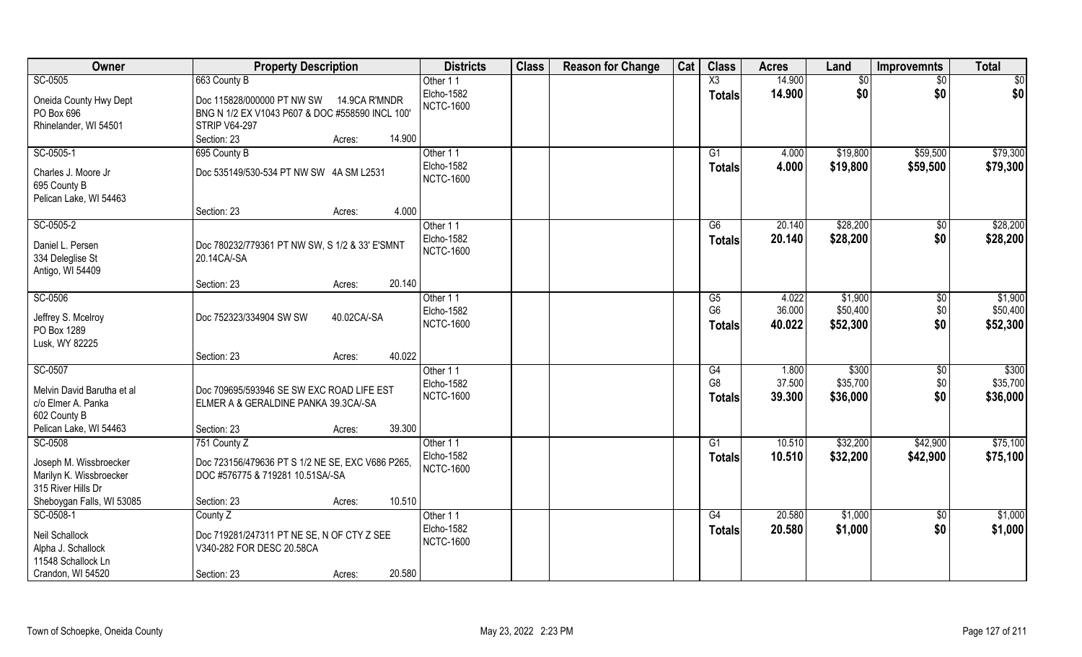| Owner                                            | <b>Property Description</b>                                                       |                  | <b>Districts</b>       | <b>Class</b> | <b>Reason for Change</b> | Cat | <b>Class</b>    | <b>Acres</b> | Land     | <b>Improvemnts</b> | <b>Total</b>    |
|--------------------------------------------------|-----------------------------------------------------------------------------------|------------------|------------------------|--------------|--------------------------|-----|-----------------|--------------|----------|--------------------|-----------------|
| SC-0505                                          | 663 County B                                                                      |                  | Other 11               |              |                          |     | X3              | 14.900       | \$0      | $\sqrt{6}$         | $\overline{50}$ |
| Oneida County Hwy Dept                           | Doc 115828/000000 PT NW SW                                                        | 14.9CA R'MNDR    | Elcho-1582             |              |                          |     | <b>Totals</b>   | 14.900       | \$0      | \$0                | \$0             |
| PO Box 696                                       | BNG N 1/2 EX V1043 P607 & DOC #558590 INCL 100'                                   |                  | <b>NCTC-1600</b>       |              |                          |     |                 |              |          |                    |                 |
| Rhinelander, WI 54501                            | <b>STRIP V64-297</b>                                                              |                  |                        |              |                          |     |                 |              |          |                    |                 |
|                                                  | Section: 23                                                                       | 14.900<br>Acres: |                        |              |                          |     |                 |              |          |                    |                 |
| SC-0505-1                                        | 695 County B                                                                      |                  | Other 11               |              |                          |     | $\overline{G1}$ | 4.000        | \$19,800 | \$59,500           | \$79,300        |
|                                                  |                                                                                   |                  | Elcho-1582             |              |                          |     | Totals          | 4.000        | \$19,800 | \$59,500           | \$79,300        |
| Charles J. Moore Jr                              | Doc 535149/530-534 PT NW SW 4A SM L2531                                           |                  | <b>NCTC-1600</b>       |              |                          |     |                 |              |          |                    |                 |
| 695 County B                                     |                                                                                   |                  |                        |              |                          |     |                 |              |          |                    |                 |
| Pelican Lake, WI 54463                           | Section: 23                                                                       | 4.000            |                        |              |                          |     |                 |              |          |                    |                 |
| SC-0505-2                                        |                                                                                   | Acres:           |                        |              |                          |     | G6              | 20.140       | \$28,200 |                    | \$28,200        |
|                                                  |                                                                                   |                  | Other 11<br>Elcho-1582 |              |                          |     |                 |              |          | $\sqrt[6]{30}$     |                 |
| Daniel L. Persen                                 | Doc 780232/779361 PT NW SW, S 1/2 & 33' E'SMNT                                    |                  | <b>NCTC-1600</b>       |              |                          |     | <b>Totals</b>   | 20.140       | \$28,200 | \$0                | \$28,200        |
| 334 Deleglise St                                 | 20.14CA/-SA                                                                       |                  |                        |              |                          |     |                 |              |          |                    |                 |
| Antigo, WI 54409                                 |                                                                                   |                  |                        |              |                          |     |                 |              |          |                    |                 |
|                                                  | Section: 23                                                                       | 20.140<br>Acres: |                        |              |                          |     |                 |              |          |                    |                 |
| SC-0506                                          |                                                                                   |                  | Other 11               |              |                          |     | G5              | 4.022        | \$1,900  | $\sqrt[6]{3}$      | \$1,900         |
| Jeffrey S. Mcelroy                               | Doc 752323/334904 SW SW                                                           | 40.02CA/-SA      | Elcho-1582             |              |                          |     | G <sub>6</sub>  | 36.000       | \$50,400 | \$0                | \$50,400        |
| PO Box 1289                                      |                                                                                   |                  | <b>NCTC-1600</b>       |              |                          |     | <b>Totals</b>   | 40.022       | \$52,300 | \$0                | \$52,300        |
| Lusk, WY 82225                                   |                                                                                   |                  |                        |              |                          |     |                 |              |          |                    |                 |
|                                                  | Section: 23                                                                       | 40.022<br>Acres: |                        |              |                          |     |                 |              |          |                    |                 |
| SC-0507                                          |                                                                                   |                  | Other 11               |              |                          |     | G4              | 1.800        | \$300    | \$0                | \$300           |
|                                                  |                                                                                   |                  | Elcho-1582             |              |                          |     | G <sub>8</sub>  | 37.500       | \$35,700 | \$0                | \$35,700        |
| Melvin David Barutha et al<br>c/o Elmer A. Panka | Doc 709695/593946 SE SW EXC ROAD LIFE EST<br>ELMER A & GERALDINE PANKA 39.3CA/-SA |                  | <b>NCTC-1600</b>       |              |                          |     | <b>Totals</b>   | 39.300       | \$36,000 | \$0                | \$36,000        |
| 602 County B                                     |                                                                                   |                  |                        |              |                          |     |                 |              |          |                    |                 |
| Pelican Lake, WI 54463                           | Section: 23                                                                       | 39.300<br>Acres: |                        |              |                          |     |                 |              |          |                    |                 |
| SC-0508                                          | 751 County Z                                                                      |                  | Other 11               |              |                          |     | G1              | 10.510       | \$32,200 | \$42,900           | \$75,100        |
|                                                  |                                                                                   |                  | Elcho-1582             |              |                          |     | <b>Totals</b>   | 10.510       | \$32,200 | \$42,900           | \$75,100        |
| Joseph M. Wissbroecker                           | Doc 723156/479636 PT S 1/2 NE SE, EXC V686 P265,                                  |                  | <b>NCTC-1600</b>       |              |                          |     |                 |              |          |                    |                 |
| Marilyn K. Wissbroecker                          | DOC #576775 & 719281 10.51SA/-SA                                                  |                  |                        |              |                          |     |                 |              |          |                    |                 |
| 315 River Hills Dr                               |                                                                                   |                  |                        |              |                          |     |                 |              |          |                    |                 |
| Sheboygan Falls, WI 53085                        | Section: 23                                                                       | 10.510<br>Acres: |                        |              |                          |     |                 |              |          |                    |                 |
| SC-0508-1                                        | County Z                                                                          |                  | Other 11               |              |                          |     | G4              | 20.580       | \$1,000  | $\overline{50}$    | \$1,000         |
| Neil Schallock                                   | Doc 719281/247311 PT NE SE, N OF CTY Z SEE                                        |                  | Elcho-1582             |              |                          |     | <b>Totals</b>   | 20.580       | \$1,000  | \$0                | \$1,000         |
| Alpha J. Schallock                               | V340-282 FOR DESC 20.58CA                                                         |                  | <b>NCTC-1600</b>       |              |                          |     |                 |              |          |                    |                 |
| 11548 Schallock Ln                               |                                                                                   |                  |                        |              |                          |     |                 |              |          |                    |                 |
| Crandon, WI 54520                                | Section: 23                                                                       | 20.580<br>Acres: |                        |              |                          |     |                 |              |          |                    |                 |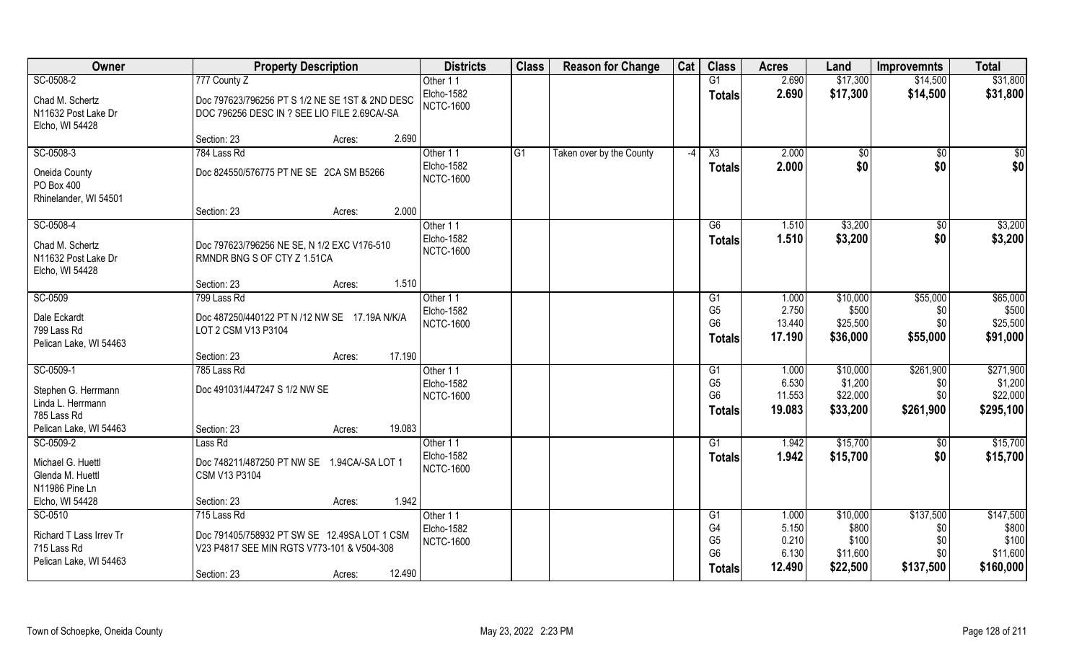| Owner                   | <b>Property Description</b>                     | <b>Districts</b>  | <b>Class</b> | <b>Reason for Change</b> | Cat  | <b>Class</b>   | <b>Acres</b> | Land         | Improvemnts | <b>Total</b> |
|-------------------------|-------------------------------------------------|-------------------|--------------|--------------------------|------|----------------|--------------|--------------|-------------|--------------|
| SC-0508-2               | 777 County Z                                    | Other 11          |              |                          |      | G1             | 2.690        | \$17,300     | \$14,500    | \$31,800     |
| Chad M. Schertz         | Doc 797623/796256 PT S 1/2 NE SE 1ST & 2ND DESC | Elcho-1582        |              |                          |      | <b>Totals</b>  | 2.690        | \$17,300     | \$14,500    | \$31,800     |
| N11632 Post Lake Dr     | DOC 796256 DESC IN ? SEE LIO FILE 2.69CA/-SA    | <b>NCTC-1600</b>  |              |                          |      |                |              |              |             |              |
| Elcho, WI 54428         |                                                 |                   |              |                          |      |                |              |              |             |              |
|                         | 2.690<br>Section: 23<br>Acres:                  |                   |              |                          |      |                |              |              |             |              |
| SC-0508-3               | 784 Lass Rd                                     | Other 11          | G1           | Taken over by the County | $-4$ | X3             | 2.000        | $\sqrt[6]{}$ | $\sqrt{$0}$ | \$0          |
| Oneida County           | Doc 824550/576775 PT NE SE 2CA SM B5266         | Elcho-1582        |              |                          |      | <b>Totals</b>  | 2.000        | \$0          | \$0         | \$0          |
| PO Box 400              |                                                 | <b>NCTC-1600</b>  |              |                          |      |                |              |              |             |              |
| Rhinelander, WI 54501   |                                                 |                   |              |                          |      |                |              |              |             |              |
|                         | 2.000<br>Section: 23<br>Acres:                  |                   |              |                          |      |                |              |              |             |              |
| SC-0508-4               |                                                 | Other 11          |              |                          |      | G6             | 1.510        | \$3,200      | \$0         | \$3,200      |
| Chad M. Schertz         | Doc 797623/796256 NE SE, N 1/2 EXC V176-510     | Elcho-1582        |              |                          |      | <b>Totals</b>  | 1.510        | \$3,200      | \$0         | \$3,200      |
| N11632 Post Lake Dr     | RMNDR BNG S OF CTY Z 1.51CA                     | <b>NCTC-1600</b>  |              |                          |      |                |              |              |             |              |
| Elcho, WI 54428         |                                                 |                   |              |                          |      |                |              |              |             |              |
|                         | 1.510<br>Section: 23<br>Acres:                  |                   |              |                          |      |                |              |              |             |              |
| SC-0509                 | 799 Lass Rd                                     | Other 11          |              |                          |      | G <sub>1</sub> | 1.000        | \$10,000     | \$55,000    | \$65,000     |
| Dale Eckardt            | Doc 487250/440122 PT N /12 NW SE 17.19A N/K/A   | Elcho-1582        |              |                          |      | G <sub>5</sub> | 2.750        | \$500        | \$0         | \$500        |
| 799 Lass Rd             | LOT 2 CSM V13 P3104                             | <b>NCTC-1600</b>  |              |                          |      | G <sub>6</sub> | 13.440       | \$25,500     | \$0         | \$25,500     |
| Pelican Lake, WI 54463  |                                                 |                   |              |                          |      | <b>Totals</b>  | 17.190       | \$36,000     | \$55,000    | \$91,000     |
|                         | 17.190<br>Section: 23<br>Acres:                 |                   |              |                          |      |                |              |              |             |              |
| SC-0509-1               | 785 Lass Rd                                     | Other 11          |              |                          |      | G1             | 1.000        | \$10,000     | \$261,900   | \$271,900    |
| Stephen G. Herrmann     | Doc 491031/447247 S 1/2 NW SE                   | Elcho-1582        |              |                          |      | G <sub>5</sub> | 6.530        | \$1,200      | \$0         | \$1,200      |
| Linda L. Herrmann       |                                                 | <b>NCTC-1600</b>  |              |                          |      | G <sub>6</sub> | 11.553       | \$22,000     | \$0         | \$22,000     |
| 785 Lass Rd             |                                                 |                   |              |                          |      | <b>Totals</b>  | 19.083       | \$33,200     | \$261,900   | \$295,100    |
| Pelican Lake, WI 54463  | 19.083<br>Section: 23<br>Acres:                 |                   |              |                          |      |                |              |              |             |              |
| SC-0509-2               | Lass Rd                                         | Other 11          |              |                          |      | G1             | 1.942        | \$15,700     | \$0         | \$15,700     |
| Michael G. Huettl       | Doc 748211/487250 PT NW SE<br>1.94CA/-SA LOT 1  | Elcho-1582        |              |                          |      | <b>Totals</b>  | 1.942        | \$15,700     | \$0         | \$15,700     |
| Glenda M. Huettl        | CSM V13 P3104                                   | <b>NCTC-1600</b>  |              |                          |      |                |              |              |             |              |
| N11986 Pine Ln          |                                                 |                   |              |                          |      |                |              |              |             |              |
| Elcho, WI 54428         | 1.942<br>Section: 23<br>Acres:                  |                   |              |                          |      |                |              |              |             |              |
| SC-0510                 | 715 Lass Rd                                     | Other 11          |              |                          |      | G <sub>1</sub> | 1.000        | \$10,000     | \$137,500   | \$147,500    |
| Richard T Lass Irrev Tr | Doc 791405/758932 PT SW SE 12.49SA LOT 1 CSM    | <b>Elcho-1582</b> |              |                          |      | G4             | 5.150        | \$800        | \$0         | \$800        |
| 715 Lass Rd             | V23 P4817 SEE MIN RGTS V773-101 & V504-308      | <b>NCTC-1600</b>  |              |                          |      | G <sub>5</sub> | 0.210        | \$100        | \$0         | \$100        |
| Pelican Lake, WI 54463  |                                                 |                   |              |                          |      | G <sub>6</sub> | 6.130        | \$11,600     | \$0         | \$11,600     |
|                         | 12.490<br>Section: 23<br>Acres:                 |                   |              |                          |      | <b>Totals</b>  | 12.490       | \$22,500     | \$137,500   | \$160,000    |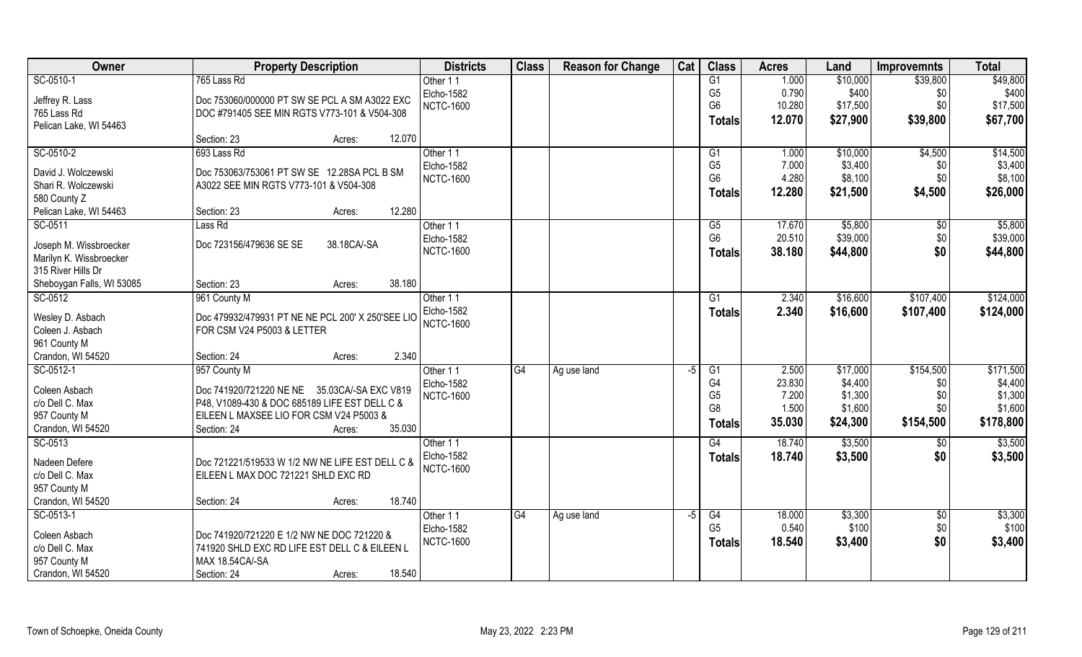| Owner                     | <b>Property Description</b>                       | <b>Districts</b>  | <b>Class</b> | <b>Reason for Change</b> | Cat | <b>Class</b>         | <b>Acres</b>   | Land               | <b>Improvemnts</b> | <b>Total</b>       |
|---------------------------|---------------------------------------------------|-------------------|--------------|--------------------------|-----|----------------------|----------------|--------------------|--------------------|--------------------|
| SC-0510-1                 | 765 Lass Rd                                       | Other 11          |              |                          |     | G1                   | 1.000          | \$10,000           | \$39,800           | \$49,800           |
| Jeffrey R. Lass           | Doc 753060/000000 PT SW SE PCL A SM A3022 EXC     | Elcho-1582        |              |                          |     | G <sub>5</sub>       | 0.790          | \$400              | \$0                | \$400              |
| 765 Lass Rd               | DOC #791405 SEE MIN RGTS V773-101 & V504-308      | <b>NCTC-1600</b>  |              |                          |     | G <sub>6</sub>       | 10.280         | \$17,500           | \$0                | \$17,500           |
| Pelican Lake, WI 54463    |                                                   |                   |              |                          |     | <b>Totals</b>        | 12.070         | \$27,900           | \$39,800           | \$67,700           |
|                           | 12.070<br>Section: 23<br>Acres:                   |                   |              |                          |     |                      |                |                    |                    |                    |
| SC-0510-2                 | 693 Lass Rd                                       | Other 11          |              |                          |     | G1                   | 1.000          | \$10,000           | \$4,500            | \$14,500           |
| David J. Wolczewski       | Doc 753063/753061 PT SW SE 12.28SA PCL B SM       | Elcho-1582        |              |                          |     | G <sub>5</sub>       | 7.000          | \$3,400            | \$0                | \$3,400            |
| Shari R. Wolczewski       | A3022 SEE MIN RGTS V773-101 & V504-308            | <b>NCTC-1600</b>  |              |                          |     | G <sub>6</sub>       | 4.280          | \$8,100            | \$0                | \$8,100            |
| 580 County Z              |                                                   |                   |              |                          |     | <b>Totals</b>        | 12.280         | \$21,500           | \$4,500            | \$26,000           |
| Pelican Lake, WI 54463    | 12.280<br>Section: 23<br>Acres:                   |                   |              |                          |     |                      |                |                    |                    |                    |
| SC-0511                   | Lass Rd                                           | Other 11          |              |                          |     | G5                   | 17.670         | \$5,800            | $\sqrt[6]{30}$     | \$5,800            |
| Joseph M. Wissbroecker    | Doc 723156/479636 SE SE<br>38.18CA/-SA            | Elcho-1582        |              |                          |     | G <sub>6</sub>       | 20.510         | \$39,000           | \$0                | \$39,000           |
| Marilyn K. Wissbroecker   |                                                   | <b>NCTC-1600</b>  |              |                          |     | <b>Totals</b>        | 38.180         | \$44,800           | \$0                | \$44,800           |
| 315 River Hills Dr        |                                                   |                   |              |                          |     |                      |                |                    |                    |                    |
| Sheboygan Falls, WI 53085 | 38.180<br>Section: 23<br>Acres:                   |                   |              |                          |     |                      |                |                    |                    |                    |
| SC-0512                   | 961 County M                                      | Other 11          |              |                          |     | G1                   | 2.340          | \$16,600           | \$107,400          | \$124,000          |
|                           |                                                   | Elcho-1582        |              |                          |     | <b>Totals</b>        | 2.340          | \$16,600           | \$107,400          | \$124,000          |
| Wesley D. Asbach          | Doc 479932/479931 PT NE NE PCL 200' X 250'SEE LIO | <b>NCTC-1600</b>  |              |                          |     |                      |                |                    |                    |                    |
| Coleen J. Asbach          | FOR CSM V24 P5003 & LETTER                        |                   |              |                          |     |                      |                |                    |                    |                    |
| 961 County M              |                                                   |                   |              |                          |     |                      |                |                    |                    |                    |
| Crandon, WI 54520         | 2.340<br>Section: 24<br>Acres:                    |                   |              |                          |     |                      |                |                    |                    |                    |
| SC-0512-1                 | 957 County M                                      | Other 11          | G4           | Ag use land              | -5  | G1                   | 2.500          | \$17,000           | \$154,500          | \$171,500          |
| Coleen Asbach             | Doc 741920/721220 NE NE 35.03CA/-SA EXC V819      | <b>Elcho-1582</b> |              |                          |     | G4                   | 23.830         | \$4,400            | \$0                | \$4,400            |
| c/o Dell C. Max           | P48, V1089-430 & DOC 685189 LIFE EST DELL C &     | <b>NCTC-1600</b>  |              |                          |     | G <sub>5</sub><br>G8 | 7.200<br>1.500 | \$1,300<br>\$1,600 | \$0<br>\$0         | \$1,300<br>\$1,600 |
| 957 County M              | EILEEN L MAXSEE LIO FOR CSM V24 P5003 &           |                   |              |                          |     |                      | 35.030         | \$24,300           | \$154,500          | \$178,800          |
| Crandon, WI 54520         | 35.030<br>Section: 24<br>Acres:                   |                   |              |                          |     | <b>Totals</b>        |                |                    |                    |                    |
| SC-0513                   |                                                   | Other 11          |              |                          |     | G4                   | 18.740         | \$3,500            | \$0                | \$3,500            |
| Nadeen Defere             | Doc 721221/519533 W 1/2 NW NE LIFE EST DELL C &   | Elcho-1582        |              |                          |     | <b>Totals</b>        | 18.740         | \$3,500            | \$0                | \$3,500            |
| c/o Dell C. Max           | EILEEN L MAX DOC 721221 SHLD EXC RD               | <b>NCTC-1600</b>  |              |                          |     |                      |                |                    |                    |                    |
| 957 County M              |                                                   |                   |              |                          |     |                      |                |                    |                    |                    |
| Crandon, WI 54520         | 18.740<br>Section: 24<br>Acres:                   |                   |              |                          |     |                      |                |                    |                    |                    |
| SC-0513-1                 |                                                   | Other 11          | G4           | Ag use land              | -5  | G4                   | 18.000         | \$3,300            | $\sqrt{$0}$        | \$3,300            |
| Coleen Asbach             | Doc 741920/721220 E 1/2 NW NE DOC 721220 &        | Elcho-1582        |              |                          |     | G <sub>5</sub>       | 0.540          | \$100              | \$0                | \$100              |
| c/o Dell C. Max           | 741920 SHLD EXC RD LIFE EST DELL C & EILEEN L     | <b>NCTC-1600</b>  |              |                          |     | <b>Totals</b>        | 18.540         | \$3,400            | \$0                | \$3,400            |
| 957 County M              | MAX 18.54CA/-SA                                   |                   |              |                          |     |                      |                |                    |                    |                    |
| Crandon, WI 54520         | 18.540<br>Section: 24<br>Acres:                   |                   |              |                          |     |                      |                |                    |                    |                    |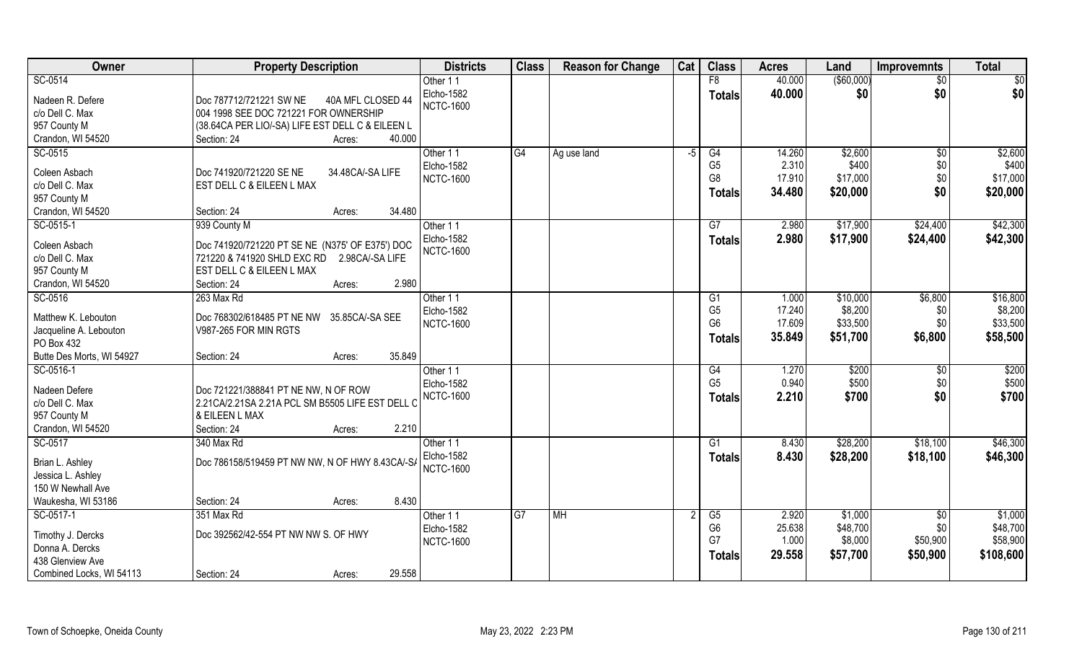| Owner                                                                              | <b>Property Description</b>                                                                                                                                                      | <b>Districts</b>                           | <b>Class</b> | <b>Reason for Change</b> | Cat            | <b>Class</b>                                      | <b>Acres</b>                       | Land                                       | <b>Improvemnts</b>                             | <b>Total</b>                                 |
|------------------------------------------------------------------------------------|----------------------------------------------------------------------------------------------------------------------------------------------------------------------------------|--------------------------------------------|--------------|--------------------------|----------------|---------------------------------------------------|------------------------------------|--------------------------------------------|------------------------------------------------|----------------------------------------------|
| SC-0514                                                                            |                                                                                                                                                                                  | Other 11                                   |              |                          |                | F8                                                | 40.000                             | ( \$60,000)                                | \$0                                            | \$0                                          |
| Nadeen R. Defere<br>c/o Dell C. Max<br>957 County M                                | Doc 787712/721221 SW NE<br>40A MFL CLOSED 44<br>004 1998 SEE DOC 721221 FOR OWNERSHIP<br>(38.64CA PER LIO/-SA) LIFE EST DELL C & EILEEN L                                        | Elcho-1582<br><b>NCTC-1600</b>             |              |                          |                | <b>Totals</b>                                     | 40.000                             | \$0                                        | \$0                                            | \$0                                          |
| Crandon, WI 54520                                                                  | 40.000<br>Section: 24<br>Acres:                                                                                                                                                  |                                            |              |                          |                |                                                   |                                    |                                            |                                                |                                              |
| SC-0515<br>Coleen Asbach                                                           | Doc 741920/721220 SE NE<br>34.48CA/-SA LIFE                                                                                                                                      | Other 11<br>Elcho-1582                     | G4           | Ag use land              | $-5$           | G4<br>G <sub>5</sub><br>G <sub>8</sub>            | 14.260<br>2.310<br>17.910          | \$2,600<br>\$400<br>\$17,000               | $\overline{50}$<br>\$0<br>\$0                  | \$2,600<br>\$400<br>\$17,000                 |
| c/o Dell C. Max<br>957 County M                                                    | EST DELL C & EILEEN L MAX                                                                                                                                                        | <b>NCTC-1600</b>                           |              |                          |                | <b>Totals</b>                                     | 34.480                             | \$20,000                                   | \$0                                            | \$20,000                                     |
| Crandon, WI 54520                                                                  | 34.480<br>Section: 24<br>Acres:                                                                                                                                                  |                                            |              |                          |                |                                                   |                                    |                                            |                                                |                                              |
| SC-0515-1<br>Coleen Asbach<br>c/o Dell C. Max<br>957 County M<br>Crandon, WI 54520 | 939 County M<br>Doc 741920/721220 PT SE NE (N375' OF E375') DOC<br>721220 & 741920 SHLD EXC RD<br>2.98CA/-SA LIFE<br>EST DELL C & EILEEN L MAX<br>2.980<br>Section: 24<br>Acres: | Other 11<br>Elcho-1582<br><b>NCTC-1600</b> |              |                          |                | G7<br><b>Totals</b>                               | 2.980<br>2.980                     | \$17,900<br>\$17,900                       | \$24,400<br>\$24,400                           | \$42,300<br>\$42,300                         |
| SC-0516                                                                            | 263 Max Rd                                                                                                                                                                       | Other 11                                   |              |                          |                | G <sub>1</sub>                                    | 1.000                              | \$10,000                                   | \$6,800                                        | \$16,800                                     |
| Matthew K. Lebouton<br>Jacqueline A. Lebouton<br>PO Box 432                        | Doc 768302/618485 PT NE NW 35.85CA/-SA SEE<br>V987-265 FOR MIN RGTS                                                                                                              | Elcho-1582<br><b>NCTC-1600</b>             |              |                          |                | G <sub>5</sub><br>G <sub>6</sub><br><b>Totals</b> | 17.240<br>17.609<br>35.849         | \$8,200<br>\$33,500<br>\$51,700            | \$0<br>\$0<br>\$6,800                          | \$8,200<br>\$33,500<br>\$58,500              |
| Butte Des Morts, WI 54927                                                          | 35.849<br>Section: 24<br>Acres:                                                                                                                                                  |                                            |              |                          |                |                                                   |                                    |                                            |                                                |                                              |
| SC-0516-1<br>Nadeen Defere<br>c/o Dell C. Max<br>957 County M<br>Crandon, WI 54520 | Doc 721221/388841 PT NE NW, N OF ROW<br>2.21 CA/2.21 SA 2.21 A PCL SM B5505 LIFE EST DELL (<br>& EILEEN L MAX<br>2.210<br>Section: 24<br>Acres:                                  | Other 11<br>Elcho-1582<br><b>NCTC-1600</b> |              |                          |                | G4<br>G <sub>5</sub><br><b>Totals</b>             | 1.270<br>0.940<br>2.210            | \$200<br>\$500<br>\$700                    | $\sqrt[6]{30}$<br>\$0<br>\$0                   | \$200<br>\$500<br>\$700                      |
| SC-0517                                                                            | 340 Max Rd                                                                                                                                                                       | Other 11                                   |              |                          |                | G1                                                | 8.430                              | \$28,200                                   | \$18,100                                       | \$46,300                                     |
| Brian L. Ashley<br>Jessica L. Ashley<br>150 W Newhall Ave                          | Doc 786158/519459 PT NW NW, N OF HWY 8.43CA/-S/                                                                                                                                  | Elcho-1582<br><b>NCTC-1600</b>             |              |                          |                | <b>Totals</b>                                     | 8.430                              | \$28,200                                   | \$18,100                                       | \$46,300                                     |
| Waukesha, WI 53186                                                                 | 8.430<br>Section: 24<br>Acres:                                                                                                                                                   |                                            |              |                          |                |                                                   |                                    |                                            |                                                |                                              |
| SC-0517-1<br>Timothy J. Dercks<br>Donna A. Dercks<br>438 Glenview Ave              | 351 Max Rd<br>Doc 392562/42-554 PT NW NW S. OF HWY<br>29.558                                                                                                                     | Other 11<br>Elcho-1582<br><b>NCTC-1600</b> | TG7          | M <sub>H</sub>           | $\overline{2}$ | G5<br>G <sub>6</sub><br>G7<br><b>Totals</b>       | 2.920<br>25.638<br>1.000<br>29.558 | \$1,000<br>\$48,700<br>\$8,000<br>\$57,700 | $\overline{50}$<br>\$0<br>\$50,900<br>\$50,900 | \$1,000<br>\$48,700<br>\$58,900<br>\$108,600 |
| Combined Locks, WI 54113                                                           | Section: 24<br>Acres:                                                                                                                                                            |                                            |              |                          |                |                                                   |                                    |                                            |                                                |                                              |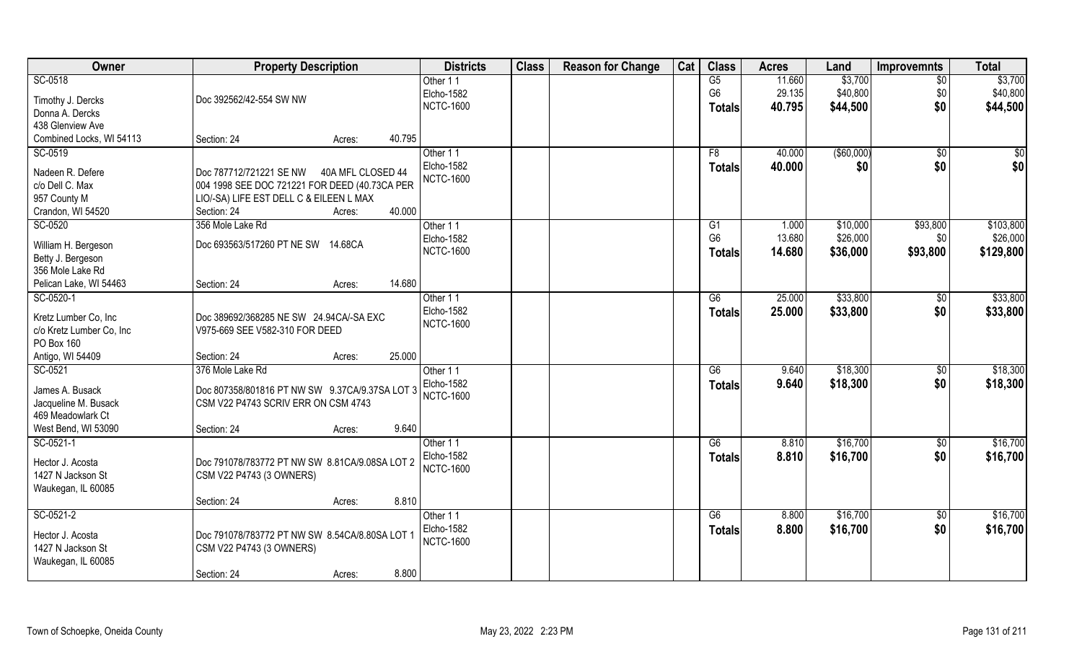| Owner                    | <b>Property Description</b>                    | <b>Districts</b>              | <b>Class</b> | <b>Reason for Change</b> | Cat | <b>Class</b>   | <b>Acres</b> | Land        | <b>Improvemnts</b> | <b>Total</b> |
|--------------------------|------------------------------------------------|-------------------------------|--------------|--------------------------|-----|----------------|--------------|-------------|--------------------|--------------|
| SC-0518                  |                                                | Other 11                      |              |                          |     | G5             | 11.660       | \$3,700     | \$0                | \$3,700      |
| Timothy J. Dercks        | Doc 392562/42-554 SW NW                        | Elcho-1582                    |              |                          |     | G <sub>6</sub> | 29.135       | \$40,800    | \$0                | \$40,800     |
| Donna A. Dercks          |                                                | <b>NCTC-1600</b>              |              |                          |     | <b>Totals</b>  | 40.795       | \$44,500    | \$0                | \$44,500     |
| 438 Glenview Ave         |                                                |                               |              |                          |     |                |              |             |                    |              |
| Combined Locks, WI 54113 | 40.795<br>Section: 24<br>Acres:                |                               |              |                          |     |                |              |             |                    |              |
| SC-0519                  |                                                | Other 11                      |              |                          |     | F8             | 40.000       | ( \$60,000) | $\sqrt{$0}$        | \$0          |
|                          |                                                | <b>Elcho-1582</b>             |              |                          |     | <b>Totals</b>  | 40.000       | \$0         | \$0                | \$0          |
| Nadeen R. Defere         | Doc 787712/721221 SE NW<br>40A MFL CLOSED 44   | <b>NCTC-1600</b>              |              |                          |     |                |              |             |                    |              |
| c/o Dell C. Max          | 004 1998 SEE DOC 721221 FOR DEED (40.73CA PER  |                               |              |                          |     |                |              |             |                    |              |
| 957 County M             | LIO/-SA) LIFE EST DELL C & EILEEN L MAX        |                               |              |                          |     |                |              |             |                    |              |
| Crandon, WI 54520        | 40.000<br>Section: 24<br>Acres:                |                               |              |                          |     |                |              |             |                    |              |
| SC-0520                  | 356 Mole Lake Rd                               | Other 11                      |              |                          |     | G1             | 1.000        | \$10,000    | \$93,800           | \$103,800    |
| William H. Bergeson      | Doc 693563/517260 PT NE SW 14.68CA             | Elcho-1582                    |              |                          |     | G <sub>6</sub> | 13.680       | \$26,000    | \$0                | \$26,000     |
| Betty J. Bergeson        |                                                | <b>NCTC-1600</b>              |              |                          |     | <b>Totals</b>  | 14.680       | \$36,000    | \$93,800           | \$129,800    |
| 356 Mole Lake Rd         |                                                |                               |              |                          |     |                |              |             |                    |              |
| Pelican Lake, WI 54463   | 14.680<br>Section: 24<br>Acres:                |                               |              |                          |     |                |              |             |                    |              |
| SC-0520-1                |                                                | Other 11                      |              |                          |     | G6             | 25.000       | \$33,800    | \$0                | \$33,800     |
|                          |                                                | Elcho-1582                    |              |                          |     | <b>Totals</b>  | 25.000       | \$33,800    | \$0                | \$33,800     |
| Kretz Lumber Co, Inc     | Doc 389692/368285 NE SW 24.94CA/-SA EXC        | <b>NCTC-1600</b>              |              |                          |     |                |              |             |                    |              |
| c/o Kretz Lumber Co, Inc | V975-669 SEE V582-310 FOR DEED                 |                               |              |                          |     |                |              |             |                    |              |
| PO Box 160               |                                                |                               |              |                          |     |                |              |             |                    |              |
| Antigo, WI 54409         | 25.000<br>Section: 24<br>Acres:                |                               |              |                          |     |                |              |             |                    |              |
| SC-0521                  | 376 Mole Lake Rd                               | Other 11                      |              |                          |     | G6             | 9.640        | \$18,300    | $\sqrt[6]{30}$     | \$18,300     |
| James A. Busack          | Doc 807358/801816 PT NW SW 9.37CA/9.37SA LOT 3 | <b>Elcho-1582</b>             |              |                          |     | <b>Totals</b>  | 9.640        | \$18,300    | \$0                | \$18,300     |
| Jacqueline M. Busack     | CSM V22 P4743 SCRIV ERR ON CSM 4743            | <b>NCTC-1600</b>              |              |                          |     |                |              |             |                    |              |
| 469 Meadowlark Ct        |                                                |                               |              |                          |     |                |              |             |                    |              |
| West Bend, WI 53090      | 9.640<br>Section: 24<br>Acres:                 |                               |              |                          |     |                |              |             |                    |              |
| SC-0521-1                |                                                | Other 11                      |              |                          |     | G6             | 8.810        | \$16,700    | \$0                | \$16,700     |
|                          |                                                | Elcho-1582                    |              |                          |     | <b>Totals</b>  | 8.810        | \$16,700    | \$0                | \$16,700     |
| Hector J. Acosta         | Doc 791078/783772 PT NW SW 8.81CA/9.08SA LOT 2 | <b>NCTC-1600</b>              |              |                          |     |                |              |             |                    |              |
| 1427 N Jackson St        | CSM V22 P4743 (3 OWNERS)                       |                               |              |                          |     |                |              |             |                    |              |
| Waukegan, IL 60085       |                                                |                               |              |                          |     |                |              |             |                    |              |
|                          | 8.810<br>Section: 24<br>Acres:                 |                               |              |                          |     |                |              | \$16,700    |                    |              |
| SC-0521-2                |                                                | Other 11<br><b>Elcho-1582</b> |              |                          |     | G6             | 8.800        |             | $\sqrt{$0}$        | \$16,700     |
| Hector J. Acosta         | Doc 791078/783772 PT NW SW 8.54CA/8.80SA LOT 1 | <b>NCTC-1600</b>              |              |                          |     | <b>Totals</b>  | 8.800        | \$16,700    | \$0                | \$16,700     |
| 1427 N Jackson St        | CSM V22 P4743 (3 OWNERS)                       |                               |              |                          |     |                |              |             |                    |              |
| Waukegan, IL 60085       |                                                |                               |              |                          |     |                |              |             |                    |              |
|                          | 8.800<br>Section: 24<br>Acres:                 |                               |              |                          |     |                |              |             |                    |              |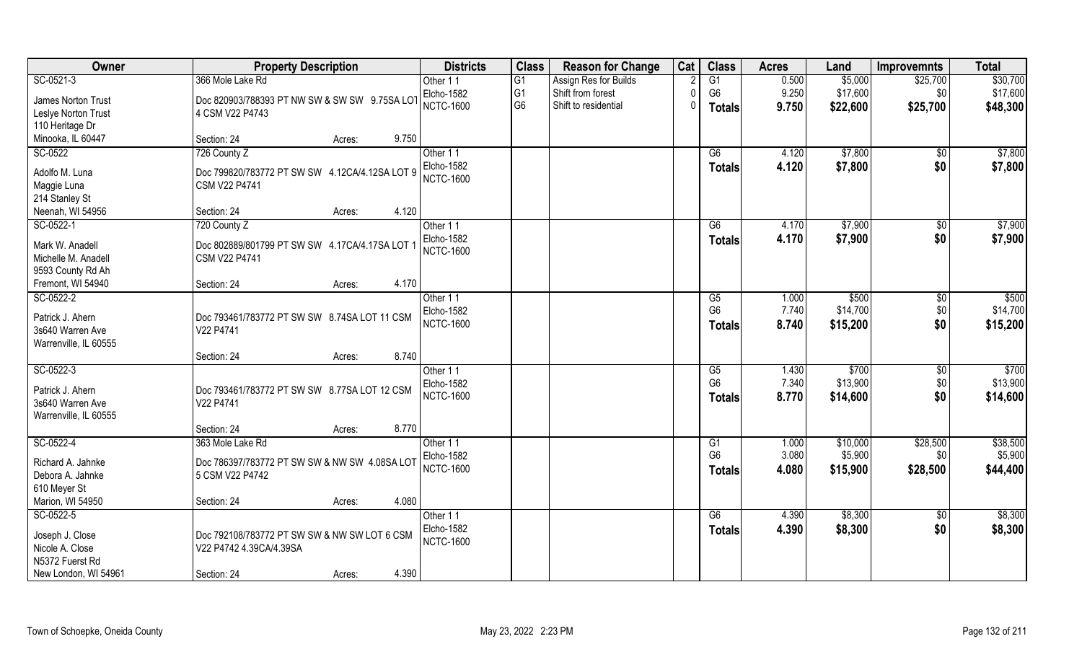| Owner                 | <b>Property Description</b>                    | <b>Districts</b>  | <b>Class</b>    | <b>Reason for Change</b> | Cat      | <b>Class</b>    | <b>Acres</b> | Land     | <b>Improvemnts</b> | <b>Total</b> |
|-----------------------|------------------------------------------------|-------------------|-----------------|--------------------------|----------|-----------------|--------------|----------|--------------------|--------------|
| $SC-0521-3$           | 366 Mole Lake Rd                               | Other 11          | $\overline{G1}$ | Assign Res for Builds    |          | $\overline{G1}$ | 0.500        | \$5,000  | \$25,700           | \$30,700     |
| James Norton Trust    | Doc 820903/788393 PT NW SW & SW SW 9.75SA LOT  | Elcho-1582        | G <sub>1</sub>  | Shift from forest        | $\Omega$ | G <sub>6</sub>  | 9.250        | \$17,600 | \$0                | \$17,600     |
| Leslye Norton Trust   | 4 CSM V22 P4743                                | <b>NCTC-1600</b>  | G <sub>6</sub>  | Shift to residential     | 0        | <b>Totals</b>   | 9.750        | \$22,600 | \$25,700           | \$48,300     |
| 110 Heritage Dr       |                                                |                   |                 |                          |          |                 |              |          |                    |              |
| Minooka, IL 60447     | 9.750<br>Section: 24<br>Acres:                 |                   |                 |                          |          |                 |              |          |                    |              |
| SC-0522               | 726 County Z                                   | Other 11          |                 |                          |          | G6              | 4.120        | \$7,800  | $\overline{50}$    | \$7,800      |
|                       |                                                | Elcho-1582        |                 |                          |          | Totals          | 4.120        | \$7,800  | \$0                | \$7,800      |
| Adolfo M. Luna        | Doc 799820/783772 PT SW SW 4.12CA/4.12SA LOT 9 | <b>NCTC-1600</b>  |                 |                          |          |                 |              |          |                    |              |
| Maggie Luna           | CSM V22 P4741                                  |                   |                 |                          |          |                 |              |          |                    |              |
| 214 Stanley St        |                                                |                   |                 |                          |          |                 |              |          |                    |              |
| Neenah, WI 54956      | 4.120<br>Section: 24<br>Acres:                 |                   |                 |                          |          |                 |              |          |                    |              |
| SC-0522-1             | 720 County Z                                   | Other 11          |                 |                          |          | G6              | 4.170        | \$7,900  | $\sqrt[6]{30}$     | \$7,900      |
| Mark W. Anadell       | Doc 802889/801799 PT SW SW 4.17CA/4.17SA LOT 1 | <b>Elcho-1582</b> |                 |                          |          | <b>Totals</b>   | 4.170        | \$7,900  | \$0                | \$7,900      |
| Michelle M. Anadell   | CSM V22 P4741                                  | <b>NCTC-1600</b>  |                 |                          |          |                 |              |          |                    |              |
| 9593 County Rd Ah     |                                                |                   |                 |                          |          |                 |              |          |                    |              |
| Fremont, WI 54940     | 4.170<br>Section: 24<br>Acres:                 |                   |                 |                          |          |                 |              |          |                    |              |
| SC-0522-2             |                                                | Other 11          |                 |                          |          | G5              | 1.000        | \$500    | \$0                | \$500        |
| Patrick J. Ahern      | Doc 793461/783772 PT SW SW 8.74SA LOT 11 CSM   | <b>Elcho-1582</b> |                 |                          |          | G <sub>6</sub>  | 7.740        | \$14,700 | \$0                | \$14,700     |
| 3s640 Warren Ave      | V22 P4741                                      | <b>NCTC-1600</b>  |                 |                          |          | <b>Totals</b>   | 8.740        | \$15,200 | \$0                | \$15,200     |
| Warrenville, IL 60555 |                                                |                   |                 |                          |          |                 |              |          |                    |              |
|                       | 8.740<br>Section: 24<br>Acres:                 |                   |                 |                          |          |                 |              |          |                    |              |
| $SC-0522-3$           |                                                | Other 11          |                 |                          |          | $\overline{G5}$ | 1.430        | \$700    | \$0                | \$700        |
|                       |                                                | <b>Elcho-1582</b> |                 |                          |          | G <sub>6</sub>  | 7.340        | \$13,900 | \$0                | \$13,900     |
| Patrick J. Ahern      | Doc 793461/783772 PT SW SW 8.77SA LOT 12 CSM   | <b>NCTC-1600</b>  |                 |                          |          | <b>Totals</b>   | 8.770        | \$14,600 | \$0                | \$14,600     |
| 3s640 Warren Ave      | V22 P4741                                      |                   |                 |                          |          |                 |              |          |                    |              |
| Warrenville, IL 60555 |                                                |                   |                 |                          |          |                 |              |          |                    |              |
|                       | 8.770<br>Section: 24<br>Acres:                 |                   |                 |                          |          |                 |              |          |                    |              |
| SC-0522-4             | 363 Mole Lake Rd                               | Other 11          |                 |                          |          | G1              | 1.000        | \$10,000 | \$28,500           | \$38,500     |
| Richard A. Jahnke     | Doc 786397/783772 PT SW SW & NW SW 4.08SA LOT  | Elcho-1582        |                 |                          |          | G <sub>6</sub>  | 3.080        | \$5,900  | \$0                | \$5,900      |
| Debora A. Jahnke      | 5 CSM V22 P4742                                | <b>NCTC-1600</b>  |                 |                          |          | <b>Totals</b>   | 4.080        | \$15,900 | \$28,500           | \$44,400     |
| 610 Meyer St          |                                                |                   |                 |                          |          |                 |              |          |                    |              |
| Marion, WI 54950      | 4.080<br>Section: 24<br>Acres:                 |                   |                 |                          |          |                 |              |          |                    |              |
| SC-0522-5             |                                                | Other 11          |                 |                          |          | G6              | 4.390        | \$8,300  | $\sqrt{$0}$        | \$8,300      |
|                       |                                                | <b>Elcho-1582</b> |                 |                          |          | <b>Totals</b>   | 4.390        | \$8,300  | \$0                | \$8,300      |
| Joseph J. Close       | Doc 792108/783772 PT SW SW & NW SW LOT 6 CSM   | <b>NCTC-1600</b>  |                 |                          |          |                 |              |          |                    |              |
| Nicole A. Close       | V22 P4742 4.39CA/4.39SA                        |                   |                 |                          |          |                 |              |          |                    |              |
| N5372 Fuerst Rd       |                                                |                   |                 |                          |          |                 |              |          |                    |              |
| New London, WI 54961  | 4.390<br>Section: 24<br>Acres:                 |                   |                 |                          |          |                 |              |          |                    |              |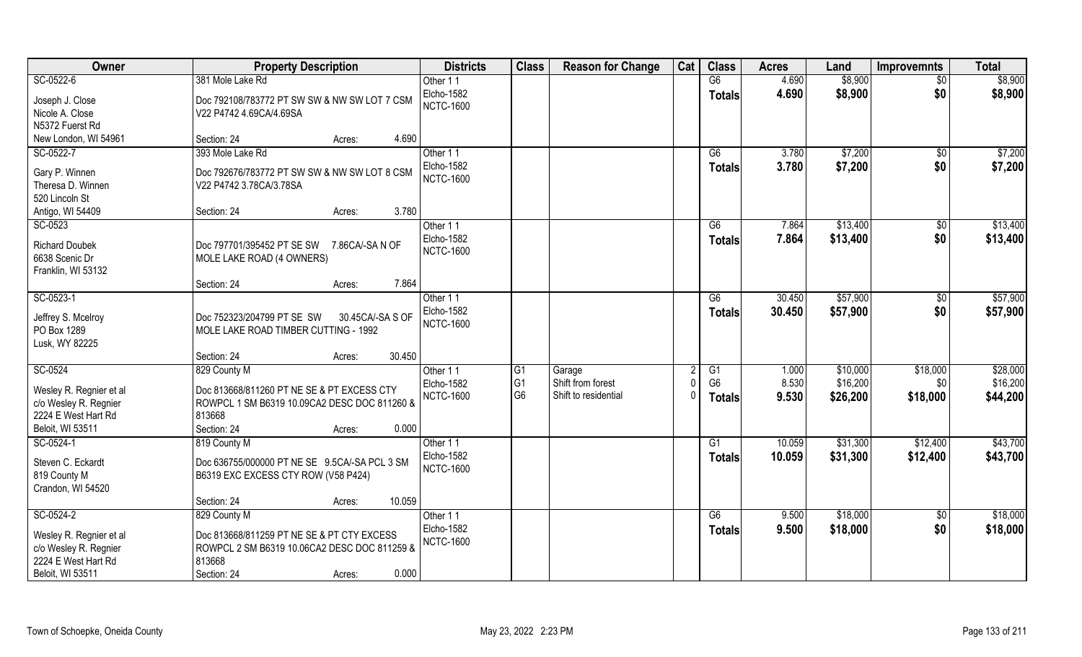| Owner                                   | <b>Property Description</b>                    | <b>Districts</b>                      | <b>Class</b>   | <b>Reason for Change</b> | Cat    | <b>Class</b>    | <b>Acres</b> | Land     | <b>Improvemnts</b> | <b>Total</b> |
|-----------------------------------------|------------------------------------------------|---------------------------------------|----------------|--------------------------|--------|-----------------|--------------|----------|--------------------|--------------|
| SC-0522-6                               | 381 Mole Lake Rd                               | Other 11                              |                |                          |        | G6              | 4.690        | \$8,900  | $\overline{30}$    | \$8,900      |
| Joseph J. Close                         | Doc 792108/783772 PT SW SW & NW SW LOT 7 CSM   | Elcho-1582                            |                |                          |        | <b>Totals</b>   | 4.690        | \$8,900  | \$0                | \$8,900      |
| Nicole A. Close                         | V22 P4742 4.69CA/4.69SA                        | <b>NCTC-1600</b>                      |                |                          |        |                 |              |          |                    |              |
| N5372 Fuerst Rd                         |                                                |                                       |                |                          |        |                 |              |          |                    |              |
| New London, WI 54961                    | 4.690<br>Section: 24<br>Acres:                 |                                       |                |                          |        |                 |              |          |                    |              |
| SC-0522-7                               | 393 Mole Lake Rd                               | Other 11                              |                |                          |        | $\overline{G6}$ | 3.780        | \$7,200  | $\overline{50}$    | \$7,200      |
|                                         |                                                | <b>Elcho-1582</b>                     |                |                          |        | <b>Totals</b>   | 3.780        | \$7,200  | \$0                | \$7,200      |
| Gary P. Winnen                          | Doc 792676/783772 PT SW SW & NW SW LOT 8 CSM   | <b>NCTC-1600</b>                      |                |                          |        |                 |              |          |                    |              |
| Theresa D. Winnen                       | V22 P4742 3.78CA/3.78SA                        |                                       |                |                          |        |                 |              |          |                    |              |
| 520 Lincoln St                          |                                                |                                       |                |                          |        |                 |              |          |                    |              |
| Antigo, WI 54409                        | 3.780<br>Section: 24<br>Acres:                 |                                       |                |                          |        |                 |              |          |                    |              |
| SC-0523                                 |                                                | Other 11                              |                |                          |        | G6              | 7.864        | \$13,400 | $\sqrt[6]{3}$      | \$13,400     |
| <b>Richard Doubek</b>                   | Doc 797701/395452 PT SE SW<br>7.86CA/-SAN OF   | <b>Elcho-1582</b><br><b>NCTC-1600</b> |                |                          |        | <b>Totals</b>   | 7.864        | \$13,400 | \$0                | \$13,400     |
| 6638 Scenic Dr                          | MOLE LAKE ROAD (4 OWNERS)                      |                                       |                |                          |        |                 |              |          |                    |              |
| Franklin, WI 53132                      |                                                |                                       |                |                          |        |                 |              |          |                    |              |
|                                         | 7.864<br>Section: 24<br>Acres:                 |                                       |                |                          |        |                 |              |          |                    |              |
| SC-0523-1                               |                                                | Other 11                              |                |                          |        | G6              | 30.450       | \$57,900 | $\sqrt[6]{3}$      | \$57,900     |
| Jeffrey S. Mcelroy                      | Doc 752323/204799 PT SE SW<br>30.45CA/-SA S OF | Elcho-1582                            |                |                          |        | <b>Totals</b>   | 30.450       | \$57,900 | \$0                | \$57,900     |
| PO Box 1289                             | MOLE LAKE ROAD TIMBER CUTTING - 1992           | <b>NCTC-1600</b>                      |                |                          |        |                 |              |          |                    |              |
| Lusk, WY 82225                          |                                                |                                       |                |                          |        |                 |              |          |                    |              |
|                                         | 30.450<br>Section: 24<br>Acres:                |                                       |                |                          |        |                 |              |          |                    |              |
| SC-0524                                 | 829 County M                                   | Other 11                              | G <sub>1</sub> | Garage                   |        | G1              | 1.000        | \$10,000 | \$18,000           | \$28,000     |
|                                         |                                                | Elcho-1582                            | G <sub>1</sub> | Shift from forest        |        | G <sub>6</sub>  | 8.530        | \$16,200 | \$0                | \$16,200     |
| Wesley R. Regnier et al                 | Doc 813668/811260 PT NE SE & PT EXCESS CTY     | <b>NCTC-1600</b>                      | G <sub>6</sub> | Shift to residential     | $\cup$ | <b>Totals</b>   | 9.530        | \$26,200 | \$18,000           | \$44,200     |
| c/o Wesley R. Regnier                   | ROWPCL 1 SM B6319 10.09CA2 DESC DOC 811260 &   |                                       |                |                          |        |                 |              |          |                    |              |
| 2224 E West Hart Rd<br>Beloit, WI 53511 | 813668<br>0.000                                |                                       |                |                          |        |                 |              |          |                    |              |
|                                         | Section: 24<br>Acres:                          |                                       |                |                          |        |                 |              |          |                    |              |
| SC-0524-1                               | 819 County M                                   | Other 11<br><b>Elcho-1582</b>         |                |                          |        | G1              | 10.059       | \$31,300 | \$12,400           | \$43,700     |
| Steven C. Eckardt                       | Doc 636755/000000 PT NE SE 9.5CA/-SA PCL 3 SM  | <b>NCTC-1600</b>                      |                |                          |        | <b>Totals</b>   | 10.059       | \$31,300 | \$12,400           | \$43,700     |
| 819 County M                            | B6319 EXC EXCESS CTY ROW (V58 P424)            |                                       |                |                          |        |                 |              |          |                    |              |
| Crandon, WI 54520                       |                                                |                                       |                |                          |        |                 |              |          |                    |              |
|                                         | 10.059<br>Section: 24<br>Acres:                |                                       |                |                          |        |                 |              |          |                    |              |
| SC-0524-2                               | 829 County M                                   | Other 11                              |                |                          |        | G6              | 9.500        | \$18,000 | $\sqrt{$0}$        | \$18,000     |
| Wesley R. Regnier et al                 | Doc 813668/811259 PT NE SE & PT CTY EXCESS     | Elcho-1582                            |                |                          |        | <b>Totals</b>   | 9.500        | \$18,000 | \$0                | \$18,000     |
| c/o Wesley R. Regnier                   | ROWPCL 2 SM B6319 10.06CA2 DESC DOC 811259 &   | <b>NCTC-1600</b>                      |                |                          |        |                 |              |          |                    |              |
| 2224 E West Hart Rd                     | 813668                                         |                                       |                |                          |        |                 |              |          |                    |              |
| Beloit, WI 53511                        | 0.000<br>Section: 24<br>Acres:                 |                                       |                |                          |        |                 |              |          |                    |              |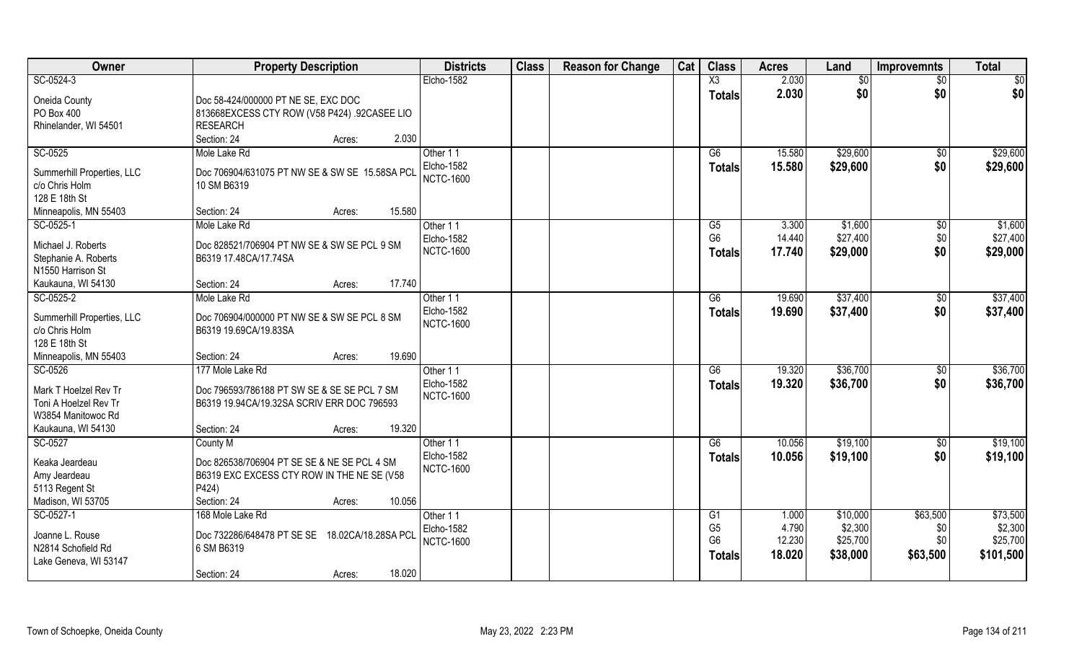| Owner                                                                           | <b>Property Description</b>                                                                                                           | <b>Districts</b>                                  | <b>Class</b> | <b>Reason for Change</b> | Cat | <b>Class</b>                                            | <b>Acres</b>                       | Land                                        | <b>Improvemnts</b>                 | <b>Total</b>                                 |
|---------------------------------------------------------------------------------|---------------------------------------------------------------------------------------------------------------------------------------|---------------------------------------------------|--------------|--------------------------|-----|---------------------------------------------------------|------------------------------------|---------------------------------------------|------------------------------------|----------------------------------------------|
| SC-0524-3                                                                       |                                                                                                                                       | Elcho-1582                                        |              |                          |     | X3                                                      | 2.030                              | $\frac{1}{6}$                               | $\overline{50}$                    | $\sqrt{50}$                                  |
| Oneida County<br>PO Box 400                                                     | Doc 58-424/000000 PT NE SE, EXC DOC<br>813668EXCESS CTY ROW (V58 P424) .92CASEE LIO                                                   |                                                   |              |                          |     | <b>Totals</b>                                           | 2.030                              | \$0                                         | \$0                                | \$0                                          |
| Rhinelander, WI 54501                                                           | RESEARCH<br>Section: 24<br>2.030<br>Acres:                                                                                            |                                                   |              |                          |     |                                                         |                                    |                                             |                                    |                                              |
| SC-0525                                                                         | Mole Lake Rd                                                                                                                          | Other 11                                          |              |                          |     | G6                                                      | 15.580                             | \$29,600                                    | \$0                                | \$29,600                                     |
| Summerhill Properties, LLC<br>c/o Chris Holm<br>128 E 18th St                   | Doc 706904/631075 PT NW SE & SW SE 15.58SA PCL<br>10 SM B6319                                                                         | Elcho-1582<br><b>NCTC-1600</b>                    |              |                          |     | <b>Totals</b>                                           | 15.580                             | \$29,600                                    | \$0                                | \$29,600                                     |
| Minneapolis, MN 55403                                                           | 15.580<br>Section: 24<br>Acres:                                                                                                       |                                                   |              |                          |     |                                                         |                                    |                                             |                                    |                                              |
| SC-0525-1                                                                       | Mole Lake Rd                                                                                                                          | Other 11                                          |              |                          |     | G5                                                      | 3.300                              | \$1,600                                     | \$0                                | \$1,600                                      |
| Michael J. Roberts<br>Stephanie A. Roberts<br>N1550 Harrison St                 | Doc 828521/706904 PT NW SE & SW SE PCL 9 SM<br>B6319 17.48CA/17.74SA                                                                  | Elcho-1582<br><b>NCTC-1600</b>                    |              |                          |     | G <sub>6</sub><br><b>Totals</b>                         | 14.440<br>17.740                   | \$27,400<br>\$29,000                        | \$0<br>\$0                         | \$27,400<br>\$29,000                         |
| Kaukauna, WI 54130                                                              | 17.740<br>Section: 24<br>Acres:                                                                                                       |                                                   |              |                          |     |                                                         |                                    |                                             |                                    |                                              |
| SC-0525-2                                                                       | Mole Lake Rd                                                                                                                          | Other 11                                          |              |                          |     | G6                                                      | 19.690                             | \$37,400                                    | $\sqrt[6]{3}$                      | \$37,400                                     |
| Summerhill Properties, LLC<br>c/o Chris Holm<br>128 E 18th St                   | Doc 706904/000000 PT NW SE & SW SE PCL 8 SM<br>B6319 19.69CA/19.83SA                                                                  | Elcho-1582<br><b>NCTC-1600</b>                    |              |                          |     | <b>Totals</b>                                           | 19.690                             | \$37,400                                    | \$0                                | \$37,400                                     |
| Minneapolis, MN 55403                                                           | 19.690<br>Section: 24<br>Acres:                                                                                                       |                                                   |              |                          |     |                                                         |                                    |                                             |                                    |                                              |
| SC-0526<br>Mark T Hoelzel Rev Tr<br>Toni A Hoelzel Rev Tr<br>W3854 Manitowoc Rd | 177 Mole Lake Rd<br>Doc 796593/786188 PT SW SE & SE SE PCL 7 SM<br>B6319 19.94CA/19.32SA SCRIV ERR DOC 796593                         | Other 11<br>Elcho-1582<br><b>NCTC-1600</b>        |              |                          |     | $\overline{G6}$<br>Totals                               | 19.320<br>19.320                   | \$36,700<br>\$36,700                        | $\sqrt[6]{30}$<br>\$0              | \$36,700<br>\$36,700                         |
| Kaukauna, WI 54130                                                              | 19.320<br>Section: 24<br>Acres:                                                                                                       |                                                   |              |                          |     |                                                         |                                    |                                             |                                    |                                              |
| SC-0527                                                                         | County M                                                                                                                              | Other 11                                          |              |                          |     | G6                                                      | 10.056                             | \$19,100                                    | $\sqrt{6}$                         | \$19,100                                     |
| Keaka Jeardeau<br>Amy Jeardeau<br>5113 Regent St<br>Madison, WI 53705           | Doc 826538/706904 PT SE SE & NE SE PCL 4 SM<br>B6319 EXC EXCESS CTY ROW IN THE NE SE (V58<br>P424)<br>10.056<br>Section: 24<br>Acres: | Elcho-1582<br><b>NCTC-1600</b>                    |              |                          |     | <b>Totals</b>                                           | 10.056                             | \$19,100                                    | \$0                                | \$19,100                                     |
| SC-0527-1<br>Joanne L. Rouse<br>N2814 Schofield Rd<br>Lake Geneva, WI 53147     | 168 Mole Lake Rd<br>Doc 732286/648478 PT SE SE<br>18.02CA/18.28SA PCL<br>6 SM B6319<br>18.020<br>Section: 24<br>Acres:                | Other 11<br><b>Elcho-1582</b><br><b>NCTC-1600</b> |              |                          |     | G1<br>G <sub>5</sub><br>G <sub>6</sub><br><b>Totals</b> | 1.000<br>4.790<br>12.230<br>18.020 | \$10,000<br>\$2,300<br>\$25,700<br>\$38,000 | \$63,500<br>\$0<br>\$0<br>\$63,500 | \$73,500<br>\$2,300<br>\$25,700<br>\$101,500 |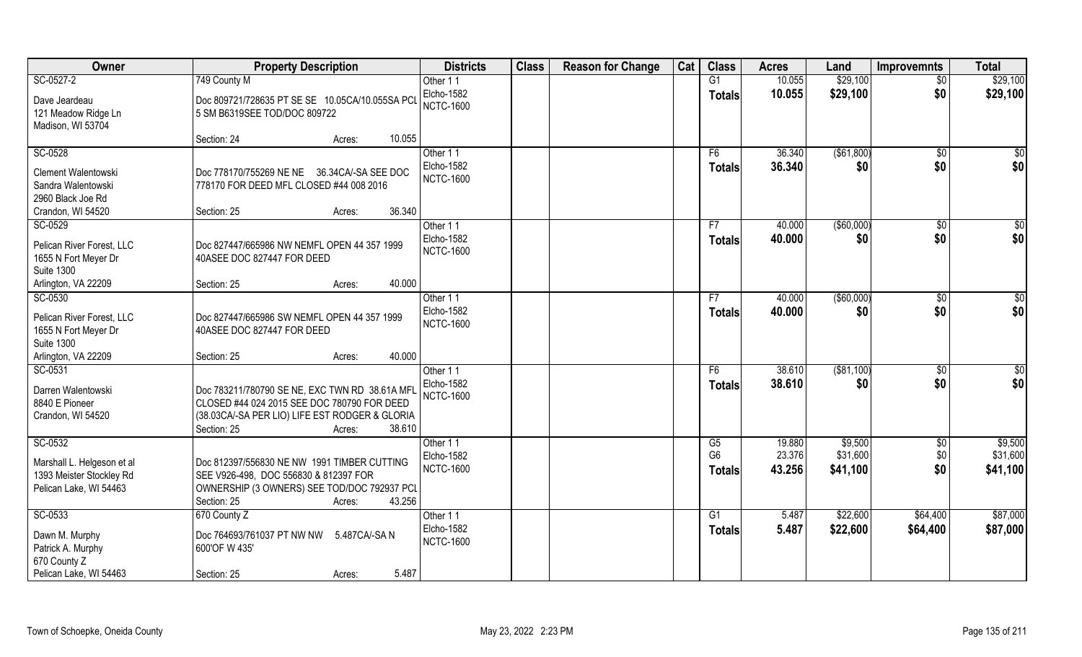| Owner                                                                                       | <b>Property Description</b>                                                                                                                                                        | <b>Districts</b>                           | <b>Class</b> | <b>Reason for Change</b> | Cat | <b>Class</b>                          | <b>Acres</b>               | Land                            | <b>Improvemnts</b>   | <b>Total</b>                    |
|---------------------------------------------------------------------------------------------|------------------------------------------------------------------------------------------------------------------------------------------------------------------------------------|--------------------------------------------|--------------|--------------------------|-----|---------------------------------------|----------------------------|---------------------------------|----------------------|---------------------------------|
| SC-0527-2                                                                                   | 749 County M                                                                                                                                                                       | Other 11                                   |              |                          |     | G1                                    | 10.055                     | \$29,100                        | \$0                  | \$29,100                        |
| Dave Jeardeau<br>121 Meadow Ridge Ln<br>Madison, WI 53704                                   | Doc 809721/728635 PT SE SE 10.05CA/10.055SA PCL<br>5 SM B6319SEE TOD/DOC 809722                                                                                                    | Elcho-1582<br><b>NCTC-1600</b>             |              |                          |     | <b>Totals</b>                         | 10.055                     | \$29,100                        | \$0                  | \$29,100                        |
|                                                                                             | 10.055<br>Section: 24<br>Acres:                                                                                                                                                    |                                            |              |                          |     |                                       |                            |                                 |                      |                                 |
| SC-0528                                                                                     |                                                                                                                                                                                    | Other 11                                   |              |                          |     | F6                                    | 36.340                     | ( \$61, 800)                    | $\sqrt{$0}$          | \$0                             |
| Clement Walentowski<br>Sandra Walentowski<br>2960 Black Joe Rd                              | Doc 778170/755269 NE NE 36.34CA/-SA SEE DOC<br>778170 FOR DEED MFL CLOSED #44 008 2016                                                                                             | Elcho-1582<br><b>NCTC-1600</b>             |              |                          |     | <b>Totals</b>                         | 36.340                     | \$0                             | \$0                  | \$0                             |
| Crandon, WI 54520                                                                           | 36.340<br>Section: 25<br>Acres:                                                                                                                                                    |                                            |              |                          |     |                                       |                            |                                 |                      |                                 |
| SC-0529                                                                                     |                                                                                                                                                                                    | Other 11                                   |              |                          |     | F7                                    | 40.000                     | ( \$60,000)                     | $\sqrt{6}$           | \$0                             |
| Pelican River Forest, LLC<br>1655 N Fort Meyer Dr<br><b>Suite 1300</b>                      | Doc 827447/665986 NW NEMFL OPEN 44 357 1999<br>40ASEE DOC 827447 FOR DEED                                                                                                          | Elcho-1582<br><b>NCTC-1600</b>             |              |                          |     | <b>Totals</b>                         | 40.000                     | \$0                             | \$0                  | \$0                             |
| Arlington, VA 22209                                                                         | 40.000<br>Section: 25<br>Acres:                                                                                                                                                    |                                            |              |                          |     |                                       |                            |                                 |                      |                                 |
| SC-0530<br>Pelican River Forest, LLC<br>1655 N Fort Meyer Dr<br><b>Suite 1300</b>           | Doc 827447/665986 SW NEMFL OPEN 44 357 1999<br>40ASEE DOC 827447 FOR DEED                                                                                                          | Other 11<br>Elcho-1582<br><b>NCTC-1600</b> |              |                          |     | F7<br><b>Totals</b>                   | 40.000<br>40.000           | ( \$60,000)<br>\$0              | \$0<br>\$0           | \$<br>\$0                       |
| Arlington, VA 22209                                                                         | 40.000<br>Section: 25<br>Acres:                                                                                                                                                    |                                            |              |                          |     |                                       |                            |                                 |                      |                                 |
| SC-0531<br>Darren Walentowski<br>8840 E Pioneer<br>Crandon, WI 54520                        | Doc 783211/780790 SE NE, EXC TWN RD 38.61A MFL<br>CLOSED #44 024 2015 SEE DOC 780790 FOR DEED<br>(38.03CA/-SA PER LIO) LIFE EST RODGER & GLORIA<br>Section: 25<br>38.610<br>Acres: | Other 11<br>Elcho-1582<br><b>NCTC-1600</b> |              |                          |     | F6<br><b>Totals</b>                   | 38.610<br>38.610           | ( \$81,100)<br>\$0              | \$0<br>\$0           | $\overline{50}$<br>\$0          |
| SC-0532<br>Marshall L. Helgeson et al<br>1393 Meister Stockley Rd<br>Pelican Lake, WI 54463 | Doc 812397/556830 NE NW 1991 TIMBER CUTTING<br>SEE V926-498, DOC 556830 & 812397 FOR<br>OWNERSHIP (3 OWNERS) SEE TOD/DOC 792937 PCL<br>43.256<br>Section: 25<br>Acres:             | Other 11<br>Elcho-1582<br><b>NCTC-1600</b> |              |                          |     | G5<br>G <sub>6</sub><br><b>Totals</b> | 19.880<br>23.376<br>43.256 | \$9,500<br>\$31,600<br>\$41,100 | \$0<br>\$0<br>\$0    | \$9,500<br>\$31,600<br>\$41,100 |
| SC-0533<br>Dawn M. Murphy<br>Patrick A. Murphy<br>670 County Z<br>Pelican Lake, WI 54463    | 670 County Z<br>Doc 764693/761037 PT NW NW<br>5.487CA/-SA N<br>600'OF W 435'<br>5.487<br>Section: 25<br>Acres:                                                                     | Other 11<br>Elcho-1582<br><b>NCTC-1600</b> |              |                          |     | G1<br><b>Totals</b>                   | 5.487<br>5.487             | \$22,600<br>\$22,600            | \$64,400<br>\$64,400 | \$87,000<br>\$87,000            |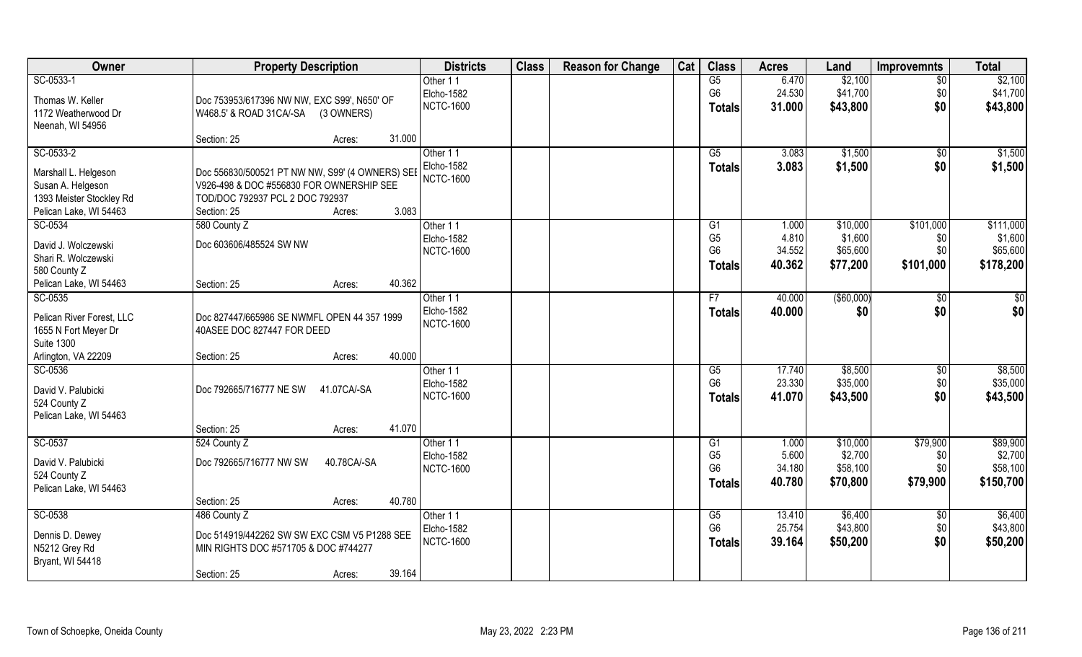| Owner                                     | <b>Property Description</b>                                               | <b>Districts</b>              | <b>Class</b> | <b>Reason for Change</b> | Cat | <b>Class</b>         | <b>Acres</b>     | Land                | <b>Improvemnts</b> | <b>Total</b> |
|-------------------------------------------|---------------------------------------------------------------------------|-------------------------------|--------------|--------------------------|-----|----------------------|------------------|---------------------|--------------------|--------------|
| SC-0533-1                                 |                                                                           | Other 11                      |              |                          |     | G5                   | 6.470            | \$2,100             | $\overline{50}$    | \$2,100      |
| Thomas W. Keller                          | Doc 753953/617396 NW NW, EXC S99', N650' OF                               | Elcho-1582                    |              |                          |     | G <sub>6</sub>       | 24.530           | \$41,700            | \$0                | \$41,700     |
| 1172 Weatherwood Dr                       | W468.5' & ROAD 31CA/-SA (3 OWNERS)                                        | <b>NCTC-1600</b>              |              |                          |     | <b>Totals</b>        | 31.000           | \$43,800            | \$0                | \$43,800     |
| Neenah, WI 54956                          |                                                                           |                               |              |                          |     |                      |                  |                     |                    |              |
|                                           | 31.000<br>Section: 25<br>Acres:                                           |                               |              |                          |     |                      |                  |                     |                    |              |
| SC-0533-2                                 |                                                                           | Other 11                      |              |                          |     | $\overline{G5}$      | 3.083            | \$1,500             | $\overline{50}$    | \$1,500      |
| Marshall L. Helgeson                      | Doc 556830/500521 PT NW NW, S99' (4 OWNERS) SEE                           | Elcho-1582                    |              |                          |     | <b>Totals</b>        | 3.083            | \$1,500             | \$0                | \$1,500      |
| Susan A. Helgeson                         | V926-498 & DOC #556830 FOR OWNERSHIP SEE                                  | <b>NCTC-1600</b>              |              |                          |     |                      |                  |                     |                    |              |
| 1393 Meister Stockley Rd                  | TOD/DOC 792937 PCL 2 DOC 792937                                           |                               |              |                          |     |                      |                  |                     |                    |              |
| Pelican Lake, WI 54463                    | 3.083<br>Section: 25<br>Acres:                                            |                               |              |                          |     |                      |                  |                     |                    |              |
| SC-0534                                   | 580 County Z                                                              | Other 11                      |              |                          |     | G <sub>1</sub>       | 1.000            | \$10,000            | \$101,000          | \$111,000    |
| David J. Wolczewski                       | Doc 603606/485524 SW NW                                                   | Elcho-1582                    |              |                          |     | G <sub>5</sub>       | 4.810            | \$1,600             | \$0                | \$1,600      |
| Shari R. Wolczewski                       |                                                                           | <b>NCTC-1600</b>              |              |                          |     | G <sub>6</sub>       | 34.552           | \$65,600            | \$0                | \$65,600     |
| 580 County Z                              |                                                                           |                               |              |                          |     | <b>Totals</b>        | 40.362           | \$77,200            | \$101,000          | \$178,200    |
| Pelican Lake, WI 54463                    | 40.362<br>Section: 25<br>Acres:                                           |                               |              |                          |     |                      |                  |                     |                    |              |
| SC-0535                                   |                                                                           | Other 11                      |              |                          |     | F7                   | 40.000           | ( \$60,000)         | \$0                | \$           |
|                                           |                                                                           | Elcho-1582                    |              |                          |     | <b>Totals</b>        | 40.000           | \$0                 | \$0                | \$0          |
| Pelican River Forest, LLC                 | Doc 827447/665986 SE NWMFL OPEN 44 357 1999<br>40ASEE DOC 827447 FOR DEED | <b>NCTC-1600</b>              |              |                          |     |                      |                  |                     |                    |              |
| 1655 N Fort Meyer Dr<br><b>Suite 1300</b> |                                                                           |                               |              |                          |     |                      |                  |                     |                    |              |
| Arlington, VA 22209                       | 40.000<br>Section: 25<br>Acres:                                           |                               |              |                          |     |                      |                  |                     |                    |              |
| SC-0536                                   |                                                                           | Other 11                      |              |                          |     | G5                   | 17.740           | \$8,500             | \$0                | \$8,500      |
|                                           |                                                                           | Elcho-1582                    |              |                          |     | G <sub>6</sub>       | 23.330           | \$35,000            | \$0                | \$35,000     |
| David V. Palubicki                        | Doc 792665/716777 NE SW<br>41.07CA/-SA                                    | <b>NCTC-1600</b>              |              |                          |     | <b>Totals</b>        | 41.070           | \$43,500            | \$0                | \$43,500     |
| 524 County Z                              |                                                                           |                               |              |                          |     |                      |                  |                     |                    |              |
| Pelican Lake, WI 54463                    | 41.070<br>Section: 25<br>Acres:                                           |                               |              |                          |     |                      |                  |                     |                    |              |
| SC-0537                                   | 524 County Z                                                              | Other 11                      |              |                          |     | G1                   | 1.000            | \$10,000            | \$79,900           | \$89,900     |
|                                           |                                                                           | Elcho-1582                    |              |                          |     | G <sub>5</sub>       | 5.600            | \$2,700             | \$0                | \$2,700      |
| David V. Palubicki                        | Doc 792665/716777 NW SW<br>40.78CA/-SA                                    | <b>NCTC-1600</b>              |              |                          |     | G <sub>6</sub>       | 34.180           | \$58,100            | \$0                | \$58,100     |
| 524 County Z                              |                                                                           |                               |              |                          |     | <b>Totals</b>        | 40.780           | \$70,800            | \$79,900           | \$150,700    |
| Pelican Lake, WI 54463                    |                                                                           |                               |              |                          |     |                      |                  |                     |                    |              |
|                                           | 40.780<br>Section: 25<br>Acres:                                           |                               |              |                          |     |                      |                  |                     |                    | \$6,400      |
| SC-0538                                   | 486 County Z                                                              | Other 11<br><b>Elcho-1582</b> |              |                          |     | G5<br>G <sub>6</sub> | 13.410<br>25.754 | \$6,400<br>\$43,800 | \$0<br>\$0         | \$43,800     |
| Dennis D. Dewey                           | Doc 514919/442262 SW SW EXC CSM V5 P1288 SEE                              | <b>NCTC-1600</b>              |              |                          |     |                      | 39.164           | \$50,200            | \$0                | \$50,200     |
| N5212 Grey Rd                             | MIN RIGHTS DOC #571705 & DOC #744277                                      |                               |              |                          |     | <b>Totals</b>        |                  |                     |                    |              |
| Bryant, WI 54418                          |                                                                           |                               |              |                          |     |                      |                  |                     |                    |              |
|                                           | 39.164<br>Section: 25<br>Acres:                                           |                               |              |                          |     |                      |                  |                     |                    |              |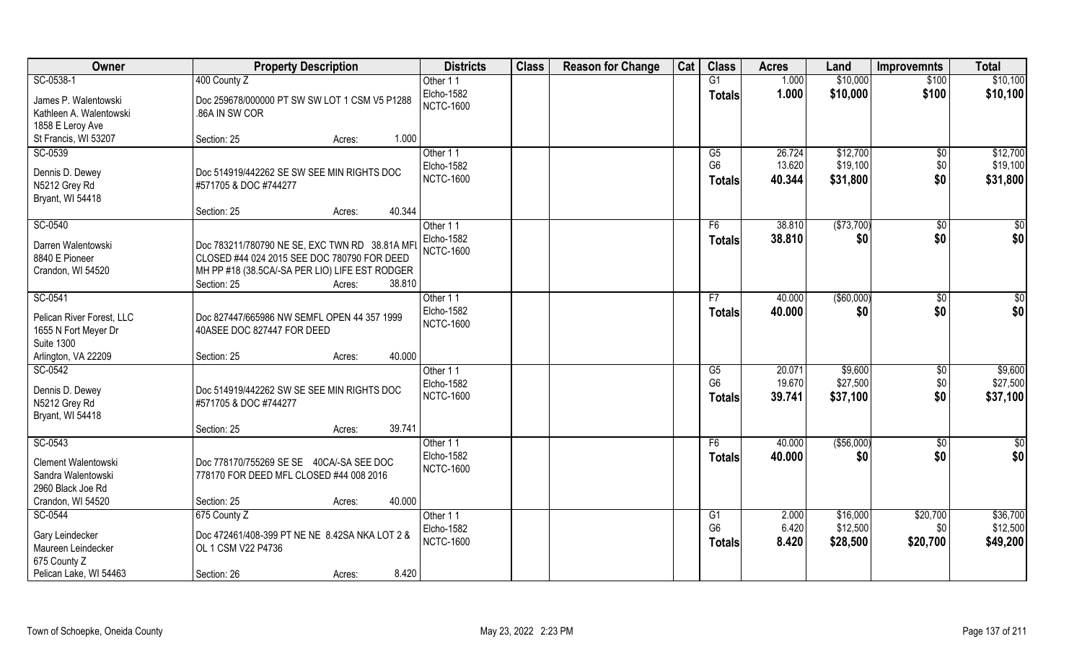| Owner                                                                                          | <b>Property Description</b>                                                                                                                                                        | <b>Districts</b>                                  | <b>Class</b> | <b>Reason for Change</b> | Cat | <b>Class</b>                                       | <b>Acres</b>               | Land                             | <b>Improvemnts</b>            | <b>Total</b>                     |
|------------------------------------------------------------------------------------------------|------------------------------------------------------------------------------------------------------------------------------------------------------------------------------------|---------------------------------------------------|--------------|--------------------------|-----|----------------------------------------------------|----------------------------|----------------------------------|-------------------------------|----------------------------------|
| SC-0538-1                                                                                      | 400 County Z                                                                                                                                                                       | Other 11                                          |              |                          |     | G1                                                 | 1.000                      | \$10,000                         | \$100                         | \$10,100                         |
| James P. Walentowski<br>Kathleen A. Walentowski<br>1858 E Leroy Ave                            | Doc 259678/000000 PT SW SW LOT 1 CSM V5 P1288<br>.86A IN SW COR                                                                                                                    | Elcho-1582<br><b>NCTC-1600</b>                    |              |                          |     | <b>Totals</b>                                      | 1.000                      | \$10,000                         | \$100                         | \$10,100                         |
| St Francis, WI 53207                                                                           | 1.000<br>Section: 25<br>Acres:                                                                                                                                                     |                                                   |              |                          |     |                                                    |                            |                                  |                               |                                  |
| SC-0539<br>Dennis D. Dewey<br>N5212 Grey Rd<br>Bryant, WI 54418                                | Doc 514919/442262 SE SW SEE MIN RIGHTS DOC<br>#571705 & DOC #744277                                                                                                                | Other 11<br><b>Elcho-1582</b><br><b>NCTC-1600</b> |              |                          |     | $\overline{G5}$<br>G <sub>6</sub><br>Totals        | 26.724<br>13.620<br>40.344 | \$12,700<br>\$19,100<br>\$31,800 | $\overline{50}$<br>\$0<br>\$0 | \$12,700<br>\$19,100<br>\$31,800 |
|                                                                                                | 40.344<br>Section: 25<br>Acres:                                                                                                                                                    |                                                   |              |                          |     |                                                    |                            |                                  |                               |                                  |
| SC-0540                                                                                        |                                                                                                                                                                                    | Other 11                                          |              |                          |     | F6                                                 | 38.810                     | (\$73,700)                       | $\sqrt[6]{30}$                | \$0                              |
| Darren Walentowski<br>8840 E Pioneer<br>Crandon, WI 54520                                      | Doc 783211/780790 NE SE, EXC TWN RD 38.81A MFI<br>CLOSED #44 024 2015 SEE DOC 780790 FOR DEED<br>MH PP #18 (38.5CA/-SA PER LIO) LIFE EST RODGER<br>38.810<br>Section: 25<br>Acres: | Elcho-1582<br><b>NCTC-1600</b>                    |              |                          |     | <b>Totals</b>                                      | 38.810                     | \$0                              | \$0                           | \$0                              |
| SC-0541                                                                                        |                                                                                                                                                                                    | Other 11                                          |              |                          |     | F7                                                 | 40.000                     | $($ \$60,000)                    | $\sqrt[6]{3}$                 | \$0                              |
| Pelican River Forest, LLC<br>1655 N Fort Meyer Dr<br><b>Suite 1300</b>                         | Doc 827447/665986 NW SEMFL OPEN 44 357 1999<br>40ASEE DOC 827447 FOR DEED                                                                                                          | Elcho-1582<br><b>NCTC-1600</b>                    |              |                          |     | <b>Totals</b>                                      | 40.000                     | \$0                              | \$0                           | \$0                              |
| Arlington, VA 22209                                                                            | 40.000<br>Section: 25<br>Acres:                                                                                                                                                    |                                                   |              |                          |     |                                                    |                            |                                  |                               |                                  |
| SC-0542<br>Dennis D. Dewey<br>N5212 Grey Rd<br>Bryant, WI 54418                                | Doc 514919/442262 SW SE SEE MIN RIGHTS DOC<br>#571705 & DOC #744277                                                                                                                | Other 11<br>Elcho-1582<br><b>NCTC-1600</b>        |              |                          |     | $\overline{\text{G5}}$<br>G <sub>6</sub><br>Totals | 20.071<br>19.670<br>39.741 | \$9,600<br>\$27,500<br>\$37,100  | \$0<br>\$0<br>\$0             | \$9,600<br>\$27,500<br>\$37,100  |
|                                                                                                | 39.741<br>Section: 25<br>Acres:                                                                                                                                                    |                                                   |              |                          |     |                                                    |                            |                                  |                               |                                  |
| SC-0543<br>Clement Walentowski<br>Sandra Walentowski<br>2960 Black Joe Rd<br>Crandon, WI 54520 | Doc 778170/755269 SE SE 40CA/-SA SEE DOC<br>778170 FOR DEED MFL CLOSED #44 008 2016<br>40.000<br>Section: 25<br>Acres:                                                             | Other 11<br>Elcho-1582<br><b>NCTC-1600</b>        |              |                          |     | F6<br><b>Totals</b>                                | 40.000<br>40.000           | (\$56,000)<br>\$0                | \$0<br>\$0                    | $rac{1}{6}$<br>\$0               |
| SC-0544                                                                                        | 675 County Z                                                                                                                                                                       | Other 11                                          |              |                          |     | G1                                                 | 2.000                      | \$16,000                         | \$20,700                      | \$36,700                         |
| Gary Leindecker<br>Maureen Leindecker<br>675 County Z<br>Pelican Lake, WI 54463                | Doc 472461/408-399 PT NE NE 8.42SA NKA LOT 2 &<br>OL 1 CSM V22 P4736<br>8.420<br>Section: 26<br>Acres:                                                                             | <b>Elcho-1582</b><br><b>NCTC-1600</b>             |              |                          |     | G <sub>6</sub><br><b>Totals</b>                    | 6.420<br>8.420             | \$12,500<br>\$28,500             | \$0<br>\$20,700               | \$12,500<br>\$49,200             |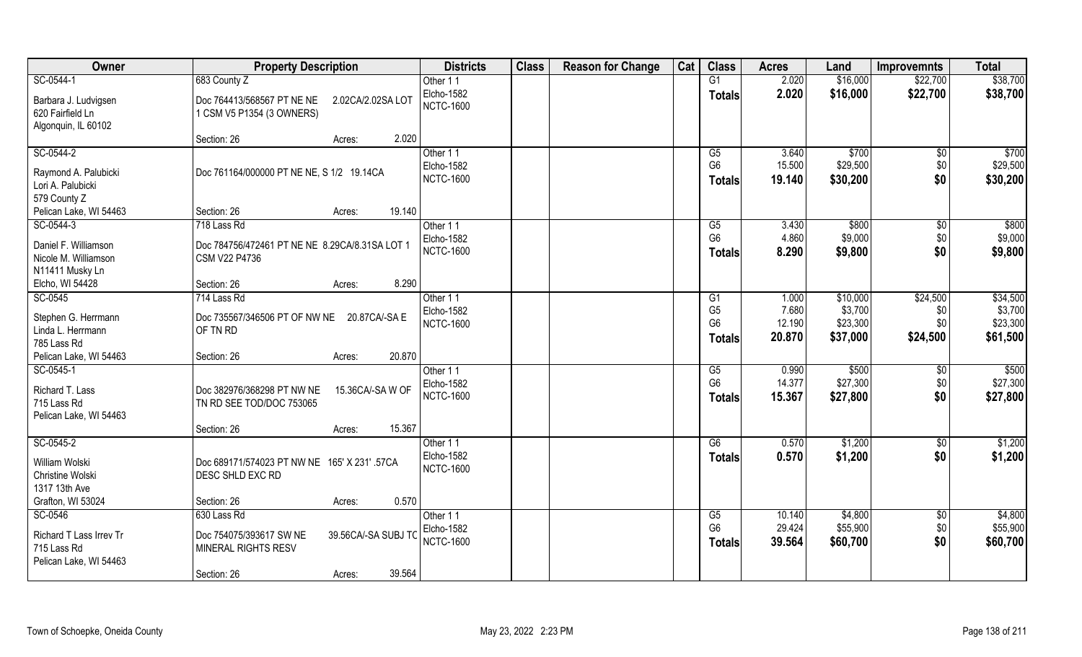| Owner                                    | <b>Property Description</b>                                                  | <b>Districts</b>               | <b>Class</b> | <b>Reason for Change</b> | Cat | <b>Class</b>         | <b>Acres</b>     | Land                | <b>Improvemnts</b>     | <b>Total</b>        |
|------------------------------------------|------------------------------------------------------------------------------|--------------------------------|--------------|--------------------------|-----|----------------------|------------------|---------------------|------------------------|---------------------|
| SC-0544-1                                | 683 County Z                                                                 | Other 11                       |              |                          |     | G1                   | 2.020            | \$16,000            | \$22,700               | \$38,700            |
| Barbara J. Ludvigsen<br>620 Fairfield Ln | Doc 764413/568567 PT NE NE<br>2.02CA/2.02SA LOT<br>1 CSM V5 P1354 (3 OWNERS) | Elcho-1582<br><b>NCTC-1600</b> |              |                          |     | <b>Totals</b>        | 2.020            | \$16,000            | \$22,700               | \$38,700            |
| Algonquin, IL 60102                      | 2.020                                                                        |                                |              |                          |     |                      |                  |                     |                        |                     |
| SC-0544-2                                | Section: 26<br>Acres:                                                        | Other 11                       |              |                          |     | $\overline{G5}$      | 3.640            | \$700               |                        | \$700               |
|                                          |                                                                              | Elcho-1582                     |              |                          |     | G <sub>6</sub>       | 15.500           | \$29,500            | $\overline{50}$<br>\$0 | \$29,500            |
| Raymond A. Palubicki                     | Doc 761164/000000 PT NE NE, S 1/2 19.14CA                                    | <b>NCTC-1600</b>               |              |                          |     | <b>Totals</b>        | 19.140           | \$30,200            | \$0                    | \$30,200            |
| Lori A. Palubicki                        |                                                                              |                                |              |                          |     |                      |                  |                     |                        |                     |
| 579 County Z                             |                                                                              |                                |              |                          |     |                      |                  |                     |                        |                     |
| Pelican Lake, WI 54463                   | 19.140<br>Section: 26<br>Acres:                                              |                                |              |                          |     |                      |                  |                     |                        |                     |
| SC-0544-3                                | 718 Lass Rd                                                                  | Other 11                       |              |                          |     | G5                   | 3.430            | \$800               | $\sqrt[6]{3}$          | \$800               |
| Daniel F. Williamson                     | Doc 784756/472461 PT NE NE 8.29CA/8.31SA LOT 1                               | Elcho-1582                     |              |                          |     | G <sub>6</sub>       | 4.860            | \$9,000             | \$0                    | \$9,000             |
| Nicole M. Williamson                     | CSM V22 P4736                                                                | <b>NCTC-1600</b>               |              |                          |     | <b>Totals</b>        | 8.290            | \$9,800             | \$0                    | \$9,800             |
| N11411 Musky Ln                          |                                                                              |                                |              |                          |     |                      |                  |                     |                        |                     |
| Elcho, WI 54428                          | 8.290<br>Section: 26<br>Acres:                                               |                                |              |                          |     |                      |                  |                     |                        |                     |
| SC-0545                                  | 714 Lass Rd                                                                  | Other 11                       |              |                          |     | G1                   | 1.000            | \$10,000            | \$24,500               | \$34,500            |
| Stephen G. Herrmann                      | Doc 735567/346506 PT OF NW NE 20.87CA/-SA E                                  | Elcho-1582                     |              |                          |     | G <sub>5</sub>       | 7.680            | \$3,700             | \$0                    | \$3,700             |
| Linda L. Herrmann                        | OF TN RD                                                                     | <b>NCTC-1600</b>               |              |                          |     | G <sub>6</sub>       | 12.190           | \$23,300            | \$0                    | \$23,300            |
| 785 Lass Rd                              |                                                                              |                                |              |                          |     | <b>Totals</b>        | 20.870           | \$37,000            | \$24,500               | \$61,500            |
| Pelican Lake, WI 54463                   | 20.870<br>Section: 26<br>Acres:                                              |                                |              |                          |     |                      |                  |                     |                        |                     |
| SC-0545-1                                |                                                                              | Other 11                       |              |                          |     | G5                   | 0.990            | \$500               | \$0                    | \$500               |
| Richard T. Lass                          | Doc 382976/368298 PT NW NE<br>15.36CA/-SAW OF                                | Elcho-1582                     |              |                          |     | G <sub>6</sub>       | 14.377           | \$27,300            | \$0                    | \$27,300            |
| 715 Lass Rd                              | TN RD SEE TOD/DOC 753065                                                     | <b>NCTC-1600</b>               |              |                          |     | <b>Totals</b>        | 15.367           | \$27,800            | \$0                    | \$27,800            |
| Pelican Lake, WI 54463                   |                                                                              |                                |              |                          |     |                      |                  |                     |                        |                     |
|                                          | 15.367<br>Section: 26<br>Acres:                                              |                                |              |                          |     |                      |                  |                     |                        |                     |
| SC-0545-2                                |                                                                              | Other 11                       |              |                          |     | G6                   | 0.570            | \$1,200             | \$0                    | \$1,200             |
| William Wolski<br>Christine Wolski       | Doc 689171/574023 PT NW NE 165' X 231' .57CA<br><b>DESC SHLD EXC RD</b>      | Elcho-1582<br><b>NCTC-1600</b> |              |                          |     | <b>Totals</b>        | 0.570            | \$1,200             | \$0                    | \$1,200             |
| 1317 13th Ave                            |                                                                              |                                |              |                          |     |                      |                  |                     |                        |                     |
| Grafton, WI 53024                        | 0.570<br>Section: 26<br>Acres:                                               |                                |              |                          |     |                      |                  |                     |                        |                     |
| SC-0546                                  | 630 Lass Rd                                                                  | Other 11                       |              |                          |     | G5<br>G <sub>6</sub> | 10.140<br>29.424 | \$4,800<br>\$55,900 | $\sqrt{6}$<br>\$0      | \$4,800<br>\$55,900 |
| Richard T Lass Irrev Tr                  | Doc 754075/393617 SW NE<br>39.56CA/-SA SUBJ TC                               | Elcho-1582<br><b>NCTC-1600</b> |              |                          |     |                      |                  |                     |                        |                     |
| 715 Lass Rd                              | MINERAL RIGHTS RESV                                                          |                                |              |                          |     | <b>Totals</b>        | 39.564           | \$60,700            | \$0                    | \$60,700            |
| Pelican Lake, WI 54463                   |                                                                              |                                |              |                          |     |                      |                  |                     |                        |                     |
|                                          | 39.564<br>Section: 26<br>Acres:                                              |                                |              |                          |     |                      |                  |                     |                        |                     |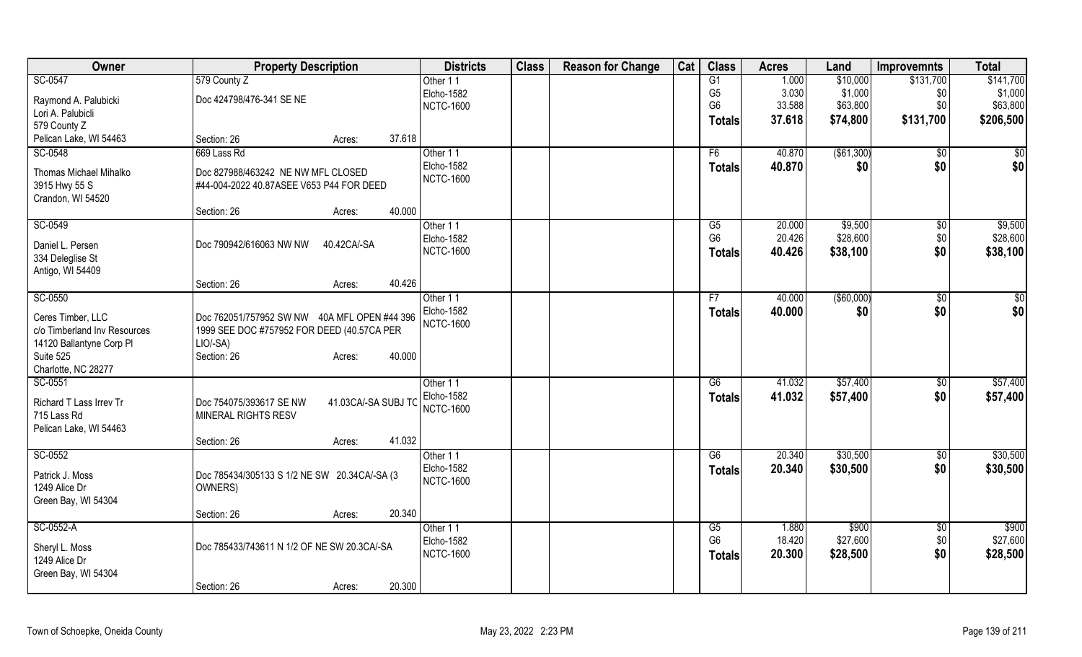| Owner                                 | <b>Property Description</b>                   |                     | <b>Districts</b>               | <b>Class</b> | <b>Reason for Change</b> | Cat | <b>Class</b>         | <b>Acres</b>    | Land              | <b>Improvemnts</b> | <b>Total</b> |
|---------------------------------------|-----------------------------------------------|---------------------|--------------------------------|--------------|--------------------------|-----|----------------------|-----------------|-------------------|--------------------|--------------|
| SC-0547                               | 579 County Z                                  |                     | Other 11                       |              |                          |     | G1                   | 1.000           | \$10,000          | \$131,700          | \$141,700    |
| Raymond A. Palubicki                  | Doc 424798/476-341 SE NE                      |                     | Elcho-1582                     |              |                          |     | G <sub>5</sub>       | 3.030           | \$1,000           | \$0                | \$1,000      |
| Lori A. Palubicli                     |                                               |                     | <b>NCTC-1600</b>               |              |                          |     | G <sub>6</sub>       | 33.588          | \$63,800          | \$0                | \$63,800     |
| 579 County Z                          |                                               |                     |                                |              |                          |     | Totals               | 37.618          | \$74,800          | \$131,700          | \$206,500    |
| Pelican Lake, WI 54463                | Section: 26                                   | 37.618<br>Acres:    |                                |              |                          |     |                      |                 |                   |                    |              |
| SC-0548                               | 669 Lass Rd                                   |                     | Other 11                       |              |                          |     | F6                   | 40.870          | ( \$61,300)       | \$0                | \$0          |
| Thomas Michael Mihalko                | Doc 827988/463242 NE NW MFL CLOSED            |                     | Elcho-1582                     |              |                          |     | <b>Totals</b>        | 40.870          | \$0               | \$0                | \$0          |
| 3915 Hwy 55 S                         | #44-004-2022 40.87ASEE V653 P44 FOR DEED      |                     | <b>NCTC-1600</b>               |              |                          |     |                      |                 |                   |                    |              |
| Crandon, WI 54520                     |                                               |                     |                                |              |                          |     |                      |                 |                   |                    |              |
|                                       | Section: 26                                   | 40.000<br>Acres:    |                                |              |                          |     |                      |                 |                   |                    |              |
| SC-0549                               |                                               |                     | Other 11                       |              |                          |     | G5                   | 20.000          | \$9,500           | $\sqrt[6]{}$       | \$9,500      |
| Daniel L. Persen                      | Doc 790942/616063 NW NW                       | 40.42CA/-SA         | Elcho-1582                     |              |                          |     | G <sub>6</sub>       | 20.426          | \$28,600          | \$0                | \$28,600     |
| 334 Deleglise St                      |                                               |                     | <b>NCTC-1600</b>               |              |                          |     | <b>Totals</b>        | 40.426          | \$38,100          | \$0                | \$38,100     |
| Antigo, WI 54409                      |                                               |                     |                                |              |                          |     |                      |                 |                   |                    |              |
|                                       | Section: 26                                   | 40.426<br>Acres:    |                                |              |                          |     |                      |                 |                   |                    |              |
| SC-0550                               |                                               |                     | Other 11                       |              |                          |     | F7                   | 40.000          | $($ \$60,000)     | \$0                | \$0          |
|                                       |                                               |                     | Elcho-1582                     |              |                          |     | <b>Totals</b>        | 40.000          | \$0               | \$0                | \$0          |
| Ceres Timber, LLC                     | Doc 762051/757952 SW NW 40A MFL OPEN #44 396  |                     | <b>NCTC-1600</b>               |              |                          |     |                      |                 |                   |                    |              |
| c/o Timberland Inv Resources          | 1999 SEE DOC #757952 FOR DEED (40.57CA PER    |                     |                                |              |                          |     |                      |                 |                   |                    |              |
| 14120 Ballantyne Corp PI<br>Suite 525 | LIO/-SA)<br>Section: 26                       | 40.000<br>Acres:    |                                |              |                          |     |                      |                 |                   |                    |              |
| Charlotte, NC 28277                   |                                               |                     |                                |              |                          |     |                      |                 |                   |                    |              |
| SC-0551                               |                                               |                     | Other 11                       |              |                          |     | $\overline{G6}$      | 41.032          | \$57,400          | \$0                | \$57,400     |
|                                       |                                               |                     | Elcho-1582                     |              |                          |     | <b>Totals</b>        | 41.032          | \$57,400          | \$0                | \$57,400     |
| Richard T Lass Irrev Tr               | Doc 754075/393617 SE NW                       | 41.03CA/-SA SUBJ TC | <b>NCTC-1600</b>               |              |                          |     |                      |                 |                   |                    |              |
| 715 Lass Rd                           | MINERAL RIGHTS RESV                           |                     |                                |              |                          |     |                      |                 |                   |                    |              |
| Pelican Lake, WI 54463                | Section: 26                                   | 41.032<br>Acres:    |                                |              |                          |     |                      |                 |                   |                    |              |
| SC-0552                               |                                               |                     | Other 11                       |              |                          |     | G6                   | 20.340          | \$30,500          | $\overline{50}$    | \$30,500     |
|                                       |                                               |                     | Elcho-1582                     |              |                          |     | <b>Totals</b>        | 20.340          | \$30,500          | \$0                | \$30,500     |
| Patrick J. Moss                       | Doc 785434/305133 S 1/2 NE SW 20.34CA/-SA (3) |                     | <b>NCTC-1600</b>               |              |                          |     |                      |                 |                   |                    |              |
| 1249 Alice Dr                         | OWNERS)                                       |                     |                                |              |                          |     |                      |                 |                   |                    |              |
| Green Bay, WI 54304                   |                                               |                     |                                |              |                          |     |                      |                 |                   |                    |              |
|                                       | Section: 26                                   | 20.340<br>Acres:    |                                |              |                          |     |                      |                 |                   |                    |              |
| SC-0552-A                             |                                               |                     | Other 11                       |              |                          |     | G5<br>G <sub>6</sub> | 1.880<br>18.420 | \$900<br>\$27,600 | \$0                | \$900        |
| Sheryl L. Moss                        | Doc 785433/743611 N 1/2 OF NE SW 20.3CA/-SA   |                     | Elcho-1582<br><b>NCTC-1600</b> |              |                          |     |                      |                 |                   | \$0                | \$27,600     |
| 1249 Alice Dr                         |                                               |                     |                                |              |                          |     | <b>Totals</b>        | 20.300          | \$28,500          | \$0                | \$28,500     |
| Green Bay, WI 54304                   |                                               |                     |                                |              |                          |     |                      |                 |                   |                    |              |
|                                       | Section: 26                                   | 20.300<br>Acres:    |                                |              |                          |     |                      |                 |                   |                    |              |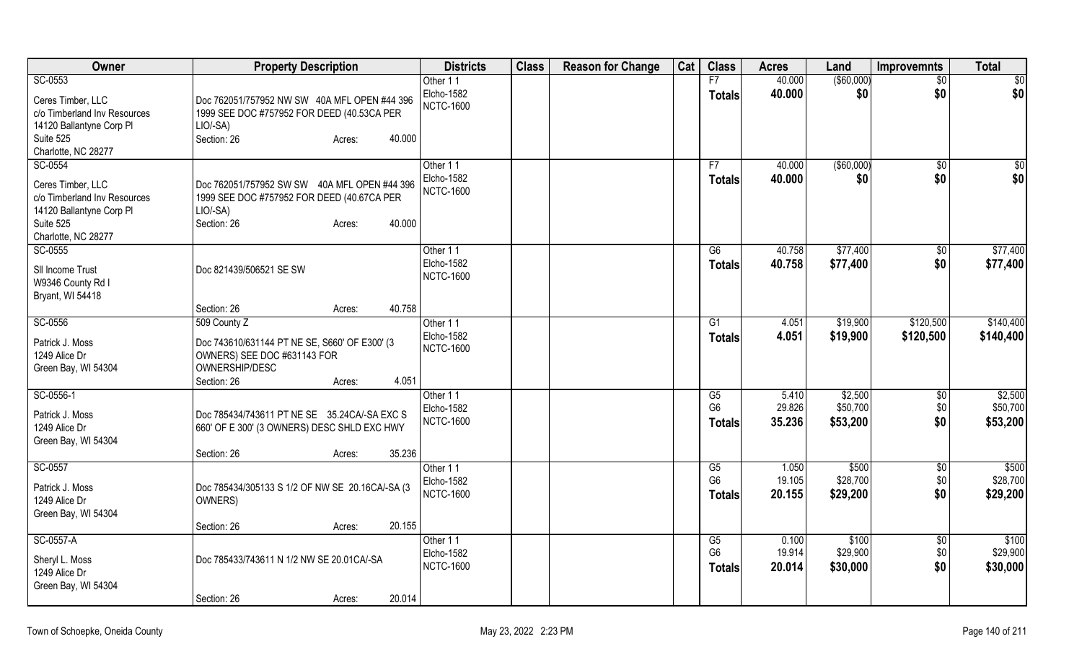| 40.000<br>$($ \$60,000)<br>SC-0553<br>F7<br>$\overline{50}$<br>\$0<br>Other 11<br>\$0<br>\$0<br>Elcho-1582<br>\$0<br>40.000<br><b>Totals</b><br>Ceres Timber, LLC<br>Doc 762051/757952 NW SW 40A MFL OPEN #44 396<br><b>NCTC-1600</b><br>1999 SEE DOC #757952 FOR DEED (40.53CA PER<br>c/o Timberland Inv Resources<br>14120 Ballantyne Corp PI<br>LIO/-SA)<br>40.000<br>Suite 525<br>Section: 26<br>Acres:<br>Charlotte, NC 28277<br>SC-0554<br>( \$60,000)<br>40.000<br>Other 11<br>F7<br>$\sqrt{6}$<br>\$0<br>\$0<br>Elcho-1582<br>40.000<br>\$0<br><b>Totals</b><br>Ceres Timber, LLC<br>Doc 762051/757952 SW SW 40A MFL OPEN #44 396<br><b>NCTC-1600</b><br>c/o Timberland Inv Resources<br>1999 SEE DOC #757952 FOR DEED (40.67CA PER<br>14120 Ballantyne Corp PI<br>LIO/-SA)<br>Suite 525<br>Section: 26<br>40.000<br>Acres:<br>Charlotte, NC 28277<br>SC-0555<br>\$77,400<br>\$77,400<br>G6<br>40.758<br>\$0<br>Other 11<br>Elcho-1582<br>\$77,400<br>\$0<br>\$77,400<br>40.758<br><b>Totals</b><br>Doc 821439/506521 SE SW<br>SII Income Trust<br><b>NCTC-1600</b><br>W9346 County Rd I<br>Bryant, WI 54418<br>40.758<br>Section: 26<br>Acres:<br>SC-0556<br>\$19,900<br>\$120,500<br>509 County Z<br>Other 11<br>G1<br>4.051<br>Elcho-1582<br>4.051<br>\$19,900<br>\$120,500<br>\$140,400<br><b>Totals</b><br>Patrick J. Moss<br>Doc 743610/631144 PT NE SE, S660' OF E300' (3<br><b>NCTC-1600</b><br>1249 Alice Dr<br>OWNERS) SEE DOC #631143 FOR<br>OWNERSHIP/DESC<br>Green Bay, WI 54304<br>Section: 26<br>4.051<br>Acres:<br>SC-0556-1<br>\$2,500<br>5.410<br>Other 11<br>G5<br>\$0<br>G <sub>6</sub><br>\$50,700<br>\$0<br><b>Elcho-1582</b><br>29.826<br>Doc 785434/743611 PT NE SE 35.24CA/-SA EXC S<br>Patrick J. Moss<br><b>NCTC-1600</b><br>\$0<br>35.236<br>\$53,200<br>\$53,200<br><b>Totals</b><br>1249 Alice Dr<br>660' OF E 300' (3 OWNERS) DESC SHLD EXC HWY<br>Green Bay, WI 54304<br>35.236<br>Section: 26<br>Acres:<br>SC-0557<br>\$500<br>\$500<br>1.050<br>G5<br>\$0<br>Other 11<br>G <sub>6</sub><br>\$28,700<br>19.105<br>\$0<br>Elcho-1582<br>Patrick J. Moss<br>Doc 785434/305133 S 1/2 OF NW SE 20.16CA/-SA (3<br>\$0<br>20.155<br>\$29,200<br>\$29,200<br><b>NCTC-1600</b><br><b>Totals</b><br>1249 Alice Dr<br>OWNERS)<br>Green Bay, WI 54304<br>20.155<br>Section: 26<br>Acres:<br>SC-0557-A<br>\$100<br>\$100<br>Other 11<br>G5<br>0.100<br>\$0<br>G <sub>6</sub><br>\$29,900<br>\$29,900<br>19.914<br>\$0<br>Elcho-1582<br>Doc 785433/743611 N 1/2 NW SE 20.01CA/-SA<br>Sheryl L. Moss<br>\$0<br><b>NCTC-1600</b><br>\$30,000<br>20.014<br>\$30,000<br><b>Totals</b><br>1249 Alice Dr<br>Green Bay, WI 54304<br>20.014<br>Section: 26<br>Acres: | Owner | <b>Property Description</b> | <b>Districts</b> | <b>Class</b> | <b>Reason for Change</b> | Cat | <b>Class</b> | <b>Acres</b> | Land | <b>Improvemnts</b> | <b>Total</b> |
|------------------------------------------------------------------------------------------------------------------------------------------------------------------------------------------------------------------------------------------------------------------------------------------------------------------------------------------------------------------------------------------------------------------------------------------------------------------------------------------------------------------------------------------------------------------------------------------------------------------------------------------------------------------------------------------------------------------------------------------------------------------------------------------------------------------------------------------------------------------------------------------------------------------------------------------------------------------------------------------------------------------------------------------------------------------------------------------------------------------------------------------------------------------------------------------------------------------------------------------------------------------------------------------------------------------------------------------------------------------------------------------------------------------------------------------------------------------------------------------------------------------------------------------------------------------------------------------------------------------------------------------------------------------------------------------------------------------------------------------------------------------------------------------------------------------------------------------------------------------------------------------------------------------------------------------------------------------------------------------------------------------------------------------------------------------------------------------------------------------------------------------------------------------------------------------------------------------------------------------------------------------------------------------------------------------------------------------------------------------------------------------------------------------------------------------------------------------------------------------------------------------------------------------------------------------------------------------------------------------------------------------------------------------------------------------|-------|-----------------------------|------------------|--------------|--------------------------|-----|--------------|--------------|------|--------------------|--------------|
|                                                                                                                                                                                                                                                                                                                                                                                                                                                                                                                                                                                                                                                                                                                                                                                                                                                                                                                                                                                                                                                                                                                                                                                                                                                                                                                                                                                                                                                                                                                                                                                                                                                                                                                                                                                                                                                                                                                                                                                                                                                                                                                                                                                                                                                                                                                                                                                                                                                                                                                                                                                                                                                                                          |       |                             |                  |              |                          |     |              |              |      |                    |              |
|                                                                                                                                                                                                                                                                                                                                                                                                                                                                                                                                                                                                                                                                                                                                                                                                                                                                                                                                                                                                                                                                                                                                                                                                                                                                                                                                                                                                                                                                                                                                                                                                                                                                                                                                                                                                                                                                                                                                                                                                                                                                                                                                                                                                                                                                                                                                                                                                                                                                                                                                                                                                                                                                                          |       |                             |                  |              |                          |     |              |              |      |                    |              |
|                                                                                                                                                                                                                                                                                                                                                                                                                                                                                                                                                                                                                                                                                                                                                                                                                                                                                                                                                                                                                                                                                                                                                                                                                                                                                                                                                                                                                                                                                                                                                                                                                                                                                                                                                                                                                                                                                                                                                                                                                                                                                                                                                                                                                                                                                                                                                                                                                                                                                                                                                                                                                                                                                          |       |                             |                  |              |                          |     |              |              |      |                    |              |
|                                                                                                                                                                                                                                                                                                                                                                                                                                                                                                                                                                                                                                                                                                                                                                                                                                                                                                                                                                                                                                                                                                                                                                                                                                                                                                                                                                                                                                                                                                                                                                                                                                                                                                                                                                                                                                                                                                                                                                                                                                                                                                                                                                                                                                                                                                                                                                                                                                                                                                                                                                                                                                                                                          |       |                             |                  |              |                          |     |              |              |      |                    |              |
| \$0<br>\$140,400<br>\$2,500<br>\$50,700<br>\$28,700                                                                                                                                                                                                                                                                                                                                                                                                                                                                                                                                                                                                                                                                                                                                                                                                                                                                                                                                                                                                                                                                                                                                                                                                                                                                                                                                                                                                                                                                                                                                                                                                                                                                                                                                                                                                                                                                                                                                                                                                                                                                                                                                                                                                                                                                                                                                                                                                                                                                                                                                                                                                                                      |       |                             |                  |              |                          |     |              |              |      |                    |              |
|                                                                                                                                                                                                                                                                                                                                                                                                                                                                                                                                                                                                                                                                                                                                                                                                                                                                                                                                                                                                                                                                                                                                                                                                                                                                                                                                                                                                                                                                                                                                                                                                                                                                                                                                                                                                                                                                                                                                                                                                                                                                                                                                                                                                                                                                                                                                                                                                                                                                                                                                                                                                                                                                                          |       |                             |                  |              |                          |     |              |              |      |                    |              |
|                                                                                                                                                                                                                                                                                                                                                                                                                                                                                                                                                                                                                                                                                                                                                                                                                                                                                                                                                                                                                                                                                                                                                                                                                                                                                                                                                                                                                                                                                                                                                                                                                                                                                                                                                                                                                                                                                                                                                                                                                                                                                                                                                                                                                                                                                                                                                                                                                                                                                                                                                                                                                                                                                          |       |                             |                  |              |                          |     |              |              |      |                    |              |
|                                                                                                                                                                                                                                                                                                                                                                                                                                                                                                                                                                                                                                                                                                                                                                                                                                                                                                                                                                                                                                                                                                                                                                                                                                                                                                                                                                                                                                                                                                                                                                                                                                                                                                                                                                                                                                                                                                                                                                                                                                                                                                                                                                                                                                                                                                                                                                                                                                                                                                                                                                                                                                                                                          |       |                             |                  |              |                          |     |              |              |      |                    |              |
|                                                                                                                                                                                                                                                                                                                                                                                                                                                                                                                                                                                                                                                                                                                                                                                                                                                                                                                                                                                                                                                                                                                                                                                                                                                                                                                                                                                                                                                                                                                                                                                                                                                                                                                                                                                                                                                                                                                                                                                                                                                                                                                                                                                                                                                                                                                                                                                                                                                                                                                                                                                                                                                                                          |       |                             |                  |              |                          |     |              |              |      |                    |              |
|                                                                                                                                                                                                                                                                                                                                                                                                                                                                                                                                                                                                                                                                                                                                                                                                                                                                                                                                                                                                                                                                                                                                                                                                                                                                                                                                                                                                                                                                                                                                                                                                                                                                                                                                                                                                                                                                                                                                                                                                                                                                                                                                                                                                                                                                                                                                                                                                                                                                                                                                                                                                                                                                                          |       |                             |                  |              |                          |     |              |              |      |                    |              |
|                                                                                                                                                                                                                                                                                                                                                                                                                                                                                                                                                                                                                                                                                                                                                                                                                                                                                                                                                                                                                                                                                                                                                                                                                                                                                                                                                                                                                                                                                                                                                                                                                                                                                                                                                                                                                                                                                                                                                                                                                                                                                                                                                                                                                                                                                                                                                                                                                                                                                                                                                                                                                                                                                          |       |                             |                  |              |                          |     |              |              |      |                    |              |
|                                                                                                                                                                                                                                                                                                                                                                                                                                                                                                                                                                                                                                                                                                                                                                                                                                                                                                                                                                                                                                                                                                                                                                                                                                                                                                                                                                                                                                                                                                                                                                                                                                                                                                                                                                                                                                                                                                                                                                                                                                                                                                                                                                                                                                                                                                                                                                                                                                                                                                                                                                                                                                                                                          |       |                             |                  |              |                          |     |              |              |      |                    |              |
|                                                                                                                                                                                                                                                                                                                                                                                                                                                                                                                                                                                                                                                                                                                                                                                                                                                                                                                                                                                                                                                                                                                                                                                                                                                                                                                                                                                                                                                                                                                                                                                                                                                                                                                                                                                                                                                                                                                                                                                                                                                                                                                                                                                                                                                                                                                                                                                                                                                                                                                                                                                                                                                                                          |       |                             |                  |              |                          |     |              |              |      |                    |              |
|                                                                                                                                                                                                                                                                                                                                                                                                                                                                                                                                                                                                                                                                                                                                                                                                                                                                                                                                                                                                                                                                                                                                                                                                                                                                                                                                                                                                                                                                                                                                                                                                                                                                                                                                                                                                                                                                                                                                                                                                                                                                                                                                                                                                                                                                                                                                                                                                                                                                                                                                                                                                                                                                                          |       |                             |                  |              |                          |     |              |              |      |                    |              |
|                                                                                                                                                                                                                                                                                                                                                                                                                                                                                                                                                                                                                                                                                                                                                                                                                                                                                                                                                                                                                                                                                                                                                                                                                                                                                                                                                                                                                                                                                                                                                                                                                                                                                                                                                                                                                                                                                                                                                                                                                                                                                                                                                                                                                                                                                                                                                                                                                                                                                                                                                                                                                                                                                          |       |                             |                  |              |                          |     |              |              |      |                    |              |
|                                                                                                                                                                                                                                                                                                                                                                                                                                                                                                                                                                                                                                                                                                                                                                                                                                                                                                                                                                                                                                                                                                                                                                                                                                                                                                                                                                                                                                                                                                                                                                                                                                                                                                                                                                                                                                                                                                                                                                                                                                                                                                                                                                                                                                                                                                                                                                                                                                                                                                                                                                                                                                                                                          |       |                             |                  |              |                          |     |              |              |      |                    |              |
|                                                                                                                                                                                                                                                                                                                                                                                                                                                                                                                                                                                                                                                                                                                                                                                                                                                                                                                                                                                                                                                                                                                                                                                                                                                                                                                                                                                                                                                                                                                                                                                                                                                                                                                                                                                                                                                                                                                                                                                                                                                                                                                                                                                                                                                                                                                                                                                                                                                                                                                                                                                                                                                                                          |       |                             |                  |              |                          |     |              |              |      |                    |              |
|                                                                                                                                                                                                                                                                                                                                                                                                                                                                                                                                                                                                                                                                                                                                                                                                                                                                                                                                                                                                                                                                                                                                                                                                                                                                                                                                                                                                                                                                                                                                                                                                                                                                                                                                                                                                                                                                                                                                                                                                                                                                                                                                                                                                                                                                                                                                                                                                                                                                                                                                                                                                                                                                                          |       |                             |                  |              |                          |     |              |              |      |                    |              |
|                                                                                                                                                                                                                                                                                                                                                                                                                                                                                                                                                                                                                                                                                                                                                                                                                                                                                                                                                                                                                                                                                                                                                                                                                                                                                                                                                                                                                                                                                                                                                                                                                                                                                                                                                                                                                                                                                                                                                                                                                                                                                                                                                                                                                                                                                                                                                                                                                                                                                                                                                                                                                                                                                          |       |                             |                  |              |                          |     |              |              |      |                    |              |
|                                                                                                                                                                                                                                                                                                                                                                                                                                                                                                                                                                                                                                                                                                                                                                                                                                                                                                                                                                                                                                                                                                                                                                                                                                                                                                                                                                                                                                                                                                                                                                                                                                                                                                                                                                                                                                                                                                                                                                                                                                                                                                                                                                                                                                                                                                                                                                                                                                                                                                                                                                                                                                                                                          |       |                             |                  |              |                          |     |              |              |      |                    |              |
|                                                                                                                                                                                                                                                                                                                                                                                                                                                                                                                                                                                                                                                                                                                                                                                                                                                                                                                                                                                                                                                                                                                                                                                                                                                                                                                                                                                                                                                                                                                                                                                                                                                                                                                                                                                                                                                                                                                                                                                                                                                                                                                                                                                                                                                                                                                                                                                                                                                                                                                                                                                                                                                                                          |       |                             |                  |              |                          |     |              |              |      |                    |              |
|                                                                                                                                                                                                                                                                                                                                                                                                                                                                                                                                                                                                                                                                                                                                                                                                                                                                                                                                                                                                                                                                                                                                                                                                                                                                                                                                                                                                                                                                                                                                                                                                                                                                                                                                                                                                                                                                                                                                                                                                                                                                                                                                                                                                                                                                                                                                                                                                                                                                                                                                                                                                                                                                                          |       |                             |                  |              |                          |     |              |              |      |                    |              |
|                                                                                                                                                                                                                                                                                                                                                                                                                                                                                                                                                                                                                                                                                                                                                                                                                                                                                                                                                                                                                                                                                                                                                                                                                                                                                                                                                                                                                                                                                                                                                                                                                                                                                                                                                                                                                                                                                                                                                                                                                                                                                                                                                                                                                                                                                                                                                                                                                                                                                                                                                                                                                                                                                          |       |                             |                  |              |                          |     |              |              |      |                    |              |
|                                                                                                                                                                                                                                                                                                                                                                                                                                                                                                                                                                                                                                                                                                                                                                                                                                                                                                                                                                                                                                                                                                                                                                                                                                                                                                                                                                                                                                                                                                                                                                                                                                                                                                                                                                                                                                                                                                                                                                                                                                                                                                                                                                                                                                                                                                                                                                                                                                                                                                                                                                                                                                                                                          |       |                             |                  |              |                          |     |              |              |      |                    |              |
|                                                                                                                                                                                                                                                                                                                                                                                                                                                                                                                                                                                                                                                                                                                                                                                                                                                                                                                                                                                                                                                                                                                                                                                                                                                                                                                                                                                                                                                                                                                                                                                                                                                                                                                                                                                                                                                                                                                                                                                                                                                                                                                                                                                                                                                                                                                                                                                                                                                                                                                                                                                                                                                                                          |       |                             |                  |              |                          |     |              |              |      |                    |              |
|                                                                                                                                                                                                                                                                                                                                                                                                                                                                                                                                                                                                                                                                                                                                                                                                                                                                                                                                                                                                                                                                                                                                                                                                                                                                                                                                                                                                                                                                                                                                                                                                                                                                                                                                                                                                                                                                                                                                                                                                                                                                                                                                                                                                                                                                                                                                                                                                                                                                                                                                                                                                                                                                                          |       |                             |                  |              |                          |     |              |              |      |                    |              |
|                                                                                                                                                                                                                                                                                                                                                                                                                                                                                                                                                                                                                                                                                                                                                                                                                                                                                                                                                                                                                                                                                                                                                                                                                                                                                                                                                                                                                                                                                                                                                                                                                                                                                                                                                                                                                                                                                                                                                                                                                                                                                                                                                                                                                                                                                                                                                                                                                                                                                                                                                                                                                                                                                          |       |                             |                  |              |                          |     |              |              |      |                    |              |
|                                                                                                                                                                                                                                                                                                                                                                                                                                                                                                                                                                                                                                                                                                                                                                                                                                                                                                                                                                                                                                                                                                                                                                                                                                                                                                                                                                                                                                                                                                                                                                                                                                                                                                                                                                                                                                                                                                                                                                                                                                                                                                                                                                                                                                                                                                                                                                                                                                                                                                                                                                                                                                                                                          |       |                             |                  |              |                          |     |              |              |      |                    |              |
|                                                                                                                                                                                                                                                                                                                                                                                                                                                                                                                                                                                                                                                                                                                                                                                                                                                                                                                                                                                                                                                                                                                                                                                                                                                                                                                                                                                                                                                                                                                                                                                                                                                                                                                                                                                                                                                                                                                                                                                                                                                                                                                                                                                                                                                                                                                                                                                                                                                                                                                                                                                                                                                                                          |       |                             |                  |              |                          |     |              |              |      |                    |              |
|                                                                                                                                                                                                                                                                                                                                                                                                                                                                                                                                                                                                                                                                                                                                                                                                                                                                                                                                                                                                                                                                                                                                                                                                                                                                                                                                                                                                                                                                                                                                                                                                                                                                                                                                                                                                                                                                                                                                                                                                                                                                                                                                                                                                                                                                                                                                                                                                                                                                                                                                                                                                                                                                                          |       |                             |                  |              |                          |     |              |              |      |                    |              |
|                                                                                                                                                                                                                                                                                                                                                                                                                                                                                                                                                                                                                                                                                                                                                                                                                                                                                                                                                                                                                                                                                                                                                                                                                                                                                                                                                                                                                                                                                                                                                                                                                                                                                                                                                                                                                                                                                                                                                                                                                                                                                                                                                                                                                                                                                                                                                                                                                                                                                                                                                                                                                                                                                          |       |                             |                  |              |                          |     |              |              |      |                    |              |
|                                                                                                                                                                                                                                                                                                                                                                                                                                                                                                                                                                                                                                                                                                                                                                                                                                                                                                                                                                                                                                                                                                                                                                                                                                                                                                                                                                                                                                                                                                                                                                                                                                                                                                                                                                                                                                                                                                                                                                                                                                                                                                                                                                                                                                                                                                                                                                                                                                                                                                                                                                                                                                                                                          |       |                             |                  |              |                          |     |              |              |      |                    |              |
|                                                                                                                                                                                                                                                                                                                                                                                                                                                                                                                                                                                                                                                                                                                                                                                                                                                                                                                                                                                                                                                                                                                                                                                                                                                                                                                                                                                                                                                                                                                                                                                                                                                                                                                                                                                                                                                                                                                                                                                                                                                                                                                                                                                                                                                                                                                                                                                                                                                                                                                                                                                                                                                                                          |       |                             |                  |              |                          |     |              |              |      |                    |              |
|                                                                                                                                                                                                                                                                                                                                                                                                                                                                                                                                                                                                                                                                                                                                                                                                                                                                                                                                                                                                                                                                                                                                                                                                                                                                                                                                                                                                                                                                                                                                                                                                                                                                                                                                                                                                                                                                                                                                                                                                                                                                                                                                                                                                                                                                                                                                                                                                                                                                                                                                                                                                                                                                                          |       |                             |                  |              |                          |     |              |              |      |                    |              |
|                                                                                                                                                                                                                                                                                                                                                                                                                                                                                                                                                                                                                                                                                                                                                                                                                                                                                                                                                                                                                                                                                                                                                                                                                                                                                                                                                                                                                                                                                                                                                                                                                                                                                                                                                                                                                                                                                                                                                                                                                                                                                                                                                                                                                                                                                                                                                                                                                                                                                                                                                                                                                                                                                          |       |                             |                  |              |                          |     |              |              |      |                    |              |
|                                                                                                                                                                                                                                                                                                                                                                                                                                                                                                                                                                                                                                                                                                                                                                                                                                                                                                                                                                                                                                                                                                                                                                                                                                                                                                                                                                                                                                                                                                                                                                                                                                                                                                                                                                                                                                                                                                                                                                                                                                                                                                                                                                                                                                                                                                                                                                                                                                                                                                                                                                                                                                                                                          |       |                             |                  |              |                          |     |              |              |      |                    |              |
|                                                                                                                                                                                                                                                                                                                                                                                                                                                                                                                                                                                                                                                                                                                                                                                                                                                                                                                                                                                                                                                                                                                                                                                                                                                                                                                                                                                                                                                                                                                                                                                                                                                                                                                                                                                                                                                                                                                                                                                                                                                                                                                                                                                                                                                                                                                                                                                                                                                                                                                                                                                                                                                                                          |       |                             |                  |              |                          |     |              |              |      |                    |              |
|                                                                                                                                                                                                                                                                                                                                                                                                                                                                                                                                                                                                                                                                                                                                                                                                                                                                                                                                                                                                                                                                                                                                                                                                                                                                                                                                                                                                                                                                                                                                                                                                                                                                                                                                                                                                                                                                                                                                                                                                                                                                                                                                                                                                                                                                                                                                                                                                                                                                                                                                                                                                                                                                                          |       |                             |                  |              |                          |     |              |              |      |                    |              |
|                                                                                                                                                                                                                                                                                                                                                                                                                                                                                                                                                                                                                                                                                                                                                                                                                                                                                                                                                                                                                                                                                                                                                                                                                                                                                                                                                                                                                                                                                                                                                                                                                                                                                                                                                                                                                                                                                                                                                                                                                                                                                                                                                                                                                                                                                                                                                                                                                                                                                                                                                                                                                                                                                          |       |                             |                  |              |                          |     |              |              |      |                    |              |
|                                                                                                                                                                                                                                                                                                                                                                                                                                                                                                                                                                                                                                                                                                                                                                                                                                                                                                                                                                                                                                                                                                                                                                                                                                                                                                                                                                                                                                                                                                                                                                                                                                                                                                                                                                                                                                                                                                                                                                                                                                                                                                                                                                                                                                                                                                                                                                                                                                                                                                                                                                                                                                                                                          |       |                             |                  |              |                          |     |              |              |      |                    |              |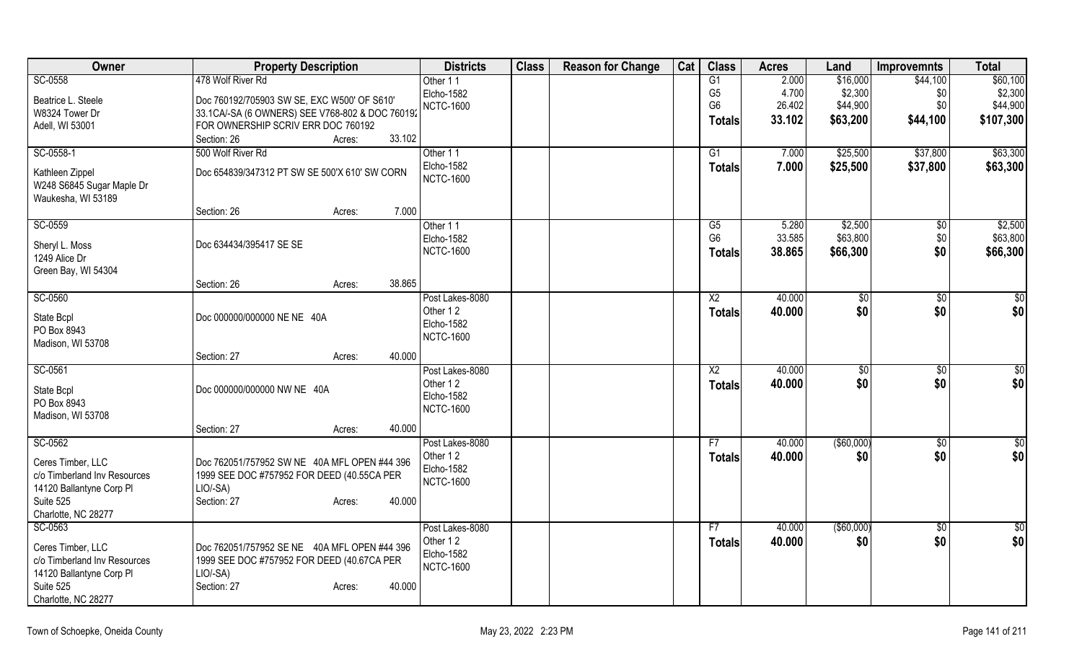| Owner                                                                                                             | <b>Property Description</b>                                                                                                               | <b>Districts</b>                           | <b>Class</b> | <b>Reason for Change</b> | Cat | <b>Class</b>    | <b>Acres</b> | Land          | <b>Improvemnts</b> | <b>Total</b>  |
|-------------------------------------------------------------------------------------------------------------------|-------------------------------------------------------------------------------------------------------------------------------------------|--------------------------------------------|--------------|--------------------------|-----|-----------------|--------------|---------------|--------------------|---------------|
| SC-0558                                                                                                           | 478 Wolf River Rd                                                                                                                         | Other 11                                   |              |                          |     | G1              | 2.000        | \$16,000      | \$44,100           | \$60,100      |
| Beatrice L. Steele                                                                                                | Doc 760192/705903 SW SE, EXC W500' OF S610'                                                                                               | Elcho-1582                                 |              |                          |     | G <sub>5</sub>  | 4.700        | \$2,300       | \$0                | \$2,300       |
| W8324 Tower Dr                                                                                                    | 33.1CA/-SA (6 OWNERS) SEE V768-802 & DOC 760192                                                                                           | <b>NCTC-1600</b>                           |              |                          |     | G <sub>6</sub>  | 26.402       | \$44,900      | \$0                | \$44,900      |
| Adell, WI 53001                                                                                                   | FOR OWNERSHIP SCRIV ERR DOC 760192                                                                                                        |                                            |              |                          |     | <b>Totals</b>   | 33.102       | \$63,200      | \$44,100           | \$107,300     |
|                                                                                                                   | 33.102<br>Section: 26<br>Acres:                                                                                                           |                                            |              |                          |     |                 |              |               |                    |               |
| SC-0558-1                                                                                                         | 500 Wolf River Rd                                                                                                                         | Other 11                                   |              |                          |     | G1              | 7.000        | \$25,500      | \$37,800           | \$63,300      |
| Kathleen Zippel<br>W248 S6845 Sugar Maple Dr<br>Waukesha, WI 53189                                                | Doc 654839/347312 PT SW SE 500'X 610' SW CORN                                                                                             | Elcho-1582<br><b>NCTC-1600</b>             |              |                          |     | <b>Totals</b>   | 7.000        | \$25,500      | \$37,800           | \$63,300      |
|                                                                                                                   | 7.000<br>Section: 26<br>Acres:                                                                                                            |                                            |              |                          |     |                 |              |               |                    |               |
| SC-0559                                                                                                           |                                                                                                                                           | Other 11                                   |              |                          |     | $\overline{G5}$ | 5.280        | \$2,500       | $\overline{50}$    | \$2,500       |
| Sheryl L. Moss                                                                                                    | Doc 634434/395417 SE SE                                                                                                                   | Elcho-1582                                 |              |                          |     | G <sub>6</sub>  | 33.585       | \$63,800      | \$0                | \$63,800      |
| 1249 Alice Dr                                                                                                     |                                                                                                                                           | <b>NCTC-1600</b>                           |              |                          |     | Totals          | 38.865       | \$66,300      | \$0                | \$66,300      |
| Green Bay, WI 54304                                                                                               |                                                                                                                                           |                                            |              |                          |     |                 |              |               |                    |               |
|                                                                                                                   | 38.865<br>Section: 26<br>Acres:                                                                                                           |                                            |              |                          |     |                 |              |               |                    |               |
| SC-0560                                                                                                           |                                                                                                                                           | Post Lakes-8080                            |              |                          |     | X <sub>2</sub>  | 40.000       | \$            | \$0                | \$0           |
| State Bcpl<br>PO Box 8943<br>Madison, WI 53708                                                                    | Doc 000000/000000 NE NE 40A                                                                                                               | Other 12<br>Elcho-1582<br><b>NCTC-1600</b> |              |                          |     | <b>Totals</b>   | 40.000       | \$0           | \$0                | \$0           |
|                                                                                                                   | 40.000<br>Section: 27<br>Acres:                                                                                                           |                                            |              |                          |     |                 |              |               |                    |               |
| SC-0561                                                                                                           |                                                                                                                                           | Post Lakes-8080                            |              |                          |     | $\overline{X2}$ | 40.000       | \$0           | $\overline{50}$    | \$0           |
| State Bcpl<br>PO Box 8943<br>Madison, WI 53708                                                                    | Doc 000000/000000 NW NE 40A                                                                                                               | Other 12<br>Elcho-1582<br><b>NCTC-1600</b> |              |                          |     | Totals          | 40.000       | \$0           | \$0                | \$0           |
|                                                                                                                   | 40.000<br>Section: 27<br>Acres:                                                                                                           |                                            |              |                          |     |                 |              |               |                    |               |
| SC-0562                                                                                                           |                                                                                                                                           | Post Lakes-8080                            |              |                          |     | F7              | 40.000       | $($ \$60,000) | $\overline{50}$    | \$0           |
| Ceres Timber, LLC<br>c/o Timberland Inv Resources<br>14120 Ballantyne Corp PI<br>Suite 525<br>Charlotte, NC 28277 | Doc 762051/757952 SW NE 40A MFL OPEN #44 396<br>1999 SEE DOC #757952 FOR DEED (40.55CA PER<br>LIO/-SA)<br>40.000<br>Section: 27<br>Acres: | Other 12<br>Elcho-1582<br><b>NCTC-1600</b> |              |                          |     | <b>Totals</b>   | 40.000       | \$0           | \$0                | \$0           |
| SC-0563                                                                                                           |                                                                                                                                           | Post Lakes-8080                            |              |                          |     | F7              | 40.000       | (\$60,000)    | $\overline{50}$    | $\frac{1}{6}$ |
| Ceres Timber, LLC<br>c/o Timberland Inv Resources<br>14120 Ballantyne Corp PI<br>Suite 525<br>Charlotte, NC 28277 | Doc 762051/757952 SE NE 40A MFL OPEN #44 396<br>1999 SEE DOC #757952 FOR DEED (40.67CA PER<br>LIO/-SA)<br>Section: 27<br>40.000<br>Acres: | Other 12<br>Elcho-1582<br><b>NCTC-1600</b> |              |                          |     | <b>Totals</b>   | 40.000       | \$0           | \$0                | \$0           |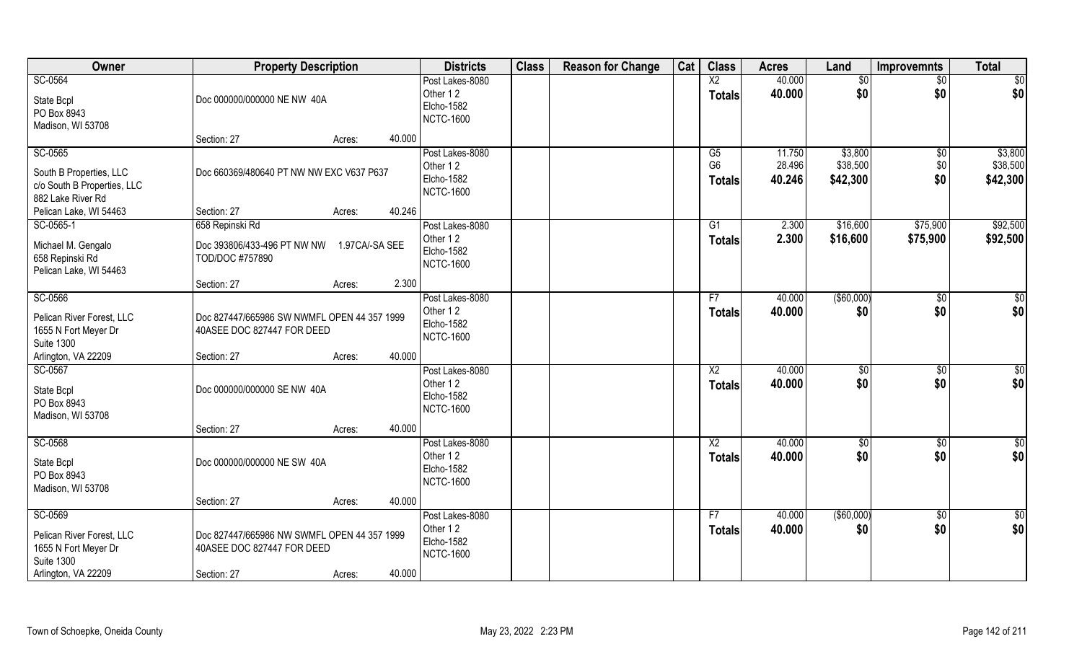| Owner                                                                                             | <b>Property Description</b>                                                              |                  | <b>Districts</b>                                              | <b>Class</b> | <b>Reason for Change</b> | Cat | <b>Class</b>                          | <b>Acres</b>               | Land                            | <b>Improvemnts</b>           | <b>Total</b>                    |
|---------------------------------------------------------------------------------------------------|------------------------------------------------------------------------------------------|------------------|---------------------------------------------------------------|--------------|--------------------------|-----|---------------------------------------|----------------------------|---------------------------------|------------------------------|---------------------------------|
| SC-0564<br>State Bcpl<br>PO Box 8943<br>Madison, WI 53708                                         | Doc 000000/000000 NE NW 40A                                                              |                  | Post Lakes-8080<br>Other 12<br>Elcho-1582<br><b>NCTC-1600</b> |              |                          |     | $\overline{X2}$<br><b>Totals</b>      | 40.000<br>40.000           | \$0<br>\$0                      | $\overline{50}$<br>\$0       | \$0<br>\$0                      |
|                                                                                                   | Section: 27                                                                              | 40.000<br>Acres: |                                                               |              |                          |     |                                       |                            |                                 |                              |                                 |
| SC-0565<br>South B Properties, LLC<br>c/o South B Properties, LLC<br>882 Lake River Rd            | Doc 660369/480640 PT NW NW EXC V637 P637                                                 |                  | Post Lakes-8080<br>Other 12<br>Elcho-1582<br><b>NCTC-1600</b> |              |                          |     | G5<br>G <sub>6</sub><br><b>Totals</b> | 11.750<br>28.496<br>40.246 | \$3,800<br>\$38,500<br>\$42,300 | $\sqrt[6]{30}$<br>\$0<br>\$0 | \$3,800<br>\$38,500<br>\$42,300 |
| Pelican Lake, WI 54463                                                                            | Section: 27                                                                              | 40.246<br>Acres: |                                                               |              |                          |     |                                       |                            |                                 |                              |                                 |
| SC-0565-1                                                                                         | 658 Repinski Rd                                                                          |                  | Post Lakes-8080                                               |              |                          |     | G1                                    | 2.300                      | \$16,600                        | \$75,900                     | \$92,500                        |
| Michael M. Gengalo<br>658 Repinski Rd<br>Pelican Lake, WI 54463                                   | Doc 393806/433-496 PT NW NW<br>TOD/DOC #757890                                           | 1.97CA/-SA SEE   | Other 12<br>Elcho-1582<br><b>NCTC-1600</b>                    |              |                          |     | <b>Totals</b>                         | 2.300                      | \$16,600                        | \$75,900                     | \$92,500                        |
|                                                                                                   | Section: 27                                                                              | 2.300<br>Acres:  |                                                               |              |                          |     |                                       |                            |                                 |                              |                                 |
| SC-0566<br>Pelican River Forest, LLC<br>1655 N Fort Meyer Dr<br><b>Suite 1300</b>                 | Doc 827447/665986 SW NWMFL OPEN 44 357 1999<br>40ASEE DOC 827447 FOR DEED                |                  | Post Lakes-8080<br>Other 12<br>Elcho-1582<br><b>NCTC-1600</b> |              |                          |     | F7<br><b>Totals</b>                   | 40.000<br>40.000           | ( \$60,000)<br>\$0              | \$0<br>\$0                   | \$0<br>\$0                      |
| Arlington, VA 22209                                                                               | Section: 27                                                                              | 40.000<br>Acres: |                                                               |              |                          |     |                                       |                            |                                 |                              |                                 |
| SC-0567<br>State Bcpl<br>PO Box 8943<br>Madison, WI 53708                                         | Doc 000000/000000 SE NW 40A                                                              |                  | Post Lakes-8080<br>Other 12<br>Elcho-1582<br><b>NCTC-1600</b> |              |                          |     | $\overline{\text{X2}}$<br>Totals      | 40.000<br>40.000           | $\sqrt[6]{30}$<br>\$0           | $\overline{50}$<br>\$0       | \$0<br>\$0                      |
|                                                                                                   | Section: 27                                                                              | 40.000<br>Acres: |                                                               |              |                          |     |                                       |                            |                                 |                              |                                 |
| SC-0568<br>State Bcpl<br>PO Box 8943<br>Madison, WI 53708                                         | Doc 000000/000000 NE SW 40A                                                              |                  | Post Lakes-8080<br>Other 12<br>Elcho-1582<br><b>NCTC-1600</b> |              |                          |     | X <sub>2</sub><br><b>Totals</b>       | 40.000<br>40.000           | \$0<br>\$0                      | $\overline{50}$<br>\$0       | $\frac{6}{3}$<br>\$0            |
|                                                                                                   | Section: 27                                                                              | 40.000<br>Acres: |                                                               |              |                          |     |                                       |                            |                                 |                              |                                 |
| SC-0569<br>Pelican River Forest, LLC<br>1655 N Fort Meyer Dr<br>Suite 1300<br>Arlington, VA 22209 | Doc 827447/665986 NW SWMFL OPEN 44 357 1999<br>40ASEE DOC 827447 FOR DEED<br>Section: 27 | 40.000<br>Acres: | Post Lakes-8080<br>Other 12<br>Elcho-1582<br><b>NCTC-1600</b> |              |                          |     | F7<br><b>Totals</b>                   | 40.000<br>40.000           | $($ \$60,000)<br>\$0            | $\overline{50}$<br>\$0       | $\frac{1}{2}$<br>\$0            |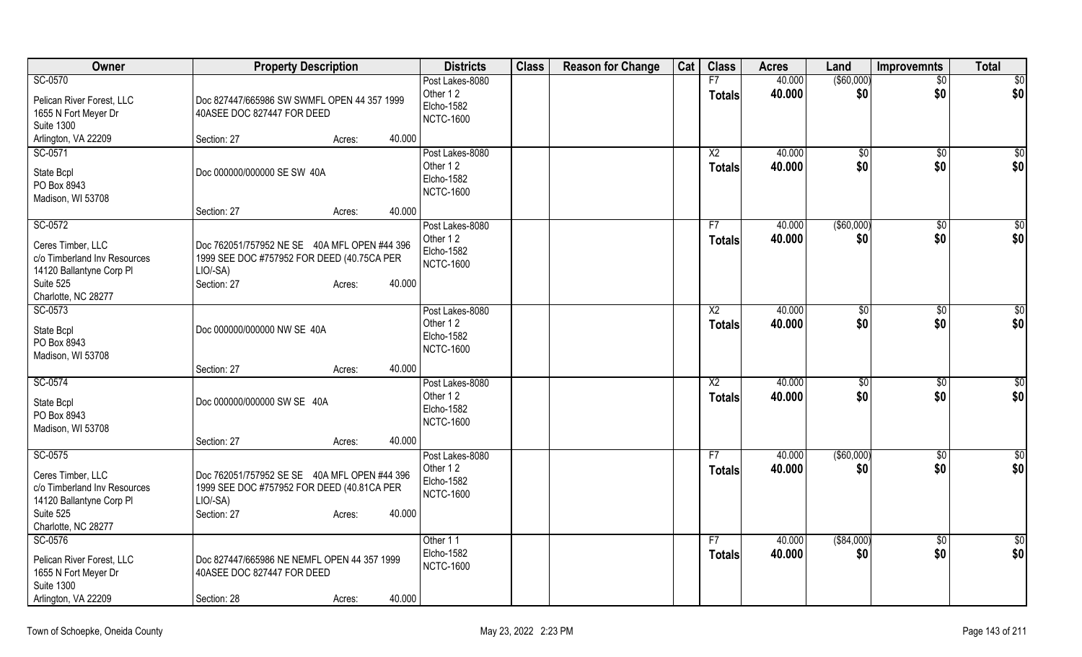| Owner                            | <b>Property Description</b>                                               | <b>Districts</b>               | <b>Class</b> | <b>Reason for Change</b> | Cat | <b>Class</b>        | <b>Acres</b>     | Land               | Improvemnts   | <b>Total</b>    |
|----------------------------------|---------------------------------------------------------------------------|--------------------------------|--------------|--------------------------|-----|---------------------|------------------|--------------------|---------------|-----------------|
| SC-0570                          |                                                                           | Post Lakes-8080                |              |                          |     | F7                  | 40.000           | $($ \$60,000) $ $  | \$0           | $\overline{50}$ |
| Pelican River Forest, LLC        | Doc 827447/665986 SW SWMFL OPEN 44 357 1999                               | Other 12                       |              |                          |     | <b>Totals</b>       | 40.000           | \$0                | \$0           | \$0             |
| 1655 N Fort Meyer Dr             | 40ASEE DOC 827447 FOR DEED                                                | Elcho-1582<br><b>NCTC-1600</b> |              |                          |     |                     |                  |                    |               |                 |
| <b>Suite 1300</b>                |                                                                           |                                |              |                          |     |                     |                  |                    |               |                 |
| Arlington, VA 22209              | 40.000<br>Section: 27<br>Acres:                                           |                                |              |                          |     |                     |                  |                    |               |                 |
| SC-0571                          |                                                                           | Post Lakes-8080<br>Other 12    |              |                          |     | X2<br><b>Totals</b> | 40.000<br>40.000 | $\sqrt{50}$<br>\$0 | \$0<br>\$0    | \$0<br>\$0      |
| State Bcpl                       | Doc 000000/000000 SE SW 40A                                               | <b>Elcho-1582</b>              |              |                          |     |                     |                  |                    |               |                 |
| PO Box 8943<br>Madison, WI 53708 |                                                                           | <b>NCTC-1600</b>               |              |                          |     |                     |                  |                    |               |                 |
|                                  | 40.000<br>Section: 27<br>Acres:                                           |                                |              |                          |     |                     |                  |                    |               |                 |
| SC-0572                          |                                                                           | Post Lakes-8080                |              |                          |     | F7                  | 40.000           | ( \$60,000)        | \$0           | \$0             |
| Ceres Timber, LLC                | Doc 762051/757952 NE SE 40A MFL OPEN #44 396                              | Other 12                       |              |                          |     | <b>Totals</b>       | 40.000           | \$0                | \$0           | \$0             |
| c/o Timberland Inv Resources     | 1999 SEE DOC #757952 FOR DEED (40.75CA PER                                | Elcho-1582                     |              |                          |     |                     |                  |                    |               |                 |
| 14120 Ballantyne Corp Pl         | LIO/-SA)                                                                  | <b>NCTC-1600</b>               |              |                          |     |                     |                  |                    |               |                 |
| Suite 525                        | Section: 27<br>40.000<br>Acres:                                           |                                |              |                          |     |                     |                  |                    |               |                 |
| Charlotte, NC 28277              |                                                                           |                                |              |                          |     |                     |                  |                    |               |                 |
| SC-0573                          |                                                                           | Post Lakes-8080<br>Other 12    |              |                          |     | X2                  | 40.000<br>40.000 | \$0                | \$0           | \$0             |
| State Bcpl                       | Doc 000000/000000 NW SE 40A                                               | Elcho-1582                     |              |                          |     | <b>Totals</b>       |                  | \$0                | \$0           | \$0             |
| PO Box 8943                      |                                                                           | <b>NCTC-1600</b>               |              |                          |     |                     |                  |                    |               |                 |
| Madison, WI 53708                | 40.000<br>Section: 27<br>Acres:                                           |                                |              |                          |     |                     |                  |                    |               |                 |
| SC-0574                          |                                                                           | Post Lakes-8080                |              |                          |     | X2                  | 40.000           | $\sqrt[6]{3}$      | $\sqrt[6]{3}$ | $\sqrt[6]{3}$   |
|                                  | Doc 000000/000000 SW SE 40A                                               | Other 12                       |              |                          |     | <b>Totals</b>       | 40.000           | \$0                | \$0           | \$0             |
| State Bcpl<br>PO Box 8943        |                                                                           | Elcho-1582                     |              |                          |     |                     |                  |                    |               |                 |
| Madison, WI 53708                |                                                                           | <b>NCTC-1600</b>               |              |                          |     |                     |                  |                    |               |                 |
|                                  | 40.000<br>Section: 27<br>Acres:                                           |                                |              |                          |     |                     |                  |                    |               |                 |
| SC-0575                          |                                                                           | Post Lakes-8080                |              |                          |     | F7                  | 40.000           | (\$60,000)         | $\sqrt{6}$    | $\sqrt{6}$      |
| Ceres Timber, LLC                | Doc 762051/757952 SE SE 40A MFL OPEN #44 396                              | Other 12<br><b>Elcho-1582</b>  |              |                          |     | <b>Totals</b>       | 40.000           | \$0                | \$0           | \$0             |
| c/o Timberland Inv Resources     | 1999 SEE DOC #757952 FOR DEED (40.81CA PER                                | <b>NCTC-1600</b>               |              |                          |     |                     |                  |                    |               |                 |
| 14120 Ballantyne Corp PI         | LIO/-SA)                                                                  |                                |              |                          |     |                     |                  |                    |               |                 |
| Suite 525<br>Charlotte, NC 28277 | 40.000<br>Section: 27<br>Acres:                                           |                                |              |                          |     |                     |                  |                    |               |                 |
| SC-0576                          |                                                                           | Other 11                       |              |                          |     | F7                  | 40.000           | ( \$84,000)        | $\sqrt{6}$    | $\sqrt{6}$      |
| Pelican River Forest, LLC        |                                                                           | Elcho-1582                     |              |                          |     | <b>Totals</b>       | 40.000           | \$0                | \$0           | \$0             |
| 1655 N Fort Meyer Dr             | Doc 827447/665986 NE NEMFL OPEN 44 357 1999<br>40ASEE DOC 827447 FOR DEED | <b>NCTC-1600</b>               |              |                          |     |                     |                  |                    |               |                 |
| <b>Suite 1300</b>                |                                                                           |                                |              |                          |     |                     |                  |                    |               |                 |
| Arlington, VA 22209              | 40.000<br>Section: 28<br>Acres:                                           |                                |              |                          |     |                     |                  |                    |               |                 |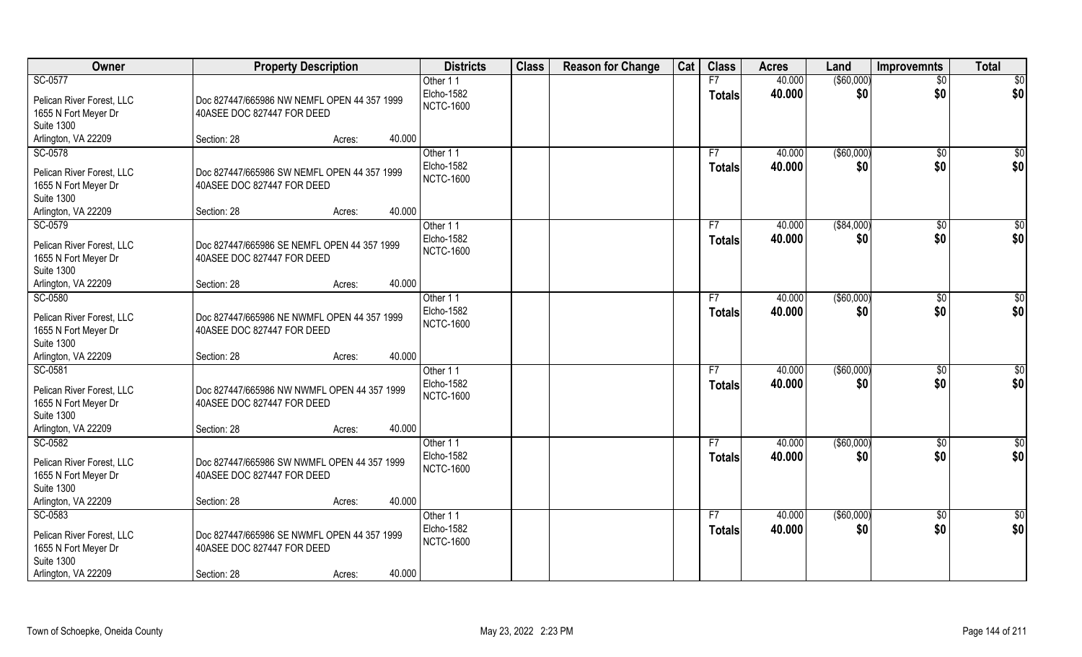| Owner                                                                                                    | <b>Property Description</b>                                                              |        |        | <b>Districts</b>                           | <b>Class</b> | <b>Reason for Change</b> | Cat | <b>Class</b>        | <b>Acres</b>     | Land               | Improvemnts           | <b>Total</b>         |
|----------------------------------------------------------------------------------------------------------|------------------------------------------------------------------------------------------|--------|--------|--------------------------------------------|--------------|--------------------------|-----|---------------------|------------------|--------------------|-----------------------|----------------------|
| SC-0577                                                                                                  |                                                                                          |        |        | Other 11                                   |              |                          |     | F7                  | 40.000           | ( \$60,000)        | $\overline{50}$       | \$0                  |
| Pelican River Forest, LLC<br>1655 N Fort Meyer Dr                                                        | Doc 827447/665986 NW NEMFL OPEN 44 357 1999<br>40ASEE DOC 827447 FOR DEED                |        |        | Elcho-1582<br><b>NCTC-1600</b>             |              |                          |     | <b>Totals</b>       | 40.000           | \$0                | \$0                   | \$0                  |
| <b>Suite 1300</b>                                                                                        |                                                                                          |        |        |                                            |              |                          |     |                     |                  |                    |                       |                      |
| Arlington, VA 22209                                                                                      | Section: 28                                                                              | Acres: | 40.000 |                                            |              |                          |     |                     |                  |                    |                       |                      |
| SC-0578                                                                                                  |                                                                                          |        |        | Other 11                                   |              |                          |     | F7                  | 40.000           | ( \$60,000)        | \$0                   | \$0                  |
| Pelican River Forest, LLC<br>1655 N Fort Meyer Dr<br><b>Suite 1300</b>                                   | Doc 827447/665986 SW NEMFL OPEN 44 357 1999<br>40ASEE DOC 827447 FOR DEED                |        |        | Elcho-1582<br><b>NCTC-1600</b>             |              |                          |     | <b>Totals</b>       | 40.000           | \$0                | \$0                   | \$0                  |
| Arlington, VA 22209                                                                                      | Section: 28                                                                              | Acres: | 40.000 |                                            |              |                          |     |                     |                  |                    |                       |                      |
| SC-0579                                                                                                  |                                                                                          |        |        | Other 11                                   |              |                          |     | F7                  | 40.000           | ( \$84,000)        | \$0                   | \$0                  |
| Pelican River Forest, LLC<br>1655 N Fort Meyer Dr<br><b>Suite 1300</b>                                   | Doc 827447/665986 SE NEMFL OPEN 44 357 1999<br>40ASEE DOC 827447 FOR DEED                |        |        | Elcho-1582<br><b>NCTC-1600</b>             |              |                          |     | <b>Totals</b>       | 40.000           | \$0                | \$0                   | \$0                  |
| Arlington, VA 22209                                                                                      | Section: 28                                                                              | Acres: | 40.000 |                                            |              |                          |     |                     |                  |                    |                       |                      |
| SC-0580                                                                                                  |                                                                                          |        |        | Other 11                                   |              |                          |     | F7                  | 40.000           | ( \$60,000)        | $\sqrt[6]{3}$         | \$0                  |
| Pelican River Forest, LLC<br>1655 N Fort Meyer Dr<br><b>Suite 1300</b>                                   | Doc 827447/665986 NE NWMFL OPEN 44 357 1999<br>40ASEE DOC 827447 FOR DEED                |        |        | Elcho-1582<br><b>NCTC-1600</b>             |              |                          |     | <b>Totals</b>       | 40.000           | \$0                | \$0                   | \$0                  |
| Arlington, VA 22209                                                                                      | Section: 28                                                                              | Acres: | 40.000 |                                            |              |                          |     |                     |                  |                    |                       |                      |
| SC-0581<br>Pelican River Forest, LLC<br>1655 N Fort Meyer Dr<br><b>Suite 1300</b>                        | Doc 827447/665986 NW NWMFL OPEN 44 357 1999<br>40ASEE DOC 827447 FOR DEED                |        |        | Other 11<br>Elcho-1582<br><b>NCTC-1600</b> |              |                          |     | F7<br><b>Totals</b> | 40.000<br>40.000 | ( \$60,000)<br>\$0 | $\sqrt[6]{30}$<br>\$0 | \$0<br>\$0           |
| Arlington, VA 22209                                                                                      | Section: 28                                                                              | Acres: | 40.000 |                                            |              |                          |     |                     |                  |                    |                       |                      |
| SC-0582<br>Pelican River Forest, LLC<br>1655 N Fort Meyer Dr<br><b>Suite 1300</b>                        | Doc 827447/665986 SW NWMFL OPEN 44 357 1999<br>40ASEE DOC 827447 FOR DEED                |        |        | Other 11<br>Elcho-1582<br><b>NCTC-1600</b> |              |                          |     | F7<br><b>Totals</b> | 40.000<br>40.000 | ( \$60,000)<br>\$0 | \$0<br>\$0            | $\frac{6}{3}$<br>\$0 |
| Arlington, VA 22209                                                                                      | Section: 28                                                                              | Acres: | 40.000 |                                            |              |                          |     |                     |                  |                    |                       |                      |
| SC-0583<br>Pelican River Forest, LLC<br>1655 N Fort Meyer Dr<br><b>Suite 1300</b><br>Arlington, VA 22209 | Doc 827447/665986 SE NWMFL OPEN 44 357 1999<br>40ASEE DOC 827447 FOR DEED<br>Section: 28 | Acres: | 40.000 | Other 11<br>Elcho-1582<br><b>NCTC-1600</b> |              |                          |     | F7<br><b>Totals</b> | 40.000<br>40.000 | ( \$60,000)<br>\$0 | $\sqrt{$0}$<br>\$0    | \$0<br>\$0           |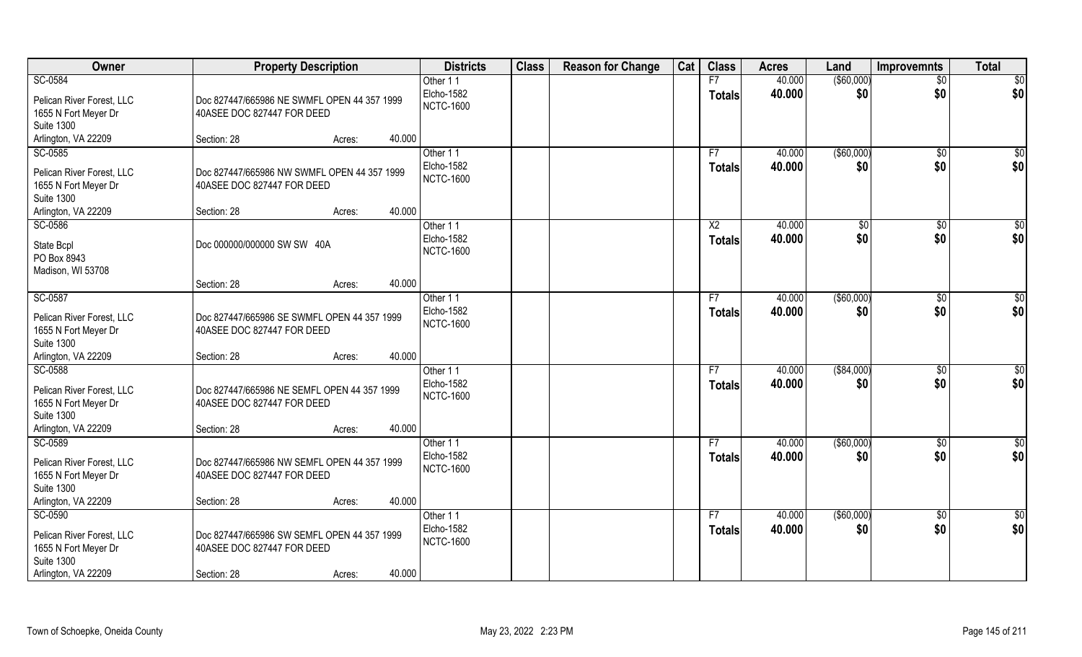| Owner                                             | <b>Property Description</b>                                               |        | <b>Districts</b> | <b>Class</b> | <b>Reason for Change</b> | Cat | <b>Class</b>   | <b>Acres</b> | Land          | <b>Improvemnts</b> | <b>Total</b>    |
|---------------------------------------------------|---------------------------------------------------------------------------|--------|------------------|--------------|--------------------------|-----|----------------|--------------|---------------|--------------------|-----------------|
| SC-0584                                           |                                                                           |        | Other 11         |              |                          |     | F7             | 40.000       | (\$60,000)    | $\overline{50}$    | \$0             |
| Pelican River Forest, LLC                         | Doc 827447/665986 NE SWMFL OPEN 44 357 1999                               |        | Elcho-1582       |              |                          |     | <b>Totals</b>  | 40.000       | \$0           | \$0                | \$0             |
| 1655 N Fort Meyer Dr                              | 40ASEE DOC 827447 FOR DEED                                                |        | <b>NCTC-1600</b> |              |                          |     |                |              |               |                    |                 |
| <b>Suite 1300</b>                                 |                                                                           |        |                  |              |                          |     |                |              |               |                    |                 |
| Arlington, VA 22209<br>Section: 28                | Acres:                                                                    | 40.000 |                  |              |                          |     |                |              |               |                    |                 |
| SC-0585                                           |                                                                           |        | Other 11         |              |                          |     | F7             | 40.000       | ( \$60,000)   | \$0                | $\sqrt{50}$     |
| Pelican River Forest, LLC                         | Doc 827447/665986 NW SWMFL OPEN 44 357 1999                               |        | Elcho-1582       |              |                          |     | Totals         | 40.000       | \$0           | \$0                | \$0             |
| 1655 N Fort Meyer Dr                              | 40ASEE DOC 827447 FOR DEED                                                |        | <b>NCTC-1600</b> |              |                          |     |                |              |               |                    |                 |
| <b>Suite 1300</b>                                 |                                                                           |        |                  |              |                          |     |                |              |               |                    |                 |
| Arlington, VA 22209<br>Section: 28                | Acres:                                                                    | 40.000 |                  |              |                          |     |                |              |               |                    |                 |
| SC-0586                                           |                                                                           |        | Other 11         |              |                          |     | X <sub>2</sub> | 40.000       | $\sqrt[6]{3}$ | $\sqrt[6]{30}$     | \$0             |
|                                                   | Doc 000000/000000 SW SW 40A                                               |        | Elcho-1582       |              |                          |     | <b>Totals</b>  | 40.000       | \$0           | \$0                | \$0             |
| State Bcpl<br>PO Box 8943                         |                                                                           |        | <b>NCTC-1600</b> |              |                          |     |                |              |               |                    |                 |
| Madison, WI 53708                                 |                                                                           |        |                  |              |                          |     |                |              |               |                    |                 |
| Section: 28                                       | Acres:                                                                    | 40.000 |                  |              |                          |     |                |              |               |                    |                 |
| SC-0587                                           |                                                                           |        | Other 11         |              |                          |     | F7             | 40.000       | ( \$60,000)   | $\sqrt[6]{3}$      | \$0             |
| Pelican River Forest, LLC                         | Doc 827447/665986 SE SWMFL OPEN 44 357 1999                               |        | Elcho-1582       |              |                          |     | <b>Totals</b>  | 40.000       | \$0           | \$0                | \$0             |
| 1655 N Fort Meyer Dr                              | 40ASEE DOC 827447 FOR DEED                                                |        | <b>NCTC-1600</b> |              |                          |     |                |              |               |                    |                 |
| <b>Suite 1300</b>                                 |                                                                           |        |                  |              |                          |     |                |              |               |                    |                 |
| Arlington, VA 22209<br>Section: 28                | Acres:                                                                    | 40.000 |                  |              |                          |     |                |              |               |                    |                 |
| SC-0588                                           |                                                                           |        | Other 11         |              |                          |     | F7             | 40.000       | ( \$84,000)   | \$0                | $\overline{50}$ |
|                                                   |                                                                           |        | Elcho-1582       |              |                          |     | <b>Totals</b>  | 40.000       | \$0           | \$0                | \$0             |
| Pelican River Forest, LLC<br>1655 N Fort Meyer Dr | Doc 827447/665986 NE SEMFL OPEN 44 357 1999<br>40ASEE DOC 827447 FOR DEED |        | <b>NCTC-1600</b> |              |                          |     |                |              |               |                    |                 |
| <b>Suite 1300</b>                                 |                                                                           |        |                  |              |                          |     |                |              |               |                    |                 |
| Arlington, VA 22209<br>Section: 28                | Acres:                                                                    | 40.000 |                  |              |                          |     |                |              |               |                    |                 |
| SC-0589                                           |                                                                           |        | Other 11         |              |                          |     | F7             | 40.000       | ( \$60,000)   | \$0                | $\frac{6}{3}$   |
|                                                   |                                                                           |        | Elcho-1582       |              |                          |     | <b>Totals</b>  | 40.000       | \$0           | \$0                | \$0             |
| Pelican River Forest, LLC<br>1655 N Fort Meyer Dr | Doc 827447/665986 NW SEMFL OPEN 44 357 1999<br>40ASEE DOC 827447 FOR DEED |        | <b>NCTC-1600</b> |              |                          |     |                |              |               |                    |                 |
| <b>Suite 1300</b>                                 |                                                                           |        |                  |              |                          |     |                |              |               |                    |                 |
| Arlington, VA 22209<br>Section: 28                | Acres:                                                                    | 40.000 |                  |              |                          |     |                |              |               |                    |                 |
| SC-0590                                           |                                                                           |        | Other 11         |              |                          |     | F7             | 40.000       | ( \$60,000)   | $\sqrt{$0}$        | \$0             |
|                                                   |                                                                           |        | Elcho-1582       |              |                          |     | <b>Totals</b>  | 40.000       | \$0           | \$0                | \$0             |
| Pelican River Forest, LLC                         | Doc 827447/665986 SW SEMFL OPEN 44 357 1999                               |        | <b>NCTC-1600</b> |              |                          |     |                |              |               |                    |                 |
| 1655 N Fort Meyer Dr<br><b>Suite 1300</b>         | 40ASEE DOC 827447 FOR DEED                                                |        |                  |              |                          |     |                |              |               |                    |                 |
| Arlington, VA 22209<br>Section: 28                | Acres:                                                                    | 40.000 |                  |              |                          |     |                |              |               |                    |                 |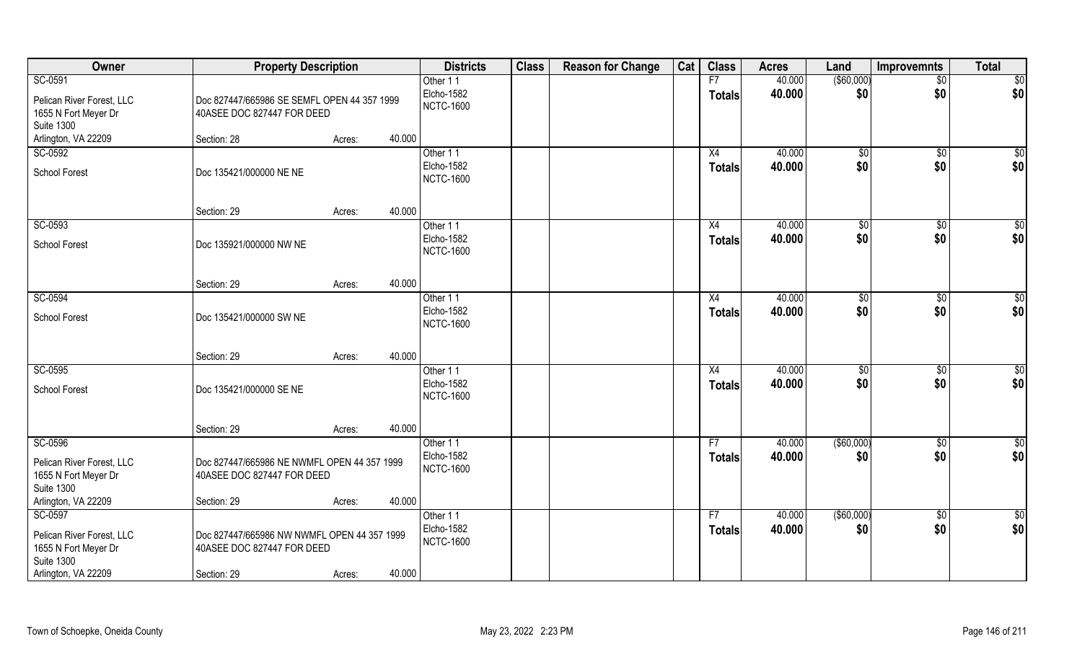| Owner                                                                  | <b>Property Description</b>                                               |                  | <b>Districts</b>               | <b>Class</b> | <b>Reason for Change</b> | Cat | <b>Class</b>  | <b>Acres</b> | Land              | <b>Improvemnts</b> | <b>Total</b>     |
|------------------------------------------------------------------------|---------------------------------------------------------------------------|------------------|--------------------------------|--------------|--------------------------|-----|---------------|--------------|-------------------|--------------------|------------------|
| SC-0591                                                                |                                                                           |                  | Other 11                       |              |                          |     | F7            | 40.000       | $($ \$60,000)     | $\overline{50}$    | \$0              |
| Pelican River Forest, LLC                                              | Doc 827447/665986 SE SEMFL OPEN 44 357 1999                               |                  | Elcho-1582                     |              |                          |     | <b>Totals</b> | 40.000       | \$0               | \$0                | \$0              |
| 1655 N Fort Meyer Dr                                                   | 40ASEE DOC 827447 FOR DEED                                                |                  | <b>NCTC-1600</b>               |              |                          |     |               |              |                   |                    |                  |
| <b>Suite 1300</b>                                                      |                                                                           |                  |                                |              |                          |     |               |              |                   |                    |                  |
| Arlington, VA 22209                                                    | Section: 28                                                               | 40.000<br>Acres: |                                |              |                          |     |               |              |                   |                    |                  |
| SC-0592                                                                |                                                                           |                  | Other 11                       |              |                          |     | X4            | 40.000       | \$0               | \$0                | $\sqrt{50}$      |
| <b>School Forest</b>                                                   | Doc 135421/000000 NE NE                                                   |                  | Elcho-1582<br><b>NCTC-1600</b> |              |                          |     | <b>Totals</b> | 40.000       | \$0               | \$0                | \$0              |
|                                                                        | Section: 29                                                               | 40.000<br>Acres: |                                |              |                          |     |               |              |                   |                    |                  |
| SC-0593                                                                |                                                                           |                  | Other 11                       |              |                          |     | X4            | 40.000       | $\sqrt[6]{3}$     | $\sqrt[6]{3}$      | $\overline{\$0}$ |
| <b>School Forest</b>                                                   | Doc 135921/000000 NW NE                                                   |                  | Elcho-1582<br><b>NCTC-1600</b> |              |                          |     | <b>Totals</b> | 40.000       | \$0               | \$0                | \$0              |
|                                                                        | Section: 29                                                               | 40.000<br>Acres: |                                |              |                          |     |               |              |                   |                    |                  |
| SC-0594                                                                |                                                                           |                  | Other 11                       |              |                          |     | X4            | 40.000       | $\frac{1}{20}$    | $\sqrt[6]{3}$      | \$0              |
| <b>School Forest</b>                                                   | Doc 135421/000000 SW NE                                                   |                  | Elcho-1582<br><b>NCTC-1600</b> |              |                          |     | <b>Totals</b> | 40.000       | \$0               | \$0                | \$0              |
|                                                                        | Section: 29                                                               | 40.000<br>Acres: |                                |              |                          |     |               |              |                   |                    |                  |
| SC-0595                                                                |                                                                           |                  | Other 11                       |              |                          |     | X4            | 40.000       | \$0               | $\sqrt[6]{30}$     | $\sqrt{50}$      |
| School Forest                                                          | Doc 135421/000000 SE NE                                                   |                  | Elcho-1582<br><b>NCTC-1600</b> |              |                          |     | <b>Totals</b> | 40.000       | \$0               | \$0                | \$0              |
|                                                                        | Section: 29                                                               | 40.000<br>Acres: |                                |              |                          |     |               |              |                   |                    |                  |
| SC-0596                                                                |                                                                           |                  | Other 11                       |              |                          |     | F7            | 40.000       | $($ \$60,000)     | \$0                | \$0              |
| Pelican River Forest, LLC<br>1655 N Fort Meyer Dr<br><b>Suite 1300</b> | Doc 827447/665986 NE NWMFL OPEN 44 357 1999<br>40ASEE DOC 827447 FOR DEED |                  | Elcho-1582<br><b>NCTC-1600</b> |              |                          |     | <b>Totals</b> | 40.000       | \$0               | \$0                | \$0              |
| Arlington, VA 22209                                                    | Section: 29                                                               | 40.000<br>Acres: |                                |              |                          |     |               |              |                   |                    |                  |
| SC-0597                                                                |                                                                           |                  | Other 11                       |              |                          |     | F7            | 40.000       | $($ \$60,000) $ $ | $\sqrt{$0}$        | $\frac{1}{2}$    |
| Pelican River Forest, LLC<br>1655 N Fort Meyer Dr<br><b>Suite 1300</b> | Doc 827447/665986 NW NWMFL OPEN 44 357 1999<br>40ASEE DOC 827447 FOR DEED |                  | Elcho-1582<br><b>NCTC-1600</b> |              |                          |     | <b>Totals</b> | 40.000       | \$0               | \$0                | \$0              |
| Arlington, VA 22209                                                    | Section: 29                                                               | 40.000<br>Acres: |                                |              |                          |     |               |              |                   |                    |                  |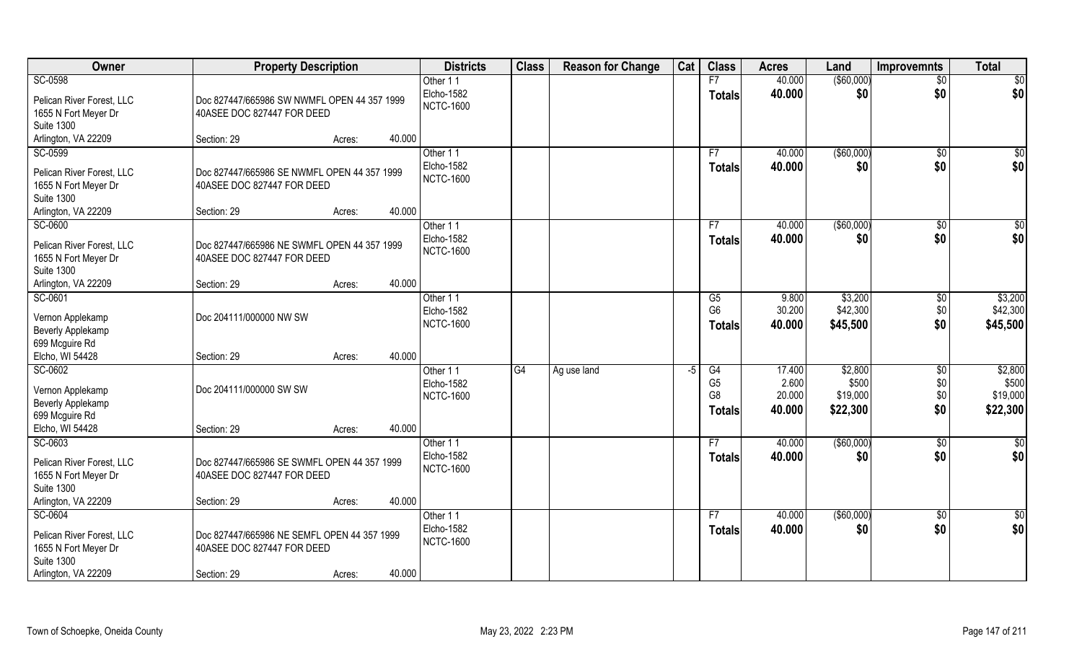| Owner                                             | <b>Property Description</b>                                               |        |        | <b>Districts</b> | <b>Class</b> | <b>Reason for Change</b> | Cat | <b>Class</b>   | <b>Acres</b> | Land        | <b>Improvemnts</b> | <b>Total</b>    |
|---------------------------------------------------|---------------------------------------------------------------------------|--------|--------|------------------|--------------|--------------------------|-----|----------------|--------------|-------------|--------------------|-----------------|
| SC-0598                                           |                                                                           |        |        | Other 11         |              |                          |     | F7             | 40.000       | ( \$60,000) | $\overline{50}$    | \$0             |
| Pelican River Forest, LLC                         | Doc 827447/665986 SW NWMFL OPEN 44 357 1999                               |        |        | Elcho-1582       |              |                          |     | <b>Totals</b>  | 40.000       | \$0         | \$0                | \$0             |
| 1655 N Fort Meyer Dr                              | 40ASEE DOC 827447 FOR DEED                                                |        |        | <b>NCTC-1600</b> |              |                          |     |                |              |             |                    |                 |
| <b>Suite 1300</b>                                 |                                                                           |        |        |                  |              |                          |     |                |              |             |                    |                 |
| Arlington, VA 22209                               | Section: 29                                                               | Acres: | 40.000 |                  |              |                          |     |                |              |             |                    |                 |
| SC-0599                                           |                                                                           |        |        | Other 11         |              |                          |     | F7             | 40.000       | ( \$60,000) | \$0                | \$0             |
| Pelican River Forest, LLC                         | Doc 827447/665986 SE NWMFL OPEN 44 357 1999                               |        |        | Elcho-1582       |              |                          |     | <b>Totals</b>  | 40.000       | \$0         | \$0                | \$0             |
| 1655 N Fort Meyer Dr                              | 40ASEE DOC 827447 FOR DEED                                                |        |        | <b>NCTC-1600</b> |              |                          |     |                |              |             |                    |                 |
| <b>Suite 1300</b>                                 |                                                                           |        |        |                  |              |                          |     |                |              |             |                    |                 |
| Arlington, VA 22209                               | Section: 29                                                               | Acres: | 40.000 |                  |              |                          |     |                |              |             |                    |                 |
| SC-0600                                           |                                                                           |        |        | Other 11         |              |                          |     | F7             | 40.000       | ( \$60,000) | \$0                | $\overline{50}$ |
|                                                   |                                                                           |        |        | Elcho-1582       |              |                          |     | <b>Totals</b>  | 40.000       | \$0         | \$0                | \$0             |
| Pelican River Forest, LLC<br>1655 N Fort Meyer Dr | Doc 827447/665986 NE SWMFL OPEN 44 357 1999<br>40ASEE DOC 827447 FOR DEED |        |        | <b>NCTC-1600</b> |              |                          |     |                |              |             |                    |                 |
| <b>Suite 1300</b>                                 |                                                                           |        |        |                  |              |                          |     |                |              |             |                    |                 |
| Arlington, VA 22209                               | Section: 29                                                               | Acres: | 40.000 |                  |              |                          |     |                |              |             |                    |                 |
| SC-0601                                           |                                                                           |        |        | Other 11         |              |                          |     | G5             | 9.800        | \$3,200     | $\sqrt[6]{3}$      | \$3,200         |
|                                                   |                                                                           |        |        | Elcho-1582       |              |                          |     | G <sub>6</sub> | 30.200       | \$42,300    | \$0                | \$42,300        |
| Vernon Applekamp                                  | Doc 204111/000000 NW SW                                                   |        |        | <b>NCTC-1600</b> |              |                          |     | <b>Totals</b>  | 40.000       | \$45,500    | \$0                | \$45,500        |
| <b>Beverly Applekamp</b>                          |                                                                           |        |        |                  |              |                          |     |                |              |             |                    |                 |
| 699 Mcguire Rd<br>Elcho, WI 54428                 | Section: 29                                                               | Acres: | 40.000 |                  |              |                          |     |                |              |             |                    |                 |
| SC-0602                                           |                                                                           |        |        | Other 11         | G4           | Ag use land              | -5  | G4             | 17.400       | \$2,800     | \$0                | \$2,800         |
|                                                   |                                                                           |        |        | Elcho-1582       |              |                          |     | G <sub>5</sub> | 2.600        | \$500       | \$0                | \$500           |
| Vernon Applekamp                                  | Doc 204111/000000 SW SW                                                   |        |        | <b>NCTC-1600</b> |              |                          |     | G <sub>8</sub> | 20.000       | \$19,000    | \$0                | \$19,000        |
| Beverly Applekamp                                 |                                                                           |        |        |                  |              |                          |     | <b>Totals</b>  | 40.000       | \$22,300    | \$0                | \$22,300        |
| 699 Mcguire Rd                                    |                                                                           |        |        |                  |              |                          |     |                |              |             |                    |                 |
| Elcho, WI 54428                                   | Section: 29                                                               | Acres: | 40.000 |                  |              |                          |     |                |              |             |                    |                 |
| SC-0603                                           |                                                                           |        |        | Other 11         |              |                          |     | F7             | 40.000       | (\$60,000)  | $\overline{50}$    | $rac{1}{6}$     |
| Pelican River Forest, LLC                         | Doc 827447/665986 SE SWMFL OPEN 44 357 1999                               |        |        | Elcho-1582       |              |                          |     | <b>Totals</b>  | 40.000       | \$0         | \$0                | \$0             |
| 1655 N Fort Meyer Dr                              | 40ASEE DOC 827447 FOR DEED                                                |        |        | <b>NCTC-1600</b> |              |                          |     |                |              |             |                    |                 |
| <b>Suite 1300</b>                                 |                                                                           |        |        |                  |              |                          |     |                |              |             |                    |                 |
| Arlington, VA 22209                               | Section: 29                                                               | Acres: | 40.000 |                  |              |                          |     |                |              |             |                    |                 |
| SC-0604                                           |                                                                           |        |        | Other 11         |              |                          |     | F7             | 40.000       | ( \$60,000) | $\sqrt{6}$         | $\frac{6}{3}$   |
| Pelican River Forest, LLC                         | Doc 827447/665986 NE SEMFL OPEN 44 357 1999                               |        |        | Elcho-1582       |              |                          |     | <b>Totals</b>  | 40.000       | \$0         | \$0                | \$0             |
| 1655 N Fort Meyer Dr                              | 40ASEE DOC 827447 FOR DEED                                                |        |        | <b>NCTC-1600</b> |              |                          |     |                |              |             |                    |                 |
| <b>Suite 1300</b>                                 |                                                                           |        |        |                  |              |                          |     |                |              |             |                    |                 |
| Arlington, VA 22209                               | Section: 29                                                               | Acres: | 40.000 |                  |              |                          |     |                |              |             |                    |                 |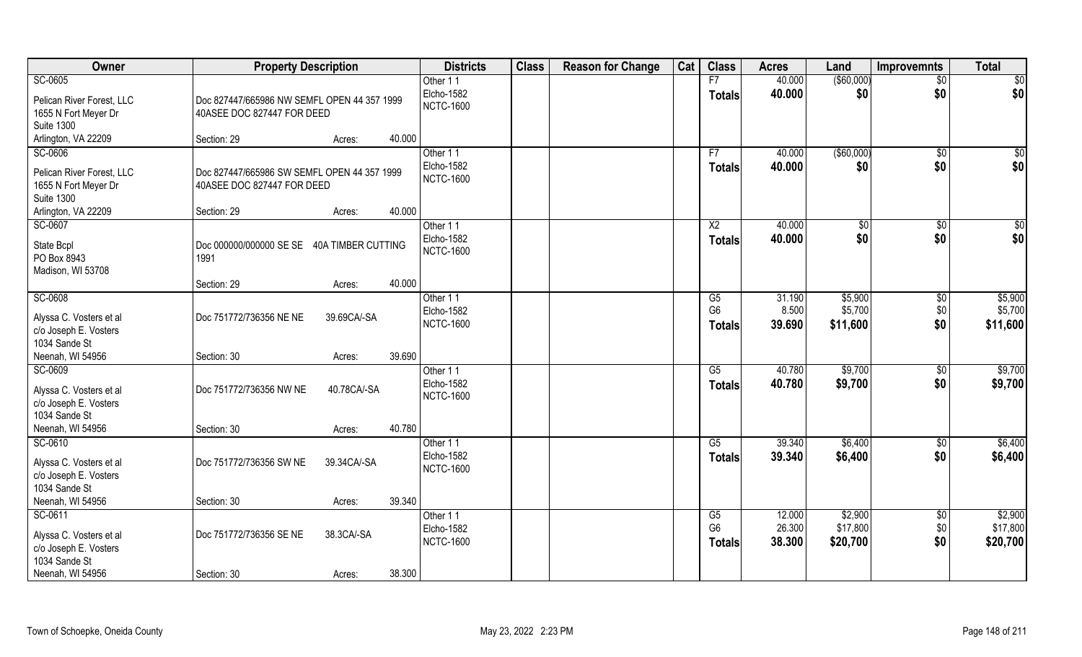| Owner                                                             | <b>Property Description</b>                                               |             |        | <b>Districts</b>               | <b>Class</b> | <b>Reason for Change</b> | Cat | <b>Class</b>                    | <b>Acres</b>     | Land                 | <b>Improvemnts</b> | <b>Total</b>         |
|-------------------------------------------------------------------|---------------------------------------------------------------------------|-------------|--------|--------------------------------|--------------|--------------------------|-----|---------------------------------|------------------|----------------------|--------------------|----------------------|
| SC-0605                                                           |                                                                           |             |        | Other 11                       |              |                          |     | F7                              | 40.000           | $($ \$60,000)        | $\overline{50}$    | \$0                  |
| Pelican River Forest, LLC<br>1655 N Fort Meyer Dr                 | Doc 827447/665986 NW SEMFL OPEN 44 357 1999<br>40ASEE DOC 827447 FOR DEED |             |        | Elcho-1582<br><b>NCTC-1600</b> |              |                          |     | <b>Totals</b>                   | 40.000           | \$0                  | \$0                | \$0                  |
| <b>Suite 1300</b>                                                 |                                                                           |             |        |                                |              |                          |     |                                 |                  |                      |                    |                      |
| Arlington, VA 22209                                               | Section: 29                                                               | Acres:      | 40.000 |                                |              |                          |     |                                 |                  |                      |                    |                      |
| SC-0606                                                           |                                                                           |             |        | Other 11                       |              |                          |     | F7                              | 40.000           | ( \$60,000)          | \$0                | \$0                  |
| Pelican River Forest, LLC<br>1655 N Fort Meyer Dr                 | Doc 827447/665986 SW SEMFL OPEN 44 357 1999<br>40ASEE DOC 827447 FOR DEED |             |        | Elcho-1582<br><b>NCTC-1600</b> |              |                          |     | <b>Totals</b>                   | 40.000           | \$0                  | \$0                | \$0                  |
| <b>Suite 1300</b><br>Arlington, VA 22209                          | Section: 29                                                               | Acres:      | 40.000 |                                |              |                          |     |                                 |                  |                      |                    |                      |
| SC-0607                                                           |                                                                           |             |        | Other 11                       |              |                          |     | X <sub>2</sub>                  | 40.000           | \$0                  | $\sqrt[6]{3}$      | \$0                  |
| State Bcpl<br>PO Box 8943<br>Madison, WI 53708                    | Doc 000000/000000 SE SE 40A TIMBER CUTTING<br>1991                        |             |        | Elcho-1582<br><b>NCTC-1600</b> |              |                          |     | <b>Totals</b>                   | 40.000           | \$0                  | \$0                | \$0                  |
|                                                                   | Section: 29                                                               | Acres:      | 40.000 |                                |              |                          |     |                                 |                  |                      |                    |                      |
| SC-0608                                                           |                                                                           |             |        | Other 11                       |              |                          |     | G5                              | 31.190           | \$5,900              | \$0                | \$5,900              |
| Alyssa C. Vosters et al<br>c/o Joseph E. Vosters                  | Doc 751772/736356 NE NE                                                   | 39.69CA/-SA |        | Elcho-1582<br><b>NCTC-1600</b> |              |                          |     | G <sub>6</sub><br><b>Totals</b> | 8.500<br>39.690  | \$5,700<br>\$11,600  | \$0\$<br>\$0       | \$5,700<br>\$11,600  |
| 1034 Sande St<br>Neenah, WI 54956                                 | Section: 30                                                               | Acres:      | 39.690 |                                |              |                          |     |                                 |                  |                      |                    |                      |
| SC-0609                                                           |                                                                           |             |        | Other 11                       |              |                          |     | G5                              | 40.780           | \$9,700              | $\sqrt[6]{}$       | \$9,700              |
| Alyssa C. Vosters et al<br>c/o Joseph E. Vosters                  | Doc 751772/736356 NW NE                                                   | 40.78CA/-SA |        | Elcho-1582<br><b>NCTC-1600</b> |              |                          |     | <b>Totals</b>                   | 40.780           | \$9,700              | \$0                | \$9,700              |
| 1034 Sande St<br>Neenah, WI 54956                                 | Section: 30                                                               | Acres:      | 40.780 |                                |              |                          |     |                                 |                  |                      |                    |                      |
| SC-0610                                                           |                                                                           |             |        | Other 11                       |              |                          |     | G5                              | 39.340           | \$6,400              | $\sqrt{6}$         | \$6,400              |
| Alyssa C. Vosters et al<br>c/o Joseph E. Vosters<br>1034 Sande St | Doc 751772/736356 SW NE                                                   | 39.34CA/-SA |        | Elcho-1582<br><b>NCTC-1600</b> |              |                          |     | <b>Totals</b>                   | 39.340           | \$6,400              | \$0                | \$6,400              |
| Neenah, WI 54956                                                  | Section: 30                                                               | Acres:      | 39.340 |                                |              |                          |     |                                 |                  |                      |                    |                      |
| SC-0611                                                           |                                                                           |             |        | Other 11                       |              |                          |     | G5                              | 12.000           | \$2,900              | \$0                | \$2,900              |
| Alyssa C. Vosters et al<br>c/o Joseph E. Vosters<br>1034 Sande St | Doc 751772/736356 SE NE                                                   | 38.3CA/-SA  |        | Elcho-1582<br><b>NCTC-1600</b> |              |                          |     | G <sub>6</sub><br><b>Totals</b> | 26.300<br>38.300 | \$17,800<br>\$20,700 | \$0<br>\$0         | \$17,800<br>\$20,700 |
| Neenah, WI 54956                                                  | Section: 30                                                               | Acres:      | 38.300 |                                |              |                          |     |                                 |                  |                      |                    |                      |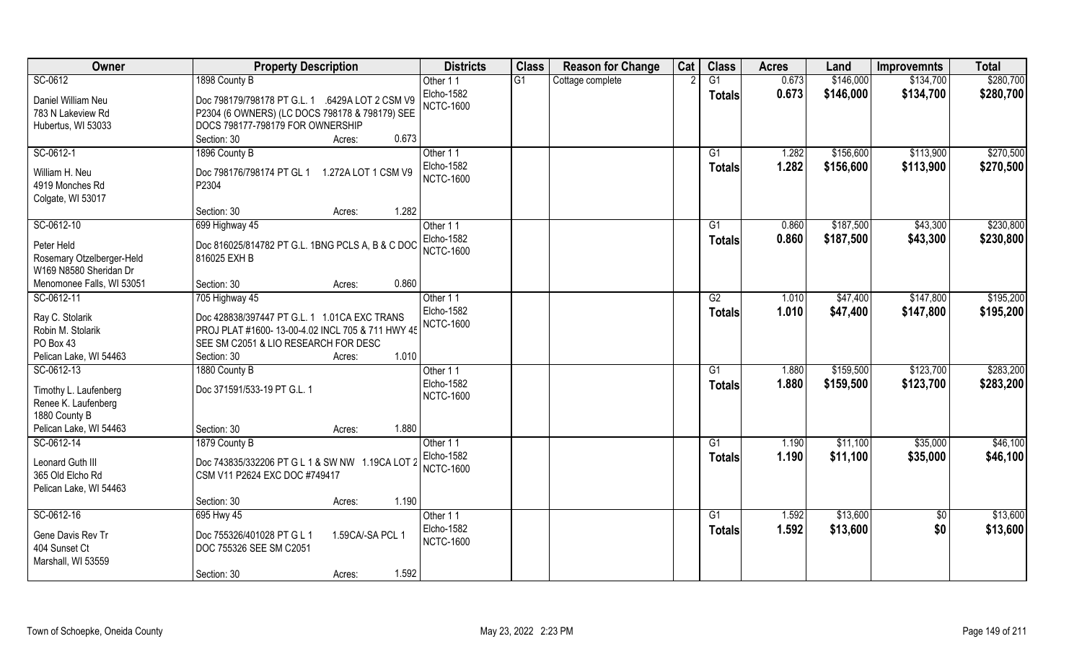| Owner                                                          | <b>Property Description</b>                                                                       | <b>Districts</b>               | <b>Class</b> | <b>Reason for Change</b> | Cat | <b>Class</b>    | <b>Acres</b> | Land      | <b>Improvemnts</b> | <b>Total</b> |
|----------------------------------------------------------------|---------------------------------------------------------------------------------------------------|--------------------------------|--------------|--------------------------|-----|-----------------|--------------|-----------|--------------------|--------------|
| SC-0612                                                        | 1898 County B                                                                                     | Other 11                       | G1           | Cottage complete         |     | G1              | 0.673        | \$146,000 | \$134,700          | \$280,700    |
| Daniel William Neu<br>783 N Lakeview Rd                        | Doc 798179/798178 PT G.L. 1 .6429A LOT 2 CSM V9<br>P2304 (6 OWNERS) (LC DOCS 798178 & 798179) SEE | Elcho-1582<br><b>NCTC-1600</b> |              |                          |     | <b>Totals</b>   | 0.673        | \$146,000 | \$134,700          | \$280,700    |
| Hubertus, WI 53033                                             | DOCS 798177-798179 FOR OWNERSHIP                                                                  |                                |              |                          |     |                 |              |           |                    |              |
|                                                                | 0.673<br>Section: 30<br>Acres:                                                                    |                                |              |                          |     |                 |              |           |                    |              |
| SC-0612-1                                                      | 1896 County B                                                                                     | Other 11                       |              |                          |     | $\overline{G1}$ | 1.282        | \$156,600 | \$113,900          | \$270,500    |
| William H. Neu<br>4919 Monches Rd                              | Doc 798176/798174 PT GL 1 1.272A LOT 1 CSM V9<br>P2304                                            | Elcho-1582<br><b>NCTC-1600</b> |              |                          |     | <b>Totals</b>   | 1.282        | \$156,600 | \$113,900          | \$270,500    |
| Colgate, WI 53017                                              |                                                                                                   |                                |              |                          |     |                 |              |           |                    |              |
|                                                                | 1.282<br>Section: 30<br>Acres:                                                                    |                                |              |                          |     |                 |              |           |                    |              |
| SC-0612-10                                                     | 699 Highway 45                                                                                    | Other 11                       |              |                          |     | G1              | 0.860        | \$187,500 | \$43,300           | \$230,800    |
| Peter Held                                                     | Doc 816025/814782 PT G.L. 1BNG PCLS A, B & C DOC                                                  | Elcho-1582<br><b>NCTC-1600</b> |              |                          |     | <b>Totals</b>   | 0.860        | \$187,500 | \$43,300           | \$230,800    |
| Rosemary Otzelberger-Held<br>W169 N8580 Sheridan Dr            | 816025 EXH B                                                                                      |                                |              |                          |     |                 |              |           |                    |              |
| Menomonee Falls, WI 53051                                      | 0.860<br>Section: 30<br>Acres:                                                                    |                                |              |                          |     |                 |              |           |                    |              |
| SC-0612-11                                                     | 705 Highway 45                                                                                    | Other 11                       |              |                          |     | G2              | 1.010        | \$47,400  | \$147,800          | \$195,200    |
| Ray C. Stolarik                                                | Doc 428838/397447 PT G.L. 1 1.01CA EXC TRANS                                                      | Elcho-1582<br><b>NCTC-1600</b> |              |                          |     | <b>Totals</b>   | 1.010        | \$47,400  | \$147,800          | \$195,200    |
| Robin M. Stolarik                                              | PROJ PLAT #1600-13-00-4.02 INCL 705 & 711 HWY 45                                                  |                                |              |                          |     |                 |              |           |                    |              |
| PO Box 43                                                      | SEE SM C2051 & LIO RESEARCH FOR DESC                                                              |                                |              |                          |     |                 |              |           |                    |              |
| Pelican Lake, WI 54463                                         | 1.010<br>Section: 30<br>Acres:                                                                    |                                |              |                          |     |                 |              |           |                    |              |
| SC-0612-13                                                     | 1880 County B                                                                                     | Other 11                       |              |                          |     | G1              | 1.880        | \$159,500 | \$123,700          | \$283,200    |
| Timothy L. Laufenberg                                          | Doc 371591/533-19 PT G.L. 1                                                                       | Elcho-1582                     |              |                          |     | Totals          | 1.880        | \$159,500 | \$123,700          | \$283,200    |
| Renee K. Laufenberg                                            |                                                                                                   | <b>NCTC-1600</b>               |              |                          |     |                 |              |           |                    |              |
| 1880 County B                                                  |                                                                                                   |                                |              |                          |     |                 |              |           |                    |              |
| Pelican Lake, WI 54463                                         | 1.880<br>Section: 30<br>Acres:                                                                    |                                |              |                          |     |                 |              |           |                    |              |
| SC-0612-14                                                     | 1879 County B                                                                                     | Other 11                       |              |                          |     | G1              | 1.190        | \$11,100  | \$35,000           | \$46,100     |
| Leonard Guth III<br>365 Old Elcho Rd<br>Pelican Lake, WI 54463 | Doc 743835/332206 PT G L 1 & SW NW 1.19CA LOT 2<br>CSM V11 P2624 EXC DOC #749417                  | Elcho-1582<br><b>NCTC-1600</b> |              |                          |     | <b>Totals</b>   | 1.190        | \$11,100  | \$35,000           | \$46,100     |
|                                                                | 1.190<br>Section: 30<br>Acres:                                                                    |                                |              |                          |     |                 |              |           |                    |              |
| SC-0612-16                                                     | 695 Hwy 45                                                                                        | Other 11                       |              |                          |     | G1              | 1.592        | \$13,600  | $\sqrt{6}$         | \$13,600     |
| Gene Davis Rev Tr<br>404 Sunset Ct<br>Marshall, WI 53559       | Doc 755326/401028 PT G L 1<br>1.59CA/-SA PCL 1<br>DOC 755326 SEE SM C2051                         | Elcho-1582<br><b>NCTC-1600</b> |              |                          |     | <b>Totals</b>   | 1.592        | \$13,600  | \$0                | \$13,600     |
|                                                                | 1.592<br>Section: 30<br>Acres:                                                                    |                                |              |                          |     |                 |              |           |                    |              |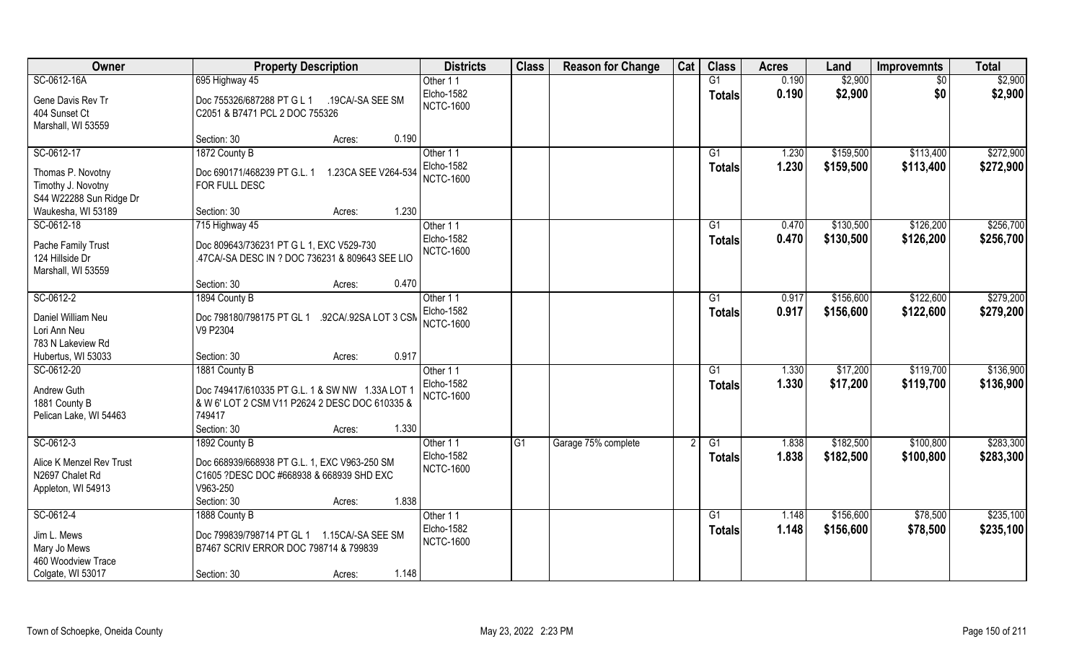| Owner                    | <b>Property Description</b>                                | <b>Districts</b> | <b>Class</b>    | <b>Reason for Change</b> | Cat | <b>Class</b>    | <b>Acres</b> | Land      | <b>Improvemnts</b> | <b>Total</b> |
|--------------------------|------------------------------------------------------------|------------------|-----------------|--------------------------|-----|-----------------|--------------|-----------|--------------------|--------------|
| SC-0612-16A              | 695 Highway 45                                             | Other 11         |                 |                          |     | G1              | 0.190        | \$2,900   | $\sqrt{$0}$        | \$2,900      |
| Gene Davis Rev Tr        | Doc 755326/687288 PT G L 1<br>.19CA/-SA SEE SM             | Elcho-1582       |                 |                          |     | Totals          | 0.190        | \$2,900   | \$0                | \$2,900      |
| 404 Sunset Ct            | C2051 & B7471 PCL 2 DOC 755326                             | <b>NCTC-1600</b> |                 |                          |     |                 |              |           |                    |              |
| Marshall, WI 53559       |                                                            |                  |                 |                          |     |                 |              |           |                    |              |
|                          | 0.190<br>Section: 30<br>Acres:                             |                  |                 |                          |     |                 |              |           |                    |              |
| SC-0612-17               | 1872 County B                                              | Other 11         |                 |                          |     | G1              | 1.230        | \$159,500 | \$113,400          | \$272,900    |
| Thomas P. Novotny        | Doc 690171/468239 PT G.L. 1<br>1.23CA SEE V264-534         | Elcho-1582       |                 |                          |     | <b>Totals</b>   | 1.230        | \$159,500 | \$113,400          | \$272,900    |
| Timothy J. Novotny       | FOR FULL DESC                                              | <b>NCTC-1600</b> |                 |                          |     |                 |              |           |                    |              |
| S44 W22288 Sun Ridge Dr  |                                                            |                  |                 |                          |     |                 |              |           |                    |              |
| Waukesha, WI 53189       | 1.230<br>Section: 30<br>Acres:                             |                  |                 |                          |     |                 |              |           |                    |              |
| SC-0612-18               | 715 Highway 45                                             | Other 11         |                 |                          |     | G1              | 0.470        | \$130,500 | \$126,200          | \$256,700    |
| Pache Family Trust       | Doc 809643/736231 PT G L 1, EXC V529-730                   | Elcho-1582       |                 |                          |     | <b>Totals</b>   | 0.470        | \$130,500 | \$126,200          | \$256,700    |
| 124 Hillside Dr          | .47CA/-SA DESC IN ? DOC 736231 & 809643 SEE LIO            | <b>NCTC-1600</b> |                 |                          |     |                 |              |           |                    |              |
| Marshall, WI 53559       |                                                            |                  |                 |                          |     |                 |              |           |                    |              |
|                          | 0.470<br>Section: 30<br>Acres:                             |                  |                 |                          |     |                 |              |           |                    |              |
| SC-0612-2                | 1894 County B                                              | Other 11         |                 |                          |     | G1              | 0.917        | \$156,600 | \$122,600          | \$279,200    |
| Daniel William Neu       | Doc 798180/798175 PT GL 1 .92CA/.92SA LOT 3 CSM            | Elcho-1582       |                 |                          |     | Totals          | 0.917        | \$156,600 | \$122,600          | \$279,200    |
| Lori Ann Neu             | V9 P2304                                                   | <b>NCTC-1600</b> |                 |                          |     |                 |              |           |                    |              |
| 783 N Lakeview Rd        |                                                            |                  |                 |                          |     |                 |              |           |                    |              |
| Hubertus, WI 53033       | 0.917<br>Section: 30<br>Acres:                             |                  |                 |                          |     |                 |              |           |                    |              |
| SC-0612-20               | 1881 County B                                              | Other 11         |                 |                          |     | $\overline{G1}$ | 1.330        | \$17,200  | \$119,700          | \$136,900    |
| Andrew Guth              | Doc 749417/610335 PT G.L. 1 & SW NW 1.33A LOT 1            | Elcho-1582       |                 |                          |     | <b>Totals</b>   | 1.330        | \$17,200  | \$119,700          | \$136,900    |
| 1881 County B            | & W 6' LOT 2 CSM V11 P2624 2 DESC DOC 610335 &             | <b>NCTC-1600</b> |                 |                          |     |                 |              |           |                    |              |
| Pelican Lake, WI 54463   | 749417                                                     |                  |                 |                          |     |                 |              |           |                    |              |
|                          | 1.330<br>Section: 30<br>Acres:                             |                  |                 |                          |     |                 |              |           |                    |              |
| SC-0612-3                | 1892 County B                                              | Other 11         | $\overline{G1}$ | Garage 75% complete      |     | G1              | 1.838        | \$182,500 | \$100,800          | \$283,300    |
| Alice K Menzel Rev Trust | Doc 668939/668938 PT G.L. 1, EXC V963-250 SM               | Elcho-1582       |                 |                          |     | <b>Totals</b>   | 1.838        | \$182,500 | \$100,800          | \$283,300    |
| N2697 Chalet Rd          | C1605 ?DESC DOC #668938 & 668939 SHD EXC                   | <b>NCTC-1600</b> |                 |                          |     |                 |              |           |                    |              |
| Appleton, WI 54913       | V963-250                                                   |                  |                 |                          |     |                 |              |           |                    |              |
|                          | 1.838<br>Section: 30<br>Acres:                             |                  |                 |                          |     |                 |              |           |                    |              |
| SC-0612-4                | 1888 County B                                              | Other 11         |                 |                          |     | G1              | 1.148        | \$156,600 | \$78,500           | \$235,100    |
| Jim L. Mews              | Doc 799839/798714 PT GL 1                                  | Elcho-1582       |                 |                          |     | <b>Totals</b>   | 1.148        | \$156,600 | \$78,500           | \$235,100    |
| Mary Jo Mews             | 1.15CA/-SA SEE SM<br>B7467 SCRIV ERROR DOC 798714 & 799839 | <b>NCTC-1600</b> |                 |                          |     |                 |              |           |                    |              |
| 460 Woodview Trace       |                                                            |                  |                 |                          |     |                 |              |           |                    |              |
| Colgate, WI 53017        | 1.148<br>Section: 30<br>Acres:                             |                  |                 |                          |     |                 |              |           |                    |              |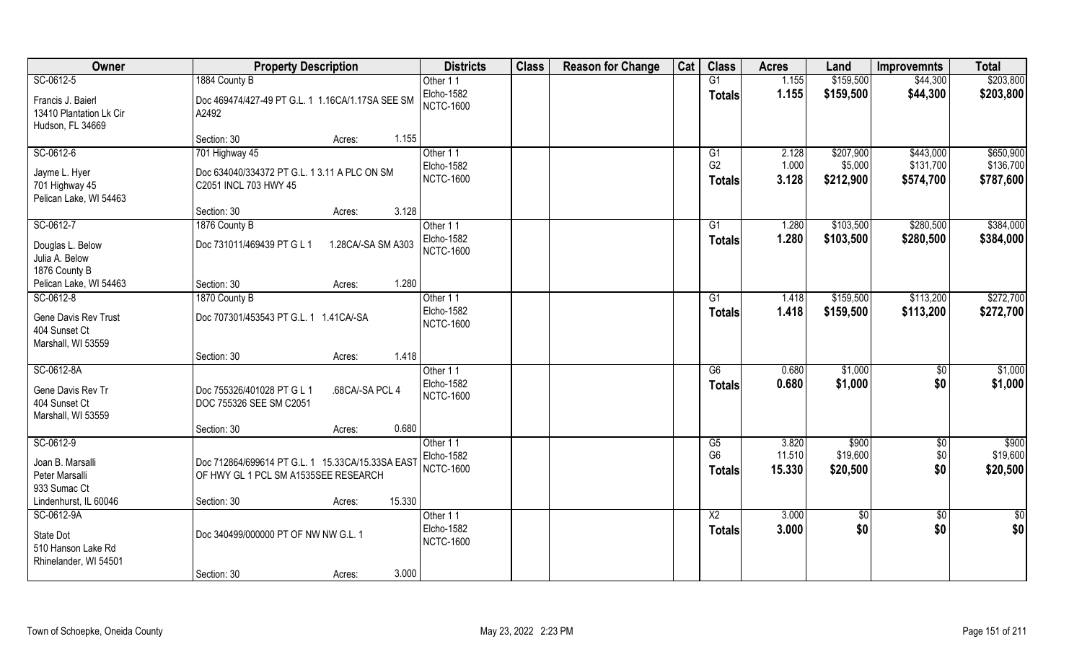| Owner                   | <b>Property Description</b>                      | <b>Districts</b> | <b>Class</b> | <b>Reason for Change</b> | Cat | <b>Class</b>    | <b>Acres</b> | Land        | <b>Improvemnts</b> | <b>Total</b>    |
|-------------------------|--------------------------------------------------|------------------|--------------|--------------------------|-----|-----------------|--------------|-------------|--------------------|-----------------|
| SC-0612-5               | 1884 County B                                    | Other 11         |              |                          |     | G1              | 1.155        | \$159,500   | \$44,300           | \$203,800       |
| Francis J. Baierl       | Doc 469474/427-49 PT G.L. 1 1.16CA/1.17SA SEE SM | Elcho-1582       |              |                          |     | <b>Totals</b>   | 1.155        | \$159,500   | \$44,300           | \$203,800       |
| 13410 Plantation Lk Cir | A2492                                            | <b>NCTC-1600</b> |              |                          |     |                 |              |             |                    |                 |
| Hudson, FL 34669        |                                                  |                  |              |                          |     |                 |              |             |                    |                 |
|                         | 1.155<br>Section: 30<br>Acres:                   |                  |              |                          |     |                 |              |             |                    |                 |
| SC-0612-6               | 701 Highway 45                                   | Other 11         |              |                          |     | G1              | 2.128        | \$207,900   | \$443,000          | \$650,900       |
| Jayme L. Hyer           | Doc 634040/334372 PT G.L. 1 3.11 A PLC ON SM     | Elcho-1582       |              |                          |     | G <sub>2</sub>  | 1.000        | \$5,000     | \$131,700          | \$136,700       |
| 701 Highway 45          | C2051 INCL 703 HWY 45                            | <b>NCTC-1600</b> |              |                          |     | <b>Totals</b>   | 3.128        | \$212,900   | \$574,700          | \$787,600       |
| Pelican Lake, WI 54463  |                                                  |                  |              |                          |     |                 |              |             |                    |                 |
|                         | 3.128<br>Section: 30<br>Acres:                   |                  |              |                          |     |                 |              |             |                    |                 |
| SC-0612-7               | 1876 County B                                    | Other 11         |              |                          |     | G1              | 1.280        | \$103,500   | \$280,500          | \$384,000       |
| Douglas L. Below        | Doc 731011/469439 PT G L 1<br>1.28CA/-SA SM A303 | Elcho-1582       |              |                          |     | <b>Totals</b>   | 1.280        | \$103,500   | \$280,500          | \$384,000       |
| Julia A. Below          |                                                  | <b>NCTC-1600</b> |              |                          |     |                 |              |             |                    |                 |
| 1876 County B           |                                                  |                  |              |                          |     |                 |              |             |                    |                 |
| Pelican Lake, WI 54463  | 1.280<br>Section: 30<br>Acres:                   |                  |              |                          |     |                 |              |             |                    |                 |
| SC-0612-8               | 1870 County B                                    | Other 11         |              |                          |     | G1              | 1.418        | \$159,500   | \$113,200          | \$272,700       |
| Gene Davis Rev Trust    | Doc 707301/453543 PT G.L. 1 1.41CA/-SA           | Elcho-1582       |              |                          |     | <b>Totals</b>   | 1.418        | \$159,500   | \$113,200          | \$272,700       |
| 404 Sunset Ct           |                                                  | <b>NCTC-1600</b> |              |                          |     |                 |              |             |                    |                 |
| Marshall, WI 53559      |                                                  |                  |              |                          |     |                 |              |             |                    |                 |
|                         | 1.418<br>Section: 30<br>Acres:                   |                  |              |                          |     |                 |              |             |                    |                 |
| SC-0612-8A              |                                                  | Other 11         |              |                          |     | $\overline{G6}$ | 0.680        | \$1,000     | \$0                | \$1,000         |
| Gene Davis Rev Tr       | Doc 755326/401028 PT G L 1<br>.68CA/-SA PCL 4    | Elcho-1582       |              |                          |     | Totals          | 0.680        | \$1,000     | \$0                | \$1,000         |
| 404 Sunset Ct           | DOC 755326 SEE SM C2051                          | <b>NCTC-1600</b> |              |                          |     |                 |              |             |                    |                 |
| Marshall, WI 53559      |                                                  |                  |              |                          |     |                 |              |             |                    |                 |
|                         | 0.680<br>Section: 30<br>Acres:                   |                  |              |                          |     |                 |              |             |                    |                 |
| SC-0612-9               |                                                  | Other 11         |              |                          |     | G5              | 3.820        | \$900       | $\sqrt{$0}$        | $\sqrt{$900}$   |
| Joan B. Marsalli        | Doc 712864/699614 PT G.L. 1 15.33CA/15.33SA EAST | Elcho-1582       |              |                          |     | G <sub>6</sub>  | 11.510       | \$19,600    | \$0                | \$19,600        |
| Peter Marsalli          | OF HWY GL 1 PCL SM A1535SEE RESEARCH             | <b>NCTC-1600</b> |              |                          |     | <b>Totals</b>   | 15.330       | \$20,500    | \$0                | \$20,500        |
| 933 Sumac Ct            |                                                  |                  |              |                          |     |                 |              |             |                    |                 |
| Lindenhurst, IL 60046   | 15.330<br>Section: 30<br>Acres:                  |                  |              |                          |     |                 |              |             |                    |                 |
| SC-0612-9A              |                                                  | Other 11         |              |                          |     | $\overline{X2}$ | 3.000        | $\sqrt{50}$ | $\sqrt{$0}$        | $\overline{50}$ |
| State Dot               | Doc 340499/000000 PT OF NW NW G.L. 1             | Elcho-1582       |              |                          |     | <b>Totals</b>   | 3.000        | \$0         | \$0                | \$0             |
| 510 Hanson Lake Rd      |                                                  | <b>NCTC-1600</b> |              |                          |     |                 |              |             |                    |                 |
| Rhinelander, WI 54501   |                                                  |                  |              |                          |     |                 |              |             |                    |                 |
|                         | 3.000<br>Section: 30<br>Acres:                   |                  |              |                          |     |                 |              |             |                    |                 |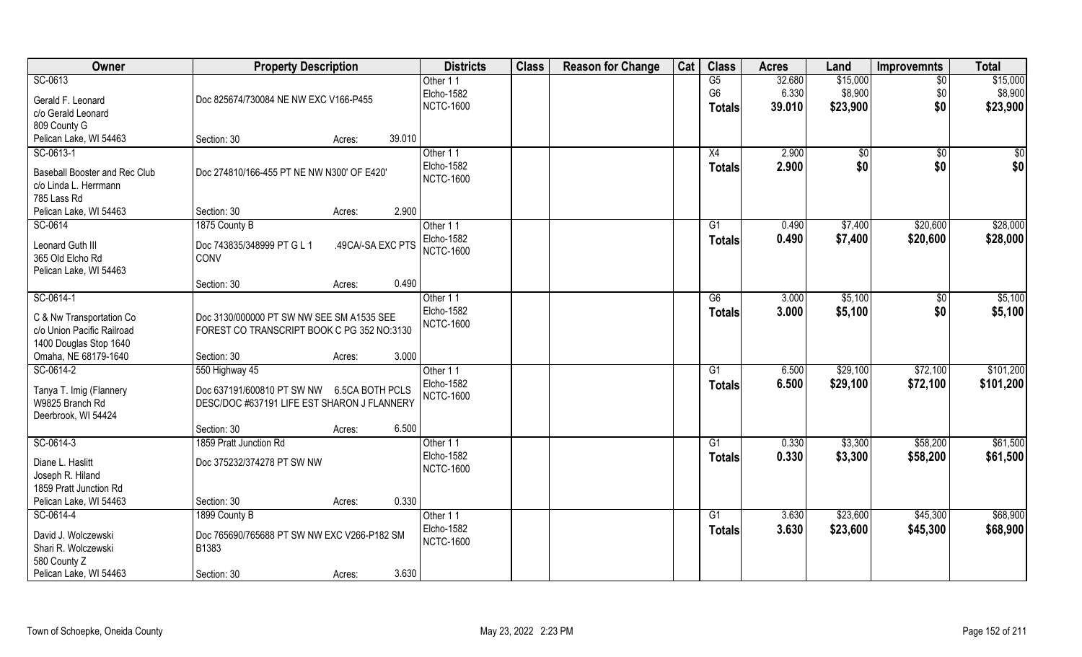| Owner                                      | <b>Property Description</b>                 |                   |        | <b>Districts</b>               | <b>Class</b> | <b>Reason for Change</b> | Cat | <b>Class</b>    | <b>Acres</b> | Land         | <b>Improvemnts</b> | <b>Total</b> |
|--------------------------------------------|---------------------------------------------|-------------------|--------|--------------------------------|--------------|--------------------------|-----|-----------------|--------------|--------------|--------------------|--------------|
| SC-0613                                    |                                             |                   |        | Other 11                       |              |                          |     | G5              | 32.680       | \$15,000     | $\sqrt{$0}$        | \$15,000     |
| Gerald F. Leonard                          | Doc 825674/730084 NE NW EXC V166-P455       |                   |        | Elcho-1582                     |              |                          |     | G <sub>6</sub>  | 6.330        | \$8,900      | \$0                | \$8,900      |
| c/o Gerald Leonard                         |                                             |                   |        | <b>NCTC-1600</b>               |              |                          |     | <b>Totals</b>   | 39.010       | \$23,900     | \$0                | \$23,900     |
| 809 County G                               |                                             |                   |        |                                |              |                          |     |                 |              |              |                    |              |
| Pelican Lake, WI 54463                     | Section: 30                                 | Acres:            | 39.010 |                                |              |                          |     |                 |              |              |                    |              |
| SC-0613-1                                  |                                             |                   |        | Other 11                       |              |                          |     | X4              | 2.900        | $\sqrt[6]{}$ | $\sqrt{$0}$        | \$0          |
|                                            |                                             |                   |        | Elcho-1582                     |              |                          |     | Totals          | 2.900        | \$0          | \$0                | \$0          |
| Baseball Booster and Rec Club              | Doc 274810/166-455 PT NE NW N300' OF E420'  |                   |        | <b>NCTC-1600</b>               |              |                          |     |                 |              |              |                    |              |
| c/o Linda L. Herrmann                      |                                             |                   |        |                                |              |                          |     |                 |              |              |                    |              |
| 785 Lass Rd                                |                                             |                   |        |                                |              |                          |     |                 |              |              |                    |              |
| Pelican Lake, WI 54463                     | Section: 30                                 | Acres:            | 2.900  |                                |              |                          |     |                 |              |              |                    |              |
| SC-0614                                    | 1875 County B                               |                   |        | Other 11                       |              |                          |     | G1              | 0.490        | \$7,400      | \$20,600           | \$28,000     |
| Leonard Guth III                           | Doc 743835/348999 PT G L 1                  | .49CA/-SA EXC PTS |        | Elcho-1582                     |              |                          |     | Totals          | 0.490        | \$7,400      | \$20,600           | \$28,000     |
| 365 Old Elcho Rd                           | CONV                                        |                   |        | <b>NCTC-1600</b>               |              |                          |     |                 |              |              |                    |              |
| Pelican Lake, WI 54463                     |                                             |                   |        |                                |              |                          |     |                 |              |              |                    |              |
|                                            | Section: 30                                 | Acres:            | 0.490  |                                |              |                          |     |                 |              |              |                    |              |
| SC-0614-1                                  |                                             |                   |        | Other 11                       |              |                          |     | G6              | 3.000        | \$5,100      | $\sqrt[6]{3}$      | \$5,100      |
|                                            |                                             |                   |        | Elcho-1582                     |              |                          |     | <b>Totals</b>   | 3.000        | \$5,100      | \$0                | \$5,100      |
| C & Nw Transportation Co                   | Doc 3130/000000 PT SW NW SEE SM A1535 SEE   |                   |        | <b>NCTC-1600</b>               |              |                          |     |                 |              |              |                    |              |
| c/o Union Pacific Railroad                 | FOREST CO TRANSCRIPT BOOK C PG 352 NO:3130  |                   |        |                                |              |                          |     |                 |              |              |                    |              |
| 1400 Douglas Stop 1640                     |                                             |                   |        |                                |              |                          |     |                 |              |              |                    |              |
| Omaha, NE 68179-1640                       | Section: 30                                 | Acres:            | 3.000  |                                |              |                          |     |                 |              |              |                    |              |
| SC-0614-2                                  | 550 Highway 45                              |                   |        | Other 11                       |              |                          |     | $\overline{G1}$ | 6.500        | \$29,100     | \$72,100           | \$101,200    |
| Tanya T. Imig (Flannery                    | Doc 637191/600810 PT SW NW 6.5CA BOTH PCLS  |                   |        | Elcho-1582                     |              |                          |     | <b>Totals</b>   | 6.500        | \$29,100     | \$72,100           | \$101,200    |
| W9825 Branch Rd                            | DESC/DOC #637191 LIFE EST SHARON J FLANNERY |                   |        | <b>NCTC-1600</b>               |              |                          |     |                 |              |              |                    |              |
| Deerbrook, WI 54424                        |                                             |                   |        |                                |              |                          |     |                 |              |              |                    |              |
|                                            | Section: 30                                 | Acres:            | 6.500  |                                |              |                          |     |                 |              |              |                    |              |
| SC-0614-3                                  | 1859 Pratt Junction Rd                      |                   |        | Other 11                       |              |                          |     | G1              | 0.330        | \$3,300      | \$58,200           | \$61,500     |
|                                            |                                             |                   |        | Elcho-1582                     |              |                          |     | <b>Totals</b>   | 0.330        | \$3,300      | \$58,200           | \$61,500     |
| Diane L. Haslitt                           | Doc 375232/374278 PT SW NW                  |                   |        | <b>NCTC-1600</b>               |              |                          |     |                 |              |              |                    |              |
| Joseph R. Hiland<br>1859 Pratt Junction Rd |                                             |                   |        |                                |              |                          |     |                 |              |              |                    |              |
| Pelican Lake, WI 54463                     |                                             |                   | 0.330  |                                |              |                          |     |                 |              |              |                    |              |
|                                            | Section: 30                                 | Acres:            |        |                                |              |                          |     |                 |              | \$23,600     |                    | \$68,900     |
| SC-0614-4                                  | 1899 County B                               |                   |        | Other 11                       |              |                          |     | G1              | 3.630        |              | \$45,300           |              |
| David J. Wolczewski                        | Doc 765690/765688 PT SW NW EXC V266-P182 SM |                   |        | Elcho-1582<br><b>NCTC-1600</b> |              |                          |     | <b>Totals</b>   | 3.630        | \$23,600     | \$45,300           | \$68,900     |
| Shari R. Wolczewski                        | B1383                                       |                   |        |                                |              |                          |     |                 |              |              |                    |              |
| 580 County Z                               |                                             |                   |        |                                |              |                          |     |                 |              |              |                    |              |
| Pelican Lake, WI 54463                     | Section: 30                                 | Acres:            | 3.630  |                                |              |                          |     |                 |              |              |                    |              |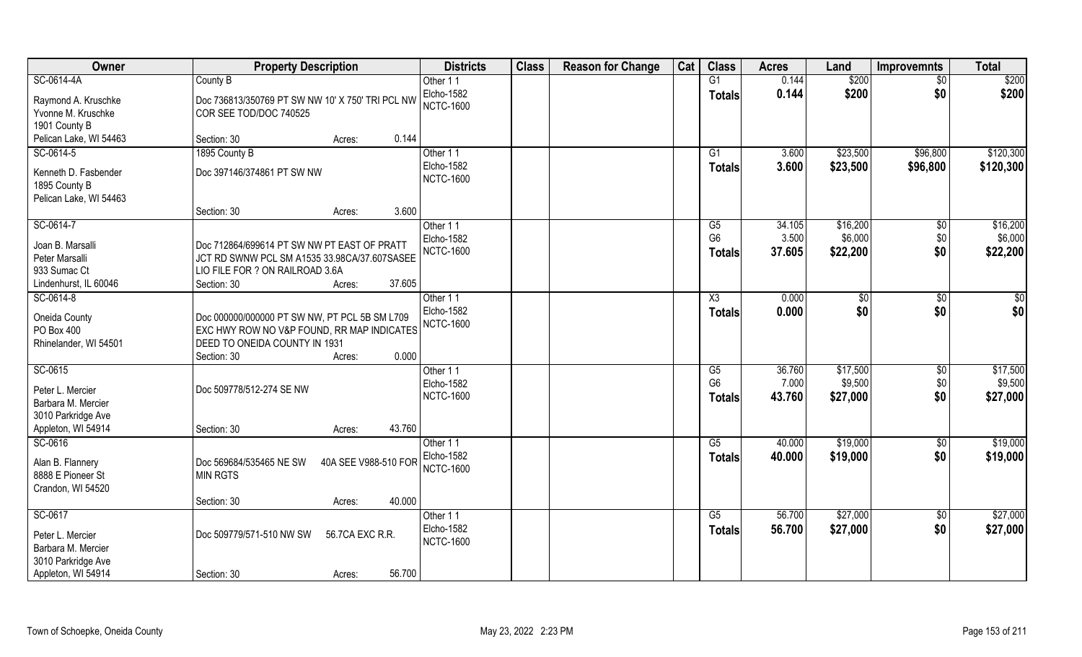| Owner                  | <b>Property Description</b>                      |                      | <b>Districts</b>  | <b>Class</b> | <b>Reason for Change</b> | Cat | <b>Class</b>    | <b>Acres</b> | Land     | <b>Improvemnts</b> | <b>Total</b> |
|------------------------|--------------------------------------------------|----------------------|-------------------|--------------|--------------------------|-----|-----------------|--------------|----------|--------------------|--------------|
| SC-0614-4A             | County B                                         |                      | Other 11          |              |                          |     | G1              | 0.144        | \$200    | $\sqrt{$0}$        | \$200        |
| Raymond A. Kruschke    | Doc 736813/350769 PT SW NW 10' X 750' TRI PCL NW |                      | Elcho-1582        |              |                          |     | <b>Totals</b>   | 0.144        | \$200    | \$0                | \$200        |
| Yvonne M. Kruschke     | COR SEE TOD/DOC 740525                           |                      | <b>NCTC-1600</b>  |              |                          |     |                 |              |          |                    |              |
| 1901 County B          |                                                  |                      |                   |              |                          |     |                 |              |          |                    |              |
| Pelican Lake, WI 54463 | Section: 30<br>Acres:                            | 0.144                |                   |              |                          |     |                 |              |          |                    |              |
| SC-0614-5              | 1895 County B                                    |                      | Other 11          |              |                          |     | $\overline{G1}$ | 3.600        | \$23,500 | \$96,800           | \$120,300    |
|                        |                                                  |                      | <b>Elcho-1582</b> |              |                          |     | Totals          | 3.600        | \$23,500 | \$96,800           | \$120,300    |
| Kenneth D. Fasbender   | Doc 397146/374861 PT SW NW                       |                      | <b>NCTC-1600</b>  |              |                          |     |                 |              |          |                    |              |
| 1895 County B          |                                                  |                      |                   |              |                          |     |                 |              |          |                    |              |
| Pelican Lake, WI 54463 |                                                  |                      |                   |              |                          |     |                 |              |          |                    |              |
|                        | Section: 30<br>Acres:                            | 3.600                |                   |              |                          |     |                 |              |          |                    |              |
| SC-0614-7              |                                                  |                      | Other 11          |              |                          |     | G5              | 34.105       | \$16,200 | $\sqrt[6]{3}$      | \$16,200     |
|                        |                                                  |                      | Elcho-1582        |              |                          |     | G <sub>6</sub>  | 3.500        | \$6,000  | \$0                | \$6,000      |
| Joan B. Marsalli       | Doc 712864/699614 PT SW NW PT EAST OF PRATT      |                      | <b>NCTC-1600</b>  |              |                          |     | Totals          | 37.605       | \$22,200 | \$0                | \$22,200     |
| Peter Marsalli         | JCT RD SWNW PCL SM A1535 33.98CA/37.607SASEE     |                      |                   |              |                          |     |                 |              |          |                    |              |
| 933 Sumac Ct           | LIO FILE FOR ? ON RAILROAD 3.6A                  | 37.605               |                   |              |                          |     |                 |              |          |                    |              |
| Lindenhurst, IL 60046  | Section: 30<br>Acres:                            |                      |                   |              |                          |     |                 |              |          |                    |              |
| SC-0614-8              |                                                  |                      | Other 11          |              |                          |     | X3              | 0.000        | $ $ \$0  | \$0                | \$0          |
| Oneida County          | Doc 000000/000000 PT SW NW, PT PCL 5B SM L709    |                      | Elcho-1582        |              |                          |     | <b>Totals</b>   | 0.000        | \$0      | \$0                | \$0          |
| PO Box 400             | EXC HWY ROW NO V&P FOUND, RR MAP INDICATES       |                      | <b>NCTC-1600</b>  |              |                          |     |                 |              |          |                    |              |
| Rhinelander, WI 54501  | DEED TO ONEIDA COUNTY IN 1931                    |                      |                   |              |                          |     |                 |              |          |                    |              |
|                        | Section: 30<br>Acres:                            | 0.000                |                   |              |                          |     |                 |              |          |                    |              |
| SC-0615                |                                                  |                      | Other 11          |              |                          |     | G5              | 36.760       | \$17,500 | \$0                | \$17,500     |
|                        |                                                  |                      | Elcho-1582        |              |                          |     | G <sub>6</sub>  | 7.000        | \$9,500  | \$0                | \$9,500      |
| Peter L. Mercier       | Doc 509778/512-274 SE NW                         |                      | <b>NCTC-1600</b>  |              |                          |     | <b>Totals</b>   | 43.760       | \$27,000 | \$0                | \$27,000     |
| Barbara M. Mercier     |                                                  |                      |                   |              |                          |     |                 |              |          |                    |              |
| 3010 Parkridge Ave     |                                                  |                      |                   |              |                          |     |                 |              |          |                    |              |
| Appleton, WI 54914     | Section: 30<br>Acres:                            | 43.760               |                   |              |                          |     |                 |              |          |                    |              |
| SC-0616                |                                                  |                      | Other 11          |              |                          |     | G5              | 40.000       | \$19,000 | \$0                | \$19,000     |
| Alan B. Flannery       | Doc 569684/535465 NE SW                          | 40A SEE V988-510 FOR | Elcho-1582        |              |                          |     | <b>Totals</b>   | 40.000       | \$19,000 | \$0                | \$19,000     |
| 8888 E Pioneer St      | <b>MIN RGTS</b>                                  |                      | <b>NCTC-1600</b>  |              |                          |     |                 |              |          |                    |              |
| Crandon, WI 54520      |                                                  |                      |                   |              |                          |     |                 |              |          |                    |              |
|                        | Section: 30<br>Acres:                            | 40.000               |                   |              |                          |     |                 |              |          |                    |              |
| SC-0617                |                                                  |                      | Other 11          |              |                          |     | G5              | 56.700       | \$27,000 |                    | \$27,000     |
|                        |                                                  |                      | Elcho-1582        |              |                          |     |                 |              |          | $\sqrt{$0}$        |              |
| Peter L. Mercier       | Doc 509779/571-510 NW SW<br>56.7CA EXC R.R.      |                      | <b>NCTC-1600</b>  |              |                          |     | <b>Totals</b>   | 56.700       | \$27,000 | \$0                | \$27,000     |
| Barbara M. Mercier     |                                                  |                      |                   |              |                          |     |                 |              |          |                    |              |
| 3010 Parkridge Ave     |                                                  |                      |                   |              |                          |     |                 |              |          |                    |              |
| Appleton, WI 54914     | Section: 30<br>Acres:                            | 56.700               |                   |              |                          |     |                 |              |          |                    |              |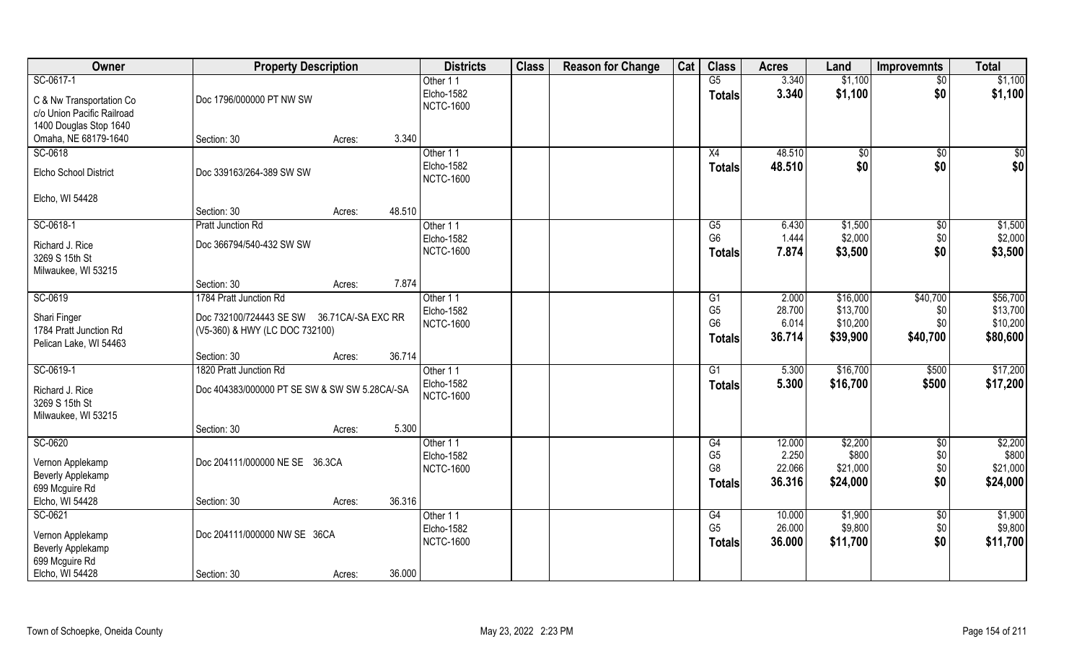| Owner                      | <b>Property Description</b>                   |                  | <b>Districts</b> | <b>Class</b> | <b>Reason for Change</b> | Cat | <b>Class</b>           | <b>Acres</b>     | Land               | <b>Improvemnts</b> | <b>Total</b>       |
|----------------------------|-----------------------------------------------|------------------|------------------|--------------|--------------------------|-----|------------------------|------------------|--------------------|--------------------|--------------------|
| SC-0617-1                  |                                               |                  | Other 11         |              |                          |     | $\overline{\text{G5}}$ | 3.340            | \$1,100            | $\sqrt{$0}$        | \$1,100            |
| C & Nw Transportation Co   | Doc 1796/000000 PT NW SW                      |                  | Elcho-1582       |              |                          |     | <b>Totals</b>          | 3.340            | \$1,100            | \$0                | \$1,100            |
| c/o Union Pacific Railroad |                                               |                  | <b>NCTC-1600</b> |              |                          |     |                        |                  |                    |                    |                    |
| 1400 Douglas Stop 1640     |                                               |                  |                  |              |                          |     |                        |                  |                    |                    |                    |
| Omaha, NE 68179-1640       | Section: 30                                   | 3.340<br>Acres:  |                  |              |                          |     |                        |                  |                    |                    |                    |
| SC-0618                    |                                               |                  | Other 11         |              |                          |     | X4                     | 48.510           | $\sqrt{50}$        | $\overline{50}$    | $\overline{\$0}$   |
|                            |                                               |                  | Elcho-1582       |              |                          |     | <b>Totals</b>          | 48.510           | \$0                | \$0                | \$0                |
| Elcho School District      | Doc 339163/264-389 SW SW                      |                  | <b>NCTC-1600</b> |              |                          |     |                        |                  |                    |                    |                    |
|                            |                                               |                  |                  |              |                          |     |                        |                  |                    |                    |                    |
| Elcho, WI 54428            |                                               |                  |                  |              |                          |     |                        |                  |                    |                    |                    |
|                            | Section: 30                                   | 48.510<br>Acres: |                  |              |                          |     |                        |                  |                    |                    |                    |
| SC-0618-1                  | Pratt Junction Rd                             |                  | Other 11         |              |                          |     | G5                     | 6.430            | \$1,500            | $\sqrt[6]{3}$      | \$1,500            |
| Richard J. Rice            | Doc 366794/540-432 SW SW                      |                  | Elcho-1582       |              |                          |     | G <sub>6</sub>         | 1.444            | \$2,000            | \$0                | \$2,000            |
| 3269 S 15th St             |                                               |                  | <b>NCTC-1600</b> |              |                          |     | Totals                 | 7.874            | \$3,500            | \$0                | \$3,500            |
| Milwaukee, WI 53215        |                                               |                  |                  |              |                          |     |                        |                  |                    |                    |                    |
|                            | Section: 30                                   | 7.874<br>Acres:  |                  |              |                          |     |                        |                  |                    |                    |                    |
| SC-0619                    | 1784 Pratt Junction Rd                        |                  | Other 11         |              |                          |     | G1                     | 2.000            | \$16,000           | \$40,700           | \$56,700           |
|                            |                                               |                  | Elcho-1582       |              |                          |     | G <sub>5</sub>         | 28.700           | \$13,700           | \$0                | \$13,700           |
| Shari Finger               | Doc 732100/724443 SE SW 36.71CA/-SA EXC RR    |                  | <b>NCTC-1600</b> |              |                          |     | G <sub>6</sub>         | 6.014            | \$10,200           | \$0                | \$10,200           |
| 1784 Pratt Junction Rd     | (V5-360) & HWY (LC DOC 732100)                |                  |                  |              |                          |     | <b>Totals</b>          | 36.714           | \$39,900           | \$40,700           | \$80,600           |
| Pelican Lake, WI 54463     |                                               |                  |                  |              |                          |     |                        |                  |                    |                    |                    |
|                            | Section: 30                                   | 36.714<br>Acres: |                  |              |                          |     |                        |                  |                    |                    |                    |
| SC-0619-1                  | 1820 Pratt Junction Rd                        |                  | Other 11         |              |                          |     | G1                     | 5.300            | \$16,700           | \$500              | \$17,200           |
| Richard J. Rice            | Doc 404383/000000 PT SE SW & SW SW 5.28CA/-SA |                  | Elcho-1582       |              |                          |     | <b>Totals</b>          | 5.300            | \$16,700           | \$500              | \$17,200           |
| 3269 S 15th St             |                                               |                  | <b>NCTC-1600</b> |              |                          |     |                        |                  |                    |                    |                    |
| Milwaukee, WI 53215        |                                               |                  |                  |              |                          |     |                        |                  |                    |                    |                    |
|                            | Section: 30                                   | 5.300<br>Acres:  |                  |              |                          |     |                        |                  |                    |                    |                    |
| SC-0620                    |                                               |                  | Other 11         |              |                          |     | G4                     | 12.000           | \$2,200            | $\frac{6}{3}$      | \$2,200            |
|                            |                                               |                  | Elcho-1582       |              |                          |     | G <sub>5</sub>         | 2.250            | \$800              | \$0                | \$800              |
| Vernon Applekamp           | Doc 204111/000000 NE SE 36.3CA                |                  | <b>NCTC-1600</b> |              |                          |     | G <sub>8</sub>         | 22.066           | \$21,000           | \$0                | \$21,000           |
| <b>Beverly Applekamp</b>   |                                               |                  |                  |              |                          |     | Totals                 | 36.316           | \$24,000           | \$0                | \$24,000           |
| 699 Mcguire Rd             |                                               |                  |                  |              |                          |     |                        |                  |                    |                    |                    |
| Elcho, WI 54428            | Section: 30                                   | 36.316<br>Acres: |                  |              |                          |     |                        |                  |                    |                    |                    |
| SC-0621                    |                                               |                  | Other 11         |              |                          |     | G4<br>G <sub>5</sub>   | 10.000<br>26.000 | \$1,900<br>\$9,800 | $\sqrt{$0}$        | \$1,900<br>\$9,800 |
| Vernon Applekamp           | Doc 204111/000000 NW SE 36CA                  |                  | Elcho-1582       |              |                          |     |                        |                  |                    | \$0                |                    |
| <b>Beverly Applekamp</b>   |                                               |                  | <b>NCTC-1600</b> |              |                          |     | <b>Totals</b>          | 36.000           | \$11,700           | \$0                | \$11,700           |
| 699 Mcguire Rd             |                                               |                  |                  |              |                          |     |                        |                  |                    |                    |                    |
| Elcho, WI 54428            | Section: 30                                   | 36.000<br>Acres: |                  |              |                          |     |                        |                  |                    |                    |                    |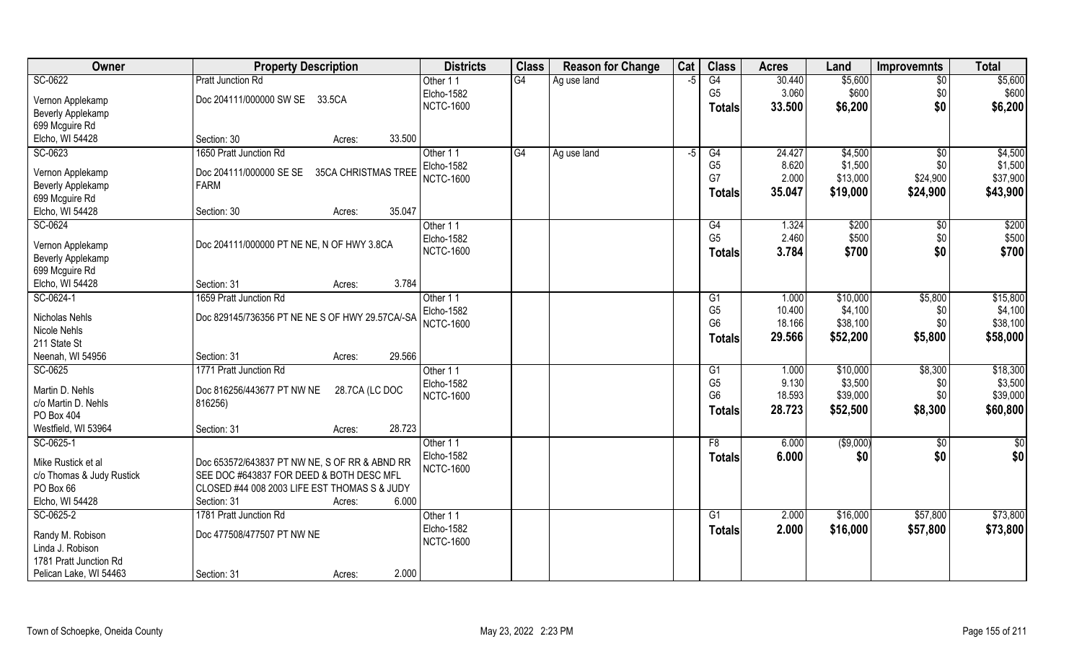| SC-0622<br>G4<br>G4<br>\$5,600<br>\$5,600<br><b>Pratt Junction Rd</b><br>30.440<br>Other 11<br>Ag use land<br>$-5$<br>\$0<br>3.060<br>\$600<br>G <sub>5</sub><br>\$600<br>\$0<br>Elcho-1582<br>Doc 204111/000000 SW SE 33.5CA<br>Vernon Applekamp<br>\$0<br>\$6,200<br><b>NCTC-1600</b><br>33.500<br>\$6,200<br><b>Totals</b><br>Beverly Applekamp<br>699 Mcguire Rd<br>Elcho, WI 54428<br>33.500<br>Section: 30<br>Acres: |         |
|----------------------------------------------------------------------------------------------------------------------------------------------------------------------------------------------------------------------------------------------------------------------------------------------------------------------------------------------------------------------------------------------------------------------------|---------|
|                                                                                                                                                                                                                                                                                                                                                                                                                            |         |
|                                                                                                                                                                                                                                                                                                                                                                                                                            |         |
|                                                                                                                                                                                                                                                                                                                                                                                                                            |         |
|                                                                                                                                                                                                                                                                                                                                                                                                                            |         |
|                                                                                                                                                                                                                                                                                                                                                                                                                            |         |
| 1650 Pratt Junction Rd<br>G4<br>\$4,500<br>\$4,500<br>Other 11<br>Ag use land<br>$-5$<br>G4<br>24.427<br>$\overline{50}$                                                                                                                                                                                                                                                                                                   | SC-0623 |
| \$1,500<br>G <sub>5</sub><br>\$1,500<br>Elcho-1582<br>8.620<br>\$0                                                                                                                                                                                                                                                                                                                                                         |         |
| Doc 204111/000000 SE SE<br>Vernon Applekamp<br>35CA CHRISTMAS TREE<br>\$37,900<br>2.000<br>\$24,900<br>G7<br>\$13,000<br><b>NCTC-1600</b>                                                                                                                                                                                                                                                                                  |         |
| Beverly Applekamp<br><b>FARM</b><br>\$43,900<br>35.047<br>\$19,000<br>\$24,900<br><b>Totals</b>                                                                                                                                                                                                                                                                                                                            |         |
| 699 Mcguire Rd<br>35.047                                                                                                                                                                                                                                                                                                                                                                                                   |         |
| Elcho, WI 54428<br>Section: 30<br>Acres:                                                                                                                                                                                                                                                                                                                                                                                   |         |
| \$200<br>SC-0624<br>\$200<br>G4<br>1.324<br>$\sqrt[6]{30}$<br>Other 11<br>2.460<br>G <sub>5</sub><br>\$500<br>\$0<br>\$500<br>Elcho-1582                                                                                                                                                                                                                                                                                   |         |
| Doc 204111/000000 PT NE NE, N OF HWY 3.8CA<br>Vernon Applekamp<br><b>NCTC-1600</b>                                                                                                                                                                                                                                                                                                                                         |         |
| \$700<br>3.784<br>\$700<br>\$0<br><b>Totals</b><br>Beverly Applekamp                                                                                                                                                                                                                                                                                                                                                       |         |
| 699 Mcguire Rd                                                                                                                                                                                                                                                                                                                                                                                                             |         |
| Elcho, WI 54428<br>3.784<br>Section: 31<br>Acres:                                                                                                                                                                                                                                                                                                                                                                          |         |
| SC-0624-1<br>1659 Pratt Junction Rd<br>\$5,800<br>\$15,800<br>1.000<br>\$10,000<br>Other 11<br>G <sub>1</sub>                                                                                                                                                                                                                                                                                                              |         |
| 10.400<br>\$4,100<br>\$4,100<br>G <sub>5</sub><br>Elcho-1582<br>\$0<br>Doc 829145/736356 PT NE NE S OF HWY 29.57CA/-SA<br>Nicholas Nehls                                                                                                                                                                                                                                                                                   |         |
| G <sub>6</sub><br>18.166<br>\$38,100<br>\$0<br>\$38,100<br><b>NCTC-1600</b><br>Nicole Nehls                                                                                                                                                                                                                                                                                                                                |         |
| \$52,200<br>29.566<br>\$5,800<br>\$58,000<br><b>Totals</b><br>211 State St                                                                                                                                                                                                                                                                                                                                                 |         |
| 29.566<br>Neenah, WI 54956<br>Section: 31<br>Acres:                                                                                                                                                                                                                                                                                                                                                                        |         |
| SC-0625<br>1771 Pratt Junction Rd<br>\$10,000<br>\$8,300<br>\$18,300<br>G1<br>1.000<br>Other 11                                                                                                                                                                                                                                                                                                                            |         |
| G <sub>5</sub><br>9.130<br>\$3,500<br>\$3,500<br>\$0<br>Elcho-1582                                                                                                                                                                                                                                                                                                                                                         |         |
| Martin D. Nehls<br>Doc 816256/443677 PT NW NE<br>28.7CA (LC DOC<br>G <sub>6</sub><br>18.593<br>\$39,000<br>\$0<br>\$39,000<br><b>NCTC-1600</b>                                                                                                                                                                                                                                                                             |         |
| c/o Martin D. Nehls<br>816256)<br>28.723<br>\$8,300<br>\$60,800<br>\$52,500<br><b>Totals</b>                                                                                                                                                                                                                                                                                                                               |         |
| PO Box 404                                                                                                                                                                                                                                                                                                                                                                                                                 |         |
| Westfield, WI 53964<br>28.723<br>Section: 31<br>Acres:                                                                                                                                                                                                                                                                                                                                                                     |         |
| SC-0625-1<br>( \$9,000)<br>F8<br>6.000<br>Other 11<br>\$0                                                                                                                                                                                                                                                                                                                                                                  |         |
| \$0<br>Elcho-1582<br>6.000<br>\$0<br><b>Totals</b><br>Mike Rustick et al<br>Doc 653572/643837 PT NW NE, S OF RR & ABND RR                                                                                                                                                                                                                                                                                                  |         |
| <b>NCTC-1600</b><br>SEE DOC #643837 FOR DEED & BOTH DESC MFL<br>c/o Thomas & Judy Rustick                                                                                                                                                                                                                                                                                                                                  |         |
| PO Box 66<br>CLOSED #44 008 2003 LIFE EST THOMAS S & JUDY                                                                                                                                                                                                                                                                                                                                                                  |         |
| Elcho, WI 54428<br>6.000<br>Section: 31<br>Acres:                                                                                                                                                                                                                                                                                                                                                                          |         |
| \$16,000<br>\$73,800<br>SC-0625-2<br>1781 Pratt Junction Rd<br>Other 11<br>G1<br>2.000<br>\$57,800                                                                                                                                                                                                                                                                                                                         |         |
| <b>Elcho-1582</b><br>2.000<br>\$16,000<br>\$57,800<br>\$73,800<br><b>Totals</b><br>Doc 477508/477507 PT NW NE<br>Randy M. Robison                                                                                                                                                                                                                                                                                          |         |
| <b>NCTC-1600</b><br>Linda J. Robison                                                                                                                                                                                                                                                                                                                                                                                       |         |
| 1781 Pratt Junction Rd                                                                                                                                                                                                                                                                                                                                                                                                     |         |
| Pelican Lake, WI 54463<br>2.000<br>Section: 31<br>Acres:                                                                                                                                                                                                                                                                                                                                                                   |         |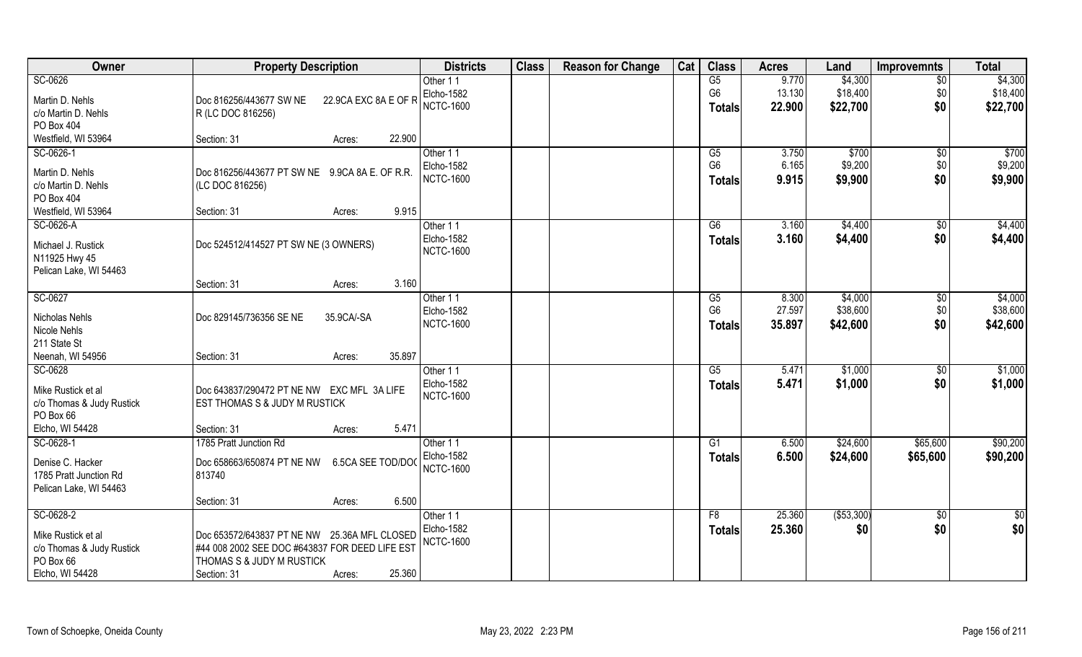| Owner                     | <b>Property Description</b>                     | <b>Districts</b>       | <b>Class</b> | <b>Reason for Change</b> | Cat | <b>Class</b>    | <b>Acres</b> | Land        | <b>Improvemnts</b> | <b>Total</b>    |
|---------------------------|-------------------------------------------------|------------------------|--------------|--------------------------|-----|-----------------|--------------|-------------|--------------------|-----------------|
| SC-0626                   |                                                 | Other 11               |              |                          |     | G5              | 9.770        | \$4,300     | $\overline{50}$    | \$4,300         |
| Martin D. Nehls           | 22.9CA EXC 8A E OF R<br>Doc 816256/443677 SW NE | Elcho-1582             |              |                          |     | G <sub>6</sub>  | 13.130       | \$18,400    | \$0                | \$18,400        |
| c/o Martin D. Nehls       | R (LC DOC 816256)                               | <b>NCTC-1600</b>       |              |                          |     | <b>Totals</b>   | 22.900       | \$22,700    | \$0                | \$22,700        |
| PO Box 404                |                                                 |                        |              |                          |     |                 |              |             |                    |                 |
| Westfield, WI 53964       | 22.900<br>Section: 31<br>Acres:                 |                        |              |                          |     |                 |              |             |                    |                 |
| SC-0626-1                 |                                                 | Other 11               |              |                          |     | $\overline{G5}$ | 3.750        | \$700       | $\overline{50}$    | \$700           |
|                           |                                                 | Elcho-1582             |              |                          |     | G <sub>6</sub>  | 6.165        | \$9,200     | \$0                | \$9,200         |
| Martin D. Nehls           | Doc 816256/443677 PT SW NE 9.9CA 8A E. OF R.R.  | <b>NCTC-1600</b>       |              |                          |     | <b>Totals</b>   | 9.915        | \$9,900     | \$0                | \$9,900         |
| c/o Martin D. Nehls       | (LC DOC 816256)                                 |                        |              |                          |     |                 |              |             |                    |                 |
| PO Box 404                |                                                 |                        |              |                          |     |                 |              |             |                    |                 |
| Westfield, WI 53964       | 9.915<br>Section: 31<br>Acres:                  |                        |              |                          |     |                 |              |             |                    |                 |
| SC-0626-A                 |                                                 | Other 11               |              |                          |     | G6              | 3.160        | \$4,400     | $\sqrt[6]{3}$      | \$4,400         |
| Michael J. Rustick        | Doc 524512/414527 PT SW NE (3 OWNERS)           | Elcho-1582             |              |                          |     | <b>Totals</b>   | 3.160        | \$4,400     | \$0                | \$4,400         |
| N11925 Hwy 45             |                                                 | <b>NCTC-1600</b>       |              |                          |     |                 |              |             |                    |                 |
| Pelican Lake, WI 54463    |                                                 |                        |              |                          |     |                 |              |             |                    |                 |
|                           | 3.160<br>Section: 31<br>Acres:                  |                        |              |                          |     |                 |              |             |                    |                 |
| SC-0627                   |                                                 | Other 11               |              |                          |     | G5              | 8.300        | \$4,000     | \$0                | \$4,000         |
| Nicholas Nehls            | Doc 829145/736356 SE NE<br>35.9CA/-SA           | Elcho-1582             |              |                          |     | G <sub>6</sub>  | 27.597       | \$38,600    | \$0                | \$38,600        |
| Nicole Nehls              |                                                 | <b>NCTC-1600</b>       |              |                          |     | <b>Totals</b>   | 35.897       | \$42,600    | \$0                | \$42,600        |
| 211 State St              |                                                 |                        |              |                          |     |                 |              |             |                    |                 |
| Neenah, WI 54956          | 35.897<br>Section: 31<br>Acres:                 |                        |              |                          |     |                 |              |             |                    |                 |
| SC-0628                   |                                                 | Other 11               |              |                          |     | G5              | 5.471        | \$1,000     | \$0                | \$1,000         |
|                           |                                                 | Elcho-1582             |              |                          |     | <b>Totals</b>   | 5.471        | \$1,000     | \$0                | \$1,000         |
| Mike Rustick et al        | Doc 643837/290472 PT NE NW EXC MFL 3A LIFE      | <b>NCTC-1600</b>       |              |                          |     |                 |              |             |                    |                 |
| c/o Thomas & Judy Rustick | EST THOMAS S & JUDY M RUSTICK                   |                        |              |                          |     |                 |              |             |                    |                 |
| PO Box 66                 | 5.471                                           |                        |              |                          |     |                 |              |             |                    |                 |
| Elcho, WI 54428           | Section: 31<br>Acres:                           |                        |              |                          |     |                 |              |             |                    |                 |
| SC-0628-1                 | 1785 Pratt Junction Rd                          | Other 11<br>Elcho-1582 |              |                          |     | G1              | 6.500        | \$24,600    | \$65,600           | \$90,200        |
| Denise C. Hacker          | Doc 658663/650874 PT NE NW<br>6.5CA SEE TOD/DOC | <b>NCTC-1600</b>       |              |                          |     | <b>Totals</b>   | 6.500        | \$24,600    | \$65,600           | \$90,200        |
| 1785 Pratt Junction Rd    | 813740                                          |                        |              |                          |     |                 |              |             |                    |                 |
| Pelican Lake, WI 54463    |                                                 |                        |              |                          |     |                 |              |             |                    |                 |
|                           | 6.500<br>Section: 31<br>Acres:                  |                        |              |                          |     |                 |              |             |                    |                 |
| SC-0628-2                 |                                                 | Other 11               |              |                          |     | F8              | 25.360       | ( \$53,300) | $\sqrt{$0}$        | $\overline{50}$ |
| Mike Rustick et al        | Doc 653572/643837 PT NE NW 25.36A MFL CLOSED    | Elcho-1582             |              |                          |     | <b>Totals</b>   | 25.360       | \$0         | \$0                | \$0             |
| c/o Thomas & Judy Rustick | #44 008 2002 SEE DOC #643837 FOR DEED LIFE EST  | <b>NCTC-1600</b>       |              |                          |     |                 |              |             |                    |                 |
| PO Box 66                 | THOMAS S & JUDY M RUSTICK                       |                        |              |                          |     |                 |              |             |                    |                 |
| Elcho, WI 54428           | 25.360<br>Section: 31<br>Acres:                 |                        |              |                          |     |                 |              |             |                    |                 |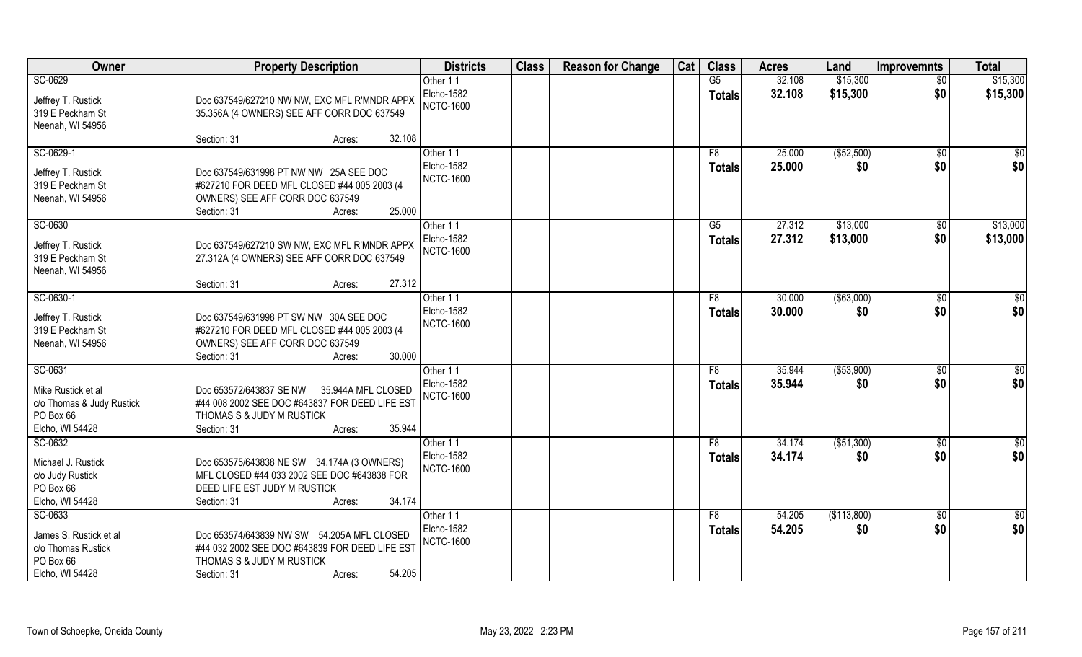| Owner                     | <b>Property Description</b>                    | <b>Districts</b>               | <b>Class</b> | <b>Reason for Change</b> | Cat | <b>Class</b>   | <b>Acres</b> | Land        | Improvemnts     | <b>Total</b>    |
|---------------------------|------------------------------------------------|--------------------------------|--------------|--------------------------|-----|----------------|--------------|-------------|-----------------|-----------------|
| SC-0629                   |                                                | Other 11                       |              |                          |     | G5             | 32.108       | \$15,300    | $\overline{50}$ | \$15,300        |
| Jeffrey T. Rustick        | Doc 637549/627210 NW NW, EXC MFL R'MNDR APPX   | Elcho-1582                     |              |                          |     | <b>Totals</b>  | 32.108       | \$15,300    | \$0             | \$15,300        |
| 319 E Peckham St          | 35.356A (4 OWNERS) SEE AFF CORR DOC 637549     | <b>NCTC-1600</b>               |              |                          |     |                |              |             |                 |                 |
| Neenah, WI 54956          |                                                |                                |              |                          |     |                |              |             |                 |                 |
|                           | 32.108<br>Section: 31<br>Acres:                |                                |              |                          |     |                |              |             |                 |                 |
| SC-0629-1                 |                                                | Other 11                       |              |                          |     | F8             | 25.000       | (\$52,500)  | \$0             | \$0             |
| Jeffrey T. Rustick        | Doc 637549/631998 PT NW NW 25A SEE DOC         | <b>Elcho-1582</b>              |              |                          |     | Totals         | 25.000       | \$0         | \$0             | \$0             |
| 319 E Peckham St          | #627210 FOR DEED MFL CLOSED #44 005 2003 (4    | <b>NCTC-1600</b>               |              |                          |     |                |              |             |                 |                 |
| Neenah, WI 54956          | OWNERS) SEE AFF CORR DOC 637549                |                                |              |                          |     |                |              |             |                 |                 |
|                           | 25.000<br>Section: 31<br>Acres:                |                                |              |                          |     |                |              |             |                 |                 |
| SC-0630                   |                                                | Other 11                       |              |                          |     | G5             | 27.312       | \$13,000    | $\sqrt[6]{30}$  | \$13,000        |
|                           |                                                | Elcho-1582                     |              |                          |     | <b>Totals</b>  | 27.312       | \$13,000    | \$0             | \$13,000        |
| Jeffrey T. Rustick        | Doc 637549/627210 SW NW, EXC MFL R'MNDR APPX   | <b>NCTC-1600</b>               |              |                          |     |                |              |             |                 |                 |
| 319 E Peckham St          | 27.312A (4 OWNERS) SEE AFF CORR DOC 637549     |                                |              |                          |     |                |              |             |                 |                 |
| Neenah, WI 54956          |                                                |                                |              |                          |     |                |              |             |                 |                 |
|                           | 27.312<br>Section: 31<br>Acres:                |                                |              |                          |     |                |              |             |                 |                 |
| SC-0630-1                 |                                                | Other 11                       |              |                          |     | F8             | 30.000       | ( \$63,000) | $\sqrt[6]{3}$   | \$0             |
| Jeffrey T. Rustick        | Doc 637549/631998 PT SW NW 30A SEE DOC         | Elcho-1582<br><b>NCTC-1600</b> |              |                          |     | <b>Totals</b>  | 30.000       | \$0         | \$0             | \$0             |
| 319 E Peckham St          | #627210 FOR DEED MFL CLOSED #44 005 2003 (4    |                                |              |                          |     |                |              |             |                 |                 |
| Neenah, WI 54956          | OWNERS) SEE AFF CORR DOC 637549                |                                |              |                          |     |                |              |             |                 |                 |
|                           | 30.000<br>Section: 31<br>Acres:                |                                |              |                          |     |                |              |             |                 |                 |
| SC-0631                   |                                                | Other 11                       |              |                          |     | F <sub>8</sub> | 35.944       | ( \$53,900) | \$0             | $\overline{50}$ |
| Mike Rustick et al        | Doc 653572/643837 SE NW<br>35.944A MFL CLOSED  | <b>Elcho-1582</b>              |              |                          |     | <b>Totals</b>  | 35.944       | \$0         | \$0             | \$0             |
| c/o Thomas & Judy Rustick | #44 008 2002 SEE DOC #643837 FOR DEED LIFE EST | <b>NCTC-1600</b>               |              |                          |     |                |              |             |                 |                 |
| PO Box 66                 | THOMAS S & JUDY M RUSTICK                      |                                |              |                          |     |                |              |             |                 |                 |
| Elcho, WI 54428           | Section: 31<br>35.944<br>Acres:                |                                |              |                          |     |                |              |             |                 |                 |
| SC-0632                   |                                                | Other 11                       |              |                          |     | F8             | 34.174       | ( \$51,300) | \$0             | $rac{1}{6}$     |
| Michael J. Rustick        | Doc 653575/643838 NE SW 34.174A (3 OWNERS)     | Elcho-1582                     |              |                          |     | <b>Totals</b>  | 34.174       | \$0         | \$0             | \$0             |
| c/o Judy Rustick          | MFL CLOSED #44 033 2002 SEE DOC #643838 FOR    | <b>NCTC-1600</b>               |              |                          |     |                |              |             |                 |                 |
| PO Box 66                 | DEED LIFE EST JUDY M RUSTICK                   |                                |              |                          |     |                |              |             |                 |                 |
| Elcho, WI 54428           | 34.174<br>Section: 31<br>Acres:                |                                |              |                          |     |                |              |             |                 |                 |
| $SC-0633$                 |                                                | Other 11                       |              |                          |     | F <sub>8</sub> | 54.205       | (\$113,800) | $\sqrt{6}$      | \$0             |
|                           |                                                | <b>Elcho-1582</b>              |              |                          |     | <b>Totals</b>  | 54.205       | \$0         | \$0             | \$0             |
| James S. Rustick et al    | Doc 653574/643839 NW SW 54.205A MFL CLOSED     | <b>NCTC-1600</b>               |              |                          |     |                |              |             |                 |                 |
| c/o Thomas Rustick        | #44 032 2002 SEE DOC #643839 FOR DEED LIFE EST |                                |              |                          |     |                |              |             |                 |                 |
| PO Box 66                 | THOMAS S & JUDY M RUSTICK                      |                                |              |                          |     |                |              |             |                 |                 |
| Elcho, WI 54428           | 54.205<br>Section: 31<br>Acres:                |                                |              |                          |     |                |              |             |                 |                 |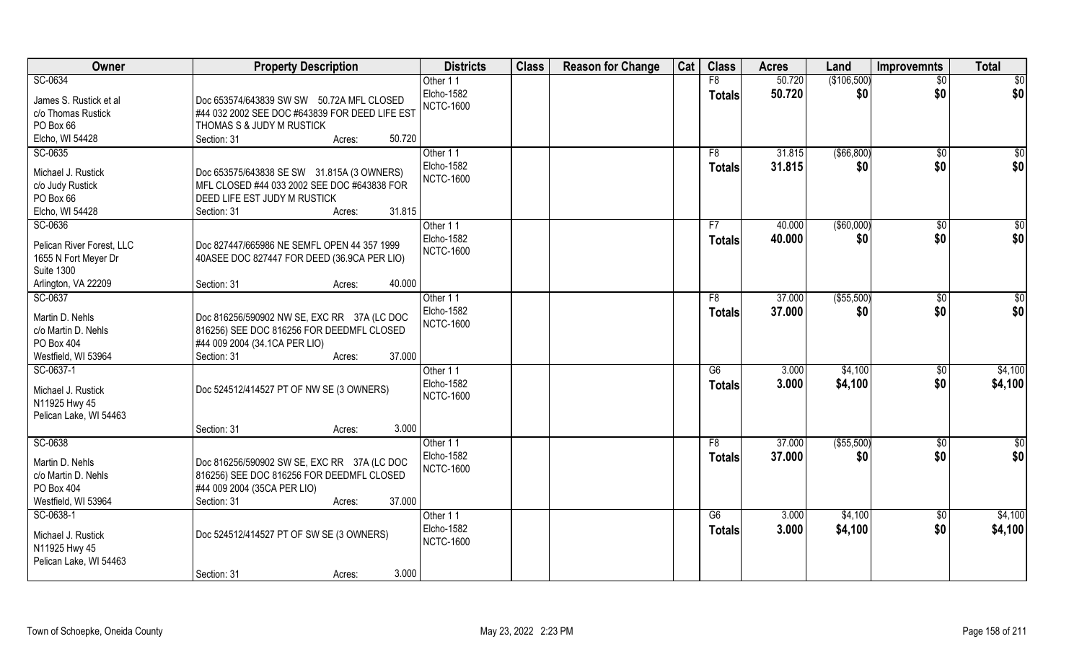| Owner                     | <b>Property Description</b>                    | <b>Districts</b>  | <b>Class</b> | <b>Reason for Change</b> | Cat | <b>Class</b>    | <b>Acres</b> | Land              | <b>Improvemnts</b> | <b>Total</b>     |
|---------------------------|------------------------------------------------|-------------------|--------------|--------------------------|-----|-----------------|--------------|-------------------|--------------------|------------------|
| SC-0634                   |                                                | Other 11          |              |                          |     | F8              | 50.720       | (\$106,500)       | $\overline{50}$    | \$0              |
| James S. Rustick et al    | Doc 653574/643839 SW SW 50.72A MFL CLOSED      | Elcho-1582        |              |                          |     | <b>Totals</b>   | 50.720       | \$0               | \$0                | \$0              |
| c/o Thomas Rustick        | #44 032 2002 SEE DOC #643839 FOR DEED LIFE EST | <b>NCTC-1600</b>  |              |                          |     |                 |              |                   |                    |                  |
| PO Box 66                 | THOMAS S & JUDY M RUSTICK                      |                   |              |                          |     |                 |              |                   |                    |                  |
| Elcho, WI 54428           | 50.720<br>Section: 31<br>Acres:                |                   |              |                          |     |                 |              |                   |                    |                  |
| SC-0635                   |                                                | Other 11          |              |                          |     | F8              | 31.815       | ( \$66, 800)      | \$0                | $\overline{\$0}$ |
|                           |                                                | <b>Elcho-1582</b> |              |                          |     | <b>Totals</b>   | 31.815       | \$0               | \$0                | \$0              |
| Michael J. Rustick        | Doc 653575/643838 SE SW 31.815A (3 OWNERS)     | <b>NCTC-1600</b>  |              |                          |     |                 |              |                   |                    |                  |
| c/o Judy Rustick          | MFL CLOSED #44 033 2002 SEE DOC #643838 FOR    |                   |              |                          |     |                 |              |                   |                    |                  |
| PO Box 66                 | <b>DEED LIFE EST JUDY M RUSTICK</b>            |                   |              |                          |     |                 |              |                   |                    |                  |
| Elcho, WI 54428           | 31.815<br>Section: 31<br>Acres:                |                   |              |                          |     |                 |              |                   |                    |                  |
| SC-0636                   |                                                | Other 11          |              |                          |     | F7              | 40.000       | $($ \$60,000)     | $\sqrt{6}$         | \$0              |
| Pelican River Forest, LLC | Doc 827447/665986 NE SEMFL OPEN 44 357 1999    | Elcho-1582        |              |                          |     | <b>Totals</b>   | 40.000       | \$0               | \$0                | \$0              |
| 1655 N Fort Meyer Dr      | 40ASEE DOC 827447 FOR DEED (36.9CA PER LIO)    | <b>NCTC-1600</b>  |              |                          |     |                 |              |                   |                    |                  |
| <b>Suite 1300</b>         |                                                |                   |              |                          |     |                 |              |                   |                    |                  |
| Arlington, VA 22209       | 40.000<br>Section: 31<br>Acres:                |                   |              |                          |     |                 |              |                   |                    |                  |
| SC-0637                   |                                                | Other 11          |              |                          |     | F8              | 37.000       | $($ \$55,500) $ $ | \$0                | \$0              |
|                           |                                                | Elcho-1582        |              |                          |     | <b>Totals</b>   | 37.000       | \$0               | \$0                | \$0              |
| Martin D. Nehls           | Doc 816256/590902 NW SE, EXC RR 37A (LC DOC    | <b>NCTC-1600</b>  |              |                          |     |                 |              |                   |                    |                  |
| c/o Martin D. Nehls       | 816256) SEE DOC 816256 FOR DEEDMFL CLOSED      |                   |              |                          |     |                 |              |                   |                    |                  |
| PO Box 404                | #44 009 2004 (34.1 CA PER LIO)                 |                   |              |                          |     |                 |              |                   |                    |                  |
| Westfield, WI 53964       | 37.000<br>Section: 31<br>Acres:                |                   |              |                          |     |                 |              |                   |                    |                  |
| SC-0637-1                 |                                                | Other 11          |              |                          |     | $\overline{G6}$ | 3.000        | \$4,100           | \$0                | \$4,100          |
| Michael J. Rustick        | Doc 524512/414527 PT OF NW SE (3 OWNERS)       | Elcho-1582        |              |                          |     | <b>Totals</b>   | 3.000        | \$4,100           | \$0                | \$4,100          |
| N11925 Hwy 45             |                                                | <b>NCTC-1600</b>  |              |                          |     |                 |              |                   |                    |                  |
| Pelican Lake, WI 54463    |                                                |                   |              |                          |     |                 |              |                   |                    |                  |
|                           | 3.000<br>Section: 31<br>Acres:                 |                   |              |                          |     |                 |              |                   |                    |                  |
| SC-0638                   |                                                | Other 11          |              |                          |     | F8              | 37.000       | (\$55,500)        | \$0                | $\overline{50}$  |
|                           |                                                | Elcho-1582        |              |                          |     | <b>Totals</b>   | 37.000       | \$0               | \$0                | \$0              |
| Martin D. Nehls           | Doc 816256/590902 SW SE, EXC RR 37A (LC DOC    | <b>NCTC-1600</b>  |              |                          |     |                 |              |                   |                    |                  |
| c/o Martin D. Nehls       | 816256) SEE DOC 816256 FOR DEEDMFL CLOSED      |                   |              |                          |     |                 |              |                   |                    |                  |
| PO Box 404                | #44 009 2004 (35CA PER LIO)                    |                   |              |                          |     |                 |              |                   |                    |                  |
| Westfield, WI 53964       | 37.000<br>Section: 31<br>Acres:                |                   |              |                          |     |                 |              |                   |                    |                  |
| SC-0638-1                 |                                                | Other 11          |              |                          |     | G6              | 3.000        | \$4,100           | $\sqrt{$0}$        | \$4,100          |
| Michael J. Rustick        | Doc 524512/414527 PT OF SW SE (3 OWNERS)       | Elcho-1582        |              |                          |     | <b>Totals</b>   | 3.000        | \$4,100           | \$0                | \$4,100          |
| N11925 Hwy 45             |                                                | <b>NCTC-1600</b>  |              |                          |     |                 |              |                   |                    |                  |
| Pelican Lake, WI 54463    |                                                |                   |              |                          |     |                 |              |                   |                    |                  |
|                           | 3.000<br>Section: 31<br>Acres:                 |                   |              |                          |     |                 |              |                   |                    |                  |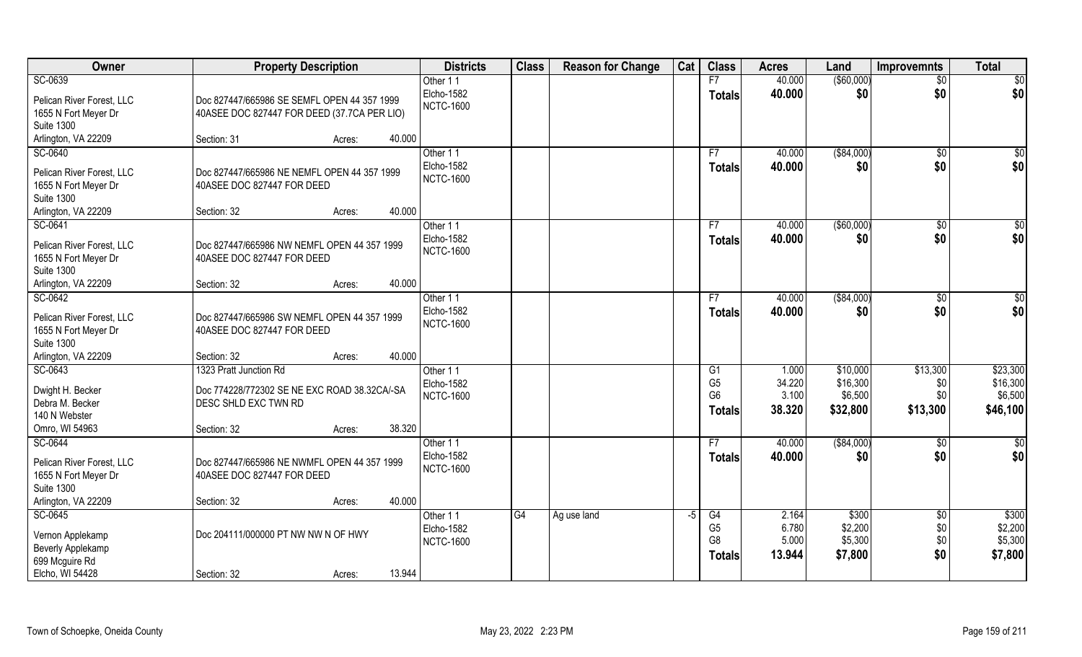| Owner                                                                                                    | <b>Property Description</b>                                                                                   |                  | <b>Districts</b>                           | <b>Class</b> | <b>Reason for Change</b> | Cat  | <b>Class</b>                                            | <b>Acres</b>                       | Land                                        | <b>Improvemnts</b>                   | <b>Total</b>                                |
|----------------------------------------------------------------------------------------------------------|---------------------------------------------------------------------------------------------------------------|------------------|--------------------------------------------|--------------|--------------------------|------|---------------------------------------------------------|------------------------------------|---------------------------------------------|--------------------------------------|---------------------------------------------|
| SC-0639                                                                                                  |                                                                                                               |                  | Other 11                                   |              |                          |      | F7                                                      | 40.000                             | ( \$60,000)                                 | $\overline{50}$                      | \$0                                         |
| Pelican River Forest, LLC<br>1655 N Fort Meyer Dr                                                        | Doc 827447/665986 SE SEMFL OPEN 44 357 1999<br>40ASEE DOC 827447 FOR DEED (37.7CA PER LIO)                    |                  | Elcho-1582<br><b>NCTC-1600</b>             |              |                          |      | <b>Totals</b>                                           | 40.000                             | \$0                                         | \$0                                  | \$0                                         |
| <b>Suite 1300</b><br>Arlington, VA 22209                                                                 | Section: 31                                                                                                   | 40.000<br>Acres: |                                            |              |                          |      |                                                         |                                    |                                             |                                      |                                             |
| SC-0640                                                                                                  |                                                                                                               |                  | Other 11                                   |              |                          |      | F7                                                      | 40.000                             | ( \$84,000)                                 | \$0                                  |                                             |
| Pelican River Forest, LLC<br>1655 N Fort Meyer Dr<br><b>Suite 1300</b>                                   | Doc 827447/665986 NE NEMFL OPEN 44 357 1999<br>40ASEE DOC 827447 FOR DEED                                     |                  | Elcho-1582<br><b>NCTC-1600</b>             |              |                          |      | <b>Totals</b>                                           | 40.000                             | \$0                                         | \$0                                  | \$0<br>\$0                                  |
| Arlington, VA 22209                                                                                      | Section: 32                                                                                                   | 40.000<br>Acres: |                                            |              |                          |      |                                                         |                                    |                                             |                                      |                                             |
| SC-0641<br>Pelican River Forest, LLC<br>1655 N Fort Meyer Dr<br><b>Suite 1300</b>                        | Doc 827447/665986 NW NEMFL OPEN 44 357 1999<br>40ASEE DOC 827447 FOR DEED                                     |                  | Other 11<br>Elcho-1582<br><b>NCTC-1600</b> |              |                          |      | F7<br><b>Totals</b>                                     | 40.000<br>40.000                   | ( \$60,000)<br>\$0                          | $\sqrt{6}$<br>\$0                    | \$0<br>\$0                                  |
| Arlington, VA 22209                                                                                      | Section: 32                                                                                                   | 40.000<br>Acres: |                                            |              |                          |      |                                                         |                                    |                                             |                                      |                                             |
| SC-0642<br>Pelican River Forest, LLC<br>1655 N Fort Meyer Dr<br><b>Suite 1300</b>                        | Doc 827447/665986 SW NEMFL OPEN 44 357 1999<br>40ASEE DOC 827447 FOR DEED                                     |                  | Other 11<br>Elcho-1582<br><b>NCTC-1600</b> |              |                          |      | F7<br><b>Totals</b>                                     | 40.000<br>40.000                   | ( \$84,000)<br>\$0                          | \$0<br>\$0                           | \$<br>\$0                                   |
| Arlington, VA 22209                                                                                      | Section: 32                                                                                                   | 40.000<br>Acres: |                                            |              |                          |      |                                                         |                                    |                                             |                                      |                                             |
| SC-0643<br>Dwight H. Becker<br>Debra M. Becker<br>140 N Webster<br>Omro, WI 54963                        | 1323 Pratt Junction Rd<br>Doc 774228/772302 SE NE EXC ROAD 38.32CA/-SA<br>DESC SHLD EXC TWN RD<br>Section: 32 | 38.320<br>Acres: | Other 11<br>Elcho-1582<br><b>NCTC-1600</b> |              |                          |      | G1<br>G <sub>5</sub><br>G <sub>6</sub><br><b>Totals</b> | 1.000<br>34.220<br>3.100<br>38.320 | \$10,000<br>\$16,300<br>\$6,500<br>\$32,800 | \$13,300<br>\$0<br>\$0<br>\$13,300   | \$23,300<br>\$16,300<br>\$6,500<br>\$46,100 |
| SC-0644<br>Pelican River Forest, LLC<br>1655 N Fort Meyer Dr<br><b>Suite 1300</b><br>Arlington, VA 22209 | Doc 827447/665986 NE NWMFL OPEN 44 357 1999<br>40ASEE DOC 827447 FOR DEED<br>Section: 32                      | 40.000<br>Acres: | Other 11<br>Elcho-1582<br><b>NCTC-1600</b> |              |                          |      | F7<br><b>Totals</b>                                     | 40.000<br>40.000                   | ( \$84,000)<br>\$0                          | \$0<br>\$0                           | $rac{1}{6}$<br>\$0                          |
| SC-0645<br>Vernon Applekamp<br>Beverly Applekamp<br>699 Mcguire Rd<br>Elcho, WI 54428                    | Doc 204111/000000 PT NW NW N OF HWY<br>Section: 32                                                            | 13.944<br>Acres: | Other 11<br>Elcho-1582<br><b>NCTC-1600</b> | G4           | Ag use land              | $-5$ | G4<br>G <sub>5</sub><br>G8<br><b>Totals</b>             | 2.164<br>6.780<br>5.000<br>13.944  | \$300<br>\$2,200<br>\$5,300<br>\$7,800      | $\overline{50}$<br>\$0<br>\$0<br>\$0 | \$300<br>\$2,200<br>\$5,300<br>\$7,800      |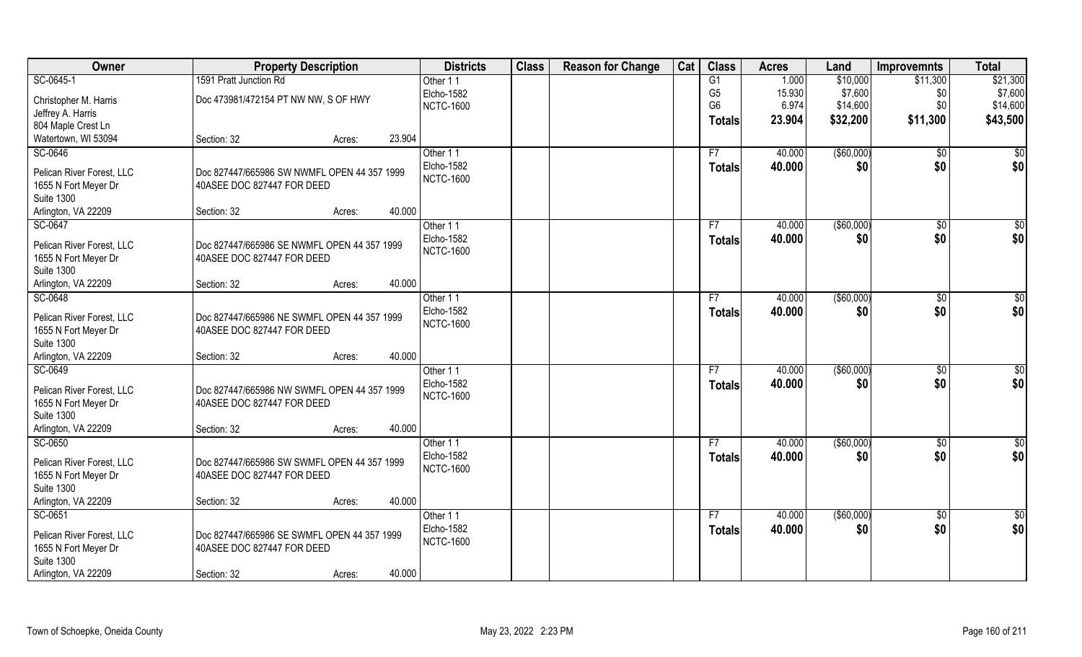| Owner                                             | <b>Property Description</b>                                               |        |        | <b>Districts</b>       | <b>Class</b> | <b>Reason for Change</b> | Cat | <b>Class</b>   | <b>Acres</b> | Land        | <b>Improvemnts</b> | <b>Total</b>  |
|---------------------------------------------------|---------------------------------------------------------------------------|--------|--------|------------------------|--------------|--------------------------|-----|----------------|--------------|-------------|--------------------|---------------|
| SC-0645-1                                         | 1591 Pratt Junction Rd                                                    |        |        | Other 11               |              |                          |     | G1             | 1.000        | \$10,000    | \$11,300           | \$21,300      |
| Christopher M. Harris                             | Doc 473981/472154 PT NW NW, S OF HWY                                      |        |        | Elcho-1582             |              |                          |     | G <sub>5</sub> | 15.930       | \$7,600     | \$0                | \$7,600       |
| Jeffrey A. Harris                                 |                                                                           |        |        | <b>NCTC-1600</b>       |              |                          |     | G <sub>6</sub> | 6.974        | \$14,600    | \$0                | \$14,600      |
| 804 Maple Crest Ln                                |                                                                           |        |        |                        |              |                          |     | <b>Totals</b>  | 23.904       | \$32,200    | \$11,300           | \$43,500      |
| Watertown, WI 53094                               | Section: 32                                                               | Acres: | 23.904 |                        |              |                          |     |                |              |             |                    |               |
| SC-0646                                           |                                                                           |        |        | Other 11               |              |                          |     | F7             | 40.000       | ( \$60,000) | \$0                | \$0           |
|                                                   |                                                                           |        |        | Elcho-1582             |              |                          |     | <b>Totals</b>  | 40.000       | \$0         | \$0                | \$0           |
| Pelican River Forest, LLC<br>1655 N Fort Meyer Dr | Doc 827447/665986 SW NWMFL OPEN 44 357 1999<br>40ASEE DOC 827447 FOR DEED |        |        | <b>NCTC-1600</b>       |              |                          |     |                |              |             |                    |               |
| <b>Suite 1300</b>                                 |                                                                           |        |        |                        |              |                          |     |                |              |             |                    |               |
| Arlington, VA 22209                               | Section: 32                                                               | Acres: | 40.000 |                        |              |                          |     |                |              |             |                    |               |
| SC-0647                                           |                                                                           |        |        | Other 11               |              |                          |     | F7             | 40.000       | ( \$60,000) | $\sqrt[6]{30}$     | \$0           |
|                                                   |                                                                           |        |        | Elcho-1582             |              |                          |     | <b>Totals</b>  | 40.000       | \$0         | \$0                | \$0           |
| Pelican River Forest, LLC                         | Doc 827447/665986 SE NWMFL OPEN 44 357 1999                               |        |        | <b>NCTC-1600</b>       |              |                          |     |                |              |             |                    |               |
| 1655 N Fort Meyer Dr                              | 40ASEE DOC 827447 FOR DEED                                                |        |        |                        |              |                          |     |                |              |             |                    |               |
| <b>Suite 1300</b>                                 |                                                                           |        |        |                        |              |                          |     |                |              |             |                    |               |
| Arlington, VA 22209                               | Section: 32                                                               | Acres: | 40.000 |                        |              |                          |     |                |              |             |                    |               |
| SC-0648                                           |                                                                           |        |        | Other 11<br>Elcho-1582 |              |                          |     | F7             | 40.000       | ( \$60,000) | $\sqrt[6]{3}$      | \$0           |
| Pelican River Forest, LLC                         | Doc 827447/665986 NE SWMFL OPEN 44 357 1999                               |        |        | <b>NCTC-1600</b>       |              |                          |     | <b>Totals</b>  | 40.000       | \$0         | \$0                | \$0           |
| 1655 N Fort Meyer Dr                              | 40ASEE DOC 827447 FOR DEED                                                |        |        |                        |              |                          |     |                |              |             |                    |               |
| <b>Suite 1300</b>                                 |                                                                           |        |        |                        |              |                          |     |                |              |             |                    |               |
| Arlington, VA 22209                               | Section: 32                                                               | Acres: | 40.000 |                        |              |                          |     |                |              |             |                    |               |
| SC-0649                                           |                                                                           |        |        | Other 11               |              |                          |     | F7             | 40.000       | ( \$60,000) | $\sqrt[6]{30}$     | \$0           |
| Pelican River Forest, LLC                         | Doc 827447/665986 NW SWMFL OPEN 44 357 1999                               |        |        | Elcho-1582             |              |                          |     | <b>Totals</b>  | 40.000       | \$0         | \$0                | \$0           |
| 1655 N Fort Meyer Dr                              | 40ASEE DOC 827447 FOR DEED                                                |        |        | <b>NCTC-1600</b>       |              |                          |     |                |              |             |                    |               |
| <b>Suite 1300</b>                                 |                                                                           |        |        |                        |              |                          |     |                |              |             |                    |               |
| Arlington, VA 22209                               | Section: 32                                                               | Acres: | 40.000 |                        |              |                          |     |                |              |             |                    |               |
| SC-0650                                           |                                                                           |        |        | Other 11               |              |                          |     | F7             | 40.000       | ( \$60,000) | \$0                | $\frac{6}{3}$ |
| Pelican River Forest, LLC                         | Doc 827447/665986 SW SWMFL OPEN 44 357 1999                               |        |        | Elcho-1582             |              |                          |     | <b>Totals</b>  | 40.000       | \$0         | \$0                | \$0           |
| 1655 N Fort Meyer Dr                              | 40ASEE DOC 827447 FOR DEED                                                |        |        | <b>NCTC-1600</b>       |              |                          |     |                |              |             |                    |               |
| <b>Suite 1300</b>                                 |                                                                           |        |        |                        |              |                          |     |                |              |             |                    |               |
| Arlington, VA 22209                               | Section: 32                                                               | Acres: | 40.000 |                        |              |                          |     |                |              |             |                    |               |
| SC-0651                                           |                                                                           |        |        | Other 11               |              |                          |     | F7             | 40.000       | ( \$60,000) | $\sqrt{$0}$        | \$0           |
|                                                   |                                                                           |        |        | Elcho-1582             |              |                          |     | <b>Totals</b>  | 40.000       | \$0         | \$0                | \$0           |
| Pelican River Forest, LLC                         | Doc 827447/665986 SE SWMFL OPEN 44 357 1999                               |        |        | <b>NCTC-1600</b>       |              |                          |     |                |              |             |                    |               |
| 1655 N Fort Meyer Dr<br><b>Suite 1300</b>         | 40ASEE DOC 827447 FOR DEED                                                |        |        |                        |              |                          |     |                |              |             |                    |               |
| Arlington, VA 22209                               | Section: 32                                                               |        | 40.000 |                        |              |                          |     |                |              |             |                    |               |
|                                                   |                                                                           | Acres: |        |                        |              |                          |     |                |              |             |                    |               |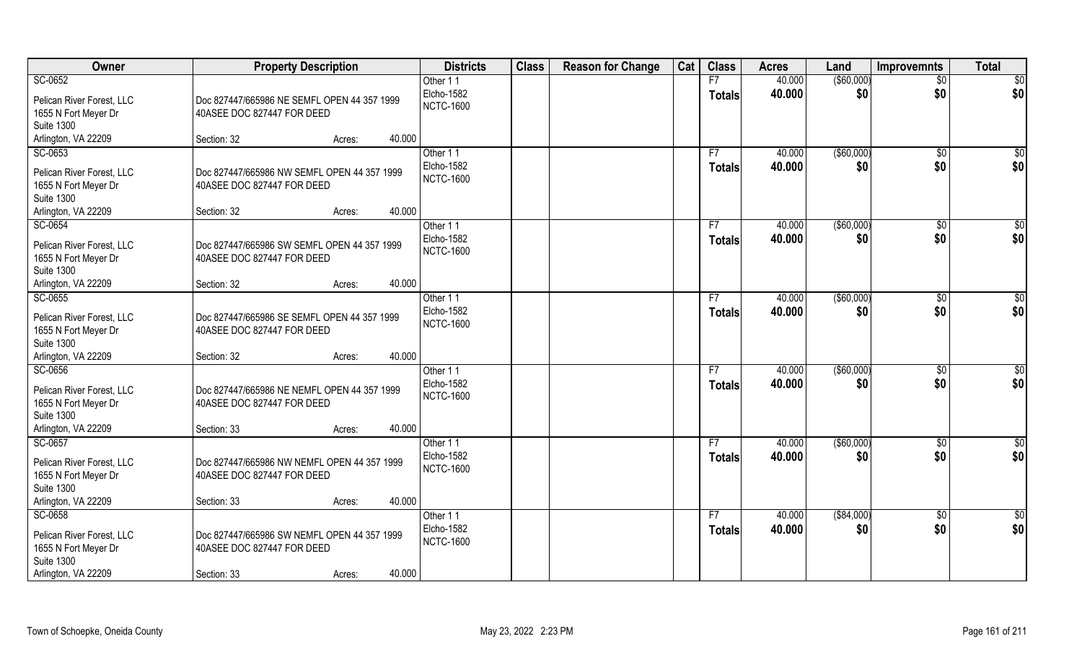| Owner                                                                                                    | <b>Property Description</b>                                                              |                  | <b>Districts</b>                           | <b>Class</b> | <b>Reason for Change</b> | Cat | <b>Class</b>        | <b>Acres</b>     | Land               | Improvemnts           | <b>Total</b>         |
|----------------------------------------------------------------------------------------------------------|------------------------------------------------------------------------------------------|------------------|--------------------------------------------|--------------|--------------------------|-----|---------------------|------------------|--------------------|-----------------------|----------------------|
| SC-0652                                                                                                  |                                                                                          |                  | Other 11                                   |              |                          |     | F7                  | 40.000           | ( \$60,000)        | $\overline{50}$       | \$0                  |
| Pelican River Forest, LLC<br>1655 N Fort Meyer Dr                                                        | Doc 827447/665986 NE SEMFL OPEN 44 357 1999<br>40ASEE DOC 827447 FOR DEED                |                  | Elcho-1582<br><b>NCTC-1600</b>             |              |                          |     | <b>Totals</b>       | 40.000           | \$0                | \$0                   | \$0                  |
| <b>Suite 1300</b>                                                                                        |                                                                                          |                  |                                            |              |                          |     |                     |                  |                    |                       |                      |
| Arlington, VA 22209                                                                                      | Section: 32                                                                              | 40.000<br>Acres: |                                            |              |                          |     |                     |                  |                    |                       |                      |
| SC-0653                                                                                                  |                                                                                          |                  | Other 11                                   |              |                          |     | F7                  | 40.000           | ( \$60,000)        | \$0                   | \$0                  |
| Pelican River Forest, LLC<br>1655 N Fort Meyer Dr<br><b>Suite 1300</b>                                   | Doc 827447/665986 NW SEMFL OPEN 44 357 1999<br>40ASEE DOC 827447 FOR DEED                |                  | Elcho-1582<br><b>NCTC-1600</b>             |              |                          |     | <b>Totals</b>       | 40.000           | \$0                | \$0                   | \$0                  |
| Arlington, VA 22209                                                                                      | Section: 32                                                                              | 40.000<br>Acres: |                                            |              |                          |     |                     |                  |                    |                       |                      |
| SC-0654                                                                                                  |                                                                                          |                  | Other 11                                   |              |                          |     | F7                  | 40.000           | ( \$60,000)        | \$0                   | \$0                  |
| Pelican River Forest, LLC<br>1655 N Fort Meyer Dr<br><b>Suite 1300</b>                                   | Doc 827447/665986 SW SEMFL OPEN 44 357 1999<br>40ASEE DOC 827447 FOR DEED                |                  | Elcho-1582<br><b>NCTC-1600</b>             |              |                          |     | <b>Totals</b>       | 40.000           | \$0                | \$0                   | \$0                  |
| Arlington, VA 22209                                                                                      | Section: 32                                                                              | 40.000<br>Acres: |                                            |              |                          |     |                     |                  |                    |                       |                      |
| SC-0655                                                                                                  |                                                                                          |                  | Other 11                                   |              |                          |     | F7                  | 40.000           | ( \$60,000)        | $\sqrt[6]{3}$         | \$0                  |
| Pelican River Forest, LLC<br>1655 N Fort Meyer Dr<br><b>Suite 1300</b>                                   | Doc 827447/665986 SE SEMFL OPEN 44 357 1999<br>40ASEE DOC 827447 FOR DEED                |                  | Elcho-1582<br><b>NCTC-1600</b>             |              |                          |     | <b>Totals</b>       | 40.000           | \$0                | \$0                   | \$0                  |
| Arlington, VA 22209                                                                                      | Section: 32                                                                              | 40.000<br>Acres: |                                            |              |                          |     |                     |                  |                    |                       |                      |
| SC-0656<br>Pelican River Forest, LLC<br>1655 N Fort Meyer Dr<br><b>Suite 1300</b>                        | Doc 827447/665986 NE NEMFL OPEN 44 357 1999<br>40ASEE DOC 827447 FOR DEED                |                  | Other 11<br>Elcho-1582<br><b>NCTC-1600</b> |              |                          |     | F7<br><b>Totals</b> | 40.000<br>40.000 | ( \$60,000)<br>\$0 | $\sqrt[6]{30}$<br>\$0 | \$0<br>\$0           |
| Arlington, VA 22209                                                                                      | Section: 33                                                                              | 40.000<br>Acres: |                                            |              |                          |     |                     |                  |                    |                       |                      |
| SC-0657<br>Pelican River Forest, LLC<br>1655 N Fort Meyer Dr<br><b>Suite 1300</b>                        | Doc 827447/665986 NW NEMFL OPEN 44 357 1999<br>40ASEE DOC 827447 FOR DEED                |                  | Other 11<br>Elcho-1582<br><b>NCTC-1600</b> |              |                          |     | F7<br><b>Totals</b> | 40.000<br>40.000 | ( \$60,000)<br>\$0 | \$0<br>\$0            | $\frac{6}{3}$<br>\$0 |
| Arlington, VA 22209                                                                                      | Section: 33                                                                              | 40.000<br>Acres: |                                            |              |                          |     |                     |                  |                    |                       |                      |
| SC-0658<br>Pelican River Forest, LLC<br>1655 N Fort Meyer Dr<br><b>Suite 1300</b><br>Arlington, VA 22209 | Doc 827447/665986 SW NEMFL OPEN 44 357 1999<br>40ASEE DOC 827447 FOR DEED<br>Section: 33 | 40.000<br>Acres: | Other 11<br>Elcho-1582<br><b>NCTC-1600</b> |              |                          |     | F7<br><b>Totals</b> | 40.000<br>40.000 | ( \$84,000)<br>\$0 | $\sqrt{$0}$<br>\$0    | \$0<br>\$0           |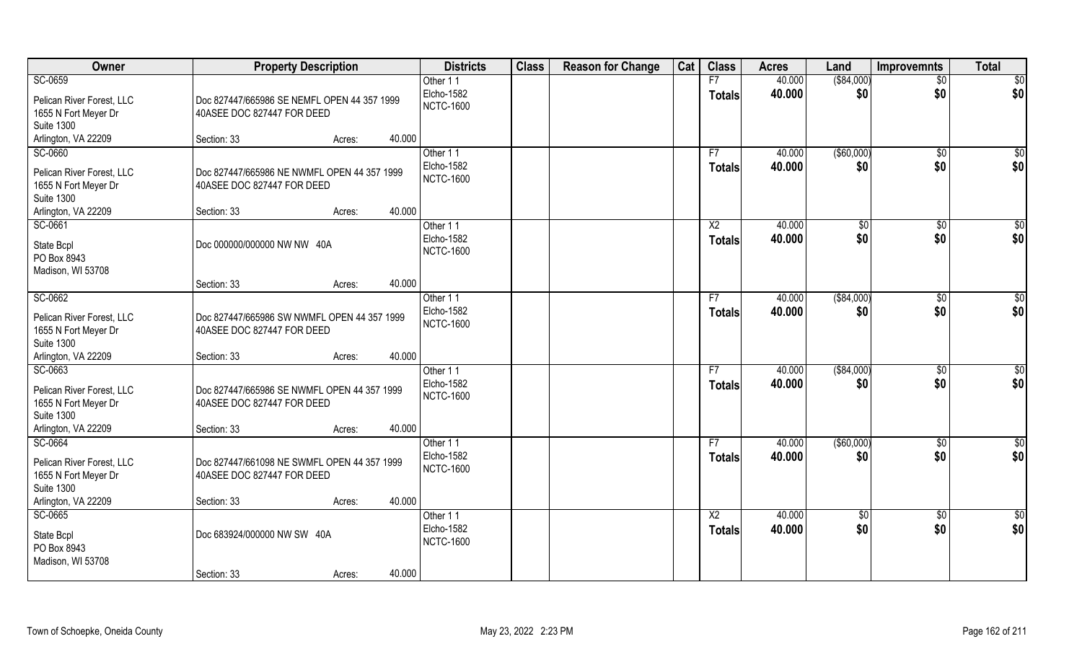| Owner                                                                                                    | <b>Property Description</b>                                                                                  | <b>Districts</b>                           | <b>Class</b> | <b>Reason for Change</b> | Cat | <b>Class</b>                     | <b>Acres</b>     | Land                 | <b>Improvemnts</b>    | <b>Total</b>           |
|----------------------------------------------------------------------------------------------------------|--------------------------------------------------------------------------------------------------------------|--------------------------------------------|--------------|--------------------------|-----|----------------------------------|------------------|----------------------|-----------------------|------------------------|
| SC-0659                                                                                                  |                                                                                                              | Other 11                                   |              |                          |     | F7                               | 40.000           | ( \$84,000)          | $\sqrt{$0}$           | \$0                    |
| Pelican River Forest, LLC<br>1655 N Fort Meyer Dr<br><b>Suite 1300</b>                                   | Doc 827447/665986 SE NEMFL OPEN 44 357 1999<br>40ASEE DOC 827447 FOR DEED                                    | Elcho-1582<br><b>NCTC-1600</b>             |              |                          |     | <b>Totals</b>                    | 40.000           | \$0                  | \$0                   | \$0                    |
| Arlington, VA 22209                                                                                      | 40.000<br>Section: 33<br>Acres:                                                                              |                                            |              |                          |     |                                  |                  |                      |                       |                        |
| SC-0660                                                                                                  |                                                                                                              | Other 11                                   |              |                          |     | F7                               | 40.000           | (\$60,000)           | $\sqrt{$0}$           | $\sqrt{50}$            |
| Pelican River Forest, LLC<br>1655 N Fort Meyer Dr<br><b>Suite 1300</b>                                   | Doc 827447/665986 NE NWMFL OPEN 44 357 1999<br>40ASEE DOC 827447 FOR DEED                                    | Elcho-1582<br><b>NCTC-1600</b>             |              |                          |     | <b>Totals</b>                    | 40.000           | \$0                  | \$0                   | \$0                    |
| Arlington, VA 22209                                                                                      | 40.000<br>Section: 33<br>Acres:                                                                              |                                            |              |                          |     |                                  |                  |                      |                       |                        |
| SC-0661<br>State Bcpl<br>PO Box 8943<br>Madison, WI 53708                                                | Doc 000000/000000 NW NW 40A                                                                                  | Other 11<br>Elcho-1582<br><b>NCTC-1600</b> |              |                          |     | X2<br><b>Totals</b>              | 40.000<br>40.000 | $\sqrt[6]{2}$<br>\$0 | $\sqrt[6]{3}$<br>\$0  | \$0<br>\$0             |
|                                                                                                          | 40.000<br>Section: 33<br>Acres:                                                                              |                                            |              |                          |     |                                  |                  |                      |                       |                        |
| SC-0662                                                                                                  |                                                                                                              | Other 11                                   |              |                          |     | F7                               | 40.000           | ( \$84,000)          | $\sqrt[6]{3}$         | \$0                    |
| Pelican River Forest, LLC<br>1655 N Fort Meyer Dr<br><b>Suite 1300</b>                                   | Doc 827447/665986 SW NWMFL OPEN 44 357 1999<br>40ASEE DOC 827447 FOR DEED                                    | Elcho-1582<br><b>NCTC-1600</b>             |              |                          |     | <b>Totals</b>                    | 40.000           | \$0                  | \$0                   | \$0                    |
| Arlington, VA 22209                                                                                      | 40.000<br>Section: 33<br>Acres:                                                                              |                                            |              |                          |     |                                  |                  |                      |                       |                        |
| SC-0663<br>Pelican River Forest, LLC<br>1655 N Fort Meyer Dr<br><b>Suite 1300</b><br>Arlington, VA 22209 | Doc 827447/665986 SE NWMFL OPEN 44 357 1999<br>40ASEE DOC 827447 FOR DEED<br>40.000<br>Section: 33<br>Acres: | Other 11<br>Elcho-1582<br><b>NCTC-1600</b> |              |                          |     | F7<br>Totals                     | 40.000<br>40.000 | ( \$84,000)<br>\$0   | $\sqrt[6]{30}$<br>\$0 | $\overline{50}$<br>\$0 |
| SC-0664                                                                                                  |                                                                                                              | Other 11                                   |              |                          |     | F7                               | 40.000           | ( \$60,000)          | $\sqrt{$0}$           | $\frac{6}{3}$          |
| Pelican River Forest, LLC<br>1655 N Fort Meyer Dr<br><b>Suite 1300</b>                                   | Doc 827447/661098 NE SWMFL OPEN 44 357 1999<br>40ASEE DOC 827447 FOR DEED                                    | Elcho-1582<br><b>NCTC-1600</b>             |              |                          |     | <b>Totals</b>                    | 40.000           | \$0                  | \$0                   | \$0                    |
| Arlington, VA 22209                                                                                      | Section: 33<br>40.000<br>Acres:                                                                              |                                            |              |                          |     |                                  |                  |                      |                       |                        |
| SC-0665<br>State Bcpl<br>PO Box 8943<br>Madison, WI 53708                                                | Doc 683924/000000 NW SW 40A<br>40.000<br>Section: 33<br>Acres:                                               | Other 11<br>Elcho-1582<br><b>NCTC-1600</b> |              |                          |     | $\overline{X2}$<br><b>Totals</b> | 40.000<br>40.000 | $\sqrt{6}$<br>\$0    | $\sqrt{$0}$<br>\$0    | $\overline{50}$<br>\$0 |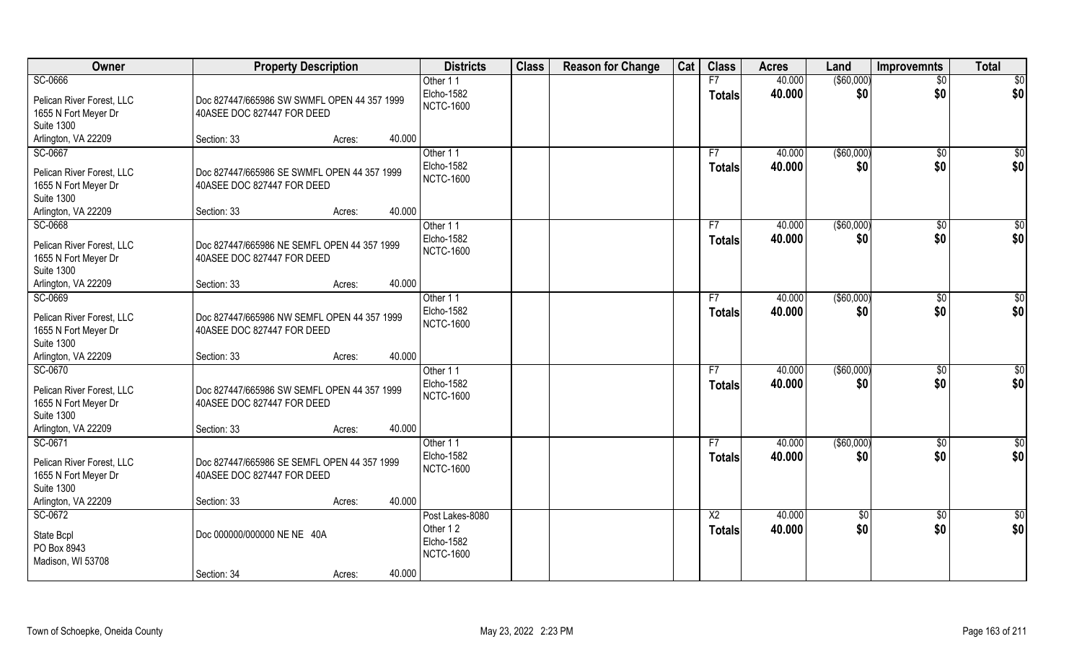| Owner                                                                                                    | <b>Property Description</b>                                                              |                  | <b>Districts</b>                                              | <b>Class</b> | <b>Reason for Change</b> | Cat | <b>Class</b>                     | <b>Acres</b>     | Land              | <b>Improvemnts</b>     | <b>Total</b>           |
|----------------------------------------------------------------------------------------------------------|------------------------------------------------------------------------------------------|------------------|---------------------------------------------------------------|--------------|--------------------------|-----|----------------------------------|------------------|-------------------|------------------------|------------------------|
| SC-0666                                                                                                  |                                                                                          |                  | Other 11                                                      |              |                          |     | F7                               | 40.000           | ( \$60,000)       | $\overline{50}$        | \$0                    |
| Pelican River Forest, LLC<br>1655 N Fort Meyer Dr                                                        | Doc 827447/665986 SW SWMFL OPEN 44 357 1999<br>40ASEE DOC 827447 FOR DEED                |                  | Elcho-1582<br><b>NCTC-1600</b>                                |              |                          |     | <b>Totals</b>                    | 40.000           | \$0               | \$0                    | \$0                    |
| <b>Suite 1300</b>                                                                                        |                                                                                          |                  |                                                               |              |                          |     |                                  |                  |                   |                        |                        |
| Arlington, VA 22209                                                                                      | Section: 33                                                                              | 40.000<br>Acres: |                                                               |              |                          |     |                                  |                  |                   |                        |                        |
| SC-0667                                                                                                  |                                                                                          |                  | Other 11                                                      |              |                          |     | F7                               | 40.000           | ( \$60,000)       | \$0                    | $\sqrt{50}$            |
| Pelican River Forest, LLC<br>1655 N Fort Meyer Dr<br><b>Suite 1300</b>                                   | Doc 827447/665986 SE SWMFL OPEN 44 357 1999<br>40ASEE DOC 827447 FOR DEED                |                  | Elcho-1582<br><b>NCTC-1600</b>                                |              |                          |     | <b>Totals</b>                    | 40.000           | \$0               | \$0                    | \$0                    |
| Arlington, VA 22209                                                                                      | Section: 33                                                                              | 40.000<br>Acres: |                                                               |              |                          |     |                                  |                  |                   |                        |                        |
| SC-0668                                                                                                  |                                                                                          |                  | Other 11                                                      |              |                          |     | F7                               | 40.000           | ( \$60,000)       | $\sqrt{6}$             | \$0                    |
| Pelican River Forest, LLC<br>1655 N Fort Meyer Dr<br><b>Suite 1300</b>                                   | Doc 827447/665986 NE SEMFL OPEN 44 357 1999<br>40ASEE DOC 827447 FOR DEED                |                  | Elcho-1582<br><b>NCTC-1600</b>                                |              |                          |     | <b>Totals</b>                    | 40.000           | \$0               | \$0                    | \$0                    |
| Arlington, VA 22209                                                                                      | Section: 33                                                                              | 40.000<br>Acres: |                                                               |              |                          |     |                                  |                  |                   |                        |                        |
| SC-0669                                                                                                  |                                                                                          |                  | Other 11                                                      |              |                          |     | F7                               | 40.000           | $($ \$60,000)     | \$0                    | \$0                    |
| Pelican River Forest, LLC<br>1655 N Fort Meyer Dr<br><b>Suite 1300</b>                                   | Doc 827447/665986 NW SEMFL OPEN 44 357 1999<br>40ASEE DOC 827447 FOR DEED                |                  | Elcho-1582<br><b>NCTC-1600</b>                                |              |                          |     | <b>Totals</b>                    | 40.000           | \$0               | \$0                    | \$0                    |
| Arlington, VA 22209                                                                                      | Section: 33                                                                              | 40.000<br>Acres: |                                                               |              |                          |     |                                  |                  |                   |                        |                        |
| SC-0670<br>Pelican River Forest, LLC<br>1655 N Fort Meyer Dr<br><b>Suite 1300</b><br>Arlington, VA 22209 | Doc 827447/665986 SW SEMFL OPEN 44 357 1999<br>40ASEE DOC 827447 FOR DEED<br>Section: 33 | 40.000<br>Acres: | Other 11<br>Elcho-1582<br><b>NCTC-1600</b>                    |              |                          |     | F7<br><b>Totals</b>              | 40.000<br>40.000 | (\$60,000)<br>\$0 | $\overline{50}$<br>\$0 | \$0<br>\$0             |
| SC-0671                                                                                                  |                                                                                          |                  | Other 11                                                      |              |                          |     | F7                               | 40.000           | (\$60,000)        | \$0                    | \$0                    |
| Pelican River Forest, LLC<br>1655 N Fort Meyer Dr<br><b>Suite 1300</b>                                   | Doc 827447/665986 SE SEMFL OPEN 44 357 1999<br>40ASEE DOC 827447 FOR DEED                |                  | Elcho-1582<br><b>NCTC-1600</b>                                |              |                          |     | <b>Totals</b>                    | 40.000           | \$0               | \$0                    | \$0                    |
| Arlington, VA 22209                                                                                      | Section: 33                                                                              | 40.000<br>Acres: |                                                               |              |                          |     |                                  |                  |                   |                        |                        |
| SC-0672<br>State Bcpl<br>PO Box 8943<br>Madison, WI 53708                                                | Doc 000000/000000 NE NE 40A<br>Section: 34                                               | 40.000<br>Acres: | Post Lakes-8080<br>Other 12<br>Elcho-1582<br><b>NCTC-1600</b> |              |                          |     | $\overline{X2}$<br><b>Totals</b> | 40.000<br>40.000 | $\sqrt{6}$<br>\$0 | $\sqrt{$0}$<br>\$0     | $\overline{50}$<br>\$0 |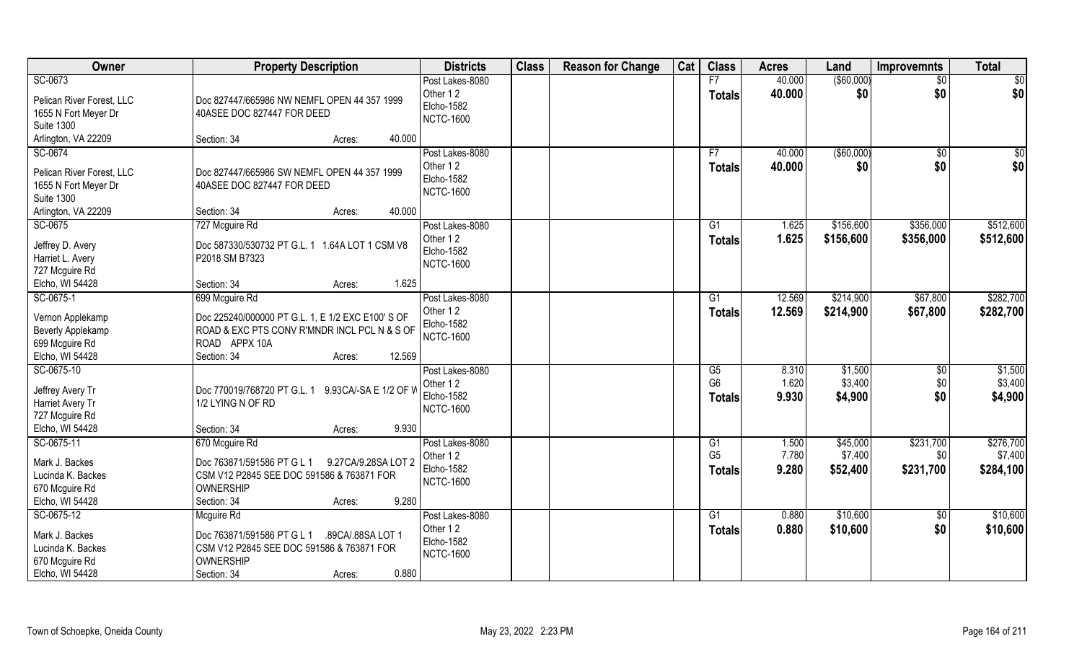| Owner                                                                                                    | <b>Property Description</b>                                                                                                                           | <b>Districts</b>                                                     | <b>Class</b> | <b>Reason for Change</b> | Cat | <b>Class</b>                          | <b>Acres</b>            | Land                          | <b>Improvemnts</b>     | <b>Total</b>                  |
|----------------------------------------------------------------------------------------------------------|-------------------------------------------------------------------------------------------------------------------------------------------------------|----------------------------------------------------------------------|--------------|--------------------------|-----|---------------------------------------|-------------------------|-------------------------------|------------------------|-------------------------------|
| SC-0673<br>Pelican River Forest, LLC<br>1655 N Fort Meyer Dr<br><b>Suite 1300</b>                        | Doc 827447/665986 NW NEMFL OPEN 44 357 1999<br>40ASEE DOC 827447 FOR DEED                                                                             | Post Lakes-8080<br>Other 12<br>Elcho-1582<br><b>NCTC-1600</b>        |              |                          |     | F7<br><b>Totals</b>                   | 40.000<br>40.000        | ( \$60,000)<br>\$0            | $\overline{50}$<br>\$0 | \$0<br>\$0                    |
| Arlington, VA 22209                                                                                      | 40.000<br>Section: 34<br>Acres:                                                                                                                       |                                                                      |              |                          |     |                                       |                         |                               |                        |                               |
| SC-0674<br>Pelican River Forest, LLC<br>1655 N Fort Meyer Dr<br><b>Suite 1300</b><br>Arlington, VA 22209 | Doc 827447/665986 SW NEMFL OPEN 44 357 1999<br>40ASEE DOC 827447 FOR DEED<br>40.000<br>Section: 34<br>Acres:                                          | Post Lakes-8080<br>Other 12<br>Elcho-1582<br><b>NCTC-1600</b>        |              |                          |     | F7<br><b>Totals</b>                   | 40,000<br>40.000        | (\$60,000)<br>\$0             | $\overline{50}$<br>\$0 | $\frac{1}{6}$<br>\$0          |
| SC-0675                                                                                                  | 727 Mcguire Rd                                                                                                                                        | Post Lakes-8080                                                      |              |                          |     | G <sub>1</sub>                        | 1.625                   | \$156,600                     | \$356,000              | \$512,600                     |
| Jeffrey D. Avery<br>Harriet L. Avery<br>727 Mcguire Rd<br>Elcho, WI 54428                                | Doc 587330/530732 PT G.L. 1 1.64A LOT 1 CSM V8<br>P2018 SM B7323<br>1.625<br>Section: 34<br>Acres:                                                    | Other 12<br><b>Elcho-1582</b><br><b>NCTC-1600</b>                    |              |                          |     | <b>Totals</b>                         | 1.625                   | \$156,600                     | \$356,000              | \$512,600                     |
| SC-0675-1                                                                                                | 699 Mcguire Rd                                                                                                                                        | Post Lakes-8080                                                      |              |                          |     | G1                                    | 12.569                  | \$214,900                     | \$67,800               | \$282,700                     |
| Vernon Applekamp<br>Beverly Applekamp<br>699 Mcguire Rd<br>Elcho, WI 54428                               | Doc 225240/000000 PT G.L. 1, E 1/2 EXC E100' S OF<br>ROAD & EXC PTS CONV R'MNDR INCL PCL N & S OF<br>ROAD APPX 10A<br>Section: 34<br>12.569<br>Acres: | Other 12<br>Elcho-1582<br><b>NCTC-1600</b>                           |              |                          |     | <b>Totals</b>                         | 12.569                  | \$214,900                     | \$67,800               | \$282,700                     |
| SC-0675-10<br>Jeffrey Avery Tr<br>Harriet Avery Tr<br>727 Mcguire Rd<br>Elcho, WI 54428                  | Doc 770019/768720 PT G.L. 1<br>9.93CA/-SA E 1/2 OF W<br>1/2 LYING N OF RD<br>9.930<br>Section: 34<br>Acres:                                           | Post Lakes-8080<br>Other 12<br><b>Elcho-1582</b><br><b>NCTC-1600</b> |              |                          |     | G5<br>G <sub>6</sub><br><b>Totals</b> | 8.310<br>1.620<br>9.930 | \$1,500<br>\$3,400<br>\$4,900 | \$0<br>\$0<br>\$0      | \$1,500<br>\$3,400<br>\$4,900 |
| SC-0675-11                                                                                               | 670 Mcguire Rd                                                                                                                                        | Post Lakes-8080                                                      |              |                          |     | G1                                    | 1.500                   | \$45,000                      | \$231,700              | \$276,700                     |
| Mark J. Backes<br>Lucinda K. Backes<br>670 Mcguire Rd<br>Elcho, WI 54428                                 | Doc 763871/591586 PT G L 1<br>9.27CA/9.28SA LOT 2<br>CSM V12 P2845 SEE DOC 591586 & 763871 FOR<br>OWNERSHIP<br>9.280<br>Section: 34<br>Acres:         | Other 12<br><b>Elcho-1582</b><br><b>NCTC-1600</b>                    |              |                          |     | G <sub>5</sub><br><b>Totals</b>       | 7.780<br>9.280          | \$7,400<br>\$52,400           | \$0<br>\$231,700       | \$7,400<br>\$284,100          |
| SC-0675-12<br>Mark J. Backes<br>Lucinda K. Backes<br>670 Mcguire Rd<br>Elcho, WI 54428                   | Mcguire Rd<br>Doc 763871/591586 PT G L 1<br>.89CA/.88SA LOT 1<br>CSM V12 P2845 SEE DOC 591586 & 763871 FOR<br>OWNERSHIP<br>0.880<br>Section: 34       | Post Lakes-8080<br>Other 12<br>Elcho-1582<br><b>NCTC-1600</b>        |              |                          |     | G1<br><b>Totals</b>                   | 0.880<br>0.880          | \$10,600<br>\$10,600          | \$0<br>\$0             | \$10,600<br>\$10,600          |
|                                                                                                          | Acres:                                                                                                                                                |                                                                      |              |                          |     |                                       |                         |                               |                        |                               |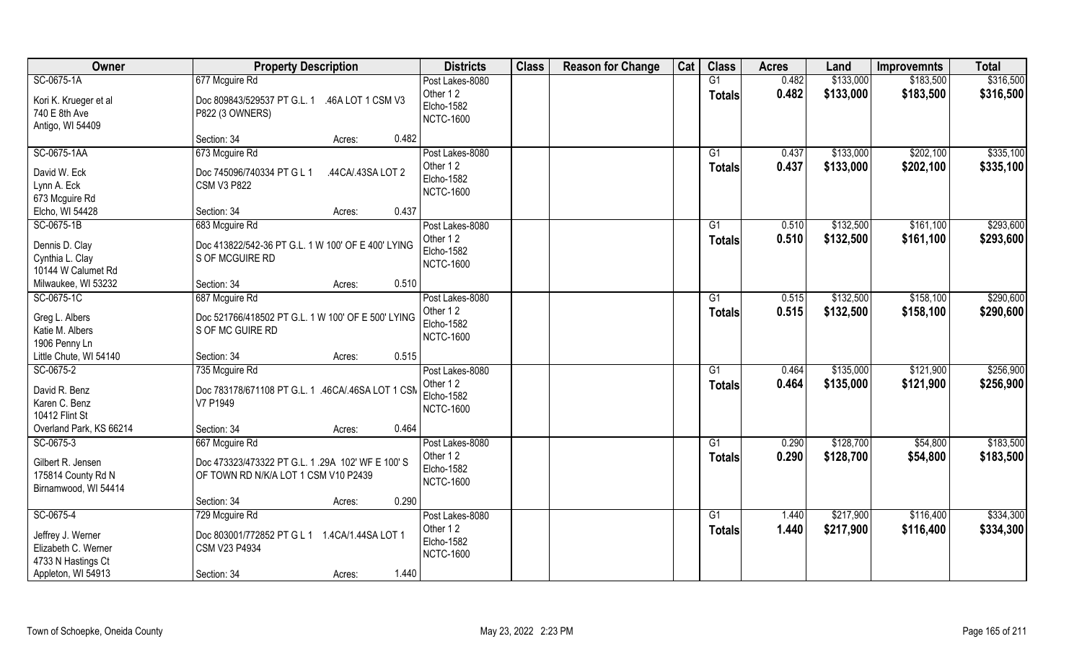| Owner                                                           | <b>Property Description</b>                                                              | <b>Districts</b>                                                     | <b>Class</b> | <b>Reason for Change</b> | Cat | <b>Class</b>                     | <b>Acres</b>   | Land                   | <b>Improvemnts</b>     | <b>Total</b>           |
|-----------------------------------------------------------------|------------------------------------------------------------------------------------------|----------------------------------------------------------------------|--------------|--------------------------|-----|----------------------------------|----------------|------------------------|------------------------|------------------------|
| SC-0675-1A                                                      | 677 Mcguire Rd                                                                           | Post Lakes-8080                                                      |              |                          |     | G1                               | 0.482          | \$133,000              | \$183,500              | \$316,500              |
| Kori K. Krueger et al<br>740 E 8th Ave<br>Antigo, WI 54409      | Doc 809843/529537 PT G.L. 1 .46A LOT 1 CSM V3<br>P822 (3 OWNERS)                         | Other 12<br><b>Elcho-1582</b><br><b>NCTC-1600</b>                    |              |                          |     | <b>Totals</b>                    | 0.482          | \$133,000              | \$183,500              | \$316,500              |
|                                                                 | Section: 34<br>0.482<br>Acres:                                                           |                                                                      |              |                          |     |                                  |                |                        |                        |                        |
| SC-0675-1AA                                                     | 673 Mcguire Rd                                                                           | Post Lakes-8080<br>Other 12                                          |              |                          |     | $\overline{G1}$<br><b>Totals</b> | 0.437<br>0.437 | \$133,000<br>\$133,000 | \$202,100<br>\$202,100 | \$335,100<br>\$335,100 |
| David W. Eck<br>Lynn A. Eck<br>673 Mcguire Rd                   | Doc 745096/740334 PT G L 1<br>.44CA/.43SA LOT 2<br><b>CSM V3 P822</b>                    | <b>Elcho-1582</b><br><b>NCTC-1600</b>                                |              |                          |     |                                  |                |                        |                        |                        |
| Elcho, WI 54428                                                 | Section: 34<br>0.437<br>Acres:                                                           |                                                                      |              |                          |     |                                  |                |                        |                        |                        |
| SC-0675-1B                                                      | 683 Mcguire Rd                                                                           | Post Lakes-8080                                                      |              |                          |     | G1                               | 0.510          | \$132,500              | \$161,100              | \$293,600              |
| Dennis D. Clay<br>Cynthia L. Clay<br>10144 W Calumet Rd         | Doc 413822/542-36 PT G.L. 1 W 100' OF E 400' LYING<br>S OF MCGUIRE RD                    | Other 12<br><b>Elcho-1582</b><br><b>NCTC-1600</b>                    |              |                          |     | <b>Totals</b>                    | 0.510          | \$132,500              | \$161,100              | \$293,600              |
| Milwaukee, WI 53232                                             | 0.510<br>Section: 34<br>Acres:                                                           |                                                                      |              |                          |     |                                  |                |                        |                        |                        |
| SC-0675-1C                                                      | 687 Mcguire Rd                                                                           | Post Lakes-8080                                                      |              |                          |     | G1                               | 0.515          | \$132,500              | \$158,100              | \$290,600              |
| Greg L. Albers<br>Katie M. Albers<br>1906 Penny Ln              | Doc 521766/418502 PT G.L. 1 W 100' OF E 500' LYING<br>S OF MC GUIRE RD                   | Other 12<br><b>Elcho-1582</b><br><b>NCTC-1600</b>                    |              |                          |     | Totals                           | 0.515          | \$132,500              | \$158,100              | \$290,600              |
| Little Chute, WI 54140                                          | 0.515<br>Section: 34<br>Acres:                                                           |                                                                      |              |                          |     |                                  |                |                        |                        |                        |
| SC-0675-2<br>David R. Benz<br>Karen C. Benz<br>10412 Flint St   | 735 Mcguire Rd<br>Doc 783178/671108 PT G.L. 1 .46CA/.46SA LOT 1 CSM<br>V7 P1949          | Post Lakes-8080<br>Other 12<br><b>Elcho-1582</b><br><b>NCTC-1600</b> |              |                          |     | $\overline{G1}$<br>Totals        | 0.464<br>0.464 | \$135,000<br>\$135,000 | \$121,900<br>\$121,900 | \$256,900<br>\$256,900 |
| Overland Park, KS 66214                                         | 0.464<br>Section: 34<br>Acres:                                                           |                                                                      |              |                          |     |                                  |                |                        |                        |                        |
| SC-0675-3                                                       | 667 Mcguire Rd                                                                           | Post Lakes-8080                                                      |              |                          |     | G1                               | 0.290          | \$128,700              | \$54,800               | \$183,500              |
| Gilbert R. Jensen<br>175814 County Rd N<br>Birnamwood, WI 54414 | Doc 473323/473322 PT G.L. 1.29A 102' WF E 100' S<br>OF TOWN RD N/K/A LOT 1 CSM V10 P2439 | Other 12<br>Elcho-1582<br><b>NCTC-1600</b>                           |              |                          |     | <b>Totals</b>                    | 0.290          | \$128,700              | \$54,800               | \$183,500              |
|                                                                 | 0.290<br>Section: 34<br>Acres:                                                           |                                                                      |              |                          |     |                                  |                |                        |                        |                        |
| SC-0675-4                                                       | 729 Mcguire Rd                                                                           | Post Lakes-8080                                                      |              |                          |     | G1                               | 1.440          | \$217,900              | \$116,400              | \$334,300              |
| Jeffrey J. Werner<br>Elizabeth C. Werner<br>4733 N Hastings Ct  | Doc 803001/772852 PT G L 1 1.4CA/1.44SA LOT 1<br>CSM V23 P4934                           | Other 12<br>Elcho-1582<br><b>NCTC-1600</b>                           |              |                          |     | Totals                           | 1.440          | \$217,900              | \$116,400              | \$334,300              |
| Appleton, WI 54913                                              | Section: 34<br>1.440<br>Acres:                                                           |                                                                      |              |                          |     |                                  |                |                        |                        |                        |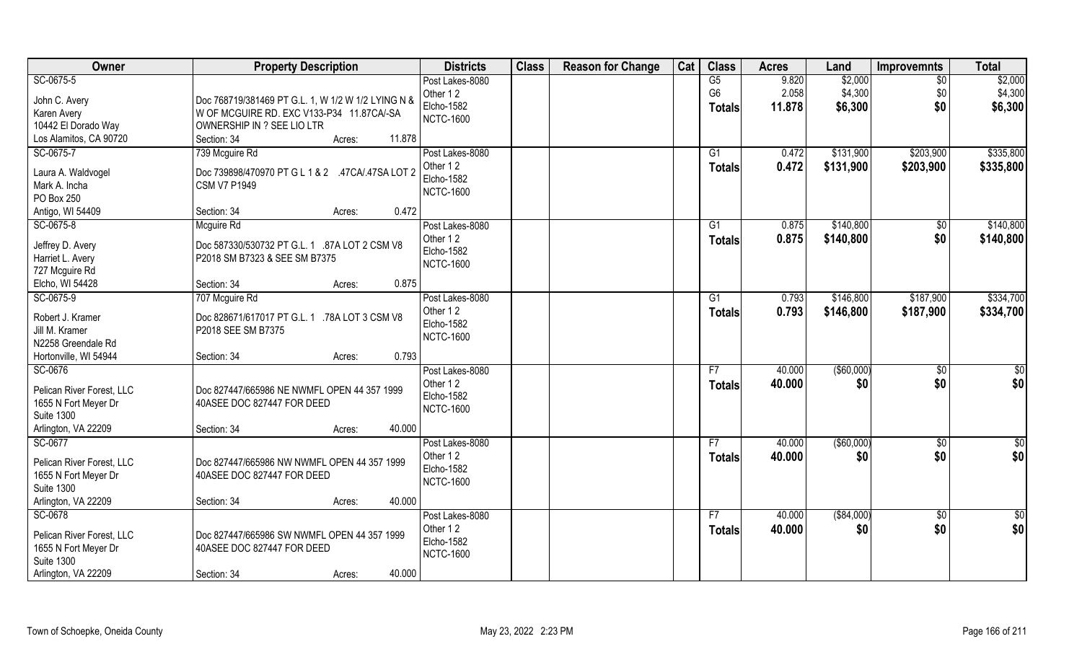| Owner                     | <b>Property Description</b>                        | <b>Districts</b>               | <b>Class</b> | <b>Reason for Change</b> | Cat | <b>Class</b>    | <b>Acres</b> | Land          | Improvemnts     | <b>Total</b>    |
|---------------------------|----------------------------------------------------|--------------------------------|--------------|--------------------------|-----|-----------------|--------------|---------------|-----------------|-----------------|
| SC-0675-5                 |                                                    | Post Lakes-8080                |              |                          |     | G5              | 9.820        | \$2,000       | $\overline{50}$ | \$2,000         |
| John C. Avery             | Doc 768719/381469 PT G.L. 1, W 1/2 W 1/2 LYING N & | Other 12                       |              |                          |     | G <sub>6</sub>  | 2.058        | \$4,300       | \$0             | \$4,300         |
| Karen Avery               | W OF MCGUIRE RD. EXC V133-P34 11.87CA/-SA          | <b>Elcho-1582</b>              |              |                          |     | <b>Totals</b>   | 11.878       | \$6,300       | \$0             | \$6,300         |
| 10442 El Dorado Way       | OWNERSHIP IN ? SEE LIO LTR                         | <b>NCTC-1600</b>               |              |                          |     |                 |              |               |                 |                 |
| Los Alamitos, CA 90720    | Section: 34<br>11.878<br>Acres:                    |                                |              |                          |     |                 |              |               |                 |                 |
| SC-0675-7                 | 739 Mcguire Rd                                     | Post Lakes-8080                |              |                          |     | $\overline{G1}$ | 0.472        | \$131,900     | \$203,900       | \$335,800       |
|                           |                                                    | Other 12                       |              |                          |     | <b>Totals</b>   | 0.472        | \$131,900     | \$203,900       | \$335,800       |
| Laura A. Waldvogel        | Doc 739898/470970 PT G L 1 & 2 .47CA/.47SA LOT 2   | Elcho-1582                     |              |                          |     |                 |              |               |                 |                 |
| Mark A. Incha             | <b>CSM V7 P1949</b>                                | <b>NCTC-1600</b>               |              |                          |     |                 |              |               |                 |                 |
| PO Box 250                | 0.472                                              |                                |              |                          |     |                 |              |               |                 |                 |
| Antigo, WI 54409          | Section: 34<br>Acres:                              |                                |              |                          |     |                 |              |               |                 |                 |
| SC-0675-8                 | Mcguire Rd                                         | Post Lakes-8080                |              |                          |     | G1              | 0.875        | \$140,800     | \$0             | \$140,800       |
| Jeffrey D. Avery          | Doc 587330/530732 PT G.L. 1 .87A LOT 2 CSM V8      | Other 12                       |              |                          |     | <b>Totals</b>   | 0.875        | \$140,800     | \$0             | \$140,800       |
| Harriet L. Avery          | P2018 SM B7323 & SEE SM B7375                      | Elcho-1582<br><b>NCTC-1600</b> |              |                          |     |                 |              |               |                 |                 |
| 727 Mcguire Rd            |                                                    |                                |              |                          |     |                 |              |               |                 |                 |
| Elcho, WI 54428           | 0.875<br>Section: 34<br>Acres:                     |                                |              |                          |     |                 |              |               |                 |                 |
| SC-0675-9                 | 707 Mcguire Rd                                     | Post Lakes-8080                |              |                          |     | G1              | 0.793        | \$146,800     | \$187,900       | \$334,700       |
| Robert J. Kramer          | Doc 828671/617017 PT G.L. 1 .78A LOT 3 CSM V8      | Other 12                       |              |                          |     | <b>Totals</b>   | 0.793        | \$146,800     | \$187,900       | \$334,700       |
| Jill M. Kramer            | P2018 SEE SM B7375                                 | Elcho-1582                     |              |                          |     |                 |              |               |                 |                 |
| N2258 Greendale Rd        |                                                    | <b>NCTC-1600</b>               |              |                          |     |                 |              |               |                 |                 |
| Hortonville, WI 54944     | 0.793<br>Section: 34<br>Acres:                     |                                |              |                          |     |                 |              |               |                 |                 |
| SC-0676                   |                                                    | Post Lakes-8080                |              |                          |     | F7              | 40.000       | $($ \$60,000) | $\overline{50}$ | \$0             |
|                           |                                                    | Other 12                       |              |                          |     | <b>Totals</b>   | 40.000       | \$0           | \$0             | \$0             |
| Pelican River Forest, LLC | Doc 827447/665986 NE NWMFL OPEN 44 357 1999        | Elcho-1582                     |              |                          |     |                 |              |               |                 |                 |
| 1655 N Fort Meyer Dr      | 40ASEE DOC 827447 FOR DEED                         | <b>NCTC-1600</b>               |              |                          |     |                 |              |               |                 |                 |
| <b>Suite 1300</b>         |                                                    |                                |              |                          |     |                 |              |               |                 |                 |
| Arlington, VA 22209       | 40.000<br>Section: 34<br>Acres:                    |                                |              |                          |     |                 |              |               |                 |                 |
| SC-0677                   |                                                    | Post Lakes-8080                |              |                          |     | F7              | 40.000       | (\$60,000)    | \$0             | \$0             |
| Pelican River Forest, LLC | Doc 827447/665986 NW NWMFL OPEN 44 357 1999        | Other 12                       |              |                          |     | <b>Totals</b>   | 40.000       | \$0           | \$0             | \$0             |
| 1655 N Fort Meyer Dr      | 40ASEE DOC 827447 FOR DEED                         | Elcho-1582                     |              |                          |     |                 |              |               |                 |                 |
| <b>Suite 1300</b>         |                                                    | <b>NCTC-1600</b>               |              |                          |     |                 |              |               |                 |                 |
| Arlington, VA 22209       | 40.000<br>Section: 34<br>Acres:                    |                                |              |                          |     |                 |              |               |                 |                 |
| SC-0678                   |                                                    | Post Lakes-8080                |              |                          |     | F7              | 40.000       | ( \$84,000)   | $\sqrt{$0}$     | $\overline{50}$ |
|                           |                                                    | Other 12                       |              |                          |     | <b>Totals</b>   | 40.000       | \$0           | \$0             | \$0             |
| Pelican River Forest, LLC | Doc 827447/665986 SW NWMFL OPEN 44 357 1999        | Elcho-1582                     |              |                          |     |                 |              |               |                 |                 |
| 1655 N Fort Meyer Dr      | 40ASEE DOC 827447 FOR DEED                         | <b>NCTC-1600</b>               |              |                          |     |                 |              |               |                 |                 |
| <b>Suite 1300</b>         |                                                    |                                |              |                          |     |                 |              |               |                 |                 |
| Arlington, VA 22209       | 40.000<br>Section: 34<br>Acres:                    |                                |              |                          |     |                 |              |               |                 |                 |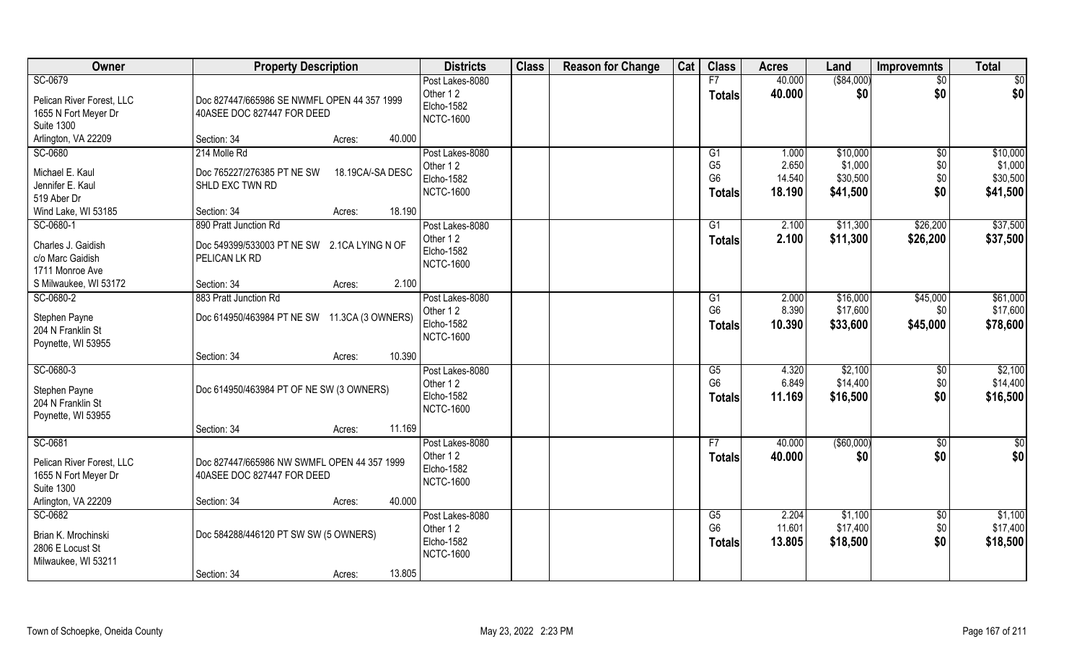| Owner                                     | <b>Property Description</b>                  |                  | <b>Districts</b>  | <b>Class</b> | <b>Reason for Change</b> | Cat | <b>Class</b>           | <b>Acres</b> | Land        | <b>Improvemnts</b> | <b>Total</b>  |
|-------------------------------------------|----------------------------------------------|------------------|-------------------|--------------|--------------------------|-----|------------------------|--------------|-------------|--------------------|---------------|
| SC-0679                                   |                                              |                  | Post Lakes-8080   |              |                          |     | F7                     | 40.000       | ( \$84,000) | $\overline{50}$    | \$0           |
| Pelican River Forest, LLC                 | Doc 827447/665986 SE NWMFL OPEN 44 357 1999  |                  | Other 12          |              |                          |     | <b>Totals</b>          | 40.000       | \$0         | \$0                | \$0           |
| 1655 N Fort Meyer Dr                      | 40ASEE DOC 827447 FOR DEED                   |                  | Elcho-1582        |              |                          |     |                        |              |             |                    |               |
| <b>Suite 1300</b>                         |                                              |                  | <b>NCTC-1600</b>  |              |                          |     |                        |              |             |                    |               |
| Arlington, VA 22209                       | Section: 34                                  | 40.000<br>Acres: |                   |              |                          |     |                        |              |             |                    |               |
| SC-0680                                   | 214 Molle Rd                                 |                  | Post Lakes-8080   |              |                          |     | G1                     | 1.000        | \$10,000    | $\overline{50}$    | \$10,000      |
| Michael E. Kaul                           | Doc 765227/276385 PT NE SW                   | 18.19CA/-SA DESC | Other 12          |              |                          |     | G <sub>5</sub>         | 2.650        | \$1,000     | \$0                | \$1,000       |
| Jennifer E. Kaul                          | SHLD EXC TWN RD                              |                  | <b>Elcho-1582</b> |              |                          |     | G <sub>6</sub>         | 14.540       | \$30,500    | \$0                | \$30,500      |
| 519 Aber Dr                               |                                              |                  | <b>NCTC-1600</b>  |              |                          |     | <b>Totals</b>          | 18.190       | \$41,500    | \$0                | \$41,500      |
| Wind Lake, WI 53185                       | Section: 34                                  | 18.190<br>Acres: |                   |              |                          |     |                        |              |             |                    |               |
| SC-0680-1                                 | 890 Pratt Junction Rd                        |                  | Post Lakes-8080   |              |                          |     | G1                     | 2.100        | \$11,300    | \$26,200           | \$37,500      |
| Charles J. Gaidish                        | Doc 549399/533003 PT NE SW 2.1CA LYING N OF  |                  | Other 12          |              |                          |     | <b>Totals</b>          | 2.100        | \$11,300    | \$26,200           | \$37,500      |
| c/o Marc Gaidish                          | <b>PELICAN LK RD</b>                         |                  | Elcho-1582        |              |                          |     |                        |              |             |                    |               |
| 1711 Monroe Ave                           |                                              |                  | <b>NCTC-1600</b>  |              |                          |     |                        |              |             |                    |               |
| S Milwaukee, WI 53172                     | Section: 34                                  | 2.100<br>Acres:  |                   |              |                          |     |                        |              |             |                    |               |
| SC-0680-2                                 | 883 Pratt Junction Rd                        |                  | Post Lakes-8080   |              |                          |     | G1                     | 2.000        | \$16,000    | \$45,000           | \$61,000      |
|                                           |                                              |                  | Other 12          |              |                          |     | G <sub>6</sub>         | 8.390        | \$17,600    | \$0                | \$17,600      |
| Stephen Payne<br>204 N Franklin St        | Doc 614950/463984 PT NE SW 11.3CA (3 OWNERS) |                  | <b>Elcho-1582</b> |              |                          |     | <b>Totals</b>          | 10.390       | \$33,600    | \$45,000           | \$78,600      |
| Poynette, WI 53955                        |                                              |                  | <b>NCTC-1600</b>  |              |                          |     |                        |              |             |                    |               |
|                                           | Section: 34                                  | 10.390<br>Acres: |                   |              |                          |     |                        |              |             |                    |               |
| SC-0680-3                                 |                                              |                  | Post Lakes-8080   |              |                          |     | $\overline{\text{G5}}$ | 4.320        | \$2,100     | \$0                | \$2,100       |
|                                           |                                              |                  | Other 12          |              |                          |     | G <sub>6</sub>         | 6.849        | \$14,400    | \$0                | \$14,400      |
| Stephen Payne<br>204 N Franklin St        | Doc 614950/463984 PT OF NE SW (3 OWNERS)     |                  | <b>Elcho-1582</b> |              |                          |     | <b>Totals</b>          | 11.169       | \$16,500    | \$0                | \$16,500      |
| Poynette, WI 53955                        |                                              |                  | <b>NCTC-1600</b>  |              |                          |     |                        |              |             |                    |               |
|                                           | Section: 34                                  | 11.169<br>Acres: |                   |              |                          |     |                        |              |             |                    |               |
| SC-0681                                   |                                              |                  | Post Lakes-8080   |              |                          |     | F7                     | 40.000       | (\$60,000)  | \$0                | $\frac{6}{3}$ |
|                                           |                                              |                  | Other 12          |              |                          |     | <b>Totals</b>          | 40.000       | \$0         | \$0                | \$0           |
| Pelican River Forest, LLC                 | Doc 827447/665986 NW SWMFL OPEN 44 357 1999  |                  | Elcho-1582        |              |                          |     |                        |              |             |                    |               |
| 1655 N Fort Meyer Dr<br><b>Suite 1300</b> | 40ASEE DOC 827447 FOR DEED                   |                  | <b>NCTC-1600</b>  |              |                          |     |                        |              |             |                    |               |
| Arlington, VA 22209                       | Section: 34                                  | 40.000<br>Acres: |                   |              |                          |     |                        |              |             |                    |               |
| SC-0682                                   |                                              |                  | Post Lakes-8080   |              |                          |     | G5                     | 2.204        | \$1,100     | $\sqrt{$0}$        | \$1,100       |
|                                           |                                              |                  | Other 12          |              |                          |     | G <sub>6</sub>         | 11.601       | \$17,400    | \$0                | \$17,400      |
| Brian K. Mrochinski                       | Doc 584288/446120 PT SW SW (5 OWNERS)        |                  | Elcho-1582        |              |                          |     | <b>Totals</b>          | 13.805       | \$18,500    | \$0                | \$18,500      |
| 2806 E Locust St                          |                                              |                  | <b>NCTC-1600</b>  |              |                          |     |                        |              |             |                    |               |
| Milwaukee, WI 53211                       | Section: 34                                  | 13.805<br>Acres: |                   |              |                          |     |                        |              |             |                    |               |
|                                           |                                              |                  |                   |              |                          |     |                        |              |             |                    |               |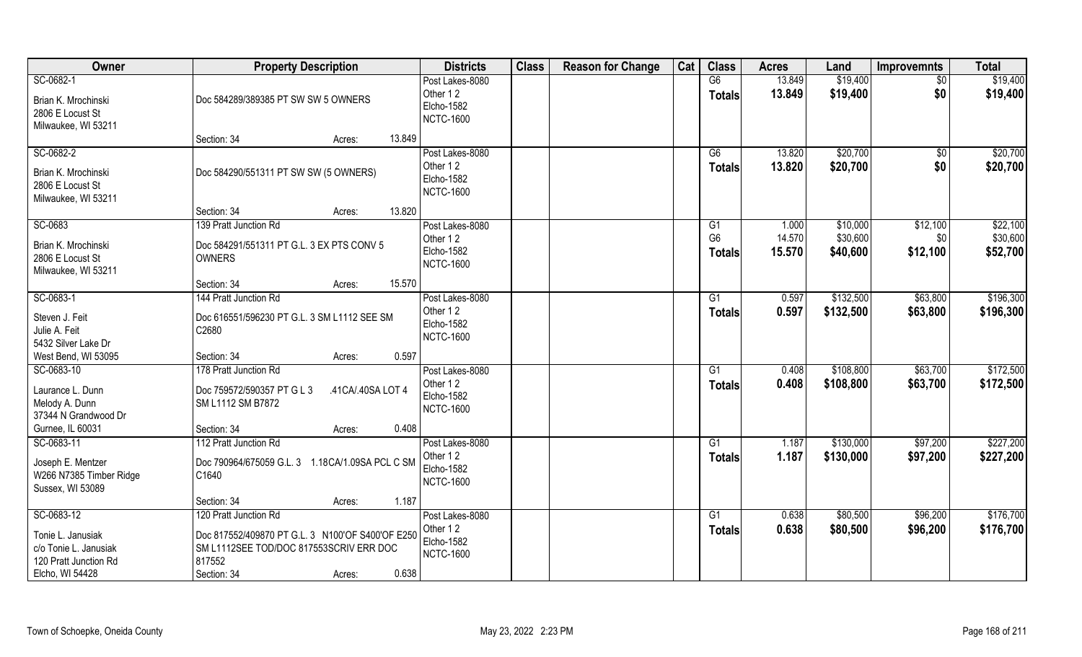| Owner                                    | <b>Property Description</b>                             | <b>Districts</b>               | <b>Class</b> | <b>Reason for Change</b> | Cat | <b>Class</b>   | <b>Acres</b>   | Land      | <b>Improvemnts</b> | <b>Total</b> |
|------------------------------------------|---------------------------------------------------------|--------------------------------|--------------|--------------------------|-----|----------------|----------------|-----------|--------------------|--------------|
| SC-0682-1                                |                                                         | Post Lakes-8080                |              |                          |     | G6             | 13.849         | \$19,400  | \$0                | \$19,400     |
| Brian K. Mrochinski                      | Doc 584289/389385 PT SW SW 5 OWNERS                     | Other 12                       |              |                          |     | <b>Totals</b>  | 13.849         | \$19,400  | \$0                | \$19,400     |
| 2806 E Locust St                         |                                                         | Elcho-1582                     |              |                          |     |                |                |           |                    |              |
| Milwaukee, WI 53211                      |                                                         | <b>NCTC-1600</b>               |              |                          |     |                |                |           |                    |              |
|                                          | 13.849<br>Section: 34<br>Acres:                         |                                |              |                          |     |                |                |           |                    |              |
| SC-0682-2                                |                                                         | Post Lakes-8080                |              |                          |     | G6             | 13.820         | \$20,700  | $\sqrt{$0}$        | \$20,700     |
| Brian K. Mrochinski                      | Doc 584290/551311 PT SW SW (5 OWNERS)                   | Other 12                       |              |                          |     | <b>Totals</b>  | 13.820         | \$20,700  | \$0                | \$20,700     |
| 2806 E Locust St                         |                                                         | Elcho-1582<br><b>NCTC-1600</b> |              |                          |     |                |                |           |                    |              |
| Milwaukee, WI 53211                      |                                                         |                                |              |                          |     |                |                |           |                    |              |
|                                          | Section: 34<br>13.820<br>Acres:                         |                                |              |                          |     |                |                |           |                    |              |
| SC-0683                                  | 139 Pratt Junction Rd                                   | Post Lakes-8080                |              |                          |     | G <sub>1</sub> | 1.000          | \$10,000  | \$12,100           | \$22,100     |
| Brian K. Mrochinski                      | Doc 584291/551311 PT G.L. 3 EX PTS CONV 5               | Other 12<br>Elcho-1582         |              |                          |     | G <sub>6</sub> | 14.570         | \$30,600  | \$0                | \$30,600     |
| 2806 E Locust St                         | <b>OWNERS</b>                                           | <b>NCTC-1600</b>               |              |                          |     | <b>Totals</b>  | 15.570         | \$40,600  | \$12,100           | \$52,700     |
| Milwaukee, WI 53211                      |                                                         |                                |              |                          |     |                |                |           |                    |              |
|                                          | 15.570<br>Section: 34<br>Acres:                         |                                |              |                          |     |                |                |           |                    |              |
| SC-0683-1                                | 144 Pratt Junction Rd                                   | Post Lakes-8080<br>Other 12    |              |                          |     | G1             | 0.597          | \$132,500 | \$63,800           | \$196,300    |
| Steven J. Feit                           | Doc 616551/596230 PT G.L. 3 SM L1112 SEE SM             | Elcho-1582                     |              |                          |     | <b>Totals</b>  | 0.597          | \$132,500 | \$63,800           | \$196,300    |
| Julie A. Feit                            | C2680                                                   | <b>NCTC-1600</b>               |              |                          |     |                |                |           |                    |              |
| 5432 Silver Lake Dr                      |                                                         |                                |              |                          |     |                |                |           |                    |              |
| West Bend, WI 53095                      | 0.597<br>Section: 34<br>Acres:                          |                                |              |                          |     |                |                |           |                    |              |
| SC-0683-10                               | 178 Pratt Junction Rd                                   | Post Lakes-8080<br>Other 12    |              |                          |     | G1             | 0.408<br>0.408 | \$108,800 | \$63,700           | \$172,500    |
| Laurance L. Dunn                         | Doc 759572/590357 PT G L 3<br>.41CA/.40SA LOT 4         | <b>Elcho-1582</b>              |              |                          |     | Totals         |                | \$108,800 | \$63,700           | \$172,500    |
| Melody A. Dunn                           | SM L1112 SM B7872                                       | <b>NCTC-1600</b>               |              |                          |     |                |                |           |                    |              |
| 37344 N Grandwood Dr                     |                                                         |                                |              |                          |     |                |                |           |                    |              |
| Gurnee, IL 60031<br>SC-0683-11           | 0.408<br>Section: 34<br>Acres:<br>112 Pratt Junction Rd | Post Lakes-8080                |              |                          |     | G1             | 1.187          | \$130,000 | \$97,200           | \$227,200    |
|                                          |                                                         | Other 12                       |              |                          |     | <b>Totals</b>  | 1.187          | \$130,000 | \$97,200           | \$227,200    |
| Joseph E. Mentzer                        | Doc 790964/675059 G.L. 3 1.18CA/1.09SA PCL C SM         | <b>Elcho-1582</b>              |              |                          |     |                |                |           |                    |              |
| W266 N7385 Timber Ridge                  | C1640                                                   | <b>NCTC-1600</b>               |              |                          |     |                |                |           |                    |              |
| Sussex, WI 53089                         | 1.187<br>Section: 34                                    |                                |              |                          |     |                |                |           |                    |              |
| SC-0683-12                               | Acres:<br>120 Pratt Junction Rd                         | Post Lakes-8080                |              |                          |     | G1             | 0.638          | \$80,500  | \$96,200           | \$176,700    |
|                                          |                                                         | Other 12                       |              |                          |     | <b>Totals</b>  | 0.638          | \$80,500  | \$96,200           | \$176,700    |
| Tonie L. Janusiak                        | Doc 817552/409870 PT G.L. 3 N100'OF S400'OF E250        | Elcho-1582                     |              |                          |     |                |                |           |                    |              |
| c/o Tonie L. Janusiak                    | SM L1112SEE TOD/DOC 817553SCRIV ERR DOC                 | <b>NCTC-1600</b>               |              |                          |     |                |                |           |                    |              |
| 120 Pratt Junction Rd<br>Elcho, WI 54428 | 817552<br>0.638<br>Section: 34<br>Acres:                |                                |              |                          |     |                |                |           |                    |              |
|                                          |                                                         |                                |              |                          |     |                |                |           |                    |              |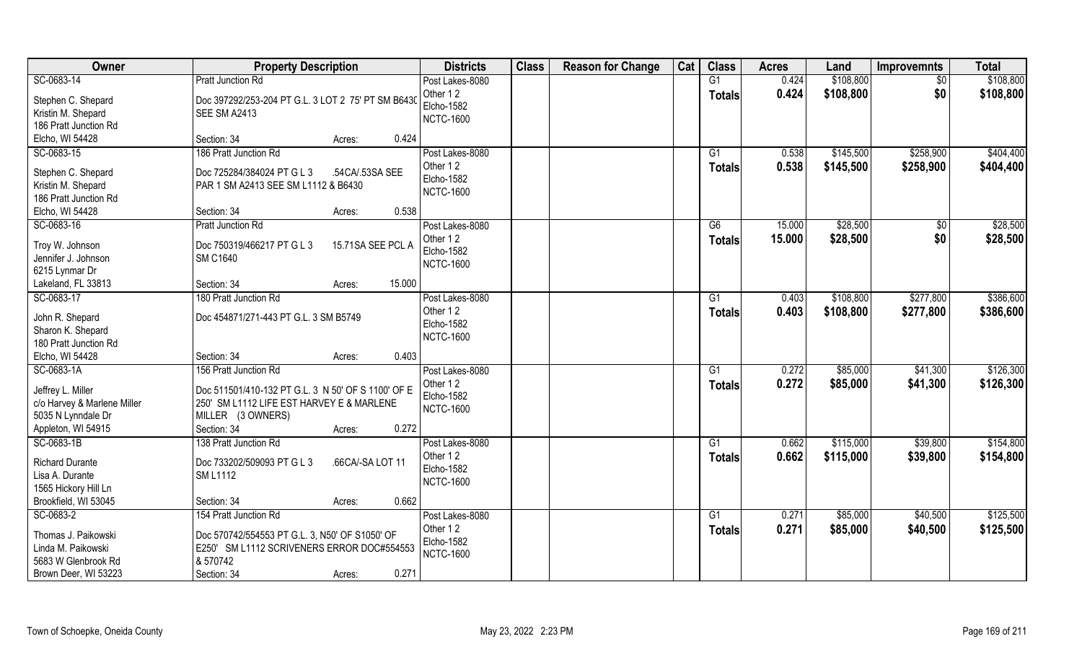| Owner                                                                                                      | <b>Property Description</b>                                                                                                                                                     | <b>Districts</b>                                                     | <b>Class</b> | <b>Reason for Change</b> | Cat | <b>Class</b>                     | <b>Acres</b>   | Land                   | <b>Improvemnts</b>     | <b>Total</b>           |
|------------------------------------------------------------------------------------------------------------|---------------------------------------------------------------------------------------------------------------------------------------------------------------------------------|----------------------------------------------------------------------|--------------|--------------------------|-----|----------------------------------|----------------|------------------------|------------------------|------------------------|
| SC-0683-14                                                                                                 | <b>Pratt Junction Rd</b>                                                                                                                                                        | Post Lakes-8080                                                      |              |                          |     | G1                               | 0.424          | \$108,800              | $\overline{50}$        | \$108,800              |
| Stephen C. Shepard<br>Kristin M. Shepard<br>186 Pratt Junction Rd                                          | Doc 397292/253-204 PT G.L. 3 LOT 2 75' PT SM B6430<br>SEE SM A2413                                                                                                              | Other 12<br><b>Elcho-1582</b><br><b>NCTC-1600</b>                    |              |                          |     | <b>Totals</b>                    | 0.424          | \$108,800              | \$0                    | \$108,800              |
| Elcho, WI 54428                                                                                            | 0.424<br>Section: 34<br>Acres:                                                                                                                                                  |                                                                      |              |                          |     |                                  |                |                        |                        |                        |
| SC-0683-15<br>Stephen C. Shepard<br>Kristin M. Shepard                                                     | 186 Pratt Junction Rd<br>Doc 725284/384024 PT G L 3<br>.54CA/.53SA SEE<br>PAR 1 SM A2413 SEE SM L1112 & B6430                                                                   | Post Lakes-8080<br>Other 12<br><b>Elcho-1582</b>                     |              |                          |     | $\overline{G1}$<br><b>Totals</b> | 0.538<br>0.538 | \$145,500<br>\$145,500 | \$258,900<br>\$258,900 | \$404,400<br>\$404,400 |
| 186 Pratt Junction Rd<br>Elcho, WI 54428                                                                   | Section: 34<br>0.538<br>Acres:                                                                                                                                                  | <b>NCTC-1600</b>                                                     |              |                          |     |                                  |                |                        |                        |                        |
| SC-0683-16                                                                                                 | Pratt Junction Rd                                                                                                                                                               | Post Lakes-8080                                                      |              |                          |     | G6                               | 15.000         | \$28,500               | \$0                    | \$28,500               |
| Troy W. Johnson<br>Jennifer J. Johnson<br>6215 Lynmar Dr                                                   | Doc 750319/466217 PT G L 3<br>15.71SA SEE PCL A<br><b>SM C1640</b>                                                                                                              | Other 12<br><b>Elcho-1582</b><br><b>NCTC-1600</b>                    |              |                          |     | <b>Totals</b>                    | 15.000         | \$28,500               | \$0                    | \$28,500               |
| Lakeland, FL 33813                                                                                         | 15.000<br>Section: 34<br>Acres:                                                                                                                                                 |                                                                      |              |                          |     |                                  |                |                        |                        |                        |
| SC-0683-17<br>John R. Shepard<br>Sharon K. Shepard                                                         | 180 Pratt Junction Rd<br>Doc 454871/271-443 PT G.L. 3 SM B5749                                                                                                                  | Post Lakes-8080<br>Other 12<br>Elcho-1582                            |              |                          |     | G1<br>Totals                     | 0.403<br>0.403 | \$108,800<br>\$108,800 | \$277,800<br>\$277,800 | \$386,600<br>\$386,600 |
| 180 Pratt Junction Rd<br>Elcho, WI 54428                                                                   | 0.403<br>Section: 34<br>Acres:                                                                                                                                                  | <b>NCTC-1600</b>                                                     |              |                          |     |                                  |                |                        |                        |                        |
| SC-0683-1A<br>Jeffrey L. Miller<br>c/o Harvey & Marlene Miller<br>5035 N Lynndale Dr<br>Appleton, WI 54915 | 156 Pratt Junction Rd<br>Doc 511501/410-132 PT G.L. 3 N 50' OF S 1100' OF E<br>250' SM L1112 LIFE EST HARVEY E & MARLENE<br>MILLER (3 OWNERS)<br>Section: 34<br>0.272<br>Acres: | Post Lakes-8080<br>Other 12<br><b>Elcho-1582</b><br><b>NCTC-1600</b> |              |                          |     | G <sub>1</sub><br><b>Totals</b>  | 0.272<br>0.272 | \$85,000<br>\$85,000   | \$41,300<br>\$41,300   | \$126,300<br>\$126,300 |
| SC-0683-1B<br><b>Richard Durante</b><br>Lisa A. Durante<br>1565 Hickory Hill Ln<br>Brookfield, WI 53045    | 138 Pratt Junction Rd<br>Doc 733202/509093 PT G L 3<br>.66CA/-SA LOT 11<br><b>SM L1112</b><br>0.662<br>Section: 34<br>Acres:                                                    | Post Lakes-8080<br>Other 12<br>Elcho-1582<br><b>NCTC-1600</b>        |              |                          |     | G1<br><b>Totals</b>              | 0.662<br>0.662 | \$115,000<br>\$115,000 | \$39,800<br>\$39,800   | \$154,800<br>\$154,800 |
| SC-0683-2<br>Thomas J. Paikowski<br>Linda M. Paikowski<br>5683 W Glenbrook Rd<br>Brown Deer, WI 53223      | 154 Pratt Junction Rd<br>Doc 570742/554553 PT G.L. 3, N50' OF S1050' OF<br>E250' SM L1112 SCRIVENERS ERROR DOC#554553<br>8 570742<br>0.271<br>Section: 34<br>Acres:             | Post Lakes-8080<br>Other 12<br><b>Elcho-1582</b><br><b>NCTC-1600</b> |              |                          |     | G1<br><b>Totals</b>              | 0.271<br>0.271 | \$85,000<br>\$85,000   | \$40,500<br>\$40,500   | \$125,500<br>\$125,500 |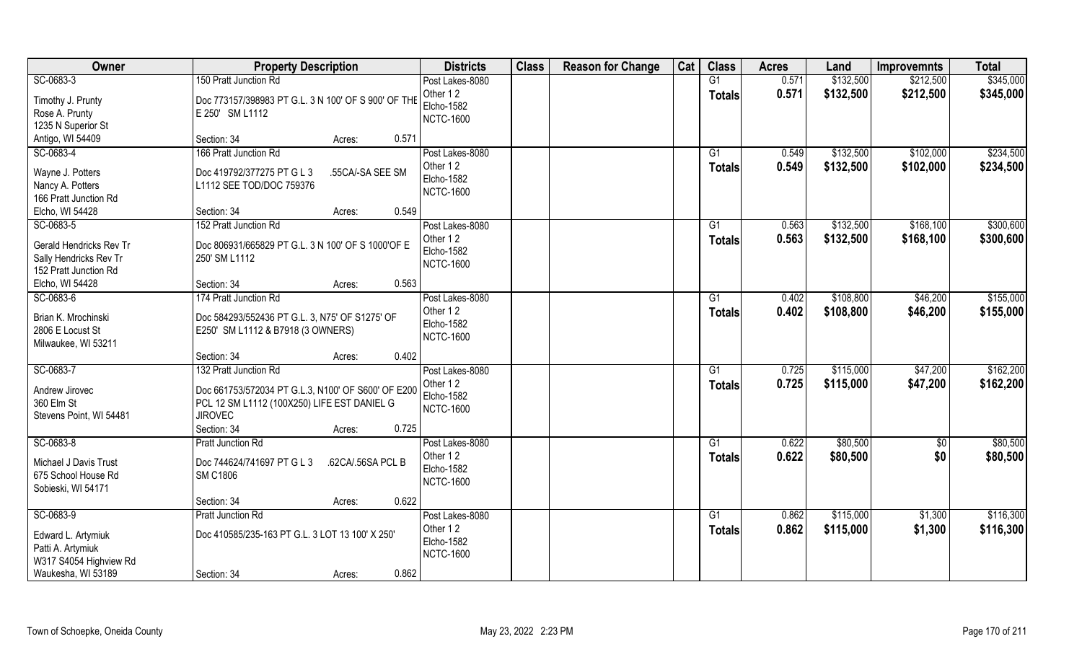| Owner                                                                                                | <b>Property Description</b>                                                                                                                                                    | <b>Districts</b>                                                     | <b>Class</b> | <b>Reason for Change</b> | Cat | <b>Class</b>                     | <b>Acres</b>   | Land                   | <b>Improvemnts</b>     | <b>Total</b>           |
|------------------------------------------------------------------------------------------------------|--------------------------------------------------------------------------------------------------------------------------------------------------------------------------------|----------------------------------------------------------------------|--------------|--------------------------|-----|----------------------------------|----------------|------------------------|------------------------|------------------------|
| SC-0683-3                                                                                            | 150 Pratt Junction Rd                                                                                                                                                          | Post Lakes-8080                                                      |              |                          |     | G1                               | 0.571          | \$132,500              | \$212,500              | \$345,000              |
| Timothy J. Prunty<br>Rose A. Prunty<br>1235 N Superior St                                            | Doc 773157/398983 PT G.L. 3 N 100' OF S 900' OF THE<br>E 250' SM L1112                                                                                                         | Other 12<br><b>Elcho-1582</b><br><b>NCTC-1600</b>                    |              |                          |     | <b>Totals</b>                    | 0.571          | \$132,500              | \$212,500              | \$345,000              |
| Antigo, WI 54409                                                                                     | 0.571<br>Section: 34<br>Acres:                                                                                                                                                 |                                                                      |              |                          |     |                                  |                |                        |                        |                        |
| SC-0683-4<br>Wayne J. Potters<br>Nancy A. Potters                                                    | 166 Pratt Junction Rd<br>Doc 419792/377275 PT G L 3<br>.55CA/-SA SEE SM<br>L1112 SEE TOD/DOC 759376                                                                            | Post Lakes-8080<br>Other 12<br><b>Elcho-1582</b><br><b>NCTC-1600</b> |              |                          |     | G1<br><b>Totals</b>              | 0.549<br>0.549 | \$132,500<br>\$132,500 | \$102,000<br>\$102,000 | \$234,500<br>\$234,500 |
| 166 Pratt Junction Rd<br>Elcho, WI 54428                                                             | 0.549<br>Section: 34<br>Acres:                                                                                                                                                 |                                                                      |              |                          |     |                                  |                |                        |                        |                        |
| SC-0683-5                                                                                            | 152 Pratt Junction Rd                                                                                                                                                          | Post Lakes-8080                                                      |              |                          |     | G1                               | 0.563          | \$132,500              | \$168,100              | \$300,600              |
| Gerald Hendricks Rev Tr<br>Sally Hendricks Rev Tr<br>152 Pratt Junction Rd                           | Doc 806931/665829 PT G.L. 3 N 100' OF S 1000'OF E<br>250' SM L1112                                                                                                             | Other 12<br><b>Elcho-1582</b><br><b>NCTC-1600</b>                    |              |                          |     | <b>Totals</b>                    | 0.563          | \$132,500              | \$168,100              | \$300,600              |
| Elcho, WI 54428                                                                                      | 0.563<br>Section: 34<br>Acres:                                                                                                                                                 |                                                                      |              |                          |     |                                  |                |                        |                        |                        |
| SC-0683-6                                                                                            | 174 Pratt Junction Rd                                                                                                                                                          | Post Lakes-8080                                                      |              |                          |     | G1                               | 0.402          | \$108,800              | \$46,200               | \$155,000              |
| Brian K. Mrochinski<br>2806 E Locust St<br>Milwaukee, WI 53211                                       | Doc 584293/552436 PT G.L. 3, N75' OF S1275' OF<br>E250' SM L1112 & B7918 (3 OWNERS)                                                                                            | Other 12<br>Elcho-1582<br><b>NCTC-1600</b>                           |              |                          |     | <b>Totals</b>                    | 0.402          | \$108,800              | \$46,200               | \$155,000              |
|                                                                                                      | 0.402<br>Section: 34<br>Acres:                                                                                                                                                 |                                                                      |              |                          |     |                                  |                |                        |                        |                        |
| SC-0683-7<br>Andrew Jirovec<br>360 Elm St<br>Stevens Point, WI 54481                                 | 132 Pratt Junction Rd<br>Doc 661753/572034 PT G.L.3, N100' OF S600' OF E200<br>PCL 12 SM L1112 (100X250) LIFE EST DANIEL G<br><b>JIROVEC</b><br>0.725<br>Section: 34<br>Acres: | Post Lakes-8080<br>Other 12<br>Elcho-1582<br><b>NCTC-1600</b>        |              |                          |     | G1<br><b>Totals</b>              | 0.725<br>0.725 | \$115,000<br>\$115,000 | \$47,200<br>\$47,200   | \$162,200<br>\$162,200 |
| SC-0683-8                                                                                            | <b>Pratt Junction Rd</b>                                                                                                                                                       | Post Lakes-8080                                                      |              |                          |     | G1                               | 0.622          | \$80,500               | $\frac{6}{5}$          | \$80,500               |
| Michael J Davis Trust<br>675 School House Rd<br>Sobieski, WI 54171                                   | Doc 744624/741697 PT G L 3<br>.62CA/.56SA PCL B<br><b>SM C1806</b>                                                                                                             | Other 12<br>Elcho-1582<br><b>NCTC-1600</b>                           |              |                          |     | <b>Totals</b>                    | 0.622          | \$80,500               | \$0                    | \$80,500               |
|                                                                                                      | 0.622<br>Section: 34<br>Acres:                                                                                                                                                 |                                                                      |              |                          |     |                                  |                |                        |                        |                        |
| SC-0683-9<br>Edward L. Artymiuk<br>Patti A. Artymiuk<br>W317 S4054 Highview Rd<br>Waukesha, WI 53189 | <b>Pratt Junction Rd</b><br>Doc 410585/235-163 PT G.L. 3 LOT 13 100' X 250'<br>0.862<br>Section: 34<br>Acres:                                                                  | Post Lakes-8080<br>Other 12<br>Elcho-1582<br><b>NCTC-1600</b>        |              |                          |     | $\overline{G1}$<br><b>Totals</b> | 0.862<br>0.862 | \$115,000<br>\$115,000 | \$1,300<br>\$1,300     | \$116,300<br>\$116,300 |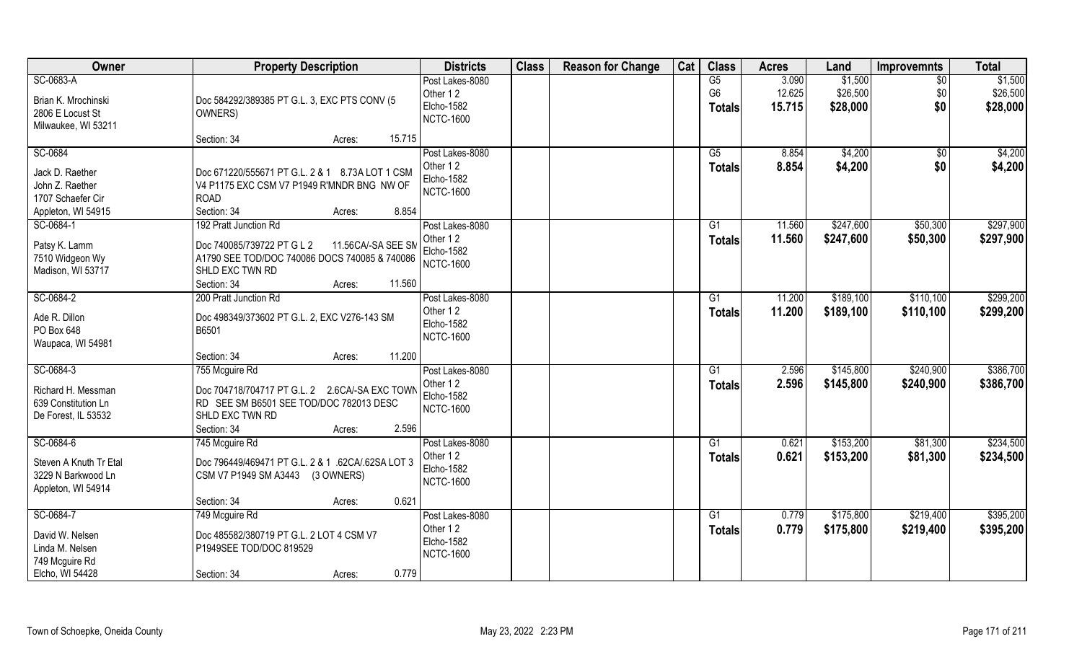| Owner                                                                                    | <b>Property Description</b>                                                                                                                                                      | <b>Districts</b>                                                     | <b>Class</b> | <b>Reason for Change</b> | Cat | <b>Class</b>                          | <b>Acres</b>              | Land                            | <b>Improvemnts</b>        | <b>Total</b>                    |
|------------------------------------------------------------------------------------------|----------------------------------------------------------------------------------------------------------------------------------------------------------------------------------|----------------------------------------------------------------------|--------------|--------------------------|-----|---------------------------------------|---------------------------|---------------------------------|---------------------------|---------------------------------|
| SC-0683-A<br>Brian K. Mrochinski<br>2806 E Locust St<br>Milwaukee, WI 53211              | Doc 584292/389385 PT G.L. 3, EXC PTS CONV (5<br>OWNERS)                                                                                                                          | Post Lakes-8080<br>Other 12<br>Elcho-1582<br><b>NCTC-1600</b>        |              |                          |     | G5<br>G <sub>6</sub><br><b>Totals</b> | 3.090<br>12.625<br>15.715 | \$1,500<br>\$26,500<br>\$28,000 | $\sqrt{$0}$<br>\$0<br>\$0 | \$1,500<br>\$26,500<br>\$28,000 |
|                                                                                          | 15.715<br>Section: 34<br>Acres:                                                                                                                                                  |                                                                      |              |                          |     |                                       |                           |                                 |                           |                                 |
| SC-0684<br>Jack D. Raether<br>John Z. Raether<br>1707 Schaefer Cir<br>Appleton, WI 54915 | Doc 671220/555671 PT G.L. 2 & 1 8.73A LOT 1 CSM<br>V4 P1175 EXC CSM V7 P1949 R'MNDR BNG NW OF<br><b>ROAD</b><br>Section: 34<br>8.854<br>Acres:                                   | Post Lakes-8080<br>Other 12<br><b>Elcho-1582</b><br><b>NCTC-1600</b> |              |                          |     | G5<br><b>Totals</b>                   | 8.854<br>8.854            | \$4,200<br>\$4,200              | $\sqrt{$0}$<br>\$0        | \$4,200<br>\$4,200              |
| SC-0684-1<br>Patsy K. Lamm<br>7510 Widgeon Wy<br>Madison, WI 53717                       | 192 Pratt Junction Rd<br>Doc 740085/739722 PT G L 2<br>11.56CA/-SA SEE SM<br>A1790 SEE TOD/DOC 740086 DOCS 740085 & 740086<br>SHLD EXC TWN RD<br>11.560<br>Section: 34<br>Acres: | Post Lakes-8080<br>Other 12<br><b>Elcho-1582</b><br><b>NCTC-1600</b> |              |                          |     | G1<br><b>Totals</b>                   | 11.560<br>11.560          | \$247,600<br>\$247,600          | \$50,300<br>\$50,300      | \$297,900<br>\$297,900          |
| SC-0684-2<br>Ade R. Dillon<br>PO Box 648<br>Waupaca, WI 54981                            | 200 Pratt Junction Rd<br>Doc 498349/373602 PT G.L. 2, EXC V276-143 SM<br>B6501                                                                                                   | Post Lakes-8080<br>Other 12<br>Elcho-1582<br><b>NCTC-1600</b>        |              |                          |     | G1<br><b>Totals</b>                   | 11.200<br>11.200          | \$189,100<br>\$189,100          | \$110,100<br>\$110,100    | \$299,200<br>\$299,200          |
|                                                                                          | 11.200<br>Section: 34<br>Acres:                                                                                                                                                  |                                                                      |              |                          |     |                                       |                           |                                 |                           |                                 |
| SC-0684-3<br>Richard H. Messman<br>639 Constitution Ln<br>De Forest, IL 53532            | 755 Mcguire Rd<br>Doc 704718/704717 PT G.L. 2 2.6CA/-SA EXC TOWN<br>RD SEE SM B6501 SEE TOD/DOC 782013 DESC<br>SHLD EXC TWN RD<br>2.596<br>Section: 34<br>Acres:                 | Post Lakes-8080<br>Other 12<br>Elcho-1582<br><b>NCTC-1600</b>        |              |                          |     | G1<br><b>Totals</b>                   | 2.596<br>2.596            | \$145,800<br>\$145,800          | \$240,900<br>\$240,900    | \$386,700<br>\$386,700          |
| SC-0684-6<br>Steven A Knuth Tr Etal<br>3229 N Barkwood Ln<br>Appleton, WI 54914          | 745 Mcguire Rd<br>Doc 796449/469471 PT G.L. 2 & 1 .62CA/.62SA LOT 3<br>CSM V7 P1949 SM A3443<br>(3 OWNERS)<br>0.621<br>Section: 34<br>Acres:                                     | Post Lakes-8080<br>Other 12<br>Elcho-1582<br><b>NCTC-1600</b>        |              |                          |     | G1<br><b>Totals</b>                   | 0.621<br>0.621            | \$153,200<br>\$153,200          | \$81,300<br>\$81,300      | \$234,500<br>\$234,500          |
| SC-0684-7<br>David W. Nelsen<br>Linda M. Nelsen<br>749 Mcguire Rd<br>Elcho, WI 54428     | 749 Mcguire Rd<br>Doc 485582/380719 PT G.L. 2 LOT 4 CSM V7<br>P1949SEE TOD/DOC 819529<br>0.779<br>Section: 34<br>Acres:                                                          | Post Lakes-8080<br>Other 12<br>Elcho-1582<br><b>NCTC-1600</b>        |              |                          |     | G1<br><b>Totals</b>                   | 0.779<br>0.779            | \$175,800<br>\$175,800          | \$219,400<br>\$219,400    | \$395,200<br>\$395,200          |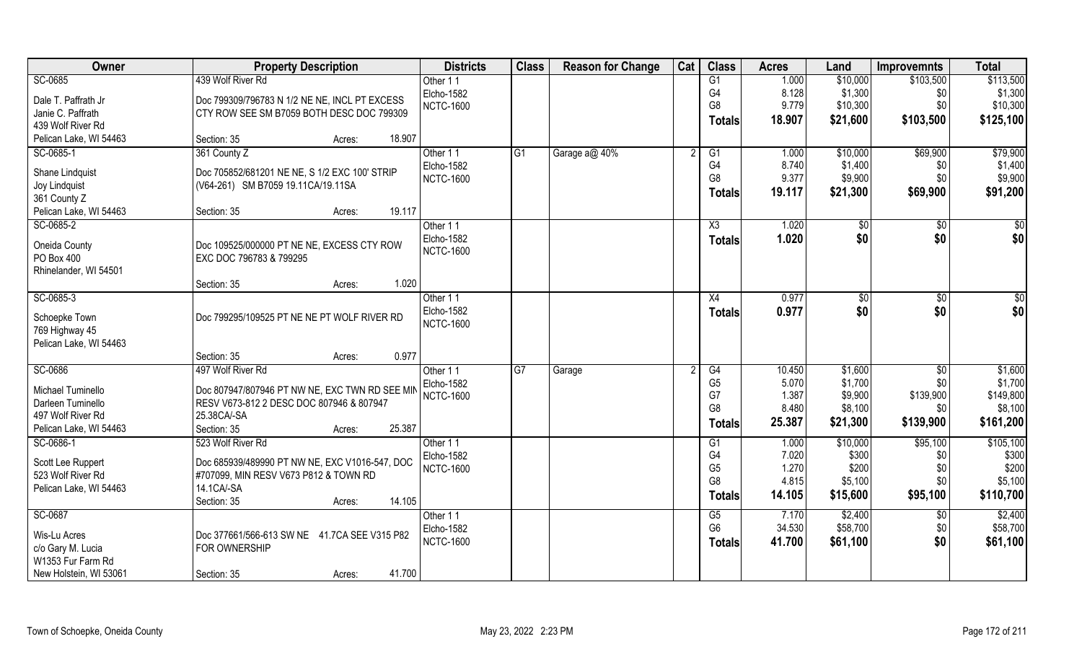| Owner                                  | <b>Property Description</b>                                                             | <b>Districts</b> | <b>Class</b>    | <b>Reason for Change</b> | Cat | <b>Class</b>   | <b>Acres</b> | Land     | <b>Improvemnts</b> | <b>Total</b>    |
|----------------------------------------|-----------------------------------------------------------------------------------------|------------------|-----------------|--------------------------|-----|----------------|--------------|----------|--------------------|-----------------|
| SC-0685                                | 439 Wolf River Rd                                                                       | Other 11         |                 |                          |     | G1             | 1.000        | \$10,000 | \$103,500          | \$113,500       |
| Dale T. Paffrath Jr                    | Doc 799309/796783 N 1/2 NE NE, INCL PT EXCESS                                           | Elcho-1582       |                 |                          |     | G4             | 8.128        | \$1,300  | \$0                | \$1,300         |
| Janie C. Paffrath                      | CTY ROW SEE SM B7059 BOTH DESC DOC 799309                                               | <b>NCTC-1600</b> |                 |                          |     | G <sub>8</sub> | 9.779        | \$10,300 | \$0                | \$10,300        |
| 439 Wolf River Rd                      |                                                                                         |                  |                 |                          |     | <b>Totals</b>  | 18.907       | \$21,600 | \$103,500          | \$125,100       |
| Pelican Lake, WI 54463                 | 18.907<br>Section: 35<br>Acres:                                                         |                  |                 |                          |     |                |              |          |                    |                 |
| SC-0685-1                              | 361 County Z                                                                            | Other 11         | G1              | Garage a@ 40%            |     | G1             | 1.000        | \$10,000 | \$69,900           | \$79,900        |
| Shane Lindquist                        | Doc 705852/681201 NE NE, S 1/2 EXC 100' STRIP                                           | Elcho-1582       |                 |                          |     | G4             | 8.740        | \$1,400  | \$0                | \$1,400         |
| Joy Lindquist                          | (V64-261) SM B7059 19.11CA/19.11SA                                                      | <b>NCTC-1600</b> |                 |                          |     | G <sub>8</sub> | 9.377        | \$9,900  | \$0                | \$9,900         |
| 361 County Z                           |                                                                                         |                  |                 |                          |     | <b>Totals</b>  | 19.117       | \$21,300 | \$69,900           | \$91,200        |
| Pelican Lake, WI 54463                 | 19.117<br>Section: 35<br>Acres:                                                         |                  |                 |                          |     |                |              |          |                    |                 |
| SC-0685-2                              |                                                                                         | Other 11         |                 |                          |     | X3             | 1.020        | \$0      | \$0                | $\overline{50}$ |
|                                        |                                                                                         | Elcho-1582       |                 |                          |     | <b>Totals</b>  | 1.020        | \$0      | \$0                | \$0             |
| Oneida County                          | Doc 109525/000000 PT NE NE, EXCESS CTY ROW                                              | <b>NCTC-1600</b> |                 |                          |     |                |              |          |                    |                 |
| PO Box 400                             | EXC DOC 796783 & 799295                                                                 |                  |                 |                          |     |                |              |          |                    |                 |
| Rhinelander, WI 54501                  |                                                                                         |                  |                 |                          |     |                |              |          |                    |                 |
|                                        | 1.020<br>Section: 35<br>Acres:                                                          |                  |                 |                          |     |                |              |          |                    |                 |
| SC-0685-3                              |                                                                                         | Other 11         |                 |                          |     | X4             | 0.977        | \$0      | $\sqrt[6]{3}$      | $\sqrt{50}$     |
| Schoepke Town                          | Doc 799295/109525 PT NE NE PT WOLF RIVER RD                                             | Elcho-1582       |                 |                          |     | <b>Totals</b>  | 0.977        | \$0      | \$0                | \$0             |
| 769 Highway 45                         |                                                                                         | <b>NCTC-1600</b> |                 |                          |     |                |              |          |                    |                 |
| Pelican Lake, WI 54463                 |                                                                                         |                  |                 |                          |     |                |              |          |                    |                 |
|                                        | 0.977<br>Section: 35<br>Acres:                                                          |                  |                 |                          |     |                |              |          |                    |                 |
| SC-0686                                | 497 Wolf River Rd                                                                       | Other 11         | $\overline{G7}$ | Garage                   |     | G4             | 10.450       | \$1,600  | \$0                | \$1,600         |
| Michael Tuminello                      | Doc 807947/807946 PT NW NE, EXC TWN RD SEE MIN                                          | Elcho-1582       |                 |                          |     | G <sub>5</sub> | 5.070        | \$1,700  | \$0                | \$1,700         |
| Darleen Tuminello                      | RESV V673-812 2 DESC DOC 807946 & 807947                                                | <b>NCTC-1600</b> |                 |                          |     | G7             | 1.387        | \$9,900  | \$139,900          | \$149,800       |
| 497 Wolf River Rd                      | 25.38CA/-SA                                                                             |                  |                 |                          |     | G <sub>8</sub> | 8.480        | \$8,100  | \$0                | \$8,100         |
| Pelican Lake, WI 54463                 | 25.387<br>Section: 35<br>Acres:                                                         |                  |                 |                          |     | <b>Totals</b>  | 25.387       | \$21,300 | \$139,900          | \$161,200       |
| SC-0686-1                              | 523 Wolf River Rd                                                                       | Other 11         |                 |                          |     | G1             | 1.000        | \$10,000 | \$95,100           | \$105,100       |
|                                        |                                                                                         | Elcho-1582       |                 |                          |     | G <sub>4</sub> | 7.020        | \$300    | \$0                | \$300           |
| Scott Lee Ruppert<br>523 Wolf River Rd | Doc 685939/489990 PT NW NE, EXC V1016-547, DOC<br>#707099, MIN RESV V673 P812 & TOWN RD | <b>NCTC-1600</b> |                 |                          |     | G <sub>5</sub> | 1.270        | \$200    | \$0                | \$200           |
| Pelican Lake, WI 54463                 | 14.1 CA/-SA                                                                             |                  |                 |                          |     | G <sub>8</sub> | 4.815        | \$5,100  | \$0                | \$5,100         |
|                                        | 14.105<br>Section: 35<br>Acres:                                                         |                  |                 |                          |     | <b>Totals</b>  | 14.105       | \$15,600 | \$95,100           | \$110,700       |
| SC-0687                                |                                                                                         | Other 11         |                 |                          |     | G5             | 7.170        | \$2,400  | \$0                | \$2,400         |
|                                        |                                                                                         | Elcho-1582       |                 |                          |     | G <sub>6</sub> | 34.530       | \$58,700 | \$0                | \$58,700        |
| Wis-Lu Acres                           | Doc 377661/566-613 SW NE 41.7CA SEE V315 P82                                            | <b>NCTC-1600</b> |                 |                          |     | Totals         | 41.700       | \$61,100 | \$0                | \$61,100        |
| c/o Gary M. Lucia                      | FOR OWNERSHIP                                                                           |                  |                 |                          |     |                |              |          |                    |                 |
| W1353 Fur Farm Rd                      |                                                                                         |                  |                 |                          |     |                |              |          |                    |                 |
| New Holstein, WI 53061                 | 41.700<br>Section: 35<br>Acres:                                                         |                  |                 |                          |     |                |              |          |                    |                 |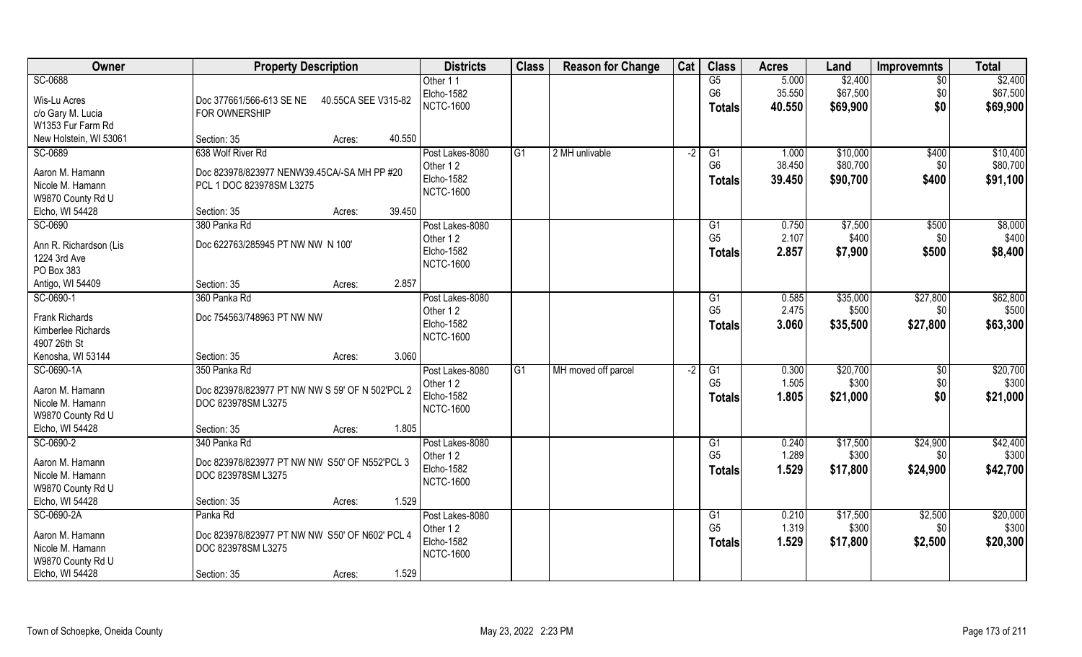| Owner                               | <b>Property Description</b>                     |                     | <b>Districts</b>            | <b>Class</b>    | <b>Reason for Change</b> | Cat  | <b>Class</b>         | <b>Acres</b>   | Land             | <b>Improvemnts</b> | <b>Total</b>      |
|-------------------------------------|-------------------------------------------------|---------------------|-----------------------------|-----------------|--------------------------|------|----------------------|----------------|------------------|--------------------|-------------------|
| SC-0688                             |                                                 |                     | Other 11                    |                 |                          |      | G5                   | 5.000          | \$2,400          | \$0                | \$2,400           |
| Wis-Lu Acres                        | Doc 377661/566-613 SE NE                        | 40.55CA SEE V315-82 | Elcho-1582                  |                 |                          |      | G <sub>6</sub>       | 35.550         | \$67,500         | \$0                | \$67,500          |
| c/o Gary M. Lucia                   | FOR OWNERSHIP                                   |                     | <b>NCTC-1600</b>            |                 |                          |      | <b>Totals</b>        | 40.550         | \$69,900         | \$0                | \$69,900          |
| W1353 Fur Farm Rd                   |                                                 |                     |                             |                 |                          |      |                      |                |                  |                    |                   |
| New Holstein, WI 53061              | Section: 35                                     | 40.550<br>Acres:    |                             |                 |                          |      |                      |                |                  |                    |                   |
| SC-0689                             | 638 Wolf River Rd                               |                     | Post Lakes-8080             | IG1             | 2 MH unlivable           | $-2$ | G1                   | 1.000          | \$10,000         | \$400              | \$10,400          |
|                                     |                                                 |                     | Other 12                    |                 |                          |      | G <sub>6</sub>       | 38.450         | \$80,700         | \$0                | \$80,700          |
| Aaron M. Hamann                     | Doc 823978/823977 NENW39.45CA/-SA MH PP #20     |                     | Elcho-1582                  |                 |                          |      | <b>Totals</b>        | 39.450         | \$90,700         | \$400              | \$91,100          |
| Nicole M. Hamann                    | PCL 1 DOC 823978SM L3275                        |                     | <b>NCTC-1600</b>            |                 |                          |      |                      |                |                  |                    |                   |
| W9870 County Rd U                   |                                                 | 39.450              |                             |                 |                          |      |                      |                |                  |                    |                   |
| Elcho, WI 54428                     | Section: 35                                     | Acres:              |                             |                 |                          |      |                      |                |                  |                    |                   |
| SC-0690                             | 380 Panka Rd                                    |                     | Post Lakes-8080<br>Other 12 |                 |                          |      | G1<br>G <sub>5</sub> | 0.750<br>2.107 | \$7,500<br>\$400 | \$500              | \$8,000<br>\$400] |
| Ann R. Richardson (Lis              | Doc 622763/285945 PT NW NW N 100'               |                     | Elcho-1582                  |                 |                          |      |                      |                |                  | \$0                |                   |
| 1224 3rd Ave                        |                                                 |                     | <b>NCTC-1600</b>            |                 |                          |      | <b>Totals</b>        | 2.857          | \$7,900          | \$500              | \$8,400           |
| PO Box 383                          |                                                 |                     |                             |                 |                          |      |                      |                |                  |                    |                   |
| Antigo, WI 54409                    | Section: 35                                     | 2.857<br>Acres:     |                             |                 |                          |      |                      |                |                  |                    |                   |
| SC-0690-1                           | 360 Panka Rd                                    |                     | Post Lakes-8080             |                 |                          |      | G1                   | 0.585          | \$35,000         | \$27,800           | \$62,800          |
| Frank Richards                      | Doc 754563/748963 PT NW NW                      |                     | Other 12                    |                 |                          |      | G <sub>5</sub>       | 2.475          | \$500            | \$0                | \$500             |
| Kimberlee Richards                  |                                                 |                     | Elcho-1582                  |                 |                          |      | <b>Totals</b>        | 3.060          | \$35,500         | \$27,800           | \$63,300          |
| 4907 26th St                        |                                                 |                     | <b>NCTC-1600</b>            |                 |                          |      |                      |                |                  |                    |                   |
| Kenosha, WI 53144                   | Section: 35                                     | 3.060<br>Acres:     |                             |                 |                          |      |                      |                |                  |                    |                   |
| SC-0690-1A                          | 350 Panka Rd                                    |                     | Post Lakes-8080             | $\overline{G1}$ | MH moved off parcel      | $-2$ | $\overline{G1}$      | 0.300          | \$20,700         | $\sqrt[6]{30}$     | \$20,700          |
|                                     |                                                 |                     | Other 12                    |                 |                          |      | G <sub>5</sub>       | 1.505          | \$300            | \$0                | \$300             |
| Aaron M. Hamann<br>Nicole M. Hamann | Doc 823978/823977 PT NW NW S 59' OF N 502'PCL 2 |                     | Elcho-1582                  |                 |                          |      | <b>Totals</b>        | 1.805          | \$21,000         | \$0                | \$21,000          |
| W9870 County Rd U                   | DOC 823978SM L3275                              |                     | <b>NCTC-1600</b>            |                 |                          |      |                      |                |                  |                    |                   |
| Elcho, WI 54428                     | Section: 35                                     | 1.805<br>Acres:     |                             |                 |                          |      |                      |                |                  |                    |                   |
| SC-0690-2                           | 340 Panka Rd                                    |                     | Post Lakes-8080             |                 |                          |      | G1                   | 0.240          | \$17,500         | \$24,900           | \$42,400          |
|                                     |                                                 |                     | Other 12                    |                 |                          |      | G <sub>5</sub>       | 1.289          | \$300            | \$0                | \$300             |
| Aaron M. Hamann                     | Doc 823978/823977 PT NW NW S50' OF N552'PCL 3   |                     | Elcho-1582                  |                 |                          |      |                      | 1.529          | \$17,800         | \$24,900           | \$42,700          |
| Nicole M. Hamann                    | DOC 823978SM L3275                              |                     | <b>NCTC-1600</b>            |                 |                          |      | <b>Totals</b>        |                |                  |                    |                   |
| W9870 County Rd U                   |                                                 |                     |                             |                 |                          |      |                      |                |                  |                    |                   |
| Elcho, WI 54428                     | Section: 35                                     | 1.529<br>Acres:     |                             |                 |                          |      |                      |                |                  |                    |                   |
| SC-0690-2A                          | Panka Rd                                        |                     | Post Lakes-8080             |                 |                          |      | G <sub>1</sub>       | 0.210          | \$17,500         | \$2,500            | \$20,000          |
| Aaron M. Hamann                     | Doc 823978/823977 PT NW NW S50' OF N602' PCL 4  |                     | Other 12                    |                 |                          |      | G <sub>5</sub>       | 1.319          | \$300            | \$0                | \$300             |
| Nicole M. Hamann                    | DOC 823978SM L3275                              |                     | Elcho-1582                  |                 |                          |      | <b>Totals</b>        | 1.529          | \$17,800         | \$2,500            | \$20,300          |
| W9870 County Rd U                   |                                                 |                     | <b>NCTC-1600</b>            |                 |                          |      |                      |                |                  |                    |                   |
| Elcho, WI 54428                     | Section: 35                                     | 1.529<br>Acres:     |                             |                 |                          |      |                      |                |                  |                    |                   |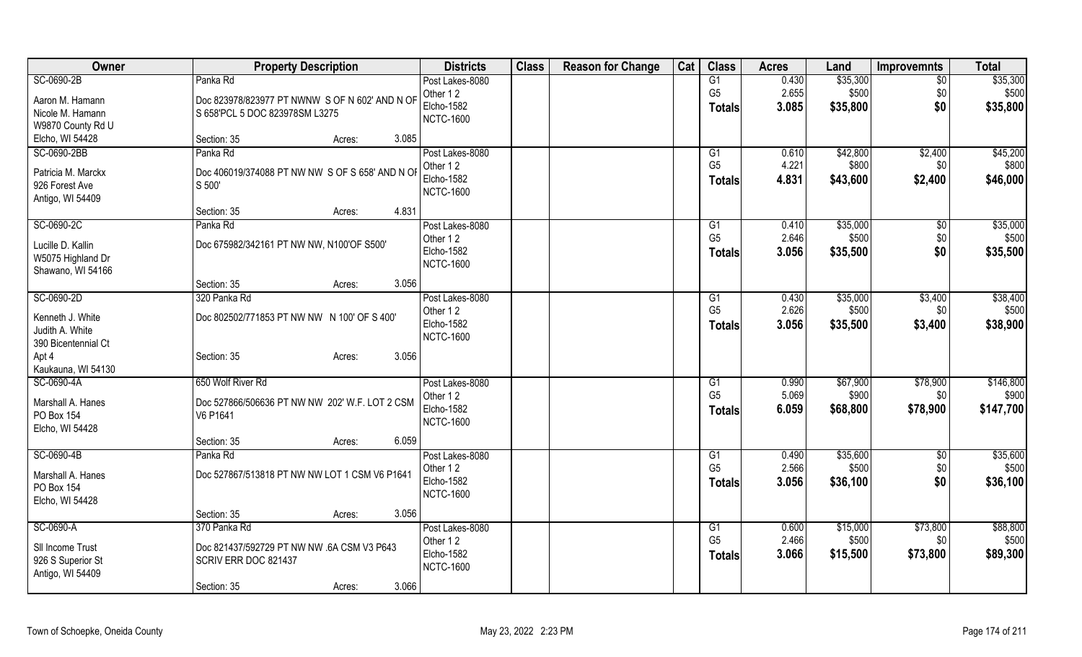| Owner               | <b>Property Description</b>                     | <b>Districts</b>                      | <b>Class</b> | <b>Reason for Change</b> | Cat | <b>Class</b>         | <b>Acres</b>   | Land              | <b>Improvemnts</b> | <b>Total</b> |
|---------------------|-------------------------------------------------|---------------------------------------|--------------|--------------------------|-----|----------------------|----------------|-------------------|--------------------|--------------|
| SC-0690-2B          | Panka Rd                                        | Post Lakes-8080                       |              |                          |     | G1                   | 0.430          | \$35,300          | $\overline{50}$    | \$35,300     |
| Aaron M. Hamann     | Doc 823978/823977 PT NWNW S OF N 602' AND N OF  | Other 12                              |              |                          |     | G <sub>5</sub>       | 2.655          | \$500             | \$0                | \$500        |
| Nicole M. Hamann    | S 658'PCL 5 DOC 823978SM L3275                  | <b>Elcho-1582</b>                     |              |                          |     | <b>Totals</b>        | 3.085          | \$35,800          | \$0                | \$35,800     |
| W9870 County Rd U   |                                                 | <b>NCTC-1600</b>                      |              |                          |     |                      |                |                   |                    |              |
| Elcho, WI 54428     | 3.085<br>Section: 35<br>Acres:                  |                                       |              |                          |     |                      |                |                   |                    |              |
| SC-0690-2BB         | Panka Rd                                        | Post Lakes-8080                       |              |                          |     | G1                   | 0.610          | \$42,800          | \$2,400            | \$45,200     |
|                     |                                                 | Other 12                              |              |                          |     | G <sub>5</sub>       | 4.221          | \$800             | \$0                | \$800        |
| Patricia M. Marckx  | Doc 406019/374088 PT NW NW S OF S 658' AND N OF | <b>Elcho-1582</b>                     |              |                          |     | <b>Totals</b>        | 4.831          | \$43,600          | \$2,400            | \$46,000     |
| 926 Forest Ave      | S500                                            | <b>NCTC-1600</b>                      |              |                          |     |                      |                |                   |                    |              |
| Antigo, WI 54409    |                                                 |                                       |              |                          |     |                      |                |                   |                    |              |
|                     | 4.831<br>Section: 35<br>Acres:                  |                                       |              |                          |     |                      |                |                   |                    |              |
| SC-0690-2C          | Panka Rd                                        | Post Lakes-8080                       |              |                          |     | G1<br>G <sub>5</sub> | 0.410<br>2.646 | \$35,000<br>\$500 | $\sqrt[6]{3}$      | \$35,000     |
| Lucille D. Kallin   | Doc 675982/342161 PT NW NW, N100'OF S500'       | Other 12<br>Elcho-1582                |              |                          |     |                      |                |                   | \$0                | \$500        |
| W5075 Highland Dr   |                                                 | <b>NCTC-1600</b>                      |              |                          |     | <b>Totals</b>        | 3.056          | \$35,500          | \$0                | \$35,500     |
| Shawano, WI 54166   |                                                 |                                       |              |                          |     |                      |                |                   |                    |              |
|                     | 3.056<br>Section: 35<br>Acres:                  |                                       |              |                          |     |                      |                |                   |                    |              |
| SC-0690-2D          | 320 Panka Rd                                    | Post Lakes-8080                       |              |                          |     | G1                   | 0.430          | \$35,000          | \$3,400            | \$38,400     |
| Kenneth J. White    | Doc 802502/771853 PT NW NW N 100' OF S 400'     | Other 12                              |              |                          |     | G <sub>5</sub>       | 2.626          | \$500             | \$0                | \$500        |
| Judith A. White     |                                                 | Elcho-1582                            |              |                          |     | <b>Totals</b>        | 3.056          | \$35,500          | \$3,400            | \$38,900     |
| 390 Bicentennial Ct |                                                 | <b>NCTC-1600</b>                      |              |                          |     |                      |                |                   |                    |              |
| Apt 4               | 3.056<br>Section: 35<br>Acres:                  |                                       |              |                          |     |                      |                |                   |                    |              |
| Kaukauna, WI 54130  |                                                 |                                       |              |                          |     |                      |                |                   |                    |              |
| SC-0690-4A          | 650 Wolf River Rd                               | Post Lakes-8080                       |              |                          |     | G1                   | 0.990          | \$67,900          | \$78,900           | \$146,800    |
|                     |                                                 | Other 12                              |              |                          |     | G <sub>5</sub>       | 5.069          | \$900             | \$0                | \$900        |
| Marshall A. Hanes   | Doc 527866/506636 PT NW NW 202' W.F. LOT 2 CSM  | <b>Elcho-1582</b>                     |              |                          |     | <b>Totals</b>        | 6.059          | \$68,800          | \$78,900           | \$147,700    |
| PO Box 154          | V6 P1641                                        | <b>NCTC-1600</b>                      |              |                          |     |                      |                |                   |                    |              |
| Elcho, WI 54428     |                                                 |                                       |              |                          |     |                      |                |                   |                    |              |
|                     | 6.059<br>Section: 35<br>Acres:                  |                                       |              |                          |     |                      |                |                   |                    |              |
| SC-0690-4B          | Panka Rd                                        | Post Lakes-8080                       |              |                          |     | G1<br>G <sub>5</sub> | 0.490          | \$35,600          | \$0                | \$35,600     |
| Marshall A. Hanes   | Doc 527867/513818 PT NW NW LOT 1 CSM V6 P1641   | Other 12                              |              |                          |     |                      | 2.566          | \$500             | \$0                | \$500        |
| PO Box 154          |                                                 | <b>Elcho-1582</b><br><b>NCTC-1600</b> |              |                          |     | <b>Totals</b>        | 3.056          | \$36,100          | \$0                | \$36,100     |
| Elcho, WI 54428     |                                                 |                                       |              |                          |     |                      |                |                   |                    |              |
|                     | Section: 35<br>3.056<br>Acres:                  |                                       |              |                          |     |                      |                |                   |                    |              |
| SC-0690-A           | 370 Panka Rd                                    | Post Lakes-8080                       |              |                          |     | G1                   | 0.600          | \$15,000          | \$73,800           | \$88,800     |
| SII Income Trust    | Doc 821437/592729 PT NW NW .6A CSM V3 P643      | Other 12                              |              |                          |     | G <sub>5</sub>       | 2.466          | \$500             | \$0                | \$500        |
| 926 S Superior St   | SCRIV ERR DOC 821437                            | <b>Elcho-1582</b>                     |              |                          |     | <b>Totals</b>        | 3.066          | \$15,500          | \$73,800           | \$89,300     |
| Antigo, WI 54409    |                                                 | <b>NCTC-1600</b>                      |              |                          |     |                      |                |                   |                    |              |
|                     | 3.066<br>Section: 35<br>Acres:                  |                                       |              |                          |     |                      |                |                   |                    |              |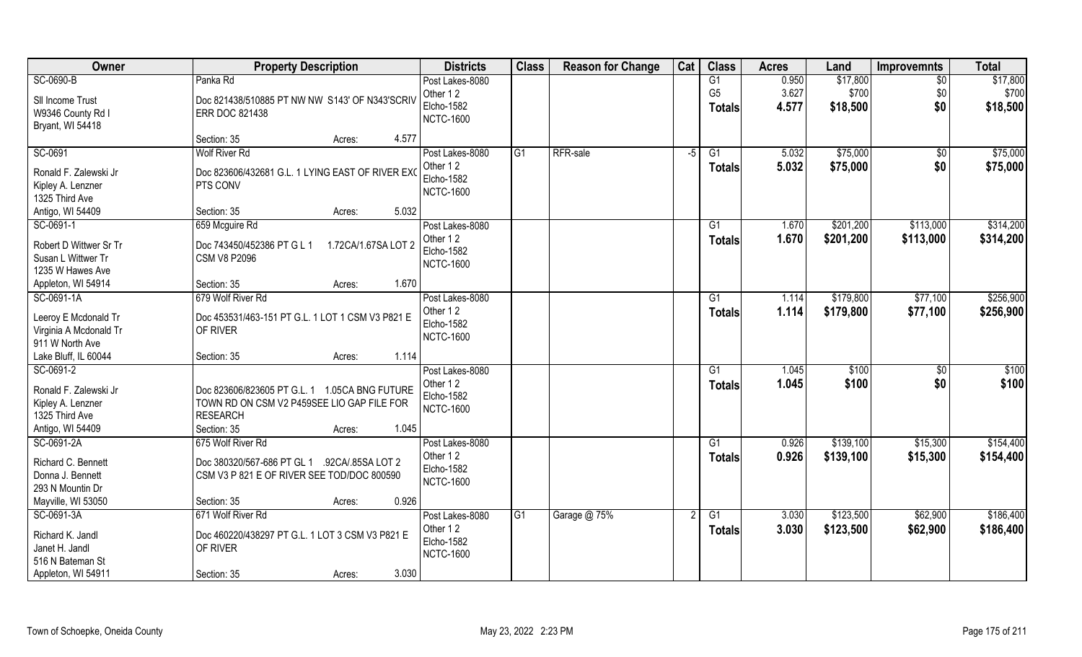| Owner                  | <b>Property Description</b>                                  | <b>Districts</b>              | <b>Class</b> | <b>Reason for Change</b> | Cat  | <b>Class</b>    | <b>Acres</b> | Land      | <b>Improvemnts</b> | <b>Total</b> |
|------------------------|--------------------------------------------------------------|-------------------------------|--------------|--------------------------|------|-----------------|--------------|-----------|--------------------|--------------|
| SC-0690-B              | Panka Rd                                                     | Post Lakes-8080               |              |                          |      | G1              | 0.950        | \$17,800  | \$0                | \$17,800     |
| SII Income Trust       | Doc 821438/510885 PT NW NW S143' OF N343'SCRIV               | Other 12                      |              |                          |      | G <sub>5</sub>  | 3.627        | \$700     | \$0                | \$700        |
| W9346 County Rd I      | <b>ERR DOC 821438</b>                                        | <b>Elcho-1582</b>             |              |                          |      | <b>Totals</b>   | 4.577        | \$18,500  | \$0                | \$18,500     |
| Bryant, WI 54418       |                                                              | <b>NCTC-1600</b>              |              |                          |      |                 |              |           |                    |              |
|                        | 4.577<br>Section: 35<br>Acres:                               |                               |              |                          |      |                 |              |           |                    |              |
| SC-0691                | <b>Wolf River Rd</b>                                         | Post Lakes-8080               | G1           | RFR-sale                 | $-5$ | G1              | 5.032        | \$75,000  | $\sqrt{$0}$        | \$75,000     |
| Ronald F. Zalewski Jr  |                                                              | Other 12                      |              |                          |      | <b>Totals</b>   | 5.032        | \$75,000  | \$0                | \$75,000     |
| Kipley A. Lenzner      | Doc 823606/432681 G.L. 1 LYING EAST OF RIVER EXC<br>PTS CONV | Elcho-1582                    |              |                          |      |                 |              |           |                    |              |
| 1325 Third Ave         |                                                              | <b>NCTC-1600</b>              |              |                          |      |                 |              |           |                    |              |
| Antigo, WI 54409       | 5.032<br>Section: 35<br>Acres:                               |                               |              |                          |      |                 |              |           |                    |              |
| SC-0691-1              | 659 Mcguire Rd                                               | Post Lakes-8080               |              |                          |      | G1              | 1.670        | \$201,200 | \$113,000          | \$314,200    |
|                        |                                                              | Other 12                      |              |                          |      | <b>Totals</b>   | 1.670        | \$201,200 | \$113,000          | \$314,200    |
| Robert D Wittwer Sr Tr | Doc 743450/452386 PT G L 1<br>1.72CA/1.67SA LOT 2            | <b>Elcho-1582</b>             |              |                          |      |                 |              |           |                    |              |
| Susan L Wittwer Tr     | <b>CSM V8 P2096</b>                                          | <b>NCTC-1600</b>              |              |                          |      |                 |              |           |                    |              |
| 1235 W Hawes Ave       |                                                              |                               |              |                          |      |                 |              |           |                    |              |
| Appleton, WI 54914     | 1.670<br>Section: 35<br>Acres:                               |                               |              |                          |      |                 |              |           |                    |              |
| SC-0691-1A             | 679 Wolf River Rd                                            | Post Lakes-8080               |              |                          |      | G1              | 1.114        | \$179,800 | \$77,100           | \$256,900    |
| Leeroy E Mcdonald Tr   | Doc 453531/463-151 PT G.L. 1 LOT 1 CSM V3 P821 E             | Other 12                      |              |                          |      | <b>Totals</b>   | 1.114        | \$179,800 | \$77,100           | \$256,900    |
| Virginia A Mcdonald Tr | OF RIVER                                                     | <b>Elcho-1582</b>             |              |                          |      |                 |              |           |                    |              |
| 911 W North Ave        |                                                              | <b>NCTC-1600</b>              |              |                          |      |                 |              |           |                    |              |
| Lake Bluff, IL 60044   | 1.114<br>Section: 35<br>Acres:                               |                               |              |                          |      |                 |              |           |                    |              |
| SC-0691-2              |                                                              | Post Lakes-8080               |              |                          |      | G1              | 1.045        | \$100     | $\sqrt[6]{30}$     | \$100        |
| Ronald F. Zalewski Jr  | Doc 823606/823605 PT G.L. 1 1.05CA BNG FUTURE                | Other 12                      |              |                          |      | Totals          | 1.045        | \$100     | \$0                | \$100        |
| Kipley A. Lenzner      | TOWN RD ON CSM V2 P459SEE LIO GAP FILE FOR                   | <b>Elcho-1582</b>             |              |                          |      |                 |              |           |                    |              |
| 1325 Third Ave         | <b>RESEARCH</b>                                              | <b>NCTC-1600</b>              |              |                          |      |                 |              |           |                    |              |
| Antigo, WI 54409       | Section: 35<br>1.045<br>Acres:                               |                               |              |                          |      |                 |              |           |                    |              |
| SC-0691-2A             | 675 Wolf River Rd                                            | Post Lakes-8080               |              |                          |      | $\overline{G1}$ | 0.926        | \$139,100 | \$15,300           | \$154,400    |
|                        |                                                              | Other 12                      |              |                          |      | <b>Totals</b>   | 0.926        | \$139,100 | \$15,300           | \$154,400    |
| Richard C. Bennett     | Doc 380320/567-686 PT GL 1 .92CA/85SA LOT 2                  | Elcho-1582                    |              |                          |      |                 |              |           |                    |              |
| Donna J. Bennett       | CSM V3 P 821 E OF RIVER SEE TOD/DOC 800590                   | <b>NCTC-1600</b>              |              |                          |      |                 |              |           |                    |              |
| 293 N Mountin Dr       |                                                              |                               |              |                          |      |                 |              |           |                    |              |
| Mayville, WI 53050     | 0.926<br>Section: 35<br>Acres:                               |                               |              |                          |      |                 |              |           |                    |              |
| SC-0691-3A             | 671 Wolf River Rd                                            | Post Lakes-8080               | G1           | Garage @ 75%             | 2    | G1              | 3.030        | \$123,500 | \$62,900           | \$186,400    |
| Richard K. Jandl       | Doc 460220/438297 PT G.L. 1 LOT 3 CSM V3 P821 E              | Other 12<br><b>Elcho-1582</b> |              |                          |      | <b>Totals</b>   | 3.030        | \$123,500 | \$62,900           | \$186,400    |
| Janet H. Jandl         | OF RIVER                                                     | <b>NCTC-1600</b>              |              |                          |      |                 |              |           |                    |              |
| 516 N Bateman St       |                                                              |                               |              |                          |      |                 |              |           |                    |              |
| Appleton, WI 54911     | 3.030<br>Section: 35<br>Acres:                               |                               |              |                          |      |                 |              |           |                    |              |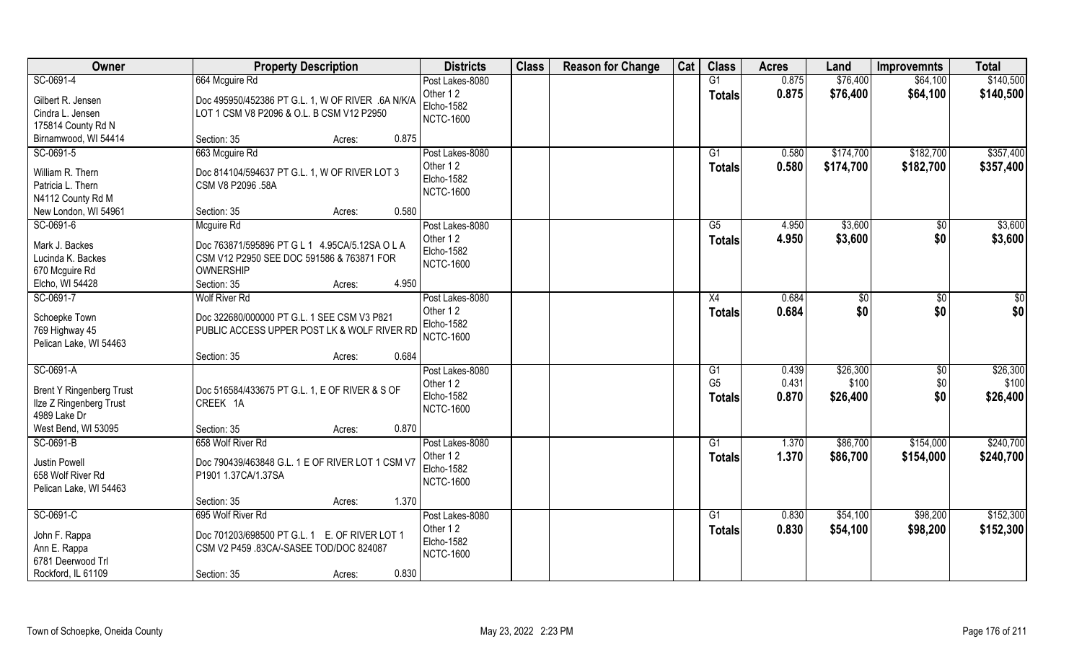| Owner                             | <b>Property Description</b>                       | <b>Districts</b>              | <b>Class</b> | <b>Reason for Change</b> | Cat | <b>Class</b>         | <b>Acres</b>   | Land          | <b>Improvemnts</b> | <b>Total</b>      |
|-----------------------------------|---------------------------------------------------|-------------------------------|--------------|--------------------------|-----|----------------------|----------------|---------------|--------------------|-------------------|
| SC-0691-4                         | 664 Mcguire Rd                                    | Post Lakes-8080               |              |                          |     | G1                   | 0.875          | \$76,400      | \$64,100           | \$140,500         |
| Gilbert R. Jensen                 | Doc 495950/452386 PT G.L. 1, W OF RIVER .6A N/K/A | Other 12<br><b>Elcho-1582</b> |              |                          |     | <b>Totals</b>        | 0.875          | \$76,400      | \$64,100           | \$140,500         |
| Cindra L. Jensen                  | LOT 1 CSM V8 P2096 & O.L. B CSM V12 P2950         | <b>NCTC-1600</b>              |              |                          |     |                      |                |               |                    |                   |
| 175814 County Rd N                |                                                   |                               |              |                          |     |                      |                |               |                    |                   |
| Birnamwood, WI 54414              | 0.875<br>Section: 35<br>Acres:                    |                               |              |                          |     |                      |                |               |                    |                   |
| SC-0691-5                         | 663 Mcguire Rd                                    | Post Lakes-8080               |              |                          |     | $\overline{G1}$      | 0.580          | \$174,700     | \$182,700          | \$357,400         |
| William R. Thern                  | Doc 814104/594637 PT G.L. 1, W OF RIVER LOT 3     | Other 12                      |              |                          |     | <b>Totals</b>        | 0.580          | \$174,700     | \$182,700          | \$357,400         |
| Patricia L. Thern                 | CSM V8 P2096 .58A                                 | Elcho-1582                    |              |                          |     |                      |                |               |                    |                   |
| N4112 County Rd M                 |                                                   | <b>NCTC-1600</b>              |              |                          |     |                      |                |               |                    |                   |
| New London, WI 54961              | 0.580<br>Section: 35<br>Acres:                    |                               |              |                          |     |                      |                |               |                    |                   |
| SC-0691-6                         | Mcguire Rd                                        | Post Lakes-8080               |              |                          |     | G5                   | 4.950          | \$3,600       | $\sqrt[6]{30}$     | \$3,600           |
| Mark J. Backes                    | Doc 763871/595896 PT G L 1 4.95CA/5.12SA O L A    | Other 12                      |              |                          |     | <b>Totals</b>        | 4.950          | \$3,600       | \$0                | \$3,600           |
| Lucinda K. Backes                 | CSM V12 P2950 SEE DOC 591586 & 763871 FOR         | Elcho-1582                    |              |                          |     |                      |                |               |                    |                   |
| 670 Mcguire Rd                    | <b>OWNERSHIP</b>                                  | <b>NCTC-1600</b>              |              |                          |     |                      |                |               |                    |                   |
| Elcho, WI 54428                   | 4.950<br>Section: 35<br>Acres:                    |                               |              |                          |     |                      |                |               |                    |                   |
| SC-0691-7                         | <b>Wolf River Rd</b>                              | Post Lakes-8080               |              |                          |     | X4                   | 0.684          | $\sqrt[6]{3}$ | $\sqrt[6]{3}$      | \$0               |
|                                   |                                                   | Other 12                      |              |                          |     | <b>Totals</b>        | 0.684          | \$0           | \$0                | \$0               |
| Schoepke Town                     | Doc 322680/000000 PT G.L. 1 SEE CSM V3 P821       | Elcho-1582                    |              |                          |     |                      |                |               |                    |                   |
| 769 Highway 45                    | PUBLIC ACCESS UPPER POST LK & WOLF RIVER RD       | <b>NCTC-1600</b>              |              |                          |     |                      |                |               |                    |                   |
| Pelican Lake, WI 54463            | 0.684                                             |                               |              |                          |     |                      |                |               |                    |                   |
| SC-0691-A                         | Section: 35<br>Acres:                             |                               |              |                          |     |                      |                | \$26,300      |                    |                   |
|                                   |                                                   | Post Lakes-8080<br>Other 12   |              |                          |     | G1<br>G <sub>5</sub> | 0.439<br>0.431 | \$100         | \$0<br>\$0         | \$26,300<br>\$100 |
| <b>Brent Y Ringenberg Trust</b>   | Doc 516584/433675 PT G.L. 1, E OF RIVER & S OF    | Elcho-1582                    |              |                          |     |                      | 0.870          |               | \$0                |                   |
| Ilze Z Ringenberg Trust           | CREEK 1A                                          | <b>NCTC-1600</b>              |              |                          |     | <b>Totals</b>        |                | \$26,400      |                    | \$26,400          |
| 4989 Lake Dr                      |                                                   |                               |              |                          |     |                      |                |               |                    |                   |
| West Bend, WI 53095               | 0.870<br>Section: 35<br>Acres:                    |                               |              |                          |     |                      |                |               |                    |                   |
| SC-0691-B                         | 658 Wolf River Rd                                 | Post Lakes-8080               |              |                          |     | G1                   | 1.370          | \$86,700      | \$154,000          | \$240,700         |
| Justin Powell                     | Doc 790439/463848 G.L. 1 E OF RIVER LOT 1 CSM V7  | Other 12                      |              |                          |     | <b>Totals</b>        | 1.370          | \$86,700      | \$154,000          | \$240,700         |
| 658 Wolf River Rd                 | P1901 1.37CA/1.37SA                               | <b>Elcho-1582</b>             |              |                          |     |                      |                |               |                    |                   |
| Pelican Lake, WI 54463            |                                                   | <b>NCTC-1600</b>              |              |                          |     |                      |                |               |                    |                   |
|                                   | 1.370<br>Section: 35<br>Acres:                    |                               |              |                          |     |                      |                |               |                    |                   |
| SC-0691-C                         | 695 Wolf River Rd                                 | Post Lakes-8080               |              |                          |     | G1                   | 0.830          | \$54,100      | \$98,200           | \$152,300         |
|                                   |                                                   | Other 12                      |              |                          |     | <b>Totals</b>        | 0.830          | \$54,100      | \$98,200           | \$152,300         |
| John F. Rappa                     | Doc 701203/698500 PT G.L. 1 E. OF RIVER LOT 1     | Elcho-1582                    |              |                          |     |                      |                |               |                    |                   |
| Ann E. Rappa<br>6781 Deerwood Trl | CSM V2 P459 .83CA/-SASEE TOD/DOC 824087           | <b>NCTC-1600</b>              |              |                          |     |                      |                |               |                    |                   |
| Rockford, IL 61109                | 0.830                                             |                               |              |                          |     |                      |                |               |                    |                   |
|                                   | Section: 35<br>Acres:                             |                               |              |                          |     |                      |                |               |                    |                   |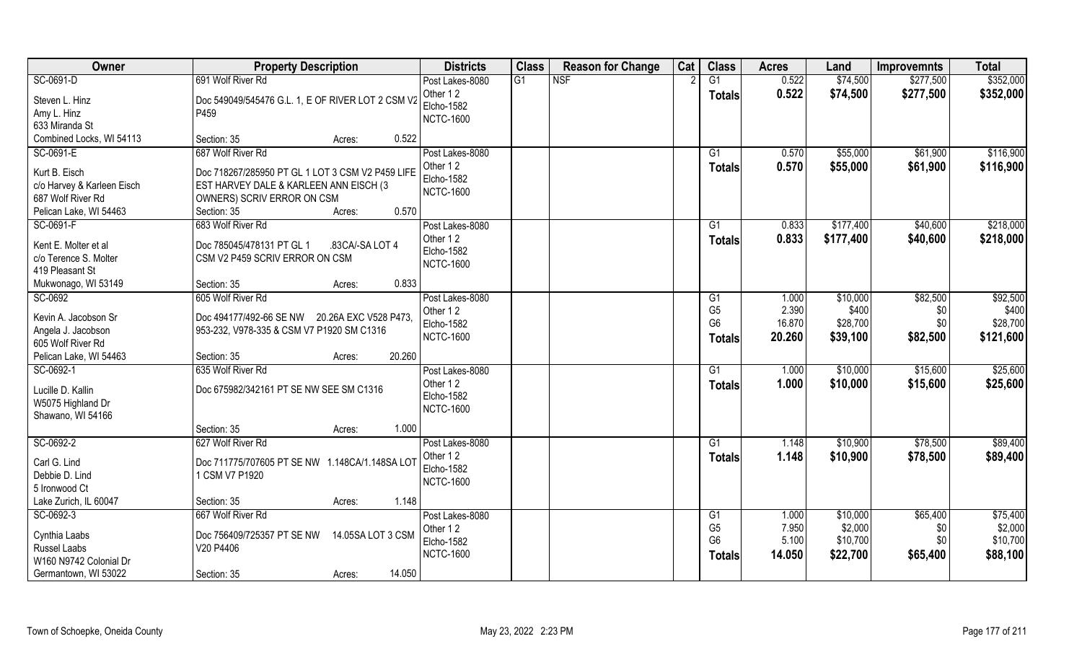| Owner                                                                                 | <b>Property Description</b>                                                                                             | <b>Districts</b>                                              | <b>Class</b>    | <b>Reason for Change</b> | Cat | <b>Class</b>                                            | <b>Acres</b>                       | Land                                      | <b>Improvemnts</b>                 | <b>Total</b>                               |
|---------------------------------------------------------------------------------------|-------------------------------------------------------------------------------------------------------------------------|---------------------------------------------------------------|-----------------|--------------------------|-----|---------------------------------------------------------|------------------------------------|-------------------------------------------|------------------------------------|--------------------------------------------|
| SC-0691-D                                                                             | 691 Wolf River Rd                                                                                                       | Post Lakes-8080                                               | $\overline{G1}$ | <b>NSF</b>               |     | $\overline{G1}$                                         | 0.522                              | \$74,500                                  | \$277,500                          | \$352,000                                  |
| Steven L. Hinz<br>Amy L. Hinz<br>633 Miranda St                                       | Doc 549049/545476 G.L. 1, E OF RIVER LOT 2 CSM V2<br>P459                                                               | Other 12<br><b>Elcho-1582</b><br><b>NCTC-1600</b>             |                 |                          |     | <b>Totals</b>                                           | 0.522                              | \$74,500                                  | \$277,500                          | \$352,000                                  |
| Combined Locks, WI 54113                                                              | 0.522<br>Section: 35<br>Acres:                                                                                          |                                                               |                 |                          |     |                                                         |                                    |                                           |                                    |                                            |
| SC-0691-E<br>Kurt B. Eisch<br>c/o Harvey & Karleen Eisch                              | 687 Wolf River Rd<br>Doc 718267/285950 PT GL 1 LOT 3 CSM V2 P459 LIFE<br>EST HARVEY DALE & KARLEEN ANN EISCH (3         | Post Lakes-8080<br>Other 12<br>Elcho-1582                     |                 |                          |     | $\overline{G1}$<br>Totals                               | 0.570<br>0.570                     | \$55,000<br>\$55,000                      | \$61,900<br>\$61,900               | \$116,900<br>\$116,900                     |
| 687 Wolf River Rd<br>Pelican Lake, WI 54463                                           | OWNERS) SCRIV ERROR ON CSM<br>0.570<br>Section: 35<br>Acres:                                                            | <b>NCTC-1600</b>                                              |                 |                          |     |                                                         |                                    |                                           |                                    |                                            |
| SC-0691-F<br>Kent E. Molter et al<br>c/o Terence S. Molter<br>419 Pleasant St         | 683 Wolf River Rd<br>Doc 785045/478131 PT GL 1<br>.83CA/-SA LOT 4<br>CSM V2 P459 SCRIV ERROR ON CSM<br>0.833            | Post Lakes-8080<br>Other 12<br>Elcho-1582<br><b>NCTC-1600</b> |                 |                          |     | G1<br><b>Totals</b>                                     | 0.833<br>0.833                     | \$177,400<br>\$177,400                    | \$40,600<br>\$40,600               | \$218,000<br>\$218,000                     |
| Mukwonago, WI 53149                                                                   | Section: 35<br>Acres:<br>605 Wolf River Rd                                                                              |                                                               |                 |                          |     |                                                         |                                    |                                           |                                    |                                            |
| SC-0692<br>Kevin A. Jacobson Sr<br>Angela J. Jacobson<br>605 Wolf River Rd            | Doc 494177/492-66 SE NW 20.26A EXC V528 P473,<br>953-232, V978-335 & CSM V7 P1920 SM C1316                              | Post Lakes-8080<br>Other 12<br>Elcho-1582<br><b>NCTC-1600</b> |                 |                          |     | G1<br>G <sub>5</sub><br>G <sub>6</sub><br><b>Totals</b> | 1.000<br>2.390<br>16.870<br>20.260 | \$10,000<br>\$400<br>\$28,700<br>\$39,100 | \$82,500<br>\$0<br>\$0<br>\$82,500 | \$92,500<br>\$400<br>\$28,700<br>\$121,600 |
| Pelican Lake, WI 54463                                                                | 20.260<br>Section: 35<br>Acres:                                                                                         |                                                               |                 |                          |     |                                                         |                                    |                                           |                                    |                                            |
| SC-0692-1<br>Lucille D. Kallin<br>W5075 Highland Dr<br>Shawano, WI 54166              | 635 Wolf River Rd<br>Doc 675982/342161 PT SE NW SEE SM C1316                                                            | Post Lakes-8080<br>Other 12<br>Elcho-1582<br><b>NCTC-1600</b> |                 |                          |     | $\overline{G1}$<br>Totals                               | 1.000<br>1.000                     | \$10,000<br>\$10,000                      | \$15,600<br>\$15,600               | \$25,600<br>\$25,600                       |
|                                                                                       | Section: 35<br>1.000<br>Acres:                                                                                          |                                                               |                 |                          |     |                                                         |                                    |                                           |                                    |                                            |
| SC-0692-2<br>Carl G. Lind<br>Debbie D. Lind<br>5 Ironwood Ct<br>Lake Zurich, IL 60047 | 627 Wolf River Rd<br>Doc 711775/707605 PT SE NW 1.148CA/1.148SA LOT<br>1 CSM V7 P1920<br>1.148<br>Section: 35<br>Acres: | Post Lakes-8080<br>Other 12<br>Elcho-1582<br><b>NCTC-1600</b> |                 |                          |     | G1<br><b>Totals</b>                                     | 1.148<br>1.148                     | \$10,900<br>\$10,900                      | \$78,500<br>\$78,500               | \$89,400<br>\$89,400                       |
| SC-0692-3                                                                             | 667 Wolf River Rd                                                                                                       | Post Lakes-8080                                               |                 |                          |     | G1                                                      | 1.000                              | \$10,000                                  | \$65,400                           | \$75,400                                   |
| Cynthia Laabs<br>Russel Laabs<br>W160 N9742 Colonial Dr                               | Doc 756409/725357 PT SE NW<br>14.05SA LOT 3 CSM<br>V20 P4406<br>14.050                                                  | Other 12<br><b>Elcho-1582</b><br><b>NCTC-1600</b>             |                 |                          |     | G <sub>5</sub><br>G <sub>6</sub><br>Totals              | 7.950<br>5.100<br>14.050           | \$2,000<br>\$10,700<br>\$22,700           | \$0<br>\$0<br>\$65,400             | \$2,000<br>\$10,700<br>\$88,100            |
| Germantown, WI 53022                                                                  | Section: 35<br>Acres:                                                                                                   |                                                               |                 |                          |     |                                                         |                                    |                                           |                                    |                                            |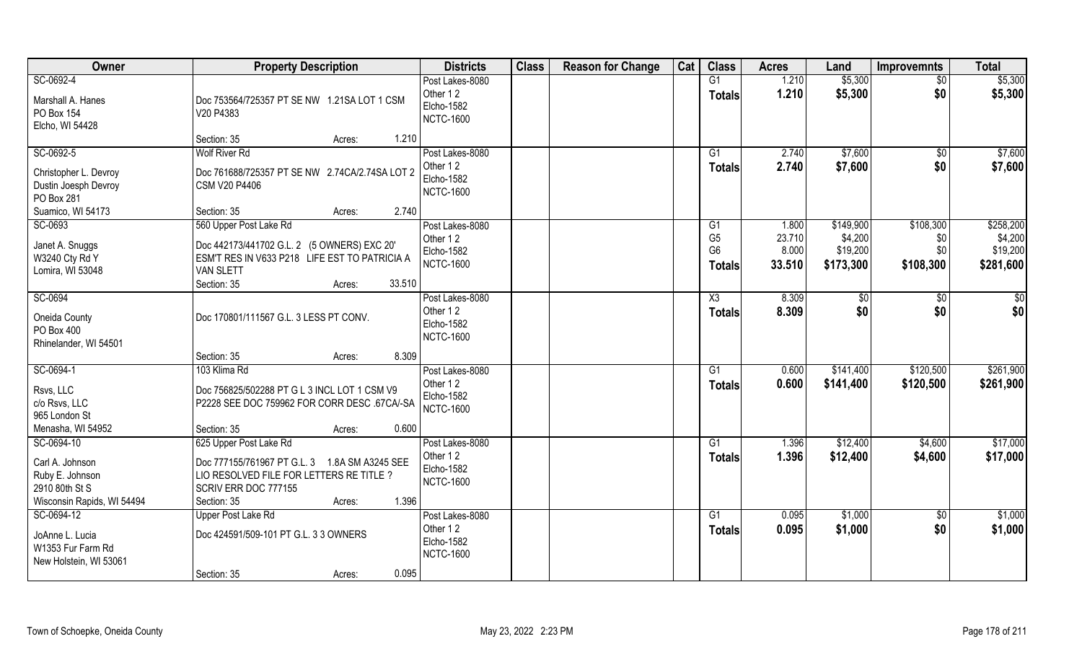| Owner                                                                              | <b>Property Description</b>                                                                                                                                                   | <b>Districts</b>                                              | <b>Class</b> | <b>Reason for Change</b> | Cat | <b>Class</b>                                            | <b>Acres</b>                       | Land                                          | <b>Improvemnts</b>                   | <b>Total</b>                                  |
|------------------------------------------------------------------------------------|-------------------------------------------------------------------------------------------------------------------------------------------------------------------------------|---------------------------------------------------------------|--------------|--------------------------|-----|---------------------------------------------------------|------------------------------------|-----------------------------------------------|--------------------------------------|-----------------------------------------------|
| SC-0692-4<br>Marshall A. Hanes<br>PO Box 154<br>Elcho, WI 54428                    | Doc 753564/725357 PT SE NW 1.21SA LOT 1 CSM<br>V20 P4383                                                                                                                      | Post Lakes-8080<br>Other 12<br>Elcho-1582<br><b>NCTC-1600</b> |              |                          |     | G1<br><b>Totals</b>                                     | 1.210<br>1.210                     | \$5,300<br>\$5,300                            | $\overline{50}$<br>\$0               | \$5,300<br>\$5,300                            |
|                                                                                    | Section: 35<br>1.210<br>Acres:                                                                                                                                                |                                                               |              |                          |     |                                                         |                                    |                                               |                                      |                                               |
| SC-0692-5<br>Christopher L. Devroy<br>Dustin Joesph Devroy<br>PO Box 281           | <b>Wolf River Rd</b><br>Doc 761688/725357 PT SE NW 2.74CA/2.74SA LOT 2<br>CSM V20 P4406                                                                                       | Post Lakes-8080<br>Other 12<br>Elcho-1582<br><b>NCTC-1600</b> |              |                          |     | G1<br><b>Totals</b>                                     | 2.740<br>2.740                     | \$7,600<br>\$7,600                            | $\overline{50}$<br>\$0               | \$7,600<br>\$7,600                            |
| Suamico, WI 54173                                                                  | 2.740<br>Section: 35<br>Acres:                                                                                                                                                |                                                               |              |                          |     |                                                         |                                    |                                               |                                      |                                               |
| SC-0693<br>Janet A. Snuggs<br>W3240 Cty Rd Y<br>Lomira, WI 53048                   | 560 Upper Post Lake Rd<br>Doc 442173/441702 G.L. 2 (5 OWNERS) EXC 20'<br>ESM'T RES IN V633 P218 LIFE EST TO PATRICIA A<br><b>VAN SLETT</b><br>Section: 35<br>33.510<br>Acres: | Post Lakes-8080<br>Other 12<br>Elcho-1582<br><b>NCTC-1600</b> |              |                          |     | G1<br>G <sub>5</sub><br>G <sub>6</sub><br><b>Totals</b> | 1.800<br>23.710<br>8.000<br>33.510 | \$149,900<br>\$4,200<br>\$19,200<br>\$173,300 | \$108,300<br>\$0<br>\$0<br>\$108,300 | \$258,200<br>\$4,200<br>\$19,200<br>\$281,600 |
| SC-0694<br>Oneida County<br>PO Box 400<br>Rhinelander, WI 54501                    | Doc 170801/111567 G.L. 3 LESS PT CONV.                                                                                                                                        | Post Lakes-8080<br>Other 12<br>Elcho-1582<br><b>NCTC-1600</b> |              |                          |     | X3<br><b>Totals</b>                                     | 8.309<br>8.309                     | \$0<br>\$0                                    | \$0<br>\$0                           | \$0<br>\$0                                    |
|                                                                                    | 8.309<br>Section: 35<br>Acres:                                                                                                                                                |                                                               |              |                          |     |                                                         |                                    |                                               |                                      |                                               |
| SC-0694-1<br>Rsvs, LLC<br>c/o Rsvs, LLC<br>965 London St<br>Menasha, WI 54952      | 103 Klima Rd<br>Doc 756825/502288 PT G L 3 INCL LOT 1 CSM V9<br>P2228 SEE DOC 759962 FOR CORR DESC .67CA/-SA<br>Section: 35<br>0.600<br>Acres:                                | Post Lakes-8080<br>Other 12<br>Elcho-1582<br><b>NCTC-1600</b> |              |                          |     | $\overline{G1}$<br><b>Totals</b>                        | 0.600<br>0.600                     | \$141,400<br>\$141,400                        | \$120,500<br>\$120,500               | \$261,900<br>\$261,900                        |
| SC-0694-10                                                                         | 625 Upper Post Lake Rd                                                                                                                                                        | Post Lakes-8080                                               |              |                          |     | G1                                                      | 1.396                              | \$12,400                                      | \$4,600                              | \$17,000                                      |
| Carl A. Johnson<br>Ruby E. Johnson<br>2910 80th St S<br>Wisconsin Rapids, WI 54494 | Doc 777155/761967 PT G.L. 3 1.8A SM A3245 SEE<br>LIO RESOLVED FILE FOR LETTERS RE TITLE ?<br>SCRIV ERR DOC 777155<br>Section: 35<br>1.396<br>Acres:                           | Other 12<br>Elcho-1582<br><b>NCTC-1600</b>                    |              |                          |     | <b>Totals</b>                                           | 1.396                              | \$12,400                                      | \$4,600                              | \$17,000                                      |
| SC-0694-12<br>JoAnne L. Lucia<br>W1353 Fur Farm Rd<br>New Holstein, WI 53061       | <b>Upper Post Lake Rd</b><br>Doc 424591/509-101 PT G.L. 3 3 OWNERS<br>0.095<br>Section: 35<br>Acres:                                                                          | Post Lakes-8080<br>Other 12<br>Elcho-1582<br><b>NCTC-1600</b> |              |                          |     | G1<br><b>Totals</b>                                     | 0.095<br>0.095                     | \$1,000<br>\$1,000                            | $\overline{50}$<br>\$0               | \$1,000<br>\$1,000                            |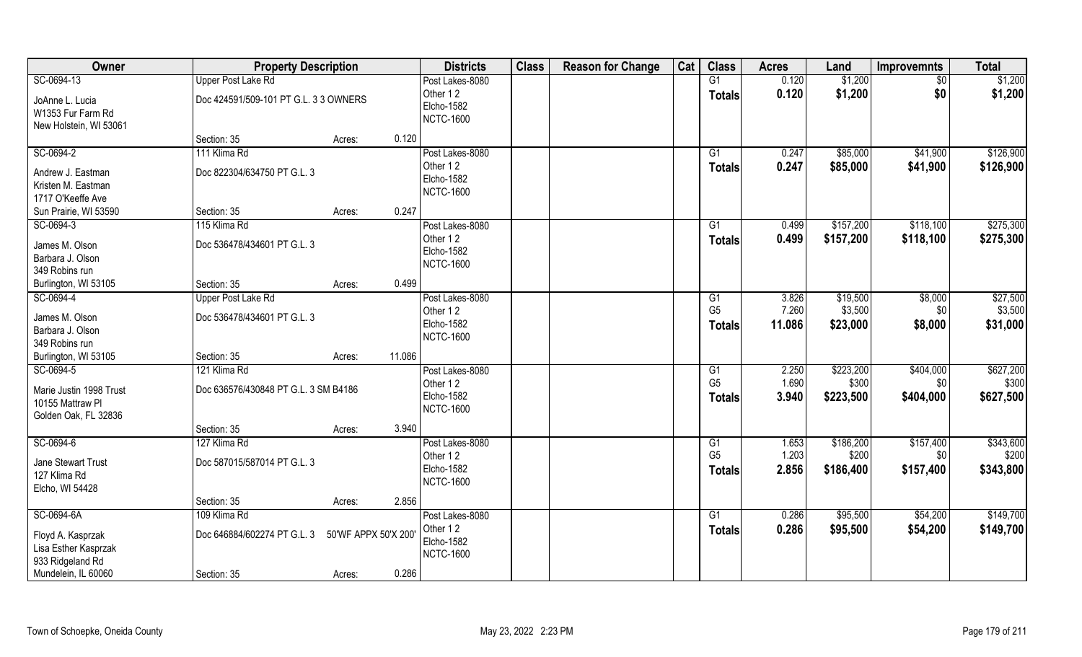| Owner                                                                                | <b>Property Description</b>                          |                               | <b>Districts</b>                                                     | <b>Class</b> | <b>Reason for Change</b> | Cat | <b>Class</b>                          | <b>Acres</b>            | Land                            | <b>Improvemnts</b>            | <b>Total</b>                    |
|--------------------------------------------------------------------------------------|------------------------------------------------------|-------------------------------|----------------------------------------------------------------------|--------------|--------------------------|-----|---------------------------------------|-------------------------|---------------------------------|-------------------------------|---------------------------------|
| SC-0694-13                                                                           | <b>Upper Post Lake Rd</b>                            |                               | Post Lakes-8080                                                      |              |                          |     | G1                                    | 0.120                   | \$1,200                         | $\overline{50}$               | \$1,200                         |
| JoAnne L. Lucia<br>W1353 Fur Farm Rd<br>New Holstein, WI 53061                       | Doc 424591/509-101 PT G.L. 3 3 OWNERS                |                               | Other 12<br>Elcho-1582<br><b>NCTC-1600</b>                           |              |                          |     | <b>Totals</b>                         | 0.120                   | \$1,200                         | \$0                           | \$1,200                         |
|                                                                                      | Section: 35                                          | Acres:                        | 0.120                                                                |              |                          |     |                                       |                         |                                 |                               |                                 |
| SC-0694-2                                                                            | 111 Klima Rd                                         |                               | Post Lakes-8080                                                      |              |                          |     | G1                                    | 0.247                   | \$85,000                        | \$41,900                      | \$126,900                       |
| Andrew J. Eastman<br>Kristen M. Eastman<br>1717 O'Keeffe Ave                         | Doc 822304/634750 PT G.L. 3                          |                               | Other 12<br>Elcho-1582<br><b>NCTC-1600</b>                           |              |                          |     | <b>Totals</b>                         | 0.247                   | \$85,000                        | \$41,900                      | \$126,900                       |
| Sun Prairie, WI 53590                                                                | Section: 35                                          | Acres:                        | 0.247                                                                |              |                          |     |                                       |                         |                                 |                               |                                 |
| SC-0694-3                                                                            | 115 Klima Rd                                         |                               | Post Lakes-8080                                                      |              |                          |     | G1                                    | 0.499                   | \$157,200                       | \$118,100                     | \$275,300                       |
| James M. Olson<br>Barbara J. Olson<br>349 Robins run                                 | Doc 536478/434601 PT G.L. 3                          |                               | Other 12<br>Elcho-1582<br><b>NCTC-1600</b>                           |              |                          |     | <b>Totals</b>                         | 0.499                   | \$157,200                       | \$118,100                     | \$275,300                       |
| Burlington, WI 53105                                                                 | Section: 35                                          | Acres:                        | 0.499                                                                |              |                          |     |                                       |                         |                                 |                               |                                 |
| SC-0694-4                                                                            | Upper Post Lake Rd                                   |                               | Post Lakes-8080                                                      |              |                          |     | G1                                    | 3.826                   | \$19,500                        | \$8,000                       | \$27,500                        |
| James M. Olson<br>Barbara J. Olson<br>349 Robins run                                 | Doc 536478/434601 PT G.L. 3                          |                               | Other 12<br>Elcho-1582<br><b>NCTC-1600</b>                           |              |                          |     | G <sub>5</sub><br><b>Totals</b>       | 7.260<br>11.086         | \$3,500<br>\$23,000             | \$0<br>\$8,000                | \$3,500<br>\$31,000             |
| Burlington, WI 53105                                                                 | Section: 35                                          | Acres:                        | 11.086                                                               |              |                          |     |                                       |                         |                                 |                               |                                 |
| SC-0694-5<br>Marie Justin 1998 Trust<br>10155 Mattraw PI<br>Golden Oak, FL 32836     | 121 Klima Rd<br>Doc 636576/430848 PT G.L. 3 SM B4186 |                               | Post Lakes-8080<br>Other 12<br><b>Elcho-1582</b><br><b>NCTC-1600</b> |              |                          |     | G1<br>G <sub>5</sub><br><b>Totals</b> | 2.250<br>1.690<br>3.940 | \$223,200<br>\$300<br>\$223,500 | \$404,000<br>\$0<br>\$404,000 | \$627,200<br>\$300<br>\$627,500 |
|                                                                                      | Section: 35                                          | Acres:                        | 3.940                                                                |              |                          |     |                                       |                         |                                 |                               |                                 |
| SC-0694-6                                                                            | 127 Klima Rd                                         |                               | Post Lakes-8080                                                      |              |                          |     | G1                                    | 1.653                   | \$186,200                       | \$157,400                     | \$343,600                       |
| Jane Stewart Trust<br>127 Klima Rd<br>Elcho, WI 54428                                | Doc 587015/587014 PT G.L. 3                          |                               | Other 12<br>Elcho-1582<br><b>NCTC-1600</b>                           |              |                          |     | G <sub>5</sub><br><b>Totals</b>       | 1.203<br>2.856          | \$200<br>\$186,400              | \$0<br>\$157,400              | \$200<br>\$343,800              |
|                                                                                      | Section: 35                                          | Acres:                        | 2.856                                                                |              |                          |     |                                       |                         |                                 |                               |                                 |
| SC-0694-6A                                                                           | 109 Klima Rd                                         |                               | Post Lakes-8080                                                      |              |                          |     | G1                                    | 0.286                   | \$95,500                        | \$54,200                      | \$149,700                       |
| Floyd A. Kasprzak<br>Lisa Esther Kasprzak<br>933 Ridgeland Rd<br>Mundelein, IL 60060 | Doc 646884/602274 PT G.L. 3<br>Section: 35           | 50'WF APPX 50'X 200<br>Acres: | Other 12<br>Elcho-1582<br><b>NCTC-1600</b><br>0.286                  |              |                          |     | <b>Totals</b>                         | 0.286                   | \$95,500                        | \$54,200                      | \$149,700                       |
|                                                                                      |                                                      |                               |                                                                      |              |                          |     |                                       |                         |                                 |                               |                                 |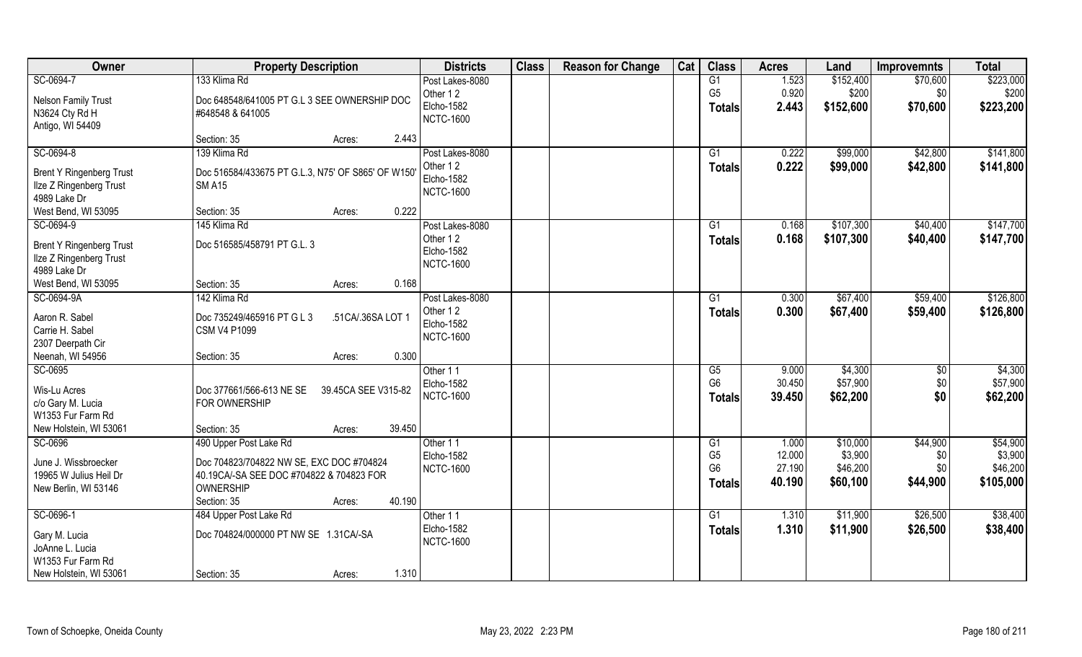| Owner                           | <b>Property Description</b>                       | <b>Districts</b>  | <b>Class</b> | <b>Reason for Change</b> | Cat | <b>Class</b>    | <b>Acres</b> | Land      | <b>Improvemnts</b> | <b>Total</b> |
|---------------------------------|---------------------------------------------------|-------------------|--------------|--------------------------|-----|-----------------|--------------|-----------|--------------------|--------------|
| SC-0694-7                       | 133 Klima Rd                                      | Post Lakes-8080   |              |                          |     | G1              | 1.523        | \$152,400 | \$70,600           | \$223,000    |
| <b>Nelson Family Trust</b>      | Doc 648548/641005 PT G.L 3 SEE OWNERSHIP DOC      | Other 12          |              |                          |     | G <sub>5</sub>  | 0.920        | \$200     | \$0                | \$200        |
| N3624 Cty Rd H                  | #648548 & 641005                                  | <b>Elcho-1582</b> |              |                          |     | <b>Totals</b>   | 2.443        | \$152,600 | \$70,600           | \$223,200    |
| Antigo, WI 54409                |                                                   | <b>NCTC-1600</b>  |              |                          |     |                 |              |           |                    |              |
|                                 | 2.443<br>Section: 35<br>Acres:                    |                   |              |                          |     |                 |              |           |                    |              |
| SC-0694-8                       | 139 Klima Rd                                      | Post Lakes-8080   |              |                          |     | G1              | 0.222        | \$99,000  | \$42,800           | \$141,800    |
| <b>Brent Y Ringenberg Trust</b> | Doc 516584/433675 PT G.L.3, N75' OF S865' OF W150 | Other 12          |              |                          |     | Totals          | 0.222        | \$99,000  | \$42,800           | \$141,800    |
| Ilze Z Ringenberg Trust         | <b>SM A15</b>                                     | <b>Elcho-1582</b> |              |                          |     |                 |              |           |                    |              |
| 4989 Lake Dr                    |                                                   | <b>NCTC-1600</b>  |              |                          |     |                 |              |           |                    |              |
| West Bend, WI 53095             | 0.222<br>Section: 35<br>Acres:                    |                   |              |                          |     |                 |              |           |                    |              |
| SC-0694-9                       | 145 Klima Rd                                      | Post Lakes-8080   |              |                          |     | G1              | 0.168        | \$107,300 | \$40,400           | \$147,700    |
| <b>Brent Y Ringenberg Trust</b> | Doc 516585/458791 PT G.L. 3                       | Other 12          |              |                          |     | <b>Totals</b>   | 0.168        | \$107,300 | \$40,400           | \$147,700    |
| Ilze Z Ringenberg Trust         |                                                   | Elcho-1582        |              |                          |     |                 |              |           |                    |              |
| 4989 Lake Dr                    |                                                   | <b>NCTC-1600</b>  |              |                          |     |                 |              |           |                    |              |
| West Bend, WI 53095             | 0.168<br>Section: 35<br>Acres:                    |                   |              |                          |     |                 |              |           |                    |              |
| SC-0694-9A                      | 142 Klima Rd                                      | Post Lakes-8080   |              |                          |     | G1              | 0.300        | \$67,400  | \$59,400           | \$126,800    |
| Aaron R. Sabel                  | Doc 735249/465916 PT G L 3<br>.51CA/.36SA LOT 1   | Other 12          |              |                          |     | <b>Totals</b>   | 0.300        | \$67,400  | \$59,400           | \$126,800    |
| Carrie H. Sabel                 | <b>CSM V4 P1099</b>                               | <b>Elcho-1582</b> |              |                          |     |                 |              |           |                    |              |
| 2307 Deerpath Cir               |                                                   | <b>NCTC-1600</b>  |              |                          |     |                 |              |           |                    |              |
| Neenah, WI 54956                | 0.300<br>Section: 35<br>Acres:                    |                   |              |                          |     |                 |              |           |                    |              |
| SC-0695                         |                                                   | Other 11          |              |                          |     | G5              | 9.000        | \$4,300   | \$0                | \$4,300      |
| Wis-Lu Acres                    | Doc 377661/566-613 NE SE<br>39.45CA SEE V315-82   | <b>Elcho-1582</b> |              |                          |     | G <sub>6</sub>  | 30.450       | \$57,900  | \$0                | \$57,900     |
| c/o Gary M. Lucia               | FOR OWNERSHIP                                     | <b>NCTC-1600</b>  |              |                          |     | Totals          | 39.450       | \$62,200  | \$0                | \$62,200     |
| W1353 Fur Farm Rd               |                                                   |                   |              |                          |     |                 |              |           |                    |              |
| New Holstein, WI 53061          | 39.450<br>Section: 35<br>Acres:                   |                   |              |                          |     |                 |              |           |                    |              |
| SC-0696                         | 490 Upper Post Lake Rd                            | Other 11          |              |                          |     | G1              | 1.000        | \$10,000  | \$44,900           | \$54,900     |
| June J. Wissbroecker            | Doc 704823/704822 NW SE, EXC DOC #704824          | Elcho-1582        |              |                          |     | G <sub>5</sub>  | 12.000       | \$3,900   | \$0                | \$3,900      |
| 19965 W Julius Heil Dr          | 40.19CA/-SA SEE DOC #704822 & 704823 FOR          | <b>NCTC-1600</b>  |              |                          |     | G <sub>6</sub>  | 27.190       | \$46,200  | \$0                | \$46,200     |
| New Berlin, WI 53146            | OWNERSHIP                                         |                   |              |                          |     | <b>Totals</b>   | 40.190       | \$60,100  | \$44,900           | \$105,000    |
|                                 | 40.190<br>Section: 35<br>Acres:                   |                   |              |                          |     |                 |              |           |                    |              |
| SC-0696-1                       | 484 Upper Post Lake Rd                            | Other 11          |              |                          |     | $\overline{G1}$ | 1.310        | \$11,900  | \$26,500           | \$38,400     |
| Gary M. Lucia                   | Doc 704824/000000 PT NW SE 1.31CA/-SA             | Elcho-1582        |              |                          |     | <b>Totals</b>   | 1.310        | \$11,900  | \$26,500           | \$38,400     |
| JoAnne L. Lucia                 |                                                   | <b>NCTC-1600</b>  |              |                          |     |                 |              |           |                    |              |
| W1353 Fur Farm Rd               |                                                   |                   |              |                          |     |                 |              |           |                    |              |
| New Holstein, WI 53061          | 1.310<br>Section: 35<br>Acres:                    |                   |              |                          |     |                 |              |           |                    |              |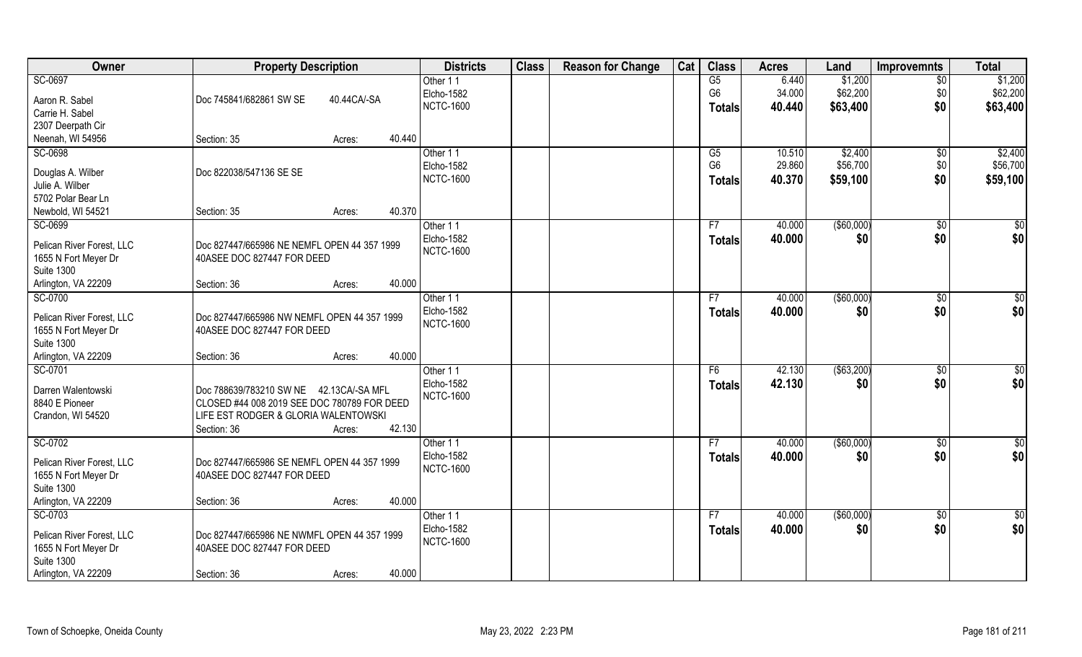| Owner                     | <b>Property Description</b>                 | <b>Districts</b>  | <b>Class</b> | <b>Reason for Change</b> | Cat | <b>Class</b>   | <b>Acres</b> | Land          | Improvemnts    | <b>Total</b>    |
|---------------------------|---------------------------------------------|-------------------|--------------|--------------------------|-----|----------------|--------------|---------------|----------------|-----------------|
| SC-0697                   |                                             | Other 11          |              |                          |     | G5             | 6.440        | \$1,200       | \$0            | \$1,200         |
| Aaron R. Sabel            | Doc 745841/682861 SW SE<br>40.44CA/-SA      | Elcho-1582        |              |                          |     | G <sub>6</sub> | 34.000       | \$62,200      | \$0            | \$62,200        |
| Carrie H. Sabel           |                                             | <b>NCTC-1600</b>  |              |                          |     | <b>Totals</b>  | 40.440       | \$63,400      | \$0            | \$63,400        |
| 2307 Deerpath Cir         |                                             |                   |              |                          |     |                |              |               |                |                 |
| Neenah, WI 54956          | 40.440<br>Section: 35<br>Acres:             |                   |              |                          |     |                |              |               |                |                 |
| SC-0698                   |                                             | Other 11          |              |                          |     | G5             | 10.510       | \$2,400       | $\sqrt{$0}$    | \$2,400         |
|                           |                                             | Elcho-1582        |              |                          |     | G <sub>6</sub> | 29.860       | \$56,700      | \$0            | \$56,700        |
| Douglas A. Wilber         | Doc 822038/547136 SE SE                     | <b>NCTC-1600</b>  |              |                          |     | <b>Totals</b>  | 40.370       | \$59,100      | \$0            | \$59,100        |
| Julie A. Wilber           |                                             |                   |              |                          |     |                |              |               |                |                 |
| 5702 Polar Bear Ln        |                                             |                   |              |                          |     |                |              |               |                |                 |
| Newbold, WI 54521         | 40.370<br>Section: 35<br>Acres:             |                   |              |                          |     |                |              |               |                |                 |
| SC-0699                   |                                             | Other 11          |              |                          |     | F7             | 40.000       | ( \$60,000)   | $\sqrt[6]{30}$ | \$0             |
| Pelican River Forest, LLC | Doc 827447/665986 NE NEMFL OPEN 44 357 1999 | Elcho-1582        |              |                          |     | <b>Totals</b>  | 40.000       | \$0           | \$0            | \$0             |
| 1655 N Fort Meyer Dr      | 40ASEE DOC 827447 FOR DEED                  | <b>NCTC-1600</b>  |              |                          |     |                |              |               |                |                 |
| <b>Suite 1300</b>         |                                             |                   |              |                          |     |                |              |               |                |                 |
| Arlington, VA 22209       | 40.000<br>Section: 36<br>Acres:             |                   |              |                          |     |                |              |               |                |                 |
| SC-0700                   |                                             | Other 11          |              |                          |     | F7             | 40.000       | $($ \$60,000) | $\sqrt[6]{3}$  | \$0             |
| Pelican River Forest, LLC | Doc 827447/665986 NW NEMFL OPEN 44 357 1999 | Elcho-1582        |              |                          |     | <b>Totals</b>  | 40.000       | \$0           | \$0            | \$0             |
| 1655 N Fort Meyer Dr      | 40ASEE DOC 827447 FOR DEED                  | <b>NCTC-1600</b>  |              |                          |     |                |              |               |                |                 |
| <b>Suite 1300</b>         |                                             |                   |              |                          |     |                |              |               |                |                 |
| Arlington, VA 22209       | 40.000<br>Section: 36<br>Acres:             |                   |              |                          |     |                |              |               |                |                 |
| SC-0701                   |                                             | Other 11          |              |                          |     | F <sub>6</sub> | 42.130       | ( \$63,200)   | $\sqrt[6]{30}$ | $\overline{50}$ |
|                           |                                             | Elcho-1582        |              |                          |     | <b>Totals</b>  | 42.130       | \$0           | \$0            | \$0             |
| Darren Walentowski        | Doc 788639/783210 SW NE 42.13CA/-SA MFL     | <b>NCTC-1600</b>  |              |                          |     |                |              |               |                |                 |
| 8840 E Pioneer            | CLOSED #44 008 2019 SEE DOC 780789 FOR DEED |                   |              |                          |     |                |              |               |                |                 |
| Crandon, WI 54520         | LIFE EST RODGER & GLORIA WALENTOWSKI        |                   |              |                          |     |                |              |               |                |                 |
|                           | 42.130<br>Section: 36<br>Acres:             |                   |              |                          |     |                |              |               |                |                 |
| SC-0702                   |                                             | Other 11          |              |                          |     | F7             | 40.000       | (\$60,000)    | \$0            | $\overline{50}$ |
| Pelican River Forest, LLC | Doc 827447/665986 SE NEMFL OPEN 44 357 1999 | Elcho-1582        |              |                          |     | <b>Totals</b>  | 40.000       | \$0           | \$0            | \$0             |
| 1655 N Fort Meyer Dr      | 40ASEE DOC 827447 FOR DEED                  | <b>NCTC-1600</b>  |              |                          |     |                |              |               |                |                 |
| <b>Suite 1300</b>         |                                             |                   |              |                          |     |                |              |               |                |                 |
| Arlington, VA 22209       | 40.000<br>Section: 36<br>Acres:             |                   |              |                          |     |                |              |               |                |                 |
| SC-0703                   |                                             | Other 11          |              |                          |     | F7             | 40.000       | ( \$60,000)   | $\sqrt{$0}$    | $\overline{50}$ |
| Pelican River Forest, LLC | Doc 827447/665986 NE NWMFL OPEN 44 357 1999 | <b>Elcho-1582</b> |              |                          |     | <b>Totals</b>  | 40.000       | \$0           | \$0            | \$0             |
| 1655 N Fort Meyer Dr      | 40ASEE DOC 827447 FOR DEED                  | <b>NCTC-1600</b>  |              |                          |     |                |              |               |                |                 |
| <b>Suite 1300</b>         |                                             |                   |              |                          |     |                |              |               |                |                 |
| Arlington, VA 22209       | 40.000<br>Section: 36<br>Acres:             |                   |              |                          |     |                |              |               |                |                 |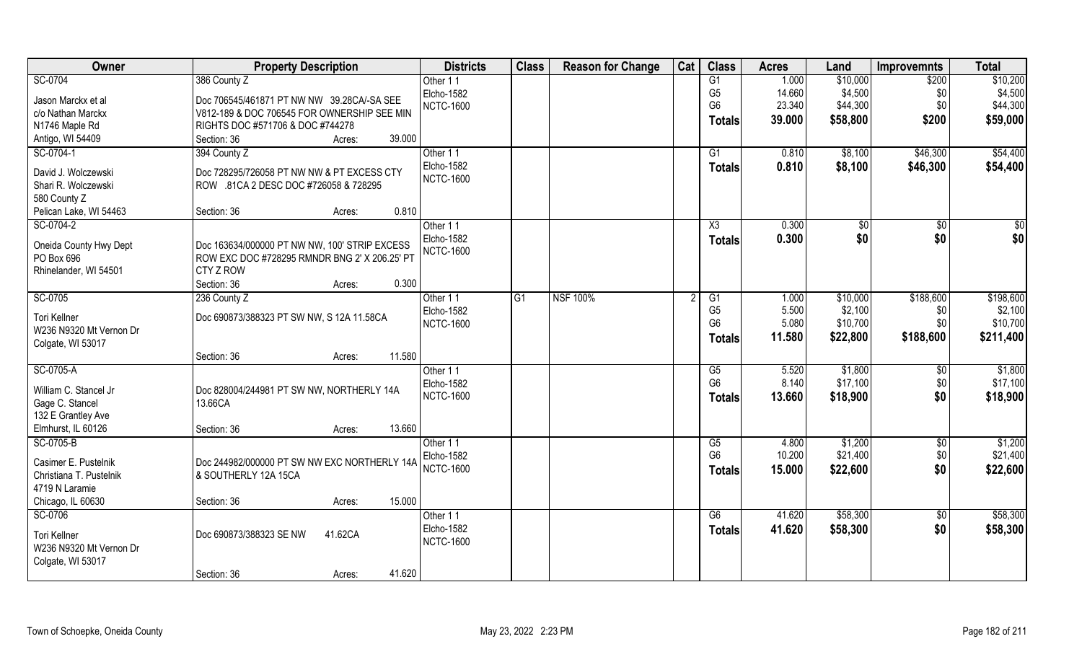| Owner                                    | <b>Property Description</b>                          | <b>Districts</b>              | <b>Class</b>    | <b>Reason for Change</b> | Cat | <b>Class</b>   | <b>Acres</b> | Land                 | <b>Improvemnts</b>    | <b>Total</b> |
|------------------------------------------|------------------------------------------------------|-------------------------------|-----------------|--------------------------|-----|----------------|--------------|----------------------|-----------------------|--------------|
| SC-0704                                  | 386 County Z                                         | Other 11                      |                 |                          |     | G1             | 1.000        | \$10,000             | \$200                 | \$10,200     |
| Jason Marckx et al                       | Doc 706545/461871 PT NW NW 39.28CA/-SA SEE           | Elcho-1582                    |                 |                          |     | G <sub>5</sub> | 14.660       | \$4,500              | \$0                   | \$4,500      |
| c/o Nathan Marckx                        | V812-189 & DOC 706545 FOR OWNERSHIP SEE MIN          | <b>NCTC-1600</b>              |                 |                          |     | G <sub>6</sub> | 23.340       | \$44,300             | \$0                   | \$44,300     |
| N1746 Maple Rd                           | RIGHTS DOC #571706 & DOC #744278                     |                               |                 |                          |     | <b>Totals</b>  | 39.000       | \$58,800             | \$200                 | \$59,000     |
| Antigo, WI 54409                         | 39.000<br>Section: 36<br>Acres:                      |                               |                 |                          |     |                |              |                      |                       |              |
| SC-0704-1                                | 394 County Z                                         | Other 11                      |                 |                          |     | G1             | 0.810        | \$8,100              | \$46,300              | \$54,400     |
|                                          |                                                      | Elcho-1582                    |                 |                          |     | <b>Totals</b>  | 0.810        | \$8,100              | \$46,300              | \$54,400     |
| David J. Wolczewski                      | Doc 728295/726058 PT NW NW & PT EXCESS CTY           | <b>NCTC-1600</b>              |                 |                          |     |                |              |                      |                       |              |
| Shari R. Wolczewski                      | ROW .81CA 2 DESC DOC #726058 & 728295                |                               |                 |                          |     |                |              |                      |                       |              |
| 580 County Z<br>Pelican Lake, WI 54463   | 0.810<br>Section: 36                                 |                               |                 |                          |     |                |              |                      |                       |              |
| SC-0704-2                                | Acres:                                               |                               |                 |                          |     | X3             | 0.300        |                      |                       |              |
|                                          |                                                      | Other 11<br><b>Elcho-1582</b> |                 |                          |     |                |              | $\sqrt[6]{3}$<br>\$0 | $\sqrt[6]{30}$<br>\$0 | \$0<br>\$0   |
| Oneida County Hwy Dept                   | Doc 163634/000000 PT NW NW, 100' STRIP EXCESS        | <b>NCTC-1600</b>              |                 |                          |     | <b>Totals</b>  | 0.300        |                      |                       |              |
| PO Box 696                               | ROW EXC DOC #728295 RMNDR BNG 2' X 206.25' PT        |                               |                 |                          |     |                |              |                      |                       |              |
| Rhinelander, WI 54501                    | <b>CTY Z ROW</b>                                     |                               |                 |                          |     |                |              |                      |                       |              |
|                                          | Section: 36<br>0.300<br>Acres:                       |                               |                 |                          |     |                |              |                      |                       |              |
| SC-0705                                  | 236 County Z                                         | Other 11                      | $\overline{G1}$ | <b>NSF 100%</b>          |     | G1             | 1.000        | \$10,000             | \$188,600             | \$198,600    |
| Tori Kellner                             | Doc 690873/388323 PT SW NW, S 12A 11.58CA            | Elcho-1582                    |                 |                          |     | G <sub>5</sub> | 5.500        | \$2,100              | \$0                   | \$2,100      |
| W236 N9320 Mt Vernon Dr                  |                                                      | <b>NCTC-1600</b>              |                 |                          |     | G <sub>6</sub> | 5.080        | \$10,700             | \$0                   | \$10,700     |
| Colgate, WI 53017                        |                                                      |                               |                 |                          |     | <b>Totals</b>  | 11.580       | \$22,800             | \$188,600             | \$211,400    |
|                                          | 11.580<br>Section: 36<br>Acres:                      |                               |                 |                          |     |                |              |                      |                       |              |
| SC-0705-A                                |                                                      | Other 11                      |                 |                          |     | G5             | 5.520        | \$1,800              | $\sqrt[6]{30}$        | \$1,800      |
|                                          |                                                      | Elcho-1582                    |                 |                          |     | G <sub>6</sub> | 8.140        | \$17,100             | \$0                   | \$17,100     |
| William C. Stancel Jr<br>Gage C. Stancel | Doc 828004/244981 PT SW NW, NORTHERLY 14A<br>13.66CA | <b>NCTC-1600</b>              |                 |                          |     | <b>Totals</b>  | 13.660       | \$18,900             | \$0                   | \$18,900     |
| 132 E Grantley Ave                       |                                                      |                               |                 |                          |     |                |              |                      |                       |              |
| Elmhurst, IL 60126                       | 13.660<br>Section: 36<br>Acres:                      |                               |                 |                          |     |                |              |                      |                       |              |
| SC-0705-B                                |                                                      | Other 11                      |                 |                          |     | G5             | 4.800        | \$1,200              | \$0                   | \$1,200      |
|                                          |                                                      | Elcho-1582                    |                 |                          |     | G <sub>6</sub> | 10.200       | \$21,400             | \$0                   | \$21,400     |
| Casimer E. Pustelnik                     | Doc 244982/000000 PT SW NW EXC NORTHERLY 14A         | <b>NCTC-1600</b>              |                 |                          |     | <b>Totals</b>  | 15.000       | \$22,600             | \$0                   | \$22,600     |
| Christiana T. Pustelnik                  | & SOUTHERLY 12A 15CA                                 |                               |                 |                          |     |                |              |                      |                       |              |
| 4719 N Laramie                           |                                                      |                               |                 |                          |     |                |              |                      |                       |              |
| Chicago, IL 60630                        | 15.000<br>Section: 36<br>Acres:                      |                               |                 |                          |     |                |              |                      |                       |              |
| SC-0706                                  |                                                      | Other 11                      |                 |                          |     | G6             | 41.620       | \$58,300             | $\overline{50}$       | \$58,300     |
| Tori Kellner                             | Doc 690873/388323 SE NW<br>41.62CA                   | <b>Elcho-1582</b>             |                 |                          |     | <b>Totals</b>  | 41.620       | \$58,300             | \$0                   | \$58,300     |
| W236 N9320 Mt Vernon Dr                  |                                                      | <b>NCTC-1600</b>              |                 |                          |     |                |              |                      |                       |              |
| Colgate, WI 53017                        |                                                      |                               |                 |                          |     |                |              |                      |                       |              |
|                                          | 41.620<br>Section: 36<br>Acres:                      |                               |                 |                          |     |                |              |                      |                       |              |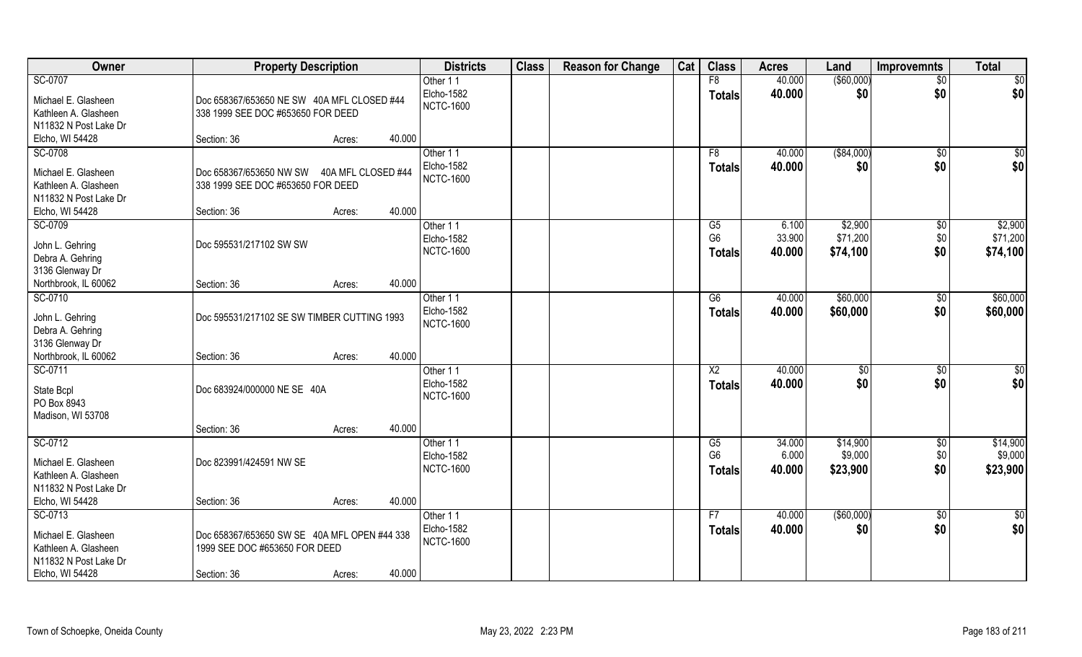| Owner                 | <b>Property Description</b>                  |        |        | <b>Districts</b> | <b>Class</b> | <b>Reason for Change</b> | Cat | <b>Class</b>   | <b>Acres</b> | Land              | Improvemnts     | <b>Total</b> |
|-----------------------|----------------------------------------------|--------|--------|------------------|--------------|--------------------------|-----|----------------|--------------|-------------------|-----------------|--------------|
| SC-0707               |                                              |        |        | Other 11         |              |                          |     | F8             | 40.000       | $($ \$60,000) $ $ | $\overline{50}$ | \$0          |
| Michael E. Glasheen   | Doc 658367/653650 NE SW 40A MFL CLOSED #44   |        |        | Elcho-1582       |              |                          |     | <b>Totals</b>  | 40.000       | \$0               | \$0             | \$0          |
| Kathleen A. Glasheen  | 338 1999 SEE DOC #653650 FOR DEED            |        |        | <b>NCTC-1600</b> |              |                          |     |                |              |                   |                 |              |
| N11832 N Post Lake Dr |                                              |        |        |                  |              |                          |     |                |              |                   |                 |              |
| Elcho, WI 54428       | Section: 36                                  | Acres: | 40.000 |                  |              |                          |     |                |              |                   |                 |              |
| SC-0708               |                                              |        |        | Other 11         |              |                          |     | F8             | 40.000       | ( \$84,000)       | $\overline{50}$ | \$0          |
| Michael E. Glasheen   | Doc 658367/653650 NW SW 40A MFL CLOSED #44   |        |        | Elcho-1582       |              |                          |     | <b>Totals</b>  | 40.000       | \$0               | \$0             | \$0          |
| Kathleen A. Glasheen  | 338 1999 SEE DOC #653650 FOR DEED            |        |        | <b>NCTC-1600</b> |              |                          |     |                |              |                   |                 |              |
| N11832 N Post Lake Dr |                                              |        |        |                  |              |                          |     |                |              |                   |                 |              |
| Elcho, WI 54428       | Section: 36                                  | Acres: | 40.000 |                  |              |                          |     |                |              |                   |                 |              |
| SC-0709               |                                              |        |        | Other 11         |              |                          |     | G5             | 6.100        | \$2,900           | $\sqrt[6]{3}$   | \$2,900      |
| John L. Gehring       | Doc 595531/217102 SW SW                      |        |        | Elcho-1582       |              |                          |     | G <sub>6</sub> | 33.900       | \$71,200          | \$0             | \$71,200     |
| Debra A. Gehring      |                                              |        |        | <b>NCTC-1600</b> |              |                          |     | <b>Totals</b>  | 40.000       | \$74,100          | \$0             | \$74,100     |
| 3136 Glenway Dr       |                                              |        |        |                  |              |                          |     |                |              |                   |                 |              |
| Northbrook, IL 60062  | Section: 36                                  | Acres: | 40.000 |                  |              |                          |     |                |              |                   |                 |              |
| SC-0710               |                                              |        |        | Other 11         |              |                          |     | G6             | 40.000       | \$60,000          | $\sqrt[6]{3}$   | \$60,000     |
| John L. Gehring       | Doc 595531/217102 SE SW TIMBER CUTTING 1993  |        |        | Elcho-1582       |              |                          |     | <b>Totals</b>  | 40.000       | \$60,000          | \$0             | \$60,000     |
| Debra A. Gehring      |                                              |        |        | <b>NCTC-1600</b> |              |                          |     |                |              |                   |                 |              |
| 3136 Glenway Dr       |                                              |        |        |                  |              |                          |     |                |              |                   |                 |              |
| Northbrook, IL 60062  | Section: 36                                  | Acres: | 40.000 |                  |              |                          |     |                |              |                   |                 |              |
| SC-0711               |                                              |        |        | Other 11         |              |                          |     | X <sub>2</sub> | 40.000       | \$0               | \$0             | \$0          |
| State Bcpl            | Doc 683924/000000 NE SE 40A                  |        |        | Elcho-1582       |              |                          |     | <b>Totals</b>  | 40.000       | \$0               | \$0             | \$0          |
| PO Box 8943           |                                              |        |        | <b>NCTC-1600</b> |              |                          |     |                |              |                   |                 |              |
| Madison, WI 53708     |                                              |        |        |                  |              |                          |     |                |              |                   |                 |              |
|                       | Section: 36                                  | Acres: | 40.000 |                  |              |                          |     |                |              |                   |                 |              |
| SC-0712               |                                              |        |        | Other 11         |              |                          |     | G5             | 34.000       | \$14,900          | \$0             | \$14,900     |
| Michael E. Glasheen   | Doc 823991/424591 NW SE                      |        |        | Elcho-1582       |              |                          |     | G <sub>6</sub> | 6.000        | \$9,000           | \$0             | \$9,000      |
| Kathleen A. Glasheen  |                                              |        |        | <b>NCTC-1600</b> |              |                          |     | <b>Totals</b>  | 40.000       | \$23,900          | \$0             | \$23,900     |
| N11832 N Post Lake Dr |                                              |        |        |                  |              |                          |     |                |              |                   |                 |              |
| Elcho, WI 54428       | Section: 36                                  | Acres: | 40.000 |                  |              |                          |     |                |              |                   |                 |              |
| SC-0713               |                                              |        |        | Other 11         |              |                          |     | F7             | 40.000       | $($ \$60,000)     | $\sqrt{6}$      | \$0          |
| Michael E. Glasheen   | Doc 658367/653650 SW SE 40A MFL OPEN #44 338 |        |        | Elcho-1582       |              |                          |     | <b>Totals</b>  | 40.000       | \$0               | \$0             | \$0          |
| Kathleen A. Glasheen  | 1999 SEE DOC #653650 FOR DEED                |        |        | <b>NCTC-1600</b> |              |                          |     |                |              |                   |                 |              |
| N11832 N Post Lake Dr |                                              |        |        |                  |              |                          |     |                |              |                   |                 |              |
| Elcho, WI 54428       | Section: 36                                  | Acres: | 40.000 |                  |              |                          |     |                |              |                   |                 |              |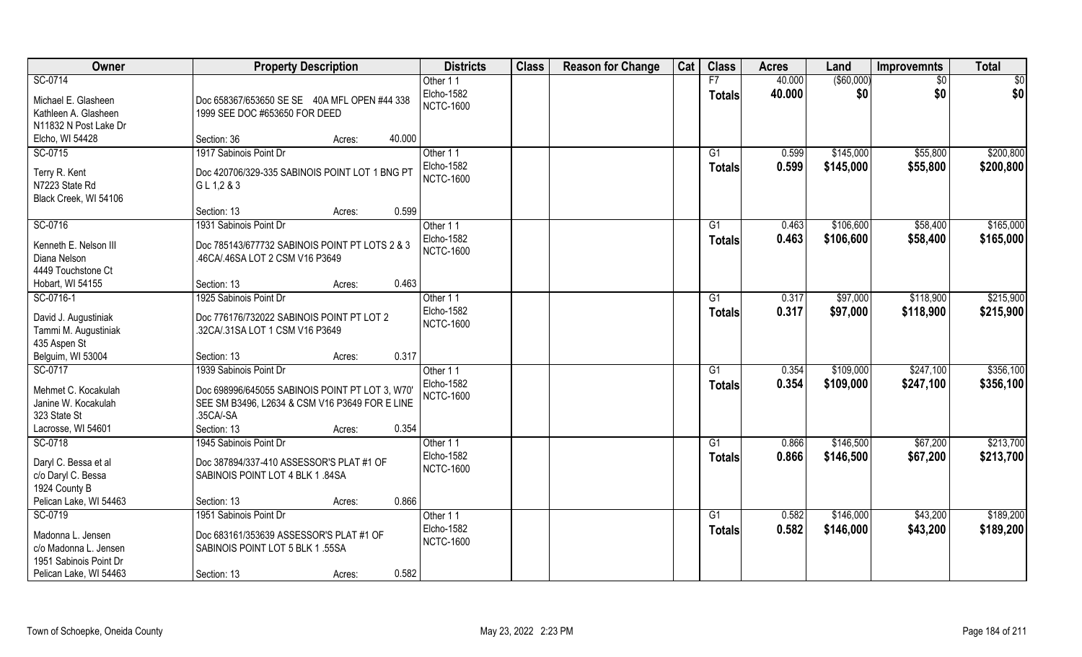| Owner                               | <b>Property Description</b>                                 | <b>Districts</b>  | <b>Class</b> | <b>Reason for Change</b> | Cat | <b>Class</b>  | <b>Acres</b> | Land        | <b>Improvemnts</b> | <b>Total</b> |
|-------------------------------------|-------------------------------------------------------------|-------------------|--------------|--------------------------|-----|---------------|--------------|-------------|--------------------|--------------|
| SC-0714                             |                                                             | Other 11          |              |                          |     | F7            | 40.000       | ( \$60,000) | \$0                | \$0          |
| Michael E. Glasheen                 | Doc 658367/653650 SE SE 40A MFL OPEN #44 338                | Elcho-1582        |              |                          |     | <b>Totals</b> | 40.000       | \$0         | \$0                | \$0          |
| Kathleen A. Glasheen                | 1999 SEE DOC #653650 FOR DEED                               | <b>NCTC-1600</b>  |              |                          |     |               |              |             |                    |              |
| N11832 N Post Lake Dr               |                                                             |                   |              |                          |     |               |              |             |                    |              |
| Elcho, WI 54428                     | 40.000<br>Section: 36<br>Acres:                             |                   |              |                          |     |               |              |             |                    |              |
| SC-0715                             | 1917 Sabinois Point Dr                                      | Other 11          |              |                          |     | G1            | 0.599        | \$145,000   | \$55,800           | \$200,800    |
|                                     |                                                             | <b>Elcho-1582</b> |              |                          |     | <b>Totals</b> | 0.599        | \$145,000   | \$55,800           | \$200,800    |
| Terry R. Kent                       | Doc 420706/329-335 SABINOIS POINT LOT 1 BNG PT              | <b>NCTC-1600</b>  |              |                          |     |               |              |             |                    |              |
| N7223 State Rd                      | GL 1,2 & 3                                                  |                   |              |                          |     |               |              |             |                    |              |
| Black Creek, WI 54106               | 0.599<br>Section: 13                                        |                   |              |                          |     |               |              |             |                    |              |
| SC-0716                             | Acres:<br>1931 Sabinois Point Dr                            | Other 11          |              |                          |     | G1            | 0.463        | \$106,600   | \$58,400           | \$165,000    |
|                                     |                                                             | Elcho-1582        |              |                          |     |               |              |             |                    |              |
| Kenneth E. Nelson III               | Doc 785143/677732 SABINOIS POINT PT LOTS 2 & 3              | <b>NCTC-1600</b>  |              |                          |     | <b>Totals</b> | 0.463        | \$106,600   | \$58,400           | \$165,000    |
| Diana Nelson                        | .46CA/.46SA LOT 2 CSM V16 P3649                             |                   |              |                          |     |               |              |             |                    |              |
| 4449 Touchstone Ct                  |                                                             |                   |              |                          |     |               |              |             |                    |              |
| Hobart, WI 54155                    | 0.463<br>Section: 13<br>Acres:                              |                   |              |                          |     |               |              |             |                    |              |
| SC-0716-1                           | 1925 Sabinois Point Dr                                      | Other 11          |              |                          |     | G1            | 0.317        | \$97,000    | \$118,900          | \$215,900    |
| David J. Augustiniak                | Doc 776176/732022 SABINOIS POINT PT LOT 2                   | Elcho-1582        |              |                          |     | <b>Totals</b> | 0.317        | \$97,000    | \$118,900          | \$215,900    |
| Tammi M. Augustiniak                | .32CA/.31SA LOT 1 CSM V16 P3649                             | <b>NCTC-1600</b>  |              |                          |     |               |              |             |                    |              |
| 435 Aspen St                        |                                                             |                   |              |                          |     |               |              |             |                    |              |
| Belguim, WI 53004                   | 0.317<br>Section: 13<br>Acres:                              |                   |              |                          |     |               |              |             |                    |              |
| SC-0717                             | 1939 Sabinois Point Dr                                      | Other 11          |              |                          |     | G1            | 0.354        | \$109,000   | \$247,100          | \$356,100    |
|                                     |                                                             | <b>Elcho-1582</b> |              |                          |     | Totals        | 0.354        | \$109,000   | \$247,100          | \$356,100    |
| Mehmet C. Kocakulah                 | Doc 698996/645055 SABINOIS POINT PT LOT 3, W70'             | <b>NCTC-1600</b>  |              |                          |     |               |              |             |                    |              |
| Janine W. Kocakulah<br>323 State St | SEE SM B3496, L2634 & CSM V16 P3649 FOR E LINE<br>.35CA/-SA |                   |              |                          |     |               |              |             |                    |              |
| Lacrosse, WI 54601                  | Section: 13<br>0.354<br>Acres:                              |                   |              |                          |     |               |              |             |                    |              |
| SC-0718                             | 1945 Sabinois Point Dr                                      | Other 11          |              |                          |     | G1            | 0.866        | \$146,500   | \$67,200           | \$213,700    |
|                                     |                                                             | <b>Elcho-1582</b> |              |                          |     |               | 0.866        | \$146,500   |                    |              |
| Daryl C. Bessa et al                | Doc 387894/337-410 ASSESSOR'S PLAT #1 OF                    | <b>NCTC-1600</b>  |              |                          |     | <b>Totals</b> |              |             | \$67,200           | \$213,700    |
| c/o Daryl C. Bessa                  | SABINOIS POINT LOT 4 BLK 1.84SA                             |                   |              |                          |     |               |              |             |                    |              |
| 1924 County B                       |                                                             |                   |              |                          |     |               |              |             |                    |              |
| Pelican Lake, WI 54463              | 0.866<br>Section: 13<br>Acres:                              |                   |              |                          |     |               |              |             |                    |              |
| SC-0719                             | 1951 Sabinois Point Dr                                      | Other 11          |              |                          |     | G1            | 0.582        | \$146,000   | \$43,200           | \$189,200    |
| Madonna L. Jensen                   | Doc 683161/353639 ASSESSOR'S PLAT #1 OF                     | Elcho-1582        |              |                          |     | <b>Totals</b> | 0.582        | \$146,000   | \$43,200           | \$189,200    |
| c/o Madonna L. Jensen               | SABINOIS POINT LOT 5 BLK 1.55SA                             | <b>NCTC-1600</b>  |              |                          |     |               |              |             |                    |              |
| 1951 Sabinois Point Dr              |                                                             |                   |              |                          |     |               |              |             |                    |              |
| Pelican Lake, WI 54463              | 0.582<br>Section: 13<br>Acres:                              |                   |              |                          |     |               |              |             |                    |              |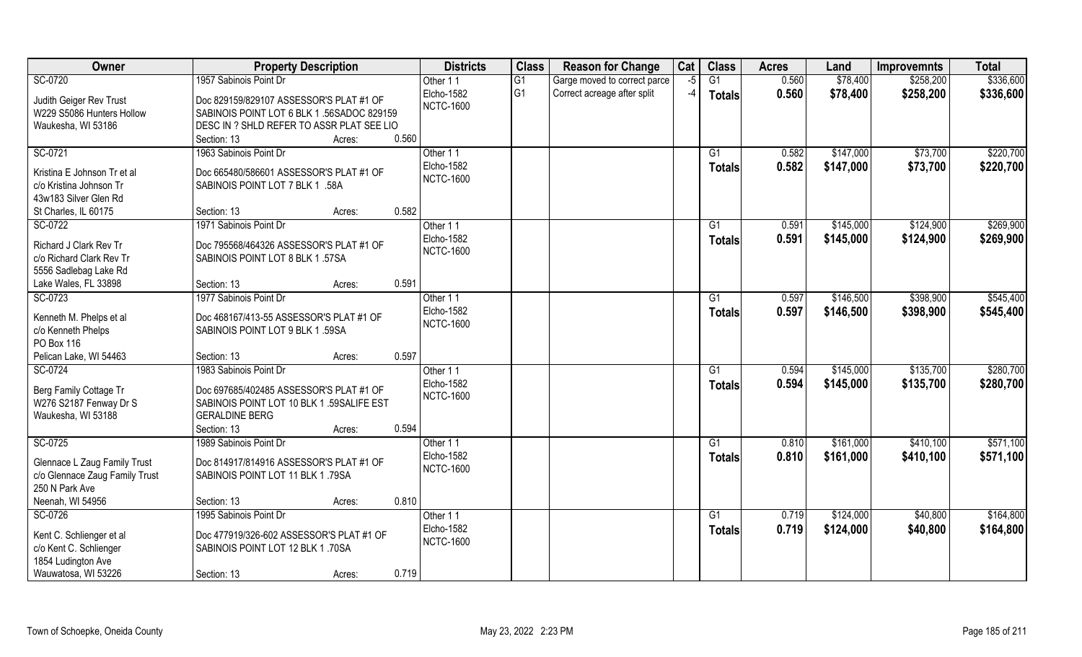| Owner                            | <b>Property Description</b>               | <b>Districts</b>               | <b>Class</b>    | <b>Reason for Change</b>     | Cat  | <b>Class</b>    | <b>Acres</b> | Land      | <b>Improvemnts</b> | <b>Total</b> |
|----------------------------------|-------------------------------------------|--------------------------------|-----------------|------------------------------|------|-----------------|--------------|-----------|--------------------|--------------|
| SC-0720                          | 1957 Sabinois Point Dr                    | Other 11                       | $\overline{G1}$ | Garge moved to correct parce | $-5$ | $\overline{G1}$ | 0.560        | \$78,400  | \$258,200          | \$336,600    |
| Judith Geiger Rev Trust          | Doc 829159/829107 ASSESSOR'S PLAT #1 OF   | Elcho-1582<br><b>NCTC-1600</b> | G <sub>1</sub>  | Correct acreage after split  | $-4$ | <b>Totals</b>   | 0.560        | \$78,400  | \$258,200          | \$336,600    |
| W229 S5086 Hunters Hollow        | SABINOIS POINT LOT 6 BLK 1.56SADOC 829159 |                                |                 |                              |      |                 |              |           |                    |              |
| Waukesha, WI 53186               | DESC IN ? SHLD REFER TO ASSR PLAT SEE LIO |                                |                 |                              |      |                 |              |           |                    |              |
|                                  | 0.560<br>Section: 13<br>Acres:            |                                |                 |                              |      |                 |              |           |                    |              |
| SC-0721                          | 1963 Sabinois Point Dr                    | Other 11                       |                 |                              |      | $\overline{G1}$ | 0.582        | \$147,000 | \$73,700           | \$220,700    |
| Kristina E Johnson Tr et al      | Doc 665480/586601 ASSESSOR'S PLAT #1 OF   | Elcho-1582                     |                 |                              |      | Totals          | 0.582        | \$147,000 | \$73,700           | \$220,700    |
| c/o Kristina Johnson Tr          | SABINOIS POINT LOT 7 BLK 1 .58A           | <b>NCTC-1600</b>               |                 |                              |      |                 |              |           |                    |              |
| 43w183 Silver Glen Rd            |                                           |                                |                 |                              |      |                 |              |           |                    |              |
| St Charles, IL 60175             | 0.582<br>Section: 13<br>Acres:            |                                |                 |                              |      |                 |              |           |                    |              |
| SC-0722                          | 1971 Sabinois Point Dr                    | Other 11                       |                 |                              |      | G1              | 0.591        | \$145,000 | \$124,900          | \$269,900    |
| Richard J Clark Rev Tr           | Doc 795568/464326 ASSESSOR'S PLAT #1 OF   | Elcho-1582                     |                 |                              |      | <b>Totals</b>   | 0.591        | \$145,000 | \$124,900          | \$269,900    |
| c/o Richard Clark Rev Tr         | SABINOIS POINT LOT 8 BLK 1.57SA           | <b>NCTC-1600</b>               |                 |                              |      |                 |              |           |                    |              |
| 5556 Sadlebag Lake Rd            |                                           |                                |                 |                              |      |                 |              |           |                    |              |
| Lake Wales, FL 33898             | 0.591<br>Section: 13<br>Acres:            |                                |                 |                              |      |                 |              |           |                    |              |
| SC-0723                          | 1977 Sabinois Point Dr                    | Other 11                       |                 |                              |      | G1              | 0.597        | \$146,500 | \$398,900          | \$545,400    |
|                                  |                                           | Elcho-1582                     |                 |                              |      | <b>Totals</b>   | 0.597        | \$146,500 | \$398,900          | \$545,400    |
| Kenneth M. Phelps et al          | Doc 468167/413-55 ASSESSOR'S PLAT #1 OF   | <b>NCTC-1600</b>               |                 |                              |      |                 |              |           |                    |              |
| c/o Kenneth Phelps<br>PO Box 116 | SABINOIS POINT LOT 9 BLK 1.59SA           |                                |                 |                              |      |                 |              |           |                    |              |
| Pelican Lake, WI 54463           | 0.597<br>Section: 13                      |                                |                 |                              |      |                 |              |           |                    |              |
| SC-0724                          | Acres:<br>1983 Sabinois Point Dr          | Other 11                       |                 |                              |      | G1              | 0.594        | \$145,000 | \$135,700          | \$280,700    |
|                                  |                                           | Elcho-1582                     |                 |                              |      |                 | 0.594        | \$145,000 | \$135,700          | \$280,700    |
| Berg Family Cottage Tr           | Doc 697685/402485 ASSESSOR'S PLAT #1 OF   | <b>NCTC-1600</b>               |                 |                              |      | <b>Totals</b>   |              |           |                    |              |
| W276 S2187 Fenway Dr S           | SABINOIS POINT LOT 10 BLK 1 .59SALIFE EST |                                |                 |                              |      |                 |              |           |                    |              |
| Waukesha, WI 53188               | <b>GERALDINE BERG</b>                     |                                |                 |                              |      |                 |              |           |                    |              |
|                                  | 0.594<br>Section: 13<br>Acres:            |                                |                 |                              |      |                 |              |           |                    |              |
| SC-0725                          | 1989 Sabinois Point Dr                    | Other 11                       |                 |                              |      | G1              | 0.810        | \$161,000 | \$410,100          | \$571,100    |
| Glennace L Zaug Family Trust     | Doc 814917/814916 ASSESSOR'S PLAT #1 OF   | Elcho-1582                     |                 |                              |      | <b>Totals</b>   | 0.810        | \$161,000 | \$410,100          | \$571,100    |
| c/o Glennace Zaug Family Trust   | SABINOIS POINT LOT 11 BLK 1.79SA          | <b>NCTC-1600</b>               |                 |                              |      |                 |              |           |                    |              |
| 250 N Park Ave                   |                                           |                                |                 |                              |      |                 |              |           |                    |              |
| Neenah, WI 54956                 | 0.810<br>Section: 13<br>Acres:            |                                |                 |                              |      |                 |              |           |                    |              |
| SC-0726                          | 1995 Sabinois Point Dr                    | Other 11                       |                 |                              |      | G1              | 0.719        | \$124,000 | \$40,800           | \$164,800    |
| Kent C. Schlienger et al         | Doc 477919/326-602 ASSESSOR'S PLAT #1 OF  | Elcho-1582                     |                 |                              |      | <b>Totals</b>   | 0.719        | \$124,000 | \$40,800           | \$164,800    |
| c/o Kent C. Schlienger           | SABINOIS POINT LOT 12 BLK 1.70SA          | <b>NCTC-1600</b>               |                 |                              |      |                 |              |           |                    |              |
| 1854 Ludington Ave               |                                           |                                |                 |                              |      |                 |              |           |                    |              |
| Wauwatosa, WI 53226              | 0.719<br>Section: 13<br>Acres:            |                                |                 |                              |      |                 |              |           |                    |              |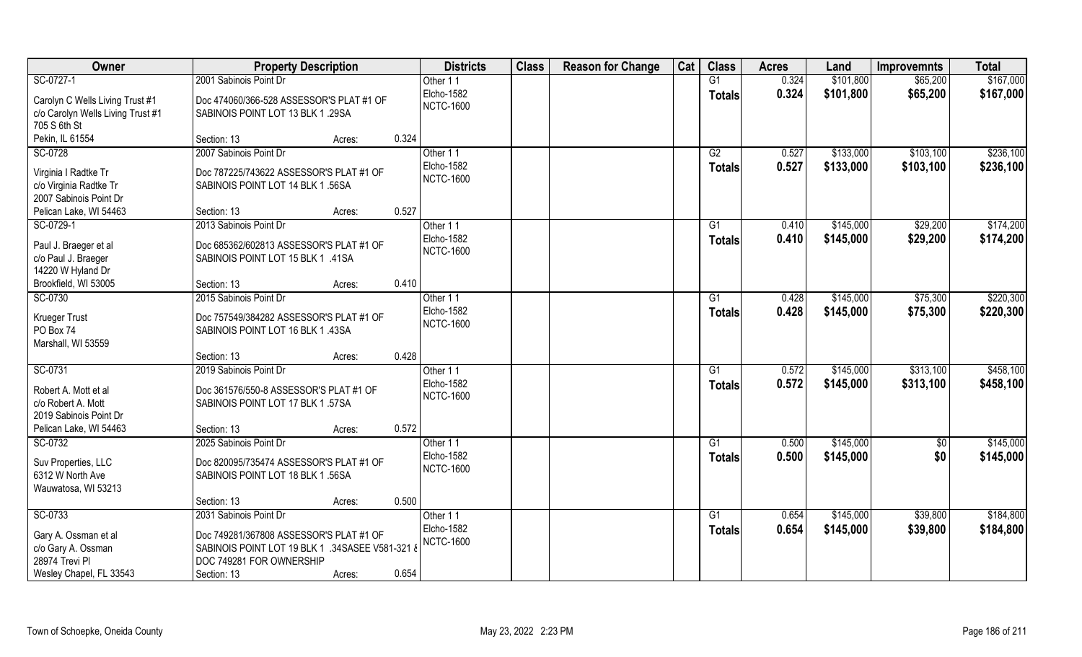| Owner                             | <b>Property Description</b>                     |                 | <b>Districts</b>               | <b>Class</b> | <b>Reason for Change</b> | Cat | <b>Class</b>   | <b>Acres</b> | Land      | <b>Improvemnts</b> | <b>Total</b> |
|-----------------------------------|-------------------------------------------------|-----------------|--------------------------------|--------------|--------------------------|-----|----------------|--------------|-----------|--------------------|--------------|
| SC-0727-1                         | 2001 Sabinois Point Dr                          |                 | Other 11                       |              |                          |     | G1             | 0.324        | \$101,800 | \$65,200           | \$167,000    |
| Carolyn C Wells Living Trust #1   | Doc 474060/366-528 ASSESSOR'S PLAT #1 OF        |                 | Elcho-1582<br><b>NCTC-1600</b> |              |                          |     | <b>Totals</b>  | 0.324        | \$101,800 | \$65,200           | \$167,000    |
| c/o Carolyn Wells Living Trust #1 | SABINOIS POINT LOT 13 BLK 1 .29SA               |                 |                                |              |                          |     |                |              |           |                    |              |
| 705 S 6th St                      |                                                 |                 |                                |              |                          |     |                |              |           |                    |              |
| Pekin, IL 61554                   | Section: 13                                     | 0.324<br>Acres: |                                |              |                          |     |                |              |           |                    |              |
| SC-0728                           | 2007 Sabinois Point Dr                          |                 | Other 11                       |              |                          |     | G2             | 0.527        | \$133,000 | \$103,100          | \$236,100    |
| Virginia I Radtke Tr              | Doc 787225/743622 ASSESSOR'S PLAT #1 OF         |                 | Elcho-1582                     |              |                          |     | <b>Totals</b>  | 0.527        | \$133,000 | \$103,100          | \$236,100    |
| c/o Virginia Radtke Tr            | SABINOIS POINT LOT 14 BLK 1.56SA                |                 | <b>NCTC-1600</b>               |              |                          |     |                |              |           |                    |              |
| 2007 Sabinois Point Dr            |                                                 |                 |                                |              |                          |     |                |              |           |                    |              |
| Pelican Lake, WI 54463            | Section: 13                                     | 0.527<br>Acres: |                                |              |                          |     |                |              |           |                    |              |
| SC-0729-1                         | 2013 Sabinois Point Dr                          |                 | Other 11                       |              |                          |     | G1             | 0.410        | \$145,000 | \$29,200           | \$174,200    |
| Paul J. Braeger et al             | Doc 685362/602813 ASSESSOR'S PLAT #1 OF         |                 | Elcho-1582                     |              |                          |     | <b>Totals</b>  | 0.410        | \$145,000 | \$29,200           | \$174,200    |
| c/o Paul J. Braeger               | SABINOIS POINT LOT 15 BLK 1 .41SA               |                 | <b>NCTC-1600</b>               |              |                          |     |                |              |           |                    |              |
| 14220 W Hyland Dr                 |                                                 |                 |                                |              |                          |     |                |              |           |                    |              |
| Brookfield, WI 53005              | Section: 13                                     | 0.410<br>Acres: |                                |              |                          |     |                |              |           |                    |              |
| SC-0730                           | 2015 Sabinois Point Dr                          |                 | Other 11                       |              |                          |     | G <sub>1</sub> | 0.428        | \$145,000 | \$75,300           | \$220,300    |
|                                   | Doc 757549/384282 ASSESSOR'S PLAT #1 OF         |                 | Elcho-1582                     |              |                          |     | <b>Totals</b>  | 0.428        | \$145,000 | \$75,300           | \$220,300    |
| Krueger Trust<br>PO Box 74        | SABINOIS POINT LOT 16 BLK 1 .43SA               |                 | <b>NCTC-1600</b>               |              |                          |     |                |              |           |                    |              |
| Marshall, WI 53559                |                                                 |                 |                                |              |                          |     |                |              |           |                    |              |
|                                   | Section: 13                                     | 0.428<br>Acres: |                                |              |                          |     |                |              |           |                    |              |
| SC-0731                           | 2019 Sabinois Point Dr                          |                 | Other 11                       |              |                          |     | G1             | 0.572        | \$145,000 | \$313,100          | \$458,100    |
|                                   |                                                 |                 | Elcho-1582                     |              |                          |     | <b>Totals</b>  | 0.572        | \$145,000 | \$313,100          | \$458,100    |
| Robert A. Mott et al              | Doc 361576/550-8 ASSESSOR'S PLAT #1 OF          |                 | <b>NCTC-1600</b>               |              |                          |     |                |              |           |                    |              |
| c/o Robert A. Mott                | SABINOIS POINT LOT 17 BLK 1.57SA                |                 |                                |              |                          |     |                |              |           |                    |              |
| 2019 Sabinois Point Dr            |                                                 |                 |                                |              |                          |     |                |              |           |                    |              |
| Pelican Lake, WI 54463            | Section: 13                                     | 0.572<br>Acres: |                                |              |                          |     |                |              |           |                    |              |
| SC-0732                           | 2025 Sabinois Point Dr                          |                 | Other 11<br>Elcho-1582         |              |                          |     | G1             | 0.500        | \$145,000 | \$0                | \$145,000    |
| Suv Properties, LLC               | Doc 820095/735474 ASSESSOR'S PLAT #1 OF         |                 | <b>NCTC-1600</b>               |              |                          |     | <b>Totals</b>  | 0.500        | \$145,000 | \$0                | \$145,000    |
| 6312 W North Ave                  | SABINOIS POINT LOT 18 BLK 1.56SA                |                 |                                |              |                          |     |                |              |           |                    |              |
| Wauwatosa, WI 53213               |                                                 |                 |                                |              |                          |     |                |              |           |                    |              |
|                                   | Section: 13                                     | 0.500<br>Acres: |                                |              |                          |     |                |              |           |                    |              |
| SC-0733                           | 2031 Sabinois Point Dr                          |                 | Other 11                       |              |                          |     | G1             | 0.654        | \$145,000 | \$39,800           | \$184,800    |
| Gary A. Ossman et al              | Doc 749281/367808 ASSESSOR'S PLAT #1 OF         |                 | Elcho-1582                     |              |                          |     | <b>Totals</b>  | 0.654        | \$145,000 | \$39,800           | \$184,800    |
| c/o Gary A. Ossman                | SABINOIS POINT LOT 19 BLK 1 .34SASEE V581-321 & |                 | <b>NCTC-1600</b>               |              |                          |     |                |              |           |                    |              |
| 28974 Trevi Pl                    | DOC 749281 FOR OWNERSHIP                        |                 |                                |              |                          |     |                |              |           |                    |              |
| Wesley Chapel, FL 33543           | Section: 13                                     | 0.654<br>Acres: |                                |              |                          |     |                |              |           |                    |              |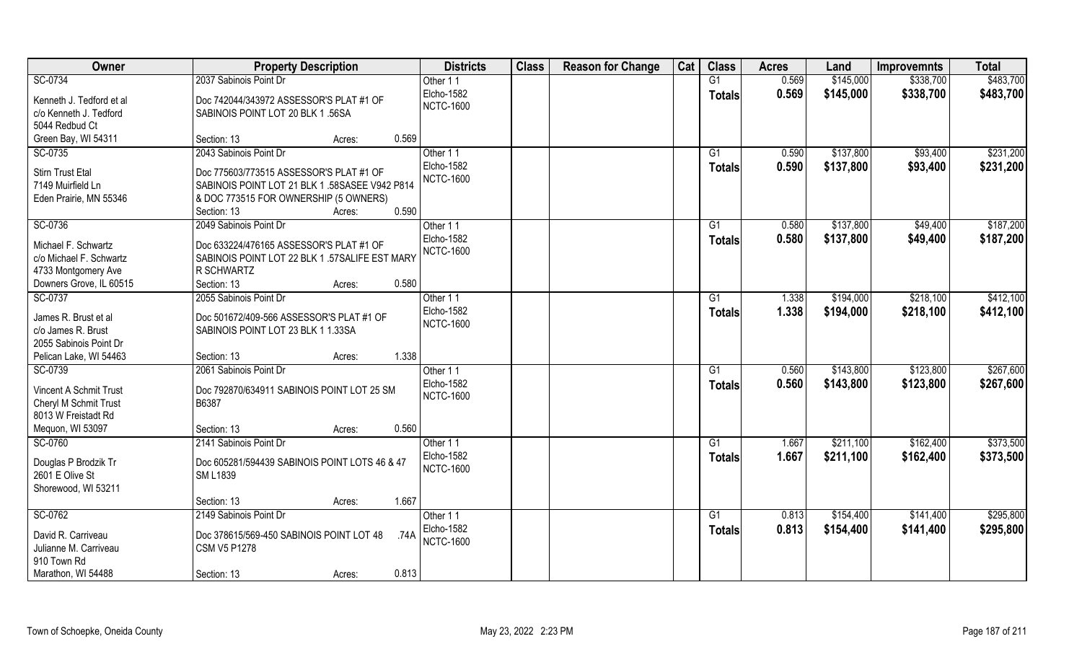| Owner                    | <b>Property Description</b>                      | <b>Districts</b> | <b>Class</b> | <b>Reason for Change</b> | Cat | <b>Class</b>    | <b>Acres</b> | Land      | <b>Improvemnts</b> | <b>Total</b> |
|--------------------------|--------------------------------------------------|------------------|--------------|--------------------------|-----|-----------------|--------------|-----------|--------------------|--------------|
| SC-0734                  | 2037 Sabinois Point Dr                           | Other 11         |              |                          |     | G1              | 0.569        | \$145,000 | \$338,700          | \$483,700    |
| Kenneth J. Tedford et al | Doc 742044/343972 ASSESSOR'S PLAT #1 OF          | Elcho-1582       |              |                          |     | <b>Totals</b>   | 0.569        | \$145,000 | \$338,700          | \$483,700    |
| c/o Kenneth J. Tedford   | SABINOIS POINT LOT 20 BLK 1.56SA                 | <b>NCTC-1600</b> |              |                          |     |                 |              |           |                    |              |
| 5044 Redbud Ct           |                                                  |                  |              |                          |     |                 |              |           |                    |              |
| Green Bay, WI 54311      | 0.569<br>Section: 13<br>Acres:                   |                  |              |                          |     |                 |              |           |                    |              |
| SC-0735                  | 2043 Sabinois Point Dr                           | Other 11         |              |                          |     | $\overline{G1}$ | 0.590        | \$137,800 | \$93,400           | \$231,200    |
|                          |                                                  | Elcho-1582       |              |                          |     | Totals          | 0.590        | \$137,800 | \$93,400           | \$231,200    |
| <b>Stirn Trust Etal</b>  | Doc 775603/773515 ASSESSOR'S PLAT #1 OF          | <b>NCTC-1600</b> |              |                          |     |                 |              |           |                    |              |
| 7149 Muirfield Ln        | SABINOIS POINT LOT 21 BLK 1 .58SASEE V942 P814   |                  |              |                          |     |                 |              |           |                    |              |
| Eden Prairie, MN 55346   | & DOC 773515 FOR OWNERSHIP (5 OWNERS)            |                  |              |                          |     |                 |              |           |                    |              |
|                          | 0.590<br>Section: 13<br>Acres:                   |                  |              |                          |     |                 |              |           |                    |              |
| SC-0736                  | 2049 Sabinois Point Dr                           | Other 11         |              |                          |     | G1              | 0.580        | \$137,800 | \$49,400           | \$187,200    |
| Michael F. Schwartz      | Doc 633224/476165 ASSESSOR'S PLAT #1 OF          | Elcho-1582       |              |                          |     | <b>Totals</b>   | 0.580        | \$137,800 | \$49,400           | \$187,200    |
| c/o Michael F. Schwartz  | SABINOIS POINT LOT 22 BLK 1 .57SALIFE EST MARY   | <b>NCTC-1600</b> |              |                          |     |                 |              |           |                    |              |
| 4733 Montgomery Ave      | R SCHWARTZ                                       |                  |              |                          |     |                 |              |           |                    |              |
| Downers Grove, IL 60515  | 0.580<br>Section: 13<br>Acres:                   |                  |              |                          |     |                 |              |           |                    |              |
| SC-0737                  | 2055 Sabinois Point Dr                           | Other 11         |              |                          |     | G1              | 1.338        | \$194,000 | \$218,100          | \$412,100    |
|                          |                                                  | Elcho-1582       |              |                          |     | <b>Totals</b>   | 1.338        | \$194,000 | \$218,100          | \$412,100    |
| James R. Brust et al     | Doc 501672/409-566 ASSESSOR'S PLAT #1 OF         | <b>NCTC-1600</b> |              |                          |     |                 |              |           |                    |              |
| c/o James R. Brust       | SABINOIS POINT LOT 23 BLK 1 1.33SA               |                  |              |                          |     |                 |              |           |                    |              |
| 2055 Sabinois Point Dr   |                                                  |                  |              |                          |     |                 |              |           |                    |              |
| Pelican Lake, WI 54463   | 1.338<br>Section: 13<br>Acres:                   |                  |              |                          |     |                 |              |           |                    |              |
| SC-0739                  | 2061 Sabinois Point Dr                           | Other 11         |              |                          |     | $\overline{G1}$ | 0.560        | \$143,800 | \$123,800          | \$267,600    |
| Vincent A Schmit Trust   | Doc 792870/634911 SABINOIS POINT LOT 25 SM       | Elcho-1582       |              |                          |     | Totals          | 0.560        | \$143,800 | \$123,800          | \$267,600    |
| Cheryl M Schmit Trust    | B6387                                            | <b>NCTC-1600</b> |              |                          |     |                 |              |           |                    |              |
| 8013 W Freistadt Rd      |                                                  |                  |              |                          |     |                 |              |           |                    |              |
| Mequon, WI 53097         | 0.560<br>Section: 13<br>Acres:                   |                  |              |                          |     |                 |              |           |                    |              |
| SC-0760                  | 2141 Sabinois Point Dr                           | Other 11         |              |                          |     | G1              | 1.667        | \$211,100 | \$162,400          | \$373,500    |
|                          |                                                  | Elcho-1582       |              |                          |     |                 |              |           |                    |              |
| Douglas P Brodzik Tr     | Doc 605281/594439 SABINOIS POINT LOTS 46 & 47    |                  |              |                          |     | <b>Totals</b>   | 1.667        | \$211,100 | \$162,400          | \$373,500    |
| 2601 E Olive St          | <b>SM L1839</b>                                  | <b>NCTC-1600</b> |              |                          |     |                 |              |           |                    |              |
| Shorewood, WI 53211      |                                                  |                  |              |                          |     |                 |              |           |                    |              |
|                          | 1.667<br>Section: 13<br>Acres:                   |                  |              |                          |     |                 |              |           |                    |              |
| SC-0762                  | 2149 Sabinois Point Dr                           | Other 11         |              |                          |     | G1              | 0.813        | \$154,400 | \$141,400          | \$295,800    |
| David R. Carriveau       | Doc 378615/569-450 SABINOIS POINT LOT 48<br>.74A | Elcho-1582       |              |                          |     | Totals          | 0.813        | \$154,400 | \$141,400          | \$295,800    |
| Julianne M. Carriveau    | <b>CSM V5 P1278</b>                              | <b>NCTC-1600</b> |              |                          |     |                 |              |           |                    |              |
| 910 Town Rd              |                                                  |                  |              |                          |     |                 |              |           |                    |              |
| Marathon, WI 54488       | 0.813                                            |                  |              |                          |     |                 |              |           |                    |              |
|                          | Section: 13<br>Acres:                            |                  |              |                          |     |                 |              |           |                    |              |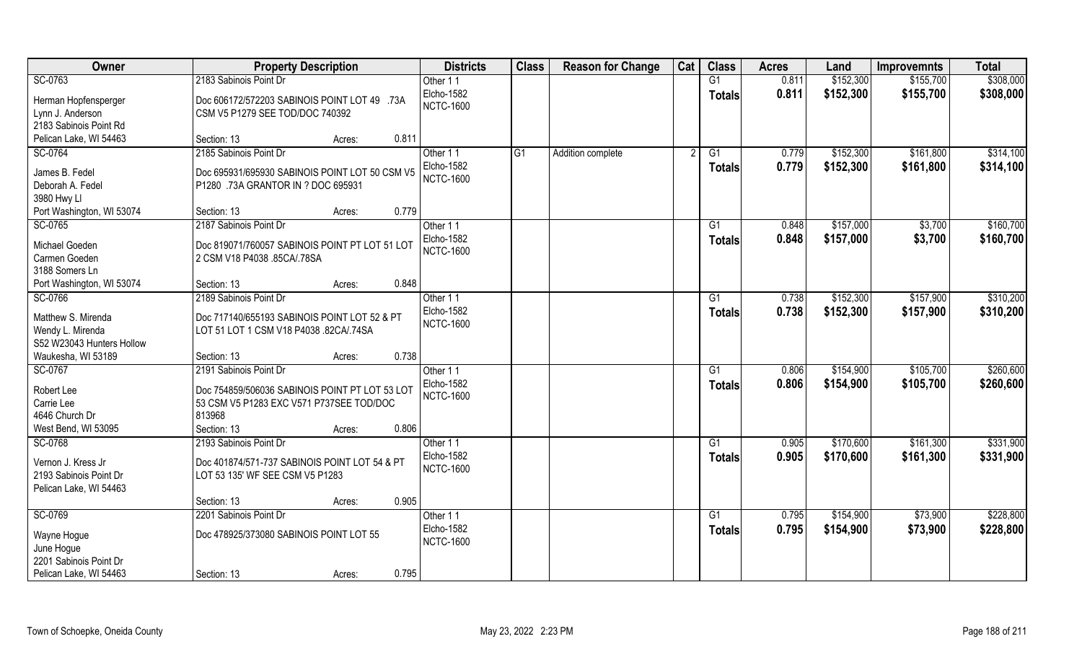| Owner                              | <b>Property Description</b>                                                                | <b>Districts</b>  | <b>Class</b>    | <b>Reason for Change</b> | Cat | <b>Class</b>    | <b>Acres</b> | Land      | <b>Improvemnts</b> | <b>Total</b> |
|------------------------------------|--------------------------------------------------------------------------------------------|-------------------|-----------------|--------------------------|-----|-----------------|--------------|-----------|--------------------|--------------|
| SC-0763                            | 2183 Sabinois Point Dr                                                                     | Other 11          |                 |                          |     | G1              | 0.811        | \$152,300 | \$155,700          | \$308,000    |
| Herman Hopfensperger               | Doc 606172/572203 SABINOIS POINT LOT 49 .73A                                               | <b>Elcho-1582</b> |                 |                          |     | <b>Totals</b>   | 0.811        | \$152,300 | \$155,700          | \$308,000    |
| Lynn J. Anderson                   | CSM V5 P1279 SEE TOD/DOC 740392                                                            | <b>NCTC-1600</b>  |                 |                          |     |                 |              |           |                    |              |
| 2183 Sabinois Point Rd             |                                                                                            |                   |                 |                          |     |                 |              |           |                    |              |
| Pelican Lake, WI 54463             | 0.811<br>Section: 13<br>Acres:                                                             |                   |                 |                          |     |                 |              |           |                    |              |
| SC-0764                            | 2185 Sabinois Point Dr                                                                     | Other 11          | $\overline{G1}$ | Addition complete        |     | G1              | 0.779        | \$152,300 | \$161,800          | \$314,100    |
|                                    |                                                                                            | <b>Elcho-1582</b> |                 |                          |     | <b>Totals</b>   | 0.779        | \$152,300 | \$161,800          | \$314,100    |
| James B. Fedel<br>Deborah A. Fedel | Doc 695931/695930 SABINOIS POINT LOT 50 CSM V5<br>P1280 .73A GRANTOR IN ? DOC 695931       | <b>NCTC-1600</b>  |                 |                          |     |                 |              |           |                    |              |
| 3980 Hwy Ll                        |                                                                                            |                   |                 |                          |     |                 |              |           |                    |              |
| Port Washington, WI 53074          | 0.779<br>Section: 13<br>Acres:                                                             |                   |                 |                          |     |                 |              |           |                    |              |
| SC-0765                            | 2187 Sabinois Point Dr                                                                     | Other 11          |                 |                          |     | G1              | 0.848        | \$157,000 | \$3,700            | \$160,700    |
|                                    |                                                                                            | <b>Elcho-1582</b> |                 |                          |     |                 | 0.848        | \$157,000 | \$3,700            | \$160,700    |
| Michael Goeden                     | Doc 819071/760057 SABINOIS POINT PT LOT 51 LOT                                             | <b>NCTC-1600</b>  |                 |                          |     | <b>Totals</b>   |              |           |                    |              |
| Carmen Goeden                      | 2 CSM V18 P4038 .85CA/.78SA                                                                |                   |                 |                          |     |                 |              |           |                    |              |
| 3188 Somers Ln                     |                                                                                            |                   |                 |                          |     |                 |              |           |                    |              |
| Port Washington, WI 53074          | 0.848<br>Section: 13<br>Acres:                                                             |                   |                 |                          |     |                 |              |           |                    |              |
| SC-0766                            | 2189 Sabinois Point Dr                                                                     | Other 11          |                 |                          |     | G1              | 0.738        | \$152,300 | \$157,900          | \$310,200    |
| Matthew S. Mirenda                 | Doc 717140/655193 SABINOIS POINT LOT 52 & PT                                               | <b>Elcho-1582</b> |                 |                          |     | Totals          | 0.738        | \$152,300 | \$157,900          | \$310,200    |
| Wendy L. Mirenda                   | LOT 51 LOT 1 CSM V18 P4038 .82CA/.74SA                                                     | <b>NCTC-1600</b>  |                 |                          |     |                 |              |           |                    |              |
| S52 W23043 Hunters Hollow          |                                                                                            |                   |                 |                          |     |                 |              |           |                    |              |
| Waukesha, WI 53189                 | 0.738<br>Section: 13<br>Acres:                                                             |                   |                 |                          |     |                 |              |           |                    |              |
| SC-0767                            | 2191 Sabinois Point Dr                                                                     | Other 11          |                 |                          |     | G1              | 0.806        | \$154,900 | \$105,700          | \$260,600    |
|                                    |                                                                                            | <b>Elcho-1582</b> |                 |                          |     | <b>Totals</b>   | 0.806        | \$154,900 | \$105,700          | \$260,600    |
| Robert Lee<br>Carrie Lee           | Doc 754859/506036 SABINOIS POINT PT LOT 53 LOT<br>53 CSM V5 P1283 EXC V571 P737SEE TOD/DOC | <b>NCTC-1600</b>  |                 |                          |     |                 |              |           |                    |              |
| 4646 Church Dr                     | 813968                                                                                     |                   |                 |                          |     |                 |              |           |                    |              |
| West Bend, WI 53095                | 0.806<br>Section: 13<br>Acres:                                                             |                   |                 |                          |     |                 |              |           |                    |              |
| SC-0768                            | 2193 Sabinois Point Dr                                                                     | Other 11          |                 |                          |     | G1              | 0.905        | \$170,600 | \$161,300          | \$331,900    |
|                                    |                                                                                            | <b>Elcho-1582</b> |                 |                          |     | <b>Totals</b>   | 0.905        | \$170,600 | \$161,300          | \$331,900    |
| Vernon J. Kress Jr                 | Doc 401874/571-737 SABINOIS POINT LOT 54 & PT                                              | <b>NCTC-1600</b>  |                 |                          |     |                 |              |           |                    |              |
| 2193 Sabinois Point Dr             | LOT 53 135' WF SEE CSM V5 P1283                                                            |                   |                 |                          |     |                 |              |           |                    |              |
| Pelican Lake, WI 54463             |                                                                                            |                   |                 |                          |     |                 |              |           |                    |              |
|                                    | 0.905<br>Section: 13<br>Acres:                                                             |                   |                 |                          |     |                 |              |           |                    |              |
| SC-0769                            | 2201 Sabinois Point Dr                                                                     | Other 11          |                 |                          |     | $\overline{G1}$ | 0.795        | \$154,900 | \$73,900           | \$228,800    |
| Wayne Hogue                        | Doc 478925/373080 SABINOIS POINT LOT 55                                                    | Elcho-1582        |                 |                          |     | <b>Totals</b>   | 0.795        | \$154,900 | \$73,900           | \$228,800    |
| June Hogue                         |                                                                                            | <b>NCTC-1600</b>  |                 |                          |     |                 |              |           |                    |              |
| 2201 Sabinois Point Dr             |                                                                                            |                   |                 |                          |     |                 |              |           |                    |              |
| Pelican Lake, WI 54463             | 0.795<br>Section: 13<br>Acres:                                                             |                   |                 |                          |     |                 |              |           |                    |              |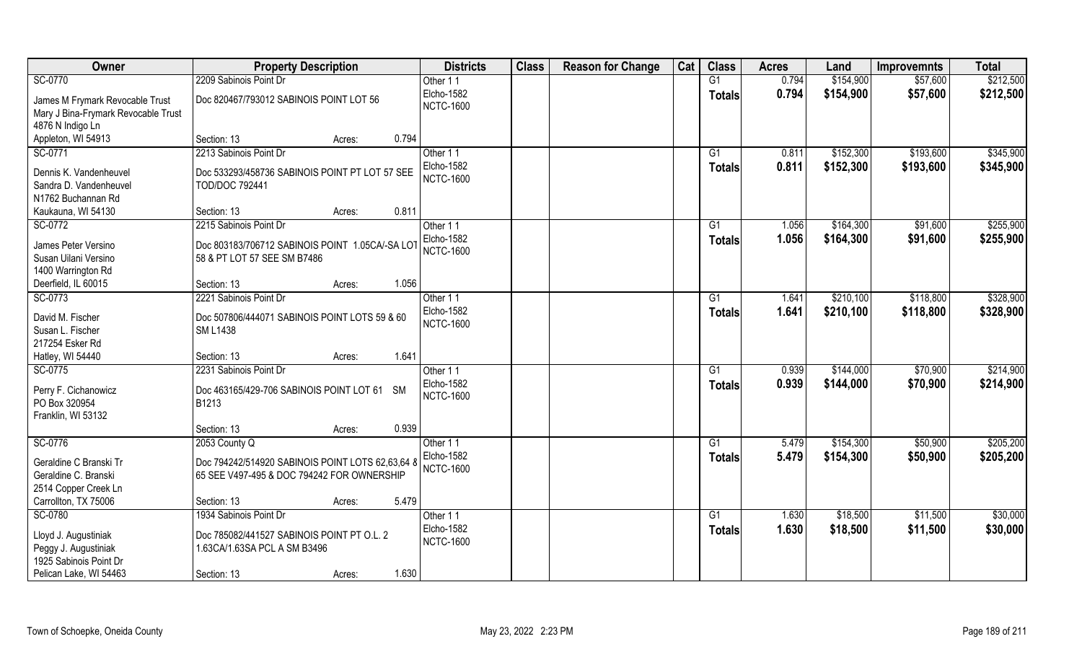| Owner                                            | <b>Property Description</b>                                             | <b>Districts</b>  | <b>Class</b> | <b>Reason for Change</b> | Cat | <b>Class</b>    | <b>Acres</b> | Land      | <b>Improvemnts</b> | <b>Total</b> |
|--------------------------------------------------|-------------------------------------------------------------------------|-------------------|--------------|--------------------------|-----|-----------------|--------------|-----------|--------------------|--------------|
| SC-0770                                          | 2209 Sabinois Point Dr                                                  | Other 11          |              |                          |     | $\overline{G1}$ | 0.794        | \$154,900 | \$57,600           | \$212,500    |
| James M Frymark Revocable Trust                  | Doc 820467/793012 SABINOIS POINT LOT 56                                 | Elcho-1582        |              |                          |     | <b>Totals</b>   | 0.794        | \$154,900 | \$57,600           | \$212,500    |
| Mary J Bina-Frymark Revocable Trust              |                                                                         | <b>NCTC-1600</b>  |              |                          |     |                 |              |           |                    |              |
| 4876 N Indigo Ln                                 |                                                                         |                   |              |                          |     |                 |              |           |                    |              |
| Appleton, WI 54913                               | 0.794<br>Section: 13<br>Acres:                                          |                   |              |                          |     |                 |              |           |                    |              |
| SC-0771                                          | 2213 Sabinois Point Dr                                                  | Other 11          |              |                          |     | G1              | 0.811        | \$152,300 | \$193,600          | \$345,900    |
|                                                  |                                                                         | <b>Elcho-1582</b> |              |                          |     | <b>Totals</b>   | 0.811        | \$152,300 | \$193,600          | \$345,900    |
| Dennis K. Vandenheuvel<br>Sandra D. Vandenheuvel | Doc 533293/458736 SABINOIS POINT PT LOT 57 SEE<br><b>TOD/DOC 792441</b> | <b>NCTC-1600</b>  |              |                          |     |                 |              |           |                    |              |
| N1762 Buchannan Rd                               |                                                                         |                   |              |                          |     |                 |              |           |                    |              |
| Kaukauna, WI 54130                               | 0.811<br>Section: 13<br>Acres:                                          |                   |              |                          |     |                 |              |           |                    |              |
| SC-0772                                          | 2215 Sabinois Point Dr                                                  | Other 11          |              |                          |     | G1              | 1.056        | \$164,300 | \$91,600           | \$255,900    |
|                                                  |                                                                         | Elcho-1582        |              |                          |     |                 | 1.056        | \$164,300 | \$91,600           | \$255,900    |
| James Peter Versino                              | Doc 803183/706712 SABINOIS POINT 1.05CA/-SA LOT                         | <b>NCTC-1600</b>  |              |                          |     | <b>Totals</b>   |              |           |                    |              |
| Susan Uilani Versino                             | 58 & PT LOT 57 SEE SM B7486                                             |                   |              |                          |     |                 |              |           |                    |              |
| 1400 Warrington Rd                               |                                                                         |                   |              |                          |     |                 |              |           |                    |              |
| Deerfield, IL 60015                              | 1.056<br>Section: 13<br>Acres:                                          |                   |              |                          |     |                 |              |           |                    |              |
| SC-0773                                          | 2221 Sabinois Point Dr                                                  | Other 11          |              |                          |     | G1              | 1.641        | \$210,100 | \$118,800          | \$328,900    |
| David M. Fischer                                 | Doc 507806/444071 SABINOIS POINT LOTS 59 & 60                           | Elcho-1582        |              |                          |     | <b>Totals</b>   | 1.641        | \$210,100 | \$118,800          | \$328,900    |
| Susan L. Fischer                                 | <b>SM L1438</b>                                                         | <b>NCTC-1600</b>  |              |                          |     |                 |              |           |                    |              |
| 217254 Esker Rd                                  |                                                                         |                   |              |                          |     |                 |              |           |                    |              |
| Hatley, WI 54440                                 | 1.641<br>Section: 13<br>Acres:                                          |                   |              |                          |     |                 |              |           |                    |              |
| SC-0775                                          | 2231 Sabinois Point Dr                                                  | Other 11          |              |                          |     | G1              | 0.939        | \$144,000 | \$70,900           | \$214,900    |
| Perry F. Cichanowicz                             | Doc 463165/429-706 SABINOIS POINT LOT 61 SM                             | <b>Elcho-1582</b> |              |                          |     | <b>Totals</b>   | 0.939        | \$144,000 | \$70,900           | \$214,900    |
| PO Box 320954                                    | B1213                                                                   | <b>NCTC-1600</b>  |              |                          |     |                 |              |           |                    |              |
| Franklin, WI 53132                               |                                                                         |                   |              |                          |     |                 |              |           |                    |              |
|                                                  | 0.939<br>Section: 13<br>Acres:                                          |                   |              |                          |     |                 |              |           |                    |              |
| SC-0776                                          | 2053 County Q                                                           | Other 11          |              |                          |     | G1              | 5.479        | \$154,300 | \$50,900           | \$205,200    |
|                                                  |                                                                         | Elcho-1582        |              |                          |     | <b>Totals</b>   | 5.479        | \$154,300 | \$50,900           | \$205,200    |
| Geraldine C Branski Tr                           | Doc 794242/514920 SABINOIS POINT LOTS 62,63,64 8                        | <b>NCTC-1600</b>  |              |                          |     |                 |              |           |                    |              |
| Geraldine C. Branski                             | 65 SEE V497-495 & DOC 794242 FOR OWNERSHIP                              |                   |              |                          |     |                 |              |           |                    |              |
| 2514 Copper Creek Ln                             |                                                                         |                   |              |                          |     |                 |              |           |                    |              |
| Carrollton, TX 75006                             | 5.479<br>Section: 13<br>Acres:                                          |                   |              |                          |     |                 |              |           |                    |              |
| SC-0780                                          | 1934 Sabinois Point Dr                                                  | Other 11          |              |                          |     | G1              | 1.630        | \$18,500  | \$11,500           | \$30,000     |
| Lloyd J. Augustiniak                             | Doc 785082/441527 SABINOIS POINT PT O.L. 2                              | <b>Elcho-1582</b> |              |                          |     | Totals          | 1.630        | \$18,500  | \$11,500           | \$30,000     |
| Peggy J. Augustiniak                             | 1.63CA/1.63SA PCL A SM B3496                                            | <b>NCTC-1600</b>  |              |                          |     |                 |              |           |                    |              |
| 1925 Sabinois Point Dr                           |                                                                         |                   |              |                          |     |                 |              |           |                    |              |
| Pelican Lake, WI 54463                           | 1.630<br>Section: 13<br>Acres:                                          |                   |              |                          |     |                 |              |           |                    |              |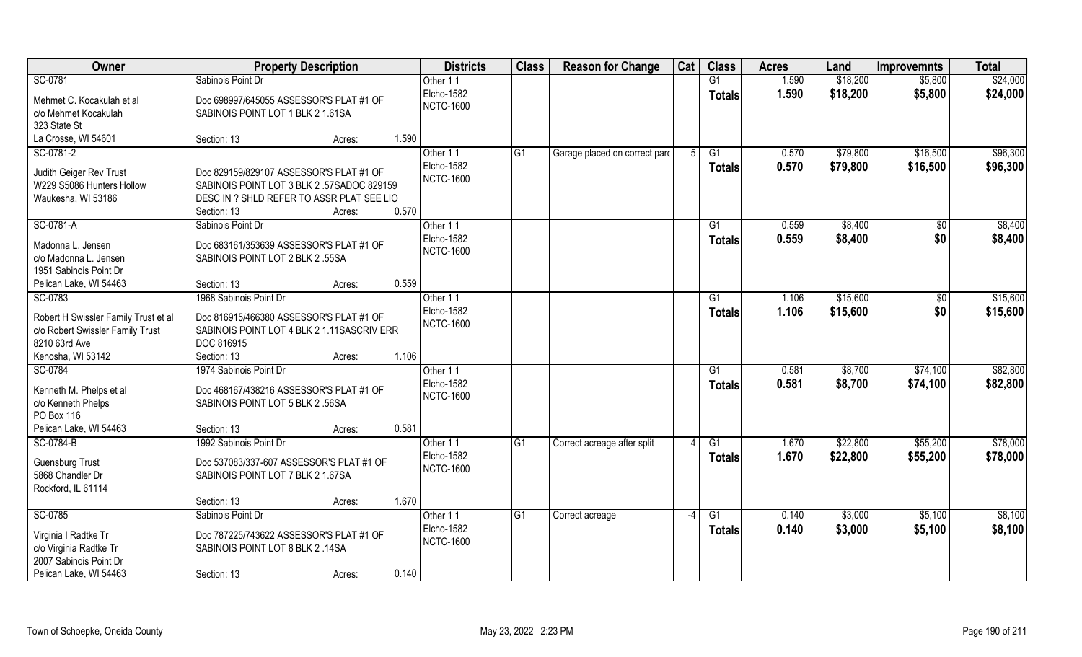| Owner                                                                                     | <b>Property Description</b>                                                                            |        | <b>Districts</b>                           | <b>Class</b> | <b>Reason for Change</b>      | Cat  | <b>Class</b>                     | <b>Acres</b>   | Land                 | <b>Improvemnts</b>   | <b>Total</b>         |
|-------------------------------------------------------------------------------------------|--------------------------------------------------------------------------------------------------------|--------|--------------------------------------------|--------------|-------------------------------|------|----------------------------------|----------------|----------------------|----------------------|----------------------|
| SC-0781                                                                                   | Sabinois Point Dr                                                                                      |        | Other 11                                   |              |                               |      | G1                               | 1.590          | \$18,200             | \$5,800              | \$24,000             |
| Mehmet C. Kocakulah et al.<br>c/o Mehmet Kocakulah<br>323 State St                        | Doc 698997/645055 ASSESSOR'S PLAT #1 OF<br>SABINOIS POINT LOT 1 BLK 2 1.61SA                           |        | Elcho-1582<br><b>NCTC-1600</b>             |              |                               |      | <b>Totals</b>                    | 1.590          | \$18,200             | \$5,800              | \$24,000             |
| La Crosse, WI 54601                                                                       | Section: 13                                                                                            | Acres: | 1.590                                      |              |                               |      |                                  |                |                      |                      |                      |
| SC-0781-2<br>Judith Geiger Rev Trust                                                      | Doc 829159/829107 ASSESSOR'S PLAT #1 OF                                                                |        | Other 11<br><b>Elcho-1582</b>              | G1           | Garage placed on correct parc |      | G1<br>Totals                     | 0.570<br>0.570 | \$79,800<br>\$79,800 | \$16,500<br>\$16,500 | \$96,300<br>\$96,300 |
| W229 S5086 Hunters Hollow<br>Waukesha, WI 53186                                           | SABINOIS POINT LOT 3 BLK 2 .57SADOC 829159<br>DESC IN ? SHLD REFER TO ASSR PLAT SEE LIO<br>Section: 13 | Acres: | <b>NCTC-1600</b><br>0.570                  |              |                               |      |                                  |                |                      |                      |                      |
| SC-0781-A                                                                                 | Sabinois Point Dr                                                                                      |        | Other 11                                   |              |                               |      | G1                               | 0.559          | \$8,400              | \$0                  | \$8,400              |
| Madonna L. Jensen<br>c/o Madonna L. Jensen<br>1951 Sabinois Point Dr                      | Doc 683161/353639 ASSESSOR'S PLAT #1 OF<br>SABINOIS POINT LOT 2 BLK 2 .55SA                            |        | Elcho-1582<br><b>NCTC-1600</b>             |              |                               |      | <b>Totals</b>                    | 0.559          | \$8,400              | \$0                  | \$8,400              |
| Pelican Lake, WI 54463                                                                    | Section: 13                                                                                            | Acres: | 0.559                                      |              |                               |      |                                  |                |                      |                      |                      |
| SC-0783                                                                                   | 1968 Sabinois Point Dr                                                                                 |        | Other 11                                   |              |                               |      | G1                               | 1.106          | \$15,600             | $\sqrt{50}$          | \$15,600             |
| Robert H Swissler Family Trust et al<br>c/o Robert Swissler Family Trust<br>8210 63rd Ave | Doc 816915/466380 ASSESSOR'S PLAT #1 OF<br>SABINOIS POINT LOT 4 BLK 2 1.11SASCRIV ERR<br>DOC 816915    |        | Elcho-1582<br><b>NCTC-1600</b>             |              |                               |      | <b>Totals</b>                    | 1.106          | \$15,600             | \$0                  | \$15,600             |
| Kenosha, WI 53142                                                                         | Section: 13                                                                                            | Acres: | 1.106                                      |              |                               |      |                                  |                |                      |                      |                      |
| SC-0784<br>Kenneth M. Phelps et al<br>c/o Kenneth Phelps<br>PO Box 116                    | 1974 Sabinois Point Dr<br>Doc 468167/438216 ASSESSOR'S PLAT #1 OF<br>SABINOIS POINT LOT 5 BLK 2 .56SA  |        | Other 11<br>Elcho-1582<br><b>NCTC-1600</b> |              |                               |      | $\overline{G1}$<br><b>Totals</b> | 0.581<br>0.581 | \$8,700<br>\$8,700   | \$74,100<br>\$74,100 | \$82,800<br>\$82,800 |
| Pelican Lake, WI 54463                                                                    | Section: 13                                                                                            | Acres: | 0.581                                      |              |                               |      |                                  |                |                      |                      |                      |
| SC-0784-B                                                                                 | 1992 Sabinois Point Dr                                                                                 |        | Other 11                                   | G1           | Correct acreage after split   |      | G1                               | 1.670          | \$22,800             | \$55,200             | \$78,000             |
| <b>Guensburg Trust</b><br>5868 Chandler Dr<br>Rockford, IL 61114                          | Doc 537083/337-607 ASSESSOR'S PLAT #1 OF<br>SABINOIS POINT LOT 7 BLK 2 1.67SA                          |        | Elcho-1582<br><b>NCTC-1600</b>             |              |                               |      | <b>Totals</b>                    | 1.670          | \$22,800             | \$55,200             | \$78,000             |
|                                                                                           | Section: 13                                                                                            | Acres: | 1.670                                      |              |                               |      |                                  |                |                      |                      |                      |
| SC-0785                                                                                   | Sabinois Point Dr                                                                                      |        | Other 11                                   | G1           | Correct acreage               | $-4$ | $\overline{G1}$                  | 0.140          | \$3,000              | \$5,100              | \$8,100              |
| Virginia I Radtke Tr<br>c/o Virginia Radtke Tr<br>2007 Sabinois Point Dr                  | Doc 787225/743622 ASSESSOR'S PLAT #1 OF<br>SABINOIS POINT LOT 8 BLK 2 .14SA                            |        | Elcho-1582<br><b>NCTC-1600</b>             |              |                               |      | Totals                           | 0.140          | \$3,000              | \$5,100              | \$8,100              |
| Pelican Lake, WI 54463                                                                    | Section: 13                                                                                            | Acres: | 0.140                                      |              |                               |      |                                  |                |                      |                      |                      |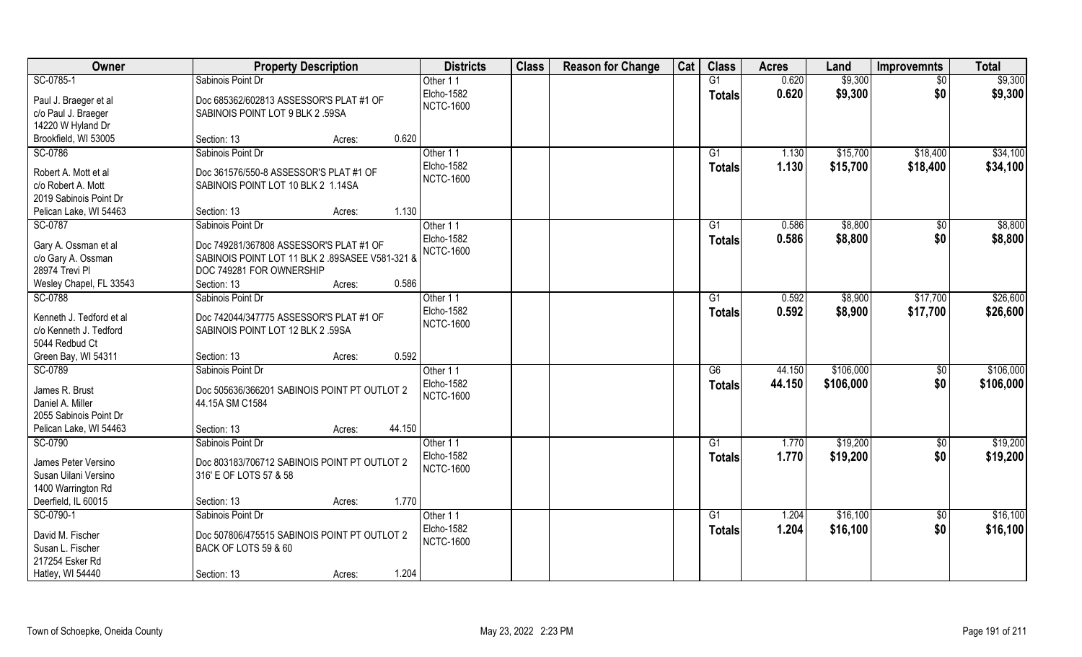| Owner                                | <b>Property Description</b>                                                 | <b>Districts</b>               | <b>Class</b> | <b>Reason for Change</b> | Cat | <b>Class</b>    | <b>Acres</b> | Land      | <b>Improvemnts</b> | <b>Total</b> |
|--------------------------------------|-----------------------------------------------------------------------------|--------------------------------|--------------|--------------------------|-----|-----------------|--------------|-----------|--------------------|--------------|
| SC-0785-1                            | Sabinois Point Dr                                                           | Other 11                       |              |                          |     | G1              | 0.620        | \$9,300   | $\overline{30}$    | \$9,300      |
| Paul J. Braeger et al                | Doc 685362/602813 ASSESSOR'S PLAT #1 OF                                     | Elcho-1582<br><b>NCTC-1600</b> |              |                          |     | <b>Totals</b>   | 0.620        | \$9,300   | \$0                | \$9,300      |
| c/o Paul J. Braeger                  | SABINOIS POINT LOT 9 BLK 2 .59SA                                            |                                |              |                          |     |                 |              |           |                    |              |
| 14220 W Hyland Dr                    |                                                                             |                                |              |                          |     |                 |              |           |                    |              |
| Brookfield, WI 53005                 | 0.620<br>Section: 13<br>Acres:                                              |                                |              |                          |     |                 |              |           |                    |              |
| SC-0786                              | Sabinois Point Dr                                                           | Other 11                       |              |                          |     | $\overline{G1}$ | 1.130        | \$15,700  | \$18,400           | \$34,100     |
| Robert A. Mott et al                 | Doc 361576/550-8 ASSESSOR'S PLAT #1 OF                                      | Elcho-1582                     |              |                          |     | <b>Totals</b>   | 1.130        | \$15,700  | \$18,400           | \$34,100     |
| c/o Robert A. Mott                   | SABINOIS POINT LOT 10 BLK 2 1.14SA                                          | <b>NCTC-1600</b>               |              |                          |     |                 |              |           |                    |              |
| 2019 Sabinois Point Dr               |                                                                             |                                |              |                          |     |                 |              |           |                    |              |
| Pelican Lake, WI 54463               | 1.130<br>Section: 13<br>Acres:                                              |                                |              |                          |     |                 |              |           |                    |              |
| SC-0787                              | Sabinois Point Dr                                                           | Other 11                       |              |                          |     | G1              | 0.586        | \$8,800   | $\sqrt[6]{30}$     | \$8,800      |
|                                      |                                                                             | Elcho-1582                     |              |                          |     | <b>Totals</b>   | 0.586        | \$8,800   | \$0                | \$8,800      |
| Gary A. Ossman et al                 | Doc 749281/367808 ASSESSOR'S PLAT #1 OF                                     | <b>NCTC-1600</b>               |              |                          |     |                 |              |           |                    |              |
| c/o Gary A. Ossman<br>28974 Trevi Pl | SABINOIS POINT LOT 11 BLK 2 .89SASEE V581-321 8<br>DOC 749281 FOR OWNERSHIP |                                |              |                          |     |                 |              |           |                    |              |
|                                      | 0.586<br>Section: 13                                                        |                                |              |                          |     |                 |              |           |                    |              |
| Wesley Chapel, FL 33543<br>SC-0788   | Acres:<br>Sabinois Point Dr                                                 |                                |              |                          |     |                 | 0.592        | \$8,900   |                    | \$26,600     |
|                                      |                                                                             | Other 11<br>Elcho-1582         |              |                          |     | G1              |              |           | \$17,700           |              |
| Kenneth J. Tedford et al             | Doc 742044/347775 ASSESSOR'S PLAT #1 OF                                     | <b>NCTC-1600</b>               |              |                          |     | <b>Totals</b>   | 0.592        | \$8,900   | \$17,700           | \$26,600     |
| c/o Kenneth J. Tedford               | SABINOIS POINT LOT 12 BLK 2 .59SA                                           |                                |              |                          |     |                 |              |           |                    |              |
| 5044 Redbud Ct                       |                                                                             |                                |              |                          |     |                 |              |           |                    |              |
| Green Bay, WI 54311                  | 0.592<br>Section: 13<br>Acres:                                              |                                |              |                          |     |                 |              |           |                    |              |
| SC-0789                              | Sabinois Point Dr                                                           | Other 11                       |              |                          |     | $\overline{G6}$ | 44.150       | \$106,000 | \$0                | \$106,000    |
| James R. Brust                       | Doc 505636/366201 SABINOIS POINT PT OUTLOT 2                                | Elcho-1582                     |              |                          |     | <b>Totals</b>   | 44.150       | \$106,000 | \$0                | \$106,000    |
| Daniel A. Miller                     | 44.15A SM C1584                                                             | <b>NCTC-1600</b>               |              |                          |     |                 |              |           |                    |              |
| 2055 Sabinois Point Dr               |                                                                             |                                |              |                          |     |                 |              |           |                    |              |
| Pelican Lake, WI 54463               | 44.150<br>Section: 13<br>Acres:                                             |                                |              |                          |     |                 |              |           |                    |              |
| SC-0790                              | Sabinois Point Dr                                                           | Other 11                       |              |                          |     | G1              | 1.770        | \$19,200  | \$0                | \$19,200     |
|                                      |                                                                             | Elcho-1582                     |              |                          |     | <b>Totals</b>   | 1.770        | \$19,200  | \$0                | \$19,200     |
| James Peter Versino                  | Doc 803183/706712 SABINOIS POINT PT OUTLOT 2                                | <b>NCTC-1600</b>               |              |                          |     |                 |              |           |                    |              |
| Susan Uilani Versino                 | 316' E OF LOTS 57 & 58                                                      |                                |              |                          |     |                 |              |           |                    |              |
| 1400 Warrington Rd                   |                                                                             |                                |              |                          |     |                 |              |           |                    |              |
| Deerfield, IL 60015                  | 1.770<br>Section: 13<br>Acres:                                              |                                |              |                          |     |                 |              |           |                    |              |
| SC-0790-1                            | Sabinois Point Dr                                                           | Other 11                       |              |                          |     | G1              | 1.204        | \$16,100  | $\sqrt{$0}$        | \$16,100     |
| David M. Fischer                     | Doc 507806/475515 SABINOIS POINT PT OUTLOT 2                                | Elcho-1582                     |              |                          |     | <b>Totals</b>   | 1.204        | \$16,100  | \$0                | \$16,100     |
| Susan L. Fischer                     | BACK OF LOTS 59 & 60                                                        | <b>NCTC-1600</b>               |              |                          |     |                 |              |           |                    |              |
| 217254 Esker Rd                      |                                                                             |                                |              |                          |     |                 |              |           |                    |              |
| Hatley, WI 54440                     | 1.204<br>Section: 13<br>Acres:                                              |                                |              |                          |     |                 |              |           |                    |              |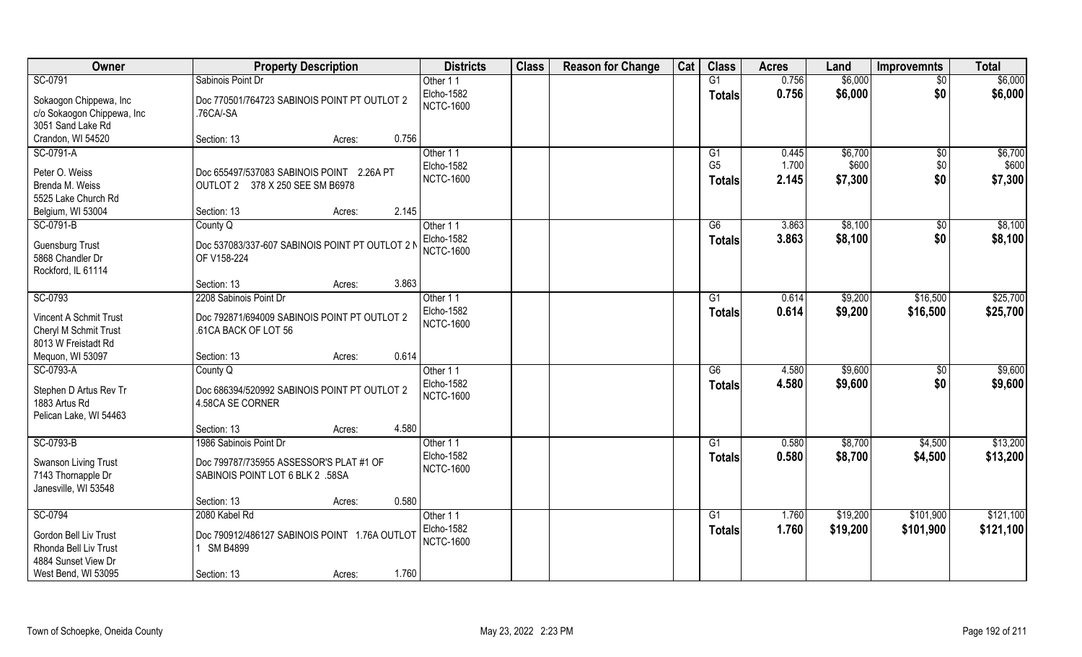| Owner                                                                     | <b>Property Description</b>                                                  | <b>Districts</b>                           | <b>Class</b> | <b>Reason for Change</b> | Cat | <b>Class</b>                     | <b>Acres</b>   | Land               | <b>Improvemnts</b> | <b>Total</b>       |
|---------------------------------------------------------------------------|------------------------------------------------------------------------------|--------------------------------------------|--------------|--------------------------|-----|----------------------------------|----------------|--------------------|--------------------|--------------------|
| SC-0791                                                                   | Sabinois Point Dr                                                            | Other 11                                   |              |                          |     | G1                               | 0.756          | \$6,000            | $\overline{50}$    | \$6,000            |
| Sokaogon Chippewa, Inc<br>c/o Sokaogon Chippewa, Inc<br>3051 Sand Lake Rd | Doc 770501/764723 SABINOIS POINT PT OUTLOT 2<br>.76CA/-SA                    | Elcho-1582<br><b>NCTC-1600</b>             |              |                          |     | <b>Totals</b>                    | 0.756          | \$6,000            | \$0                | \$6,000            |
| Crandon, WI 54520                                                         | 0.756<br>Section: 13<br>Acres:                                               |                                            |              |                          |     |                                  |                |                    |                    |                    |
| SC-0791-A                                                                 |                                                                              | Other 11                                   |              |                          |     | G1                               | 0.445          | \$6,700            | \$0                | \$6,700            |
| Peter O. Weiss<br>Brenda M. Weiss<br>5525 Lake Church Rd                  | Doc 655497/537083 SABINOIS POINT 2.26A PT<br>OUTLOT 2 378 X 250 SEE SM B6978 | <b>Elcho-1582</b><br><b>NCTC-1600</b>      |              |                          |     | G <sub>5</sub><br><b>Totals</b>  | 1.700<br>2.145 | \$600<br>\$7,300   | \$0<br>\$0         | \$600<br>\$7,300   |
| Belgium, WI 53004                                                         | 2.145<br>Section: 13<br>Acres:                                               |                                            |              |                          |     |                                  |                |                    |                    |                    |
| SC-0791-B                                                                 | County Q                                                                     | Other 11                                   |              |                          |     | G6                               | 3.863          | \$8,100            | $\sqrt[6]{30}$     | \$8,100            |
| <b>Guensburg Trust</b><br>5868 Chandler Dr<br>Rockford, IL 61114          | Doc 537083/337-607 SABINOIS POINT PT OUTLOT 2 N<br>OF V158-224               | <b>Elcho-1582</b><br><b>NCTC-1600</b>      |              |                          |     | <b>Totals</b>                    | 3.863          | \$8,100            | \$0                | \$8,100            |
|                                                                           | 3.863<br>Section: 13<br>Acres:                                               |                                            |              |                          |     |                                  |                |                    |                    |                    |
| SC-0793                                                                   | 2208 Sabinois Point Dr                                                       | Other 11                                   |              |                          |     | G1                               | 0.614          | \$9,200            | \$16,500           | \$25,700           |
| Vincent A Schmit Trust<br>Cheryl M Schmit Trust<br>8013 W Freistadt Rd    | Doc 792871/694009 SABINOIS POINT PT OUTLOT 2<br>.61CA BACK OF LOT 56         | Elcho-1582<br><b>NCTC-1600</b>             |              |                          |     | <b>Totals</b>                    | 0.614          | \$9,200            | \$16,500           | \$25,700           |
| Mequon, WI 53097                                                          | 0.614<br>Section: 13<br>Acres:                                               |                                            |              |                          |     |                                  |                |                    |                    |                    |
| SC-0793-A<br>Stephen D Artus Rev Tr<br>1883 Artus Rd                      | County Q<br>Doc 686394/520992 SABINOIS POINT PT OUTLOT 2<br>4.58CA SE CORNER | Other 11<br>Elcho-1582<br><b>NCTC-1600</b> |              |                          |     | $\overline{G6}$<br><b>Totals</b> | 4.580<br>4.580 | \$9,600<br>\$9,600 | \$0<br>\$0         | \$9,600<br>\$9,600 |
| Pelican Lake, WI 54463                                                    |                                                                              |                                            |              |                          |     |                                  |                |                    |                    |                    |
|                                                                           | 4.580<br>Section: 13<br>Acres:                                               |                                            |              |                          |     |                                  |                |                    |                    |                    |
| SC-0793-B                                                                 | 1986 Sabinois Point Dr                                                       | Other 11                                   |              |                          |     | G1                               | 0.580          | \$8,700            | \$4,500            | \$13,200           |
| Swanson Living Trust<br>7143 Thornapple Dr<br>Janesville, WI 53548        | Doc 799787/735955 ASSESSOR'S PLAT #1 OF<br>SABINOIS POINT LOT 6 BLK 2 .58SA  | Elcho-1582<br><b>NCTC-1600</b>             |              |                          |     | <b>Totals</b>                    | 0.580          | \$8,700            | \$4,500            | \$13,200           |
|                                                                           | 0.580<br>Section: 13<br>Acres:                                               |                                            |              |                          |     |                                  |                |                    |                    |                    |
| SC-0794                                                                   | 2080 Kabel Rd                                                                | Other 11                                   |              |                          |     | G1                               | 1.760          | \$19,200           | \$101,900          | \$121,100          |
| Gordon Bell Liv Trust<br>Rhonda Bell Liv Trust<br>4884 Sunset View Dr     | Doc 790912/486127 SABINOIS POINT 1.76A OUTLOT<br>1 SM B4899                  | <b>Elcho-1582</b><br><b>NCTC-1600</b>      |              |                          |     | <b>Totals</b>                    | 1.760          | \$19,200           | \$101,900          | \$121,100          |
| West Bend, WI 53095                                                       | 1.760<br>Section: 13<br>Acres:                                               |                                            |              |                          |     |                                  |                |                    |                    |                    |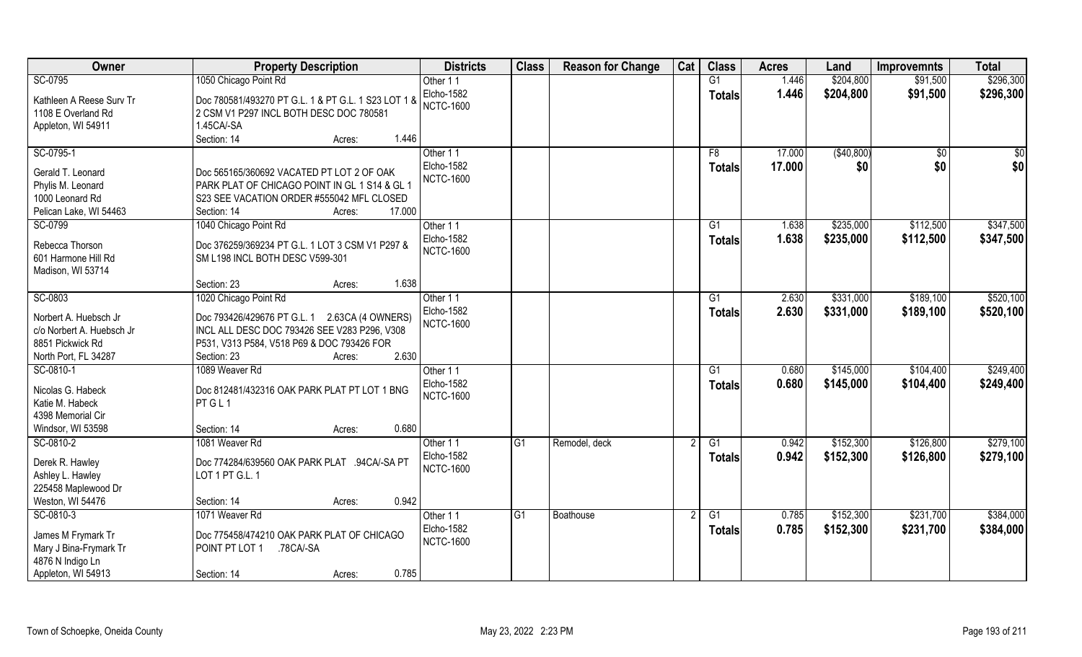| Owner                     | <b>Property Description</b>                         | <b>Districts</b>  | <b>Class</b>    | <b>Reason for Change</b> | Cat | <b>Class</b>  | <b>Acres</b> | Land       | <b>Improvemnts</b> | <b>Total</b> |
|---------------------------|-----------------------------------------------------|-------------------|-----------------|--------------------------|-----|---------------|--------------|------------|--------------------|--------------|
| SC-0795                   | 1050 Chicago Point Rd                               | Other 11          |                 |                          |     | G1            | 1.446        | \$204,800  | \$91,500           | \$296,300    |
| Kathleen A Reese Surv Tr  | Doc 780581/493270 PT G.L. 1 & PT G.L. 1 S23 LOT 1 & | Elcho-1582        |                 |                          |     | <b>Totals</b> | 1.446        | \$204,800  | \$91,500           | \$296,300    |
| 1108 E Overland Rd        | 2 CSM V1 P297 INCL BOTH DESC DOC 780581             | <b>NCTC-1600</b>  |                 |                          |     |               |              |            |                    |              |
| Appleton, WI 54911        | 1.45CA/-SA                                          |                   |                 |                          |     |               |              |            |                    |              |
|                           | 1.446<br>Section: 14<br>Acres:                      |                   |                 |                          |     |               |              |            |                    |              |
| SC-0795-1                 |                                                     | Other 11          |                 |                          |     | F8            | 17.000       | (\$40,800) | \$0                | \$0          |
|                           |                                                     | <b>Elcho-1582</b> |                 |                          |     | Totals        | 17.000       | \$0        | \$0                | \$0          |
| Gerald T. Leonard         | Doc 565165/360692 VACATED PT LOT 2 OF OAK           | <b>NCTC-1600</b>  |                 |                          |     |               |              |            |                    |              |
| Phylis M. Leonard         | PARK PLAT OF CHICAGO POINT IN GL 1 S14 & GL 1       |                   |                 |                          |     |               |              |            |                    |              |
| 1000 Leonard Rd           | S23 SEE VACATION ORDER #555042 MFL CLOSED           |                   |                 |                          |     |               |              |            |                    |              |
| Pelican Lake, WI 54463    | 17.000<br>Section: 14<br>Acres:                     |                   |                 |                          |     |               |              |            |                    |              |
| SC-0799                   | 1040 Chicago Point Rd                               | Other 11          |                 |                          |     | G1            | 1.638        | \$235,000  | \$112,500          | \$347,500    |
| Rebecca Thorson           | Doc 376259/369234 PT G.L. 1 LOT 3 CSM V1 P297 &     | <b>Elcho-1582</b> |                 |                          |     | <b>Totals</b> | 1.638        | \$235,000  | \$112,500          | \$347,500    |
| 601 Harmone Hill Rd       | SM L198 INCL BOTH DESC V599-301                     | <b>NCTC-1600</b>  |                 |                          |     |               |              |            |                    |              |
| Madison, WI 53714         |                                                     |                   |                 |                          |     |               |              |            |                    |              |
|                           | 1.638<br>Section: 23<br>Acres:                      |                   |                 |                          |     |               |              |            |                    |              |
| SC-0803                   | 1020 Chicago Point Rd                               | Other 11          |                 |                          |     | G1            | 2.630        | \$331,000  | \$189,100          | \$520,100    |
|                           |                                                     | Elcho-1582        |                 |                          |     | <b>Totals</b> | 2.630        | \$331,000  | \$189,100          | \$520,100    |
| Norbert A. Huebsch Jr     | Doc 793426/429676 PT G.L. 1 2.63CA (4 OWNERS)       | <b>NCTC-1600</b>  |                 |                          |     |               |              |            |                    |              |
| c/o Norbert A. Huebsch Jr | INCL ALL DESC DOC 793426 SEE V283 P296, V308        |                   |                 |                          |     |               |              |            |                    |              |
| 8851 Pickwick Rd          | P531, V313 P584, V518 P69 & DOC 793426 FOR          |                   |                 |                          |     |               |              |            |                    |              |
| North Port, FL 34287      | 2.630<br>Section: 23<br>Acres:                      |                   |                 |                          |     |               |              |            |                    |              |
| SC-0810-1                 | 1089 Weaver Rd                                      | Other 11          |                 |                          |     | G1            | 0.680        | \$145,000  | \$104,400          | \$249,400    |
| Nicolas G. Habeck         | Doc 812481/432316 OAK PARK PLAT PT LOT 1 BNG        | Elcho-1582        |                 |                          |     | <b>Totals</b> | 0.680        | \$145,000  | \$104,400          | \$249,400    |
| Katie M. Habeck           | PTGL1                                               | <b>NCTC-1600</b>  |                 |                          |     |               |              |            |                    |              |
| 4398 Memorial Cir         |                                                     |                   |                 |                          |     |               |              |            |                    |              |
| Windsor, WI 53598         | 0.680<br>Section: 14<br>Acres:                      |                   |                 |                          |     |               |              |            |                    |              |
| SC-0810-2                 | 1081 Weaver Rd                                      | Other 11          | G1              | Remodel, deck            | 2   | G1            | 0.942        | \$152,300  | \$126,800          | \$279,100    |
|                           |                                                     | Elcho-1582        |                 |                          |     | <b>Totals</b> | 0.942        | \$152,300  | \$126,800          | \$279,100    |
| Derek R. Hawley           | Doc 774284/639560 OAK PARK PLAT .94CA/-SA PT        | <b>NCTC-1600</b>  |                 |                          |     |               |              |            |                    |              |
| Ashley L. Hawley          | LOT 1 PT G.L. 1                                     |                   |                 |                          |     |               |              |            |                    |              |
| 225458 Maplewood Dr       |                                                     |                   |                 |                          |     |               |              |            |                    |              |
| Weston, WI 54476          | 0.942<br>Section: 14<br>Acres:                      |                   |                 |                          |     |               |              |            |                    |              |
| SC-0810-3                 | 1071 Weaver Rd                                      | Other 11          | $\overline{G1}$ | Boathouse                |     | G1            | 0.785        | \$152,300  | \$231,700          | \$384,000    |
| James M Frymark Tr        | Doc 775458/474210 OAK PARK PLAT OF CHICAGO          | Elcho-1582        |                 |                          |     | <b>Totals</b> | 0.785        | \$152,300  | \$231,700          | \$384,000    |
| Mary J Bina-Frymark Tr    | POINT PT LOT 1<br>.78CA/-SA                         | <b>NCTC-1600</b>  |                 |                          |     |               |              |            |                    |              |
| 4876 N Indigo Ln          |                                                     |                   |                 |                          |     |               |              |            |                    |              |
| Appleton, WI 54913        | 0.785<br>Section: 14<br>Acres:                      |                   |                 |                          |     |               |              |            |                    |              |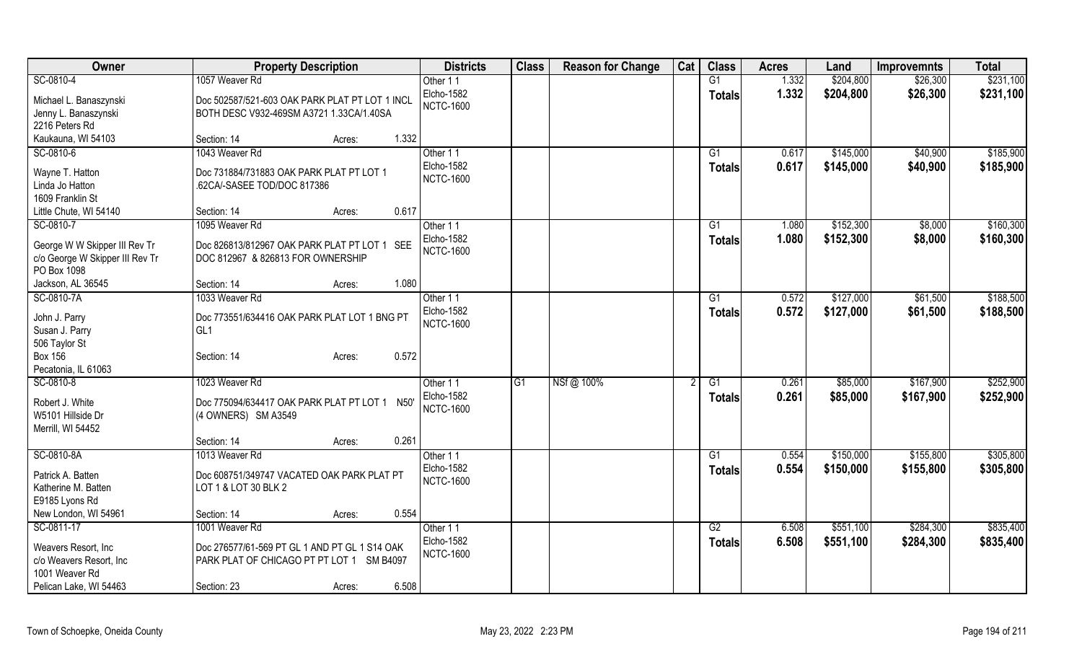| Owner                                      | <b>Property Description</b>                    | <b>Districts</b>       | <b>Class</b> | <b>Reason for Change</b> | Cat | <b>Class</b>    | <b>Acres</b> | Land      | <b>Improvemnts</b> | <b>Total</b> |
|--------------------------------------------|------------------------------------------------|------------------------|--------------|--------------------------|-----|-----------------|--------------|-----------|--------------------|--------------|
| SC-0810-4                                  | 1057 Weaver Rd                                 | Other 11               |              |                          |     | G1              | 1.332        | \$204,800 | \$26,300           | \$231,100    |
| Michael L. Banaszynski                     | Doc 502587/521-603 OAK PARK PLAT PT LOT 1 INCL | Elcho-1582             |              |                          |     | <b>Totals</b>   | 1.332        | \$204,800 | \$26,300           | \$231,100    |
| Jenny L. Banaszynski                       | BOTH DESC V932-469SM A3721 1.33CA/1.40SA       | <b>NCTC-1600</b>       |              |                          |     |                 |              |           |                    |              |
| 2216 Peters Rd                             |                                                |                        |              |                          |     |                 |              |           |                    |              |
| Kaukauna, WI 54103                         | 1.332<br>Section: 14<br>Acres:                 |                        |              |                          |     |                 |              |           |                    |              |
| SC-0810-6                                  | 1043 Weaver Rd                                 | Other 11               |              |                          |     | G1              | 0.617        | \$145,000 | \$40,900           | \$185,900    |
| Wayne T. Hatton                            | Doc 731884/731883 OAK PARK PLAT PT LOT 1       | Elcho-1582             |              |                          |     | <b>Totals</b>   | 0.617        | \$145,000 | \$40,900           | \$185,900    |
| Linda Jo Hatton                            | .62CA/-SASEE TOD/DOC 817386                    | <b>NCTC-1600</b>       |              |                          |     |                 |              |           |                    |              |
| 1609 Franklin St                           |                                                |                        |              |                          |     |                 |              |           |                    |              |
| Little Chute, WI 54140                     | 0.617<br>Section: 14<br>Acres:                 |                        |              |                          |     |                 |              |           |                    |              |
| SC-0810-7                                  | 1095 Weaver Rd                                 | Other 11               |              |                          |     | G1              | 1.080        | \$152,300 | \$8,000            | \$160,300    |
|                                            |                                                | Elcho-1582             |              |                          |     | <b>Totals</b>   | 1.080        | \$152,300 | \$8,000            | \$160,300    |
| George W W Skipper III Rev Tr              | Doc 826813/812967 OAK PARK PLAT PT LOT 1 SEE   | <b>NCTC-1600</b>       |              |                          |     |                 |              |           |                    |              |
| c/o George W Skipper III Rev Tr            | DOC 812967 & 826813 FOR OWNERSHIP              |                        |              |                          |     |                 |              |           |                    |              |
| PO Box 1098                                | 1.080                                          |                        |              |                          |     |                 |              |           |                    |              |
| Jackson, AL 36545                          | Section: 14<br>Acres:<br>1033 Weaver Rd        |                        |              |                          |     | $\overline{G1}$ |              | \$127,000 |                    |              |
| SC-0810-7A                                 |                                                | Other 11<br>Elcho-1582 |              |                          |     |                 | 0.572        |           | \$61,500           | \$188,500    |
| John J. Parry                              | Doc 773551/634416 OAK PARK PLAT LOT 1 BNG PT   | <b>NCTC-1600</b>       |              |                          |     | Totals          | 0.572        | \$127,000 | \$61,500           | \$188,500    |
| Susan J. Parry                             | GL <sub>1</sub>                                |                        |              |                          |     |                 |              |           |                    |              |
| 506 Taylor St                              |                                                |                        |              |                          |     |                 |              |           |                    |              |
| <b>Box 156</b>                             | 0.572<br>Section: 14<br>Acres:                 |                        |              |                          |     |                 |              |           |                    |              |
| Pecatonia, IL 61063                        |                                                |                        |              |                          |     |                 |              |           |                    |              |
| SC-0810-8                                  | 1023 Weaver Rd                                 | Other 11               | G1           | NSf@ 100%                |     | G1              | 0.261        | \$85,000  | \$167,900          | \$252,900    |
| Robert J. White                            | Doc 775094/634417 OAK PARK PLAT PT LOT 1 N50'  | Elcho-1582             |              |                          |     | <b>Totals</b>   | 0.261        | \$85,000  | \$167,900          | \$252,900    |
| W5101 Hillside Dr                          | (4 OWNERS) SM A3549                            | <b>NCTC-1600</b>       |              |                          |     |                 |              |           |                    |              |
| Merrill, WI 54452                          |                                                |                        |              |                          |     |                 |              |           |                    |              |
|                                            | 0.261<br>Section: 14<br>Acres:                 |                        |              |                          |     |                 |              |           |                    |              |
| SC-0810-8A                                 | 1013 Weaver Rd                                 | Other 11               |              |                          |     | G1              | 0.554        | \$150,000 | \$155,800          | \$305,800    |
| Patrick A. Batten                          | Doc 608751/349747 VACATED OAK PARK PLAT PT     | Elcho-1582             |              |                          |     | <b>Totals</b>   | 0.554        | \$150,000 | \$155,800          | \$305,800    |
| Katherine M. Batten                        | LOT 1 & LOT 30 BLK 2                           | <b>NCTC-1600</b>       |              |                          |     |                 |              |           |                    |              |
| E9185 Lyons Rd                             |                                                |                        |              |                          |     |                 |              |           |                    |              |
| New London, WI 54961                       | 0.554<br>Section: 14<br>Acres:                 |                        |              |                          |     |                 |              |           |                    |              |
| SC-0811-17                                 | 1001 Weaver Rd                                 | Other 11               |              |                          |     | G2              | 6.508        | \$551,100 | \$284,300          | \$835,400    |
|                                            |                                                | Elcho-1582             |              |                          |     | <b>Totals</b>   | 6.508        | \$551,100 | \$284,300          | \$835,400    |
| Weavers Resort, Inc.                       | Doc 276577/61-569 PT GL 1 AND PT GL 1 S14 OAK  | <b>NCTC-1600</b>       |              |                          |     |                 |              |           |                    |              |
| c/o Weavers Resort, Inc.<br>1001 Weaver Rd | PARK PLAT OF CHICAGO PT PT LOT 1 SM B4097      |                        |              |                          |     |                 |              |           |                    |              |
| Pelican Lake, WI 54463                     | 6.508<br>Section: 23<br>Acres:                 |                        |              |                          |     |                 |              |           |                    |              |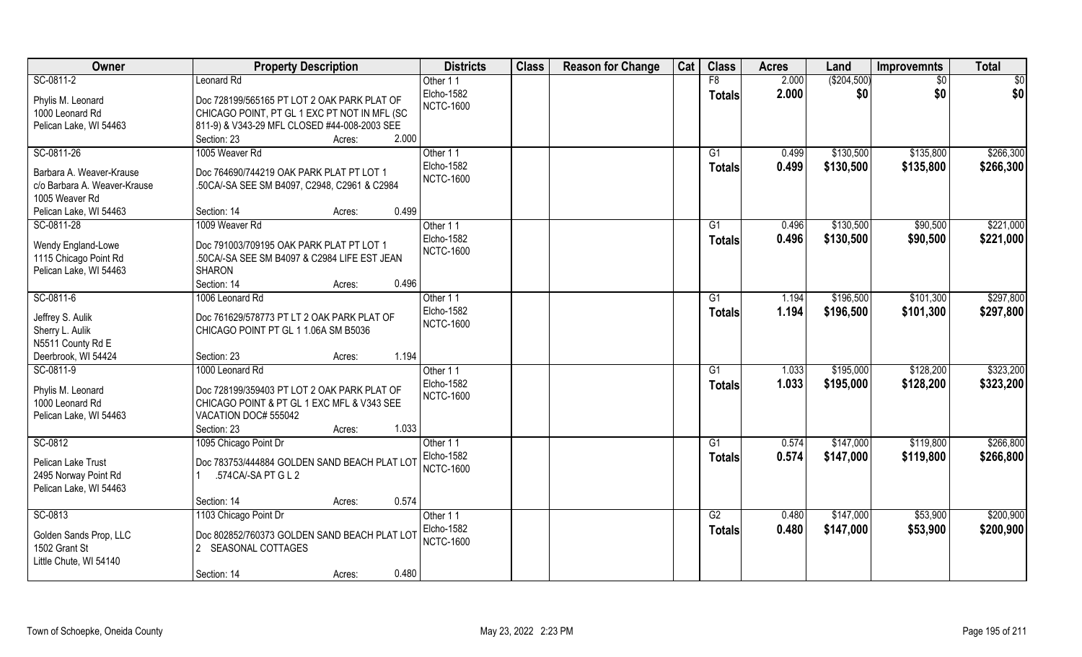| Owner                        | <b>Property Description</b>                  | <b>Districts</b>  | <b>Class</b> | <b>Reason for Change</b> | Cat | <b>Class</b>    | <b>Acres</b> | Land        | <b>Improvemnts</b> | <b>Total</b> |
|------------------------------|----------------------------------------------|-------------------|--------------|--------------------------|-----|-----------------|--------------|-------------|--------------------|--------------|
| SC-0811-2                    | Leonard Rd                                   | Other 11          |              |                          |     | F8              | 2.000        | (\$204,500) | $\sqrt{6}$         | \$0          |
| Phylis M. Leonard            | Doc 728199/565165 PT LOT 2 OAK PARK PLAT OF  | Elcho-1582        |              |                          |     | <b>Totals</b>   | 2.000        | \$0         | \$0                | \$0          |
| 1000 Leonard Rd              | CHICAGO POINT, PT GL 1 EXC PT NOT IN MFL (SC | <b>NCTC-1600</b>  |              |                          |     |                 |              |             |                    |              |
| Pelican Lake, WI 54463       | 811-9) & V343-29 MFL CLOSED #44-008-2003 SEE |                   |              |                          |     |                 |              |             |                    |              |
|                              | 2.000<br>Section: 23<br>Acres:               |                   |              |                          |     |                 |              |             |                    |              |
| SC-0811-26                   | 1005 Weaver Rd                               | Other 11          |              |                          |     | $\overline{G1}$ | 0.499        | \$130,500   | \$135,800          | \$266,300    |
|                              |                                              | Elcho-1582        |              |                          |     | Totals          | 0.499        | \$130,500   | \$135,800          | \$266,300    |
| Barbara A. Weaver-Krause     | Doc 764690/744219 OAK PARK PLAT PT LOT 1     | <b>NCTC-1600</b>  |              |                          |     |                 |              |             |                    |              |
| c/o Barbara A. Weaver-Krause | .50CA/-SA SEE SM B4097, C2948, C2961 & C2984 |                   |              |                          |     |                 |              |             |                    |              |
| 1005 Weaver Rd               |                                              |                   |              |                          |     |                 |              |             |                    |              |
| Pelican Lake, WI 54463       | 0.499<br>Section: 14<br>Acres:               |                   |              |                          |     |                 |              |             |                    |              |
| SC-0811-28                   | 1009 Weaver Rd                               | Other 11          |              |                          |     | G1              | 0.496        | \$130,500   | \$90,500           | \$221,000    |
| Wendy England-Lowe           | Doc 791003/709195 OAK PARK PLAT PT LOT 1     | Elcho-1582        |              |                          |     | <b>Totals</b>   | 0.496        | \$130,500   | \$90,500           | \$221,000    |
| 1115 Chicago Point Rd        | .50CA/-SA SEE SM B4097 & C2984 LIFE EST JEAN | <b>NCTC-1600</b>  |              |                          |     |                 |              |             |                    |              |
| Pelican Lake, WI 54463       | <b>SHARON</b>                                |                   |              |                          |     |                 |              |             |                    |              |
|                              | 0.496<br>Section: 14<br>Acres:               |                   |              |                          |     |                 |              |             |                    |              |
| SC-0811-6                    | 1006 Leonard Rd                              | Other 11          |              |                          |     | G1              | 1.194        | \$196,500   | \$101,300          | \$297,800    |
|                              |                                              | Elcho-1582        |              |                          |     | <b>Totals</b>   | 1.194        | \$196,500   | \$101,300          | \$297,800    |
| Jeffrey S. Aulik             | Doc 761629/578773 PT LT 2 OAK PARK PLAT OF   | <b>NCTC-1600</b>  |              |                          |     |                 |              |             |                    |              |
| Sherry L. Aulik              | CHICAGO POINT PT GL 1 1.06A SM B5036         |                   |              |                          |     |                 |              |             |                    |              |
| N5511 County Rd E            |                                              |                   |              |                          |     |                 |              |             |                    |              |
| Deerbrook, WI 54424          | 1.194<br>Section: 23<br>Acres:               |                   |              |                          |     |                 |              |             |                    |              |
| SC-0811-9                    | 1000 Leonard Rd                              | Other 11          |              |                          |     | $\overline{G1}$ | 1.033        | \$195,000   | \$128,200          | \$323,200    |
| Phylis M. Leonard            | Doc 728199/359403 PT LOT 2 OAK PARK PLAT OF  | Elcho-1582        |              |                          |     | <b>Totals</b>   | 1.033        | \$195,000   | \$128,200          | \$323,200    |
| 1000 Leonard Rd              | CHICAGO POINT & PT GL 1 EXC MFL & V343 SEE   | <b>NCTC-1600</b>  |              |                          |     |                 |              |             |                    |              |
| Pelican Lake, WI 54463       | VACATION DOC# 555042                         |                   |              |                          |     |                 |              |             |                    |              |
|                              | 1.033<br>Section: 23<br>Acres:               |                   |              |                          |     |                 |              |             |                    |              |
| SC-0812                      | 1095 Chicago Point Dr                        | Other 11          |              |                          |     | G1              | 0.574        | \$147,000   | \$119,800          | \$266,800    |
|                              |                                              | <b>Elcho-1582</b> |              |                          |     | <b>Totals</b>   | 0.574        | \$147,000   | \$119,800          | \$266,800    |
| Pelican Lake Trust           | Doc 783753/444884 GOLDEN SAND BEACH PLAT LOT | <b>NCTC-1600</b>  |              |                          |     |                 |              |             |                    |              |
| 2495 Norway Point Rd         | .574CA/-SA PT G L 2                          |                   |              |                          |     |                 |              |             |                    |              |
| Pelican Lake, WI 54463       |                                              |                   |              |                          |     |                 |              |             |                    |              |
|                              | 0.574<br>Section: 14<br>Acres:               |                   |              |                          |     |                 |              |             |                    |              |
| SC-0813                      | 1103 Chicago Point Dr                        | Other 11          |              |                          |     | G2              | 0.480        | \$147,000   | \$53,900           | \$200,900    |
| Golden Sands Prop, LLC       | Doc 802852/760373 GOLDEN SAND BEACH PLAT LOT | Elcho-1582        |              |                          |     | Totals          | 0.480        | \$147,000   | \$53,900           | \$200,900    |
| 1502 Grant St                | 2 SEASONAL COTTAGES                          | <b>NCTC-1600</b>  |              |                          |     |                 |              |             |                    |              |
| Little Chute, WI 54140       |                                              |                   |              |                          |     |                 |              |             |                    |              |
|                              | 0.480<br>Section: 14<br>Acres:               |                   |              |                          |     |                 |              |             |                    |              |
|                              |                                              |                   |              |                          |     |                 |              |             |                    |              |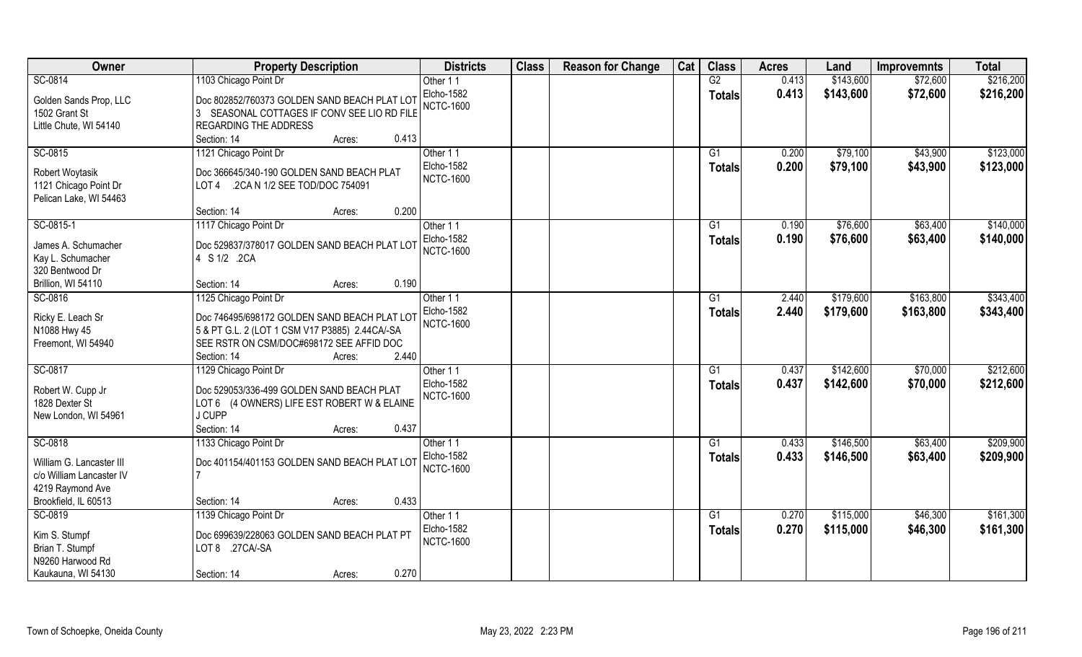| Owner                    | <b>Property Description</b>                    | <b>Districts</b>       | <b>Class</b> | <b>Reason for Change</b> | Cat | <b>Class</b>    | <b>Acres</b> | Land      | <b>Improvemnts</b> | <b>Total</b> |
|--------------------------|------------------------------------------------|------------------------|--------------|--------------------------|-----|-----------------|--------------|-----------|--------------------|--------------|
| SC-0814                  | 1103 Chicago Point Dr                          | Other 11               |              |                          |     | G2              | 0.413        | \$143,600 | \$72,600           | \$216,200    |
| Golden Sands Prop, LLC   | Doc 802852/760373 GOLDEN SAND BEACH PLAT LOT   | Elcho-1582             |              |                          |     | <b>Totals</b>   | 0.413        | \$143,600 | \$72,600           | \$216,200    |
| 1502 Grant St            | 3 SEASONAL COTTAGES IF CONV SEE LIO RD FILE    | <b>NCTC-1600</b>       |              |                          |     |                 |              |           |                    |              |
| Little Chute, WI 54140   | <b>REGARDING THE ADDRESS</b>                   |                        |              |                          |     |                 |              |           |                    |              |
|                          | 0.413<br>Section: 14<br>Acres:                 |                        |              |                          |     |                 |              |           |                    |              |
| SC-0815                  | 1121 Chicago Point Dr                          | Other 11               |              |                          |     | $\overline{G1}$ | 0.200        | \$79,100  | \$43,900           | \$123,000    |
|                          |                                                | Elcho-1582             |              |                          |     |                 |              |           |                    |              |
| Robert Woytasik          | Doc 366645/340-190 GOLDEN SAND BEACH PLAT      |                        |              |                          |     | Totals          | 0.200        | \$79,100  | \$43,900           | \$123,000    |
| 1121 Chicago Point Dr    | .2CA N 1/2 SEE TOD/DOC 754091<br>LOT 4         | <b>NCTC-1600</b>       |              |                          |     |                 |              |           |                    |              |
| Pelican Lake, WI 54463   |                                                |                        |              |                          |     |                 |              |           |                    |              |
|                          | 0.200<br>Section: 14<br>Acres:                 |                        |              |                          |     |                 |              |           |                    |              |
| SC-0815-1                | 1117 Chicago Point Dr                          | Other 11               |              |                          |     | G1              | 0.190        | \$76,600  | \$63,400           | \$140,000    |
|                          |                                                | Elcho-1582             |              |                          |     | <b>Totals</b>   | 0.190        | \$76,600  | \$63,400           | \$140,000    |
| James A. Schumacher      | Doc 529837/378017 GOLDEN SAND BEACH PLAT LOT   | <b>NCTC-1600</b>       |              |                          |     |                 |              |           |                    |              |
| Kay L. Schumacher        | 4 S 1/2 .2CA                                   |                        |              |                          |     |                 |              |           |                    |              |
| 320 Bentwood Dr          |                                                |                        |              |                          |     |                 |              |           |                    |              |
| Brillion, WI 54110       | 0.190<br>Section: 14<br>Acres:                 |                        |              |                          |     |                 |              |           |                    |              |
| SC-0816                  | 1125 Chicago Point Dr                          | Other 11               |              |                          |     | G1              | 2.440        | \$179,600 | \$163,800          | \$343,400    |
| Ricky E. Leach Sr        | Doc 746495/698172 GOLDEN SAND BEACH PLAT LOT   | Elcho-1582             |              |                          |     | <b>Totals</b>   | 2.440        | \$179,600 | \$163,800          | \$343,400    |
| N1088 Hwy 45             | 5 & PT G.L. 2 (LOT 1 CSM V17 P3885) 2.44CA/-SA | <b>NCTC-1600</b>       |              |                          |     |                 |              |           |                    |              |
| Freemont, WI 54940       | SEE RSTR ON CSM/DOC#698172 SEE AFFID DOC       |                        |              |                          |     |                 |              |           |                    |              |
|                          | Section: 14<br>2.440<br>Acres:                 |                        |              |                          |     |                 |              |           |                    |              |
| SC-0817                  | 1129 Chicago Point Dr                          | Other 11               |              |                          |     | $\overline{G1}$ | 0.437        | \$142,600 | \$70,000           | \$212,600    |
|                          |                                                | Elcho-1582             |              |                          |     | Totals          | 0.437        | \$142,600 | \$70,000           | \$212,600    |
| Robert W. Cupp Jr        | Doc 529053/336-499 GOLDEN SAND BEACH PLAT      | <b>NCTC-1600</b>       |              |                          |     |                 |              |           |                    |              |
| 1828 Dexter St           | LOT 6 (4 OWNERS) LIFE EST ROBERT W & ELAINE    |                        |              |                          |     |                 |              |           |                    |              |
| New London, WI 54961     | J CUPP                                         |                        |              |                          |     |                 |              |           |                    |              |
|                          | 0.437<br>Section: 14<br>Acres:                 |                        |              |                          |     |                 |              |           |                    |              |
| SC-0818                  | 1133 Chicago Point Dr                          | Other 11               |              |                          |     | G1              | 0.433        | \$146,500 | \$63,400           | \$209,900    |
| William G. Lancaster III | Doc 401154/401153 GOLDEN SAND BEACH PLAT LOT   | Elcho-1582             |              |                          |     | <b>Totals</b>   | 0.433        | \$146,500 | \$63,400           | \$209,900    |
| c/o William Lancaster IV |                                                | <b>NCTC-1600</b>       |              |                          |     |                 |              |           |                    |              |
| 4219 Raymond Ave         |                                                |                        |              |                          |     |                 |              |           |                    |              |
| Brookfield, IL 60513     | 0.433<br>Section: 14                           |                        |              |                          |     |                 |              |           |                    |              |
|                          | Acres:                                         |                        |              |                          |     |                 |              |           |                    | \$161,300    |
| SC-0819                  | 1139 Chicago Point Dr                          | Other 11<br>Elcho-1582 |              |                          |     | G1              | 0.270        | \$115,000 | \$46,300           |              |
| Kim S. Stumpf            | Doc 699639/228063 GOLDEN SAND BEACH PLAT PT    |                        |              |                          |     | <b>Totals</b>   | 0.270        | \$115,000 | \$46,300           | \$161,300    |
| Brian T. Stumpf          | LOT 8 .27CA/-SA                                | <b>NCTC-1600</b>       |              |                          |     |                 |              |           |                    |              |
| N9260 Harwood Rd         |                                                |                        |              |                          |     |                 |              |           |                    |              |
| Kaukauna, WI 54130       | 0.270<br>Section: 14<br>Acres:                 |                        |              |                          |     |                 |              |           |                    |              |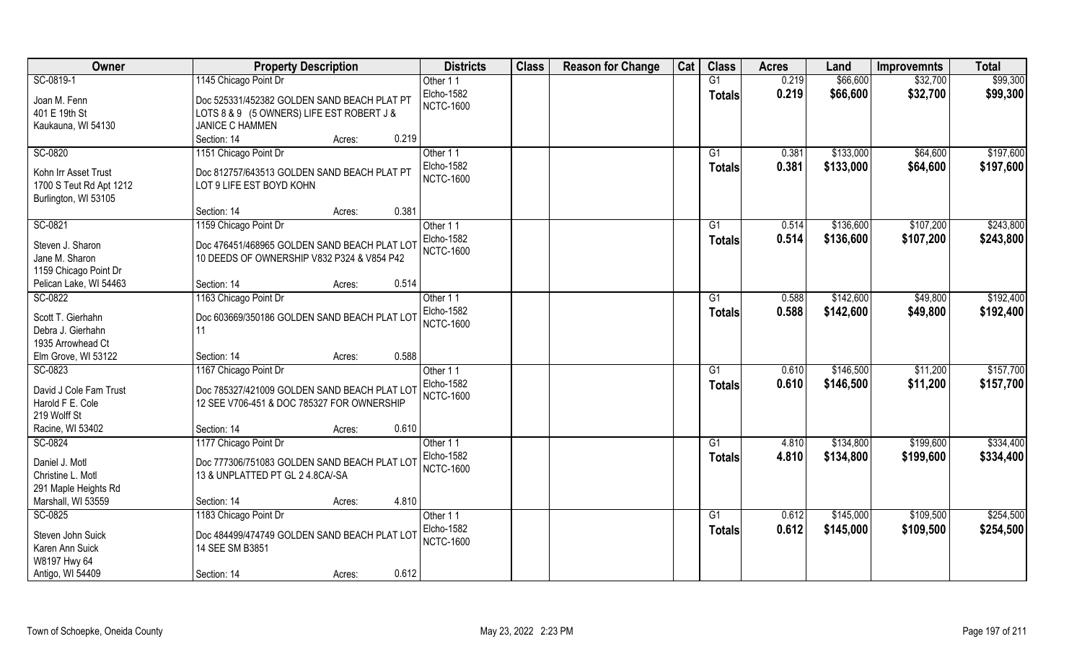| <b>Class</b><br><b>Class</b><br>Owner<br><b>Districts</b><br><b>Reason for Change</b><br>Cat<br><b>Acres</b><br><b>Property Description</b><br>Land                                                                                               | <b>Total</b><br><b>Improvemnts</b>             |
|---------------------------------------------------------------------------------------------------------------------------------------------------------------------------------------------------------------------------------------------------|------------------------------------------------|
| \$66,600<br>SC-0819-1<br>1145 Chicago Point Dr<br>G1<br>0.219<br>Other 11                                                                                                                                                                         | \$99,300<br>\$32,700                           |
| Elcho-1582<br>0.219<br>\$66,600<br><b>Totals</b><br>Doc 525331/452382 GOLDEN SAND BEACH PLAT PT<br>Joan M. Fenn<br><b>NCTC-1600</b><br>401 E 19th St<br>LOTS 8 & 9 (5 OWNERS) LIFE EST ROBERT J &<br><b>JANICE C HAMMEN</b><br>Kaukauna, WI 54130 | \$32,700<br>\$99,300                           |
| 0.219<br>Section: 14<br>Acres:                                                                                                                                                                                                                    |                                                |
| SC-0820<br>\$133,000<br>1151 Chicago Point Dr<br>Other 11<br>$\overline{G1}$<br>0.381<br><b>Elcho-1582</b><br>0.381<br>\$133,000<br><b>Totals</b><br>Kohn Irr Asset Trust<br>Doc 812757/643513 GOLDEN SAND BEACH PLAT PT                          | \$64,600<br>\$197,600<br>\$64,600<br>\$197,600 |
| <b>NCTC-1600</b><br>1700 S Teut Rd Apt 1212<br>LOT 9 LIFE EST BOYD KOHN<br>Burlington, WI 53105<br>0.381<br>Section: 14                                                                                                                           |                                                |
| Acres:<br>\$136,600<br>SC-0821<br>1159 Chicago Point Dr<br>0.514<br>G1<br>Other 11                                                                                                                                                                | \$243,800<br>\$107,200                         |
| Elcho-1582<br>0.514<br>\$136,600<br><b>Totals</b><br>Doc 476451/468965 GOLDEN SAND BEACH PLAT LOT<br>Steven J. Sharon<br><b>NCTC-1600</b><br>Jane M. Sharon<br>10 DEEDS OF OWNERSHIP V832 P324 & V854 P42<br>1159 Chicago Point Dr                | \$107,200<br>\$243,800                         |
| 0.514<br>Pelican Lake, WI 54463<br>Section: 14<br>Acres:                                                                                                                                                                                          |                                                |
| \$142,600<br>SC-0822<br>1163 Chicago Point Dr<br>Other 11<br>G1<br>0.588                                                                                                                                                                          | \$192,400<br>\$49,800                          |
| Elcho-1582<br>0.588<br>\$142,600<br><b>Totals</b><br>Scott T. Gierhahn<br>Doc 603669/350186 GOLDEN SAND BEACH PLAT LOT<br><b>NCTC-1600</b><br>Debra J. Gierhahn<br>11<br>1935 Arrowhead Ct                                                        | \$49,800<br>\$192,400                          |
| 0.588<br>Elm Grove, WI 53122<br>Section: 14<br>Acres:                                                                                                                                                                                             |                                                |
| SC-0823<br>\$146,500<br>1167 Chicago Point Dr<br>$\overline{G1}$<br>0.610<br>Other 11<br>Elcho-1582<br>0.610<br>\$146,500<br><b>Totals</b>                                                                                                        | \$157,700<br>\$11,200<br>\$11,200<br>\$157,700 |
| David J Cole Fam Trust<br>Doc 785327/421009 GOLDEN SAND BEACH PLAT LOT<br><b>NCTC-1600</b><br>Harold F E. Cole<br>12 SEE V706-451 & DOC 785327 FOR OWNERSHIP<br>219 Wolff St                                                                      |                                                |
| 0.610<br>Racine, WI 53402<br>Section: 14<br>Acres:                                                                                                                                                                                                |                                                |
| SC-0824<br>1177 Chicago Point Dr<br>\$134,800<br>G1<br>4.810<br>Other 11                                                                                                                                                                          | \$334,400<br>\$199,600                         |
| Elcho-1582<br>4.810<br>\$134,800<br><b>Totals</b><br>Daniel J. Motl<br>Doc 777306/751083 GOLDEN SAND BEACH PLAT LOT<br><b>NCTC-1600</b><br>Christine L. Motl<br>13 & UNPLATTED PT GL 2 4.8CA/-SA<br>291 Maple Heights Rd                          | \$199,600<br>\$334,400                         |
| Marshall, WI 53559<br>4.810<br>Section: 14<br>Acres:                                                                                                                                                                                              |                                                |
| SC-0825<br>1183 Chicago Point Dr<br>\$145,000<br>G1<br>0.612<br>Other 11                                                                                                                                                                          | \$254,500<br>\$109,500                         |
| Elcho-1582<br>0.612<br>\$145,000<br><b>Totals</b><br>Doc 484499/474749 GOLDEN SAND BEACH PLAT LOT<br>Steven John Suick<br><b>NCTC-1600</b><br>Karen Ann Suick<br>14 SEE SM B3851                                                                  | \$109,500<br>\$254,500                         |
| W8197 Hwy 64<br>Antigo, WI 54409<br>0.612<br>Section: 14<br>Acres:                                                                                                                                                                                |                                                |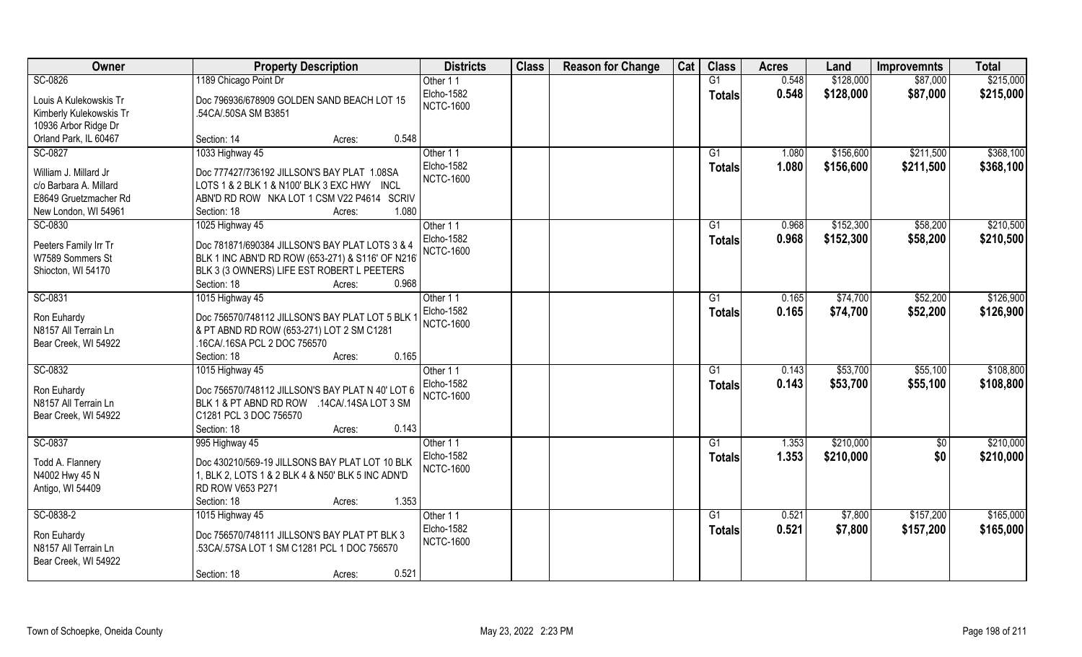| Owner                   | <b>Property Description</b>                       | <b>Districts</b>  | <b>Class</b> | <b>Reason for Change</b> | Cat | <b>Class</b>    | <b>Acres</b> | Land      | <b>Improvemnts</b> | <b>Total</b> |
|-------------------------|---------------------------------------------------|-------------------|--------------|--------------------------|-----|-----------------|--------------|-----------|--------------------|--------------|
| SC-0826                 | 1189 Chicago Point Dr                             | Other 11          |              |                          |     | G1              | 0.548        | \$128,000 | \$87,000           | \$215,000    |
| Louis A Kulekowskis Tr  | Doc 796936/678909 GOLDEN SAND BEACH LOT 15        | Elcho-1582        |              |                          |     | <b>Totals</b>   | 0.548        | \$128,000 | \$87,000           | \$215,000    |
| Kimberly Kulekowskis Tr | .54CA/.50SA SM B3851                              | <b>NCTC-1600</b>  |              |                          |     |                 |              |           |                    |              |
| 10936 Arbor Ridge Dr    |                                                   |                   |              |                          |     |                 |              |           |                    |              |
| Orland Park, IL 60467   | 0.548<br>Section: 14<br>Acres:                    |                   |              |                          |     |                 |              |           |                    |              |
| SC-0827                 | 1033 Highway 45                                   | Other 11          |              |                          |     | $\overline{G1}$ | 1.080        | \$156,600 | \$211,500          | \$368,100    |
|                         |                                                   | <b>Elcho-1582</b> |              |                          |     | Totals          | 1.080        | \$156,600 | \$211,500          | \$368,100    |
| William J. Millard Jr   | Doc 777427/736192 JILLSON'S BAY PLAT 1.08SA       | <b>NCTC-1600</b>  |              |                          |     |                 |              |           |                    |              |
| c/o Barbara A. Millard  | LOTS 1 & 2 BLK 1 & N100' BLK 3 EXC HWY INCL       |                   |              |                          |     |                 |              |           |                    |              |
| E8649 Gruetzmacher Rd   | ABN'D RD ROW NKA LOT 1 CSM V22 P4614 SCRIV        |                   |              |                          |     |                 |              |           |                    |              |
| New London, WI 54961    | 1.080<br>Section: 18<br>Acres:                    |                   |              |                          |     |                 |              |           |                    |              |
| SC-0830                 | 1025 Highway 45                                   | Other 11          |              |                          |     | G1              | 0.968        | \$152,300 | \$58,200           | \$210,500    |
| Peeters Family Irr Tr   | Doc 781871/690384 JILLSON'S BAY PLAT LOTS 3 & 4   | Elcho-1582        |              |                          |     | <b>Totals</b>   | 0.968        | \$152,300 | \$58,200           | \$210,500    |
| W7589 Sommers St        | BLK 1 INC ABN'D RD ROW (653-271) & S116' OF N216' | <b>NCTC-1600</b>  |              |                          |     |                 |              |           |                    |              |
| Shiocton, WI 54170      | BLK 3 (3 OWNERS) LIFE EST ROBERT L PEETERS        |                   |              |                          |     |                 |              |           |                    |              |
|                         | Section: 18<br>0.968<br>Acres:                    |                   |              |                          |     |                 |              |           |                    |              |
| SC-0831                 | 1015 Highway 45                                   | Other 11          |              |                          |     | G1              | 0.165        | \$74,700  | \$52,200           | \$126,900    |
|                         |                                                   | Elcho-1582        |              |                          |     | <b>Totals</b>   | 0.165        | \$74,700  | \$52,200           | \$126,900    |
| Ron Euhardy             | Doc 756570/748112 JILLSON'S BAY PLAT LOT 5 BLK 1  | <b>NCTC-1600</b>  |              |                          |     |                 |              |           |                    |              |
| N8157 All Terrain Ln    | & PT ABND RD ROW (653-271) LOT 2 SM C1281         |                   |              |                          |     |                 |              |           |                    |              |
| Bear Creek, WI 54922    | .16CA/.16SA PCL 2 DOC 756570                      |                   |              |                          |     |                 |              |           |                    |              |
|                         | 0.165<br>Section: 18<br>Acres:                    |                   |              |                          |     |                 |              |           |                    |              |
| SC-0832                 | 1015 Highway 45                                   | Other 11          |              |                          |     | $\overline{G1}$ | 0.143        | \$53,700  | \$55,100           | \$108,800    |
| Ron Euhardy             | Doc 756570/748112 JILLSON'S BAY PLAT N 40' LOT 6  | Elcho-1582        |              |                          |     | Totals          | 0.143        | \$53,700  | \$55,100           | \$108,800    |
| N8157 All Terrain Ln    | BLK 1 & PT ABND RD ROW<br>.14CA/.14SA LOT 3 SM    | <b>NCTC-1600</b>  |              |                          |     |                 |              |           |                    |              |
| Bear Creek, WI 54922    | C1281 PCL 3 DOC 756570                            |                   |              |                          |     |                 |              |           |                    |              |
|                         | 0.143<br>Section: 18<br>Acres:                    |                   |              |                          |     |                 |              |           |                    |              |
| SC-0837                 | 995 Highway 45                                    | Other 11          |              |                          |     | G1              | 1.353        | \$210,000 | $\overline{60}$    | \$210,000    |
|                         |                                                   | Elcho-1582        |              |                          |     | <b>Totals</b>   | 1.353        | \$210,000 | \$0                | \$210,000    |
| Todd A. Flannery        | Doc 430210/569-19 JILLSONS BAY PLAT LOT 10 BLK    | <b>NCTC-1600</b>  |              |                          |     |                 |              |           |                    |              |
| N4002 Hwy 45 N          | 1, BLK 2, LOTS 1 & 2 BLK 4 & N50' BLK 5 INC ADN'D |                   |              |                          |     |                 |              |           |                    |              |
| Antigo, WI 54409        | RD ROW V653 P271                                  |                   |              |                          |     |                 |              |           |                    |              |
|                         | 1.353<br>Section: 18<br>Acres:                    |                   |              |                          |     |                 |              |           |                    |              |
| SC-0838-2               | 1015 Highway 45                                   | Other 11          |              |                          |     | G1              | 0.521        | \$7,800   | \$157,200          | \$165,000    |
| Ron Euhardy             | Doc 756570/748111 JILLSON'S BAY PLAT PT BLK 3     | Elcho-1582        |              |                          |     | Totals          | 0.521        | \$7,800   | \$157,200          | \$165,000    |
| N8157 All Terrain Ln    | .53CA/.57SA LOT 1 SM C1281 PCL 1 DOC 756570       | <b>NCTC-1600</b>  |              |                          |     |                 |              |           |                    |              |
| Bear Creek, WI 54922    |                                                   |                   |              |                          |     |                 |              |           |                    |              |
|                         | 0.521<br>Section: 18<br>Acres:                    |                   |              |                          |     |                 |              |           |                    |              |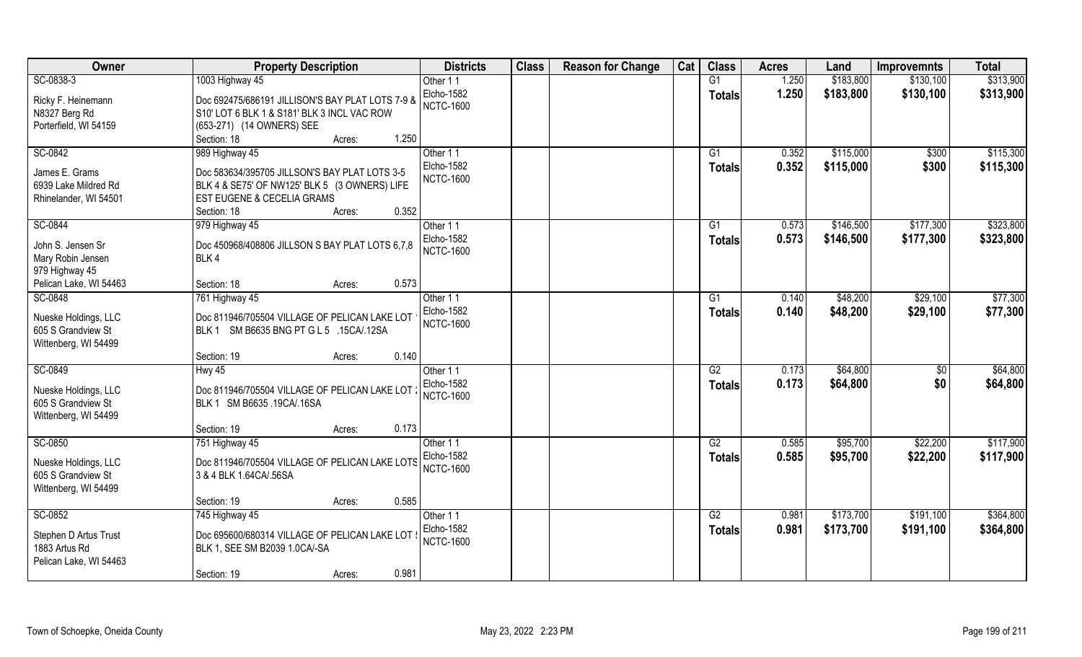| Owner                  | <b>Property Description</b>                      | <b>Districts</b>  | <b>Class</b> | <b>Reason for Change</b> | Cat | <b>Class</b>    | <b>Acres</b> | Land      | <b>Improvemnts</b> | <b>Total</b> |
|------------------------|--------------------------------------------------|-------------------|--------------|--------------------------|-----|-----------------|--------------|-----------|--------------------|--------------|
| SC-0838-3              | 1003 Highway 45                                  | Other 11          |              |                          |     | G1              | 1.250        | \$183,800 | \$130,100          | \$313,900    |
| Ricky F. Heinemann     | Doc 692475/686191 JILLISON'S BAY PLAT LOTS 7-9 & | Elcho-1582        |              |                          |     | <b>Totals</b>   | 1.250        | \$183,800 | \$130,100          | \$313,900    |
| N8327 Berg Rd          | S10' LOT 6 BLK 1 & S181' BLK 3 INCL VAC ROW      | <b>NCTC-1600</b>  |              |                          |     |                 |              |           |                    |              |
| Porterfield, WI 54159  | (653-271) (14 OWNERS) SEE                        |                   |              |                          |     |                 |              |           |                    |              |
|                        | 1.250<br>Section: 18<br>Acres:                   |                   |              |                          |     |                 |              |           |                    |              |
| SC-0842                | 989 Highway 45                                   | Other 11          |              |                          |     | $\overline{G1}$ | 0.352        | \$115,000 | \$300              | \$115,300    |
|                        |                                                  | Elcho-1582        |              |                          |     | Totals          | 0.352        | \$115,000 | \$300              | \$115,300    |
| James E. Grams         | Doc 583634/395705 JILLSON'S BAY PLAT LOTS 3-5    | <b>NCTC-1600</b>  |              |                          |     |                 |              |           |                    |              |
| 6939 Lake Mildred Rd   | BLK 4 & SE75' OF NW125' BLK 5 (3 OWNERS) LIFE    |                   |              |                          |     |                 |              |           |                    |              |
| Rhinelander, WI 54501  | EST EUGENE & CECELIA GRAMS                       |                   |              |                          |     |                 |              |           |                    |              |
|                        | 0.352<br>Section: 18<br>Acres:                   |                   |              |                          |     |                 |              |           |                    |              |
| SC-0844                | 979 Highway 45                                   | Other 11          |              |                          |     | G1              | 0.573        | \$146,500 | \$177,300          | \$323,800    |
| John S. Jensen Sr      | Doc 450968/408806 JILLSON S BAY PLAT LOTS 6,7,8  | Elcho-1582        |              |                          |     | <b>Totals</b>   | 0.573        | \$146,500 | \$177,300          | \$323,800    |
| Mary Robin Jensen      | BLK4                                             | <b>NCTC-1600</b>  |              |                          |     |                 |              |           |                    |              |
| 979 Highway 45         |                                                  |                   |              |                          |     |                 |              |           |                    |              |
| Pelican Lake, WI 54463 | 0.573<br>Section: 18<br>Acres:                   |                   |              |                          |     |                 |              |           |                    |              |
| SC-0848                | 761 Highway 45                                   | Other 11          |              |                          |     | G1              | 0.140        | \$48,200  | \$29,100           | \$77,300     |
|                        |                                                  | Elcho-1582        |              |                          |     | <b>Totals</b>   | 0.140        | \$48,200  | \$29,100           | \$77,300     |
| Nueske Holdings, LLC   | Doc 811946/705504 VILLAGE OF PELICAN LAKE LOT    | <b>NCTC-1600</b>  |              |                          |     |                 |              |           |                    |              |
| 605 S Grandview St     | BLK 1 SM B6635 BNG PT G L 5 .15CA/.12SA          |                   |              |                          |     |                 |              |           |                    |              |
| Wittenberg, WI 54499   |                                                  |                   |              |                          |     |                 |              |           |                    |              |
|                        | 0.140<br>Section: 19<br>Acres:                   |                   |              |                          |     |                 |              |           |                    |              |
| SC-0849                | Hwy 45                                           | Other 11          |              |                          |     | $\overline{G2}$ | 0.173        | \$64,800  | $\sqrt[6]{30}$     | \$64,800     |
| Nueske Holdings, LLC   | Doc 811946/705504 VILLAGE OF PELICAN LAKE LOT    | <b>Elcho-1582</b> |              |                          |     | <b>Totals</b>   | 0.173        | \$64,800  | \$0                | \$64,800     |
| 605 S Grandview St     | BLK 1 SM B6635 .19CA/.16SA                       | <b>NCTC-1600</b>  |              |                          |     |                 |              |           |                    |              |
| Wittenberg, WI 54499   |                                                  |                   |              |                          |     |                 |              |           |                    |              |
|                        | 0.173<br>Section: 19<br>Acres:                   |                   |              |                          |     |                 |              |           |                    |              |
| SC-0850                | 751 Highway 45                                   | Other 11          |              |                          |     | G2              | 0.585        | \$95,700  | \$22,200           | \$117,900    |
|                        |                                                  | Elcho-1582        |              |                          |     | <b>Totals</b>   | 0.585        | \$95,700  | \$22,200           | \$117,900    |
| Nueske Holdings, LLC   | Doc 811946/705504 VILLAGE OF PELICAN LAKE LOTS   | <b>NCTC-1600</b>  |              |                          |     |                 |              |           |                    |              |
| 605 S Grandview St     | 3 & 4 BLK 1.64CA/.56SA                           |                   |              |                          |     |                 |              |           |                    |              |
| Wittenberg, WI 54499   |                                                  |                   |              |                          |     |                 |              |           |                    |              |
|                        | 0.585<br>Section: 19<br>Acres:                   |                   |              |                          |     |                 |              |           |                    |              |
| SC-0852                | 745 Highway 45                                   | Other 11          |              |                          |     | G2              | 0.981        | \$173,700 | \$191,100          | \$364,800    |
| Stephen D Artus Trust  | Doc 695600/680314 VILLAGE OF PELICAN LAKE LOT    | <b>Elcho-1582</b> |              |                          |     | <b>Totals</b>   | 0.981        | \$173,700 | \$191,100          | \$364,800    |
| 1883 Artus Rd          | BLK 1, SEE SM B2039 1.0CA/-SA                    | <b>NCTC-1600</b>  |              |                          |     |                 |              |           |                    |              |
| Pelican Lake, WI 54463 |                                                  |                   |              |                          |     |                 |              |           |                    |              |
|                        | 0.981<br>Section: 19<br>Acres:                   |                   |              |                          |     |                 |              |           |                    |              |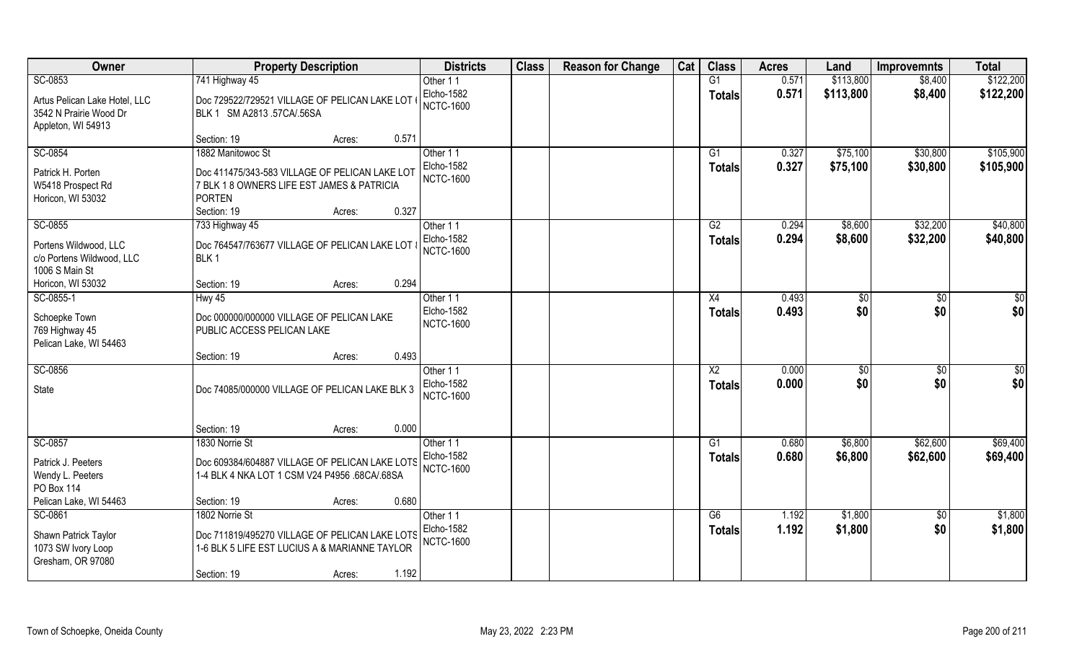| Owner                         | <b>Property Description</b>                                                                  | <b>Districts</b> | <b>Class</b> | <b>Reason for Change</b> | Cat | <b>Class</b>           | <b>Acres</b> | Land            | <b>Improvemnts</b> | <b>Total</b>    |
|-------------------------------|----------------------------------------------------------------------------------------------|------------------|--------------|--------------------------|-----|------------------------|--------------|-----------------|--------------------|-----------------|
| SC-0853                       | 741 Highway 45                                                                               | Other 11         |              |                          |     | G1                     | 0.571        | \$113,800       | \$8,400            | \$122,200       |
| Artus Pelican Lake Hotel, LLC | Doc 729522/729521 VILLAGE OF PELICAN LAKE LOT                                                | Elcho-1582       |              |                          |     | <b>Totals</b>          | 0.571        | \$113,800       | \$8,400            | \$122,200       |
| 3542 N Prairie Wood Dr        | BLK 1 SM A2813 .57CA/.56SA                                                                   | <b>NCTC-1600</b> |              |                          |     |                        |              |                 |                    |                 |
| Appleton, WI 54913            |                                                                                              |                  |              |                          |     |                        |              |                 |                    |                 |
|                               | 0.571<br>Section: 19<br>Acres:                                                               |                  |              |                          |     |                        |              |                 |                    |                 |
| SC-0854                       | 1882 Manitowoc St                                                                            | Other 11         |              |                          |     | $\overline{G1}$        | 0.327        | \$75,100        | \$30,800           | \$105,900       |
| Patrick H. Porten             |                                                                                              | Elcho-1582       |              |                          |     | Totals                 | 0.327        | \$75,100        | \$30,800           | \$105,900       |
| W5418 Prospect Rd             | Doc 411475/343-583 VILLAGE OF PELICAN LAKE LOT<br>7 BLK 1 8 OWNERS LIFE EST JAMES & PATRICIA | <b>NCTC-1600</b> |              |                          |     |                        |              |                 |                    |                 |
| Horicon, WI 53032             | <b>PORTEN</b>                                                                                |                  |              |                          |     |                        |              |                 |                    |                 |
|                               | 0.327<br>Section: 19<br>Acres:                                                               |                  |              |                          |     |                        |              |                 |                    |                 |
| SC-0855                       | 733 Highway 45                                                                               | Other 11         |              |                          |     | G2                     | 0.294        | \$8,600         | \$32,200           | \$40,800        |
|                               |                                                                                              | Elcho-1582       |              |                          |     | <b>Totals</b>          | 0.294        | \$8,600         | \$32,200           | \$40,800        |
| Portens Wildwood, LLC         | Doc 764547/763677 VILLAGE OF PELICAN LAKE LOT                                                | <b>NCTC-1600</b> |              |                          |     |                        |              |                 |                    |                 |
| c/o Portens Wildwood, LLC     | BLK <sub>1</sub>                                                                             |                  |              |                          |     |                        |              |                 |                    |                 |
| 1006 S Main St                |                                                                                              |                  |              |                          |     |                        |              |                 |                    |                 |
| Horicon, WI 53032             | 0.294<br>Section: 19<br>Acres:                                                               |                  |              |                          |     |                        |              |                 |                    |                 |
| SC-0855-1                     | Hwy 45                                                                                       | Other 11         |              |                          |     | X4                     | 0.493        | \$0             | \$0                | $\sqrt{50}$     |
| Schoepke Town                 | Doc 000000/000000 VILLAGE OF PELICAN LAKE                                                    | Elcho-1582       |              |                          |     | <b>Totals</b>          | 0.493        | \$0             | \$0                | \$0             |
| 769 Highway 45                | PUBLIC ACCESS PELICAN LAKE                                                                   | <b>NCTC-1600</b> |              |                          |     |                        |              |                 |                    |                 |
| Pelican Lake, WI 54463        |                                                                                              |                  |              |                          |     |                        |              |                 |                    |                 |
|                               | 0.493<br>Section: 19<br>Acres:                                                               |                  |              |                          |     |                        |              |                 |                    |                 |
| SC-0856                       |                                                                                              | Other 11         |              |                          |     | $\overline{\text{X2}}$ | 0.000        | $\overline{50}$ | $\overline{50}$    | $\overline{50}$ |
| State                         | Doc 74085/000000 VILLAGE OF PELICAN LAKE BLK 3                                               | Elcho-1582       |              |                          |     | Totals                 | 0.000        | \$0             | \$0                | \$0             |
|                               |                                                                                              | <b>NCTC-1600</b> |              |                          |     |                        |              |                 |                    |                 |
|                               |                                                                                              |                  |              |                          |     |                        |              |                 |                    |                 |
|                               | 0.000<br>Section: 19<br>Acres:                                                               |                  |              |                          |     |                        |              |                 |                    |                 |
| SC-0857                       | 1830 Norrie St                                                                               | Other 11         |              |                          |     | G1                     | 0.680        | \$6,800         | \$62,600           | \$69,400        |
|                               |                                                                                              | Elcho-1582       |              |                          |     | <b>Totals</b>          | 0.680        | \$6,800         | \$62,600           | \$69,400        |
| Patrick J. Peeters            | Doc 609384/604887 VILLAGE OF PELICAN LAKE LOTS                                               | <b>NCTC-1600</b> |              |                          |     |                        |              |                 |                    |                 |
| Wendy L. Peeters              | 1-4 BLK 4 NKA LOT 1 CSM V24 P4956 .68CA/.68SA                                                |                  |              |                          |     |                        |              |                 |                    |                 |
| PO Box 114                    |                                                                                              |                  |              |                          |     |                        |              |                 |                    |                 |
| Pelican Lake, WI 54463        | 0.680<br>Section: 19<br>Acres:                                                               |                  |              |                          |     |                        |              |                 |                    |                 |
| SC-0861                       | 1802 Norrie St                                                                               | Other 11         |              |                          |     | G6                     | 1.192        | \$1,800         | $\sqrt{$0}$        | \$1,800         |
| Shawn Patrick Taylor          | Doc 711819/495270 VILLAGE OF PELICAN LAKE LOTS                                               | Elcho-1582       |              |                          |     | <b>Totals</b>          | 1.192        | \$1,800         | \$0                | \$1,800         |
| 1073 SW Ivory Loop            | 1-6 BLK 5 LIFE EST LUCIUS A & MARIANNE TAYLOR                                                | <b>NCTC-1600</b> |              |                          |     |                        |              |                 |                    |                 |
| Gresham, OR 97080             |                                                                                              |                  |              |                          |     |                        |              |                 |                    |                 |
|                               | 1.192<br>Section: 19<br>Acres:                                                               |                  |              |                          |     |                        |              |                 |                    |                 |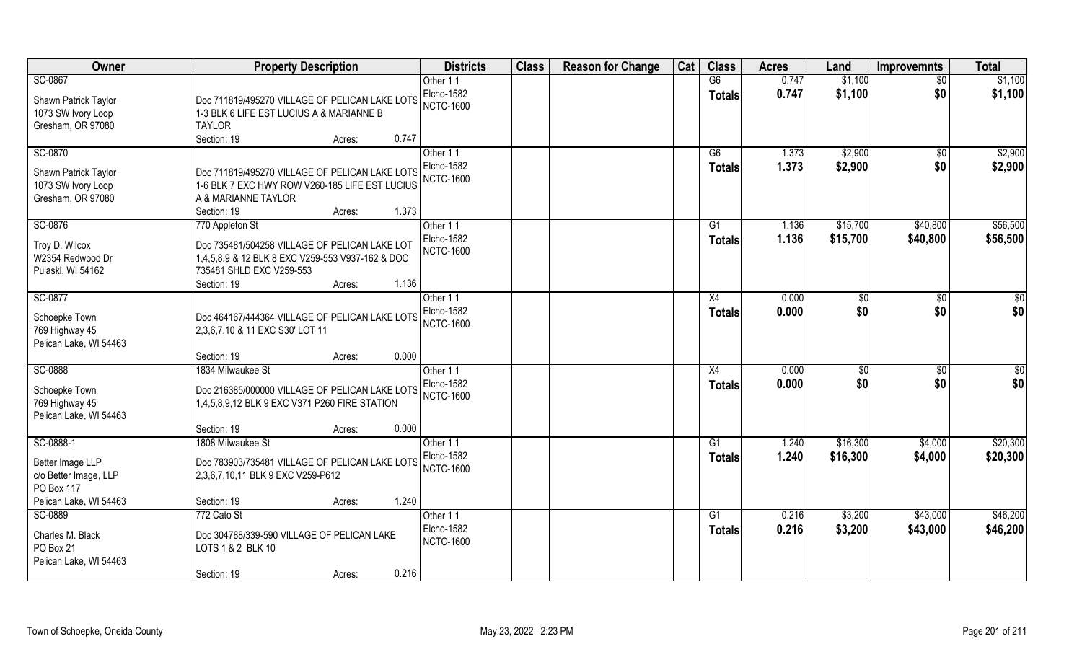| Owner                  | <b>Property Description</b>                      | <b>Districts</b> | <b>Class</b> | <b>Reason for Change</b> | Cat | <b>Class</b>    | <b>Acres</b> | Land            | <b>Improvemnts</b> | <b>Total</b>    |
|------------------------|--------------------------------------------------|------------------|--------------|--------------------------|-----|-----------------|--------------|-----------------|--------------------|-----------------|
| SC-0867                |                                                  | Other 11         |              |                          |     | G6              | 0.747        | \$1,100         | $\sqrt{$0}$        | \$1,100         |
| Shawn Patrick Taylor   | Doc 711819/495270 VILLAGE OF PELICAN LAKE LOTS   | Elcho-1582       |              |                          |     | <b>Totals</b>   | 0.747        | \$1,100         | \$0                | \$1,100         |
| 1073 SW Ivory Loop     | 1-3 BLK 6 LIFE EST LUCIUS A & MARIANNE B         | <b>NCTC-1600</b> |              |                          |     |                 |              |                 |                    |                 |
| Gresham, OR 97080      | <b>TAYLOR</b>                                    |                  |              |                          |     |                 |              |                 |                    |                 |
|                        | 0.747<br>Section: 19<br>Acres:                   |                  |              |                          |     |                 |              |                 |                    |                 |
| SC-0870                |                                                  | Other 11         |              |                          |     | G6              | 1.373        | \$2,900         | \$0                | \$2,900         |
| Shawn Patrick Taylor   | Doc 711819/495270 VILLAGE OF PELICAN LAKE LOTS   | Elcho-1582       |              |                          |     | Totals          | 1.373        | \$2,900         | \$0                | \$2,900         |
| 1073 SW Ivory Loop     | 1-6 BLK 7 EXC HWY ROW V260-185 LIFE EST LUCIUS   | <b>NCTC-1600</b> |              |                          |     |                 |              |                 |                    |                 |
| Gresham, OR 97080      | A & MARIANNE TAYLOR                              |                  |              |                          |     |                 |              |                 |                    |                 |
|                        | 1.373<br>Section: 19<br>Acres:                   |                  |              |                          |     |                 |              |                 |                    |                 |
| SC-0876                | 770 Appleton St                                  | Other 11         |              |                          |     | G1              | 1.136        | \$15,700        | \$40,800           | \$56,500        |
| Troy D. Wilcox         | Doc 735481/504258 VILLAGE OF PELICAN LAKE LOT    | Elcho-1582       |              |                          |     | <b>Totals</b>   | 1.136        | \$15,700        | \$40,800           | \$56,500        |
| W2354 Redwood Dr       | 1,4,5,8,9 & 12 BLK 8 EXC V259-553 V937-162 & DOC | <b>NCTC-1600</b> |              |                          |     |                 |              |                 |                    |                 |
| Pulaski, WI 54162      | 735481 SHLD EXC V259-553                         |                  |              |                          |     |                 |              |                 |                    |                 |
|                        | 1.136<br>Section: 19<br>Acres:                   |                  |              |                          |     |                 |              |                 |                    |                 |
| SC-0877                |                                                  | Other 11         |              |                          |     | X4              | 0.000        | \$0             | \$0                | $\sqrt{50}$     |
| Schoepke Town          | Doc 464167/444364 VILLAGE OF PELICAN LAKE LOTS   | Elcho-1582       |              |                          |     | <b>Totals</b>   | 0.000        | \$0             | \$0                | \$0             |
| 769 Highway 45         | 2,3,6,7,10 & 11 EXC S30' LOT 11                  | <b>NCTC-1600</b> |              |                          |     |                 |              |                 |                    |                 |
| Pelican Lake, WI 54463 |                                                  |                  |              |                          |     |                 |              |                 |                    |                 |
|                        | 0.000<br>Section: 19<br>Acres:                   |                  |              |                          |     |                 |              |                 |                    |                 |
| SC-0888                | 1834 Milwaukee St                                | Other 11         |              |                          |     | $\overline{X4}$ | 0.000        | $\overline{50}$ | $\overline{50}$    | $\overline{50}$ |
| Schoepke Town          | Doc 216385/000000 VILLAGE OF PELICAN LAKE LOTS   | Elcho-1582       |              |                          |     | Totals          | 0.000        | \$0             | \$0                | \$0             |
| 769 Highway 45         | 1,4,5,8,9,12 BLK 9 EXC V371 P260 FIRE STATION    | <b>NCTC-1600</b> |              |                          |     |                 |              |                 |                    |                 |
| Pelican Lake, WI 54463 |                                                  |                  |              |                          |     |                 |              |                 |                    |                 |
|                        | 0.000<br>Section: 19<br>Acres:                   |                  |              |                          |     |                 |              |                 |                    |                 |
| SC-0888-1              | 1808 Milwaukee St                                | Other 11         |              |                          |     | G1              | 1.240        | \$16,300        | \$4,000            | \$20,300        |
| Better Image LLP       | Doc 783903/735481 VILLAGE OF PELICAN LAKE LOTS   | Elcho-1582       |              |                          |     | <b>Totals</b>   | 1.240        | \$16,300        | \$4,000            | \$20,300        |
| c/o Better Image, LLP  | 2,3,6,7,10,11 BLK 9 EXC V259-P612                | <b>NCTC-1600</b> |              |                          |     |                 |              |                 |                    |                 |
| PO Box 117             |                                                  |                  |              |                          |     |                 |              |                 |                    |                 |
| Pelican Lake, WI 54463 | 1.240<br>Section: 19<br>Acres:                   |                  |              |                          |     |                 |              |                 |                    |                 |
| SC-0889                | 772 Cato St                                      | Other 11         |              |                          |     | G1              | 0.216        | \$3,200         | \$43,000           | \$46,200        |
| Charles M. Black       | Doc 304788/339-590 VILLAGE OF PELICAN LAKE       | Elcho-1582       |              |                          |     | <b>Totals</b>   | 0.216        | \$3,200         | \$43,000           | \$46,200        |
| PO Box 21              | LOTS 1 & 2 BLK 10                                | <b>NCTC-1600</b> |              |                          |     |                 |              |                 |                    |                 |
| Pelican Lake, WI 54463 |                                                  |                  |              |                          |     |                 |              |                 |                    |                 |
|                        | 0.216<br>Section: 19<br>Acres:                   |                  |              |                          |     |                 |              |                 |                    |                 |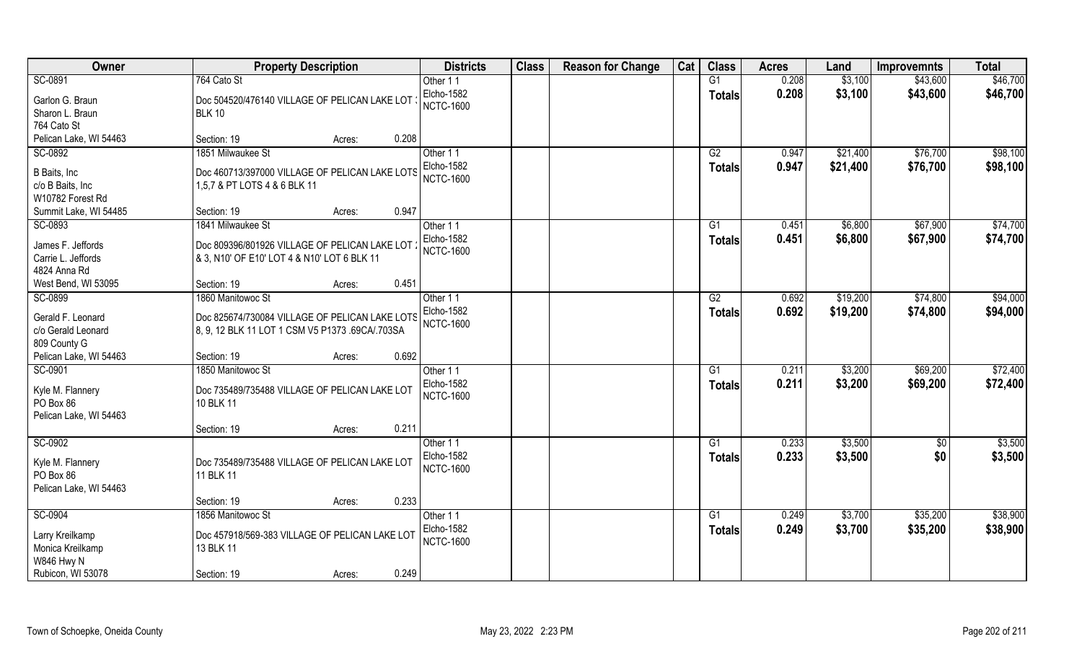| Owner                                   | <b>Property Description</b>                     |        | <b>Districts</b>               | <b>Class</b> | <b>Reason for Change</b> | Cat | <b>Class</b>  | <b>Acres</b> | Land     | <b>Improvemnts</b> | <b>Total</b> |
|-----------------------------------------|-------------------------------------------------|--------|--------------------------------|--------------|--------------------------|-----|---------------|--------------|----------|--------------------|--------------|
| SC-0891                                 | 764 Cato St                                     |        | Other 11                       |              |                          |     | G1            | 0.208        | \$3,100  | \$43,600           | \$46,700     |
| Garlon G. Braun                         | Doc 504520/476140 VILLAGE OF PELICAN LAKE LOT   |        | Elcho-1582                     |              |                          |     | <b>Totals</b> | 0.208        | \$3,100  | \$43,600           | \$46,700     |
| Sharon L. Braun                         | <b>BLK 10</b>                                   |        | <b>NCTC-1600</b>               |              |                          |     |               |              |          |                    |              |
| 764 Cato St                             |                                                 |        |                                |              |                          |     |               |              |          |                    |              |
| Pelican Lake, WI 54463                  | Section: 19                                     | Acres: | 0.208                          |              |                          |     |               |              |          |                    |              |
| SC-0892                                 | 1851 Milwaukee St                               |        | Other 11                       |              |                          |     | G2            | 0.947        | \$21,400 | \$76,700           | \$98,100     |
|                                         |                                                 |        | Elcho-1582                     |              |                          |     | <b>Totals</b> | 0.947        | \$21,400 | \$76,700           | \$98,100     |
| B Baits, Inc.                           | Doc 460713/397000 VILLAGE OF PELICAN LAKE LOTS  |        | <b>NCTC-1600</b>               |              |                          |     |               |              |          |                    |              |
| c/o B Baits, Inc                        | 1,5,7 & PT LOTS 4 & 6 BLK 11                    |        |                                |              |                          |     |               |              |          |                    |              |
| W10782 Forest Rd                        |                                                 |        |                                |              |                          |     |               |              |          |                    |              |
| Summit Lake, WI 54485                   | Section: 19                                     | Acres: | 0.947                          |              |                          |     |               |              |          |                    |              |
| SC-0893                                 | 1841 Milwaukee St                               |        | Other 11                       |              |                          |     | G1            | 0.451        | \$6,800  | \$67,900           | \$74,700     |
| James F. Jeffords                       | Doc 809396/801926 VILLAGE OF PELICAN LAKE LOT   |        | Elcho-1582                     |              |                          |     | <b>Totals</b> | 0.451        | \$6,800  | \$67,900           | \$74,700     |
| Carrie L. Jeffords                      | & 3, N10' OF E10' LOT 4 & N10' LOT 6 BLK 11     |        | <b>NCTC-1600</b>               |              |                          |     |               |              |          |                    |              |
| 4824 Anna Rd                            |                                                 |        |                                |              |                          |     |               |              |          |                    |              |
| West Bend, WI 53095                     | Section: 19                                     | Acres: | 0.451                          |              |                          |     |               |              |          |                    |              |
| SC-0899                                 | 1860 Manitowoc St                               |        | Other 11                       |              |                          |     | G2            | 0.692        | \$19,200 | \$74,800           | \$94,000     |
|                                         |                                                 |        | Elcho-1582                     |              |                          |     | <b>Totals</b> | 0.692        | \$19,200 | \$74,800           | \$94,000     |
| Gerald F. Leonard<br>c/o Gerald Leonard | Doc 825674/730084 VILLAGE OF PELICAN LAKE LOTS  |        | <b>NCTC-1600</b>               |              |                          |     |               |              |          |                    |              |
| 809 County G                            | 8, 9, 12 BLK 11 LOT 1 CSM V5 P1373 .69CA/.703SA |        |                                |              |                          |     |               |              |          |                    |              |
| Pelican Lake, WI 54463                  | Section: 19                                     |        | 0.692                          |              |                          |     |               |              |          |                    |              |
| SC-0901                                 | 1850 Manitowoc St                               | Acres: |                                |              |                          |     | G1            | 0.211        | \$3,200  | \$69,200           | \$72,400     |
|                                         |                                                 |        | Other 11                       |              |                          |     |               |              |          |                    |              |
| Kyle M. Flannery                        | Doc 735489/735488 VILLAGE OF PELICAN LAKE LOT   |        | Elcho-1582<br><b>NCTC-1600</b> |              |                          |     | <b>Totals</b> | 0.211        | \$3,200  | \$69,200           | \$72,400     |
| PO Box 86                               | 10 BLK 11                                       |        |                                |              |                          |     |               |              |          |                    |              |
| Pelican Lake, WI 54463                  |                                                 |        |                                |              |                          |     |               |              |          |                    |              |
|                                         | Section: 19                                     | Acres: | 0.211                          |              |                          |     |               |              |          |                    |              |
| SC-0902                                 |                                                 |        | Other 11                       |              |                          |     | G1            | 0.233        | \$3,500  | $\overline{50}$    | \$3,500      |
| Kyle M. Flannery                        | Doc 735489/735488 VILLAGE OF PELICAN LAKE LOT   |        | Elcho-1582                     |              |                          |     | <b>Totals</b> | 0.233        | \$3,500  | \$0                | \$3,500      |
| PO Box 86                               | 11 BLK 11                                       |        | <b>NCTC-1600</b>               |              |                          |     |               |              |          |                    |              |
| Pelican Lake, WI 54463                  |                                                 |        |                                |              |                          |     |               |              |          |                    |              |
|                                         | Section: 19                                     | Acres: | 0.233                          |              |                          |     |               |              |          |                    |              |
| SC-0904                                 | 1856 Manitowoc St                               |        | Other 11                       |              |                          |     | G1            | 0.249        | \$3,700  | \$35,200           | \$38,900     |
|                                         |                                                 |        | Elcho-1582                     |              |                          |     | <b>Totals</b> | 0.249        | \$3,700  | \$35,200           | \$38,900     |
| Larry Kreilkamp                         | Doc 457918/569-383 VILLAGE OF PELICAN LAKE LOT  |        | <b>NCTC-1600</b>               |              |                          |     |               |              |          |                    |              |
| Monica Kreilkamp                        | 13 BLK 11                                       |        |                                |              |                          |     |               |              |          |                    |              |
| W846 Hwy N                              |                                                 |        |                                |              |                          |     |               |              |          |                    |              |
| Rubicon, WI 53078                       | Section: 19                                     | Acres: | 0.249                          |              |                          |     |               |              |          |                    |              |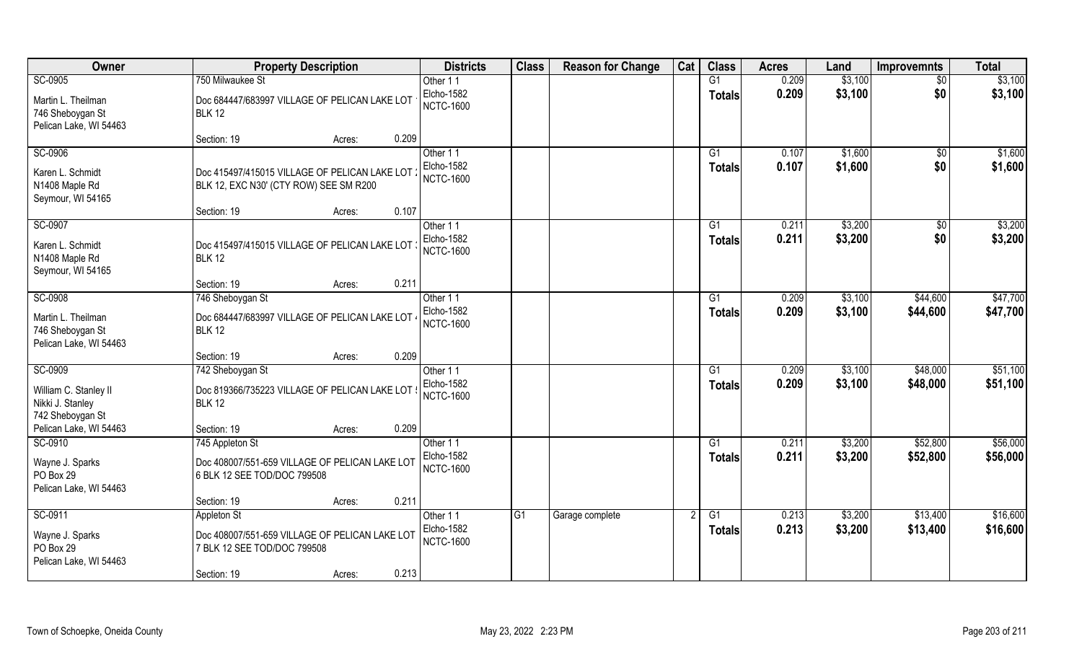| Owner                                                            | <b>Property Description</b>                                                             | <b>Districts</b>                      | <b>Class</b>    | <b>Reason for Change</b> | Cat           | <b>Class</b>    | <b>Acres</b> | Land    | <b>Improvemnts</b> | <b>Total</b> |
|------------------------------------------------------------------|-----------------------------------------------------------------------------------------|---------------------------------------|-----------------|--------------------------|---------------|-----------------|--------------|---------|--------------------|--------------|
| SC-0905                                                          | 750 Milwaukee St                                                                        | Other 11                              |                 |                          |               | G1              | 0.209        | \$3,100 | \$0                | \$3,100      |
| Martin L. Theilman<br>746 Sheboygan St<br>Pelican Lake, WI 54463 | Doc 684447/683997 VILLAGE OF PELICAN LAKE LOT<br><b>BLK 12</b>                          | Elcho-1582<br><b>NCTC-1600</b>        |                 |                          |               | <b>Totals</b>   | 0.209        | \$3,100 | \$0                | \$3,100      |
|                                                                  | 0.209<br>Section: 19<br>Acres:                                                          |                                       |                 |                          |               |                 |              |         |                    |              |
| SC-0906                                                          |                                                                                         | Other 11                              |                 |                          |               | G1              | 0.107        | \$1,600 | $\sqrt{$0}$        | \$1,600      |
| Karen L. Schmidt<br>N1408 Maple Rd<br>Seymour, WI 54165          | Doc 415497/415015 VILLAGE OF PELICAN LAKE LOT<br>BLK 12, EXC N30' (CTY ROW) SEE SM R200 | Elcho-1582<br><b>NCTC-1600</b>        |                 |                          |               | <b>Totals</b>   | 0.107        | \$1,600 | \$0                | \$1,600      |
|                                                                  | Section: 19<br>0.107<br>Acres:                                                          |                                       |                 |                          |               |                 |              |         |                    |              |
| SC-0907                                                          |                                                                                         | Other 11                              |                 |                          |               | G1              | 0.211        | \$3,200 | $\sqrt[6]{3}$      | \$3,200      |
| Karen L. Schmidt<br>N1408 Maple Rd<br>Seymour, WI 54165          | Doc 415497/415015 VILLAGE OF PELICAN LAKE LOT<br><b>BLK 12</b>                          | <b>Elcho-1582</b><br><b>NCTC-1600</b> |                 |                          |               | <b>Totals</b>   | 0.211        | \$3,200 | \$0                | \$3,200      |
|                                                                  | 0.211<br>Section: 19<br>Acres:                                                          |                                       |                 |                          |               |                 |              |         |                    |              |
| SC-0908                                                          | 746 Sheboygan St                                                                        | Other 11                              |                 |                          |               | G1              | 0.209        | \$3,100 | \$44,600           | \$47,700     |
| Martin L. Theilman<br>746 Sheboygan St<br>Pelican Lake, WI 54463 | Doc 684447/683997 VILLAGE OF PELICAN LAKE LOT<br><b>BLK 12</b>                          | <b>Elcho-1582</b><br><b>NCTC-1600</b> |                 |                          |               | <b>Totals</b>   | 0.209        | \$3,100 | \$44,600           | \$47,700     |
|                                                                  | 0.209<br>Section: 19<br>Acres:                                                          |                                       |                 |                          |               |                 |              |         |                    |              |
| SC-0909                                                          | 742 Sheboygan St                                                                        | Other 11                              |                 |                          |               | G1              | 0.209        | \$3,100 | \$48,000           | \$51,100     |
| William C. Stanley II<br>Nikki J. Stanley<br>742 Sheboygan St    | Doc 819366/735223 VILLAGE OF PELICAN LAKE LOT<br><b>BLK 12</b>                          | Elcho-1582<br><b>NCTC-1600</b>        |                 |                          |               | <b>Totals</b>   | 0.209        | \$3,100 | \$48,000           | \$51,100     |
| Pelican Lake, WI 54463                                           | 0.209<br>Section: 19<br>Acres:                                                          |                                       |                 |                          |               |                 |              |         |                    |              |
| SC-0910                                                          | 745 Appleton St                                                                         | Other 11                              |                 |                          |               | $\overline{G1}$ | 0.211        | \$3,200 | \$52,800           | \$56,000     |
| Wayne J. Sparks<br>PO Box 29<br>Pelican Lake, WI 54463           | Doc 408007/551-659 VILLAGE OF PELICAN LAKE LOT<br>6 BLK 12 SEE TOD/DOC 799508           | Elcho-1582<br><b>NCTC-1600</b>        |                 |                          |               | <b>Totals</b>   | 0.211        | \$3,200 | \$52,800           | \$56,000     |
|                                                                  | 0.211<br>Section: 19<br>Acres:                                                          |                                       |                 |                          |               |                 |              |         |                    |              |
| SC-0911                                                          | Appleton St                                                                             | Other 11                              | $\overline{G1}$ | Garage complete          | $\mathcal{P}$ | G1              | 0.213        | \$3,200 | \$13,400           | \$16,600     |
| Wayne J. Sparks<br>PO Box 29<br>Pelican Lake, WI 54463           | Doc 408007/551-659 VILLAGE OF PELICAN LAKE LOT<br>7 BLK 12 SEE TOD/DOC 799508           | <b>Elcho-1582</b><br><b>NCTC-1600</b> |                 |                          |               | <b>Totals</b>   | 0.213        | \$3,200 | \$13,400           | \$16,600     |
|                                                                  | 0.213<br>Section: 19<br>Acres:                                                          |                                       |                 |                          |               |                 |              |         |                    |              |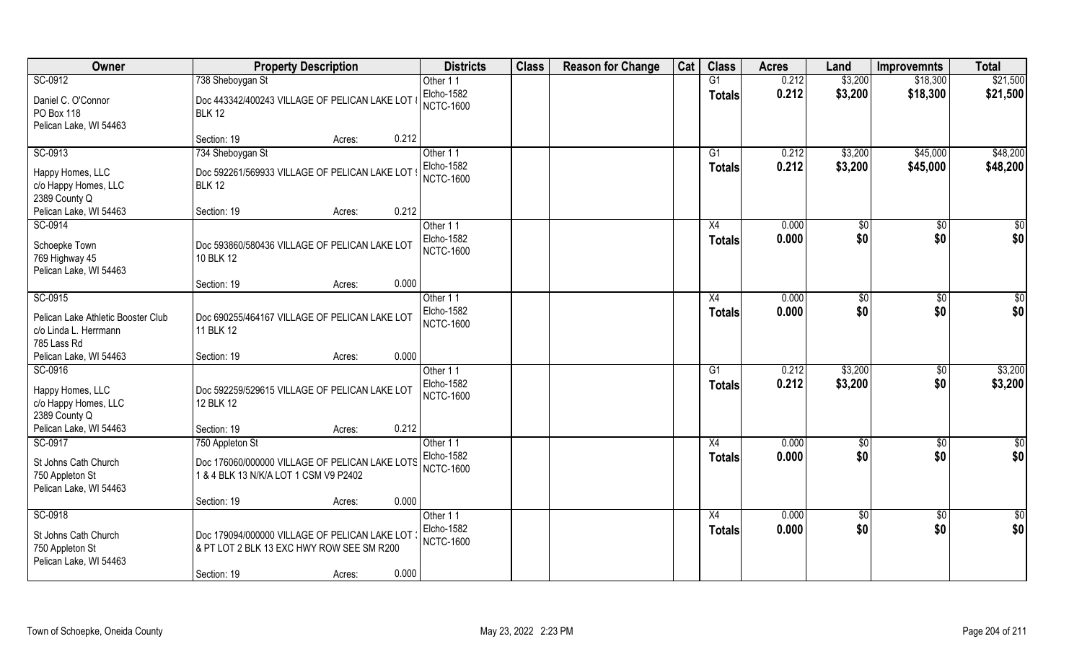| Owner                                                                        | <b>Property Description</b>                                                                         | <b>Districts</b>                                  | <b>Class</b> | <b>Reason for Change</b> | Cat | <b>Class</b>                     | <b>Acres</b>   | Land               | <b>Improvemnts</b>     | <b>Total</b>       |
|------------------------------------------------------------------------------|-----------------------------------------------------------------------------------------------------|---------------------------------------------------|--------------|--------------------------|-----|----------------------------------|----------------|--------------------|------------------------|--------------------|
| SC-0912                                                                      | 738 Sheboygan St                                                                                    | Other 11                                          |              |                          |     | G1                               | 0.212          | \$3,200            | \$18,300               | \$21,500           |
| Daniel C. O'Connor<br>PO Box 118<br>Pelican Lake, WI 54463                   | Doc 443342/400243 VILLAGE OF PELICAN LAKE LOT 8<br><b>BLK 12</b>                                    | Elcho-1582<br><b>NCTC-1600</b>                    |              |                          |     | <b>Totals</b>                    | 0.212          | \$3,200            | \$18,300               | \$21,500           |
|                                                                              | 0.212<br>Section: 19<br>Acres:                                                                      |                                                   |              |                          |     |                                  |                |                    |                        |                    |
| SC-0913                                                                      | 734 Sheboygan St                                                                                    | Other 11                                          |              |                          |     | $\overline{G1}$                  | 0.212          | \$3,200            | \$45,000               | \$48,200           |
| Happy Homes, LLC<br>c/o Happy Homes, LLC<br>2389 County Q                    | Doc 592261/569933 VILLAGE OF PELICAN LAKE LOT<br><b>BLK 12</b>                                      | Elcho-1582<br><b>NCTC-1600</b>                    |              |                          |     | Totals                           | 0.212          | \$3,200            | \$45,000               | \$48,200           |
| Pelican Lake, WI 54463                                                       | 0.212<br>Section: 19<br>Acres:                                                                      |                                                   |              |                          |     |                                  |                |                    |                        |                    |
| SC-0914                                                                      |                                                                                                     | Other 11                                          |              |                          |     | X4                               | 0.000          | $\sqrt{50}$        | \$0                    | $\sqrt{50}$        |
| Schoepke Town<br>769 Highway 45<br>Pelican Lake, WI 54463                    | Doc 593860/580436 VILLAGE OF PELICAN LAKE LOT<br>10 BLK 12                                          | Elcho-1582<br><b>NCTC-1600</b>                    |              |                          |     | Totals                           | 0.000          | \$0                | \$0                    | \$0                |
|                                                                              | 0.000<br>Section: 19<br>Acres:                                                                      |                                                   |              |                          |     |                                  |                |                    |                        |                    |
| SC-0915                                                                      |                                                                                                     | Other 11                                          |              |                          |     | X4                               | 0.000          | \$0                | $\overline{50}$        | $\sqrt{50}$        |
| Pelican Lake Athletic Booster Club<br>c/o Linda L. Herrmann<br>785 Lass Rd   | Doc 690255/464167 VILLAGE OF PELICAN LAKE LOT<br>11 BLK 12                                          | Elcho-1582<br><b>NCTC-1600</b>                    |              |                          |     | <b>Totals</b>                    | 0.000          | \$0                | \$0                    | \$0                |
| Pelican Lake, WI 54463                                                       | 0.000<br>Section: 19<br>Acres:                                                                      |                                                   |              |                          |     |                                  |                |                    |                        |                    |
| SC-0916<br>Happy Homes, LLC<br>c/o Happy Homes, LLC<br>2389 County Q         | Doc 592259/529615 VILLAGE OF PELICAN LAKE LOT<br>12 BLK 12                                          | Other 11<br><b>Elcho-1582</b><br><b>NCTC-1600</b> |              |                          |     | $\overline{G1}$<br><b>Totals</b> | 0.212<br>0.212 | \$3,200<br>\$3,200 | $\overline{50}$<br>\$0 | \$3,200<br>\$3,200 |
| Pelican Lake, WI 54463                                                       | 0.212<br>Section: 19<br>Acres:                                                                      |                                                   |              |                          |     |                                  |                |                    |                        |                    |
| SC-0917                                                                      | 750 Appleton St                                                                                     | Other 11                                          |              |                          |     | X4                               | 0.000          | \$0                | $\overline{30}$        | \$0                |
| St Johns Cath Church<br>750 Appleton St<br>Pelican Lake, WI 54463            | Doc 176060/000000 VILLAGE OF PELICAN LAKE LOTS<br>1 & 4 BLK 13 N/K/A LOT 1 CSM V9 P2402             | Elcho-1582<br><b>NCTC-1600</b>                    |              |                          |     | <b>Totals</b>                    | 0.000          | \$0                | \$0                    | \$0                |
|                                                                              | 0.000<br>Section: 19<br>Acres:                                                                      |                                                   |              |                          |     |                                  |                |                    |                        |                    |
| SC-0918<br>St Johns Cath Church<br>750 Appleton St<br>Pelican Lake, WI 54463 | Doc 179094/000000 VILLAGE OF PELICAN LAKE LOT<br>& PT LOT 2 BLK 13 EXC HWY ROW SEE SM R200<br>0.000 | Other 11<br>Elcho-1582<br><b>NCTC-1600</b>        |              |                          |     | X4<br><b>Totals</b>              | 0.000<br>0.000 | \$0<br>\$0         | $\sqrt{$0}$<br>\$0     | \$0<br>\$0         |
|                                                                              | Section: 19<br>Acres:                                                                               |                                                   |              |                          |     |                                  |                |                    |                        |                    |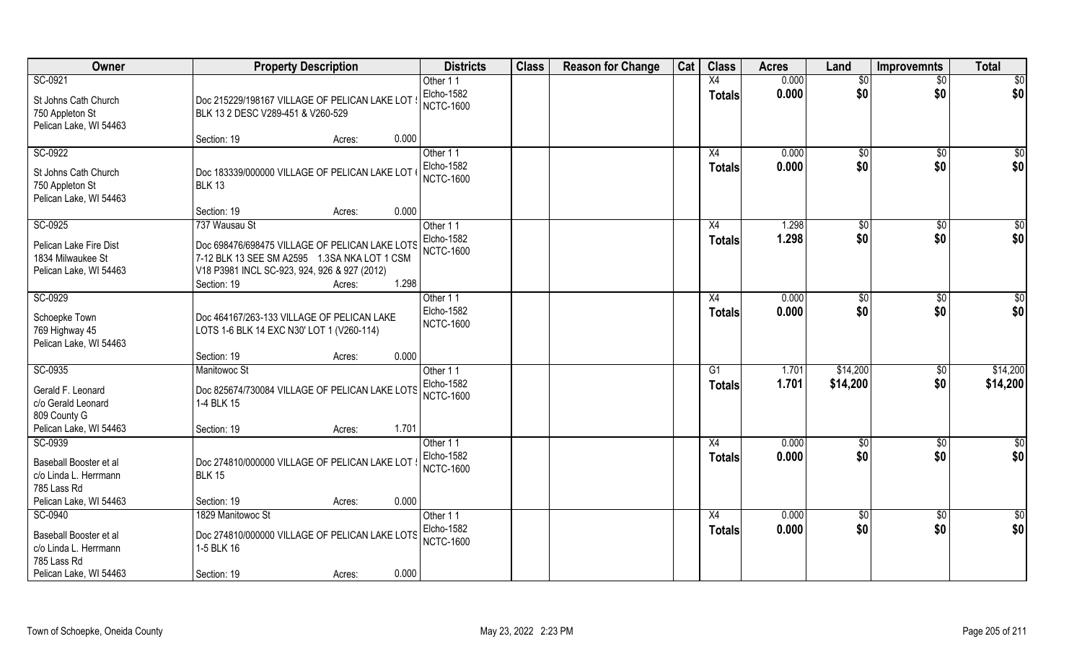| Owner                                                                                               | <b>Property Description</b>                                                                                                                                                                       | <b>Districts</b>                                  | <b>Class</b> | <b>Reason for Change</b> | Cat | <b>Class</b>        | <b>Acres</b>   | Land                   | <b>Improvemnts</b> | <b>Total</b>       |
|-----------------------------------------------------------------------------------------------------|---------------------------------------------------------------------------------------------------------------------------------------------------------------------------------------------------|---------------------------------------------------|--------------|--------------------------|-----|---------------------|----------------|------------------------|--------------------|--------------------|
| SC-0921                                                                                             |                                                                                                                                                                                                   | Other 11                                          |              |                          |     | X4                  | 0.000          | \$0                    | $\overline{50}$    | $\overline{50}$    |
| St Johns Cath Church<br>750 Appleton St<br>Pelican Lake, WI 54463                                   | Doc 215229/198167 VILLAGE OF PELICAN LAKE LOT<br>BLK 13 2 DESC V289-451 & V260-529                                                                                                                | Elcho-1582<br><b>NCTC-1600</b>                    |              |                          |     | <b>Totals</b>       | 0.000          | \$0                    | \$0                | \$0                |
|                                                                                                     | 0.000<br>Section: 19<br>Acres:                                                                                                                                                                    |                                                   |              |                          |     |                     |                |                        |                    |                    |
| SC-0922<br>St Johns Cath Church<br>750 Appleton St<br>Pelican Lake, WI 54463                        | Doc 183339/000000 VILLAGE OF PELICAN LAKE LOT<br><b>BLK 13</b>                                                                                                                                    | Other 11<br>Elcho-1582<br><b>NCTC-1600</b>        |              |                          |     | X4<br>Totals        | 0.000<br>0.000 | \$0<br>\$0             | \$0<br>\$0         | $\sqrt{50}$<br>\$0 |
|                                                                                                     | 0.000<br>Section: 19<br>Acres:                                                                                                                                                                    |                                                   |              |                          |     |                     |                |                        |                    |                    |
| SC-0925<br>Pelican Lake Fire Dist<br>1834 Milwaukee St<br>Pelican Lake, WI 54463                    | 737 Wausau St<br>Doc 698476/698475 VILLAGE OF PELICAN LAKE LOTS<br>7-12 BLK 13 SEE SM A2595 1.3SA NKA LOT 1 CSM<br>V18 P3981 INCL SC-923, 924, 926 & 927 (2012)<br>1.298<br>Section: 19<br>Acres: | Other 11<br>Elcho-1582<br><b>NCTC-1600</b>        |              |                          |     | X4<br><b>Totals</b> | 1.298<br>1.298 | $\sqrt[6]{3}$<br>\$0   | $\sqrt{6}$<br>\$0  | \$0<br>\$0         |
| SC-0929<br>Schoepke Town<br>769 Highway 45<br>Pelican Lake, WI 54463                                | Doc 464167/263-133 VILLAGE OF PELICAN LAKE<br>LOTS 1-6 BLK 14 EXC N30' LOT 1 (V260-114)<br>0.000<br>Section: 19<br>Acres:                                                                         | Other 11<br>Elcho-1582<br><b>NCTC-1600</b>        |              |                          |     | X4<br><b>Totals</b> | 0.000<br>0.000 | $\frac{1}{20}$<br>\$0  | \$0<br>\$0         | \$0<br>\$0         |
| SC-0935                                                                                             | Manitowoc St                                                                                                                                                                                      | Other 11                                          |              |                          |     | G1                  | 1.701          | \$14,200               | $\sqrt[6]{30}$     | \$14,200           |
| Gerald F. Leonard<br>c/o Gerald Leonard<br>809 County G                                             | Doc 825674/730084 VILLAGE OF PELICAN LAKE LOTS<br>1-4 BLK 15                                                                                                                                      | <b>Elcho-1582</b><br><b>NCTC-1600</b>             |              |                          |     | <b>Totals</b>       | 1.701          | \$14,200               | \$0                | \$14,200           |
| Pelican Lake, WI 54463                                                                              | 1.701<br>Section: 19<br>Acres:                                                                                                                                                                    |                                                   |              |                          |     |                     |                |                        |                    |                    |
| SC-0939<br>Baseball Booster et al<br>c/o Linda L. Herrmann<br>785 Lass Rd                           | Doc 274810/000000 VILLAGE OF PELICAN LAKE LOT<br><b>BLK 15</b>                                                                                                                                    | Other 11<br>Elcho-1582<br><b>NCTC-1600</b>        |              |                          |     | X4<br><b>Totals</b> | 0.000<br>0.000 | $\sqrt{$0}$<br>\$0     | $\sqrt{$0}$<br>\$0 | \$0<br>\$0         |
| Pelican Lake, WI 54463                                                                              | 0.000<br>Section: 19<br>Acres:                                                                                                                                                                    |                                                   |              |                          |     |                     |                |                        |                    |                    |
| SC-0940<br>Baseball Booster et al<br>c/o Linda L. Herrmann<br>785 Lass Rd<br>Pelican Lake, WI 54463 | 1829 Manitowoc St<br>Doc 274810/000000 VILLAGE OF PELICAN LAKE LOTS<br>1-5 BLK 16<br>0.000<br>Section: 19<br>Acres:                                                                               | Other 11<br><b>Elcho-1582</b><br><b>NCTC-1600</b> |              |                          |     | X4<br><b>Totals</b> | 0.000<br>0.000 | $\overline{50}$<br>\$0 | \$0<br>\$0         | $rac{1}{6}$<br>\$0 |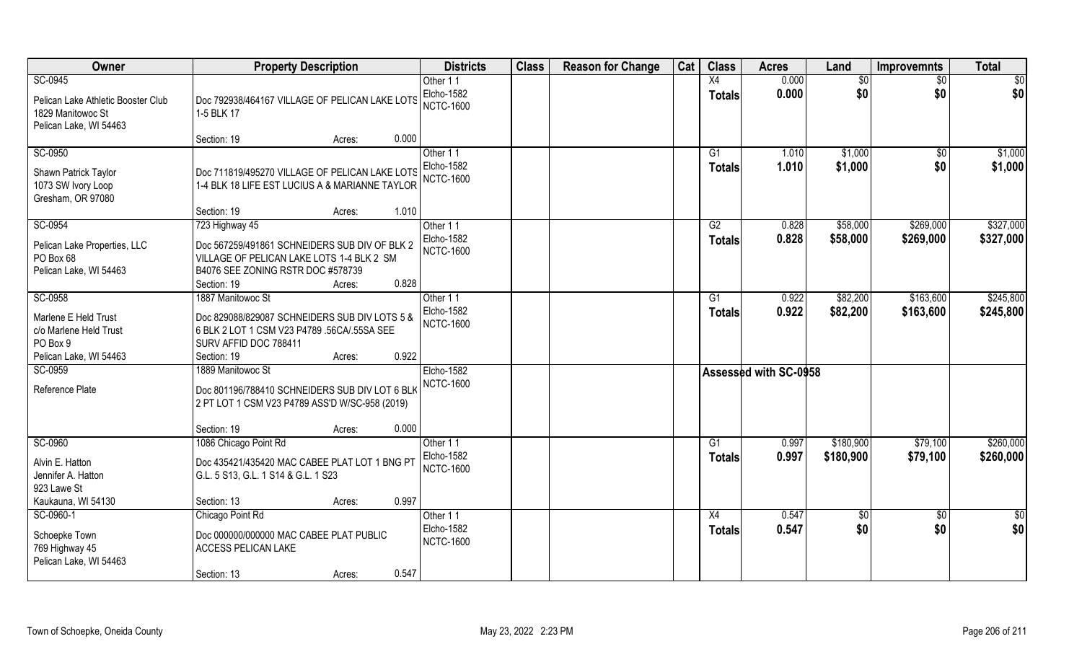| Owner                              | <b>Property Description</b>                    | <b>Districts</b>  | <b>Class</b> | <b>Reason for Change</b> | Cat | <b>Class</b>    | <b>Acres</b>                 | Land            | <b>Improvemnts</b> | <b>Total</b>  |
|------------------------------------|------------------------------------------------|-------------------|--------------|--------------------------|-----|-----------------|------------------------------|-----------------|--------------------|---------------|
| SC-0945                            |                                                | Other 11          |              |                          |     | X4              | 0.000                        | $\overline{50}$ | $\sqrt{6}$         | \$0           |
| Pelican Lake Athletic Booster Club | Doc 792938/464167 VILLAGE OF PELICAN LAKE LOTS | Elcho-1582        |              |                          |     | <b>Totals</b>   | 0.000                        | \$0             | \$0                | \$0           |
| 1829 Manitowoc St                  | 1-5 BLK 17                                     | <b>NCTC-1600</b>  |              |                          |     |                 |                              |                 |                    |               |
| Pelican Lake, WI 54463             |                                                |                   |              |                          |     |                 |                              |                 |                    |               |
|                                    | 0.000<br>Section: 19<br>Acres:                 |                   |              |                          |     |                 |                              |                 |                    |               |
| SC-0950                            |                                                | Other 11          |              |                          |     | $\overline{G1}$ | 1.010                        | \$1,000         | \$0                | \$1,000       |
| Shawn Patrick Taylor               | Doc 711819/495270 VILLAGE OF PELICAN LAKE LOTS | Elcho-1582        |              |                          |     | <b>Totals</b>   | 1.010                        | \$1,000         | \$0                | \$1,000       |
| 1073 SW Ivory Loop                 | 1-4 BLK 18 LIFE EST LUCIUS A & MARIANNE TAYLOR | <b>NCTC-1600</b>  |              |                          |     |                 |                              |                 |                    |               |
| Gresham, OR 97080                  |                                                |                   |              |                          |     |                 |                              |                 |                    |               |
|                                    | 1.010<br>Section: 19<br>Acres:                 |                   |              |                          |     |                 |                              |                 |                    |               |
| SC-0954                            | 723 Highway 45                                 | Other 11          |              |                          |     | G2              | 0.828                        | \$58,000        | \$269,000          | \$327,000     |
| Pelican Lake Properties, LLC       | Doc 567259/491861 SCHNEIDERS SUB DIV OF BLK 2  | <b>Elcho-1582</b> |              |                          |     | <b>Totals</b>   | 0.828                        | \$58,000        | \$269,000          | \$327,000     |
| PO Box 68                          | VILLAGE OF PELICAN LAKE LOTS 1-4 BLK 2 SM      | <b>NCTC-1600</b>  |              |                          |     |                 |                              |                 |                    |               |
| Pelican Lake, WI 54463             | B4076 SEE ZONING RSTR DOC #578739              |                   |              |                          |     |                 |                              |                 |                    |               |
|                                    | 0.828<br>Section: 19<br>Acres:                 |                   |              |                          |     |                 |                              |                 |                    |               |
| SC-0958                            | 1887 Manitowoc St                              | Other 11          |              |                          |     | G1              | 0.922                        | \$82,200        | \$163,600          | \$245,800     |
| Marlene E Held Trust               | Doc 829088/829087 SCHNEIDERS SUB DIV LOTS 5 &  | <b>Elcho-1582</b> |              |                          |     | <b>Totals</b>   | 0.922                        | \$82,200        | \$163,600          | \$245,800     |
| c/o Marlene Held Trust             | 6 BLK 2 LOT 1 CSM V23 P4789 .56CA/.55SA SEE    | <b>NCTC-1600</b>  |              |                          |     |                 |                              |                 |                    |               |
| PO Box 9                           | SURV AFFID DOC 788411                          |                   |              |                          |     |                 |                              |                 |                    |               |
| Pelican Lake, WI 54463             | 0.922<br>Section: 19<br>Acres:                 |                   |              |                          |     |                 |                              |                 |                    |               |
| SC-0959                            | 1889 Manitowoc St                              | <b>Elcho-1582</b> |              |                          |     |                 | <b>Assessed with SC-0958</b> |                 |                    |               |
| Reference Plate                    | Doc 801196/788410 SCHNEIDERS SUB DIV LOT 6 BLK | <b>NCTC-1600</b>  |              |                          |     |                 |                              |                 |                    |               |
|                                    | 2 PT LOT 1 CSM V23 P4789 ASS'D W/SC-958 (2019) |                   |              |                          |     |                 |                              |                 |                    |               |
|                                    |                                                |                   |              |                          |     |                 |                              |                 |                    |               |
|                                    | 0.000<br>Section: 19<br>Acres:                 |                   |              |                          |     |                 |                              |                 |                    |               |
| SC-0960                            | 1086 Chicago Point Rd                          | Other 11          |              |                          |     | G1              | 0.997                        | \$180,900       | \$79,100           | \$260,000     |
| Alvin E. Hatton                    | Doc 435421/435420 MAC CABEE PLAT LOT 1 BNG PT  | Elcho-1582        |              |                          |     | <b>Totals</b>   | 0.997                        | \$180,900       | \$79,100           | \$260,000     |
| Jennifer A. Hatton                 | G.L. 5 S13, G.L. 1 S14 & G.L. 1 S23            | <b>NCTC-1600</b>  |              |                          |     |                 |                              |                 |                    |               |
| 923 Lawe St                        |                                                |                   |              |                          |     |                 |                              |                 |                    |               |
| Kaukauna, WI 54130                 | 0.997<br>Section: 13<br>Acres:                 |                   |              |                          |     |                 |                              |                 |                    |               |
| SC-0960-1                          | Chicago Point Rd                               | Other 11          |              |                          |     | X4              | 0.547                        | $\sqrt{6}$      | $\sqrt[6]{30}$     | $\frac{1}{2}$ |
| Schoepke Town                      | Doc 000000/000000 MAC CABEE PLAT PUBLIC        | Elcho-1582        |              |                          |     | <b>Totals</b>   | 0.547                        | \$0             | \$0                | \$0           |
| 769 Highway 45                     | <b>ACCESS PELICAN LAKE</b>                     | <b>NCTC-1600</b>  |              |                          |     |                 |                              |                 |                    |               |
| Pelican Lake, WI 54463             |                                                |                   |              |                          |     |                 |                              |                 |                    |               |
|                                    | 0.547<br>Section: 13<br>Acres:                 |                   |              |                          |     |                 |                              |                 |                    |               |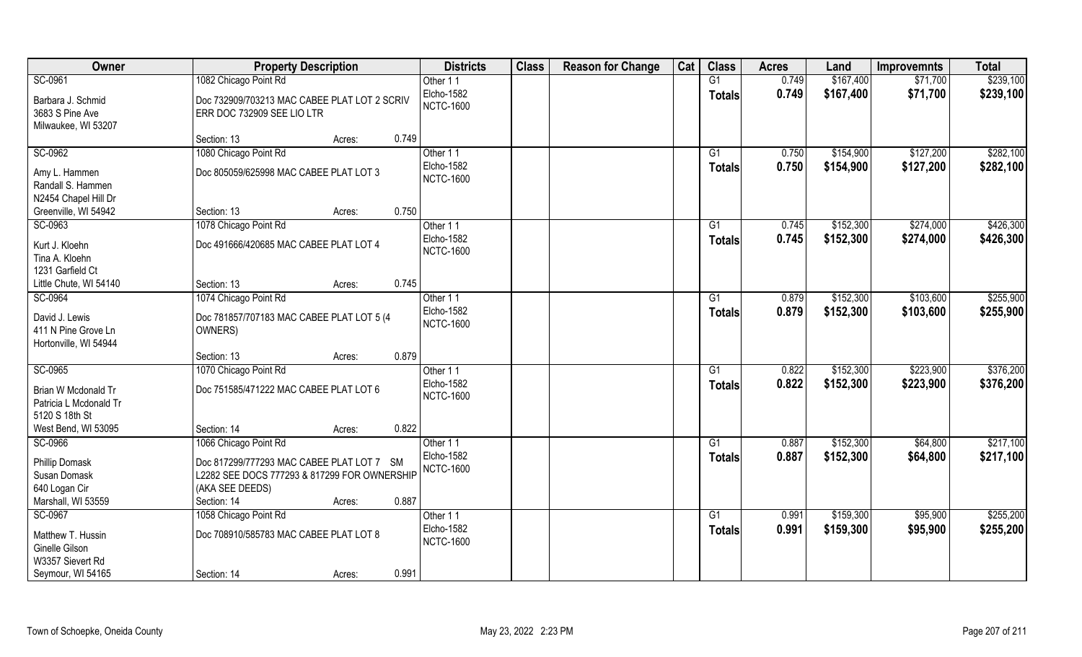| Owner                  | <b>Property Description</b>                  | <b>Districts</b>  | <b>Class</b> | <b>Reason for Change</b> | Cat | <b>Class</b>    | <b>Acres</b> | Land      | <b>Improvemnts</b> | <b>Total</b> |
|------------------------|----------------------------------------------|-------------------|--------------|--------------------------|-----|-----------------|--------------|-----------|--------------------|--------------|
| SC-0961                | 1082 Chicago Point Rd                        | Other 11          |              |                          |     | $\overline{G1}$ | 0.749        | \$167,400 | \$71,700           | \$239,100    |
| Barbara J. Schmid      | Doc 732909/703213 MAC CABEE PLAT LOT 2 SCRIV | <b>Elcho-1582</b> |              |                          |     | <b>Totals</b>   | 0.749        | \$167,400 | \$71,700           | \$239,100    |
| 3683 S Pine Ave        | ERR DOC 732909 SEE LIO LTR                   | <b>NCTC-1600</b>  |              |                          |     |                 |              |           |                    |              |
| Milwaukee, WI 53207    |                                              |                   |              |                          |     |                 |              |           |                    |              |
|                        | 0.749<br>Section: 13<br>Acres:               |                   |              |                          |     |                 |              |           |                    |              |
| SC-0962                | 1080 Chicago Point Rd                        | Other 11          |              |                          |     | G1              | 0.750        | \$154,900 | \$127,200          | \$282,100    |
| Amy L. Hammen          | Doc 805059/625998 MAC CABEE PLAT LOT 3       | Elcho-1582        |              |                          |     | <b>Totals</b>   | 0.750        | \$154,900 | \$127,200          | \$282,100    |
| Randall S. Hammen      |                                              | <b>NCTC-1600</b>  |              |                          |     |                 |              |           |                    |              |
| N2454 Chapel Hill Dr   |                                              |                   |              |                          |     |                 |              |           |                    |              |
| Greenville, WI 54942   | 0.750<br>Section: 13<br>Acres:               |                   |              |                          |     |                 |              |           |                    |              |
| SC-0963                | 1078 Chicago Point Rd                        | Other 11          |              |                          |     | G1              | 0.745        | \$152,300 | \$274,000          | \$426,300    |
| Kurt J. Kloehn         | Doc 491666/420685 MAC CABEE PLAT LOT 4       | Elcho-1582        |              |                          |     | <b>Totals</b>   | 0.745        | \$152,300 | \$274,000          | \$426,300    |
| Tina A. Kloehn         |                                              | <b>NCTC-1600</b>  |              |                          |     |                 |              |           |                    |              |
| 1231 Garfield Ct       |                                              |                   |              |                          |     |                 |              |           |                    |              |
| Little Chute, WI 54140 | 0.745<br>Section: 13<br>Acres:               |                   |              |                          |     |                 |              |           |                    |              |
| SC-0964                | 1074 Chicago Point Rd                        | Other 11          |              |                          |     | G1              | 0.879        | \$152,300 | \$103,600          | \$255,900    |
| David J. Lewis         | Doc 781857/707183 MAC CABEE PLAT LOT 5 (4    | Elcho-1582        |              |                          |     | <b>Totals</b>   | 0.879        | \$152,300 | \$103,600          | \$255,900    |
| 411 N Pine Grove Ln    | OWNERS)                                      | <b>NCTC-1600</b>  |              |                          |     |                 |              |           |                    |              |
| Hortonville, WI 54944  |                                              |                   |              |                          |     |                 |              |           |                    |              |
|                        | 0.879<br>Section: 13<br>Acres:               |                   |              |                          |     |                 |              |           |                    |              |
| SC-0965                | 1070 Chicago Point Rd                        | Other 11          |              |                          |     | G1              | 0.822        | \$152,300 | \$223,900          | \$376,200    |
| Brian W Mcdonald Tr    | Doc 751585/471222 MAC CABEE PLAT LOT 6       | Elcho-1582        |              |                          |     | Totals          | 0.822        | \$152,300 | \$223,900          | \$376,200    |
| Patricia L Mcdonald Tr |                                              | <b>NCTC-1600</b>  |              |                          |     |                 |              |           |                    |              |
| 5120 S 18th St         |                                              |                   |              |                          |     |                 |              |           |                    |              |
| West Bend, WI 53095    | 0.822<br>Section: 14<br>Acres:               |                   |              |                          |     |                 |              |           |                    |              |
| SC-0966                | 1066 Chicago Point Rd                        | Other 11          |              |                          |     | G1              | 0.887        | \$152,300 | \$64,800           | \$217,100    |
| Phillip Domask         | Doc 817299/777293 MAC CABEE PLAT LOT 7 SM    | <b>Elcho-1582</b> |              |                          |     | <b>Totals</b>   | 0.887        | \$152,300 | \$64,800           | \$217,100    |
| Susan Domask           | L2282 SEE DOCS 777293 & 817299 FOR OWNERSHIP | <b>NCTC-1600</b>  |              |                          |     |                 |              |           |                    |              |
| 640 Logan Cir          | (AKA SEE DEEDS)                              |                   |              |                          |     |                 |              |           |                    |              |
| Marshall, WI 53559     | 0.887<br>Section: 14<br>Acres:               |                   |              |                          |     |                 |              |           |                    |              |
| SC-0967                | 1058 Chicago Point Rd                        | Other 11          |              |                          |     | $\overline{G1}$ | 0.991        | \$159,300 | \$95,900           | \$255,200    |
| Matthew T. Hussin      | Doc 708910/585783 MAC CABEE PLAT LOT 8       | Elcho-1582        |              |                          |     | <b>Totals</b>   | 0.991        | \$159,300 | \$95,900           | \$255,200    |
| Ginelle Gilson         |                                              | <b>NCTC-1600</b>  |              |                          |     |                 |              |           |                    |              |
| W3357 Sievert Rd       |                                              |                   |              |                          |     |                 |              |           |                    |              |
| Seymour, WI 54165      | 0.991<br>Section: 14<br>Acres:               |                   |              |                          |     |                 |              |           |                    |              |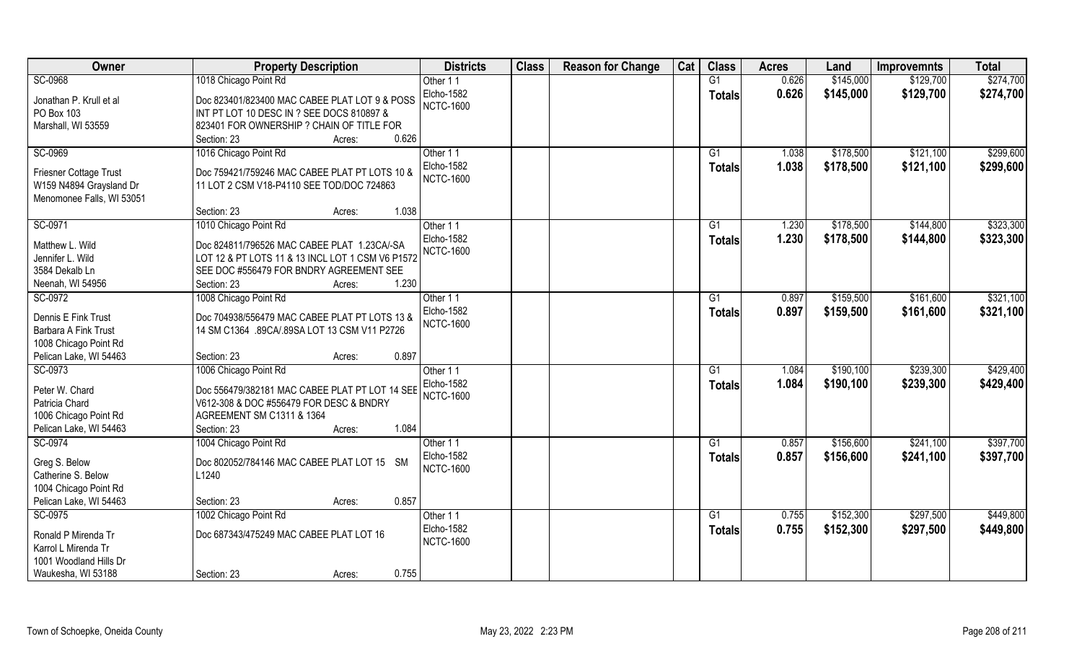| Owner                                                                                          | <b>Property Description</b>                                                                                                                                                       | <b>Districts</b>                           | <b>Class</b> | <b>Reason for Change</b> | Cat | <b>Class</b>                     | <b>Acres</b>   | Land                   | <b>Improvemnts</b>     | <b>Total</b>           |
|------------------------------------------------------------------------------------------------|-----------------------------------------------------------------------------------------------------------------------------------------------------------------------------------|--------------------------------------------|--------------|--------------------------|-----|----------------------------------|----------------|------------------------|------------------------|------------------------|
| SC-0968                                                                                        | 1018 Chicago Point Rd                                                                                                                                                             | Other 11                                   |              |                          |     | G1                               | 0.626          | \$145,000              | \$129,700              | \$274,700              |
| Jonathan P. Krull et al<br>PO Box 103<br>Marshall, WI 53559                                    | Doc 823401/823400 MAC CABEE PLAT LOT 9 & POSS<br>INT PT LOT 10 DESC IN ? SEE DOCS 810897 &<br>823401 FOR OWNERSHIP ? CHAIN OF TITLE FOR                                           | Elcho-1582<br><b>NCTC-1600</b>             |              |                          |     | <b>Totals</b>                    | 0.626          | \$145,000              | \$129,700              | \$274,700              |
|                                                                                                | 0.626<br>Section: 23<br>Acres:                                                                                                                                                    |                                            |              |                          |     |                                  |                |                        |                        |                        |
| SC-0969<br>Friesner Cottage Trust<br>W159 N4894 Graysland Dr                                   | 1016 Chicago Point Rd<br>Doc 759421/759246 MAC CABEE PLAT PT LOTS 10 &<br>11 LOT 2 CSM V18-P4110 SEE TOD/DOC 724863                                                               | Other 11<br>Elcho-1582<br><b>NCTC-1600</b> |              |                          |     | G1<br>Totals                     | 1.038<br>1.038 | \$178,500<br>\$178,500 | \$121,100<br>\$121,100 | \$299,600<br>\$299,600 |
| Menomonee Falls, WI 53051                                                                      | Section: 23<br>1.038<br>Acres:                                                                                                                                                    |                                            |              |                          |     |                                  |                |                        |                        |                        |
| SC-0971                                                                                        | 1010 Chicago Point Rd                                                                                                                                                             | Other 11                                   |              |                          |     | G1                               | 1.230          | \$178,500              | \$144,800              | \$323,300              |
| Matthew L. Wild<br>Jennifer L. Wild<br>3584 Dekalb Ln<br>Neenah, WI 54956                      | Doc 824811/796526 MAC CABEE PLAT 1.23CA/-SA<br>LOT 12 & PT LOTS 11 & 13 INCL LOT 1 CSM V6 P1572<br>SEE DOC #556479 FOR BNDRY AGREEMENT SEE<br>1.230<br>Section: 23<br>Acres:      | Elcho-1582<br><b>NCTC-1600</b>             |              |                          |     | <b>Totals</b>                    | 1.230          | \$178,500              | \$144,800              | \$323,300              |
| SC-0972                                                                                        | 1008 Chicago Point Rd                                                                                                                                                             | Other 11                                   |              |                          |     | G1                               | 0.897          | \$159,500              | \$161,600              | \$321,100              |
| Dennis E Fink Trust<br>Barbara A Fink Trust<br>1008 Chicago Point Rd                           | Doc 704938/556479 MAC CABEE PLAT PT LOTS 13 &<br>14 SM C1364 .89CA/.89SA LOT 13 CSM V11 P2726                                                                                     | Elcho-1582<br><b>NCTC-1600</b>             |              |                          |     | <b>Totals</b>                    | 0.897          | \$159,500              | \$161,600              | \$321,100              |
| Pelican Lake, WI 54463                                                                         | 0.897<br>Section: 23<br>Acres:                                                                                                                                                    |                                            |              |                          |     |                                  |                |                        |                        |                        |
| SC-0973<br>Peter W. Chard<br>Patricia Chard<br>1006 Chicago Point Rd<br>Pelican Lake, WI 54463 | 1006 Chicago Point Rd<br>Doc 556479/382181 MAC CABEE PLAT PT LOT 14 SEE<br>V612-308 & DOC #556479 FOR DESC & BNDRY<br>AGREEMENT SM C1311 & 1364<br>1.084<br>Section: 23<br>Acres: | Other 11<br>Elcho-1582<br><b>NCTC-1600</b> |              |                          |     | $\overline{G1}$<br><b>Totals</b> | 1.084<br>1.084 | \$190,100<br>\$190,100 | \$239,300<br>\$239,300 | \$429,400<br>\$429,400 |
| SC-0974                                                                                        | 1004 Chicago Point Rd                                                                                                                                                             | Other 11                                   |              |                          |     | G1                               | 0.857          | \$156,600              | \$241,100              | \$397,700              |
| Greg S. Below<br>Catherine S. Below<br>1004 Chicago Point Rd                                   | Doc 802052/784146 MAC CABEE PLAT LOT 15 SM<br>L1240                                                                                                                               | Elcho-1582<br><b>NCTC-1600</b>             |              |                          |     | <b>Totals</b>                    | 0.857          | \$156,600              | \$241,100              | \$397,700              |
| Pelican Lake, WI 54463                                                                         | 0.857<br>Section: 23<br>Acres:                                                                                                                                                    |                                            |              |                          |     |                                  |                |                        |                        |                        |
| SC-0975<br>Ronald P Mirenda Tr<br>Karrol L Mirenda Tr<br>1001 Woodland Hills Dr                | 1002 Chicago Point Rd<br>Doc 687343/475249 MAC CABEE PLAT LOT 16                                                                                                                  | Other 11<br>Elcho-1582<br><b>NCTC-1600</b> |              |                          |     | $\overline{G1}$<br><b>Totals</b> | 0.755<br>0.755 | \$152,300<br>\$152,300 | \$297,500<br>\$297,500 | \$449,800<br>\$449,800 |
| Waukesha, WI 53188                                                                             | 0.755<br>Section: 23<br>Acres:                                                                                                                                                    |                                            |              |                          |     |                                  |                |                        |                        |                        |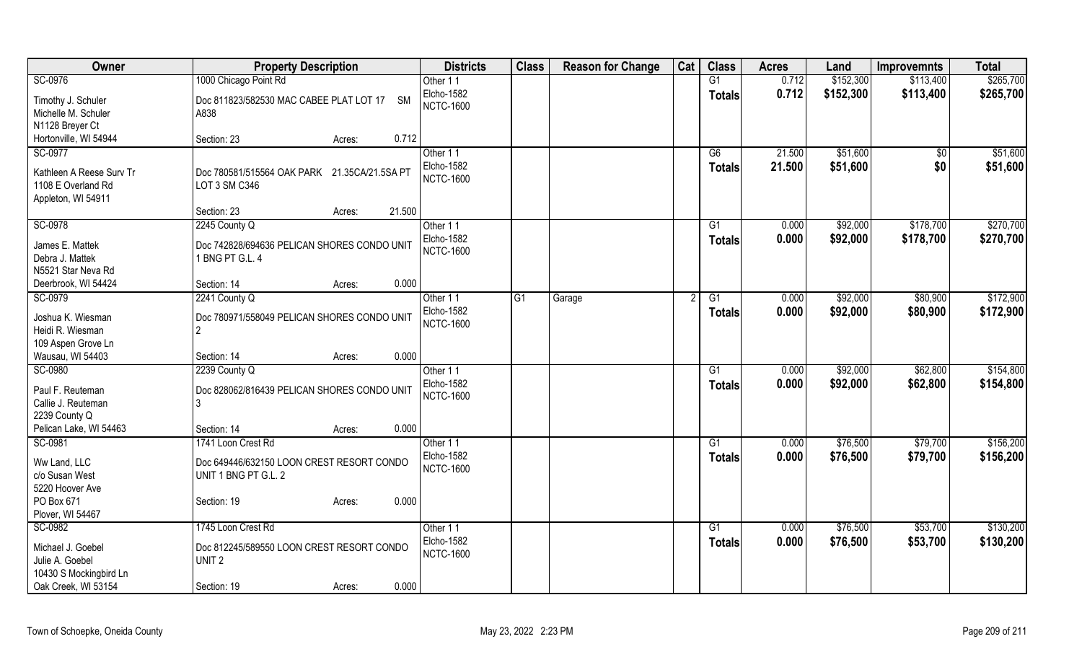| Owner                                                                           | <b>Property Description</b>                                       | <b>Districts</b>                           | <b>Class</b> | <b>Reason for Change</b> | Cat | <b>Class</b>        | <b>Acres</b>     | Land                 | <b>Improvemnts</b> | <b>Total</b>         |
|---------------------------------------------------------------------------------|-------------------------------------------------------------------|--------------------------------------------|--------------|--------------------------|-----|---------------------|------------------|----------------------|--------------------|----------------------|
| SC-0976                                                                         | 1000 Chicago Point Rd                                             | Other 11                                   |              |                          |     | G1                  | 0.712            | \$152,300            | \$113,400          | \$265,700            |
| Timothy J. Schuler<br>Michelle M. Schuler                                       | Doc 811823/582530 MAC CABEE PLAT LOT 17 SM<br>A838                | Elcho-1582<br><b>NCTC-1600</b>             |              |                          |     | <b>Totals</b>       | 0.712            | \$152,300            | \$113,400          | \$265,700            |
| N1128 Breyer Ct                                                                 |                                                                   |                                            |              |                          |     |                     |                  |                      |                    |                      |
| Hortonville, WI 54944                                                           | 0.712<br>Section: 23<br>Acres:                                    |                                            |              |                          |     |                     |                  |                      |                    |                      |
| SC-0977<br>Kathleen A Reese Surv Tr<br>1108 E Overland Rd<br>Appleton, WI 54911 | Doc 780581/515564 OAK PARK 21.35CA/21.5SA PT<br>LOT 3 SM C346     | Other 11<br>Elcho-1582<br><b>NCTC-1600</b> |              |                          |     | G6<br><b>Totals</b> | 21.500<br>21.500 | \$51,600<br>\$51,600 | \$0<br>\$0         | \$51,600<br>\$51,600 |
|                                                                                 | 21.500<br>Section: 23<br>Acres:                                   |                                            |              |                          |     |                     |                  |                      |                    |                      |
| SC-0978                                                                         | 2245 County Q                                                     | Other 11                                   |              |                          |     | G <sub>1</sub>      | 0.000            | \$92,000             | \$178,700          | \$270,700            |
| James E. Mattek<br>Debra J. Mattek<br>N5521 Star Neva Rd                        | Doc 742828/694636 PELICAN SHORES CONDO UNIT<br>1 BNG PT G.L. 4    | Elcho-1582<br><b>NCTC-1600</b>             |              |                          |     | <b>Totals</b>       | 0.000            | \$92,000             | \$178,700          | \$270,700            |
| Deerbrook, WI 54424                                                             | Section: 14<br>0.000<br>Acres:                                    |                                            |              |                          |     |                     |                  |                      |                    |                      |
| SC-0979                                                                         | 2241 County Q                                                     | Other 11                                   | G1           | Garage                   | 2   | G1                  | 0.000            | \$92,000             | \$80,900           | \$172,900            |
| Joshua K. Wiesman<br>Heidi R. Wiesman<br>109 Aspen Grove Ln                     | Doc 780971/558049 PELICAN SHORES CONDO UNIT<br>$\overline{2}$     | <b>Elcho-1582</b><br><b>NCTC-1600</b>      |              |                          |     | <b>Totals</b>       | 0.000            | \$92,000             | \$80,900           | \$172,900            |
| Wausau, WI 54403                                                                | 0.000<br>Section: 14<br>Acres:                                    |                                            |              |                          |     |                     |                  |                      |                    |                      |
| SC-0980                                                                         | 2239 County Q                                                     | Other 11                                   |              |                          |     | G1                  | 0.000            | \$92,000             | \$62,800           | \$154,800            |
| Paul F. Reuteman<br>Callie J. Reuteman<br>2239 County Q                         | Doc 828062/816439 PELICAN SHORES CONDO UNIT<br>Ι3                 | <b>Elcho-1582</b><br><b>NCTC-1600</b>      |              |                          |     | <b>Totals</b>       | 0.000            | \$92,000             | \$62,800           | \$154,800            |
| Pelican Lake, WI 54463                                                          | 0.000<br>Section: 14<br>Acres:                                    |                                            |              |                          |     |                     |                  |                      |                    |                      |
| SC-0981                                                                         | 1741 Loon Crest Rd                                                | Other 11                                   |              |                          |     | G1                  | 0.000            | \$76,500             | \$79,700           | \$156,200            |
| Ww Land, LLC<br>c/o Susan West                                                  | Doc 649446/632150 LOON CREST RESORT CONDO<br>UNIT 1 BNG PT G.L. 2 | <b>Elcho-1582</b><br><b>NCTC-1600</b>      |              |                          |     | <b>Totals</b>       | 0.000            | \$76,500             | \$79,700           | \$156,200            |
| 5220 Hoover Ave<br>PO Box 671<br>Plover, WI 54467                               | 0.000<br>Section: 19<br>Acres:                                    |                                            |              |                          |     |                     |                  |                      |                    |                      |
| SC-0982                                                                         | 1745 Loon Crest Rd                                                | Other 11                                   |              |                          |     | G1                  | 0.000            | \$76,500             | \$53,700           | \$130,200            |
| Michael J. Goebel<br>Julie A. Goebel<br>10430 S Mockingbird Ln                  | Doc 812245/589550 LOON CREST RESORT CONDO<br>UNIT <sub>2</sub>    | Elcho-1582<br><b>NCTC-1600</b>             |              |                          |     | <b>Totals</b>       | 0.000            | \$76,500             | \$53,700           | \$130,200            |
| Oak Creek, WI 53154                                                             | 0.000<br>Section: 19<br>Acres:                                    |                                            |              |                          |     |                     |                  |                      |                    |                      |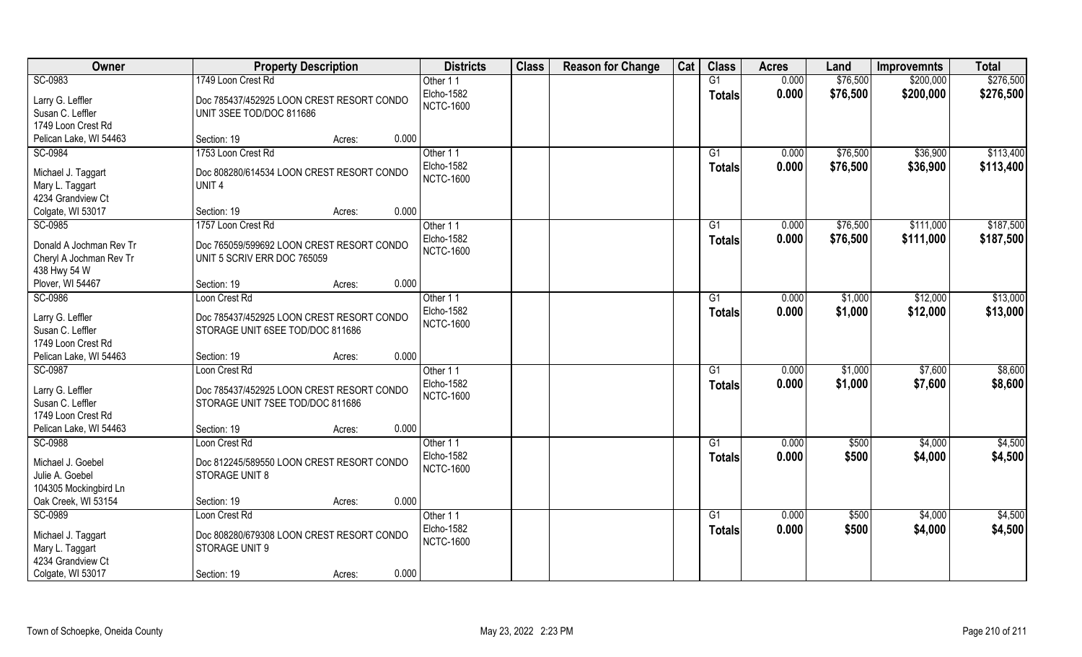| Owner                                 | <b>Property Description</b>                                    | <b>Districts</b>              | <b>Class</b> | <b>Reason for Change</b> | Cat | <b>Class</b>    | <b>Acres</b> | Land     | <b>Improvemnts</b> | <b>Total</b> |
|---------------------------------------|----------------------------------------------------------------|-------------------------------|--------------|--------------------------|-----|-----------------|--------------|----------|--------------------|--------------|
| SC-0983                               | 1749 Loon Crest Rd                                             | Other 11                      |              |                          |     | G1              | 0.000        | \$76,500 | \$200,000          | \$276,500    |
| Larry G. Leffler                      | Doc 785437/452925 LOON CREST RESORT CONDO                      | Elcho-1582                    |              |                          |     | <b>Totals</b>   | 0.000        | \$76,500 | \$200,000          | \$276,500    |
| Susan C. Leffler                      | UNIT 3SEE TOD/DOC 811686                                       | <b>NCTC-1600</b>              |              |                          |     |                 |              |          |                    |              |
| 1749 Loon Crest Rd                    |                                                                |                               |              |                          |     |                 |              |          |                    |              |
| Pelican Lake, WI 54463                | 0.000<br>Section: 19<br>Acres:                                 |                               |              |                          |     |                 |              |          |                    |              |
| SC-0984                               | 1753 Loon Crest Rd                                             | Other 11                      |              |                          |     | G1              | 0.000        | \$76,500 | \$36,900           | \$113,400    |
|                                       |                                                                | Elcho-1582                    |              |                          |     | <b>Totals</b>   | 0.000        | \$76,500 | \$36,900           | \$113,400    |
| Michael J. Taggart<br>Mary L. Taggart | Doc 808280/614534 LOON CREST RESORT CONDO<br>UNIT <sub>4</sub> | <b>NCTC-1600</b>              |              |                          |     |                 |              |          |                    |              |
| 4234 Grandview Ct                     |                                                                |                               |              |                          |     |                 |              |          |                    |              |
| Colgate, WI 53017                     | 0.000<br>Section: 19<br>Acres:                                 |                               |              |                          |     |                 |              |          |                    |              |
| SC-0985                               | 1757 Loon Crest Rd                                             | Other 11                      |              |                          |     | G1              | 0.000        | \$76,500 | \$111,000          | \$187,500    |
|                                       |                                                                | <b>Elcho-1582</b>             |              |                          |     | <b>Totals</b>   | 0.000        | \$76,500 | \$111,000          | \$187,500    |
| Donald A Jochman Rev Tr               | Doc 765059/599692 LOON CREST RESORT CONDO                      | <b>NCTC-1600</b>              |              |                          |     |                 |              |          |                    |              |
| Cheryl A Jochman Rev Tr               | UNIT 5 SCRIV ERR DOC 765059                                    |                               |              |                          |     |                 |              |          |                    |              |
| 438 Hwy 54 W                          |                                                                |                               |              |                          |     |                 |              |          |                    |              |
| Plover, WI 54467                      | 0.000<br>Section: 19<br>Acres:                                 |                               |              |                          |     |                 |              |          |                    |              |
| SC-0986                               | Loon Crest Rd                                                  | Other 11<br><b>Elcho-1582</b> |              |                          |     | G1              | 0.000        | \$1,000  | \$12,000           | \$13,000     |
| Larry G. Leffler                      | Doc 785437/452925 LOON CREST RESORT CONDO                      | <b>NCTC-1600</b>              |              |                          |     | <b>Totals</b>   | 0.000        | \$1,000  | \$12,000           | \$13,000     |
| Susan C. Leffler                      | STORAGE UNIT 6SEE TOD/DOC 811686                               |                               |              |                          |     |                 |              |          |                    |              |
| 1749 Loon Crest Rd                    |                                                                |                               |              |                          |     |                 |              |          |                    |              |
| Pelican Lake, WI 54463                | 0.000<br>Section: 19<br>Acres:                                 |                               |              |                          |     |                 |              |          |                    |              |
| SC-0987                               | Loon Crest Rd                                                  | Other 11                      |              |                          |     | G1              | 0.000        | \$1,000  | \$7,600            | \$8,600      |
| Larry G. Leffler                      | Doc 785437/452925 LOON CREST RESORT CONDO                      | Elcho-1582                    |              |                          |     | <b>Totals</b>   | 0.000        | \$1,000  | \$7,600            | \$8,600      |
| Susan C. Leffler                      | STORAGE UNIT 7SEE TOD/DOC 811686                               | <b>NCTC-1600</b>              |              |                          |     |                 |              |          |                    |              |
| 1749 Loon Crest Rd                    |                                                                |                               |              |                          |     |                 |              |          |                    |              |
| Pelican Lake, WI 54463                | 0.000<br>Section: 19<br>Acres:                                 |                               |              |                          |     |                 |              |          |                    |              |
| SC-0988                               | Loon Crest Rd                                                  | Other 11                      |              |                          |     | $\overline{G1}$ | 0.000        | \$500    | \$4,000            | \$4,500      |
| Michael J. Goebel                     | Doc 812245/589550 LOON CREST RESORT CONDO                      | Elcho-1582                    |              |                          |     | <b>Totals</b>   | 0.000        | \$500    | \$4,000            | \$4,500      |
| Julie A. Goebel                       | STORAGE UNIT 8                                                 | <b>NCTC-1600</b>              |              |                          |     |                 |              |          |                    |              |
| 104305 Mockingbird Ln                 |                                                                |                               |              |                          |     |                 |              |          |                    |              |
| Oak Creek, WI 53154                   | 0.000<br>Section: 19<br>Acres:                                 |                               |              |                          |     |                 |              |          |                    |              |
| SC-0989                               | Loon Crest Rd                                                  | Other 11                      |              |                          |     | G1              | 0.000        | \$500    | \$4,000            | \$4,500      |
|                                       |                                                                | <b>Elcho-1582</b>             |              |                          |     | <b>Totals</b>   | 0.000        | \$500    | \$4,000            | \$4,500      |
| Michael J. Taggart                    | Doc 808280/679308 LOON CREST RESORT CONDO                      | <b>NCTC-1600</b>              |              |                          |     |                 |              |          |                    |              |
| Mary L. Taggart                       | STORAGE UNIT 9                                                 |                               |              |                          |     |                 |              |          |                    |              |
| 4234 Grandview Ct                     | 0.000                                                          |                               |              |                          |     |                 |              |          |                    |              |
| Colgate, WI 53017                     | Section: 19<br>Acres:                                          |                               |              |                          |     |                 |              |          |                    |              |